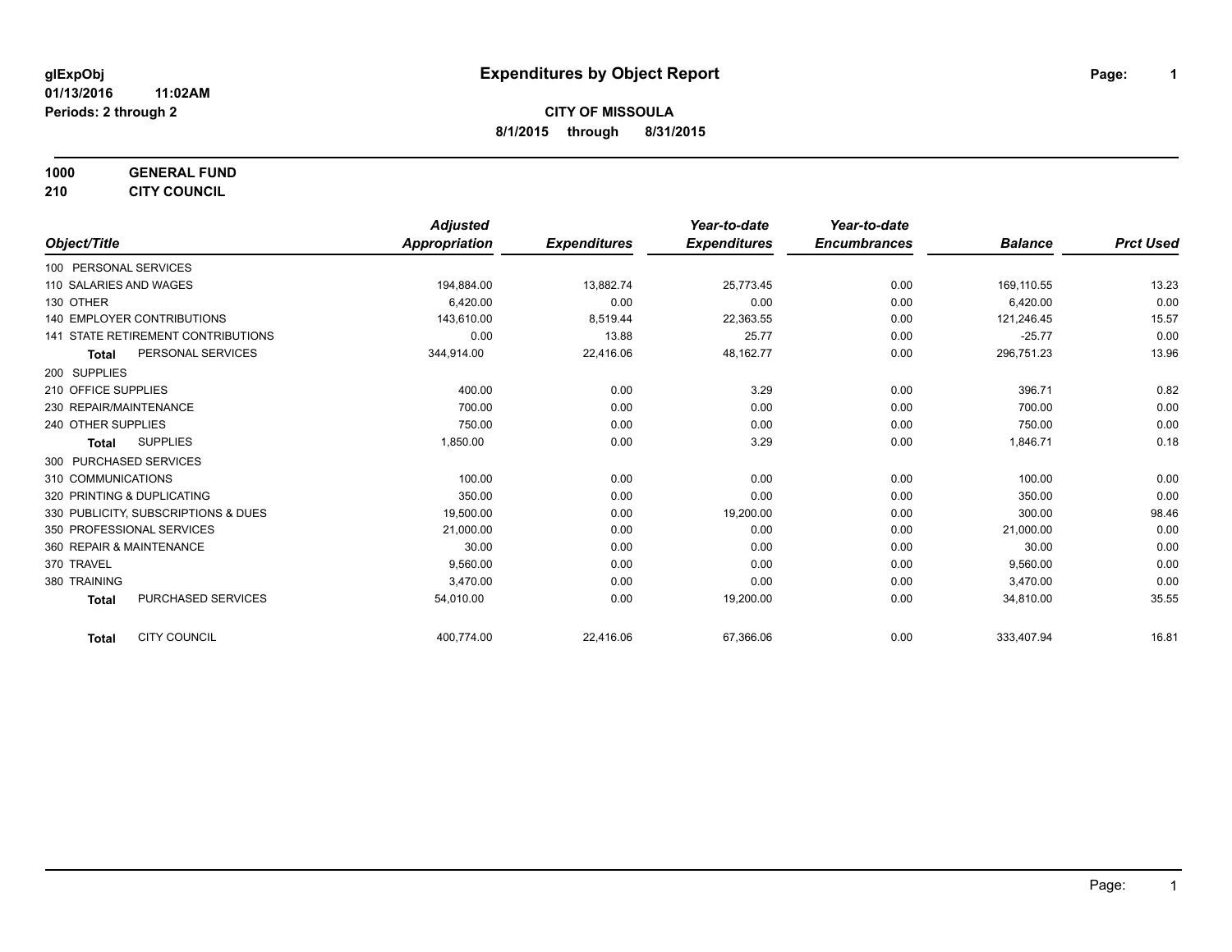**1000 GENERAL FUND**

**210 CITY COUNCIL**

|                                           | <b>Adjusted</b>      |                     | Year-to-date        | Year-to-date        |                |                  |
|-------------------------------------------|----------------------|---------------------|---------------------|---------------------|----------------|------------------|
| Object/Title                              | <b>Appropriation</b> | <b>Expenditures</b> | <b>Expenditures</b> | <b>Encumbrances</b> | <b>Balance</b> | <b>Prct Used</b> |
| 100 PERSONAL SERVICES                     |                      |                     |                     |                     |                |                  |
| 110 SALARIES AND WAGES                    | 194,884.00           | 13,882.74           | 25,773.45           | 0.00                | 169,110.55     | 13.23            |
| 130 OTHER                                 | 6.420.00             | 0.00                | 0.00                | 0.00                | 6,420.00       | 0.00             |
| 140 EMPLOYER CONTRIBUTIONS                | 143,610.00           | 8,519.44            | 22,363.55           | 0.00                | 121,246.45     | 15.57            |
| 141 STATE RETIREMENT CONTRIBUTIONS        | 0.00                 | 13.88               | 25.77               | 0.00                | $-25.77$       | 0.00             |
| PERSONAL SERVICES<br><b>Total</b>         | 344,914.00           | 22,416.06           | 48,162.77           | 0.00                | 296,751.23     | 13.96            |
| 200 SUPPLIES                              |                      |                     |                     |                     |                |                  |
| 210 OFFICE SUPPLIES                       | 400.00               | 0.00                | 3.29                | 0.00                | 396.71         | 0.82             |
| 230 REPAIR/MAINTENANCE                    | 700.00               | 0.00                | 0.00                | 0.00                | 700.00         | 0.00             |
| 240 OTHER SUPPLIES                        | 750.00               | 0.00                | 0.00                | 0.00                | 750.00         | 0.00             |
| <b>SUPPLIES</b><br><b>Total</b>           | 1,850.00             | 0.00                | 3.29                | 0.00                | 1,846.71       | 0.18             |
| 300 PURCHASED SERVICES                    |                      |                     |                     |                     |                |                  |
| 310 COMMUNICATIONS                        | 100.00               | 0.00                | 0.00                | 0.00                | 100.00         | 0.00             |
| 320 PRINTING & DUPLICATING                | 350.00               | 0.00                | 0.00                | 0.00                | 350.00         | 0.00             |
| 330 PUBLICITY, SUBSCRIPTIONS & DUES       | 19,500.00            | 0.00                | 19,200.00           | 0.00                | 300.00         | 98.46            |
| 350 PROFESSIONAL SERVICES                 | 21,000.00            | 0.00                | 0.00                | 0.00                | 21,000.00      | 0.00             |
| 360 REPAIR & MAINTENANCE                  | 30.00                | 0.00                | 0.00                | 0.00                | 30.00          | 0.00             |
| 370 TRAVEL                                | 9,560.00             | 0.00                | 0.00                | 0.00                | 9,560.00       | 0.00             |
| 380 TRAINING                              | 3,470.00             | 0.00                | 0.00                | 0.00                | 3,470.00       | 0.00             |
| <b>PURCHASED SERVICES</b><br><b>Total</b> | 54,010.00            | 0.00                | 19,200.00           | 0.00                | 34,810.00      | 35.55            |
| <b>CITY COUNCIL</b><br><b>Total</b>       | 400,774.00           | 22,416.06           | 67,366.06           | 0.00                | 333,407.94     | 16.81            |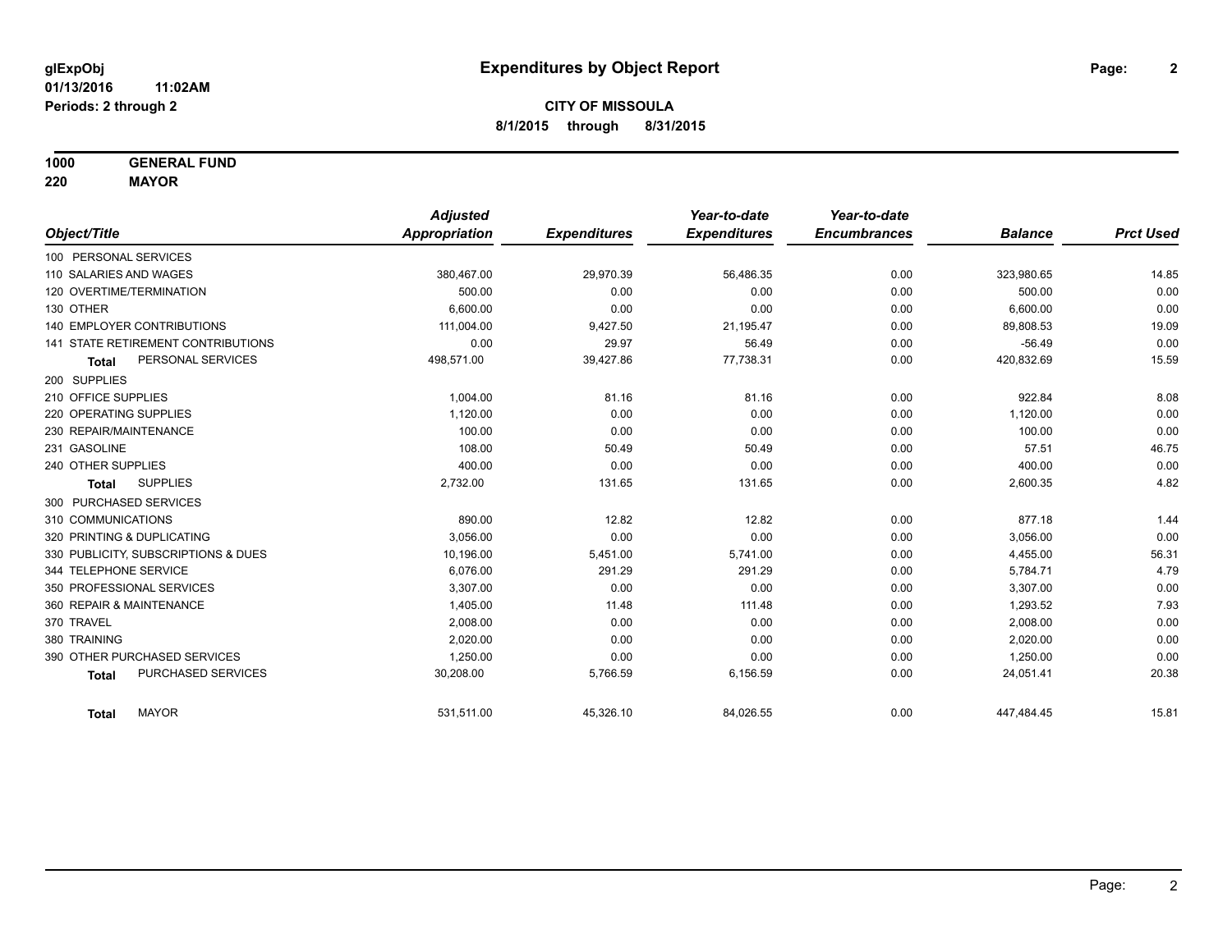**1000 GENERAL FUND**

**220 MAYOR**

|                                     | <b>Adjusted</b> |                     | Year-to-date        | Year-to-date        |                |                  |
|-------------------------------------|-----------------|---------------------|---------------------|---------------------|----------------|------------------|
| Object/Title                        | Appropriation   | <b>Expenditures</b> | <b>Expenditures</b> | <b>Encumbrances</b> | <b>Balance</b> | <b>Prct Used</b> |
| 100 PERSONAL SERVICES               |                 |                     |                     |                     |                |                  |
| 110 SALARIES AND WAGES              | 380,467.00      | 29,970.39           | 56,486.35           | 0.00                | 323,980.65     | 14.85            |
| 120 OVERTIME/TERMINATION            | 500.00          | 0.00                | 0.00                | 0.00                | 500.00         | 0.00             |
| 130 OTHER                           | 6.600.00        | 0.00                | 0.00                | 0.00                | 6,600.00       | 0.00             |
| <b>140 EMPLOYER CONTRIBUTIONS</b>   | 111,004.00      | 9,427.50            | 21,195.47           | 0.00                | 89,808.53      | 19.09            |
| 141 STATE RETIREMENT CONTRIBUTIONS  | 0.00            | 29.97               | 56.49               | 0.00                | $-56.49$       | 0.00             |
| PERSONAL SERVICES<br><b>Total</b>   | 498,571.00      | 39,427.86           | 77,738.31           | 0.00                | 420,832.69     | 15.59            |
| 200 SUPPLIES                        |                 |                     |                     |                     |                |                  |
| 210 OFFICE SUPPLIES                 | 1,004.00        | 81.16               | 81.16               | 0.00                | 922.84         | 8.08             |
| 220 OPERATING SUPPLIES              | 1,120.00        | 0.00                | 0.00                | 0.00                | 1,120.00       | 0.00             |
| 230 REPAIR/MAINTENANCE              | 100.00          | 0.00                | 0.00                | 0.00                | 100.00         | 0.00             |
| 231 GASOLINE                        | 108.00          | 50.49               | 50.49               | 0.00                | 57.51          | 46.75            |
| 240 OTHER SUPPLIES                  | 400.00          | 0.00                | 0.00                | 0.00                | 400.00         | 0.00             |
| <b>SUPPLIES</b><br><b>Total</b>     | 2,732.00        | 131.65              | 131.65              | 0.00                | 2,600.35       | 4.82             |
| 300 PURCHASED SERVICES              |                 |                     |                     |                     |                |                  |
| 310 COMMUNICATIONS                  | 890.00          | 12.82               | 12.82               | 0.00                | 877.18         | 1.44             |
| 320 PRINTING & DUPLICATING          | 3.056.00        | 0.00                | 0.00                | 0.00                | 3,056.00       | 0.00             |
| 330 PUBLICITY, SUBSCRIPTIONS & DUES | 10,196.00       | 5,451.00            | 5,741.00            | 0.00                | 4,455.00       | 56.31            |
| 344 TELEPHONE SERVICE               | 6.076.00        | 291.29              | 291.29              | 0.00                | 5,784.71       | 4.79             |
| 350 PROFESSIONAL SERVICES           | 3,307.00        | 0.00                | 0.00                | 0.00                | 3,307.00       | 0.00             |
| 360 REPAIR & MAINTENANCE            | 1,405.00        | 11.48               | 111.48              | 0.00                | 1,293.52       | 7.93             |
| 370 TRAVEL                          | 2,008.00        | 0.00                | 0.00                | 0.00                | 2,008.00       | 0.00             |
| 380 TRAINING                        | 2,020.00        | 0.00                | 0.00                | 0.00                | 2,020.00       | 0.00             |
| 390 OTHER PURCHASED SERVICES        | 1,250.00        | 0.00                | 0.00                | 0.00                | 1,250.00       | 0.00             |
| PURCHASED SERVICES<br><b>Total</b>  | 30,208.00       | 5,766.59            | 6,156.59            | 0.00                | 24,051.41      | 20.38            |
| <b>MAYOR</b><br><b>Total</b>        | 531,511.00      | 45,326.10           | 84,026.55           | 0.00                | 447,484.45     | 15.81            |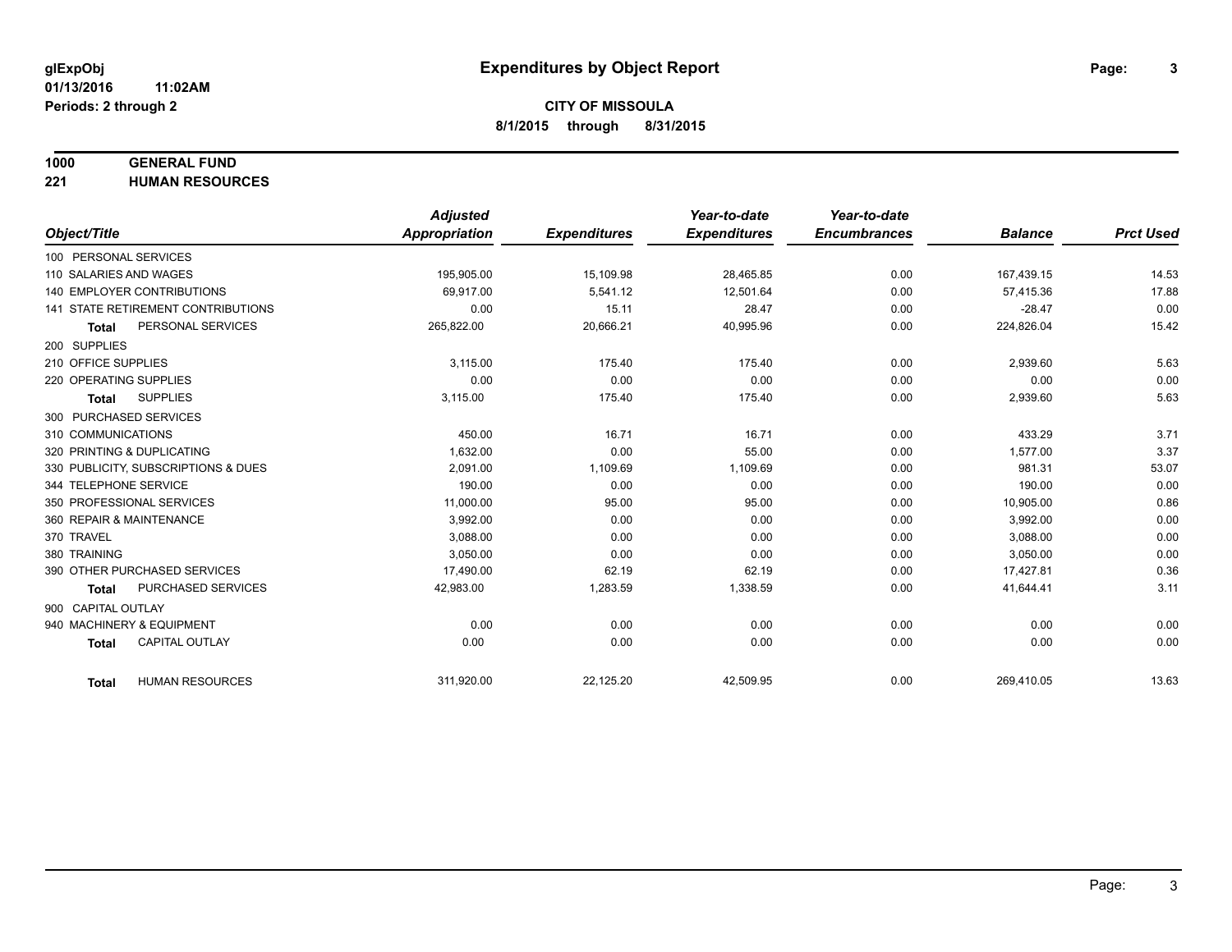#### **1000 GENERAL FUND**

**221 HUMAN RESOURCES**

|                            |                                           | <b>Adjusted</b>      |                     | Year-to-date        | Year-to-date        |                |                  |
|----------------------------|-------------------------------------------|----------------------|---------------------|---------------------|---------------------|----------------|------------------|
| Object/Title               |                                           | <b>Appropriation</b> | <b>Expenditures</b> | <b>Expenditures</b> | <b>Encumbrances</b> | <b>Balance</b> | <b>Prct Used</b> |
| 100 PERSONAL SERVICES      |                                           |                      |                     |                     |                     |                |                  |
| 110 SALARIES AND WAGES     |                                           | 195,905.00           | 15,109.98           | 28,465.85           | 0.00                | 167,439.15     | 14.53            |
|                            | <b>140 EMPLOYER CONTRIBUTIONS</b>         | 69.917.00            | 5,541.12            | 12.501.64           | 0.00                | 57,415.36      | 17.88            |
|                            | <b>141 STATE RETIREMENT CONTRIBUTIONS</b> | 0.00                 | 15.11               | 28.47               | 0.00                | $-28.47$       | 0.00             |
| <b>Total</b>               | PERSONAL SERVICES                         | 265,822.00           | 20,666.21           | 40,995.96           | 0.00                | 224,826.04     | 15.42            |
| 200 SUPPLIES               |                                           |                      |                     |                     |                     |                |                  |
| 210 OFFICE SUPPLIES        |                                           | 3,115.00             | 175.40              | 175.40              | 0.00                | 2,939.60       | 5.63             |
| 220 OPERATING SUPPLIES     |                                           | 0.00                 | 0.00                | 0.00                | 0.00                | 0.00           | 0.00             |
| Total                      | <b>SUPPLIES</b>                           | 3,115.00             | 175.40              | 175.40              | 0.00                | 2,939.60       | 5.63             |
| 300 PURCHASED SERVICES     |                                           |                      |                     |                     |                     |                |                  |
| 310 COMMUNICATIONS         |                                           | 450.00               | 16.71               | 16.71               | 0.00                | 433.29         | 3.71             |
| 320 PRINTING & DUPLICATING |                                           | 1.632.00             | 0.00                | 55.00               | 0.00                | 1.577.00       | 3.37             |
|                            | 330 PUBLICITY, SUBSCRIPTIONS & DUES       | 2.091.00             | 1,109.69            | 1,109.69            | 0.00                | 981.31         | 53.07            |
| 344 TELEPHONE SERVICE      |                                           | 190.00               | 0.00                | 0.00                | 0.00                | 190.00         | 0.00             |
| 350 PROFESSIONAL SERVICES  |                                           | 11,000.00            | 95.00               | 95.00               | 0.00                | 10.905.00      | 0.86             |
| 360 REPAIR & MAINTENANCE   |                                           | 3,992.00             | 0.00                | 0.00                | 0.00                | 3,992.00       | 0.00             |
| 370 TRAVEL                 |                                           | 3.088.00             | 0.00                | 0.00                | 0.00                | 3,088.00       | 0.00             |
| 380 TRAINING               |                                           | 3,050.00             | 0.00                | 0.00                | 0.00                | 3,050.00       | 0.00             |
|                            | 390 OTHER PURCHASED SERVICES              | 17,490.00            | 62.19               | 62.19               | 0.00                | 17,427.81      | 0.36             |
| <b>Total</b>               | PURCHASED SERVICES                        | 42,983.00            | 1,283.59            | 1,338.59            | 0.00                | 41,644.41      | 3.11             |
| 900 CAPITAL OUTLAY         |                                           |                      |                     |                     |                     |                |                  |
| 940 MACHINERY & EQUIPMENT  |                                           | 0.00                 | 0.00                | 0.00                | 0.00                | 0.00           | 0.00             |
| <b>Total</b>               | <b>CAPITAL OUTLAY</b>                     | 0.00                 | 0.00                | 0.00                | 0.00                | 0.00           | 0.00             |
|                            |                                           |                      |                     |                     |                     |                |                  |
| Total                      | <b>HUMAN RESOURCES</b>                    | 311,920.00           | 22,125.20           | 42,509.95           | 0.00                | 269,410.05     | 13.63            |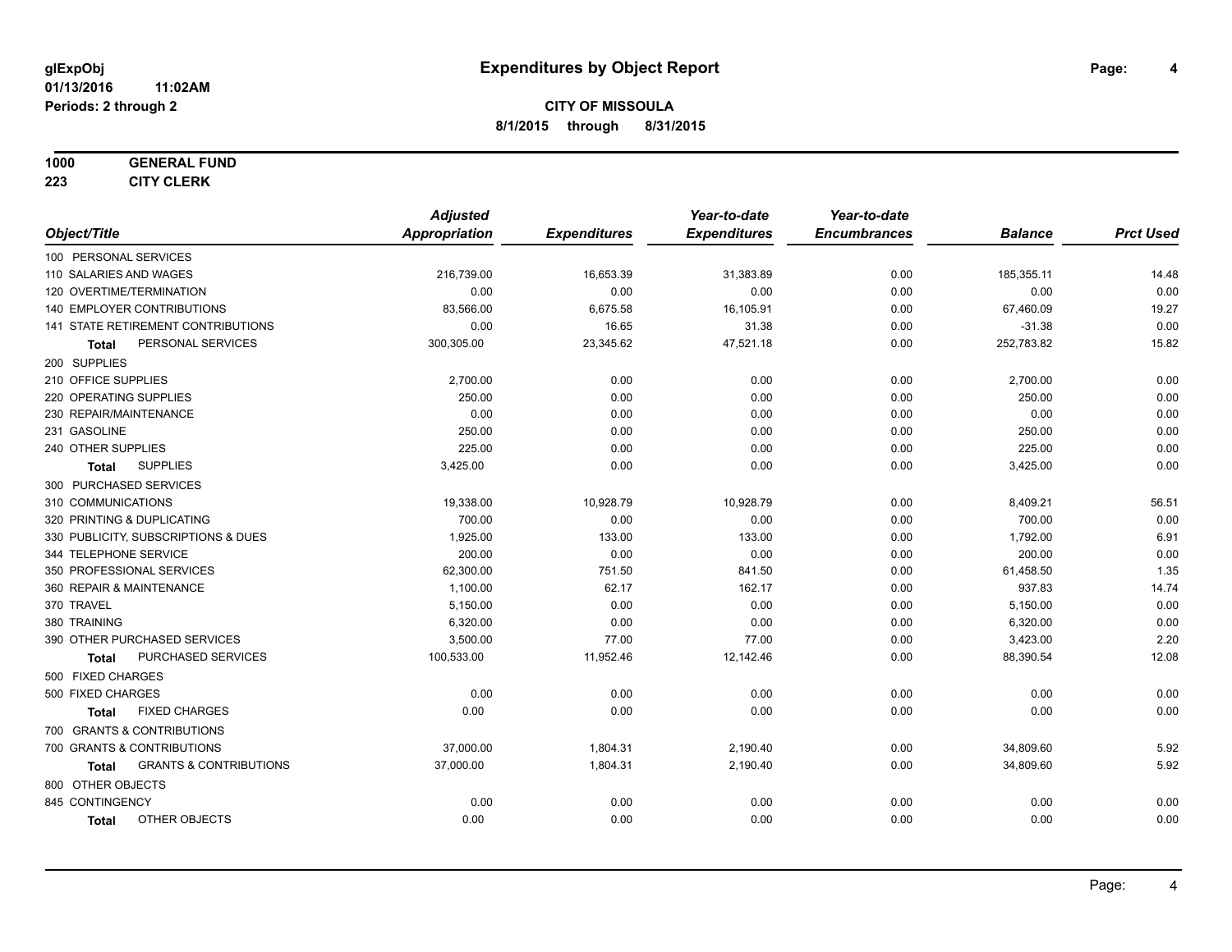#### **1000 GENERAL FUND**

**223 CITY CLERK**

|                                                   | <b>Adjusted</b>      |                     | Year-to-date        | Year-to-date        |                |                  |
|---------------------------------------------------|----------------------|---------------------|---------------------|---------------------|----------------|------------------|
| Object/Title                                      | <b>Appropriation</b> | <b>Expenditures</b> | <b>Expenditures</b> | <b>Encumbrances</b> | <b>Balance</b> | <b>Prct Used</b> |
| 100 PERSONAL SERVICES                             |                      |                     |                     |                     |                |                  |
| 110 SALARIES AND WAGES                            | 216,739.00           | 16,653.39           | 31,383.89           | 0.00                | 185,355.11     | 14.48            |
| 120 OVERTIME/TERMINATION                          | 0.00                 | 0.00                | 0.00                | 0.00                | 0.00           | 0.00             |
| 140 EMPLOYER CONTRIBUTIONS                        | 83,566.00            | 6,675.58            | 16,105.91           | 0.00                | 67,460.09      | 19.27            |
| 141 STATE RETIREMENT CONTRIBUTIONS                | 0.00                 | 16.65               | 31.38               | 0.00                | $-31.38$       | 0.00             |
| PERSONAL SERVICES<br>Total                        | 300,305.00           | 23,345.62           | 47,521.18           | 0.00                | 252,783.82     | 15.82            |
| 200 SUPPLIES                                      |                      |                     |                     |                     |                |                  |
| 210 OFFICE SUPPLIES                               | 2,700.00             | 0.00                | 0.00                | 0.00                | 2,700.00       | 0.00             |
| 220 OPERATING SUPPLIES                            | 250.00               | 0.00                | 0.00                | 0.00                | 250.00         | 0.00             |
| 230 REPAIR/MAINTENANCE                            | 0.00                 | 0.00                | 0.00                | 0.00                | 0.00           | 0.00             |
| 231 GASOLINE                                      | 250.00               | 0.00                | 0.00                | 0.00                | 250.00         | 0.00             |
| 240 OTHER SUPPLIES                                | 225.00               | 0.00                | 0.00                | 0.00                | 225.00         | 0.00             |
| <b>SUPPLIES</b><br>Total                          | 3,425.00             | 0.00                | 0.00                | 0.00                | 3,425.00       | 0.00             |
| 300 PURCHASED SERVICES                            |                      |                     |                     |                     |                |                  |
| 310 COMMUNICATIONS                                | 19,338.00            | 10,928.79           | 10,928.79           | 0.00                | 8,409.21       | 56.51            |
| 320 PRINTING & DUPLICATING                        | 700.00               | 0.00                | 0.00                | 0.00                | 700.00         | 0.00             |
| 330 PUBLICITY, SUBSCRIPTIONS & DUES               | 1,925.00             | 133.00              | 133.00              | 0.00                | 1,792.00       | 6.91             |
| 344 TELEPHONE SERVICE                             | 200.00               | 0.00                | 0.00                | 0.00                | 200.00         | 0.00             |
| 350 PROFESSIONAL SERVICES                         | 62,300.00            | 751.50              | 841.50              | 0.00                | 61,458.50      | 1.35             |
| 360 REPAIR & MAINTENANCE                          | 1,100.00             | 62.17               | 162.17              | 0.00                | 937.83         | 14.74            |
| 370 TRAVEL                                        | 5,150.00             | 0.00                | 0.00                | 0.00                | 5,150.00       | 0.00             |
| 380 TRAINING                                      | 6,320.00             | 0.00                | 0.00                | 0.00                | 6,320.00       | 0.00             |
| 390 OTHER PURCHASED SERVICES                      | 3,500.00             | 77.00               | 77.00               | 0.00                | 3,423.00       | 2.20             |
| PURCHASED SERVICES<br><b>Total</b>                | 100,533.00           | 11,952.46           | 12,142.46           | 0.00                | 88,390.54      | 12.08            |
| 500 FIXED CHARGES                                 |                      |                     |                     |                     |                |                  |
| 500 FIXED CHARGES                                 | 0.00                 | 0.00                | 0.00                | 0.00                | 0.00           | 0.00             |
| <b>FIXED CHARGES</b><br>Total                     | 0.00                 | 0.00                | 0.00                | 0.00                | 0.00           | 0.00             |
| 700 GRANTS & CONTRIBUTIONS                        |                      |                     |                     |                     |                |                  |
| 700 GRANTS & CONTRIBUTIONS                        | 37,000.00            | 1,804.31            | 2,190.40            | 0.00                | 34,809.60      | 5.92             |
| <b>GRANTS &amp; CONTRIBUTIONS</b><br><b>Total</b> | 37,000.00            | 1,804.31            | 2,190.40            | 0.00                | 34,809.60      | 5.92             |
| 800 OTHER OBJECTS                                 |                      |                     |                     |                     |                |                  |
| 845 CONTINGENCY                                   | 0.00                 | 0.00                | 0.00                | 0.00                | 0.00           | 0.00             |
| OTHER OBJECTS<br><b>Total</b>                     | 0.00                 | 0.00                | 0.00                | 0.00                | 0.00           | 0.00             |
|                                                   |                      |                     |                     |                     |                |                  |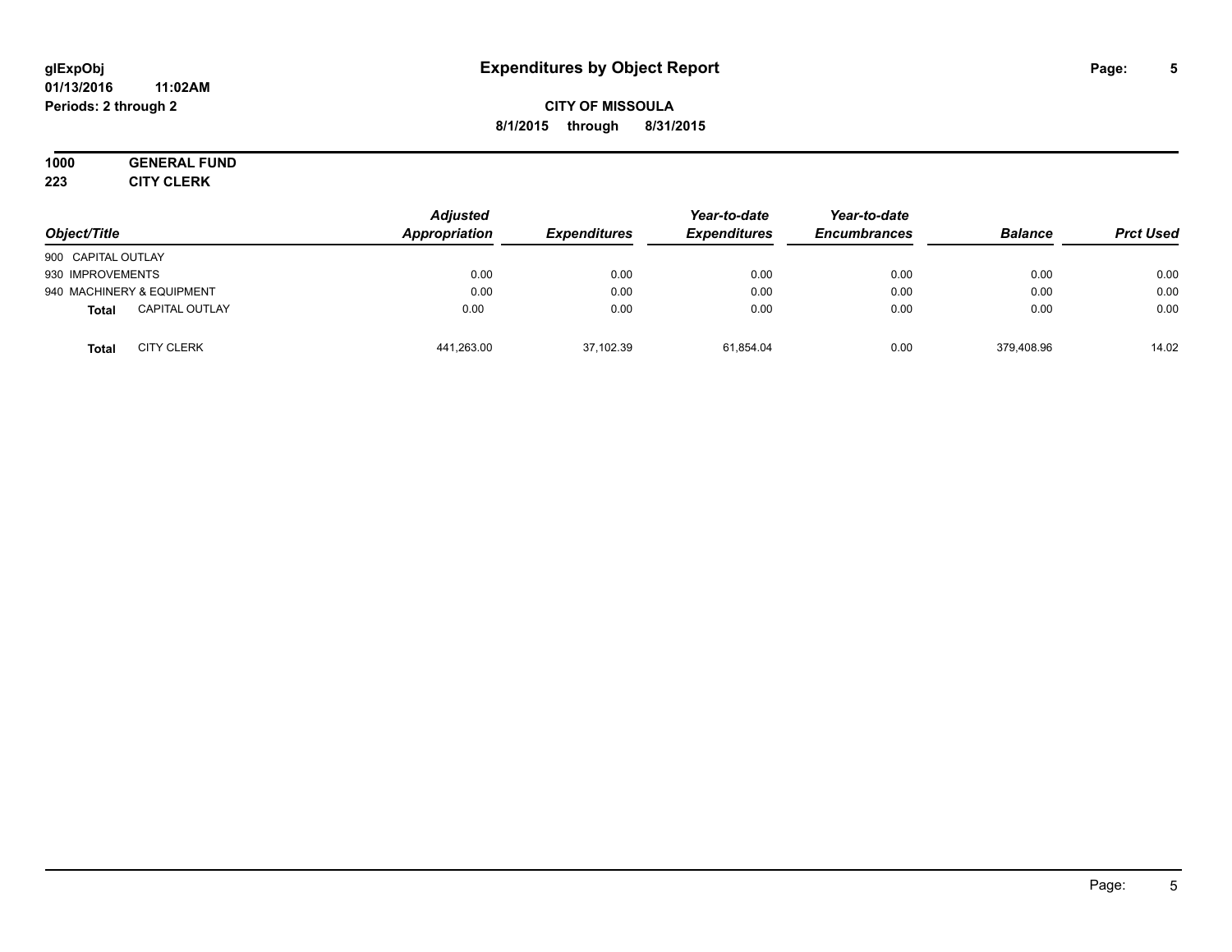#### **01/13/2016 11:02AM Periods: 2 through 2**

## **CITY OF MISSOULA 8/1/2015 through 8/31/2015**

# **1000 GENERAL FUND**

**223 CITY CLERK**

| Object/Title                          | <b>Adjusted</b><br>Appropriation | <b>Expenditures</b> | Year-to-date<br><b>Expenditures</b> | Year-to-date<br><b>Encumbrances</b> | <b>Balance</b> | <b>Prct Used</b> |
|---------------------------------------|----------------------------------|---------------------|-------------------------------------|-------------------------------------|----------------|------------------|
| 900 CAPITAL OUTLAY                    |                                  |                     |                                     |                                     |                |                  |
| 930 IMPROVEMENTS                      | 0.00                             | 0.00                | 0.00                                | 0.00                                | 0.00           | 0.00             |
| 940 MACHINERY & EQUIPMENT             | 0.00                             | 0.00                | 0.00                                | 0.00                                | 0.00           | 0.00             |
| <b>CAPITAL OUTLAY</b><br><b>Total</b> | 0.00                             | 0.00                | 0.00                                | 0.00                                | 0.00           | 0.00             |
| <b>CITY CLERK</b><br><b>Total</b>     | 441,263.00                       | 37,102.39           | 61.854.04                           | 0.00                                | 379,408.96     | 14.02            |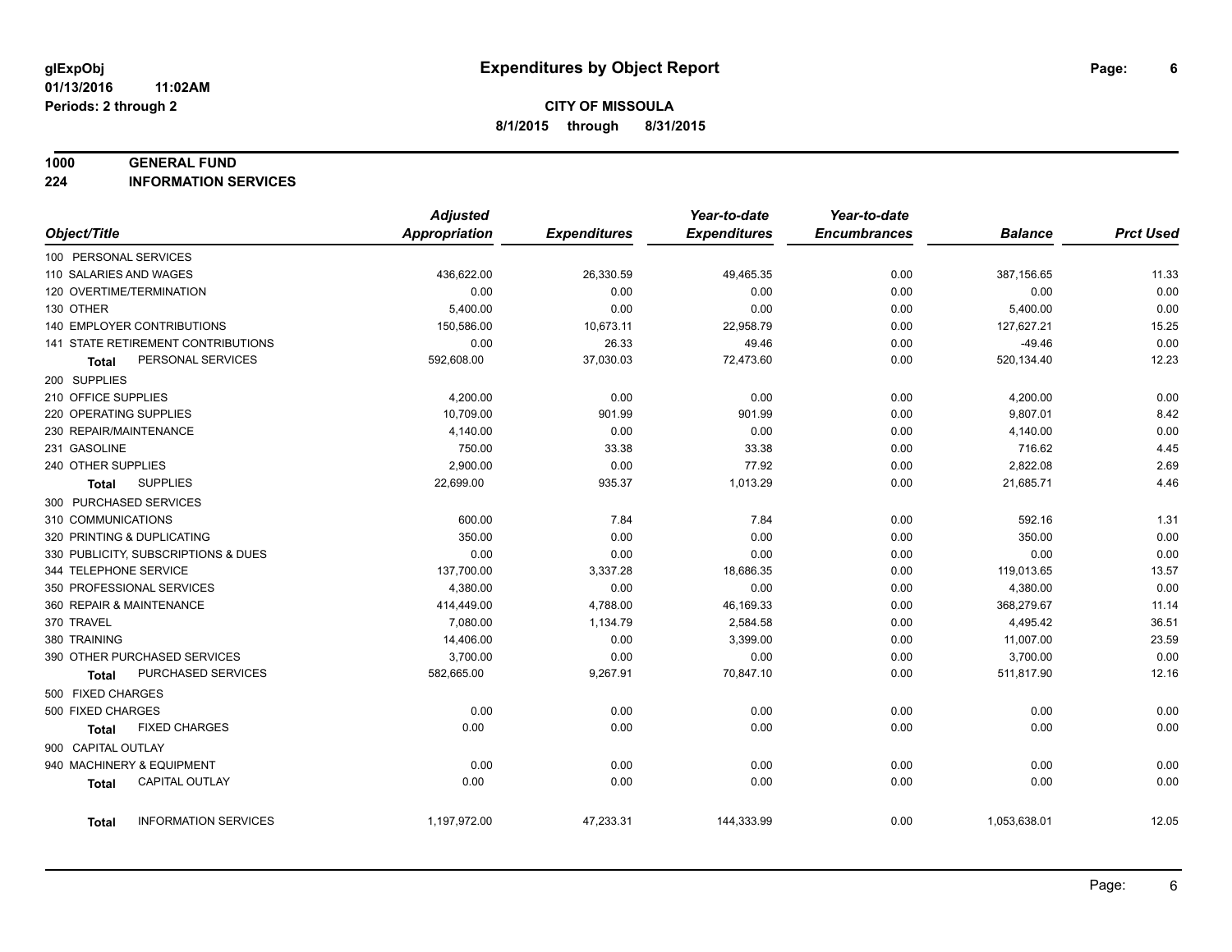#### **1000 GENERAL FUND**

**224 INFORMATION SERVICES**

|                                       | <b>Adjusted</b>      |                     | Year-to-date        | Year-to-date        |                |                  |
|---------------------------------------|----------------------|---------------------|---------------------|---------------------|----------------|------------------|
| Object/Title                          | <b>Appropriation</b> | <b>Expenditures</b> | <b>Expenditures</b> | <b>Encumbrances</b> | <b>Balance</b> | <b>Prct Used</b> |
| 100 PERSONAL SERVICES                 |                      |                     |                     |                     |                |                  |
| 110 SALARIES AND WAGES                | 436,622.00           | 26,330.59           | 49,465.35           | 0.00                | 387,156.65     | 11.33            |
| 120 OVERTIME/TERMINATION              | 0.00                 | 0.00                | 0.00                | 0.00                | 0.00           | 0.00             |
| 130 OTHER                             | 5,400.00             | 0.00                | 0.00                | 0.00                | 5,400.00       | 0.00             |
| 140 EMPLOYER CONTRIBUTIONS            | 150,586.00           | 10,673.11           | 22,958.79           | 0.00                | 127,627.21     | 15.25            |
| 141 STATE RETIREMENT CONTRIBUTIONS    | 0.00                 | 26.33               | 49.46               | 0.00                | $-49.46$       | 0.00             |
| PERSONAL SERVICES<br>Total            | 592,608.00           | 37,030.03           | 72,473.60           | 0.00                | 520,134.40     | 12.23            |
| 200 SUPPLIES                          |                      |                     |                     |                     |                |                  |
| 210 OFFICE SUPPLIES                   | 4,200.00             | 0.00                | 0.00                | 0.00                | 4,200.00       | 0.00             |
| 220 OPERATING SUPPLIES                | 10,709.00            | 901.99              | 901.99              | 0.00                | 9,807.01       | 8.42             |
| 230 REPAIR/MAINTENANCE                | 4,140.00             | 0.00                | 0.00                | 0.00                | 4,140.00       | 0.00             |
| 231 GASOLINE                          | 750.00               | 33.38               | 33.38               | 0.00                | 716.62         | 4.45             |
| 240 OTHER SUPPLIES                    | 2,900.00             | 0.00                | 77.92               | 0.00                | 2,822.08       | 2.69             |
| <b>SUPPLIES</b><br>Total              | 22,699.00            | 935.37              | 1,013.29            | 0.00                | 21,685.71      | 4.46             |
| 300 PURCHASED SERVICES                |                      |                     |                     |                     |                |                  |
| 310 COMMUNICATIONS                    | 600.00               | 7.84                | 7.84                | 0.00                | 592.16         | 1.31             |
| 320 PRINTING & DUPLICATING            | 350.00               | 0.00                | 0.00                | 0.00                | 350.00         | 0.00             |
| 330 PUBLICITY, SUBSCRIPTIONS & DUES   | 0.00                 | 0.00                | 0.00                | 0.00                | 0.00           | 0.00             |
| 344 TELEPHONE SERVICE                 | 137,700.00           | 3,337.28            | 18,686.35           | 0.00                | 119,013.65     | 13.57            |
| 350 PROFESSIONAL SERVICES             | 4,380.00             | 0.00                | 0.00                | 0.00                | 4,380.00       | 0.00             |
| 360 REPAIR & MAINTENANCE              | 414,449.00           | 4,788.00            | 46,169.33           | 0.00                | 368,279.67     | 11.14            |
| 370 TRAVEL                            | 7,080.00             | 1,134.79            | 2,584.58            | 0.00                | 4,495.42       | 36.51            |
| 380 TRAINING                          | 14,406.00            | 0.00                | 3,399.00            | 0.00                | 11,007.00      | 23.59            |
| 390 OTHER PURCHASED SERVICES          | 3,700.00             | 0.00                | 0.00                | 0.00                | 3,700.00       | 0.00             |
| PURCHASED SERVICES<br><b>Total</b>    | 582,665.00           | 9,267.91            | 70,847.10           | 0.00                | 511,817.90     | 12.16            |
| 500 FIXED CHARGES                     |                      |                     |                     |                     |                |                  |
| 500 FIXED CHARGES                     | 0.00                 | 0.00                | 0.00                | 0.00                | 0.00           | 0.00             |
| <b>FIXED CHARGES</b><br>Total         | 0.00                 | 0.00                | 0.00                | 0.00                | 0.00           | 0.00             |
| 900 CAPITAL OUTLAY                    |                      |                     |                     |                     |                |                  |
| 940 MACHINERY & EQUIPMENT             | 0.00                 | 0.00                | 0.00                | 0.00                | 0.00           | 0.00             |
| <b>CAPITAL OUTLAY</b><br><b>Total</b> | 0.00                 | 0.00                | 0.00                | 0.00                | 0.00           | 0.00             |
|                                       |                      |                     |                     |                     |                |                  |
| <b>INFORMATION SERVICES</b><br>Total  | 1,197,972.00         | 47,233.31           | 144,333.99          | 0.00                | 1,053,638.01   | 12.05            |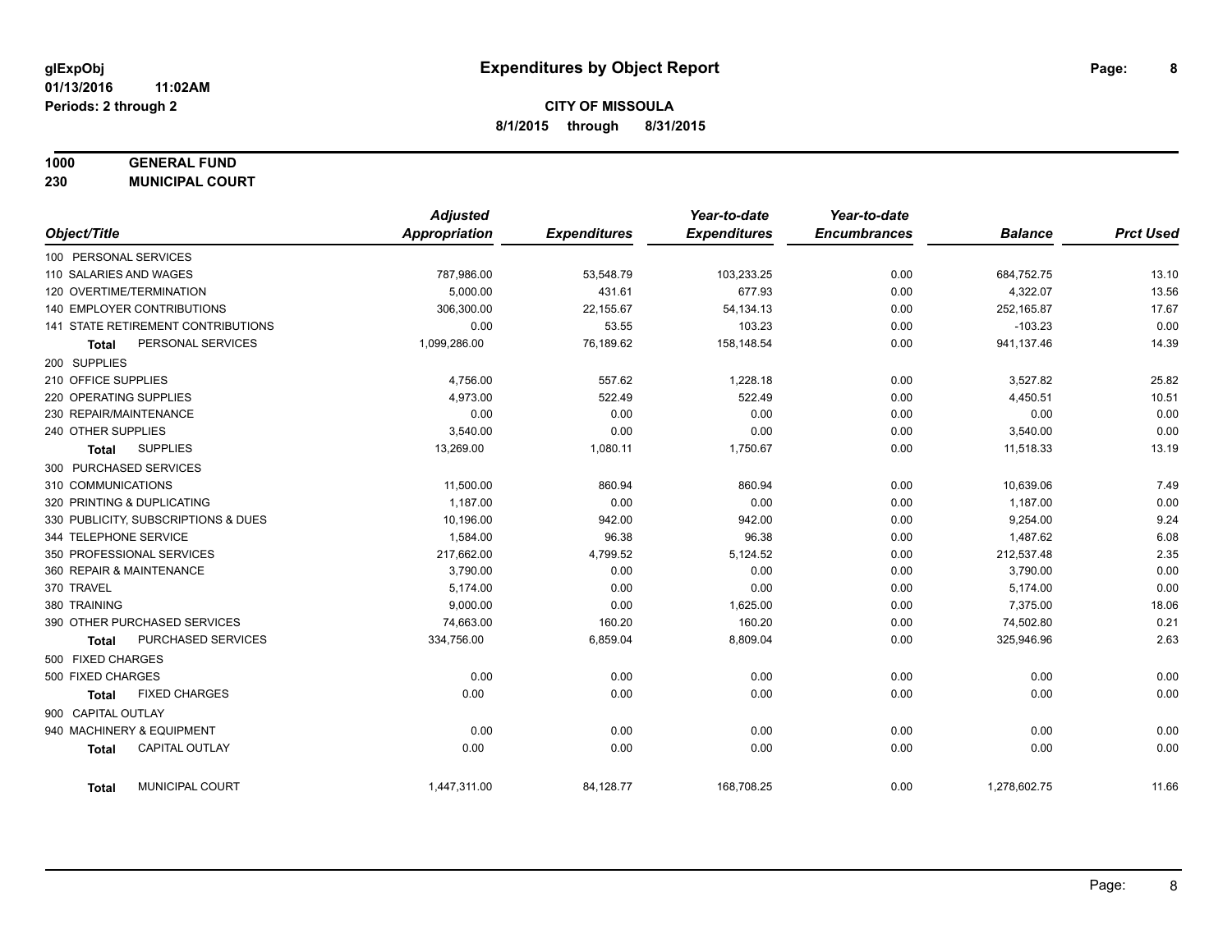## **1000 GENERAL FUND**

**230 MUNICIPAL COURT**

|                                        | <b>Adjusted</b> |                     | Year-to-date        | Year-to-date        |                |                  |
|----------------------------------------|-----------------|---------------------|---------------------|---------------------|----------------|------------------|
| Object/Title                           | Appropriation   | <b>Expenditures</b> | <b>Expenditures</b> | <b>Encumbrances</b> | <b>Balance</b> | <b>Prct Used</b> |
| 100 PERSONAL SERVICES                  |                 |                     |                     |                     |                |                  |
| 110 SALARIES AND WAGES                 | 787,986.00      | 53,548.79           | 103,233.25          | 0.00                | 684,752.75     | 13.10            |
| 120 OVERTIME/TERMINATION               | 5.000.00        | 431.61              | 677.93              | 0.00                | 4,322.07       | 13.56            |
| 140 EMPLOYER CONTRIBUTIONS             | 306,300.00      | 22,155.67           | 54,134.13           | 0.00                | 252,165.87     | 17.67            |
| 141 STATE RETIREMENT CONTRIBUTIONS     | 0.00            | 53.55               | 103.23              | 0.00                | $-103.23$      | 0.00             |
| PERSONAL SERVICES<br><b>Total</b>      | 1,099,286.00    | 76,189.62           | 158,148.54          | 0.00                | 941,137.46     | 14.39            |
| 200 SUPPLIES                           |                 |                     |                     |                     |                |                  |
| 210 OFFICE SUPPLIES                    | 4,756.00        | 557.62              | 1,228.18            | 0.00                | 3,527.82       | 25.82            |
| 220 OPERATING SUPPLIES                 | 4,973.00        | 522.49              | 522.49              | 0.00                | 4,450.51       | 10.51            |
| 230 REPAIR/MAINTENANCE                 | 0.00            | 0.00                | 0.00                | 0.00                | 0.00           | 0.00             |
| 240 OTHER SUPPLIES                     | 3,540.00        | 0.00                | 0.00                | 0.00                | 3,540.00       | 0.00             |
| <b>SUPPLIES</b><br>Total               | 13,269.00       | 1,080.11            | 1,750.67            | 0.00                | 11,518.33      | 13.19            |
| 300 PURCHASED SERVICES                 |                 |                     |                     |                     |                |                  |
| 310 COMMUNICATIONS                     | 11,500.00       | 860.94              | 860.94              | 0.00                | 10,639.06      | 7.49             |
| 320 PRINTING & DUPLICATING             | 1,187.00        | 0.00                | 0.00                | 0.00                | 1,187.00       | 0.00             |
| 330 PUBLICITY, SUBSCRIPTIONS & DUES    | 10.196.00       | 942.00              | 942.00              | 0.00                | 9,254.00       | 9.24             |
| 344 TELEPHONE SERVICE                  | 1,584.00        | 96.38               | 96.38               | 0.00                | 1,487.62       | 6.08             |
| 350 PROFESSIONAL SERVICES              | 217,662.00      | 4,799.52            | 5,124.52            | 0.00                | 212,537.48     | 2.35             |
| 360 REPAIR & MAINTENANCE               | 3,790.00        | 0.00                | 0.00                | 0.00                | 3,790.00       | 0.00             |
| 370 TRAVEL                             | 5,174.00        | 0.00                | 0.00                | 0.00                | 5,174.00       | 0.00             |
| 380 TRAINING                           | 9,000.00        | 0.00                | 1,625.00            | 0.00                | 7,375.00       | 18.06            |
| 390 OTHER PURCHASED SERVICES           | 74,663.00       | 160.20              | 160.20              | 0.00                | 74,502.80      | 0.21             |
| PURCHASED SERVICES<br><b>Total</b>     | 334,756.00      | 6,859.04            | 8,809.04            | 0.00                | 325,946.96     | 2.63             |
| 500 FIXED CHARGES                      |                 |                     |                     |                     |                |                  |
| 500 FIXED CHARGES                      | 0.00            | 0.00                | 0.00                | 0.00                | 0.00           | 0.00             |
| <b>FIXED CHARGES</b><br>Total          | 0.00            | 0.00                | 0.00                | 0.00                | 0.00           | 0.00             |
| 900 CAPITAL OUTLAY                     |                 |                     |                     |                     |                |                  |
| 940 MACHINERY & EQUIPMENT              | 0.00            | 0.00                | 0.00                | 0.00                | 0.00           | 0.00             |
| <b>CAPITAL OUTLAY</b><br><b>Total</b>  | 0.00            | 0.00                | 0.00                | 0.00                | 0.00           | 0.00             |
| <b>MUNICIPAL COURT</b><br><b>Total</b> | 1,447,311.00    | 84,128.77           | 168,708.25          | 0.00                | 1,278,602.75   | 11.66            |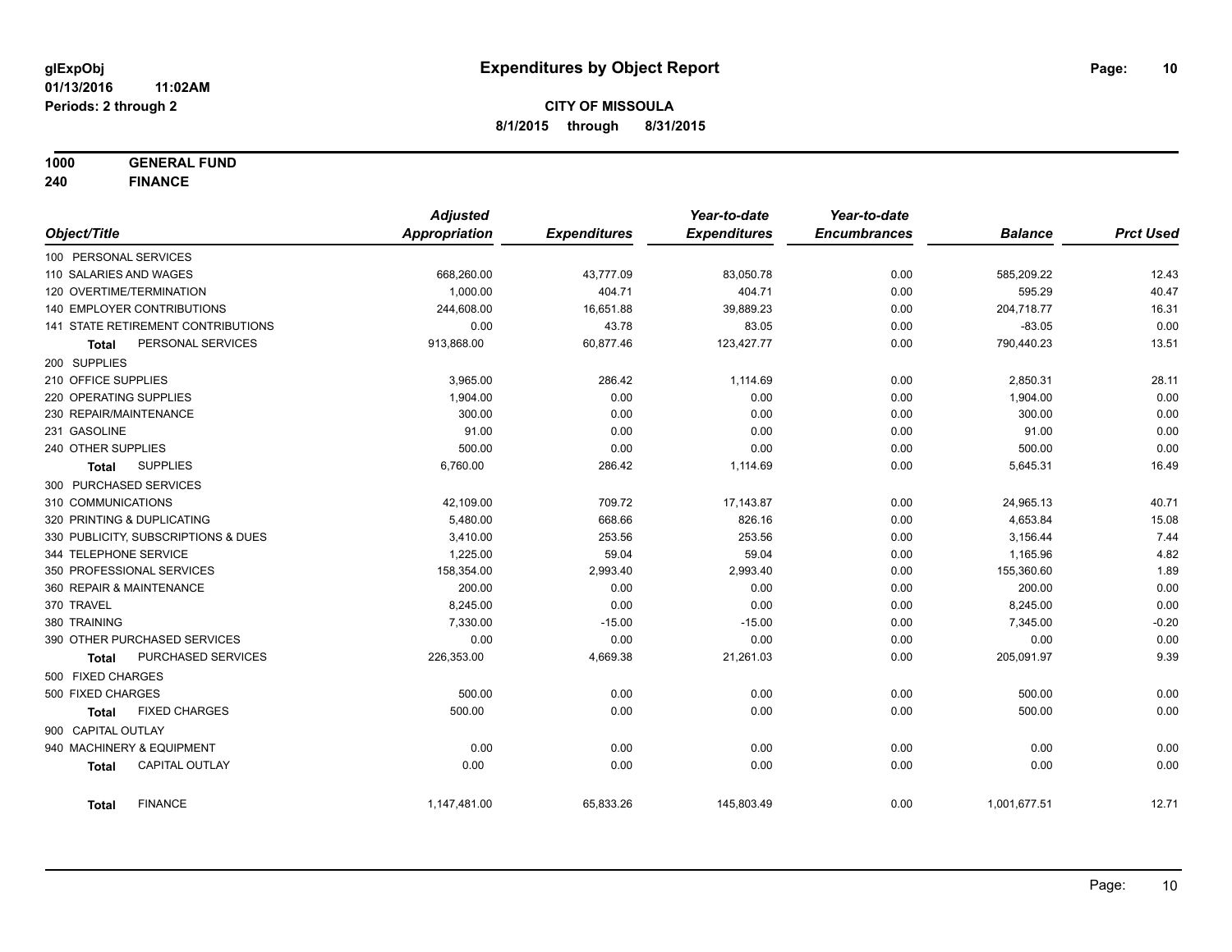**1000 GENERAL FUND**

**240 FINANCE**

|                            |                                     | <b>Adjusted</b>      |                     | Year-to-date        | Year-to-date        |                |                  |
|----------------------------|-------------------------------------|----------------------|---------------------|---------------------|---------------------|----------------|------------------|
| Object/Title               |                                     | <b>Appropriation</b> | <b>Expenditures</b> | <b>Expenditures</b> | <b>Encumbrances</b> | <b>Balance</b> | <b>Prct Used</b> |
| 100 PERSONAL SERVICES      |                                     |                      |                     |                     |                     |                |                  |
| 110 SALARIES AND WAGES     |                                     | 668,260.00           | 43,777.09           | 83,050.78           | 0.00                | 585,209.22     | 12.43            |
| 120 OVERTIME/TERMINATION   |                                     | 1,000.00             | 404.71              | 404.71              | 0.00                | 595.29         | 40.47            |
| 140 EMPLOYER CONTRIBUTIONS |                                     | 244,608.00           | 16,651.88           | 39,889.23           | 0.00                | 204,718.77     | 16.31            |
|                            | 141 STATE RETIREMENT CONTRIBUTIONS  | 0.00                 | 43.78               | 83.05               | 0.00                | $-83.05$       | 0.00             |
| <b>Total</b>               | PERSONAL SERVICES                   | 913,868.00           | 60,877.46           | 123,427.77          | 0.00                | 790,440.23     | 13.51            |
| 200 SUPPLIES               |                                     |                      |                     |                     |                     |                |                  |
| 210 OFFICE SUPPLIES        |                                     | 3,965.00             | 286.42              | 1,114.69            | 0.00                | 2,850.31       | 28.11            |
| 220 OPERATING SUPPLIES     |                                     | 1,904.00             | 0.00                | 0.00                | 0.00                | 1,904.00       | 0.00             |
| 230 REPAIR/MAINTENANCE     |                                     | 300.00               | 0.00                | 0.00                | 0.00                | 300.00         | 0.00             |
| 231 GASOLINE               |                                     | 91.00                | 0.00                | 0.00                | 0.00                | 91.00          | 0.00             |
| 240 OTHER SUPPLIES         |                                     | 500.00               | 0.00                | 0.00                | 0.00                | 500.00         | 0.00             |
| <b>Total</b>               | <b>SUPPLIES</b>                     | 6,760.00             | 286.42              | 1,114.69            | 0.00                | 5,645.31       | 16.49            |
| 300 PURCHASED SERVICES     |                                     |                      |                     |                     |                     |                |                  |
| 310 COMMUNICATIONS         |                                     | 42,109.00            | 709.72              | 17,143.87           | 0.00                | 24,965.13      | 40.71            |
| 320 PRINTING & DUPLICATING |                                     | 5,480.00             | 668.66              | 826.16              | 0.00                | 4,653.84       | 15.08            |
|                            | 330 PUBLICITY, SUBSCRIPTIONS & DUES | 3,410.00             | 253.56              | 253.56              | 0.00                | 3,156.44       | 7.44             |
| 344 TELEPHONE SERVICE      |                                     | 1,225.00             | 59.04               | 59.04               | 0.00                | 1,165.96       | 4.82             |
| 350 PROFESSIONAL SERVICES  |                                     | 158,354.00           | 2,993.40            | 2,993.40            | 0.00                | 155,360.60     | 1.89             |
| 360 REPAIR & MAINTENANCE   |                                     | 200.00               | 0.00                | 0.00                | 0.00                | 200.00         | 0.00             |
| 370 TRAVEL                 |                                     | 8,245.00             | 0.00                | 0.00                | 0.00                | 8,245.00       | 0.00             |
| 380 TRAINING               |                                     | 7,330.00             | $-15.00$            | $-15.00$            | 0.00                | 7,345.00       | $-0.20$          |
|                            | 390 OTHER PURCHASED SERVICES        | 0.00                 | 0.00                | 0.00                | 0.00                | 0.00           | 0.00             |
| <b>Total</b>               | PURCHASED SERVICES                  | 226,353.00           | 4,669.38            | 21,261.03           | 0.00                | 205,091.97     | 9.39             |
| 500 FIXED CHARGES          |                                     |                      |                     |                     |                     |                |                  |
| 500 FIXED CHARGES          |                                     | 500.00               | 0.00                | 0.00                | 0.00                | 500.00         | 0.00             |
| <b>Total</b>               | <b>FIXED CHARGES</b>                | 500.00               | 0.00                | 0.00                | 0.00                | 500.00         | 0.00             |
| 900 CAPITAL OUTLAY         |                                     |                      |                     |                     |                     |                |                  |
| 940 MACHINERY & EQUIPMENT  |                                     | 0.00                 | 0.00                | 0.00                | 0.00                | 0.00           | 0.00             |
| <b>Total</b>               | <b>CAPITAL OUTLAY</b>               | 0.00                 | 0.00                | 0.00                | 0.00                | 0.00           | 0.00             |
| <b>Total</b>               | <b>FINANCE</b>                      | 1,147,481.00         | 65,833.26           | 145,803.49          | 0.00                | 1,001,677.51   | 12.71            |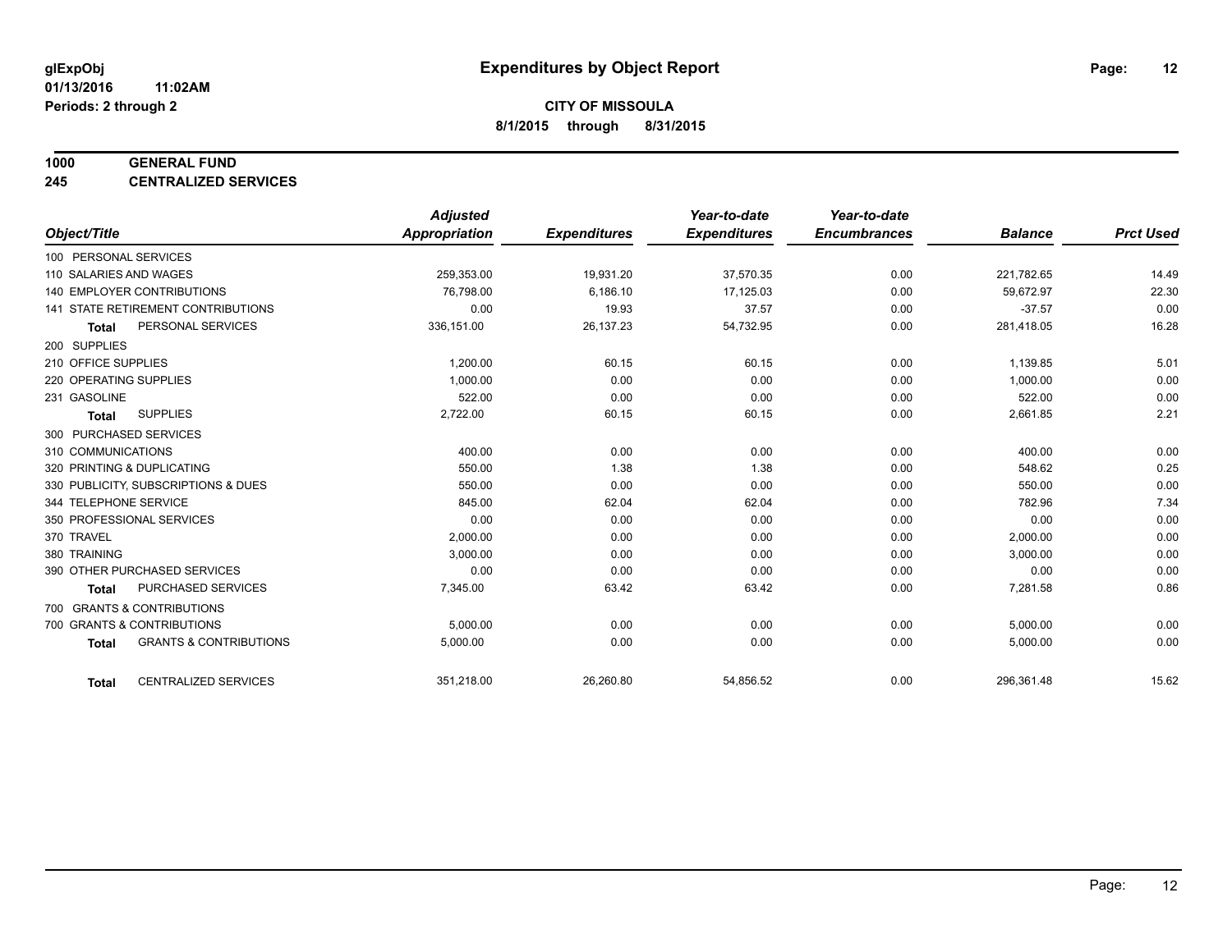#### **1000 GENERAL FUND**

**245 CENTRALIZED SERVICES**

|                        |                                     | <b>Adjusted</b> |                     | Year-to-date        | Year-to-date        |                |                  |
|------------------------|-------------------------------------|-----------------|---------------------|---------------------|---------------------|----------------|------------------|
| Object/Title           |                                     | Appropriation   | <b>Expenditures</b> | <b>Expenditures</b> | <b>Encumbrances</b> | <b>Balance</b> | <b>Prct Used</b> |
| 100 PERSONAL SERVICES  |                                     |                 |                     |                     |                     |                |                  |
| 110 SALARIES AND WAGES |                                     | 259,353.00      | 19,931.20           | 37,570.35           | 0.00                | 221,782.65     | 14.49            |
|                        | <b>140 EMPLOYER CONTRIBUTIONS</b>   | 76.798.00       | 6,186.10            | 17,125.03           | 0.00                | 59,672.97      | 22.30            |
|                        | 141 STATE RETIREMENT CONTRIBUTIONS  | 0.00            | 19.93               | 37.57               | 0.00                | $-37.57$       | 0.00             |
| <b>Total</b>           | PERSONAL SERVICES                   | 336,151.00      | 26,137.23           | 54,732.95           | 0.00                | 281,418.05     | 16.28            |
| 200 SUPPLIES           |                                     |                 |                     |                     |                     |                |                  |
| 210 OFFICE SUPPLIES    |                                     | 1,200.00        | 60.15               | 60.15               | 0.00                | 1,139.85       | 5.01             |
| 220 OPERATING SUPPLIES |                                     | 1,000.00        | 0.00                | 0.00                | 0.00                | 1,000.00       | 0.00             |
| 231 GASOLINE           |                                     | 522.00          | 0.00                | 0.00                | 0.00                | 522.00         | 0.00             |
| <b>Total</b>           | <b>SUPPLIES</b>                     | 2,722.00        | 60.15               | 60.15               | 0.00                | 2,661.85       | 2.21             |
| 300 PURCHASED SERVICES |                                     |                 |                     |                     |                     |                |                  |
| 310 COMMUNICATIONS     |                                     | 400.00          | 0.00                | 0.00                | 0.00                | 400.00         | 0.00             |
|                        | 320 PRINTING & DUPLICATING          | 550.00          | 1.38                | 1.38                | 0.00                | 548.62         | 0.25             |
|                        | 330 PUBLICITY, SUBSCRIPTIONS & DUES | 550.00          | 0.00                | 0.00                | 0.00                | 550.00         | 0.00             |
| 344 TELEPHONE SERVICE  |                                     | 845.00          | 62.04               | 62.04               | 0.00                | 782.96         | 7.34             |
|                        | 350 PROFESSIONAL SERVICES           | 0.00            | 0.00                | 0.00                | 0.00                | 0.00           | 0.00             |
| 370 TRAVEL             |                                     | 2,000.00        | 0.00                | 0.00                | 0.00                | 2,000.00       | 0.00             |
| 380 TRAINING           |                                     | 3,000.00        | 0.00                | 0.00                | 0.00                | 3,000.00       | 0.00             |
|                        | 390 OTHER PURCHASED SERVICES        | 0.00            | 0.00                | 0.00                | 0.00                | 0.00           | 0.00             |
| <b>Total</b>           | PURCHASED SERVICES                  | 7,345.00        | 63.42               | 63.42               | 0.00                | 7,281.58       | 0.86             |
|                        | 700 GRANTS & CONTRIBUTIONS          |                 |                     |                     |                     |                |                  |
|                        | 700 GRANTS & CONTRIBUTIONS          | 5,000.00        | 0.00                | 0.00                | 0.00                | 5,000.00       | 0.00             |
| <b>Total</b>           | <b>GRANTS &amp; CONTRIBUTIONS</b>   | 5,000.00        | 0.00                | 0.00                | 0.00                | 5,000.00       | 0.00             |
|                        |                                     |                 |                     |                     |                     |                |                  |
| <b>Total</b>           | <b>CENTRALIZED SERVICES</b>         | 351,218.00      | 26,260.80           | 54,856.52           | 0.00                | 296,361.48     | 15.62            |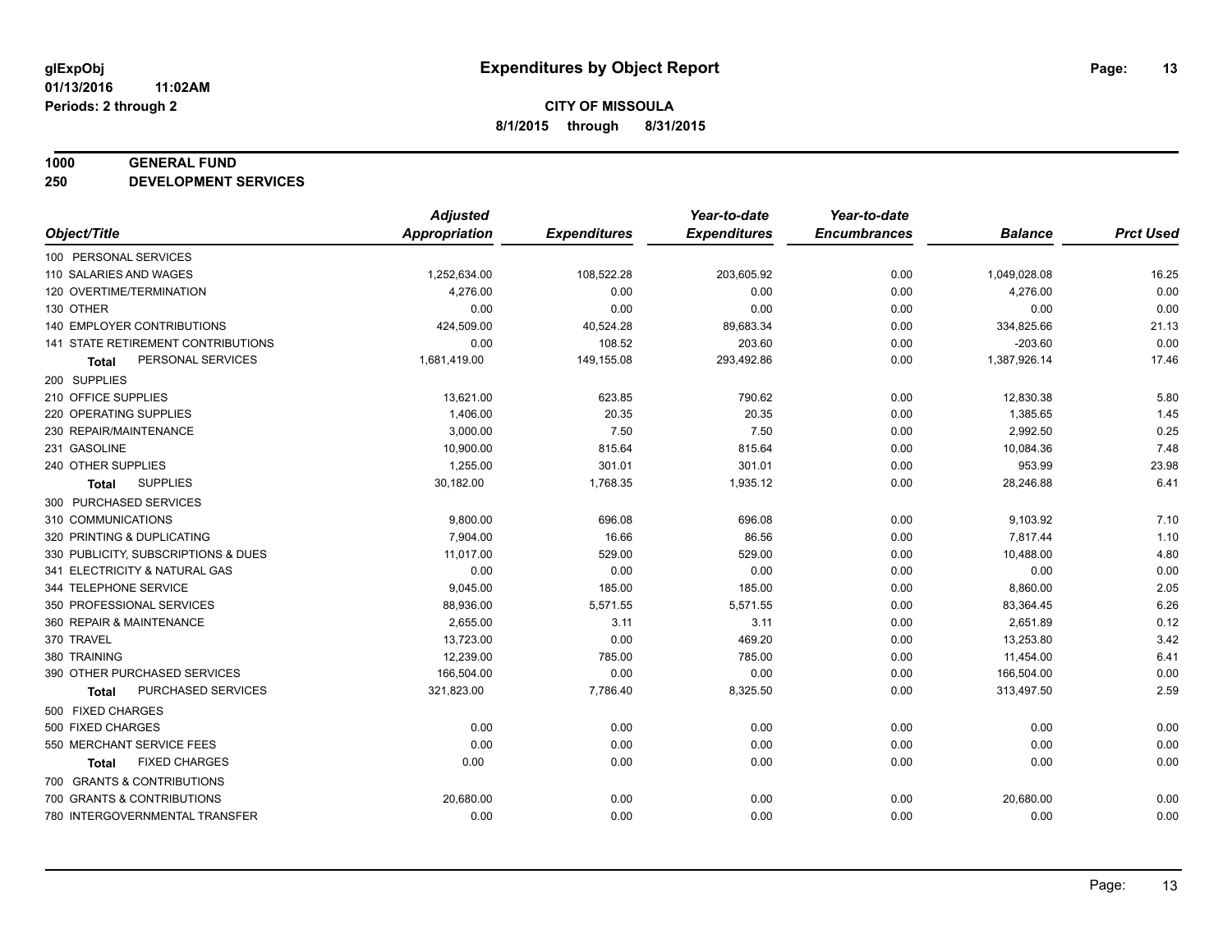#### **1000 GENERAL FUND**

**250 DEVELOPMENT SERVICES**

|                                           | <b>Adjusted</b>      |                     | Year-to-date        | Year-to-date        |                |                  |
|-------------------------------------------|----------------------|---------------------|---------------------|---------------------|----------------|------------------|
| Object/Title                              | <b>Appropriation</b> | <b>Expenditures</b> | <b>Expenditures</b> | <b>Encumbrances</b> | <b>Balance</b> | <b>Prct Used</b> |
| 100 PERSONAL SERVICES                     |                      |                     |                     |                     |                |                  |
| 110 SALARIES AND WAGES                    | 1,252,634.00         | 108,522.28          | 203,605.92          | 0.00                | 1,049,028.08   | 16.25            |
| 120 OVERTIME/TERMINATION                  | 4,276.00             | 0.00                | 0.00                | 0.00                | 4,276.00       | 0.00             |
| 130 OTHER                                 | 0.00                 | 0.00                | 0.00                | 0.00                | 0.00           | 0.00             |
| 140 EMPLOYER CONTRIBUTIONS                | 424,509.00           | 40,524.28           | 89,683.34           | 0.00                | 334,825.66     | 21.13            |
| <b>141 STATE RETIREMENT CONTRIBUTIONS</b> | 0.00                 | 108.52              | 203.60              | 0.00                | $-203.60$      | 0.00             |
| PERSONAL SERVICES<br><b>Total</b>         | 1,681,419.00         | 149,155.08          | 293,492.86          | 0.00                | 1,387,926.14   | 17.46            |
| 200 SUPPLIES                              |                      |                     |                     |                     |                |                  |
| 210 OFFICE SUPPLIES                       | 13,621.00            | 623.85              | 790.62              | 0.00                | 12,830.38      | 5.80             |
| 220 OPERATING SUPPLIES                    | 1,406.00             | 20.35               | 20.35               | 0.00                | 1,385.65       | 1.45             |
| 230 REPAIR/MAINTENANCE                    | 3,000.00             | 7.50                | 7.50                | 0.00                | 2,992.50       | 0.25             |
| 231 GASOLINE                              | 10,900.00            | 815.64              | 815.64              | 0.00                | 10,084.36      | 7.48             |
| 240 OTHER SUPPLIES                        | 1,255.00             | 301.01              | 301.01              | 0.00                | 953.99         | 23.98            |
| <b>SUPPLIES</b><br><b>Total</b>           | 30,182.00            | 1,768.35            | 1,935.12            | 0.00                | 28,246.88      | 6.41             |
| 300 PURCHASED SERVICES                    |                      |                     |                     |                     |                |                  |
| 310 COMMUNICATIONS                        | 9,800.00             | 696.08              | 696.08              | 0.00                | 9,103.92       | 7.10             |
| 320 PRINTING & DUPLICATING                | 7,904.00             | 16.66               | 86.56               | 0.00                | 7,817.44       | 1.10             |
| 330 PUBLICITY, SUBSCRIPTIONS & DUES       | 11,017.00            | 529.00              | 529.00              | 0.00                | 10,488.00      | 4.80             |
| 341 ELECTRICITY & NATURAL GAS             | 0.00                 | 0.00                | 0.00                | 0.00                | 0.00           | 0.00             |
| 344 TELEPHONE SERVICE                     | 9,045.00             | 185.00              | 185.00              | 0.00                | 8,860.00       | 2.05             |
| 350 PROFESSIONAL SERVICES                 | 88,936.00            | 5,571.55            | 5,571.55            | 0.00                | 83,364.45      | 6.26             |
| 360 REPAIR & MAINTENANCE                  | 2,655.00             | 3.11                | 3.11                | 0.00                | 2,651.89       | 0.12             |
| 370 TRAVEL                                | 13,723.00            | 0.00                | 469.20              | 0.00                | 13,253.80      | 3.42             |
| 380 TRAINING                              | 12,239.00            | 785.00              | 785.00              | 0.00                | 11,454.00      | 6.41             |
| 390 OTHER PURCHASED SERVICES              | 166,504.00           | 0.00                | 0.00                | 0.00                | 166,504.00     | 0.00             |
| PURCHASED SERVICES<br><b>Total</b>        | 321,823.00           | 7,786.40            | 8,325.50            | 0.00                | 313,497.50     | 2.59             |
| 500 FIXED CHARGES                         |                      |                     |                     |                     |                |                  |
| 500 FIXED CHARGES                         | 0.00                 | 0.00                | 0.00                | 0.00                | 0.00           | 0.00             |
| 550 MERCHANT SERVICE FEES                 | 0.00                 | 0.00                | 0.00                | 0.00                | 0.00           | 0.00             |
| <b>FIXED CHARGES</b><br><b>Total</b>      | 0.00                 | 0.00                | 0.00                | 0.00                | 0.00           | 0.00             |
| 700 GRANTS & CONTRIBUTIONS                |                      |                     |                     |                     |                |                  |
| 700 GRANTS & CONTRIBUTIONS                | 20,680.00            | 0.00                | 0.00                | 0.00                | 20,680.00      | 0.00             |
| 780 INTERGOVERNMENTAL TRANSFER            | 0.00                 | 0.00                | 0.00                | 0.00                | 0.00           | 0.00             |
|                                           |                      |                     |                     |                     |                |                  |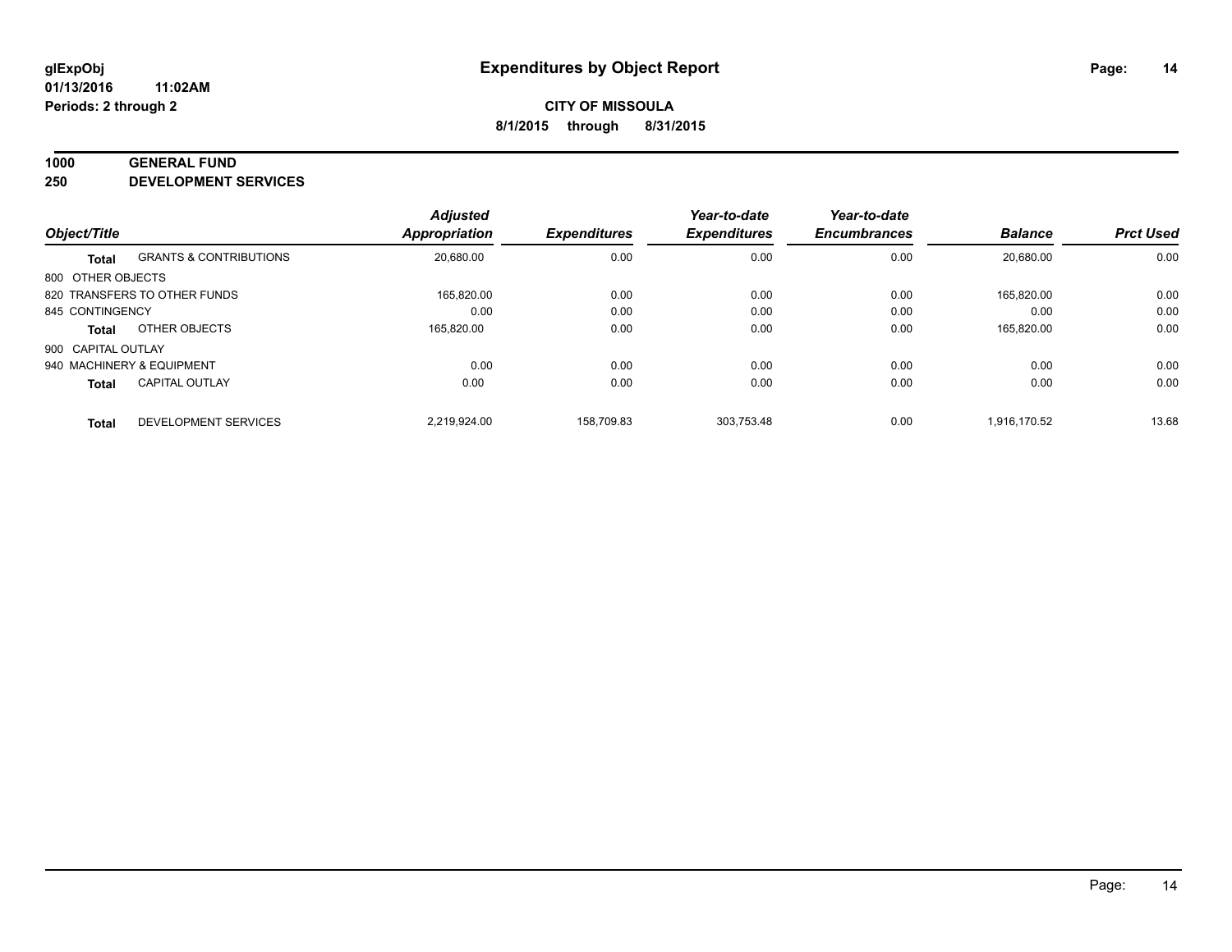#### **1000 GENERAL FUND**

**250 DEVELOPMENT SERVICES**

| Object/Title       |                                   | <b>Adjusted</b><br>Appropriation | <b>Expenditures</b> | Year-to-date<br><b>Expenditures</b> | Year-to-date<br><b>Encumbrances</b> | <b>Balance</b> | <b>Prct Used</b> |
|--------------------|-----------------------------------|----------------------------------|---------------------|-------------------------------------|-------------------------------------|----------------|------------------|
| <b>Total</b>       | <b>GRANTS &amp; CONTRIBUTIONS</b> | 20,680.00                        | 0.00                | 0.00                                | 0.00                                | 20.680.00      | 0.00             |
| 800 OTHER OBJECTS  |                                   |                                  |                     |                                     |                                     |                |                  |
|                    | 820 TRANSFERS TO OTHER FUNDS      | 165.820.00                       | 0.00                | 0.00                                | 0.00                                | 165.820.00     | 0.00             |
| 845 CONTINGENCY    |                                   | 0.00                             | 0.00                | 0.00                                | 0.00                                | 0.00           | 0.00             |
| <b>Total</b>       | OTHER OBJECTS                     | 165,820.00                       | 0.00                | 0.00                                | 0.00                                | 165,820.00     | 0.00             |
| 900 CAPITAL OUTLAY |                                   |                                  |                     |                                     |                                     |                |                  |
|                    | 940 MACHINERY & EQUIPMENT         | 0.00                             | 0.00                | 0.00                                | 0.00                                | 0.00           | 0.00             |
| <b>Total</b>       | <b>CAPITAL OUTLAY</b>             | 0.00                             | 0.00                | 0.00                                | 0.00                                | 0.00           | 0.00             |
| <b>Total</b>       | DEVELOPMENT SERVICES              | 2.219.924.00                     | 158.709.83          | 303.753.48                          | 0.00                                | 1.916.170.52   | 13.68            |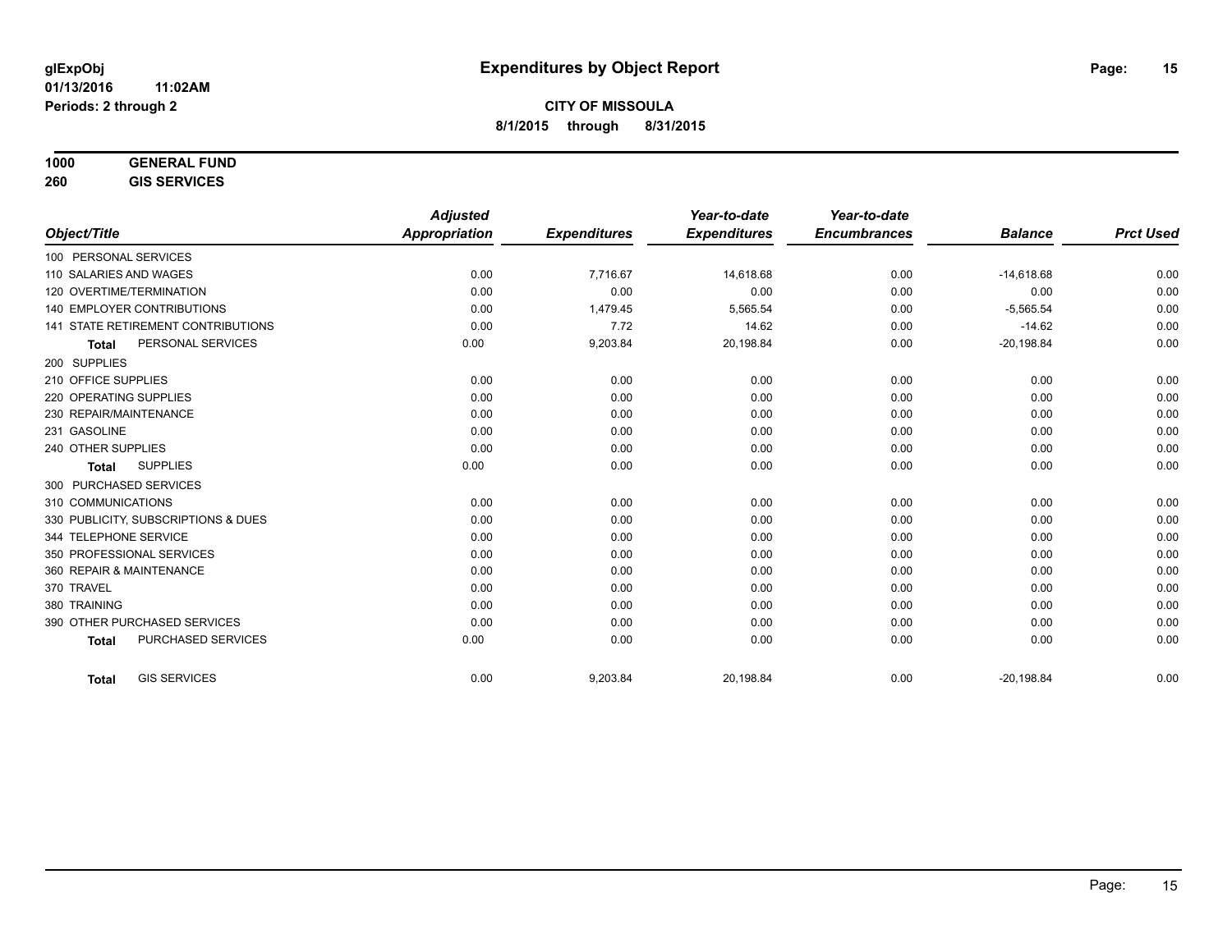| 1000 | <b>GENERAL FUND</b> |  |
|------|---------------------|--|
|      |                     |  |

**260 GIS SERVICES**

| <b>Adjusted</b>                                                                                                                                                                                                                                                                                                                                                                                                                                                                           |                     | Year-to-date        | Year-to-date        |                |                  |
|-------------------------------------------------------------------------------------------------------------------------------------------------------------------------------------------------------------------------------------------------------------------------------------------------------------------------------------------------------------------------------------------------------------------------------------------------------------------------------------------|---------------------|---------------------|---------------------|----------------|------------------|
| <b>Appropriation</b>                                                                                                                                                                                                                                                                                                                                                                                                                                                                      | <b>Expenditures</b> | <b>Expenditures</b> | <b>Encumbrances</b> | <b>Balance</b> | <b>Prct Used</b> |
|                                                                                                                                                                                                                                                                                                                                                                                                                                                                                           |                     |                     |                     |                |                  |
| 0.00                                                                                                                                                                                                                                                                                                                                                                                                                                                                                      | 7,716.67            | 14.618.68           | 0.00                | $-14,618.68$   | 0.00             |
| 0.00                                                                                                                                                                                                                                                                                                                                                                                                                                                                                      | 0.00                | 0.00                | 0.00                | 0.00           | 0.00             |
| 0.00                                                                                                                                                                                                                                                                                                                                                                                                                                                                                      | 1,479.45            | 5,565.54            | 0.00                | $-5,565.54$    | 0.00             |
| 0.00                                                                                                                                                                                                                                                                                                                                                                                                                                                                                      | 7.72                | 14.62               | 0.00                | $-14.62$       | 0.00             |
| 0.00                                                                                                                                                                                                                                                                                                                                                                                                                                                                                      | 9,203.84            | 20,198.84           | 0.00                | $-20,198.84$   | 0.00             |
|                                                                                                                                                                                                                                                                                                                                                                                                                                                                                           |                     |                     |                     |                |                  |
| 0.00                                                                                                                                                                                                                                                                                                                                                                                                                                                                                      | 0.00                | 0.00                | 0.00                | 0.00           | 0.00             |
| 0.00                                                                                                                                                                                                                                                                                                                                                                                                                                                                                      | 0.00                | 0.00                | 0.00                | 0.00           | 0.00             |
| 0.00                                                                                                                                                                                                                                                                                                                                                                                                                                                                                      | 0.00                | 0.00                | 0.00                | 0.00           | 0.00             |
| 0.00                                                                                                                                                                                                                                                                                                                                                                                                                                                                                      | 0.00                | 0.00                | 0.00                | 0.00           | 0.00             |
| 0.00                                                                                                                                                                                                                                                                                                                                                                                                                                                                                      | 0.00                | 0.00                | 0.00                | 0.00           | 0.00             |
| 0.00                                                                                                                                                                                                                                                                                                                                                                                                                                                                                      | 0.00                | 0.00                | 0.00                | 0.00           | 0.00             |
|                                                                                                                                                                                                                                                                                                                                                                                                                                                                                           |                     |                     |                     |                |                  |
| 0.00                                                                                                                                                                                                                                                                                                                                                                                                                                                                                      | 0.00                | 0.00                | 0.00                | 0.00           | 0.00             |
| 0.00                                                                                                                                                                                                                                                                                                                                                                                                                                                                                      | 0.00                | 0.00                | 0.00                | 0.00           | 0.00             |
| 0.00                                                                                                                                                                                                                                                                                                                                                                                                                                                                                      | 0.00                | 0.00                | 0.00                | 0.00           | 0.00             |
| 0.00                                                                                                                                                                                                                                                                                                                                                                                                                                                                                      | 0.00                | 0.00                | 0.00                | 0.00           | 0.00             |
| 0.00                                                                                                                                                                                                                                                                                                                                                                                                                                                                                      | 0.00                | 0.00                | 0.00                | 0.00           | 0.00             |
| 0.00                                                                                                                                                                                                                                                                                                                                                                                                                                                                                      | 0.00                | 0.00                | 0.00                | 0.00           | 0.00             |
| 0.00                                                                                                                                                                                                                                                                                                                                                                                                                                                                                      | 0.00                | 0.00                | 0.00                | 0.00           | 0.00             |
| 0.00                                                                                                                                                                                                                                                                                                                                                                                                                                                                                      | 0.00                | 0.00                | 0.00                | 0.00           | 0.00             |
| 0.00                                                                                                                                                                                                                                                                                                                                                                                                                                                                                      | 0.00                | 0.00                | 0.00                | 0.00           | 0.00             |
|                                                                                                                                                                                                                                                                                                                                                                                                                                                                                           |                     |                     |                     |                | 0.00             |
| 100 PERSONAL SERVICES<br>110 SALARIES AND WAGES<br>120 OVERTIME/TERMINATION<br><b>140 EMPLOYER CONTRIBUTIONS</b><br><b>141 STATE RETIREMENT CONTRIBUTIONS</b><br>PERSONAL SERVICES<br>220 OPERATING SUPPLIES<br>230 REPAIR/MAINTENANCE<br><b>SUPPLIES</b><br>300 PURCHASED SERVICES<br>330 PUBLICITY, SUBSCRIPTIONS & DUES<br>344 TELEPHONE SERVICE<br>350 PROFESSIONAL SERVICES<br>360 REPAIR & MAINTENANCE<br>390 OTHER PURCHASED SERVICES<br>PURCHASED SERVICES<br><b>GIS SERVICES</b> | 0.00                | 9,203.84            | 20,198.84           | 0.00           | $-20,198.84$     |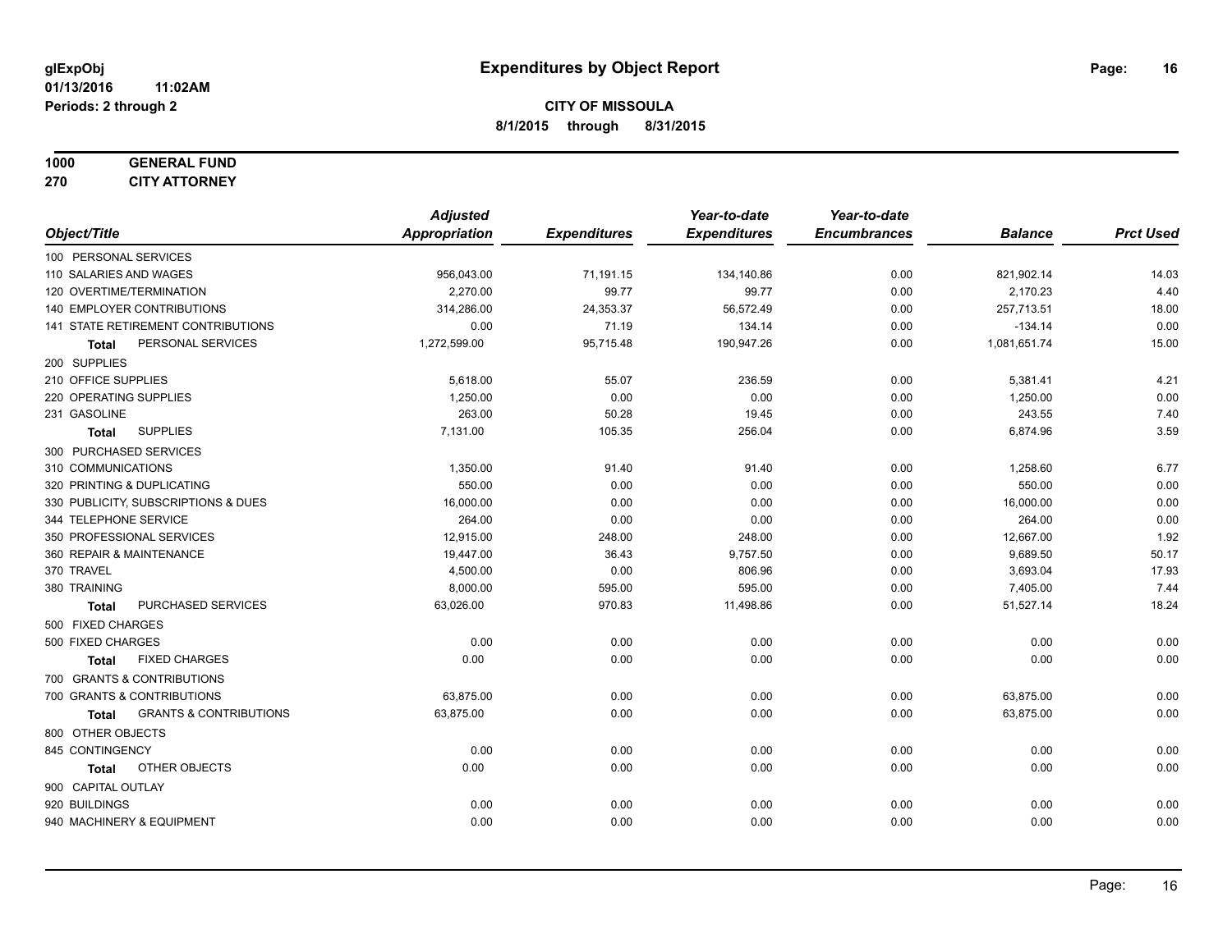#### **1000 GENERAL FUND 270 CITY ATTORNEY**

|                                                   | <b>Adjusted</b> |                     | Year-to-date        | Year-to-date        |                |                  |
|---------------------------------------------------|-----------------|---------------------|---------------------|---------------------|----------------|------------------|
| Object/Title                                      | Appropriation   | <b>Expenditures</b> | <b>Expenditures</b> | <b>Encumbrances</b> | <b>Balance</b> | <b>Prct Used</b> |
| 100 PERSONAL SERVICES                             |                 |                     |                     |                     |                |                  |
| 110 SALARIES AND WAGES                            | 956,043.00      | 71,191.15           | 134,140.86          | 0.00                | 821,902.14     | 14.03            |
| 120 OVERTIME/TERMINATION                          | 2,270.00        | 99.77               | 99.77               | 0.00                | 2,170.23       | 4.40             |
| <b>140 EMPLOYER CONTRIBUTIONS</b>                 | 314,286.00      | 24,353.37           | 56,572.49           | 0.00                | 257,713.51     | 18.00            |
| 141 STATE RETIREMENT CONTRIBUTIONS                | 0.00            | 71.19               | 134.14              | 0.00                | $-134.14$      | 0.00             |
| PERSONAL SERVICES<br><b>Total</b>                 | 1,272,599.00    | 95,715.48           | 190,947.26          | 0.00                | 1,081,651.74   | 15.00            |
| 200 SUPPLIES                                      |                 |                     |                     |                     |                |                  |
| 210 OFFICE SUPPLIES                               | 5,618.00        | 55.07               | 236.59              | 0.00                | 5,381.41       | 4.21             |
| 220 OPERATING SUPPLIES                            | 1,250.00        | 0.00                | 0.00                | 0.00                | 1,250.00       | 0.00             |
| 231 GASOLINE                                      | 263.00          | 50.28               | 19.45               | 0.00                | 243.55         | 7.40             |
| <b>SUPPLIES</b><br>Total                          | 7,131.00        | 105.35              | 256.04              | 0.00                | 6,874.96       | 3.59             |
| 300 PURCHASED SERVICES                            |                 |                     |                     |                     |                |                  |
| 310 COMMUNICATIONS                                | 1,350.00        | 91.40               | 91.40               | 0.00                | 1,258.60       | 6.77             |
| 320 PRINTING & DUPLICATING                        | 550.00          | 0.00                | 0.00                | 0.00                | 550.00         | 0.00             |
| 330 PUBLICITY, SUBSCRIPTIONS & DUES               | 16,000.00       | 0.00                | 0.00                | 0.00                | 16,000.00      | 0.00             |
| 344 TELEPHONE SERVICE                             | 264.00          | 0.00                | 0.00                | 0.00                | 264.00         | 0.00             |
| 350 PROFESSIONAL SERVICES                         | 12,915.00       | 248.00              | 248.00              | 0.00                | 12,667.00      | 1.92             |
| 360 REPAIR & MAINTENANCE                          | 19,447.00       | 36.43               | 9,757.50            | 0.00                | 9,689.50       | 50.17            |
| 370 TRAVEL                                        | 4,500.00        | 0.00                | 806.96              | 0.00                | 3,693.04       | 17.93            |
| 380 TRAINING                                      | 8,000.00        | 595.00              | 595.00              | 0.00                | 7,405.00       | 7.44             |
| PURCHASED SERVICES<br><b>Total</b>                | 63,026.00       | 970.83              | 11,498.86           | 0.00                | 51,527.14      | 18.24            |
| 500 FIXED CHARGES                                 |                 |                     |                     |                     |                |                  |
| 500 FIXED CHARGES                                 | 0.00            | 0.00                | 0.00                | 0.00                | 0.00           | 0.00             |
| <b>FIXED CHARGES</b><br><b>Total</b>              | 0.00            | 0.00                | 0.00                | 0.00                | 0.00           | 0.00             |
| 700 GRANTS & CONTRIBUTIONS                        |                 |                     |                     |                     |                |                  |
| 700 GRANTS & CONTRIBUTIONS                        | 63,875.00       | 0.00                | 0.00                | 0.00                | 63,875.00      | 0.00             |
| <b>GRANTS &amp; CONTRIBUTIONS</b><br><b>Total</b> | 63,875.00       | 0.00                | 0.00                | 0.00                | 63,875.00      | 0.00             |
| 800 OTHER OBJECTS                                 |                 |                     |                     |                     |                |                  |
| 845 CONTINGENCY                                   | 0.00            | 0.00                | 0.00                | 0.00                | 0.00           | 0.00             |
| OTHER OBJECTS<br><b>Total</b>                     | 0.00            | 0.00                | 0.00                | 0.00                | 0.00           | 0.00             |
| 900 CAPITAL OUTLAY                                |                 |                     |                     |                     |                |                  |
| 920 BUILDINGS                                     | 0.00            | 0.00                | 0.00                | 0.00                | 0.00           | 0.00             |
| 940 MACHINERY & EQUIPMENT                         | 0.00            | 0.00                | 0.00                | 0.00                | 0.00           | 0.00             |
|                                                   |                 |                     |                     |                     |                |                  |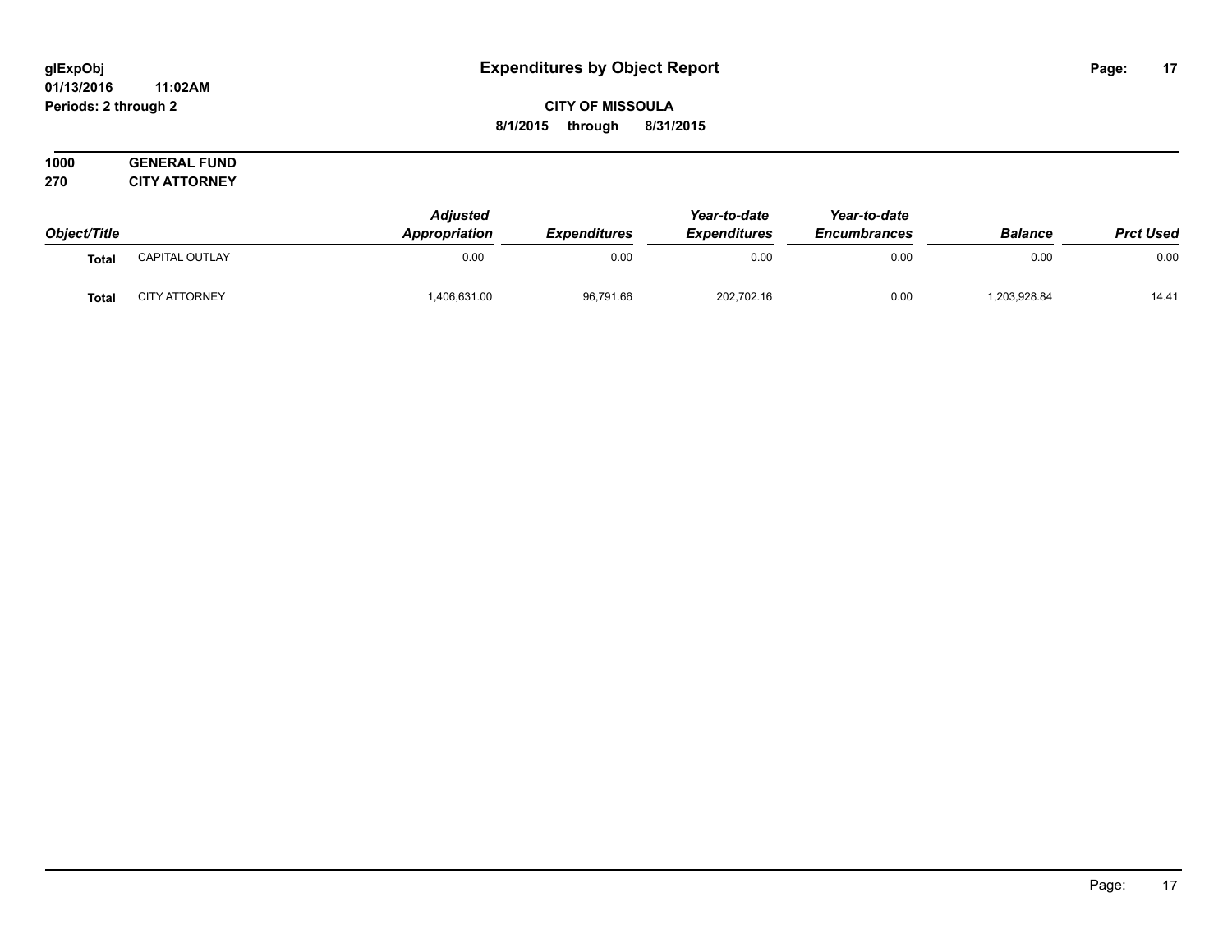#### **01/13/2016 11:02AM Periods: 2 through 2**

**CITY OF MISSOULA 8/1/2015 through 8/31/2015**

| Object/Title |                      | <b>Adjusted</b><br><b>Appropriation</b> | <b>Expenditures</b> | Year-to-date<br><b>Expenditures</b> | Year-to-date<br><b>Encumbrances</b> | <b>Balance</b> | <b>Prct Used</b> |
|--------------|----------------------|-----------------------------------------|---------------------|-------------------------------------|-------------------------------------|----------------|------------------|
| Tota.        | CAPITAL OUTLAY       | 0.00                                    | 0.00                | 0.00                                | 0.00                                | 0.00           | 0.00             |
| Tota.        | <b>CITY ATTORNEY</b> | 1.406.631.00                            | 96,791.66           | 202,702.16                          | 0.00                                | 1,203,928.84   | 14.41            |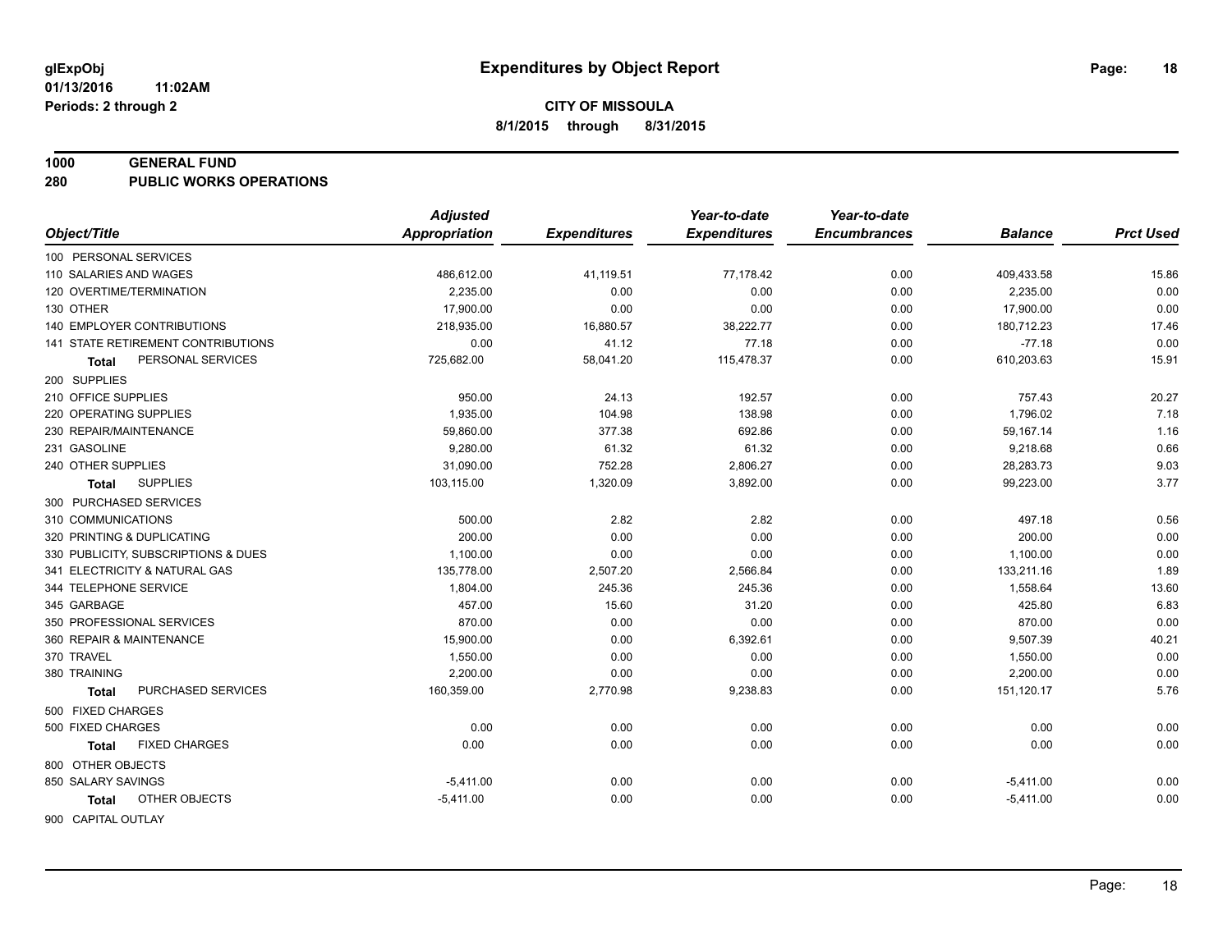#### **1000 GENERAL FUND**

**280 PUBLIC WORKS OPERATIONS**

|                                     | <b>Adjusted</b>      |                     | Year-to-date        | Year-to-date        |                |                  |
|-------------------------------------|----------------------|---------------------|---------------------|---------------------|----------------|------------------|
| Object/Title                        | <b>Appropriation</b> | <b>Expenditures</b> | <b>Expenditures</b> | <b>Encumbrances</b> | <b>Balance</b> | <b>Prct Used</b> |
| 100 PERSONAL SERVICES               |                      |                     |                     |                     |                |                  |
| 110 SALARIES AND WAGES              | 486,612.00           | 41,119.51           | 77,178.42           | 0.00                | 409,433.58     | 15.86            |
| 120 OVERTIME/TERMINATION            | 2.235.00             | 0.00                | 0.00                | 0.00                | 2,235.00       | 0.00             |
| 130 OTHER                           | 17,900.00            | 0.00                | 0.00                | 0.00                | 17,900.00      | 0.00             |
| <b>140 EMPLOYER CONTRIBUTIONS</b>   | 218,935.00           | 16,880.57           | 38,222.77           | 0.00                | 180,712.23     | 17.46            |
| 141 STATE RETIREMENT CONTRIBUTIONS  | 0.00                 | 41.12               | 77.18               | 0.00                | $-77.18$       | 0.00             |
| PERSONAL SERVICES<br>Total          | 725,682.00           | 58,041.20           | 115,478.37          | 0.00                | 610,203.63     | 15.91            |
| 200 SUPPLIES                        |                      |                     |                     |                     |                |                  |
| 210 OFFICE SUPPLIES                 | 950.00               | 24.13               | 192.57              | 0.00                | 757.43         | 20.27            |
| 220 OPERATING SUPPLIES              | 1,935.00             | 104.98              | 138.98              | 0.00                | 1,796.02       | 7.18             |
| 230 REPAIR/MAINTENANCE              | 59,860.00            | 377.38              | 692.86              | 0.00                | 59,167.14      | 1.16             |
| 231 GASOLINE                        | 9,280.00             | 61.32               | 61.32               | 0.00                | 9,218.68       | 0.66             |
| 240 OTHER SUPPLIES                  | 31,090.00            | 752.28              | 2,806.27            | 0.00                | 28,283.73      | 9.03             |
| <b>SUPPLIES</b><br>Total            | 103,115.00           | 1,320.09            | 3,892.00            | 0.00                | 99,223.00      | 3.77             |
| 300 PURCHASED SERVICES              |                      |                     |                     |                     |                |                  |
| 310 COMMUNICATIONS                  | 500.00               | 2.82                | 2.82                | 0.00                | 497.18         | 0.56             |
| 320 PRINTING & DUPLICATING          | 200.00               | 0.00                | 0.00                | 0.00                | 200.00         | 0.00             |
| 330 PUBLICITY, SUBSCRIPTIONS & DUES | 1,100.00             | 0.00                | 0.00                | 0.00                | 1,100.00       | 0.00             |
| 341 ELECTRICITY & NATURAL GAS       | 135,778.00           | 2,507.20            | 2,566.84            | 0.00                | 133,211.16     | 1.89             |
| 344 TELEPHONE SERVICE               | 1,804.00             | 245.36              | 245.36              | 0.00                | 1,558.64       | 13.60            |
| 345 GARBAGE                         | 457.00               | 15.60               | 31.20               | 0.00                | 425.80         | 6.83             |
| 350 PROFESSIONAL SERVICES           | 870.00               | 0.00                | 0.00                | 0.00                | 870.00         | 0.00             |
| 360 REPAIR & MAINTENANCE            | 15,900.00            | 0.00                | 6,392.61            | 0.00                | 9,507.39       | 40.21            |
| 370 TRAVEL                          | 1,550.00             | 0.00                | 0.00                | 0.00                | 1,550.00       | 0.00             |
| 380 TRAINING                        | 2,200.00             | 0.00                | 0.00                | 0.00                | 2,200.00       | 0.00             |
| PURCHASED SERVICES<br><b>Total</b>  | 160,359.00           | 2,770.98            | 9,238.83            | 0.00                | 151,120.17     | 5.76             |
| 500 FIXED CHARGES                   |                      |                     |                     |                     |                |                  |
| 500 FIXED CHARGES                   | 0.00                 | 0.00                | 0.00                | 0.00                | 0.00           | 0.00             |
| <b>FIXED CHARGES</b><br>Total       | 0.00                 | 0.00                | 0.00                | 0.00                | 0.00           | 0.00             |
| 800 OTHER OBJECTS                   |                      |                     |                     |                     |                |                  |
| 850 SALARY SAVINGS                  | $-5,411.00$          | 0.00                | 0.00                | 0.00                | $-5,411.00$    | 0.00             |
| OTHER OBJECTS<br>Total              | $-5,411.00$          | 0.00                | 0.00                | 0.00                | $-5,411.00$    | 0.00             |
| 900 CAPITAL OUTLAY                  |                      |                     |                     |                     |                |                  |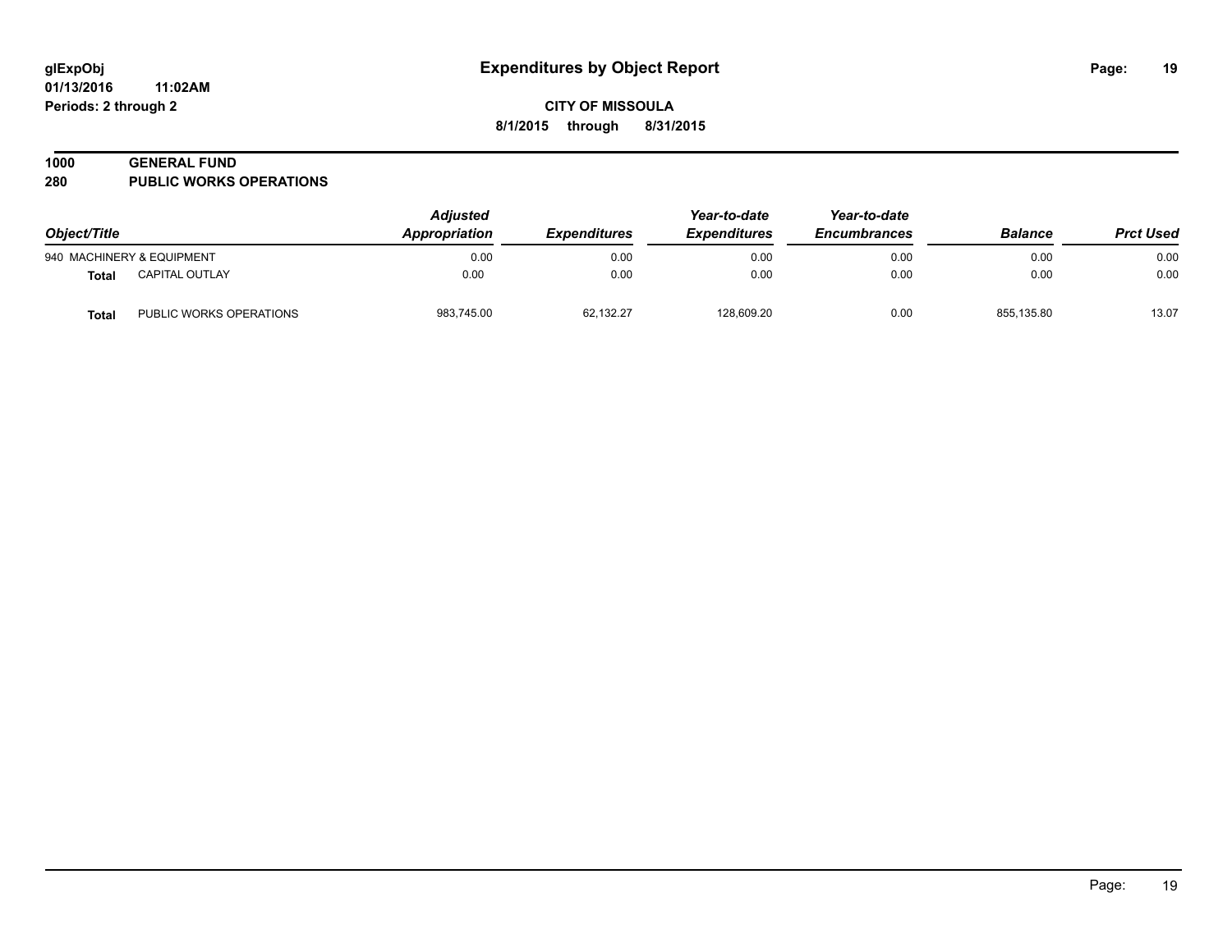#### **1000 GENERAL FUND**

**280 PUBLIC WORKS OPERATIONS**

| Object/Title |                           | <b>Adjusted</b><br>Appropriation<br><i><b>Expenditures</b></i> | Year-to-date<br><b>Expenditures</b> | Year-to-date<br><b>Encumbrances</b> | <b>Balance</b> | <b>Prct Used</b> |       |
|--------------|---------------------------|----------------------------------------------------------------|-------------------------------------|-------------------------------------|----------------|------------------|-------|
|              | 940 MACHINERY & EQUIPMENT | 0.00                                                           | 0.00                                | 0.00                                | 0.00           | 0.00             | 0.00  |
| Total        | <b>CAPITAL OUTLAY</b>     | 0.00                                                           | 0.00                                | 0.00                                | 0.00           | 0.00             | 0.00  |
| Total        | PUBLIC WORKS OPERATIONS   | 983,745.00                                                     | 62,132.27                           | 128,609.20                          | 0.00           | 855,135.80       | 13.07 |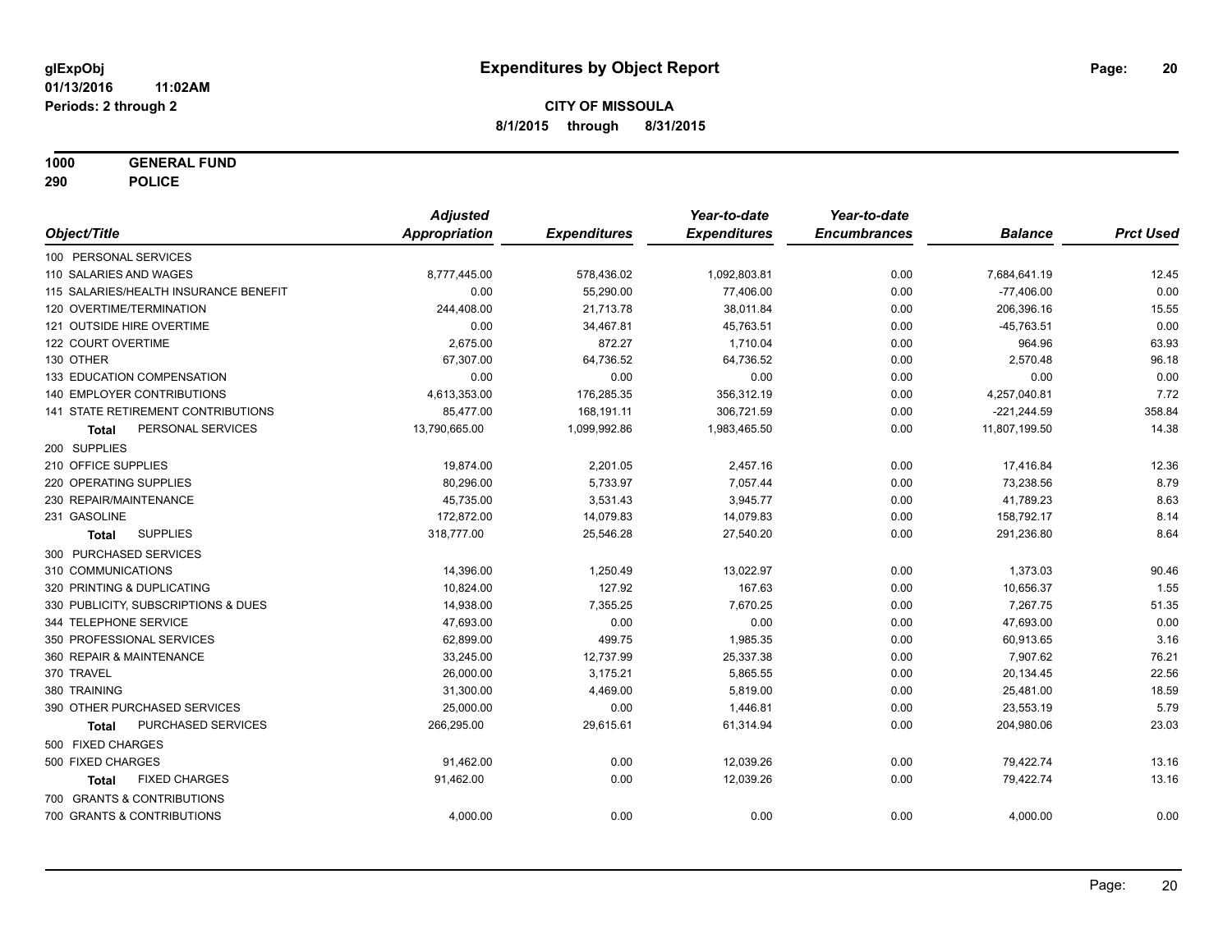**1000 GENERAL FUND**

**290 POLICE**

|                                           | <b>Adjusted</b>      |                     | Year-to-date        | Year-to-date        |                |                  |
|-------------------------------------------|----------------------|---------------------|---------------------|---------------------|----------------|------------------|
| Object/Title                              | <b>Appropriation</b> | <b>Expenditures</b> | <b>Expenditures</b> | <b>Encumbrances</b> | <b>Balance</b> | <b>Prct Used</b> |
| 100 PERSONAL SERVICES                     |                      |                     |                     |                     |                |                  |
| 110 SALARIES AND WAGES                    | 8,777,445.00         | 578,436.02          | 1,092,803.81        | 0.00                | 7,684,641.19   | 12.45            |
| 115 SALARIES/HEALTH INSURANCE BENEFIT     | 0.00                 | 55,290.00           | 77,406.00           | 0.00                | $-77,406.00$   | 0.00             |
| 120 OVERTIME/TERMINATION                  | 244,408.00           | 21,713.78           | 38,011.84           | 0.00                | 206,396.16     | 15.55            |
| 121 OUTSIDE HIRE OVERTIME                 | 0.00                 | 34,467.81           | 45,763.51           | 0.00                | $-45,763.51$   | 0.00             |
| 122 COURT OVERTIME                        | 2,675.00             | 872.27              | 1,710.04            | 0.00                | 964.96         | 63.93            |
| 130 OTHER                                 | 67,307.00            | 64,736.52           | 64,736.52           | 0.00                | 2,570.48       | 96.18            |
| 133 EDUCATION COMPENSATION                | 0.00                 | 0.00                | 0.00                | 0.00                | 0.00           | 0.00             |
| 140 EMPLOYER CONTRIBUTIONS                | 4,613,353.00         | 176,285.35          | 356,312.19          | 0.00                | 4,257,040.81   | 7.72             |
| <b>141 STATE RETIREMENT CONTRIBUTIONS</b> | 85,477.00            | 168,191.11          | 306,721.59          | 0.00                | $-221,244.59$  | 358.84           |
| PERSONAL SERVICES<br>Total                | 13,790,665.00        | 1,099,992.86        | 1,983,465.50        | 0.00                | 11,807,199.50  | 14.38            |
| 200 SUPPLIES                              |                      |                     |                     |                     |                |                  |
| 210 OFFICE SUPPLIES                       | 19,874.00            | 2,201.05            | 2,457.16            | 0.00                | 17,416.84      | 12.36            |
| 220 OPERATING SUPPLIES                    | 80,296.00            | 5,733.97            | 7,057.44            | 0.00                | 73,238.56      | 8.79             |
| 230 REPAIR/MAINTENANCE                    | 45,735.00            | 3,531.43            | 3,945.77            | 0.00                | 41,789.23      | 8.63             |
| 231 GASOLINE                              | 172,872.00           | 14,079.83           | 14,079.83           | 0.00                | 158,792.17     | 8.14             |
| <b>SUPPLIES</b><br><b>Total</b>           | 318,777.00           | 25,546.28           | 27,540.20           | 0.00                | 291,236.80     | 8.64             |
| 300 PURCHASED SERVICES                    |                      |                     |                     |                     |                |                  |
| 310 COMMUNICATIONS                        | 14,396.00            | 1,250.49            | 13,022.97           | 0.00                | 1,373.03       | 90.46            |
| 320 PRINTING & DUPLICATING                | 10,824.00            | 127.92              | 167.63              | 0.00                | 10,656.37      | 1.55             |
| 330 PUBLICITY, SUBSCRIPTIONS & DUES       | 14,938.00            | 7,355.25            | 7,670.25            | 0.00                | 7,267.75       | 51.35            |
| 344 TELEPHONE SERVICE                     | 47,693.00            | 0.00                | 0.00                | 0.00                | 47,693.00      | 0.00             |
| 350 PROFESSIONAL SERVICES                 | 62,899.00            | 499.75              | 1,985.35            | 0.00                | 60,913.65      | 3.16             |
| 360 REPAIR & MAINTENANCE                  | 33,245.00            | 12,737.99           | 25,337.38           | 0.00                | 7,907.62       | 76.21            |
| 370 TRAVEL                                | 26,000.00            | 3,175.21            | 5,865.55            | 0.00                | 20,134.45      | 22.56            |
| 380 TRAINING                              | 31,300.00            | 4,469.00            | 5,819.00            | 0.00                | 25,481.00      | 18.59            |
| 390 OTHER PURCHASED SERVICES              | 25,000.00            | 0.00                | 1,446.81            | 0.00                | 23,553.19      | 5.79             |
| PURCHASED SERVICES<br>Total               | 266,295.00           | 29,615.61           | 61,314.94           | 0.00                | 204,980.06     | 23.03            |
| 500 FIXED CHARGES                         |                      |                     |                     |                     |                |                  |
| 500 FIXED CHARGES                         | 91,462.00            | 0.00                | 12,039.26           | 0.00                | 79,422.74      | 13.16            |
| <b>FIXED CHARGES</b><br>Total             | 91,462.00            | 0.00                | 12,039.26           | 0.00                | 79,422.74      | 13.16            |
| 700 GRANTS & CONTRIBUTIONS                |                      |                     |                     |                     |                |                  |
| 700 GRANTS & CONTRIBUTIONS                | 4,000.00             | 0.00                | 0.00                | 0.00                | 4,000.00       | 0.00             |
|                                           |                      |                     |                     |                     |                |                  |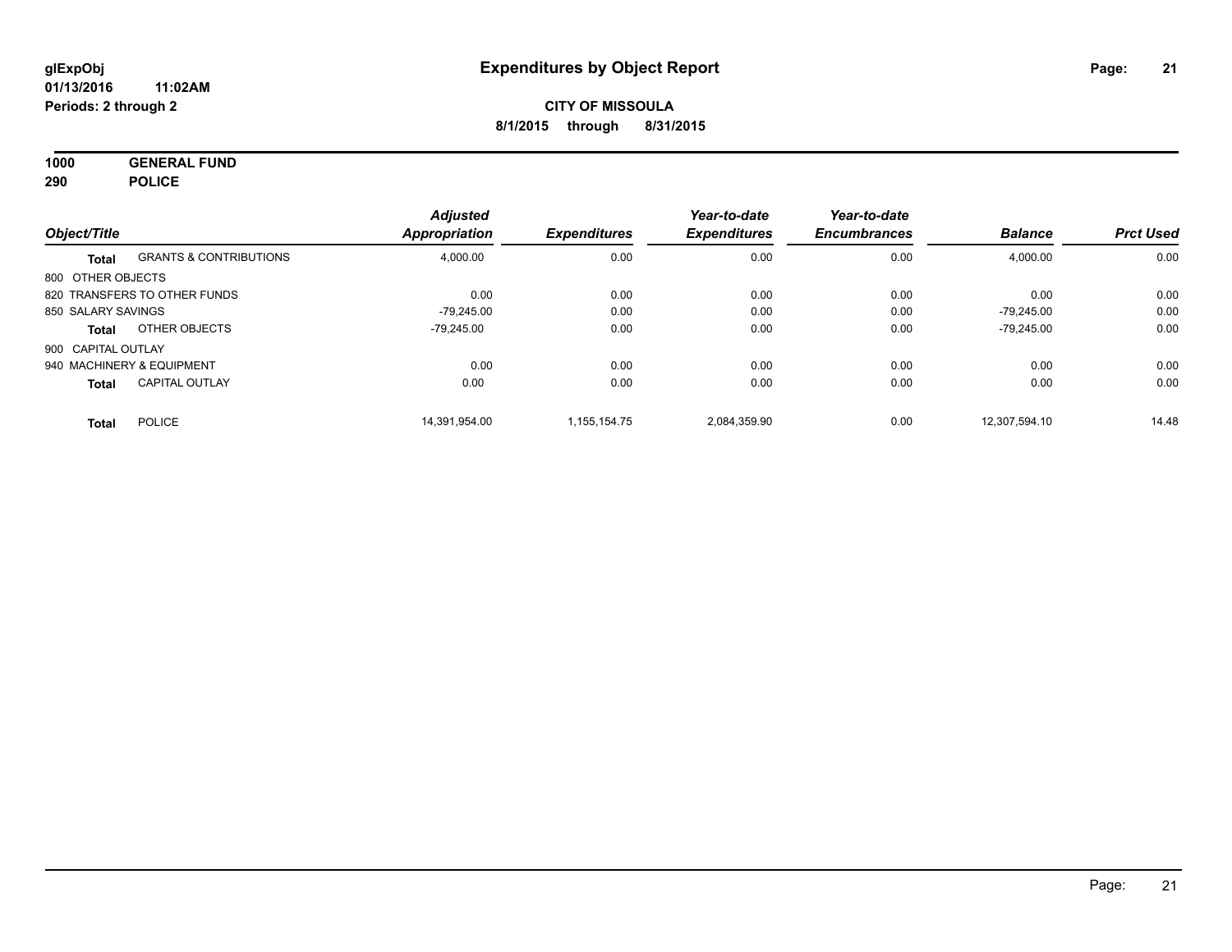**1000 GENERAL FUND 290 POLICE**

| Object/Title       |                                   | <b>Adjusted</b><br><b>Appropriation</b> | <b>Expenditures</b> | Year-to-date<br><b>Expenditures</b> | Year-to-date<br><b>Encumbrances</b> | <b>Balance</b> | <b>Prct Used</b> |
|--------------------|-----------------------------------|-----------------------------------------|---------------------|-------------------------------------|-------------------------------------|----------------|------------------|
|                    | <b>GRANTS &amp; CONTRIBUTIONS</b> | 4,000.00                                | 0.00                | 0.00                                | 0.00                                | 4,000.00       | 0.00             |
| <b>Total</b>       |                                   |                                         |                     |                                     |                                     |                |                  |
| 800 OTHER OBJECTS  |                                   |                                         |                     |                                     |                                     |                |                  |
|                    | 820 TRANSFERS TO OTHER FUNDS      | 0.00                                    | 0.00                | 0.00                                | 0.00                                | 0.00           | 0.00             |
| 850 SALARY SAVINGS |                                   | -79.245.00                              | 0.00                | 0.00                                | 0.00                                | $-79.245.00$   | 0.00             |
| Total              | OTHER OBJECTS                     | -79.245.00                              | 0.00                | 0.00                                | 0.00                                | $-79.245.00$   | 0.00             |
| 900 CAPITAL OUTLAY |                                   |                                         |                     |                                     |                                     |                |                  |
|                    | 940 MACHINERY & EQUIPMENT         | 0.00                                    | 0.00                | 0.00                                | 0.00                                | 0.00           | 0.00             |
| <b>Total</b>       | <b>CAPITAL OUTLAY</b>             | 0.00                                    | 0.00                | 0.00                                | 0.00                                | 0.00           | 0.00             |
| <b>Total</b>       | <b>POLICE</b>                     | 14.391.954.00                           | 1.155.154.75        | 2.084.359.90                        | 0.00                                | 12.307.594.10  | 14.48            |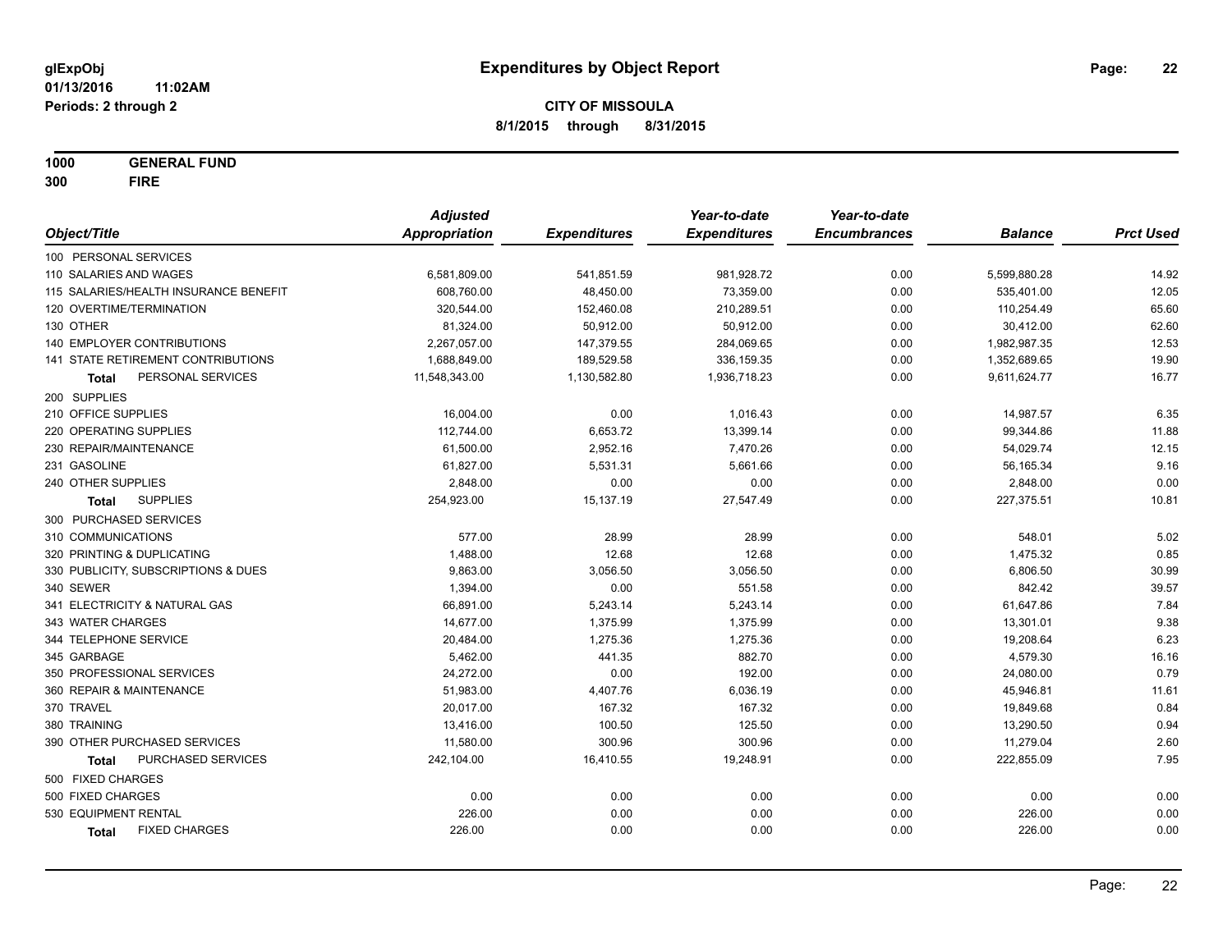**1000 GENERAL FUND 300 FIRE**

|                                       | <b>Adjusted</b>      |                     | Year-to-date        | Year-to-date        |                |                  |
|---------------------------------------|----------------------|---------------------|---------------------|---------------------|----------------|------------------|
| Object/Title                          | <b>Appropriation</b> | <b>Expenditures</b> | <b>Expenditures</b> | <b>Encumbrances</b> | <b>Balance</b> | <b>Prct Used</b> |
| 100 PERSONAL SERVICES                 |                      |                     |                     |                     |                |                  |
| 110 SALARIES AND WAGES                | 6,581,809.00         | 541,851.59          | 981,928.72          | 0.00                | 5,599,880.28   | 14.92            |
| 115 SALARIES/HEALTH INSURANCE BENEFIT | 608,760.00           | 48,450.00           | 73,359.00           | 0.00                | 535,401.00     | 12.05            |
| 120 OVERTIME/TERMINATION              | 320,544.00           | 152,460.08          | 210,289.51          | 0.00                | 110,254.49     | 65.60            |
| 130 OTHER                             | 81,324.00            | 50,912.00           | 50,912.00           | 0.00                | 30,412.00      | 62.60            |
| 140 EMPLOYER CONTRIBUTIONS            | 2,267,057.00         | 147,379.55          | 284,069.65          | 0.00                | 1,982,987.35   | 12.53            |
| 141 STATE RETIREMENT CONTRIBUTIONS    | 1,688,849.00         | 189,529.58          | 336,159.35          | 0.00                | 1,352,689.65   | 19.90            |
| PERSONAL SERVICES<br>Total            | 11,548,343.00        | 1,130,582.80        | 1,936,718.23        | 0.00                | 9,611,624.77   | 16.77            |
| 200 SUPPLIES                          |                      |                     |                     |                     |                |                  |
| 210 OFFICE SUPPLIES                   | 16,004.00            | 0.00                | 1,016.43            | 0.00                | 14,987.57      | 6.35             |
| 220 OPERATING SUPPLIES                | 112,744.00           | 6,653.72            | 13,399.14           | 0.00                | 99,344.86      | 11.88            |
| 230 REPAIR/MAINTENANCE                | 61,500.00            | 2,952.16            | 7,470.26            | 0.00                | 54,029.74      | 12.15            |
| 231 GASOLINE                          | 61,827.00            | 5,531.31            | 5,661.66            | 0.00                | 56,165.34      | 9.16             |
| 240 OTHER SUPPLIES                    | 2,848.00             | 0.00                | 0.00                | 0.00                | 2,848.00       | 0.00             |
| <b>SUPPLIES</b><br>Total              | 254,923.00           | 15,137.19           | 27,547.49           | 0.00                | 227,375.51     | 10.81            |
| 300 PURCHASED SERVICES                |                      |                     |                     |                     |                |                  |
| 310 COMMUNICATIONS                    | 577.00               | 28.99               | 28.99               | 0.00                | 548.01         | 5.02             |
| 320 PRINTING & DUPLICATING            | 1,488.00             | 12.68               | 12.68               | 0.00                | 1,475.32       | 0.85             |
| 330 PUBLICITY, SUBSCRIPTIONS & DUES   | 9,863.00             | 3,056.50            | 3,056.50            | 0.00                | 6,806.50       | 30.99            |
| 340 SEWER                             | 1,394.00             | 0.00                | 551.58              | 0.00                | 842.42         | 39.57            |
| 341 ELECTRICITY & NATURAL GAS         | 66,891.00            | 5,243.14            | 5,243.14            | 0.00                | 61,647.86      | 7.84             |
| 343 WATER CHARGES                     | 14,677.00            | 1,375.99            | 1,375.99            | 0.00                | 13,301.01      | 9.38             |
| 344 TELEPHONE SERVICE                 | 20,484.00            | 1,275.36            | 1,275.36            | 0.00                | 19,208.64      | 6.23             |
| 345 GARBAGE                           | 5,462.00             | 441.35              | 882.70              | 0.00                | 4,579.30       | 16.16            |
| 350 PROFESSIONAL SERVICES             | 24,272.00            | 0.00                | 192.00              | 0.00                | 24,080.00      | 0.79             |
| 360 REPAIR & MAINTENANCE              | 51,983.00            | 4,407.76            | 6,036.19            | 0.00                | 45,946.81      | 11.61            |
| 370 TRAVEL                            | 20,017.00            | 167.32              | 167.32              | 0.00                | 19,849.68      | 0.84             |
| 380 TRAINING                          | 13,416.00            | 100.50              | 125.50              | 0.00                | 13,290.50      | 0.94             |
| 390 OTHER PURCHASED SERVICES          | 11,580.00            | 300.96              | 300.96              | 0.00                | 11,279.04      | 2.60             |
| PURCHASED SERVICES<br><b>Total</b>    | 242,104.00           | 16,410.55           | 19,248.91           | 0.00                | 222,855.09     | 7.95             |
| 500 FIXED CHARGES                     |                      |                     |                     |                     |                |                  |
| 500 FIXED CHARGES                     | 0.00                 | 0.00                | 0.00                | 0.00                | 0.00           | 0.00             |
| 530 EQUIPMENT RENTAL                  | 226.00               | 0.00                | 0.00                | 0.00                | 226.00         | 0.00             |
| <b>FIXED CHARGES</b><br>Total         | 226.00               | 0.00                | 0.00                | 0.00                | 226.00         | 0.00             |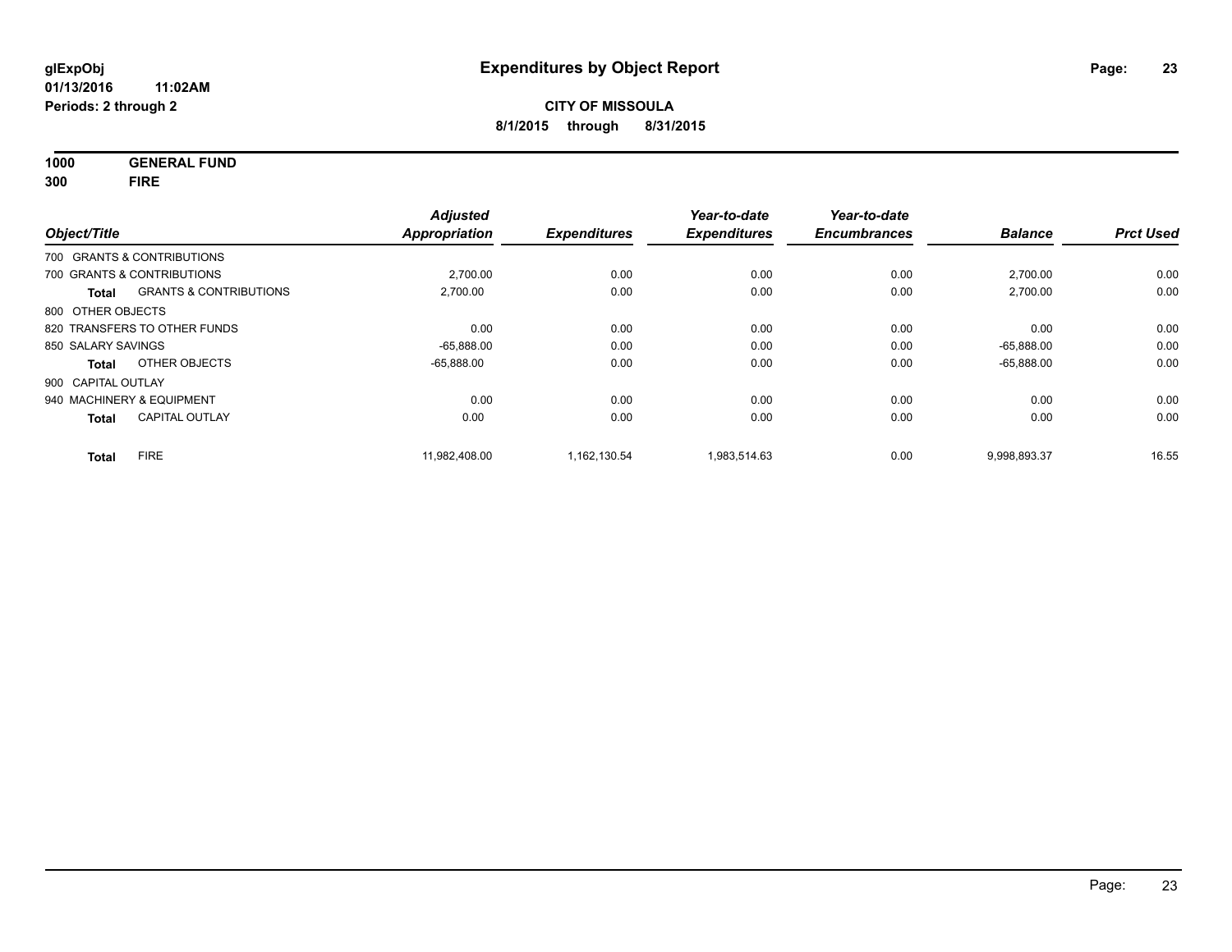**1000 GENERAL FUND 300 FIRE**

| Object/Title       |                                   | <b>Adjusted</b><br><b>Appropriation</b> | <b>Expenditures</b> | Year-to-date<br><b>Expenditures</b> | Year-to-date<br><b>Encumbrances</b> | <b>Balance</b> | <b>Prct Used</b> |
|--------------------|-----------------------------------|-----------------------------------------|---------------------|-------------------------------------|-------------------------------------|----------------|------------------|
|                    | 700 GRANTS & CONTRIBUTIONS        |                                         |                     |                                     |                                     |                |                  |
|                    | 700 GRANTS & CONTRIBUTIONS        | 2,700.00                                | 0.00                | 0.00                                | 0.00                                | 2,700.00       | 0.00             |
| <b>Total</b>       | <b>GRANTS &amp; CONTRIBUTIONS</b> | 2,700.00                                | 0.00                | 0.00                                | 0.00                                | 2,700.00       | 0.00             |
| 800 OTHER OBJECTS  |                                   |                                         |                     |                                     |                                     |                |                  |
|                    | 820 TRANSFERS TO OTHER FUNDS      | 0.00                                    | 0.00                | 0.00                                | 0.00                                | 0.00           | 0.00             |
| 850 SALARY SAVINGS |                                   | $-65,888.00$                            | 0.00                | 0.00                                | 0.00                                | $-65.888.00$   | 0.00             |
| Total              | OTHER OBJECTS                     | $-65.888.00$                            | 0.00                | 0.00                                | 0.00                                | $-65,888.00$   | 0.00             |
| 900 CAPITAL OUTLAY |                                   |                                         |                     |                                     |                                     |                |                  |
|                    | 940 MACHINERY & EQUIPMENT         | 0.00                                    | 0.00                | 0.00                                | 0.00                                | 0.00           | 0.00             |
| <b>Total</b>       | <b>CAPITAL OUTLAY</b>             | 0.00                                    | 0.00                | 0.00                                | 0.00                                | 0.00           | 0.00             |
| <b>Total</b>       | <b>FIRE</b>                       | 11.982.408.00                           | 1,162,130.54        | 1.983.514.63                        | 0.00                                | 9.998.893.37   | 16.55            |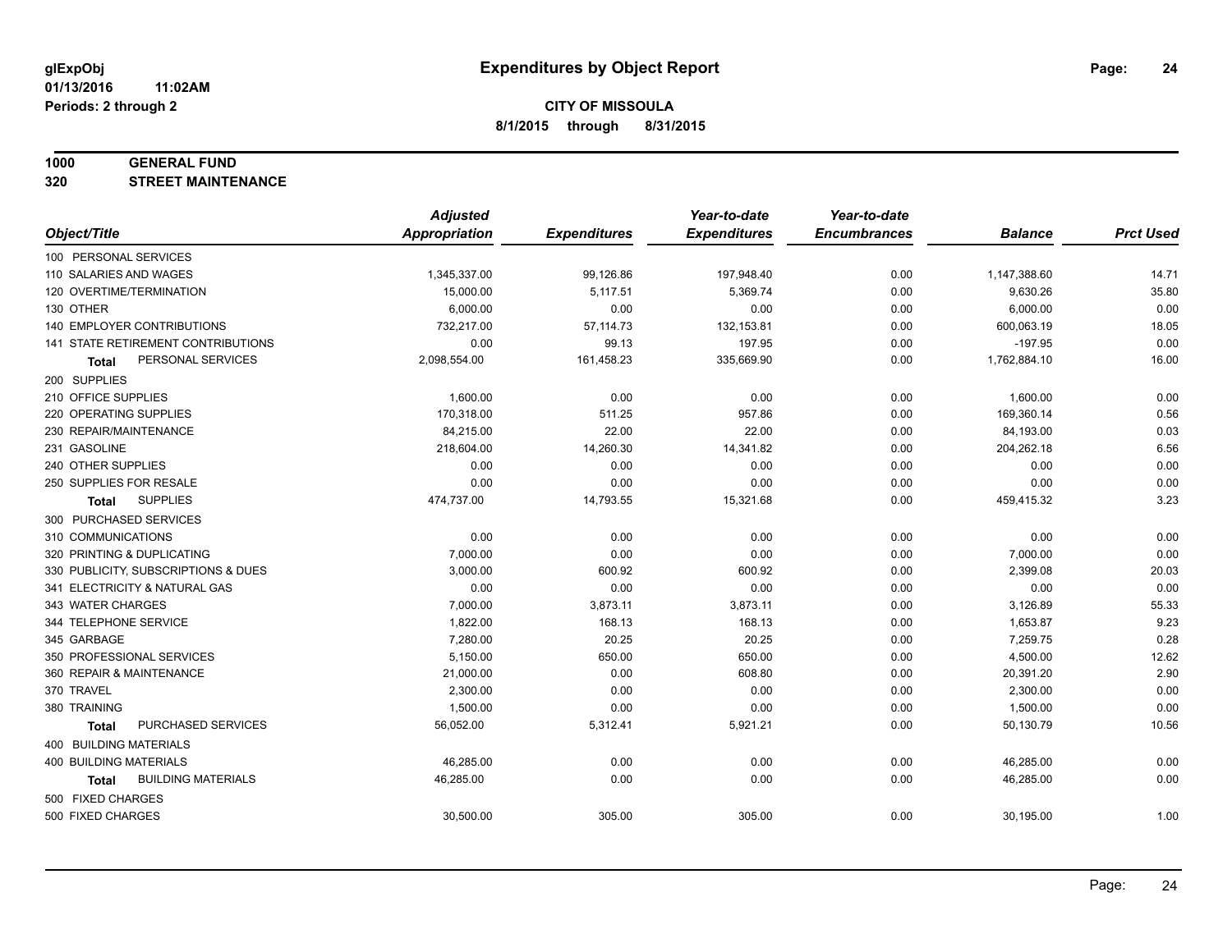#### **1000 GENERAL FUND**

**320 STREET MAINTENANCE**

|                                           | <b>Adjusted</b>      |                     | Year-to-date        | Year-to-date        |                |                  |
|-------------------------------------------|----------------------|---------------------|---------------------|---------------------|----------------|------------------|
| Object/Title                              | <b>Appropriation</b> | <b>Expenditures</b> | <b>Expenditures</b> | <b>Encumbrances</b> | <b>Balance</b> | <b>Prct Used</b> |
| 100 PERSONAL SERVICES                     |                      |                     |                     |                     |                |                  |
| 110 SALARIES AND WAGES                    | 1,345,337.00         | 99,126.86           | 197,948.40          | 0.00                | 1,147,388.60   | 14.71            |
| 120 OVERTIME/TERMINATION                  | 15,000.00            | 5,117.51            | 5,369.74            | 0.00                | 9,630.26       | 35.80            |
| 130 OTHER                                 | 6,000.00             | 0.00                | 0.00                | 0.00                | 6,000.00       | 0.00             |
| <b>140 EMPLOYER CONTRIBUTIONS</b>         | 732,217.00           | 57, 114.73          | 132, 153.81         | 0.00                | 600,063.19     | 18.05            |
| 141 STATE RETIREMENT CONTRIBUTIONS        | 0.00                 | 99.13               | 197.95              | 0.00                | $-197.95$      | 0.00             |
| PERSONAL SERVICES<br>Total                | 2,098,554.00         | 161,458.23          | 335,669.90          | 0.00                | 1,762,884.10   | 16.00            |
| 200 SUPPLIES                              |                      |                     |                     |                     |                |                  |
| 210 OFFICE SUPPLIES                       | 1,600.00             | 0.00                | 0.00                | 0.00                | 1,600.00       | 0.00             |
| 220 OPERATING SUPPLIES                    | 170,318.00           | 511.25              | 957.86              | 0.00                | 169,360.14     | 0.56             |
| 230 REPAIR/MAINTENANCE                    | 84,215.00            | 22.00               | 22.00               | 0.00                | 84,193.00      | 0.03             |
| 231 GASOLINE                              | 218,604.00           | 14,260.30           | 14,341.82           | 0.00                | 204,262.18     | 6.56             |
| 240 OTHER SUPPLIES                        | 0.00                 | 0.00                | 0.00                | 0.00                | 0.00           | 0.00             |
| 250 SUPPLIES FOR RESALE                   | 0.00                 | 0.00                | 0.00                | 0.00                | 0.00           | 0.00             |
| <b>SUPPLIES</b><br><b>Total</b>           | 474,737.00           | 14,793.55           | 15,321.68           | 0.00                | 459,415.32     | 3.23             |
| 300 PURCHASED SERVICES                    |                      |                     |                     |                     |                |                  |
| 310 COMMUNICATIONS                        | 0.00                 | 0.00                | 0.00                | 0.00                | 0.00           | 0.00             |
| 320 PRINTING & DUPLICATING                | 7,000.00             | 0.00                | 0.00                | 0.00                | 7,000.00       | 0.00             |
| 330 PUBLICITY, SUBSCRIPTIONS & DUES       | 3,000.00             | 600.92              | 600.92              | 0.00                | 2,399.08       | 20.03            |
| 341 ELECTRICITY & NATURAL GAS             | 0.00                 | 0.00                | 0.00                | 0.00                | 0.00           | 0.00             |
| 343 WATER CHARGES                         | 7,000.00             | 3,873.11            | 3,873.11            | 0.00                | 3,126.89       | 55.33            |
| 344 TELEPHONE SERVICE                     | 1,822.00             | 168.13              | 168.13              | 0.00                | 1,653.87       | 9.23             |
| 345 GARBAGE                               | 7,280.00             | 20.25               | 20.25               | 0.00                | 7,259.75       | 0.28             |
| 350 PROFESSIONAL SERVICES                 | 5,150.00             | 650.00              | 650.00              | 0.00                | 4,500.00       | 12.62            |
| 360 REPAIR & MAINTENANCE                  | 21,000.00            | 0.00                | 608.80              | 0.00                | 20,391.20      | 2.90             |
| 370 TRAVEL                                | 2,300.00             | 0.00                | 0.00                | 0.00                | 2,300.00       | 0.00             |
| 380 TRAINING                              | 1,500.00             | 0.00                | 0.00                | 0.00                | 1,500.00       | 0.00             |
| PURCHASED SERVICES<br><b>Total</b>        | 56,052.00            | 5,312.41            | 5,921.21            | 0.00                | 50,130.79      | 10.56            |
| 400 BUILDING MATERIALS                    |                      |                     |                     |                     |                |                  |
| 400 BUILDING MATERIALS                    | 46,285.00            | 0.00                | 0.00                | 0.00                | 46,285.00      | 0.00             |
| <b>BUILDING MATERIALS</b><br><b>Total</b> | 46,285.00            | 0.00                | 0.00                | 0.00                | 46,285.00      | 0.00             |
| 500 FIXED CHARGES                         |                      |                     |                     |                     |                |                  |
| 500 FIXED CHARGES                         | 30,500.00            | 305.00              | 305.00              | 0.00                | 30,195.00      | 1.00             |
|                                           |                      |                     |                     |                     |                |                  |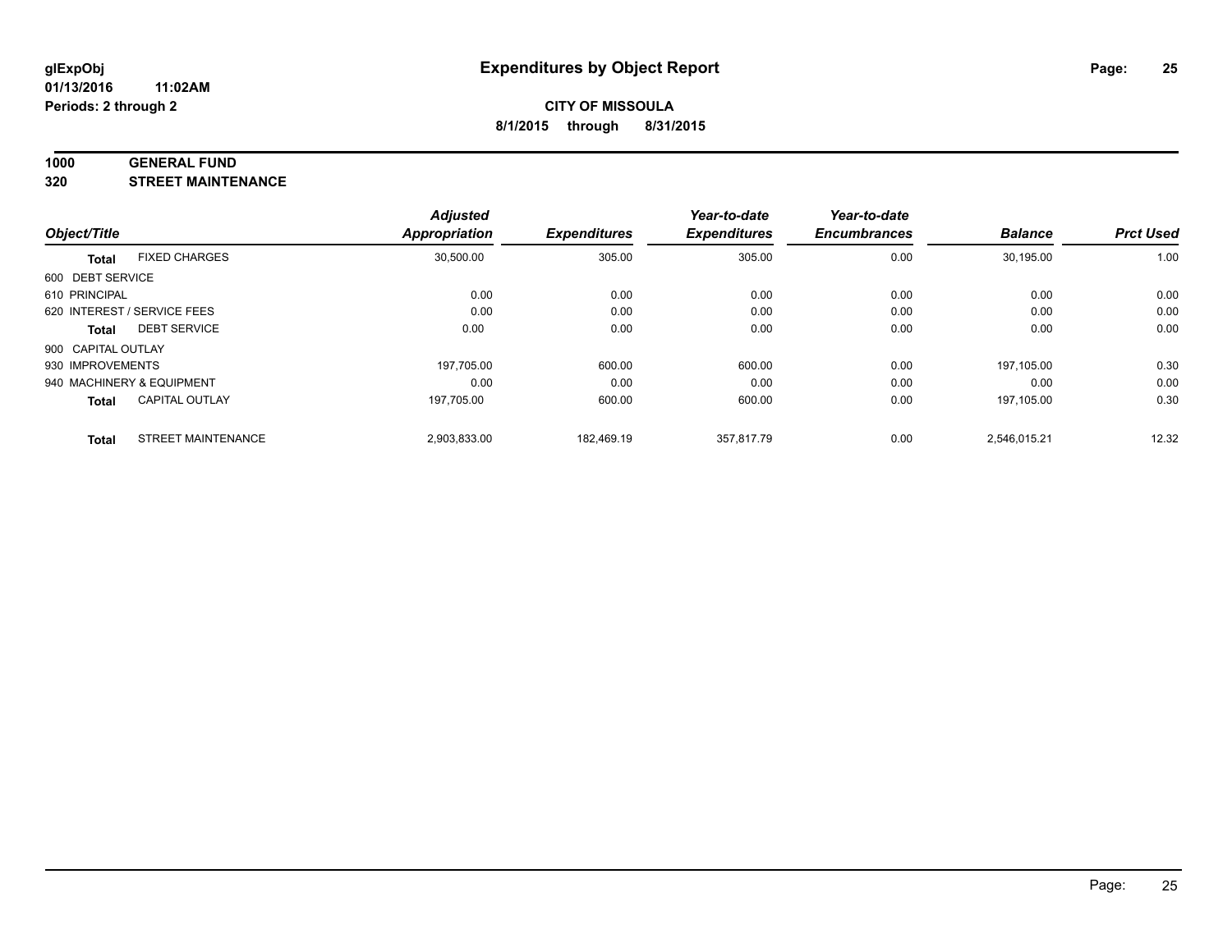#### **1000 GENERAL FUND**

**320 STREET MAINTENANCE**

|                    |                             | <b>Adjusted</b> |                     | Year-to-date        | Year-to-date        |                |                  |
|--------------------|-----------------------------|-----------------|---------------------|---------------------|---------------------|----------------|------------------|
| Object/Title       |                             | Appropriation   | <b>Expenditures</b> | <b>Expenditures</b> | <b>Encumbrances</b> | <b>Balance</b> | <b>Prct Used</b> |
| <b>Total</b>       | <b>FIXED CHARGES</b>        | 30,500.00       | 305.00              | 305.00              | 0.00                | 30,195.00      | 1.00             |
| 600 DEBT SERVICE   |                             |                 |                     |                     |                     |                |                  |
| 610 PRINCIPAL      |                             | 0.00            | 0.00                | 0.00                | 0.00                | 0.00           | 0.00             |
|                    | 620 INTEREST / SERVICE FEES | 0.00            | 0.00                | 0.00                | 0.00                | 0.00           | 0.00             |
| Total              | <b>DEBT SERVICE</b>         | 0.00            | 0.00                | 0.00                | 0.00                | 0.00           | 0.00             |
| 900 CAPITAL OUTLAY |                             |                 |                     |                     |                     |                |                  |
| 930 IMPROVEMENTS   |                             | 197.705.00      | 600.00              | 600.00              | 0.00                | 197.105.00     | 0.30             |
|                    | 940 MACHINERY & EQUIPMENT   | 0.00            | 0.00                | 0.00                | 0.00                | 0.00           | 0.00             |
| <b>Total</b>       | <b>CAPITAL OUTLAY</b>       | 197.705.00      | 600.00              | 600.00              | 0.00                | 197.105.00     | 0.30             |
| <b>Total</b>       | <b>STREET MAINTENANCE</b>   | 2,903,833.00    | 182.469.19          | 357.817.79          | 0.00                | 2,546,015.21   | 12.32            |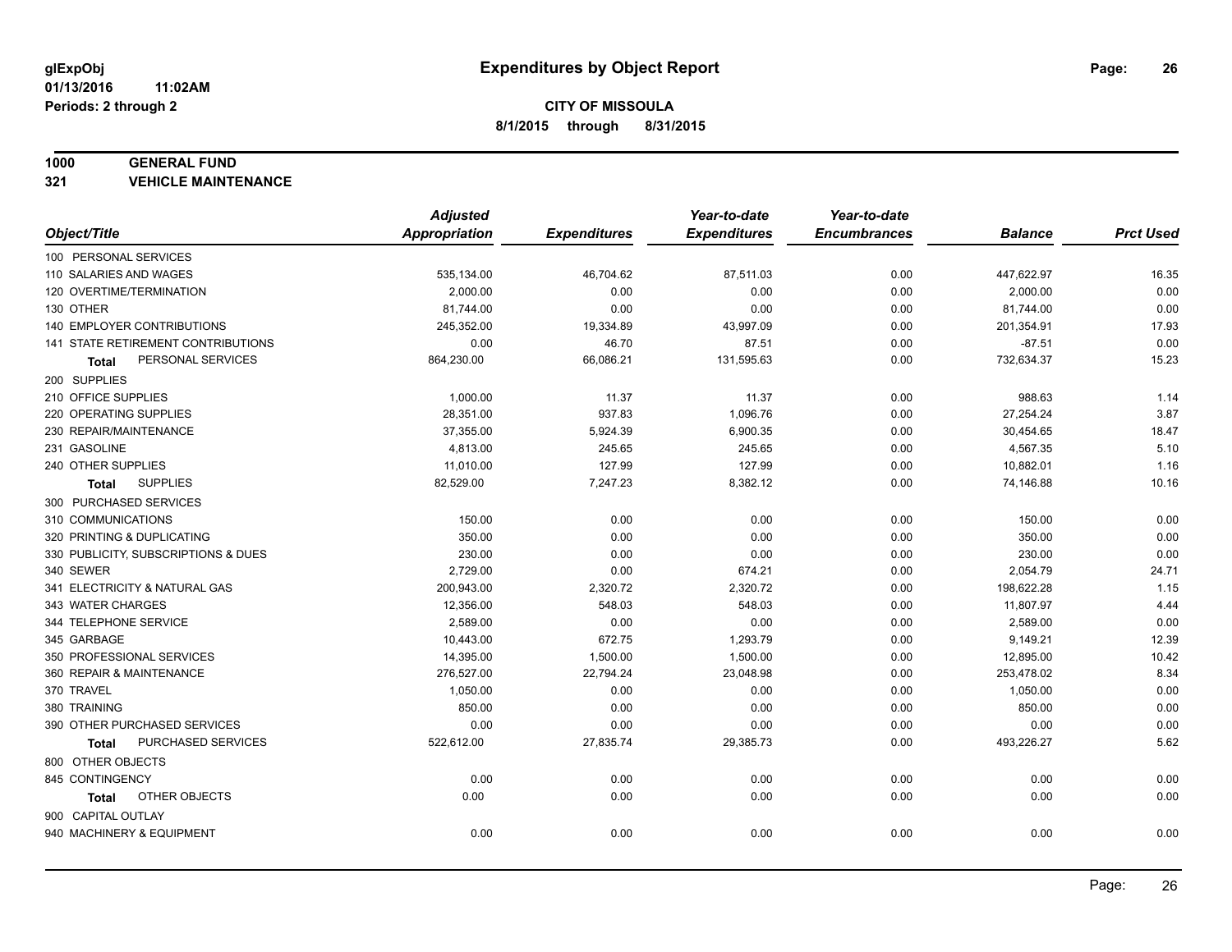#### **1000 GENERAL FUND**

**321 VEHICLE MAINTENANCE**

|                                     | <b>Adjusted</b>      |                     | Year-to-date        | Year-to-date        |                |                  |
|-------------------------------------|----------------------|---------------------|---------------------|---------------------|----------------|------------------|
| Object/Title                        | <b>Appropriation</b> | <b>Expenditures</b> | <b>Expenditures</b> | <b>Encumbrances</b> | <b>Balance</b> | <b>Prct Used</b> |
| 100 PERSONAL SERVICES               |                      |                     |                     |                     |                |                  |
| 110 SALARIES AND WAGES              | 535,134.00           | 46,704.62           | 87,511.03           | 0.00                | 447,622.97     | 16.35            |
| 120 OVERTIME/TERMINATION            | 2,000.00             | 0.00                | 0.00                | 0.00                | 2,000.00       | 0.00             |
| 130 OTHER                           | 81,744.00            | 0.00                | 0.00                | 0.00                | 81,744.00      | 0.00             |
| 140 EMPLOYER CONTRIBUTIONS          | 245,352.00           | 19,334.89           | 43,997.09           | 0.00                | 201,354.91     | 17.93            |
| 141 STATE RETIREMENT CONTRIBUTIONS  | 0.00                 | 46.70               | 87.51               | 0.00                | $-87.51$       | 0.00             |
| PERSONAL SERVICES<br>Total          | 864,230.00           | 66,086.21           | 131,595.63          | 0.00                | 732,634.37     | 15.23            |
| 200 SUPPLIES                        |                      |                     |                     |                     |                |                  |
| 210 OFFICE SUPPLIES                 | 1,000.00             | 11.37               | 11.37               | 0.00                | 988.63         | 1.14             |
| 220 OPERATING SUPPLIES              | 28,351.00            | 937.83              | 1,096.76            | 0.00                | 27,254.24      | 3.87             |
| 230 REPAIR/MAINTENANCE              | 37,355.00            | 5,924.39            | 6,900.35            | 0.00                | 30,454.65      | 18.47            |
| 231 GASOLINE                        | 4,813.00             | 245.65              | 245.65              | 0.00                | 4,567.35       | 5.10             |
| 240 OTHER SUPPLIES                  | 11,010.00            | 127.99              | 127.99              | 0.00                | 10,882.01      | 1.16             |
| <b>SUPPLIES</b><br>Total            | 82,529.00            | 7,247.23            | 8,382.12            | 0.00                | 74,146.88      | 10.16            |
| 300 PURCHASED SERVICES              |                      |                     |                     |                     |                |                  |
| 310 COMMUNICATIONS                  | 150.00               | 0.00                | 0.00                | 0.00                | 150.00         | 0.00             |
| 320 PRINTING & DUPLICATING          | 350.00               | 0.00                | 0.00                | 0.00                | 350.00         | 0.00             |
| 330 PUBLICITY, SUBSCRIPTIONS & DUES | 230.00               | 0.00                | 0.00                | 0.00                | 230.00         | 0.00             |
| 340 SEWER                           | 2,729.00             | 0.00                | 674.21              | 0.00                | 2,054.79       | 24.71            |
| 341 ELECTRICITY & NATURAL GAS       | 200,943.00           | 2,320.72            | 2,320.72            | 0.00                | 198,622.28     | 1.15             |
| 343 WATER CHARGES                   | 12,356.00            | 548.03              | 548.03              | 0.00                | 11,807.97      | 4.44             |
| 344 TELEPHONE SERVICE               | 2,589.00             | 0.00                | 0.00                | 0.00                | 2,589.00       | 0.00             |
| 345 GARBAGE                         | 10,443.00            | 672.75              | 1,293.79            | 0.00                | 9,149.21       | 12.39            |
| 350 PROFESSIONAL SERVICES           | 14,395.00            | 1,500.00            | 1,500.00            | 0.00                | 12,895.00      | 10.42            |
| 360 REPAIR & MAINTENANCE            | 276,527.00           | 22,794.24           | 23,048.98           | 0.00                | 253,478.02     | 8.34             |
| 370 TRAVEL                          | 1,050.00             | 0.00                | 0.00                | 0.00                | 1,050.00       | 0.00             |
| 380 TRAINING                        | 850.00               | 0.00                | 0.00                | 0.00                | 850.00         | 0.00             |
| 390 OTHER PURCHASED SERVICES        | 0.00                 | 0.00                | 0.00                | 0.00                | 0.00           | 0.00             |
| <b>PURCHASED SERVICES</b><br>Total  | 522,612.00           | 27,835.74           | 29,385.73           | 0.00                | 493,226.27     | 5.62             |
| 800 OTHER OBJECTS                   |                      |                     |                     |                     |                |                  |
| 845 CONTINGENCY                     | 0.00                 | 0.00                | 0.00                | 0.00                | 0.00           | 0.00             |
| OTHER OBJECTS<br>Total              | 0.00                 | 0.00                | 0.00                | 0.00                | 0.00           | 0.00             |
| 900 CAPITAL OUTLAY                  |                      |                     |                     |                     |                |                  |
| 940 MACHINERY & EQUIPMENT           | 0.00                 | 0.00                | 0.00                | 0.00                | 0.00           | 0.00             |
|                                     |                      |                     |                     |                     |                |                  |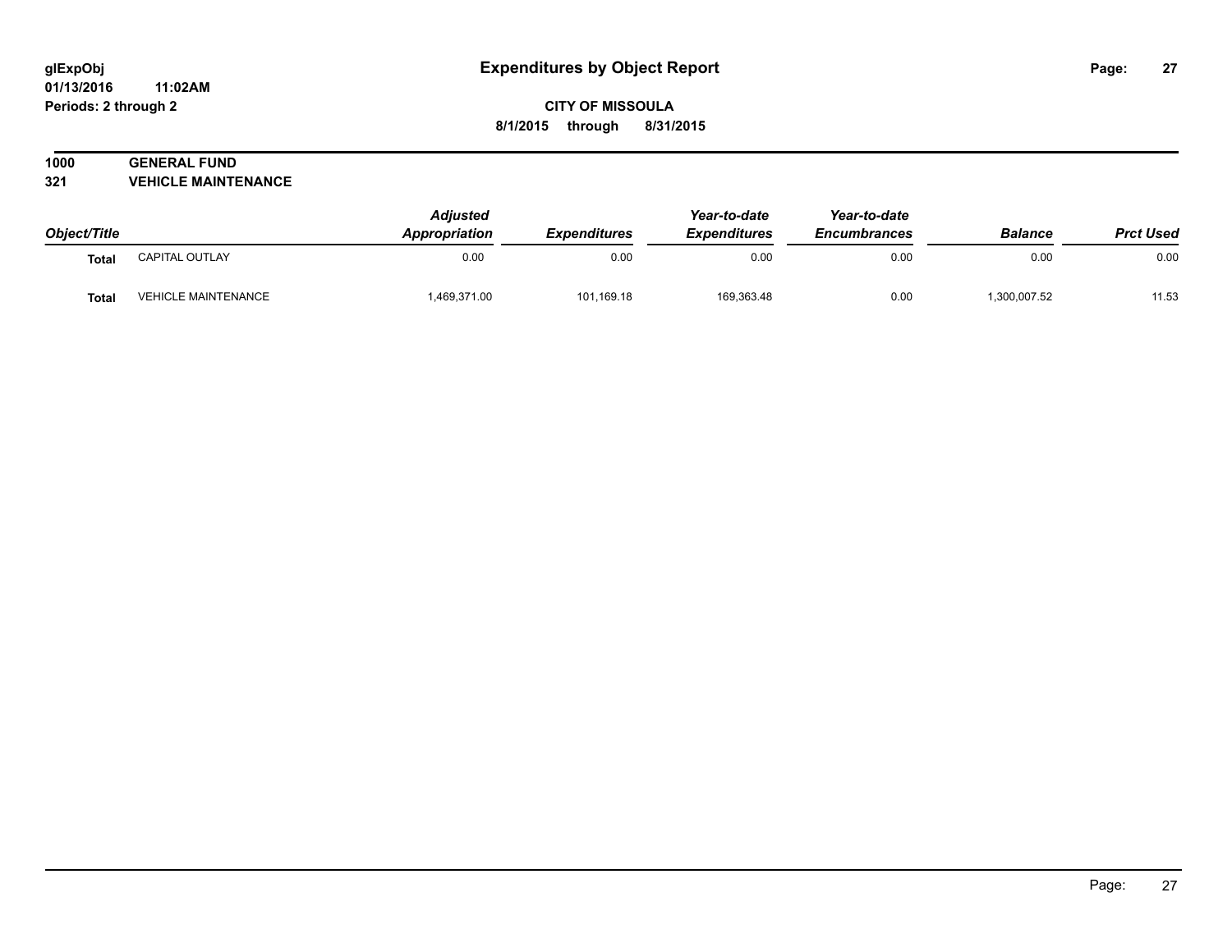#### **01/13/2016 11:02AM Periods: 2 through 2**

## **CITY OF MISSOULA 8/1/2015 through 8/31/2015**

## **1000 GENERAL FUND**

**321 VEHICLE MAINTENANCE**

| Object/Title |                            | <b>Adjusted</b><br>Appropriation | <b>Expenditures</b> | Year-to-date<br><b>Expenditures</b> | Year-to-date<br><b>Encumbrances</b> | <b>Balance</b> | <b>Prct Used</b> |
|--------------|----------------------------|----------------------------------|---------------------|-------------------------------------|-------------------------------------|----------------|------------------|
| <b>Total</b> | CAPITAL OUTLAY             | 0.00                             | 0.00                | 0.00                                | 0.00                                | 0.00           | 0.00             |
| <b>Total</b> | <b>VEHICLE MAINTENANCE</b> | 1,469,371.00                     | 101,169.18          | 169,363.48                          | 0.00                                | 300,007.52     | 11.53            |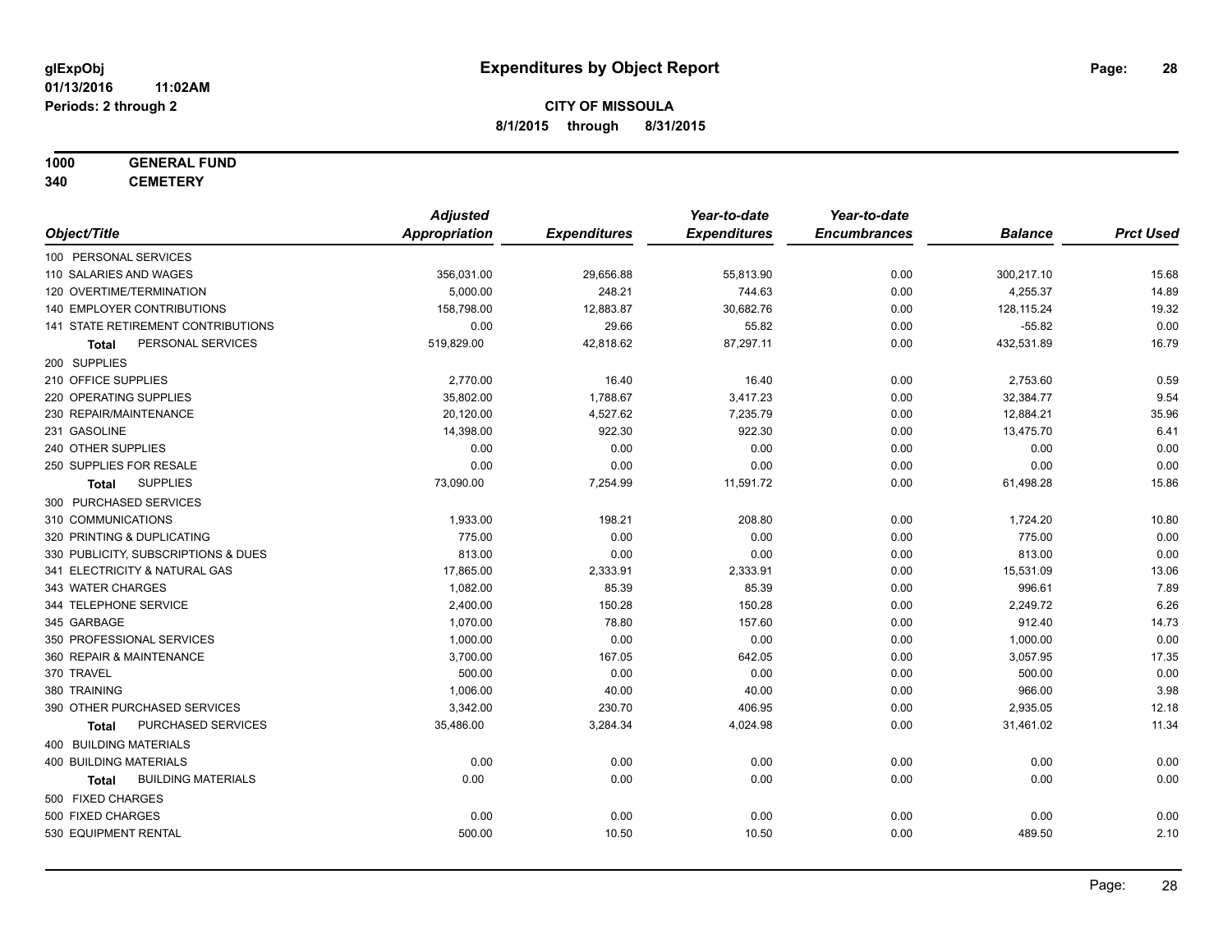## **1000 GENERAL FUND**

**340 CEMETERY**

|                                           | <b>Adjusted</b>      |                     | Year-to-date        | Year-to-date        |                |                  |
|-------------------------------------------|----------------------|---------------------|---------------------|---------------------|----------------|------------------|
| Object/Title                              | <b>Appropriation</b> | <b>Expenditures</b> | <b>Expenditures</b> | <b>Encumbrances</b> | <b>Balance</b> | <b>Prct Used</b> |
| 100 PERSONAL SERVICES                     |                      |                     |                     |                     |                |                  |
| 110 SALARIES AND WAGES                    | 356,031.00           | 29,656.88           | 55,813.90           | 0.00                | 300,217.10     | 15.68            |
| 120 OVERTIME/TERMINATION                  | 5,000.00             | 248.21              | 744.63              | 0.00                | 4,255.37       | 14.89            |
| 140 EMPLOYER CONTRIBUTIONS                | 158,798.00           | 12,883.87           | 30,682.76           | 0.00                | 128,115.24     | 19.32            |
| 141 STATE RETIREMENT CONTRIBUTIONS        | 0.00                 | 29.66               | 55.82               | 0.00                | $-55.82$       | 0.00             |
| PERSONAL SERVICES<br>Total                | 519,829.00           | 42,818.62           | 87,297.11           | 0.00                | 432,531.89     | 16.79            |
| 200 SUPPLIES                              |                      |                     |                     |                     |                |                  |
| 210 OFFICE SUPPLIES                       | 2,770.00             | 16.40               | 16.40               | 0.00                | 2,753.60       | 0.59             |
| 220 OPERATING SUPPLIES                    | 35,802.00            | 1,788.67            | 3,417.23            | 0.00                | 32,384.77      | 9.54             |
| 230 REPAIR/MAINTENANCE                    | 20,120.00            | 4,527.62            | 7,235.79            | 0.00                | 12,884.21      | 35.96            |
| 231 GASOLINE                              | 14,398.00            | 922.30              | 922.30              | 0.00                | 13,475.70      | 6.41             |
| 240 OTHER SUPPLIES                        | 0.00                 | 0.00                | 0.00                | 0.00                | 0.00           | 0.00             |
| 250 SUPPLIES FOR RESALE                   | 0.00                 | 0.00                | 0.00                | 0.00                | 0.00           | 0.00             |
| <b>SUPPLIES</b><br>Total                  | 73,090.00            | 7,254.99            | 11,591.72           | 0.00                | 61,498.28      | 15.86            |
| 300 PURCHASED SERVICES                    |                      |                     |                     |                     |                |                  |
| 310 COMMUNICATIONS                        | 1,933.00             | 198.21              | 208.80              | 0.00                | 1,724.20       | 10.80            |
| 320 PRINTING & DUPLICATING                | 775.00               | 0.00                | 0.00                | 0.00                | 775.00         | 0.00             |
| 330 PUBLICITY, SUBSCRIPTIONS & DUES       | 813.00               | 0.00                | 0.00                | 0.00                | 813.00         | 0.00             |
| 341 ELECTRICITY & NATURAL GAS             | 17,865.00            | 2,333.91            | 2,333.91            | 0.00                | 15,531.09      | 13.06            |
| 343 WATER CHARGES                         | 1,082.00             | 85.39               | 85.39               | 0.00                | 996.61         | 7.89             |
| 344 TELEPHONE SERVICE                     | 2,400.00             | 150.28              | 150.28              | 0.00                | 2,249.72       | 6.26             |
| 345 GARBAGE                               | 1,070.00             | 78.80               | 157.60              | 0.00                | 912.40         | 14.73            |
| 350 PROFESSIONAL SERVICES                 | 1,000.00             | 0.00                | 0.00                | 0.00                | 1,000.00       | 0.00             |
| 360 REPAIR & MAINTENANCE                  | 3,700.00             | 167.05              | 642.05              | 0.00                | 3,057.95       | 17.35            |
| 370 TRAVEL                                | 500.00               | 0.00                | 0.00                | 0.00                | 500.00         | 0.00             |
| 380 TRAINING                              | 1,006.00             | 40.00               | 40.00               | 0.00                | 966.00         | 3.98             |
| 390 OTHER PURCHASED SERVICES              | 3,342.00             | 230.70              | 406.95              | 0.00                | 2,935.05       | 12.18            |
| PURCHASED SERVICES<br><b>Total</b>        | 35,486.00            | 3,284.34            | 4,024.98            | 0.00                | 31,461.02      | 11.34            |
| 400 BUILDING MATERIALS                    |                      |                     |                     |                     |                |                  |
| <b>400 BUILDING MATERIALS</b>             | 0.00                 | 0.00                | 0.00                | 0.00                | 0.00           | 0.00             |
| <b>BUILDING MATERIALS</b><br><b>Total</b> | 0.00                 | 0.00                | 0.00                | 0.00                | 0.00           | 0.00             |
| 500 FIXED CHARGES                         |                      |                     |                     |                     |                |                  |
| 500 FIXED CHARGES                         | 0.00                 | 0.00                | 0.00                | 0.00                | 0.00           | 0.00             |
| 530 EQUIPMENT RENTAL                      | 500.00               | 10.50               | 10.50               | 0.00                | 489.50         | 2.10             |
|                                           |                      |                     |                     |                     |                |                  |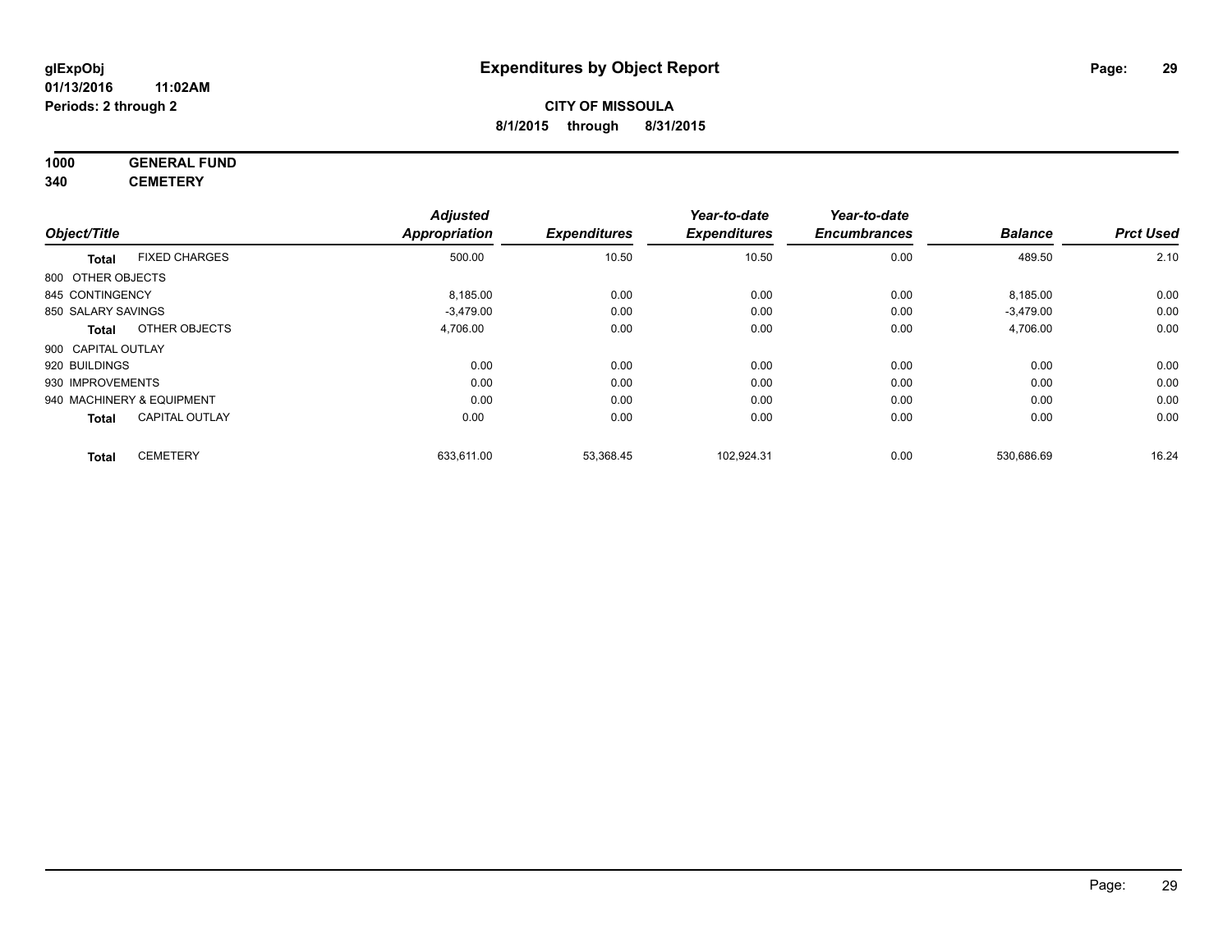#### **1000 GENERAL FUND 340 CEMETERY**

|                    |                           | <b>Adjusted</b>      |                     | Year-to-date        | Year-to-date        |                |                  |
|--------------------|---------------------------|----------------------|---------------------|---------------------|---------------------|----------------|------------------|
| Object/Title       |                           | <b>Appropriation</b> | <b>Expenditures</b> | <b>Expenditures</b> | <b>Encumbrances</b> | <b>Balance</b> | <b>Prct Used</b> |
| <b>Total</b>       | <b>FIXED CHARGES</b>      | 500.00               | 10.50               | 10.50               | 0.00                | 489.50         | 2.10             |
| 800 OTHER OBJECTS  |                           |                      |                     |                     |                     |                |                  |
| 845 CONTINGENCY    |                           | 8,185.00             | 0.00                | 0.00                | 0.00                | 8,185.00       | 0.00             |
| 850 SALARY SAVINGS |                           | $-3,479.00$          | 0.00                | 0.00                | 0.00                | $-3,479.00$    | 0.00             |
| <b>Total</b>       | OTHER OBJECTS             | 4,706.00             | 0.00                | 0.00                | 0.00                | 4,706.00       | 0.00             |
| 900 CAPITAL OUTLAY |                           |                      |                     |                     |                     |                |                  |
| 920 BUILDINGS      |                           | 0.00                 | 0.00                | 0.00                | 0.00                | 0.00           | 0.00             |
| 930 IMPROVEMENTS   |                           | 0.00                 | 0.00                | 0.00                | 0.00                | 0.00           | 0.00             |
|                    | 940 MACHINERY & EQUIPMENT | 0.00                 | 0.00                | 0.00                | 0.00                | 0.00           | 0.00             |
| <b>Total</b>       | <b>CAPITAL OUTLAY</b>     | 0.00                 | 0.00                | 0.00                | 0.00                | 0.00           | 0.00             |
| <b>Total</b>       | <b>CEMETERY</b>           | 633,611.00           | 53,368.45           | 102,924.31          | 0.00                | 530,686.69     | 16.24            |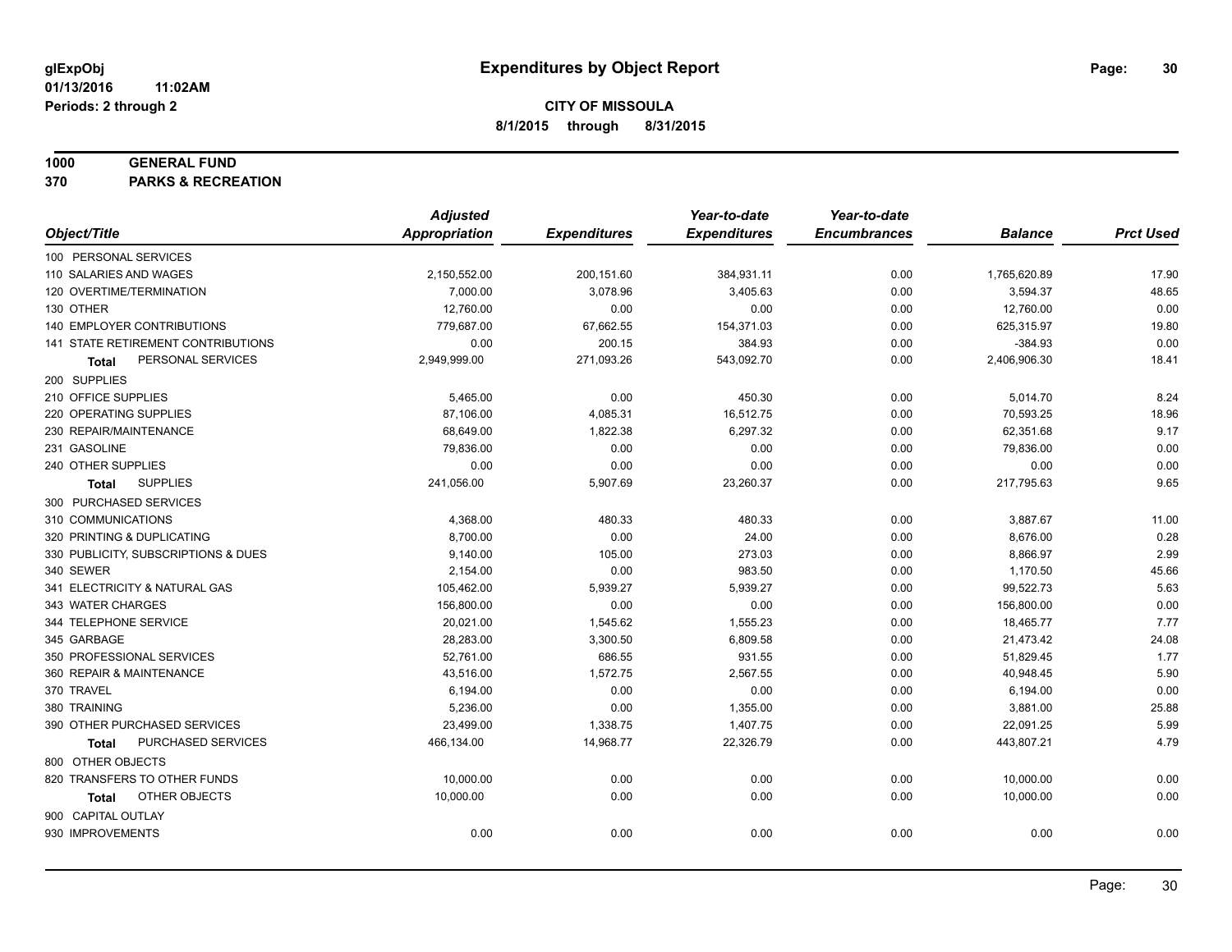#### **1000 GENERAL FUND**

**370 PARKS & RECREATION**

|                                           | <b>Adjusted</b> |                     | Year-to-date        | Year-to-date        |                |                  |
|-------------------------------------------|-----------------|---------------------|---------------------|---------------------|----------------|------------------|
| Object/Title                              | Appropriation   | <b>Expenditures</b> | <b>Expenditures</b> | <b>Encumbrances</b> | <b>Balance</b> | <b>Prct Used</b> |
| 100 PERSONAL SERVICES                     |                 |                     |                     |                     |                |                  |
| 110 SALARIES AND WAGES                    | 2,150,552.00    | 200,151.60          | 384,931.11          | 0.00                | 1,765,620.89   | 17.90            |
| 120 OVERTIME/TERMINATION                  | 7,000.00        | 3,078.96            | 3,405.63            | 0.00                | 3,594.37       | 48.65            |
| 130 OTHER                                 | 12,760.00       | 0.00                | 0.00                | 0.00                | 12,760.00      | 0.00             |
| 140 EMPLOYER CONTRIBUTIONS                | 779,687.00      | 67,662.55           | 154,371.03          | 0.00                | 625,315.97     | 19.80            |
| <b>141 STATE RETIREMENT CONTRIBUTIONS</b> | 0.00            | 200.15              | 384.93              | 0.00                | $-384.93$      | 0.00             |
| PERSONAL SERVICES<br>Total                | 2,949,999.00    | 271,093.26          | 543,092.70          | 0.00                | 2,406,906.30   | 18.41            |
| 200 SUPPLIES                              |                 |                     |                     |                     |                |                  |
| 210 OFFICE SUPPLIES                       | 5,465.00        | 0.00                | 450.30              | 0.00                | 5,014.70       | 8.24             |
| 220 OPERATING SUPPLIES                    | 87,106.00       | 4,085.31            | 16,512.75           | 0.00                | 70,593.25      | 18.96            |
| 230 REPAIR/MAINTENANCE                    | 68,649.00       | 1,822.38            | 6,297.32            | 0.00                | 62,351.68      | 9.17             |
| 231 GASOLINE                              | 79,836.00       | 0.00                | 0.00                | 0.00                | 79,836.00      | 0.00             |
| 240 OTHER SUPPLIES                        | 0.00            | 0.00                | 0.00                | 0.00                | 0.00           | 0.00             |
| <b>SUPPLIES</b><br>Total                  | 241,056.00      | 5,907.69            | 23,260.37           | 0.00                | 217,795.63     | 9.65             |
| 300 PURCHASED SERVICES                    |                 |                     |                     |                     |                |                  |
| 310 COMMUNICATIONS                        | 4,368.00        | 480.33              | 480.33              | 0.00                | 3,887.67       | 11.00            |
| 320 PRINTING & DUPLICATING                | 8,700.00        | 0.00                | 24.00               | 0.00                | 8,676.00       | 0.28             |
| 330 PUBLICITY, SUBSCRIPTIONS & DUES       | 9,140.00        | 105.00              | 273.03              | 0.00                | 8,866.97       | 2.99             |
| 340 SEWER                                 | 2,154.00        | 0.00                | 983.50              | 0.00                | 1,170.50       | 45.66            |
| 341 ELECTRICITY & NATURAL GAS             | 105,462.00      | 5,939.27            | 5,939.27            | 0.00                | 99,522.73      | 5.63             |
| 343 WATER CHARGES                         | 156,800.00      | 0.00                | 0.00                | 0.00                | 156,800.00     | 0.00             |
| 344 TELEPHONE SERVICE                     | 20,021.00       | 1,545.62            | 1,555.23            | 0.00                | 18,465.77      | 7.77             |
| 345 GARBAGE                               | 28,283.00       | 3,300.50            | 6,809.58            | 0.00                | 21,473.42      | 24.08            |
| 350 PROFESSIONAL SERVICES                 | 52,761.00       | 686.55              | 931.55              | 0.00                | 51,829.45      | 1.77             |
| 360 REPAIR & MAINTENANCE                  | 43,516.00       | 1,572.75            | 2,567.55            | 0.00                | 40,948.45      | 5.90             |
| 370 TRAVEL                                | 6,194.00        | 0.00                | 0.00                | 0.00                | 6,194.00       | 0.00             |
| 380 TRAINING                              | 5,236.00        | 0.00                | 1,355.00            | 0.00                | 3,881.00       | 25.88            |
| 390 OTHER PURCHASED SERVICES              | 23,499.00       | 1,338.75            | 1,407.75            | 0.00                | 22,091.25      | 5.99             |
| PURCHASED SERVICES<br><b>Total</b>        | 466,134.00      | 14,968.77           | 22,326.79           | 0.00                | 443,807.21     | 4.79             |
| 800 OTHER OBJECTS                         |                 |                     |                     |                     |                |                  |
| 820 TRANSFERS TO OTHER FUNDS              | 10,000.00       | 0.00                | 0.00                | 0.00                | 10,000.00      | 0.00             |
| OTHER OBJECTS<br>Total                    | 10,000.00       | 0.00                | 0.00                | 0.00                | 10,000.00      | 0.00             |
| 900 CAPITAL OUTLAY                        |                 |                     |                     |                     |                |                  |
| 930 IMPROVEMENTS                          | 0.00            | 0.00                | 0.00                | 0.00                | 0.00           | 0.00             |
|                                           |                 |                     |                     |                     |                |                  |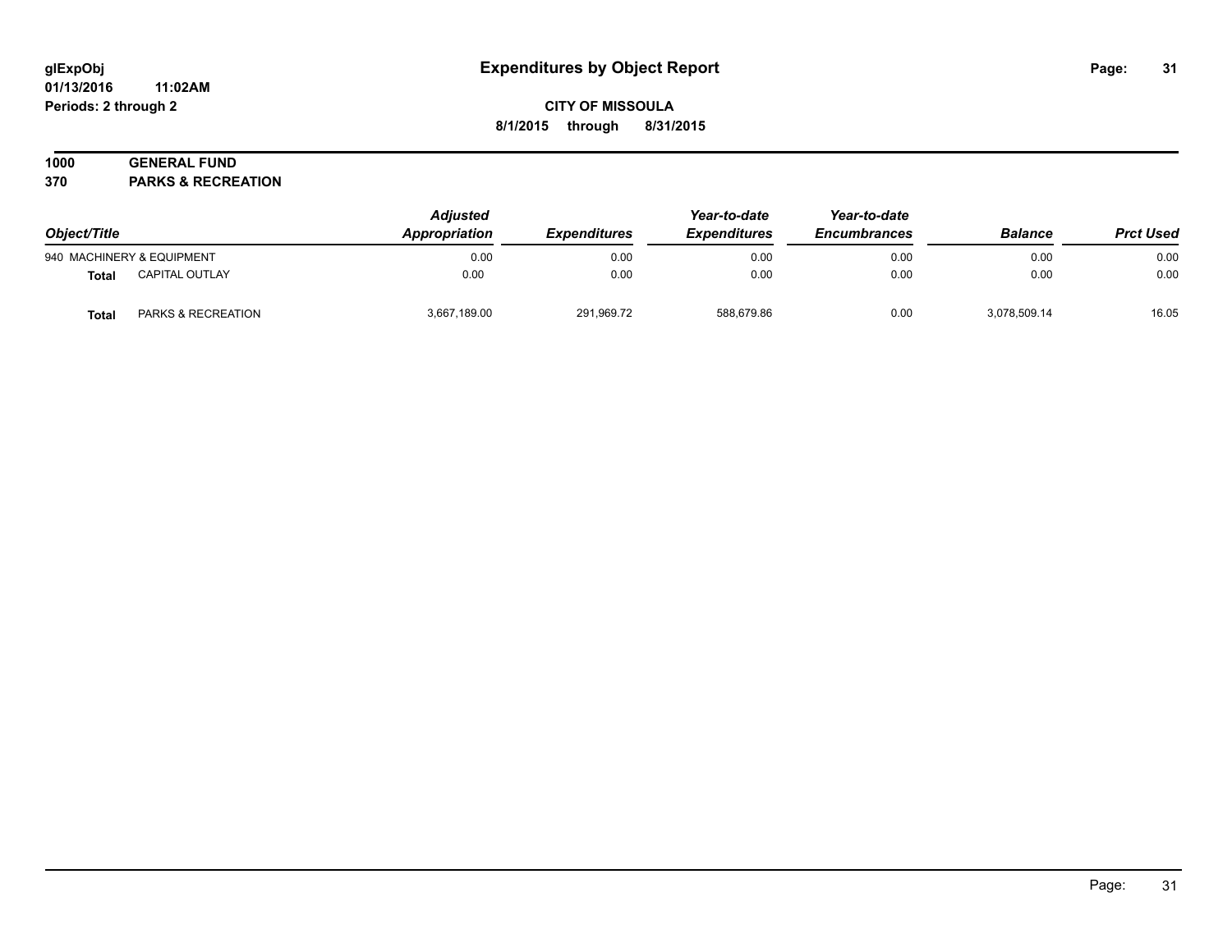#### **01/13/2016 11:02AM Periods: 2 through 2**

## **CITY OF MISSOULA 8/1/2015 through 8/31/2015**

## **1000 GENERAL FUND**

**370 PARKS & RECREATION**

| Object/Title |                               | <b>Adjusted</b><br>Appropriation | <b>Expenditures</b> | Year-to-date<br><b>Expenditures</b> | Year-to-date<br><b>Encumbrances</b> | <b>Balance</b> | <b>Prct Used</b> |
|--------------|-------------------------------|----------------------------------|---------------------|-------------------------------------|-------------------------------------|----------------|------------------|
|              | 940 MACHINERY & EQUIPMENT     | 0.00                             | 0.00                | 0.00                                | 0.00                                | 0.00           | 0.00             |
| <b>Total</b> | <b>CAPITAL OUTLAY</b>         | 0.00                             | 0.00                | 0.00                                | 0.00                                | 0.00           | 0.00             |
| Total        | <b>PARKS &amp; RECREATION</b> | 3,667,189.00                     | 291.969.72          | 588.679.86                          | 0.00                                | 3.078.509.14   | 16.05            |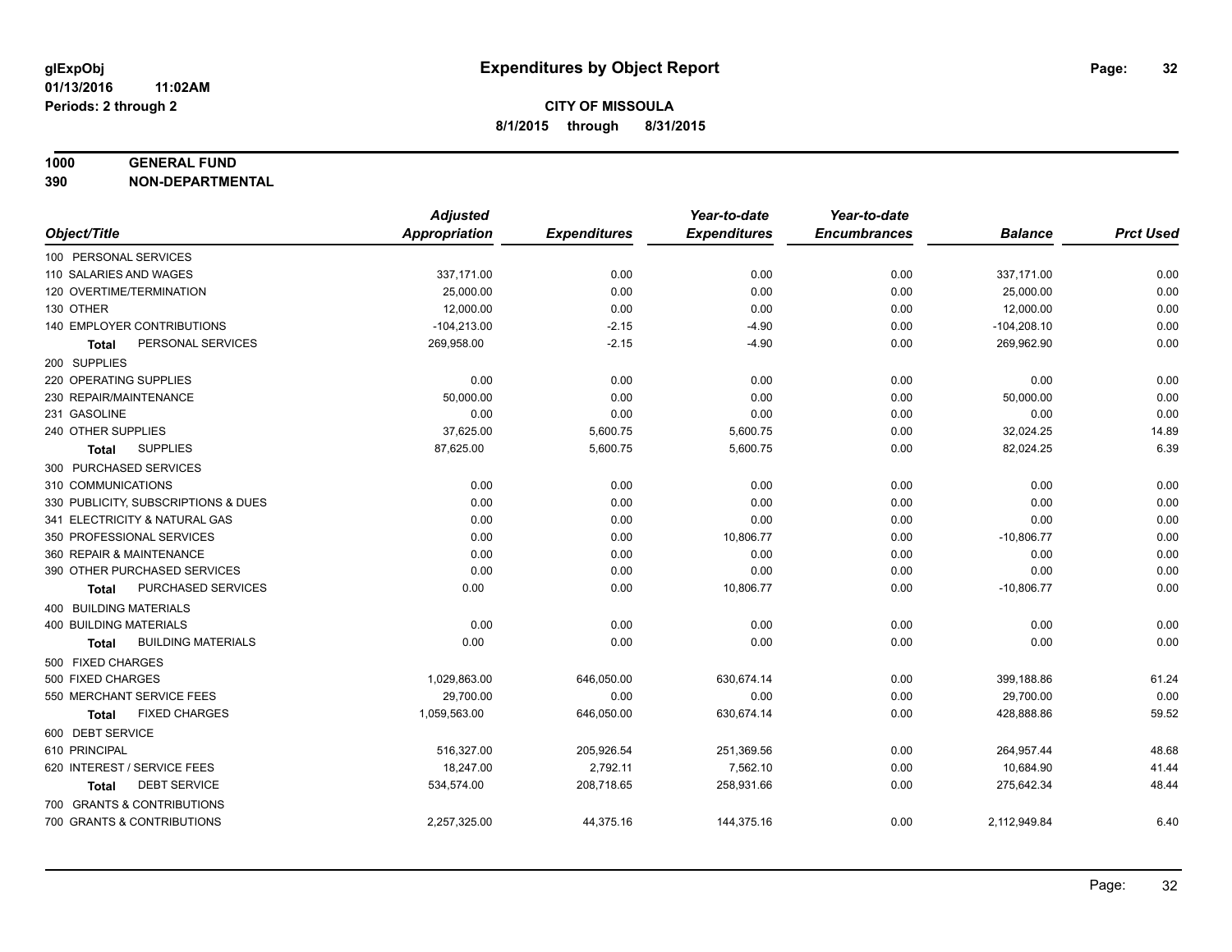#### **1000 GENERAL FUND**

**390 NON-DEPARTMENTAL**

|                                           | <b>Adjusted</b> |                     | Year-to-date        | Year-to-date        |                |                  |
|-------------------------------------------|-----------------|---------------------|---------------------|---------------------|----------------|------------------|
| Object/Title                              | Appropriation   | <b>Expenditures</b> | <b>Expenditures</b> | <b>Encumbrances</b> | <b>Balance</b> | <b>Prct Used</b> |
| 100 PERSONAL SERVICES                     |                 |                     |                     |                     |                |                  |
| 110 SALARIES AND WAGES                    | 337,171.00      | 0.00                | 0.00                | 0.00                | 337,171.00     | 0.00             |
| 120 OVERTIME/TERMINATION                  | 25,000.00       | 0.00                | 0.00                | 0.00                | 25,000.00      | 0.00             |
| 130 OTHER                                 | 12,000.00       | 0.00                | 0.00                | 0.00                | 12,000.00      | 0.00             |
| 140 EMPLOYER CONTRIBUTIONS                | $-104,213.00$   | $-2.15$             | $-4.90$             | 0.00                | $-104,208.10$  | 0.00             |
| PERSONAL SERVICES<br><b>Total</b>         | 269,958.00      | $-2.15$             | $-4.90$             | 0.00                | 269,962.90     | 0.00             |
| 200 SUPPLIES                              |                 |                     |                     |                     |                |                  |
| 220 OPERATING SUPPLIES                    | 0.00            | 0.00                | 0.00                | 0.00                | 0.00           | 0.00             |
| 230 REPAIR/MAINTENANCE                    | 50,000.00       | 0.00                | 0.00                | 0.00                | 50,000.00      | 0.00             |
| 231 GASOLINE                              | 0.00            | 0.00                | 0.00                | 0.00                | 0.00           | 0.00             |
| 240 OTHER SUPPLIES                        | 37,625.00       | 5,600.75            | 5,600.75            | 0.00                | 32,024.25      | 14.89            |
| <b>SUPPLIES</b><br>Total                  | 87,625.00       | 5,600.75            | 5,600.75            | 0.00                | 82,024.25      | 6.39             |
| 300 PURCHASED SERVICES                    |                 |                     |                     |                     |                |                  |
| 310 COMMUNICATIONS                        | 0.00            | 0.00                | 0.00                | 0.00                | 0.00           | 0.00             |
| 330 PUBLICITY, SUBSCRIPTIONS & DUES       | 0.00            | 0.00                | 0.00                | 0.00                | 0.00           | 0.00             |
| 341 ELECTRICITY & NATURAL GAS             | 0.00            | 0.00                | 0.00                | 0.00                | 0.00           | 0.00             |
| 350 PROFESSIONAL SERVICES                 | 0.00            | 0.00                | 10,806.77           | 0.00                | $-10,806.77$   | 0.00             |
| 360 REPAIR & MAINTENANCE                  | 0.00            | 0.00                | 0.00                | 0.00                | 0.00           | 0.00             |
| 390 OTHER PURCHASED SERVICES              | 0.00            | 0.00                | 0.00                | 0.00                | 0.00           | 0.00             |
| PURCHASED SERVICES<br>Total               | 0.00            | 0.00                | 10,806.77           | 0.00                | $-10,806.77$   | 0.00             |
| <b>400 BUILDING MATERIALS</b>             |                 |                     |                     |                     |                |                  |
| <b>400 BUILDING MATERIALS</b>             | 0.00            | 0.00                | 0.00                | 0.00                | 0.00           | 0.00             |
| <b>BUILDING MATERIALS</b><br><b>Total</b> | 0.00            | 0.00                | 0.00                | 0.00                | 0.00           | 0.00             |
| 500 FIXED CHARGES                         |                 |                     |                     |                     |                |                  |
| 500 FIXED CHARGES                         | 1,029,863.00    | 646,050.00          | 630,674.14          | 0.00                | 399,188.86     | 61.24            |
| 550 MERCHANT SERVICE FEES                 | 29,700.00       | 0.00                | 0.00                | 0.00                | 29,700.00      | 0.00             |
| <b>FIXED CHARGES</b><br><b>Total</b>      | 1,059,563.00    | 646,050.00          | 630,674.14          | 0.00                | 428,888.86     | 59.52            |
| 600 DEBT SERVICE                          |                 |                     |                     |                     |                |                  |
| 610 PRINCIPAL                             | 516,327.00      | 205,926.54          | 251,369.56          | 0.00                | 264,957.44     | 48.68            |
| 620 INTEREST / SERVICE FEES               | 18,247.00       | 2,792.11            | 7,562.10            | 0.00                | 10,684.90      | 41.44            |
| <b>DEBT SERVICE</b><br>Total              | 534,574.00      | 208,718.65          | 258,931.66          | 0.00                | 275,642.34     | 48.44            |
| 700 GRANTS & CONTRIBUTIONS                |                 |                     |                     |                     |                |                  |
| 700 GRANTS & CONTRIBUTIONS                | 2,257,325.00    | 44,375.16           | 144,375.16          | 0.00                | 2,112,949.84   | 6.40             |
|                                           |                 |                     |                     |                     |                |                  |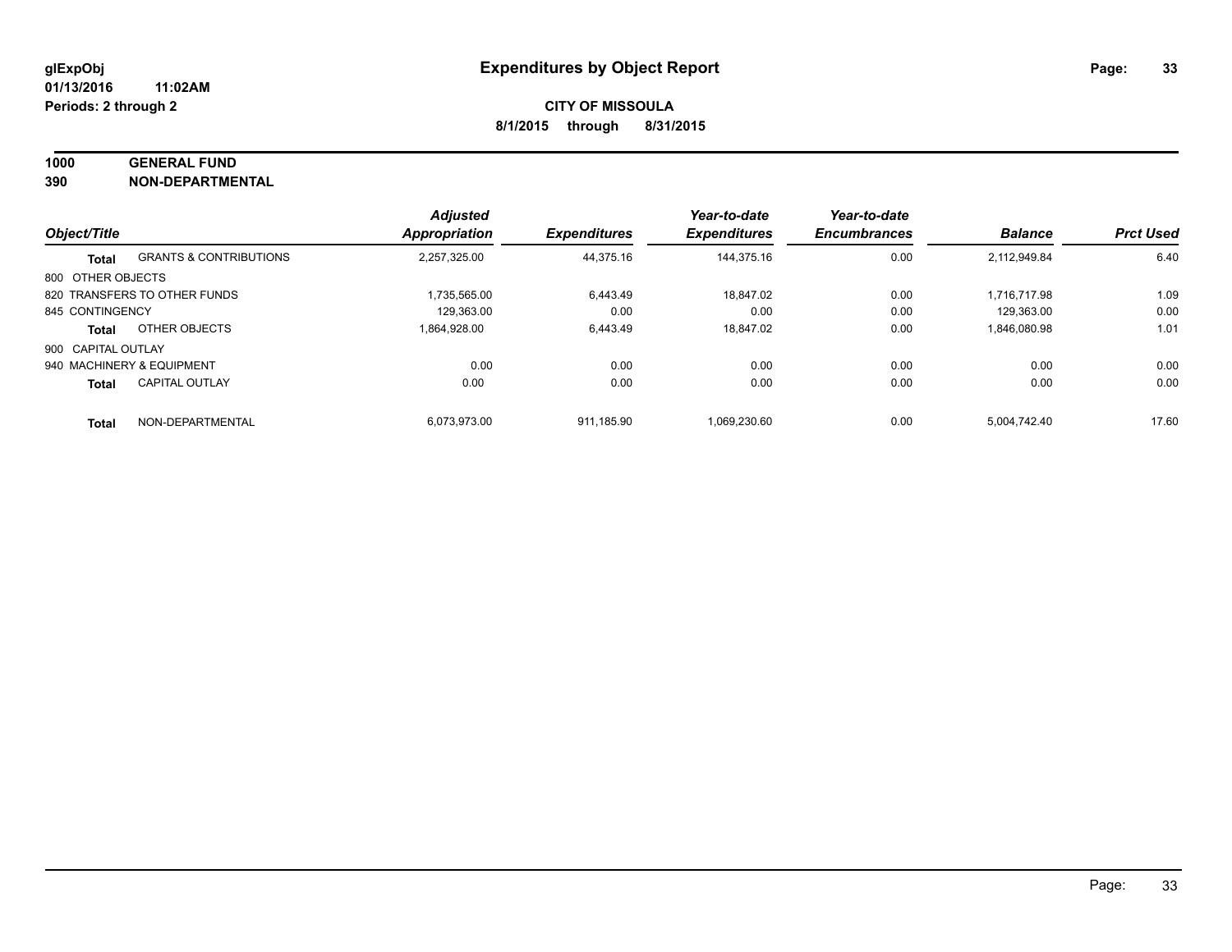#### **1000 GENERAL FUND**

**390 NON-DEPARTMENTAL**

|                    |                                   | <b>Adjusted</b> |                     | Year-to-date        | Year-to-date        |                |                  |
|--------------------|-----------------------------------|-----------------|---------------------|---------------------|---------------------|----------------|------------------|
| Object/Title       |                                   | Appropriation   | <b>Expenditures</b> | <b>Expenditures</b> | <b>Encumbrances</b> | <b>Balance</b> | <b>Prct Used</b> |
| <b>Total</b>       | <b>GRANTS &amp; CONTRIBUTIONS</b> | 2,257,325.00    | 44,375.16           | 144.375.16          | 0.00                | 2,112,949.84   | 6.40             |
| 800 OTHER OBJECTS  |                                   |                 |                     |                     |                     |                |                  |
|                    | 820 TRANSFERS TO OTHER FUNDS      | 1.735.565.00    | 6.443.49            | 18.847.02           | 0.00                | 1.716.717.98   | 1.09             |
| 845 CONTINGENCY    |                                   | 129.363.00      | 0.00                | 0.00                | 0.00                | 129.363.00     | 0.00             |
| <b>Total</b>       | OTHER OBJECTS                     | 1,864,928.00    | 6,443.49            | 18.847.02           | 0.00                | 1,846,080.98   | 1.01             |
| 900 CAPITAL OUTLAY |                                   |                 |                     |                     |                     |                |                  |
|                    | 940 MACHINERY & EQUIPMENT         | 0.00            | 0.00                | 0.00                | 0.00                | 0.00           | 0.00             |
| <b>Total</b>       | <b>CAPITAL OUTLAY</b>             | 0.00            | 0.00                | 0.00                | 0.00                | 0.00           | 0.00             |
| <b>Total</b>       | NON-DEPARTMENTAL                  | 6.073.973.00    | 911.185.90          | 1.069.230.60        | 0.00                | 5.004.742.40   | 17.60            |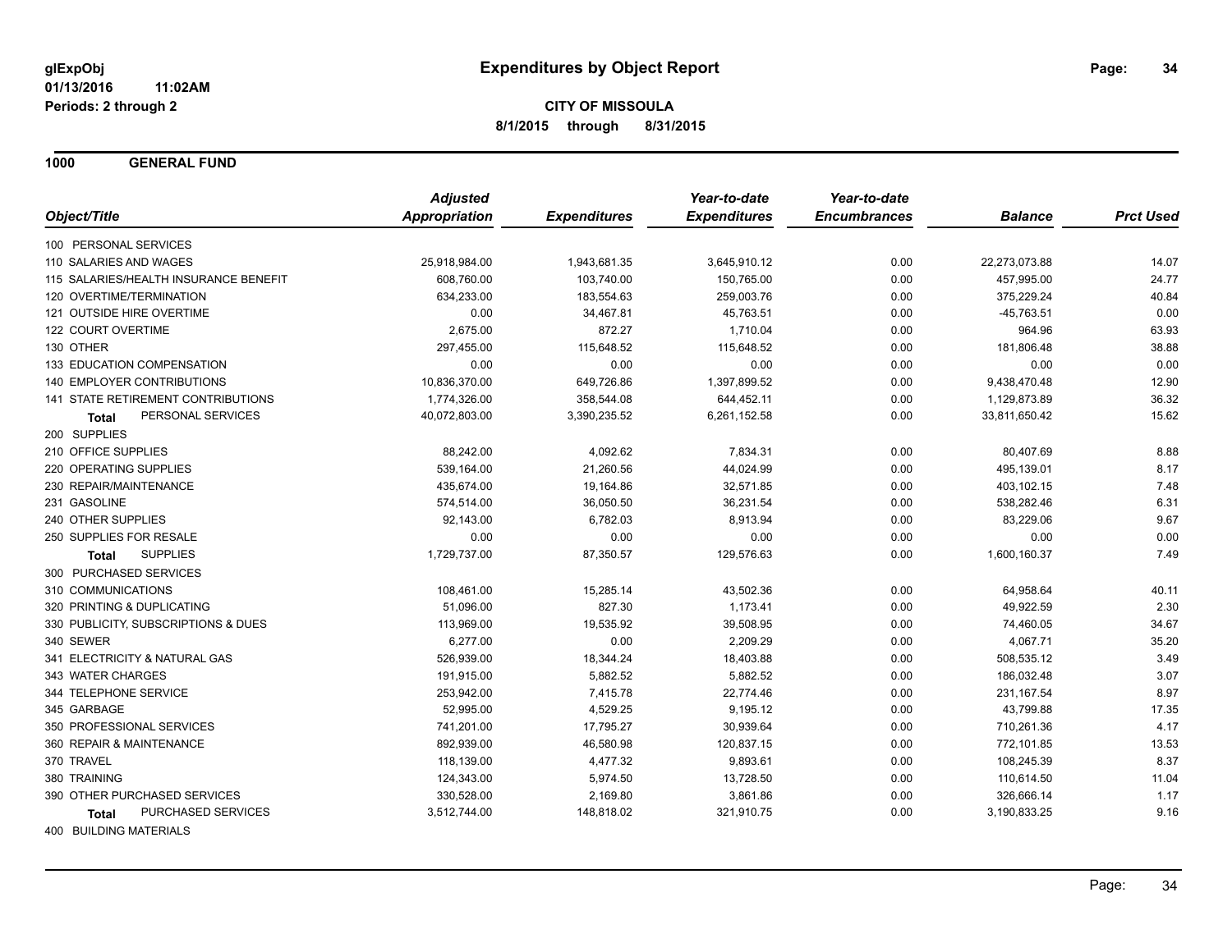**1000 GENERAL FUND**

|                                       | <b>Adjusted</b>      |                     | Year-to-date        | Year-to-date        |                |                  |
|---------------------------------------|----------------------|---------------------|---------------------|---------------------|----------------|------------------|
| Object/Title                          | <b>Appropriation</b> | <b>Expenditures</b> | <b>Expenditures</b> | <b>Encumbrances</b> | <b>Balance</b> | <b>Prct Used</b> |
| 100 PERSONAL SERVICES                 |                      |                     |                     |                     |                |                  |
| 110 SALARIES AND WAGES                | 25,918,984.00        | 1,943,681.35        | 3,645,910.12        | 0.00                | 22,273,073.88  | 14.07            |
| 115 SALARIES/HEALTH INSURANCE BENEFIT | 608,760.00           | 103,740.00          | 150,765.00          | 0.00                | 457,995.00     | 24.77            |
| 120 OVERTIME/TERMINATION              | 634,233.00           | 183,554.63          | 259,003.76          | 0.00                | 375,229.24     | 40.84            |
| 121 OUTSIDE HIRE OVERTIME             | 0.00                 | 34,467.81           | 45,763.51           | 0.00                | $-45,763.51$   | 0.00             |
| 122 COURT OVERTIME                    | 2,675.00             | 872.27              | 1,710.04            | 0.00                | 964.96         | 63.93            |
| 130 OTHER                             | 297,455.00           | 115,648.52          | 115,648.52          | 0.00                | 181,806.48     | 38.88            |
| 133 EDUCATION COMPENSATION            | 0.00                 | 0.00                | 0.00                | 0.00                | 0.00           | 0.00             |
| <b>140 EMPLOYER CONTRIBUTIONS</b>     | 10,836,370.00        | 649,726.86          | 1,397,899.52        | 0.00                | 9,438,470.48   | 12.90            |
| 141 STATE RETIREMENT CONTRIBUTIONS    | 1,774,326.00         | 358,544.08          | 644,452.11          | 0.00                | 1,129,873.89   | 36.32            |
| PERSONAL SERVICES<br><b>Total</b>     | 40,072,803.00        | 3,390,235.52        | 6,261,152.58        | 0.00                | 33,811,650.42  | 15.62            |
| 200 SUPPLIES                          |                      |                     |                     |                     |                |                  |
| 210 OFFICE SUPPLIES                   | 88,242.00            | 4,092.62            | 7,834.31            | 0.00                | 80,407.69      | 8.88             |
| 220 OPERATING SUPPLIES                | 539,164.00           | 21,260.56           | 44,024.99           | 0.00                | 495,139.01     | 8.17             |
| 230 REPAIR/MAINTENANCE                | 435,674.00           | 19,164.86           | 32,571.85           | 0.00                | 403,102.15     | 7.48             |
| 231 GASOLINE                          | 574,514.00           | 36,050.50           | 36,231.54           | 0.00                | 538,282.46     | 6.31             |
| 240 OTHER SUPPLIES                    | 92,143.00            | 6,782.03            | 8,913.94            | 0.00                | 83,229.06      | 9.67             |
| 250 SUPPLIES FOR RESALE               | 0.00                 | 0.00                | 0.00                | 0.00                | 0.00           | 0.00             |
| <b>SUPPLIES</b><br>Total              | 1,729,737.00         | 87,350.57           | 129,576.63          | 0.00                | 1,600,160.37   | 7.49             |
| 300 PURCHASED SERVICES                |                      |                     |                     |                     |                |                  |
| 310 COMMUNICATIONS                    | 108,461.00           | 15,285.14           | 43,502.36           | 0.00                | 64,958.64      | 40.11            |
| 320 PRINTING & DUPLICATING            | 51,096.00            | 827.30              | 1,173.41            | 0.00                | 49,922.59      | 2.30             |
| 330 PUBLICITY, SUBSCRIPTIONS & DUES   | 113,969.00           | 19,535.92           | 39,508.95           | 0.00                | 74,460.05      | 34.67            |
| 340 SEWER                             | 6,277.00             | 0.00                | 2,209.29            | 0.00                | 4,067.71       | 35.20            |
| 341 ELECTRICITY & NATURAL GAS         | 526,939.00           | 18,344.24           | 18,403.88           | 0.00                | 508,535.12     | 3.49             |
| 343 WATER CHARGES                     | 191,915.00           | 5,882.52            | 5,882.52            | 0.00                | 186,032.48     | 3.07             |
| 344 TELEPHONE SERVICE                 | 253,942.00           | 7,415.78            | 22,774.46           | 0.00                | 231,167.54     | 8.97             |
| 345 GARBAGE                           | 52,995.00            | 4,529.25            | 9,195.12            | 0.00                | 43,799.88      | 17.35            |
| 350 PROFESSIONAL SERVICES             | 741,201.00           | 17,795.27           | 30,939.64           | 0.00                | 710,261.36     | 4.17             |
| 360 REPAIR & MAINTENANCE              | 892,939.00           | 46,580.98           | 120,837.15          | 0.00                | 772,101.85     | 13.53            |
| 370 TRAVEL                            | 118,139.00           | 4,477.32            | 9,893.61            | 0.00                | 108,245.39     | 8.37             |
| 380 TRAINING                          | 124,343.00           | 5,974.50            | 13,728.50           | 0.00                | 110,614.50     | 11.04            |
| 390 OTHER PURCHASED SERVICES          | 330,528.00           | 2,169.80            | 3,861.86            | 0.00                | 326,666.14     | 1.17             |
| <b>PURCHASED SERVICES</b><br>Total    | 3,512,744.00         | 148,818.02          | 321,910.75          | 0.00                | 3,190,833.25   | 9.16             |
| $100 - 51111 - 1110 - 1117 - 11100$   |                      |                     |                     |                     |                |                  |

400 BUILDING MATERIALS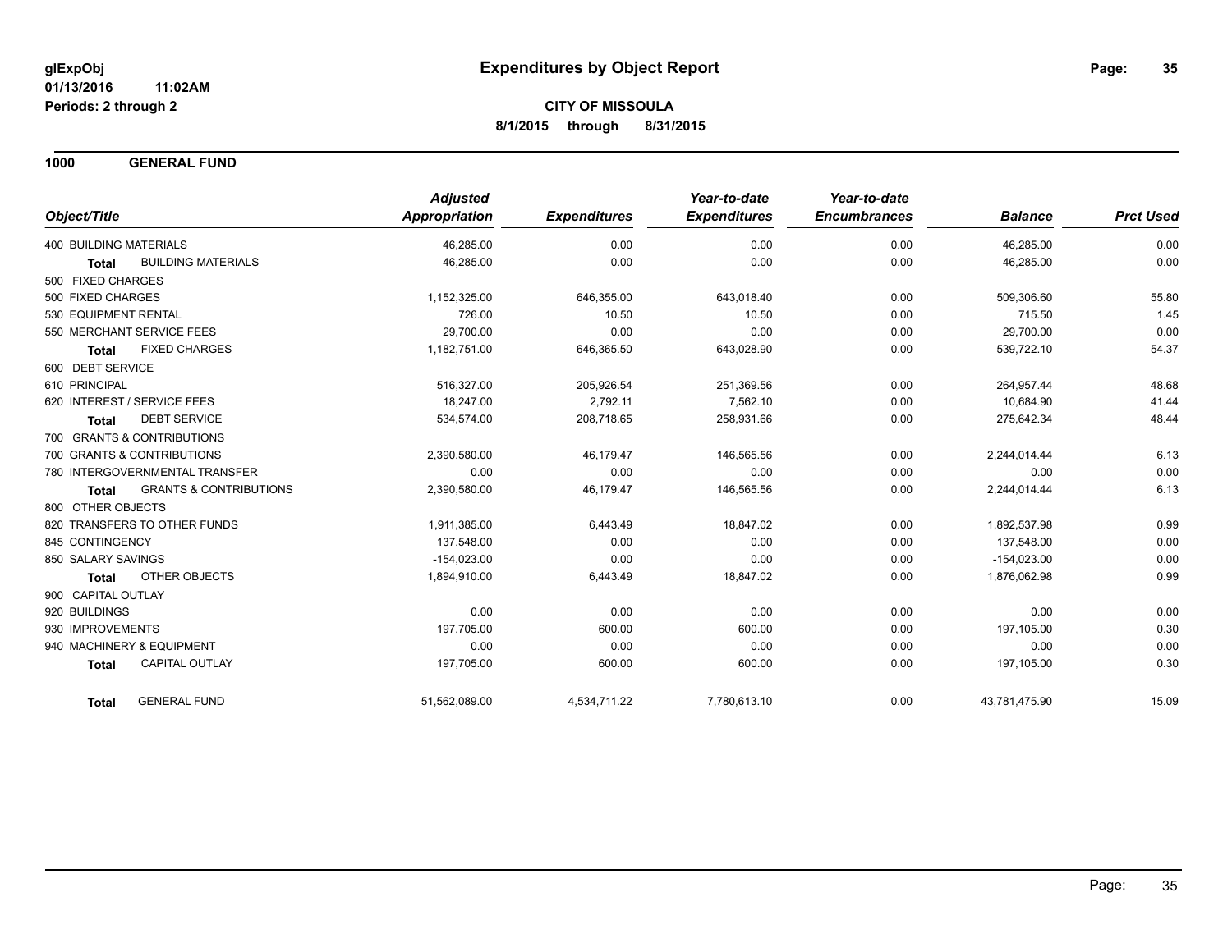**1000 GENERAL FUND**

|                                                   | <b>Adjusted</b>      |                     | Year-to-date        | Year-to-date        |                |                  |
|---------------------------------------------------|----------------------|---------------------|---------------------|---------------------|----------------|------------------|
| Object/Title                                      | <b>Appropriation</b> | <b>Expenditures</b> | <b>Expenditures</b> | <b>Encumbrances</b> | <b>Balance</b> | <b>Prct Used</b> |
| <b>400 BUILDING MATERIALS</b>                     | 46,285.00            | 0.00                | 0.00                | 0.00                | 46,285.00      | 0.00             |
| <b>BUILDING MATERIALS</b><br><b>Total</b>         | 46,285.00            | 0.00                | 0.00                | 0.00                | 46,285.00      | 0.00             |
| 500 FIXED CHARGES                                 |                      |                     |                     |                     |                |                  |
| 500 FIXED CHARGES                                 | 1,152,325.00         | 646,355.00          | 643,018.40          | 0.00                | 509,306.60     | 55.80            |
| 530 EQUIPMENT RENTAL                              | 726.00               | 10.50               | 10.50               | 0.00                | 715.50         | 1.45             |
| 550 MERCHANT SERVICE FEES                         | 29,700.00            | 0.00                | 0.00                | 0.00                | 29,700.00      | 0.00             |
| <b>FIXED CHARGES</b><br><b>Total</b>              | 1,182,751.00         | 646,365.50          | 643,028.90          | 0.00                | 539,722.10     | 54.37            |
| 600 DEBT SERVICE                                  |                      |                     |                     |                     |                |                  |
| 610 PRINCIPAL                                     | 516,327.00           | 205,926.54          | 251,369.56          | 0.00                | 264,957.44     | 48.68            |
| 620 INTEREST / SERVICE FEES                       | 18.247.00            | 2,792.11            | 7,562.10            | 0.00                | 10,684.90      | 41.44            |
| <b>DEBT SERVICE</b><br>Total                      | 534,574.00           | 208,718.65          | 258,931.66          | 0.00                | 275,642.34     | 48.44            |
| 700 GRANTS & CONTRIBUTIONS                        |                      |                     |                     |                     |                |                  |
| 700 GRANTS & CONTRIBUTIONS                        | 2,390,580.00         | 46,179.47           | 146,565.56          | 0.00                | 2,244,014.44   | 6.13             |
| 780 INTERGOVERNMENTAL TRANSFER                    | 0.00                 | 0.00                | 0.00                | 0.00                | 0.00           | 0.00             |
| <b>GRANTS &amp; CONTRIBUTIONS</b><br><b>Total</b> | 2,390,580.00         | 46,179.47           | 146,565.56          | 0.00                | 2,244,014.44   | 6.13             |
| 800 OTHER OBJECTS                                 |                      |                     |                     |                     |                |                  |
| 820 TRANSFERS TO OTHER FUNDS                      | 1,911,385.00         | 6,443.49            | 18,847.02           | 0.00                | 1,892,537.98   | 0.99             |
| 845 CONTINGENCY                                   | 137,548.00           | 0.00                | 0.00                | 0.00                | 137,548.00     | 0.00             |
| 850 SALARY SAVINGS                                | $-154,023.00$        | 0.00                | 0.00                | 0.00                | $-154,023.00$  | 0.00             |
| <b>OTHER OBJECTS</b><br><b>Total</b>              | 1,894,910.00         | 6,443.49            | 18,847.02           | 0.00                | 1,876,062.98   | 0.99             |
| 900 CAPITAL OUTLAY                                |                      |                     |                     |                     |                |                  |
| 920 BUILDINGS                                     | 0.00                 | 0.00                | 0.00                | 0.00                | 0.00           | 0.00             |
| 930 IMPROVEMENTS                                  | 197,705.00           | 600.00              | 600.00              | 0.00                | 197,105.00     | 0.30             |
| 940 MACHINERY & EQUIPMENT                         | 0.00                 | 0.00                | 0.00                | 0.00                | 0.00           | 0.00             |
| CAPITAL OUTLAY<br><b>Total</b>                    | 197,705.00           | 600.00              | 600.00              | 0.00                | 197,105.00     | 0.30             |
| <b>GENERAL FUND</b><br><b>Total</b>               | 51,562,089.00        | 4,534,711.22        | 7,780,613.10        | 0.00                | 43,781,475.90  | 15.09            |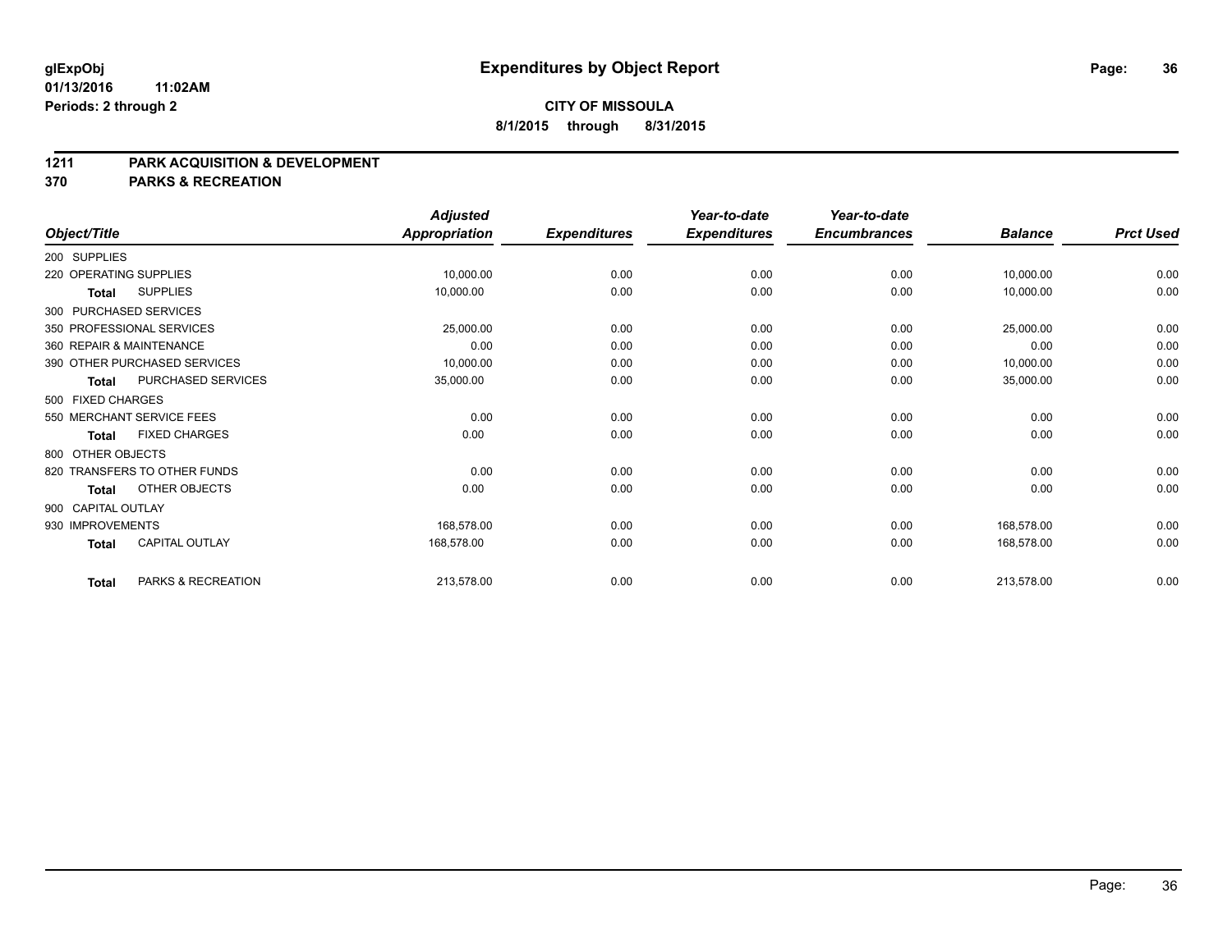#### **1211 PARK ACQUISITION & DEVELOPMENT**

**370 PARKS & RECREATION**

|                    |                              | <b>Adjusted</b>      |                     | Year-to-date        | Year-to-date        |                |                  |
|--------------------|------------------------------|----------------------|---------------------|---------------------|---------------------|----------------|------------------|
| Object/Title       |                              | <b>Appropriation</b> | <b>Expenditures</b> | <b>Expenditures</b> | <b>Encumbrances</b> | <b>Balance</b> | <b>Prct Used</b> |
| 200 SUPPLIES       |                              |                      |                     |                     |                     |                |                  |
|                    | 220 OPERATING SUPPLIES       | 10,000.00            | 0.00                | 0.00                | 0.00                | 10,000.00      | 0.00             |
| <b>Total</b>       | <b>SUPPLIES</b>              | 10,000.00            | 0.00                | 0.00                | 0.00                | 10,000.00      | 0.00             |
|                    | 300 PURCHASED SERVICES       |                      |                     |                     |                     |                |                  |
|                    | 350 PROFESSIONAL SERVICES    | 25,000.00            | 0.00                | 0.00                | 0.00                | 25,000.00      | 0.00             |
|                    | 360 REPAIR & MAINTENANCE     | 0.00                 | 0.00                | 0.00                | 0.00                | 0.00           | 0.00             |
|                    | 390 OTHER PURCHASED SERVICES | 10,000.00            | 0.00                | 0.00                | 0.00                | 10,000.00      | 0.00             |
| <b>Total</b>       | PURCHASED SERVICES           | 35,000.00            | 0.00                | 0.00                | 0.00                | 35,000.00      | 0.00             |
| 500 FIXED CHARGES  |                              |                      |                     |                     |                     |                |                  |
|                    | 550 MERCHANT SERVICE FEES    | 0.00                 | 0.00                | 0.00                | 0.00                | 0.00           | 0.00             |
| <b>Total</b>       | <b>FIXED CHARGES</b>         | 0.00                 | 0.00                | 0.00                | 0.00                | 0.00           | 0.00             |
| 800 OTHER OBJECTS  |                              |                      |                     |                     |                     |                |                  |
|                    | 820 TRANSFERS TO OTHER FUNDS | 0.00                 | 0.00                | 0.00                | 0.00                | 0.00           | 0.00             |
| Total              | OTHER OBJECTS                | 0.00                 | 0.00                | 0.00                | 0.00                | 0.00           | 0.00             |
| 900 CAPITAL OUTLAY |                              |                      |                     |                     |                     |                |                  |
| 930 IMPROVEMENTS   |                              | 168.578.00           | 0.00                | 0.00                | 0.00                | 168,578.00     | 0.00             |
| <b>Total</b>       | <b>CAPITAL OUTLAY</b>        | 168,578.00           | 0.00                | 0.00                | 0.00                | 168,578.00     | 0.00             |
| <b>Total</b>       | PARKS & RECREATION           | 213,578.00           | 0.00                | 0.00                | 0.00                | 213,578.00     | 0.00             |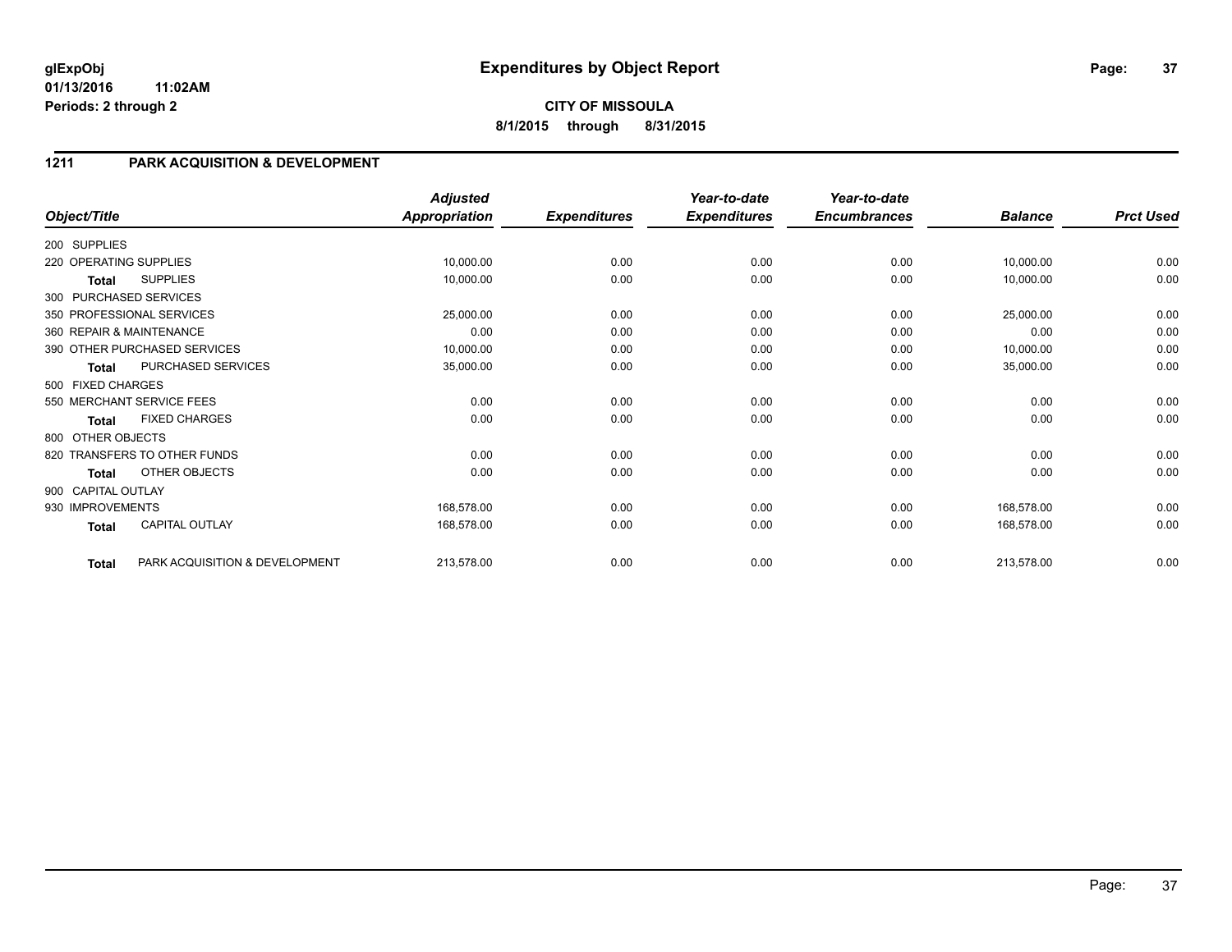### **1211 PARK ACQUISITION & DEVELOPMENT**

| Object/Title           |                                | <b>Adjusted</b><br><b>Appropriation</b> | <b>Expenditures</b> | Year-to-date<br><b>Expenditures</b> | Year-to-date<br><b>Encumbrances</b> | <b>Balance</b> | <b>Prct Used</b> |
|------------------------|--------------------------------|-----------------------------------------|---------------------|-------------------------------------|-------------------------------------|----------------|------------------|
|                        |                                |                                         |                     |                                     |                                     |                |                  |
| 200 SUPPLIES           |                                |                                         |                     |                                     |                                     |                |                  |
| 220 OPERATING SUPPLIES |                                | 10,000.00                               | 0.00                | 0.00                                | 0.00                                | 10,000.00      | 0.00             |
| Total                  | <b>SUPPLIES</b>                | 10,000.00                               | 0.00                | 0.00                                | 0.00                                | 10,000.00      | 0.00             |
|                        | 300 PURCHASED SERVICES         |                                         |                     |                                     |                                     |                |                  |
|                        | 350 PROFESSIONAL SERVICES      | 25,000.00                               | 0.00                | 0.00                                | 0.00                                | 25,000.00      | 0.00             |
|                        | 360 REPAIR & MAINTENANCE       | 0.00                                    | 0.00                | 0.00                                | 0.00                                | 0.00           | 0.00             |
|                        | 390 OTHER PURCHASED SERVICES   | 10,000.00                               | 0.00                | 0.00                                | 0.00                                | 10,000.00      | 0.00             |
| <b>Total</b>           | PURCHASED SERVICES             | 35,000.00                               | 0.00                | 0.00                                | 0.00                                | 35,000.00      | 0.00             |
| 500 FIXED CHARGES      |                                |                                         |                     |                                     |                                     |                |                  |
|                        | 550 MERCHANT SERVICE FEES      | 0.00                                    | 0.00                | 0.00                                | 0.00                                | 0.00           | 0.00             |
| <b>Total</b>           | <b>FIXED CHARGES</b>           | 0.00                                    | 0.00                | 0.00                                | 0.00                                | 0.00           | 0.00             |
| 800 OTHER OBJECTS      |                                |                                         |                     |                                     |                                     |                |                  |
|                        | 820 TRANSFERS TO OTHER FUNDS   | 0.00                                    | 0.00                | 0.00                                | 0.00                                | 0.00           | 0.00             |
| <b>Total</b>           | OTHER OBJECTS                  | 0.00                                    | 0.00                | 0.00                                | 0.00                                | 0.00           | 0.00             |
| 900 CAPITAL OUTLAY     |                                |                                         |                     |                                     |                                     |                |                  |
| 930 IMPROVEMENTS       |                                | 168,578.00                              | 0.00                | 0.00                                | 0.00                                | 168,578.00     | 0.00             |
| <b>Total</b>           | <b>CAPITAL OUTLAY</b>          | 168,578.00                              | 0.00                | 0.00                                | 0.00                                | 168,578.00     | 0.00             |
| <b>Total</b>           | PARK ACQUISITION & DEVELOPMENT | 213,578.00                              | 0.00                | 0.00                                | 0.00                                | 213,578.00     | 0.00             |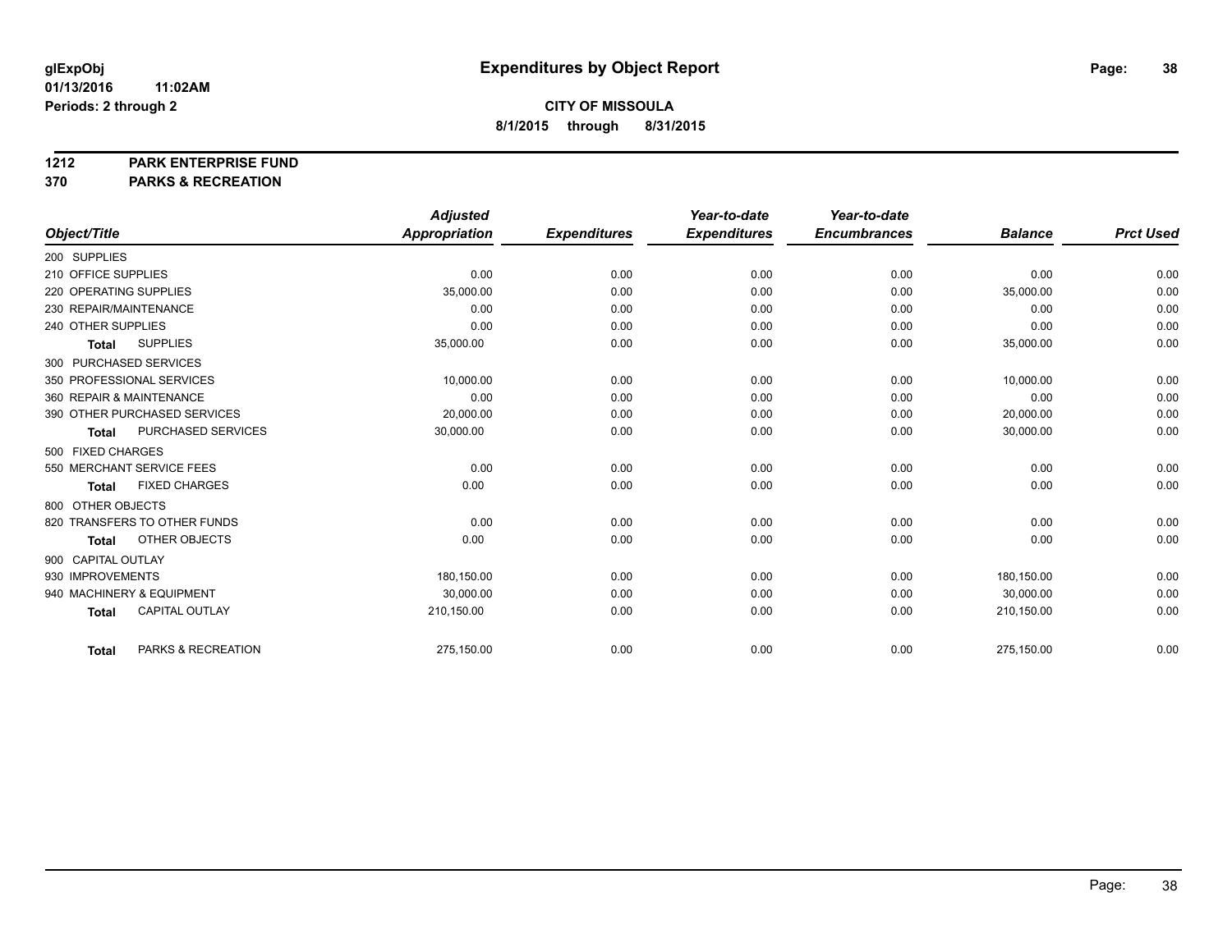#### **1212 PARK ENTERPRISE FUND**

**370 PARKS & RECREATION**

|                           |                              | <b>Adjusted</b>      |                     | Year-to-date        | Year-to-date        |                |                  |
|---------------------------|------------------------------|----------------------|---------------------|---------------------|---------------------|----------------|------------------|
| Object/Title              |                              | <b>Appropriation</b> | <b>Expenditures</b> | <b>Expenditures</b> | <b>Encumbrances</b> | <b>Balance</b> | <b>Prct Used</b> |
| 200 SUPPLIES              |                              |                      |                     |                     |                     |                |                  |
| 210 OFFICE SUPPLIES       |                              | 0.00                 | 0.00                | 0.00                | 0.00                | 0.00           | 0.00             |
| 220 OPERATING SUPPLIES    |                              | 35,000.00            | 0.00                | 0.00                | 0.00                | 35,000.00      | 0.00             |
| 230 REPAIR/MAINTENANCE    |                              | 0.00                 | 0.00                | 0.00                | 0.00                | 0.00           | 0.00             |
| 240 OTHER SUPPLIES        |                              | 0.00                 | 0.00                | 0.00                | 0.00                | 0.00           | 0.00             |
| <b>Total</b>              | <b>SUPPLIES</b>              | 35,000.00            | 0.00                | 0.00                | 0.00                | 35,000.00      | 0.00             |
| 300 PURCHASED SERVICES    |                              |                      |                     |                     |                     |                |                  |
| 350 PROFESSIONAL SERVICES |                              | 10,000.00            | 0.00                | 0.00                | 0.00                | 10,000.00      | 0.00             |
| 360 REPAIR & MAINTENANCE  |                              | 0.00                 | 0.00                | 0.00                | 0.00                | 0.00           | 0.00             |
|                           | 390 OTHER PURCHASED SERVICES | 20,000.00            | 0.00                | 0.00                | 0.00                | 20,000.00      | 0.00             |
| <b>Total</b>              | PURCHASED SERVICES           | 30,000.00            | 0.00                | 0.00                | 0.00                | 30,000.00      | 0.00             |
| 500 FIXED CHARGES         |                              |                      |                     |                     |                     |                |                  |
| 550 MERCHANT SERVICE FEES |                              | 0.00                 | 0.00                | 0.00                | 0.00                | 0.00           | 0.00             |
| <b>Total</b>              | <b>FIXED CHARGES</b>         | 0.00                 | 0.00                | 0.00                | 0.00                | 0.00           | 0.00             |
| 800 OTHER OBJECTS         |                              |                      |                     |                     |                     |                |                  |
|                           | 820 TRANSFERS TO OTHER FUNDS | 0.00                 | 0.00                | 0.00                | 0.00                | 0.00           | 0.00             |
| <b>Total</b>              | <b>OTHER OBJECTS</b>         | 0.00                 | 0.00                | 0.00                | 0.00                | 0.00           | 0.00             |
| 900 CAPITAL OUTLAY        |                              |                      |                     |                     |                     |                |                  |
| 930 IMPROVEMENTS          |                              | 180.150.00           | 0.00                | 0.00                | 0.00                | 180.150.00     | 0.00             |
| 940 MACHINERY & EQUIPMENT |                              | 30,000.00            | 0.00                | 0.00                | 0.00                | 30,000.00      | 0.00             |
| <b>Total</b>              | <b>CAPITAL OUTLAY</b>        | 210,150.00           | 0.00                | 0.00                | 0.00                | 210,150.00     | 0.00             |
| <b>Total</b>              | PARKS & RECREATION           | 275,150.00           | 0.00                | 0.00                | 0.00                | 275,150.00     | 0.00             |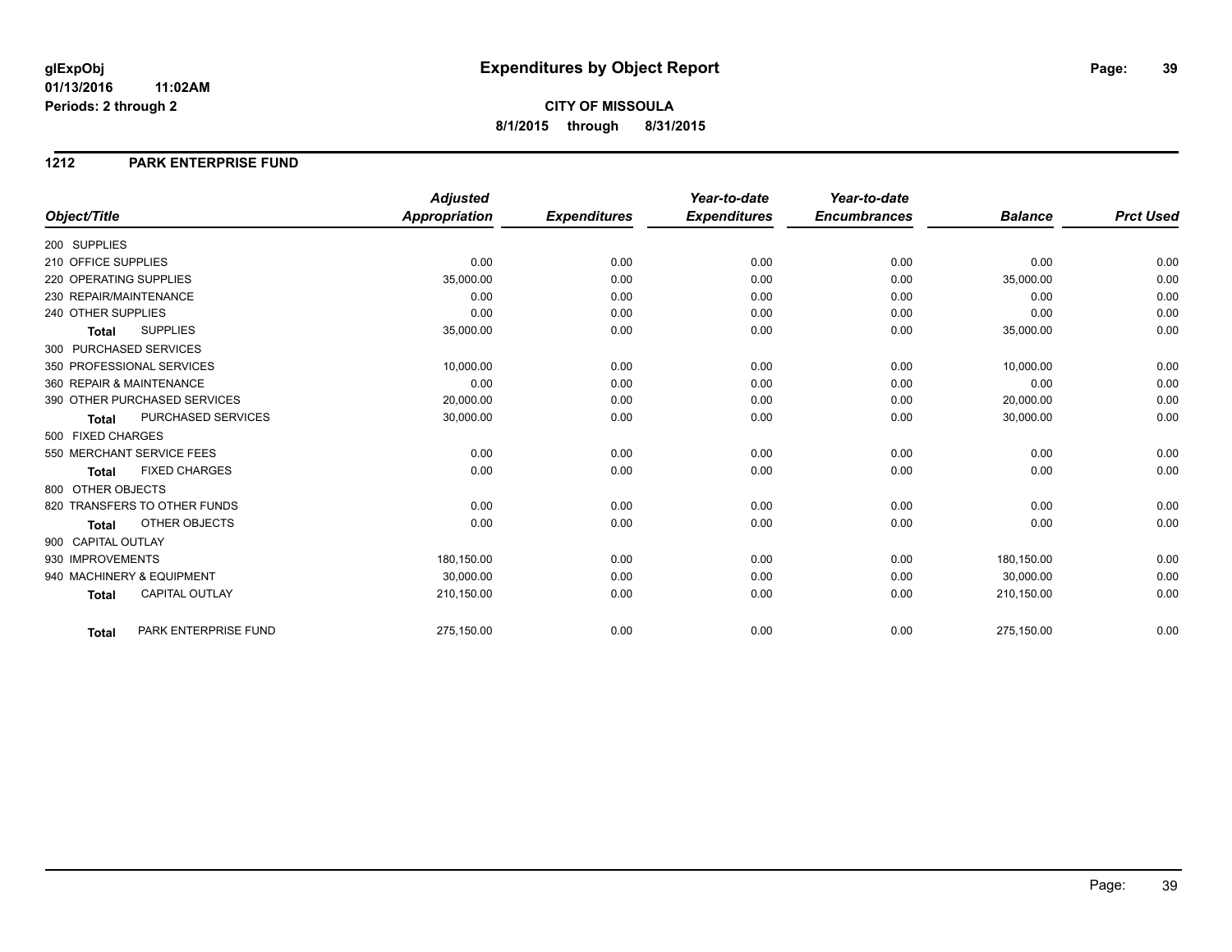#### **1212 PARK ENTERPRISE FUND**

|                        |                              | <b>Adjusted</b>      |                     | Year-to-date        | Year-to-date        |                |                  |
|------------------------|------------------------------|----------------------|---------------------|---------------------|---------------------|----------------|------------------|
| Object/Title           |                              | <b>Appropriation</b> | <b>Expenditures</b> | <b>Expenditures</b> | <b>Encumbrances</b> | <b>Balance</b> | <b>Prct Used</b> |
| 200 SUPPLIES           |                              |                      |                     |                     |                     |                |                  |
| 210 OFFICE SUPPLIES    |                              | 0.00                 | 0.00                | 0.00                | 0.00                | 0.00           | 0.00             |
| 220 OPERATING SUPPLIES |                              | 35,000.00            | 0.00                | 0.00                | 0.00                | 35,000.00      | 0.00             |
| 230 REPAIR/MAINTENANCE |                              | 0.00                 | 0.00                | 0.00                | 0.00                | 0.00           | 0.00             |
| 240 OTHER SUPPLIES     |                              | 0.00                 | 0.00                | 0.00                | 0.00                | 0.00           | 0.00             |
| <b>Total</b>           | <b>SUPPLIES</b>              | 35,000.00            | 0.00                | 0.00                | 0.00                | 35,000.00      | 0.00             |
|                        | 300 PURCHASED SERVICES       |                      |                     |                     |                     |                |                  |
|                        | 350 PROFESSIONAL SERVICES    | 10,000.00            | 0.00                | 0.00                | 0.00                | 10,000.00      | 0.00             |
|                        | 360 REPAIR & MAINTENANCE     | 0.00                 | 0.00                | 0.00                | 0.00                | 0.00           | 0.00             |
|                        | 390 OTHER PURCHASED SERVICES | 20,000.00            | 0.00                | 0.00                | 0.00                | 20,000.00      | 0.00             |
| <b>Total</b>           | PURCHASED SERVICES           | 30,000.00            | 0.00                | 0.00                | 0.00                | 30,000.00      | 0.00             |
| 500 FIXED CHARGES      |                              |                      |                     |                     |                     |                |                  |
|                        | 550 MERCHANT SERVICE FEES    | 0.00                 | 0.00                | 0.00                | 0.00                | 0.00           | 0.00             |
| <b>Total</b>           | <b>FIXED CHARGES</b>         | 0.00                 | 0.00                | 0.00                | 0.00                | 0.00           | 0.00             |
| 800 OTHER OBJECTS      |                              |                      |                     |                     |                     |                |                  |
|                        | 820 TRANSFERS TO OTHER FUNDS | 0.00                 | 0.00                | 0.00                | 0.00                | 0.00           | 0.00             |
| Total                  | OTHER OBJECTS                | 0.00                 | 0.00                | 0.00                | 0.00                | 0.00           | 0.00             |
| 900 CAPITAL OUTLAY     |                              |                      |                     |                     |                     |                |                  |
| 930 IMPROVEMENTS       |                              | 180,150.00           | 0.00                | 0.00                | 0.00                | 180,150.00     | 0.00             |
|                        | 940 MACHINERY & EQUIPMENT    | 30.000.00            | 0.00                | 0.00                | 0.00                | 30,000.00      | 0.00             |
| <b>Total</b>           | <b>CAPITAL OUTLAY</b>        | 210,150.00           | 0.00                | 0.00                | 0.00                | 210,150.00     | 0.00             |
|                        |                              |                      |                     |                     |                     |                |                  |
| <b>Total</b>           | PARK ENTERPRISE FUND         | 275,150.00           | 0.00                | 0.00                | 0.00                | 275,150.00     | 0.00             |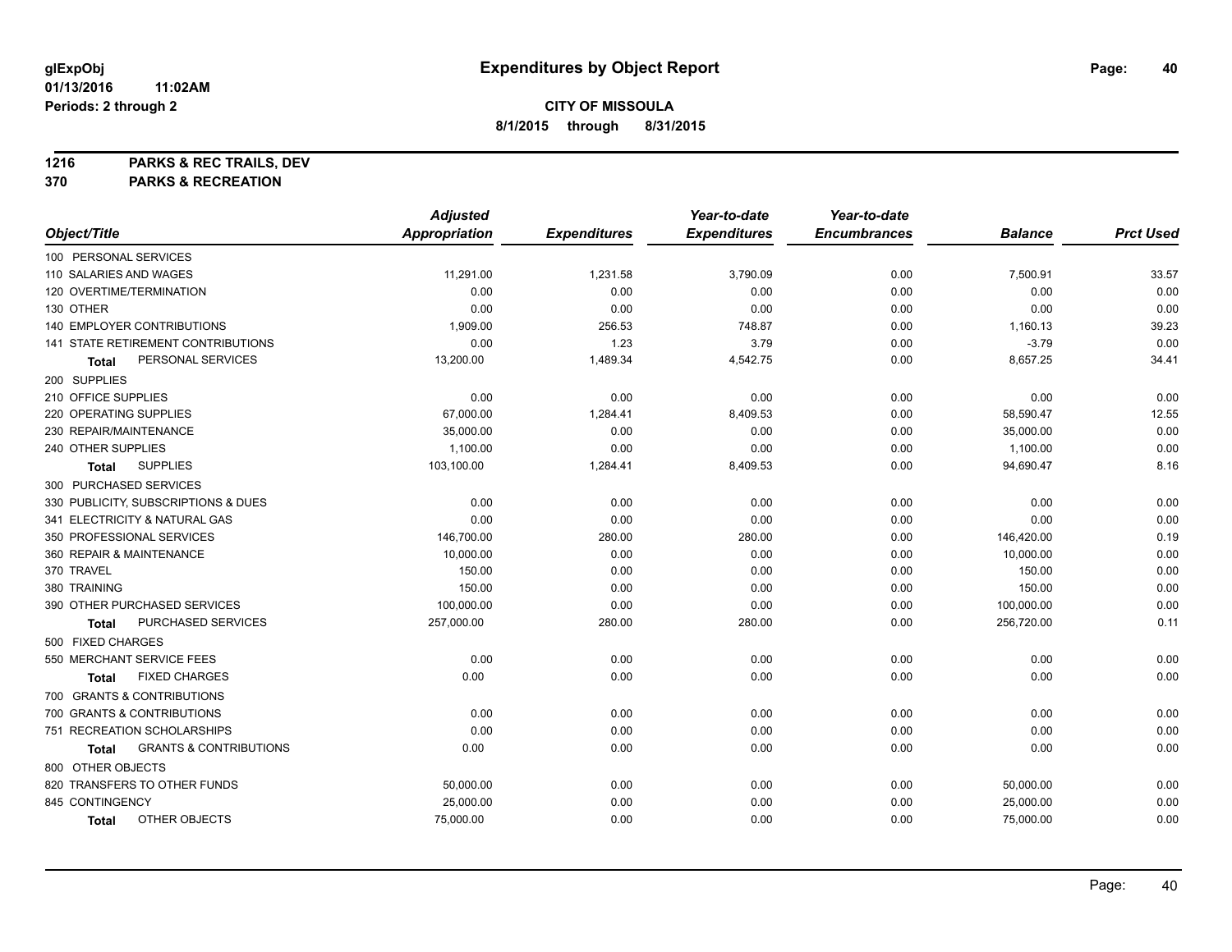**1216 PARKS & REC TRAILS, DEV**

**370 PARKS & RECREATION**

|                                            | <b>Adjusted</b>      |                     | Year-to-date        | Year-to-date        |                |                  |
|--------------------------------------------|----------------------|---------------------|---------------------|---------------------|----------------|------------------|
| Object/Title                               | <b>Appropriation</b> | <b>Expenditures</b> | <b>Expenditures</b> | <b>Encumbrances</b> | <b>Balance</b> | <b>Prct Used</b> |
| 100 PERSONAL SERVICES                      |                      |                     |                     |                     |                |                  |
| 110 SALARIES AND WAGES                     | 11,291.00            | 1,231.58            | 3,790.09            | 0.00                | 7,500.91       | 33.57            |
| 120 OVERTIME/TERMINATION                   | 0.00                 | 0.00                | 0.00                | 0.00                | 0.00           | 0.00             |
| 130 OTHER                                  | 0.00                 | 0.00                | 0.00                | 0.00                | 0.00           | 0.00             |
| 140 EMPLOYER CONTRIBUTIONS                 | 1,909.00             | 256.53              | 748.87              | 0.00                | 1,160.13       | 39.23            |
| 141 STATE RETIREMENT CONTRIBUTIONS         | 0.00                 | 1.23                | 3.79                | 0.00                | $-3.79$        | 0.00             |
| PERSONAL SERVICES<br>Total                 | 13,200.00            | 1,489.34            | 4,542.75            | 0.00                | 8,657.25       | 34.41            |
| 200 SUPPLIES                               |                      |                     |                     |                     |                |                  |
| 210 OFFICE SUPPLIES                        | 0.00                 | 0.00                | 0.00                | 0.00                | 0.00           | 0.00             |
| 220 OPERATING SUPPLIES                     | 67,000.00            | 1,284.41            | 8,409.53            | 0.00                | 58,590.47      | 12.55            |
| 230 REPAIR/MAINTENANCE                     | 35,000.00            | 0.00                | 0.00                | 0.00                | 35,000.00      | 0.00             |
| 240 OTHER SUPPLIES                         | 1,100.00             | 0.00                | 0.00                | 0.00                | 1,100.00       | 0.00             |
| <b>SUPPLIES</b><br><b>Total</b>            | 103,100.00           | 1,284.41            | 8,409.53            | 0.00                | 94,690.47      | 8.16             |
| 300 PURCHASED SERVICES                     |                      |                     |                     |                     |                |                  |
| 330 PUBLICITY, SUBSCRIPTIONS & DUES        | 0.00                 | 0.00                | 0.00                | 0.00                | 0.00           | 0.00             |
| 341 ELECTRICITY & NATURAL GAS              | 0.00                 | 0.00                | 0.00                | 0.00                | 0.00           | 0.00             |
| 350 PROFESSIONAL SERVICES                  | 146,700.00           | 280.00              | 280.00              | 0.00                | 146,420.00     | 0.19             |
| 360 REPAIR & MAINTENANCE                   | 10,000.00            | 0.00                | 0.00                | 0.00                | 10,000.00      | 0.00             |
| 370 TRAVEL                                 | 150.00               | 0.00                | 0.00                | 0.00                | 150.00         | 0.00             |
| 380 TRAINING                               | 150.00               | 0.00                | 0.00                | 0.00                | 150.00         | 0.00             |
| 390 OTHER PURCHASED SERVICES               | 100,000.00           | 0.00                | 0.00                | 0.00                | 100,000.00     | 0.00             |
| PURCHASED SERVICES<br>Total                | 257,000.00           | 280.00              | 280.00              | 0.00                | 256,720.00     | 0.11             |
| 500 FIXED CHARGES                          |                      |                     |                     |                     |                |                  |
| 550 MERCHANT SERVICE FEES                  | 0.00                 | 0.00                | 0.00                | 0.00                | 0.00           | 0.00             |
| <b>FIXED CHARGES</b><br>Total              | 0.00                 | 0.00                | 0.00                | 0.00                | 0.00           | 0.00             |
| 700 GRANTS & CONTRIBUTIONS                 |                      |                     |                     |                     |                |                  |
| 700 GRANTS & CONTRIBUTIONS                 | 0.00                 | 0.00                | 0.00                | 0.00                | 0.00           | 0.00             |
| 751 RECREATION SCHOLARSHIPS                | 0.00                 | 0.00                | 0.00                | 0.00                | 0.00           | 0.00             |
| <b>GRANTS &amp; CONTRIBUTIONS</b><br>Total | 0.00                 | 0.00                | 0.00                | 0.00                | 0.00           | 0.00             |
| 800 OTHER OBJECTS                          |                      |                     |                     |                     |                |                  |
| 820 TRANSFERS TO OTHER FUNDS               | 50,000.00            | 0.00                | 0.00                | 0.00                | 50,000.00      | 0.00             |
| 845 CONTINGENCY                            | 25,000.00            | 0.00                | 0.00                | 0.00                | 25,000.00      | 0.00             |
| OTHER OBJECTS<br>Total                     | 75,000.00            | 0.00                | 0.00                | 0.00                | 75,000.00      | 0.00             |
|                                            |                      |                     |                     |                     |                |                  |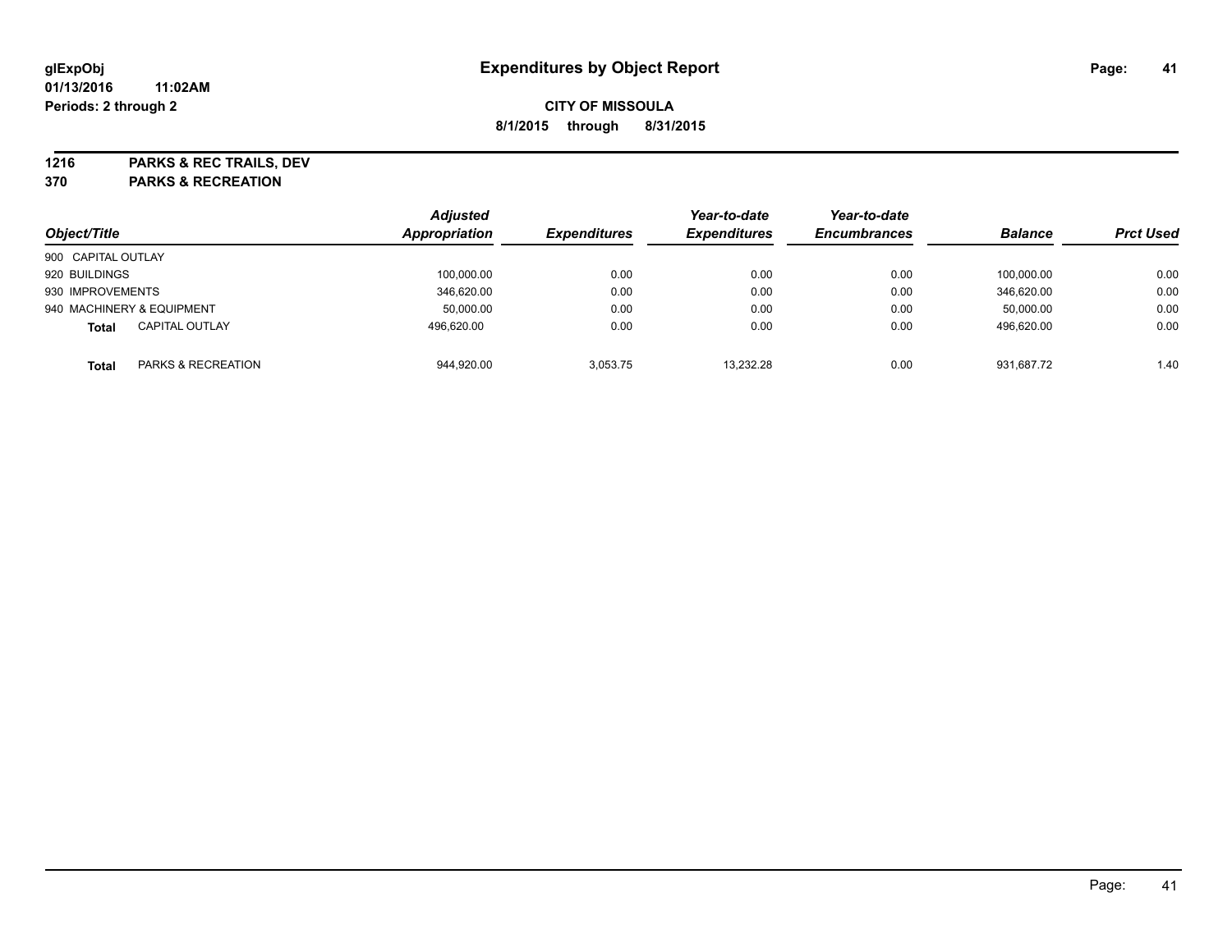**1216 PARKS & REC TRAILS, DEV**

**370 PARKS & RECREATION**

|                           |                       | <b>Adjusted</b> |                     | Year-to-date        | Year-to-date        |                |                  |
|---------------------------|-----------------------|-----------------|---------------------|---------------------|---------------------|----------------|------------------|
| Object/Title              |                       | Appropriation   | <b>Expenditures</b> | <b>Expenditures</b> | <b>Encumbrances</b> | <b>Balance</b> | <b>Prct Used</b> |
| 900 CAPITAL OUTLAY        |                       |                 |                     |                     |                     |                |                  |
| 920 BUILDINGS             |                       | 100,000.00      | 0.00                | 0.00                | 0.00                | 100.000.00     | 0.00             |
| 930 IMPROVEMENTS          |                       | 346.620.00      | 0.00                | 0.00                | 0.00                | 346.620.00     | 0.00             |
| 940 MACHINERY & EQUIPMENT |                       | 50,000.00       | 0.00                | 0.00                | 0.00                | 50,000.00      | 0.00             |
| <b>Total</b>              | <b>CAPITAL OUTLAY</b> | 496,620.00      | 0.00                | 0.00                | 0.00                | 496,620.00     | 0.00             |
| Total                     | PARKS & RECREATION    | 944,920.00      | 3.053.75            | 13.232.28           | 0.00                | 931.687.72     | 1.40             |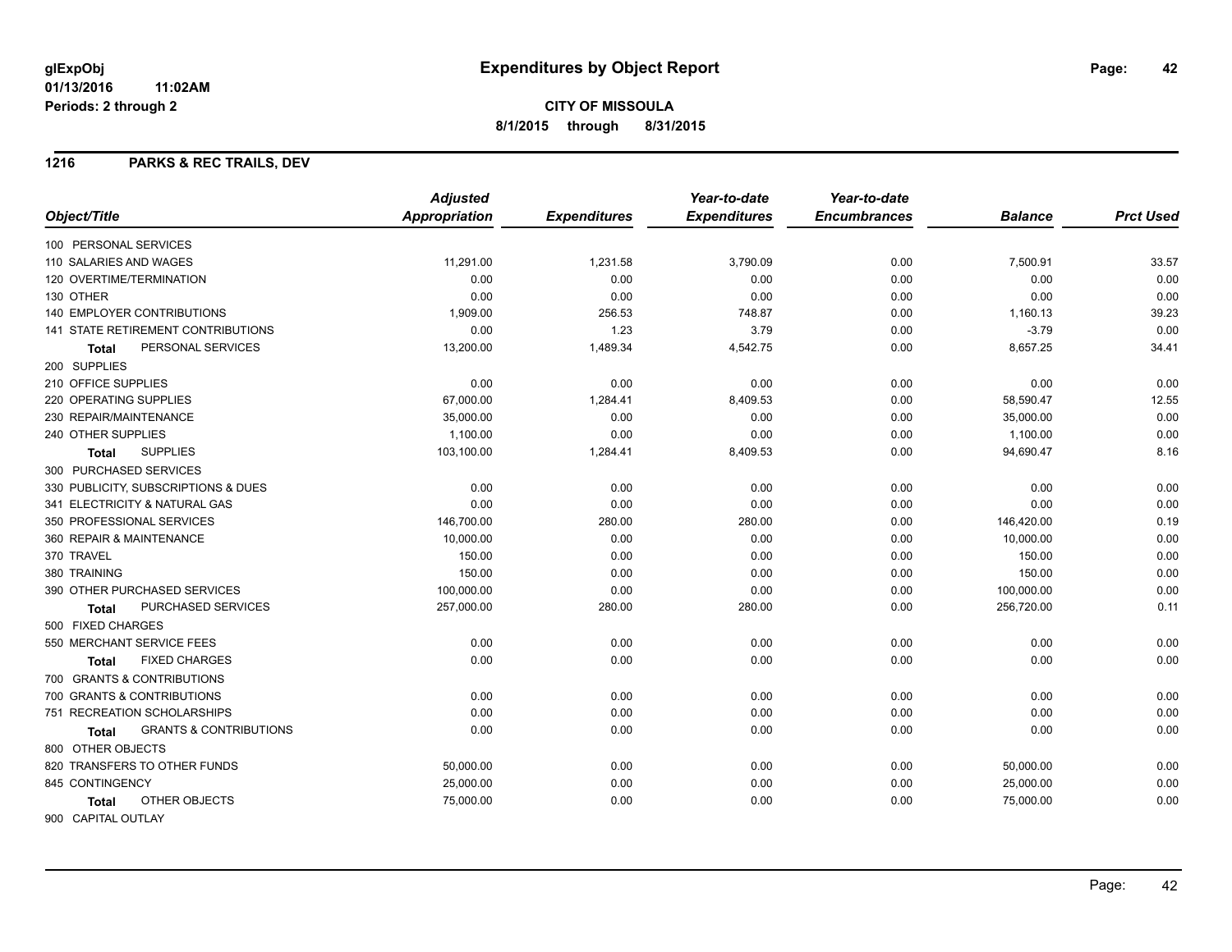**CITY OF MISSOULA 8/1/2015 through 8/31/2015**

#### **1216 PARKS & REC TRAILS, DEV**

|                                                   | <b>Adjusted</b>      |                     | Year-to-date        | Year-to-date        |                |                  |
|---------------------------------------------------|----------------------|---------------------|---------------------|---------------------|----------------|------------------|
| Object/Title                                      | <b>Appropriation</b> | <b>Expenditures</b> | <b>Expenditures</b> | <b>Encumbrances</b> | <b>Balance</b> | <b>Prct Used</b> |
| 100 PERSONAL SERVICES                             |                      |                     |                     |                     |                |                  |
| 110 SALARIES AND WAGES                            | 11,291.00            | 1,231.58            | 3,790.09            | 0.00                | 7,500.91       | 33.57            |
| <b>120 OVERTIME/TERMINATION</b>                   | 0.00                 | 0.00                | 0.00                | 0.00                | 0.00           | 0.00             |
| 130 OTHER                                         | 0.00                 | 0.00                | 0.00                | 0.00                | 0.00           | 0.00             |
| 140 EMPLOYER CONTRIBUTIONS                        | 1,909.00             | 256.53              | 748.87              | 0.00                | 1,160.13       | 39.23            |
| 141 STATE RETIREMENT CONTRIBUTIONS                | 0.00                 | 1.23                | 3.79                | 0.00                | $-3.79$        | 0.00             |
| PERSONAL SERVICES<br><b>Total</b>                 | 13,200.00            | 1,489.34            | 4,542.75            | 0.00                | 8,657.25       | 34.41            |
| 200 SUPPLIES                                      |                      |                     |                     |                     |                |                  |
| 210 OFFICE SUPPLIES                               | 0.00                 | 0.00                | 0.00                | 0.00                | 0.00           | 0.00             |
| 220 OPERATING SUPPLIES                            | 67,000.00            | 1,284.41            | 8,409.53            | 0.00                | 58,590.47      | 12.55            |
| 230 REPAIR/MAINTENANCE                            | 35,000.00            | 0.00                | 0.00                | 0.00                | 35,000.00      | 0.00             |
| 240 OTHER SUPPLIES                                | 1,100.00             | 0.00                | 0.00                | 0.00                | 1,100.00       | 0.00             |
| <b>SUPPLIES</b><br><b>Total</b>                   | 103,100.00           | 1,284.41            | 8,409.53            | 0.00                | 94,690.47      | 8.16             |
| 300 PURCHASED SERVICES                            |                      |                     |                     |                     |                |                  |
| 330 PUBLICITY, SUBSCRIPTIONS & DUES               | 0.00                 | 0.00                | 0.00                | 0.00                | 0.00           | 0.00             |
| 341 ELECTRICITY & NATURAL GAS                     | 0.00                 | 0.00                | 0.00                | 0.00                | 0.00           | 0.00             |
| 350 PROFESSIONAL SERVICES                         | 146,700.00           | 280.00              | 280.00              | 0.00                | 146,420.00     | 0.19             |
| 360 REPAIR & MAINTENANCE                          | 10,000.00            | 0.00                | 0.00                | 0.00                | 10,000.00      | 0.00             |
| 370 TRAVEL                                        | 150.00               | 0.00                | 0.00                | 0.00                | 150.00         | 0.00             |
| 380 TRAINING                                      | 150.00               | 0.00                | 0.00                | 0.00                | 150.00         | 0.00             |
| 390 OTHER PURCHASED SERVICES                      | 100,000.00           | 0.00                | 0.00                | 0.00                | 100,000.00     | 0.00             |
| PURCHASED SERVICES<br>Total                       | 257,000.00           | 280.00              | 280.00              | 0.00                | 256,720.00     | 0.11             |
| 500 FIXED CHARGES                                 |                      |                     |                     |                     |                |                  |
| 550 MERCHANT SERVICE FEES                         | 0.00                 | 0.00                | 0.00                | 0.00                | 0.00           | 0.00             |
| <b>FIXED CHARGES</b><br>Total                     | 0.00                 | 0.00                | 0.00                | 0.00                | 0.00           | 0.00             |
| 700 GRANTS & CONTRIBUTIONS                        |                      |                     |                     |                     |                |                  |
| 700 GRANTS & CONTRIBUTIONS                        | 0.00                 | 0.00                | 0.00                | 0.00                | 0.00           | 0.00             |
| 751 RECREATION SCHOLARSHIPS                       | 0.00                 | 0.00                | 0.00                | 0.00                | 0.00           | 0.00             |
| <b>GRANTS &amp; CONTRIBUTIONS</b><br><b>Total</b> | 0.00                 | 0.00                | 0.00                | 0.00                | 0.00           | 0.00             |
| 800 OTHER OBJECTS                                 |                      |                     |                     |                     |                |                  |
| 820 TRANSFERS TO OTHER FUNDS                      | 50,000.00            | 0.00                | 0.00                | 0.00                | 50,000.00      | 0.00             |
| 845 CONTINGENCY                                   | 25,000.00            | 0.00                | 0.00                | 0.00                | 25,000.00      | 0.00             |
| OTHER OBJECTS<br><b>Total</b>                     | 75,000.00            | 0.00                | 0.00                | 0.00                | 75,000.00      | 0.00             |
| 900 CAPITAL OUTLAY                                |                      |                     |                     |                     |                |                  |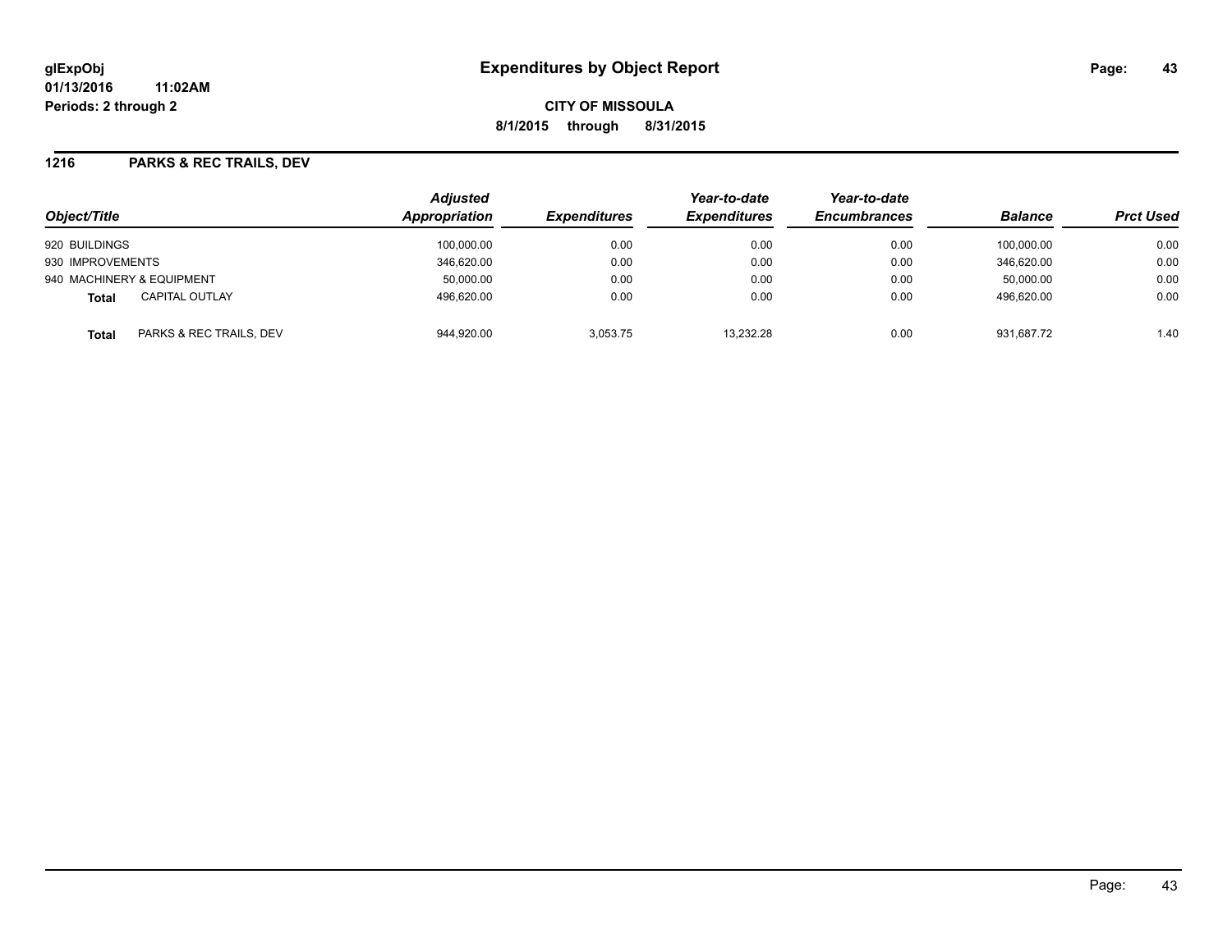**CITY OF MISSOULA 8/1/2015 through 8/31/2015**

#### **1216 PARKS & REC TRAILS, DEV**

| Object/Title                          | <b>Adjusted</b><br><b>Appropriation</b> | <b>Expenditures</b> | Year-to-date<br><b>Expenditures</b> | Year-to-date<br><b>Encumbrances</b> | <b>Balance</b> | <b>Prct Used</b> |
|---------------------------------------|-----------------------------------------|---------------------|-------------------------------------|-------------------------------------|----------------|------------------|
| 920 BUILDINGS                         | 100,000.00                              | 0.00                | 0.00                                | 0.00                                | 100.000.00     | 0.00             |
| 930 IMPROVEMENTS                      | 346.620.00                              | 0.00                | 0.00                                | 0.00                                | 346.620.00     | 0.00             |
| 940 MACHINERY & EQUIPMENT             | 50,000.00                               | 0.00                | 0.00                                | 0.00                                | 50,000.00      | 0.00             |
| <b>CAPITAL OUTLAY</b><br><b>Total</b> | 496,620.00                              | 0.00                | 0.00                                | 0.00                                | 496.620.00     | 0.00             |
| PARKS & REC TRAILS, DEV<br>Total      | 944,920.00                              | 3,053.75            | 13,232.28                           | 0.00                                | 931.687.72     | 1.40             |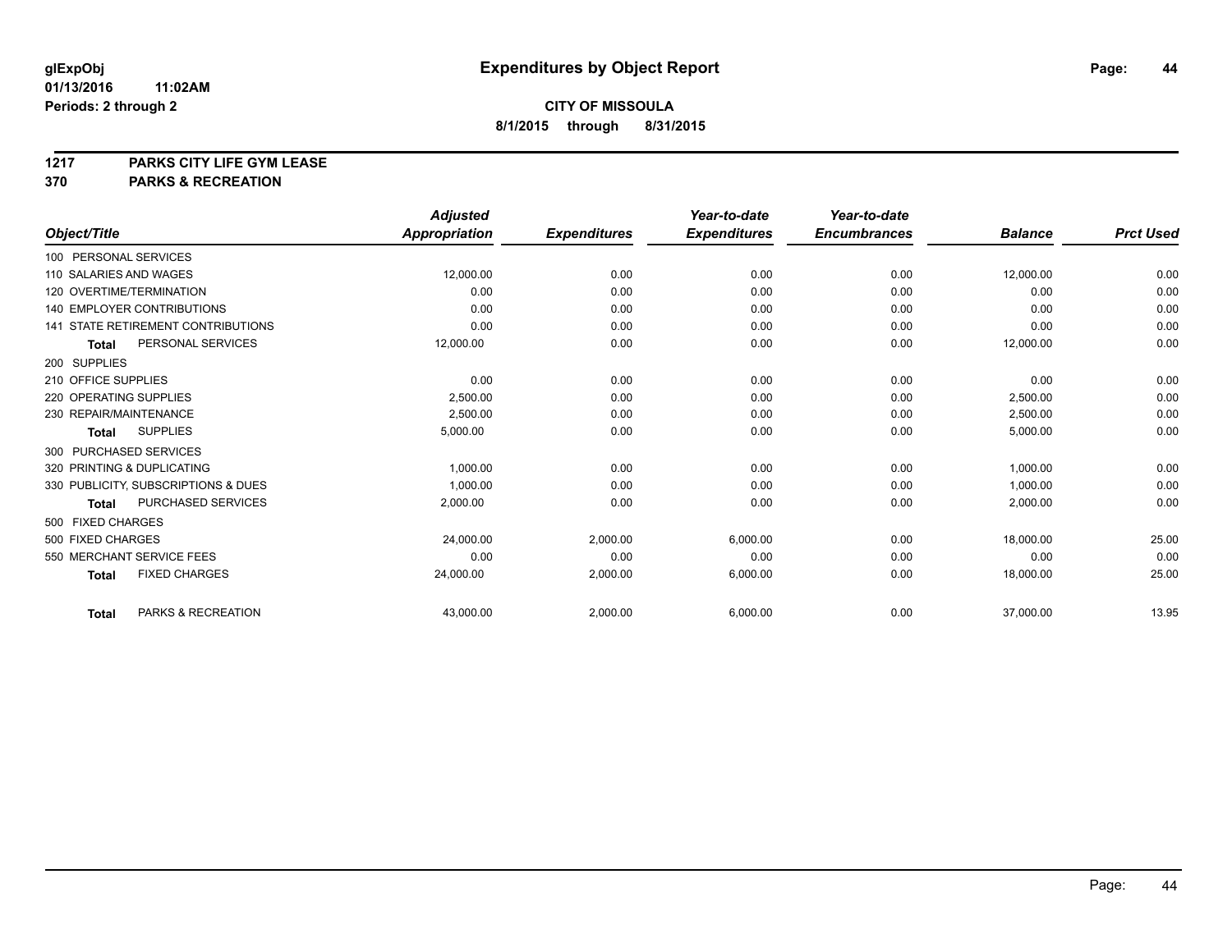# **1217 PARKS CITY LIFE GYM LEASE**

## **370 PARKS & RECREATION**

|                                           | <b>Adjusted</b>      |                     | Year-to-date        | Year-to-date        |                |                  |
|-------------------------------------------|----------------------|---------------------|---------------------|---------------------|----------------|------------------|
| Object/Title                              | <b>Appropriation</b> | <b>Expenditures</b> | <b>Expenditures</b> | <b>Encumbrances</b> | <b>Balance</b> | <b>Prct Used</b> |
| 100 PERSONAL SERVICES                     |                      |                     |                     |                     |                |                  |
| 110 SALARIES AND WAGES                    | 12,000.00            | 0.00                | 0.00                | 0.00                | 12,000.00      | 0.00             |
| 120 OVERTIME/TERMINATION                  | 0.00                 | 0.00                | 0.00                | 0.00                | 0.00           | 0.00             |
| 140 EMPLOYER CONTRIBUTIONS                | 0.00                 | 0.00                | 0.00                | 0.00                | 0.00           | 0.00             |
| <b>141 STATE RETIREMENT CONTRIBUTIONS</b> | 0.00                 | 0.00                | 0.00                | 0.00                | 0.00           | 0.00             |
| PERSONAL SERVICES<br><b>Total</b>         | 12,000.00            | 0.00                | 0.00                | 0.00                | 12,000.00      | 0.00             |
| 200 SUPPLIES                              |                      |                     |                     |                     |                |                  |
| 210 OFFICE SUPPLIES                       | 0.00                 | 0.00                | 0.00                | 0.00                | 0.00           | 0.00             |
| 220 OPERATING SUPPLIES                    | 2.500.00             | 0.00                | 0.00                | 0.00                | 2,500.00       | 0.00             |
| 230 REPAIR/MAINTENANCE                    | 2,500.00             | 0.00                | 0.00                | 0.00                | 2,500.00       | 0.00             |
| <b>SUPPLIES</b><br><b>Total</b>           | 5,000.00             | 0.00                | 0.00                | 0.00                | 5,000.00       | 0.00             |
| 300 PURCHASED SERVICES                    |                      |                     |                     |                     |                |                  |
| 320 PRINTING & DUPLICATING                | 1.000.00             | 0.00                | 0.00                | 0.00                | 1,000.00       | 0.00             |
| 330 PUBLICITY, SUBSCRIPTIONS & DUES       | 1,000.00             | 0.00                | 0.00                | 0.00                | 1,000.00       | 0.00             |
| <b>PURCHASED SERVICES</b><br><b>Total</b> | 2,000.00             | 0.00                | 0.00                | 0.00                | 2,000.00       | 0.00             |
| 500 FIXED CHARGES                         |                      |                     |                     |                     |                |                  |
| 500 FIXED CHARGES                         | 24.000.00            | 2.000.00            | 6.000.00            | 0.00                | 18.000.00      | 25.00            |
| 550 MERCHANT SERVICE FEES                 | 0.00                 | 0.00                | 0.00                | 0.00                | 0.00           | 0.00             |
| <b>FIXED CHARGES</b><br><b>Total</b>      | 24,000.00            | 2,000.00            | 6,000.00            | 0.00                | 18,000.00      | 25.00            |
| PARKS & RECREATION<br><b>Total</b>        | 43,000.00            | 2,000.00            | 6,000.00            | 0.00                | 37,000.00      | 13.95            |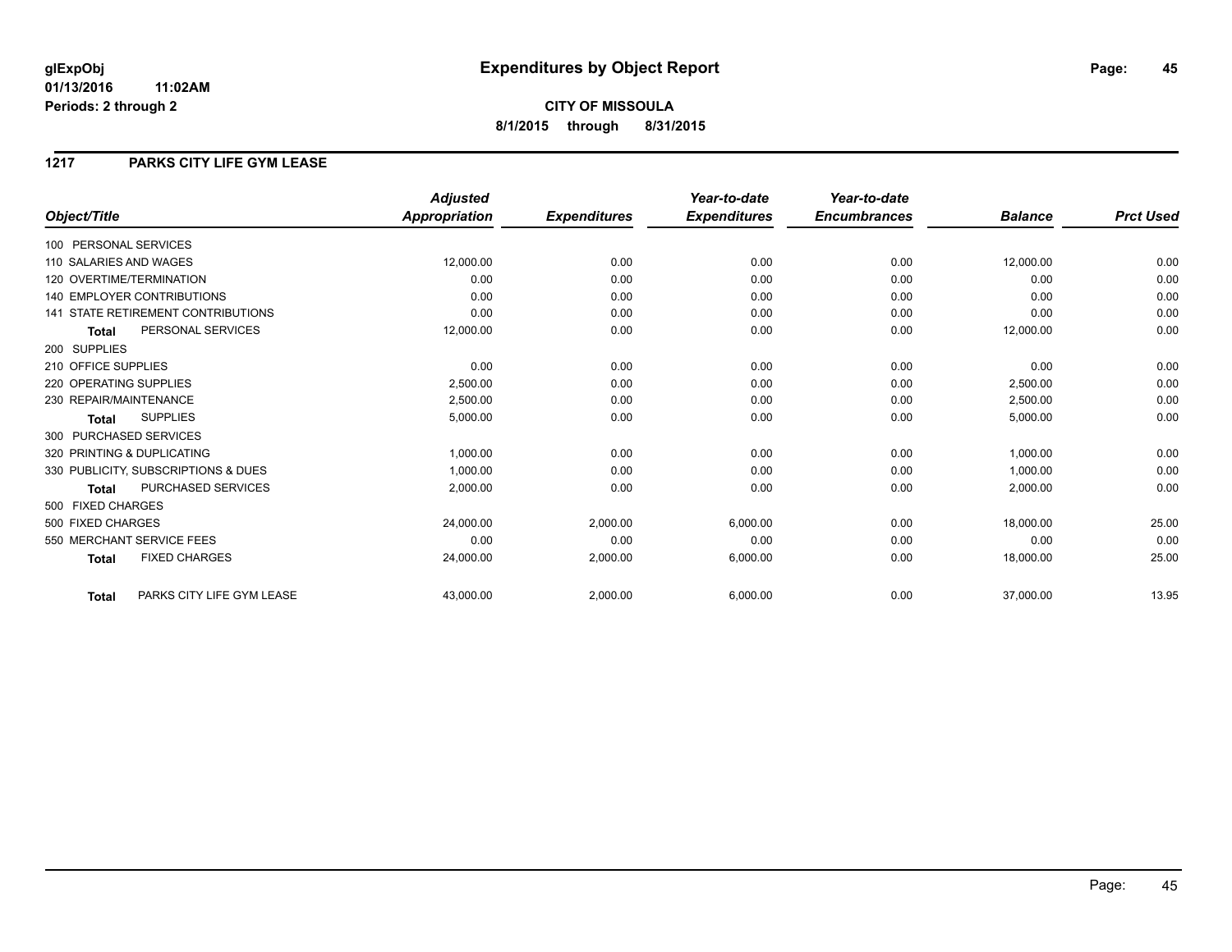**CITY OF MISSOULA 8/1/2015 through 8/31/2015**

#### **1217 PARKS CITY LIFE GYM LEASE**

|                                           | <b>Adjusted</b>      |                     | Year-to-date        | Year-to-date        |                |                  |
|-------------------------------------------|----------------------|---------------------|---------------------|---------------------|----------------|------------------|
| Object/Title                              | <b>Appropriation</b> | <b>Expenditures</b> | <b>Expenditures</b> | <b>Encumbrances</b> | <b>Balance</b> | <b>Prct Used</b> |
| 100 PERSONAL SERVICES                     |                      |                     |                     |                     |                |                  |
| 110 SALARIES AND WAGES                    | 12,000.00            | 0.00                | 0.00                | 0.00                | 12,000.00      | 0.00             |
| 120 OVERTIME/TERMINATION                  | 0.00                 | 0.00                | 0.00                | 0.00                | 0.00           | 0.00             |
| <b>140 EMPLOYER CONTRIBUTIONS</b>         | 0.00                 | 0.00                | 0.00                | 0.00                | 0.00           | 0.00             |
| <b>141 STATE RETIREMENT CONTRIBUTIONS</b> | 0.00                 | 0.00                | 0.00                | 0.00                | 0.00           | 0.00             |
| PERSONAL SERVICES<br><b>Total</b>         | 12,000.00            | 0.00                | 0.00                | 0.00                | 12,000.00      | 0.00             |
| 200 SUPPLIES                              |                      |                     |                     |                     |                |                  |
| 210 OFFICE SUPPLIES                       | 0.00                 | 0.00                | 0.00                | 0.00                | 0.00           | 0.00             |
| 220 OPERATING SUPPLIES                    | 2.500.00             | 0.00                | 0.00                | 0.00                | 2,500.00       | 0.00             |
| 230 REPAIR/MAINTENANCE                    | 2,500.00             | 0.00                | 0.00                | 0.00                | 2,500.00       | 0.00             |
| <b>SUPPLIES</b><br><b>Total</b>           | 5,000.00             | 0.00                | 0.00                | 0.00                | 5,000.00       | 0.00             |
| 300 PURCHASED SERVICES                    |                      |                     |                     |                     |                |                  |
| 320 PRINTING & DUPLICATING                | 1,000.00             | 0.00                | 0.00                | 0.00                | 1,000.00       | 0.00             |
| 330 PUBLICITY, SUBSCRIPTIONS & DUES       | 1,000.00             | 0.00                | 0.00                | 0.00                | 1,000.00       | 0.00             |
| PURCHASED SERVICES<br><b>Total</b>        | 2,000.00             | 0.00                | 0.00                | 0.00                | 2,000.00       | 0.00             |
| 500 FIXED CHARGES                         |                      |                     |                     |                     |                |                  |
| 500 FIXED CHARGES                         | 24,000.00            | 2,000.00            | 6,000.00            | 0.00                | 18,000.00      | 25.00            |
| 550 MERCHANT SERVICE FEES                 | 0.00                 | 0.00                | 0.00                | 0.00                | 0.00           | 0.00             |
| <b>FIXED CHARGES</b><br><b>Total</b>      | 24,000.00            | 2,000.00            | 6,000.00            | 0.00                | 18,000.00      | 25.00            |
| PARKS CITY LIFE GYM LEASE<br><b>Total</b> | 43,000.00            | 2,000.00            | 6,000.00            | 0.00                | 37,000.00      | 13.95            |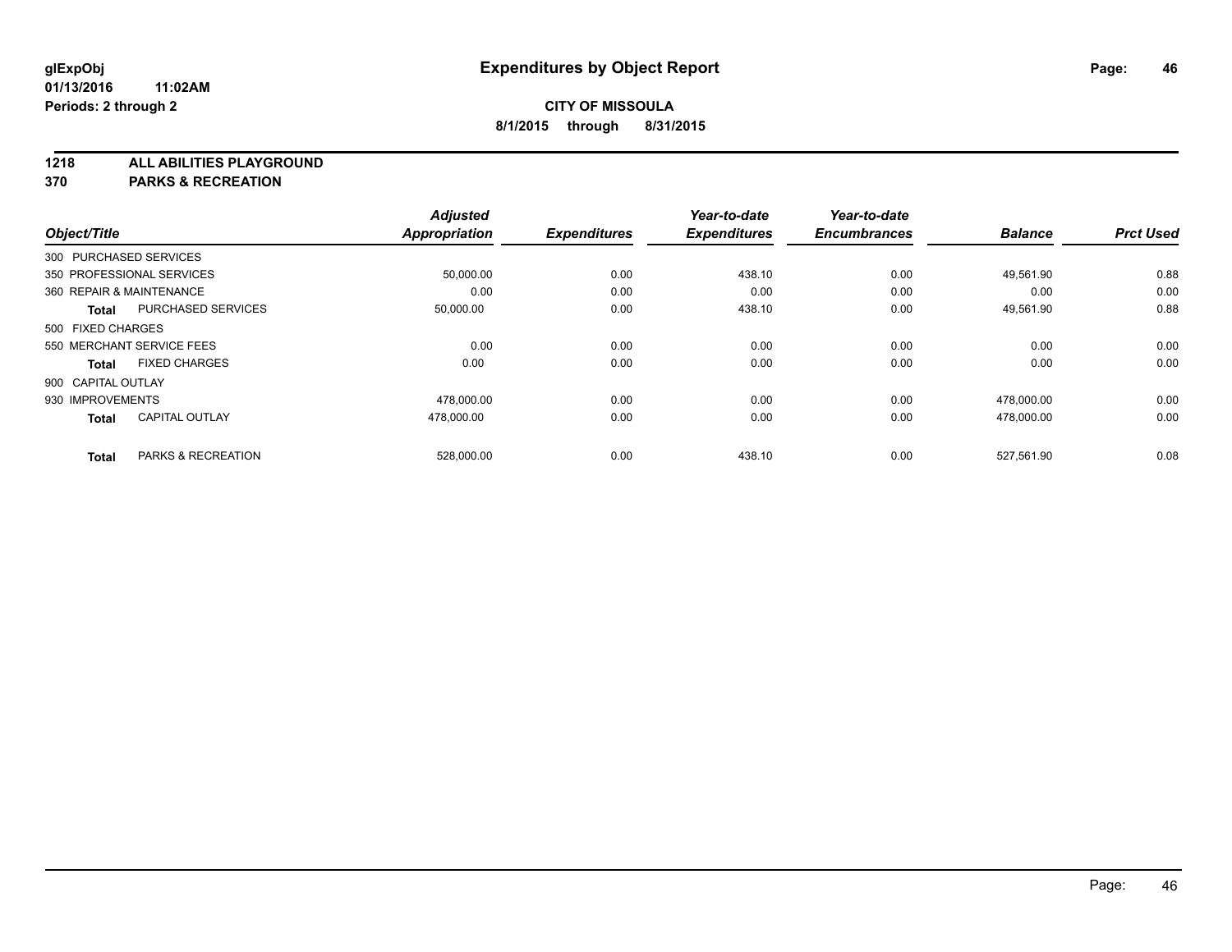**1218 ALL ABILITIES PLAYGROUND**

**370 PARKS & RECREATION**

|                          |                           | <b>Adjusted</b>      |                     | Year-to-date        | Year-to-date        |                |                  |
|--------------------------|---------------------------|----------------------|---------------------|---------------------|---------------------|----------------|------------------|
| Object/Title             |                           | <b>Appropriation</b> | <b>Expenditures</b> | <b>Expenditures</b> | <b>Encumbrances</b> | <b>Balance</b> | <b>Prct Used</b> |
| 300 PURCHASED SERVICES   |                           |                      |                     |                     |                     |                |                  |
|                          | 350 PROFESSIONAL SERVICES | 50,000.00            | 0.00                | 438.10              | 0.00                | 49,561.90      | 0.88             |
| 360 REPAIR & MAINTENANCE |                           | 0.00                 | 0.00                | 0.00                | 0.00                | 0.00           | 0.00             |
| Total                    | PURCHASED SERVICES        | 50,000.00            | 0.00                | 438.10              | 0.00                | 49,561.90      | 0.88             |
| 500 FIXED CHARGES        |                           |                      |                     |                     |                     |                |                  |
|                          | 550 MERCHANT SERVICE FEES | 0.00                 | 0.00                | 0.00                | 0.00                | 0.00           | 0.00             |
| Total                    | <b>FIXED CHARGES</b>      | 0.00                 | 0.00                | 0.00                | 0.00                | 0.00           | 0.00             |
| 900 CAPITAL OUTLAY       |                           |                      |                     |                     |                     |                |                  |
| 930 IMPROVEMENTS         |                           | 478,000.00           | 0.00                | 0.00                | 0.00                | 478,000.00     | 0.00             |
| <b>Total</b>             | <b>CAPITAL OUTLAY</b>     | 478.000.00           | 0.00                | 0.00                | 0.00                | 478,000.00     | 0.00             |
|                          |                           |                      |                     |                     |                     |                |                  |
| <b>Total</b>             | PARKS & RECREATION        | 528,000.00           | 0.00                | 438.10              | 0.00                | 527.561.90     | 0.08             |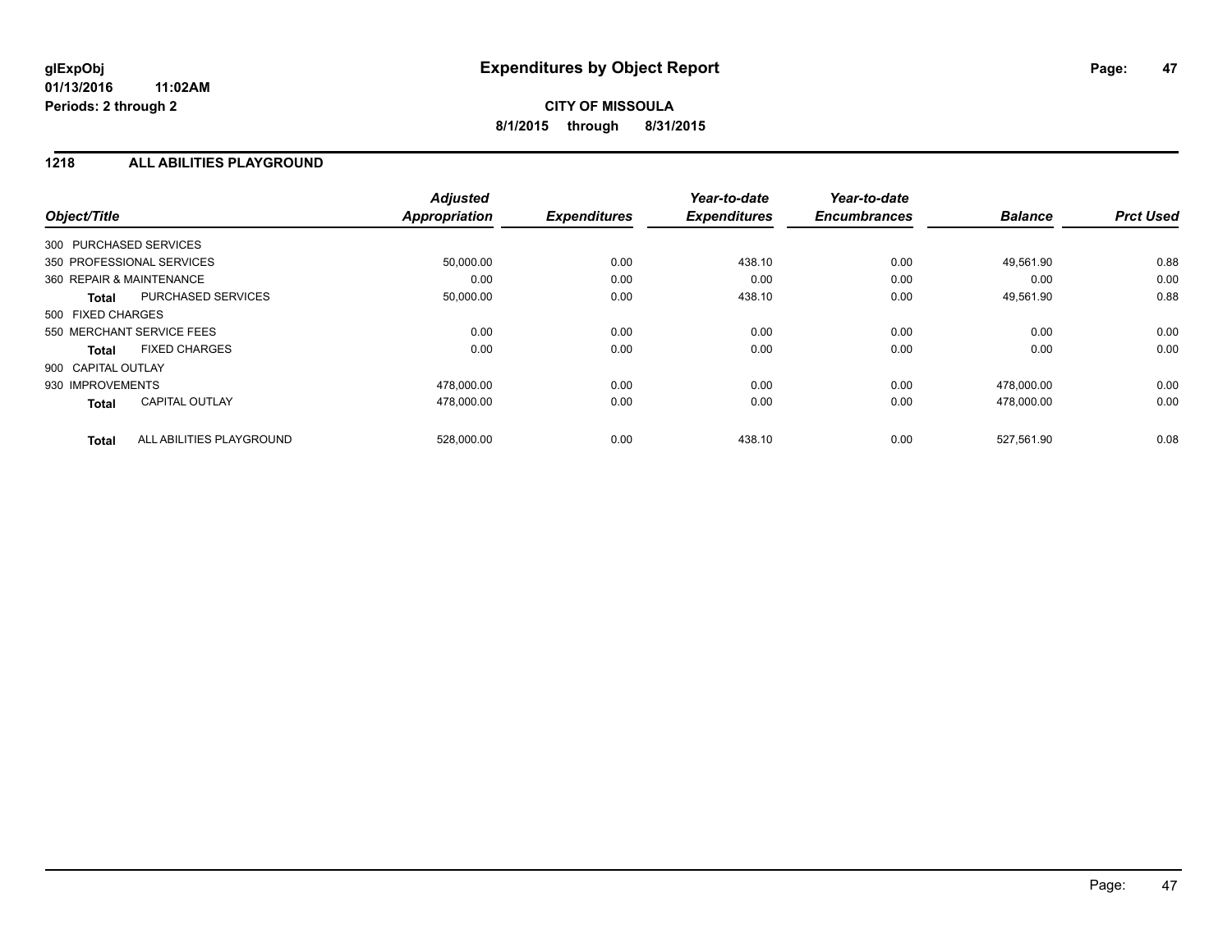#### **1218 ALL ABILITIES PLAYGROUND**

| Object/Title                             | <b>Adjusted</b><br><b>Appropriation</b> | <b>Expenditures</b> | Year-to-date<br><b>Expenditures</b> | Year-to-date<br><b>Encumbrances</b> | <b>Balance</b> | <b>Prct Used</b> |
|------------------------------------------|-----------------------------------------|---------------------|-------------------------------------|-------------------------------------|----------------|------------------|
| 300 PURCHASED SERVICES                   |                                         |                     |                                     |                                     |                |                  |
| 350 PROFESSIONAL SERVICES                | 50,000.00                               | 0.00                | 438.10                              | 0.00                                | 49,561.90      | 0.88             |
| 360 REPAIR & MAINTENANCE                 | 0.00                                    | 0.00                | 0.00                                | 0.00                                | 0.00           | 0.00             |
| PURCHASED SERVICES<br><b>Total</b>       | 50,000.00                               | 0.00                | 438.10                              | 0.00                                | 49,561.90      | 0.88             |
| 500 FIXED CHARGES                        |                                         |                     |                                     |                                     |                |                  |
| 550 MERCHANT SERVICE FEES                | 0.00                                    | 0.00                | 0.00                                | 0.00                                | 0.00           | 0.00             |
| <b>FIXED CHARGES</b><br><b>Total</b>     | 0.00                                    | 0.00                | 0.00                                | 0.00                                | 0.00           | 0.00             |
| 900 CAPITAL OUTLAY                       |                                         |                     |                                     |                                     |                |                  |
| 930 IMPROVEMENTS                         | 478.000.00                              | 0.00                | 0.00                                | 0.00                                | 478.000.00     | 0.00             |
| <b>CAPITAL OUTLAY</b><br><b>Total</b>    | 478,000.00                              | 0.00                | 0.00                                | 0.00                                | 478,000.00     | 0.00             |
| ALL ABILITIES PLAYGROUND<br><b>Total</b> | 528,000.00                              | 0.00                | 438.10                              | 0.00                                | 527,561.90     | 0.08             |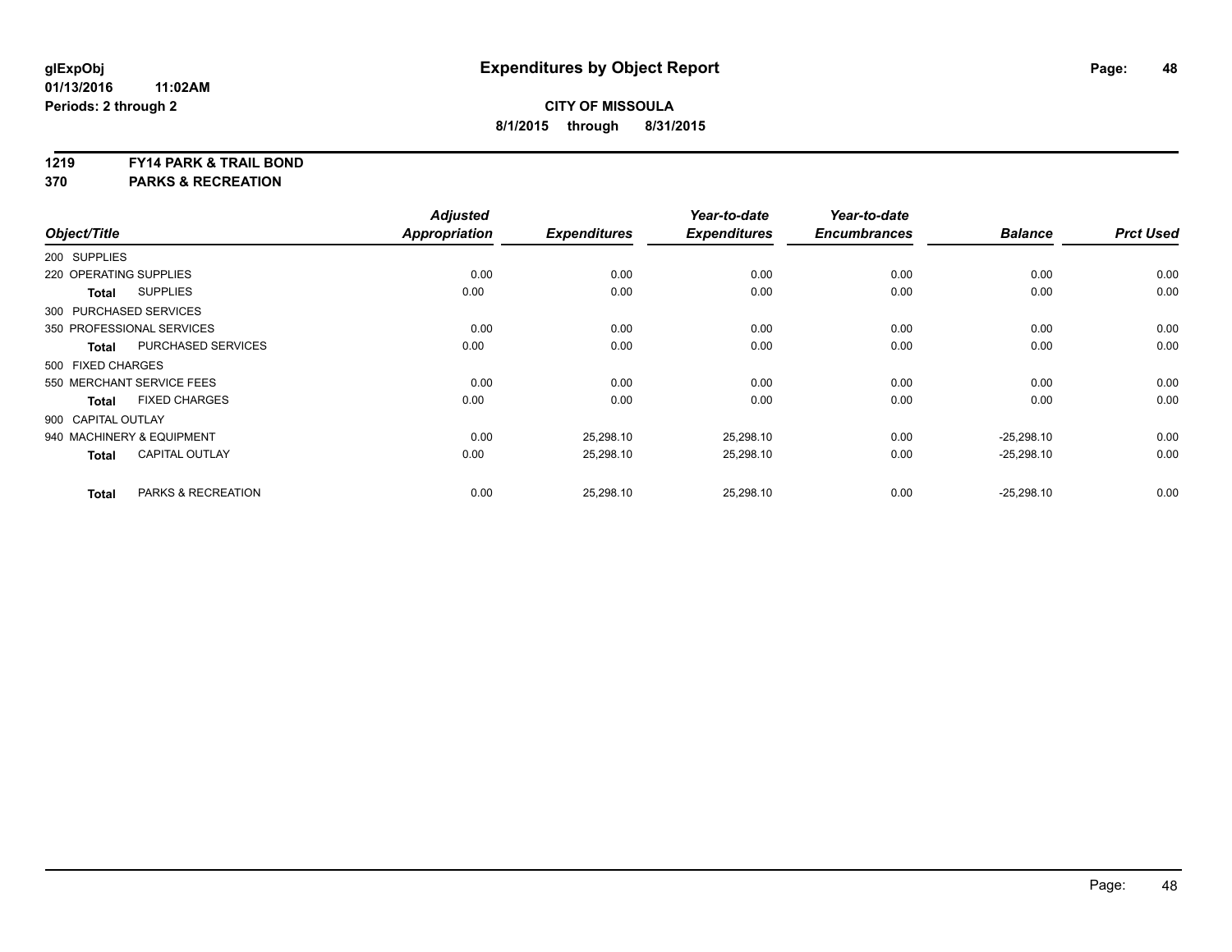#### **1219 FY14 PARK & TRAIL BOND**

**370 PARKS & RECREATION**

| Object/Title           |                               | <b>Adjusted</b><br><b>Appropriation</b> | <b>Expenditures</b> | Year-to-date<br><b>Expenditures</b> | Year-to-date<br><b>Encumbrances</b> | <b>Balance</b> | <b>Prct Used</b> |
|------------------------|-------------------------------|-----------------------------------------|---------------------|-------------------------------------|-------------------------------------|----------------|------------------|
|                        |                               |                                         |                     |                                     |                                     |                |                  |
| 200 SUPPLIES           |                               |                                         |                     |                                     |                                     |                |                  |
| 220 OPERATING SUPPLIES |                               | 0.00                                    | 0.00                | 0.00                                | 0.00                                | 0.00           | 0.00             |
| <b>Total</b>           | <b>SUPPLIES</b>               | 0.00                                    | 0.00                | 0.00                                | 0.00                                | 0.00           | 0.00             |
| 300 PURCHASED SERVICES |                               |                                         |                     |                                     |                                     |                |                  |
|                        | 350 PROFESSIONAL SERVICES     | 0.00                                    | 0.00                | 0.00                                | 0.00                                | 0.00           | 0.00             |
| <b>Total</b>           | PURCHASED SERVICES            | 0.00                                    | 0.00                | 0.00                                | 0.00                                | 0.00           | 0.00             |
| 500 FIXED CHARGES      |                               |                                         |                     |                                     |                                     |                |                  |
|                        | 550 MERCHANT SERVICE FEES     | 0.00                                    | 0.00                | 0.00                                | 0.00                                | 0.00           | 0.00             |
| <b>Total</b>           | <b>FIXED CHARGES</b>          | 0.00                                    | 0.00                | 0.00                                | 0.00                                | 0.00           | 0.00             |
| 900 CAPITAL OUTLAY     |                               |                                         |                     |                                     |                                     |                |                  |
|                        | 940 MACHINERY & EQUIPMENT     | 0.00                                    | 25,298.10           | 25.298.10                           | 0.00                                | $-25.298.10$   | 0.00             |
| <b>Total</b>           | <b>CAPITAL OUTLAY</b>         | 0.00                                    | 25,298.10           | 25,298.10                           | 0.00                                | $-25,298.10$   | 0.00             |
| <b>Total</b>           | <b>PARKS &amp; RECREATION</b> | 0.00                                    | 25,298.10           | 25,298.10                           | 0.00                                | $-25,298.10$   | 0.00             |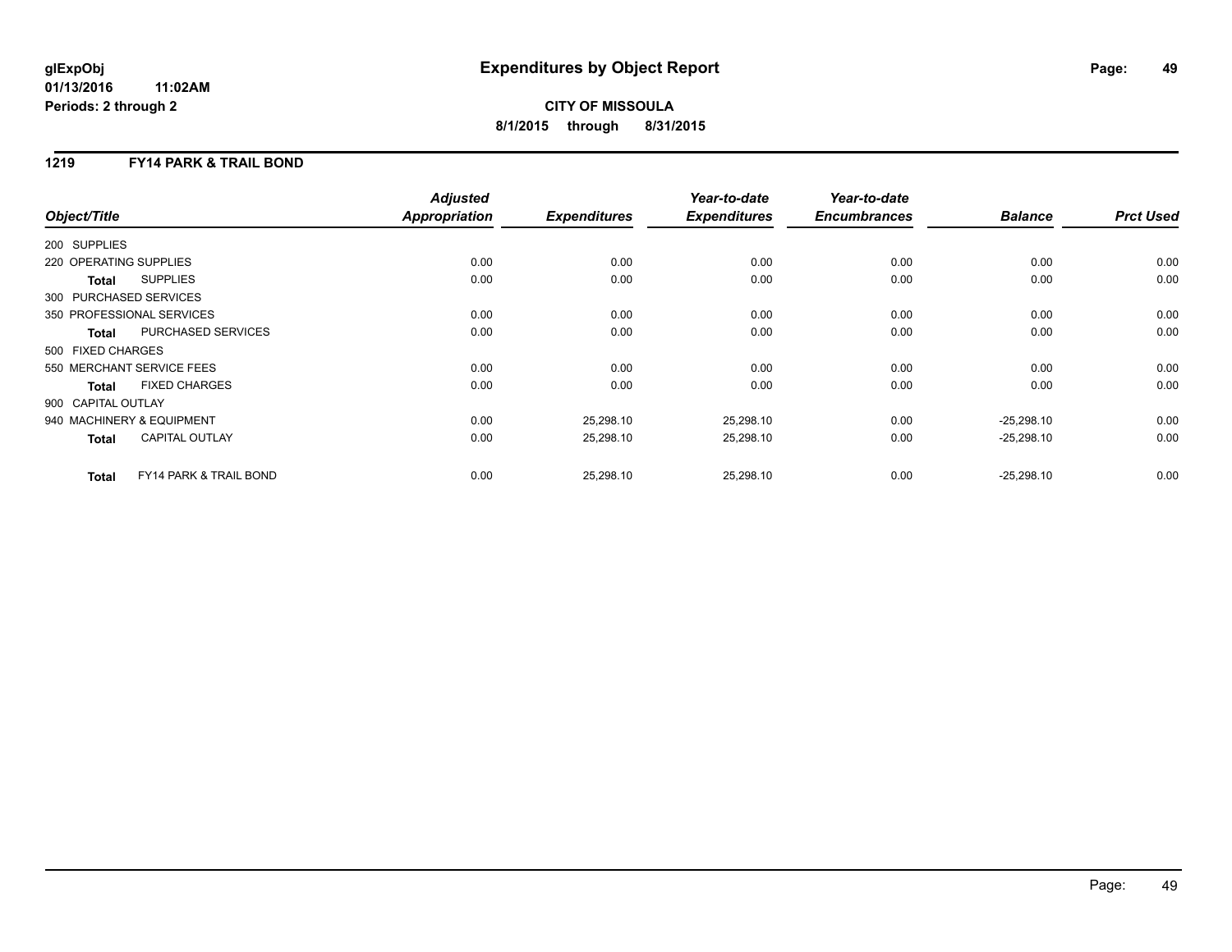## **CITY OF MISSOULA 8/1/2015 through 8/31/2015**

### **1219 FY14 PARK & TRAIL BOND**

|                                        | <b>Adjusted</b>      |                     | Year-to-date        | Year-to-date        |                |                  |
|----------------------------------------|----------------------|---------------------|---------------------|---------------------|----------------|------------------|
| Object/Title                           | <b>Appropriation</b> | <b>Expenditures</b> | <b>Expenditures</b> | <b>Encumbrances</b> | <b>Balance</b> | <b>Prct Used</b> |
| 200 SUPPLIES                           |                      |                     |                     |                     |                |                  |
| 220 OPERATING SUPPLIES                 | 0.00                 | 0.00                | 0.00                | 0.00                | 0.00           | 0.00             |
| <b>SUPPLIES</b><br>Total               | 0.00                 | 0.00                | 0.00                | 0.00                | 0.00           | 0.00             |
| 300 PURCHASED SERVICES                 |                      |                     |                     |                     |                |                  |
| 350 PROFESSIONAL SERVICES              | 0.00                 | 0.00                | 0.00                | 0.00                | 0.00           | 0.00             |
| PURCHASED SERVICES<br><b>Total</b>     | 0.00                 | 0.00                | 0.00                | 0.00                | 0.00           | 0.00             |
| 500 FIXED CHARGES                      |                      |                     |                     |                     |                |                  |
| 550 MERCHANT SERVICE FEES              | 0.00                 | 0.00                | 0.00                | 0.00                | 0.00           | 0.00             |
| <b>FIXED CHARGES</b><br><b>Total</b>   | 0.00                 | 0.00                | 0.00                | 0.00                | 0.00           | 0.00             |
| 900 CAPITAL OUTLAY                     |                      |                     |                     |                     |                |                  |
| 940 MACHINERY & EQUIPMENT              | 0.00                 | 25,298.10           | 25,298.10           | 0.00                | $-25,298.10$   | 0.00             |
| <b>CAPITAL OUTLAY</b><br><b>Total</b>  | 0.00                 | 25,298.10           | 25,298.10           | 0.00                | $-25,298.10$   | 0.00             |
| FY14 PARK & TRAIL BOND<br><b>Total</b> | 0.00                 | 25,298.10           | 25,298.10           | 0.00                | $-25,298.10$   | 0.00             |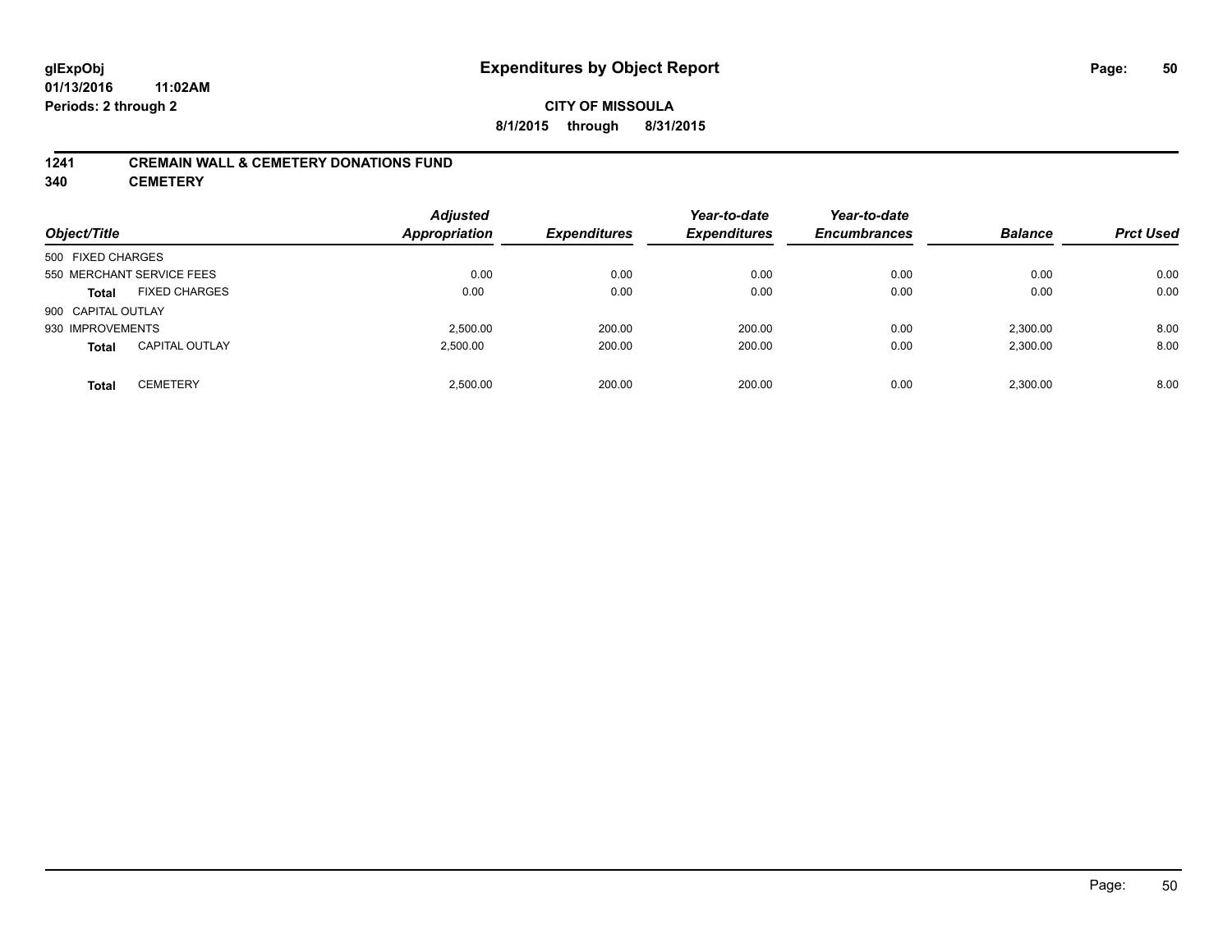#### **CITY OF MISSOULA 8/1/2015 through 8/31/2015**

#### **1241 CREMAIN WALL & CEMETERY DONATIONS FUND**

**340 CEMETERY**

| Object/Title              |                       | <b>Adjusted</b><br><b>Appropriation</b> | <b>Expenditures</b> | Year-to-date<br><b>Expenditures</b> | Year-to-date<br><b>Encumbrances</b> | <b>Balance</b> | <b>Prct Used</b> |
|---------------------------|-----------------------|-----------------------------------------|---------------------|-------------------------------------|-------------------------------------|----------------|------------------|
| 500 FIXED CHARGES         |                       |                                         |                     |                                     |                                     |                |                  |
| 550 MERCHANT SERVICE FEES |                       | 0.00                                    | 0.00                | 0.00                                | 0.00                                | 0.00           | 0.00             |
| <b>Total</b>              | <b>FIXED CHARGES</b>  | 0.00                                    | 0.00                | 0.00                                | 0.00                                | 0.00           | 0.00             |
| 900 CAPITAL OUTLAY        |                       |                                         |                     |                                     |                                     |                |                  |
| 930 IMPROVEMENTS          |                       | 2.500.00                                | 200.00              | 200.00                              | 0.00                                | 2.300.00       | 8.00             |
| <b>Total</b>              | <b>CAPITAL OUTLAY</b> | 2.500.00                                | 200.00              | 200.00                              | 0.00                                | 2,300.00       | 8.00             |
| <b>Total</b>              | <b>CEMETERY</b>       | 2.500.00                                | 200.00              | 200.00                              | 0.00                                | 2.300.00       | 8.00             |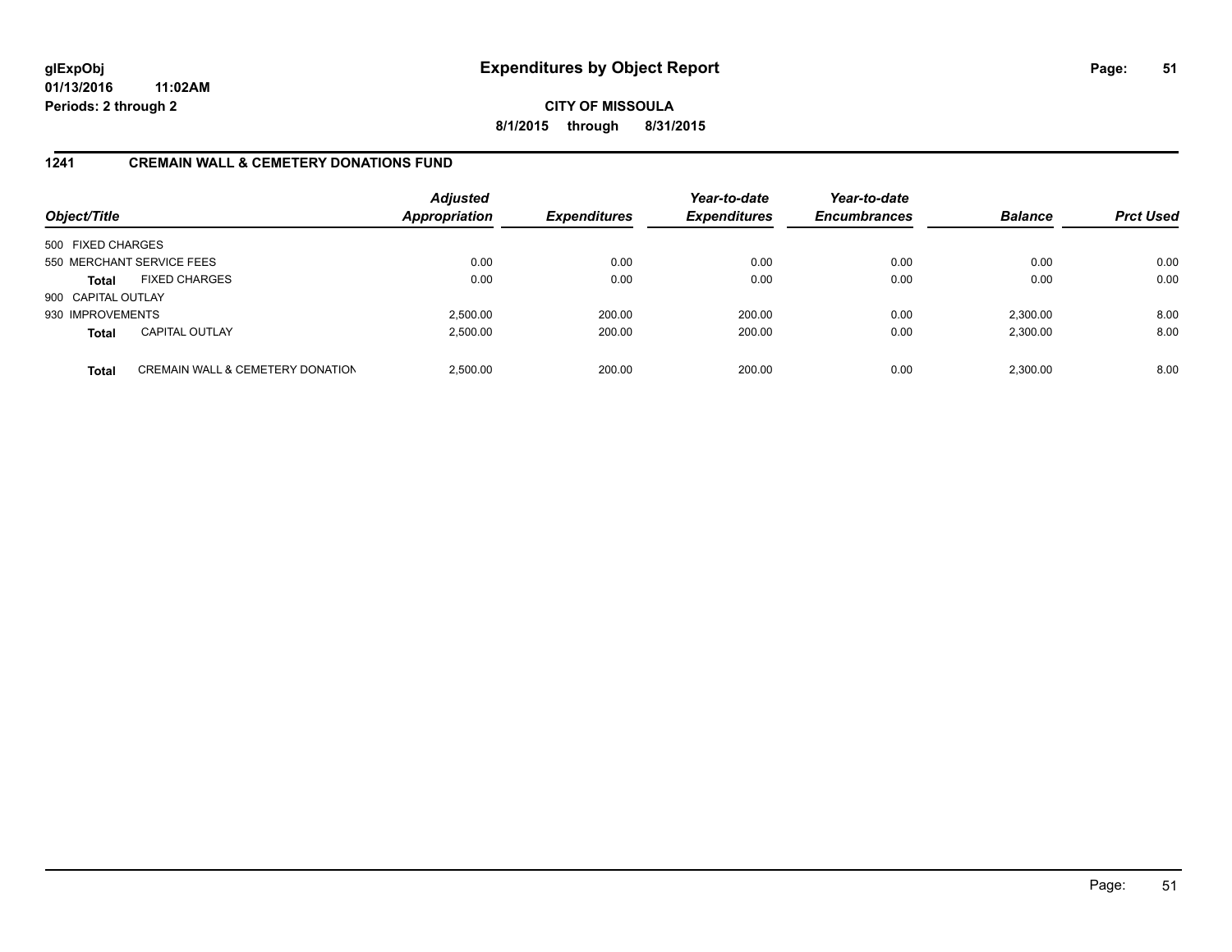**CITY OF MISSOULA 8/1/2015 through 8/31/2015**

### **1241 CREMAIN WALL & CEMETERY DONATIONS FUND**

| Object/Title       |                                             | <b>Adjusted</b><br><b>Appropriation</b> | <b>Expenditures</b> | Year-to-date<br><b>Expenditures</b> | Year-to-date<br><b>Encumbrances</b> | <b>Balance</b> | <b>Prct Used</b> |
|--------------------|---------------------------------------------|-----------------------------------------|---------------------|-------------------------------------|-------------------------------------|----------------|------------------|
| 500 FIXED CHARGES  |                                             |                                         |                     |                                     |                                     |                |                  |
|                    | 550 MERCHANT SERVICE FEES                   | 0.00                                    | 0.00                | 0.00                                | 0.00                                | 0.00           | 0.00             |
| <b>Total</b>       | <b>FIXED CHARGES</b>                        | 0.00                                    | 0.00                | 0.00                                | 0.00                                | 0.00           | 0.00             |
| 900 CAPITAL OUTLAY |                                             |                                         |                     |                                     |                                     |                |                  |
| 930 IMPROVEMENTS   |                                             | 2,500.00                                | 200.00              | 200.00                              | 0.00                                | 2,300.00       | 8.00             |
| <b>Total</b>       | <b>CAPITAL OUTLAY</b>                       | 2,500.00                                | 200.00              | 200.00                              | 0.00                                | 2,300.00       | 8.00             |
| <b>Total</b>       | <b>CREMAIN WALL &amp; CEMETERY DONATION</b> | 2.500.00                                | 200.00              | 200.00                              | 0.00                                | 2.300.00       | 8.00             |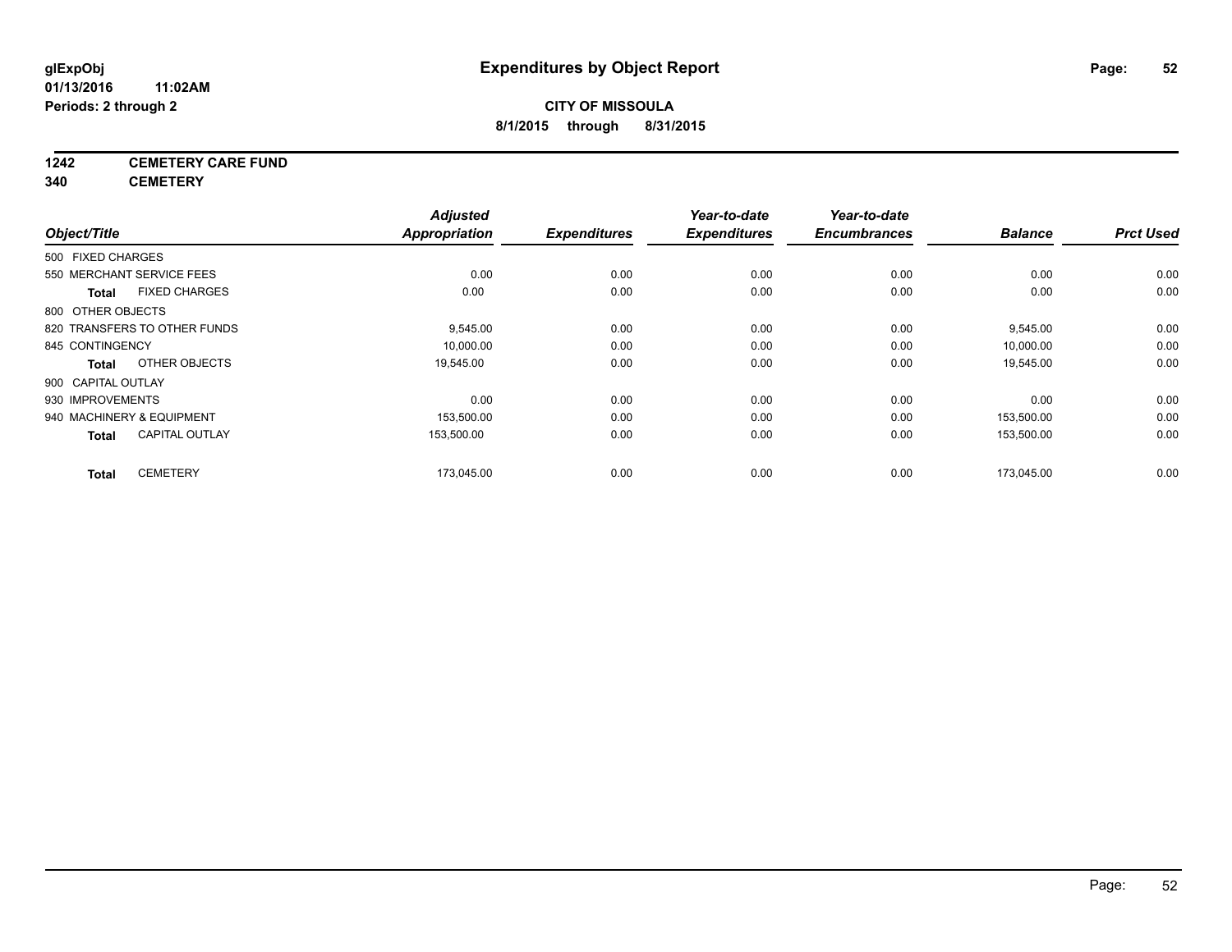## **1242 CEMETERY CARE FUND**

**340 CEMETERY**

| Object/Title       |                              | <b>Adjusted</b><br><b>Appropriation</b> | <b>Expenditures</b> | Year-to-date<br><b>Expenditures</b> | Year-to-date<br><b>Encumbrances</b> | <b>Balance</b> | <b>Prct Used</b> |
|--------------------|------------------------------|-----------------------------------------|---------------------|-------------------------------------|-------------------------------------|----------------|------------------|
| 500 FIXED CHARGES  |                              |                                         |                     |                                     |                                     |                |                  |
|                    | 550 MERCHANT SERVICE FEES    | 0.00                                    | 0.00                | 0.00                                | 0.00                                | 0.00           | 0.00             |
| Total              | <b>FIXED CHARGES</b>         | 0.00                                    | 0.00                | 0.00                                | 0.00                                | 0.00           | 0.00             |
| 800 OTHER OBJECTS  |                              |                                         |                     |                                     |                                     |                |                  |
|                    | 820 TRANSFERS TO OTHER FUNDS | 9,545.00                                | 0.00                | 0.00                                | 0.00                                | 9,545.00       | 0.00             |
| 845 CONTINGENCY    |                              | 10,000.00                               | 0.00                | 0.00                                | 0.00                                | 10,000.00      | 0.00             |
| <b>Total</b>       | OTHER OBJECTS                | 19,545.00                               | 0.00                | 0.00                                | 0.00                                | 19,545.00      | 0.00             |
| 900 CAPITAL OUTLAY |                              |                                         |                     |                                     |                                     |                |                  |
| 930 IMPROVEMENTS   |                              | 0.00                                    | 0.00                | 0.00                                | 0.00                                | 0.00           | 0.00             |
|                    | 940 MACHINERY & EQUIPMENT    | 153,500.00                              | 0.00                | 0.00                                | 0.00                                | 153,500.00     | 0.00             |
| <b>Total</b>       | <b>CAPITAL OUTLAY</b>        | 153,500.00                              | 0.00                | 0.00                                | 0.00                                | 153,500.00     | 0.00             |
| <b>Total</b>       | <b>CEMETERY</b>              | 173,045.00                              | 0.00                | 0.00                                | 0.00                                | 173,045.00     | 0.00             |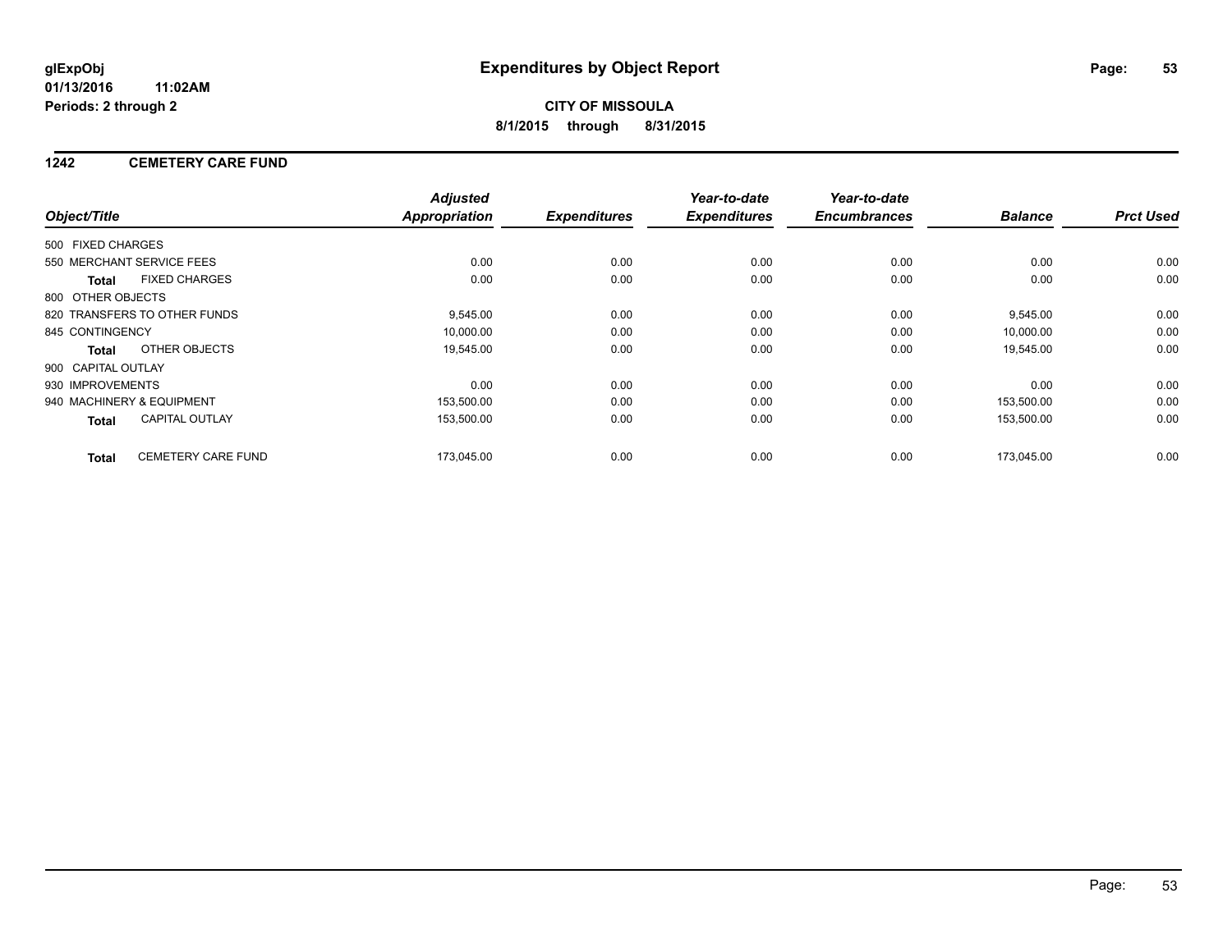### **1242 CEMETERY CARE FUND**

|                           |                              | <b>Adjusted</b>      |                     | Year-to-date        | Year-to-date        |                |                  |
|---------------------------|------------------------------|----------------------|---------------------|---------------------|---------------------|----------------|------------------|
| Object/Title              |                              | <b>Appropriation</b> | <b>Expenditures</b> | <b>Expenditures</b> | <b>Encumbrances</b> | <b>Balance</b> | <b>Prct Used</b> |
| 500 FIXED CHARGES         |                              |                      |                     |                     |                     |                |                  |
|                           | 550 MERCHANT SERVICE FEES    | 0.00                 | 0.00                | 0.00                | 0.00                | 0.00           | 0.00             |
| Total                     | <b>FIXED CHARGES</b>         | 0.00                 | 0.00                | 0.00                | 0.00                | 0.00           | 0.00             |
| 800 OTHER OBJECTS         |                              |                      |                     |                     |                     |                |                  |
|                           | 820 TRANSFERS TO OTHER FUNDS | 9,545.00             | 0.00                | 0.00                | 0.00                | 9,545.00       | 0.00             |
| 845 CONTINGENCY           |                              | 10,000.00            | 0.00                | 0.00                | 0.00                | 10.000.00      | 0.00             |
| Total                     | OTHER OBJECTS                | 19,545.00            | 0.00                | 0.00                | 0.00                | 19,545.00      | 0.00             |
| 900 CAPITAL OUTLAY        |                              |                      |                     |                     |                     |                |                  |
| 930 IMPROVEMENTS          |                              | 0.00                 | 0.00                | 0.00                | 0.00                | 0.00           | 0.00             |
| 940 MACHINERY & EQUIPMENT |                              | 153,500.00           | 0.00                | 0.00                | 0.00                | 153,500.00     | 0.00             |
| <b>Total</b>              | <b>CAPITAL OUTLAY</b>        | 153,500.00           | 0.00                | 0.00                | 0.00                | 153,500.00     | 0.00             |
| <b>Total</b>              | <b>CEMETERY CARE FUND</b>    | 173.045.00           | 0.00                | 0.00                | 0.00                | 173.045.00     | 0.00             |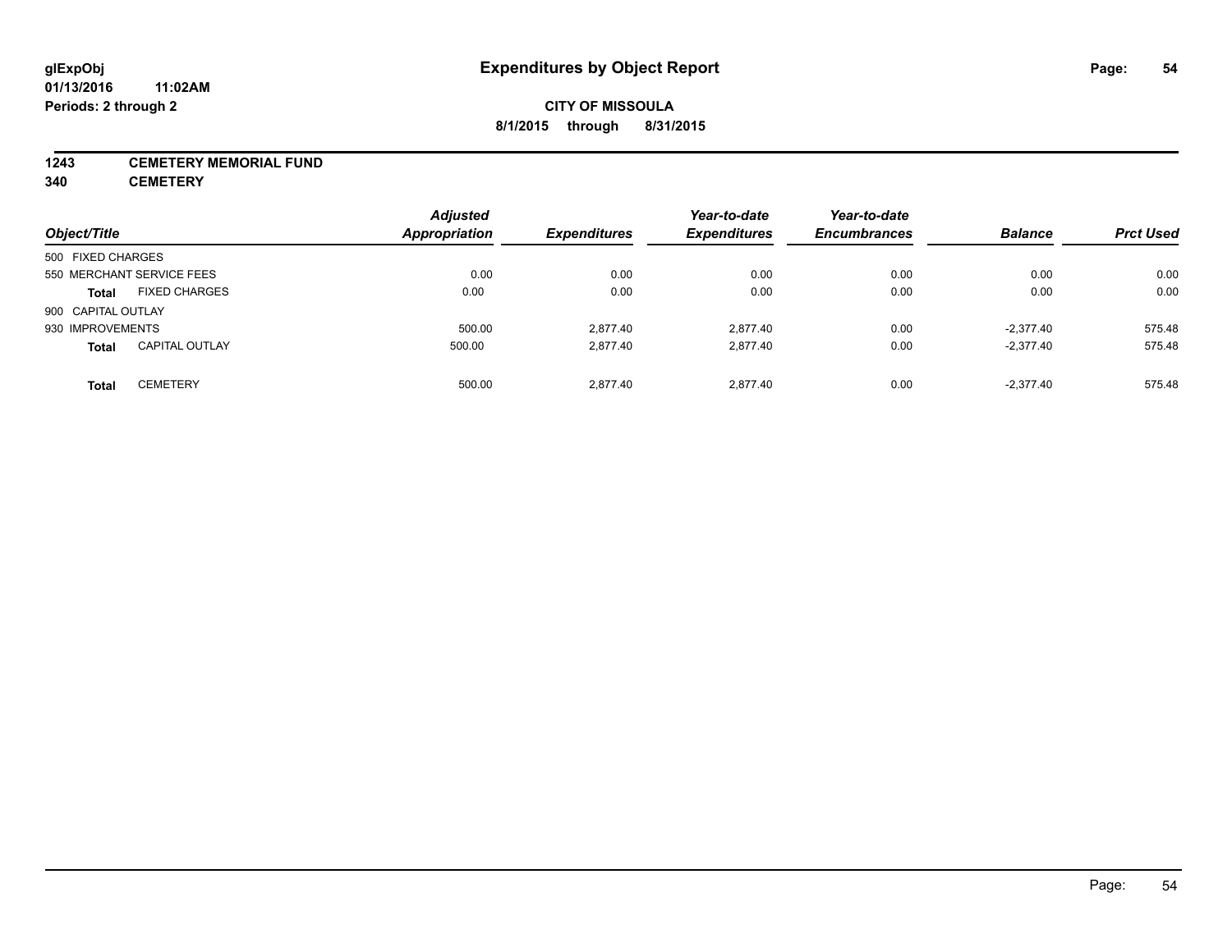#### **1243 CEMETERY MEMORIAL FUND**

**340 CEMETERY**

| Object/Title       |                           | <b>Adjusted</b><br>Appropriation | <b>Expenditures</b> | Year-to-date<br><b>Expenditures</b> | Year-to-date<br><b>Encumbrances</b> | <b>Balance</b> | <b>Prct Used</b> |
|--------------------|---------------------------|----------------------------------|---------------------|-------------------------------------|-------------------------------------|----------------|------------------|
| 500 FIXED CHARGES  |                           |                                  |                     |                                     |                                     |                |                  |
|                    | 550 MERCHANT SERVICE FEES | 0.00                             | 0.00                | 0.00                                | 0.00                                | 0.00           | 0.00             |
| <b>Total</b>       | <b>FIXED CHARGES</b>      | 0.00                             | 0.00                | 0.00                                | 0.00                                | 0.00           | 0.00             |
| 900 CAPITAL OUTLAY |                           |                                  |                     |                                     |                                     |                |                  |
| 930 IMPROVEMENTS   |                           | 500.00                           | 2.877.40            | 2.877.40                            | 0.00                                | $-2.377.40$    | 575.48           |
| <b>Total</b>       | <b>CAPITAL OUTLAY</b>     | 500.00                           | 2,877.40            | 2.877.40                            | 0.00                                | $-2.377.40$    | 575.48           |
| <b>Total</b>       | <b>CEMETERY</b>           | 500.00                           | 2.877.40            | 2.877.40                            | 0.00                                | $-2.377.40$    | 575.48           |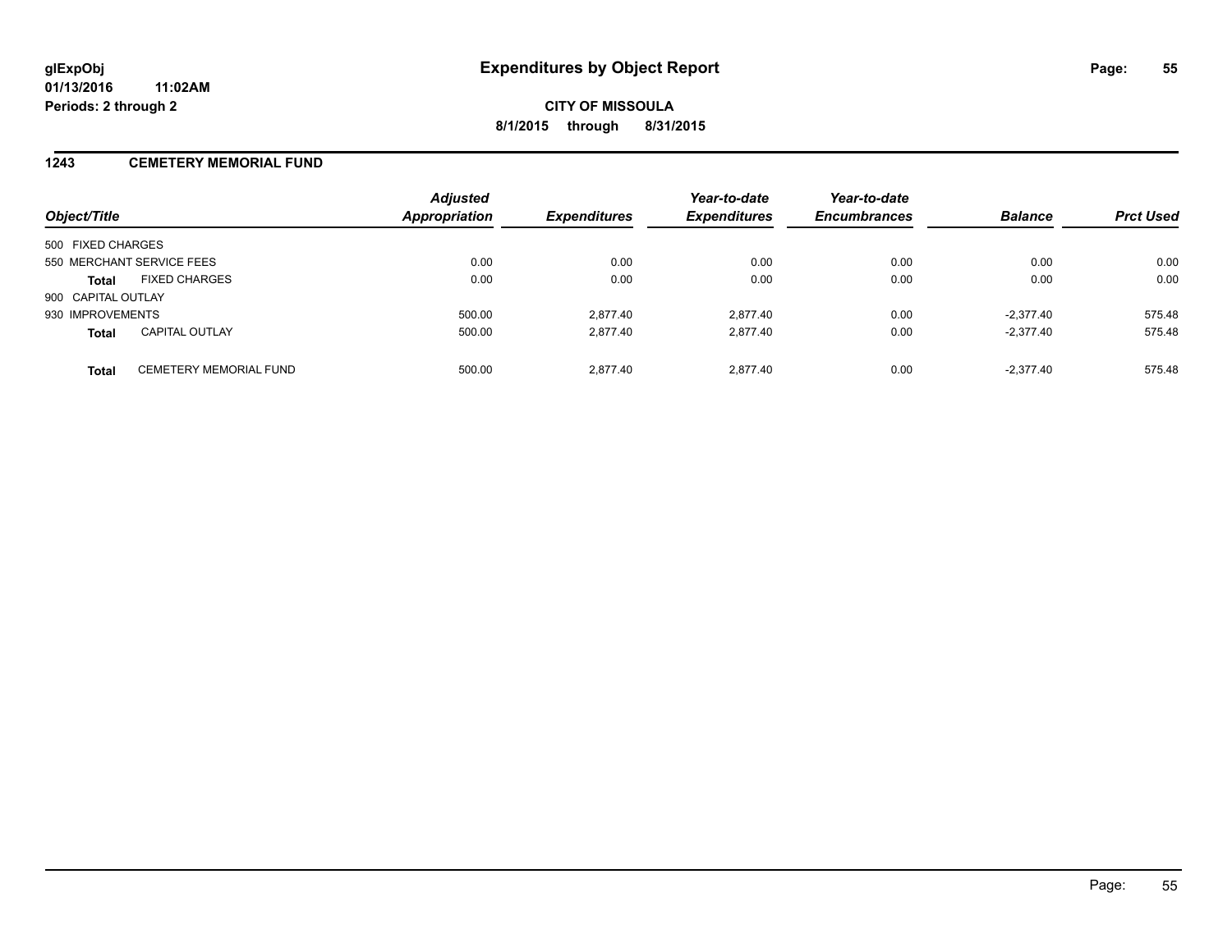#### **1243 CEMETERY MEMORIAL FUND**

| Object/Title                                  | <b>Adjusted</b><br><b>Appropriation</b> | <b>Expenditures</b> | Year-to-date<br><b>Expenditures</b> | Year-to-date<br><b>Encumbrances</b> | <b>Balance</b> | <b>Prct Used</b> |
|-----------------------------------------------|-----------------------------------------|---------------------|-------------------------------------|-------------------------------------|----------------|------------------|
| 500 FIXED CHARGES                             |                                         |                     |                                     |                                     |                |                  |
| 550 MERCHANT SERVICE FEES                     | 0.00                                    | 0.00                | 0.00                                | 0.00                                | 0.00           | 0.00             |
| <b>FIXED CHARGES</b><br><b>Total</b>          | 0.00                                    | 0.00                | 0.00                                | 0.00                                | 0.00           | 0.00             |
| 900 CAPITAL OUTLAY                            |                                         |                     |                                     |                                     |                |                  |
| 930 IMPROVEMENTS                              | 500.00                                  | 2.877.40            | 2.877.40                            | 0.00                                | $-2.377.40$    | 575.48           |
| <b>CAPITAL OUTLAY</b><br><b>Total</b>         | 500.00                                  | 2.877.40            | 2.877.40                            | 0.00                                | $-2.377.40$    | 575.48           |
| <b>CEMETERY MEMORIAL FUND</b><br><b>Total</b> | 500.00                                  | 2.877.40            | 2.877.40                            | 0.00                                | $-2.377.40$    | 575.48           |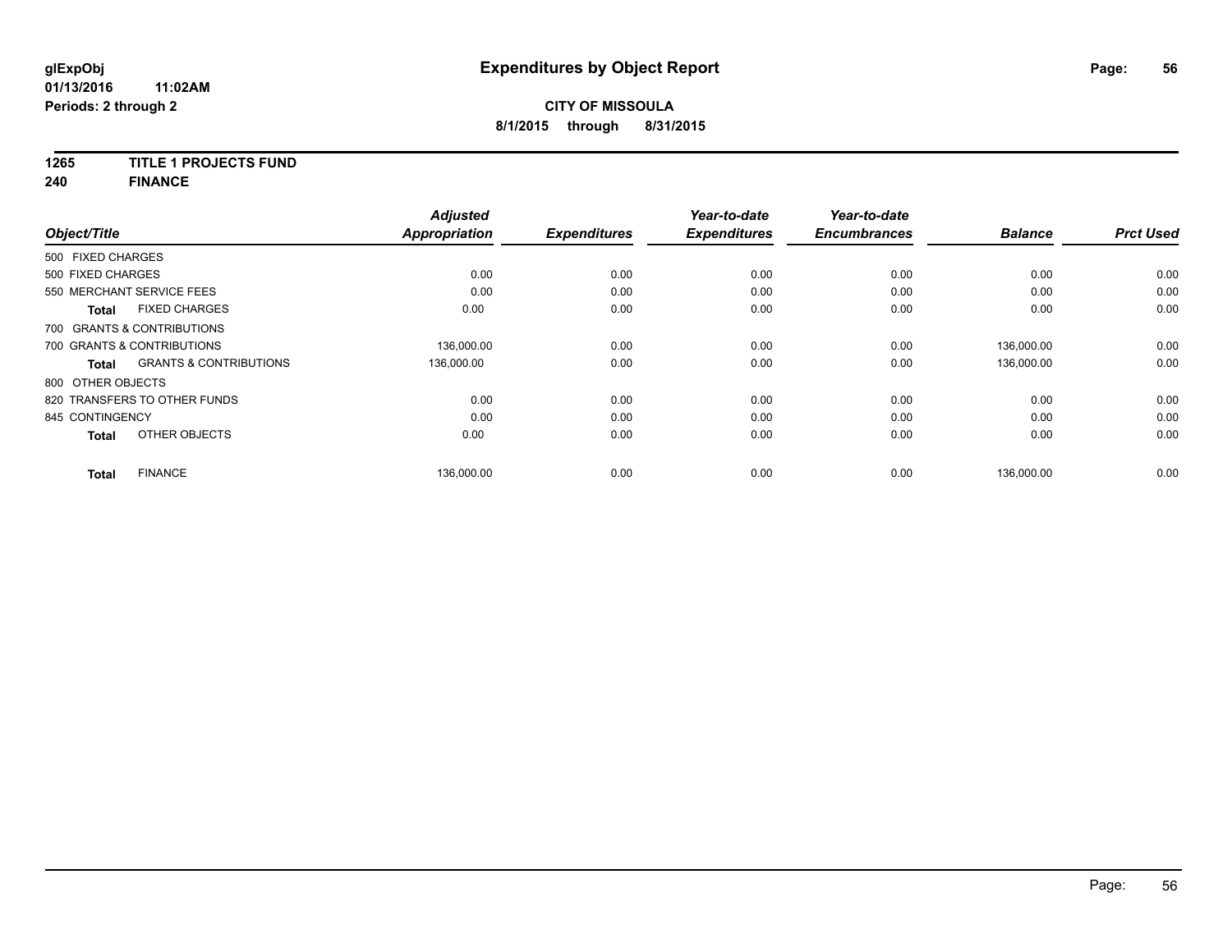### **1265 TITLE 1 PROJECTS FUND**

**240 FINANCE**

| Object/Title      |                                   | <b>Adjusted</b><br><b>Appropriation</b> | <b>Expenditures</b> | Year-to-date<br><b>Expenditures</b> | Year-to-date<br><b>Encumbrances</b> | <b>Balance</b> | <b>Prct Used</b> |
|-------------------|-----------------------------------|-----------------------------------------|---------------------|-------------------------------------|-------------------------------------|----------------|------------------|
| 500 FIXED CHARGES |                                   |                                         |                     |                                     |                                     |                |                  |
| 500 FIXED CHARGES |                                   | 0.00                                    | 0.00                | 0.00                                | 0.00                                | 0.00           | 0.00             |
|                   | 550 MERCHANT SERVICE FEES         | 0.00                                    | 0.00                | 0.00                                | 0.00                                | 0.00           | 0.00             |
| <b>Total</b>      | <b>FIXED CHARGES</b>              | 0.00                                    | 0.00                | 0.00                                | 0.00                                | 0.00           | 0.00             |
|                   | 700 GRANTS & CONTRIBUTIONS        |                                         |                     |                                     |                                     |                |                  |
|                   | 700 GRANTS & CONTRIBUTIONS        | 136.000.00                              | 0.00                | 0.00                                | 0.00                                | 136.000.00     | 0.00             |
| <b>Total</b>      | <b>GRANTS &amp; CONTRIBUTIONS</b> | 136.000.00                              | 0.00                | 0.00                                | 0.00                                | 136,000.00     | 0.00             |
| 800 OTHER OBJECTS |                                   |                                         |                     |                                     |                                     |                |                  |
|                   | 820 TRANSFERS TO OTHER FUNDS      | 0.00                                    | 0.00                | 0.00                                | 0.00                                | 0.00           | 0.00             |
| 845 CONTINGENCY   |                                   | 0.00                                    | 0.00                | 0.00                                | 0.00                                | 0.00           | 0.00             |
| <b>Total</b>      | OTHER OBJECTS                     | 0.00                                    | 0.00                | 0.00                                | 0.00                                | 0.00           | 0.00             |
| <b>Total</b>      | <b>FINANCE</b>                    | 136,000.00                              | 0.00                | 0.00                                | 0.00                                | 136,000.00     | 0.00             |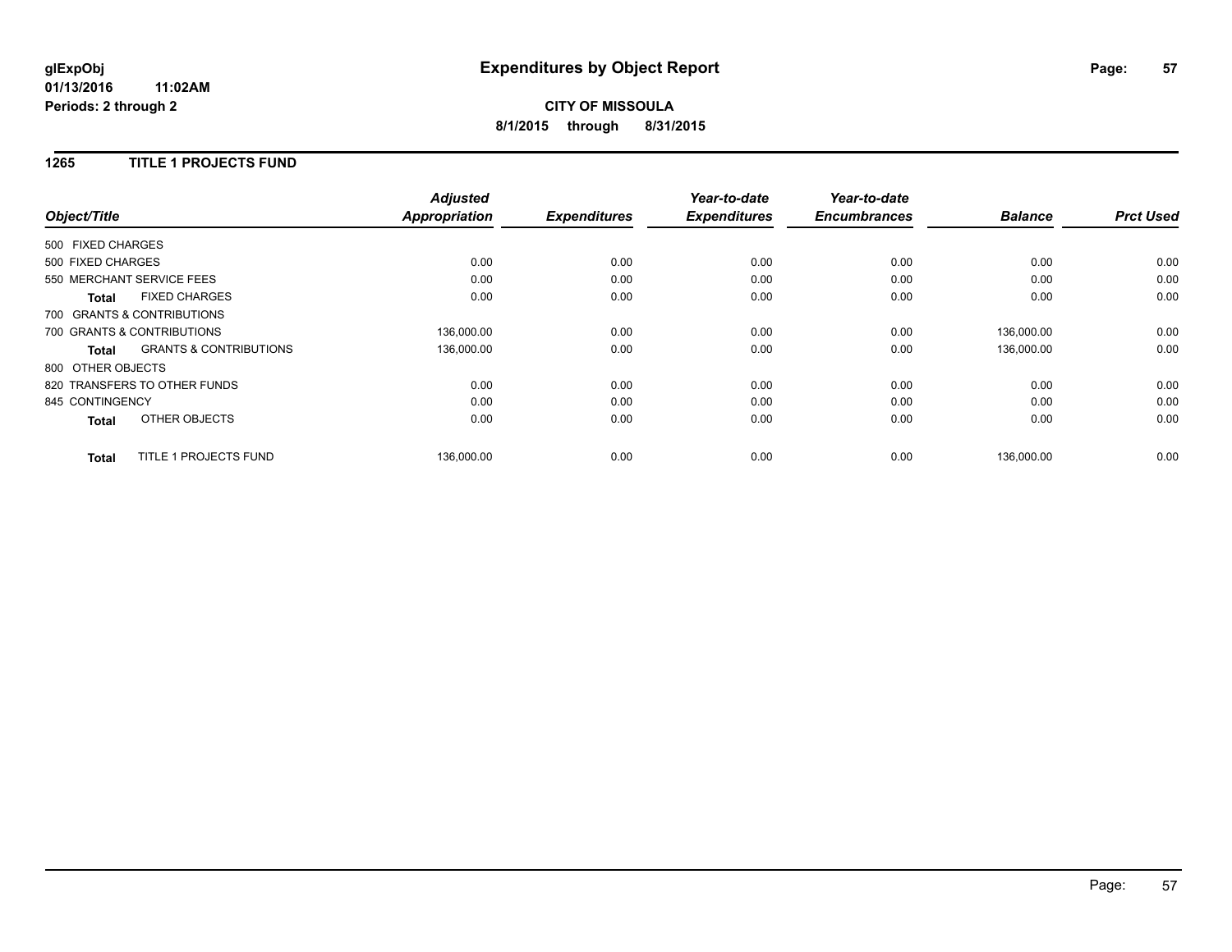## **CITY OF MISSOULA 8/1/2015 through 8/31/2015**

#### **1265 TITLE 1 PROJECTS FUND**

|                                                   | <b>Adjusted</b>      |                     | Year-to-date        | Year-to-date        |                |                  |
|---------------------------------------------------|----------------------|---------------------|---------------------|---------------------|----------------|------------------|
| Object/Title                                      | <b>Appropriation</b> | <b>Expenditures</b> | <b>Expenditures</b> | <b>Encumbrances</b> | <b>Balance</b> | <b>Prct Used</b> |
| 500 FIXED CHARGES                                 |                      |                     |                     |                     |                |                  |
| 500 FIXED CHARGES                                 | 0.00                 | 0.00                | 0.00                | 0.00                | 0.00           | 0.00             |
| 550 MERCHANT SERVICE FEES                         | 0.00                 | 0.00                | 0.00                | 0.00                | 0.00           | 0.00             |
| <b>FIXED CHARGES</b><br><b>Total</b>              | 0.00                 | 0.00                | 0.00                | 0.00                | 0.00           | 0.00             |
| 700 GRANTS & CONTRIBUTIONS                        |                      |                     |                     |                     |                |                  |
| 700 GRANTS & CONTRIBUTIONS                        | 136,000.00           | 0.00                | 0.00                | 0.00                | 136,000.00     | 0.00             |
| <b>GRANTS &amp; CONTRIBUTIONS</b><br><b>Total</b> | 136,000.00           | 0.00                | 0.00                | 0.00                | 136,000.00     | 0.00             |
| 800 OTHER OBJECTS                                 |                      |                     |                     |                     |                |                  |
| 820 TRANSFERS TO OTHER FUNDS                      | 0.00                 | 0.00                | 0.00                | 0.00                | 0.00           | 0.00             |
| 845 CONTINGENCY                                   | 0.00                 | 0.00                | 0.00                | 0.00                | 0.00           | 0.00             |
| OTHER OBJECTS<br><b>Total</b>                     | 0.00                 | 0.00                | 0.00                | 0.00                | 0.00           | 0.00             |
| <b>TITLE 1 PROJECTS FUND</b><br>Total             | 136.000.00           | 0.00                | 0.00                | 0.00                | 136.000.00     | 0.00             |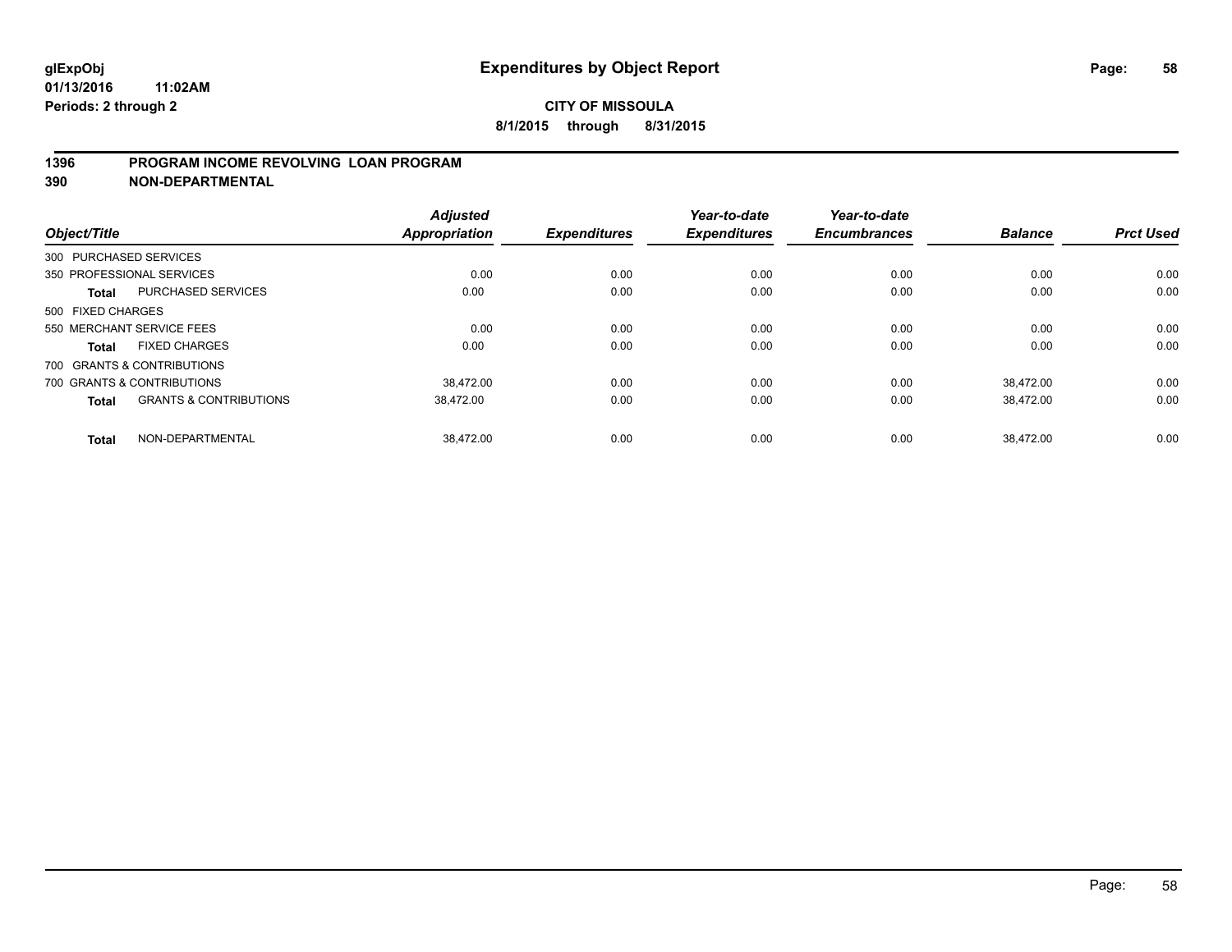#### **1396 PROGRAM INCOME REVOLVING LOAN PROGRAM**

**390 NON-DEPARTMENTAL**

| Object/Title      |                                   | <b>Adjusted</b><br><b>Appropriation</b> | <b>Expenditures</b> | Year-to-date<br><b>Expenditures</b> | Year-to-date<br><b>Encumbrances</b> | <b>Balance</b> | <b>Prct Used</b> |
|-------------------|-----------------------------------|-----------------------------------------|---------------------|-------------------------------------|-------------------------------------|----------------|------------------|
|                   | 300 PURCHASED SERVICES            |                                         |                     |                                     |                                     |                |                  |
|                   | 350 PROFESSIONAL SERVICES         | 0.00                                    | 0.00                | 0.00                                | 0.00                                | 0.00           | 0.00             |
| <b>Total</b>      | <b>PURCHASED SERVICES</b>         | 0.00                                    | 0.00                | 0.00                                | 0.00                                | 0.00           | 0.00             |
| 500 FIXED CHARGES |                                   |                                         |                     |                                     |                                     |                |                  |
|                   | 550 MERCHANT SERVICE FEES         | 0.00                                    | 0.00                | 0.00                                | 0.00                                | 0.00           | 0.00             |
| Total             | <b>FIXED CHARGES</b>              | 0.00                                    | 0.00                | 0.00                                | 0.00                                | 0.00           | 0.00             |
|                   | 700 GRANTS & CONTRIBUTIONS        |                                         |                     |                                     |                                     |                |                  |
|                   | 700 GRANTS & CONTRIBUTIONS        | 38.472.00                               | 0.00                | 0.00                                | 0.00                                | 38.472.00      | 0.00             |
| <b>Total</b>      | <b>GRANTS &amp; CONTRIBUTIONS</b> | 38.472.00                               | 0.00                | 0.00                                | 0.00                                | 38.472.00      | 0.00             |
| <b>Total</b>      | NON-DEPARTMENTAL                  | 38.472.00                               | 0.00                | 0.00                                | 0.00                                | 38.472.00      | 0.00             |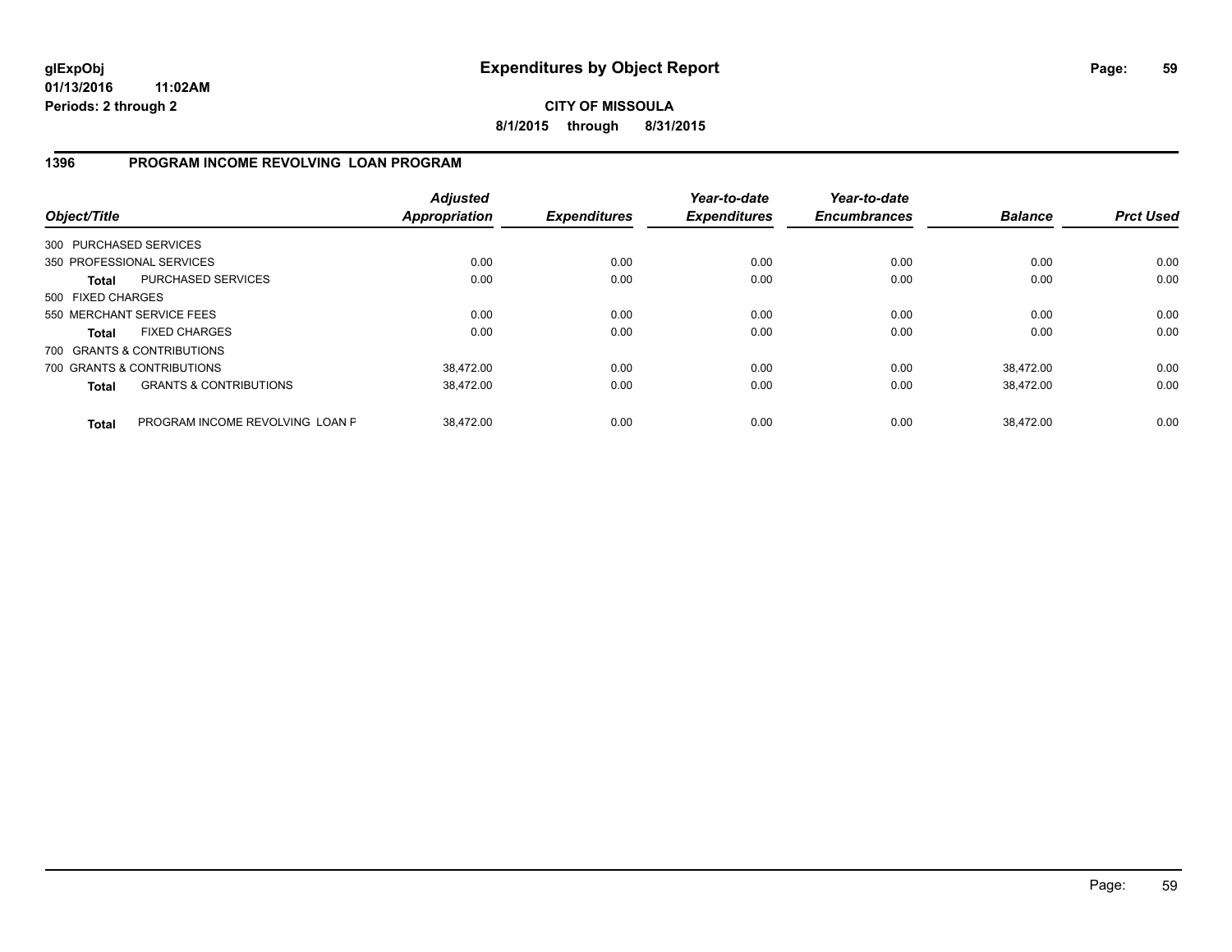**CITY OF MISSOULA 8/1/2015 through 8/31/2015**

### **1396 PROGRAM INCOME REVOLVING LOAN PROGRAM**

| Object/Title           |                                   | <b>Adjusted</b><br><b>Appropriation</b> | <b>Expenditures</b> | Year-to-date<br><b>Expenditures</b> | Year-to-date<br><b>Encumbrances</b> | <b>Balance</b> | <b>Prct Used</b> |
|------------------------|-----------------------------------|-----------------------------------------|---------------------|-------------------------------------|-------------------------------------|----------------|------------------|
| 300 PURCHASED SERVICES |                                   |                                         |                     |                                     |                                     |                |                  |
|                        | 350 PROFESSIONAL SERVICES         | 0.00                                    | 0.00                | 0.00                                | 0.00                                | 0.00           | 0.00             |
| Total                  | PURCHASED SERVICES                | 0.00                                    | 0.00                | 0.00                                | 0.00                                | 0.00           | 0.00             |
| 500 FIXED CHARGES      |                                   |                                         |                     |                                     |                                     |                |                  |
|                        | 550 MERCHANT SERVICE FEES         | 0.00                                    | 0.00                | 0.00                                | 0.00                                | 0.00           | 0.00             |
| Total                  | <b>FIXED CHARGES</b>              | 0.00                                    | 0.00                | 0.00                                | 0.00                                | 0.00           | 0.00             |
|                        | 700 GRANTS & CONTRIBUTIONS        |                                         |                     |                                     |                                     |                |                  |
|                        | 700 GRANTS & CONTRIBUTIONS        | 38.472.00                               | 0.00                | 0.00                                | 0.00                                | 38.472.00      | 0.00             |
| <b>Total</b>           | <b>GRANTS &amp; CONTRIBUTIONS</b> | 38,472.00                               | 0.00                | 0.00                                | 0.00                                | 38.472.00      | 0.00             |
| <b>Total</b>           | PROGRAM INCOME REVOLVING LOAN P   | 38.472.00                               | 0.00                | 0.00                                | 0.00                                | 38.472.00      | 0.00             |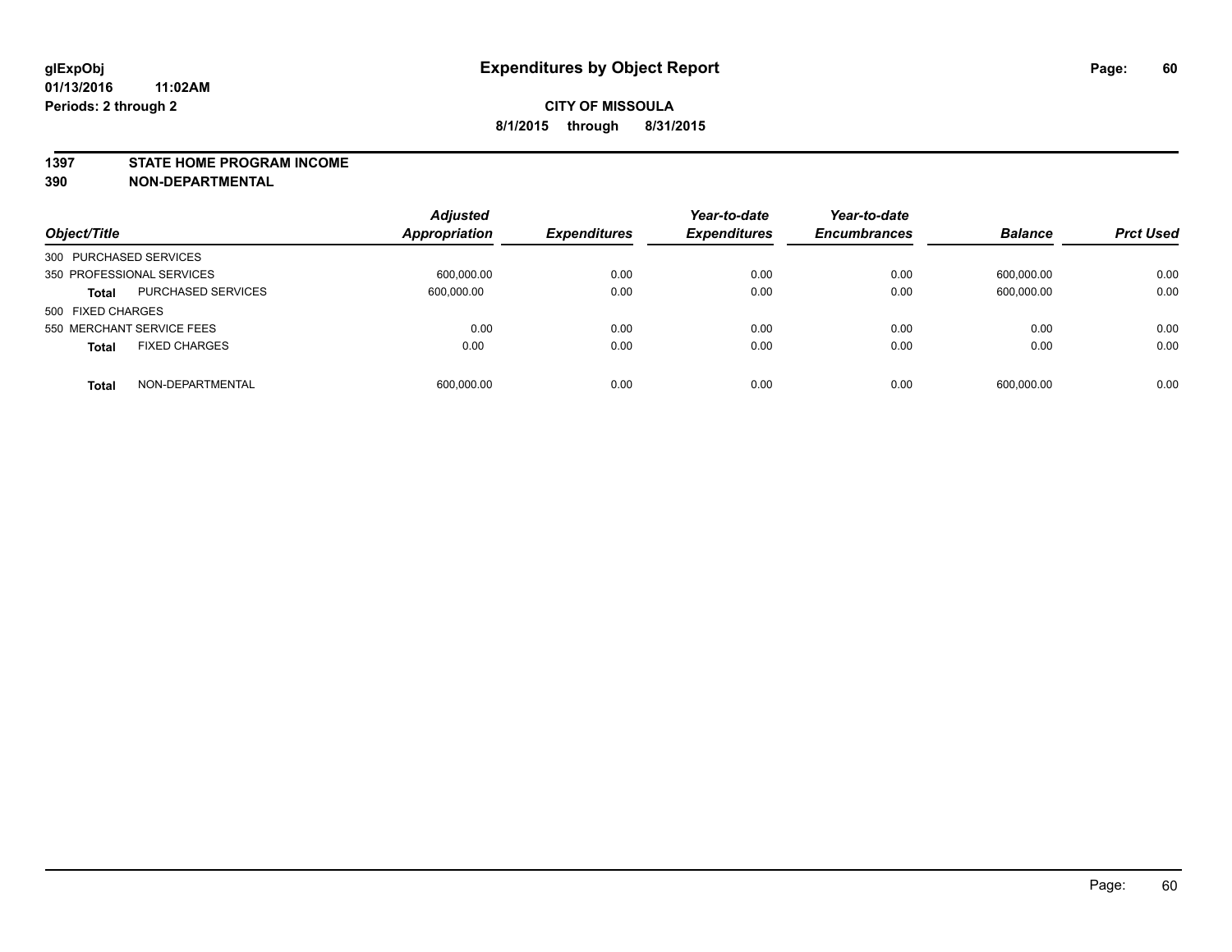#### **1397 STATE HOME PROGRAM INCOME**

**390 NON-DEPARTMENTAL**

| Object/Title                              | <b>Adjusted</b><br><b>Appropriation</b> | <b>Expenditures</b> | Year-to-date<br><b>Expenditures</b> | Year-to-date<br><b>Encumbrances</b> | <b>Balance</b> | <b>Prct Used</b> |
|-------------------------------------------|-----------------------------------------|---------------------|-------------------------------------|-------------------------------------|----------------|------------------|
| 300 PURCHASED SERVICES                    |                                         |                     |                                     |                                     |                |                  |
| 350 PROFESSIONAL SERVICES                 | 600,000.00                              | 0.00                | 0.00                                | 0.00                                | 600,000.00     | 0.00             |
| <b>PURCHASED SERVICES</b><br><b>Total</b> | 600,000.00                              | 0.00                | 0.00                                | 0.00                                | 600,000.00     | 0.00             |
| 500 FIXED CHARGES                         |                                         |                     |                                     |                                     |                |                  |
| 550 MERCHANT SERVICE FEES                 | 0.00                                    | 0.00                | 0.00                                | 0.00                                | 0.00           | 0.00             |
| <b>FIXED CHARGES</b><br><b>Total</b>      | 0.00                                    | 0.00                | 0.00                                | 0.00                                | 0.00           | 0.00             |
| NON-DEPARTMENTAL<br><b>Total</b>          | 600,000.00                              | 0.00                | 0.00                                | 0.00                                | 600,000.00     | 0.00             |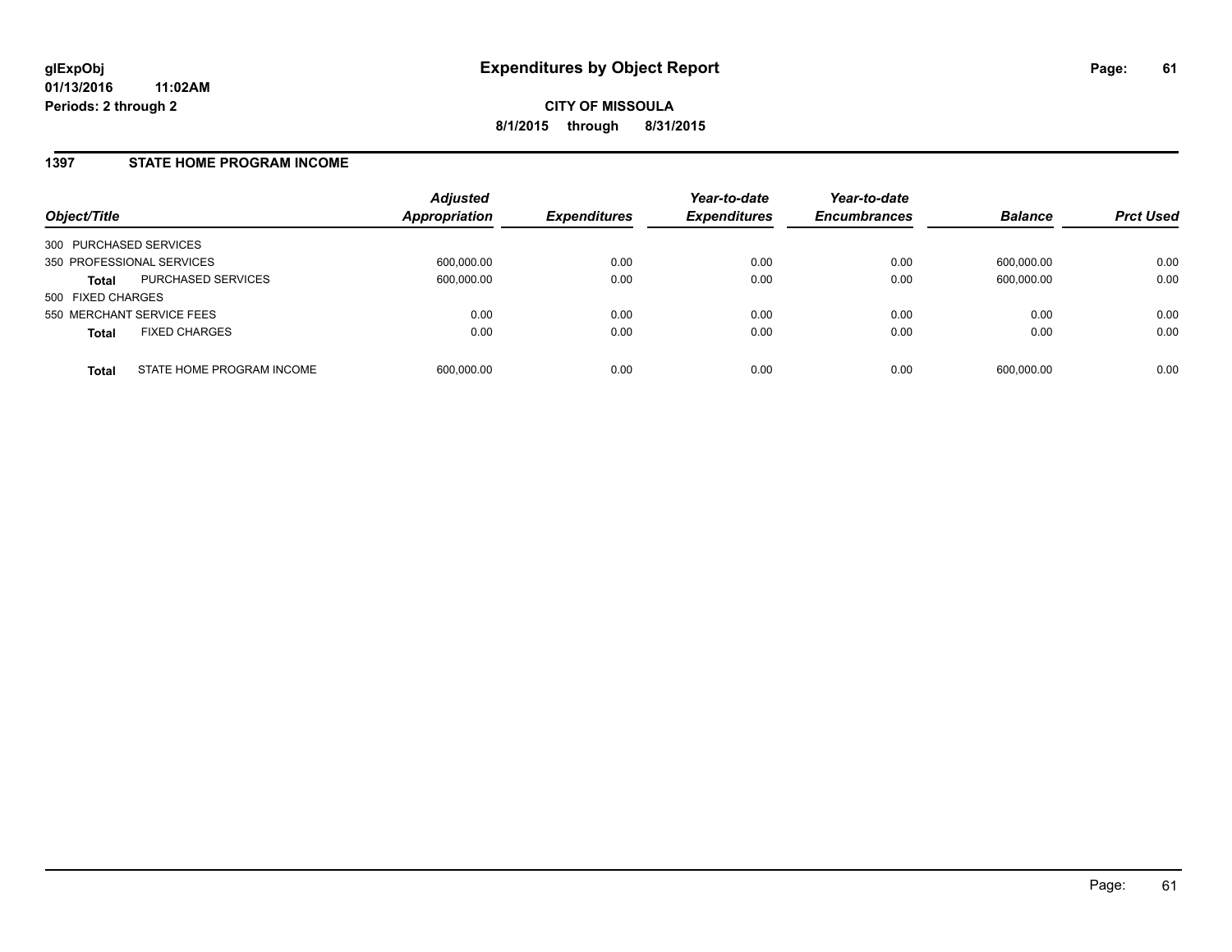#### **1397 STATE HOME PROGRAM INCOME**

| Object/Title              |                           | <b>Adjusted</b><br><b>Appropriation</b> | <b>Expenditures</b> | Year-to-date<br><b>Expenditures</b> | Year-to-date<br><b>Encumbrances</b> | <b>Balance</b> | <b>Prct Used</b> |
|---------------------------|---------------------------|-----------------------------------------|---------------------|-------------------------------------|-------------------------------------|----------------|------------------|
| 300 PURCHASED SERVICES    |                           |                                         |                     |                                     |                                     |                |                  |
| 350 PROFESSIONAL SERVICES |                           | 600,000.00                              | 0.00                | 0.00                                | 0.00                                | 600.000.00     | 0.00             |
| Total                     | PURCHASED SERVICES        | 600,000.00                              | 0.00                | 0.00                                | 0.00                                | 600,000.00     | 0.00             |
| 500 FIXED CHARGES         |                           |                                         |                     |                                     |                                     |                |                  |
| 550 MERCHANT SERVICE FEES |                           | 0.00                                    | 0.00                | 0.00                                | 0.00                                | 0.00           | 0.00             |
| <b>Total</b>              | <b>FIXED CHARGES</b>      | 0.00                                    | 0.00                | 0.00                                | 0.00                                | 0.00           | 0.00             |
| <b>Total</b>              | STATE HOME PROGRAM INCOME | 600,000.00                              | 0.00                | 0.00                                | 0.00                                | 600,000.00     | 0.00             |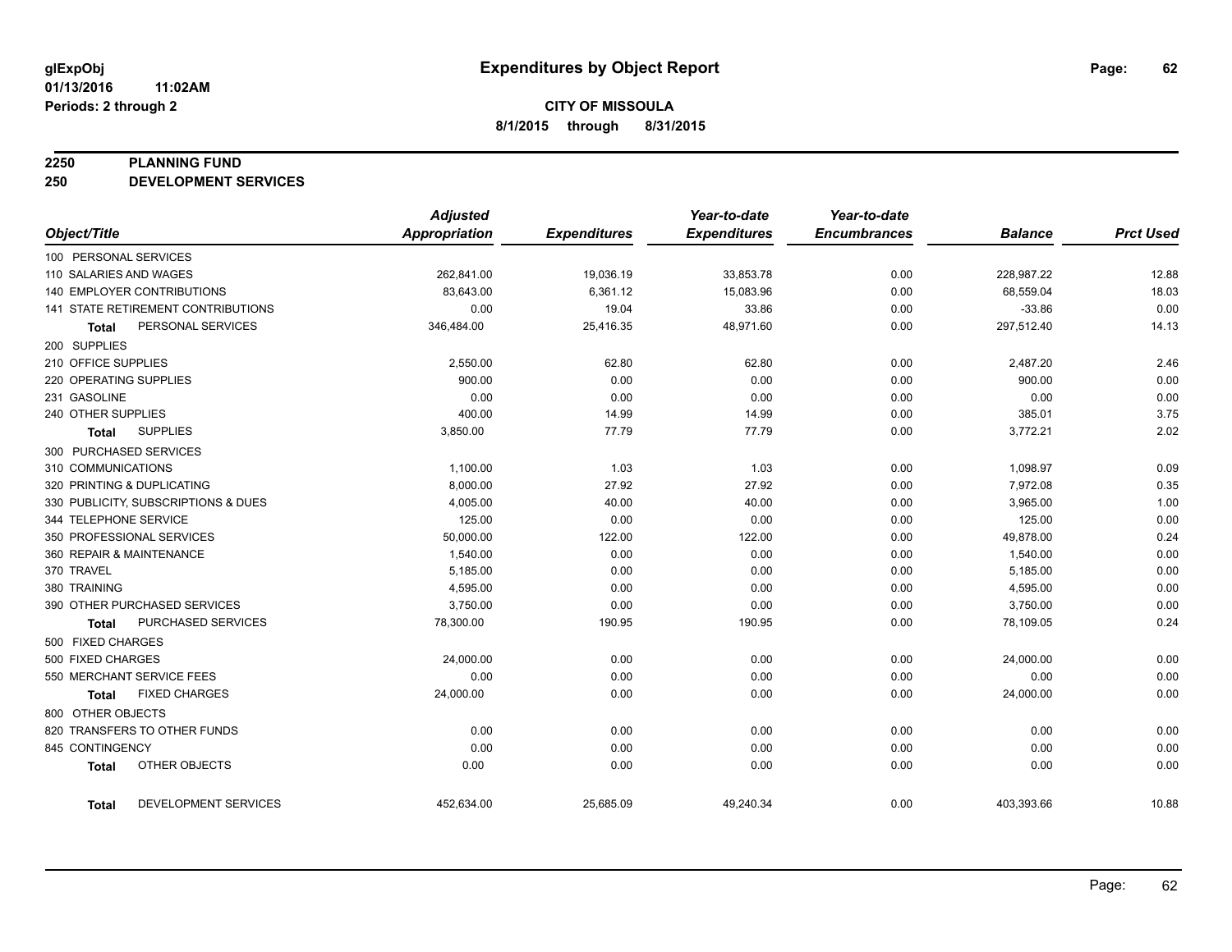#### **2250 PLANNING FUND**

**250 DEVELOPMENT SERVICES**

|                                     |                      | <b>Adjusted</b>      |                     | Year-to-date        | Year-to-date        |                |                  |
|-------------------------------------|----------------------|----------------------|---------------------|---------------------|---------------------|----------------|------------------|
| Object/Title                        |                      | <b>Appropriation</b> | <b>Expenditures</b> | <b>Expenditures</b> | <b>Encumbrances</b> | <b>Balance</b> | <b>Prct Used</b> |
| 100 PERSONAL SERVICES               |                      |                      |                     |                     |                     |                |                  |
| 110 SALARIES AND WAGES              |                      | 262,841.00           | 19,036.19           | 33,853.78           | 0.00                | 228,987.22     | 12.88            |
| <b>140 EMPLOYER CONTRIBUTIONS</b>   |                      | 83,643.00            | 6,361.12            | 15,083.96           | 0.00                | 68,559.04      | 18.03            |
| 141 STATE RETIREMENT CONTRIBUTIONS  |                      | 0.00                 | 19.04               | 33.86               | 0.00                | $-33.86$       | 0.00             |
| Total                               | PERSONAL SERVICES    | 346,484.00           | 25,416.35           | 48,971.60           | 0.00                | 297,512.40     | 14.13            |
| 200 SUPPLIES                        |                      |                      |                     |                     |                     |                |                  |
| 210 OFFICE SUPPLIES                 |                      | 2,550.00             | 62.80               | 62.80               | 0.00                | 2,487.20       | 2.46             |
| 220 OPERATING SUPPLIES              |                      | 900.00               | 0.00                | 0.00                | 0.00                | 900.00         | 0.00             |
| 231 GASOLINE                        |                      | 0.00                 | 0.00                | 0.00                | 0.00                | 0.00           | 0.00             |
| 240 OTHER SUPPLIES                  |                      | 400.00               | 14.99               | 14.99               | 0.00                | 385.01         | 3.75             |
| <b>SUPPLIES</b><br>Total            |                      | 3,850.00             | 77.79               | 77.79               | 0.00                | 3,772.21       | 2.02             |
| 300 PURCHASED SERVICES              |                      |                      |                     |                     |                     |                |                  |
| 310 COMMUNICATIONS                  |                      | 1,100.00             | 1.03                | 1.03                | 0.00                | 1,098.97       | 0.09             |
| 320 PRINTING & DUPLICATING          |                      | 8,000.00             | 27.92               | 27.92               | 0.00                | 7,972.08       | 0.35             |
| 330 PUBLICITY, SUBSCRIPTIONS & DUES |                      | 4,005.00             | 40.00               | 40.00               | 0.00                | 3,965.00       | 1.00             |
| 344 TELEPHONE SERVICE               |                      | 125.00               | 0.00                | 0.00                | 0.00                | 125.00         | 0.00             |
| 350 PROFESSIONAL SERVICES           |                      | 50,000.00            | 122.00              | 122.00              | 0.00                | 49,878.00      | 0.24             |
| 360 REPAIR & MAINTENANCE            |                      | 1,540.00             | 0.00                | 0.00                | 0.00                | 1,540.00       | 0.00             |
| 370 TRAVEL                          |                      | 5,185.00             | 0.00                | 0.00                | 0.00                | 5,185.00       | 0.00             |
| 380 TRAINING                        |                      | 4,595.00             | 0.00                | 0.00                | 0.00                | 4,595.00       | 0.00             |
| 390 OTHER PURCHASED SERVICES        |                      | 3,750.00             | 0.00                | 0.00                | 0.00                | 3,750.00       | 0.00             |
| Total                               | PURCHASED SERVICES   | 78,300.00            | 190.95              | 190.95              | 0.00                | 78,109.05      | 0.24             |
| 500 FIXED CHARGES                   |                      |                      |                     |                     |                     |                |                  |
| 500 FIXED CHARGES                   |                      | 24,000.00            | 0.00                | 0.00                | 0.00                | 24,000.00      | 0.00             |
| 550 MERCHANT SERVICE FEES           |                      | 0.00                 | 0.00                | 0.00                | 0.00                | 0.00           | 0.00             |
| <b>FIXED CHARGES</b><br>Total       |                      | 24,000.00            | 0.00                | 0.00                | 0.00                | 24,000.00      | 0.00             |
| 800 OTHER OBJECTS                   |                      |                      |                     |                     |                     |                |                  |
| 820 TRANSFERS TO OTHER FUNDS        |                      | 0.00                 | 0.00                | 0.00                | 0.00                | 0.00           | 0.00             |
| 845 CONTINGENCY                     |                      | 0.00                 | 0.00                | 0.00                | 0.00                | 0.00           | 0.00             |
| OTHER OBJECTS<br><b>Total</b>       |                      | 0.00                 | 0.00                | 0.00                | 0.00                | 0.00           | 0.00             |
| <b>Total</b>                        | DEVELOPMENT SERVICES | 452,634.00           | 25,685.09           | 49,240.34           | 0.00                | 403,393.66     | 10.88            |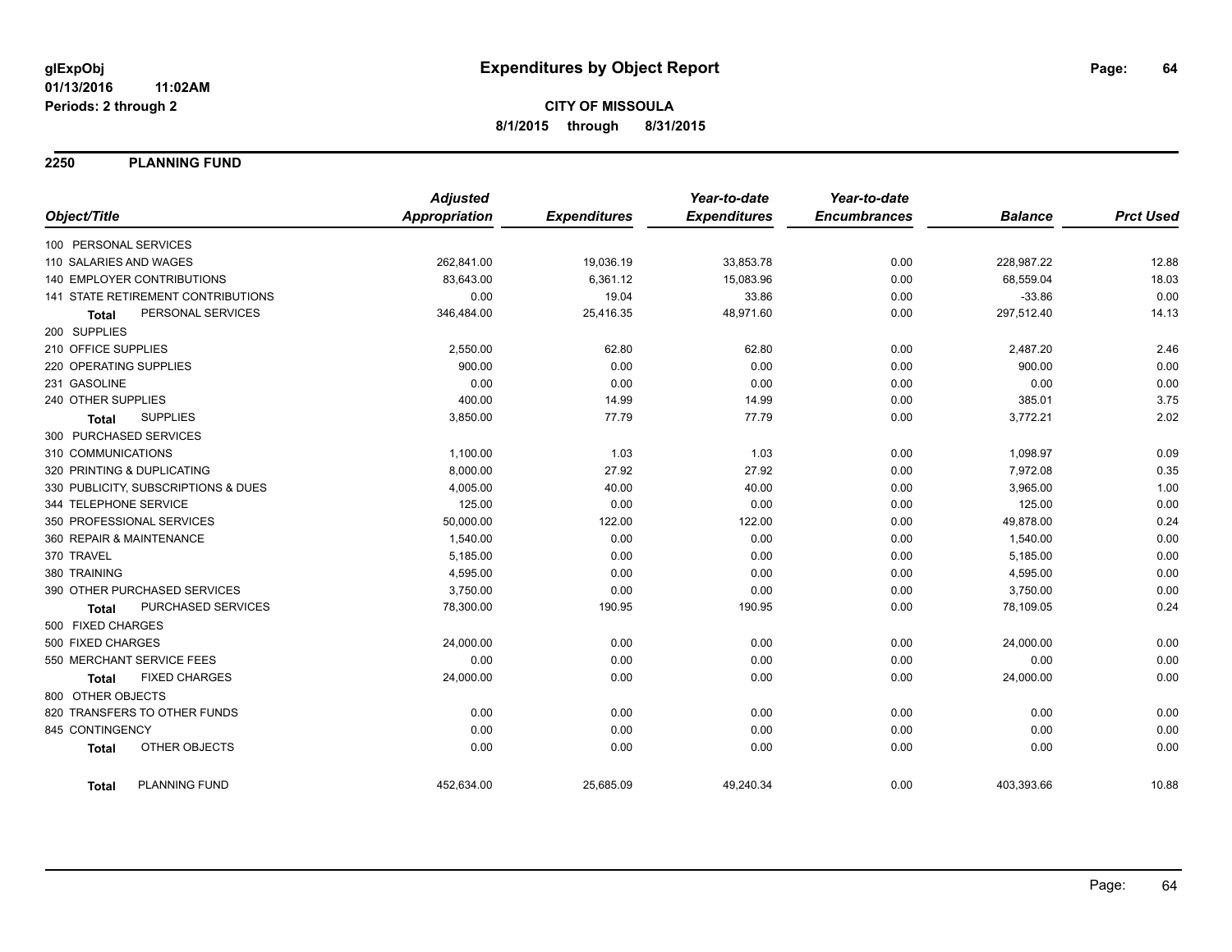**2250 PLANNING FUND**

|                                      | <b>Adjusted</b>      |                     | Year-to-date        | Year-to-date        |                |                  |
|--------------------------------------|----------------------|---------------------|---------------------|---------------------|----------------|------------------|
| Object/Title                         | <b>Appropriation</b> | <b>Expenditures</b> | <b>Expenditures</b> | <b>Encumbrances</b> | <b>Balance</b> | <b>Prct Used</b> |
| 100 PERSONAL SERVICES                |                      |                     |                     |                     |                |                  |
| 110 SALARIES AND WAGES               | 262,841.00           | 19,036.19           | 33,853.78           | 0.00                | 228,987.22     | 12.88            |
| 140 EMPLOYER CONTRIBUTIONS           | 83,643.00            | 6,361.12            | 15,083.96           | 0.00                | 68,559.04      | 18.03            |
| 141 STATE RETIREMENT CONTRIBUTIONS   | 0.00                 | 19.04               | 33.86               | 0.00                | $-33.86$       | 0.00             |
| PERSONAL SERVICES<br><b>Total</b>    | 346,484.00           | 25,416.35           | 48,971.60           | 0.00                | 297,512.40     | 14.13            |
| 200 SUPPLIES                         |                      |                     |                     |                     |                |                  |
| 210 OFFICE SUPPLIES                  | 2,550.00             | 62.80               | 62.80               | 0.00                | 2,487.20       | 2.46             |
| 220 OPERATING SUPPLIES               | 900.00               | 0.00                | 0.00                | 0.00                | 900.00         | 0.00             |
| 231 GASOLINE                         | 0.00                 | 0.00                | 0.00                | 0.00                | 0.00           | 0.00             |
| 240 OTHER SUPPLIES                   | 400.00               | 14.99               | 14.99               | 0.00                | 385.01         | 3.75             |
| <b>SUPPLIES</b><br>Total             | 3,850.00             | 77.79               | 77.79               | 0.00                | 3,772.21       | 2.02             |
| 300 PURCHASED SERVICES               |                      |                     |                     |                     |                |                  |
| 310 COMMUNICATIONS                   | 1,100.00             | 1.03                | 1.03                | 0.00                | 1,098.97       | 0.09             |
| 320 PRINTING & DUPLICATING           | 8,000.00             | 27.92               | 27.92               | 0.00                | 7,972.08       | 0.35             |
| 330 PUBLICITY, SUBSCRIPTIONS & DUES  | 4,005.00             | 40.00               | 40.00               | 0.00                | 3,965.00       | 1.00             |
| 344 TELEPHONE SERVICE                | 125.00               | 0.00                | 0.00                | 0.00                | 125.00         | 0.00             |
| 350 PROFESSIONAL SERVICES            | 50,000.00            | 122.00              | 122.00              | 0.00                | 49,878.00      | 0.24             |
| 360 REPAIR & MAINTENANCE             | 1,540.00             | 0.00                | 0.00                | 0.00                | 1,540.00       | 0.00             |
| 370 TRAVEL                           | 5,185.00             | 0.00                | 0.00                | 0.00                | 5,185.00       | 0.00             |
| 380 TRAINING                         | 4,595.00             | 0.00                | 0.00                | 0.00                | 4,595.00       | 0.00             |
| 390 OTHER PURCHASED SERVICES         | 3,750.00             | 0.00                | 0.00                | 0.00                | 3,750.00       | 0.00             |
| PURCHASED SERVICES<br>Total          | 78,300.00            | 190.95              | 190.95              | 0.00                | 78,109.05      | 0.24             |
| 500 FIXED CHARGES                    |                      |                     |                     |                     |                |                  |
| 500 FIXED CHARGES                    | 24,000.00            | 0.00                | 0.00                | 0.00                | 24,000.00      | 0.00             |
| 550 MERCHANT SERVICE FEES            | 0.00                 | 0.00                | 0.00                | 0.00                | 0.00           | 0.00             |
| <b>FIXED CHARGES</b><br><b>Total</b> | 24,000.00            | 0.00                | 0.00                | 0.00                | 24,000.00      | 0.00             |
| 800 OTHER OBJECTS                    |                      |                     |                     |                     |                |                  |
| 820 TRANSFERS TO OTHER FUNDS         | 0.00                 | 0.00                | 0.00                | 0.00                | 0.00           | 0.00             |
| 845 CONTINGENCY                      | 0.00                 | 0.00                | 0.00                | 0.00                | 0.00           | 0.00             |
| <b>OTHER OBJECTS</b><br><b>Total</b> | 0.00                 | 0.00                | 0.00                | 0.00                | 0.00           | 0.00             |
| <b>PLANNING FUND</b><br><b>Total</b> | 452,634.00           | 25,685.09           | 49,240.34           | 0.00                | 403,393.66     | 10.88            |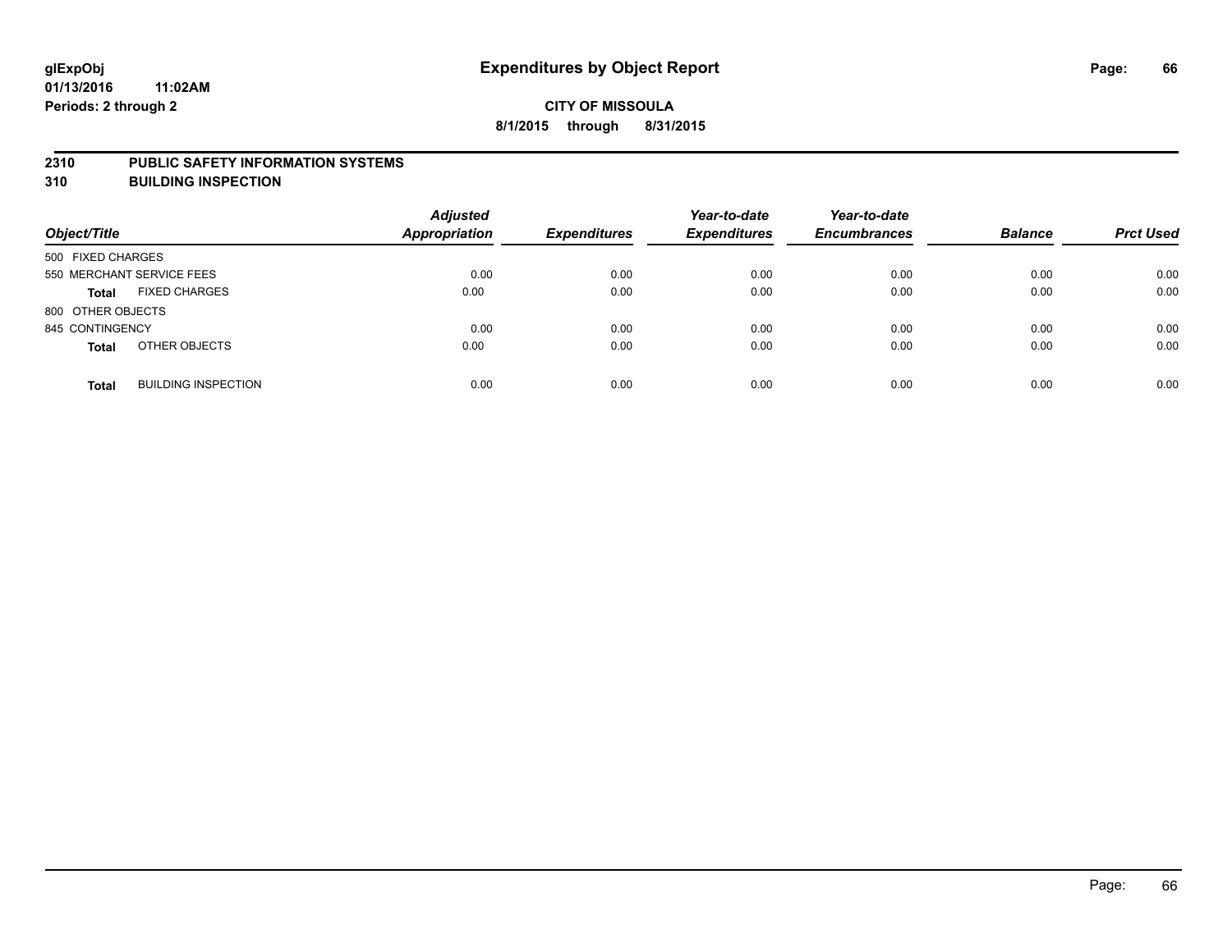#### **2310 PUBLIC SAFETY INFORMATION SYSTEMS**

**310 BUILDING INSPECTION**

| Object/Title              |                            | <b>Adjusted</b><br>Appropriation | <b>Expenditures</b> | Year-to-date<br><b>Expenditures</b> | Year-to-date<br><b>Encumbrances</b> | <b>Balance</b> | <b>Prct Used</b> |
|---------------------------|----------------------------|----------------------------------|---------------------|-------------------------------------|-------------------------------------|----------------|------------------|
| 500 FIXED CHARGES         |                            |                                  |                     |                                     |                                     |                |                  |
| 550 MERCHANT SERVICE FEES |                            | 0.00                             | 0.00                | 0.00                                | 0.00                                | 0.00           | 0.00             |
| <b>Total</b>              | <b>FIXED CHARGES</b>       | 0.00                             | 0.00                | 0.00                                | 0.00                                | 0.00           | 0.00             |
| 800 OTHER OBJECTS         |                            |                                  |                     |                                     |                                     |                |                  |
| 845 CONTINGENCY           |                            | 0.00                             | 0.00                | 0.00                                | 0.00                                | 0.00           | 0.00             |
| <b>Total</b>              | OTHER OBJECTS              | 0.00                             | 0.00                | 0.00                                | 0.00                                | 0.00           | 0.00             |
| <b>Total</b>              | <b>BUILDING INSPECTION</b> | 0.00                             | 0.00                | 0.00                                | 0.00                                | 0.00           | 0.00             |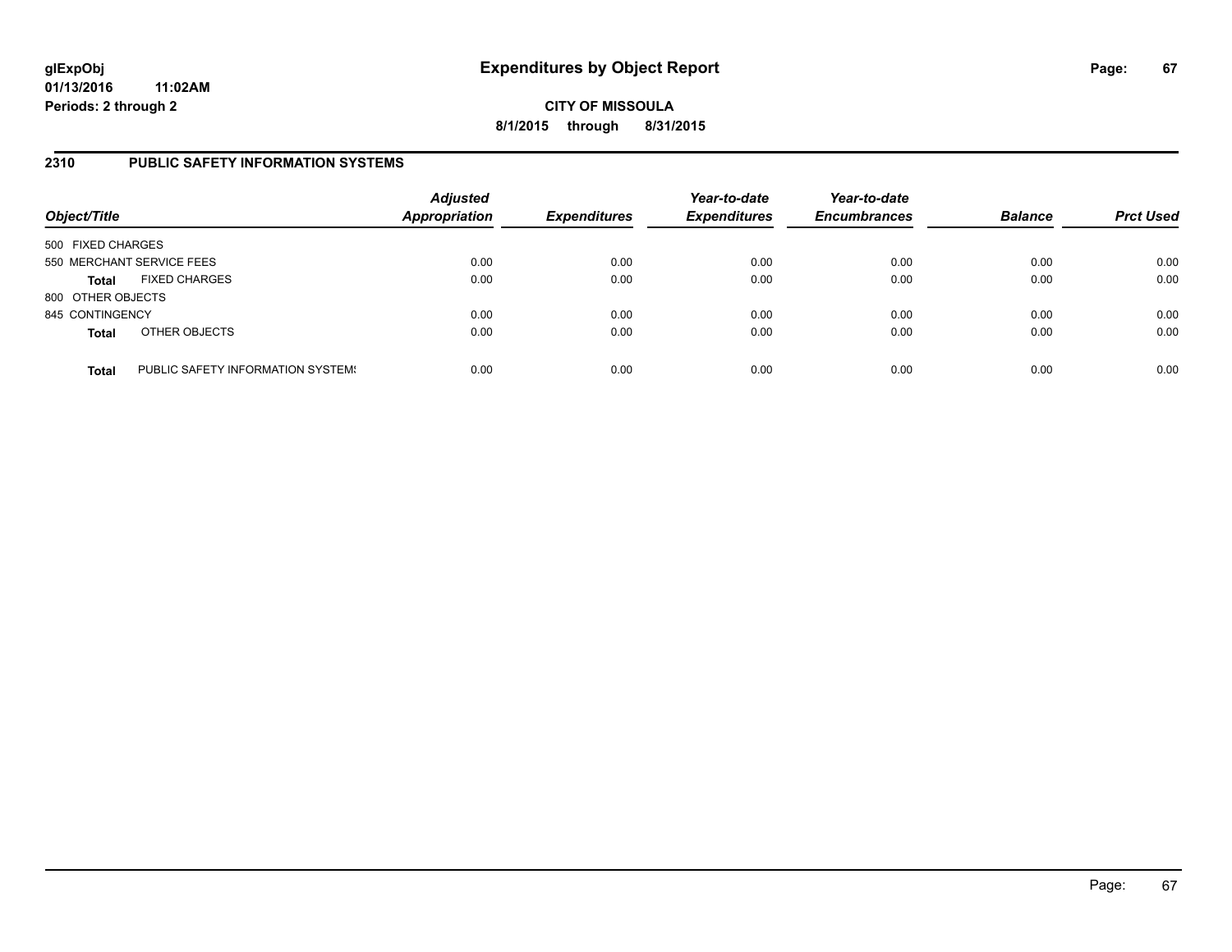**CITY OF MISSOULA 8/1/2015 through 8/31/2015**

### **2310 PUBLIC SAFETY INFORMATION SYSTEMS**

| Object/Title      |                                   | <b>Adjusted</b><br><b>Appropriation</b> | <b>Expenditures</b> | Year-to-date<br><b>Expenditures</b> | Year-to-date<br><b>Encumbrances</b> | <b>Balance</b> | <b>Prct Used</b> |
|-------------------|-----------------------------------|-----------------------------------------|---------------------|-------------------------------------|-------------------------------------|----------------|------------------|
| 500 FIXED CHARGES |                                   |                                         |                     |                                     |                                     |                |                  |
|                   | 550 MERCHANT SERVICE FEES         | 0.00                                    | 0.00                | 0.00                                | 0.00                                | 0.00           | 0.00             |
| <b>Total</b>      | <b>FIXED CHARGES</b>              | 0.00                                    | 0.00                | 0.00                                | 0.00                                | 0.00           | 0.00             |
| 800 OTHER OBJECTS |                                   |                                         |                     |                                     |                                     |                |                  |
| 845 CONTINGENCY   |                                   | 0.00                                    | 0.00                | 0.00                                | 0.00                                | 0.00           | 0.00             |
| <b>Total</b>      | OTHER OBJECTS                     | 0.00                                    | 0.00                | 0.00                                | 0.00                                | 0.00           | 0.00             |
| <b>Total</b>      | PUBLIC SAFETY INFORMATION SYSTEM! | 0.00                                    | 0.00                | 0.00                                | 0.00                                | 0.00           | 0.00             |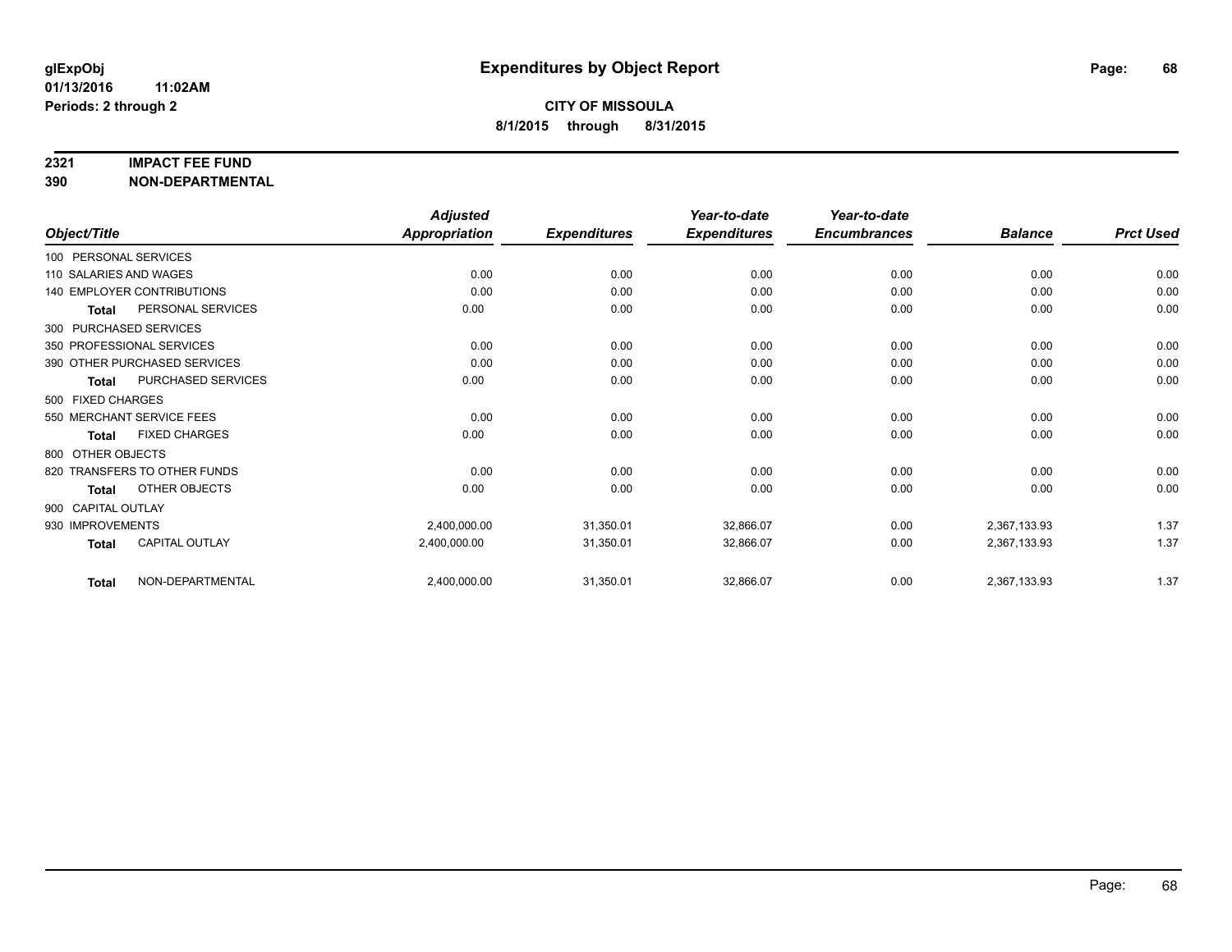#### **2321 IMPACT FEE FUND**

**390 NON-DEPARTMENTAL**

|                        |                              | <b>Adjusted</b>      |                     | Year-to-date        | Year-to-date        |                |                  |
|------------------------|------------------------------|----------------------|---------------------|---------------------|---------------------|----------------|------------------|
| Object/Title           |                              | <b>Appropriation</b> | <b>Expenditures</b> | <b>Expenditures</b> | <b>Encumbrances</b> | <b>Balance</b> | <b>Prct Used</b> |
| 100 PERSONAL SERVICES  |                              |                      |                     |                     |                     |                |                  |
| 110 SALARIES AND WAGES |                              | 0.00                 | 0.00                | 0.00                | 0.00                | 0.00           | 0.00             |
|                        | 140 EMPLOYER CONTRIBUTIONS   | 0.00                 | 0.00                | 0.00                | 0.00                | 0.00           | 0.00             |
| Total                  | PERSONAL SERVICES            | 0.00                 | 0.00                | 0.00                | 0.00                | 0.00           | 0.00             |
|                        | 300 PURCHASED SERVICES       |                      |                     |                     |                     |                |                  |
|                        | 350 PROFESSIONAL SERVICES    | 0.00                 | 0.00                | 0.00                | 0.00                | 0.00           | 0.00             |
|                        | 390 OTHER PURCHASED SERVICES | 0.00                 | 0.00                | 0.00                | 0.00                | 0.00           | 0.00             |
| <b>Total</b>           | PURCHASED SERVICES           | 0.00                 | 0.00                | 0.00                | 0.00                | 0.00           | 0.00             |
| 500 FIXED CHARGES      |                              |                      |                     |                     |                     |                |                  |
|                        | 550 MERCHANT SERVICE FEES    | 0.00                 | 0.00                | 0.00                | 0.00                | 0.00           | 0.00             |
| <b>Total</b>           | <b>FIXED CHARGES</b>         | 0.00                 | 0.00                | 0.00                | 0.00                | 0.00           | 0.00             |
| 800 OTHER OBJECTS      |                              |                      |                     |                     |                     |                |                  |
|                        | 820 TRANSFERS TO OTHER FUNDS | 0.00                 | 0.00                | 0.00                | 0.00                | 0.00           | 0.00             |
| <b>Total</b>           | OTHER OBJECTS                | 0.00                 | 0.00                | 0.00                | 0.00                | 0.00           | 0.00             |
| 900 CAPITAL OUTLAY     |                              |                      |                     |                     |                     |                |                  |
| 930 IMPROVEMENTS       |                              | 2,400,000.00         | 31,350.01           | 32,866.07           | 0.00                | 2,367,133.93   | 1.37             |
| <b>Total</b>           | <b>CAPITAL OUTLAY</b>        | 2,400,000.00         | 31,350.01           | 32,866.07           | 0.00                | 2,367,133.93   | 1.37             |
| <b>Total</b>           | NON-DEPARTMENTAL             | 2,400,000.00         | 31,350.01           | 32,866.07           | 0.00                | 2,367,133.93   | 1.37             |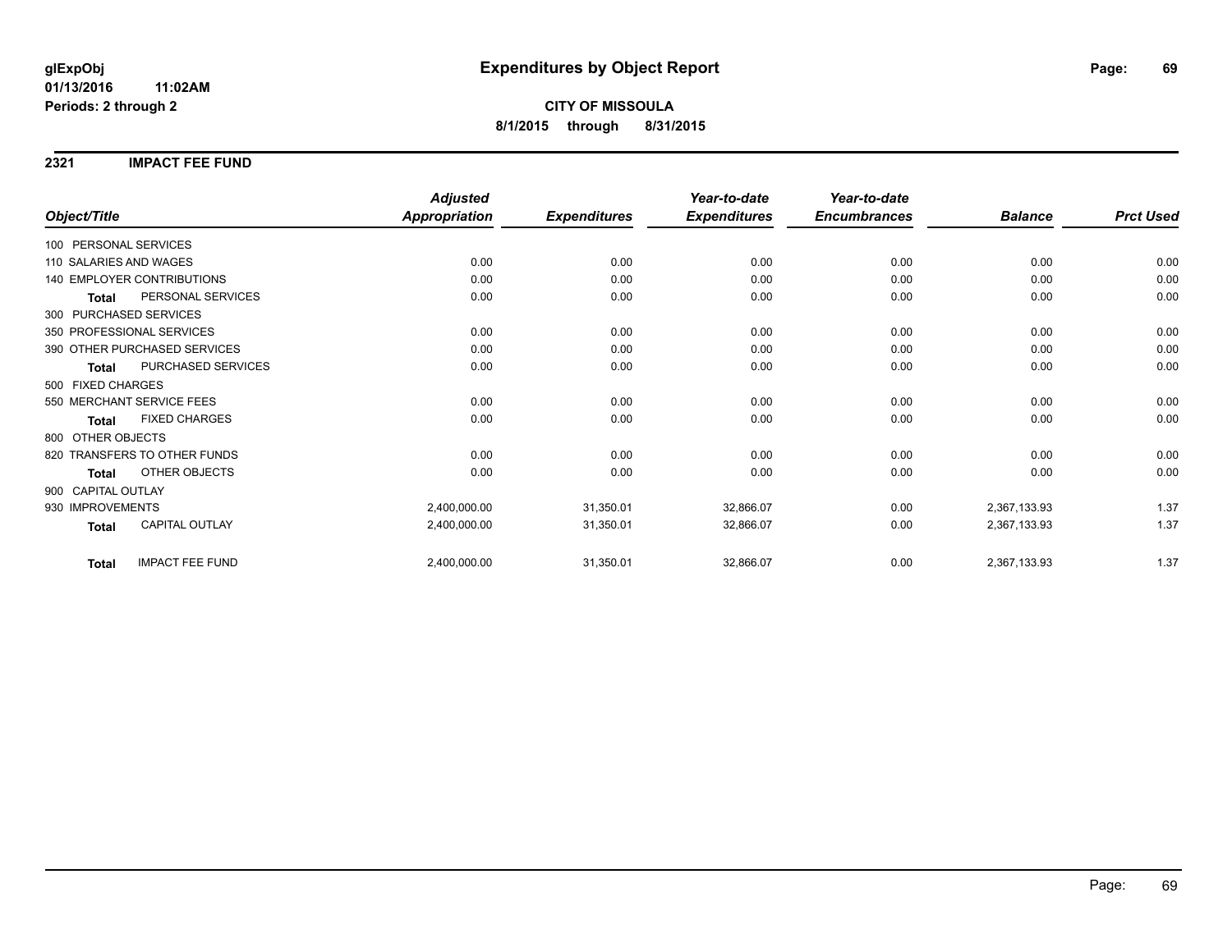**2321 IMPACT FEE FUND**

|                                        | <b>Adjusted</b>      |                     | Year-to-date        | Year-to-date        |                |                  |
|----------------------------------------|----------------------|---------------------|---------------------|---------------------|----------------|------------------|
| Object/Title                           | <b>Appropriation</b> | <b>Expenditures</b> | <b>Expenditures</b> | <b>Encumbrances</b> | <b>Balance</b> | <b>Prct Used</b> |
| 100 PERSONAL SERVICES                  |                      |                     |                     |                     |                |                  |
| 110 SALARIES AND WAGES                 | 0.00                 | 0.00                | 0.00                | 0.00                | 0.00           | 0.00             |
| 140 EMPLOYER CONTRIBUTIONS             | 0.00                 | 0.00                | 0.00                | 0.00                | 0.00           | 0.00             |
| PERSONAL SERVICES<br><b>Total</b>      | 0.00                 | 0.00                | 0.00                | 0.00                | 0.00           | 0.00             |
| 300 PURCHASED SERVICES                 |                      |                     |                     |                     |                |                  |
| 350 PROFESSIONAL SERVICES              | 0.00                 | 0.00                | 0.00                | 0.00                | 0.00           | 0.00             |
| 390 OTHER PURCHASED SERVICES           | 0.00                 | 0.00                | 0.00                | 0.00                | 0.00           | 0.00             |
| PURCHASED SERVICES<br><b>Total</b>     | 0.00                 | 0.00                | 0.00                | 0.00                | 0.00           | 0.00             |
| 500 FIXED CHARGES                      |                      |                     |                     |                     |                |                  |
| 550 MERCHANT SERVICE FEES              | 0.00                 | 0.00                | 0.00                | 0.00                | 0.00           | 0.00             |
| <b>FIXED CHARGES</b><br>Total          | 0.00                 | 0.00                | 0.00                | 0.00                | 0.00           | 0.00             |
| 800 OTHER OBJECTS                      |                      |                     |                     |                     |                |                  |
| 820 TRANSFERS TO OTHER FUNDS           | 0.00                 | 0.00                | 0.00                | 0.00                | 0.00           | 0.00             |
| <b>OTHER OBJECTS</b><br><b>Total</b>   | 0.00                 | 0.00                | 0.00                | 0.00                | 0.00           | 0.00             |
| 900 CAPITAL OUTLAY                     |                      |                     |                     |                     |                |                  |
| 930 IMPROVEMENTS                       | 2,400,000.00         | 31,350.01           | 32,866.07           | 0.00                | 2,367,133.93   | 1.37             |
| <b>CAPITAL OUTLAY</b><br><b>Total</b>  | 2,400,000.00         | 31,350.01           | 32,866.07           | 0.00                | 2,367,133.93   | 1.37             |
| <b>IMPACT FEE FUND</b><br><b>Total</b> | 2,400,000.00         | 31,350.01           | 32,866.07           | 0.00                | 2,367,133.93   | 1.37             |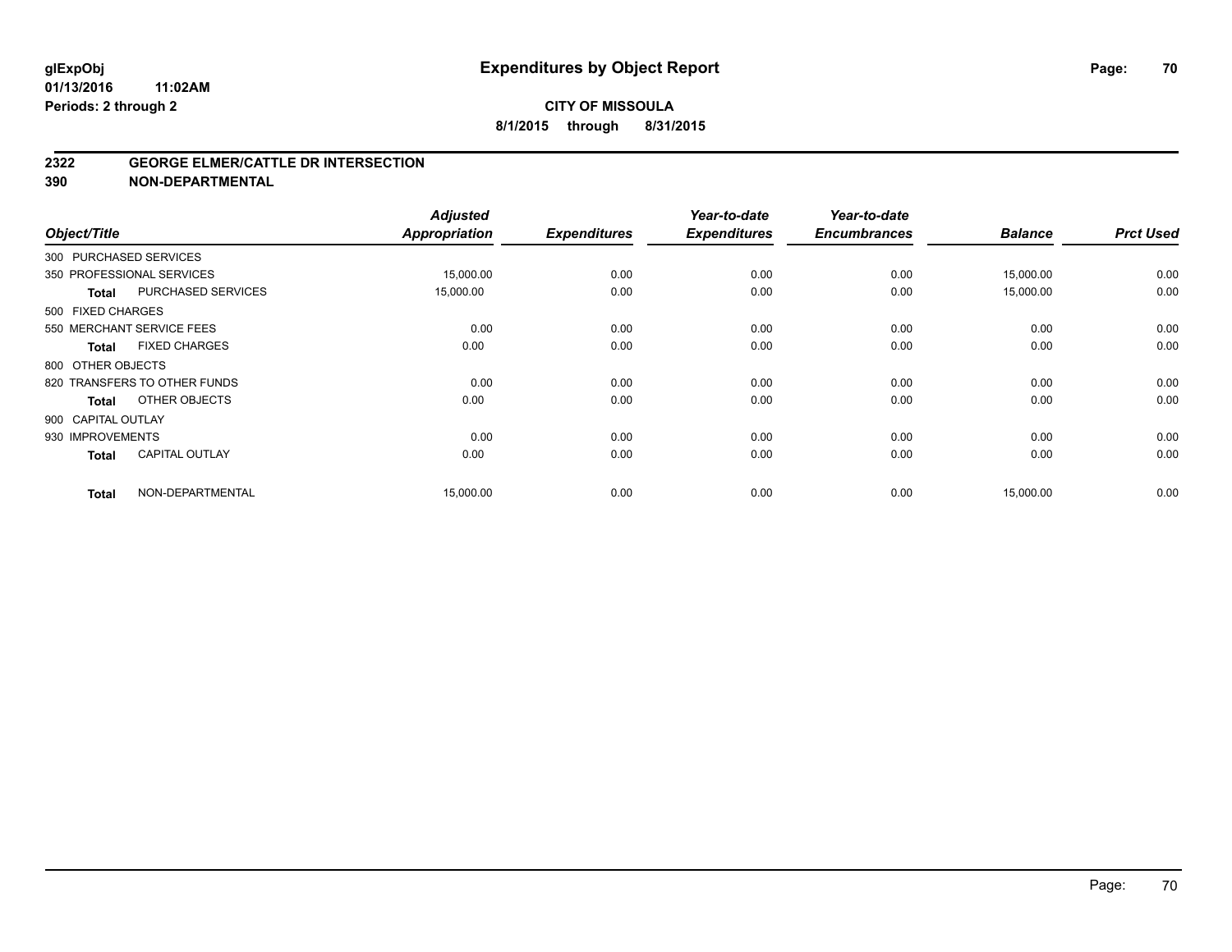### **CITY OF MISSOULA 8/1/2015 through 8/31/2015**

#### **2322 GEORGE ELMER/CATTLE DR INTERSECTION**

**390 NON-DEPARTMENTAL**

| Object/Title       |                              | <b>Adjusted</b><br><b>Appropriation</b> | <b>Expenditures</b> | Year-to-date<br><b>Expenditures</b> | Year-to-date<br><b>Encumbrances</b> | <b>Balance</b> | <b>Prct Used</b> |
|--------------------|------------------------------|-----------------------------------------|---------------------|-------------------------------------|-------------------------------------|----------------|------------------|
|                    | 300 PURCHASED SERVICES       |                                         |                     |                                     |                                     |                |                  |
|                    | 350 PROFESSIONAL SERVICES    | 15,000.00                               | 0.00                | 0.00                                | 0.00                                | 15,000.00      | 0.00             |
| <b>Total</b>       | PURCHASED SERVICES           | 15,000.00                               | 0.00                | 0.00                                | 0.00                                | 15,000.00      | 0.00             |
| 500 FIXED CHARGES  |                              |                                         |                     |                                     |                                     |                |                  |
|                    | 550 MERCHANT SERVICE FEES    | 0.00                                    | 0.00                | 0.00                                | 0.00                                | 0.00           | 0.00             |
| <b>Total</b>       | <b>FIXED CHARGES</b>         | 0.00                                    | 0.00                | 0.00                                | 0.00                                | 0.00           | 0.00             |
| 800 OTHER OBJECTS  |                              |                                         |                     |                                     |                                     |                |                  |
|                    | 820 TRANSFERS TO OTHER FUNDS | 0.00                                    | 0.00                | 0.00                                | 0.00                                | 0.00           | 0.00             |
| <b>Total</b>       | OTHER OBJECTS                | 0.00                                    | 0.00                | 0.00                                | 0.00                                | 0.00           | 0.00             |
| 900 CAPITAL OUTLAY |                              |                                         |                     |                                     |                                     |                |                  |
| 930 IMPROVEMENTS   |                              | 0.00                                    | 0.00                | 0.00                                | 0.00                                | 0.00           | 0.00             |
| <b>Total</b>       | <b>CAPITAL OUTLAY</b>        | 0.00                                    | 0.00                | 0.00                                | 0.00                                | 0.00           | 0.00             |
| <b>Total</b>       | NON-DEPARTMENTAL             | 15,000.00                               | 0.00                | 0.00                                | 0.00                                | 15,000.00      | 0.00             |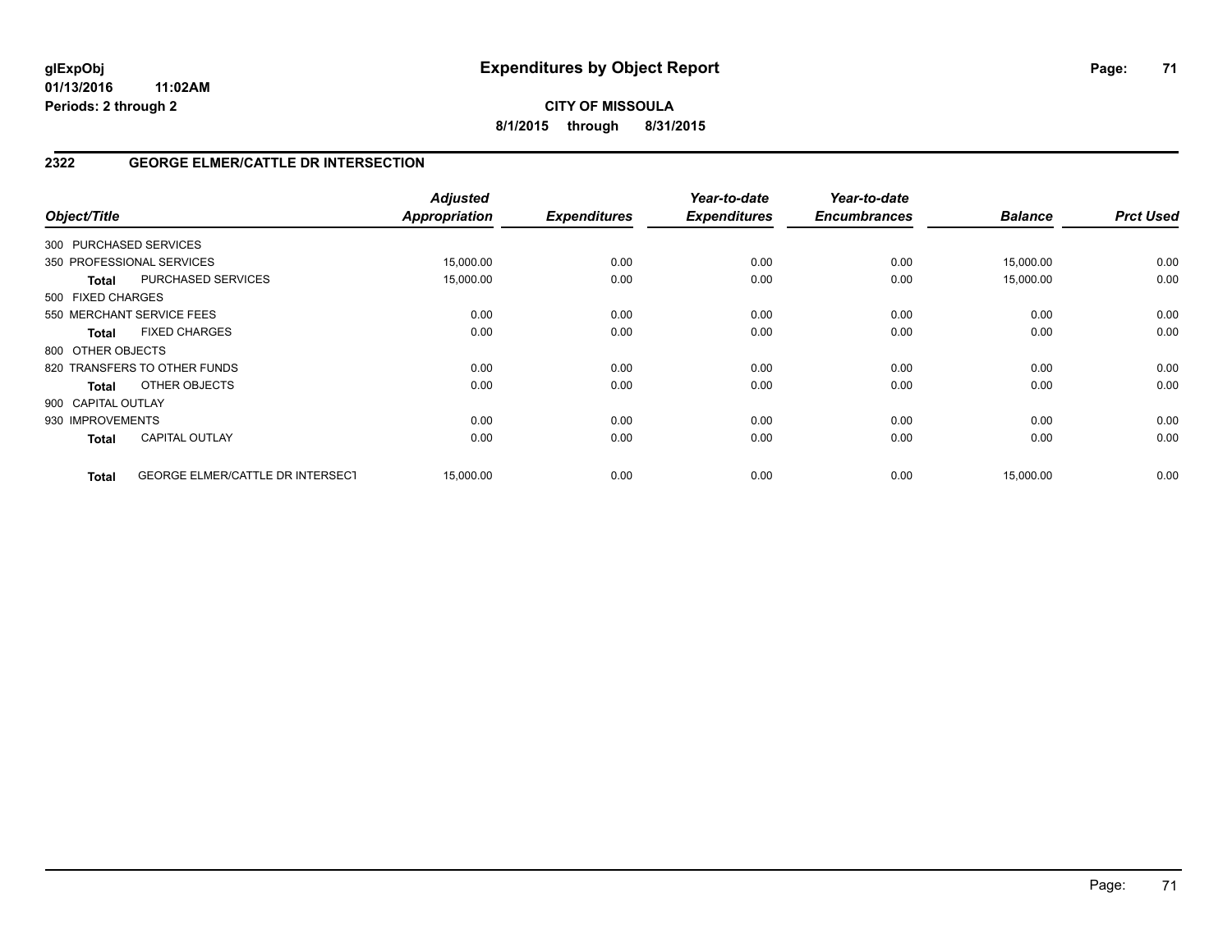**CITY OF MISSOULA 8/1/2015 through 8/31/2015**

## **2322 GEORGE ELMER/CATTLE DR INTERSECTION**

| Object/Title           |                                  | <b>Adjusted</b><br>Appropriation | <b>Expenditures</b> | Year-to-date<br><b>Expenditures</b> | Year-to-date<br><b>Encumbrances</b> | <b>Balance</b> | <b>Prct Used</b> |
|------------------------|----------------------------------|----------------------------------|---------------------|-------------------------------------|-------------------------------------|----------------|------------------|
| 300 PURCHASED SERVICES |                                  |                                  |                     |                                     |                                     |                |                  |
|                        | 350 PROFESSIONAL SERVICES        | 15,000.00                        | 0.00                | 0.00                                | 0.00                                | 15,000.00      | 0.00             |
| <b>Total</b>           | <b>PURCHASED SERVICES</b>        | 15,000.00                        | 0.00                | 0.00                                | 0.00                                | 15,000.00      | 0.00             |
| 500 FIXED CHARGES      |                                  |                                  |                     |                                     |                                     |                |                  |
|                        | 550 MERCHANT SERVICE FEES        | 0.00                             | 0.00                | 0.00                                | 0.00                                | 0.00           | 0.00             |
| <b>Total</b>           | <b>FIXED CHARGES</b>             | 0.00                             | 0.00                | 0.00                                | 0.00                                | 0.00           | 0.00             |
| 800 OTHER OBJECTS      |                                  |                                  |                     |                                     |                                     |                |                  |
|                        | 820 TRANSFERS TO OTHER FUNDS     | 0.00                             | 0.00                | 0.00                                | 0.00                                | 0.00           | 0.00             |
| <b>Total</b>           | OTHER OBJECTS                    | 0.00                             | 0.00                | 0.00                                | 0.00                                | 0.00           | 0.00             |
| 900 CAPITAL OUTLAY     |                                  |                                  |                     |                                     |                                     |                |                  |
| 930 IMPROVEMENTS       |                                  | 0.00                             | 0.00                | 0.00                                | 0.00                                | 0.00           | 0.00             |
| <b>Total</b>           | <b>CAPITAL OUTLAY</b>            | 0.00                             | 0.00                | 0.00                                | 0.00                                | 0.00           | 0.00             |
| <b>Total</b>           | GEORGE ELMER/CATTLE DR INTERSECT | 15,000.00                        | 0.00                | 0.00                                | 0.00                                | 15,000.00      | 0.00             |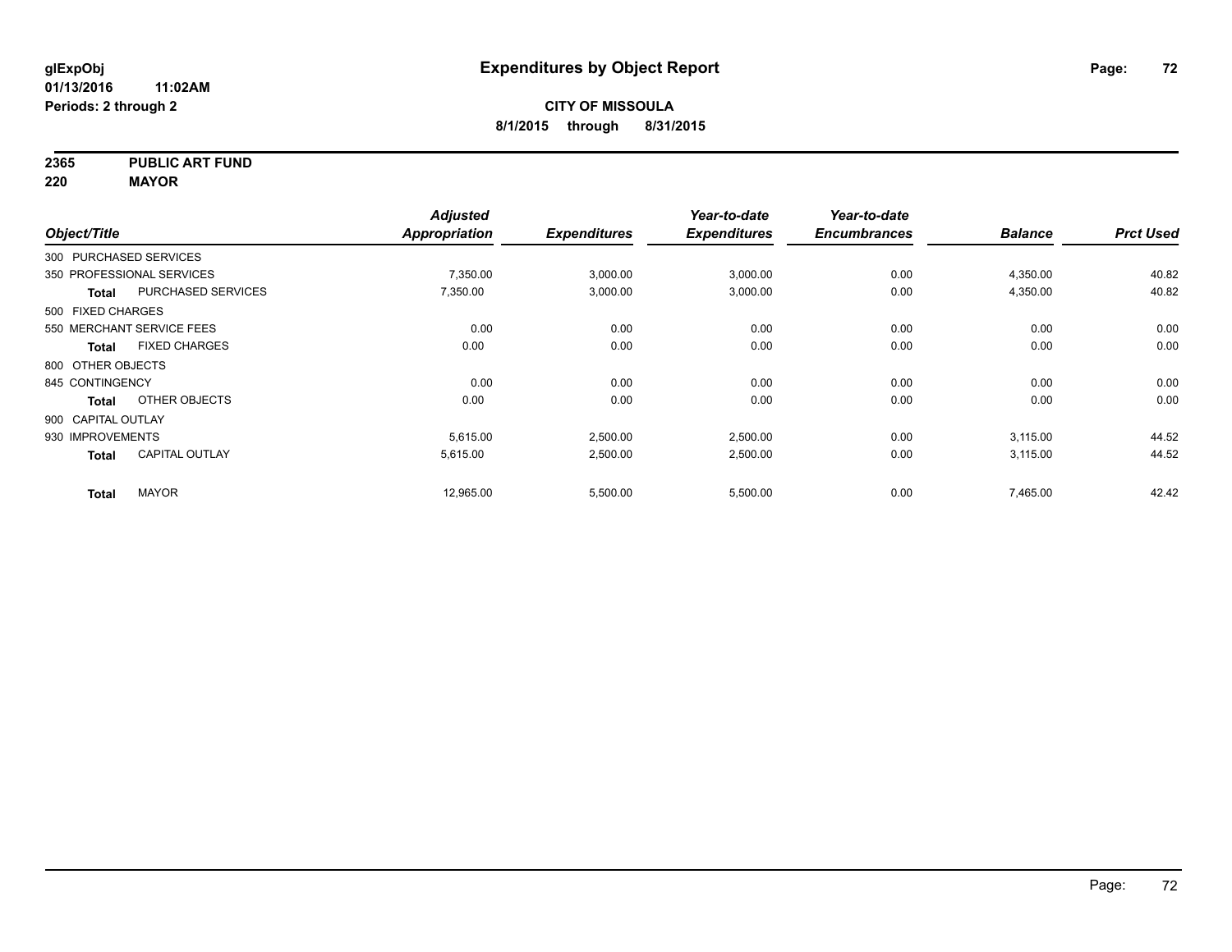**2365 PUBLIC ART FUND**

**220 MAYOR**

|                        |                           | <b>Adjusted</b> |                     | Year-to-date        | Year-to-date        |                |                  |
|------------------------|---------------------------|-----------------|---------------------|---------------------|---------------------|----------------|------------------|
| Object/Title           |                           | Appropriation   | <b>Expenditures</b> | <b>Expenditures</b> | <b>Encumbrances</b> | <b>Balance</b> | <b>Prct Used</b> |
| 300 PURCHASED SERVICES |                           |                 |                     |                     |                     |                |                  |
|                        | 350 PROFESSIONAL SERVICES | 7,350.00        | 3,000.00            | 3,000.00            | 0.00                | 4,350.00       | 40.82            |
| <b>Total</b>           | <b>PURCHASED SERVICES</b> | 7,350.00        | 3,000.00            | 3,000.00            | 0.00                | 4,350.00       | 40.82            |
| 500 FIXED CHARGES      |                           |                 |                     |                     |                     |                |                  |
|                        | 550 MERCHANT SERVICE FEES | 0.00            | 0.00                | 0.00                | 0.00                | 0.00           | 0.00             |
| Total                  | <b>FIXED CHARGES</b>      | 0.00            | 0.00                | 0.00                | 0.00                | 0.00           | 0.00             |
| 800 OTHER OBJECTS      |                           |                 |                     |                     |                     |                |                  |
| 845 CONTINGENCY        |                           | 0.00            | 0.00                | 0.00                | 0.00                | 0.00           | 0.00             |
| <b>Total</b>           | OTHER OBJECTS             | 0.00            | 0.00                | 0.00                | 0.00                | 0.00           | 0.00             |
| 900 CAPITAL OUTLAY     |                           |                 |                     |                     |                     |                |                  |
| 930 IMPROVEMENTS       |                           | 5,615.00        | 2,500.00            | 2,500.00            | 0.00                | 3,115.00       | 44.52            |
| <b>Total</b>           | <b>CAPITAL OUTLAY</b>     | 5,615.00        | 2,500.00            | 2,500.00            | 0.00                | 3,115.00       | 44.52            |
| <b>Total</b>           | <b>MAYOR</b>              | 12,965.00       | 5,500.00            | 5,500.00            | 0.00                | 7,465.00       | 42.42            |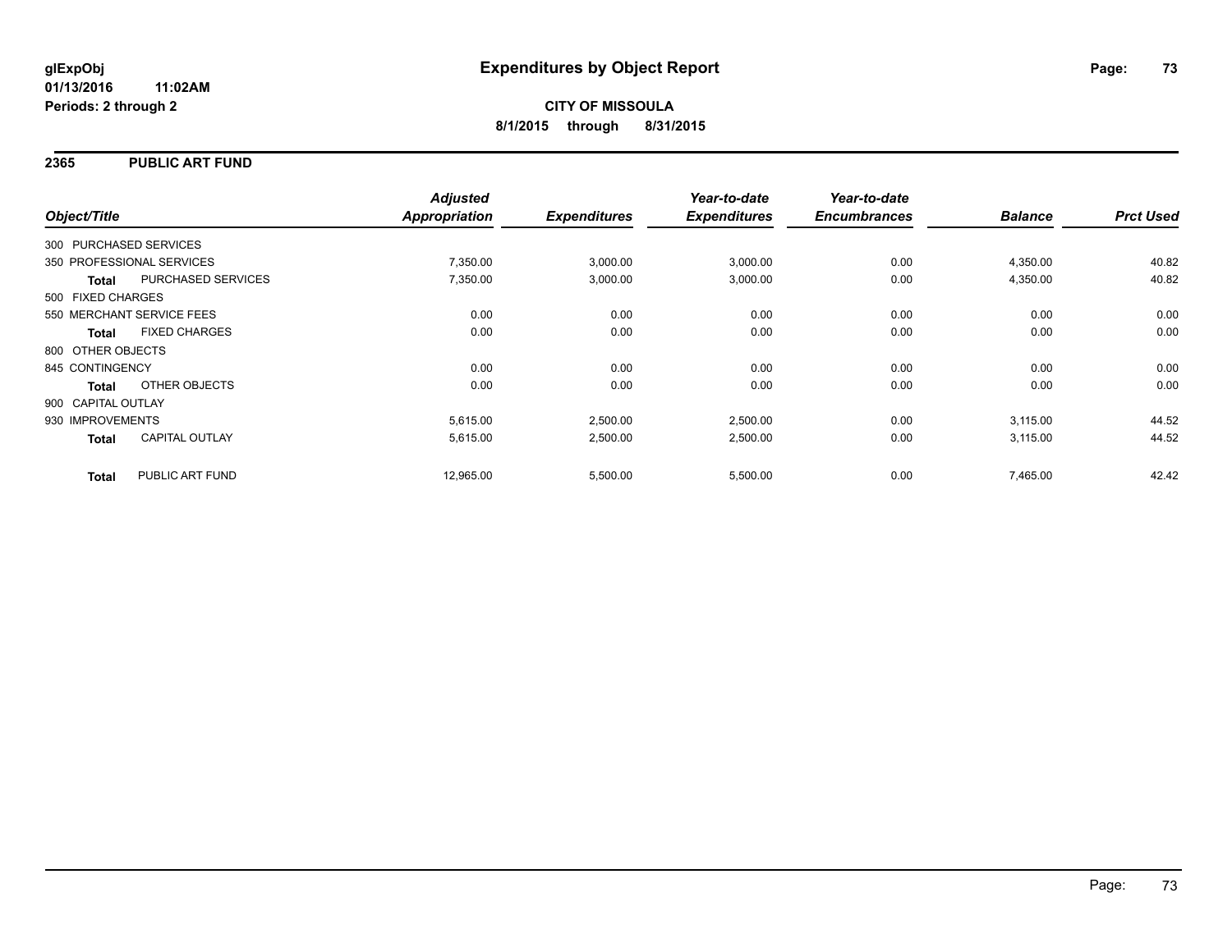### **2365 PUBLIC ART FUND**

| Object/Title              |                       | <b>Adjusted</b><br>Appropriation | <b>Expenditures</b> | Year-to-date<br><b>Expenditures</b> | Year-to-date<br><b>Encumbrances</b> | <b>Balance</b> | <b>Prct Used</b> |
|---------------------------|-----------------------|----------------------------------|---------------------|-------------------------------------|-------------------------------------|----------------|------------------|
|                           |                       |                                  |                     |                                     |                                     |                |                  |
| 300 PURCHASED SERVICES    |                       |                                  |                     |                                     |                                     |                |                  |
| 350 PROFESSIONAL SERVICES |                       | 7,350.00                         | 3,000.00            | 3,000.00                            | 0.00                                | 4,350.00       | 40.82            |
| <b>Total</b>              | PURCHASED SERVICES    | 7,350.00                         | 3,000.00            | 3,000.00                            | 0.00                                | 4,350.00       | 40.82            |
| 500 FIXED CHARGES         |                       |                                  |                     |                                     |                                     |                |                  |
| 550 MERCHANT SERVICE FEES |                       | 0.00                             | 0.00                | 0.00                                | 0.00                                | 0.00           | 0.00             |
| <b>Total</b>              | <b>FIXED CHARGES</b>  | 0.00                             | 0.00                | 0.00                                | 0.00                                | 0.00           | 0.00             |
| 800 OTHER OBJECTS         |                       |                                  |                     |                                     |                                     |                |                  |
| 845 CONTINGENCY           |                       | 0.00                             | 0.00                | 0.00                                | 0.00                                | 0.00           | 0.00             |
| Total                     | OTHER OBJECTS         | 0.00                             | 0.00                | 0.00                                | 0.00                                | 0.00           | 0.00             |
| 900 CAPITAL OUTLAY        |                       |                                  |                     |                                     |                                     |                |                  |
| 930 IMPROVEMENTS          |                       | 5,615.00                         | 2,500.00            | 2,500.00                            | 0.00                                | 3,115.00       | 44.52            |
| <b>Total</b>              | <b>CAPITAL OUTLAY</b> | 5,615.00                         | 2,500.00            | 2,500.00                            | 0.00                                | 3,115.00       | 44.52            |
| <b>Total</b>              | PUBLIC ART FUND       | 12,965.00                        | 5,500.00            | 5,500.00                            | 0.00                                | 7,465.00       | 42.42            |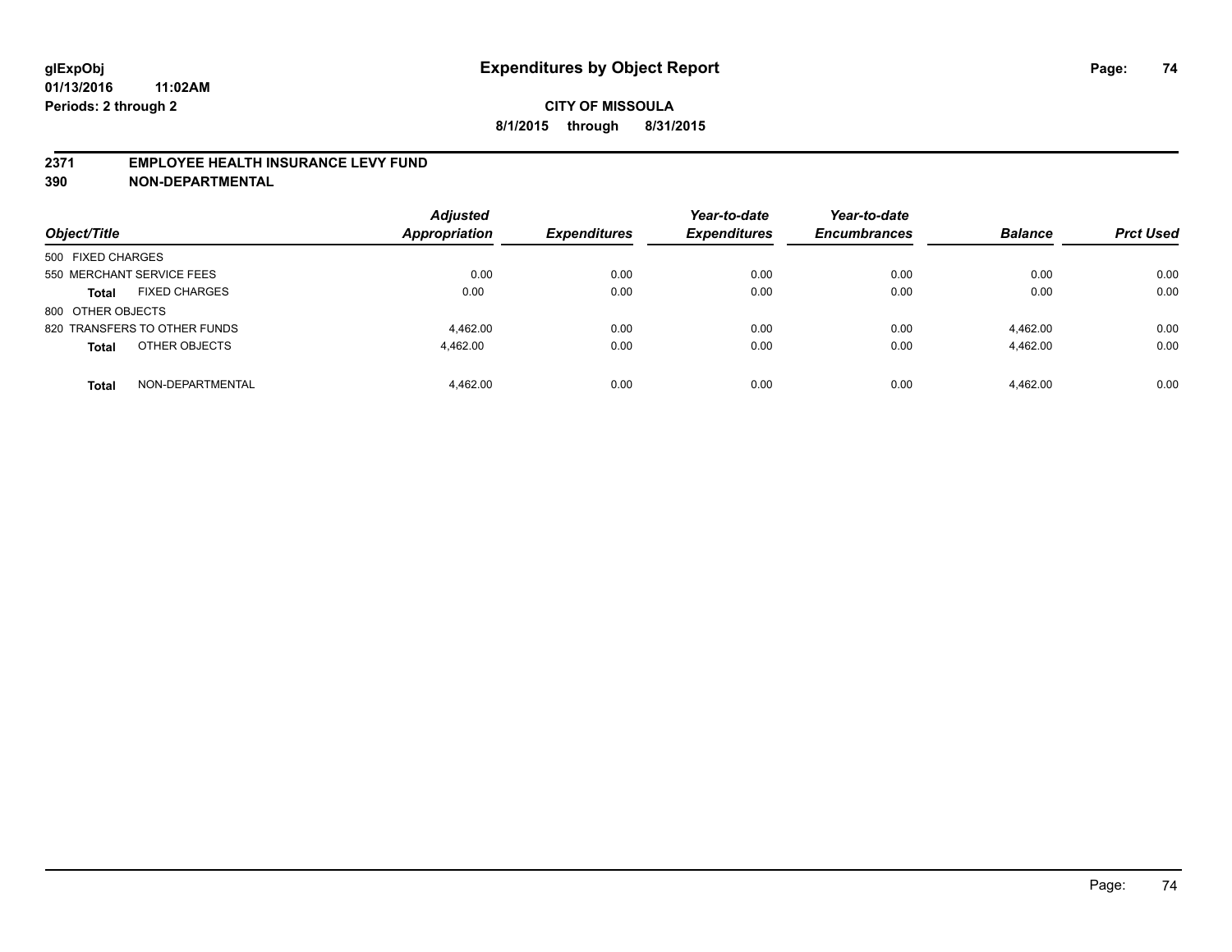#### **2371 EMPLOYEE HEALTH INSURANCE LEVY FUND**

**390 NON-DEPARTMENTAL**

| Object/Title                         | <b>Adjusted</b><br><b>Appropriation</b> | <b>Expenditures</b> | Year-to-date<br><b>Expenditures</b> | Year-to-date<br><b>Encumbrances</b> | <b>Balance</b> | <b>Prct Used</b> |
|--------------------------------------|-----------------------------------------|---------------------|-------------------------------------|-------------------------------------|----------------|------------------|
| 500 FIXED CHARGES                    |                                         |                     |                                     |                                     |                |                  |
| 550 MERCHANT SERVICE FEES            | 0.00                                    | 0.00                | 0.00                                | 0.00                                | 0.00           | 0.00             |
| <b>FIXED CHARGES</b><br><b>Total</b> | 0.00                                    | 0.00                | 0.00                                | 0.00                                | 0.00           | 0.00             |
| 800 OTHER OBJECTS                    |                                         |                     |                                     |                                     |                |                  |
| 820 TRANSFERS TO OTHER FUNDS         | 4.462.00                                | 0.00                | 0.00                                | 0.00                                | 4.462.00       | 0.00             |
| OTHER OBJECTS<br><b>Total</b>        | 4.462.00                                | 0.00                | 0.00                                | 0.00                                | 4.462.00       | 0.00             |
| NON-DEPARTMENTAL<br><b>Total</b>     | 4.462.00                                | 0.00                | 0.00                                | 0.00                                | 4.462.00       | 0.00             |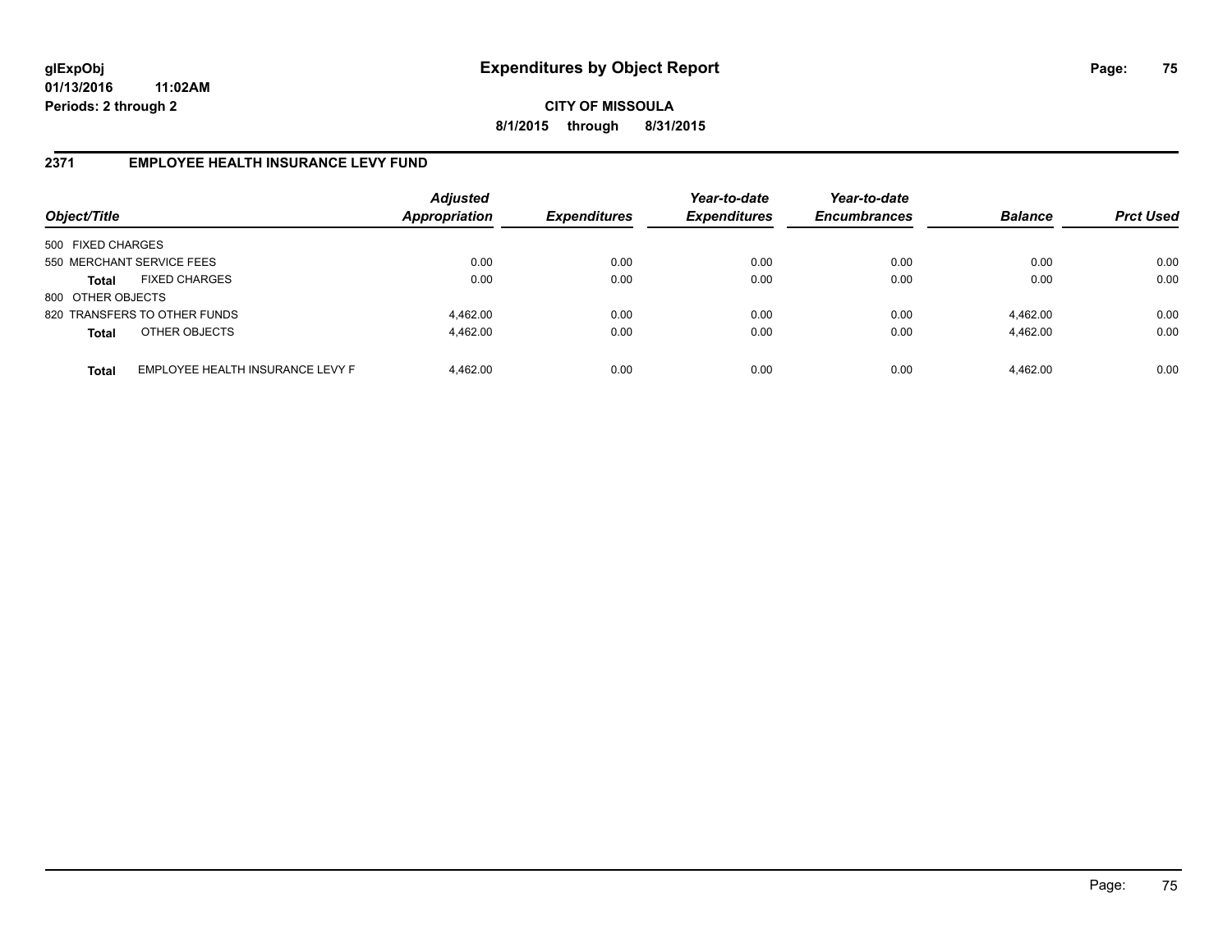**CITY OF MISSOULA 8/1/2015 through 8/31/2015**

## **2371 EMPLOYEE HEALTH INSURANCE LEVY FUND**

| Object/Title                                     | <b>Adjusted</b><br><b>Appropriation</b> | <b>Expenditures</b> | Year-to-date<br><b>Expenditures</b> | Year-to-date<br><b>Encumbrances</b> | <b>Balance</b> | <b>Prct Used</b> |
|--------------------------------------------------|-----------------------------------------|---------------------|-------------------------------------|-------------------------------------|----------------|------------------|
| 500 FIXED CHARGES                                |                                         |                     |                                     |                                     |                |                  |
| 550 MERCHANT SERVICE FEES                        | 0.00                                    | 0.00                | 0.00                                | 0.00                                | 0.00           | 0.00             |
| <b>FIXED CHARGES</b><br><b>Total</b>             | 0.00                                    | 0.00                | 0.00                                | 0.00                                | 0.00           | 0.00             |
| 800 OTHER OBJECTS                                |                                         |                     |                                     |                                     |                |                  |
| 820 TRANSFERS TO OTHER FUNDS                     | 4.462.00                                | 0.00                | 0.00                                | 0.00                                | 4.462.00       | 0.00             |
| OTHER OBJECTS<br><b>Total</b>                    | 4.462.00                                | 0.00                | 0.00                                | 0.00                                | 4,462.00       | 0.00             |
| EMPLOYEE HEALTH INSURANCE LEVY F<br><b>Total</b> | 4.462.00                                | 0.00                | 0.00                                | 0.00                                | 4,462.00       | 0.00             |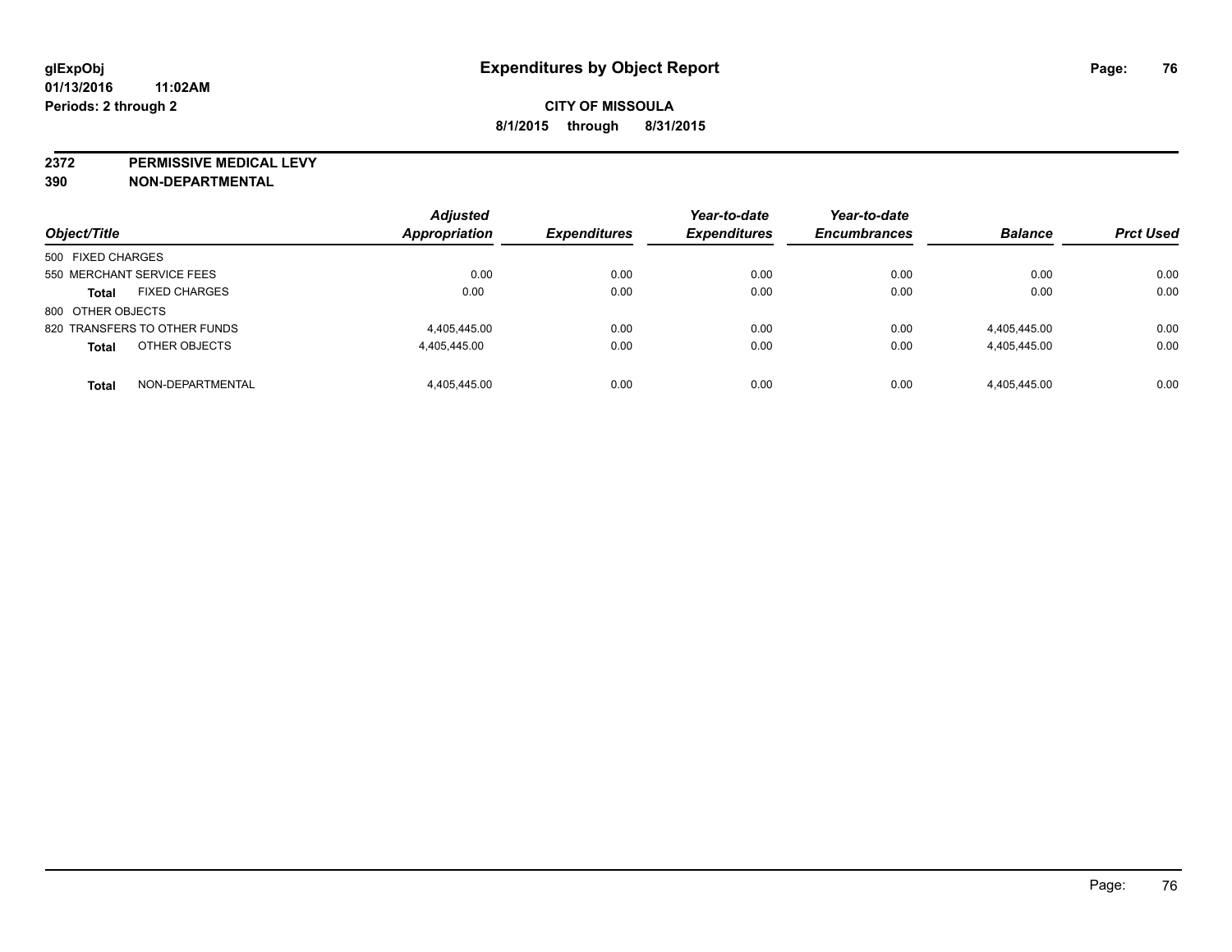**2372 PERMISSIVE MEDICAL LEVY**

**390 NON-DEPARTMENTAL**

| Object/Title                 |                      | <b>Adjusted</b><br><b>Appropriation</b> | <b>Expenditures</b> | Year-to-date<br><b>Expenditures</b> | Year-to-date<br><b>Encumbrances</b> | <b>Balance</b> | <b>Prct Used</b> |
|------------------------------|----------------------|-----------------------------------------|---------------------|-------------------------------------|-------------------------------------|----------------|------------------|
| 500 FIXED CHARGES            |                      |                                         |                     |                                     |                                     |                |                  |
| 550 MERCHANT SERVICE FEES    |                      | 0.00                                    | 0.00                | 0.00                                | 0.00                                | 0.00           | 0.00             |
| <b>Total</b>                 | <b>FIXED CHARGES</b> | 0.00                                    | 0.00                | 0.00                                | 0.00                                | 0.00           | 0.00             |
| 800 OTHER OBJECTS            |                      |                                         |                     |                                     |                                     |                |                  |
| 820 TRANSFERS TO OTHER FUNDS |                      | 4.405.445.00                            | 0.00                | 0.00                                | 0.00                                | 4,405,445.00   | 0.00             |
| <b>Total</b>                 | OTHER OBJECTS        | 4.405.445.00                            | 0.00                | 0.00                                | 0.00                                | 4,405,445.00   | 0.00             |
| <b>Total</b>                 | NON-DEPARTMENTAL     | 4.405.445.00                            | 0.00                | 0.00                                | 0.00                                | 4,405,445.00   | 0.00             |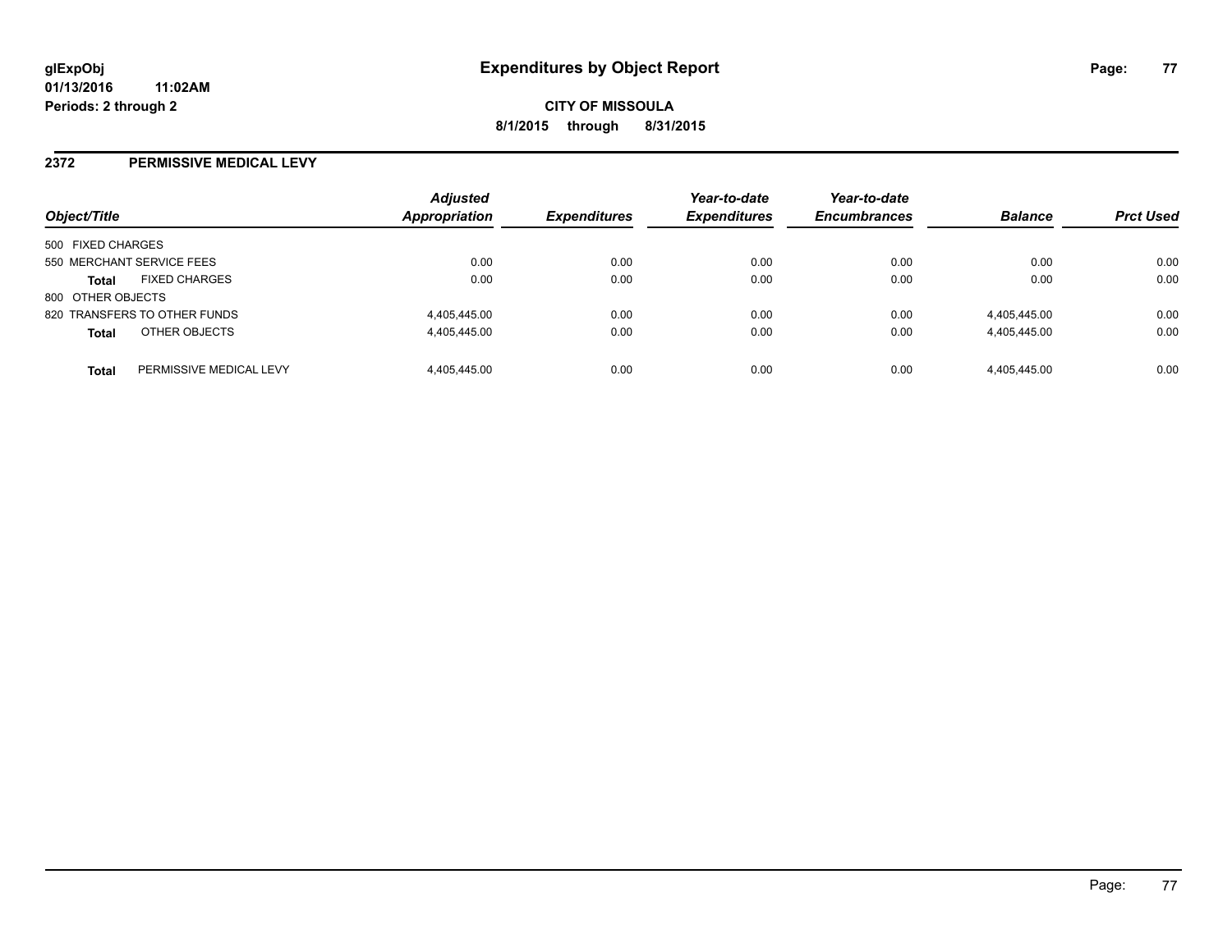#### **2372 PERMISSIVE MEDICAL LEVY**

| Object/Title              |                              | <b>Adjusted</b><br><b>Appropriation</b> | <b>Expenditures</b> | Year-to-date<br><b>Expenditures</b> | Year-to-date<br><b>Encumbrances</b> | <b>Balance</b> | <b>Prct Used</b> |
|---------------------------|------------------------------|-----------------------------------------|---------------------|-------------------------------------|-------------------------------------|----------------|------------------|
| 500 FIXED CHARGES         |                              |                                         |                     |                                     |                                     |                |                  |
| 550 MERCHANT SERVICE FEES |                              | 0.00                                    | 0.00                | 0.00                                | 0.00                                | 0.00           | 0.00             |
| <b>Total</b>              | <b>FIXED CHARGES</b>         | 0.00                                    | 0.00                | 0.00                                | 0.00                                | 0.00           | 0.00             |
| 800 OTHER OBJECTS         |                              |                                         |                     |                                     |                                     |                |                  |
|                           | 820 TRANSFERS TO OTHER FUNDS | 4,405,445.00                            | 0.00                | 0.00                                | 0.00                                | 4,405,445.00   | 0.00             |
| <b>Total</b>              | OTHER OBJECTS                | 4,405,445.00                            | 0.00                | 0.00                                | 0.00                                | 4,405,445.00   | 0.00             |
| <b>Total</b>              | PERMISSIVE MEDICAL LEVY      | 4.405.445.00                            | 0.00                | 0.00                                | 0.00                                | 4.405.445.00   | 0.00             |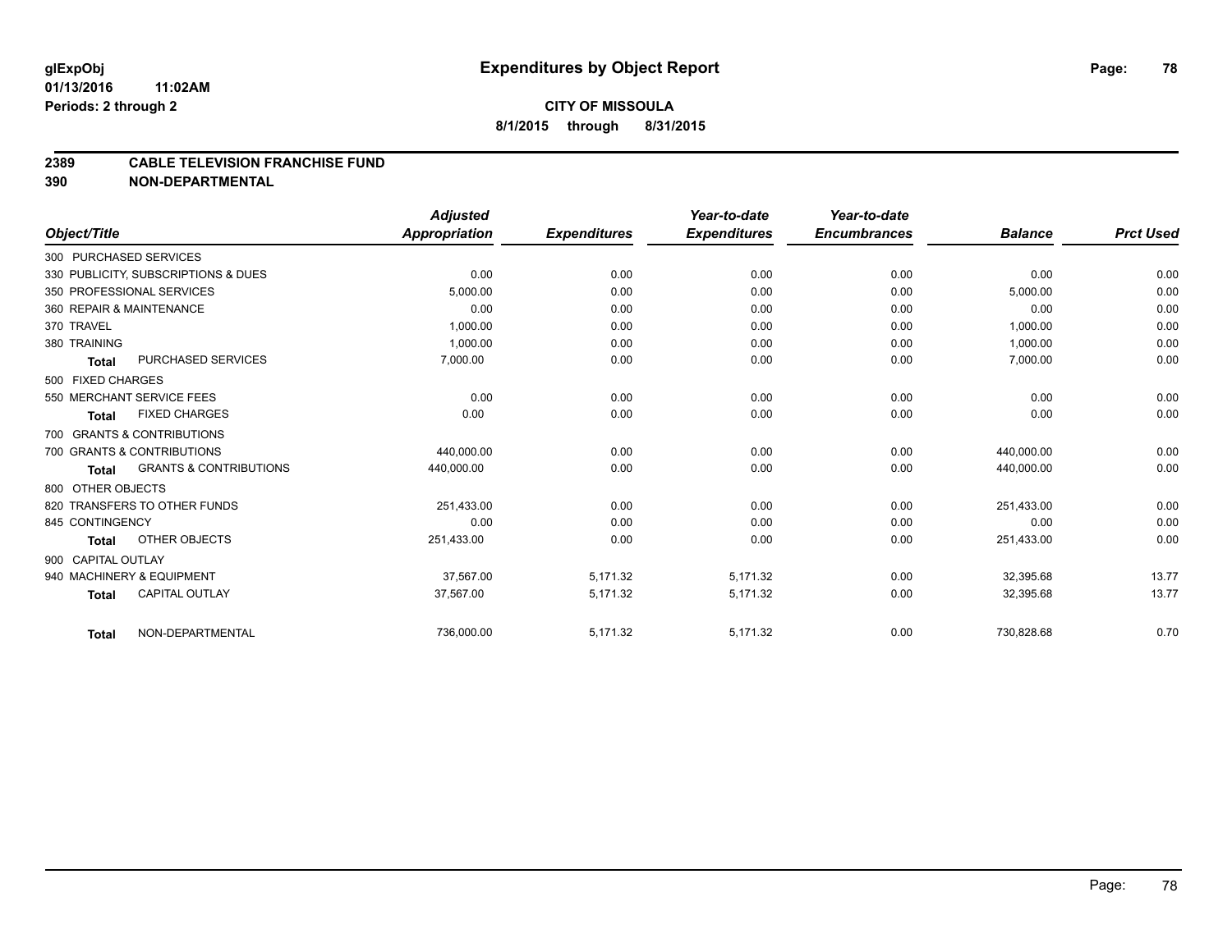#### **2389 CABLE TELEVISION FRANCHISE FUND**

**390 NON-DEPARTMENTAL**

|                        |                                     | <b>Adjusted</b> |                     | Year-to-date        | Year-to-date        |                |                  |
|------------------------|-------------------------------------|-----------------|---------------------|---------------------|---------------------|----------------|------------------|
| Object/Title           |                                     | Appropriation   | <b>Expenditures</b> | <b>Expenditures</b> | <b>Encumbrances</b> | <b>Balance</b> | <b>Prct Used</b> |
| 300 PURCHASED SERVICES |                                     |                 |                     |                     |                     |                |                  |
|                        | 330 PUBLICITY, SUBSCRIPTIONS & DUES | 0.00            | 0.00                | 0.00                | 0.00                | 0.00           | 0.00             |
|                        | 350 PROFESSIONAL SERVICES           | 5.000.00        | 0.00                | 0.00                | 0.00                | 5,000.00       | 0.00             |
|                        | 360 REPAIR & MAINTENANCE            | 0.00            | 0.00                | 0.00                | 0.00                | 0.00           | 0.00             |
| 370 TRAVEL             |                                     | 1,000.00        | 0.00                | 0.00                | 0.00                | 1,000.00       | 0.00             |
| 380 TRAINING           |                                     | 1.000.00        | 0.00                | 0.00                | 0.00                | 1,000.00       | 0.00             |
| <b>Total</b>           | PURCHASED SERVICES                  | 7,000.00        | 0.00                | 0.00                | 0.00                | 7,000.00       | 0.00             |
| 500 FIXED CHARGES      |                                     |                 |                     |                     |                     |                |                  |
|                        | 550 MERCHANT SERVICE FEES           | 0.00            | 0.00                | 0.00                | 0.00                | 0.00           | 0.00             |
| <b>Total</b>           | <b>FIXED CHARGES</b>                | 0.00            | 0.00                | 0.00                | 0.00                | 0.00           | 0.00             |
|                        | 700 GRANTS & CONTRIBUTIONS          |                 |                     |                     |                     |                |                  |
|                        | 700 GRANTS & CONTRIBUTIONS          | 440,000.00      | 0.00                | 0.00                | 0.00                | 440.000.00     | 0.00             |
| <b>Total</b>           | <b>GRANTS &amp; CONTRIBUTIONS</b>   | 440,000.00      | 0.00                | 0.00                | 0.00                | 440,000.00     | 0.00             |
| 800 OTHER OBJECTS      |                                     |                 |                     |                     |                     |                |                  |
|                        | 820 TRANSFERS TO OTHER FUNDS        | 251,433.00      | 0.00                | 0.00                | 0.00                | 251,433.00     | 0.00             |
| 845 CONTINGENCY        |                                     | 0.00            | 0.00                | 0.00                | 0.00                | 0.00           | 0.00             |
| <b>Total</b>           | <b>OTHER OBJECTS</b>                | 251,433.00      | 0.00                | 0.00                | 0.00                | 251,433.00     | 0.00             |
| 900 CAPITAL OUTLAY     |                                     |                 |                     |                     |                     |                |                  |
|                        | 940 MACHINERY & EQUIPMENT           | 37.567.00       | 5,171.32            | 5.171.32            | 0.00                | 32,395.68      | 13.77            |
| <b>Total</b>           | <b>CAPITAL OUTLAY</b>               | 37,567.00       | 5,171.32            | 5,171.32            | 0.00                | 32,395.68      | 13.77            |
| <b>Total</b>           | NON-DEPARTMENTAL                    | 736,000.00      | 5,171.32            | 5,171.32            | 0.00                | 730,828.68     | 0.70             |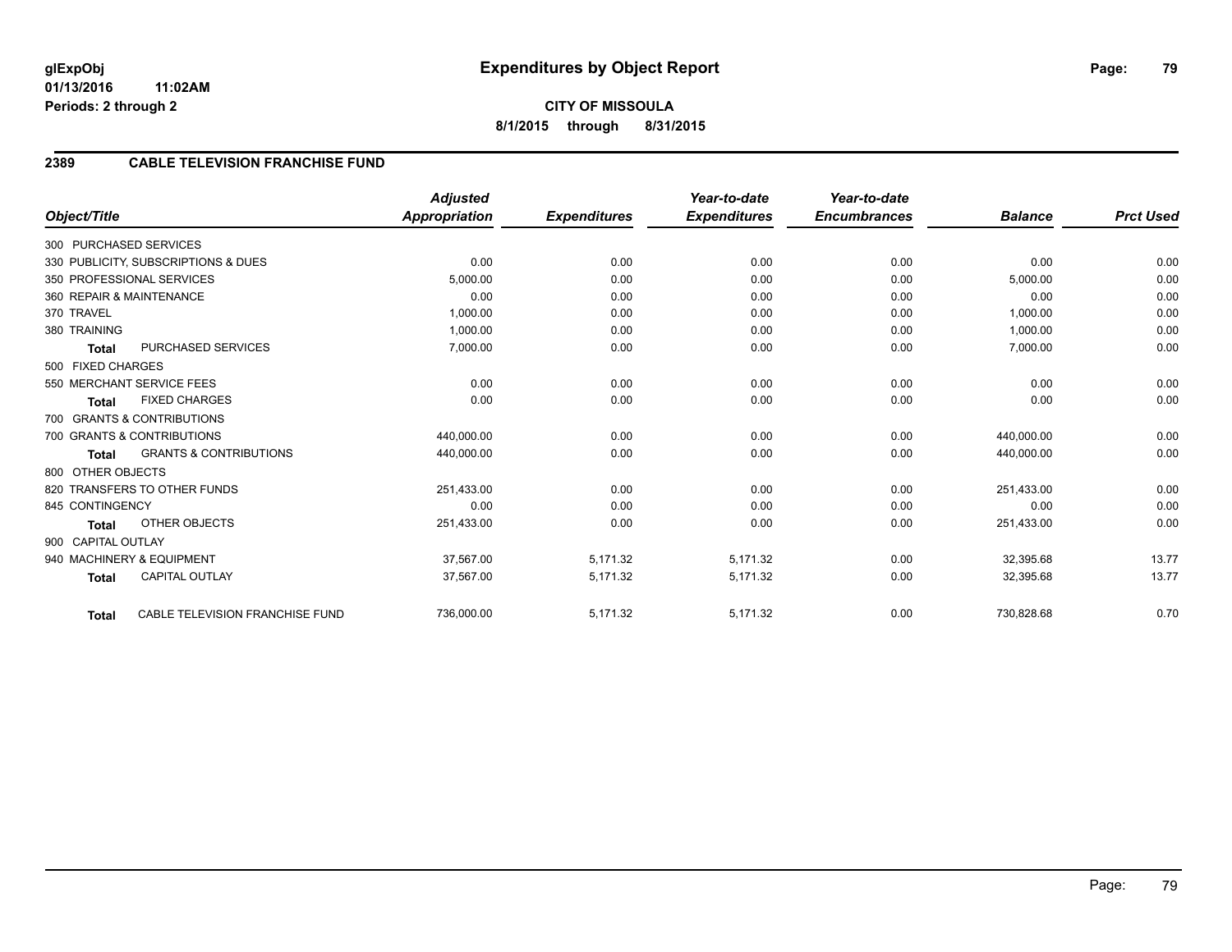## **2389 CABLE TELEVISION FRANCHISE FUND**

|                          |                                     | <b>Adjusted</b>      |                     | Year-to-date        | Year-to-date<br><b>Encumbrances</b> | <b>Balance</b> | <b>Prct Used</b> |
|--------------------------|-------------------------------------|----------------------|---------------------|---------------------|-------------------------------------|----------------|------------------|
| Object/Title             |                                     | <b>Appropriation</b> | <b>Expenditures</b> | <b>Expenditures</b> |                                     |                |                  |
| 300 PURCHASED SERVICES   |                                     |                      |                     |                     |                                     |                |                  |
|                          | 330 PUBLICITY, SUBSCRIPTIONS & DUES | 0.00                 | 0.00                | 0.00                | 0.00                                | 0.00           | 0.00             |
|                          | 350 PROFESSIONAL SERVICES           | 5.000.00             | 0.00                | 0.00                | 0.00                                | 5,000.00       | 0.00             |
| 360 REPAIR & MAINTENANCE |                                     | 0.00                 | 0.00                | 0.00                | 0.00                                | 0.00           | 0.00             |
| 370 TRAVEL               |                                     | 1,000.00             | 0.00                | 0.00                | 0.00                                | 1,000.00       | 0.00             |
| 380 TRAINING             |                                     | 1,000.00             | 0.00                | 0.00                | 0.00                                | 1,000.00       | 0.00             |
| <b>Total</b>             | PURCHASED SERVICES                  | 7,000.00             | 0.00                | 0.00                | 0.00                                | 7,000.00       | 0.00             |
| 500 FIXED CHARGES        |                                     |                      |                     |                     |                                     |                |                  |
|                          | 550 MERCHANT SERVICE FEES           | 0.00                 | 0.00                | 0.00                | 0.00                                | 0.00           | 0.00             |
| <b>Total</b>             | <b>FIXED CHARGES</b>                | 0.00                 | 0.00                | 0.00                | 0.00                                | 0.00           | 0.00             |
|                          | 700 GRANTS & CONTRIBUTIONS          |                      |                     |                     |                                     |                |                  |
|                          | 700 GRANTS & CONTRIBUTIONS          | 440,000.00           | 0.00                | 0.00                | 0.00                                | 440,000.00     | 0.00             |
| <b>Total</b>             | <b>GRANTS &amp; CONTRIBUTIONS</b>   | 440,000.00           | 0.00                | 0.00                | 0.00                                | 440,000.00     | 0.00             |
| 800 OTHER OBJECTS        |                                     |                      |                     |                     |                                     |                |                  |
|                          | 820 TRANSFERS TO OTHER FUNDS        | 251,433.00           | 0.00                | 0.00                | 0.00                                | 251,433.00     | 0.00             |
| 845 CONTINGENCY          |                                     | 0.00                 | 0.00                | 0.00                | 0.00                                | 0.00           | 0.00             |
| <b>Total</b>             | <b>OTHER OBJECTS</b>                | 251,433.00           | 0.00                | 0.00                | 0.00                                | 251,433.00     | 0.00             |
| 900 CAPITAL OUTLAY       |                                     |                      |                     |                     |                                     |                |                  |
|                          | 940 MACHINERY & EQUIPMENT           | 37,567.00            | 5,171.32            | 5,171.32            | 0.00                                | 32,395.68      | 13.77            |
| <b>Total</b>             | <b>CAPITAL OUTLAY</b>               | 37,567.00            | 5,171.32            | 5,171.32            | 0.00                                | 32,395.68      | 13.77            |
| <b>Total</b>             | CABLE TELEVISION FRANCHISE FUND     | 736,000.00           | 5,171.32            | 5,171.32            | 0.00                                | 730,828.68     | 0.70             |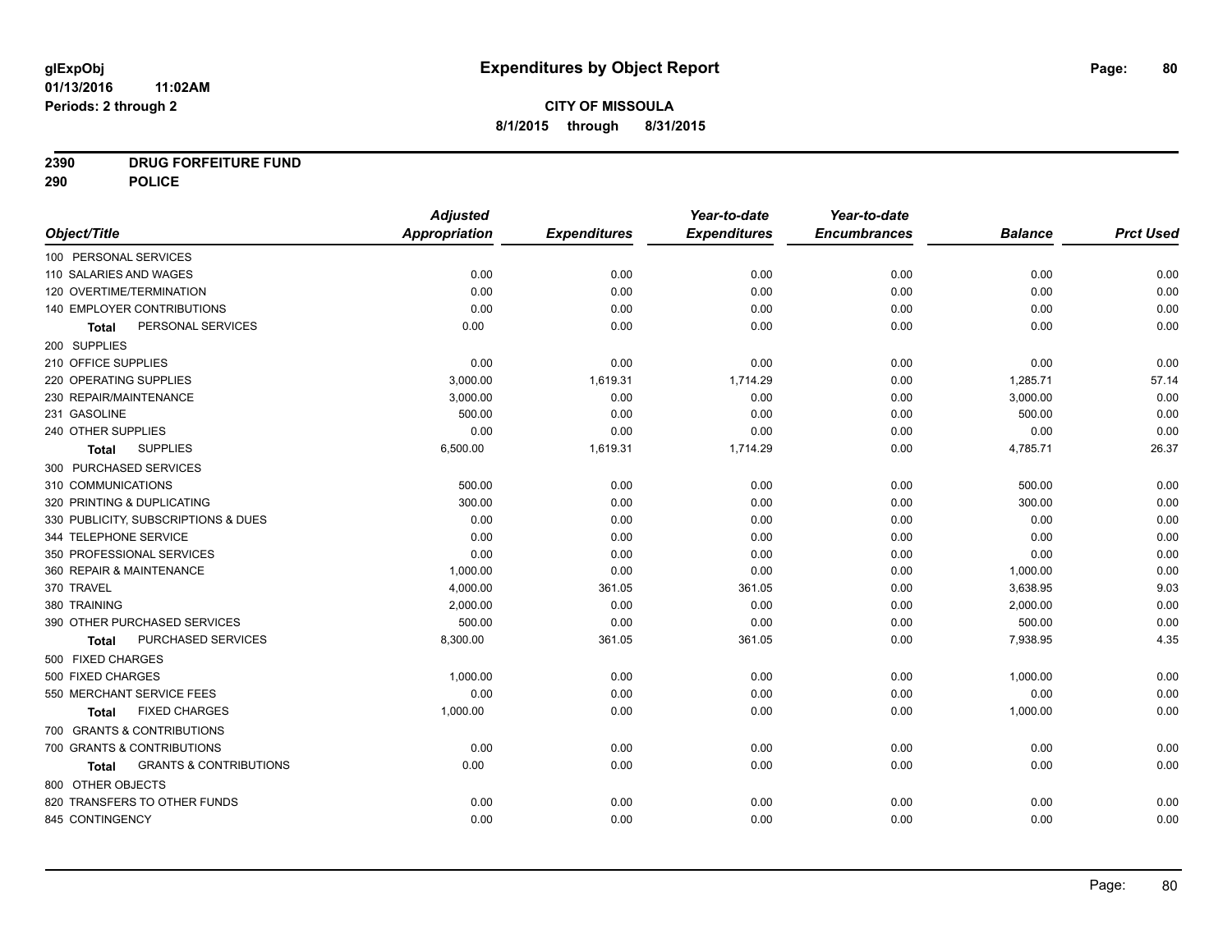## **2390 DRUG FORFEITURE FUND**

**290 POLICE**

|                                            | <b>Adjusted</b> |                     | Year-to-date        | Year-to-date        |                |                  |
|--------------------------------------------|-----------------|---------------------|---------------------|---------------------|----------------|------------------|
| Object/Title                               | Appropriation   | <b>Expenditures</b> | <b>Expenditures</b> | <b>Encumbrances</b> | <b>Balance</b> | <b>Prct Used</b> |
| 100 PERSONAL SERVICES                      |                 |                     |                     |                     |                |                  |
| 110 SALARIES AND WAGES                     | 0.00            | 0.00                | 0.00                | 0.00                | 0.00           | 0.00             |
| 120 OVERTIME/TERMINATION                   | 0.00            | 0.00                | 0.00                | 0.00                | 0.00           | 0.00             |
| 140 EMPLOYER CONTRIBUTIONS                 | 0.00            | 0.00                | 0.00                | 0.00                | 0.00           | 0.00             |
| PERSONAL SERVICES<br>Total                 | 0.00            | 0.00                | 0.00                | 0.00                | 0.00           | 0.00             |
| 200 SUPPLIES                               |                 |                     |                     |                     |                |                  |
| 210 OFFICE SUPPLIES                        | 0.00            | 0.00                | 0.00                | 0.00                | 0.00           | 0.00             |
| 220 OPERATING SUPPLIES                     | 3,000.00        | 1,619.31            | 1,714.29            | 0.00                | 1,285.71       | 57.14            |
| 230 REPAIR/MAINTENANCE                     | 3,000.00        | 0.00                | 0.00                | 0.00                | 3,000.00       | 0.00             |
| 231 GASOLINE                               | 500.00          | 0.00                | 0.00                | 0.00                | 500.00         | 0.00             |
| 240 OTHER SUPPLIES                         | 0.00            | 0.00                | 0.00                | 0.00                | 0.00           | 0.00             |
| <b>SUPPLIES</b><br>Total                   | 6,500.00        | 1,619.31            | 1,714.29            | 0.00                | 4,785.71       | 26.37            |
| 300 PURCHASED SERVICES                     |                 |                     |                     |                     |                |                  |
| 310 COMMUNICATIONS                         | 500.00          | 0.00                | 0.00                | 0.00                | 500.00         | 0.00             |
| 320 PRINTING & DUPLICATING                 | 300.00          | 0.00                | 0.00                | 0.00                | 300.00         | 0.00             |
| 330 PUBLICITY, SUBSCRIPTIONS & DUES        | 0.00            | 0.00                | 0.00                | 0.00                | 0.00           | 0.00             |
| 344 TELEPHONE SERVICE                      | 0.00            | 0.00                | 0.00                | 0.00                | 0.00           | 0.00             |
| 350 PROFESSIONAL SERVICES                  | 0.00            | 0.00                | 0.00                | 0.00                | 0.00           | 0.00             |
| 360 REPAIR & MAINTENANCE                   | 1,000.00        | 0.00                | 0.00                | 0.00                | 1,000.00       | 0.00             |
| 370 TRAVEL                                 | 4,000.00        | 361.05              | 361.05              | 0.00                | 3,638.95       | 9.03             |
| 380 TRAINING                               | 2.000.00        | 0.00                | 0.00                | 0.00                | 2,000.00       | 0.00             |
| 390 OTHER PURCHASED SERVICES               | 500.00          | 0.00                | 0.00                | 0.00                | 500.00         | 0.00             |
| PURCHASED SERVICES<br><b>Total</b>         | 8,300.00        | 361.05              | 361.05              | 0.00                | 7,938.95       | 4.35             |
| 500 FIXED CHARGES                          |                 |                     |                     |                     |                |                  |
| 500 FIXED CHARGES                          | 1,000.00        | 0.00                | 0.00                | 0.00                | 1,000.00       | 0.00             |
| 550 MERCHANT SERVICE FEES                  | 0.00            | 0.00                | 0.00                | 0.00                | 0.00           | 0.00             |
| <b>FIXED CHARGES</b><br>Total              | 1,000.00        | 0.00                | 0.00                | 0.00                | 1,000.00       | 0.00             |
| 700 GRANTS & CONTRIBUTIONS                 |                 |                     |                     |                     |                |                  |
| 700 GRANTS & CONTRIBUTIONS                 | 0.00            | 0.00                | 0.00                | 0.00                | 0.00           | 0.00             |
| <b>GRANTS &amp; CONTRIBUTIONS</b><br>Total | 0.00            | 0.00                | 0.00                | 0.00                | 0.00           | 0.00             |
| 800 OTHER OBJECTS                          |                 |                     |                     |                     |                |                  |
| 820 TRANSFERS TO OTHER FUNDS               | 0.00            | 0.00                | 0.00                | 0.00                | 0.00           | 0.00             |
| 845 CONTINGENCY                            | 0.00            | 0.00                | 0.00                | 0.00                | 0.00           | 0.00             |
|                                            |                 |                     |                     |                     |                |                  |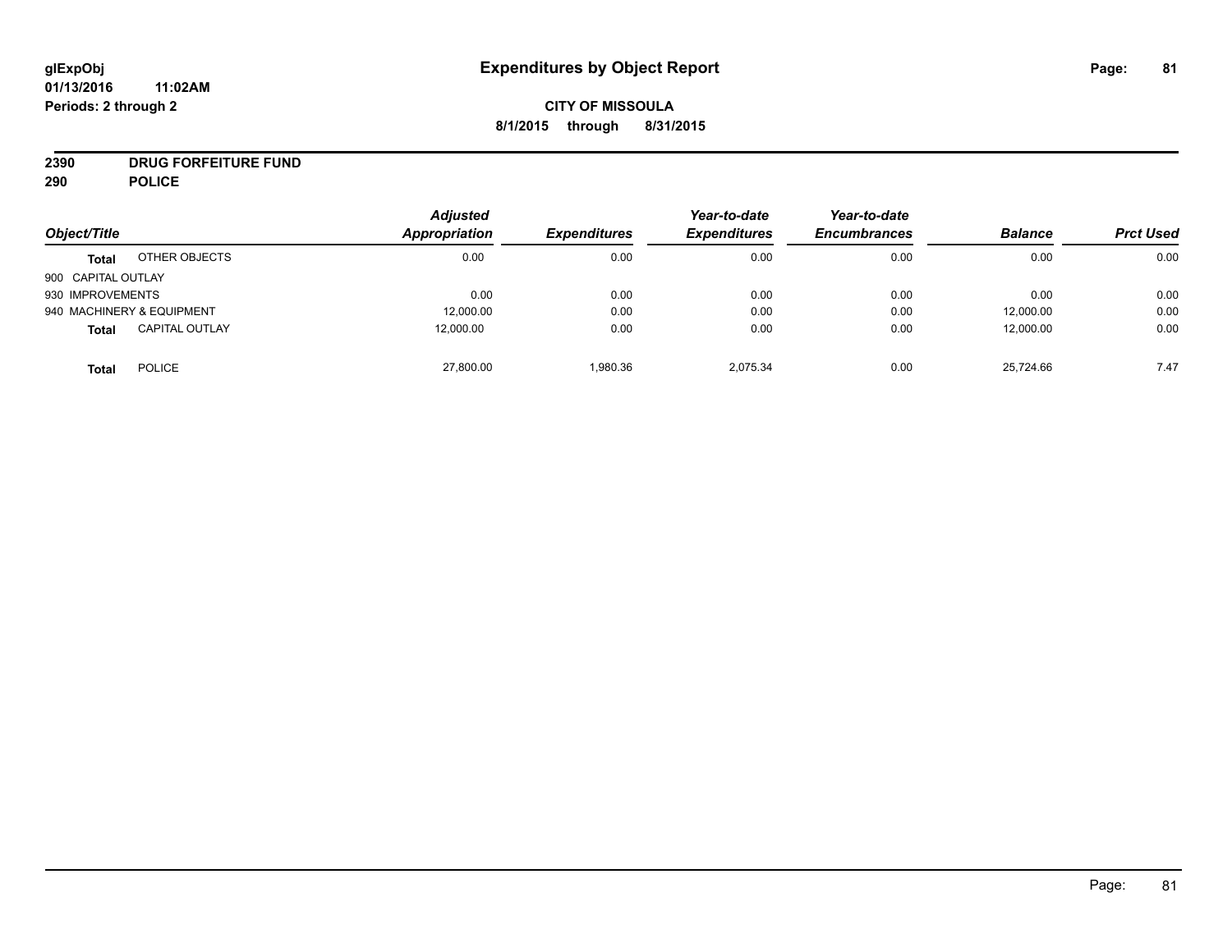## **CITY OF MISSOULA 8/1/2015 through 8/31/2015**

# **2390 DRUG FORFEITURE FUND**

**290 POLICE**

| Object/Title       |                           | <b>Adjusted</b><br>Appropriation | <b>Expenditures</b> | Year-to-date<br><b>Expenditures</b> | Year-to-date<br><b>Encumbrances</b> | <b>Balance</b> | <b>Prct Used</b> |
|--------------------|---------------------------|----------------------------------|---------------------|-------------------------------------|-------------------------------------|----------------|------------------|
| <b>Total</b>       | OTHER OBJECTS             | 0.00                             | 0.00                | 0.00                                | 0.00                                | 0.00           | 0.00             |
| 900 CAPITAL OUTLAY |                           |                                  |                     |                                     |                                     |                |                  |
| 930 IMPROVEMENTS   |                           | 0.00                             | 0.00                | 0.00                                | 0.00                                | 0.00           | 0.00             |
|                    | 940 MACHINERY & EQUIPMENT | 12,000.00                        | 0.00                | 0.00                                | 0.00                                | 12,000.00      | 0.00             |
| <b>Total</b>       | <b>CAPITAL OUTLAY</b>     | 12,000.00                        | 0.00                | 0.00                                | 0.00                                | 12,000.00      | 0.00             |
| <b>Total</b>       | <b>POLICE</b>             | 27,800.00                        | 1,980.36            | 2.075.34                            | 0.00                                | 25,724.66      | 7.47             |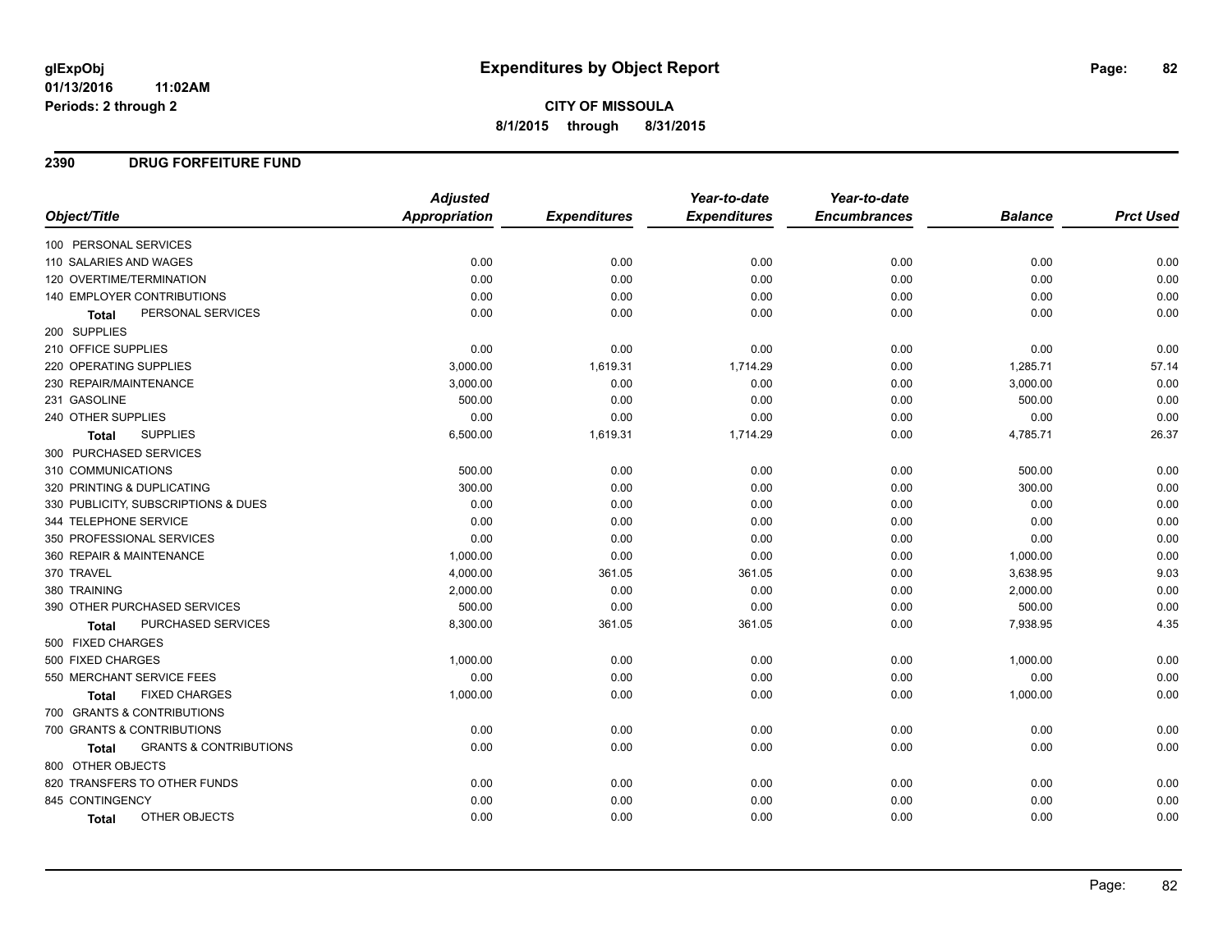## **CITY OF MISSOULA 8/1/2015 through 8/31/2015**

### **2390 DRUG FORFEITURE FUND**

|                                            | <b>Adjusted</b> |                     | Year-to-date        | Year-to-date        |                |                  |
|--------------------------------------------|-----------------|---------------------|---------------------|---------------------|----------------|------------------|
| Object/Title                               | Appropriation   | <b>Expenditures</b> | <b>Expenditures</b> | <b>Encumbrances</b> | <b>Balance</b> | <b>Prct Used</b> |
| 100 PERSONAL SERVICES                      |                 |                     |                     |                     |                |                  |
| 110 SALARIES AND WAGES                     | 0.00            | 0.00                | 0.00                | 0.00                | 0.00           | 0.00             |
| 120 OVERTIME/TERMINATION                   | 0.00            | 0.00                | 0.00                | 0.00                | 0.00           | 0.00             |
| <b>140 EMPLOYER CONTRIBUTIONS</b>          | 0.00            | 0.00                | 0.00                | 0.00                | 0.00           | 0.00             |
| PERSONAL SERVICES<br><b>Total</b>          | 0.00            | 0.00                | 0.00                | 0.00                | 0.00           | 0.00             |
| 200 SUPPLIES                               |                 |                     |                     |                     |                |                  |
| 210 OFFICE SUPPLIES                        | 0.00            | 0.00                | 0.00                | 0.00                | 0.00           | 0.00             |
| 220 OPERATING SUPPLIES                     | 3,000.00        | 1,619.31            | 1,714.29            | 0.00                | 1,285.71       | 57.14            |
| 230 REPAIR/MAINTENANCE                     | 3,000.00        | 0.00                | 0.00                | 0.00                | 3,000.00       | 0.00             |
| 231 GASOLINE                               | 500.00          | 0.00                | 0.00                | 0.00                | 500.00         | 0.00             |
| 240 OTHER SUPPLIES                         | 0.00            | 0.00                | 0.00                | 0.00                | 0.00           | 0.00             |
| <b>SUPPLIES</b><br><b>Total</b>            | 6,500.00        | 1,619.31            | 1,714.29            | 0.00                | 4,785.71       | 26.37            |
| 300 PURCHASED SERVICES                     |                 |                     |                     |                     |                |                  |
| 310 COMMUNICATIONS                         | 500.00          | 0.00                | 0.00                | 0.00                | 500.00         | 0.00             |
| 320 PRINTING & DUPLICATING                 | 300.00          | 0.00                | 0.00                | 0.00                | 300.00         | 0.00             |
| 330 PUBLICITY, SUBSCRIPTIONS & DUES        | 0.00            | 0.00                | 0.00                | 0.00                | 0.00           | 0.00             |
| 344 TELEPHONE SERVICE                      | 0.00            | 0.00                | 0.00                | 0.00                | 0.00           | 0.00             |
| 350 PROFESSIONAL SERVICES                  | 0.00            | 0.00                | 0.00                | 0.00                | 0.00           | 0.00             |
| 360 REPAIR & MAINTENANCE                   | 1,000.00        | 0.00                | 0.00                | 0.00                | 1,000.00       | 0.00             |
| 370 TRAVEL                                 | 4,000.00        | 361.05              | 361.05              | 0.00                | 3,638.95       | 9.03             |
| 380 TRAINING                               | 2,000.00        | 0.00                | 0.00                | 0.00                | 2,000.00       | 0.00             |
| 390 OTHER PURCHASED SERVICES               | 500.00          | 0.00                | 0.00                | 0.00                | 500.00         | 0.00             |
| PURCHASED SERVICES<br><b>Total</b>         | 8,300.00        | 361.05              | 361.05              | 0.00                | 7,938.95       | 4.35             |
| 500 FIXED CHARGES                          |                 |                     |                     |                     |                |                  |
| 500 FIXED CHARGES                          | 1,000.00        | 0.00                | 0.00                | 0.00                | 1,000.00       | 0.00             |
| 550 MERCHANT SERVICE FEES                  | 0.00            | 0.00                | 0.00                | 0.00                | 0.00           | 0.00             |
| <b>FIXED CHARGES</b><br><b>Total</b>       | 1,000.00        | 0.00                | 0.00                | 0.00                | 1,000.00       | 0.00             |
| 700 GRANTS & CONTRIBUTIONS                 |                 |                     |                     |                     |                |                  |
| 700 GRANTS & CONTRIBUTIONS                 | 0.00            | 0.00                | 0.00                | 0.00                | 0.00           | 0.00             |
| <b>GRANTS &amp; CONTRIBUTIONS</b><br>Total | 0.00            | 0.00                | 0.00                | 0.00                | 0.00           | 0.00             |
| 800 OTHER OBJECTS                          |                 |                     |                     |                     |                |                  |
| 820 TRANSFERS TO OTHER FUNDS               | 0.00            | 0.00                | 0.00                | 0.00                | 0.00           | 0.00             |
| 845 CONTINGENCY                            | 0.00            | 0.00                | 0.00                | 0.00                | 0.00           | 0.00             |
| OTHER OBJECTS<br><b>Total</b>              | 0.00            | 0.00                | 0.00                | 0.00                | 0.00           | 0.00             |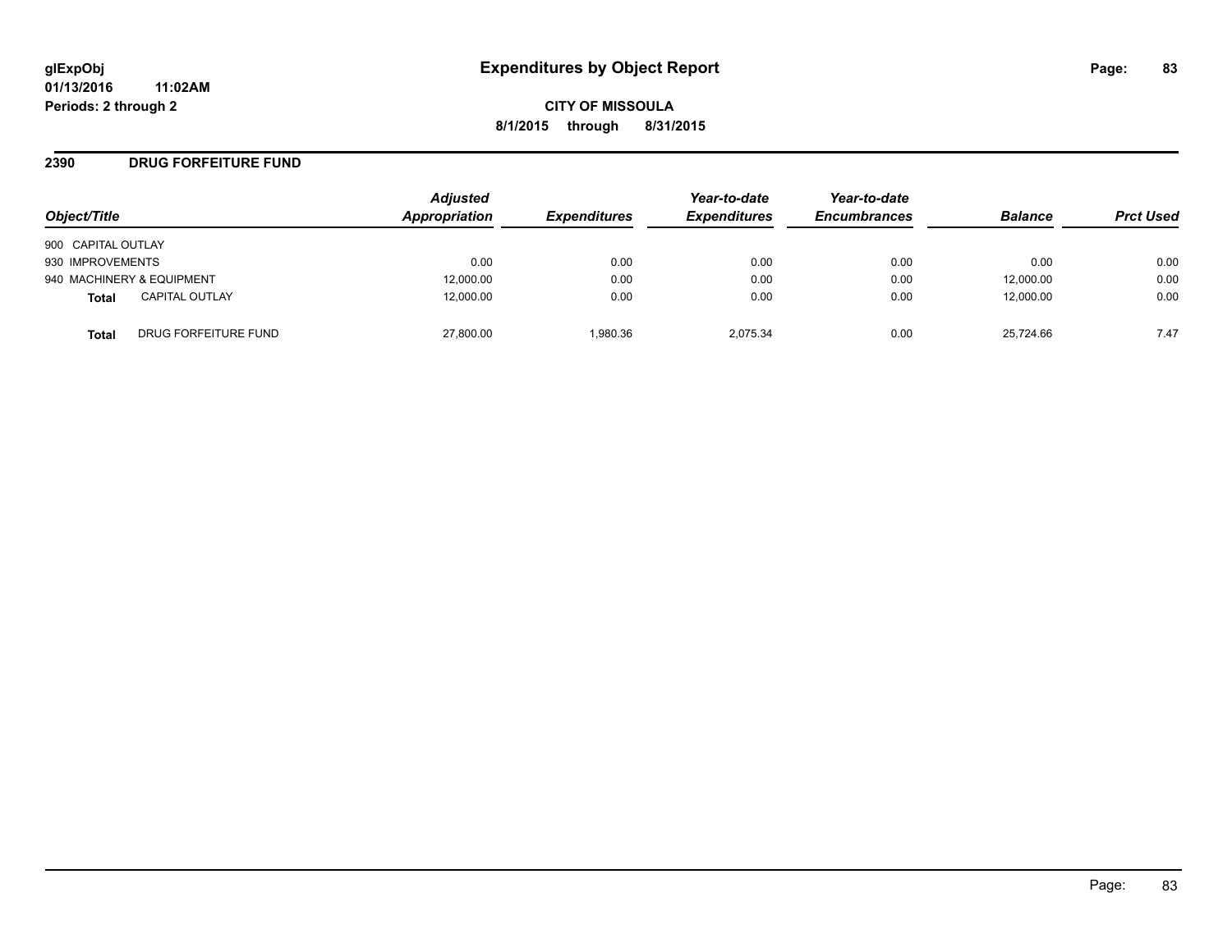**CITY OF MISSOULA 8/1/2015 through 8/31/2015**

### **2390 DRUG FORFEITURE FUND**

| Object/Title                   | <b>Adjusted</b><br>Appropriation | <b>Expenditures</b> | Year-to-date<br><b>Expenditures</b> | Year-to-date<br><b>Encumbrances</b> | <b>Balance</b> | <b>Prct Used</b> |
|--------------------------------|----------------------------------|---------------------|-------------------------------------|-------------------------------------|----------------|------------------|
| 900 CAPITAL OUTLAY             |                                  |                     |                                     |                                     |                |                  |
| 930 IMPROVEMENTS               | 0.00                             | 0.00                | 0.00                                | 0.00                                | 0.00           | 0.00             |
| 940 MACHINERY & EQUIPMENT      | 12,000.00                        | 0.00                | 0.00                                | 0.00                                | 12,000.00      | 0.00             |
| <b>CAPITAL OUTLAY</b><br>Total | 12,000.00                        | 0.00                | 0.00                                | 0.00                                | 12,000.00      | 0.00             |
| DRUG FORFEITURE FUND<br>Total  | 27,800.00                        | 1.980.36            | 2.075.34                            | 0.00                                | 25,724.66      | 7.47             |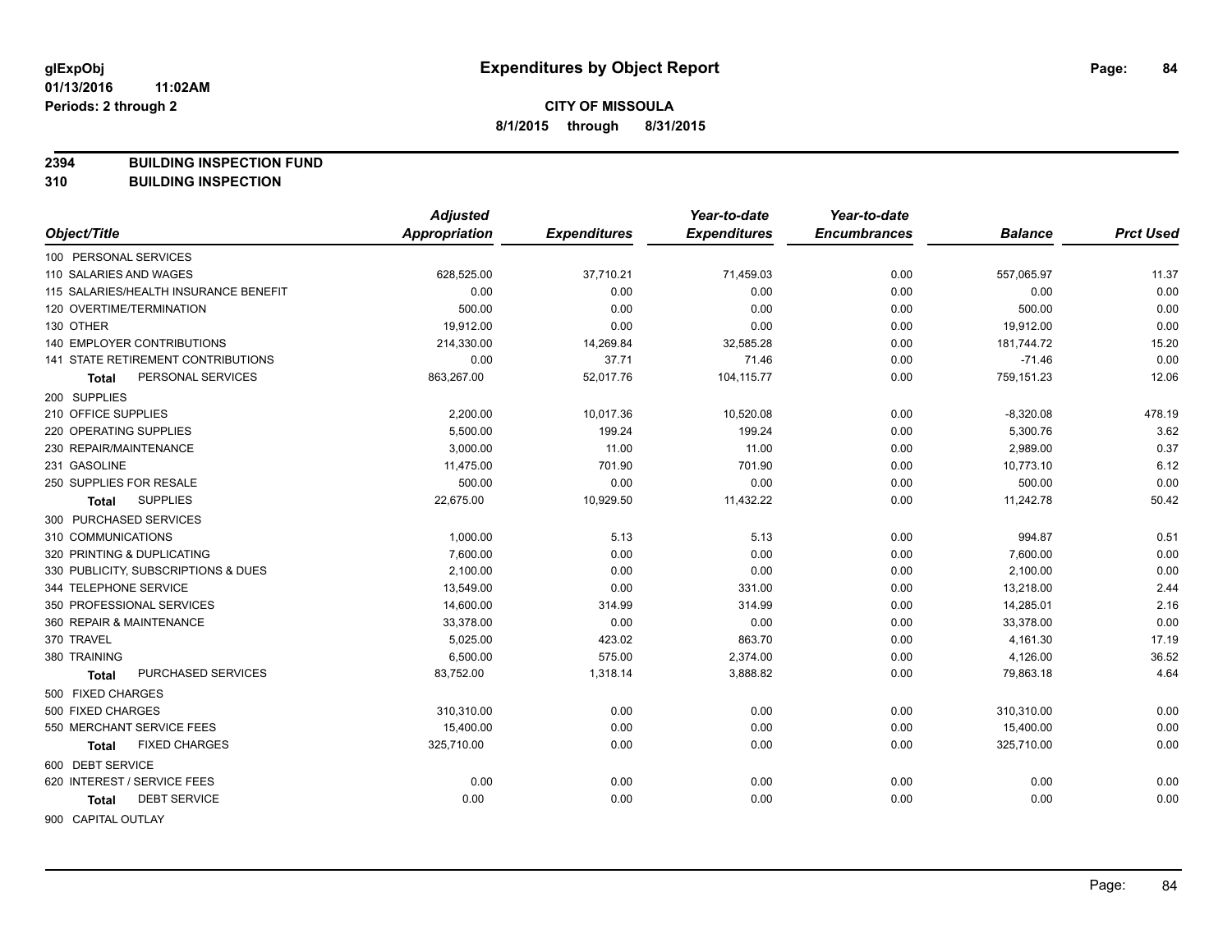**2394 BUILDING INSPECTION FUND**

**310 BUILDING INSPECTION**

|                                           | <b>Adjusted</b>      |                     | Year-to-date        | Year-to-date        |                |                  |
|-------------------------------------------|----------------------|---------------------|---------------------|---------------------|----------------|------------------|
| Object/Title                              | <b>Appropriation</b> | <b>Expenditures</b> | <b>Expenditures</b> | <b>Encumbrances</b> | <b>Balance</b> | <b>Prct Used</b> |
| 100 PERSONAL SERVICES                     |                      |                     |                     |                     |                |                  |
| 110 SALARIES AND WAGES                    | 628,525.00           | 37,710.21           | 71,459.03           | 0.00                | 557,065.97     | 11.37            |
| 115 SALARIES/HEALTH INSURANCE BENEFIT     | 0.00                 | 0.00                | 0.00                | 0.00                | 0.00           | 0.00             |
| 120 OVERTIME/TERMINATION                  | 500.00               | 0.00                | 0.00                | 0.00                | 500.00         | 0.00             |
| 130 OTHER                                 | 19,912.00            | 0.00                | 0.00                | 0.00                | 19,912.00      | 0.00             |
| <b>140 EMPLOYER CONTRIBUTIONS</b>         | 214,330.00           | 14,269.84           | 32,585.28           | 0.00                | 181,744.72     | 15.20            |
| <b>141 STATE RETIREMENT CONTRIBUTIONS</b> | 0.00                 | 37.71               | 71.46               | 0.00                | $-71.46$       | 0.00             |
| PERSONAL SERVICES<br>Total                | 863,267.00           | 52,017.76           | 104,115.77          | 0.00                | 759,151.23     | 12.06            |
| 200 SUPPLIES                              |                      |                     |                     |                     |                |                  |
| 210 OFFICE SUPPLIES                       | 2,200.00             | 10,017.36           | 10,520.08           | 0.00                | $-8,320.08$    | 478.19           |
| 220 OPERATING SUPPLIES                    | 5,500.00             | 199.24              | 199.24              | 0.00                | 5,300.76       | 3.62             |
| 230 REPAIR/MAINTENANCE                    | 3,000.00             | 11.00               | 11.00               | 0.00                | 2,989.00       | 0.37             |
| 231 GASOLINE                              | 11,475.00            | 701.90              | 701.90              | 0.00                | 10,773.10      | 6.12             |
| 250 SUPPLIES FOR RESALE                   | 500.00               | 0.00                | 0.00                | 0.00                | 500.00         | 0.00             |
| <b>SUPPLIES</b><br>Total                  | 22,675.00            | 10,929.50           | 11,432.22           | 0.00                | 11,242.78      | 50.42            |
| 300 PURCHASED SERVICES                    |                      |                     |                     |                     |                |                  |
| 310 COMMUNICATIONS                        | 1,000.00             | 5.13                | 5.13                | 0.00                | 994.87         | 0.51             |
| 320 PRINTING & DUPLICATING                | 7,600.00             | 0.00                | 0.00                | 0.00                | 7,600.00       | 0.00             |
| 330 PUBLICITY, SUBSCRIPTIONS & DUES       | 2,100.00             | 0.00                | 0.00                | 0.00                | 2,100.00       | 0.00             |
| 344 TELEPHONE SERVICE                     | 13,549.00            | 0.00                | 331.00              | 0.00                | 13,218.00      | 2.44             |
| 350 PROFESSIONAL SERVICES                 | 14,600.00            | 314.99              | 314.99              | 0.00                | 14,285.01      | 2.16             |
| 360 REPAIR & MAINTENANCE                  | 33,378.00            | 0.00                | 0.00                | 0.00                | 33,378.00      | 0.00             |
| 370 TRAVEL                                | 5,025.00             | 423.02              | 863.70              | 0.00                | 4,161.30       | 17.19            |
| 380 TRAINING                              | 6,500.00             | 575.00              | 2,374.00            | 0.00                | 4,126.00       | 36.52            |
| PURCHASED SERVICES<br>Total               | 83,752.00            | 1,318.14            | 3,888.82            | 0.00                | 79,863.18      | 4.64             |
| 500 FIXED CHARGES                         |                      |                     |                     |                     |                |                  |
| 500 FIXED CHARGES                         | 310,310.00           | 0.00                | 0.00                | 0.00                | 310,310.00     | 0.00             |
| 550 MERCHANT SERVICE FEES                 | 15,400.00            | 0.00                | 0.00                | 0.00                | 15,400.00      | 0.00             |
| <b>FIXED CHARGES</b><br>Total             | 325,710.00           | 0.00                | 0.00                | 0.00                | 325,710.00     | 0.00             |
| 600 DEBT SERVICE                          |                      |                     |                     |                     |                |                  |
| 620 INTEREST / SERVICE FEES               | 0.00                 | 0.00                | 0.00                | 0.00                | 0.00           | 0.00             |
| <b>DEBT SERVICE</b><br>Total              | 0.00                 | 0.00                | 0.00                | 0.00                | 0.00           | 0.00             |
| 900 CAPITAL OUTLAY                        |                      |                     |                     |                     |                |                  |

Page: 84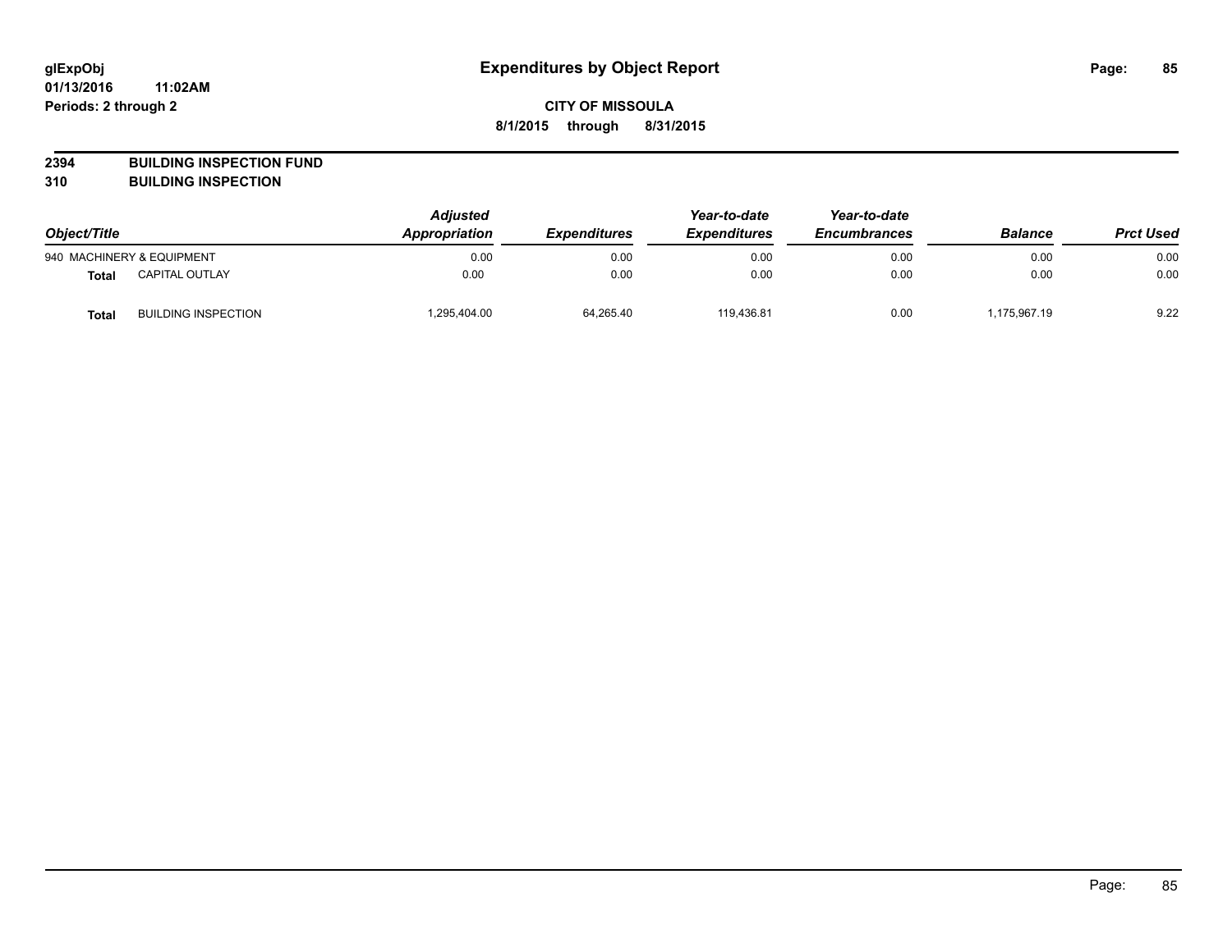**2394 BUILDING INSPECTION FUND**

**310 BUILDING INSPECTION**

| Object/Title |                            | <b>Adjusted</b><br>Appropriation<br><b>Expenditures</b> | Year-to-date<br><b>Expenditures</b> | Year-to-date<br><b>Encumbrances</b> | <b>Balance</b> | <b>Prct Used</b> |      |
|--------------|----------------------------|---------------------------------------------------------|-------------------------------------|-------------------------------------|----------------|------------------|------|
|              | 940 MACHINERY & EQUIPMENT  | 0.00                                                    | 0.00                                | 0.00                                | 0.00           | 0.00             | 0.00 |
| <b>Total</b> | <b>CAPITAL OUTLAY</b>      | 0.00                                                    | 0.00                                | 0.00                                | 0.00           | 0.00             | 0.00 |
| Total        | <b>BUILDING INSPECTION</b> | 1,295,404.00                                            | 64,265.40                           | 119.436.81                          | 0.00           | 1,175,967.19     | 9.22 |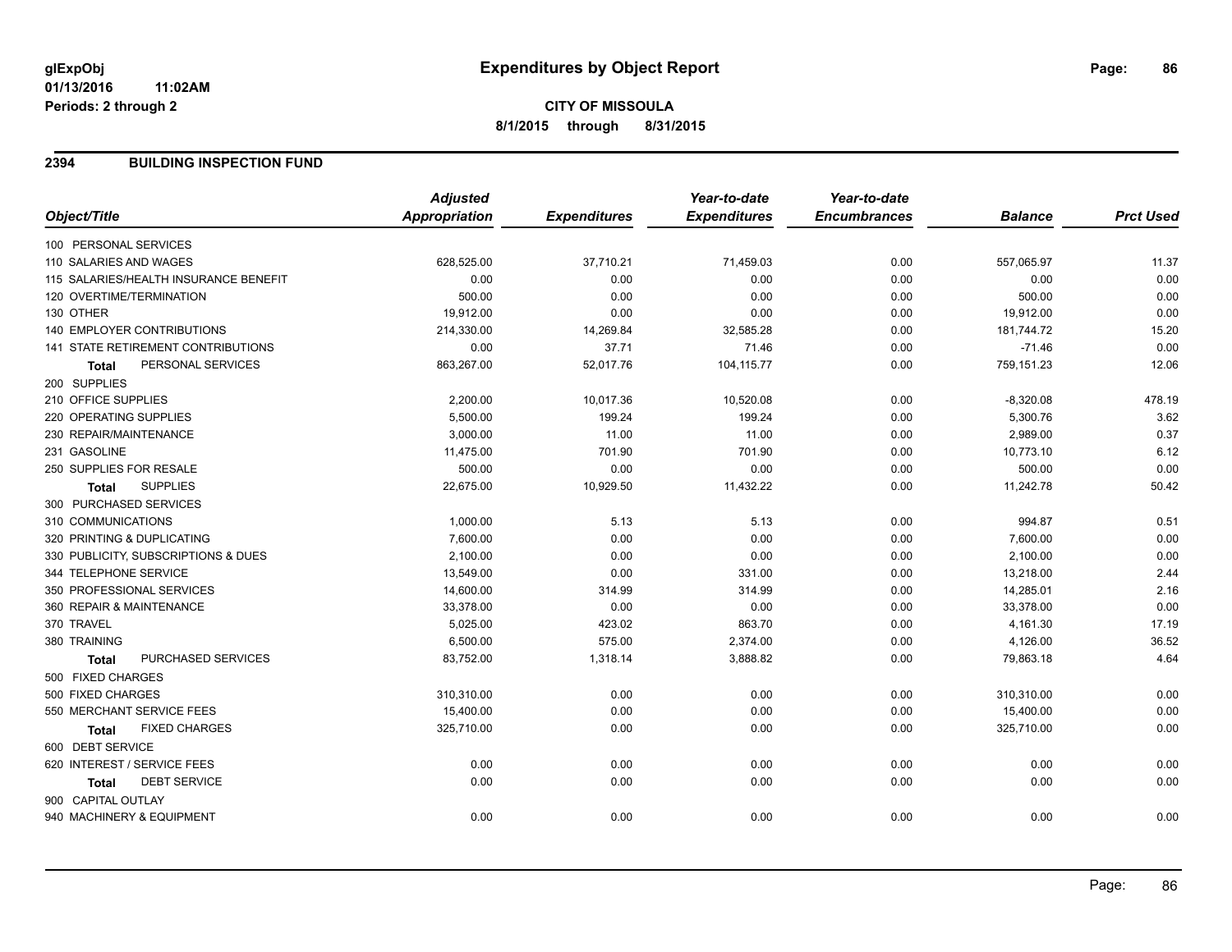### **2394 BUILDING INSPECTION FUND**

|                                           | <b>Adjusted</b>      |                     | Year-to-date        | Year-to-date        |                |                  |
|-------------------------------------------|----------------------|---------------------|---------------------|---------------------|----------------|------------------|
| Object/Title                              | <b>Appropriation</b> | <b>Expenditures</b> | <b>Expenditures</b> | <b>Encumbrances</b> | <b>Balance</b> | <b>Prct Used</b> |
| 100 PERSONAL SERVICES                     |                      |                     |                     |                     |                |                  |
| 110 SALARIES AND WAGES                    | 628,525.00           | 37,710.21           | 71,459.03           | 0.00                | 557,065.97     | 11.37            |
| 115 SALARIES/HEALTH INSURANCE BENEFIT     | 0.00                 | 0.00                | 0.00                | 0.00                | 0.00           | 0.00             |
| 120 OVERTIME/TERMINATION                  | 500.00               | 0.00                | 0.00                | 0.00                | 500.00         | 0.00             |
| 130 OTHER                                 | 19,912.00            | 0.00                | 0.00                | 0.00                | 19,912.00      | 0.00             |
| 140 EMPLOYER CONTRIBUTIONS                | 214,330.00           | 14,269.84           | 32,585.28           | 0.00                | 181,744.72     | 15.20            |
| <b>141 STATE RETIREMENT CONTRIBUTIONS</b> | 0.00                 | 37.71               | 71.46               | 0.00                | $-71.46$       | 0.00             |
| PERSONAL SERVICES<br><b>Total</b>         | 863,267.00           | 52,017.76           | 104,115.77          | 0.00                | 759,151.23     | 12.06            |
| 200 SUPPLIES                              |                      |                     |                     |                     |                |                  |
| 210 OFFICE SUPPLIES                       | 2,200.00             | 10,017.36           | 10,520.08           | 0.00                | $-8,320.08$    | 478.19           |
| 220 OPERATING SUPPLIES                    | 5,500.00             | 199.24              | 199.24              | 0.00                | 5,300.76       | 3.62             |
| 230 REPAIR/MAINTENANCE                    | 3,000.00             | 11.00               | 11.00               | 0.00                | 2,989.00       | 0.37             |
| 231 GASOLINE                              | 11,475.00            | 701.90              | 701.90              | 0.00                | 10,773.10      | 6.12             |
| 250 SUPPLIES FOR RESALE                   | 500.00               | 0.00                | 0.00                | 0.00                | 500.00         | 0.00             |
| <b>SUPPLIES</b><br><b>Total</b>           | 22,675.00            | 10,929.50           | 11,432.22           | 0.00                | 11,242.78      | 50.42            |
| 300 PURCHASED SERVICES                    |                      |                     |                     |                     |                |                  |
| 310 COMMUNICATIONS                        | 1,000.00             | 5.13                | 5.13                | 0.00                | 994.87         | 0.51             |
| 320 PRINTING & DUPLICATING                | 7,600.00             | 0.00                | 0.00                | 0.00                | 7,600.00       | 0.00             |
| 330 PUBLICITY, SUBSCRIPTIONS & DUES       | 2,100.00             | 0.00                | 0.00                | 0.00                | 2,100.00       | 0.00             |
| 344 TELEPHONE SERVICE                     | 13,549.00            | 0.00                | 331.00              | 0.00                | 13,218.00      | 2.44             |
| 350 PROFESSIONAL SERVICES                 | 14,600.00            | 314.99              | 314.99              | 0.00                | 14,285.01      | 2.16             |
| 360 REPAIR & MAINTENANCE                  | 33,378.00            | 0.00                | 0.00                | 0.00                | 33,378.00      | 0.00             |
| 370 TRAVEL                                | 5,025.00             | 423.02              | 863.70              | 0.00                | 4,161.30       | 17.19            |
| 380 TRAINING                              | 6,500.00             | 575.00              | 2,374.00            | 0.00                | 4,126.00       | 36.52            |
| PURCHASED SERVICES<br><b>Total</b>        | 83,752.00            | 1,318.14            | 3,888.82            | 0.00                | 79,863.18      | 4.64             |
| 500 FIXED CHARGES                         |                      |                     |                     |                     |                |                  |
| 500 FIXED CHARGES                         | 310,310.00           | 0.00                | 0.00                | 0.00                | 310,310.00     | 0.00             |
| 550 MERCHANT SERVICE FEES                 | 15,400.00            | 0.00                | 0.00                | 0.00                | 15,400.00      | 0.00             |
| <b>FIXED CHARGES</b><br><b>Total</b>      | 325,710.00           | 0.00                | 0.00                | 0.00                | 325,710.00     | 0.00             |
| 600 DEBT SERVICE                          |                      |                     |                     |                     |                |                  |
| 620 INTEREST / SERVICE FEES               | 0.00                 | 0.00                | 0.00                | 0.00                | 0.00           | 0.00             |
| <b>DEBT SERVICE</b><br><b>Total</b>       | 0.00                 | 0.00                | 0.00                | 0.00                | 0.00           | 0.00             |
| 900 CAPITAL OUTLAY                        |                      |                     |                     |                     |                |                  |
| 940 MACHINERY & EQUIPMENT                 | 0.00                 | 0.00                | 0.00                | 0.00                | 0.00           | 0.00             |
|                                           |                      |                     |                     |                     |                |                  |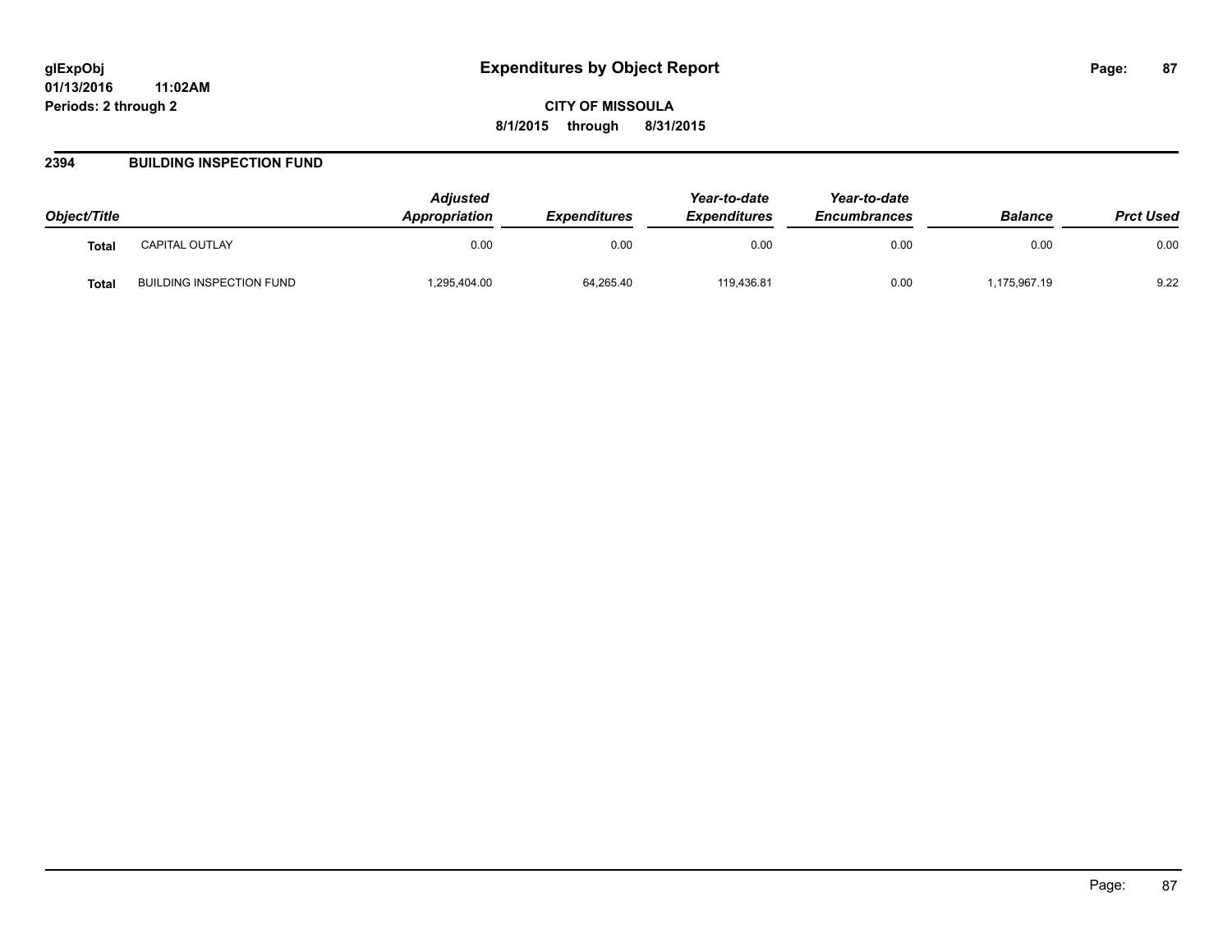### **2394 BUILDING INSPECTION FUND**

| Object/Title |                          | <b>Adjusted</b><br><b>Appropriation</b> | <b>Expenditures</b> | Year-to-date<br><b>Expenditures</b> | Year-to-date<br><b>Encumbrances</b> | <b>Balance</b> | <b>Prct Used</b> |
|--------------|--------------------------|-----------------------------------------|---------------------|-------------------------------------|-------------------------------------|----------------|------------------|
| <b>Total</b> | CAPITAL OUTLAY           | 0.00                                    | 0.00                | 0.00                                | 0.00                                | 0.00           | 0.00             |
| Total        | BUILDING INSPECTION FUND | .295,404.00                             | 64,265.40           | 119.436.81                          | 0.00                                | 175,967.19     | 9.22             |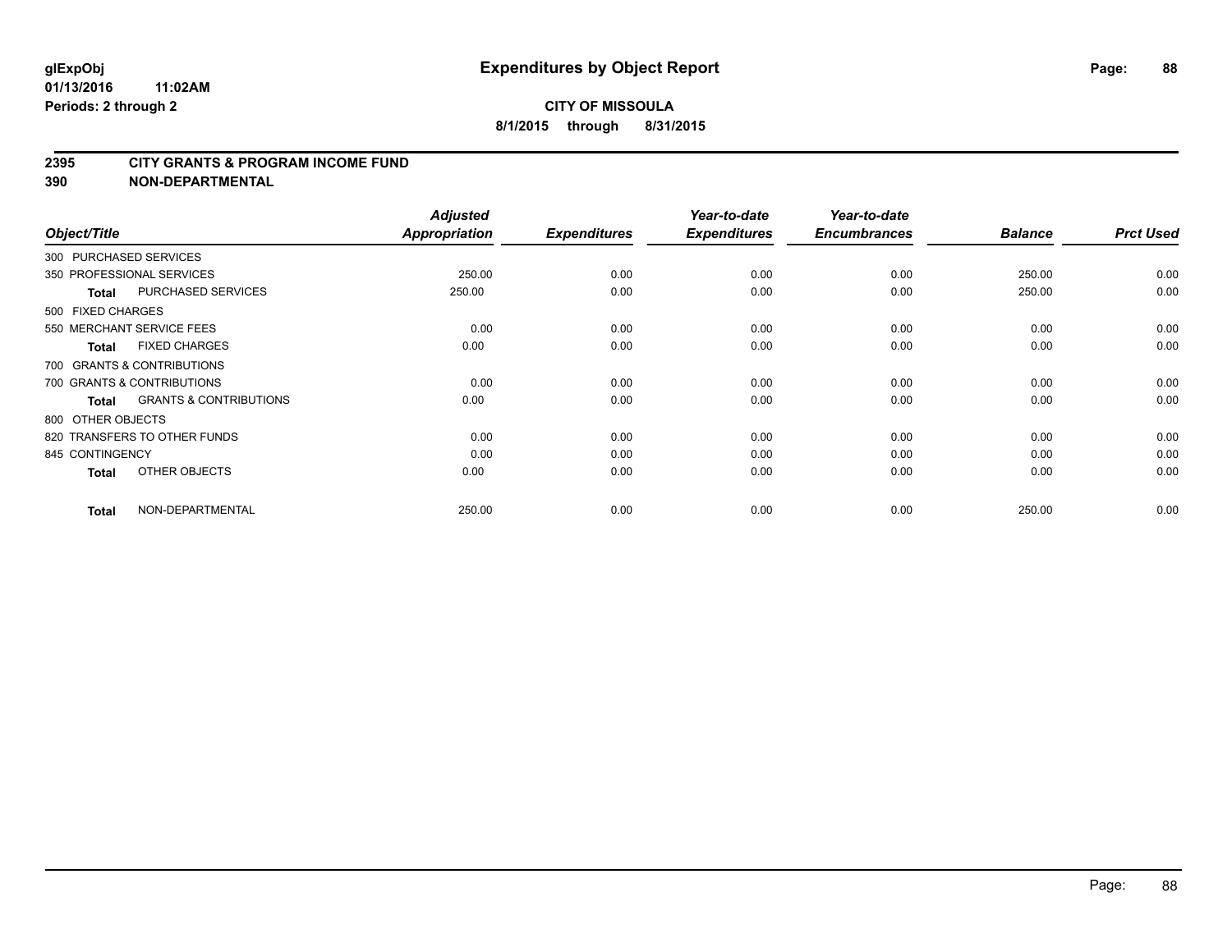#### **2395 CITY GRANTS & PROGRAM INCOME FUND**

**390 NON-DEPARTMENTAL**

| Object/Title           |                                   | <b>Adjusted</b><br>Appropriation | <b>Expenditures</b> | Year-to-date<br><b>Expenditures</b> | Year-to-date<br><b>Encumbrances</b> | <b>Balance</b> | <b>Prct Used</b> |
|------------------------|-----------------------------------|----------------------------------|---------------------|-------------------------------------|-------------------------------------|----------------|------------------|
| 300 PURCHASED SERVICES |                                   |                                  |                     |                                     |                                     |                |                  |
|                        | 350 PROFESSIONAL SERVICES         | 250.00                           | 0.00                | 0.00                                | 0.00                                | 250.00         | 0.00             |
| <b>Total</b>           | <b>PURCHASED SERVICES</b>         | 250.00                           | 0.00                | 0.00                                | 0.00                                | 250.00         | 0.00             |
| 500 FIXED CHARGES      |                                   |                                  |                     |                                     |                                     |                |                  |
|                        | 550 MERCHANT SERVICE FEES         | 0.00                             | 0.00                | 0.00                                | 0.00                                | 0.00           | 0.00             |
| <b>Total</b>           | <b>FIXED CHARGES</b>              | 0.00                             | 0.00                | 0.00                                | 0.00                                | 0.00           | 0.00             |
|                        | 700 GRANTS & CONTRIBUTIONS        |                                  |                     |                                     |                                     |                |                  |
|                        | 700 GRANTS & CONTRIBUTIONS        | 0.00                             | 0.00                | 0.00                                | 0.00                                | 0.00           | 0.00             |
| <b>Total</b>           | <b>GRANTS &amp; CONTRIBUTIONS</b> | 0.00                             | 0.00                | 0.00                                | 0.00                                | 0.00           | 0.00             |
| 800 OTHER OBJECTS      |                                   |                                  |                     |                                     |                                     |                |                  |
|                        | 820 TRANSFERS TO OTHER FUNDS      | 0.00                             | 0.00                | 0.00                                | 0.00                                | 0.00           | 0.00             |
| 845 CONTINGENCY        |                                   | 0.00                             | 0.00                | 0.00                                | 0.00                                | 0.00           | 0.00             |
| <b>Total</b>           | OTHER OBJECTS                     | 0.00                             | 0.00                | 0.00                                | 0.00                                | 0.00           | 0.00             |
| <b>Total</b>           | NON-DEPARTMENTAL                  | 250.00                           | 0.00                | 0.00                                | 0.00                                | 250.00         | 0.00             |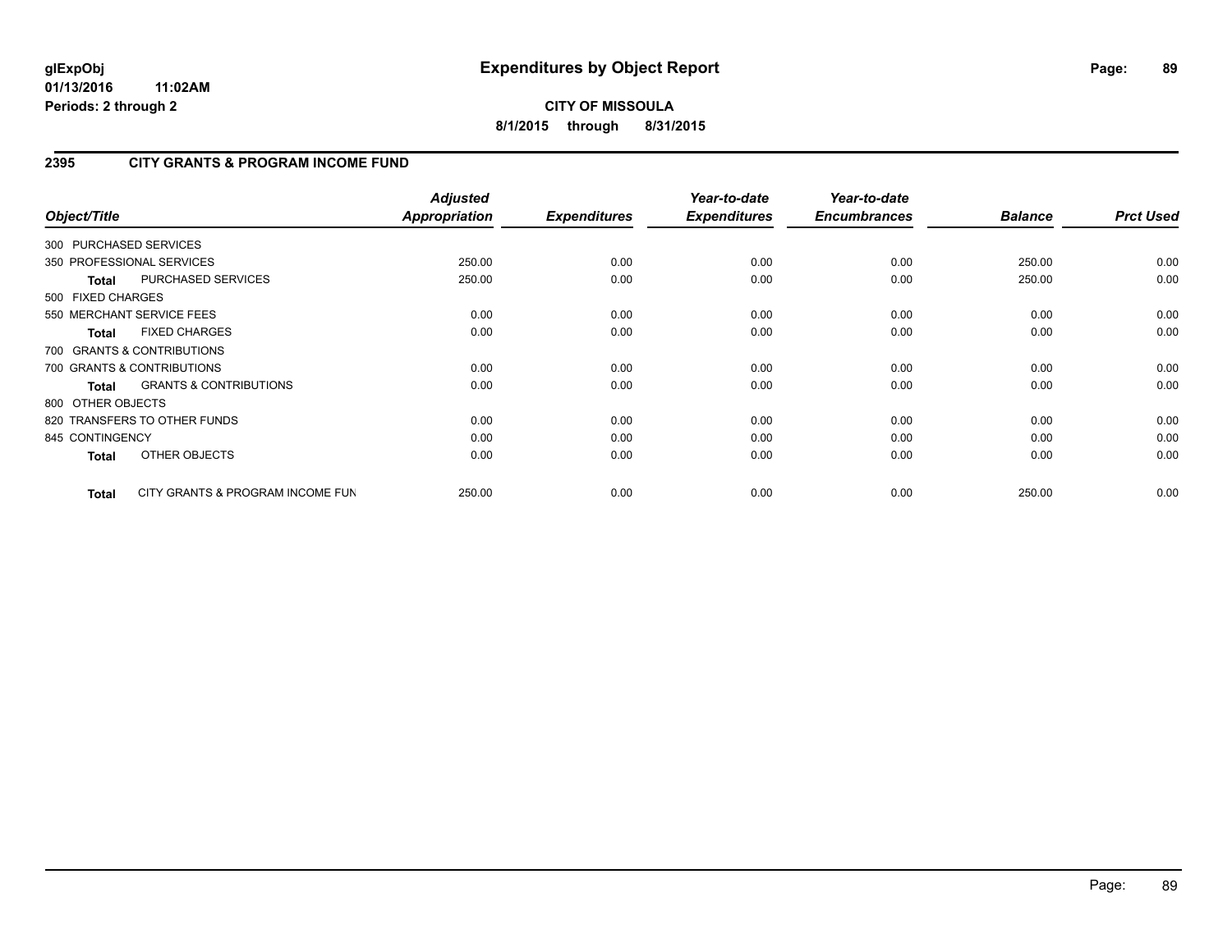**CITY OF MISSOULA 8/1/2015 through 8/31/2015**

## **2395 CITY GRANTS & PROGRAM INCOME FUND**

| Object/Title           |                                   | <b>Adjusted</b><br>Appropriation | <b>Expenditures</b> | Year-to-date<br><b>Expenditures</b> | Year-to-date<br><b>Encumbrances</b> | <b>Balance</b> | <b>Prct Used</b> |
|------------------------|-----------------------------------|----------------------------------|---------------------|-------------------------------------|-------------------------------------|----------------|------------------|
| 300 PURCHASED SERVICES |                                   |                                  |                     |                                     |                                     |                |                  |
|                        | 350 PROFESSIONAL SERVICES         | 250.00                           | 0.00                | 0.00                                | 0.00                                | 250.00         | 0.00             |
| <b>Total</b>           | PURCHASED SERVICES                | 250.00                           | 0.00                | 0.00                                | 0.00                                | 250.00         | 0.00             |
| 500 FIXED CHARGES      |                                   |                                  |                     |                                     |                                     |                |                  |
|                        | 550 MERCHANT SERVICE FEES         | 0.00                             | 0.00                | 0.00                                | 0.00                                | 0.00           | 0.00             |
| <b>Total</b>           | <b>FIXED CHARGES</b>              | 0.00                             | 0.00                | 0.00                                | 0.00                                | 0.00           | 0.00             |
|                        | 700 GRANTS & CONTRIBUTIONS        |                                  |                     |                                     |                                     |                |                  |
|                        | 700 GRANTS & CONTRIBUTIONS        | 0.00                             | 0.00                | 0.00                                | 0.00                                | 0.00           | 0.00             |
| <b>Total</b>           | <b>GRANTS &amp; CONTRIBUTIONS</b> | 0.00                             | 0.00                | 0.00                                | 0.00                                | 0.00           | 0.00             |
| 800 OTHER OBJECTS      |                                   |                                  |                     |                                     |                                     |                |                  |
|                        | 820 TRANSFERS TO OTHER FUNDS      | 0.00                             | 0.00                | 0.00                                | 0.00                                | 0.00           | 0.00             |
| 845 CONTINGENCY        |                                   | 0.00                             | 0.00                | 0.00                                | 0.00                                | 0.00           | 0.00             |
| <b>Total</b>           | OTHER OBJECTS                     | 0.00                             | 0.00                | 0.00                                | 0.00                                | 0.00           | 0.00             |
| Total                  | CITY GRANTS & PROGRAM INCOME FUN  | 250.00                           | 0.00                | 0.00                                | 0.00                                | 250.00         | 0.00             |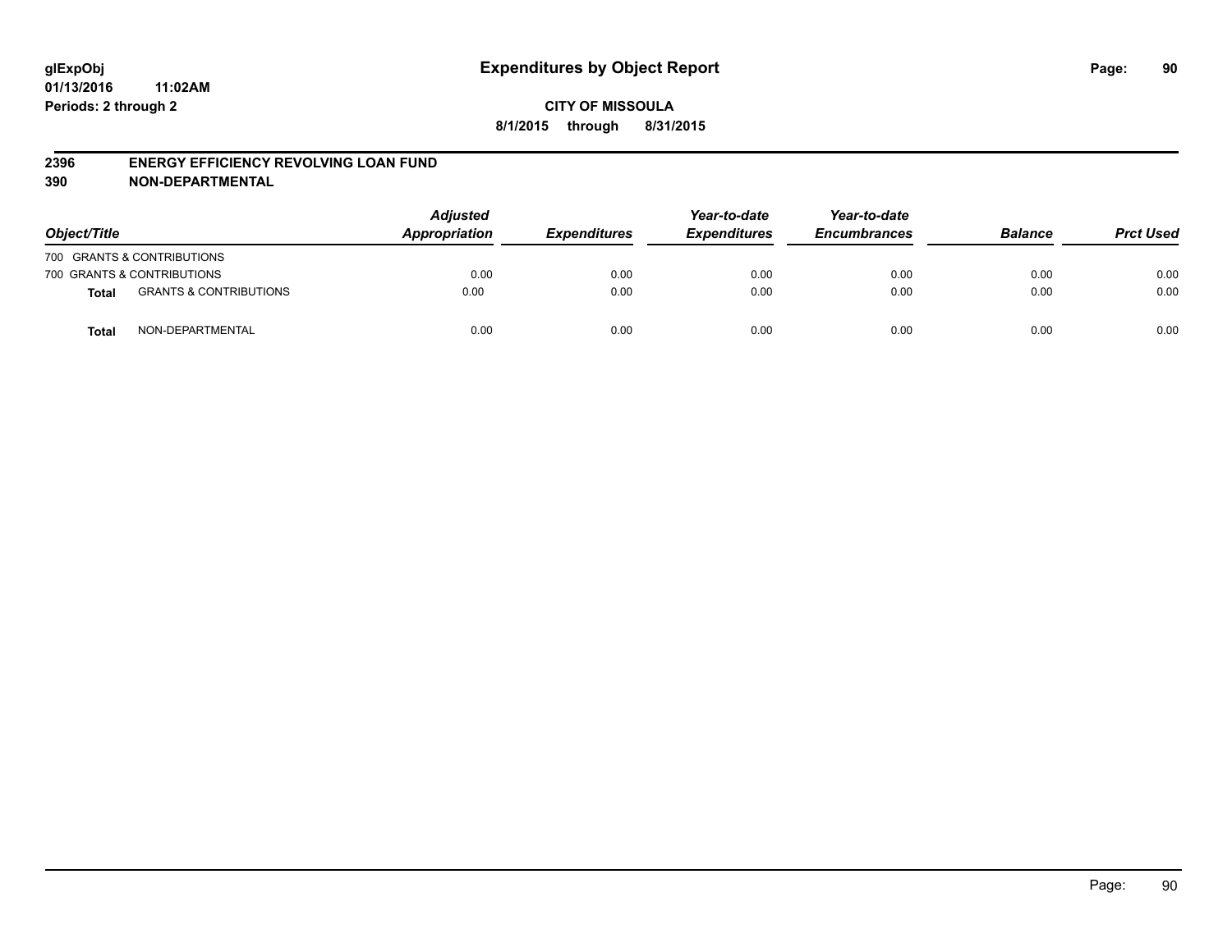#### **2396 ENERGY EFFICIENCY REVOLVING LOAN FUND**

**390 NON-DEPARTMENTAL**

| Object/Title |                                   | <b>Adjusted</b><br>Appropriation | <b>Expenditures</b> | Year-to-date<br><b>Expenditures</b> | Year-to-date<br><b>Encumbrances</b> | <b>Balance</b> | <b>Prct Used</b> |
|--------------|-----------------------------------|----------------------------------|---------------------|-------------------------------------|-------------------------------------|----------------|------------------|
|              | 700 GRANTS & CONTRIBUTIONS        |                                  |                     |                                     |                                     |                |                  |
|              | 700 GRANTS & CONTRIBUTIONS        | 0.00                             | 0.00                | 0.00                                | 0.00                                | 0.00           | 0.00             |
| <b>Total</b> | <b>GRANTS &amp; CONTRIBUTIONS</b> | 0.00                             | 0.00                | 0.00                                | 0.00                                | 0.00           | 0.00             |
| <b>Total</b> | NON-DEPARTMENTAL                  | 0.00                             | 0.00                | 0.00                                | 0.00                                | 0.00           | 0.00             |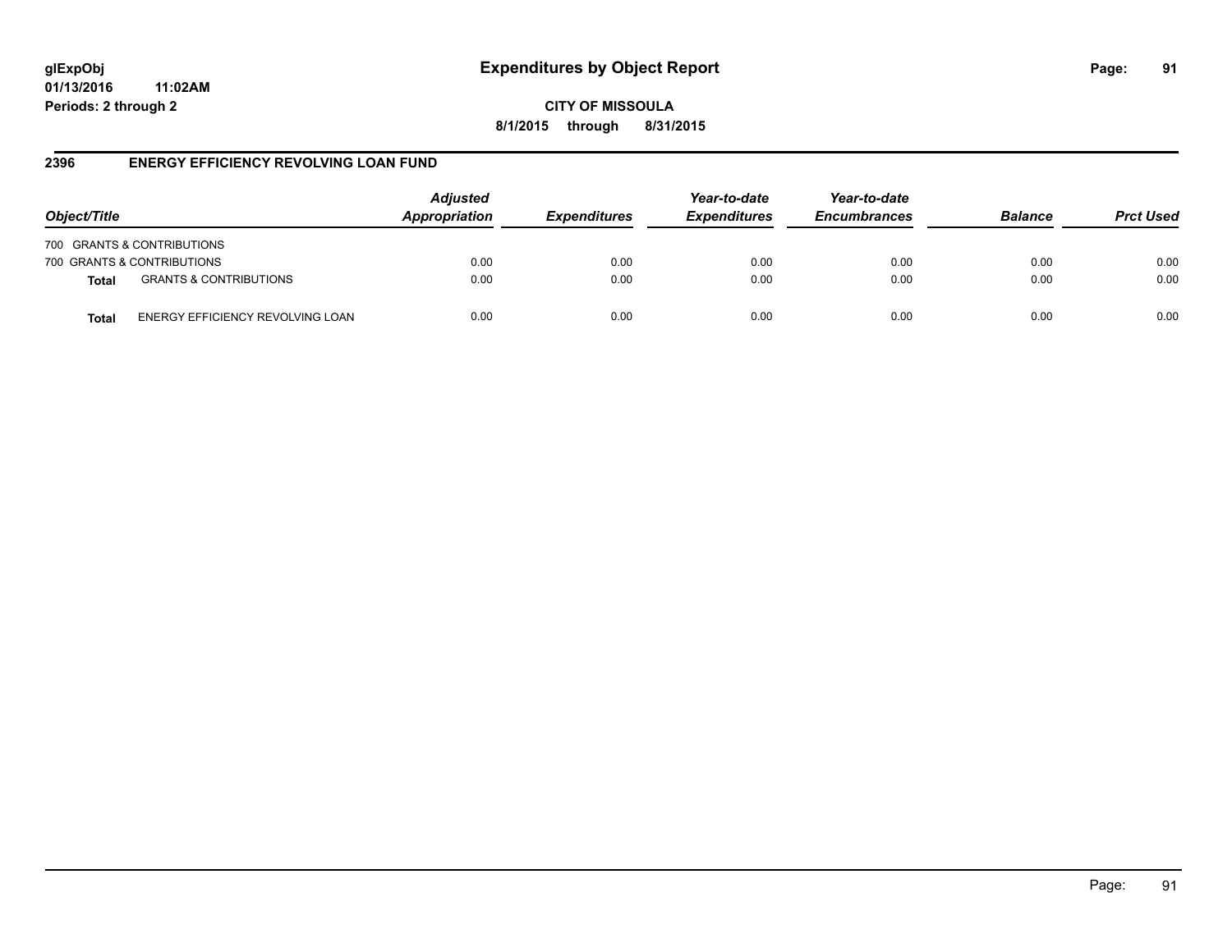# **glExpObj Expenditures by Object Report Page: 91**

**01/13/2016 11:02AM Periods: 2 through 2**

**CITY OF MISSOULA 8/1/2015 through 8/31/2015**

### **2396 ENERGY EFFICIENCY REVOLVING LOAN FUND**

| Object/Title                                     | <b>Adjusted</b><br>Appropriation | <i><b>Expenditures</b></i> | Year-to-date<br><b>Expenditures</b> | Year-to-date<br><b>Encumbrances</b> | <b>Balance</b> | <b>Prct Used</b> |
|--------------------------------------------------|----------------------------------|----------------------------|-------------------------------------|-------------------------------------|----------------|------------------|
| 700 GRANTS & CONTRIBUTIONS                       |                                  |                            |                                     |                                     |                |                  |
| 700 GRANTS & CONTRIBUTIONS                       | 0.00                             | 0.00                       | 0.00                                | 0.00                                | 0.00           | 0.00             |
| <b>GRANTS &amp; CONTRIBUTIONS</b><br>Total       | 0.00                             | 0.00                       | 0.00                                | 0.00                                | 0.00           | 0.00             |
| ENERGY EFFICIENCY REVOLVING LOAN<br><b>Total</b> | 0.00                             | 0.00                       | 0.00                                | 0.00                                | 0.00           | 0.00             |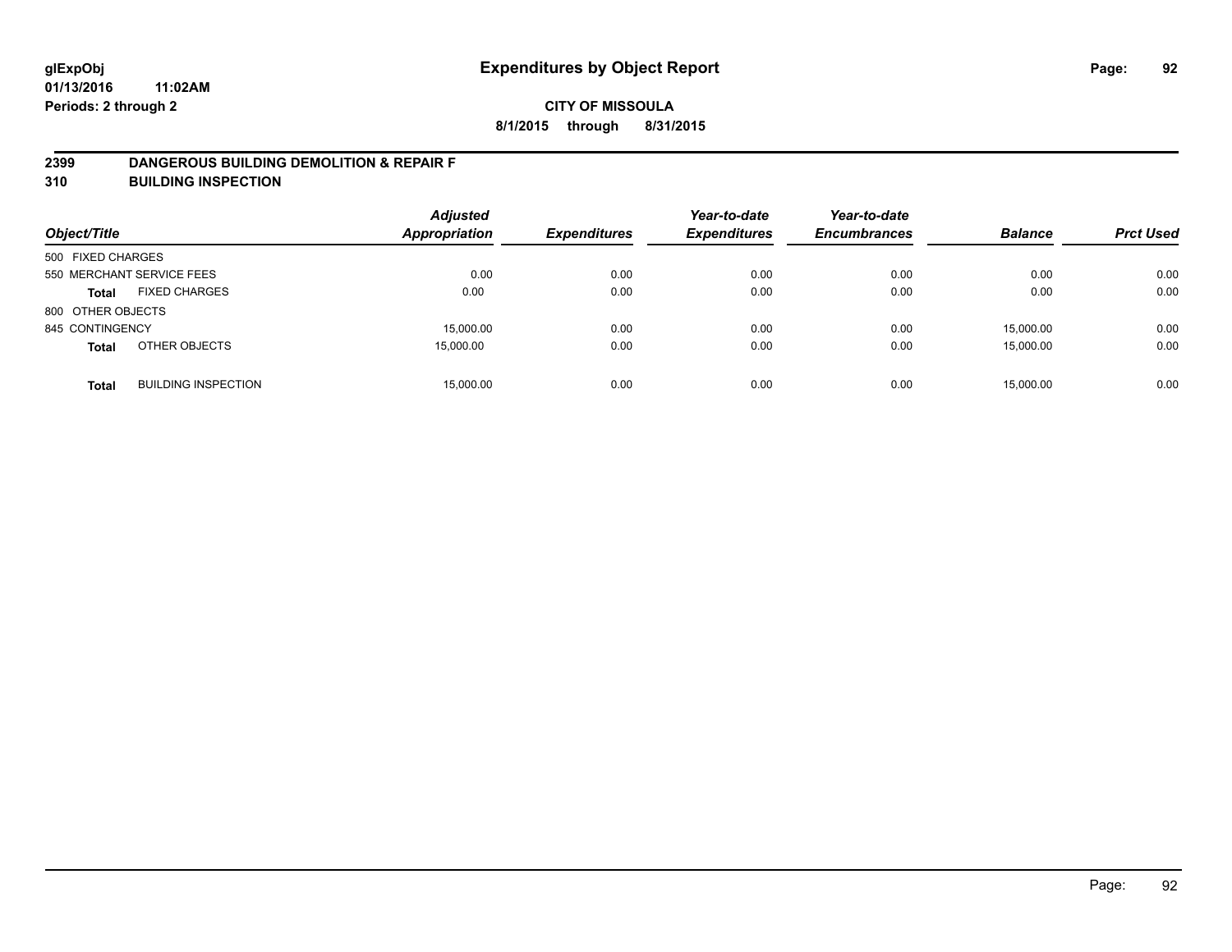#### **2399 DANGEROUS BUILDING DEMOLITION & REPAIR F**

**310 BUILDING INSPECTION**

| Object/Title      |                            | <b>Adjusted</b><br><b>Appropriation</b> | <b>Expenditures</b> | Year-to-date<br><b>Expenditures</b> | Year-to-date<br><b>Encumbrances</b> | <b>Balance</b> | <b>Prct Used</b> |
|-------------------|----------------------------|-----------------------------------------|---------------------|-------------------------------------|-------------------------------------|----------------|------------------|
| 500 FIXED CHARGES |                            |                                         |                     |                                     |                                     |                |                  |
|                   | 550 MERCHANT SERVICE FEES  | 0.00                                    | 0.00                | 0.00                                | 0.00                                | 0.00           | 0.00             |
| <b>Total</b>      | <b>FIXED CHARGES</b>       | 0.00                                    | 0.00                | 0.00                                | 0.00                                | 0.00           | 0.00             |
| 800 OTHER OBJECTS |                            |                                         |                     |                                     |                                     |                |                  |
| 845 CONTINGENCY   |                            | 15,000.00                               | 0.00                | 0.00                                | 0.00                                | 15,000.00      | 0.00             |
| <b>Total</b>      | OTHER OBJECTS              | 15,000.00                               | 0.00                | 0.00                                | 0.00                                | 15,000.00      | 0.00             |
| <b>Total</b>      | <b>BUILDING INSPECTION</b> | 15,000.00                               | 0.00                | 0.00                                | 0.00                                | 15,000.00      | 0.00             |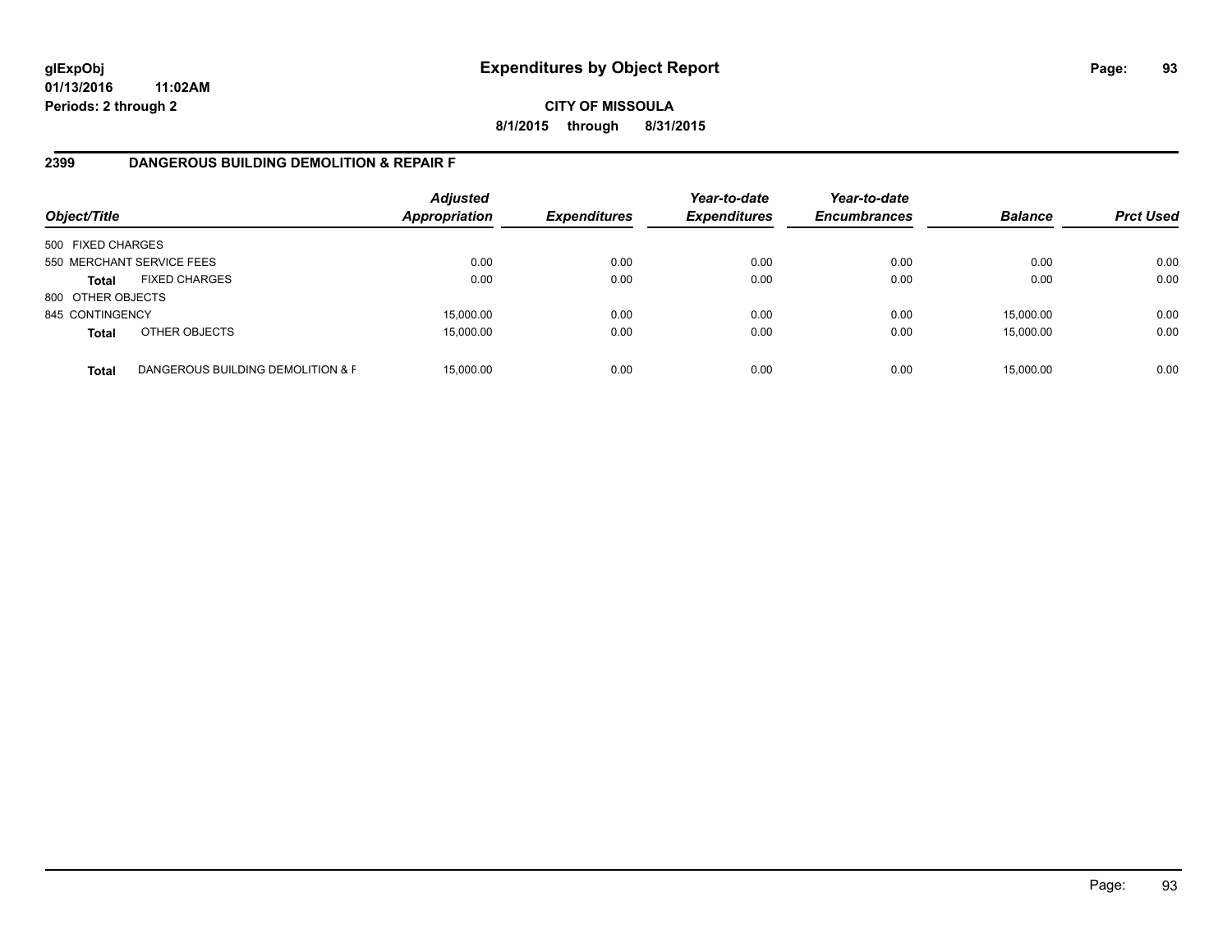## **CITY OF MISSOULA 8/1/2015 through 8/31/2015**

## **2399 DANGEROUS BUILDING DEMOLITION & REPAIR F**

| Object/Title      |                                   | <b>Adjusted</b><br><b>Appropriation</b> | <b>Expenditures</b> | Year-to-date<br><b>Expenditures</b> | Year-to-date<br><b>Encumbrances</b> | <b>Balance</b> | <b>Prct Used</b> |
|-------------------|-----------------------------------|-----------------------------------------|---------------------|-------------------------------------|-------------------------------------|----------------|------------------|
| 500 FIXED CHARGES |                                   |                                         |                     |                                     |                                     |                |                  |
|                   | 550 MERCHANT SERVICE FEES         | 0.00                                    | 0.00                | 0.00                                | 0.00                                | 0.00           | 0.00             |
| <b>Total</b>      | <b>FIXED CHARGES</b>              | 0.00                                    | 0.00                | 0.00                                | 0.00                                | 0.00           | 0.00             |
| 800 OTHER OBJECTS |                                   |                                         |                     |                                     |                                     |                |                  |
| 845 CONTINGENCY   |                                   | 15,000.00                               | 0.00                | 0.00                                | 0.00                                | 15,000.00      | 0.00             |
| <b>Total</b>      | OTHER OBJECTS                     | 15,000.00                               | 0.00                | 0.00                                | 0.00                                | 15,000.00      | 0.00             |
| <b>Total</b>      | DANGEROUS BUILDING DEMOLITION & F | 15.000.00                               | 0.00                | 0.00                                | 0.00                                | 15,000.00      | 0.00             |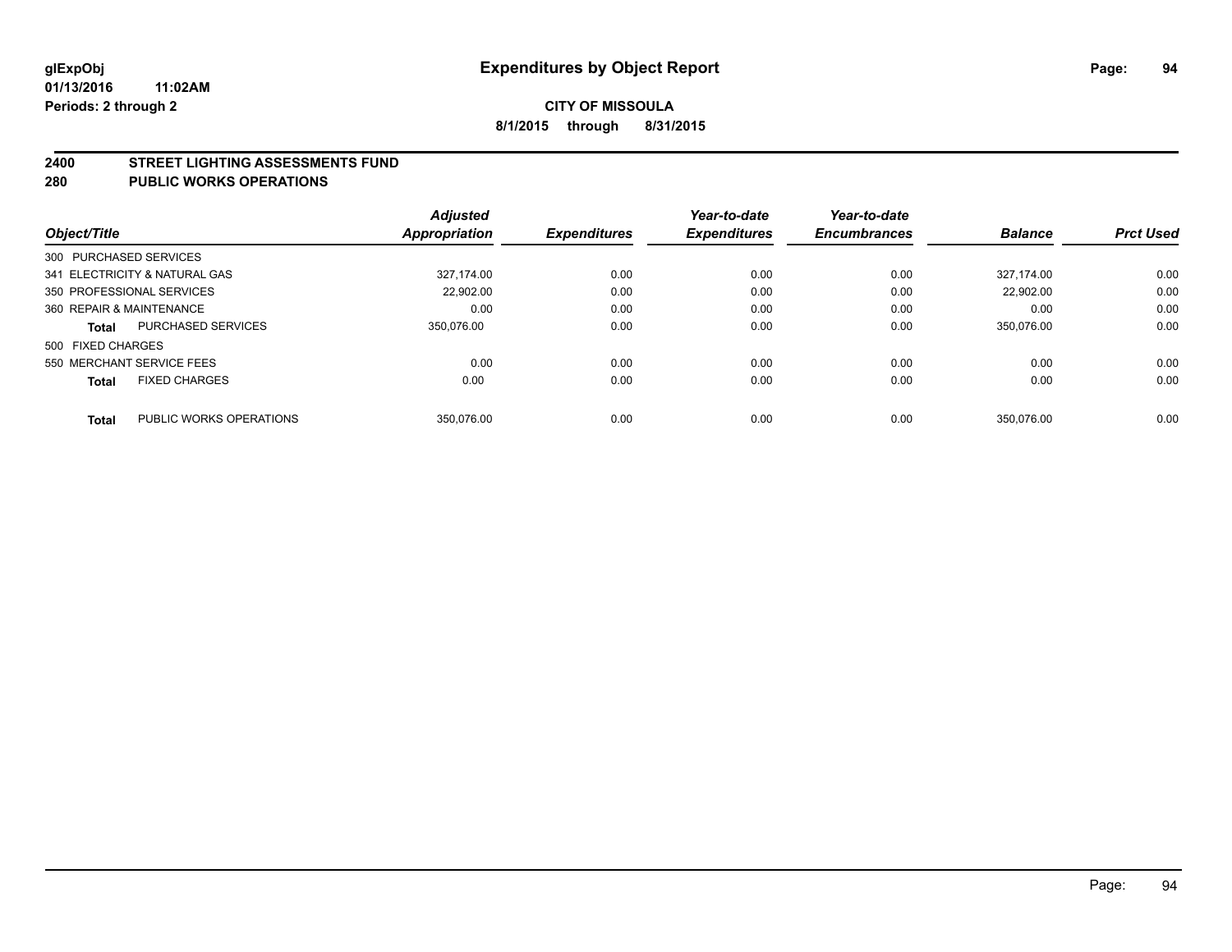#### **2400 STREET LIGHTING ASSESSMENTS FUND**

#### **280 PUBLIC WORKS OPERATIONS**

| Object/Title                  |                           | Adjusted<br>Appropriation | <b>Expenditures</b> | Year-to-date<br><b>Expenditures</b> | Year-to-date<br><b>Encumbrances</b> | <b>Balance</b> | <b>Prct Used</b> |
|-------------------------------|---------------------------|---------------------------|---------------------|-------------------------------------|-------------------------------------|----------------|------------------|
| 300 PURCHASED SERVICES        |                           |                           |                     |                                     |                                     |                |                  |
| 341 ELECTRICITY & NATURAL GAS |                           | 327.174.00                | 0.00                | 0.00                                | 0.00                                | 327.174.00     | 0.00             |
| 350 PROFESSIONAL SERVICES     |                           | 22.902.00                 | 0.00                | 0.00                                | 0.00                                | 22.902.00      | 0.00             |
| 360 REPAIR & MAINTENANCE      |                           | 0.00                      | 0.00                | 0.00                                | 0.00                                | 0.00           | 0.00             |
| <b>Total</b>                  | <b>PURCHASED SERVICES</b> | 350.076.00                | 0.00                | 0.00                                | 0.00                                | 350.076.00     | 0.00             |
| 500 FIXED CHARGES             |                           |                           |                     |                                     |                                     |                |                  |
| 550 MERCHANT SERVICE FEES     |                           | 0.00                      | 0.00                | 0.00                                | 0.00                                | 0.00           | 0.00             |
| <b>Total</b>                  | <b>FIXED CHARGES</b>      | 0.00                      | 0.00                | 0.00                                | 0.00                                | 0.00           | 0.00             |
| <b>Total</b>                  | PUBLIC WORKS OPERATIONS   | 350.076.00                | 0.00                | 0.00                                | 0.00                                | 350.076.00     | 0.00             |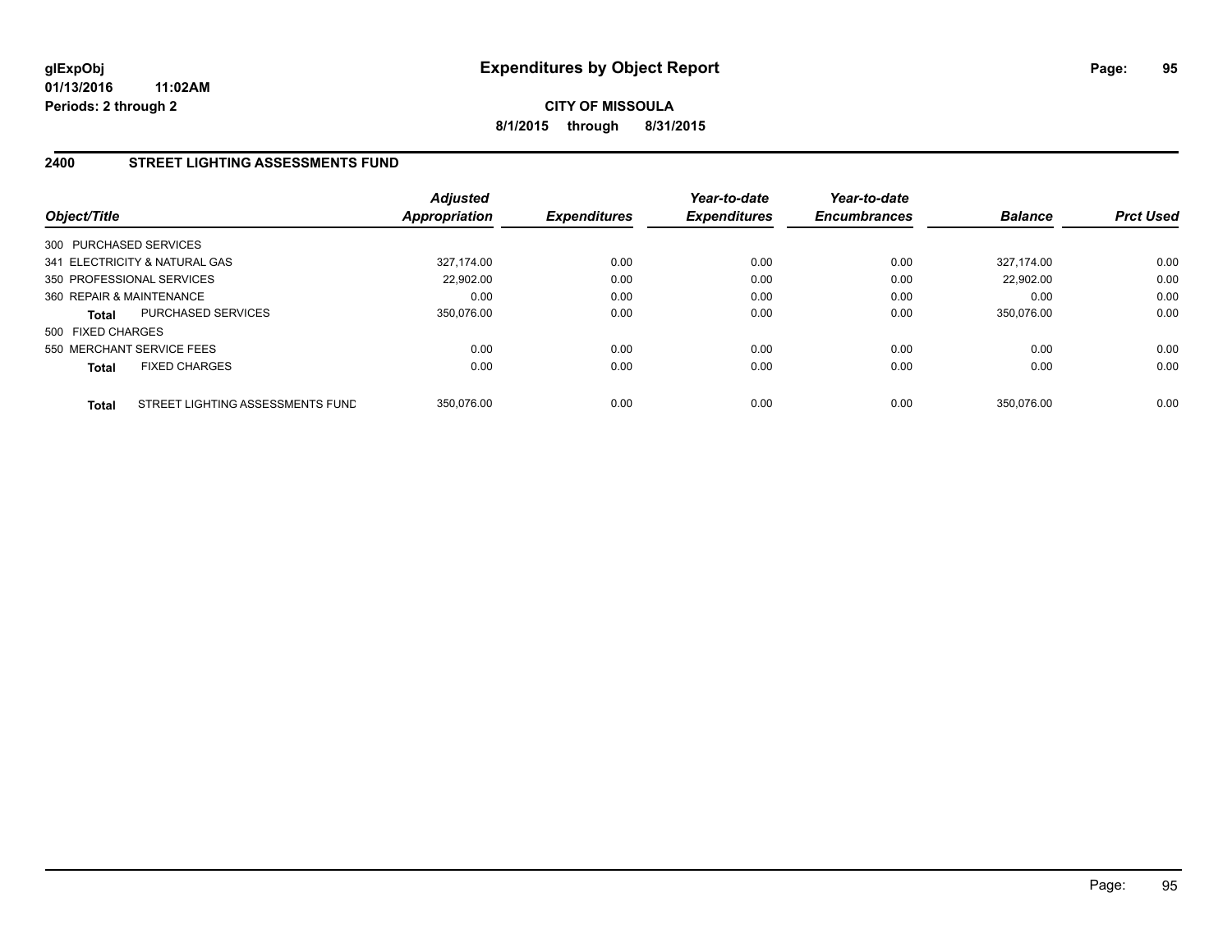## **CITY OF MISSOULA 8/1/2015 through 8/31/2015**

## **2400 STREET LIGHTING ASSESSMENTS FUND**

| Object/Title              |                                  | <b>Adjusted</b><br>Appropriation | <b>Expenditures</b> | Year-to-date<br><b>Expenditures</b> | Year-to-date<br><b>Encumbrances</b> | <b>Balance</b> | <b>Prct Used</b> |
|---------------------------|----------------------------------|----------------------------------|---------------------|-------------------------------------|-------------------------------------|----------------|------------------|
| 300 PURCHASED SERVICES    |                                  |                                  |                     |                                     |                                     |                |                  |
|                           | 341 ELECTRICITY & NATURAL GAS    | 327.174.00                       | 0.00                | 0.00                                | 0.00                                | 327.174.00     | 0.00             |
| 350 PROFESSIONAL SERVICES |                                  | 22.902.00                        | 0.00                | 0.00                                | 0.00                                | 22.902.00      | 0.00             |
| 360 REPAIR & MAINTENANCE  |                                  | 0.00                             | 0.00                | 0.00                                | 0.00                                | 0.00           | 0.00             |
| <b>Total</b>              | PURCHASED SERVICES               | 350,076.00                       | 0.00                | 0.00                                | 0.00                                | 350.076.00     | 0.00             |
| 500 FIXED CHARGES         |                                  |                                  |                     |                                     |                                     |                |                  |
| 550 MERCHANT SERVICE FEES |                                  | 0.00                             | 0.00                | 0.00                                | 0.00                                | 0.00           | 0.00             |
| <b>Total</b>              | <b>FIXED CHARGES</b>             | 0.00                             | 0.00                | 0.00                                | 0.00                                | 0.00           | 0.00             |
| <b>Total</b>              | STREET LIGHTING ASSESSMENTS FUND | 350.076.00                       | 0.00                | 0.00                                | 0.00                                | 350.076.00     | 0.00             |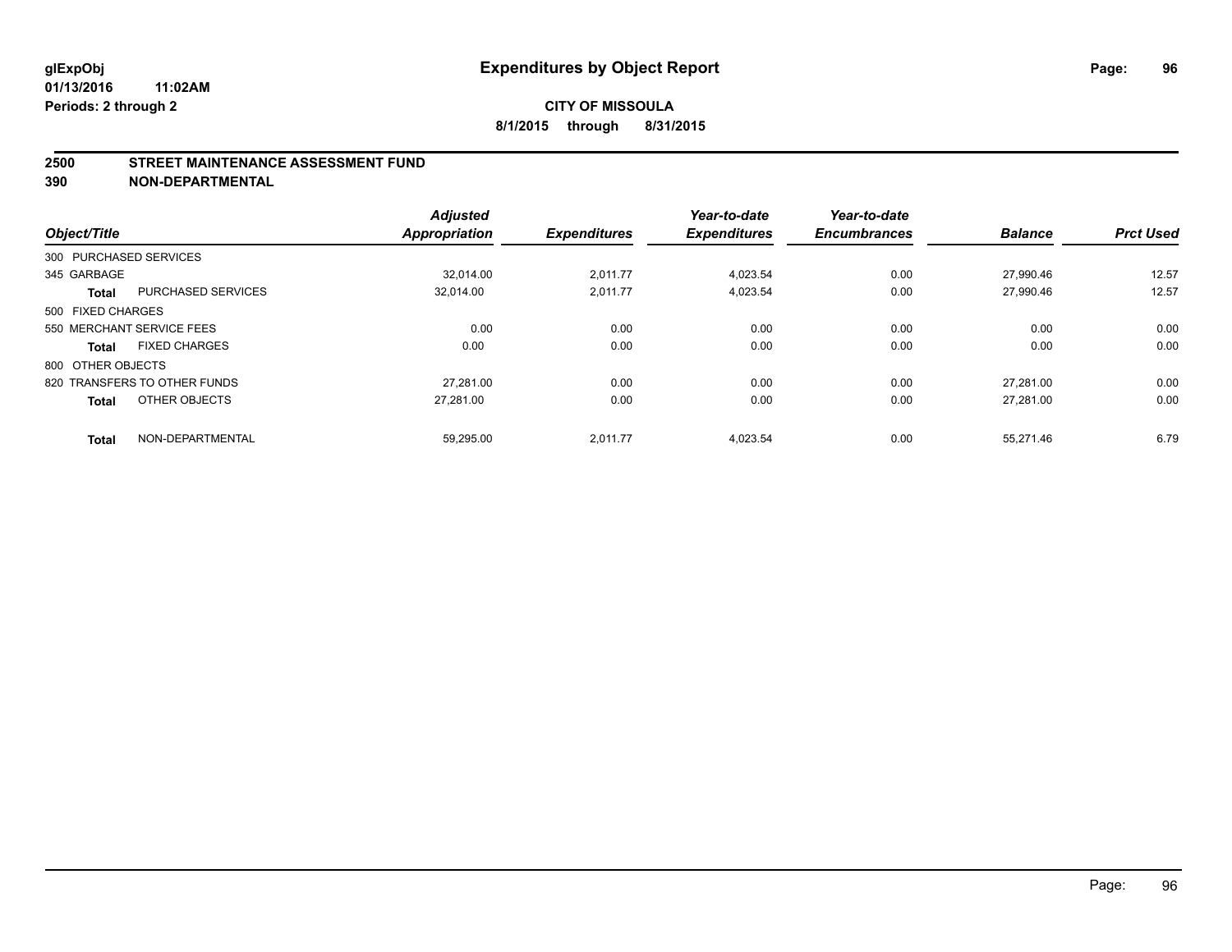#### **2500 STREET MAINTENANCE ASSESSMENT FUND**

**390 NON-DEPARTMENTAL**

| Object/Title           |                              | <b>Adjusted</b><br><b>Appropriation</b> | <b>Expenditures</b> | Year-to-date<br><b>Expenditures</b> | Year-to-date<br><b>Encumbrances</b> | <b>Balance</b> | <b>Prct Used</b> |
|------------------------|------------------------------|-----------------------------------------|---------------------|-------------------------------------|-------------------------------------|----------------|------------------|
|                        |                              |                                         |                     |                                     |                                     |                |                  |
| 300 PURCHASED SERVICES |                              |                                         |                     |                                     |                                     |                |                  |
| 345 GARBAGE            |                              | 32.014.00                               | 2,011.77            | 4,023.54                            | 0.00                                | 27,990.46      | 12.57            |
| <b>Total</b>           | <b>PURCHASED SERVICES</b>    | 32.014.00                               | 2.011.77            | 4,023.54                            | 0.00                                | 27.990.46      | 12.57            |
| 500 FIXED CHARGES      |                              |                                         |                     |                                     |                                     |                |                  |
|                        | 550 MERCHANT SERVICE FEES    | 0.00                                    | 0.00                | 0.00                                | 0.00                                | 0.00           | 0.00             |
| <b>Total</b>           | <b>FIXED CHARGES</b>         | 0.00                                    | 0.00                | 0.00                                | 0.00                                | 0.00           | 0.00             |
| 800 OTHER OBJECTS      |                              |                                         |                     |                                     |                                     |                |                  |
|                        | 820 TRANSFERS TO OTHER FUNDS | 27.281.00                               | 0.00                | 0.00                                | 0.00                                | 27.281.00      | 0.00             |
| <b>Total</b>           | OTHER OBJECTS                | 27,281.00                               | 0.00                | 0.00                                | 0.00                                | 27,281.00      | 0.00             |
|                        |                              |                                         |                     |                                     |                                     |                |                  |
| <b>Total</b>           | NON-DEPARTMENTAL             | 59,295.00                               | 2,011.77            | 4,023.54                            | 0.00                                | 55,271.46      | 6.79             |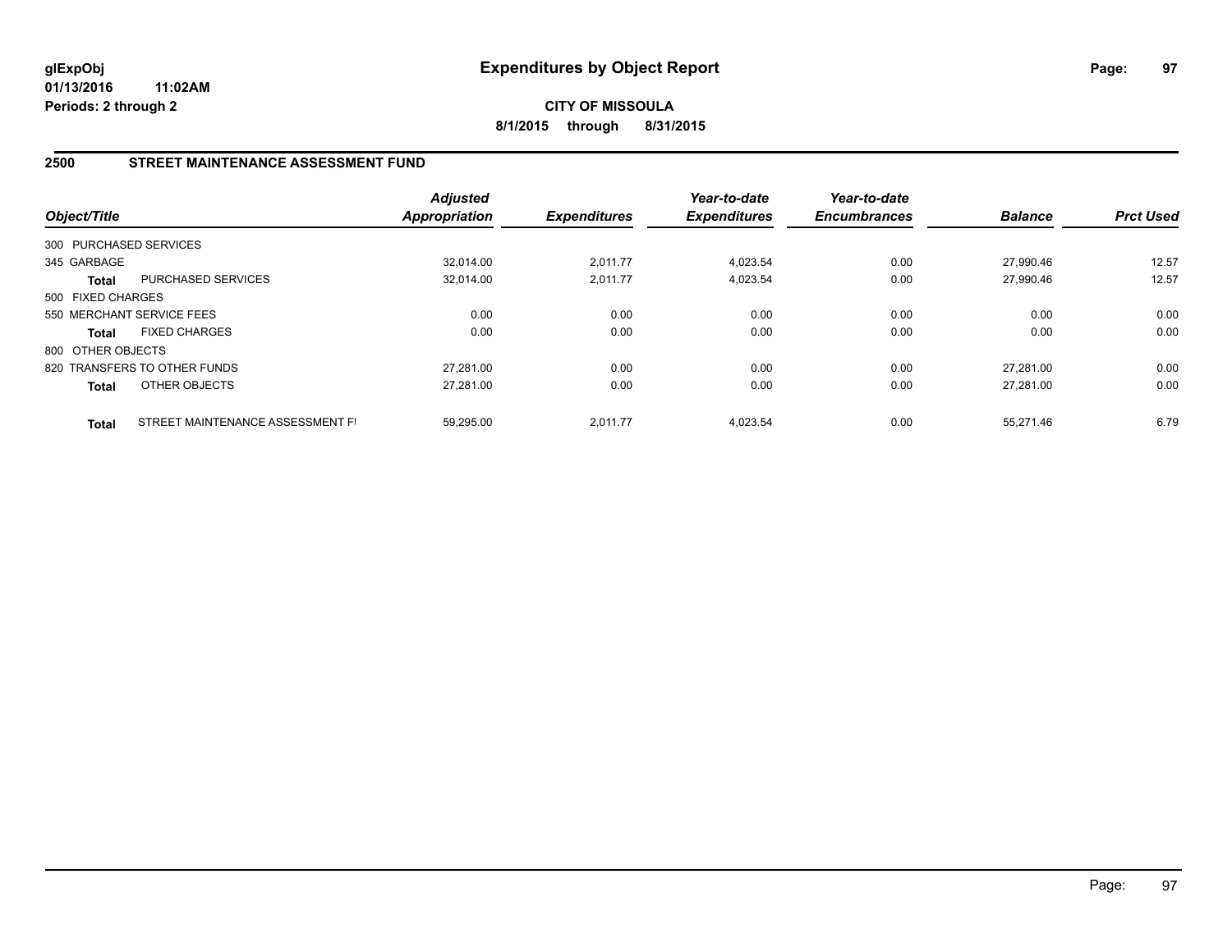**CITY OF MISSOULA 8/1/2015 through 8/31/2015**

## **2500 STREET MAINTENANCE ASSESSMENT FUND**

| Object/Title           |                                  | <b>Adjusted</b><br><b>Appropriation</b> | <b>Expenditures</b> | Year-to-date<br><b>Expenditures</b> | Year-to-date<br><b>Encumbrances</b> | <b>Balance</b> | <b>Prct Used</b> |
|------------------------|----------------------------------|-----------------------------------------|---------------------|-------------------------------------|-------------------------------------|----------------|------------------|
| 300 PURCHASED SERVICES |                                  |                                         |                     |                                     |                                     |                |                  |
| 345 GARBAGE            |                                  | 32.014.00                               | 2,011.77            | 4,023.54                            | 0.00                                | 27.990.46      | 12.57            |
| Total                  | PURCHASED SERVICES               | 32,014.00                               | 2,011.77            | 4,023.54                            | 0.00                                | 27,990.46      | 12.57            |
| 500 FIXED CHARGES      |                                  |                                         |                     |                                     |                                     |                |                  |
|                        | 550 MERCHANT SERVICE FEES        | 0.00                                    | 0.00                | 0.00                                | 0.00                                | 0.00           | 0.00             |
| <b>Total</b>           | <b>FIXED CHARGES</b>             | 0.00                                    | 0.00                | 0.00                                | 0.00                                | 0.00           | 0.00             |
| 800 OTHER OBJECTS      |                                  |                                         |                     |                                     |                                     |                |                  |
|                        | 820 TRANSFERS TO OTHER FUNDS     | 27.281.00                               | 0.00                | 0.00                                | 0.00                                | 27.281.00      | 0.00             |
| <b>Total</b>           | <b>OTHER OBJECTS</b>             | 27,281.00                               | 0.00                | 0.00                                | 0.00                                | 27.281.00      | 0.00             |
| <b>Total</b>           | STREET MAINTENANCE ASSESSMENT FI | 59.295.00                               | 2.011.77            | 4.023.54                            | 0.00                                | 55.271.46      | 6.79             |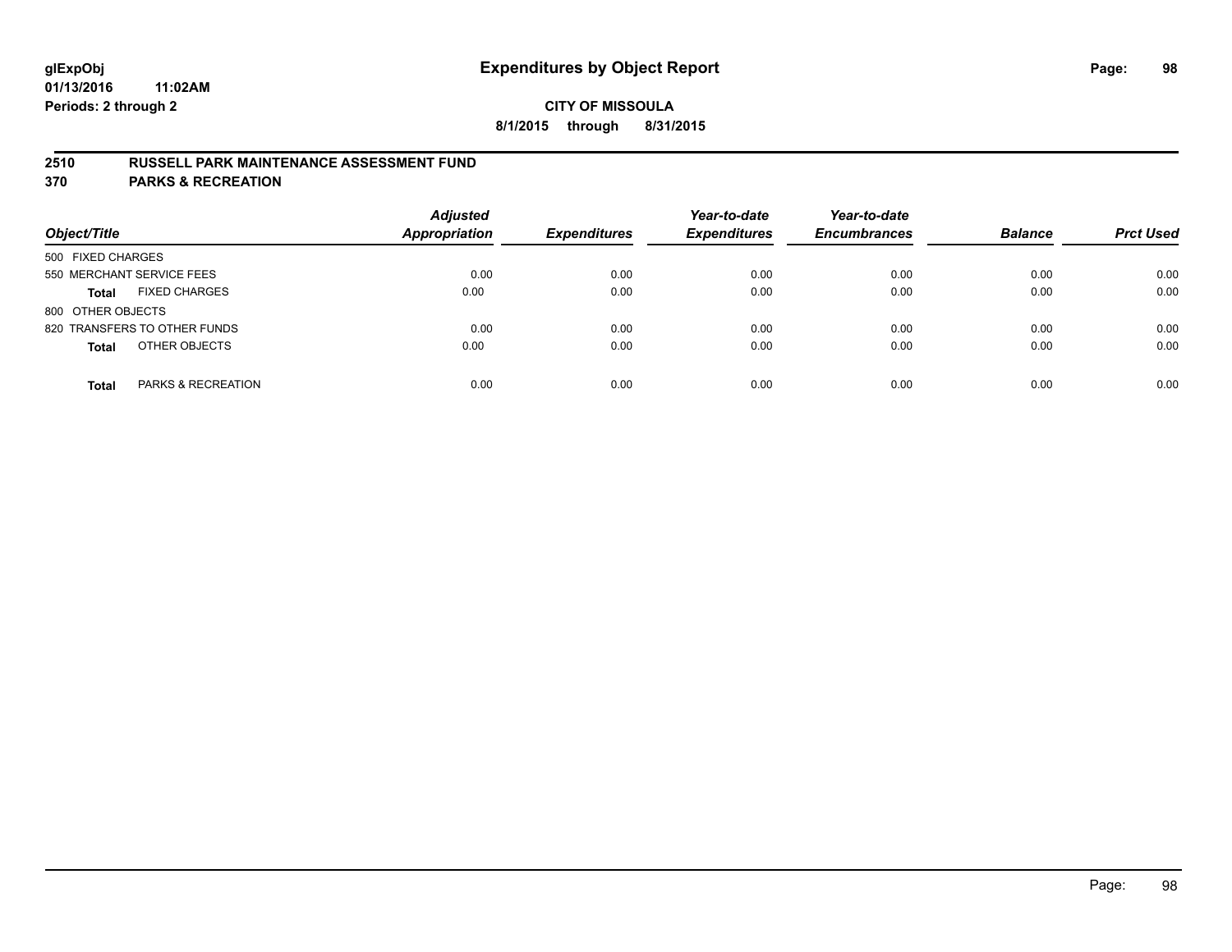## **2510 RUSSELL PARK MAINTENANCE ASSESSMENT FUND**

**370 PARKS & RECREATION**

| Object/Title                         | <b>Adjusted</b><br><b>Appropriation</b> | <b>Expenditures</b> | Year-to-date<br><b>Expenditures</b> | Year-to-date<br><b>Encumbrances</b> | <b>Balance</b> | <b>Prct Used</b> |
|--------------------------------------|-----------------------------------------|---------------------|-------------------------------------|-------------------------------------|----------------|------------------|
| 500 FIXED CHARGES                    |                                         |                     |                                     |                                     |                |                  |
| 550 MERCHANT SERVICE FEES            | 0.00                                    | 0.00                | 0.00                                | 0.00                                | 0.00           | 0.00             |
| <b>FIXED CHARGES</b><br><b>Total</b> | 0.00                                    | 0.00                | 0.00                                | 0.00                                | 0.00           | 0.00             |
| 800 OTHER OBJECTS                    |                                         |                     |                                     |                                     |                |                  |
| 820 TRANSFERS TO OTHER FUNDS         | 0.00                                    | 0.00                | 0.00                                | 0.00                                | 0.00           | 0.00             |
| OTHER OBJECTS<br><b>Total</b>        | 0.00                                    | 0.00                | 0.00                                | 0.00                                | 0.00           | 0.00             |
| PARKS & RECREATION<br><b>Total</b>   | 0.00                                    | 0.00                | 0.00                                | 0.00                                | 0.00           | 0.00             |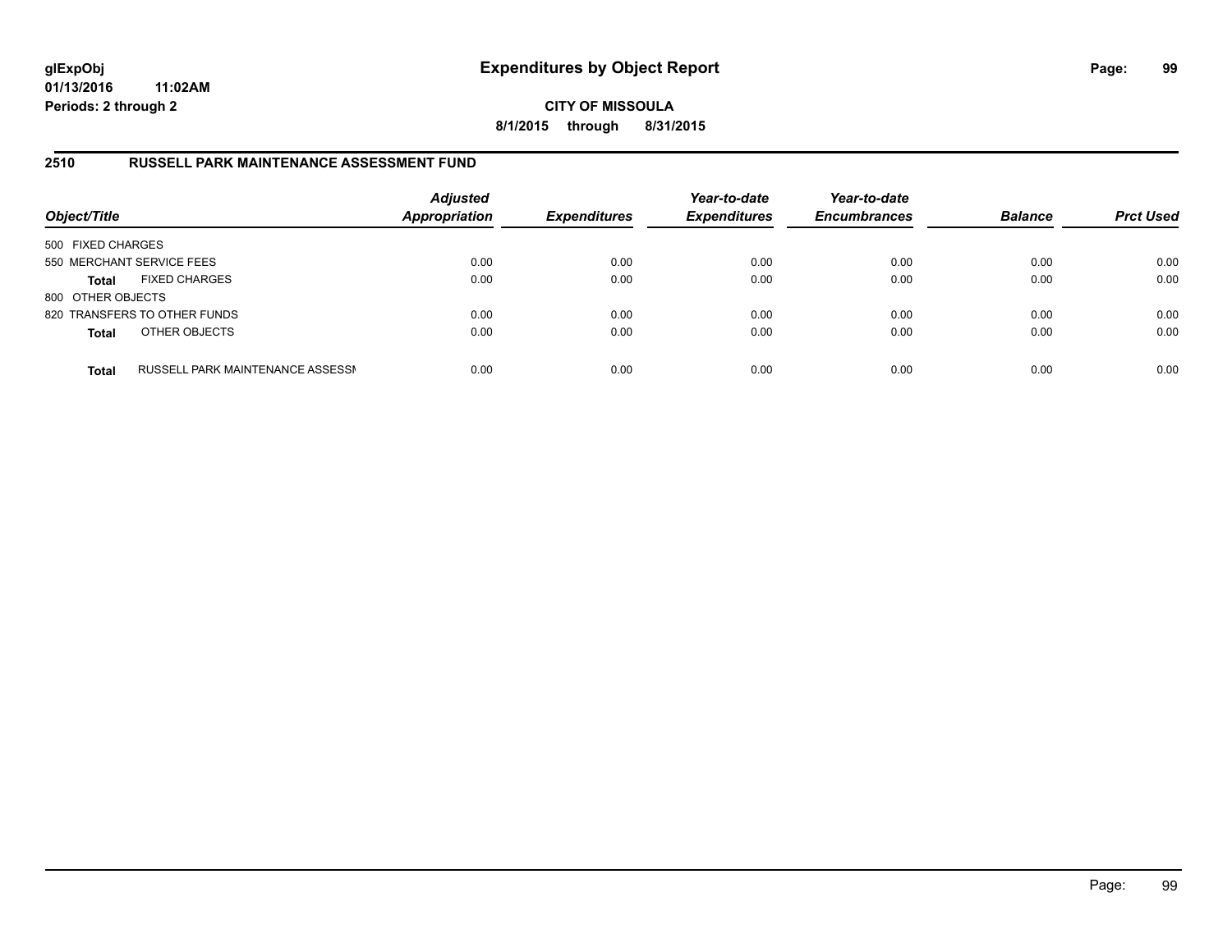**CITY OF MISSOULA 8/1/2015 through 8/31/2015**

### **2510 RUSSELL PARK MAINTENANCE ASSESSMENT FUND**

| Object/Title              |                                  | <b>Adjusted</b><br><b>Appropriation</b> | <b>Expenditures</b> | Year-to-date<br><b>Expenditures</b> | Year-to-date<br><b>Encumbrances</b> | <b>Balance</b> | <b>Prct Used</b> |
|---------------------------|----------------------------------|-----------------------------------------|---------------------|-------------------------------------|-------------------------------------|----------------|------------------|
| 500 FIXED CHARGES         |                                  |                                         |                     |                                     |                                     |                |                  |
| 550 MERCHANT SERVICE FEES |                                  | 0.00                                    | 0.00                | 0.00                                | 0.00                                | 0.00           | 0.00             |
| <b>Total</b>              | <b>FIXED CHARGES</b>             | 0.00                                    | 0.00                | 0.00                                | 0.00                                | 0.00           | 0.00             |
| 800 OTHER OBJECTS         |                                  |                                         |                     |                                     |                                     |                |                  |
|                           | 820 TRANSFERS TO OTHER FUNDS     | 0.00                                    | 0.00                | 0.00                                | 0.00                                | 0.00           | 0.00             |
| <b>Total</b>              | OTHER OBJECTS                    | 0.00                                    | 0.00                | 0.00                                | 0.00                                | 0.00           | 0.00             |
| <b>Total</b>              | RUSSELL PARK MAINTENANCE ASSESSN | 0.00                                    | 0.00                | 0.00                                | 0.00                                | 0.00           | 0.00             |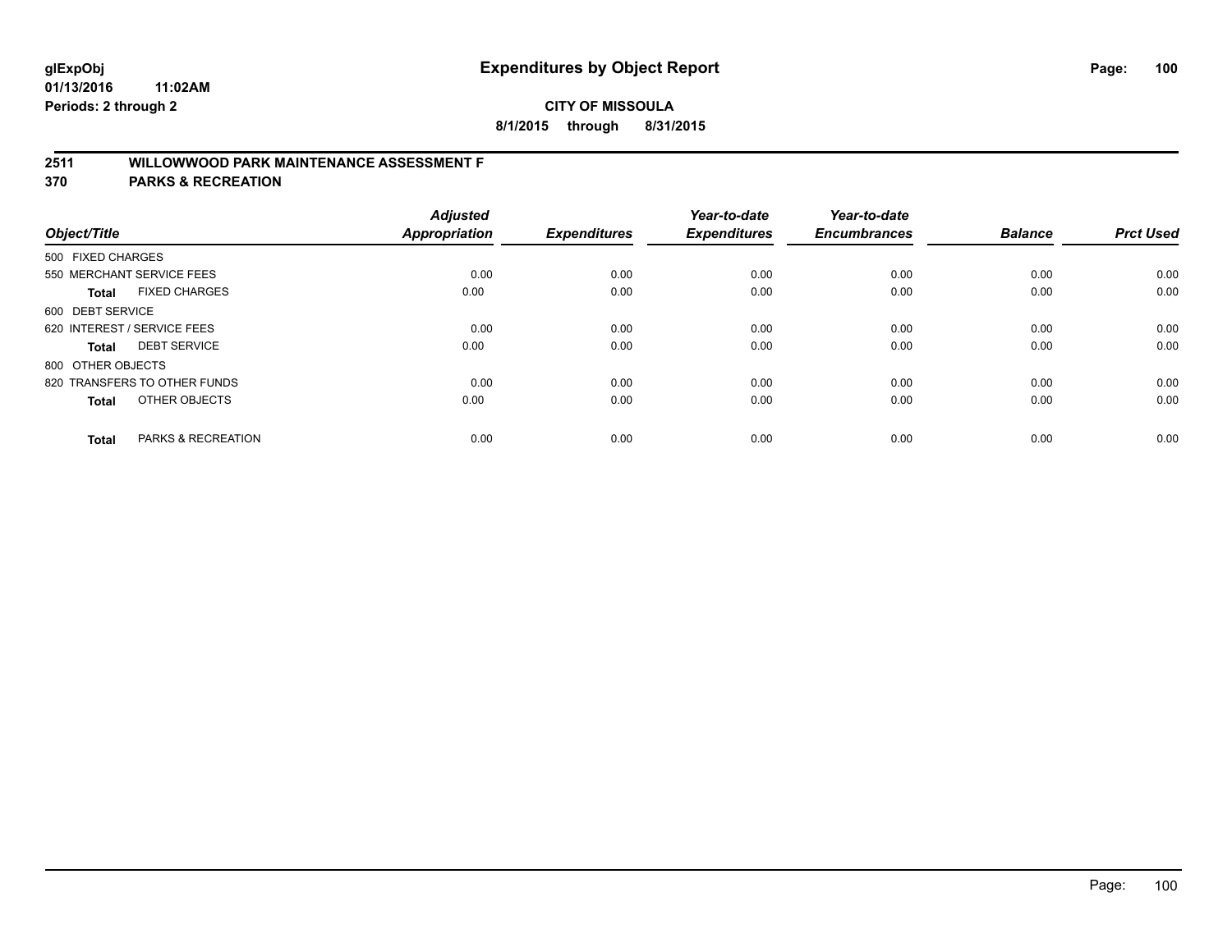## **2511 WILLOWWOOD PARK MAINTENANCE ASSESSMENT F**

**370 PARKS & RECREATION**

| Object/Title                |                               | <b>Adjusted</b><br><b>Appropriation</b> | <b>Expenditures</b> | Year-to-date<br><b>Expenditures</b> | Year-to-date<br><b>Encumbrances</b> | <b>Balance</b> | <b>Prct Used</b> |
|-----------------------------|-------------------------------|-----------------------------------------|---------------------|-------------------------------------|-------------------------------------|----------------|------------------|
| 500 FIXED CHARGES           |                               |                                         |                     |                                     |                                     |                |                  |
|                             | 550 MERCHANT SERVICE FEES     | 0.00                                    | 0.00                | 0.00                                | 0.00                                | 0.00           | 0.00             |
| <b>Total</b>                | <b>FIXED CHARGES</b>          | 0.00                                    | 0.00                | 0.00                                | 0.00                                | 0.00           | 0.00             |
| 600 DEBT SERVICE            |                               |                                         |                     |                                     |                                     |                |                  |
| 620 INTEREST / SERVICE FEES |                               | 0.00                                    | 0.00                | 0.00                                | 0.00                                | 0.00           | 0.00             |
| Total                       | <b>DEBT SERVICE</b>           | 0.00                                    | 0.00                | 0.00                                | 0.00                                | 0.00           | 0.00             |
| 800 OTHER OBJECTS           |                               |                                         |                     |                                     |                                     |                |                  |
|                             | 820 TRANSFERS TO OTHER FUNDS  | 0.00                                    | 0.00                | 0.00                                | 0.00                                | 0.00           | 0.00             |
| Total                       | OTHER OBJECTS                 | 0.00                                    | 0.00                | 0.00                                | 0.00                                | 0.00           | 0.00             |
|                             |                               |                                         |                     |                                     |                                     |                |                  |
| <b>Total</b>                | <b>PARKS &amp; RECREATION</b> | 0.00                                    | 0.00                | 0.00                                | 0.00                                | 0.00           | 0.00             |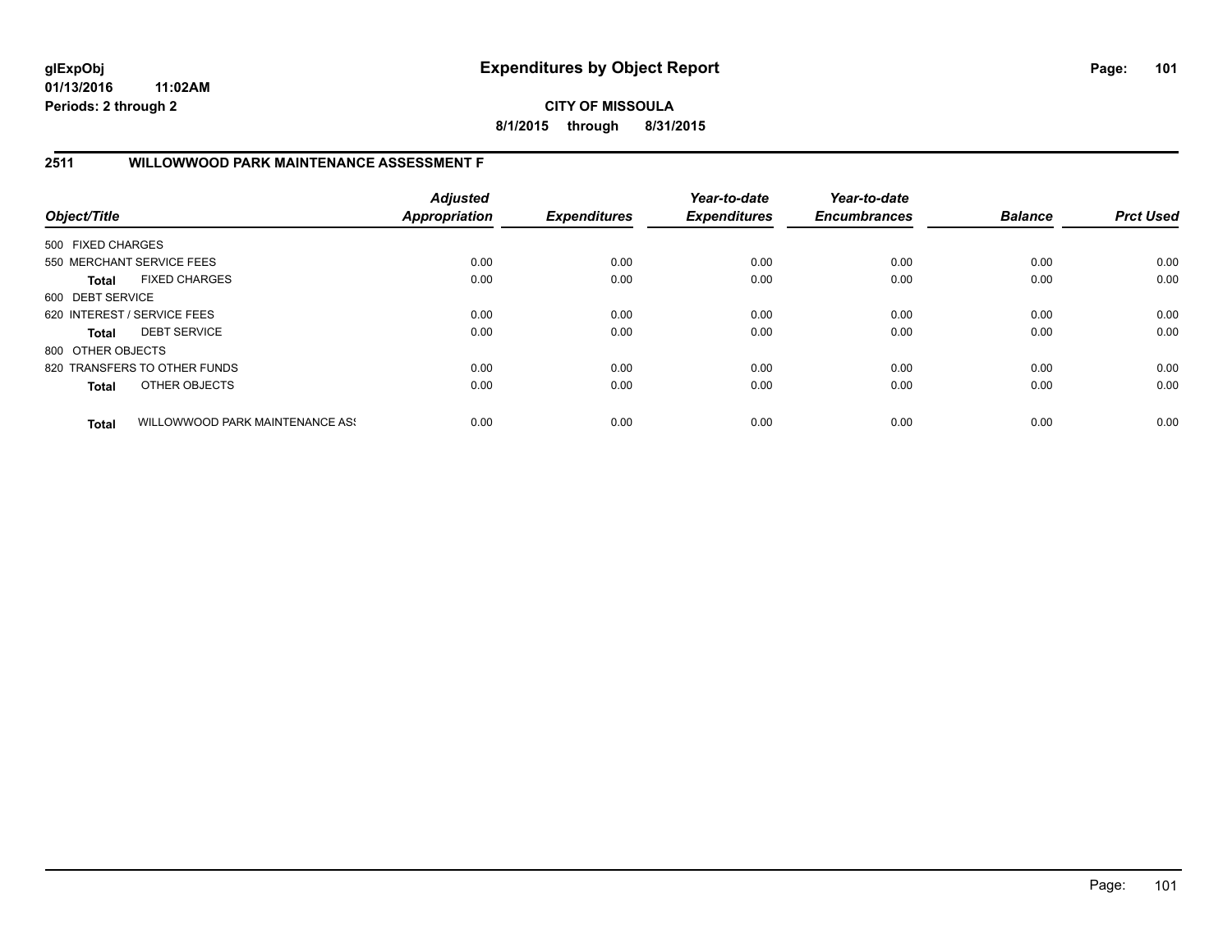**CITY OF MISSOULA 8/1/2015 through 8/31/2015**

## **2511 WILLOWWOOD PARK MAINTENANCE ASSESSMENT F**

| Object/Title                |                                 | <b>Adjusted</b><br><b>Appropriation</b> | <b>Expenditures</b> | Year-to-date<br><b>Expenditures</b> | Year-to-date<br><b>Encumbrances</b> | <b>Balance</b> | <b>Prct Used</b> |
|-----------------------------|---------------------------------|-----------------------------------------|---------------------|-------------------------------------|-------------------------------------|----------------|------------------|
| 500 FIXED CHARGES           |                                 |                                         |                     |                                     |                                     |                |                  |
|                             | 550 MERCHANT SERVICE FEES       | 0.00                                    | 0.00                | 0.00                                | 0.00                                | 0.00           | 0.00             |
| Total                       | <b>FIXED CHARGES</b>            | 0.00                                    | 0.00                | 0.00                                | 0.00                                | 0.00           | 0.00             |
| 600 DEBT SERVICE            |                                 |                                         |                     |                                     |                                     |                |                  |
| 620 INTEREST / SERVICE FEES |                                 | 0.00                                    | 0.00                | 0.00                                | 0.00                                | 0.00           | 0.00             |
| Total                       | <b>DEBT SERVICE</b>             | 0.00                                    | 0.00                | 0.00                                | 0.00                                | 0.00           | 0.00             |
| 800 OTHER OBJECTS           |                                 |                                         |                     |                                     |                                     |                |                  |
|                             | 820 TRANSFERS TO OTHER FUNDS    | 0.00                                    | 0.00                | 0.00                                | 0.00                                | 0.00           | 0.00             |
| <b>Total</b>                | OTHER OBJECTS                   | 0.00                                    | 0.00                | 0.00                                | 0.00                                | 0.00           | 0.00             |
| <b>Total</b>                | WILLOWWOOD PARK MAINTENANCE ASS | 0.00                                    | 0.00                | 0.00                                | 0.00                                | 0.00           | 0.00             |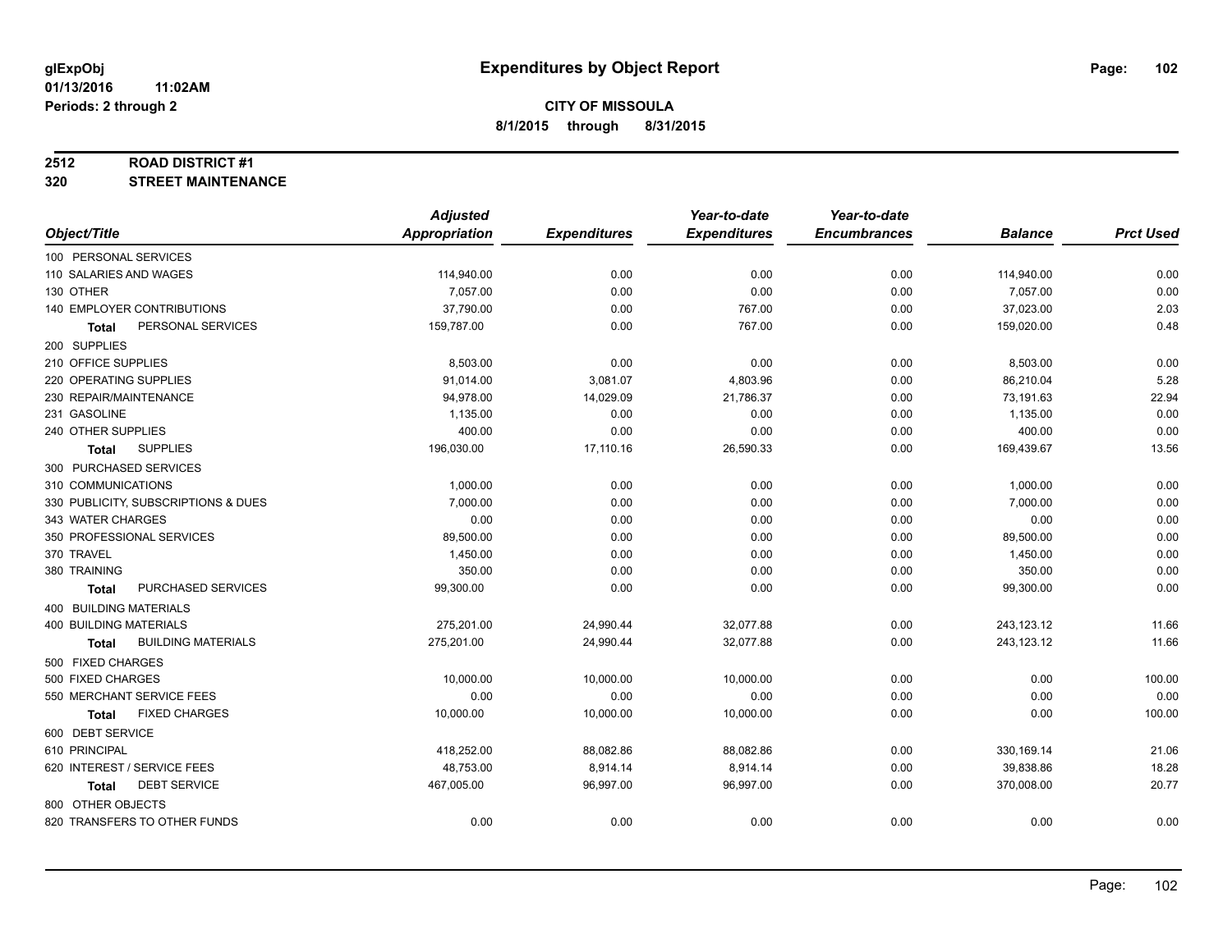#### **2512 ROAD DISTRICT #1**

**320 STREET MAINTENANCE**

|                                           | <b>Adjusted</b> |                     | Year-to-date        | Year-to-date        |                |                  |
|-------------------------------------------|-----------------|---------------------|---------------------|---------------------|----------------|------------------|
| Object/Title                              | Appropriation   | <b>Expenditures</b> | <b>Expenditures</b> | <b>Encumbrances</b> | <b>Balance</b> | <b>Prct Used</b> |
| 100 PERSONAL SERVICES                     |                 |                     |                     |                     |                |                  |
| 110 SALARIES AND WAGES                    | 114,940.00      | 0.00                | 0.00                | 0.00                | 114,940.00     | 0.00             |
| 130 OTHER                                 | 7,057.00        | 0.00                | 0.00                | 0.00                | 7,057.00       | 0.00             |
| 140 EMPLOYER CONTRIBUTIONS                | 37,790.00       | 0.00                | 767.00              | 0.00                | 37,023.00      | 2.03             |
| PERSONAL SERVICES<br><b>Total</b>         | 159,787.00      | 0.00                | 767.00              | 0.00                | 159,020.00     | 0.48             |
| 200 SUPPLIES                              |                 |                     |                     |                     |                |                  |
| 210 OFFICE SUPPLIES                       | 8,503.00        | 0.00                | 0.00                | 0.00                | 8,503.00       | 0.00             |
| 220 OPERATING SUPPLIES                    | 91,014.00       | 3,081.07            | 4,803.96            | 0.00                | 86,210.04      | 5.28             |
| 230 REPAIR/MAINTENANCE                    | 94,978.00       | 14,029.09           | 21,786.37           | 0.00                | 73,191.63      | 22.94            |
| 231 GASOLINE                              | 1,135.00        | 0.00                | 0.00                | 0.00                | 1,135.00       | 0.00             |
| 240 OTHER SUPPLIES                        | 400.00          | 0.00                | 0.00                | 0.00                | 400.00         | 0.00             |
| <b>SUPPLIES</b><br>Total                  | 196,030.00      | 17,110.16           | 26,590.33           | 0.00                | 169,439.67     | 13.56            |
| 300 PURCHASED SERVICES                    |                 |                     |                     |                     |                |                  |
| 310 COMMUNICATIONS                        | 1,000.00        | 0.00                | 0.00                | 0.00                | 1,000.00       | 0.00             |
| 330 PUBLICITY, SUBSCRIPTIONS & DUES       | 7,000.00        | 0.00                | 0.00                | 0.00                | 7,000.00       | 0.00             |
| 343 WATER CHARGES                         | 0.00            | 0.00                | 0.00                | 0.00                | 0.00           | 0.00             |
| 350 PROFESSIONAL SERVICES                 | 89,500.00       | 0.00                | 0.00                | 0.00                | 89,500.00      | 0.00             |
| 370 TRAVEL                                | 1,450.00        | 0.00                | 0.00                | 0.00                | 1,450.00       | 0.00             |
| 380 TRAINING                              | 350.00          | 0.00                | 0.00                | 0.00                | 350.00         | 0.00             |
| PURCHASED SERVICES<br><b>Total</b>        | 99,300.00       | 0.00                | 0.00                | 0.00                | 99,300.00      | 0.00             |
| 400 BUILDING MATERIALS                    |                 |                     |                     |                     |                |                  |
| <b>400 BUILDING MATERIALS</b>             | 275,201.00      | 24,990.44           | 32,077.88           | 0.00                | 243,123.12     | 11.66            |
| <b>BUILDING MATERIALS</b><br><b>Total</b> | 275,201.00      | 24,990.44           | 32,077.88           | 0.00                | 243,123.12     | 11.66            |
| 500 FIXED CHARGES                         |                 |                     |                     |                     |                |                  |
| 500 FIXED CHARGES                         | 10,000.00       | 10,000.00           | 10,000.00           | 0.00                | 0.00           | 100.00           |
| 550 MERCHANT SERVICE FEES                 | 0.00            | 0.00                | 0.00                | 0.00                | 0.00           | 0.00             |
| <b>FIXED CHARGES</b><br><b>Total</b>      | 10,000.00       | 10,000.00           | 10,000.00           | 0.00                | 0.00           | 100.00           |
| 600 DEBT SERVICE                          |                 |                     |                     |                     |                |                  |
| 610 PRINCIPAL                             | 418,252.00      | 88,082.86           | 88,082.86           | 0.00                | 330,169.14     | 21.06            |
| 620 INTEREST / SERVICE FEES               | 48,753.00       | 8,914.14            | 8,914.14            | 0.00                | 39,838.86      | 18.28            |
| <b>DEBT SERVICE</b><br><b>Total</b>       | 467,005.00      | 96,997.00           | 96,997.00           | 0.00                | 370,008.00     | 20.77            |
| 800 OTHER OBJECTS                         |                 |                     |                     |                     |                |                  |
| 820 TRANSFERS TO OTHER FUNDS              | 0.00            | 0.00                | 0.00                | 0.00                | 0.00           | 0.00             |
|                                           |                 |                     |                     |                     |                |                  |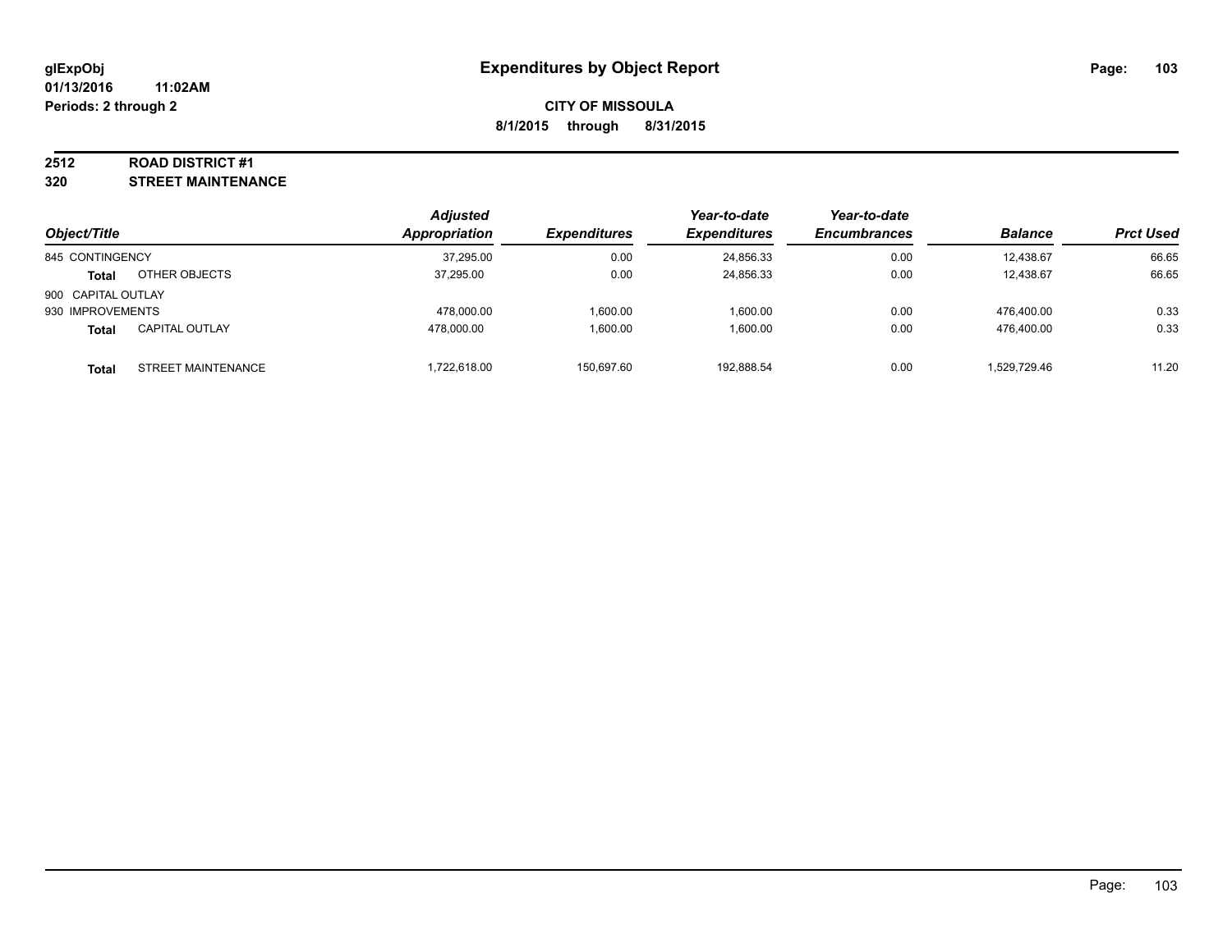#### **2512 ROAD DISTRICT #1**

**320 STREET MAINTENANCE**

|                    |                       | <b>Adjusted</b>      |                     | Year-to-date        | Year-to-date        |                |                  |
|--------------------|-----------------------|----------------------|---------------------|---------------------|---------------------|----------------|------------------|
| Object/Title       |                       | <b>Appropriation</b> | <b>Expenditures</b> | <b>Expenditures</b> | <b>Encumbrances</b> | <b>Balance</b> | <b>Prct Used</b> |
| 845 CONTINGENCY    |                       | 37,295.00            | 0.00                | 24,856.33           | 0.00                | 12.438.67      | 66.65            |
| Total              | OTHER OBJECTS         | 37.295.00            | 0.00                | 24.856.33           | 0.00                | 12.438.67      | 66.65            |
| 900 CAPITAL OUTLAY |                       |                      |                     |                     |                     |                |                  |
| 930 IMPROVEMENTS   |                       | 478.000.00           | 1.600.00            | 1,600.00            | 0.00                | 476.400.00     | 0.33             |
| <b>Total</b>       | <b>CAPITAL OUTLAY</b> | 478.000.00           | 1.600.00            | 1,600.00            | 0.00                | 476.400.00     | 0.33             |
| Total              | STREET MAINTENANCE    | ,722,618.00          | 150.697.60          | 192,888.54          | 0.00                | 1,529,729.46   | 11.20            |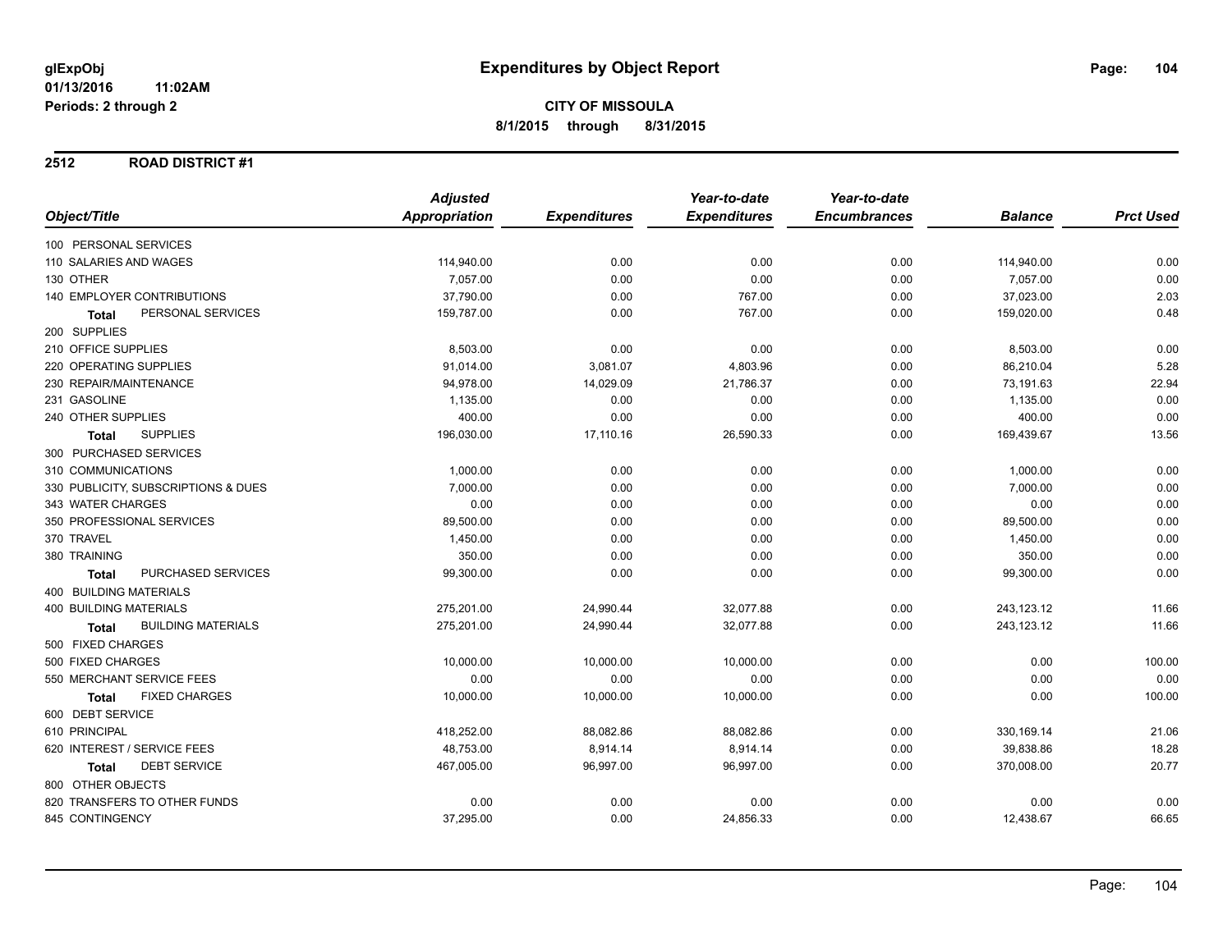#### **2512 ROAD DISTRICT #1**

|              |                                           | <b>Adjusted</b> |                     | Year-to-date        | Year-to-date        |                |                  |
|--------------|-------------------------------------------|-----------------|---------------------|---------------------|---------------------|----------------|------------------|
| Object/Title |                                           | Appropriation   | <b>Expenditures</b> | <b>Expenditures</b> | <b>Encumbrances</b> | <b>Balance</b> | <b>Prct Used</b> |
|              | 100 PERSONAL SERVICES                     |                 |                     |                     |                     |                |                  |
|              | 110 SALARIES AND WAGES                    | 114,940.00      | 0.00                | 0.00                | 0.00                | 114,940.00     | 0.00             |
| 130 OTHER    |                                           | 7,057.00        | 0.00                | 0.00                | 0.00                | 7,057.00       | 0.00             |
|              | <b>140 EMPLOYER CONTRIBUTIONS</b>         | 37,790.00       | 0.00                | 767.00              | 0.00                | 37,023.00      | 2.03             |
|              | PERSONAL SERVICES<br>Total                | 159,787.00      | 0.00                | 767.00              | 0.00                | 159,020.00     | 0.48             |
|              | 200 SUPPLIES                              |                 |                     |                     |                     |                |                  |
|              | 210 OFFICE SUPPLIES                       | 8,503.00        | 0.00                | 0.00                | 0.00                | 8,503.00       | 0.00             |
|              | 220 OPERATING SUPPLIES                    | 91,014.00       | 3,081.07            | 4,803.96            | 0.00                | 86,210.04      | 5.28             |
|              | 230 REPAIR/MAINTENANCE                    | 94,978.00       | 14,029.09           | 21,786.37           | 0.00                | 73,191.63      | 22.94            |
|              | 231 GASOLINE                              | 1,135.00        | 0.00                | 0.00                | 0.00                | 1,135.00       | 0.00             |
|              | 240 OTHER SUPPLIES                        | 400.00          | 0.00                | 0.00                | 0.00                | 400.00         | 0.00             |
|              | <b>SUPPLIES</b><br><b>Total</b>           | 196,030.00      | 17,110.16           | 26,590.33           | 0.00                | 169,439.67     | 13.56            |
|              | 300 PURCHASED SERVICES                    |                 |                     |                     |                     |                |                  |
|              | 310 COMMUNICATIONS                        | 1,000.00        | 0.00                | 0.00                | 0.00                | 1,000.00       | 0.00             |
|              | 330 PUBLICITY, SUBSCRIPTIONS & DUES       | 7,000.00        | 0.00                | 0.00                | 0.00                | 7,000.00       | 0.00             |
|              | 343 WATER CHARGES                         | 0.00            | 0.00                | 0.00                | 0.00                | 0.00           | 0.00             |
|              | 350 PROFESSIONAL SERVICES                 | 89,500.00       | 0.00                | 0.00                | 0.00                | 89,500.00      | 0.00             |
| 370 TRAVEL   |                                           | 1,450.00        | 0.00                | 0.00                | 0.00                | 1,450.00       | 0.00             |
| 380 TRAINING |                                           | 350.00          | 0.00                | 0.00                | 0.00                | 350.00         | 0.00             |
|              | PURCHASED SERVICES<br><b>Total</b>        | 99,300.00       | 0.00                | 0.00                | 0.00                | 99,300.00      | 0.00             |
|              | <b>400 BUILDING MATERIALS</b>             |                 |                     |                     |                     |                |                  |
|              | <b>400 BUILDING MATERIALS</b>             | 275,201.00      | 24,990.44           | 32,077.88           | 0.00                | 243,123.12     | 11.66            |
|              | <b>BUILDING MATERIALS</b><br><b>Total</b> | 275,201.00      | 24,990.44           | 32,077.88           | 0.00                | 243,123.12     | 11.66            |
|              | 500 FIXED CHARGES                         |                 |                     |                     |                     |                |                  |
|              | 500 FIXED CHARGES                         | 10,000.00       | 10,000.00           | 10,000.00           | 0.00                | 0.00           | 100.00           |
|              | 550 MERCHANT SERVICE FEES                 | 0.00            | 0.00                | 0.00                | 0.00                | 0.00           | 0.00             |
|              | <b>FIXED CHARGES</b><br>Total             | 10,000.00       | 10,000.00           | 10,000.00           | 0.00                | 0.00           | 100.00           |
|              | 600 DEBT SERVICE                          |                 |                     |                     |                     |                |                  |
|              | 610 PRINCIPAL                             | 418,252.00      | 88,082.86           | 88,082.86           | 0.00                | 330,169.14     | 21.06            |
|              | 620 INTEREST / SERVICE FEES               | 48,753.00       | 8,914.14            | 8,914.14            | 0.00                | 39,838.86      | 18.28            |
|              | <b>DEBT SERVICE</b><br>Total              | 467,005.00      | 96,997.00           | 96,997.00           | 0.00                | 370,008.00     | 20.77            |
|              | 800 OTHER OBJECTS                         |                 |                     |                     |                     |                |                  |
|              | 820 TRANSFERS TO OTHER FUNDS              | 0.00            | 0.00                | 0.00                | 0.00                | 0.00           | 0.00             |
|              | 845 CONTINGENCY                           | 37,295.00       | 0.00                | 24,856.33           | 0.00                | 12,438.67      | 66.65            |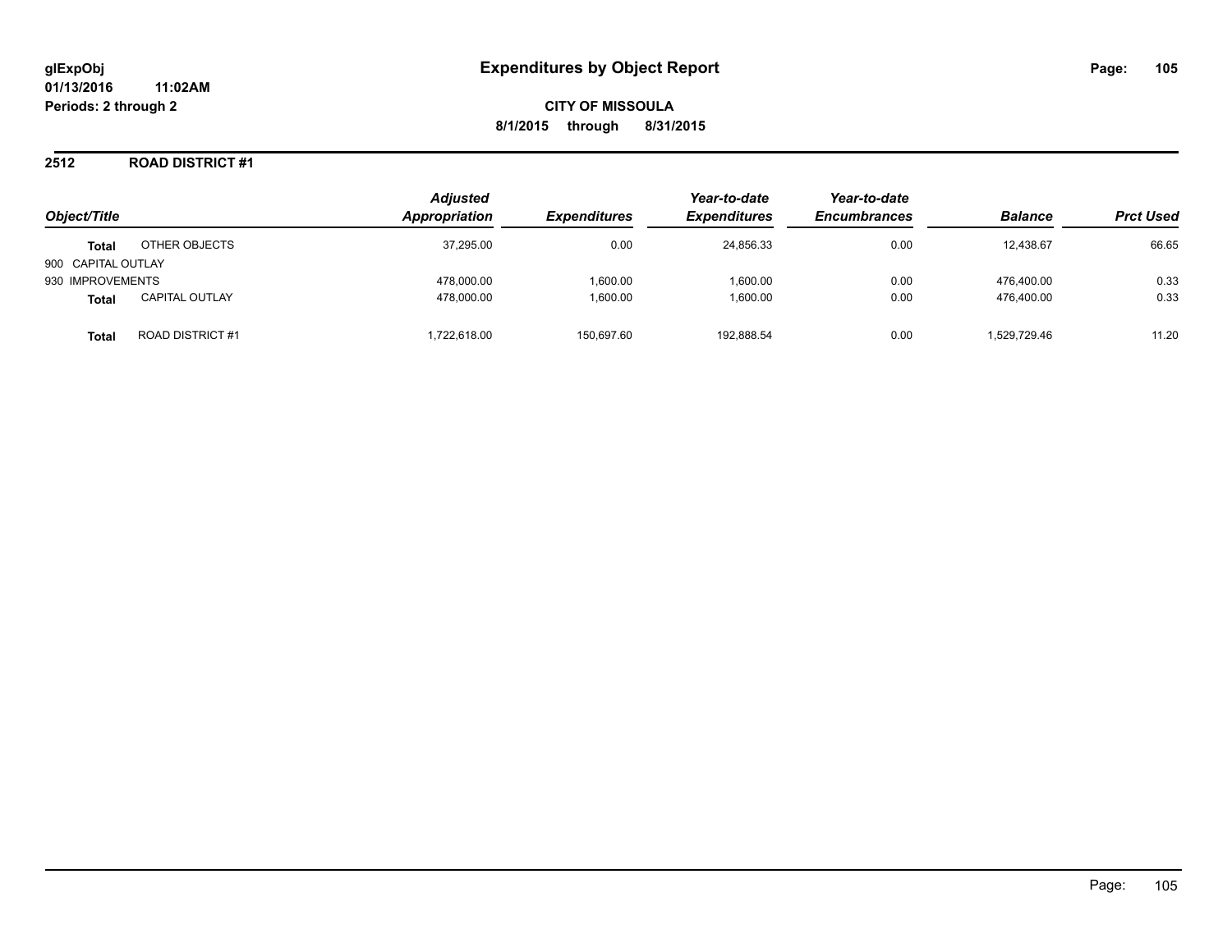#### **2512 ROAD DISTRICT #1**

| Object/Title       |                       | <b>Adjusted</b><br>Appropriation | <b>Expenditures</b> | Year-to-date<br><b>Expenditures</b> | Year-to-date<br><b>Encumbrances</b> | <b>Balance</b> | <b>Prct Used</b> |
|--------------------|-----------------------|----------------------------------|---------------------|-------------------------------------|-------------------------------------|----------------|------------------|
| <b>Total</b>       | OTHER OBJECTS         | 37,295.00                        | 0.00                | 24,856.33                           | 0.00                                | 12,438.67      | 66.65            |
| 900 CAPITAL OUTLAY |                       |                                  |                     |                                     |                                     |                |                  |
| 930 IMPROVEMENTS   |                       | 478.000.00                       | 1.600.00            | 1.600.00                            | 0.00                                | 476.400.00     | 0.33             |
| <b>Total</b>       | <b>CAPITAL OUTLAY</b> | 478.000.00                       | 1.600.00            | 1.600.00                            | 0.00                                | 476.400.00     | 0.33             |
| Total              | ROAD DISTRICT #1      | .722.618.00                      | 150.697.60          | 192.888.54                          | 0.00                                | 1.529.729.46   | 11.20            |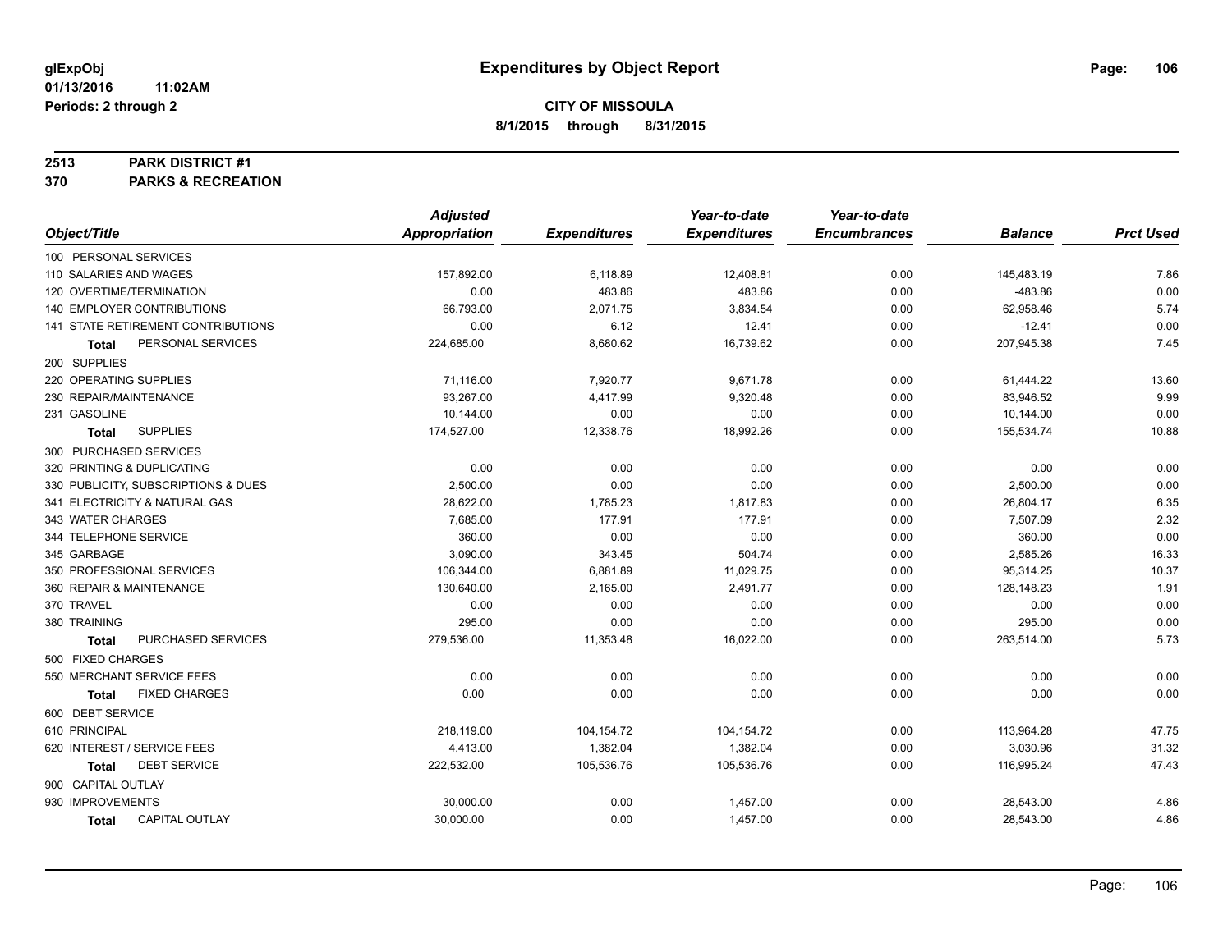#### **2513 PARK DISTRICT #1**

**370 PARKS & RECREATION**

|                                       | <b>Adjusted</b>      |                     | Year-to-date        | Year-to-date        |                |                  |
|---------------------------------------|----------------------|---------------------|---------------------|---------------------|----------------|------------------|
| Object/Title                          | <b>Appropriation</b> | <b>Expenditures</b> | <b>Expenditures</b> | <b>Encumbrances</b> | <b>Balance</b> | <b>Prct Used</b> |
| 100 PERSONAL SERVICES                 |                      |                     |                     |                     |                |                  |
| 110 SALARIES AND WAGES                | 157,892.00           | 6,118.89            | 12,408.81           | 0.00                | 145,483.19     | 7.86             |
| 120 OVERTIME/TERMINATION              | 0.00                 | 483.86              | 483.86              | 0.00                | $-483.86$      | 0.00             |
| 140 EMPLOYER CONTRIBUTIONS            | 66,793.00            | 2,071.75            | 3,834.54            | 0.00                | 62,958.46      | 5.74             |
| 141 STATE RETIREMENT CONTRIBUTIONS    | 0.00                 | 6.12                | 12.41               | 0.00                | $-12.41$       | 0.00             |
| PERSONAL SERVICES<br><b>Total</b>     | 224,685.00           | 8,680.62            | 16,739.62           | 0.00                | 207,945.38     | 7.45             |
| 200 SUPPLIES                          |                      |                     |                     |                     |                |                  |
| 220 OPERATING SUPPLIES                | 71,116.00            | 7,920.77            | 9,671.78            | 0.00                | 61,444.22      | 13.60            |
| 230 REPAIR/MAINTENANCE                | 93,267.00            | 4,417.99            | 9,320.48            | 0.00                | 83,946.52      | 9.99             |
| 231 GASOLINE                          | 10,144.00            | 0.00                | 0.00                | 0.00                | 10,144.00      | 0.00             |
| <b>SUPPLIES</b><br>Total              | 174,527.00           | 12,338.76           | 18,992.26           | 0.00                | 155,534.74     | 10.88            |
| 300 PURCHASED SERVICES                |                      |                     |                     |                     |                |                  |
| 320 PRINTING & DUPLICATING            | 0.00                 | 0.00                | 0.00                | 0.00                | 0.00           | 0.00             |
| 330 PUBLICITY, SUBSCRIPTIONS & DUES   | 2,500.00             | 0.00                | 0.00                | 0.00                | 2,500.00       | 0.00             |
| 341 ELECTRICITY & NATURAL GAS         | 28,622.00            | 1,785.23            | 1,817.83            | 0.00                | 26,804.17      | 6.35             |
| 343 WATER CHARGES                     | 7,685.00             | 177.91              | 177.91              | 0.00                | 7,507.09       | 2.32             |
| 344 TELEPHONE SERVICE                 | 360.00               | 0.00                | 0.00                | 0.00                | 360.00         | 0.00             |
| 345 GARBAGE                           | 3,090.00             | 343.45              | 504.74              | 0.00                | 2,585.26       | 16.33            |
| 350 PROFESSIONAL SERVICES             | 106,344.00           | 6,881.89            | 11,029.75           | 0.00                | 95,314.25      | 10.37            |
| 360 REPAIR & MAINTENANCE              | 130,640.00           | 2,165.00            | 2,491.77            | 0.00                | 128,148.23     | 1.91             |
| 370 TRAVEL                            | 0.00                 | 0.00                | 0.00                | 0.00                | 0.00           | 0.00             |
| 380 TRAINING                          | 295.00               | 0.00                | 0.00                | 0.00                | 295.00         | 0.00             |
| PURCHASED SERVICES<br>Total           | 279,536.00           | 11,353.48           | 16,022.00           | 0.00                | 263,514.00     | 5.73             |
| 500 FIXED CHARGES                     |                      |                     |                     |                     |                |                  |
| 550 MERCHANT SERVICE FEES             | 0.00                 | 0.00                | 0.00                | 0.00                | 0.00           | 0.00             |
| <b>FIXED CHARGES</b><br>Total         | 0.00                 | 0.00                | 0.00                | 0.00                | 0.00           | 0.00             |
| 600 DEBT SERVICE                      |                      |                     |                     |                     |                |                  |
| 610 PRINCIPAL                         | 218,119.00           | 104,154.72          | 104,154.72          | 0.00                | 113,964.28     | 47.75            |
| 620 INTEREST / SERVICE FEES           | 4,413.00             | 1,382.04            | 1,382.04            | 0.00                | 3,030.96       | 31.32            |
| <b>DEBT SERVICE</b><br><b>Total</b>   | 222,532.00           | 105,536.76          | 105,536.76          | 0.00                | 116,995.24     | 47.43            |
| 900 CAPITAL OUTLAY                    |                      |                     |                     |                     |                |                  |
| 930 IMPROVEMENTS                      | 30,000.00            | 0.00                | 1,457.00            | 0.00                | 28,543.00      | 4.86             |
| <b>CAPITAL OUTLAY</b><br><b>Total</b> | 30,000.00            | 0.00                | 1,457.00            | 0.00                | 28,543.00      | 4.86             |
|                                       |                      |                     |                     |                     |                |                  |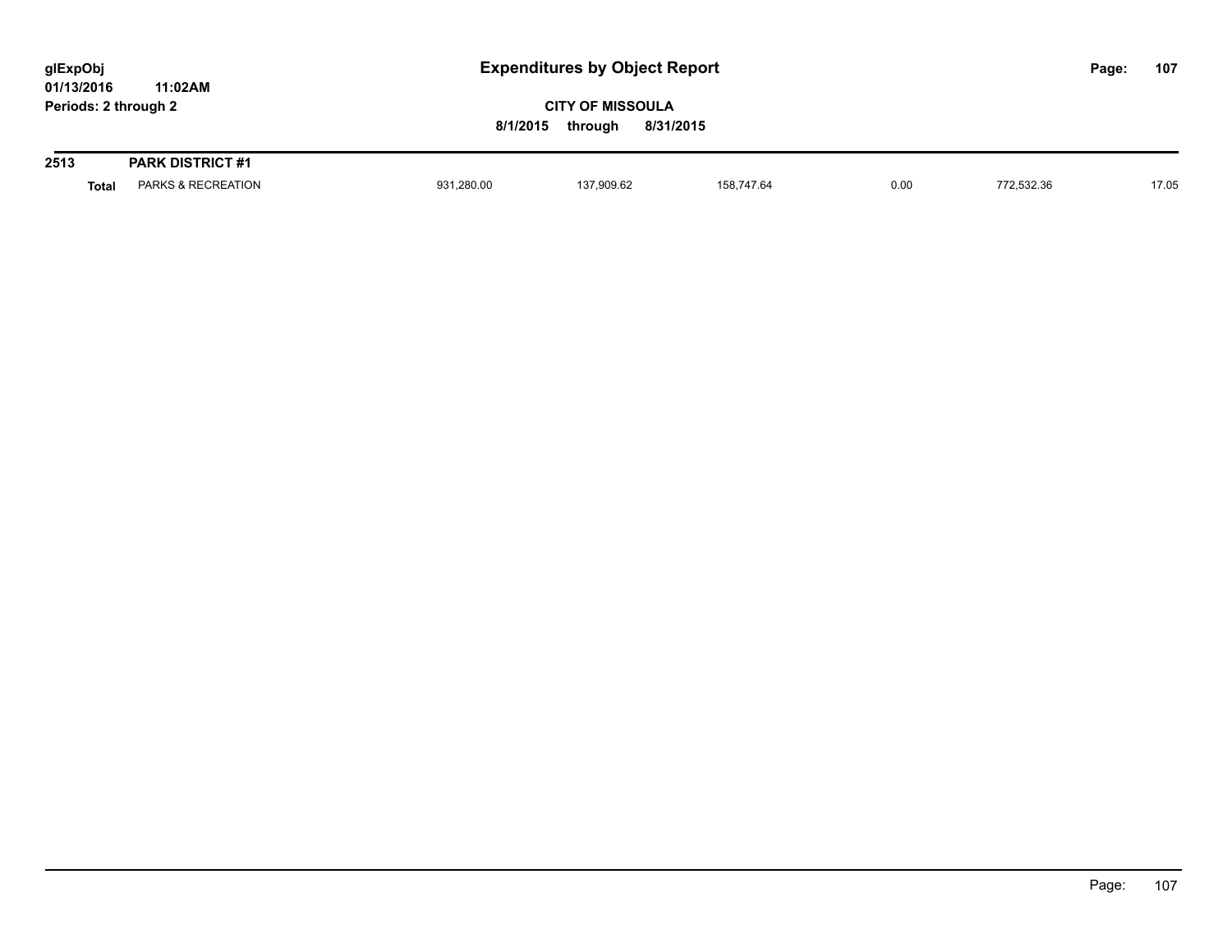| glExpObj             |         |
|----------------------|---------|
| 01/13/2016           | 11:02AM |
| Periods: 2 through 2 |         |

| 2513         | <b>PARK DISTRICT #1</b>       |            |            |            |      |            |       |
|--------------|-------------------------------|------------|------------|------------|------|------------|-------|
| <b>Total</b> | <b>PARKS &amp; RECREATION</b> | 931,280.00 | 137,909.62 | 158.747.64 | 0.00 | 772,532.36 | 17.05 |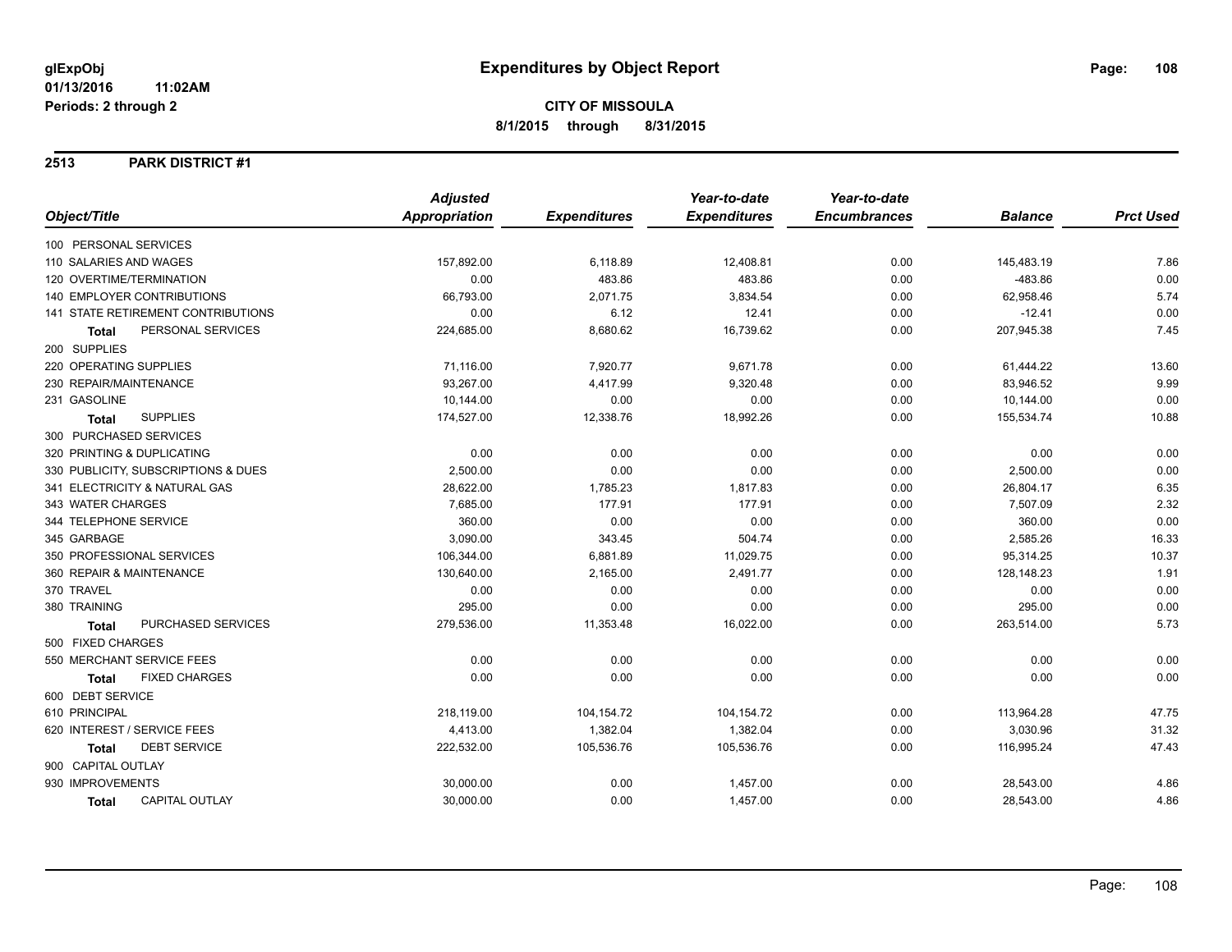### **2513 PARK DISTRICT #1**

| Object/Title                         | <b>Adjusted</b>      |                     | Year-to-date        | Year-to-date        |                |                  |
|--------------------------------------|----------------------|---------------------|---------------------|---------------------|----------------|------------------|
|                                      | <b>Appropriation</b> | <b>Expenditures</b> | <b>Expenditures</b> | <b>Encumbrances</b> | <b>Balance</b> | <b>Prct Used</b> |
| 100 PERSONAL SERVICES                |                      |                     |                     |                     |                |                  |
| 110 SALARIES AND WAGES               | 157,892.00           | 6,118.89            | 12,408.81           | 0.00                | 145,483.19     | 7.86             |
| 120 OVERTIME/TERMINATION             | 0.00                 | 483.86              | 483.86              | 0.00                | $-483.86$      | 0.00             |
| <b>140 EMPLOYER CONTRIBUTIONS</b>    | 66,793.00            | 2,071.75            | 3,834.54            | 0.00                | 62,958.46      | 5.74             |
| 141 STATE RETIREMENT CONTRIBUTIONS   | 0.00                 | 6.12                | 12.41               | 0.00                | $-12.41$       | 0.00             |
| PERSONAL SERVICES<br><b>Total</b>    | 224,685.00           | 8,680.62            | 16,739.62           | 0.00                | 207,945.38     | 7.45             |
| 200 SUPPLIES                         |                      |                     |                     |                     |                |                  |
| 220 OPERATING SUPPLIES               | 71,116.00            | 7,920.77            | 9,671.78            | 0.00                | 61,444.22      | 13.60            |
| 230 REPAIR/MAINTENANCE               | 93,267.00            | 4,417.99            | 9,320.48            | 0.00                | 83,946.52      | 9.99             |
| 231 GASOLINE                         | 10,144.00            | 0.00                | 0.00                | 0.00                | 10,144.00      | 0.00             |
| <b>SUPPLIES</b><br><b>Total</b>      | 174,527.00           | 12,338.76           | 18,992.26           | 0.00                | 155,534.74     | 10.88            |
| 300 PURCHASED SERVICES               |                      |                     |                     |                     |                |                  |
| 320 PRINTING & DUPLICATING           | 0.00                 | 0.00                | 0.00                | 0.00                | 0.00           | 0.00             |
| 330 PUBLICITY, SUBSCRIPTIONS & DUES  | 2,500.00             | 0.00                | 0.00                | 0.00                | 2,500.00       | 0.00             |
| 341 ELECTRICITY & NATURAL GAS        | 28,622.00            | 1,785.23            | 1,817.83            | 0.00                | 26,804.17      | 6.35             |
| 343 WATER CHARGES                    | 7,685.00             | 177.91              | 177.91              | 0.00                | 7,507.09       | 2.32             |
| 344 TELEPHONE SERVICE                | 360.00               | 0.00                | 0.00                | 0.00                | 360.00         | 0.00             |
| 345 GARBAGE                          | 3,090.00             | 343.45              | 504.74              | 0.00                | 2,585.26       | 16.33            |
| 350 PROFESSIONAL SERVICES            | 106,344.00           | 6,881.89            | 11,029.75           | 0.00                | 95,314.25      | 10.37            |
| 360 REPAIR & MAINTENANCE             | 130,640.00           | 2,165.00            | 2,491.77            | 0.00                | 128,148.23     | 1.91             |
| 370 TRAVEL                           | 0.00                 | 0.00                | 0.00                | 0.00                | 0.00           | 0.00             |
| 380 TRAINING                         | 295.00               | 0.00                | 0.00                | 0.00                | 295.00         | 0.00             |
| PURCHASED SERVICES<br><b>Total</b>   | 279,536.00           | 11,353.48           | 16,022.00           | 0.00                | 263,514.00     | 5.73             |
| 500 FIXED CHARGES                    |                      |                     |                     |                     |                |                  |
| 550 MERCHANT SERVICE FEES            | 0.00                 | 0.00                | 0.00                | 0.00                | 0.00           | 0.00             |
| <b>FIXED CHARGES</b><br><b>Total</b> | 0.00                 | 0.00                | 0.00                | 0.00                | 0.00           | 0.00             |
| 600 DEBT SERVICE                     |                      |                     |                     |                     |                |                  |
| 610 PRINCIPAL                        | 218,119.00           | 104,154.72          | 104,154.72          | 0.00                | 113,964.28     | 47.75            |
| 620 INTEREST / SERVICE FEES          | 4,413.00             | 1,382.04            | 1,382.04            | 0.00                | 3,030.96       | 31.32            |
| <b>DEBT SERVICE</b><br><b>Total</b>  | 222,532.00           | 105,536.76          | 105,536.76          | 0.00                | 116,995.24     | 47.43            |
| 900 CAPITAL OUTLAY                   |                      |                     |                     |                     |                |                  |
| 930 IMPROVEMENTS                     | 30,000.00            | 0.00                | 1,457.00            | 0.00                | 28,543.00      | 4.86             |
| <b>CAPITAL OUTLAY</b><br>Total       | 30,000.00            | 0.00                | 1,457.00            | 0.00                | 28,543.00      | 4.86             |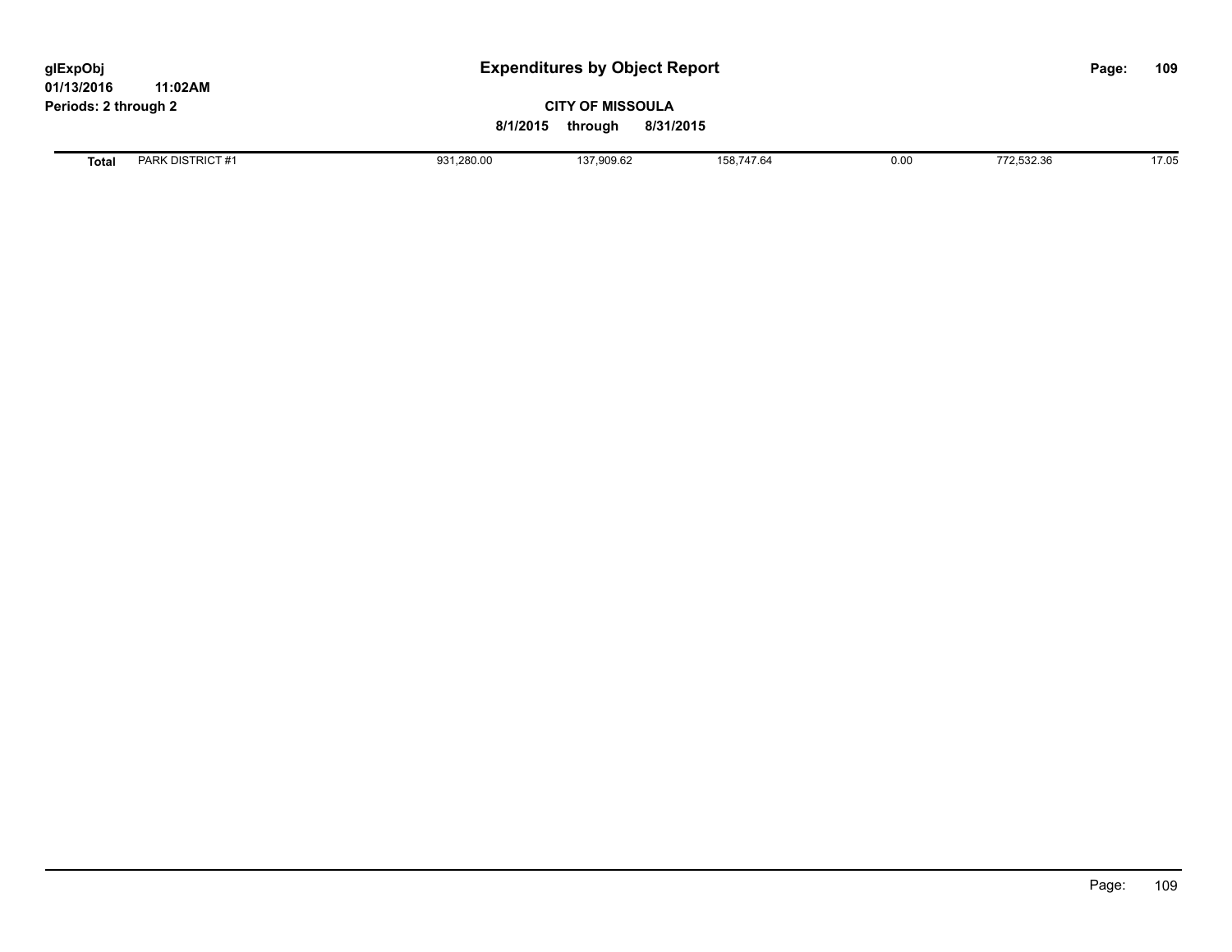## **CITY OF MISSOULA 8/1/2015 through 8/31/2015**

**Total** PARK DISTRICT #1 931,280.00 137,909.62 158,747.64 0.00 772,532.36 17.05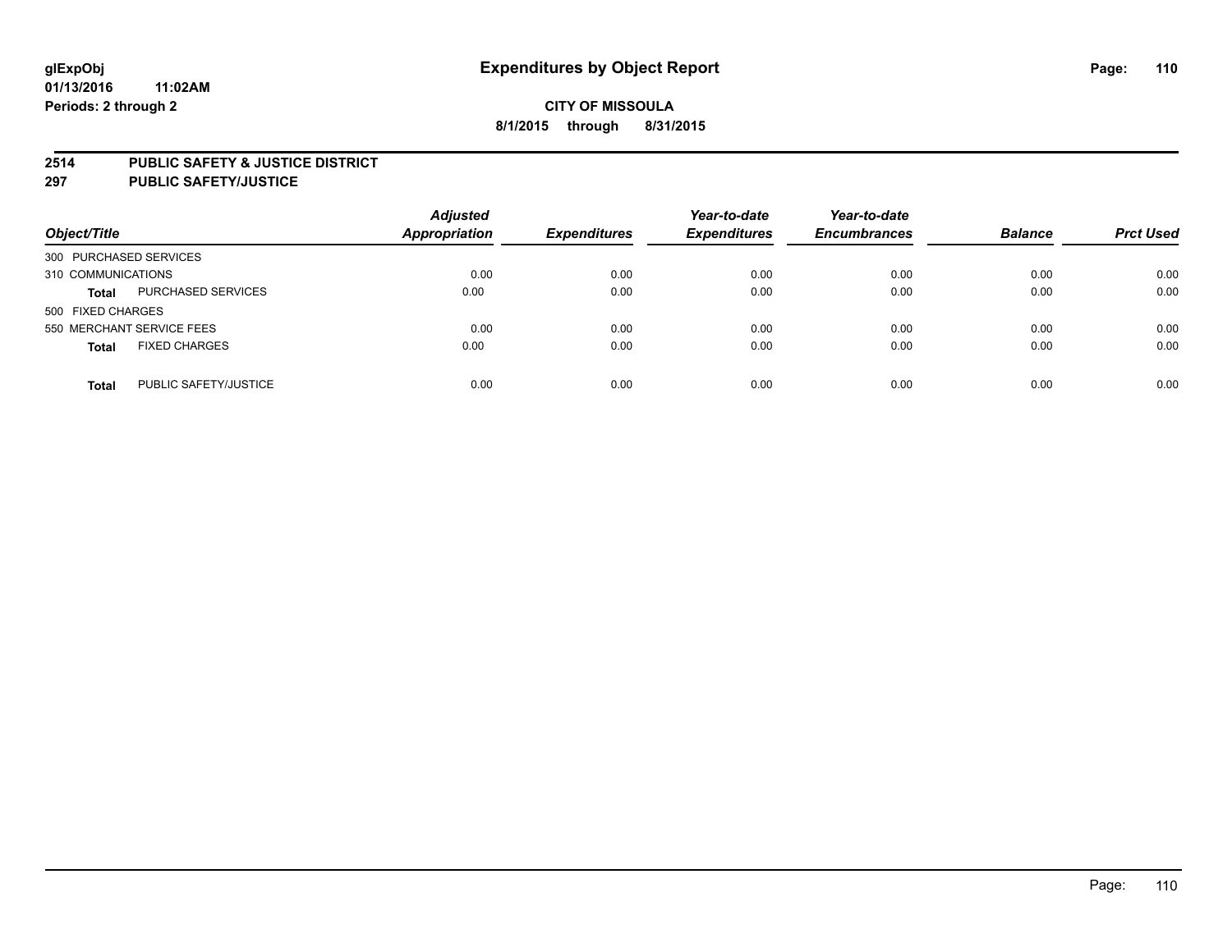### **2514 PUBLIC SAFETY & JUSTICE DISTRICT**

**297 PUBLIC SAFETY/JUSTICE**

| Object/Title                          | <b>Adjusted</b><br>Appropriation | <b>Expenditures</b> | Year-to-date<br><b>Expenditures</b> | Year-to-date<br><b>Encumbrances</b> | <b>Balance</b> | <b>Prct Used</b> |
|---------------------------------------|----------------------------------|---------------------|-------------------------------------|-------------------------------------|----------------|------------------|
| 300 PURCHASED SERVICES                |                                  |                     |                                     |                                     |                |                  |
| 310 COMMUNICATIONS                    | 0.00                             | 0.00                | 0.00                                | 0.00                                | 0.00           | 0.00             |
| PURCHASED SERVICES<br><b>Total</b>    | 0.00                             | 0.00                | 0.00                                | 0.00                                | 0.00           | 0.00             |
| 500 FIXED CHARGES                     |                                  |                     |                                     |                                     |                |                  |
| 550 MERCHANT SERVICE FEES             | 0.00                             | 0.00                | 0.00                                | 0.00                                | 0.00           | 0.00             |
| <b>FIXED CHARGES</b><br><b>Total</b>  | 0.00                             | 0.00                | 0.00                                | 0.00                                | 0.00           | 0.00             |
| PUBLIC SAFETY/JUSTICE<br><b>Total</b> | 0.00                             | 0.00                | 0.00                                | 0.00                                | 0.00           | 0.00             |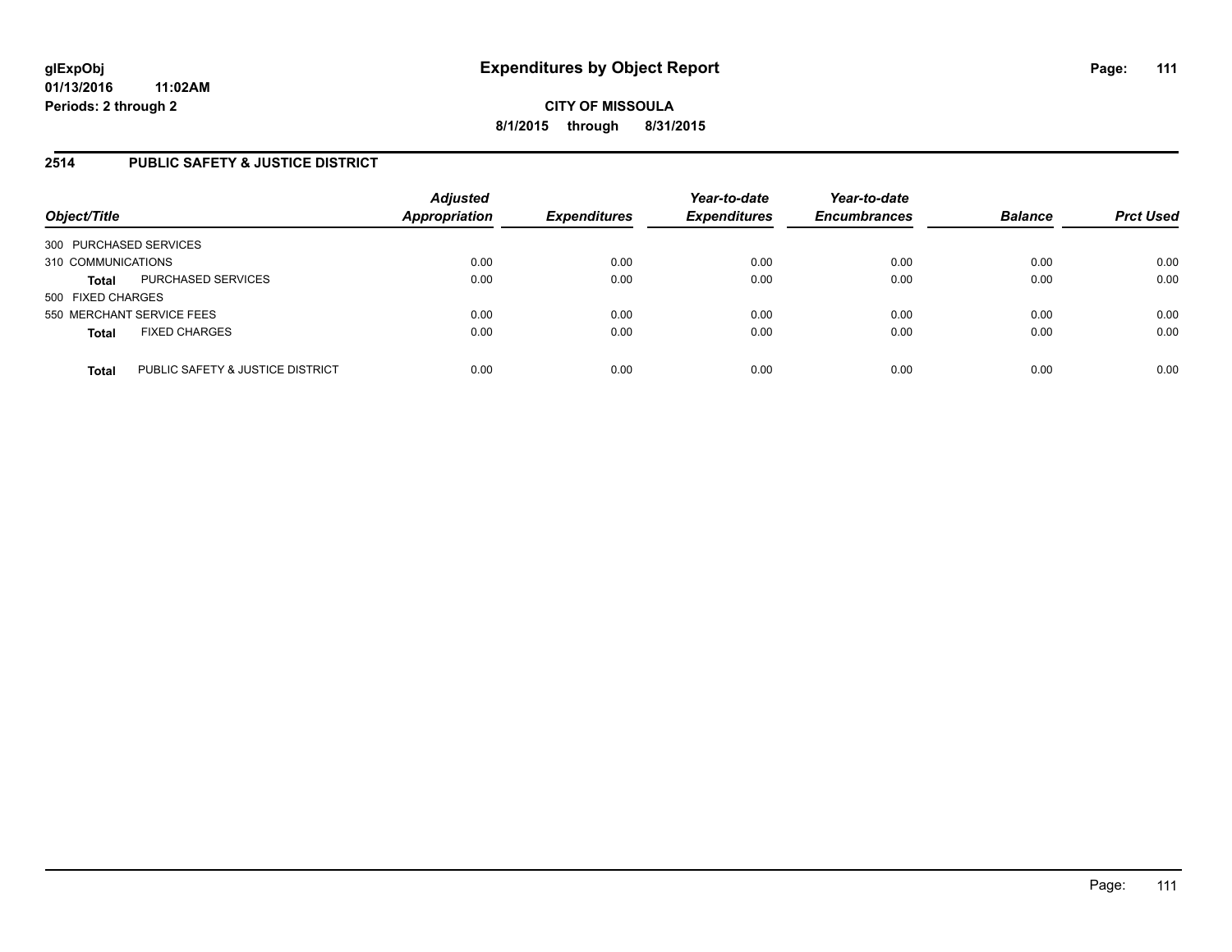## **2514 PUBLIC SAFETY & JUSTICE DISTRICT**

| Object/Title                                     | <b>Adjusted</b><br><b>Appropriation</b> | <b>Expenditures</b> | Year-to-date<br><b>Expenditures</b> | Year-to-date<br><b>Encumbrances</b> | <b>Balance</b> | <b>Prct Used</b> |
|--------------------------------------------------|-----------------------------------------|---------------------|-------------------------------------|-------------------------------------|----------------|------------------|
| 300 PURCHASED SERVICES                           |                                         |                     |                                     |                                     |                |                  |
| 310 COMMUNICATIONS                               | 0.00                                    | 0.00                | 0.00                                | 0.00                                | 0.00           | 0.00             |
| PURCHASED SERVICES<br><b>Total</b>               | 0.00                                    | 0.00                | 0.00                                | 0.00                                | 0.00           | 0.00             |
| 500 FIXED CHARGES                                |                                         |                     |                                     |                                     |                |                  |
| 550 MERCHANT SERVICE FEES                        | 0.00                                    | 0.00                | 0.00                                | 0.00                                | 0.00           | 0.00             |
| <b>FIXED CHARGES</b><br><b>Total</b>             | 0.00                                    | 0.00                | 0.00                                | 0.00                                | 0.00           | 0.00             |
| PUBLIC SAFETY & JUSTICE DISTRICT<br><b>Total</b> | 0.00                                    | 0.00                | 0.00                                | 0.00                                | 0.00           | 0.00             |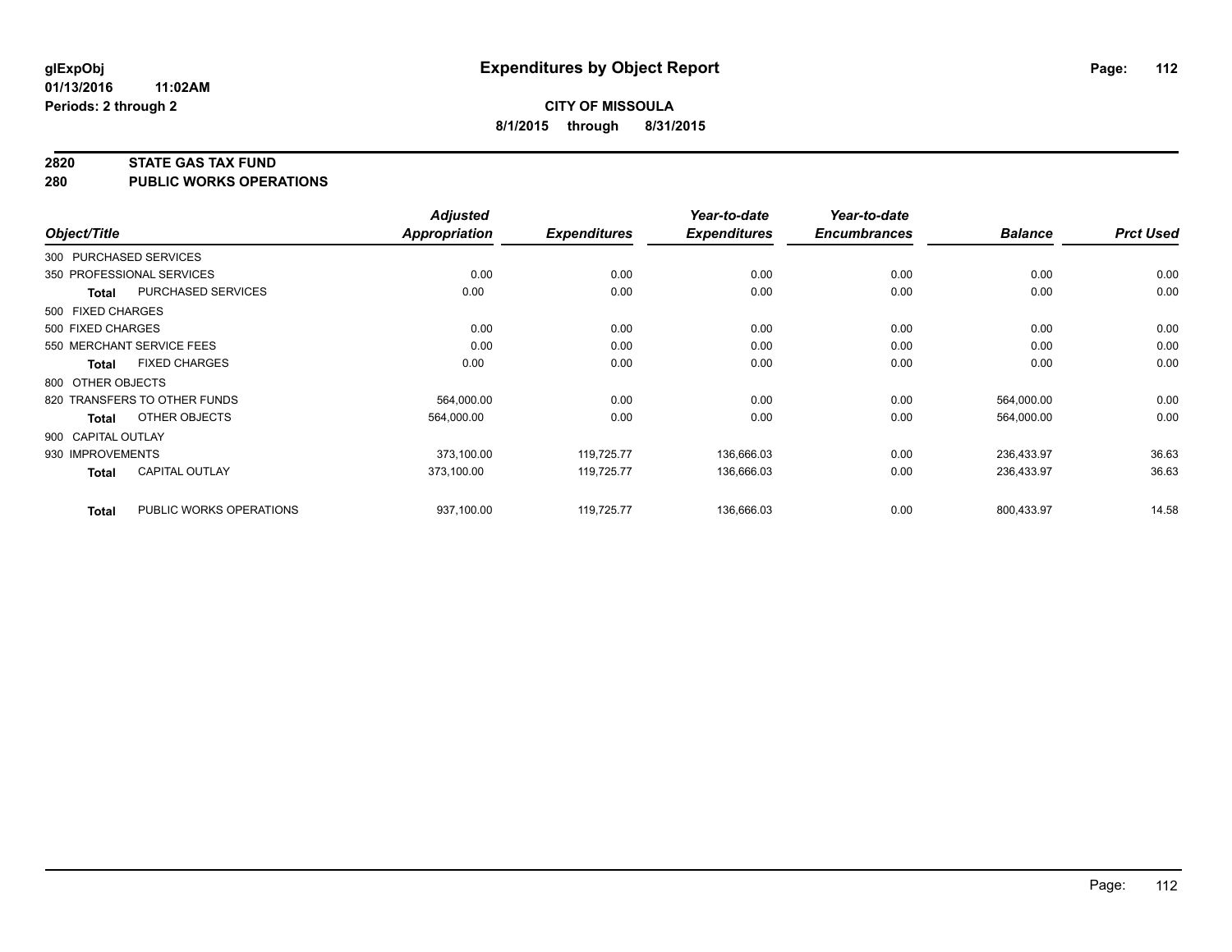#### **2820 STATE GAS TAX FUND**

**280 PUBLIC WORKS OPERATIONS**

|                    |                              | <b>Adjusted</b> |                     | Year-to-date        | Year-to-date        |                |                  |
|--------------------|------------------------------|-----------------|---------------------|---------------------|---------------------|----------------|------------------|
| Object/Title       |                              | Appropriation   | <b>Expenditures</b> | <b>Expenditures</b> | <b>Encumbrances</b> | <b>Balance</b> | <b>Prct Used</b> |
|                    | 300 PURCHASED SERVICES       |                 |                     |                     |                     |                |                  |
|                    | 350 PROFESSIONAL SERVICES    | 0.00            | 0.00                | 0.00                | 0.00                | 0.00           | 0.00             |
| Total              | PURCHASED SERVICES           | 0.00            | 0.00                | 0.00                | 0.00                | 0.00           | 0.00             |
| 500 FIXED CHARGES  |                              |                 |                     |                     |                     |                |                  |
| 500 FIXED CHARGES  |                              | 0.00            | 0.00                | 0.00                | 0.00                | 0.00           | 0.00             |
|                    | 550 MERCHANT SERVICE FEES    | 0.00            | 0.00                | 0.00                | 0.00                | 0.00           | 0.00             |
| Total              | <b>FIXED CHARGES</b>         | 0.00            | 0.00                | 0.00                | 0.00                | 0.00           | 0.00             |
| 800 OTHER OBJECTS  |                              |                 |                     |                     |                     |                |                  |
|                    | 820 TRANSFERS TO OTHER FUNDS | 564,000.00      | 0.00                | 0.00                | 0.00                | 564,000.00     | 0.00             |
| <b>Total</b>       | OTHER OBJECTS                | 564,000.00      | 0.00                | 0.00                | 0.00                | 564,000.00     | 0.00             |
| 900 CAPITAL OUTLAY |                              |                 |                     |                     |                     |                |                  |
| 930 IMPROVEMENTS   |                              | 373,100.00      | 119,725.77          | 136,666.03          | 0.00                | 236,433.97     | 36.63            |
| <b>Total</b>       | <b>CAPITAL OUTLAY</b>        | 373.100.00      | 119.725.77          | 136,666.03          | 0.00                | 236,433.97     | 36.63            |
| <b>Total</b>       | PUBLIC WORKS OPERATIONS      | 937,100.00      | 119,725.77          | 136,666.03          | 0.00                | 800,433.97     | 14.58            |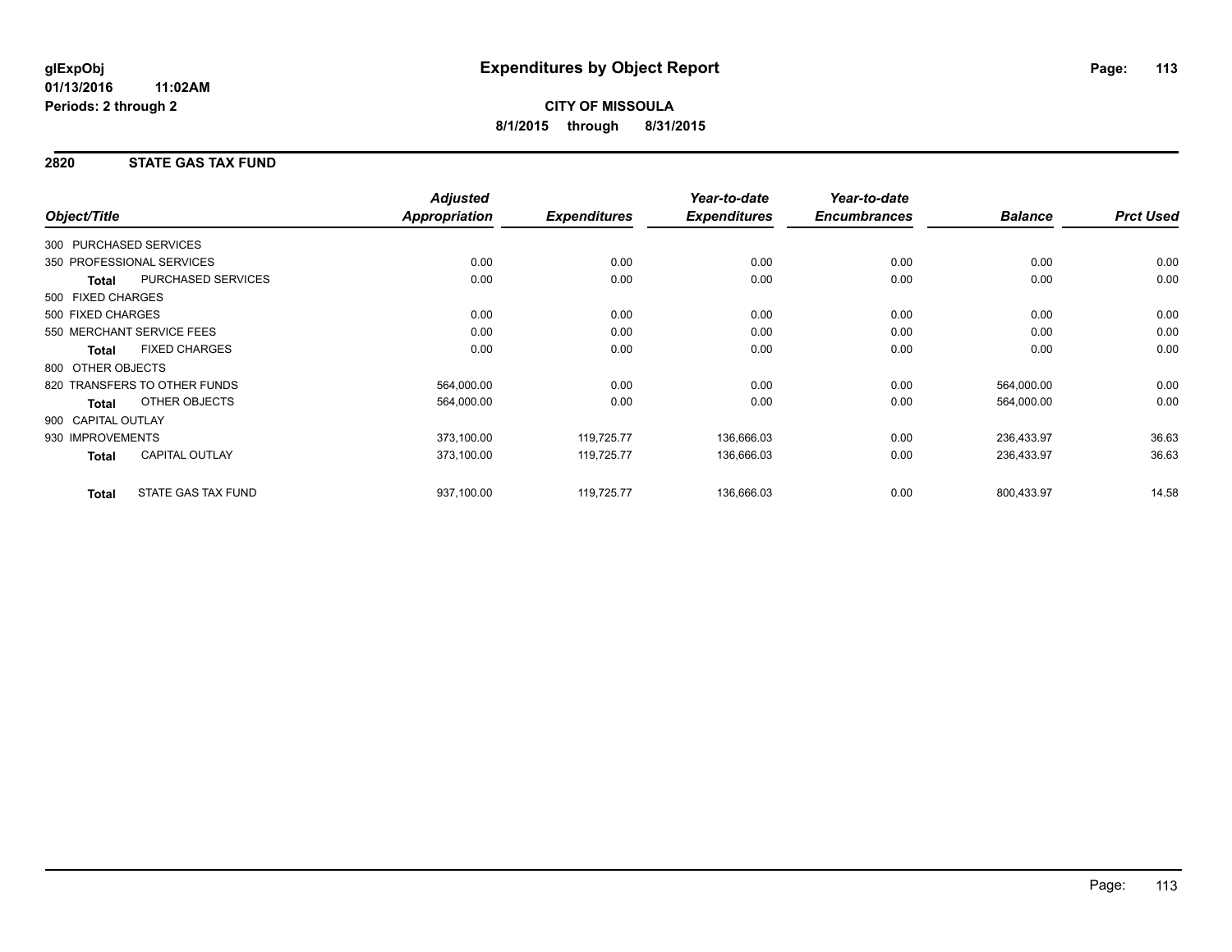## **2820 STATE GAS TAX FUND**

|                        |                              | <b>Adjusted</b>      |                     | Year-to-date        | Year-to-date        |                |                  |
|------------------------|------------------------------|----------------------|---------------------|---------------------|---------------------|----------------|------------------|
| Object/Title           |                              | <b>Appropriation</b> | <b>Expenditures</b> | <b>Expenditures</b> | <b>Encumbrances</b> | <b>Balance</b> | <b>Prct Used</b> |
| 300 PURCHASED SERVICES |                              |                      |                     |                     |                     |                |                  |
|                        | 350 PROFESSIONAL SERVICES    | 0.00                 | 0.00                | 0.00                | 0.00                | 0.00           | 0.00             |
| Total                  | PURCHASED SERVICES           | 0.00                 | 0.00                | 0.00                | 0.00                | 0.00           | 0.00             |
| 500 FIXED CHARGES      |                              |                      |                     |                     |                     |                |                  |
| 500 FIXED CHARGES      |                              | 0.00                 | 0.00                | 0.00                | 0.00                | 0.00           | 0.00             |
|                        | 550 MERCHANT SERVICE FEES    | 0.00                 | 0.00                | 0.00                | 0.00                | 0.00           | 0.00             |
| <b>Total</b>           | <b>FIXED CHARGES</b>         | 0.00                 | 0.00                | 0.00                | 0.00                | 0.00           | 0.00             |
| 800 OTHER OBJECTS      |                              |                      |                     |                     |                     |                |                  |
|                        | 820 TRANSFERS TO OTHER FUNDS | 564,000.00           | 0.00                | 0.00                | 0.00                | 564,000.00     | 0.00             |
| <b>Total</b>           | OTHER OBJECTS                | 564,000.00           | 0.00                | 0.00                | 0.00                | 564,000.00     | 0.00             |
| 900 CAPITAL OUTLAY     |                              |                      |                     |                     |                     |                |                  |
| 930 IMPROVEMENTS       |                              | 373,100.00           | 119,725.77          | 136,666.03          | 0.00                | 236,433.97     | 36.63            |
| <b>Total</b>           | <b>CAPITAL OUTLAY</b>        | 373,100.00           | 119,725.77          | 136,666.03          | 0.00                | 236,433.97     | 36.63            |
| <b>Total</b>           | <b>STATE GAS TAX FUND</b>    | 937,100.00           | 119,725.77          | 136,666.03          | 0.00                | 800,433.97     | 14.58            |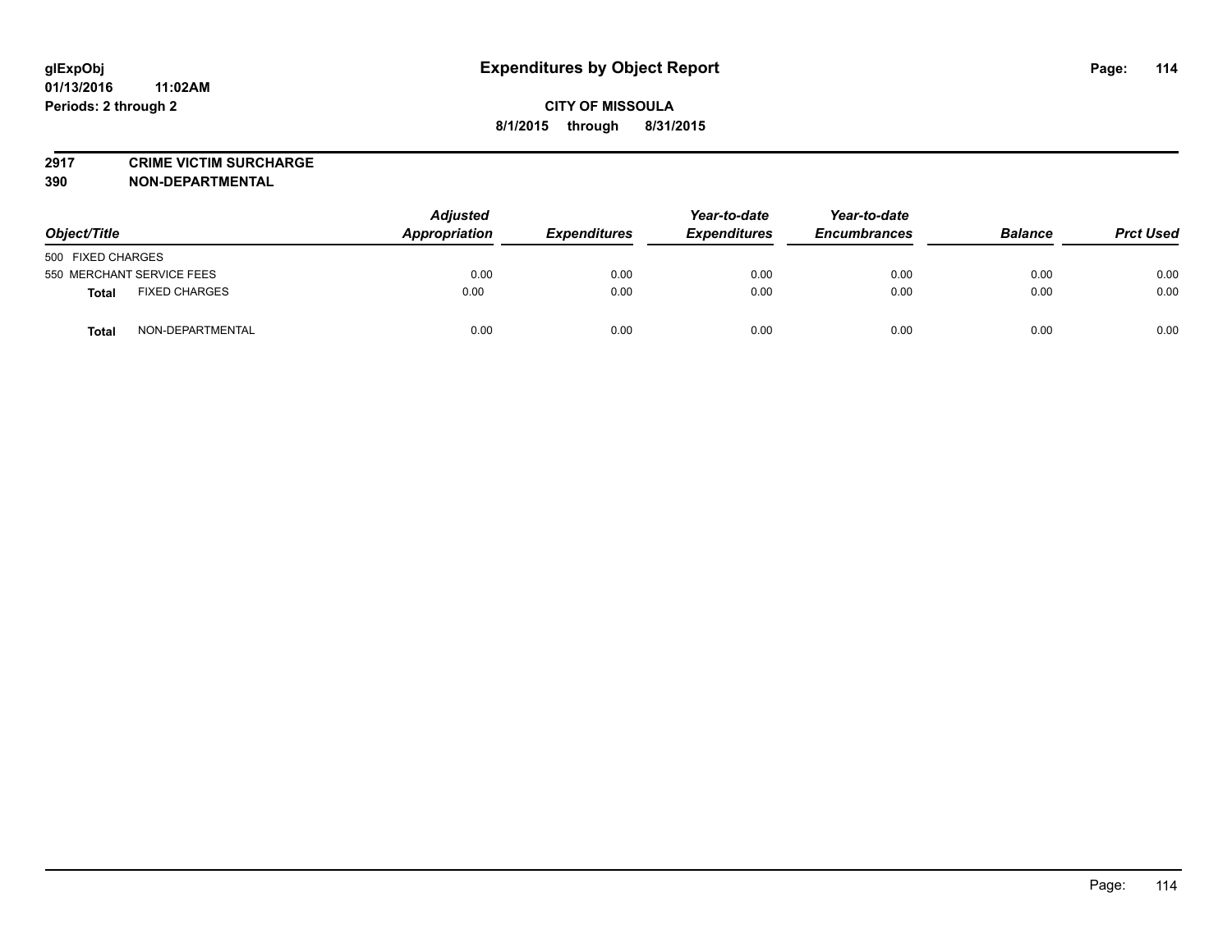**2917 CRIME VICTIM SURCHARGE**

**390 NON-DEPARTMENTAL**

| Object/Title                         | <b>Adjusted</b><br>Appropriation | <b>Expenditures</b> | Year-to-date<br><b>Expenditures</b> | Year-to-date<br><b>Encumbrances</b> | <b>Balance</b> | <b>Prct Used</b> |
|--------------------------------------|----------------------------------|---------------------|-------------------------------------|-------------------------------------|----------------|------------------|
| 500 FIXED CHARGES                    |                                  |                     |                                     |                                     |                |                  |
| 550 MERCHANT SERVICE FEES            | 0.00                             | 0.00                | 0.00                                | 0.00                                | 0.00           | 0.00             |
| <b>FIXED CHARGES</b><br><b>Total</b> | 0.00                             | 0.00                | 0.00                                | 0.00                                | 0.00           | 0.00             |
| NON-DEPARTMENTAL<br><b>Total</b>     | 0.00                             | 0.00                | 0.00                                | 0.00                                | 0.00           | 0.00             |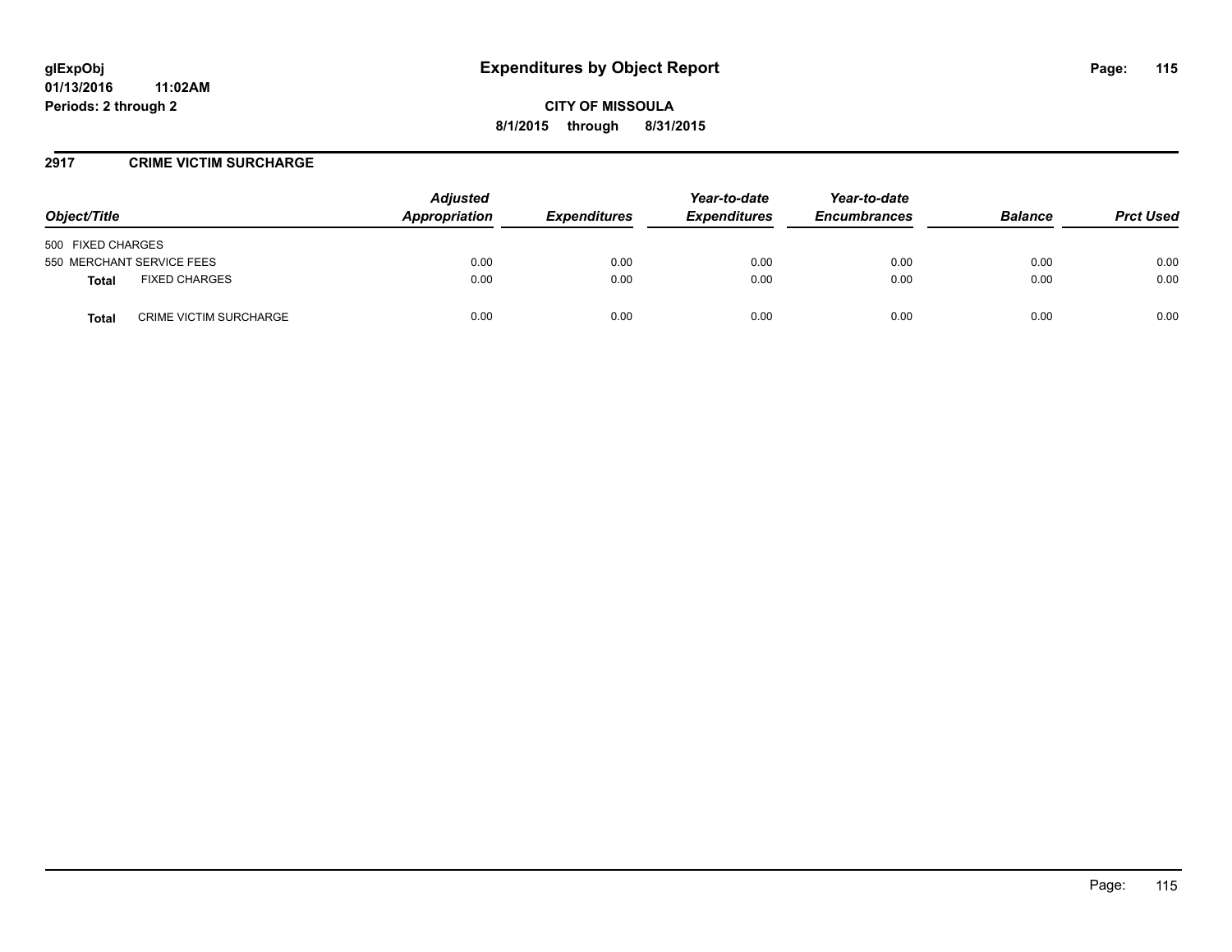### **2917 CRIME VICTIM SURCHARGE**

| Object/Title                           | <b>Adjusted</b><br>Appropriation | <b>Expenditures</b> | Year-to-date<br><b>Expenditures</b> | Year-to-date<br><b>Encumbrances</b> | <b>Balance</b> | <b>Prct Used</b> |
|----------------------------------------|----------------------------------|---------------------|-------------------------------------|-------------------------------------|----------------|------------------|
| 500 FIXED CHARGES                      |                                  |                     |                                     |                                     |                |                  |
| 550 MERCHANT SERVICE FEES              | 0.00                             | 0.00                | 0.00                                | 0.00                                | 0.00           | 0.00             |
| <b>FIXED CHARGES</b><br><b>Total</b>   | 0.00                             | 0.00                | 0.00                                | 0.00                                | 0.00           | 0.00             |
| <b>CRIME VICTIM SURCHARGE</b><br>Total | 0.00                             | 0.00                | 0.00                                | 0.00                                | 0.00           | 0.00             |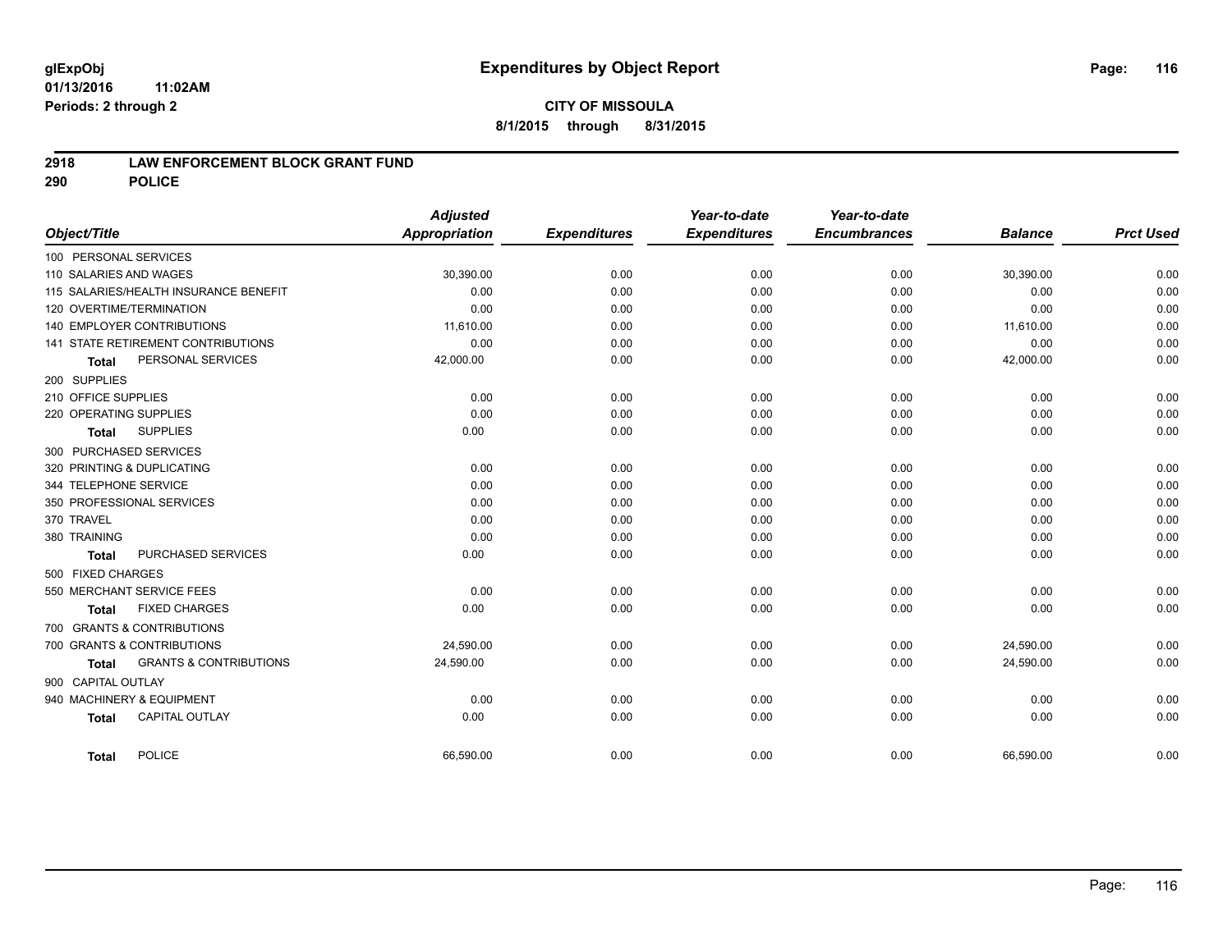## **CITY OF MISSOULA 8/1/2015 through 8/31/2015**

### **2918 LAW ENFORCEMENT BLOCK GRANT FUND**

**290 POLICE**

|                                       |                                   | <b>Adjusted</b>      |                     | Year-to-date        | Year-to-date        |                |                  |
|---------------------------------------|-----------------------------------|----------------------|---------------------|---------------------|---------------------|----------------|------------------|
| Object/Title                          |                                   | <b>Appropriation</b> | <b>Expenditures</b> | <b>Expenditures</b> | <b>Encumbrances</b> | <b>Balance</b> | <b>Prct Used</b> |
| 100 PERSONAL SERVICES                 |                                   |                      |                     |                     |                     |                |                  |
| 110 SALARIES AND WAGES                |                                   | 30,390.00            | 0.00                | 0.00                | 0.00                | 30,390.00      | 0.00             |
| 115 SALARIES/HEALTH INSURANCE BENEFIT |                                   | 0.00                 | 0.00                | 0.00                | 0.00                | 0.00           | 0.00             |
| 120 OVERTIME/TERMINATION              |                                   | 0.00                 | 0.00                | 0.00                | 0.00                | 0.00           | 0.00             |
| 140 EMPLOYER CONTRIBUTIONS            |                                   | 11,610.00            | 0.00                | 0.00                | 0.00                | 11,610.00      | 0.00             |
| 141 STATE RETIREMENT CONTRIBUTIONS    |                                   | 0.00                 | 0.00                | 0.00                | 0.00                | 0.00           | 0.00             |
| <b>Total</b>                          | PERSONAL SERVICES                 | 42,000.00            | 0.00                | 0.00                | 0.00                | 42,000.00      | 0.00             |
| 200 SUPPLIES                          |                                   |                      |                     |                     |                     |                |                  |
| 210 OFFICE SUPPLIES                   |                                   | 0.00                 | 0.00                | 0.00                | 0.00                | 0.00           | 0.00             |
| 220 OPERATING SUPPLIES                |                                   | 0.00                 | 0.00                | 0.00                | 0.00                | 0.00           | 0.00             |
| <b>SUPPLIES</b><br><b>Total</b>       |                                   | 0.00                 | 0.00                | 0.00                | 0.00                | 0.00           | 0.00             |
| 300 PURCHASED SERVICES                |                                   |                      |                     |                     |                     |                |                  |
| 320 PRINTING & DUPLICATING            |                                   | 0.00                 | 0.00                | 0.00                | 0.00                | 0.00           | 0.00             |
| 344 TELEPHONE SERVICE                 |                                   | 0.00                 | 0.00                | 0.00                | 0.00                | 0.00           | 0.00             |
| 350 PROFESSIONAL SERVICES             |                                   | 0.00                 | 0.00                | 0.00                | 0.00                | 0.00           | 0.00             |
| 370 TRAVEL                            |                                   | 0.00                 | 0.00                | 0.00                | 0.00                | 0.00           | 0.00             |
| 380 TRAINING                          |                                   | 0.00                 | 0.00                | 0.00                | 0.00                | 0.00           | 0.00             |
| <b>Total</b>                          | PURCHASED SERVICES                | 0.00                 | 0.00                | 0.00                | 0.00                | 0.00           | 0.00             |
| 500 FIXED CHARGES                     |                                   |                      |                     |                     |                     |                |                  |
| 550 MERCHANT SERVICE FEES             |                                   | 0.00                 | 0.00                | 0.00                | 0.00                | 0.00           | 0.00             |
| <b>FIXED CHARGES</b><br><b>Total</b>  |                                   | 0.00                 | 0.00                | 0.00                | 0.00                | 0.00           | 0.00             |
| 700 GRANTS & CONTRIBUTIONS            |                                   |                      |                     |                     |                     |                |                  |
| 700 GRANTS & CONTRIBUTIONS            |                                   | 24,590.00            | 0.00                | 0.00                | 0.00                | 24,590.00      | 0.00             |
| <b>Total</b>                          | <b>GRANTS &amp; CONTRIBUTIONS</b> | 24,590.00            | 0.00                | 0.00                | 0.00                | 24,590.00      | 0.00             |
| 900 CAPITAL OUTLAY                    |                                   |                      |                     |                     |                     |                |                  |
| 940 MACHINERY & EQUIPMENT             |                                   | 0.00                 | 0.00                | 0.00                | 0.00                | 0.00           | 0.00             |
| <b>CAPITAL OUTLAY</b>                 |                                   | 0.00                 | 0.00                | 0.00                | 0.00                | 0.00           | 0.00             |
| <b>Total</b>                          |                                   |                      |                     |                     |                     |                |                  |
| <b>POLICE</b><br><b>Total</b>         |                                   | 66,590.00            | 0.00                | 0.00                | 0.00                | 66,590.00      | 0.00             |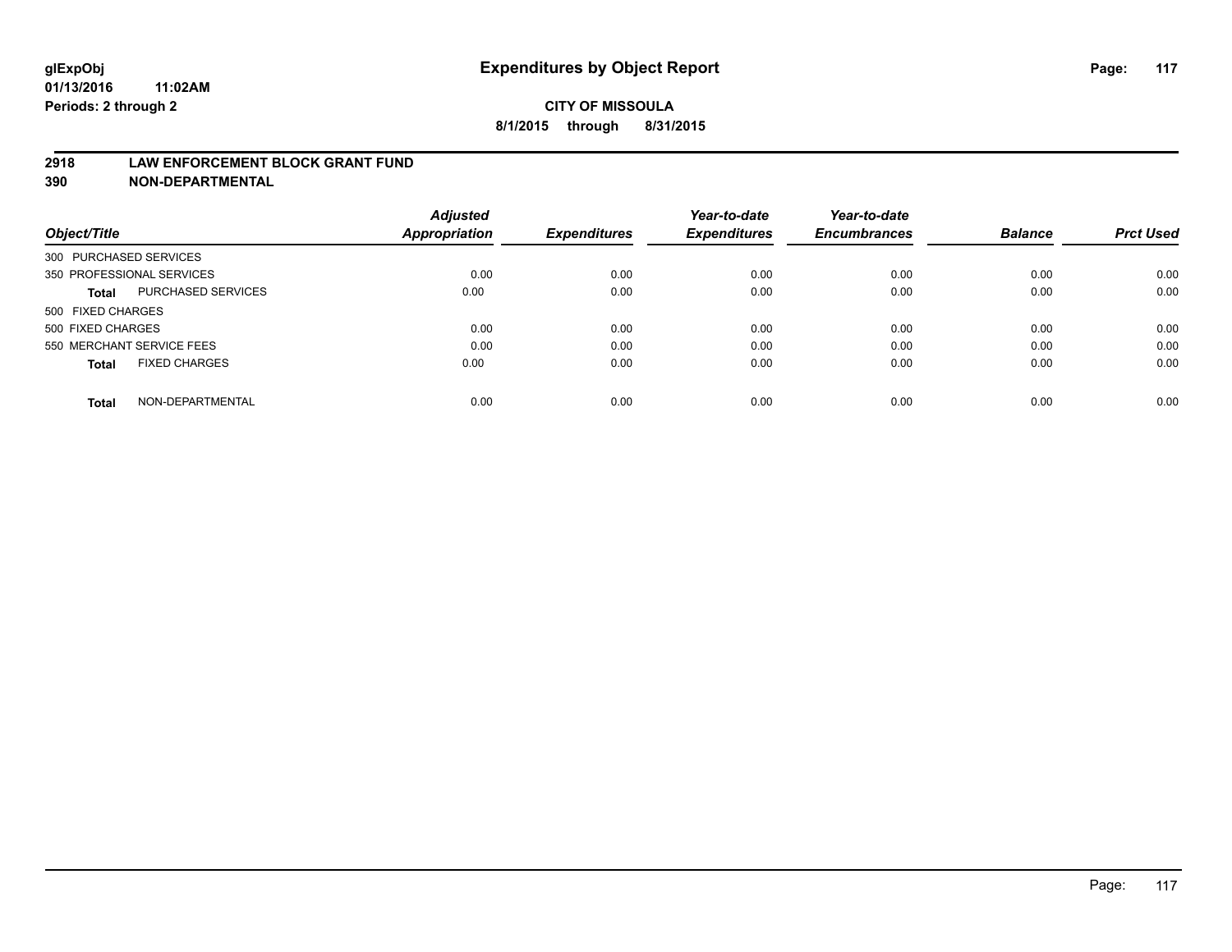#### **2918 LAW ENFORCEMENT BLOCK GRANT FUND**

**390 NON-DEPARTMENTAL**

|                           |                      | <b>Adjusted</b> |                     | Year-to-date        | Year-to-date<br><b>Encumbrances</b> | <b>Balance</b> | <b>Prct Used</b> |
|---------------------------|----------------------|-----------------|---------------------|---------------------|-------------------------------------|----------------|------------------|
| Object/Title              |                      | Appropriation   | <b>Expenditures</b> | <b>Expenditures</b> |                                     |                |                  |
| 300 PURCHASED SERVICES    |                      |                 |                     |                     |                                     |                |                  |
| 350 PROFESSIONAL SERVICES |                      | 0.00            | 0.00                | 0.00                | 0.00                                | 0.00           | 0.00             |
| Total                     | PURCHASED SERVICES   | 0.00            | 0.00                | 0.00                | 0.00                                | 0.00           | 0.00             |
| 500 FIXED CHARGES         |                      |                 |                     |                     |                                     |                |                  |
| 500 FIXED CHARGES         |                      | 0.00            | 0.00                | 0.00                | 0.00                                | 0.00           | 0.00             |
| 550 MERCHANT SERVICE FEES |                      | 0.00            | 0.00                | 0.00                | 0.00                                | 0.00           | 0.00             |
| <b>Total</b>              | <b>FIXED CHARGES</b> | 0.00            | 0.00                | 0.00                | 0.00                                | 0.00           | 0.00             |
| <b>Total</b>              | NON-DEPARTMENTAL     | 0.00            | 0.00                | 0.00                | 0.00                                | 0.00           | 0.00             |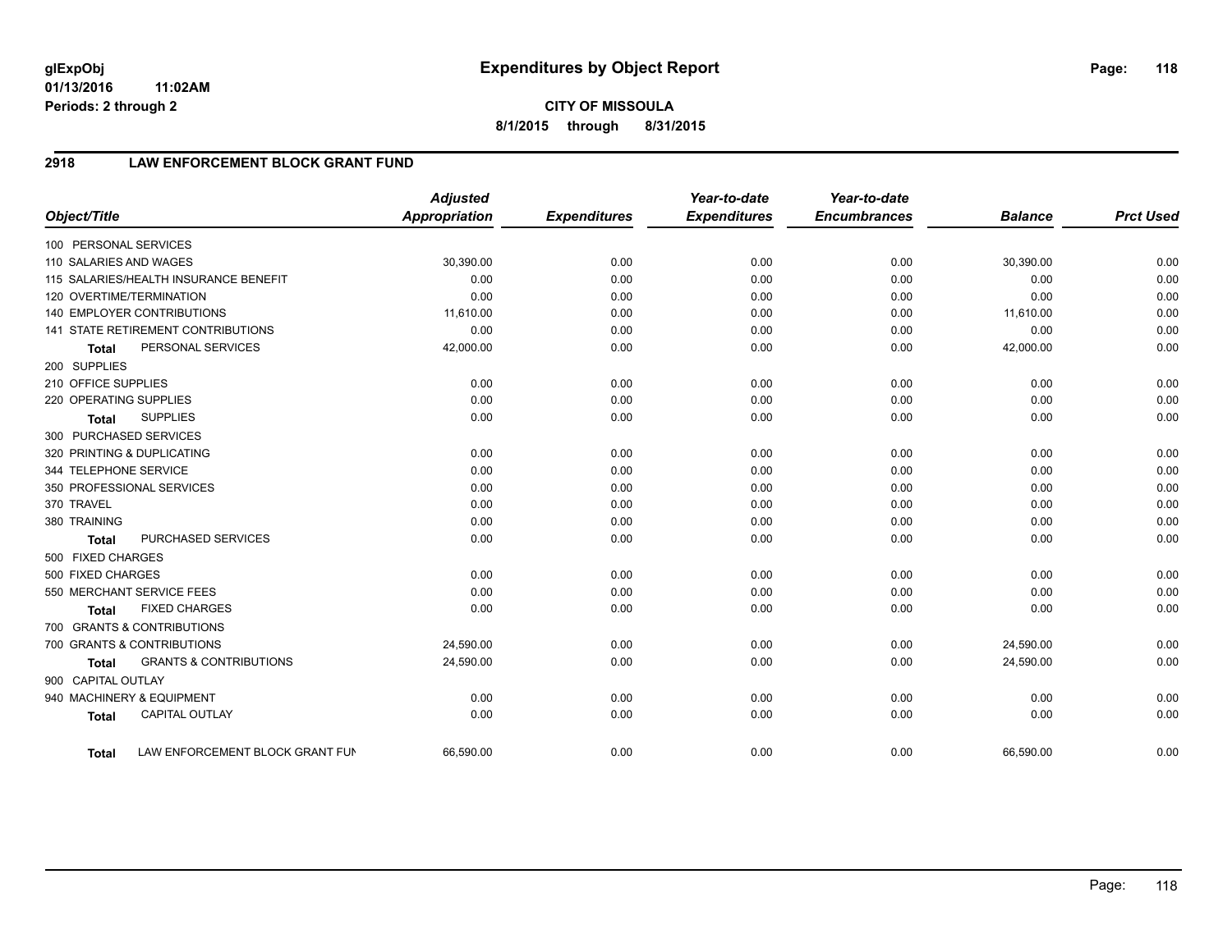# **2918 LAW ENFORCEMENT BLOCK GRANT FUND**

| Object/Title           |                                       | <b>Adjusted</b><br>Appropriation | <b>Expenditures</b> | Year-to-date<br><b>Expenditures</b> | Year-to-date<br><b>Encumbrances</b> | <b>Balance</b> | <b>Prct Used</b> |
|------------------------|---------------------------------------|----------------------------------|---------------------|-------------------------------------|-------------------------------------|----------------|------------------|
| 100 PERSONAL SERVICES  |                                       |                                  |                     |                                     |                                     |                |                  |
| 110 SALARIES AND WAGES |                                       | 30,390.00                        | 0.00                | 0.00                                | 0.00                                | 30,390.00      | 0.00             |
|                        | 115 SALARIES/HEALTH INSURANCE BENEFIT | 0.00                             | 0.00                | 0.00                                | 0.00                                | 0.00           | 0.00             |
|                        | 120 OVERTIME/TERMINATION              | 0.00                             | 0.00                | 0.00                                | 0.00                                | 0.00           | 0.00             |
|                        | <b>140 EMPLOYER CONTRIBUTIONS</b>     | 11,610.00                        | 0.00                | 0.00                                | 0.00                                | 11,610.00      | 0.00             |
|                        | 141 STATE RETIREMENT CONTRIBUTIONS    | 0.00                             | 0.00                | 0.00                                | 0.00                                | 0.00           | 0.00             |
| <b>Total</b>           | PERSONAL SERVICES                     | 42,000.00                        | 0.00                | 0.00                                | 0.00                                | 42,000.00      | 0.00             |
| 200 SUPPLIES           |                                       |                                  |                     |                                     |                                     |                |                  |
| 210 OFFICE SUPPLIES    |                                       | 0.00                             | 0.00                | 0.00                                | 0.00                                | 0.00           | 0.00             |
| 220 OPERATING SUPPLIES |                                       | 0.00                             | 0.00                | 0.00                                | 0.00                                | 0.00           | 0.00             |
| <b>Total</b>           | <b>SUPPLIES</b>                       | 0.00                             | 0.00                | 0.00                                | 0.00                                | 0.00           | 0.00             |
| 300 PURCHASED SERVICES |                                       |                                  |                     |                                     |                                     |                |                  |
|                        | 320 PRINTING & DUPLICATING            | 0.00                             | 0.00                | 0.00                                | 0.00                                | 0.00           | 0.00             |
| 344 TELEPHONE SERVICE  |                                       | 0.00                             | 0.00                | 0.00                                | 0.00                                | 0.00           | 0.00             |
|                        | 350 PROFESSIONAL SERVICES             | 0.00                             | 0.00                | 0.00                                | 0.00                                | 0.00           | 0.00             |
| 370 TRAVEL             |                                       | 0.00                             | 0.00                | 0.00                                | 0.00                                | 0.00           | 0.00             |
| 380 TRAINING           |                                       | 0.00                             | 0.00                | 0.00                                | 0.00                                | 0.00           | 0.00             |
| <b>Total</b>           | PURCHASED SERVICES                    | 0.00                             | 0.00                | 0.00                                | 0.00                                | 0.00           | 0.00             |
| 500 FIXED CHARGES      |                                       |                                  |                     |                                     |                                     |                |                  |
| 500 FIXED CHARGES      |                                       | 0.00                             | 0.00                | 0.00                                | 0.00                                | 0.00           | 0.00             |
|                        | 550 MERCHANT SERVICE FEES             | 0.00                             | 0.00                | 0.00                                | 0.00                                | 0.00           | 0.00             |
| <b>Total</b>           | <b>FIXED CHARGES</b>                  | 0.00                             | 0.00                | 0.00                                | 0.00                                | 0.00           | 0.00             |
|                        | 700 GRANTS & CONTRIBUTIONS            |                                  |                     |                                     |                                     |                |                  |
|                        | 700 GRANTS & CONTRIBUTIONS            | 24,590.00                        | 0.00                | 0.00                                | 0.00                                | 24,590.00      | 0.00             |
| <b>Total</b>           | <b>GRANTS &amp; CONTRIBUTIONS</b>     | 24,590.00                        | 0.00                | 0.00                                | 0.00                                | 24,590.00      | 0.00             |
| 900 CAPITAL OUTLAY     |                                       |                                  |                     |                                     |                                     |                |                  |
|                        | 940 MACHINERY & EQUIPMENT             | 0.00                             | 0.00                | 0.00                                | 0.00                                | 0.00           | 0.00             |
| <b>Total</b>           | <b>CAPITAL OUTLAY</b>                 | 0.00                             | 0.00                | 0.00                                | 0.00                                | 0.00           | 0.00             |
| <b>Total</b>           | LAW ENFORCEMENT BLOCK GRANT FUN       | 66,590.00                        | 0.00                | 0.00                                | 0.00                                | 66,590.00      | 0.00             |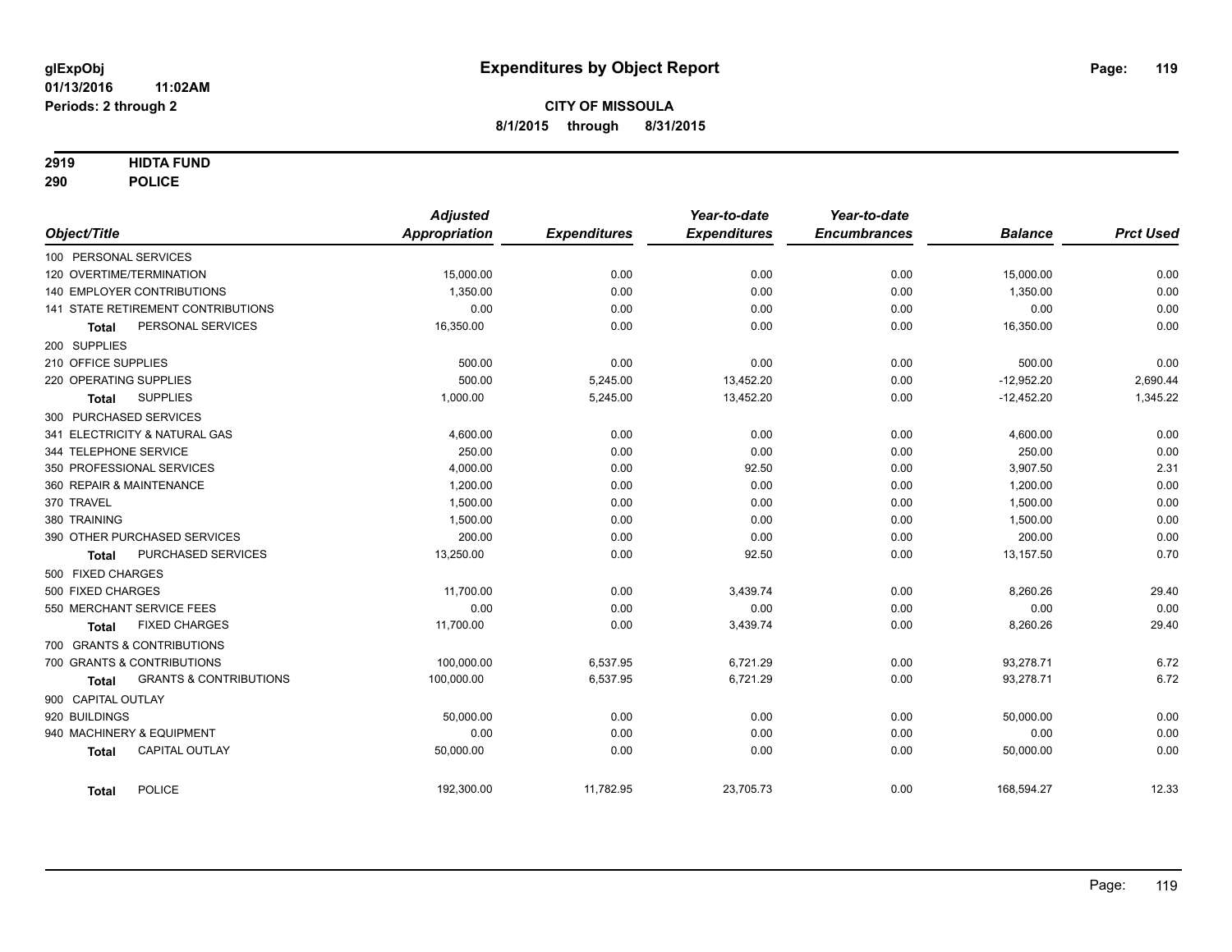### **2919 HIDTA FUND**

**290 POLICE**

|                                            | <b>Adjusted</b> |                     | Year-to-date        | Year-to-date        |                |                  |
|--------------------------------------------|-----------------|---------------------|---------------------|---------------------|----------------|------------------|
| Object/Title                               | Appropriation   | <b>Expenditures</b> | <b>Expenditures</b> | <b>Encumbrances</b> | <b>Balance</b> | <b>Prct Used</b> |
| 100 PERSONAL SERVICES                      |                 |                     |                     |                     |                |                  |
| 120 OVERTIME/TERMINATION                   | 15,000.00       | 0.00                | 0.00                | 0.00                | 15,000.00      | 0.00             |
| <b>140 EMPLOYER CONTRIBUTIONS</b>          | 1,350.00        | 0.00                | 0.00                | 0.00                | 1,350.00       | 0.00             |
| 141 STATE RETIREMENT CONTRIBUTIONS         | 0.00            | 0.00                | 0.00                | 0.00                | 0.00           | 0.00             |
| PERSONAL SERVICES<br>Total                 | 16,350.00       | 0.00                | 0.00                | 0.00                | 16,350.00      | 0.00             |
| 200 SUPPLIES                               |                 |                     |                     |                     |                |                  |
| 210 OFFICE SUPPLIES                        | 500.00          | 0.00                | 0.00                | 0.00                | 500.00         | 0.00             |
| 220 OPERATING SUPPLIES                     | 500.00          | 5,245.00            | 13,452.20           | 0.00                | $-12,952.20$   | 2,690.44         |
| <b>SUPPLIES</b><br><b>Total</b>            | 1,000.00        | 5,245.00            | 13,452.20           | 0.00                | $-12,452.20$   | 1,345.22         |
| 300 PURCHASED SERVICES                     |                 |                     |                     |                     |                |                  |
| 341 ELECTRICITY & NATURAL GAS              | 4,600.00        | 0.00                | 0.00                | 0.00                | 4,600.00       | 0.00             |
| 344 TELEPHONE SERVICE                      | 250.00          | 0.00                | 0.00                | 0.00                | 250.00         | 0.00             |
| 350 PROFESSIONAL SERVICES                  | 4,000.00        | 0.00                | 92.50               | 0.00                | 3,907.50       | 2.31             |
| 360 REPAIR & MAINTENANCE                   | 1,200.00        | 0.00                | 0.00                | 0.00                | 1,200.00       | 0.00             |
| 370 TRAVEL                                 | 1,500.00        | 0.00                | 0.00                | 0.00                | 1,500.00       | 0.00             |
| 380 TRAINING                               | 1,500.00        | 0.00                | 0.00                | 0.00                | 1,500.00       | 0.00             |
| 390 OTHER PURCHASED SERVICES               | 200.00          | 0.00                | 0.00                | 0.00                | 200.00         | 0.00             |
| PURCHASED SERVICES<br><b>Total</b>         | 13,250.00       | 0.00                | 92.50               | 0.00                | 13,157.50      | 0.70             |
| 500 FIXED CHARGES                          |                 |                     |                     |                     |                |                  |
| 500 FIXED CHARGES                          | 11,700.00       | 0.00                | 3,439.74            | 0.00                | 8,260.26       | 29.40            |
| 550 MERCHANT SERVICE FEES                  | 0.00            | 0.00                | 0.00                | 0.00                | 0.00           | 0.00             |
| <b>FIXED CHARGES</b><br>Total              | 11,700.00       | 0.00                | 3,439.74            | 0.00                | 8,260.26       | 29.40            |
| 700 GRANTS & CONTRIBUTIONS                 |                 |                     |                     |                     |                |                  |
| 700 GRANTS & CONTRIBUTIONS                 | 100,000.00      | 6,537.95            | 6,721.29            | 0.00                | 93,278.71      | 6.72             |
| <b>GRANTS &amp; CONTRIBUTIONS</b><br>Total | 100,000.00      | 6,537.95            | 6,721.29            | 0.00                | 93,278.71      | 6.72             |
| 900 CAPITAL OUTLAY                         |                 |                     |                     |                     |                |                  |
| 920 BUILDINGS                              | 50,000.00       | 0.00                | 0.00                | 0.00                | 50,000.00      | 0.00             |
| 940 MACHINERY & EQUIPMENT                  | 0.00            | 0.00                | 0.00                | 0.00                | 0.00           | 0.00             |
| <b>CAPITAL OUTLAY</b><br><b>Total</b>      | 50,000.00       | 0.00                | 0.00                | 0.00                | 50,000.00      | 0.00             |
| POLICE<br><b>Total</b>                     | 192,300.00      | 11,782.95           | 23,705.73           | 0.00                | 168,594.27     | 12.33            |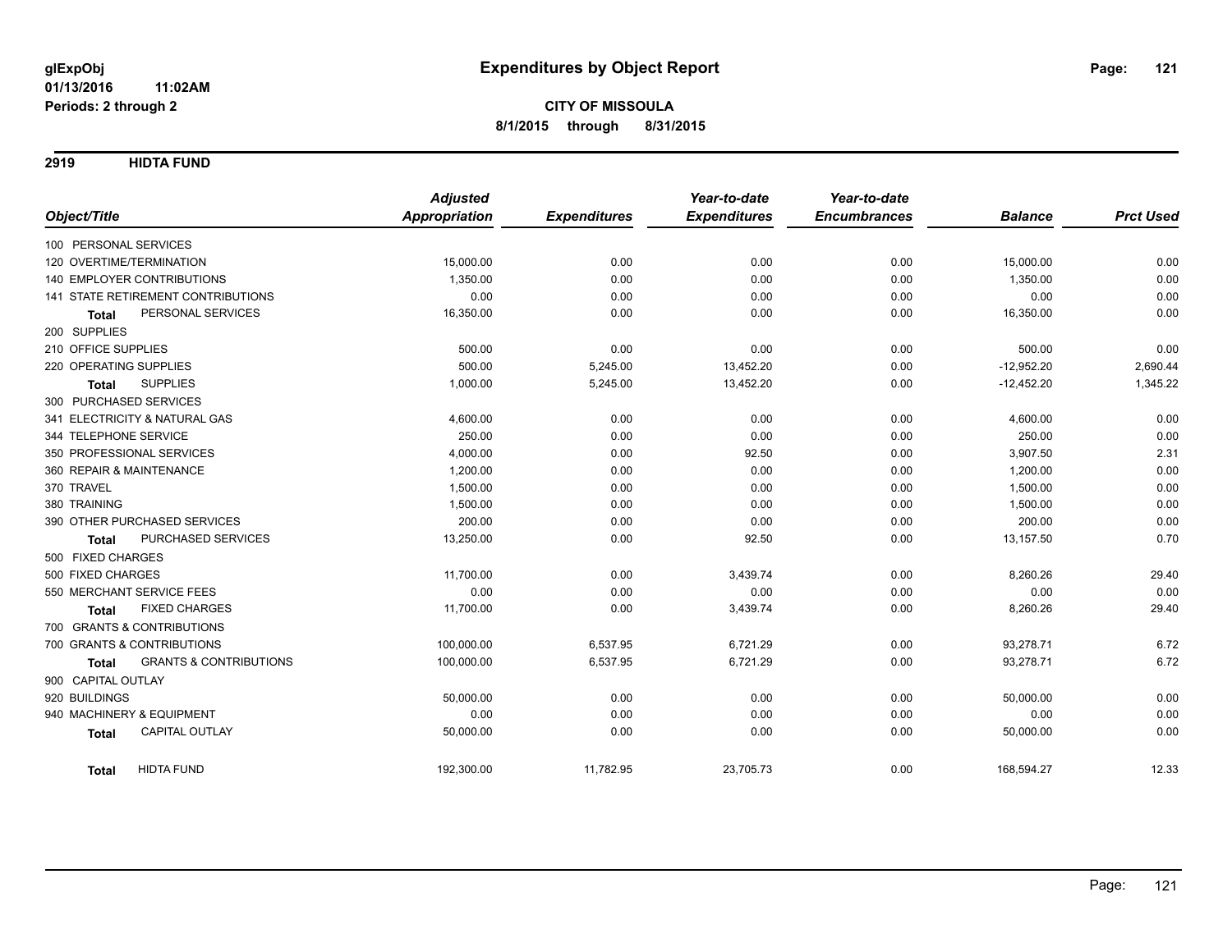**2919 HIDTA FUND**

|                                                   | <b>Adjusted</b>      |                     | Year-to-date        | Year-to-date        |                |                  |
|---------------------------------------------------|----------------------|---------------------|---------------------|---------------------|----------------|------------------|
| Object/Title                                      | <b>Appropriation</b> | <b>Expenditures</b> | <b>Expenditures</b> | <b>Encumbrances</b> | <b>Balance</b> | <b>Prct Used</b> |
| 100 PERSONAL SERVICES                             |                      |                     |                     |                     |                |                  |
| 120 OVERTIME/TERMINATION                          | 15,000.00            | 0.00                | 0.00                | 0.00                | 15,000.00      | 0.00             |
| <b>140 EMPLOYER CONTRIBUTIONS</b>                 | 1,350.00             | 0.00                | 0.00                | 0.00                | 1,350.00       | 0.00             |
| 141 STATE RETIREMENT CONTRIBUTIONS                | 0.00                 | 0.00                | 0.00                | 0.00                | 0.00           | 0.00             |
| PERSONAL SERVICES<br><b>Total</b>                 | 16,350.00            | 0.00                | 0.00                | 0.00                | 16,350.00      | 0.00             |
| 200 SUPPLIES                                      |                      |                     |                     |                     |                |                  |
| 210 OFFICE SUPPLIES                               | 500.00               | 0.00                | 0.00                | 0.00                | 500.00         | 0.00             |
| 220 OPERATING SUPPLIES                            | 500.00               | 5,245.00            | 13,452.20           | 0.00                | $-12,952.20$   | 2,690.44         |
| <b>SUPPLIES</b><br><b>Total</b>                   | 1,000.00             | 5,245.00            | 13,452.20           | 0.00                | $-12,452.20$   | 1,345.22         |
| 300 PURCHASED SERVICES                            |                      |                     |                     |                     |                |                  |
| 341 ELECTRICITY & NATURAL GAS                     | 4,600.00             | 0.00                | 0.00                | 0.00                | 4,600.00       | 0.00             |
| 344 TELEPHONE SERVICE                             | 250.00               | 0.00                | 0.00                | 0.00                | 250.00         | 0.00             |
| 350 PROFESSIONAL SERVICES                         | 4,000.00             | 0.00                | 92.50               | 0.00                | 3,907.50       | 2.31             |
| 360 REPAIR & MAINTENANCE                          | 1,200.00             | 0.00                | 0.00                | 0.00                | 1,200.00       | 0.00             |
| 370 TRAVEL                                        | 1,500.00             | 0.00                | 0.00                | 0.00                | 1,500.00       | 0.00             |
| 380 TRAINING                                      | 1,500.00             | 0.00                | 0.00                | 0.00                | 1,500.00       | 0.00             |
| 390 OTHER PURCHASED SERVICES                      | 200.00               | 0.00                | 0.00                | 0.00                | 200.00         | 0.00             |
| PURCHASED SERVICES<br><b>Total</b>                | 13,250.00            | 0.00                | 92.50               | 0.00                | 13,157.50      | 0.70             |
| 500 FIXED CHARGES                                 |                      |                     |                     |                     |                |                  |
| 500 FIXED CHARGES                                 | 11,700.00            | 0.00                | 3,439.74            | 0.00                | 8,260.26       | 29.40            |
| 550 MERCHANT SERVICE FEES                         | 0.00                 | 0.00                | 0.00                | 0.00                | 0.00           | 0.00             |
| <b>FIXED CHARGES</b><br><b>Total</b>              | 11,700.00            | 0.00                | 3,439.74            | 0.00                | 8,260.26       | 29.40            |
| 700 GRANTS & CONTRIBUTIONS                        |                      |                     |                     |                     |                |                  |
| 700 GRANTS & CONTRIBUTIONS                        | 100,000.00           | 6,537.95            | 6,721.29            | 0.00                | 93,278.71      | 6.72             |
| <b>GRANTS &amp; CONTRIBUTIONS</b><br><b>Total</b> | 100,000.00           | 6,537.95            | 6,721.29            | 0.00                | 93,278.71      | 6.72             |
| 900 CAPITAL OUTLAY                                |                      |                     |                     |                     |                |                  |
| 920 BUILDINGS                                     | 50,000.00            | 0.00                | 0.00                | 0.00                | 50,000.00      | 0.00             |
| 940 MACHINERY & EQUIPMENT                         | 0.00                 | 0.00                | 0.00                | 0.00                | 0.00           | 0.00             |
| <b>CAPITAL OUTLAY</b><br><b>Total</b>             | 50,000.00            | 0.00                | 0.00                | 0.00                | 50,000.00      | 0.00             |
| <b>HIDTA FUND</b><br><b>Total</b>                 | 192,300.00           | 11,782.95           | 23,705.73           | 0.00                | 168,594.27     | 12.33            |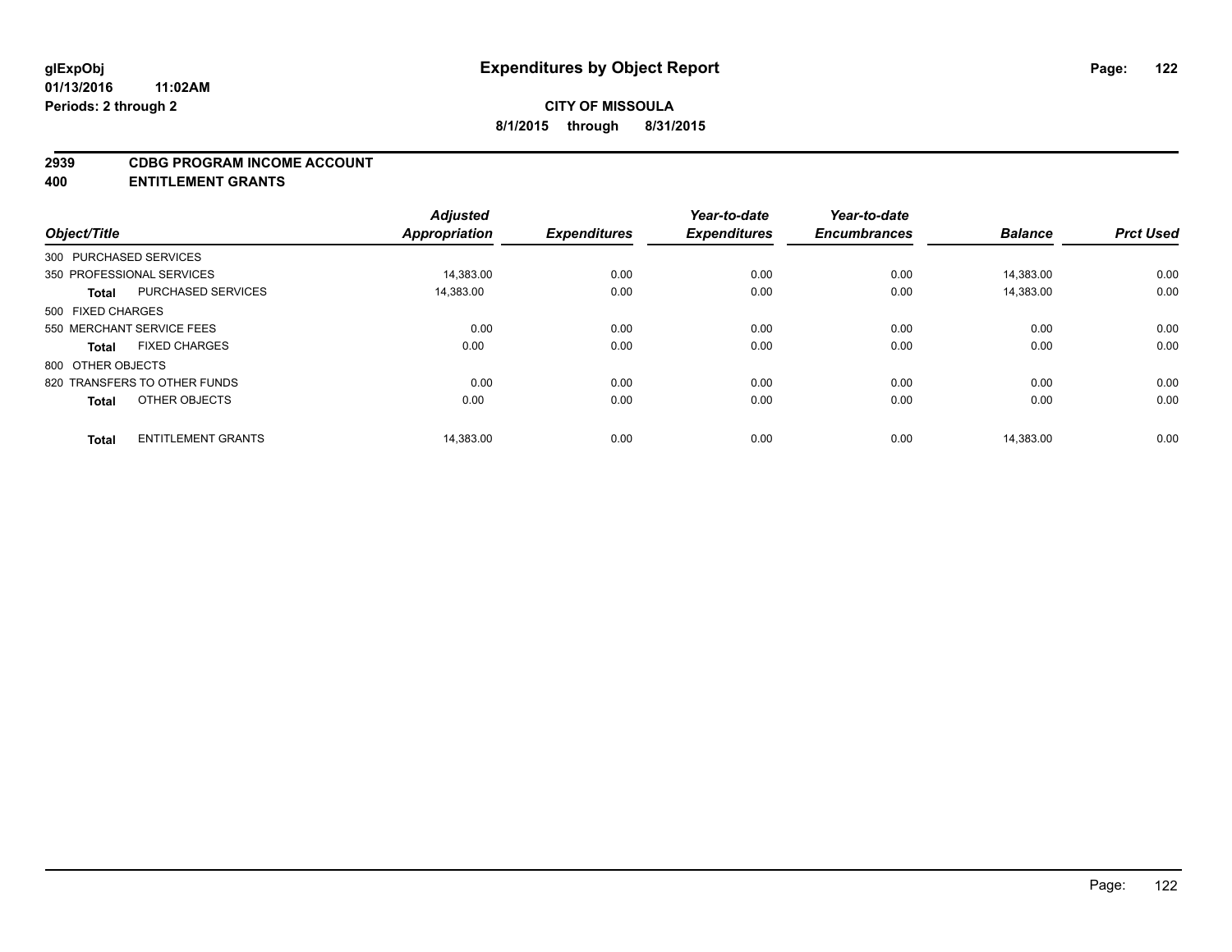#### **2939 CDBG PROGRAM INCOME ACCOUNT**

**400 ENTITLEMENT GRANTS**

| Object/Title           |                              | <b>Adjusted</b><br>Appropriation | <b>Expenditures</b> | Year-to-date<br><b>Expenditures</b> | Year-to-date<br><b>Encumbrances</b> | <b>Balance</b> | <b>Prct Used</b> |
|------------------------|------------------------------|----------------------------------|---------------------|-------------------------------------|-------------------------------------|----------------|------------------|
|                        |                              |                                  |                     |                                     |                                     |                |                  |
| 300 PURCHASED SERVICES |                              |                                  |                     |                                     |                                     |                |                  |
|                        | 350 PROFESSIONAL SERVICES    | 14.383.00                        | 0.00                | 0.00                                | 0.00                                | 14.383.00      | 0.00             |
| <b>Total</b>           | <b>PURCHASED SERVICES</b>    | 14,383.00                        | 0.00                | 0.00                                | 0.00                                | 14.383.00      | 0.00             |
| 500 FIXED CHARGES      |                              |                                  |                     |                                     |                                     |                |                  |
|                        | 550 MERCHANT SERVICE FEES    | 0.00                             | 0.00                | 0.00                                | 0.00                                | 0.00           | 0.00             |
| <b>Total</b>           | <b>FIXED CHARGES</b>         | 0.00                             | 0.00                | 0.00                                | 0.00                                | 0.00           | 0.00             |
| 800 OTHER OBJECTS      |                              |                                  |                     |                                     |                                     |                |                  |
|                        | 820 TRANSFERS TO OTHER FUNDS | 0.00                             | 0.00                | 0.00                                | 0.00                                | 0.00           | 0.00             |
| <b>Total</b>           | OTHER OBJECTS                | 0.00                             | 0.00                | 0.00                                | 0.00                                | 0.00           | 0.00             |
|                        | <b>ENTITLEMENT GRANTS</b>    | 14.383.00                        |                     | 0.00                                | 0.00                                |                |                  |
| <b>Total</b>           |                              |                                  | 0.00                |                                     |                                     | 14,383.00      | 0.00             |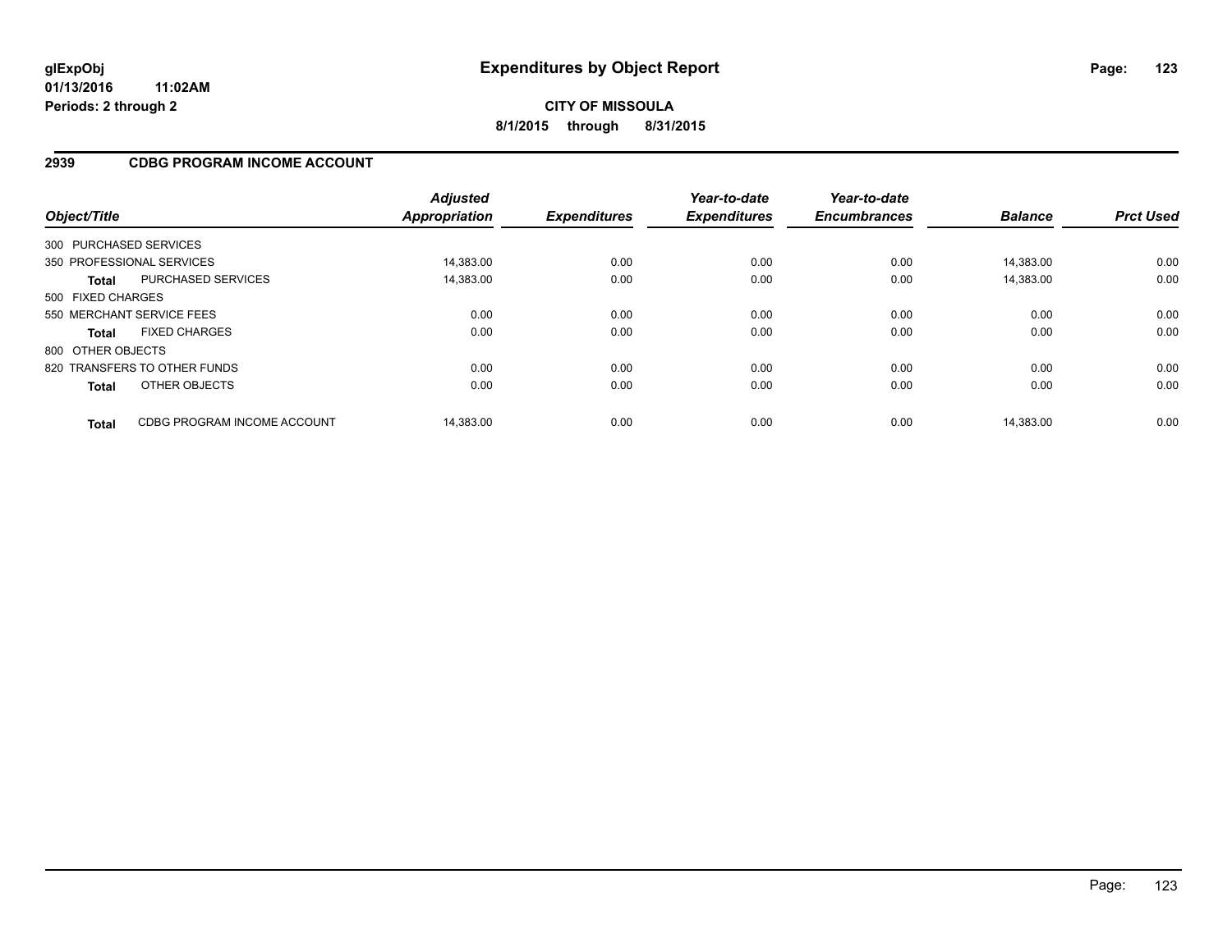# **CITY OF MISSOULA 8/1/2015 through 8/31/2015**

## **2939 CDBG PROGRAM INCOME ACCOUNT**

| Object/Title      |                              | <b>Adjusted</b><br><b>Appropriation</b> | <b>Expenditures</b> | Year-to-date<br><b>Expenditures</b> | Year-to-date<br><b>Encumbrances</b> | <b>Balance</b> | <b>Prct Used</b> |
|-------------------|------------------------------|-----------------------------------------|---------------------|-------------------------------------|-------------------------------------|----------------|------------------|
|                   | 300 PURCHASED SERVICES       |                                         |                     |                                     |                                     |                |                  |
|                   | 350 PROFESSIONAL SERVICES    | 14.383.00                               | 0.00                | 0.00                                | 0.00                                | 14.383.00      | 0.00             |
| <b>Total</b>      | <b>PURCHASED SERVICES</b>    | 14,383.00                               | 0.00                | 0.00                                | 0.00                                | 14.383.00      | 0.00             |
| 500 FIXED CHARGES |                              |                                         |                     |                                     |                                     |                |                  |
|                   | 550 MERCHANT SERVICE FEES    | 0.00                                    | 0.00                | 0.00                                | 0.00                                | 0.00           | 0.00             |
| <b>Total</b>      | <b>FIXED CHARGES</b>         | 0.00                                    | 0.00                | 0.00                                | 0.00                                | 0.00           | 0.00             |
| 800 OTHER OBJECTS |                              |                                         |                     |                                     |                                     |                |                  |
|                   | 820 TRANSFERS TO OTHER FUNDS | 0.00                                    | 0.00                | 0.00                                | 0.00                                | 0.00           | 0.00             |
| <b>Total</b>      | OTHER OBJECTS                | 0.00                                    | 0.00                | 0.00                                | 0.00                                | 0.00           | 0.00             |
| <b>Total</b>      | CDBG PROGRAM INCOME ACCOUNT  | 14.383.00                               | 0.00                | 0.00                                | 0.00                                | 14.383.00      | 0.00             |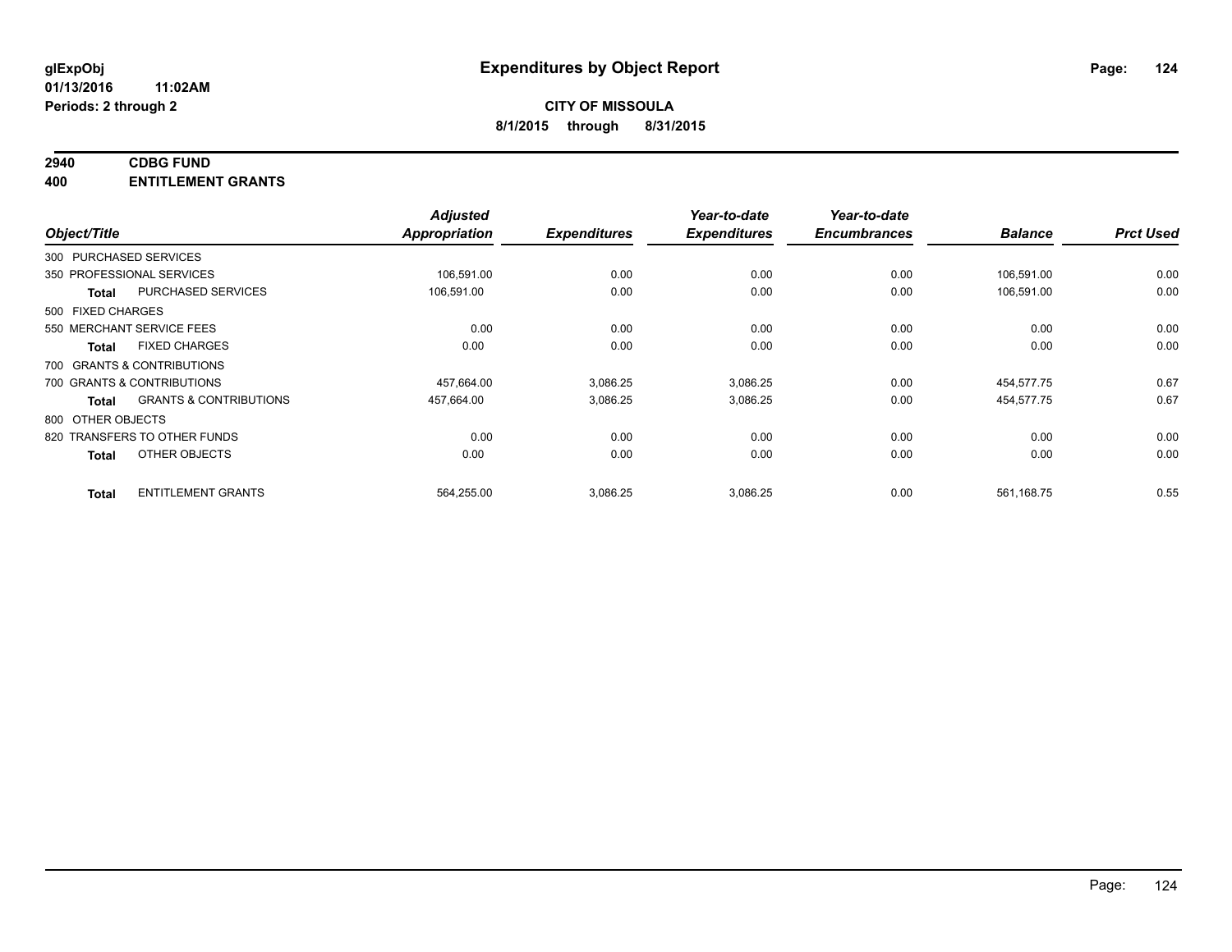# **2940 CDBG FUND**

**400 ENTITLEMENT GRANTS**

| Object/Title           |                                   | <b>Adjusted</b><br>Appropriation | <b>Expenditures</b> | Year-to-date<br><b>Expenditures</b> | Year-to-date<br><b>Encumbrances</b> | <b>Balance</b> | <b>Prct Used</b> |
|------------------------|-----------------------------------|----------------------------------|---------------------|-------------------------------------|-------------------------------------|----------------|------------------|
| 300 PURCHASED SERVICES |                                   |                                  |                     |                                     |                                     |                |                  |
|                        | 350 PROFESSIONAL SERVICES         | 106,591.00                       | 0.00                | 0.00                                | 0.00                                | 106,591.00     | 0.00             |
| <b>Total</b>           | <b>PURCHASED SERVICES</b>         | 106,591.00                       | 0.00                | 0.00                                | 0.00                                | 106,591.00     | 0.00             |
| 500 FIXED CHARGES      |                                   |                                  |                     |                                     |                                     |                |                  |
|                        | 550 MERCHANT SERVICE FEES         | 0.00                             | 0.00                | 0.00                                | 0.00                                | 0.00           | 0.00             |
| <b>Total</b>           | <b>FIXED CHARGES</b>              | 0.00                             | 0.00                | 0.00                                | 0.00                                | 0.00           | 0.00             |
|                        | 700 GRANTS & CONTRIBUTIONS        |                                  |                     |                                     |                                     |                |                  |
|                        | 700 GRANTS & CONTRIBUTIONS        | 457,664.00                       | 3,086.25            | 3,086.25                            | 0.00                                | 454,577.75     | 0.67             |
| <b>Total</b>           | <b>GRANTS &amp; CONTRIBUTIONS</b> | 457,664.00                       | 3,086.25            | 3,086.25                            | 0.00                                | 454,577.75     | 0.67             |
| 800 OTHER OBJECTS      |                                   |                                  |                     |                                     |                                     |                |                  |
|                        | 820 TRANSFERS TO OTHER FUNDS      | 0.00                             | 0.00                | 0.00                                | 0.00                                | 0.00           | 0.00             |
| <b>Total</b>           | OTHER OBJECTS                     | 0.00                             | 0.00                | 0.00                                | 0.00                                | 0.00           | 0.00             |
| <b>Total</b>           | <b>ENTITLEMENT GRANTS</b>         | 564,255.00                       | 3,086.25            | 3,086.25                            | 0.00                                | 561,168.75     | 0.55             |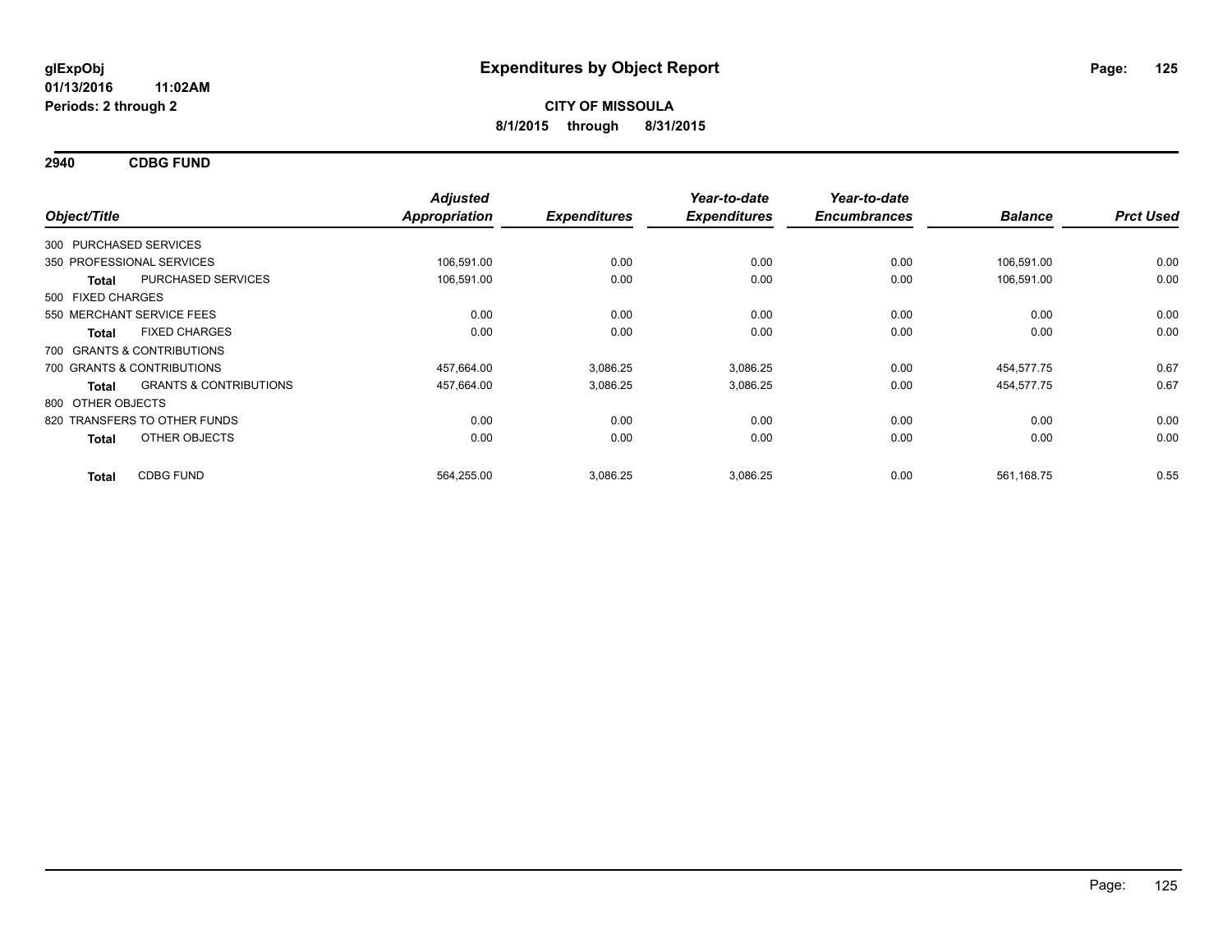**2940 CDBG FUND**

| Object/Title           |                                   | <b>Adjusted</b><br><b>Appropriation</b> | <b>Expenditures</b> | Year-to-date<br><b>Expenditures</b> | Year-to-date<br><b>Encumbrances</b> | <b>Balance</b> | <b>Prct Used</b> |
|------------------------|-----------------------------------|-----------------------------------------|---------------------|-------------------------------------|-------------------------------------|----------------|------------------|
|                        |                                   |                                         |                     |                                     |                                     |                |                  |
| 300 PURCHASED SERVICES |                                   |                                         |                     |                                     |                                     |                |                  |
|                        | 350 PROFESSIONAL SERVICES         | 106,591.00                              | 0.00                | 0.00                                | 0.00                                | 106,591.00     | 0.00             |
| Total                  | PURCHASED SERVICES                | 106,591.00                              | 0.00                | 0.00                                | 0.00                                | 106,591.00     | 0.00             |
| 500 FIXED CHARGES      |                                   |                                         |                     |                                     |                                     |                |                  |
|                        | 550 MERCHANT SERVICE FEES         | 0.00                                    | 0.00                | 0.00                                | 0.00                                | 0.00           | 0.00             |
| <b>Total</b>           | <b>FIXED CHARGES</b>              | 0.00                                    | 0.00                | 0.00                                | 0.00                                | 0.00           | 0.00             |
|                        | 700 GRANTS & CONTRIBUTIONS        |                                         |                     |                                     |                                     |                |                  |
|                        | 700 GRANTS & CONTRIBUTIONS        | 457,664.00                              | 3,086.25            | 3,086.25                            | 0.00                                | 454,577.75     | 0.67             |
| <b>Total</b>           | <b>GRANTS &amp; CONTRIBUTIONS</b> | 457,664.00                              | 3,086.25            | 3,086.25                            | 0.00                                | 454,577.75     | 0.67             |
| 800 OTHER OBJECTS      |                                   |                                         |                     |                                     |                                     |                |                  |
|                        | 820 TRANSFERS TO OTHER FUNDS      | 0.00                                    | 0.00                | 0.00                                | 0.00                                | 0.00           | 0.00             |
| <b>Total</b>           | OTHER OBJECTS                     | 0.00                                    | 0.00                | 0.00                                | 0.00                                | 0.00           | 0.00             |
| <b>Total</b>           | <b>CDBG FUND</b>                  | 564,255.00                              | 3,086.25            | 3,086.25                            | 0.00                                | 561,168.75     | 0.55             |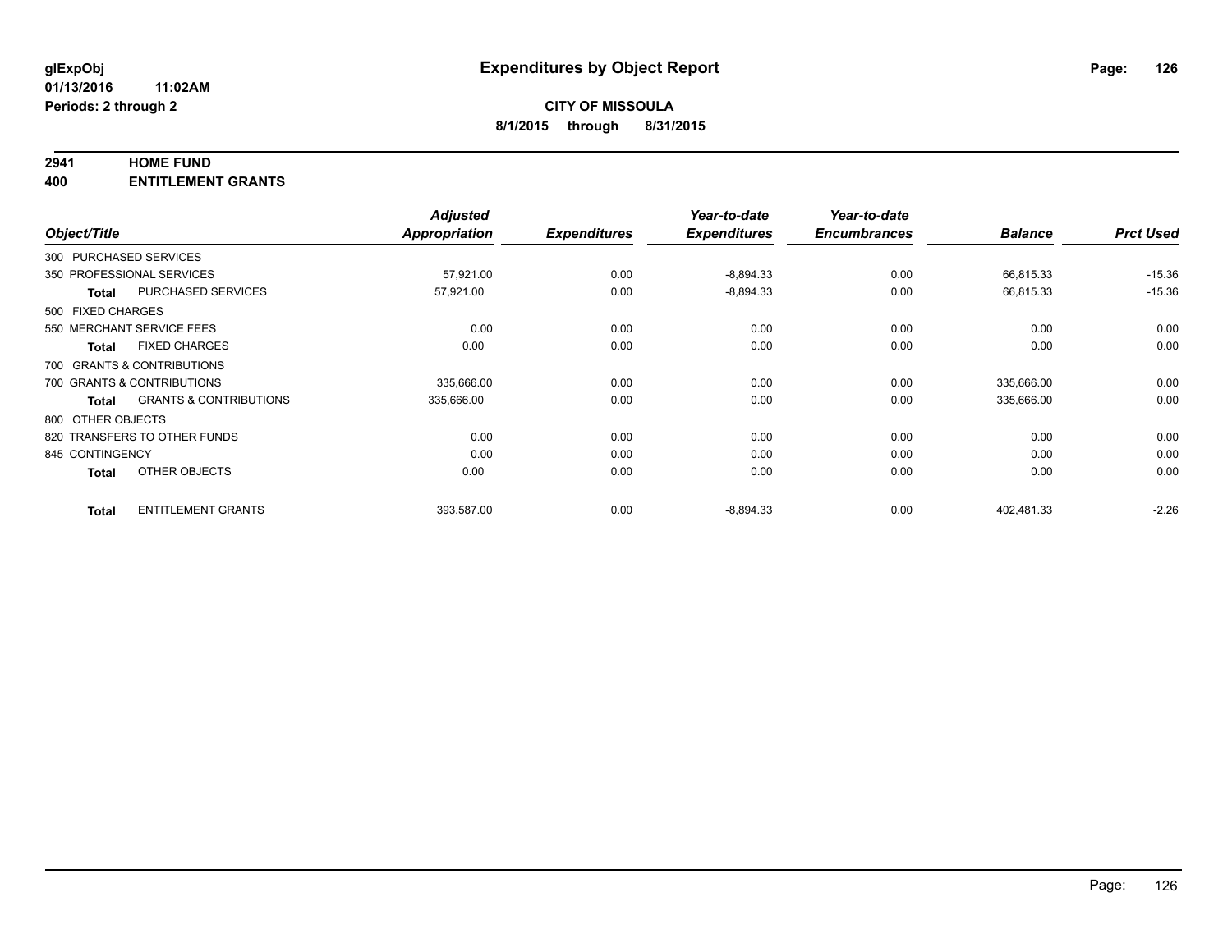### **2941 HOME FUND**

**400 ENTITLEMENT GRANTS**

|                   |                                   | <b>Adjusted</b> |                     | Year-to-date        | Year-to-date        |                |                  |
|-------------------|-----------------------------------|-----------------|---------------------|---------------------|---------------------|----------------|------------------|
| Object/Title      |                                   | Appropriation   | <b>Expenditures</b> | <b>Expenditures</b> | <b>Encumbrances</b> | <b>Balance</b> | <b>Prct Used</b> |
|                   | 300 PURCHASED SERVICES            |                 |                     |                     |                     |                |                  |
|                   | 350 PROFESSIONAL SERVICES         | 57,921.00       | 0.00                | $-8,894.33$         | 0.00                | 66,815.33      | $-15.36$         |
| <b>Total</b>      | PURCHASED SERVICES                | 57,921.00       | 0.00                | $-8,894.33$         | 0.00                | 66,815.33      | $-15.36$         |
| 500 FIXED CHARGES |                                   |                 |                     |                     |                     |                |                  |
|                   | 550 MERCHANT SERVICE FEES         | 0.00            | 0.00                | 0.00                | 0.00                | 0.00           | 0.00             |
| <b>Total</b>      | <b>FIXED CHARGES</b>              | 0.00            | 0.00                | 0.00                | 0.00                | 0.00           | 0.00             |
|                   | 700 GRANTS & CONTRIBUTIONS        |                 |                     |                     |                     |                |                  |
|                   | 700 GRANTS & CONTRIBUTIONS        | 335,666.00      | 0.00                | 0.00                | 0.00                | 335,666.00     | 0.00             |
| <b>Total</b>      | <b>GRANTS &amp; CONTRIBUTIONS</b> | 335,666.00      | 0.00                | 0.00                | 0.00                | 335,666.00     | 0.00             |
| 800 OTHER OBJECTS |                                   |                 |                     |                     |                     |                |                  |
|                   | 820 TRANSFERS TO OTHER FUNDS      | 0.00            | 0.00                | 0.00                | 0.00                | 0.00           | 0.00             |
| 845 CONTINGENCY   |                                   | 0.00            | 0.00                | 0.00                | 0.00                | 0.00           | 0.00             |
| <b>Total</b>      | OTHER OBJECTS                     | 0.00            | 0.00                | 0.00                | 0.00                | 0.00           | 0.00             |
| <b>Total</b>      | <b>ENTITLEMENT GRANTS</b>         | 393,587.00      | 0.00                | $-8,894.33$         | 0.00                | 402,481.33     | $-2.26$          |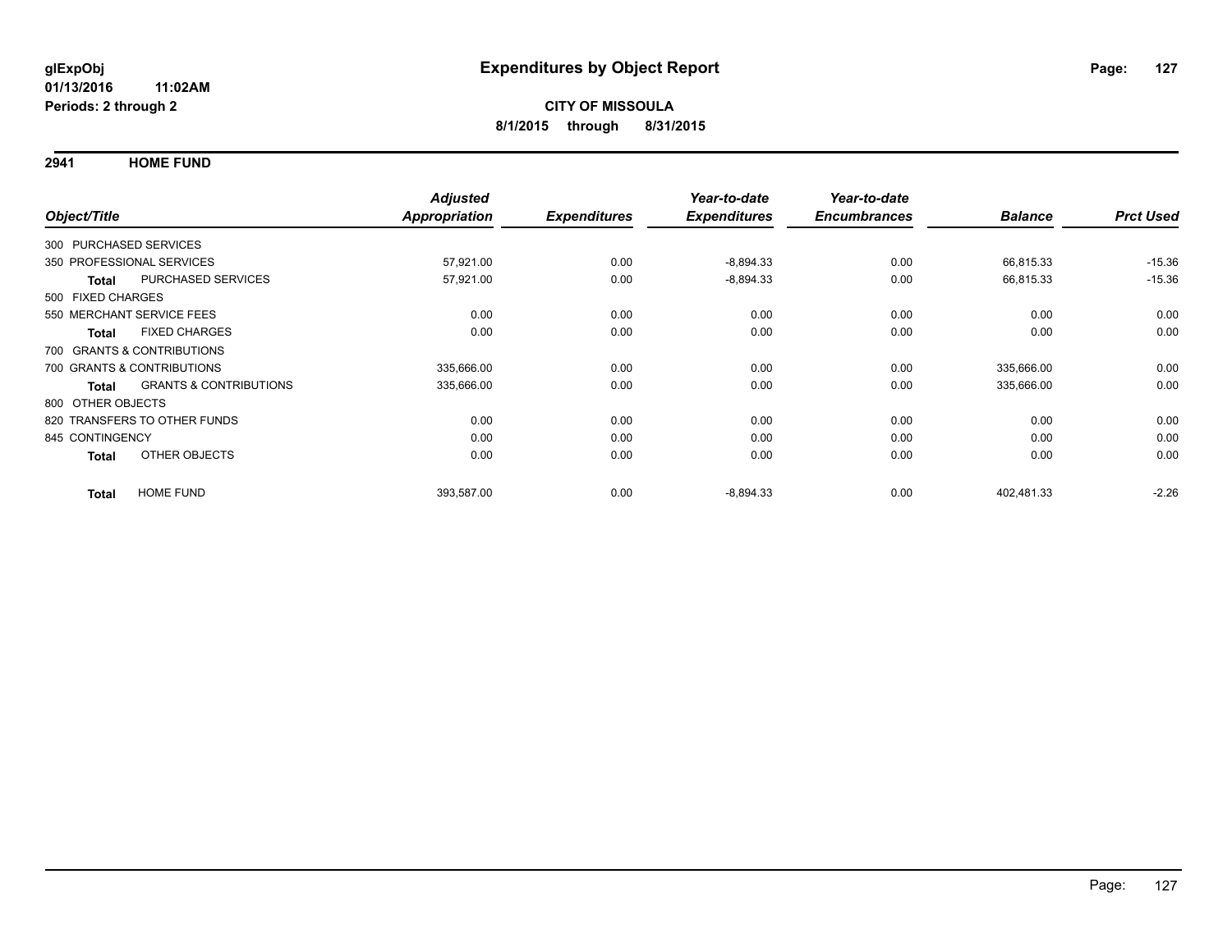**2941 HOME FUND**

|                        |                                   | <b>Adjusted</b>      |                     | Year-to-date        | Year-to-date        |                |                  |
|------------------------|-----------------------------------|----------------------|---------------------|---------------------|---------------------|----------------|------------------|
| Object/Title           |                                   | <b>Appropriation</b> | <b>Expenditures</b> | <b>Expenditures</b> | <b>Encumbrances</b> | <b>Balance</b> | <b>Prct Used</b> |
| 300 PURCHASED SERVICES |                                   |                      |                     |                     |                     |                |                  |
|                        | 350 PROFESSIONAL SERVICES         | 57,921.00            | 0.00                | $-8,894.33$         | 0.00                | 66,815.33      | $-15.36$         |
| <b>Total</b>           | PURCHASED SERVICES                | 57,921.00            | 0.00                | $-8,894.33$         | 0.00                | 66,815.33      | $-15.36$         |
| 500 FIXED CHARGES      |                                   |                      |                     |                     |                     |                |                  |
|                        | 550 MERCHANT SERVICE FEES         | 0.00                 | 0.00                | 0.00                | 0.00                | 0.00           | 0.00             |
| <b>Total</b>           | <b>FIXED CHARGES</b>              | 0.00                 | 0.00                | 0.00                | 0.00                | 0.00           | 0.00             |
|                        | 700 GRANTS & CONTRIBUTIONS        |                      |                     |                     |                     |                |                  |
|                        | 700 GRANTS & CONTRIBUTIONS        | 335,666.00           | 0.00                | 0.00                | 0.00                | 335,666.00     | 0.00             |
| <b>Total</b>           | <b>GRANTS &amp; CONTRIBUTIONS</b> | 335,666.00           | 0.00                | 0.00                | 0.00                | 335,666.00     | 0.00             |
| 800 OTHER OBJECTS      |                                   |                      |                     |                     |                     |                |                  |
|                        | 820 TRANSFERS TO OTHER FUNDS      | 0.00                 | 0.00                | 0.00                | 0.00                | 0.00           | 0.00             |
| 845 CONTINGENCY        |                                   | 0.00                 | 0.00                | 0.00                | 0.00                | 0.00           | 0.00             |
| <b>Total</b>           | OTHER OBJECTS                     | 0.00                 | 0.00                | 0.00                | 0.00                | 0.00           | 0.00             |
| <b>Total</b>           | <b>HOME FUND</b>                  | 393,587.00           | 0.00                | $-8,894.33$         | 0.00                | 402,481.33     | $-2.26$          |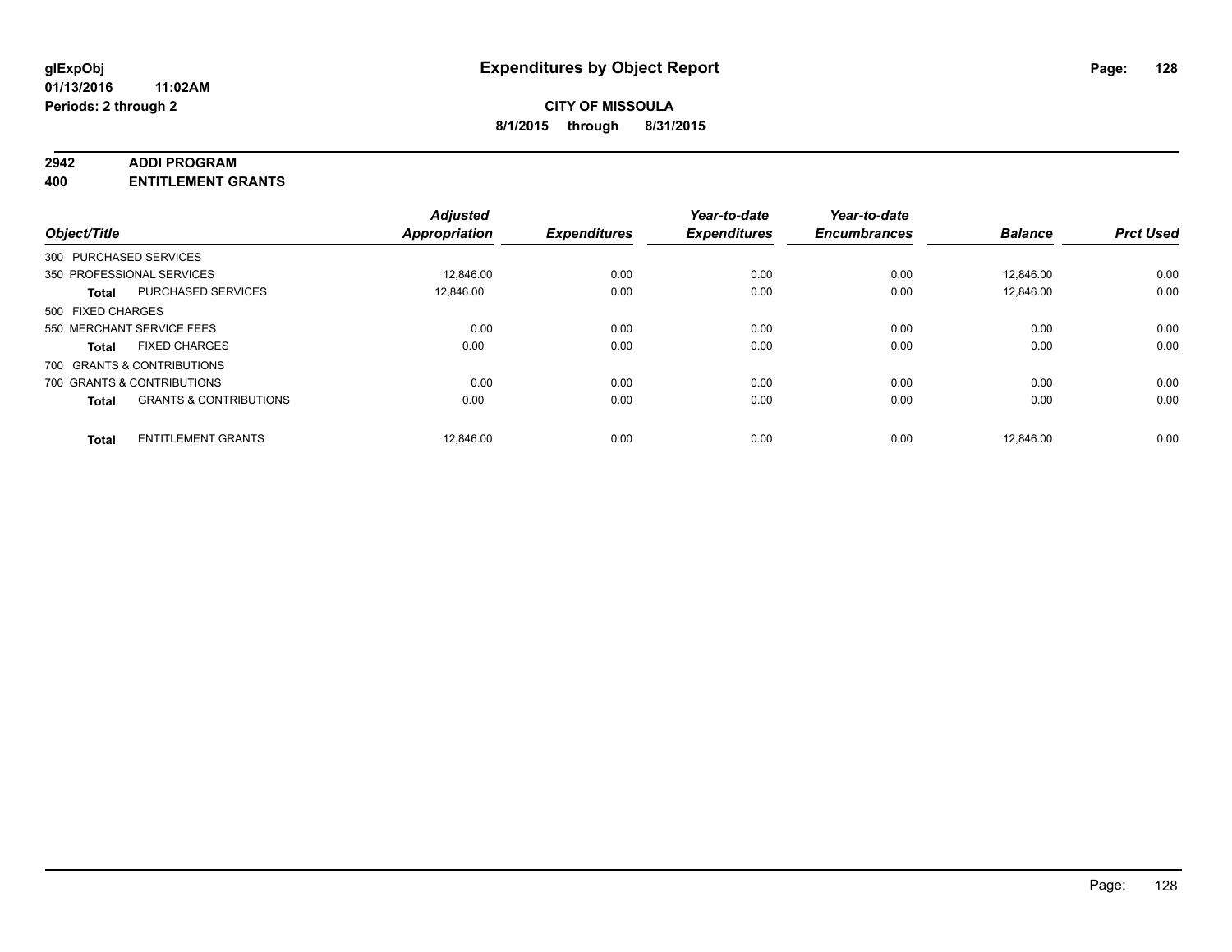#### **2942 ADDI PROGRAM**

**400 ENTITLEMENT GRANTS**

| Object/Title      |                                   | <b>Adjusted</b><br><b>Appropriation</b> | <b>Expenditures</b> | Year-to-date<br><b>Expenditures</b> | Year-to-date<br><b>Encumbrances</b> | <b>Balance</b> | <b>Prct Used</b> |
|-------------------|-----------------------------------|-----------------------------------------|---------------------|-------------------------------------|-------------------------------------|----------------|------------------|
|                   | 300 PURCHASED SERVICES            |                                         |                     |                                     |                                     |                |                  |
|                   | 350 PROFESSIONAL SERVICES         | 12,846.00                               | 0.00                | 0.00                                | 0.00                                | 12,846.00      | 0.00             |
| <b>Total</b>      | <b>PURCHASED SERVICES</b>         | 12.846.00                               | 0.00                | 0.00                                | 0.00                                | 12.846.00      | 0.00             |
| 500 FIXED CHARGES |                                   |                                         |                     |                                     |                                     |                |                  |
|                   | 550 MERCHANT SERVICE FEES         | 0.00                                    | 0.00                | 0.00                                | 0.00                                | 0.00           | 0.00             |
| <b>Total</b>      | <b>FIXED CHARGES</b>              | 0.00                                    | 0.00                | 0.00                                | 0.00                                | 0.00           | 0.00             |
|                   | 700 GRANTS & CONTRIBUTIONS        |                                         |                     |                                     |                                     |                |                  |
|                   | 700 GRANTS & CONTRIBUTIONS        | 0.00                                    | 0.00                | 0.00                                | 0.00                                | 0.00           | 0.00             |
| <b>Total</b>      | <b>GRANTS &amp; CONTRIBUTIONS</b> | 0.00                                    | 0.00                | 0.00                                | 0.00                                | 0.00           | 0.00             |
| <b>Total</b>      | <b>ENTITLEMENT GRANTS</b>         | 12,846.00                               | 0.00                | 0.00                                | 0.00                                | 12.846.00      | 0.00             |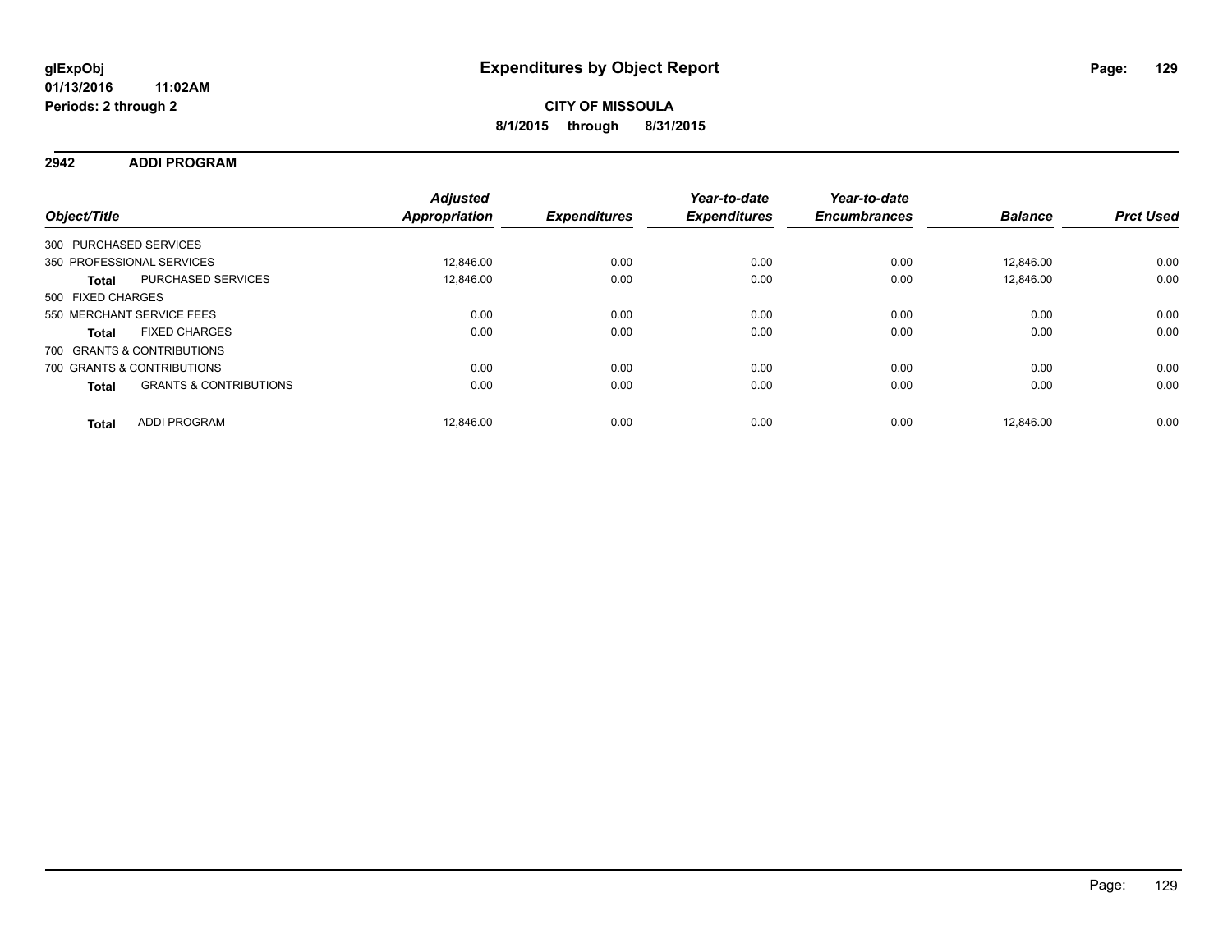**2942 ADDI PROGRAM**

| Object/Title      |                                   | <b>Adjusted</b><br><b>Appropriation</b> | <b>Expenditures</b> | Year-to-date<br><b>Expenditures</b> | Year-to-date<br><b>Encumbrances</b> | <b>Balance</b> | <b>Prct Used</b> |
|-------------------|-----------------------------------|-----------------------------------------|---------------------|-------------------------------------|-------------------------------------|----------------|------------------|
|                   | 300 PURCHASED SERVICES            |                                         |                     |                                     |                                     |                |                  |
|                   | 350 PROFESSIONAL SERVICES         | 12.846.00                               | 0.00                | 0.00                                | 0.00                                | 12.846.00      | 0.00             |
| <b>Total</b>      | PURCHASED SERVICES                | 12.846.00                               | 0.00                | 0.00                                | 0.00                                | 12.846.00      | 0.00             |
| 500 FIXED CHARGES |                                   |                                         |                     |                                     |                                     |                |                  |
|                   | 550 MERCHANT SERVICE FEES         | 0.00                                    | 0.00                | 0.00                                | 0.00                                | 0.00           | 0.00             |
| <b>Total</b>      | <b>FIXED CHARGES</b>              | 0.00                                    | 0.00                | 0.00                                | 0.00                                | 0.00           | 0.00             |
|                   | 700 GRANTS & CONTRIBUTIONS        |                                         |                     |                                     |                                     |                |                  |
|                   | 700 GRANTS & CONTRIBUTIONS        | 0.00                                    | 0.00                | 0.00                                | 0.00                                | 0.00           | 0.00             |
| <b>Total</b>      | <b>GRANTS &amp; CONTRIBUTIONS</b> | 0.00                                    | 0.00                | 0.00                                | 0.00                                | 0.00           | 0.00             |
| <b>Total</b>      | <b>ADDI PROGRAM</b>               | 12.846.00                               | 0.00                | 0.00                                | 0.00                                | 12.846.00      | 0.00             |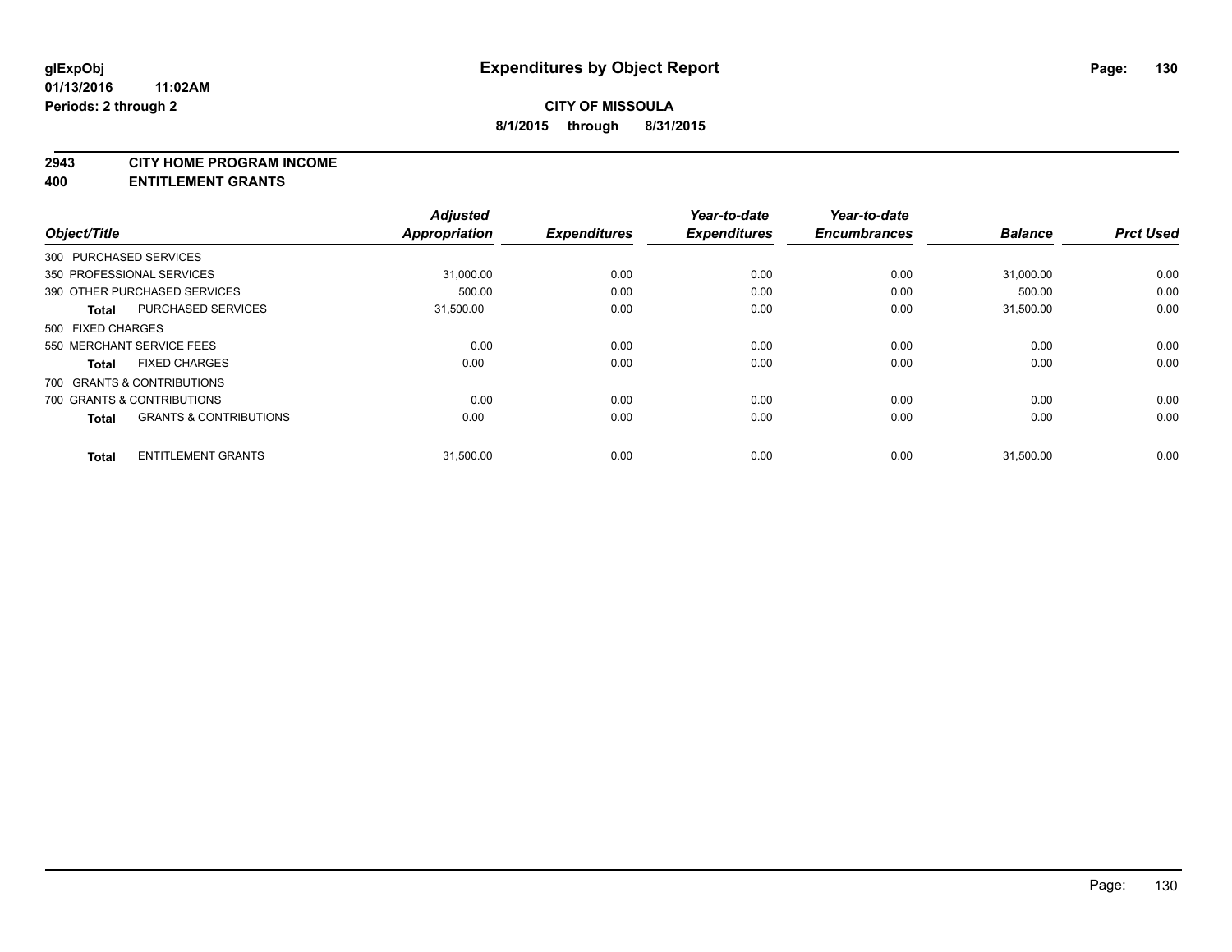#### **2943 CITY HOME PROGRAM INCOME**

**400 ENTITLEMENT GRANTS**

| Object/Title      |                                   | <b>Adjusted</b><br><b>Appropriation</b> | <b>Expenditures</b> | Year-to-date<br><b>Expenditures</b> | Year-to-date<br><b>Encumbrances</b> | <b>Balance</b> | <b>Prct Used</b> |
|-------------------|-----------------------------------|-----------------------------------------|---------------------|-------------------------------------|-------------------------------------|----------------|------------------|
|                   | 300 PURCHASED SERVICES            |                                         |                     |                                     |                                     |                |                  |
|                   | 350 PROFESSIONAL SERVICES         | 31,000.00                               | 0.00                | 0.00                                | 0.00                                | 31,000.00      | 0.00             |
|                   | 390 OTHER PURCHASED SERVICES      | 500.00                                  | 0.00                | 0.00                                | 0.00                                | 500.00         | 0.00             |
| <b>Total</b>      | PURCHASED SERVICES                | 31,500.00                               | 0.00                | 0.00                                | 0.00                                | 31.500.00      | 0.00             |
| 500 FIXED CHARGES |                                   |                                         |                     |                                     |                                     |                |                  |
|                   | 550 MERCHANT SERVICE FEES         | 0.00                                    | 0.00                | 0.00                                | 0.00                                | 0.00           | 0.00             |
| <b>Total</b>      | <b>FIXED CHARGES</b>              | 0.00                                    | 0.00                | 0.00                                | 0.00                                | 0.00           | 0.00             |
|                   | 700 GRANTS & CONTRIBUTIONS        |                                         |                     |                                     |                                     |                |                  |
|                   | 700 GRANTS & CONTRIBUTIONS        | 0.00                                    | 0.00                | 0.00                                | 0.00                                | 0.00           | 0.00             |
| <b>Total</b>      | <b>GRANTS &amp; CONTRIBUTIONS</b> | 0.00                                    | 0.00                | 0.00                                | 0.00                                | 0.00           | 0.00             |
| <b>Total</b>      | <b>ENTITLEMENT GRANTS</b>         | 31,500.00                               | 0.00                | 0.00                                | 0.00                                | 31,500.00      | 0.00             |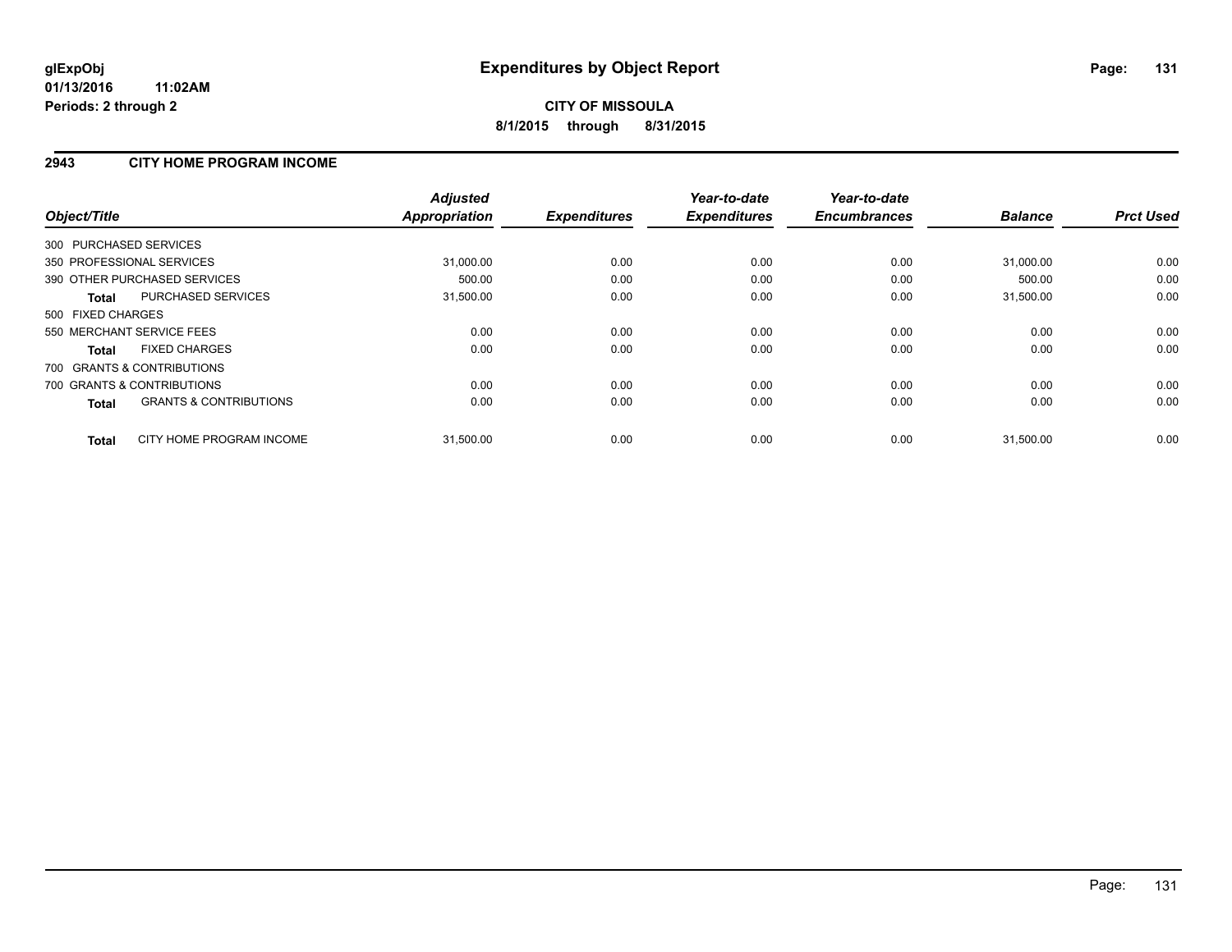### **2943 CITY HOME PROGRAM INCOME**

| Object/Title                                      | <b>Adjusted</b><br><b>Appropriation</b> | <b>Expenditures</b> | Year-to-date<br><b>Expenditures</b> | Year-to-date<br><b>Encumbrances</b> | <b>Balance</b> | <b>Prct Used</b> |
|---------------------------------------------------|-----------------------------------------|---------------------|-------------------------------------|-------------------------------------|----------------|------------------|
| 300 PURCHASED SERVICES                            |                                         |                     |                                     |                                     |                |                  |
| 350 PROFESSIONAL SERVICES                         | 31,000.00                               | 0.00                | 0.00                                | 0.00                                | 31,000.00      | 0.00             |
| 390 OTHER PURCHASED SERVICES                      | 500.00                                  | 0.00                | 0.00                                | 0.00                                | 500.00         | 0.00             |
| PURCHASED SERVICES<br>Total                       | 31,500.00                               | 0.00                | 0.00                                | 0.00                                | 31,500.00      | 0.00             |
| 500 FIXED CHARGES                                 |                                         |                     |                                     |                                     |                |                  |
| 550 MERCHANT SERVICE FEES                         | 0.00                                    | 0.00                | 0.00                                | 0.00                                | 0.00           | 0.00             |
| <b>FIXED CHARGES</b><br><b>Total</b>              | 0.00                                    | 0.00                | 0.00                                | 0.00                                | 0.00           | 0.00             |
| 700 GRANTS & CONTRIBUTIONS                        |                                         |                     |                                     |                                     |                |                  |
| 700 GRANTS & CONTRIBUTIONS                        | 0.00                                    | 0.00                | 0.00                                | 0.00                                | 0.00           | 0.00             |
| <b>GRANTS &amp; CONTRIBUTIONS</b><br><b>Total</b> | 0.00                                    | 0.00                | 0.00                                | 0.00                                | 0.00           | 0.00             |
| CITY HOME PROGRAM INCOME<br><b>Total</b>          | 31,500.00                               | 0.00                | 0.00                                | 0.00                                | 31,500.00      | 0.00             |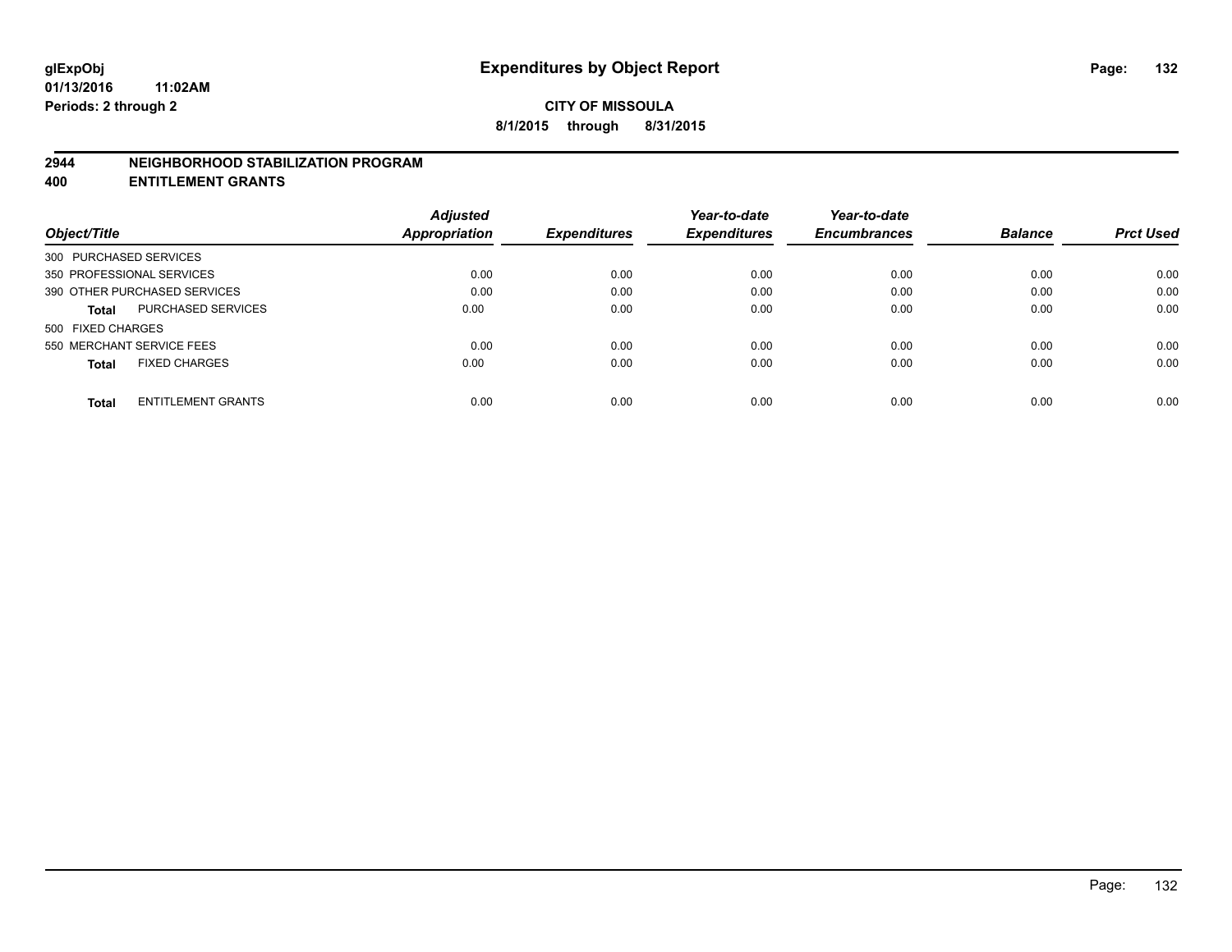#### **2944 NEIGHBORHOOD STABILIZATION PROGRAM**

**400 ENTITLEMENT GRANTS**

|                                           | <b>Adjusted</b>      |                     | Year-to-date        | Year-to-date        |                |                  |
|-------------------------------------------|----------------------|---------------------|---------------------|---------------------|----------------|------------------|
| Object/Title                              | <b>Appropriation</b> | <b>Expenditures</b> | <b>Expenditures</b> | <b>Encumbrances</b> | <b>Balance</b> | <b>Prct Used</b> |
| 300 PURCHASED SERVICES                    |                      |                     |                     |                     |                |                  |
| 350 PROFESSIONAL SERVICES                 | 0.00                 | 0.00                | 0.00                | 0.00                | 0.00           | 0.00             |
| 390 OTHER PURCHASED SERVICES              | 0.00                 | 0.00                | 0.00                | 0.00                | 0.00           | 0.00             |
| <b>PURCHASED SERVICES</b><br><b>Total</b> | 0.00                 | 0.00                | 0.00                | 0.00                | 0.00           | 0.00             |
| 500 FIXED CHARGES                         |                      |                     |                     |                     |                |                  |
| 550 MERCHANT SERVICE FEES                 | 0.00                 | 0.00                | 0.00                | 0.00                | 0.00           | 0.00             |
| <b>FIXED CHARGES</b><br><b>Total</b>      | 0.00                 | 0.00                | 0.00                | 0.00                | 0.00           | 0.00             |
| <b>ENTITLEMENT GRANTS</b><br><b>Total</b> | 0.00                 | 0.00                | 0.00                | 0.00                | 0.00           | 0.00             |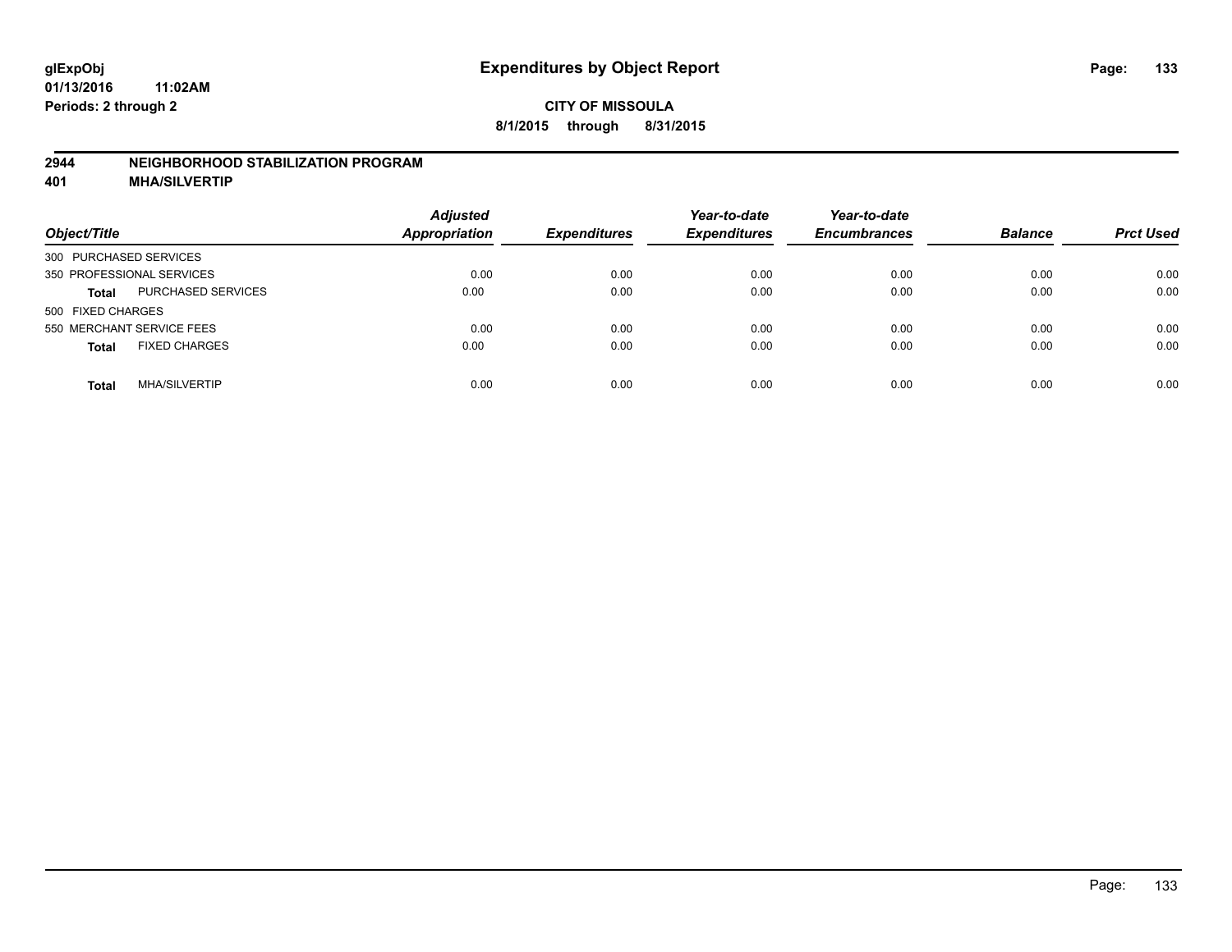### **2944 NEIGHBORHOOD STABILIZATION PROGRAM**

**401 MHA/SILVERTIP**

| Object/Title                              | <b>Adjusted</b><br><b>Appropriation</b> | <b>Expenditures</b> | Year-to-date<br><b>Expenditures</b> | Year-to-date<br><b>Encumbrances</b> | <b>Balance</b> | <b>Prct Used</b> |
|-------------------------------------------|-----------------------------------------|---------------------|-------------------------------------|-------------------------------------|----------------|------------------|
| 300 PURCHASED SERVICES                    |                                         |                     |                                     |                                     |                |                  |
| 350 PROFESSIONAL SERVICES                 | 0.00                                    | 0.00                | 0.00                                | 0.00                                | 0.00           | 0.00             |
| <b>PURCHASED SERVICES</b><br><b>Total</b> | 0.00                                    | 0.00                | 0.00                                | 0.00                                | 0.00           | 0.00             |
| 500 FIXED CHARGES                         |                                         |                     |                                     |                                     |                |                  |
| 550 MERCHANT SERVICE FEES                 | 0.00                                    | 0.00                | 0.00                                | 0.00                                | 0.00           | 0.00             |
| <b>FIXED CHARGES</b><br><b>Total</b>      | 0.00                                    | 0.00                | 0.00                                | 0.00                                | 0.00           | 0.00             |
| <b>MHA/SILVERTIP</b><br>Total             | 0.00                                    | 0.00                | 0.00                                | 0.00                                | 0.00           | 0.00             |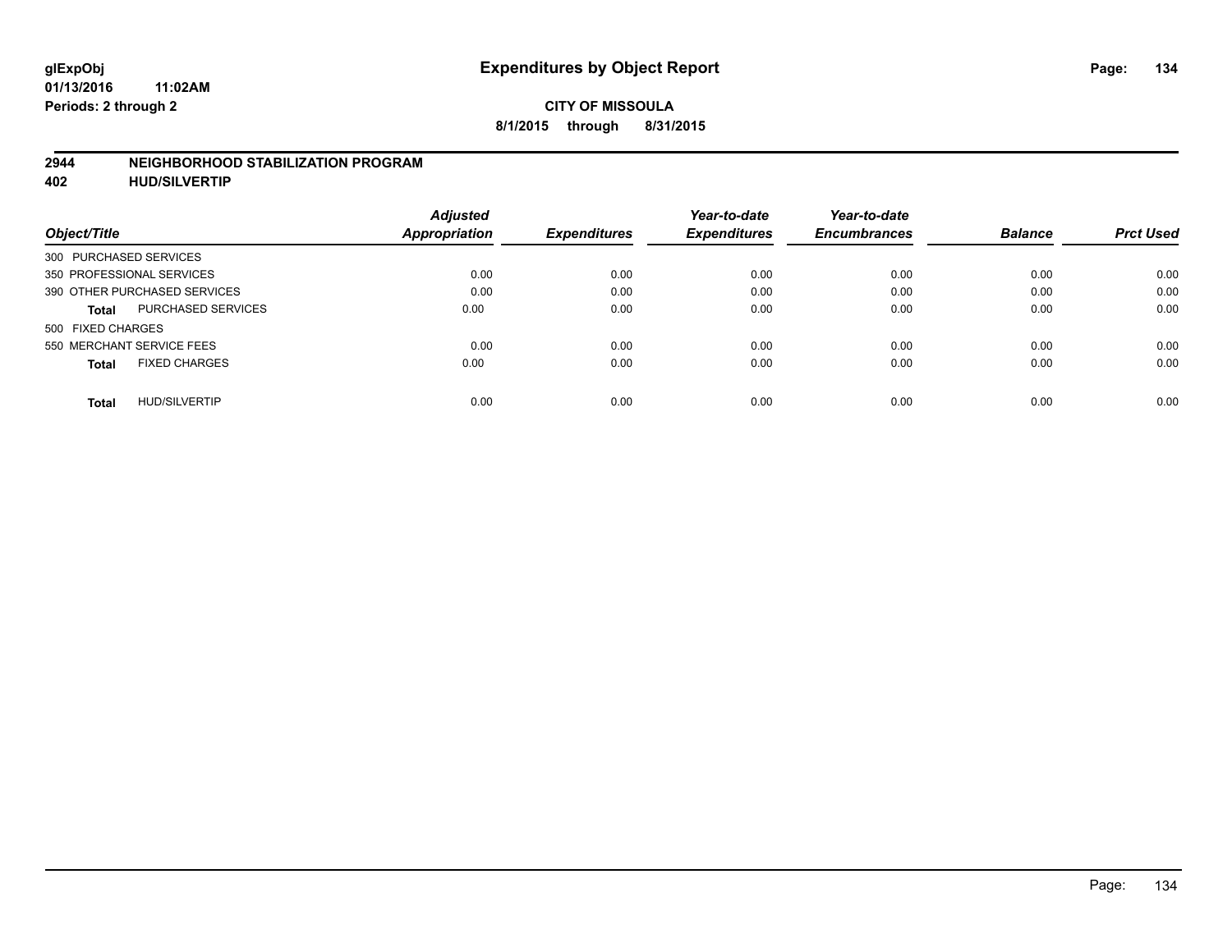#### **2944 NEIGHBORHOOD STABILIZATION PROGRAM**

**402 HUD/SILVERTIP**

| Object/Title                              | <b>Adjusted</b><br>Appropriation | <b>Expenditures</b> | Year-to-date<br><b>Expenditures</b> | Year-to-date<br><b>Encumbrances</b> | <b>Balance</b> | <b>Prct Used</b> |
|-------------------------------------------|----------------------------------|---------------------|-------------------------------------|-------------------------------------|----------------|------------------|
| 300 PURCHASED SERVICES                    |                                  |                     |                                     |                                     |                |                  |
| 350 PROFESSIONAL SERVICES                 | 0.00                             | 0.00                | 0.00                                | 0.00                                | 0.00           | 0.00             |
| 390 OTHER PURCHASED SERVICES              | 0.00                             | 0.00                | 0.00                                | 0.00                                | 0.00           | 0.00             |
| <b>PURCHASED SERVICES</b><br><b>Total</b> | 0.00                             | 0.00                | 0.00                                | 0.00                                | 0.00           | 0.00             |
| 500 FIXED CHARGES                         |                                  |                     |                                     |                                     |                |                  |
| 550 MERCHANT SERVICE FEES                 | 0.00                             | 0.00                | 0.00                                | 0.00                                | 0.00           | 0.00             |
| <b>FIXED CHARGES</b><br><b>Total</b>      | 0.00                             | 0.00                | 0.00                                | 0.00                                | 0.00           | 0.00             |
| <b>HUD/SILVERTIP</b><br><b>Total</b>      | 0.00                             | 0.00                | 0.00                                | 0.00                                | 0.00           | 0.00             |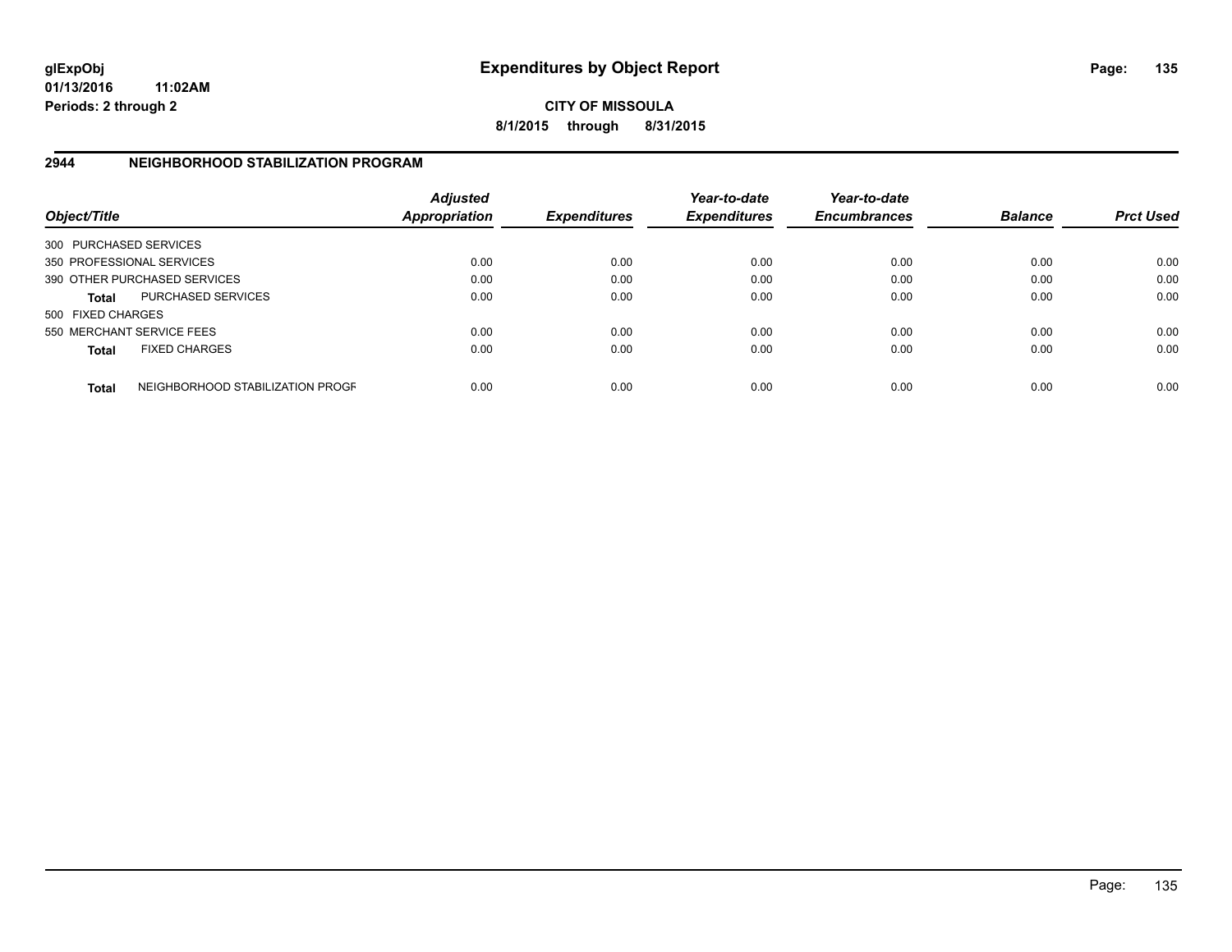**CITY OF MISSOULA 8/1/2015 through 8/31/2015**

## **2944 NEIGHBORHOOD STABILIZATION PROGRAM**

| Object/Title           |                                  | <b>Adjusted</b><br><b>Appropriation</b> | <b>Expenditures</b> | Year-to-date<br><b>Expenditures</b> | Year-to-date<br><b>Encumbrances</b> | <b>Balance</b> | <b>Prct Used</b> |
|------------------------|----------------------------------|-----------------------------------------|---------------------|-------------------------------------|-------------------------------------|----------------|------------------|
| 300 PURCHASED SERVICES |                                  |                                         |                     |                                     |                                     |                |                  |
|                        | 350 PROFESSIONAL SERVICES        | 0.00                                    | 0.00                | 0.00                                | 0.00                                | 0.00           | 0.00             |
|                        | 390 OTHER PURCHASED SERVICES     | 0.00                                    | 0.00                | 0.00                                | 0.00                                | 0.00           | 0.00             |
| <b>Total</b>           | <b>PURCHASED SERVICES</b>        | 0.00                                    | 0.00                | 0.00                                | 0.00                                | 0.00           | 0.00             |
| 500 FIXED CHARGES      |                                  |                                         |                     |                                     |                                     |                |                  |
|                        | 550 MERCHANT SERVICE FEES        | 0.00                                    | 0.00                | 0.00                                | 0.00                                | 0.00           | 0.00             |
| <b>Total</b>           | <b>FIXED CHARGES</b>             | 0.00                                    | 0.00                | 0.00                                | 0.00                                | 0.00           | 0.00             |
| <b>Total</b>           | NEIGHBORHOOD STABILIZATION PROGF | 0.00                                    | 0.00                | 0.00                                | 0.00                                | 0.00           | 0.00             |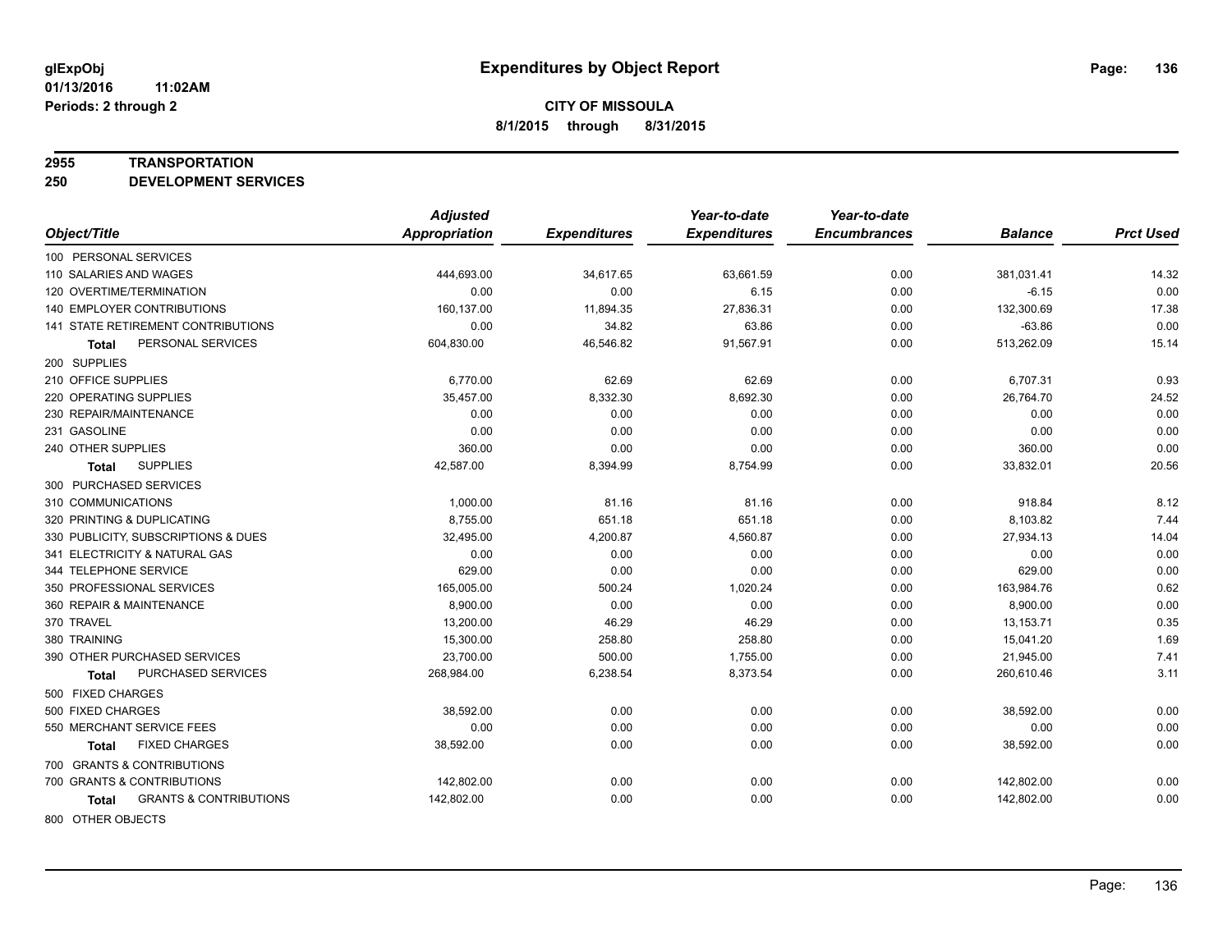#### **2955 TRANSPORTATION**

**250 DEVELOPMENT SERVICES**

|                                            | <b>Adjusted</b>      |                     | Year-to-date        | Year-to-date        |                |                  |
|--------------------------------------------|----------------------|---------------------|---------------------|---------------------|----------------|------------------|
| Object/Title                               | <b>Appropriation</b> | <b>Expenditures</b> | <b>Expenditures</b> | <b>Encumbrances</b> | <b>Balance</b> | <b>Prct Used</b> |
| 100 PERSONAL SERVICES                      |                      |                     |                     |                     |                |                  |
| 110 SALARIES AND WAGES                     | 444,693.00           | 34,617.65           | 63,661.59           | 0.00                | 381,031.41     | 14.32            |
| 120 OVERTIME/TERMINATION                   | 0.00                 | 0.00                | 6.15                | 0.00                | $-6.15$        | 0.00             |
| <b>140 EMPLOYER CONTRIBUTIONS</b>          | 160,137.00           | 11,894.35           | 27,836.31           | 0.00                | 132,300.69     | 17.38            |
| 141 STATE RETIREMENT CONTRIBUTIONS         | 0.00                 | 34.82               | 63.86               | 0.00                | $-63.86$       | 0.00             |
| PERSONAL SERVICES<br>Total                 | 604,830.00           | 46,546.82           | 91,567.91           | 0.00                | 513,262.09     | 15.14            |
| 200 SUPPLIES                               |                      |                     |                     |                     |                |                  |
| 210 OFFICE SUPPLIES                        | 6,770.00             | 62.69               | 62.69               | 0.00                | 6,707.31       | 0.93             |
| 220 OPERATING SUPPLIES                     | 35,457.00            | 8,332.30            | 8,692.30            | 0.00                | 26,764.70      | 24.52            |
| 230 REPAIR/MAINTENANCE                     | 0.00                 | 0.00                | 0.00                | 0.00                | 0.00           | 0.00             |
| 231 GASOLINE                               | 0.00                 | 0.00                | 0.00                | 0.00                | 0.00           | 0.00             |
| 240 OTHER SUPPLIES                         | 360.00               | 0.00                | 0.00                | 0.00                | 360.00         | 0.00             |
| <b>SUPPLIES</b><br><b>Total</b>            | 42,587.00            | 8,394.99            | 8,754.99            | 0.00                | 33,832.01      | 20.56            |
| 300 PURCHASED SERVICES                     |                      |                     |                     |                     |                |                  |
| 310 COMMUNICATIONS                         | 1,000.00             | 81.16               | 81.16               | 0.00                | 918.84         | 8.12             |
| 320 PRINTING & DUPLICATING                 | 8,755.00             | 651.18              | 651.18              | 0.00                | 8,103.82       | 7.44             |
| 330 PUBLICITY, SUBSCRIPTIONS & DUES        | 32,495.00            | 4,200.87            | 4,560.87            | 0.00                | 27,934.13      | 14.04            |
| 341 ELECTRICITY & NATURAL GAS              | 0.00                 | 0.00                | 0.00                | 0.00                | 0.00           | 0.00             |
| 344 TELEPHONE SERVICE                      | 629.00               | 0.00                | 0.00                | 0.00                | 629.00         | 0.00             |
| 350 PROFESSIONAL SERVICES                  | 165,005.00           | 500.24              | 1,020.24            | 0.00                | 163,984.76     | 0.62             |
| 360 REPAIR & MAINTENANCE                   | 8,900.00             | 0.00                | 0.00                | 0.00                | 8,900.00       | 0.00             |
| 370 TRAVEL                                 | 13,200.00            | 46.29               | 46.29               | 0.00                | 13,153.71      | 0.35             |
| 380 TRAINING                               | 15,300.00            | 258.80              | 258.80              | 0.00                | 15,041.20      | 1.69             |
| 390 OTHER PURCHASED SERVICES               | 23,700.00            | 500.00              | 1,755.00            | 0.00                | 21,945.00      | 7.41             |
| PURCHASED SERVICES<br>Total                | 268,984.00           | 6,238.54            | 8,373.54            | 0.00                | 260,610.46     | 3.11             |
| 500 FIXED CHARGES                          |                      |                     |                     |                     |                |                  |
| 500 FIXED CHARGES                          | 38,592.00            | 0.00                | 0.00                | 0.00                | 38,592.00      | 0.00             |
| 550 MERCHANT SERVICE FEES                  | 0.00                 | 0.00                | 0.00                | 0.00                | 0.00           | 0.00             |
| <b>FIXED CHARGES</b><br>Total              | 38,592.00            | 0.00                | 0.00                | 0.00                | 38,592.00      | 0.00             |
| 700 GRANTS & CONTRIBUTIONS                 |                      |                     |                     |                     |                |                  |
| 700 GRANTS & CONTRIBUTIONS                 | 142,802.00           | 0.00                | 0.00                | 0.00                | 142,802.00     | 0.00             |
| <b>GRANTS &amp; CONTRIBUTIONS</b><br>Total | 142,802.00           | 0.00                | 0.00                | 0.00                | 142,802.00     | 0.00             |
|                                            |                      |                     |                     |                     |                |                  |

800 OTHER OBJECTS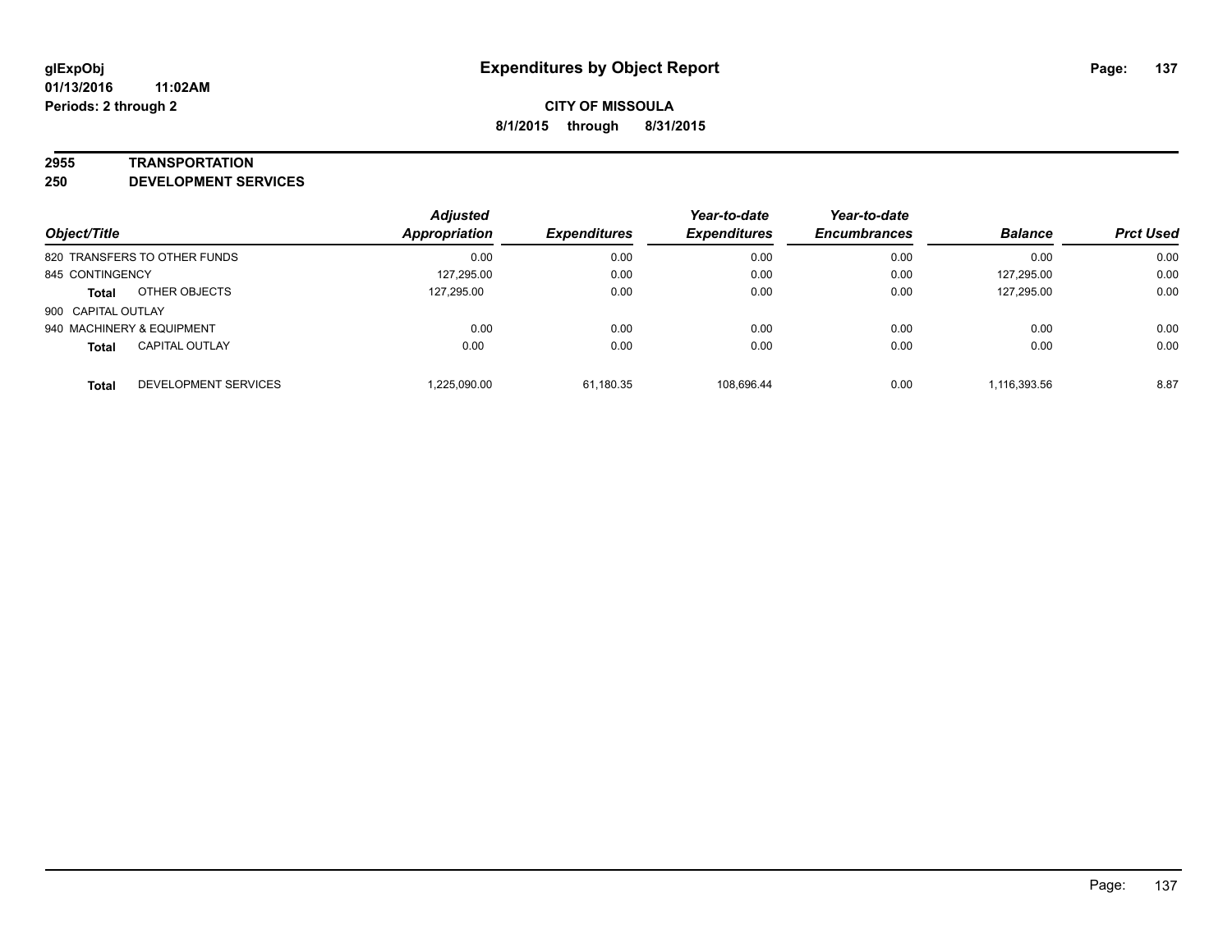#### **2955 TRANSPORTATION**

**250 DEVELOPMENT SERVICES**

| Object/Title                          | <b>Adjusted</b><br><b>Appropriation</b> | <b>Expenditures</b> | Year-to-date<br><b>Expenditures</b> | Year-to-date<br><b>Encumbrances</b> | <b>Balance</b> | <b>Prct Used</b> |
|---------------------------------------|-----------------------------------------|---------------------|-------------------------------------|-------------------------------------|----------------|------------------|
| 820 TRANSFERS TO OTHER FUNDS          | 0.00                                    | 0.00                | 0.00                                | 0.00                                | 0.00           | 0.00             |
| 845 CONTINGENCY                       | 127.295.00                              | 0.00                | 0.00                                | 0.00                                | 127.295.00     | 0.00             |
| OTHER OBJECTS<br><b>Total</b>         | 127.295.00                              | 0.00                | 0.00                                | 0.00                                | 127.295.00     | 0.00             |
| 900 CAPITAL OUTLAY                    |                                         |                     |                                     |                                     |                |                  |
| 940 MACHINERY & EQUIPMENT             | 0.00                                    | 0.00                | 0.00                                | 0.00                                | 0.00           | 0.00             |
| <b>CAPITAL OUTLAY</b><br><b>Total</b> | 0.00                                    | 0.00                | 0.00                                | 0.00                                | 0.00           | 0.00             |
| DEVELOPMENT SERVICES<br><b>Total</b>  | 1,225,090.00                            | 61,180.35           | 108.696.44                          | 0.00                                | 1,116,393.56   | 8.87             |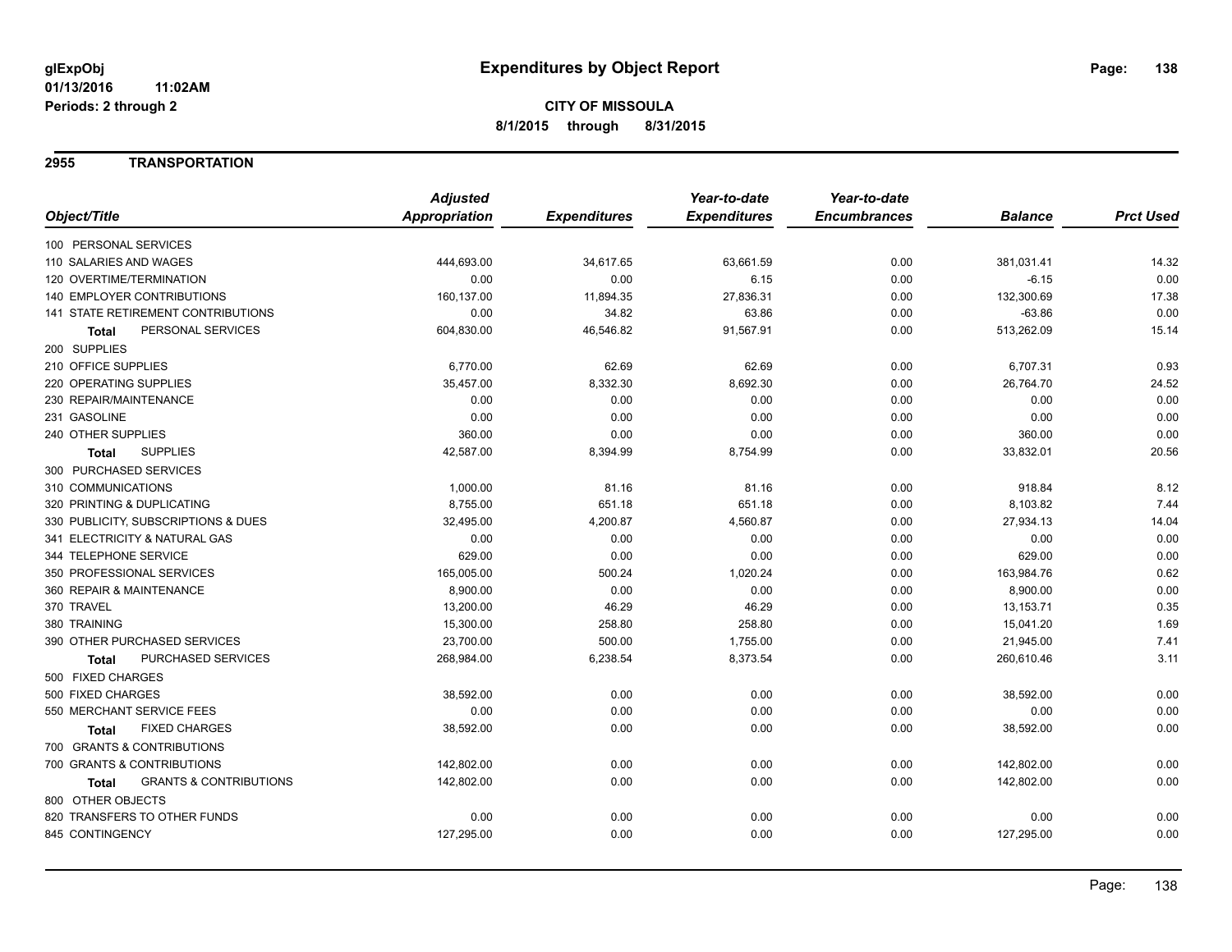### **2955 TRANSPORTATION**

|                                            | <b>Adjusted</b>      |                     | Year-to-date        | Year-to-date        |                |                  |
|--------------------------------------------|----------------------|---------------------|---------------------|---------------------|----------------|------------------|
| Object/Title                               | <b>Appropriation</b> | <b>Expenditures</b> | <b>Expenditures</b> | <b>Encumbrances</b> | <b>Balance</b> | <b>Prct Used</b> |
| 100 PERSONAL SERVICES                      |                      |                     |                     |                     |                |                  |
| 110 SALARIES AND WAGES                     | 444,693.00           | 34,617.65           | 63,661.59           | 0.00                | 381,031.41     | 14.32            |
| 120 OVERTIME/TERMINATION                   | 0.00                 | 0.00                | 6.15                | 0.00                | $-6.15$        | 0.00             |
| 140 EMPLOYER CONTRIBUTIONS                 | 160,137.00           | 11,894.35           | 27,836.31           | 0.00                | 132,300.69     | 17.38            |
| 141 STATE RETIREMENT CONTRIBUTIONS         | 0.00                 | 34.82               | 63.86               | 0.00                | $-63.86$       | 0.00             |
| PERSONAL SERVICES<br><b>Total</b>          | 604,830.00           | 46,546.82           | 91,567.91           | 0.00                | 513,262.09     | 15.14            |
| 200 SUPPLIES                               |                      |                     |                     |                     |                |                  |
| 210 OFFICE SUPPLIES                        | 6,770.00             | 62.69               | 62.69               | 0.00                | 6,707.31       | 0.93             |
| 220 OPERATING SUPPLIES                     | 35,457.00            | 8,332.30            | 8,692.30            | 0.00                | 26,764.70      | 24.52            |
| 230 REPAIR/MAINTENANCE                     | 0.00                 | 0.00                | 0.00                | 0.00                | 0.00           | 0.00             |
| 231 GASOLINE                               | 0.00                 | 0.00                | 0.00                | 0.00                | 0.00           | 0.00             |
| 240 OTHER SUPPLIES                         | 360.00               | 0.00                | 0.00                | 0.00                | 360.00         | 0.00             |
| <b>SUPPLIES</b><br><b>Total</b>            | 42,587.00            | 8,394.99            | 8,754.99            | 0.00                | 33,832.01      | 20.56            |
| 300 PURCHASED SERVICES                     |                      |                     |                     |                     |                |                  |
| 310 COMMUNICATIONS                         | 1,000.00             | 81.16               | 81.16               | 0.00                | 918.84         | 8.12             |
| 320 PRINTING & DUPLICATING                 | 8,755.00             | 651.18              | 651.18              | 0.00                | 8,103.82       | 7.44             |
| 330 PUBLICITY, SUBSCRIPTIONS & DUES        | 32,495.00            | 4,200.87            | 4,560.87            | 0.00                | 27,934.13      | 14.04            |
| 341 ELECTRICITY & NATURAL GAS              | 0.00                 | 0.00                | 0.00                | 0.00                | 0.00           | 0.00             |
| 344 TELEPHONE SERVICE                      | 629.00               | 0.00                | 0.00                | 0.00                | 629.00         | 0.00             |
| 350 PROFESSIONAL SERVICES                  | 165,005.00           | 500.24              | 1,020.24            | 0.00                | 163,984.76     | 0.62             |
| 360 REPAIR & MAINTENANCE                   | 8,900.00             | 0.00                | 0.00                | 0.00                | 8,900.00       | 0.00             |
| 370 TRAVEL                                 | 13,200.00            | 46.29               | 46.29               | 0.00                | 13,153.71      | 0.35             |
| 380 TRAINING                               | 15,300.00            | 258.80              | 258.80              | 0.00                | 15,041.20      | 1.69             |
| 390 OTHER PURCHASED SERVICES               | 23,700.00            | 500.00              | 1,755.00            | 0.00                | 21,945.00      | 7.41             |
| PURCHASED SERVICES<br><b>Total</b>         | 268,984.00           | 6,238.54            | 8,373.54            | 0.00                | 260,610.46     | 3.11             |
| 500 FIXED CHARGES                          |                      |                     |                     |                     |                |                  |
| 500 FIXED CHARGES                          | 38,592.00            | 0.00                | 0.00                | 0.00                | 38,592.00      | 0.00             |
| 550 MERCHANT SERVICE FEES                  | 0.00                 | 0.00                | 0.00                | 0.00                | 0.00           | 0.00             |
| <b>FIXED CHARGES</b><br><b>Total</b>       | 38,592.00            | 0.00                | 0.00                | 0.00                | 38,592.00      | 0.00             |
| 700 GRANTS & CONTRIBUTIONS                 |                      |                     |                     |                     |                |                  |
| 700 GRANTS & CONTRIBUTIONS                 | 142,802.00           | 0.00                | 0.00                | 0.00                | 142,802.00     | 0.00             |
| <b>GRANTS &amp; CONTRIBUTIONS</b><br>Total | 142,802.00           | 0.00                | 0.00                | 0.00                | 142,802.00     | 0.00             |
| 800 OTHER OBJECTS                          |                      |                     |                     |                     |                |                  |
| 820 TRANSFERS TO OTHER FUNDS               | 0.00                 | 0.00                | 0.00                | 0.00                | 0.00           | 0.00             |
| 845 CONTINGENCY                            | 127,295.00           | 0.00                | 0.00                | 0.00                | 127,295.00     | 0.00             |
|                                            |                      |                     |                     |                     |                |                  |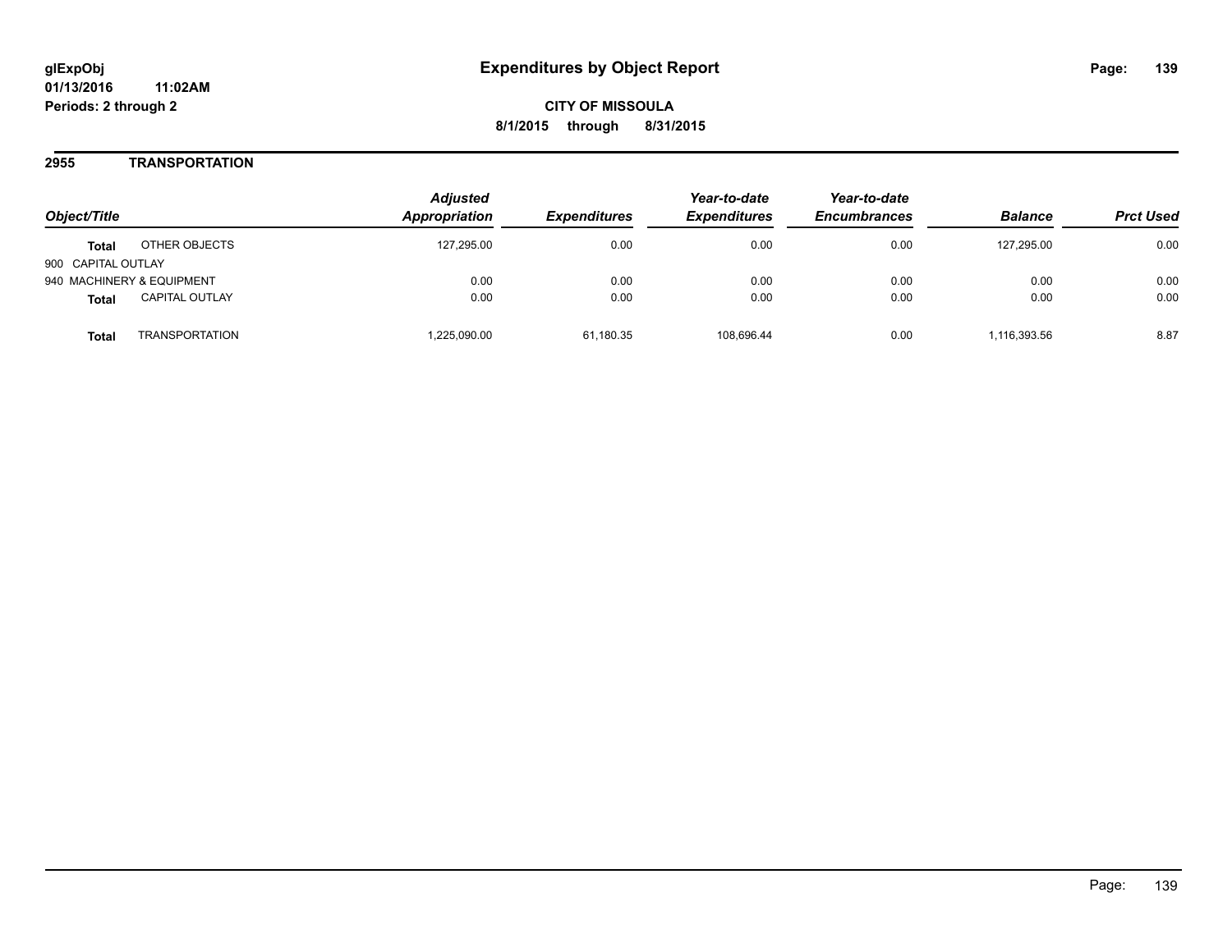**CITY OF MISSOULA 8/1/2015 through 8/31/2015**

### **2955 TRANSPORTATION**

| Object/Title                          | <b>Adjusted</b><br>Appropriation | <i><b>Expenditures</b></i> | Year-to-date<br><b>Expenditures</b> | Year-to-date<br><b>Encumbrances</b> | <b>Balance</b> | <b>Prct Used</b> |
|---------------------------------------|----------------------------------|----------------------------|-------------------------------------|-------------------------------------|----------------|------------------|
| OTHER OBJECTS<br><b>Total</b>         | 127.295.00                       | 0.00                       | 0.00                                | 0.00                                | 127.295.00     | 0.00             |
| 900 CAPITAL OUTLAY                    |                                  |                            |                                     |                                     |                |                  |
| 940 MACHINERY & EQUIPMENT             | 0.00                             | 0.00                       | 0.00                                | 0.00                                | 0.00           | 0.00             |
| <b>CAPITAL OUTLAY</b><br><b>Total</b> | 0.00                             | 0.00                       | 0.00                                | 0.00                                | 0.00           | 0.00             |
| <b>TRANSPORTATION</b><br>Total        | ,225,090.00                      | 61.180.35                  | 108.696.44                          | 0.00                                | 1.116.393.56   | 8.87             |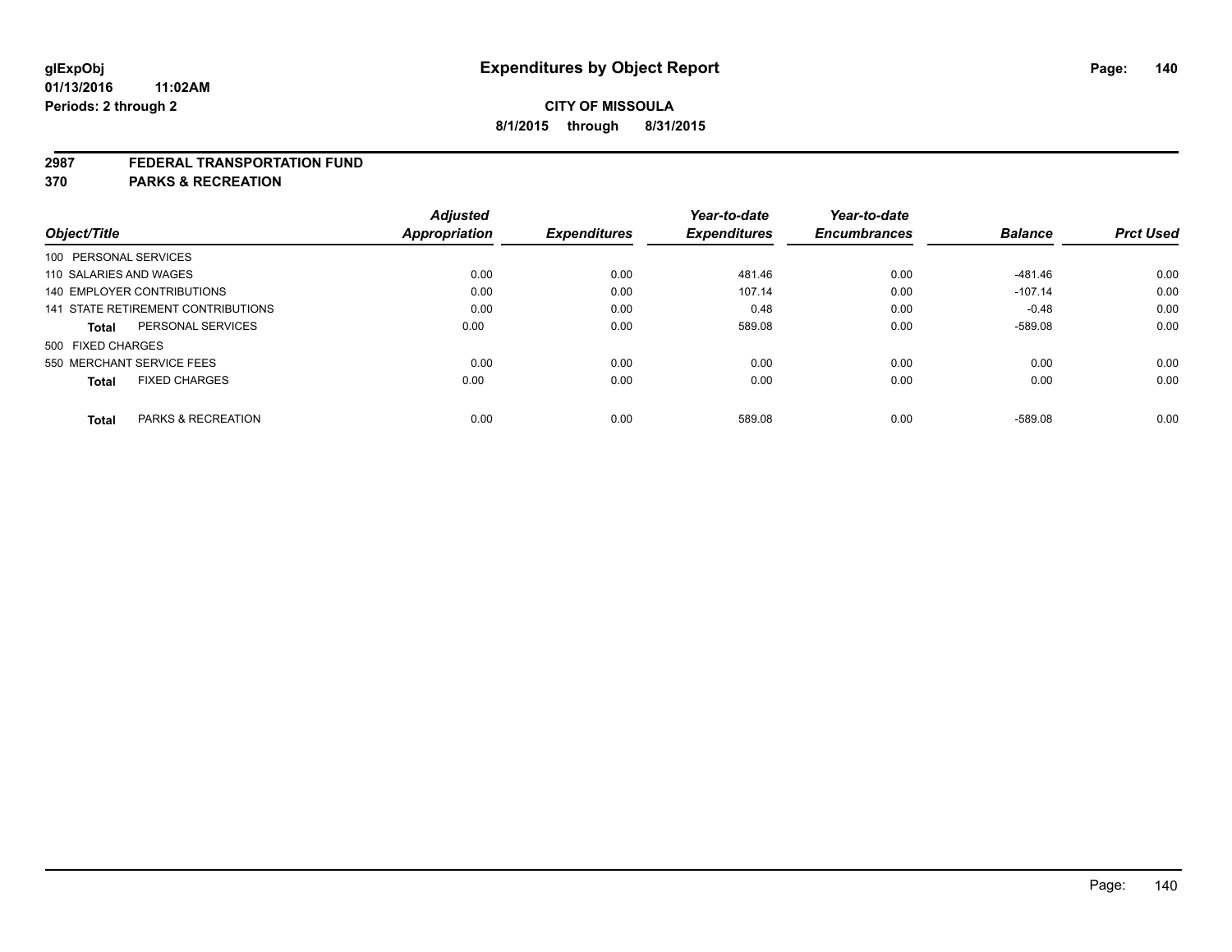#### **2987 FEDERAL TRANSPORTATION FUND**

**370 PARKS & RECREATION**

| Object/Title      |                                    | <b>Adjusted</b><br><b>Appropriation</b> | <b>Expenditures</b> | Year-to-date<br><b>Expenditures</b> | Year-to-date<br><b>Encumbrances</b> | <b>Balance</b> | <b>Prct Used</b> |
|-------------------|------------------------------------|-----------------------------------------|---------------------|-------------------------------------|-------------------------------------|----------------|------------------|
|                   | 100 PERSONAL SERVICES              |                                         |                     |                                     |                                     |                |                  |
|                   | 110 SALARIES AND WAGES             | 0.00                                    | 0.00                | 481.46                              | 0.00                                | $-481.46$      | 0.00             |
|                   | 140 EMPLOYER CONTRIBUTIONS         | 0.00                                    | 0.00                | 107.14                              | 0.00                                | $-107.14$      | 0.00             |
|                   | 141 STATE RETIREMENT CONTRIBUTIONS | 0.00                                    | 0.00                | 0.48                                | 0.00                                | $-0.48$        | 0.00             |
| Total             | PERSONAL SERVICES                  | 0.00                                    | 0.00                | 589.08                              | 0.00                                | $-589.08$      | 0.00             |
| 500 FIXED CHARGES |                                    |                                         |                     |                                     |                                     |                |                  |
|                   | 550 MERCHANT SERVICE FEES          | 0.00                                    | 0.00                | 0.00                                | 0.00                                | 0.00           | 0.00             |
| <b>Total</b>      | <b>FIXED CHARGES</b>               | 0.00                                    | 0.00                | 0.00                                | 0.00                                | 0.00           | 0.00             |
|                   |                                    |                                         |                     |                                     |                                     |                |                  |
| <b>Total</b>      | PARKS & RECREATION                 | 0.00                                    | 0.00                | 589.08                              | 0.00                                | $-589.08$      | 0.00             |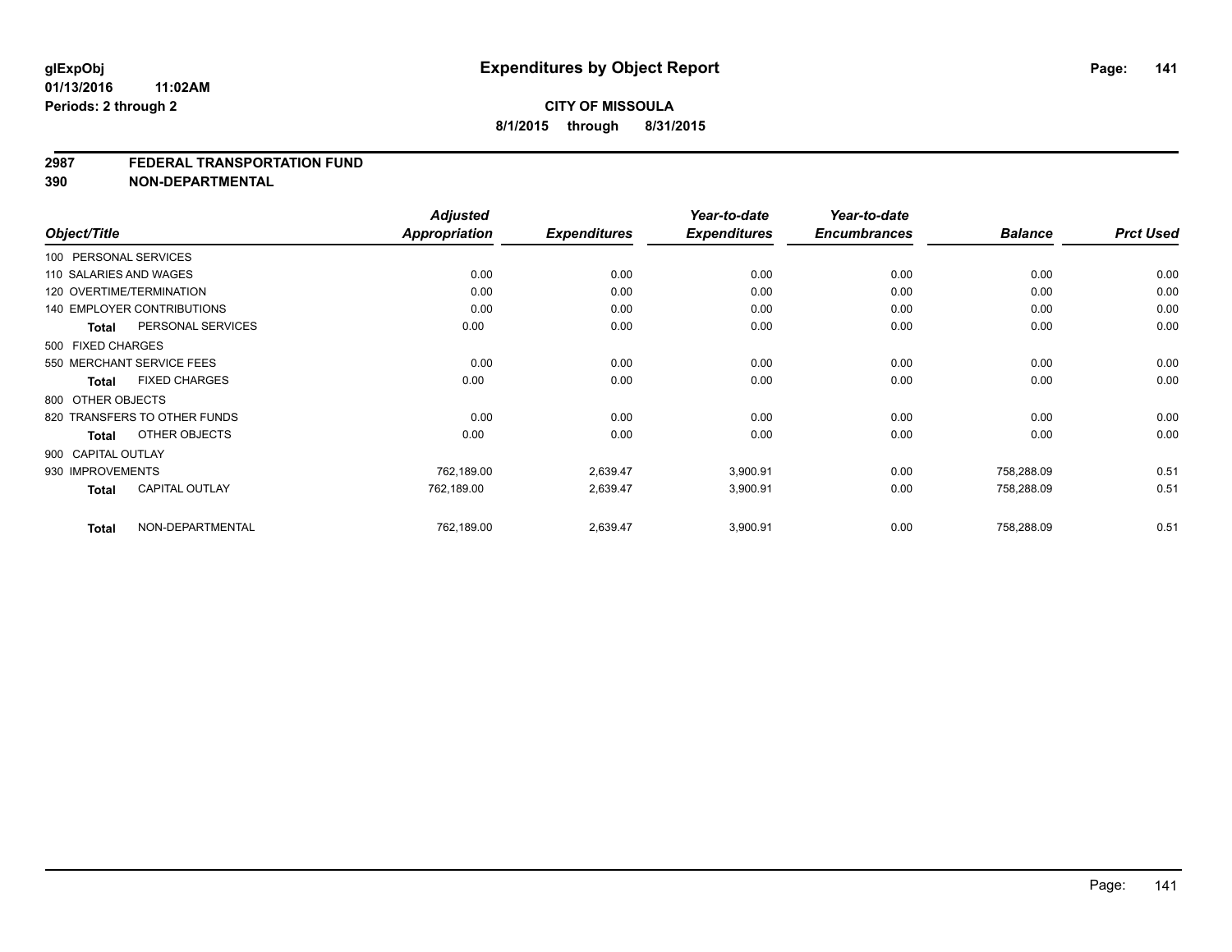#### **2987 FEDERAL TRANSPORTATION FUND**

**390 NON-DEPARTMENTAL**

| Object/Title           |                                   | <b>Adjusted</b><br>Appropriation | <b>Expenditures</b> | Year-to-date<br><b>Expenditures</b> | Year-to-date<br><b>Encumbrances</b> | <b>Balance</b> | <b>Prct Used</b> |
|------------------------|-----------------------------------|----------------------------------|---------------------|-------------------------------------|-------------------------------------|----------------|------------------|
| 100 PERSONAL SERVICES  |                                   |                                  |                     |                                     |                                     |                |                  |
| 110 SALARIES AND WAGES |                                   | 0.00                             | 0.00                | 0.00                                | 0.00                                | 0.00           | 0.00             |
|                        | 120 OVERTIME/TERMINATION          | 0.00                             | 0.00                | 0.00                                | 0.00                                | 0.00           | 0.00             |
|                        | <b>140 EMPLOYER CONTRIBUTIONS</b> | 0.00                             | 0.00                | 0.00                                | 0.00                                | 0.00           | 0.00             |
| <b>Total</b>           | PERSONAL SERVICES                 | 0.00                             | 0.00                | 0.00                                | 0.00                                | 0.00           | 0.00             |
| 500 FIXED CHARGES      |                                   |                                  |                     |                                     |                                     |                |                  |
|                        | 550 MERCHANT SERVICE FEES         | 0.00                             | 0.00                | 0.00                                | 0.00                                | 0.00           | 0.00             |
| Total                  | <b>FIXED CHARGES</b>              | 0.00                             | 0.00                | 0.00                                | 0.00                                | 0.00           | 0.00             |
| 800 OTHER OBJECTS      |                                   |                                  |                     |                                     |                                     |                |                  |
|                        | 820 TRANSFERS TO OTHER FUNDS      | 0.00                             | 0.00                | 0.00                                | 0.00                                | 0.00           | 0.00             |
| <b>Total</b>           | OTHER OBJECTS                     | 0.00                             | 0.00                | 0.00                                | 0.00                                | 0.00           | 0.00             |
| 900 CAPITAL OUTLAY     |                                   |                                  |                     |                                     |                                     |                |                  |
| 930 IMPROVEMENTS       |                                   | 762,189.00                       | 2,639.47            | 3,900.91                            | 0.00                                | 758.288.09     | 0.51             |
| <b>Total</b>           | <b>CAPITAL OUTLAY</b>             | 762,189.00                       | 2,639.47            | 3,900.91                            | 0.00                                | 758,288.09     | 0.51             |
| <b>Total</b>           | NON-DEPARTMENTAL                  | 762,189.00                       | 2,639.47            | 3,900.91                            | 0.00                                | 758,288.09     | 0.51             |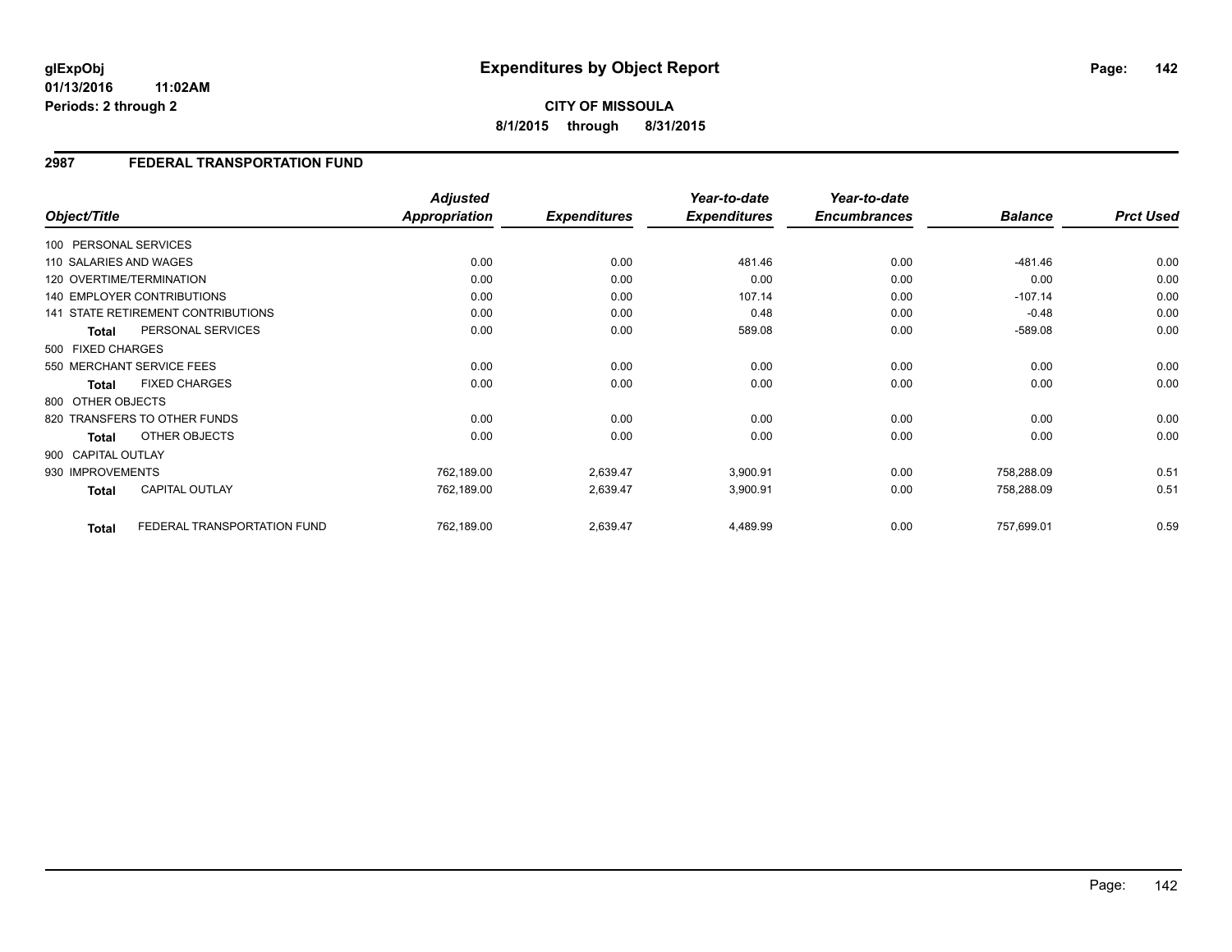**8/1/2015 through 8/31/2015**

## **2987 FEDERAL TRANSPORTATION FUND**

|                    |                                    | <b>Adjusted</b> |                     | Year-to-date        | Year-to-date        |                |                  |
|--------------------|------------------------------------|-----------------|---------------------|---------------------|---------------------|----------------|------------------|
| Object/Title       |                                    | Appropriation   | <b>Expenditures</b> | <b>Expenditures</b> | <b>Encumbrances</b> | <b>Balance</b> | <b>Prct Used</b> |
|                    | 100 PERSONAL SERVICES              |                 |                     |                     |                     |                |                  |
|                    | 110 SALARIES AND WAGES             | 0.00            | 0.00                | 481.46              | 0.00                | $-481.46$      | 0.00             |
|                    | 120 OVERTIME/TERMINATION           | 0.00            | 0.00                | 0.00                | 0.00                | 0.00           | 0.00             |
|                    | <b>140 EMPLOYER CONTRIBUTIONS</b>  | 0.00            | 0.00                | 107.14              | 0.00                | $-107.14$      | 0.00             |
|                    | 141 STATE RETIREMENT CONTRIBUTIONS | 0.00            | 0.00                | 0.48                | 0.00                | $-0.48$        | 0.00             |
| <b>Total</b>       | PERSONAL SERVICES                  | 0.00            | 0.00                | 589.08              | 0.00                | $-589.08$      | 0.00             |
| 500 FIXED CHARGES  |                                    |                 |                     |                     |                     |                |                  |
|                    | 550 MERCHANT SERVICE FEES          | 0.00            | 0.00                | 0.00                | 0.00                | 0.00           | 0.00             |
| Total              | <b>FIXED CHARGES</b>               | 0.00            | 0.00                | 0.00                | 0.00                | 0.00           | 0.00             |
| 800 OTHER OBJECTS  |                                    |                 |                     |                     |                     |                |                  |
|                    | 820 TRANSFERS TO OTHER FUNDS       | 0.00            | 0.00                | 0.00                | 0.00                | 0.00           | 0.00             |
| <b>Total</b>       | OTHER OBJECTS                      | 0.00            | 0.00                | 0.00                | 0.00                | 0.00           | 0.00             |
| 900 CAPITAL OUTLAY |                                    |                 |                     |                     |                     |                |                  |
| 930 IMPROVEMENTS   |                                    | 762,189.00      | 2,639.47            | 3,900.91            | 0.00                | 758,288.09     | 0.51             |
| <b>Total</b>       | <b>CAPITAL OUTLAY</b>              | 762,189.00      | 2,639.47            | 3,900.91            | 0.00                | 758,288.09     | 0.51             |
|                    |                                    |                 |                     |                     |                     |                |                  |
| <b>Total</b>       | FEDERAL TRANSPORTATION FUND        | 762,189.00      | 2,639.47            | 4,489.99            | 0.00                | 757,699.01     | 0.59             |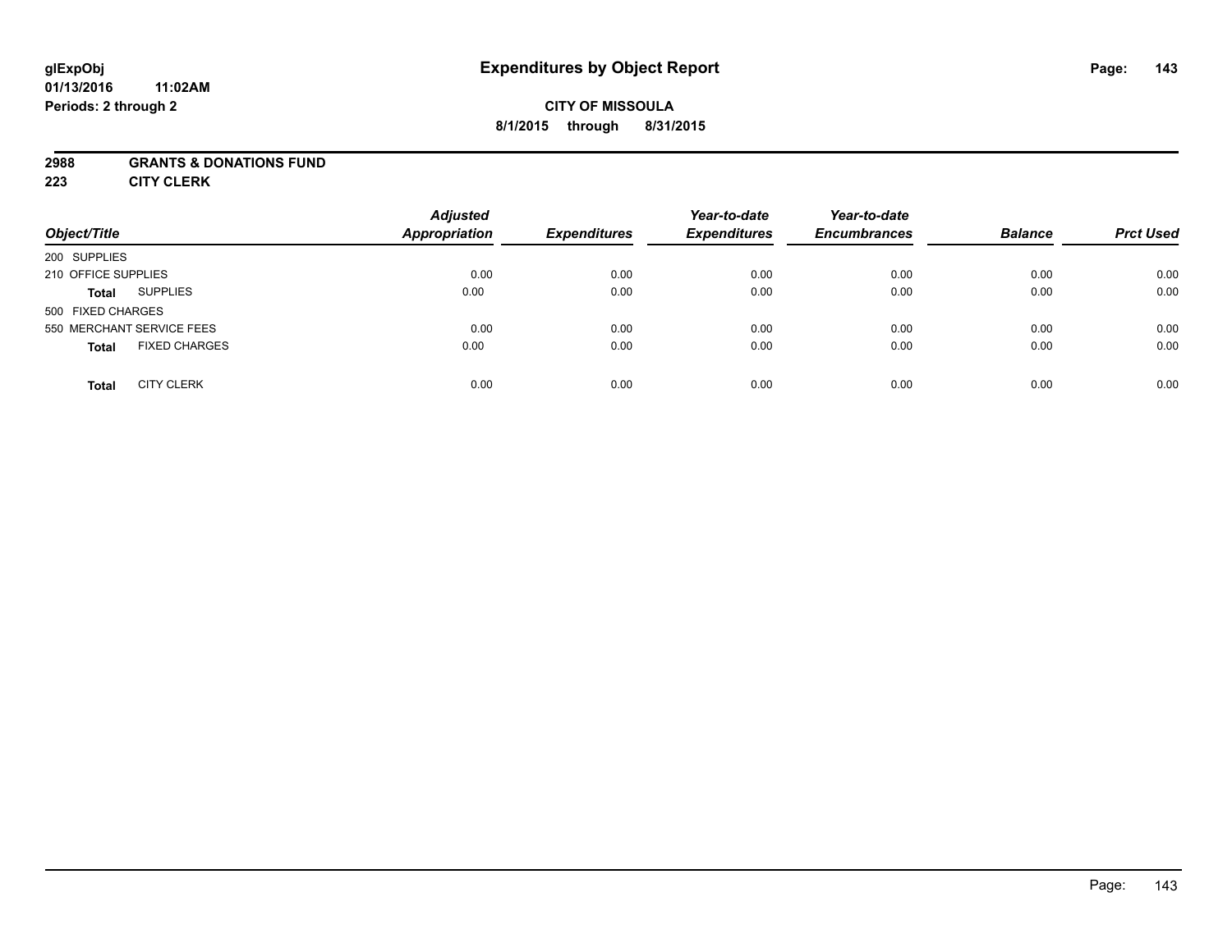## **CITY OF MISSOULA 8/1/2015 through 8/31/2015**

### **2988 GRANTS & DONATIONS FUND**

**223 CITY CLERK**

| Object/Title                         | <b>Adjusted</b><br><b>Appropriation</b> | <b>Expenditures</b> | Year-to-date<br><b>Expenditures</b> | Year-to-date<br><b>Encumbrances</b> | <b>Balance</b> | <b>Prct Used</b> |
|--------------------------------------|-----------------------------------------|---------------------|-------------------------------------|-------------------------------------|----------------|------------------|
| 200 SUPPLIES                         |                                         |                     |                                     |                                     |                |                  |
| 210 OFFICE SUPPLIES                  | 0.00                                    | 0.00                | 0.00                                | 0.00                                | 0.00           | 0.00             |
| <b>SUPPLIES</b><br><b>Total</b>      | 0.00                                    | 0.00                | 0.00                                | 0.00                                | 0.00           | 0.00             |
| 500 FIXED CHARGES                    |                                         |                     |                                     |                                     |                |                  |
| 550 MERCHANT SERVICE FEES            | 0.00                                    | 0.00                | 0.00                                | 0.00                                | 0.00           | 0.00             |
| <b>FIXED CHARGES</b><br><b>Total</b> | 0.00                                    | 0.00                | 0.00                                | 0.00                                | 0.00           | 0.00             |
| <b>CITY CLERK</b><br><b>Total</b>    | 0.00                                    | 0.00                | 0.00                                | 0.00                                | 0.00           | 0.00             |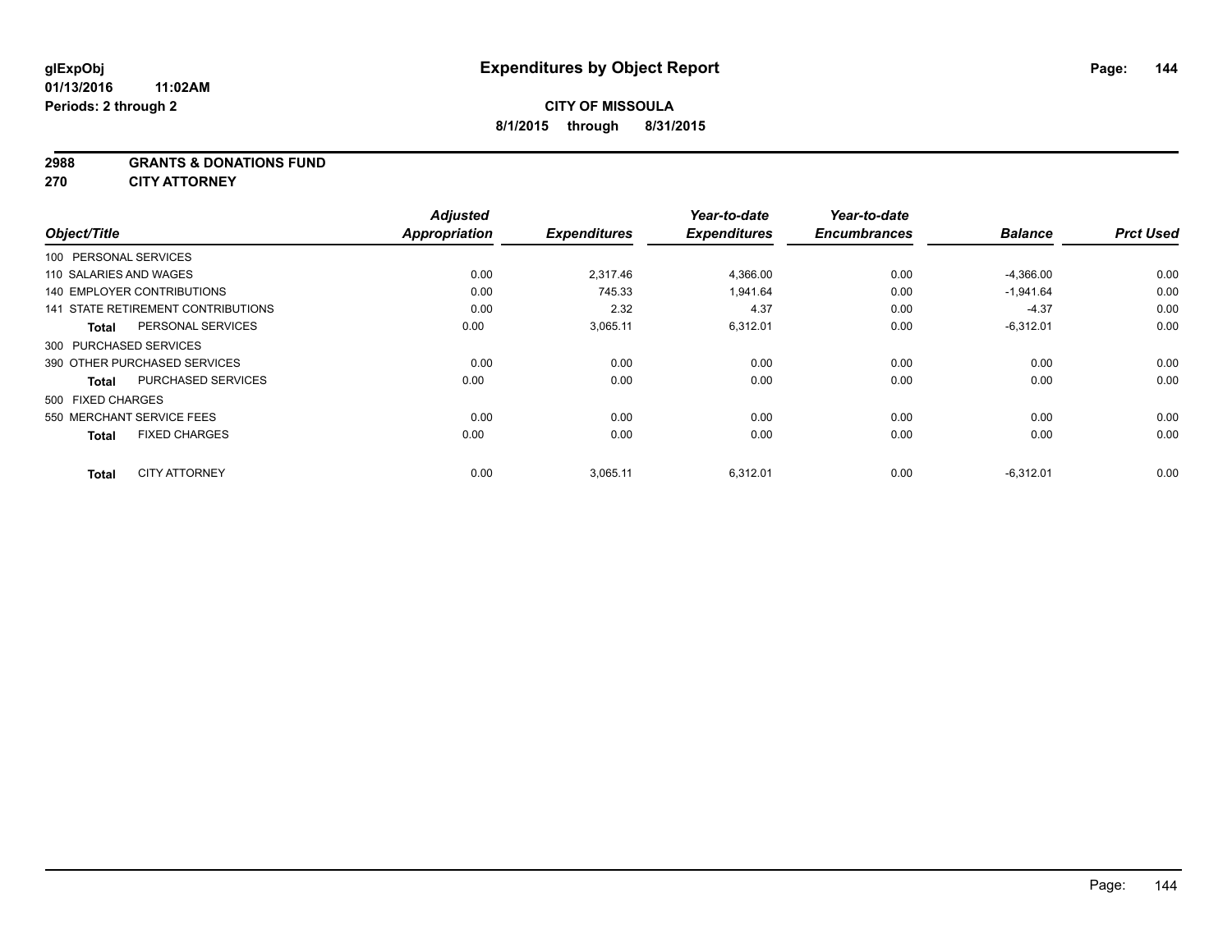#### **2988 GRANTS & DONATIONS FUND**

**270 CITY ATTORNEY**

| Object/Title                              | <b>Adjusted</b><br><b>Appropriation</b> | <b>Expenditures</b> | Year-to-date<br><b>Expenditures</b> | Year-to-date<br><b>Encumbrances</b> | <b>Balance</b> | <b>Prct Used</b> |
|-------------------------------------------|-----------------------------------------|---------------------|-------------------------------------|-------------------------------------|----------------|------------------|
| 100 PERSONAL SERVICES                     |                                         |                     |                                     |                                     |                |                  |
| 110 SALARIES AND WAGES                    | 0.00                                    | 2.317.46            | 4,366.00                            | 0.00                                | $-4,366.00$    | 0.00             |
| 140 EMPLOYER CONTRIBUTIONS                | 0.00                                    | 745.33              | 1,941.64                            | 0.00                                | $-1,941.64$    | 0.00             |
| 141 STATE RETIREMENT CONTRIBUTIONS        | 0.00                                    | 2.32                | 4.37                                | 0.00                                | $-4.37$        | 0.00             |
| PERSONAL SERVICES<br>Total                | 0.00                                    | 3,065.11            | 6,312.01                            | 0.00                                | $-6,312.01$    | 0.00             |
| 300 PURCHASED SERVICES                    |                                         |                     |                                     |                                     |                |                  |
| 390 OTHER PURCHASED SERVICES              | 0.00                                    | 0.00                | 0.00                                | 0.00                                | 0.00           | 0.00             |
| <b>PURCHASED SERVICES</b><br><b>Total</b> | 0.00                                    | 0.00                | 0.00                                | 0.00                                | 0.00           | 0.00             |
| 500 FIXED CHARGES                         |                                         |                     |                                     |                                     |                |                  |
| 550 MERCHANT SERVICE FEES                 | 0.00                                    | 0.00                | 0.00                                | 0.00                                | 0.00           | 0.00             |
| <b>FIXED CHARGES</b><br><b>Total</b>      | 0.00                                    | 0.00                | 0.00                                | 0.00                                | 0.00           | 0.00             |
| <b>CITY ATTORNEY</b><br><b>Total</b>      | 0.00                                    | 3,065.11            | 6.312.01                            | 0.00                                | $-6.312.01$    | 0.00             |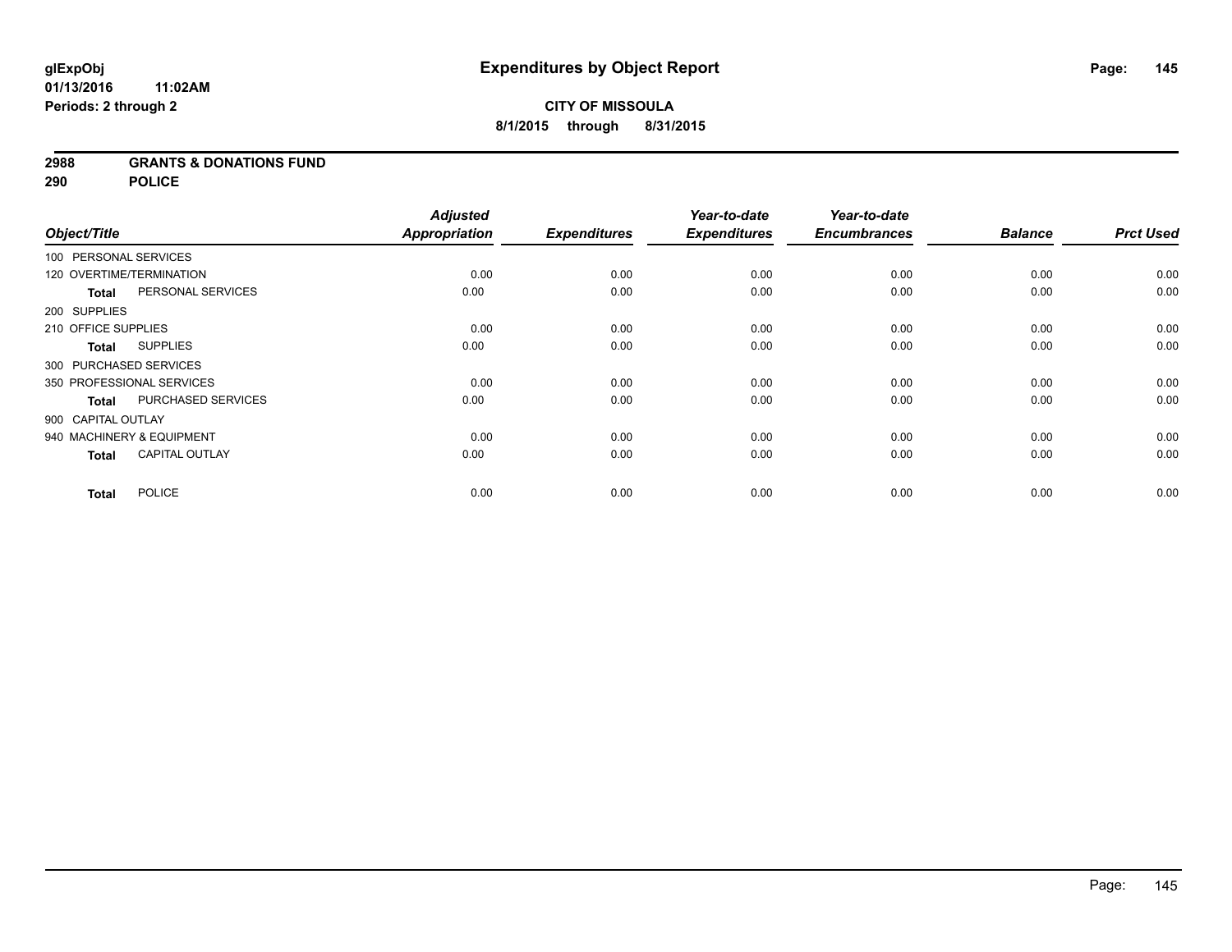### **2988 GRANTS & DONATIONS FUND**

**290 POLICE**

| Object/Title |                                           | <b>Adjusted</b>      | <b>Expenditures</b> | Year-to-date<br><b>Expenditures</b> | Year-to-date<br><b>Encumbrances</b> | <b>Balance</b> | <b>Prct Used</b> |
|--------------|-------------------------------------------|----------------------|---------------------|-------------------------------------|-------------------------------------|----------------|------------------|
|              |                                           | <b>Appropriation</b> |                     |                                     |                                     |                |                  |
|              | 100 PERSONAL SERVICES                     |                      |                     |                                     |                                     |                |                  |
|              | 120 OVERTIME/TERMINATION                  | 0.00                 | 0.00                | 0.00                                | 0.00                                | 0.00           | 0.00             |
|              | PERSONAL SERVICES<br><b>Total</b>         | 0.00                 | 0.00                | 0.00                                | 0.00                                | 0.00           | 0.00             |
| 200 SUPPLIES |                                           |                      |                     |                                     |                                     |                |                  |
|              | 210 OFFICE SUPPLIES                       | 0.00                 | 0.00                | 0.00                                | 0.00                                | 0.00           | 0.00             |
|              | <b>SUPPLIES</b><br><b>Total</b>           | 0.00                 | 0.00                | 0.00                                | 0.00                                | 0.00           | 0.00             |
|              | 300 PURCHASED SERVICES                    |                      |                     |                                     |                                     |                |                  |
|              | 350 PROFESSIONAL SERVICES                 | 0.00                 | 0.00                | 0.00                                | 0.00                                | 0.00           | 0.00             |
|              | <b>PURCHASED SERVICES</b><br><b>Total</b> | 0.00                 | 0.00                | 0.00                                | 0.00                                | 0.00           | 0.00             |
|              | 900 CAPITAL OUTLAY                        |                      |                     |                                     |                                     |                |                  |
|              | 940 MACHINERY & EQUIPMENT                 | 0.00                 | 0.00                | 0.00                                | 0.00                                | 0.00           | 0.00             |
|              | <b>CAPITAL OUTLAY</b><br><b>Total</b>     | 0.00                 | 0.00                | 0.00                                | 0.00                                | 0.00           | 0.00             |
|              | <b>POLICE</b><br><b>Total</b>             | 0.00                 | 0.00                | 0.00                                | 0.00                                | 0.00           | 0.00             |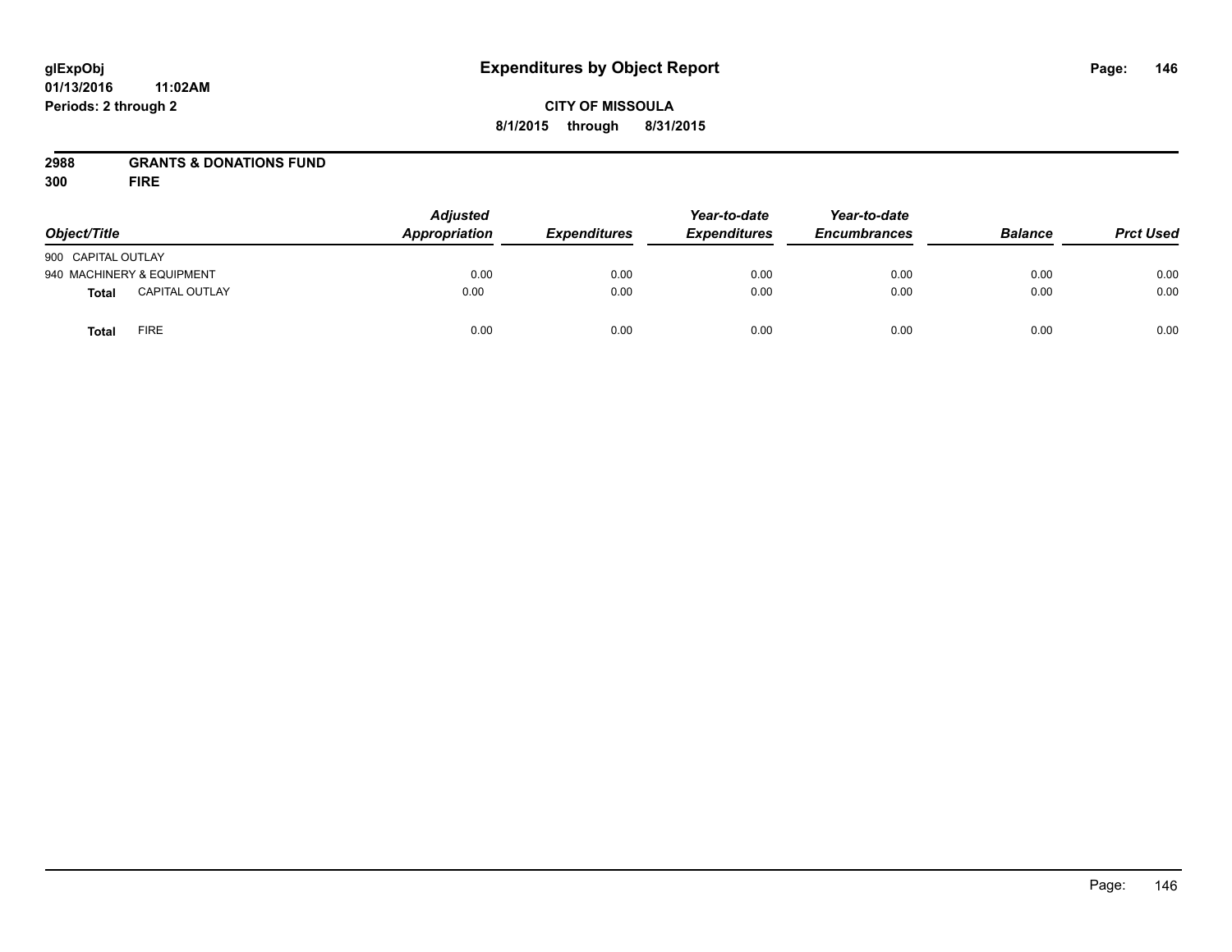# **CITY OF MISSOULA 8/1/2015 through 8/31/2015**

# **2988 GRANTS & DONATIONS FUND**

**300 FIRE**

| Object/Title              |                       | <b>Adjusted</b><br>Appropriation<br><b>Expenditures</b> | Year-to-date<br><b>Expenditures</b> | Year-to-date<br><b>Encumbrances</b> | <b>Balance</b> | <b>Prct Used</b> |      |
|---------------------------|-----------------------|---------------------------------------------------------|-------------------------------------|-------------------------------------|----------------|------------------|------|
| 900 CAPITAL OUTLAY        |                       |                                                         |                                     |                                     |                |                  |      |
| 940 MACHINERY & EQUIPMENT |                       | 0.00                                                    | 0.00                                | 0.00                                | 0.00           | 0.00             | 0.00 |
| <b>Total</b>              | <b>CAPITAL OUTLAY</b> | 0.00                                                    | 0.00                                | 0.00                                | 0.00           | 0.00             | 0.00 |
| <b>Total</b>              | FIRE                  | 0.00                                                    | 0.00                                | 0.00                                | 0.00           | 0.00             | 0.00 |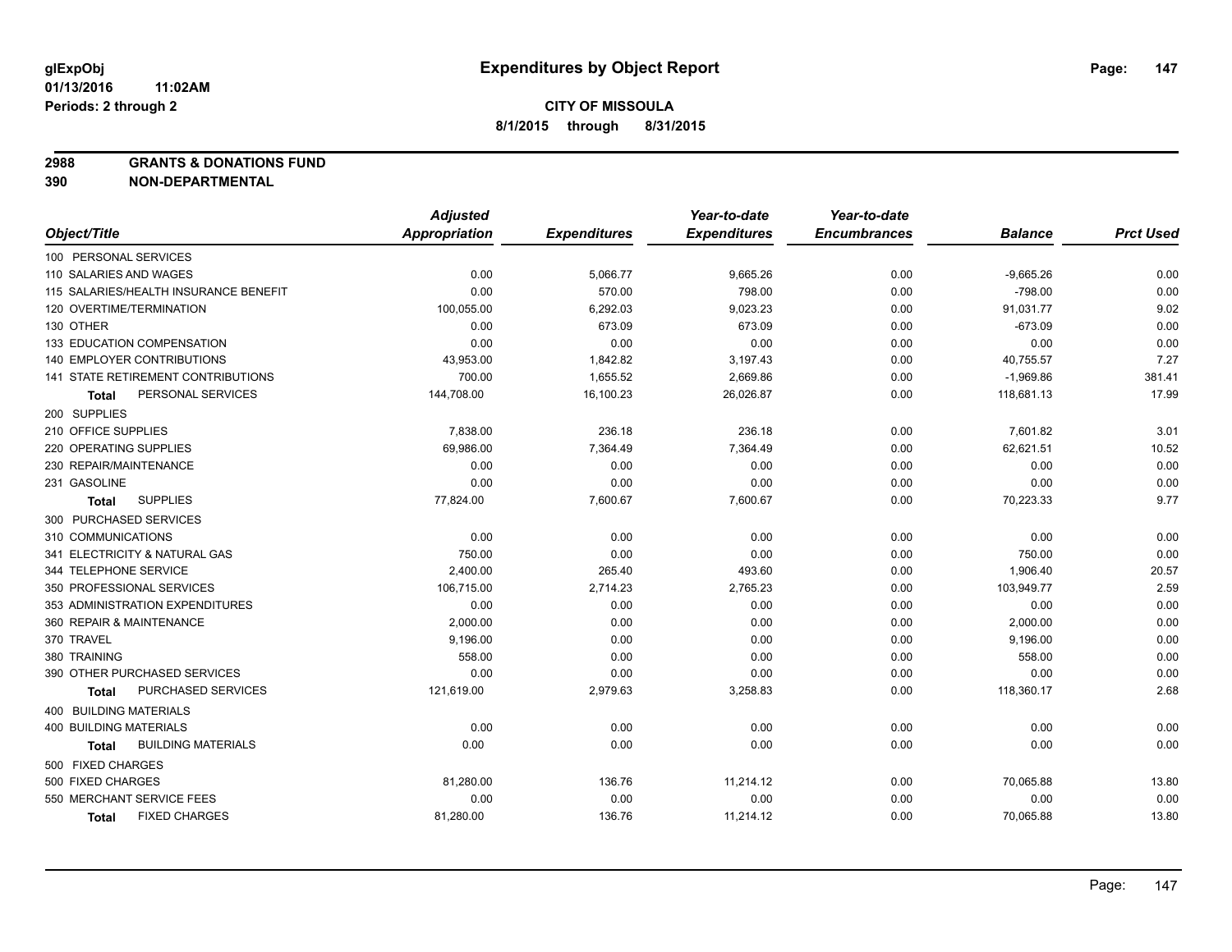**2988 GRANTS & DONATIONS FUND**

|                                       | <b>Adjusted</b> |                     | Year-to-date        | Year-to-date        |                |                  |
|---------------------------------------|-----------------|---------------------|---------------------|---------------------|----------------|------------------|
| Object/Title                          | Appropriation   | <b>Expenditures</b> | <b>Expenditures</b> | <b>Encumbrances</b> | <b>Balance</b> | <b>Prct Used</b> |
| 100 PERSONAL SERVICES                 |                 |                     |                     |                     |                |                  |
| 110 SALARIES AND WAGES                | 0.00            | 5,066.77            | 9,665.26            | 0.00                | $-9,665.26$    | 0.00             |
| 115 SALARIES/HEALTH INSURANCE BENEFIT | 0.00            | 570.00              | 798.00              | 0.00                | $-798.00$      | 0.00             |
| 120 OVERTIME/TERMINATION              | 100,055.00      | 6,292.03            | 9,023.23            | 0.00                | 91,031.77      | 9.02             |
| 130 OTHER                             | 0.00            | 673.09              | 673.09              | 0.00                | $-673.09$      | 0.00             |
| <b>133 EDUCATION COMPENSATION</b>     | 0.00            | 0.00                | 0.00                | 0.00                | 0.00           | 0.00             |
| <b>140 EMPLOYER CONTRIBUTIONS</b>     | 43,953.00       | 1,842.82            | 3,197.43            | 0.00                | 40,755.57      | 7.27             |
| 141 STATE RETIREMENT CONTRIBUTIONS    | 700.00          | 1,655.52            | 2,669.86            | 0.00                | $-1,969.86$    | 381.41           |
| PERSONAL SERVICES<br>Total            | 144,708.00      | 16,100.23           | 26,026.87           | 0.00                | 118,681.13     | 17.99            |
| 200 SUPPLIES                          |                 |                     |                     |                     |                |                  |
| 210 OFFICE SUPPLIES                   | 7,838.00        | 236.18              | 236.18              | 0.00                | 7,601.82       | 3.01             |
| 220 OPERATING SUPPLIES                | 69,986.00       | 7,364.49            | 7,364.49            | 0.00                | 62,621.51      | 10.52            |
| 230 REPAIR/MAINTENANCE                | 0.00            | 0.00                | 0.00                | 0.00                | 0.00           | 0.00             |
| 231 GASOLINE                          | 0.00            | 0.00                | 0.00                | 0.00                | 0.00           | 0.00             |
| <b>SUPPLIES</b><br>Total              | 77,824.00       | 7,600.67            | 7,600.67            | 0.00                | 70,223.33      | 9.77             |
| 300 PURCHASED SERVICES                |                 |                     |                     |                     |                |                  |
| 310 COMMUNICATIONS                    | 0.00            | 0.00                | 0.00                | 0.00                | 0.00           | 0.00             |
| 341 ELECTRICITY & NATURAL GAS         | 750.00          | 0.00                | 0.00                | 0.00                | 750.00         | 0.00             |
| 344 TELEPHONE SERVICE                 | 2,400.00        | 265.40              | 493.60              | 0.00                | 1,906.40       | 20.57            |
| 350 PROFESSIONAL SERVICES             | 106,715.00      | 2,714.23            | 2,765.23            | 0.00                | 103,949.77     | 2.59             |
| 353 ADMINISTRATION EXPENDITURES       | 0.00            | 0.00                | 0.00                | 0.00                | 0.00           | 0.00             |
| 360 REPAIR & MAINTENANCE              | 2,000.00        | 0.00                | 0.00                | 0.00                | 2,000.00       | 0.00             |
| 370 TRAVEL                            | 9,196.00        | 0.00                | 0.00                | 0.00                | 9,196.00       | 0.00             |
| 380 TRAINING                          | 558.00          | 0.00                | 0.00                | 0.00                | 558.00         | 0.00             |
| 390 OTHER PURCHASED SERVICES          | 0.00            | 0.00                | 0.00                | 0.00                | 0.00           | 0.00             |
| <b>PURCHASED SERVICES</b><br>Total    | 121,619.00      | 2,979.63            | 3,258.83            | 0.00                | 118,360.17     | 2.68             |
| <b>400 BUILDING MATERIALS</b>         |                 |                     |                     |                     |                |                  |
| 400 BUILDING MATERIALS                | 0.00            | 0.00                | 0.00                | 0.00                | 0.00           | 0.00             |
| <b>BUILDING MATERIALS</b><br>Total    | 0.00            | 0.00                | 0.00                | 0.00                | 0.00           | 0.00             |
| 500 FIXED CHARGES                     |                 |                     |                     |                     |                |                  |
| 500 FIXED CHARGES                     | 81,280.00       | 136.76              | 11,214.12           | 0.00                | 70,065.88      | 13.80            |
| 550 MERCHANT SERVICE FEES             | 0.00            | 0.00                | 0.00                | 0.00                | 0.00           | 0.00             |
| <b>FIXED CHARGES</b><br><b>Total</b>  | 81,280.00       | 136.76              | 11,214.12           | 0.00                | 70,065.88      | 13.80            |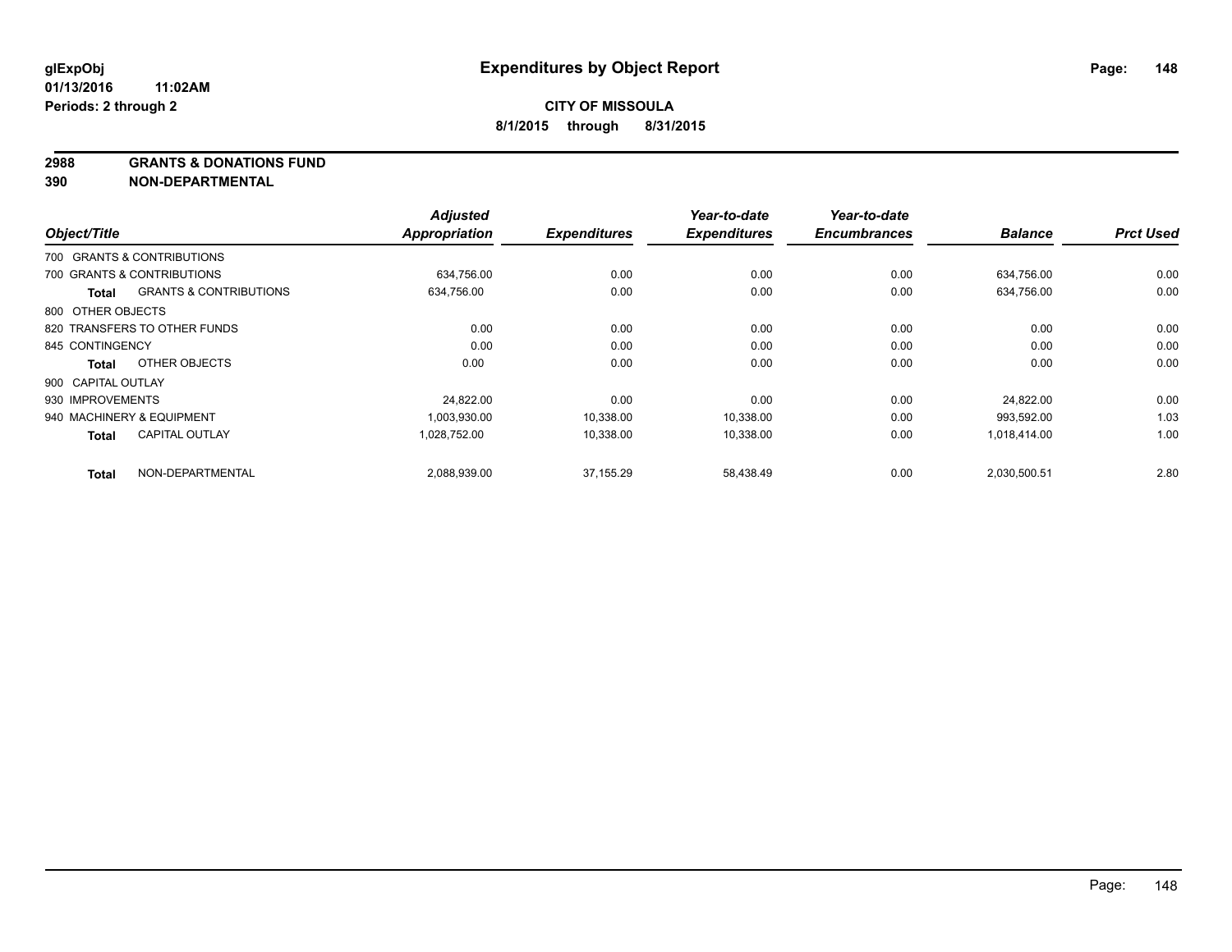**2988 GRANTS & DONATIONS FUND**

| Object/Title       |                                   | <b>Adjusted</b><br><b>Appropriation</b> | <b>Expenditures</b> | Year-to-date<br><b>Expenditures</b> | Year-to-date<br><b>Encumbrances</b> | <b>Balance</b> | <b>Prct Used</b> |
|--------------------|-----------------------------------|-----------------------------------------|---------------------|-------------------------------------|-------------------------------------|----------------|------------------|
|                    |                                   |                                         |                     |                                     |                                     |                |                  |
|                    | 700 GRANTS & CONTRIBUTIONS        |                                         |                     |                                     |                                     |                |                  |
|                    | 700 GRANTS & CONTRIBUTIONS        | 634,756.00                              | 0.00                | 0.00                                | 0.00                                | 634,756.00     | 0.00             |
| Total              | <b>GRANTS &amp; CONTRIBUTIONS</b> | 634,756.00                              | 0.00                | 0.00                                | 0.00                                | 634,756.00     | 0.00             |
| 800 OTHER OBJECTS  |                                   |                                         |                     |                                     |                                     |                |                  |
|                    | 820 TRANSFERS TO OTHER FUNDS      | 0.00                                    | 0.00                | 0.00                                | 0.00                                | 0.00           | 0.00             |
| 845 CONTINGENCY    |                                   | 0.00                                    | 0.00                | 0.00                                | 0.00                                | 0.00           | 0.00             |
| Total              | OTHER OBJECTS                     | 0.00                                    | 0.00                | 0.00                                | 0.00                                | 0.00           | 0.00             |
| 900 CAPITAL OUTLAY |                                   |                                         |                     |                                     |                                     |                |                  |
| 930 IMPROVEMENTS   |                                   | 24,822.00                               | 0.00                | 0.00                                | 0.00                                | 24,822.00      | 0.00             |
|                    | 940 MACHINERY & EQUIPMENT         | 1,003,930.00                            | 10,338.00           | 10,338.00                           | 0.00                                | 993,592.00     | 1.03             |
| <b>Total</b>       | <b>CAPITAL OUTLAY</b>             | 1,028,752.00                            | 10,338.00           | 10,338.00                           | 0.00                                | 1,018,414.00   | 1.00             |
| <b>Total</b>       | NON-DEPARTMENTAL                  | 2,088,939.00                            | 37.155.29           | 58,438.49                           | 0.00                                | 2,030,500.51   | 2.80             |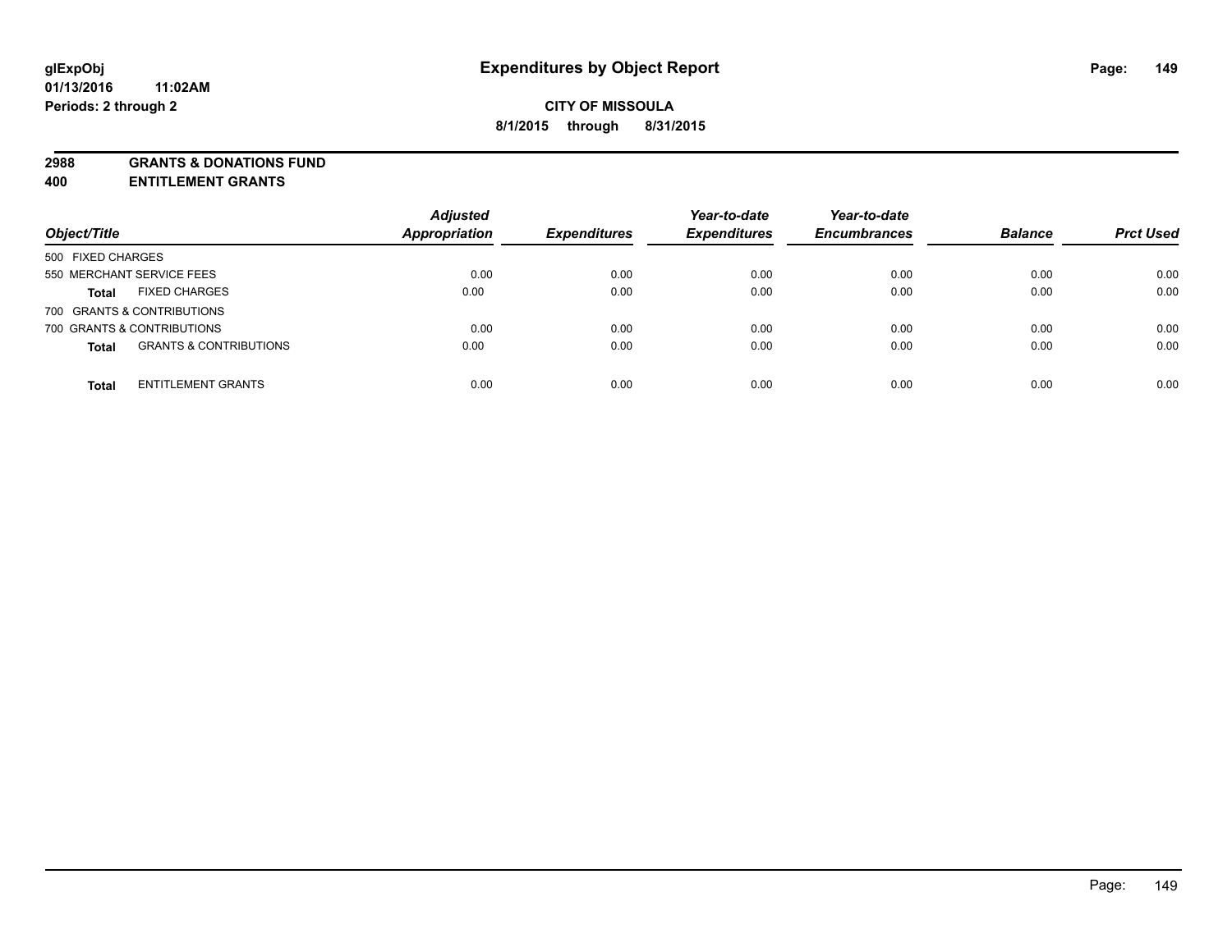**2988 GRANTS & DONATIONS FUND**

**400 ENTITLEMENT GRANTS**

| Object/Title                                      | <b>Adjusted</b><br><b>Appropriation</b><br><b>Expenditures</b> | Year-to-date<br><b>Expenditures</b> | Year-to-date<br><b>Encumbrances</b> | <b>Balance</b> | <b>Prct Used</b> |      |
|---------------------------------------------------|----------------------------------------------------------------|-------------------------------------|-------------------------------------|----------------|------------------|------|
| 500 FIXED CHARGES                                 |                                                                |                                     |                                     |                |                  |      |
| 550 MERCHANT SERVICE FEES                         | 0.00                                                           | 0.00                                | 0.00                                | 0.00           | 0.00             | 0.00 |
| <b>FIXED CHARGES</b><br><b>Total</b>              | 0.00                                                           | 0.00                                | 0.00                                | 0.00           | 0.00             | 0.00 |
| 700 GRANTS & CONTRIBUTIONS                        |                                                                |                                     |                                     |                |                  |      |
| 700 GRANTS & CONTRIBUTIONS                        | 0.00                                                           | 0.00                                | 0.00                                | 0.00           | 0.00             | 0.00 |
| <b>GRANTS &amp; CONTRIBUTIONS</b><br><b>Total</b> | 0.00                                                           | 0.00                                | 0.00                                | 0.00           | 0.00             | 0.00 |
| <b>ENTITLEMENT GRANTS</b><br><b>Total</b>         | 0.00                                                           | 0.00                                | 0.00                                | 0.00           | 0.00             | 0.00 |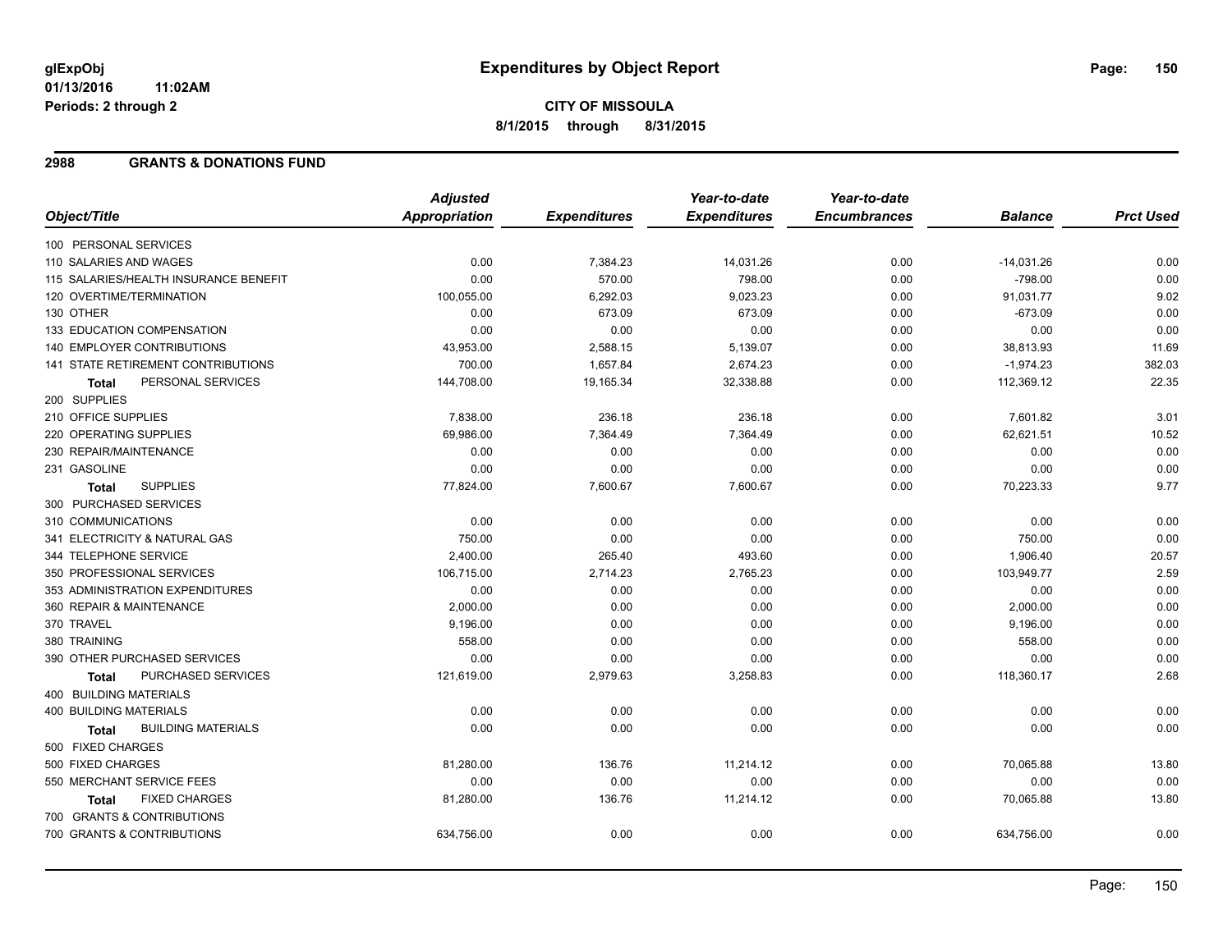# **CITY OF MISSOULA 8/1/2015 through 8/31/2015**

### **2988 GRANTS & DONATIONS FUND**

|                                           | <b>Adjusted</b>      |                     | Year-to-date        | Year-to-date        |                |                  |
|-------------------------------------------|----------------------|---------------------|---------------------|---------------------|----------------|------------------|
| Object/Title                              | <b>Appropriation</b> | <b>Expenditures</b> | <b>Expenditures</b> | <b>Encumbrances</b> | <b>Balance</b> | <b>Prct Used</b> |
| 100 PERSONAL SERVICES                     |                      |                     |                     |                     |                |                  |
| 110 SALARIES AND WAGES                    | 0.00                 | 7,384.23            | 14,031.26           | 0.00                | $-14,031.26$   | 0.00             |
| 115 SALARIES/HEALTH INSURANCE BENEFIT     | 0.00                 | 570.00              | 798.00              | 0.00                | $-798.00$      | 0.00             |
| 120 OVERTIME/TERMINATION                  | 100,055.00           | 6,292.03            | 9,023.23            | 0.00                | 91,031.77      | 9.02             |
| 130 OTHER                                 | 0.00                 | 673.09              | 673.09              | 0.00                | $-673.09$      | 0.00             |
| 133 EDUCATION COMPENSATION                | 0.00                 | 0.00                | 0.00                | 0.00                | 0.00           | 0.00             |
| 140 EMPLOYER CONTRIBUTIONS                | 43,953.00            | 2,588.15            | 5,139.07            | 0.00                | 38,813.93      | 11.69            |
| 141 STATE RETIREMENT CONTRIBUTIONS        | 700.00               | 1,657.84            | 2,674.23            | 0.00                | $-1,974.23$    | 382.03           |
| PERSONAL SERVICES<br><b>Total</b>         | 144,708.00           | 19,165.34           | 32,338.88           | 0.00                | 112,369.12     | 22.35            |
| 200 SUPPLIES                              |                      |                     |                     |                     |                |                  |
| 210 OFFICE SUPPLIES                       | 7,838.00             | 236.18              | 236.18              | 0.00                | 7,601.82       | 3.01             |
| 220 OPERATING SUPPLIES                    | 69,986.00            | 7,364.49            | 7,364.49            | 0.00                | 62,621.51      | 10.52            |
| 230 REPAIR/MAINTENANCE                    | 0.00                 | 0.00                | 0.00                | 0.00                | 0.00           | 0.00             |
| 231 GASOLINE                              | 0.00                 | 0.00                | 0.00                | 0.00                | 0.00           | 0.00             |
| <b>SUPPLIES</b><br><b>Total</b>           | 77,824.00            | 7,600.67            | 7,600.67            | 0.00                | 70,223.33      | 9.77             |
| 300 PURCHASED SERVICES                    |                      |                     |                     |                     |                |                  |
| 310 COMMUNICATIONS                        | 0.00                 | 0.00                | 0.00                | 0.00                | 0.00           | 0.00             |
| 341 ELECTRICITY & NATURAL GAS             | 750.00               | 0.00                | 0.00                | 0.00                | 750.00         | 0.00             |
| 344 TELEPHONE SERVICE                     | 2,400.00             | 265.40              | 493.60              | 0.00                | 1,906.40       | 20.57            |
| 350 PROFESSIONAL SERVICES                 | 106,715.00           | 2,714.23            | 2,765.23            | 0.00                | 103,949.77     | 2.59             |
| 353 ADMINISTRATION EXPENDITURES           | 0.00                 | 0.00                | 0.00                | 0.00                | 0.00           | 0.00             |
| 360 REPAIR & MAINTENANCE                  | 2,000.00             | 0.00                | 0.00                | 0.00                | 2,000.00       | 0.00             |
| 370 TRAVEL                                | 9,196.00             | 0.00                | 0.00                | 0.00                | 9,196.00       | 0.00             |
| 380 TRAINING                              | 558.00               | 0.00                | 0.00                | 0.00                | 558.00         | 0.00             |
| 390 OTHER PURCHASED SERVICES              | 0.00                 | 0.00                | 0.00                | 0.00                | 0.00           | 0.00             |
| PURCHASED SERVICES<br><b>Total</b>        | 121,619.00           | 2,979.63            | 3,258.83            | 0.00                | 118,360.17     | 2.68             |
| <b>400 BUILDING MATERIALS</b>             |                      |                     |                     |                     |                |                  |
| <b>400 BUILDING MATERIALS</b>             | 0.00                 | 0.00                | 0.00                | 0.00                | 0.00           | 0.00             |
| <b>BUILDING MATERIALS</b><br><b>Total</b> | 0.00                 | 0.00                | 0.00                | 0.00                | 0.00           | 0.00             |
| 500 FIXED CHARGES                         |                      |                     |                     |                     |                |                  |
| 500 FIXED CHARGES                         | 81,280.00            | 136.76              | 11,214.12           | 0.00                | 70,065.88      | 13.80            |
| 550 MERCHANT SERVICE FEES                 | 0.00                 | 0.00                | 0.00                | 0.00                | 0.00           | 0.00             |
| <b>FIXED CHARGES</b><br><b>Total</b>      | 81,280.00            | 136.76              | 11,214.12           | 0.00                | 70,065.88      | 13.80            |
| 700 GRANTS & CONTRIBUTIONS                |                      |                     |                     |                     |                |                  |
| 700 GRANTS & CONTRIBUTIONS                | 634,756.00           | 0.00                | 0.00                | 0.00                | 634,756.00     | 0.00             |
|                                           |                      |                     |                     |                     |                |                  |

Page: 150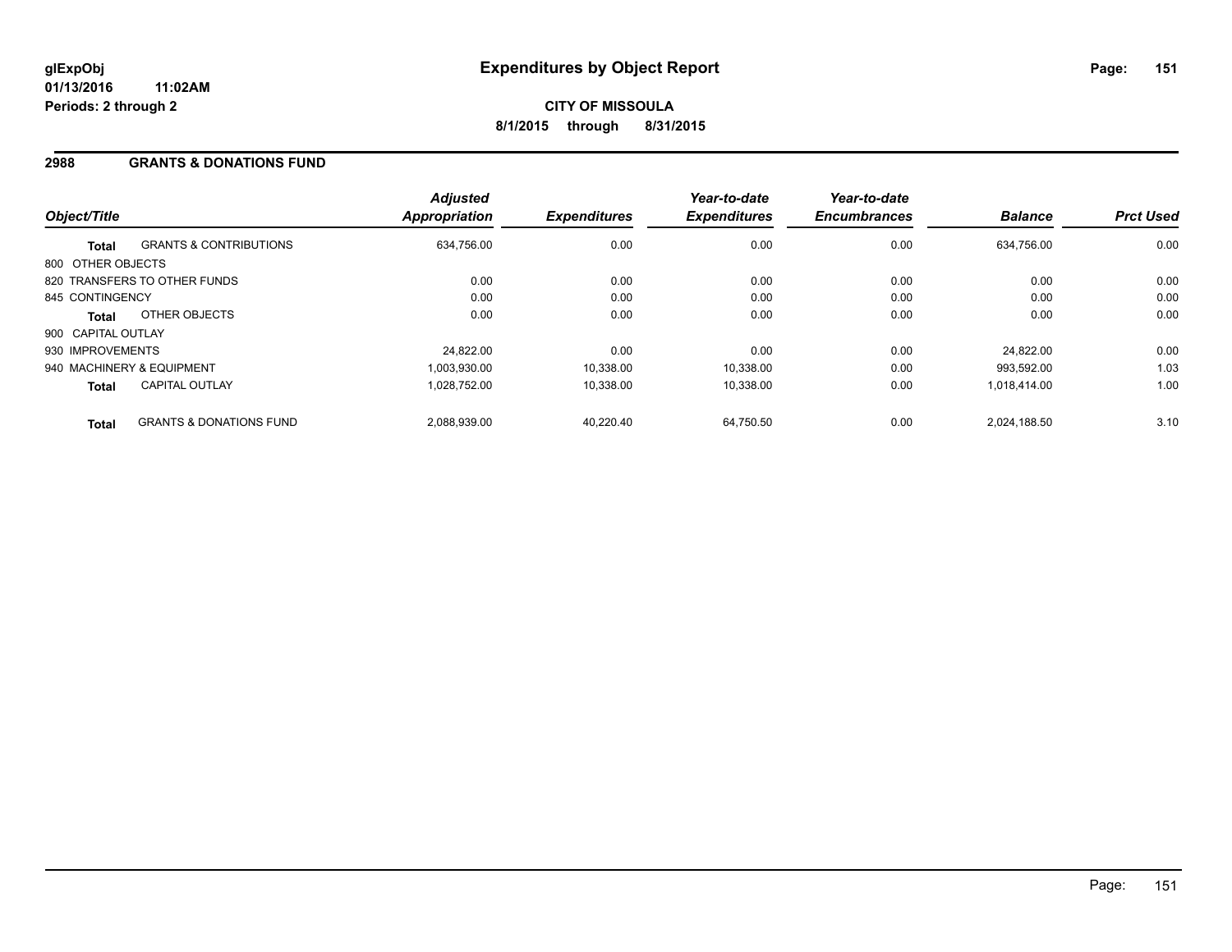### **2988 GRANTS & DONATIONS FUND**

| Object/Title       |                                    | <b>Adjusted</b><br><b>Appropriation</b> | <b>Expenditures</b> | Year-to-date<br><b>Expenditures</b> | Year-to-date<br><b>Encumbrances</b> | <b>Balance</b> | <b>Prct Used</b> |
|--------------------|------------------------------------|-----------------------------------------|---------------------|-------------------------------------|-------------------------------------|----------------|------------------|
| <b>Total</b>       | <b>GRANTS &amp; CONTRIBUTIONS</b>  | 634,756.00                              | 0.00                | 0.00                                | 0.00                                | 634.756.00     | 0.00             |
| 800 OTHER OBJECTS  |                                    |                                         |                     |                                     |                                     |                |                  |
|                    | 820 TRANSFERS TO OTHER FUNDS       | 0.00                                    | 0.00                | 0.00                                | 0.00                                | 0.00           | 0.00             |
| 845 CONTINGENCY    |                                    | 0.00                                    | 0.00                | 0.00                                | 0.00                                | 0.00           | 0.00             |
| <b>Total</b>       | OTHER OBJECTS                      | 0.00                                    | 0.00                | 0.00                                | 0.00                                | 0.00           | 0.00             |
| 900 CAPITAL OUTLAY |                                    |                                         |                     |                                     |                                     |                |                  |
| 930 IMPROVEMENTS   |                                    | 24,822.00                               | 0.00                | 0.00                                | 0.00                                | 24.822.00      | 0.00             |
|                    | 940 MACHINERY & EQUIPMENT          | 1.003.930.00                            | 10,338.00           | 10.338.00                           | 0.00                                | 993.592.00     | 1.03             |
| <b>Total</b>       | <b>CAPITAL OUTLAY</b>              | 1.028.752.00                            | 10,338.00           | 10.338.00                           | 0.00                                | 1.018.414.00   | 1.00             |
| <b>Total</b>       | <b>GRANTS &amp; DONATIONS FUND</b> | 2.088.939.00                            | 40.220.40           | 64.750.50                           | 0.00                                | 2.024.188.50   | 3.10             |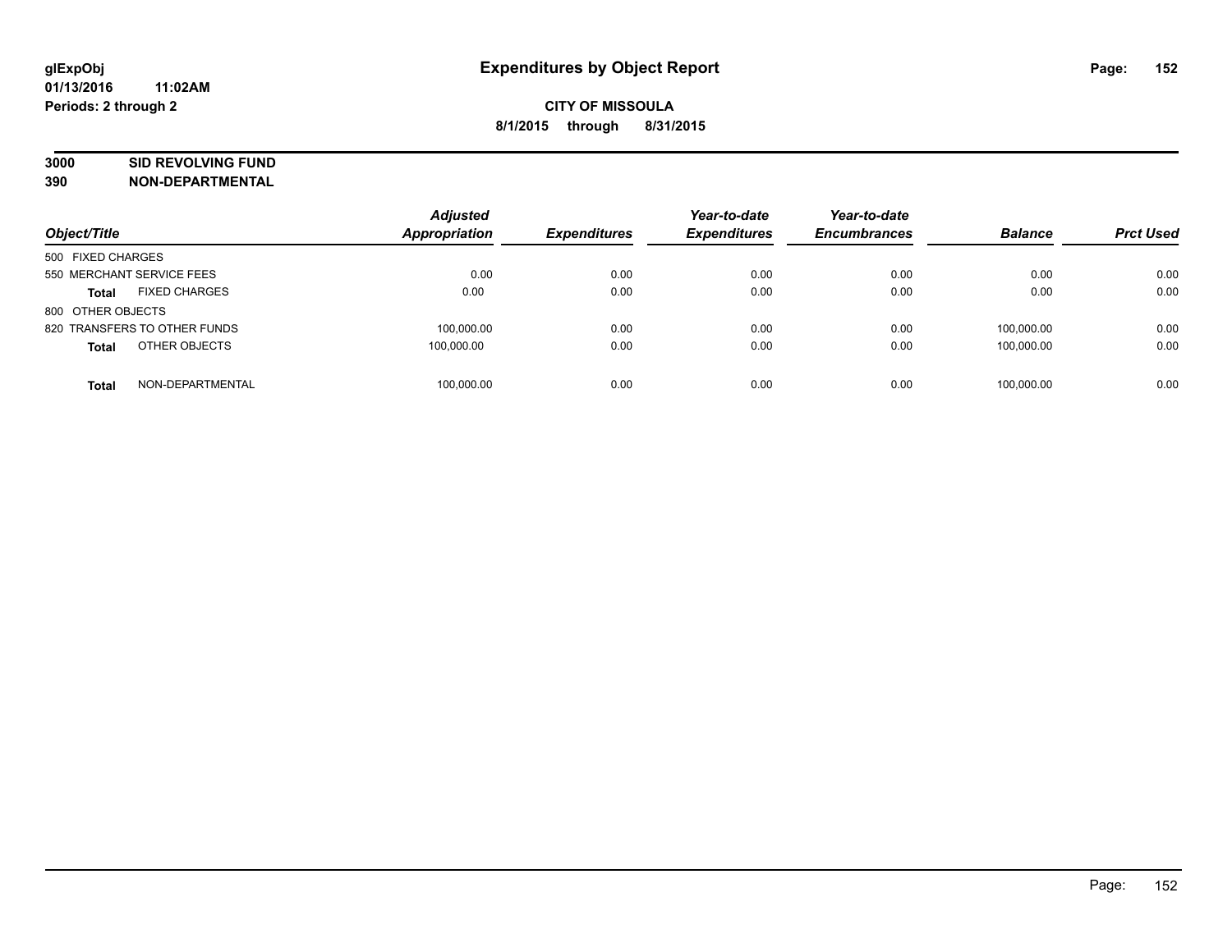# **3000 SID REVOLVING FUND**

| Object/Title                         | <b>Adjusted</b><br>Appropriation | <b>Expenditures</b> | Year-to-date<br><b>Expenditures</b> | Year-to-date<br><b>Encumbrances</b> | <b>Balance</b> | <b>Prct Used</b> |
|--------------------------------------|----------------------------------|---------------------|-------------------------------------|-------------------------------------|----------------|------------------|
| 500 FIXED CHARGES                    |                                  |                     |                                     |                                     |                |                  |
| 550 MERCHANT SERVICE FEES            | 0.00                             | 0.00                | 0.00                                | 0.00                                | 0.00           | 0.00             |
| <b>FIXED CHARGES</b><br><b>Total</b> | 0.00                             | 0.00                | 0.00                                | 0.00                                | 0.00           | 0.00             |
| 800 OTHER OBJECTS                    |                                  |                     |                                     |                                     |                |                  |
| 820 TRANSFERS TO OTHER FUNDS         | 100.000.00                       | 0.00                | 0.00                                | 0.00                                | 100.000.00     | 0.00             |
| OTHER OBJECTS<br><b>Total</b>        | 100,000.00                       | 0.00                | 0.00                                | 0.00                                | 100.000.00     | 0.00             |
| NON-DEPARTMENTAL<br><b>Total</b>     | 100.000.00                       | 0.00                | 0.00                                | 0.00                                | 100.000.00     | 0.00             |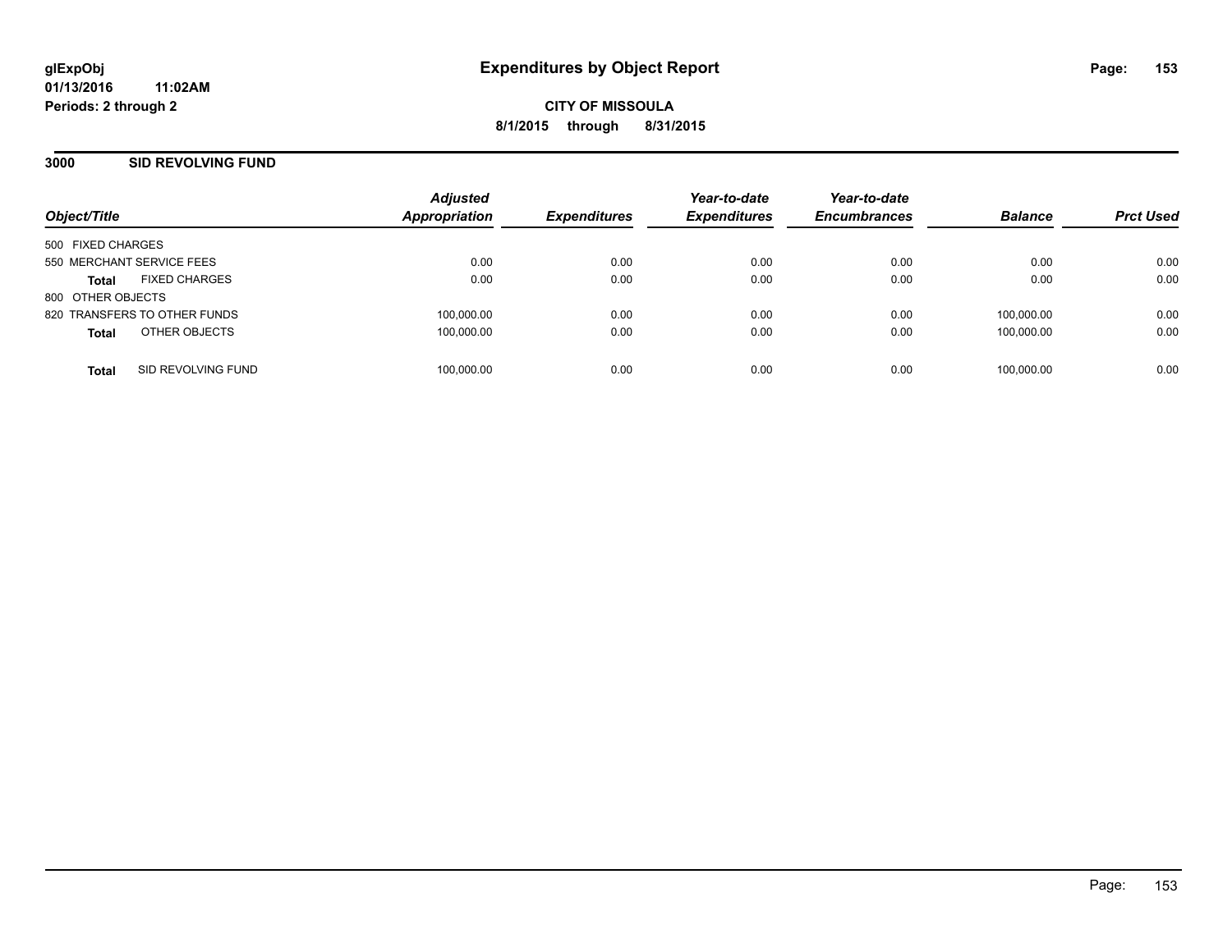### **3000 SID REVOLVING FUND**

| Object/Title                         | <b>Adjusted</b><br><b>Appropriation</b> | <b>Expenditures</b> | Year-to-date<br><b>Expenditures</b> | Year-to-date<br><b>Encumbrances</b> | <b>Balance</b> | <b>Prct Used</b> |
|--------------------------------------|-----------------------------------------|---------------------|-------------------------------------|-------------------------------------|----------------|------------------|
| 500 FIXED CHARGES                    |                                         |                     |                                     |                                     |                |                  |
| 550 MERCHANT SERVICE FEES            | 0.00                                    | 0.00                | 0.00                                | 0.00                                | 0.00           | 0.00             |
| <b>FIXED CHARGES</b><br><b>Total</b> | 0.00                                    | 0.00                | 0.00                                | 0.00                                | 0.00           | 0.00             |
| 800 OTHER OBJECTS                    |                                         |                     |                                     |                                     |                |                  |
| 820 TRANSFERS TO OTHER FUNDS         | 100,000.00                              | 0.00                | 0.00                                | 0.00                                | 100.000.00     | 0.00             |
| OTHER OBJECTS<br><b>Total</b>        | 100,000.00                              | 0.00                | 0.00                                | 0.00                                | 100.000.00     | 0.00             |
| SID REVOLVING FUND<br><b>Total</b>   | 100,000.00                              | 0.00                | 0.00                                | 0.00                                | 100.000.00     | 0.00             |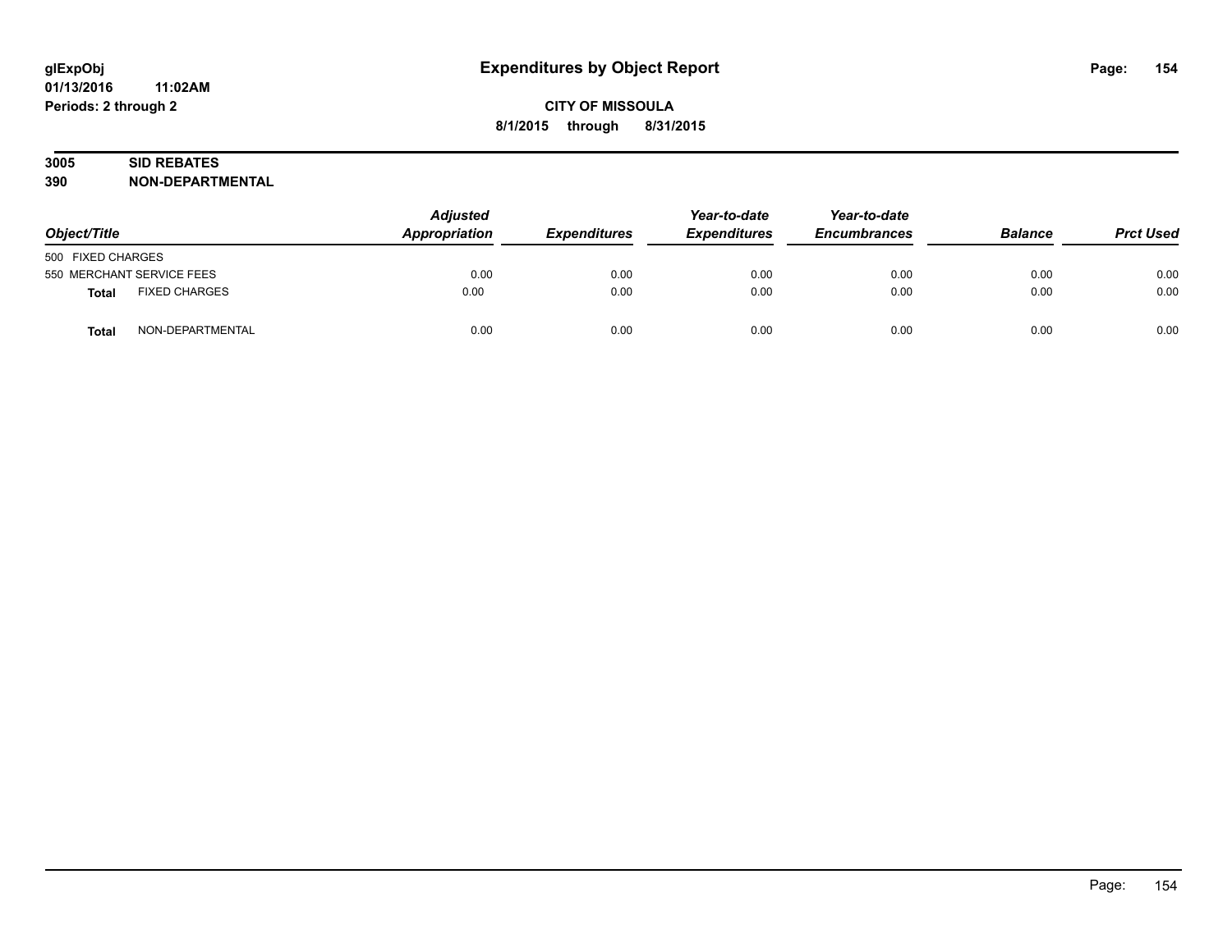# **3005 SID REBATES**

| Object/Title      |                           | <b>Adjusted</b><br>Appropriation<br><b>Expenditures</b> | Year-to-date<br><b>Expenditures</b> | Year-to-date<br><b>Encumbrances</b> | <b>Balance</b> | <b>Prct Used</b> |      |
|-------------------|---------------------------|---------------------------------------------------------|-------------------------------------|-------------------------------------|----------------|------------------|------|
| 500 FIXED CHARGES |                           |                                                         |                                     |                                     |                |                  |      |
|                   | 550 MERCHANT SERVICE FEES | 0.00                                                    | 0.00                                | 0.00                                | 0.00           | 0.00             | 0.00 |
| <b>Total</b>      | <b>FIXED CHARGES</b>      | 0.00                                                    | 0.00                                | 0.00                                | 0.00           | 0.00             | 0.00 |
| <b>Total</b>      | NON-DEPARTMENTAL          | 0.00                                                    | 0.00                                | 0.00                                | 0.00           | 0.00             | 0.00 |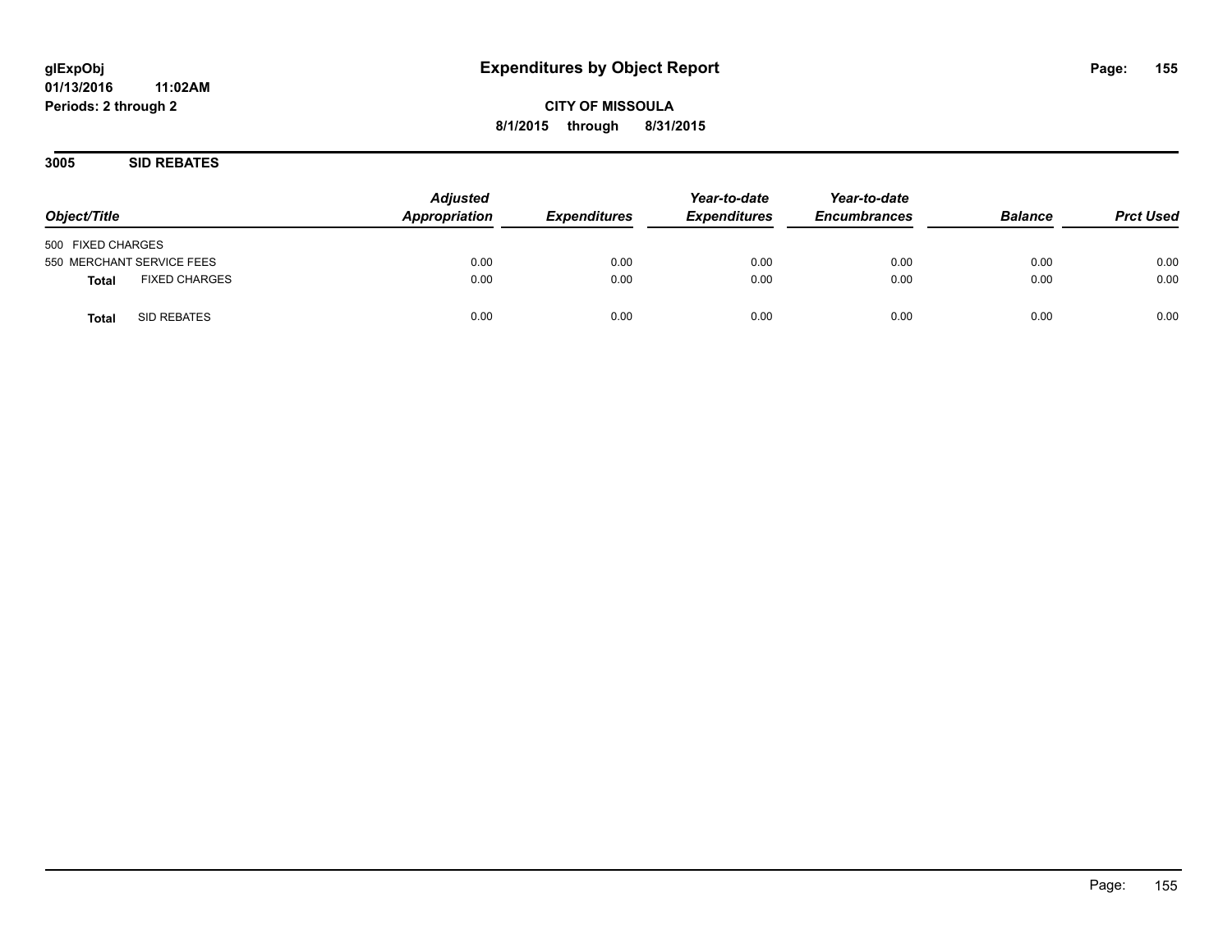**CITY OF MISSOULA 8/1/2015 through 8/31/2015**

**3005 SID REBATES**

| Object/Title                  | <b>Adjusted</b><br>Appropriation<br><b>Expenditures</b> | Year-to-date<br><b>Expenditures</b> | Year-to-date<br><b>Encumbrances</b> | <b>Balance</b> | <b>Prct Used</b> |      |
|-------------------------------|---------------------------------------------------------|-------------------------------------|-------------------------------------|----------------|------------------|------|
| 500 FIXED CHARGES             |                                                         |                                     |                                     |                |                  |      |
| 550 MERCHANT SERVICE FEES     | 0.00                                                    | 0.00                                | 0.00                                | 0.00           | 0.00             | 0.00 |
| <b>FIXED CHARGES</b><br>Total | 0.00                                                    | 0.00                                | 0.00                                | 0.00           | 0.00             | 0.00 |
| SID REBATES<br><b>Total</b>   | 0.00                                                    | 0.00                                | 0.00                                | 0.00           | 0.00             | 0.00 |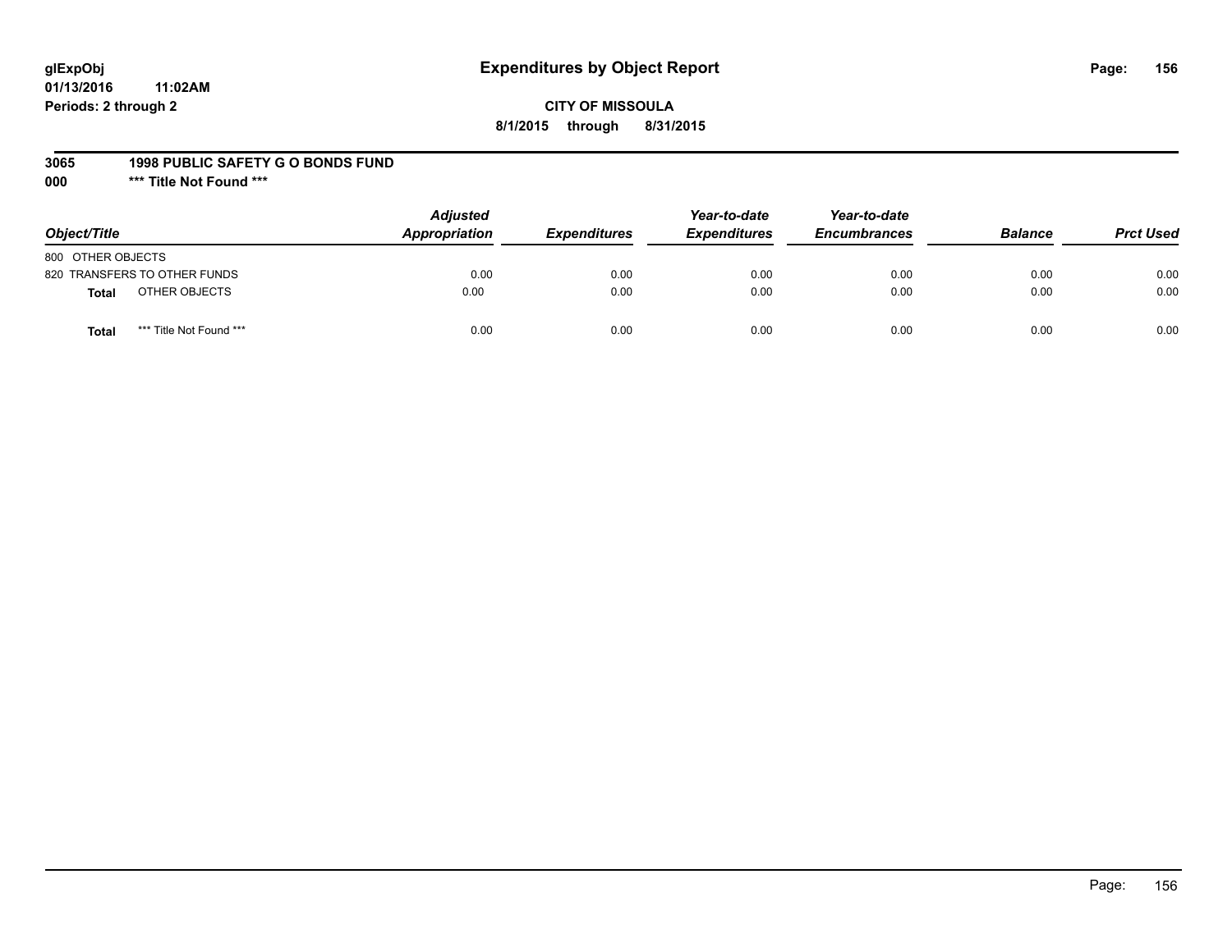# **glExpObj Expenditures by Object Report Page: 156**

**01/13/2016 11:02AM Periods: 2 through 2**

#### **3065 1998 PUBLIC SAFETY G O BONDS FUND**

**000 \*\*\* Title Not Found \*\*\***

| Object/Title                            | <b>Adjusted</b><br>Appropriation<br><b>Expenditures</b> | Year-to-date<br><b>Expenditures</b> | Year-to-date<br><b>Encumbrances</b> | <b>Balance</b> | <b>Prct Used</b> |      |
|-----------------------------------------|---------------------------------------------------------|-------------------------------------|-------------------------------------|----------------|------------------|------|
| 800 OTHER OBJECTS                       |                                                         |                                     |                                     |                |                  |      |
| 820 TRANSFERS TO OTHER FUNDS            | 0.00                                                    | 0.00                                | 0.00                                | 0.00           | 0.00             | 0.00 |
| OTHER OBJECTS<br>Total                  | 0.00                                                    | 0.00                                | 0.00                                | 0.00           | 0.00             | 0.00 |
| *** Title Not Found ***<br><b>Total</b> | 0.00                                                    | 0.00                                | 0.00                                | 0.00           | 0.00             | 0.00 |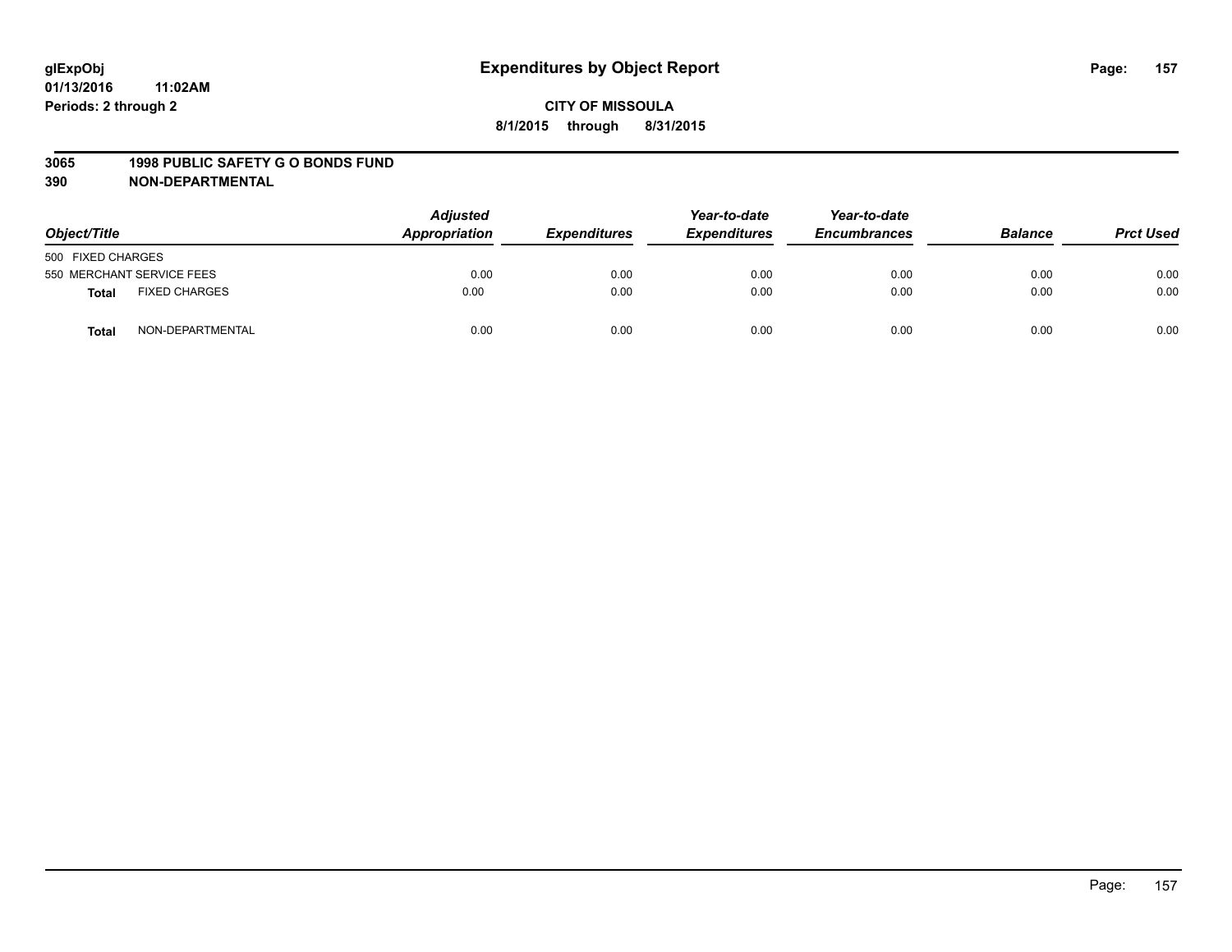#### **3065 1998 PUBLIC SAFETY G O BONDS FUND**

| Object/Title      |                           | <b>Adjusted</b><br>Appropriation<br><b>Expenditures</b> | Year-to-date<br><b>Expenditures</b> | Year-to-date<br><b>Encumbrances</b> | <b>Balance</b> | <b>Prct Used</b> |      |
|-------------------|---------------------------|---------------------------------------------------------|-------------------------------------|-------------------------------------|----------------|------------------|------|
| 500 FIXED CHARGES |                           |                                                         |                                     |                                     |                |                  |      |
|                   | 550 MERCHANT SERVICE FEES | 0.00                                                    | 0.00                                | 0.00                                | 0.00           | 0.00             | 0.00 |
| <b>Total</b>      | <b>FIXED CHARGES</b>      | 0.00                                                    | 0.00                                | 0.00                                | 0.00           | 0.00             | 0.00 |
| <b>Total</b>      | NON-DEPARTMENTAL          | 0.00                                                    | 0.00                                | 0.00                                | 0.00           | 0.00             | 0.00 |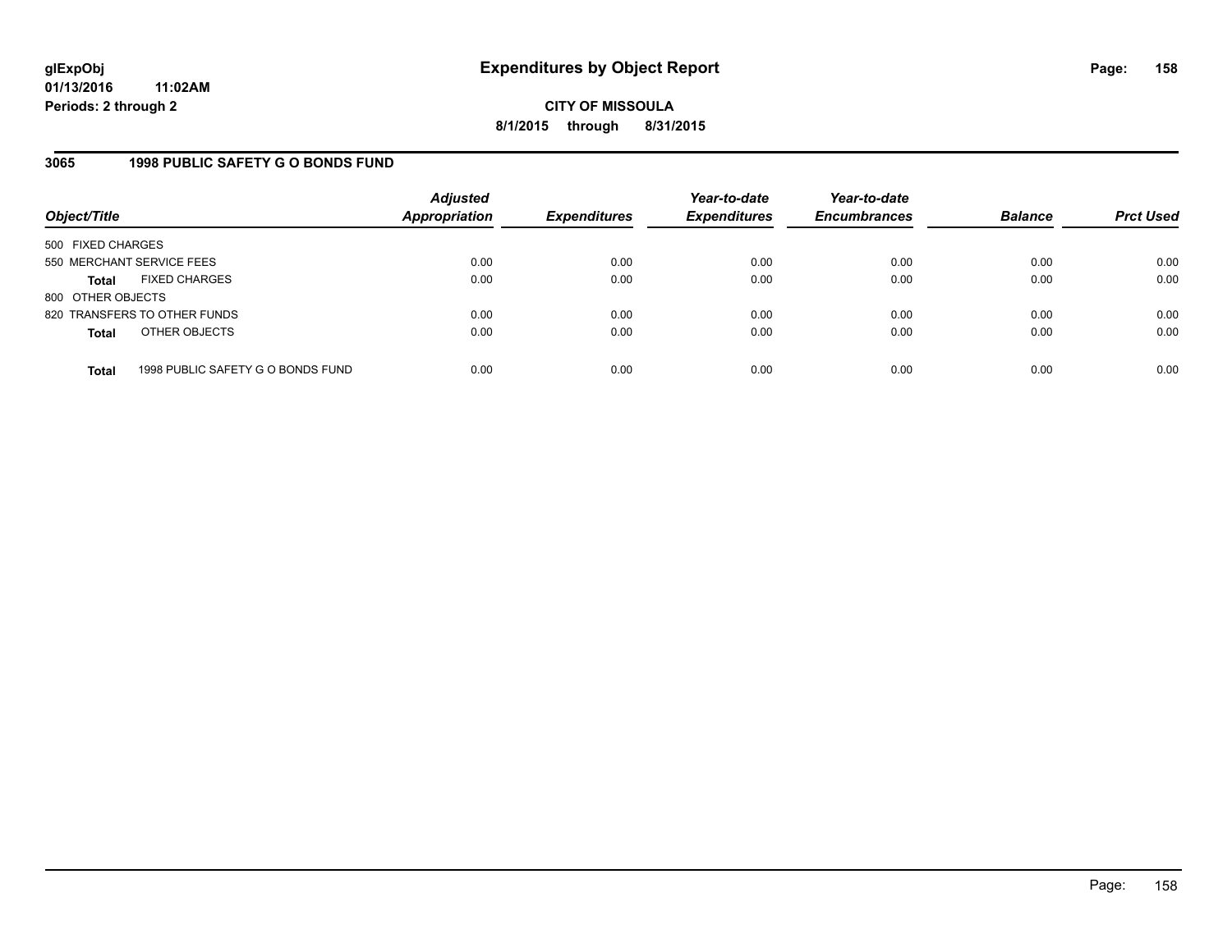**CITY OF MISSOULA 8/1/2015 through 8/31/2015**

### **3065 1998 PUBLIC SAFETY G O BONDS FUND**

| Object/Title              |                                   | <b>Adjusted</b><br>Appropriation | <b>Expenditures</b> | Year-to-date<br><b>Expenditures</b> | Year-to-date<br><b>Encumbrances</b> | <b>Balance</b> | <b>Prct Used</b> |
|---------------------------|-----------------------------------|----------------------------------|---------------------|-------------------------------------|-------------------------------------|----------------|------------------|
| 500 FIXED CHARGES         |                                   |                                  |                     |                                     |                                     |                |                  |
| 550 MERCHANT SERVICE FEES |                                   | 0.00                             | 0.00                | 0.00                                | 0.00                                | 0.00           | 0.00             |
| <b>Total</b>              | <b>FIXED CHARGES</b>              | 0.00                             | 0.00                | 0.00                                | 0.00                                | 0.00           | 0.00             |
| 800 OTHER OBJECTS         |                                   |                                  |                     |                                     |                                     |                |                  |
|                           | 820 TRANSFERS TO OTHER FUNDS      | 0.00                             | 0.00                | 0.00                                | 0.00                                | 0.00           | 0.00             |
| <b>Total</b>              | OTHER OBJECTS                     | 0.00                             | 0.00                | 0.00                                | 0.00                                | 0.00           | 0.00             |
| <b>Total</b>              | 1998 PUBLIC SAFETY G O BONDS FUND | 0.00                             | 0.00                | 0.00                                | 0.00                                | 0.00           | 0.00             |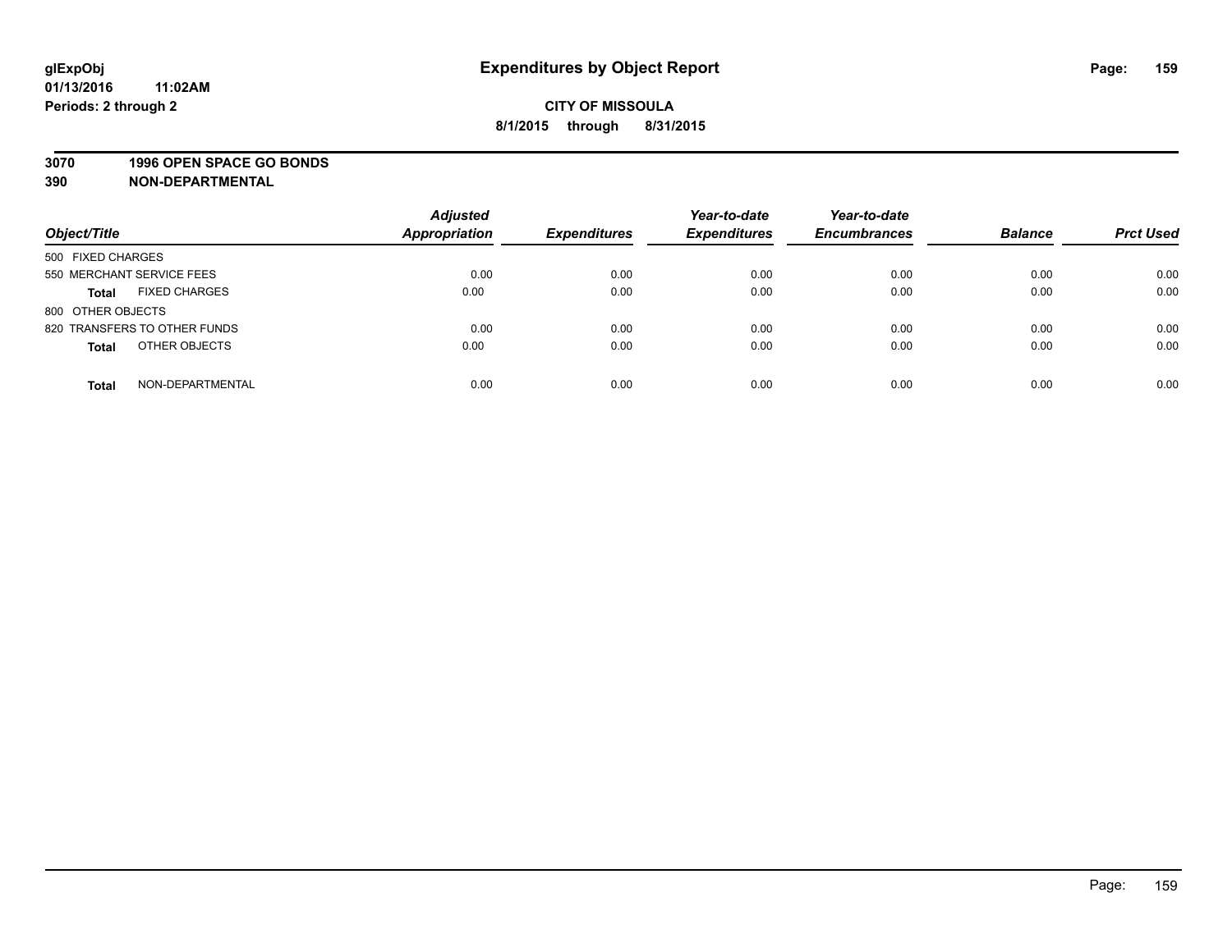#### **3070 1996 OPEN SPACE GO BONDS**

| Object/Title                         | <b>Adjusted</b><br><b>Appropriation</b> | <b>Expenditures</b> | Year-to-date<br><b>Expenditures</b> | Year-to-date<br><b>Encumbrances</b> | <b>Balance</b> | <b>Prct Used</b> |
|--------------------------------------|-----------------------------------------|---------------------|-------------------------------------|-------------------------------------|----------------|------------------|
| 500 FIXED CHARGES                    |                                         |                     |                                     |                                     |                |                  |
| 550 MERCHANT SERVICE FEES            | 0.00                                    | 0.00                | 0.00                                | 0.00                                | 0.00           | 0.00             |
| <b>FIXED CHARGES</b><br><b>Total</b> | 0.00                                    | 0.00                | 0.00                                | 0.00                                | 0.00           | 0.00             |
| 800 OTHER OBJECTS                    |                                         |                     |                                     |                                     |                |                  |
| 820 TRANSFERS TO OTHER FUNDS         | 0.00                                    | 0.00                | 0.00                                | 0.00                                | 0.00           | 0.00             |
| OTHER OBJECTS<br><b>Total</b>        | 0.00                                    | 0.00                | 0.00                                | 0.00                                | 0.00           | 0.00             |
| NON-DEPARTMENTAL<br><b>Total</b>     | 0.00                                    | 0.00                | 0.00                                | 0.00                                | 0.00           | 0.00             |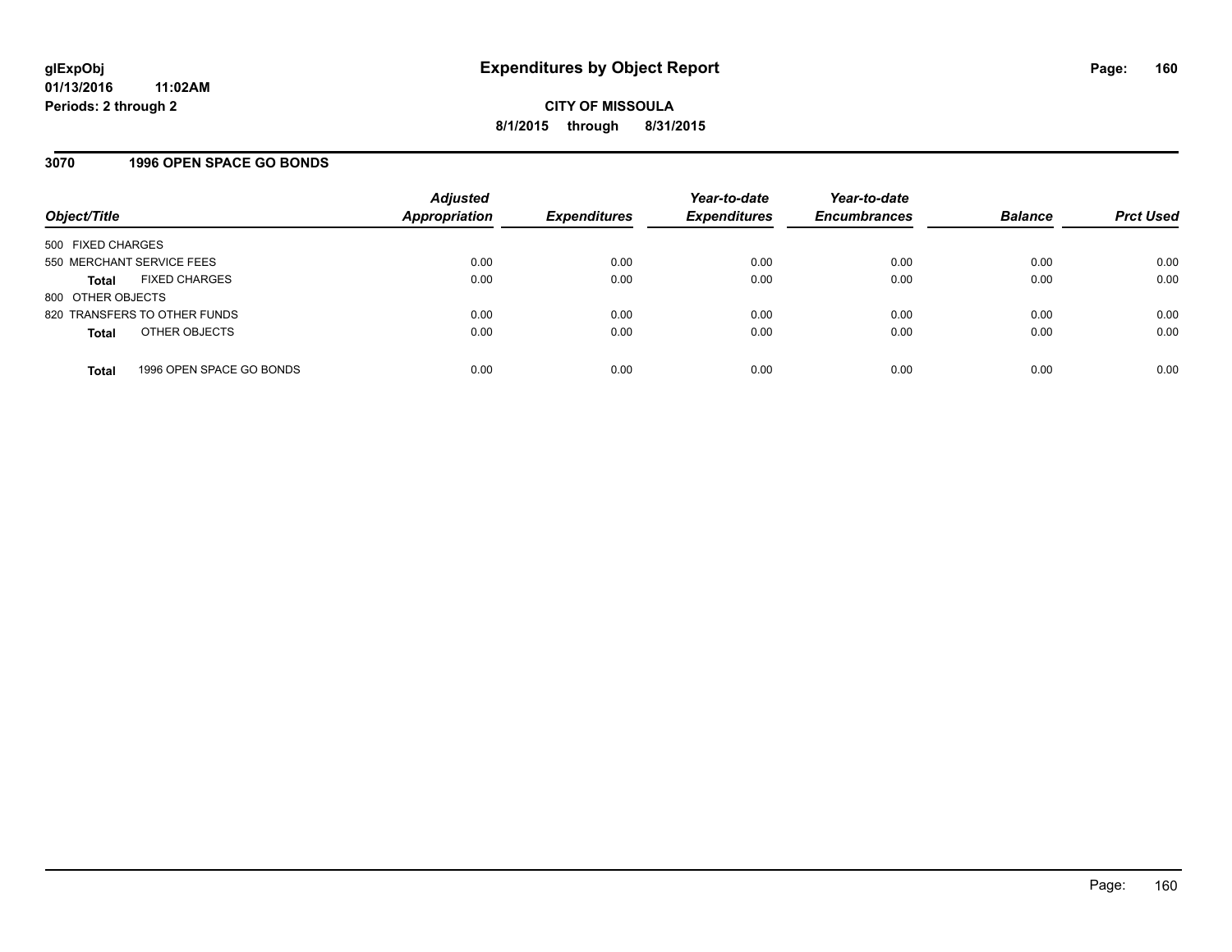### **3070 1996 OPEN SPACE GO BONDS**

| Object/Title              |                              | <b>Adjusted</b><br><b>Appropriation</b> | <b>Expenditures</b> | Year-to-date<br><b>Expenditures</b> | Year-to-date<br><b>Encumbrances</b> | <b>Balance</b> | <b>Prct Used</b> |
|---------------------------|------------------------------|-----------------------------------------|---------------------|-------------------------------------|-------------------------------------|----------------|------------------|
| 500 FIXED CHARGES         |                              |                                         |                     |                                     |                                     |                |                  |
| 550 MERCHANT SERVICE FEES |                              | 0.00                                    | 0.00                | 0.00                                | 0.00                                | 0.00           | 0.00             |
| <b>Total</b>              | <b>FIXED CHARGES</b>         | 0.00                                    | 0.00                | 0.00                                | 0.00                                | 0.00           | 0.00             |
| 800 OTHER OBJECTS         |                              |                                         |                     |                                     |                                     |                |                  |
|                           | 820 TRANSFERS TO OTHER FUNDS | 0.00                                    | 0.00                | 0.00                                | 0.00                                | 0.00           | 0.00             |
| <b>Total</b>              | OTHER OBJECTS                | 0.00                                    | 0.00                | 0.00                                | 0.00                                | 0.00           | 0.00             |
| <b>Total</b>              | 1996 OPEN SPACE GO BONDS     | 0.00                                    | 0.00                | 0.00                                | 0.00                                | 0.00           | 0.00             |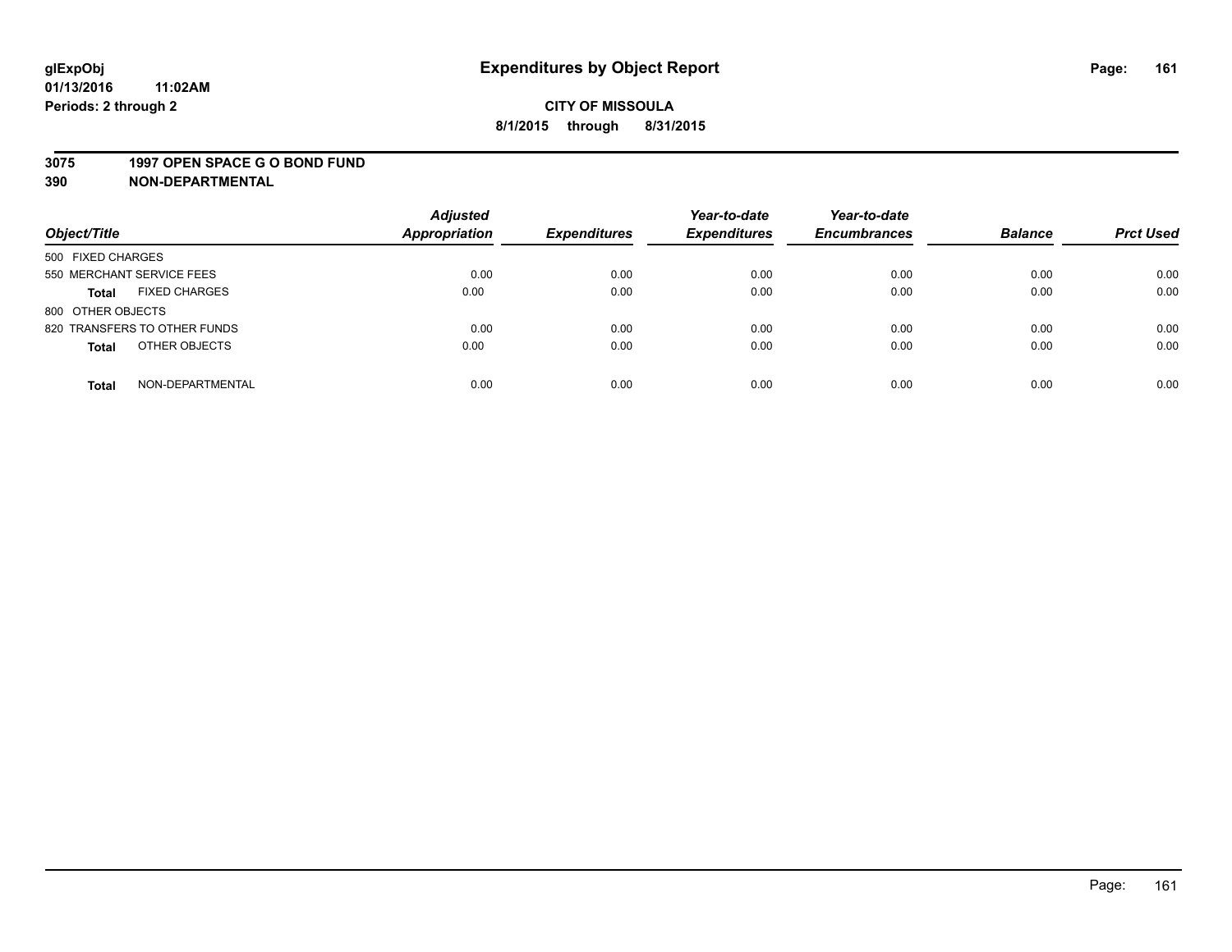#### **3075 1997 OPEN SPACE G O BOND FUND**

| Object/Title                         | <b>Adjusted</b><br><b>Appropriation</b> | <b>Expenditures</b> | Year-to-date<br><b>Expenditures</b> | Year-to-date<br><b>Encumbrances</b> | <b>Balance</b> | <b>Prct Used</b> |
|--------------------------------------|-----------------------------------------|---------------------|-------------------------------------|-------------------------------------|----------------|------------------|
|                                      |                                         |                     |                                     |                                     |                |                  |
| 500 FIXED CHARGES                    |                                         |                     |                                     |                                     |                |                  |
| 550 MERCHANT SERVICE FEES            | 0.00                                    | 0.00                | 0.00                                | 0.00                                | 0.00           | 0.00             |
| <b>FIXED CHARGES</b><br><b>Total</b> | 0.00                                    | 0.00                | 0.00                                | 0.00                                | 0.00           | 0.00             |
| 800 OTHER OBJECTS                    |                                         |                     |                                     |                                     |                |                  |
| 820 TRANSFERS TO OTHER FUNDS         | 0.00                                    | 0.00                | 0.00                                | 0.00                                | 0.00           | 0.00             |
| OTHER OBJECTS<br><b>Total</b>        | 0.00                                    | 0.00                | 0.00                                | 0.00                                | 0.00           | 0.00             |
|                                      |                                         |                     |                                     |                                     |                |                  |
| NON-DEPARTMENTAL<br><b>Total</b>     | 0.00                                    | 0.00                | 0.00                                | 0.00                                | 0.00           | 0.00             |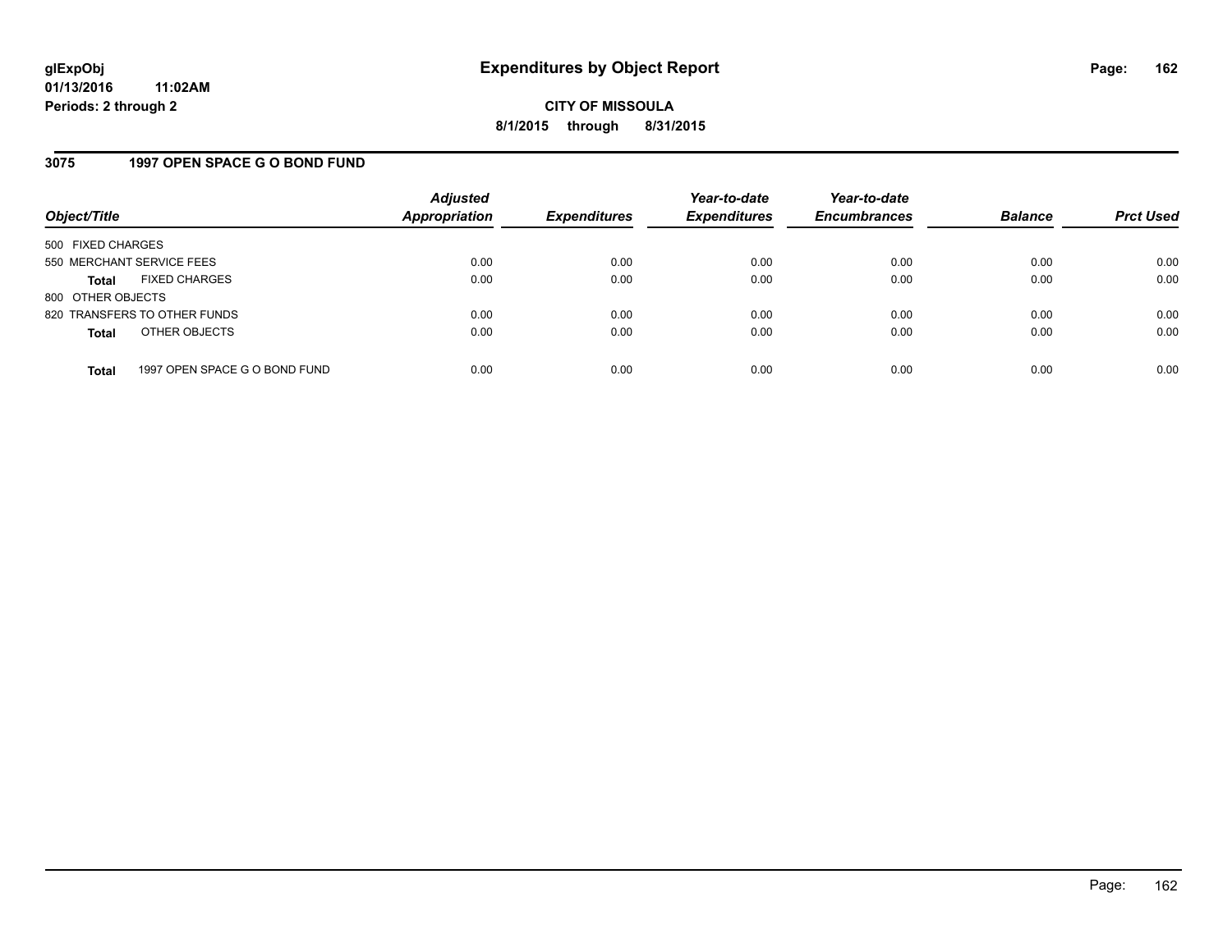### **3075 1997 OPEN SPACE G O BOND FUND**

| Object/Title                         |                               | <b>Adjusted</b><br><b>Appropriation</b> | <b>Expenditures</b> | Year-to-date<br><b>Expenditures</b> | Year-to-date<br><b>Encumbrances</b> | <b>Balance</b> | <b>Prct Used</b> |
|--------------------------------------|-------------------------------|-----------------------------------------|---------------------|-------------------------------------|-------------------------------------|----------------|------------------|
| 500 FIXED CHARGES                    |                               |                                         |                     |                                     |                                     |                |                  |
| 550 MERCHANT SERVICE FEES            |                               | 0.00                                    | 0.00                | 0.00                                | 0.00                                | 0.00           | 0.00             |
| <b>FIXED CHARGES</b><br><b>Total</b> |                               | 0.00                                    | 0.00                | 0.00                                | 0.00                                | 0.00           | 0.00             |
| 800 OTHER OBJECTS                    |                               |                                         |                     |                                     |                                     |                |                  |
| 820 TRANSFERS TO OTHER FUNDS         |                               | 0.00                                    | 0.00                | 0.00                                | 0.00                                | 0.00           | 0.00             |
| OTHER OBJECTS<br><b>Total</b>        |                               | 0.00                                    | 0.00                | 0.00                                | 0.00                                | 0.00           | 0.00             |
|                                      |                               |                                         |                     |                                     |                                     |                |                  |
| <b>Total</b>                         | 1997 OPEN SPACE G O BOND FUND | 0.00                                    | 0.00                | 0.00                                | 0.00                                | 0.00           | 0.00             |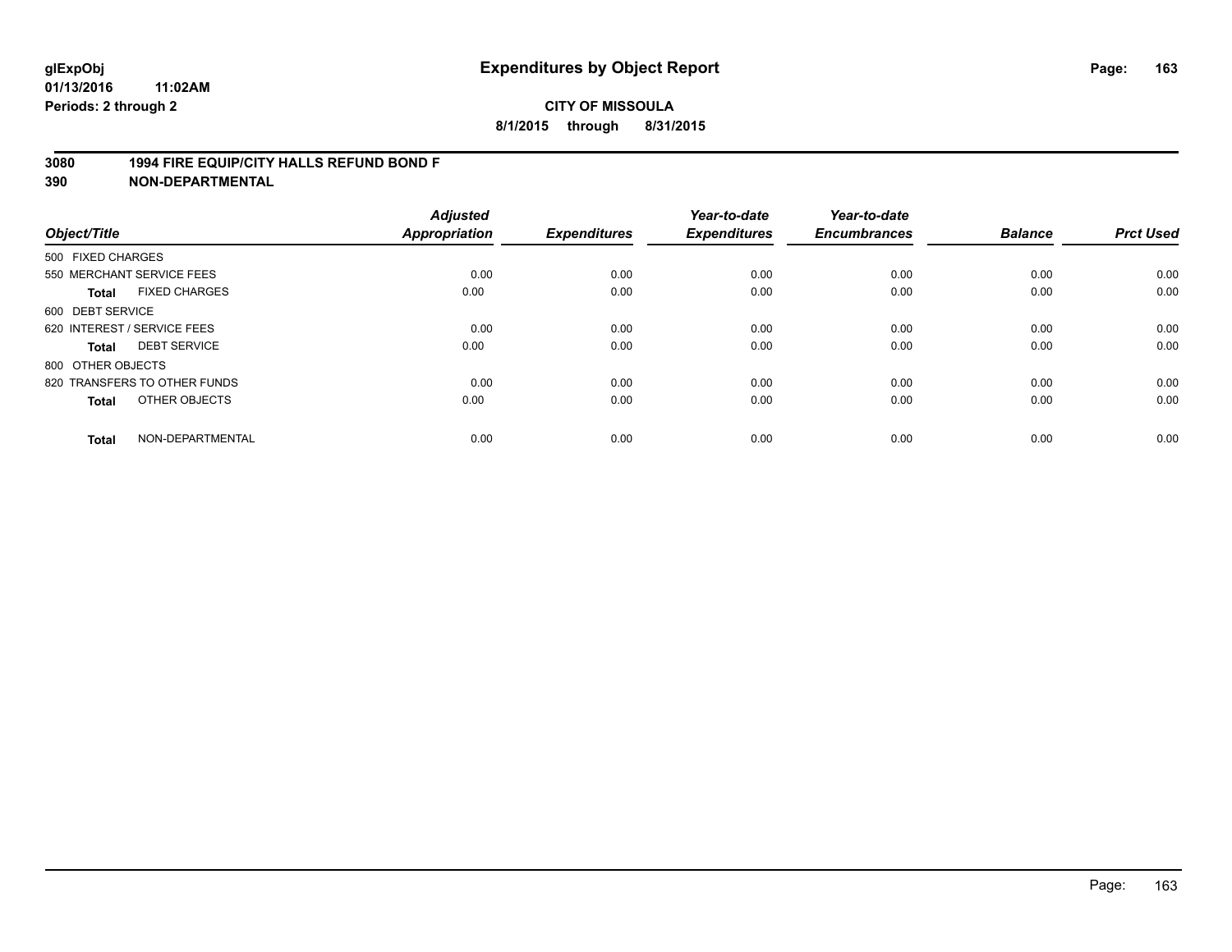### **3080 1994 FIRE EQUIP/CITY HALLS REFUND BOND F**

| Object/Title      |                              | <b>Adjusted</b><br><b>Appropriation</b> | <b>Expenditures</b> | Year-to-date<br><b>Expenditures</b> | Year-to-date<br><b>Encumbrances</b> | <b>Balance</b> | <b>Prct Used</b> |
|-------------------|------------------------------|-----------------------------------------|---------------------|-------------------------------------|-------------------------------------|----------------|------------------|
| 500 FIXED CHARGES |                              |                                         |                     |                                     |                                     |                |                  |
|                   | 550 MERCHANT SERVICE FEES    | 0.00                                    | 0.00                | 0.00                                | 0.00                                | 0.00           | 0.00             |
| <b>Total</b>      | <b>FIXED CHARGES</b>         | 0.00                                    | 0.00                | 0.00                                | 0.00                                | 0.00           | 0.00             |
| 600 DEBT SERVICE  |                              |                                         |                     |                                     |                                     |                |                  |
|                   | 620 INTEREST / SERVICE FEES  | 0.00                                    | 0.00                | 0.00                                | 0.00                                | 0.00           | 0.00             |
| Total             | <b>DEBT SERVICE</b>          | 0.00                                    | 0.00                | 0.00                                | 0.00                                | 0.00           | 0.00             |
| 800 OTHER OBJECTS |                              |                                         |                     |                                     |                                     |                |                  |
|                   | 820 TRANSFERS TO OTHER FUNDS | 0.00                                    | 0.00                | 0.00                                | 0.00                                | 0.00           | 0.00             |
| Total             | OTHER OBJECTS                | 0.00                                    | 0.00                | 0.00                                | 0.00                                | 0.00           | 0.00             |
| <b>Total</b>      | NON-DEPARTMENTAL             | 0.00                                    | 0.00                | 0.00                                | 0.00                                | 0.00           | 0.00             |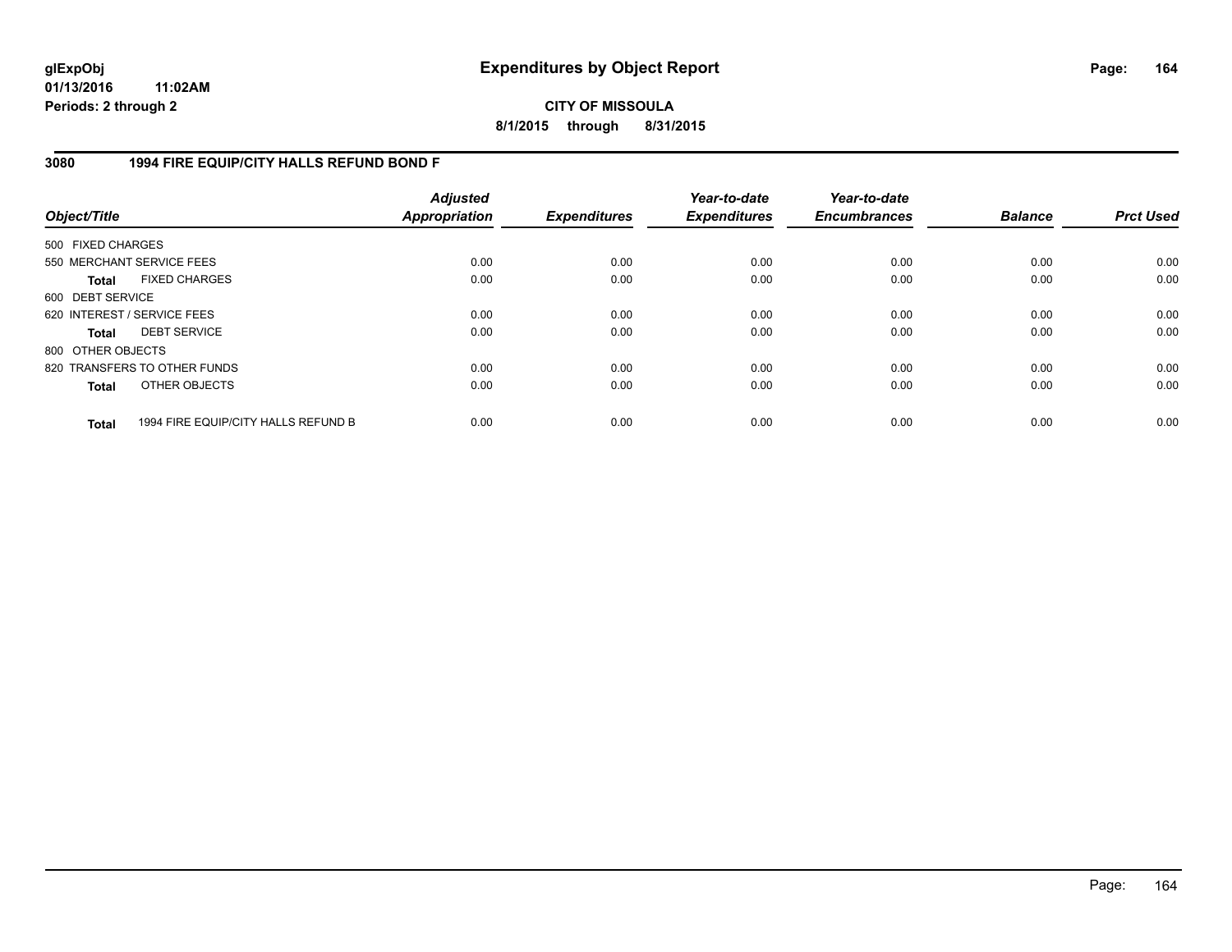**CITY OF MISSOULA 8/1/2015 through 8/31/2015**

### **3080 1994 FIRE EQUIP/CITY HALLS REFUND BOND F**

| Object/Title                |                                     | <b>Adjusted</b><br>Appropriation | <b>Expenditures</b> | Year-to-date<br><b>Expenditures</b> | Year-to-date<br><b>Encumbrances</b> | <b>Balance</b> | <b>Prct Used</b> |
|-----------------------------|-------------------------------------|----------------------------------|---------------------|-------------------------------------|-------------------------------------|----------------|------------------|
| 500 FIXED CHARGES           |                                     |                                  |                     |                                     |                                     |                |                  |
| 550 MERCHANT SERVICE FEES   |                                     | 0.00                             | 0.00                | 0.00                                | 0.00                                | 0.00           | 0.00             |
| <b>Total</b>                | <b>FIXED CHARGES</b>                | 0.00                             | 0.00                | 0.00                                | 0.00                                | 0.00           | 0.00             |
| 600 DEBT SERVICE            |                                     |                                  |                     |                                     |                                     |                |                  |
| 620 INTEREST / SERVICE FEES |                                     | 0.00                             | 0.00                | 0.00                                | 0.00                                | 0.00           | 0.00             |
| <b>Total</b>                | <b>DEBT SERVICE</b>                 | 0.00                             | 0.00                | 0.00                                | 0.00                                | 0.00           | 0.00             |
| 800 OTHER OBJECTS           |                                     |                                  |                     |                                     |                                     |                |                  |
|                             | 820 TRANSFERS TO OTHER FUNDS        | 0.00                             | 0.00                | 0.00                                | 0.00                                | 0.00           | 0.00             |
| <b>Total</b>                | OTHER OBJECTS                       | 0.00                             | 0.00                | 0.00                                | 0.00                                | 0.00           | 0.00             |
| <b>Total</b>                | 1994 FIRE EQUIP/CITY HALLS REFUND B | 0.00                             | 0.00                | 0.00                                | 0.00                                | 0.00           | 0.00             |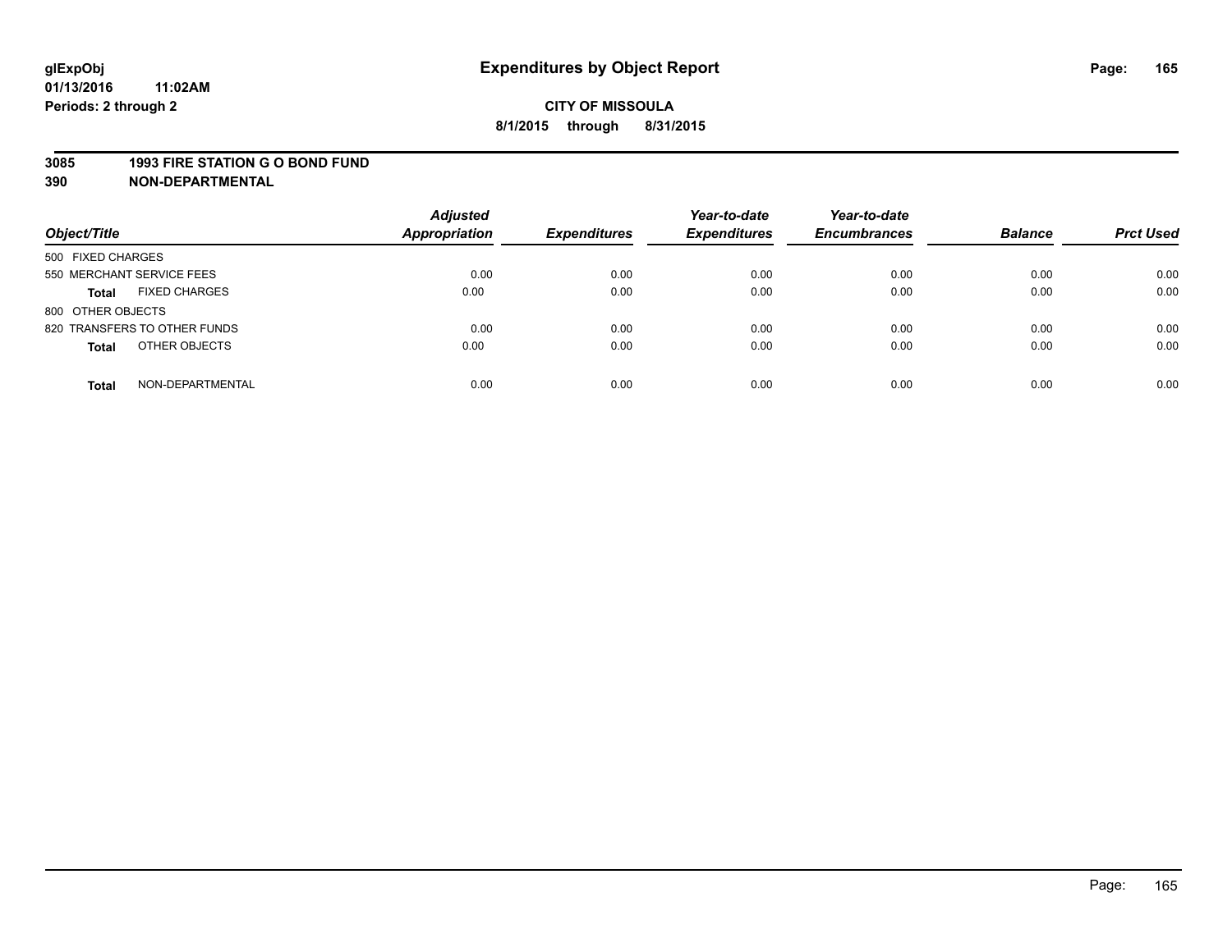#### **3085 1993 FIRE STATION G O BOND FUND**

| Object/Title                         | <b>Adjusted</b><br>Appropriation | <b>Expenditures</b> | Year-to-date<br><b>Expenditures</b> | Year-to-date<br><b>Encumbrances</b> | <b>Balance</b> | <b>Prct Used</b> |
|--------------------------------------|----------------------------------|---------------------|-------------------------------------|-------------------------------------|----------------|------------------|
| 500 FIXED CHARGES                    |                                  |                     |                                     |                                     |                |                  |
| 550 MERCHANT SERVICE FEES            | 0.00                             | 0.00                | 0.00                                | 0.00                                | 0.00           | 0.00             |
| <b>FIXED CHARGES</b><br><b>Total</b> | 0.00                             | 0.00                | 0.00                                | 0.00                                | 0.00           | 0.00             |
| 800 OTHER OBJECTS                    |                                  |                     |                                     |                                     |                |                  |
| 820 TRANSFERS TO OTHER FUNDS         | 0.00                             | 0.00                | 0.00                                | 0.00                                | 0.00           | 0.00             |
| OTHER OBJECTS<br><b>Total</b>        | 0.00                             | 0.00                | 0.00                                | 0.00                                | 0.00           | 0.00             |
| NON-DEPARTMENTAL<br><b>Total</b>     | 0.00                             | 0.00                | 0.00                                | 0.00                                | 0.00           | 0.00             |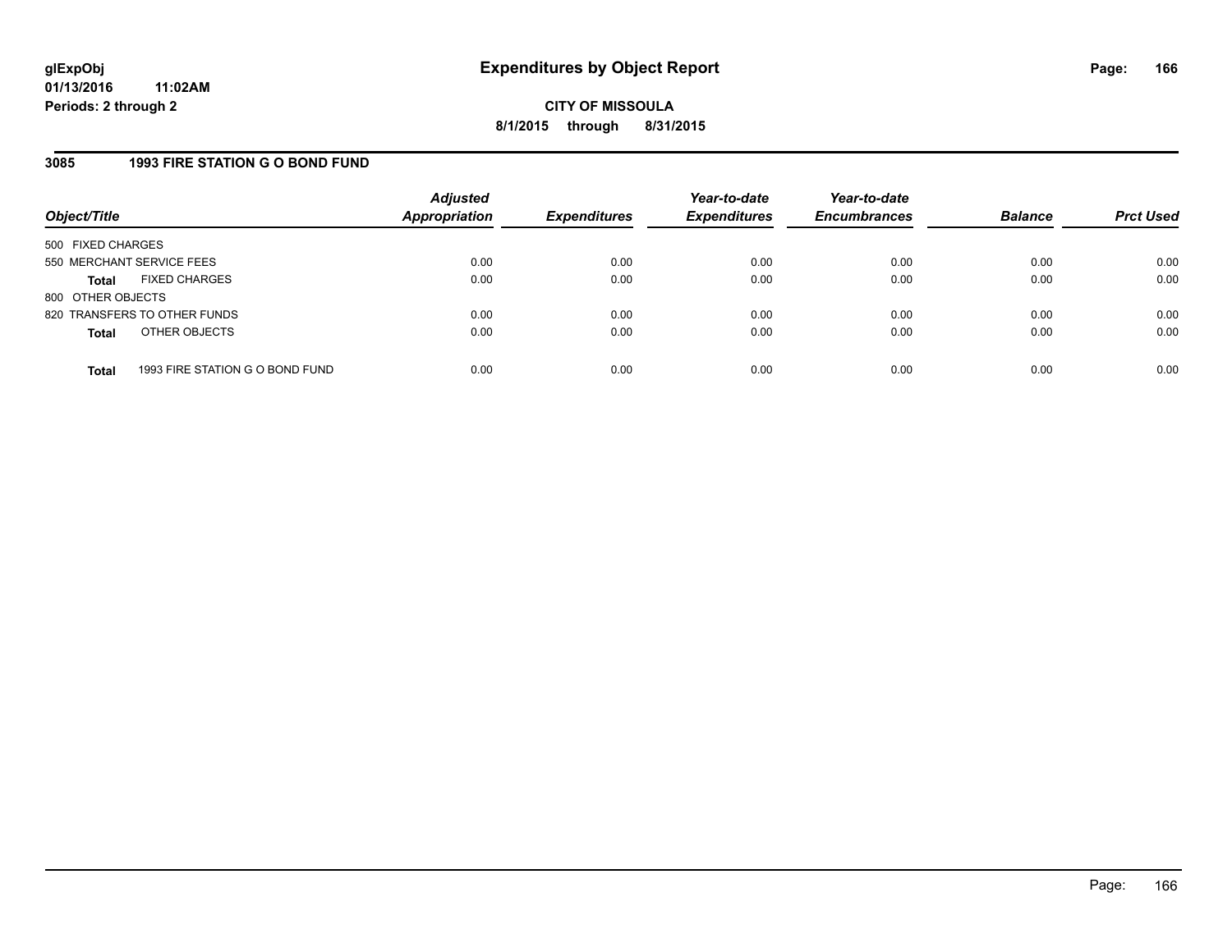### **3085 1993 FIRE STATION G O BOND FUND**

| Object/Title              |                                 | <b>Adjusted</b><br><b>Appropriation</b> | <b>Expenditures</b> | Year-to-date<br><b>Expenditures</b> | Year-to-date<br><b>Encumbrances</b> | <b>Balance</b> | <b>Prct Used</b> |
|---------------------------|---------------------------------|-----------------------------------------|---------------------|-------------------------------------|-------------------------------------|----------------|------------------|
| 500 FIXED CHARGES         |                                 |                                         |                     |                                     |                                     |                |                  |
| 550 MERCHANT SERVICE FEES |                                 | 0.00                                    | 0.00                | 0.00                                | 0.00                                | 0.00           | 0.00             |
| Total                     | <b>FIXED CHARGES</b>            | 0.00                                    | 0.00                | 0.00                                | 0.00                                | 0.00           | 0.00             |
| 800 OTHER OBJECTS         |                                 |                                         |                     |                                     |                                     |                |                  |
|                           | 820 TRANSFERS TO OTHER FUNDS    | 0.00                                    | 0.00                | 0.00                                | 0.00                                | 0.00           | 0.00             |
| <b>Total</b>              | OTHER OBJECTS                   | 0.00                                    | 0.00                | 0.00                                | 0.00                                | 0.00           | 0.00             |
|                           |                                 |                                         |                     |                                     |                                     |                |                  |
| <b>Total</b>              | 1993 FIRE STATION G O BOND FUND | 0.00                                    | 0.00                | 0.00                                | 0.00                                | 0.00           | 0.00             |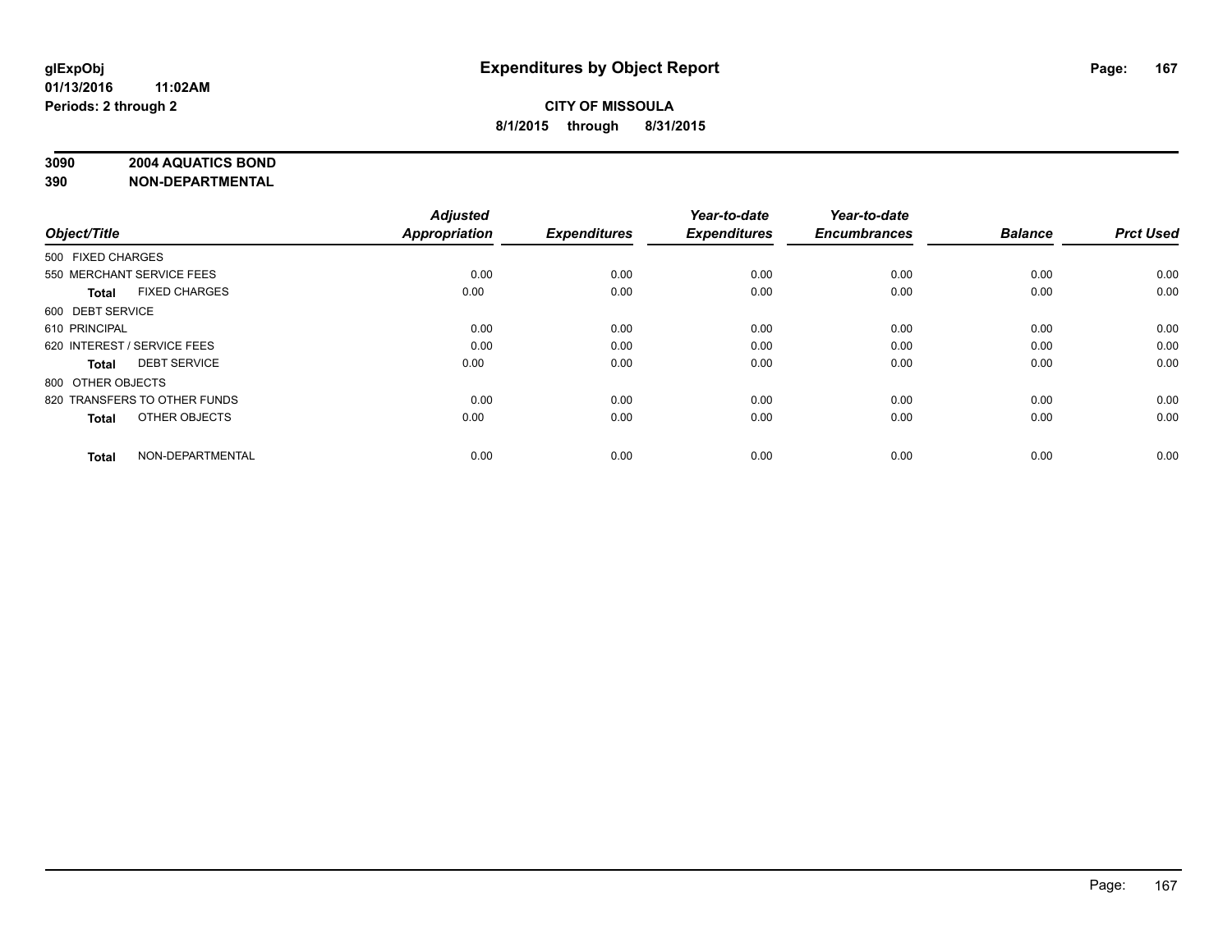### **3090 2004 AQUATICS BOND**

| Object/Title                         | <b>Adjusted</b><br><b>Appropriation</b> | <b>Expenditures</b> | Year-to-date<br><b>Expenditures</b> | Year-to-date<br><b>Encumbrances</b> | <b>Balance</b> | <b>Prct Used</b> |
|--------------------------------------|-----------------------------------------|---------------------|-------------------------------------|-------------------------------------|----------------|------------------|
| 500 FIXED CHARGES                    |                                         |                     |                                     |                                     |                |                  |
| 550 MERCHANT SERVICE FEES            | 0.00                                    | 0.00                | 0.00                                | 0.00                                | 0.00           | 0.00             |
| <b>FIXED CHARGES</b><br><b>Total</b> | 0.00                                    | 0.00                | 0.00                                | 0.00                                | 0.00           | 0.00             |
| 600 DEBT SERVICE                     |                                         |                     |                                     |                                     |                |                  |
| 610 PRINCIPAL                        | 0.00                                    | 0.00                | 0.00                                | 0.00                                | 0.00           | 0.00             |
| 620 INTEREST / SERVICE FEES          | 0.00                                    | 0.00                | 0.00                                | 0.00                                | 0.00           | 0.00             |
| <b>DEBT SERVICE</b><br><b>Total</b>  | 0.00                                    | 0.00                | 0.00                                | 0.00                                | 0.00           | 0.00             |
| 800 OTHER OBJECTS                    |                                         |                     |                                     |                                     |                |                  |
| 820 TRANSFERS TO OTHER FUNDS         | 0.00                                    | 0.00                | 0.00                                | 0.00                                | 0.00           | 0.00             |
| OTHER OBJECTS<br><b>Total</b>        | 0.00                                    | 0.00                | 0.00                                | 0.00                                | 0.00           | 0.00             |
|                                      |                                         |                     |                                     |                                     |                |                  |
| NON-DEPARTMENTAL<br><b>Total</b>     | 0.00                                    | 0.00                | 0.00                                | 0.00                                | 0.00           | 0.00             |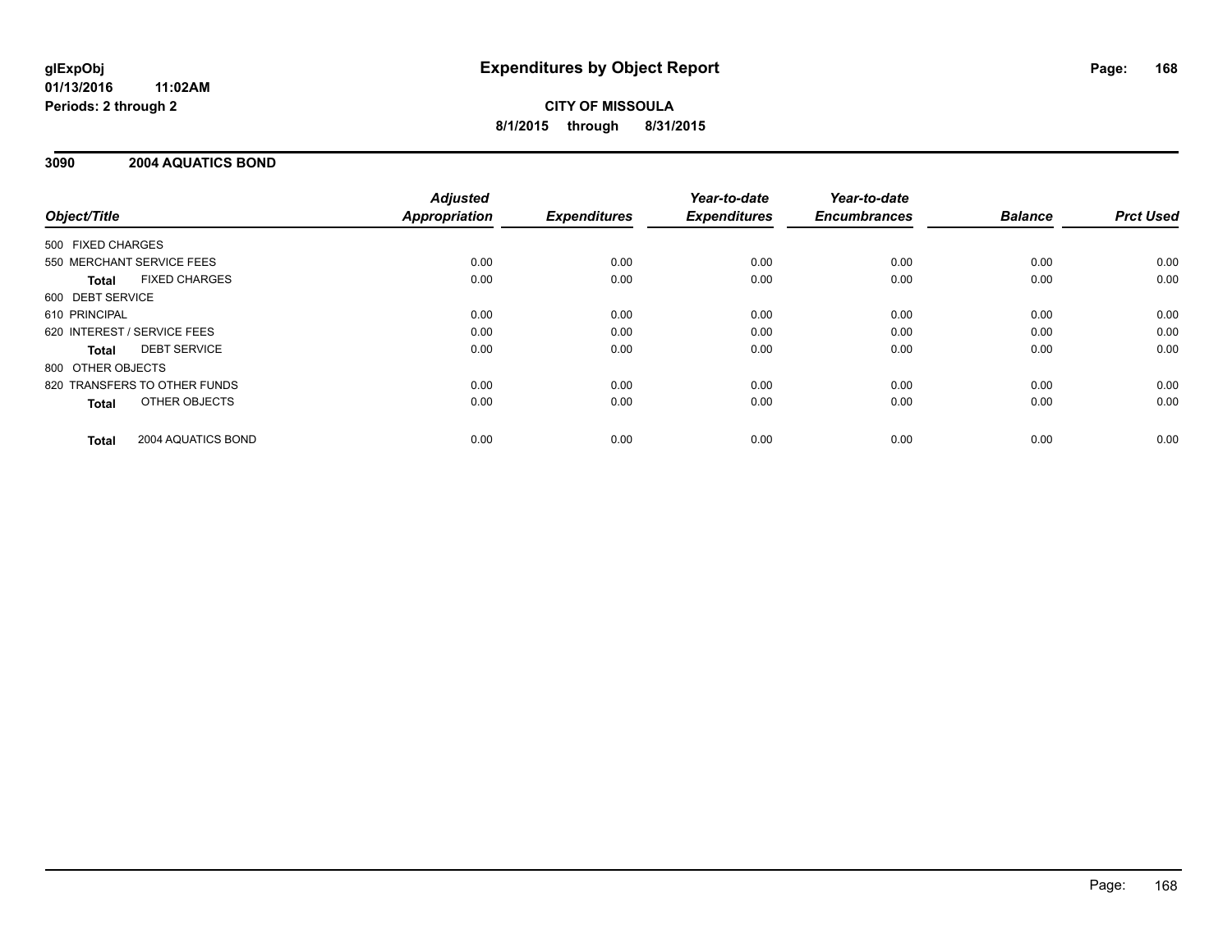# **CITY OF MISSOULA 8/1/2015 through 8/31/2015**

### **3090 2004 AQUATICS BOND**

|                              |                      | <b>Adjusted</b>      |                     | Year-to-date        | Year-to-date<br><b>Encumbrances</b> | <b>Balance</b> | <b>Prct Used</b> |
|------------------------------|----------------------|----------------------|---------------------|---------------------|-------------------------------------|----------------|------------------|
| Object/Title                 |                      | <b>Appropriation</b> | <b>Expenditures</b> | <b>Expenditures</b> |                                     |                |                  |
| 500 FIXED CHARGES            |                      |                      |                     |                     |                                     |                |                  |
| 550 MERCHANT SERVICE FEES    |                      | 0.00                 | 0.00                | 0.00                | 0.00                                | 0.00           | 0.00             |
| Total                        | <b>FIXED CHARGES</b> | 0.00                 | 0.00                | 0.00                | 0.00                                | 0.00           | 0.00             |
| 600 DEBT SERVICE             |                      |                      |                     |                     |                                     |                |                  |
| 610 PRINCIPAL                |                      | 0.00                 | 0.00                | 0.00                | 0.00                                | 0.00           | 0.00             |
| 620 INTEREST / SERVICE FEES  |                      | 0.00                 | 0.00                | 0.00                | 0.00                                | 0.00           | 0.00             |
| Total                        | <b>DEBT SERVICE</b>  | 0.00                 | 0.00                | 0.00                | 0.00                                | 0.00           | 0.00             |
| 800 OTHER OBJECTS            |                      |                      |                     |                     |                                     |                |                  |
| 820 TRANSFERS TO OTHER FUNDS |                      | 0.00                 | 0.00                | 0.00                | 0.00                                | 0.00           | 0.00             |
| <b>Total</b>                 | OTHER OBJECTS        | 0.00                 | 0.00                | 0.00                | 0.00                                | 0.00           | 0.00             |
| <b>Total</b>                 | 2004 AQUATICS BOND   | 0.00                 | 0.00                | 0.00                | 0.00                                | 0.00           | 0.00             |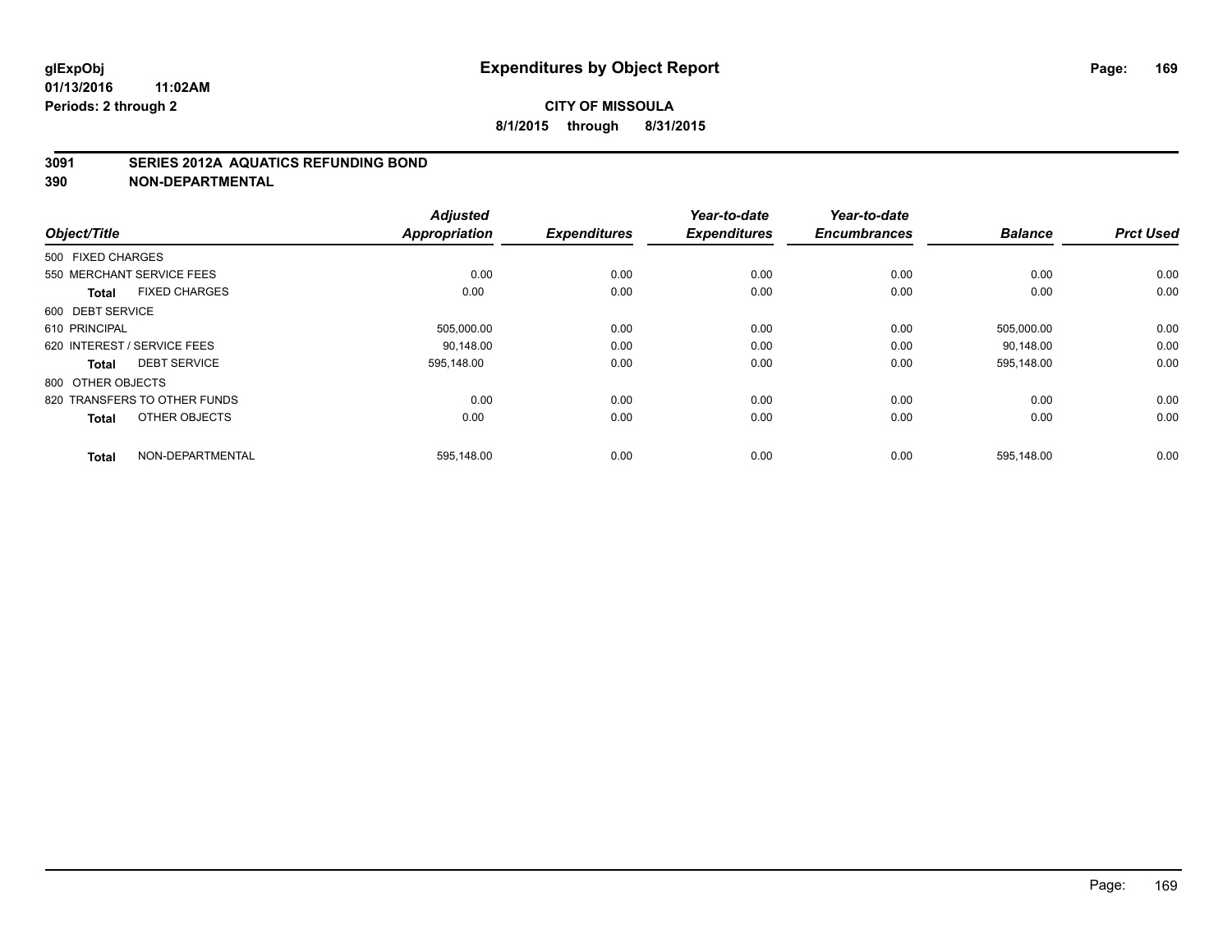### **3091 SERIES 2012A AQUATICS REFUNDING BOND**

| Object/Title                         | <b>Adjusted</b><br><b>Appropriation</b> | <b>Expenditures</b> | Year-to-date<br><b>Expenditures</b> | Year-to-date<br><b>Encumbrances</b> | <b>Balance</b> | <b>Prct Used</b> |
|--------------------------------------|-----------------------------------------|---------------------|-------------------------------------|-------------------------------------|----------------|------------------|
| 500 FIXED CHARGES                    |                                         |                     |                                     |                                     |                |                  |
| 550 MERCHANT SERVICE FEES            | 0.00                                    | 0.00                | 0.00                                | 0.00                                | 0.00           | 0.00             |
| <b>FIXED CHARGES</b><br><b>Total</b> | 0.00                                    | 0.00                | 0.00                                | 0.00                                | 0.00           | 0.00             |
| 600 DEBT SERVICE                     |                                         |                     |                                     |                                     |                |                  |
| 610 PRINCIPAL                        | 505,000.00                              | 0.00                | 0.00                                | 0.00                                | 505,000.00     | 0.00             |
| 620 INTEREST / SERVICE FEES          | 90.148.00                               | 0.00                | 0.00                                | 0.00                                | 90.148.00      | 0.00             |
| <b>DEBT SERVICE</b><br><b>Total</b>  | 595,148.00                              | 0.00                | 0.00                                | 0.00                                | 595,148.00     | 0.00             |
| 800 OTHER OBJECTS                    |                                         |                     |                                     |                                     |                |                  |
| 820 TRANSFERS TO OTHER FUNDS         | 0.00                                    | 0.00                | 0.00                                | 0.00                                | 0.00           | 0.00             |
| OTHER OBJECTS<br><b>Total</b>        | 0.00                                    | 0.00                | 0.00                                | 0.00                                | 0.00           | 0.00             |
| NON-DEPARTMENTAL<br><b>Total</b>     | 595,148.00                              | 0.00                | 0.00                                | 0.00                                | 595,148.00     | 0.00             |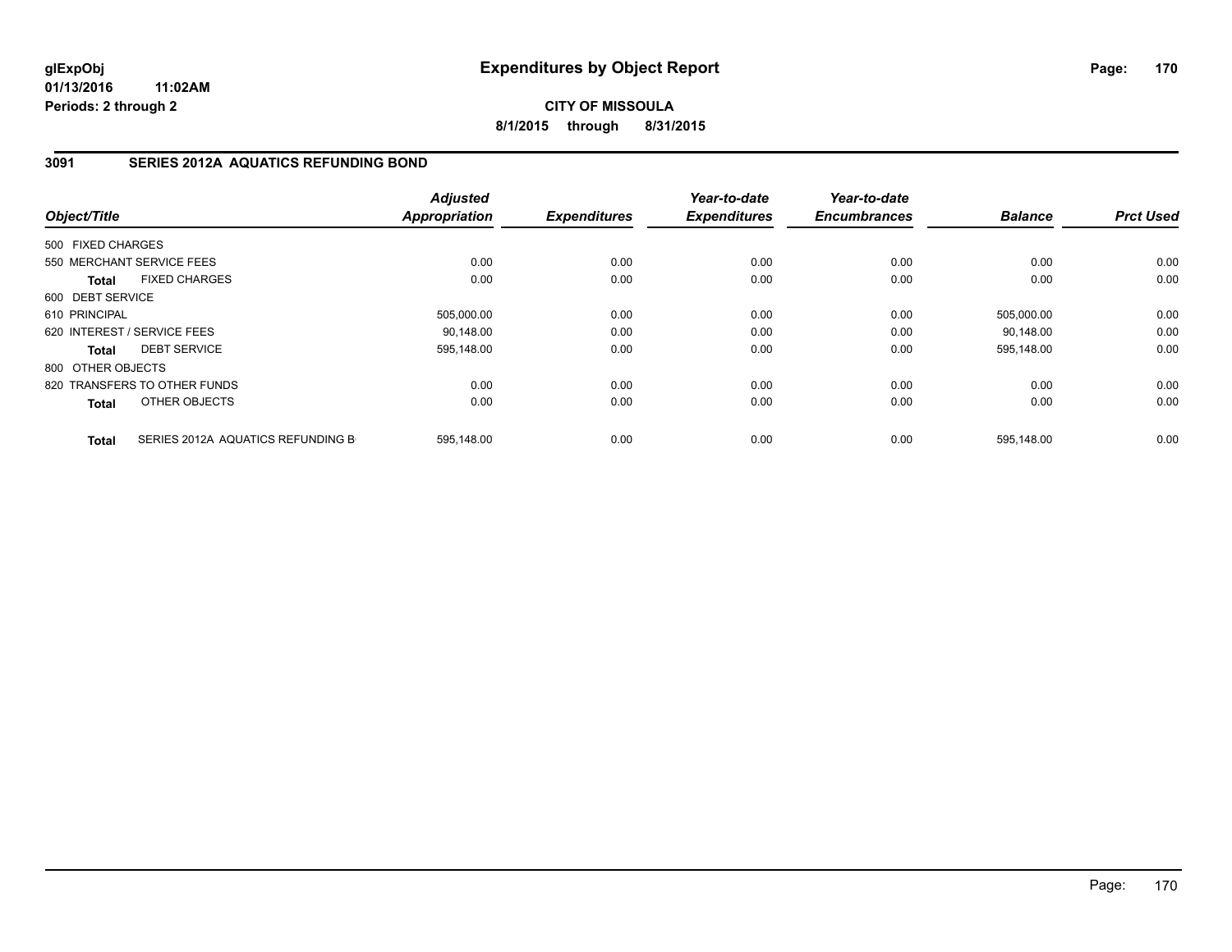**CITY OF MISSOULA 8/1/2015 through 8/31/2015**

# **3091 SERIES 2012A AQUATICS REFUNDING BOND**

| Object/Title      |                                   | <b>Adjusted</b><br><b>Appropriation</b> | <b>Expenditures</b> | Year-to-date<br><b>Expenditures</b> | Year-to-date<br><b>Encumbrances</b> | <b>Balance</b> | <b>Prct Used</b> |
|-------------------|-----------------------------------|-----------------------------------------|---------------------|-------------------------------------|-------------------------------------|----------------|------------------|
|                   |                                   |                                         |                     |                                     |                                     |                |                  |
| 500 FIXED CHARGES |                                   |                                         |                     |                                     |                                     |                |                  |
|                   | 550 MERCHANT SERVICE FEES         | 0.00                                    | 0.00                | 0.00                                | 0.00                                | 0.00           | 0.00             |
| Total             | <b>FIXED CHARGES</b>              | 0.00                                    | 0.00                | 0.00                                | 0.00                                | 0.00           | 0.00             |
| 600 DEBT SERVICE  |                                   |                                         |                     |                                     |                                     |                |                  |
| 610 PRINCIPAL     |                                   | 505,000.00                              | 0.00                | 0.00                                | 0.00                                | 505,000.00     | 0.00             |
|                   | 620 INTEREST / SERVICE FEES       | 90,148.00                               | 0.00                | 0.00                                | 0.00                                | 90,148.00      | 0.00             |
| Total             | <b>DEBT SERVICE</b>               | 595,148.00                              | 0.00                | 0.00                                | 0.00                                | 595,148.00     | 0.00             |
| 800 OTHER OBJECTS |                                   |                                         |                     |                                     |                                     |                |                  |
|                   | 820 TRANSFERS TO OTHER FUNDS      | 0.00                                    | 0.00                | 0.00                                | 0.00                                | 0.00           | 0.00             |
| Total             | OTHER OBJECTS                     | 0.00                                    | 0.00                | 0.00                                | 0.00                                | 0.00           | 0.00             |
| <b>Total</b>      | SERIES 2012A AQUATICS REFUNDING B | 595,148.00                              | 0.00                | 0.00                                | 0.00                                | 595,148.00     | 0.00             |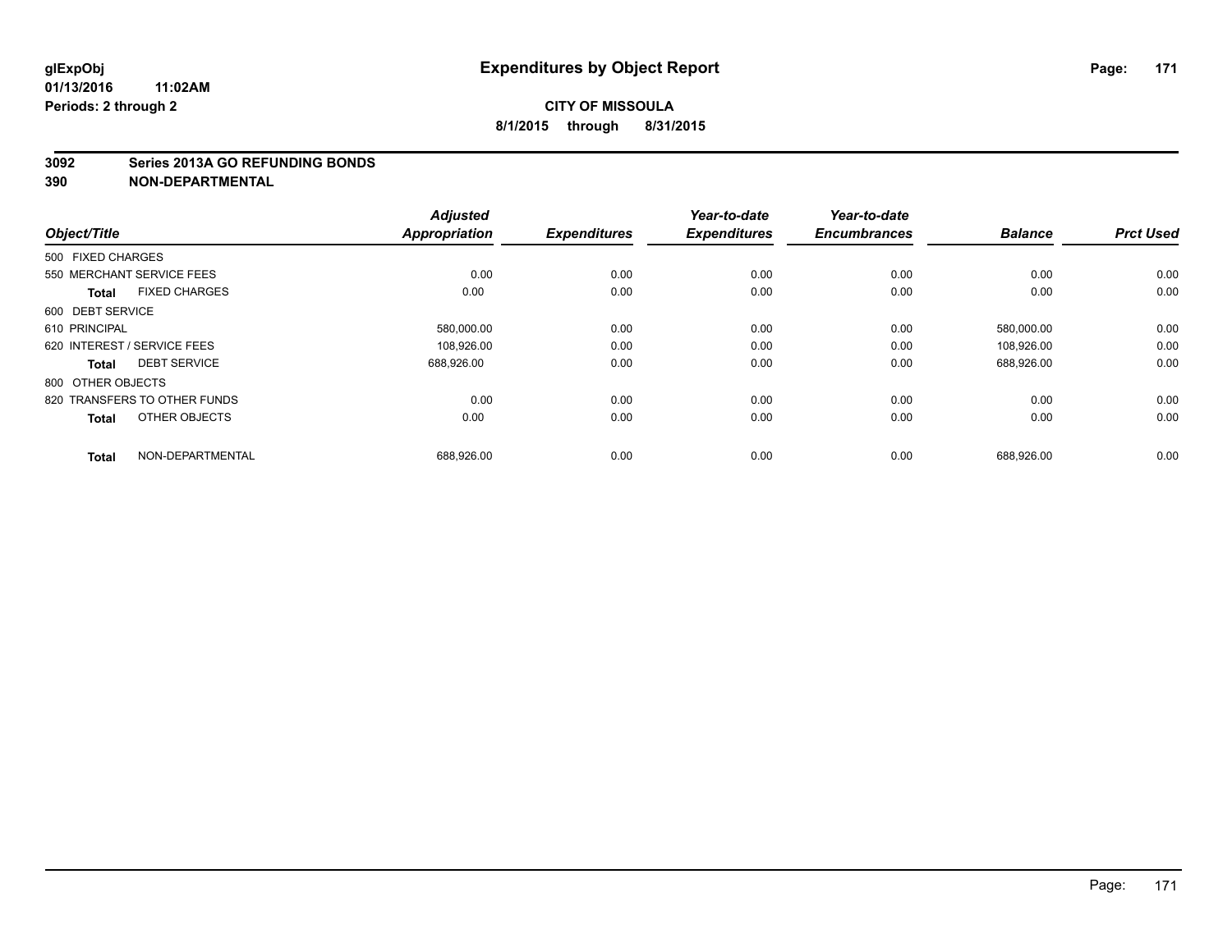#### **3092 Series 2013A GO REFUNDING BONDS**

| Object/Title                 |                      | <b>Adjusted</b><br><b>Appropriation</b> | <b>Expenditures</b> | Year-to-date<br><b>Expenditures</b> | Year-to-date<br><b>Encumbrances</b> | <b>Balance</b> | <b>Prct Used</b> |
|------------------------------|----------------------|-----------------------------------------|---------------------|-------------------------------------|-------------------------------------|----------------|------------------|
| 500 FIXED CHARGES            |                      |                                         |                     |                                     |                                     |                |                  |
| 550 MERCHANT SERVICE FEES    |                      | 0.00                                    | 0.00                | 0.00                                | 0.00                                | 0.00           | 0.00             |
| <b>Total</b>                 | <b>FIXED CHARGES</b> | 0.00                                    | 0.00                | 0.00                                | 0.00                                | 0.00           | 0.00             |
| 600 DEBT SERVICE             |                      |                                         |                     |                                     |                                     |                |                  |
| 610 PRINCIPAL                |                      | 580,000.00                              | 0.00                | 0.00                                | 0.00                                | 580,000.00     | 0.00             |
| 620 INTEREST / SERVICE FEES  |                      | 108,926.00                              | 0.00                | 0.00                                | 0.00                                | 108.926.00     | 0.00             |
| <b>Total</b>                 | <b>DEBT SERVICE</b>  | 688,926.00                              | 0.00                | 0.00                                | 0.00                                | 688,926.00     | 0.00             |
| 800 OTHER OBJECTS            |                      |                                         |                     |                                     |                                     |                |                  |
| 820 TRANSFERS TO OTHER FUNDS |                      | 0.00                                    | 0.00                | 0.00                                | 0.00                                | 0.00           | 0.00             |
| <b>Total</b>                 | OTHER OBJECTS        | 0.00                                    | 0.00                | 0.00                                | 0.00                                | 0.00           | 0.00             |
| <b>Total</b>                 | NON-DEPARTMENTAL     | 688,926.00                              | 0.00                | 0.00                                | 0.00                                | 688,926.00     | 0.00             |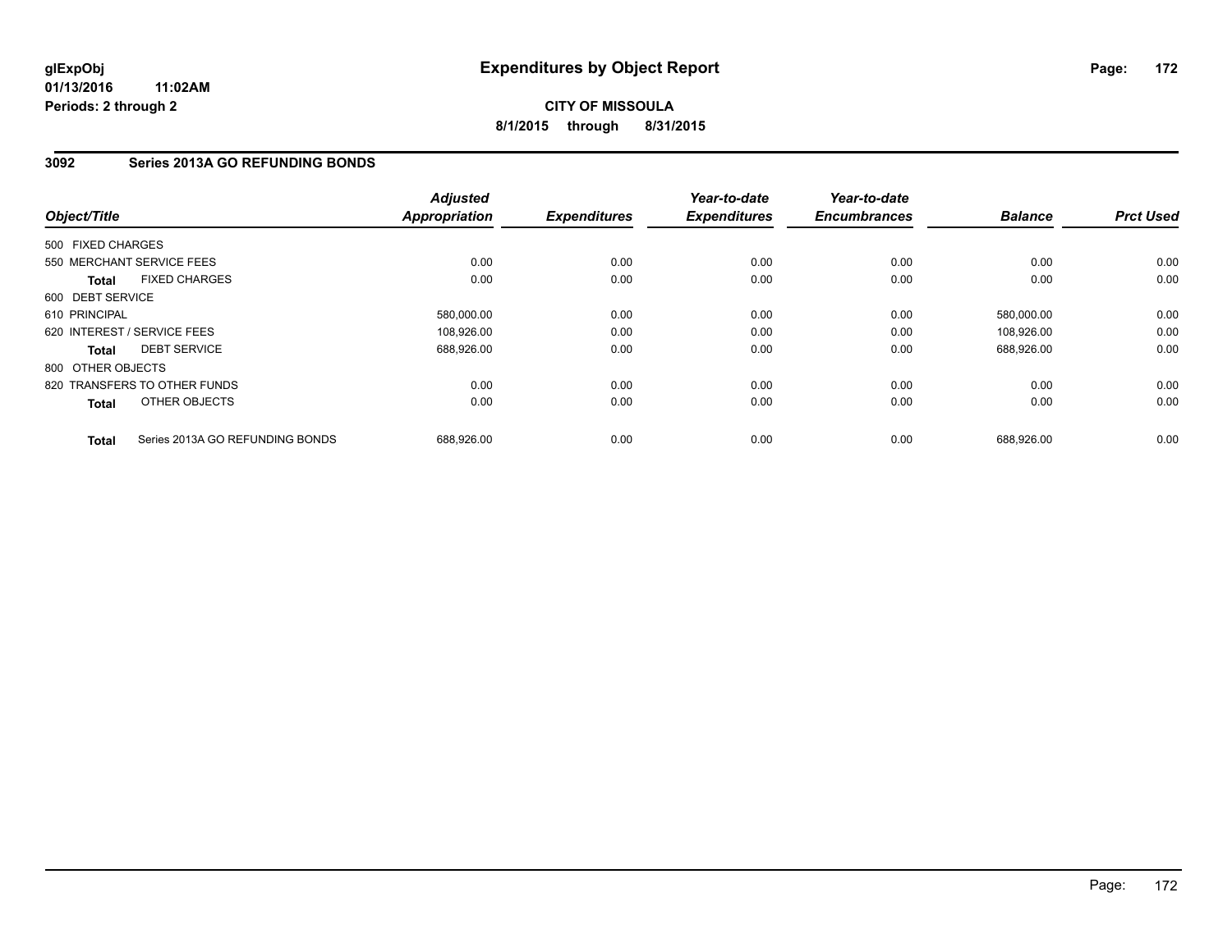# **CITY OF MISSOULA 8/1/2015 through 8/31/2015**

### **3092 Series 2013A GO REFUNDING BONDS**

| Object/Title      |                                 | <b>Adjusted</b><br><b>Appropriation</b> | <b>Expenditures</b> | Year-to-date<br><b>Expenditures</b> | Year-to-date<br><b>Encumbrances</b> | <b>Balance</b> | <b>Prct Used</b> |
|-------------------|---------------------------------|-----------------------------------------|---------------------|-------------------------------------|-------------------------------------|----------------|------------------|
| 500 FIXED CHARGES |                                 |                                         |                     |                                     |                                     |                |                  |
|                   | 550 MERCHANT SERVICE FEES       | 0.00                                    | 0.00                | 0.00                                | 0.00                                | 0.00           | 0.00             |
| <b>Total</b>      | <b>FIXED CHARGES</b>            | 0.00                                    | 0.00                | 0.00                                | 0.00                                | 0.00           | 0.00             |
| 600 DEBT SERVICE  |                                 |                                         |                     |                                     |                                     |                |                  |
| 610 PRINCIPAL     |                                 | 580,000.00                              | 0.00                | 0.00                                | 0.00                                | 580,000.00     | 0.00             |
|                   | 620 INTEREST / SERVICE FEES     | 108,926.00                              | 0.00                | 0.00                                | 0.00                                | 108.926.00     | 0.00             |
| Total             | <b>DEBT SERVICE</b>             | 688,926.00                              | 0.00                | 0.00                                | 0.00                                | 688,926.00     | 0.00             |
| 800 OTHER OBJECTS |                                 |                                         |                     |                                     |                                     |                |                  |
|                   | 820 TRANSFERS TO OTHER FUNDS    | 0.00                                    | 0.00                | 0.00                                | 0.00                                | 0.00           | 0.00             |
| Total             | OTHER OBJECTS                   | 0.00                                    | 0.00                | 0.00                                | 0.00                                | 0.00           | 0.00             |
| <b>Total</b>      | Series 2013A GO REFUNDING BONDS | 688,926.00                              | 0.00                | 0.00                                | 0.00                                | 688,926.00     | 0.00             |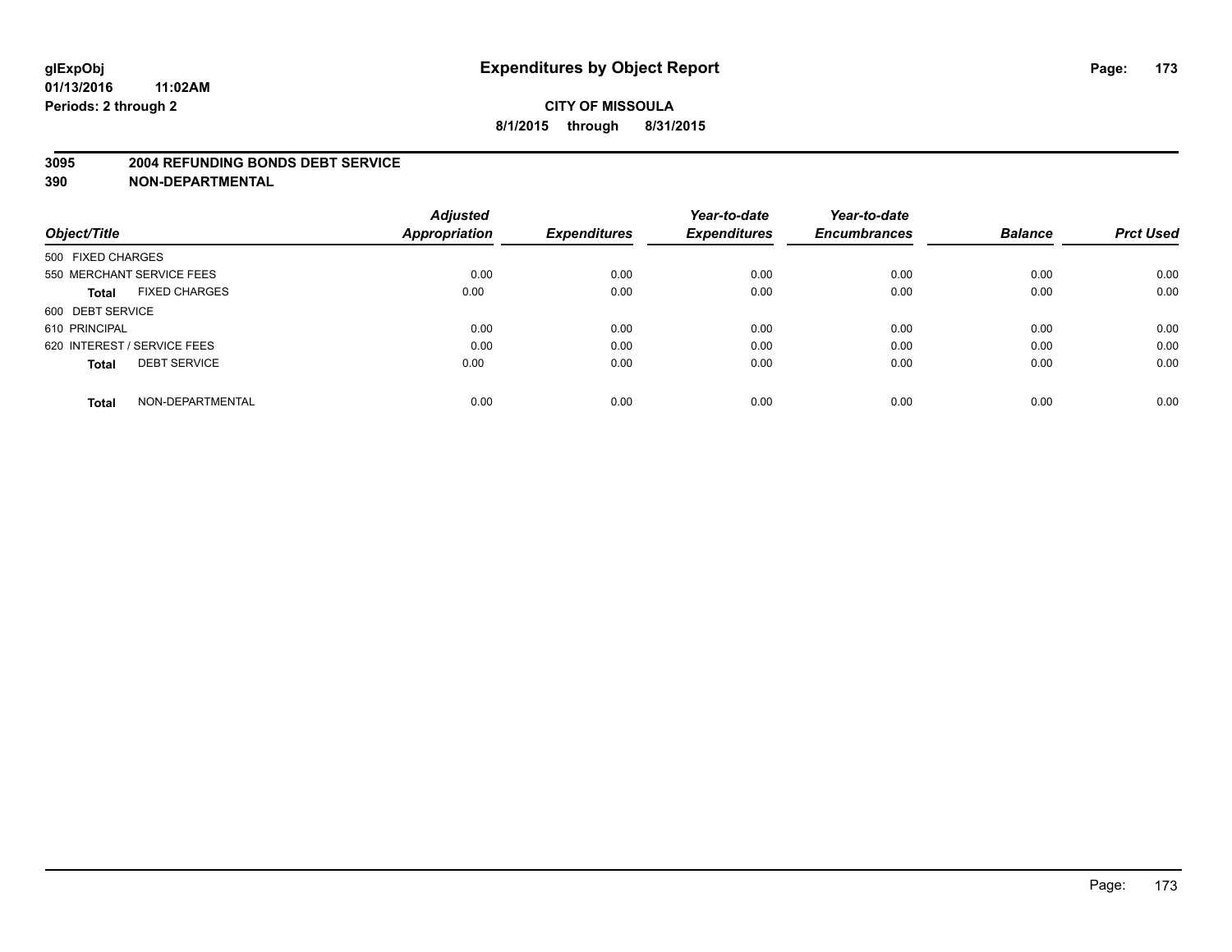#### **3095 2004 REFUNDING BONDS DEBT SERVICE**

|                                      | <b>Adjusted</b>      |                     | Year-to-date        | Year-to-date        |                |                  |
|--------------------------------------|----------------------|---------------------|---------------------|---------------------|----------------|------------------|
| Object/Title                         | <b>Appropriation</b> | <b>Expenditures</b> | <b>Expenditures</b> | <b>Encumbrances</b> | <b>Balance</b> | <b>Prct Used</b> |
| 500 FIXED CHARGES                    |                      |                     |                     |                     |                |                  |
| 550 MERCHANT SERVICE FEES            | 0.00                 | 0.00                | 0.00                | 0.00                | 0.00           | 0.00             |
| <b>FIXED CHARGES</b><br><b>Total</b> | 0.00                 | 0.00                | 0.00                | 0.00                | 0.00           | 0.00             |
| 600 DEBT SERVICE                     |                      |                     |                     |                     |                |                  |
| 610 PRINCIPAL                        | 0.00                 | 0.00                | 0.00                | 0.00                | 0.00           | 0.00             |
| 620 INTEREST / SERVICE FEES          | 0.00                 | 0.00                | 0.00                | 0.00                | 0.00           | 0.00             |
| <b>DEBT SERVICE</b><br><b>Total</b>  | 0.00                 | 0.00                | 0.00                | 0.00                | 0.00           | 0.00             |
| NON-DEPARTMENTAL<br><b>Total</b>     | 0.00                 | 0.00                | 0.00                | 0.00                | 0.00           | 0.00             |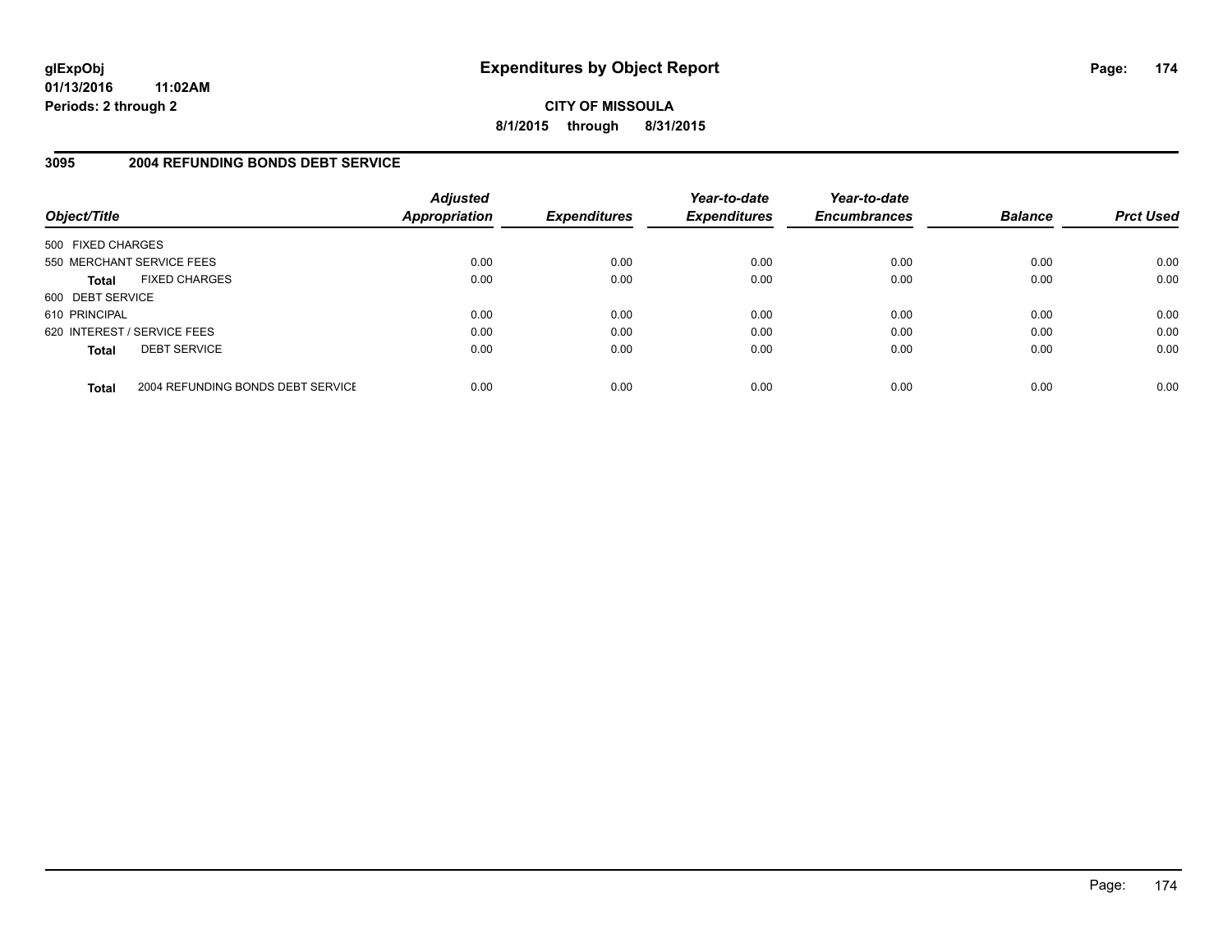**CITY OF MISSOULA 8/1/2015 through 8/31/2015**

### **3095 2004 REFUNDING BONDS DEBT SERVICE**

| Object/Title                |                                   | <b>Adjusted</b><br><b>Appropriation</b> | <b>Expenditures</b> | Year-to-date<br><b>Expenditures</b> | Year-to-date<br><b>Encumbrances</b> | <b>Balance</b> | <b>Prct Used</b> |
|-----------------------------|-----------------------------------|-----------------------------------------|---------------------|-------------------------------------|-------------------------------------|----------------|------------------|
| 500 FIXED CHARGES           |                                   |                                         |                     |                                     |                                     |                |                  |
| 550 MERCHANT SERVICE FEES   |                                   | 0.00                                    | 0.00                | 0.00                                | 0.00                                | 0.00           | 0.00             |
| <b>Total</b>                | <b>FIXED CHARGES</b>              | 0.00                                    | 0.00                | 0.00                                | 0.00                                | 0.00           | 0.00             |
| 600 DEBT SERVICE            |                                   |                                         |                     |                                     |                                     |                |                  |
| 610 PRINCIPAL               |                                   | 0.00                                    | 0.00                | 0.00                                | 0.00                                | 0.00           | 0.00             |
| 620 INTEREST / SERVICE FEES |                                   | 0.00                                    | 0.00                | 0.00                                | 0.00                                | 0.00           | 0.00             |
| <b>Total</b>                | <b>DEBT SERVICE</b>               | 0.00                                    | 0.00                | 0.00                                | 0.00                                | 0.00           | 0.00             |
| <b>Total</b>                | 2004 REFUNDING BONDS DEBT SERVICE | 0.00                                    | 0.00                | 0.00                                | 0.00                                | 0.00           | 0.00             |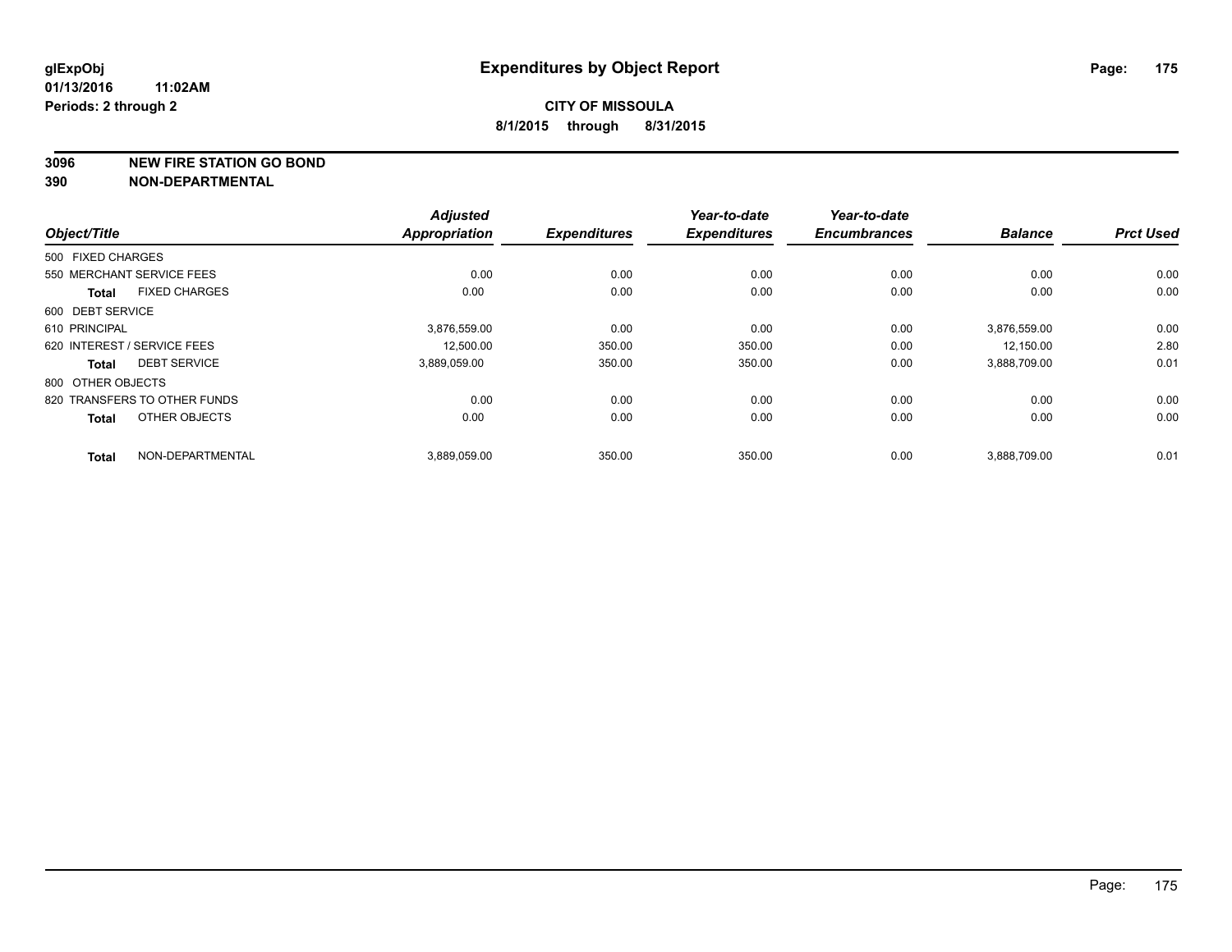**3096 NEW FIRE STATION GO BOND**

|                   |                              | <b>Adjusted</b>      | <b>Expenditures</b> | Year-to-date<br><b>Expenditures</b> | Year-to-date<br><b>Encumbrances</b> | <b>Balance</b> | <b>Prct Used</b> |
|-------------------|------------------------------|----------------------|---------------------|-------------------------------------|-------------------------------------|----------------|------------------|
| Object/Title      |                              | <b>Appropriation</b> |                     |                                     |                                     |                |                  |
| 500 FIXED CHARGES |                              |                      |                     |                                     |                                     |                |                  |
|                   | 550 MERCHANT SERVICE FEES    | 0.00                 | 0.00                | 0.00                                | 0.00                                | 0.00           | 0.00             |
| <b>Total</b>      | <b>FIXED CHARGES</b>         | 0.00                 | 0.00                | 0.00                                | 0.00                                | 0.00           | 0.00             |
| 600 DEBT SERVICE  |                              |                      |                     |                                     |                                     |                |                  |
| 610 PRINCIPAL     |                              | 3,876,559.00         | 0.00                | 0.00                                | 0.00                                | 3,876,559.00   | 0.00             |
|                   | 620 INTEREST / SERVICE FEES  | 12,500.00            | 350.00              | 350.00                              | 0.00                                | 12,150.00      | 2.80             |
| <b>Total</b>      | <b>DEBT SERVICE</b>          | 3,889,059.00         | 350.00              | 350.00                              | 0.00                                | 3,888,709.00   | 0.01             |
| 800 OTHER OBJECTS |                              |                      |                     |                                     |                                     |                |                  |
|                   | 820 TRANSFERS TO OTHER FUNDS | 0.00                 | 0.00                | 0.00                                | 0.00                                | 0.00           | 0.00             |
| <b>Total</b>      | OTHER OBJECTS                | 0.00                 | 0.00                | 0.00                                | 0.00                                | 0.00           | 0.00             |
| <b>Total</b>      | NON-DEPARTMENTAL             | 3,889,059.00         | 350.00              | 350.00                              | 0.00                                | 3,888,709.00   | 0.01             |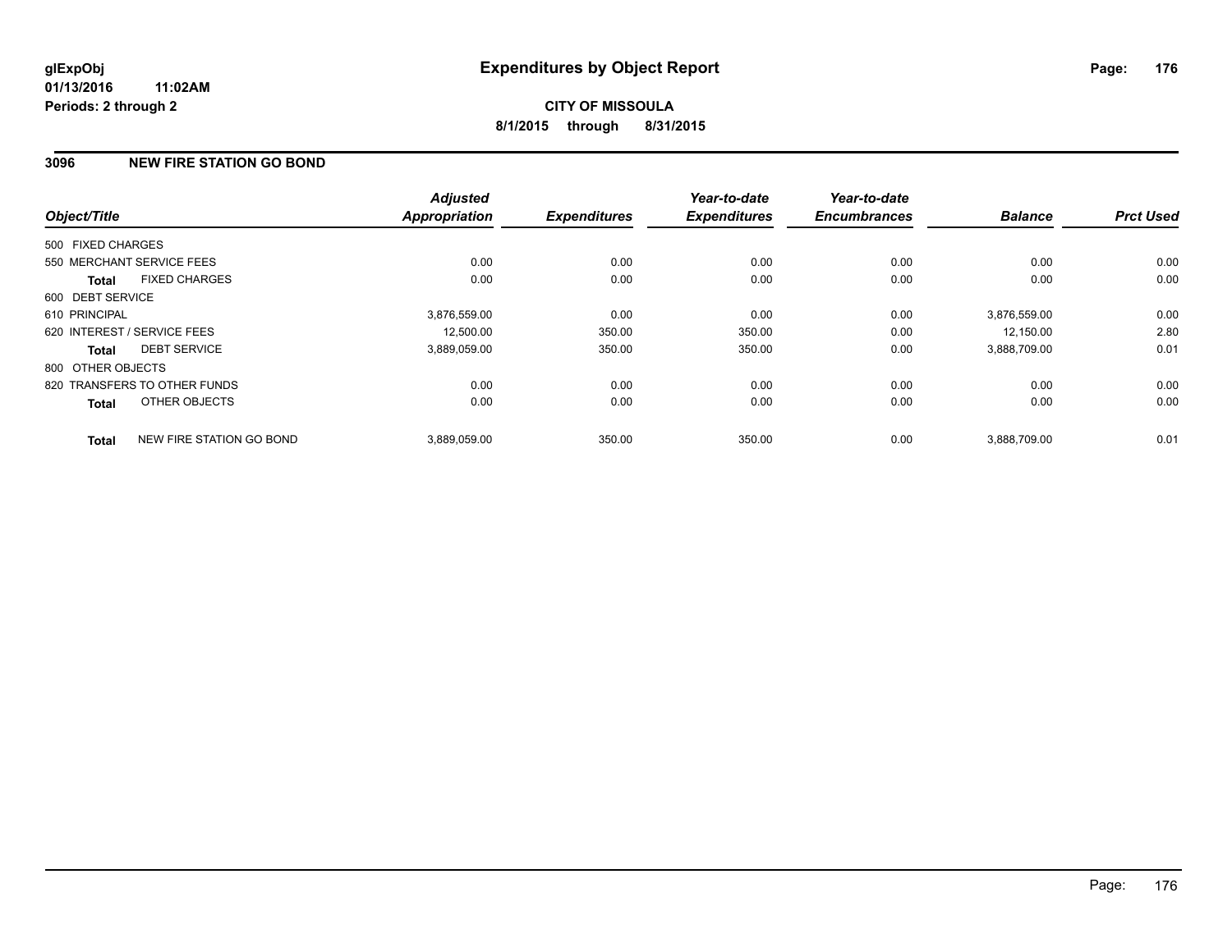# **3096 NEW FIRE STATION GO BOND**

| Object/Title      |                              | <b>Adjusted</b><br><b>Appropriation</b> | <b>Expenditures</b> | Year-to-date<br><b>Expenditures</b> | Year-to-date<br><b>Encumbrances</b> | <b>Balance</b> | <b>Prct Used</b> |
|-------------------|------------------------------|-----------------------------------------|---------------------|-------------------------------------|-------------------------------------|----------------|------------------|
|                   |                              |                                         |                     |                                     |                                     |                |                  |
| 500 FIXED CHARGES |                              |                                         |                     |                                     |                                     |                |                  |
|                   | 550 MERCHANT SERVICE FEES    | 0.00                                    | 0.00                | 0.00                                | 0.00                                | 0.00           | 0.00             |
| <b>Total</b>      | <b>FIXED CHARGES</b>         | 0.00                                    | 0.00                | 0.00                                | 0.00                                | 0.00           | 0.00             |
| 600 DEBT SERVICE  |                              |                                         |                     |                                     |                                     |                |                  |
| 610 PRINCIPAL     |                              | 3,876,559.00                            | 0.00                | 0.00                                | 0.00                                | 3.876.559.00   | 0.00             |
|                   | 620 INTEREST / SERVICE FEES  | 12,500.00                               | 350.00              | 350.00                              | 0.00                                | 12,150.00      | 2.80             |
| Total             | <b>DEBT SERVICE</b>          | 3,889,059.00                            | 350.00              | 350.00                              | 0.00                                | 3,888,709.00   | 0.01             |
| 800 OTHER OBJECTS |                              |                                         |                     |                                     |                                     |                |                  |
|                   | 820 TRANSFERS TO OTHER FUNDS | 0.00                                    | 0.00                | 0.00                                | 0.00                                | 0.00           | 0.00             |
| <b>Total</b>      | OTHER OBJECTS                | 0.00                                    | 0.00                | 0.00                                | 0.00                                | 0.00           | 0.00             |
| <b>Total</b>      | NEW FIRE STATION GO BOND     | 3.889.059.00                            | 350.00              | 350.00                              | 0.00                                | 3.888.709.00   | 0.01             |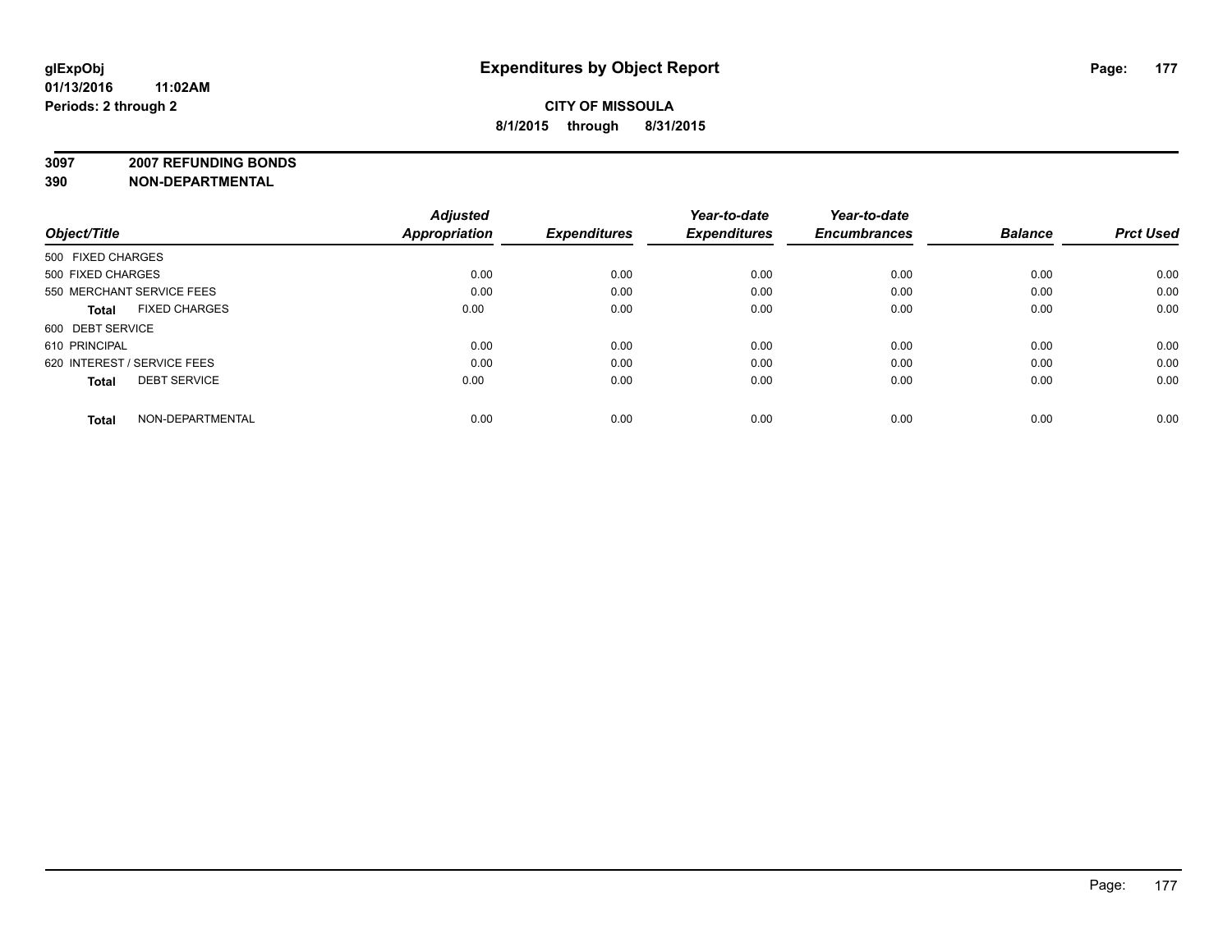**3097 2007 REFUNDING BONDS**

| Object/Title                         | <b>Adjusted</b><br>Appropriation | <b>Expenditures</b> | Year-to-date<br><b>Expenditures</b> | Year-to-date<br><b>Encumbrances</b> | <b>Balance</b> | <b>Prct Used</b> |
|--------------------------------------|----------------------------------|---------------------|-------------------------------------|-------------------------------------|----------------|------------------|
| 500 FIXED CHARGES                    |                                  |                     |                                     |                                     |                |                  |
| 500 FIXED CHARGES                    | 0.00                             | 0.00                | 0.00                                | 0.00                                | 0.00           | 0.00             |
| 550 MERCHANT SERVICE FEES            | 0.00                             | 0.00                | 0.00                                | 0.00                                | 0.00           | 0.00             |
| <b>FIXED CHARGES</b><br><b>Total</b> | 0.00                             | 0.00                | 0.00                                | 0.00                                | 0.00           | 0.00             |
| 600 DEBT SERVICE                     |                                  |                     |                                     |                                     |                |                  |
| 610 PRINCIPAL                        | 0.00                             | 0.00                | 0.00                                | 0.00                                | 0.00           | 0.00             |
| 620 INTEREST / SERVICE FEES          | 0.00                             | 0.00                | 0.00                                | 0.00                                | 0.00           | 0.00             |
| <b>DEBT SERVICE</b><br><b>Total</b>  | 0.00                             | 0.00                | 0.00                                | 0.00                                | 0.00           | 0.00             |
| NON-DEPARTMENTAL<br><b>Total</b>     | 0.00                             | 0.00                | 0.00                                | 0.00                                | 0.00           | 0.00             |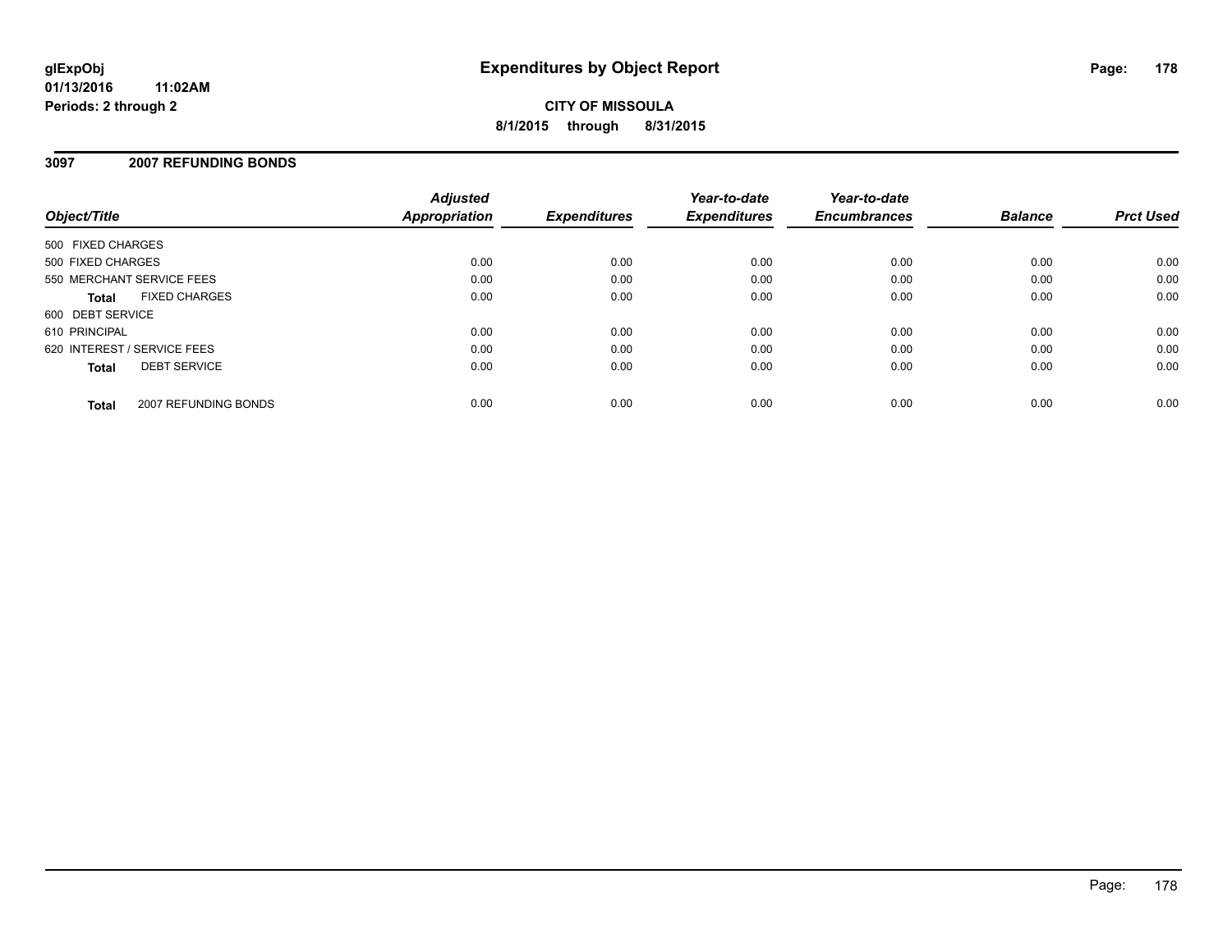# **CITY OF MISSOULA 8/1/2015 through 8/31/2015**

### **3097 2007 REFUNDING BONDS**

| Object/Title                |                      | <b>Adjusted</b><br><b>Appropriation</b> | <b>Expenditures</b> | Year-to-date<br><b>Expenditures</b> | Year-to-date<br><b>Encumbrances</b> | <b>Balance</b> | <b>Prct Used</b> |
|-----------------------------|----------------------|-----------------------------------------|---------------------|-------------------------------------|-------------------------------------|----------------|------------------|
| 500 FIXED CHARGES           |                      |                                         |                     |                                     |                                     |                |                  |
| 500 FIXED CHARGES           |                      | 0.00                                    | 0.00                | 0.00                                | 0.00                                | 0.00           | 0.00             |
| 550 MERCHANT SERVICE FEES   |                      | 0.00                                    | 0.00                | 0.00                                | 0.00                                | 0.00           | 0.00             |
| <b>Total</b>                | <b>FIXED CHARGES</b> | 0.00                                    | 0.00                | 0.00                                | 0.00                                | 0.00           | 0.00             |
| 600 DEBT SERVICE            |                      |                                         |                     |                                     |                                     |                |                  |
| 610 PRINCIPAL               |                      | 0.00                                    | 0.00                | 0.00                                | 0.00                                | 0.00           | 0.00             |
| 620 INTEREST / SERVICE FEES |                      | 0.00                                    | 0.00                | 0.00                                | 0.00                                | 0.00           | 0.00             |
| <b>Total</b>                | <b>DEBT SERVICE</b>  | 0.00                                    | 0.00                | 0.00                                | 0.00                                | 0.00           | 0.00             |
| <b>Total</b>                | 2007 REFUNDING BONDS | 0.00                                    | 0.00                | 0.00                                | 0.00                                | 0.00           | 0.00             |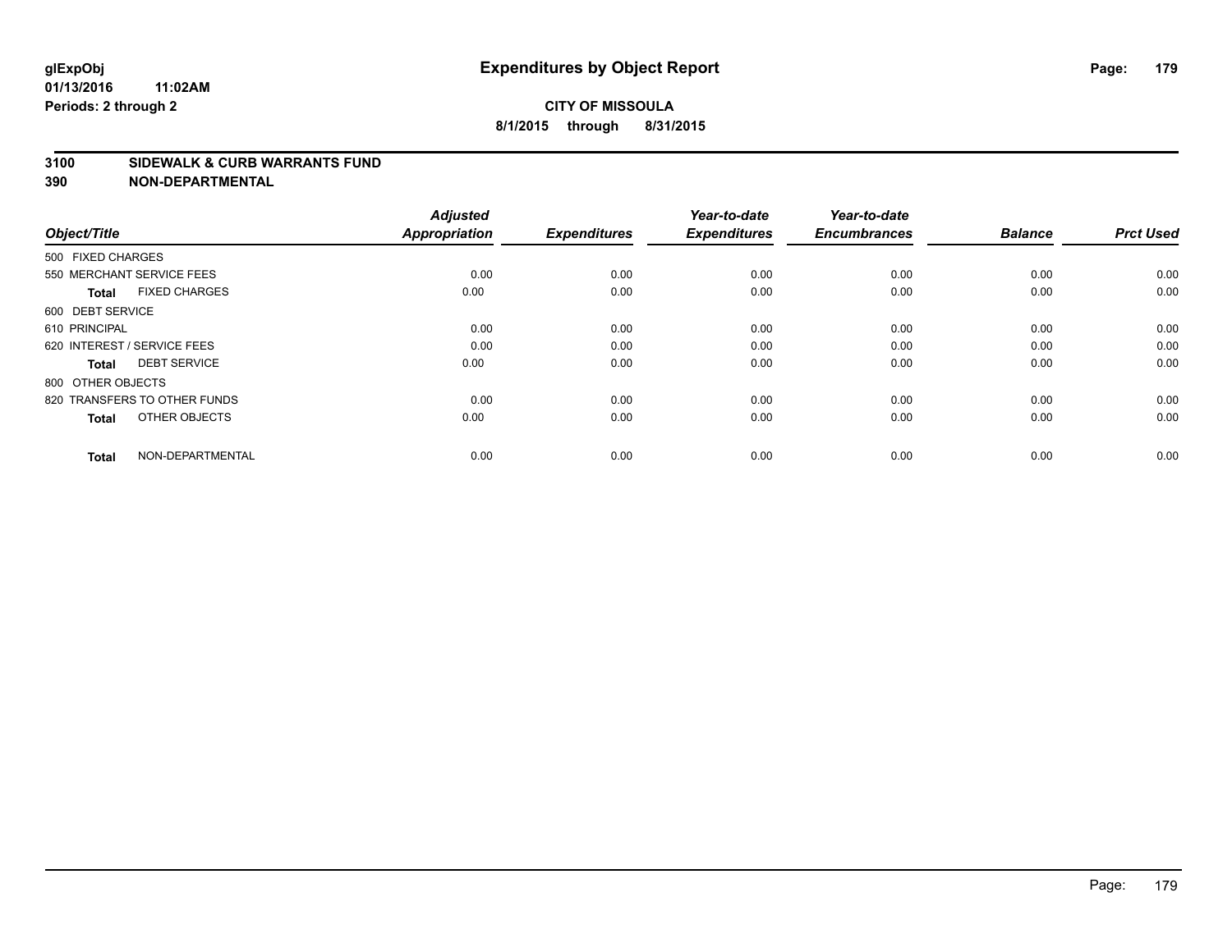#### **3100 SIDEWALK & CURB WARRANTS FUND**

| Object/Title                         | <b>Adjusted</b><br><b>Appropriation</b> | <b>Expenditures</b> | Year-to-date<br><b>Expenditures</b> | Year-to-date<br><b>Encumbrances</b> | <b>Balance</b> | <b>Prct Used</b> |
|--------------------------------------|-----------------------------------------|---------------------|-------------------------------------|-------------------------------------|----------------|------------------|
| 500 FIXED CHARGES                    |                                         |                     |                                     |                                     |                |                  |
| 550 MERCHANT SERVICE FEES            | 0.00                                    | 0.00                | 0.00                                | 0.00                                | 0.00           | 0.00             |
| <b>FIXED CHARGES</b><br><b>Total</b> | 0.00                                    | 0.00                | 0.00                                | 0.00                                | 0.00           | 0.00             |
| 600 DEBT SERVICE                     |                                         |                     |                                     |                                     |                |                  |
| 610 PRINCIPAL                        | 0.00                                    | 0.00                | 0.00                                | 0.00                                | 0.00           | 0.00             |
| 620 INTEREST / SERVICE FEES          | 0.00                                    | 0.00                | 0.00                                | 0.00                                | 0.00           | 0.00             |
| <b>DEBT SERVICE</b><br><b>Total</b>  | 0.00                                    | 0.00                | 0.00                                | 0.00                                | 0.00           | 0.00             |
| 800 OTHER OBJECTS                    |                                         |                     |                                     |                                     |                |                  |
| 820 TRANSFERS TO OTHER FUNDS         | 0.00                                    | 0.00                | 0.00                                | 0.00                                | 0.00           | 0.00             |
| OTHER OBJECTS<br><b>Total</b>        | 0.00                                    | 0.00                | 0.00                                | 0.00                                | 0.00           | 0.00             |
|                                      |                                         |                     |                                     |                                     |                |                  |
| NON-DEPARTMENTAL<br><b>Total</b>     | 0.00                                    | 0.00                | 0.00                                | 0.00                                | 0.00           | 0.00             |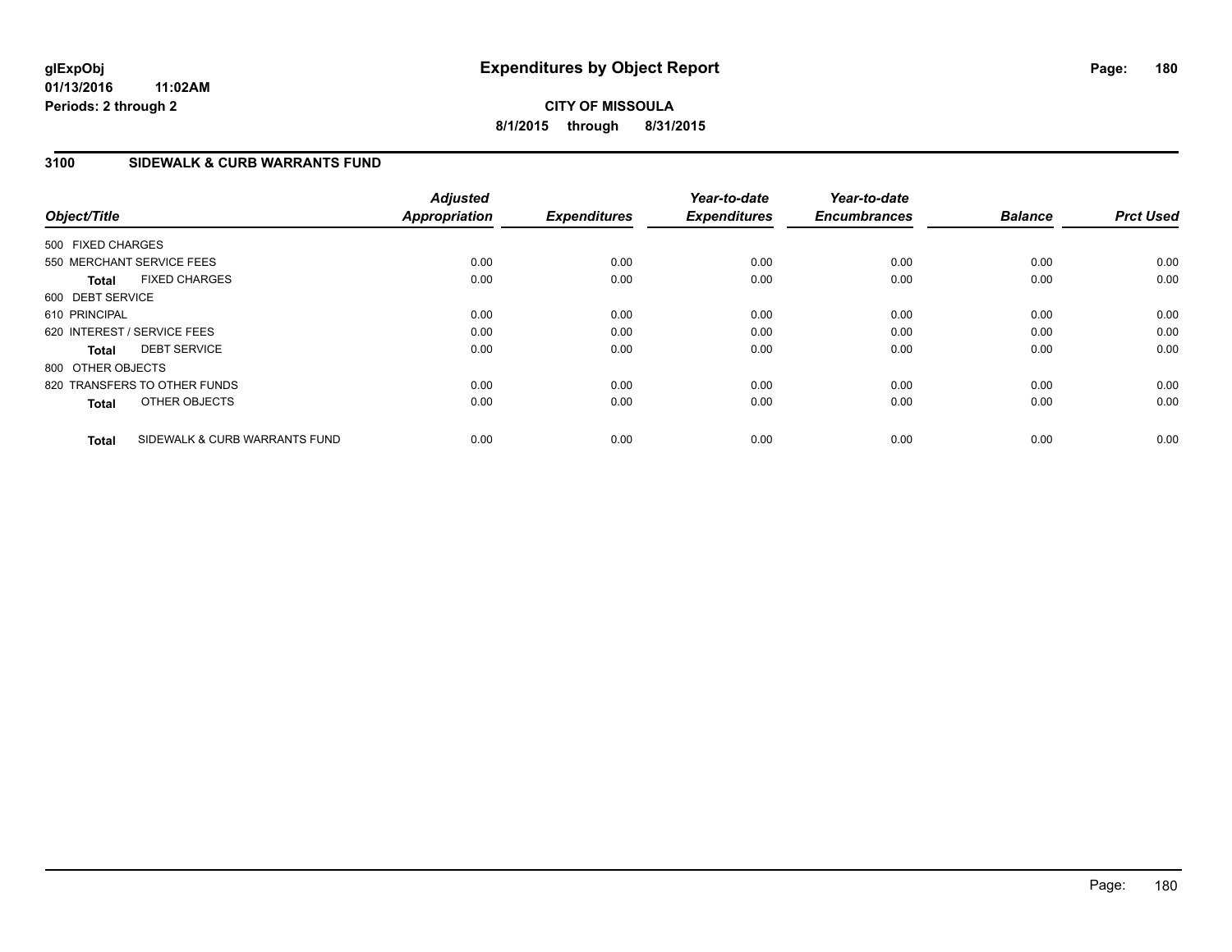# **CITY OF MISSOULA 8/1/2015 through 8/31/2015**

# **3100 SIDEWALK & CURB WARRANTS FUND**

| Object/Title                |                               | <b>Adjusted</b><br><b>Appropriation</b> | <b>Expenditures</b> | Year-to-date<br><b>Expenditures</b> | Year-to-date<br><b>Encumbrances</b> | <b>Balance</b> | <b>Prct Used</b> |
|-----------------------------|-------------------------------|-----------------------------------------|---------------------|-------------------------------------|-------------------------------------|----------------|------------------|
| 500 FIXED CHARGES           |                               |                                         |                     |                                     |                                     |                |                  |
| 550 MERCHANT SERVICE FEES   |                               | 0.00                                    | 0.00                | 0.00                                | 0.00                                | 0.00           | 0.00             |
| <b>Total</b>                | <b>FIXED CHARGES</b>          | 0.00                                    | 0.00                | 0.00                                | 0.00                                | 0.00           | 0.00             |
| 600 DEBT SERVICE            |                               |                                         |                     |                                     |                                     |                |                  |
| 610 PRINCIPAL               |                               | 0.00                                    | 0.00                | 0.00                                | 0.00                                | 0.00           | 0.00             |
| 620 INTEREST / SERVICE FEES |                               | 0.00                                    | 0.00                | 0.00                                | 0.00                                | 0.00           | 0.00             |
| <b>Total</b>                | <b>DEBT SERVICE</b>           | 0.00                                    | 0.00                | 0.00                                | 0.00                                | 0.00           | 0.00             |
| 800 OTHER OBJECTS           |                               |                                         |                     |                                     |                                     |                |                  |
|                             | 820 TRANSFERS TO OTHER FUNDS  | 0.00                                    | 0.00                | 0.00                                | 0.00                                | 0.00           | 0.00             |
| <b>Total</b>                | OTHER OBJECTS                 | 0.00                                    | 0.00                | 0.00                                | 0.00                                | 0.00           | 0.00             |
| <b>Total</b>                | SIDEWALK & CURB WARRANTS FUND | 0.00                                    | 0.00                | 0.00                                | 0.00                                | 0.00           | 0.00             |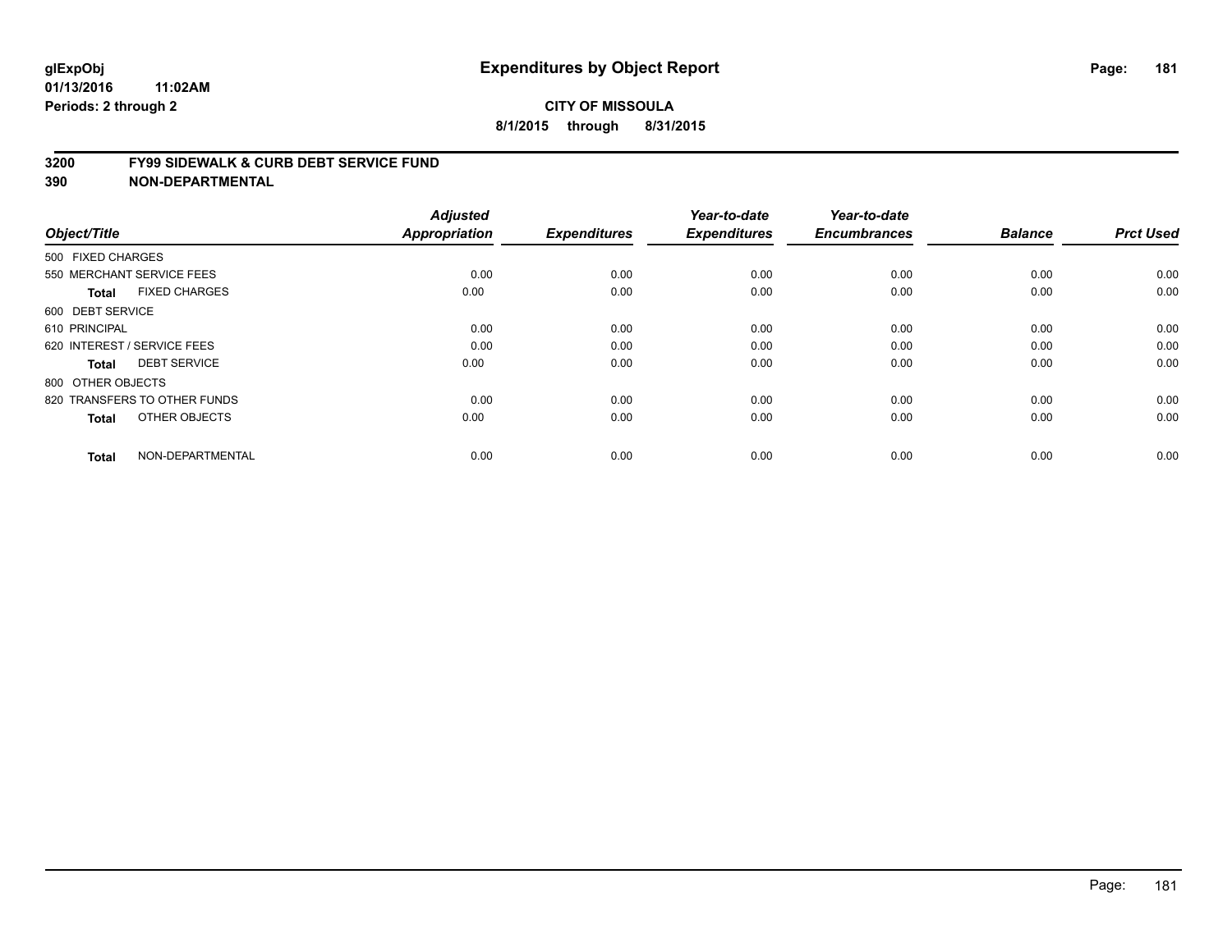#### **3200 FY99 SIDEWALK & CURB DEBT SERVICE FUND**

| Object/Title                         | <b>Adjusted</b><br><b>Appropriation</b> | <b>Expenditures</b> | Year-to-date<br><b>Expenditures</b> | Year-to-date<br><b>Encumbrances</b> | <b>Balance</b> | <b>Prct Used</b> |
|--------------------------------------|-----------------------------------------|---------------------|-------------------------------------|-------------------------------------|----------------|------------------|
| 500 FIXED CHARGES                    |                                         |                     |                                     |                                     |                |                  |
| 550 MERCHANT SERVICE FEES            | 0.00                                    | 0.00                | 0.00                                | 0.00                                | 0.00           | 0.00             |
| <b>FIXED CHARGES</b><br><b>Total</b> | 0.00                                    | 0.00                | 0.00                                | 0.00                                | 0.00           | 0.00             |
| 600 DEBT SERVICE                     |                                         |                     |                                     |                                     |                |                  |
| 610 PRINCIPAL                        | 0.00                                    | 0.00                | 0.00                                | 0.00                                | 0.00           | 0.00             |
| 620 INTEREST / SERVICE FEES          | 0.00                                    | 0.00                | 0.00                                | 0.00                                | 0.00           | 0.00             |
| <b>DEBT SERVICE</b><br><b>Total</b>  | 0.00                                    | 0.00                | 0.00                                | 0.00                                | 0.00           | 0.00             |
| 800 OTHER OBJECTS                    |                                         |                     |                                     |                                     |                |                  |
| 820 TRANSFERS TO OTHER FUNDS         | 0.00                                    | 0.00                | 0.00                                | 0.00                                | 0.00           | 0.00             |
| OTHER OBJECTS<br><b>Total</b>        | 0.00                                    | 0.00                | 0.00                                | 0.00                                | 0.00           | 0.00             |
|                                      |                                         |                     |                                     |                                     |                |                  |
| NON-DEPARTMENTAL<br><b>Total</b>     | 0.00                                    | 0.00                | 0.00                                | 0.00                                | 0.00           | 0.00             |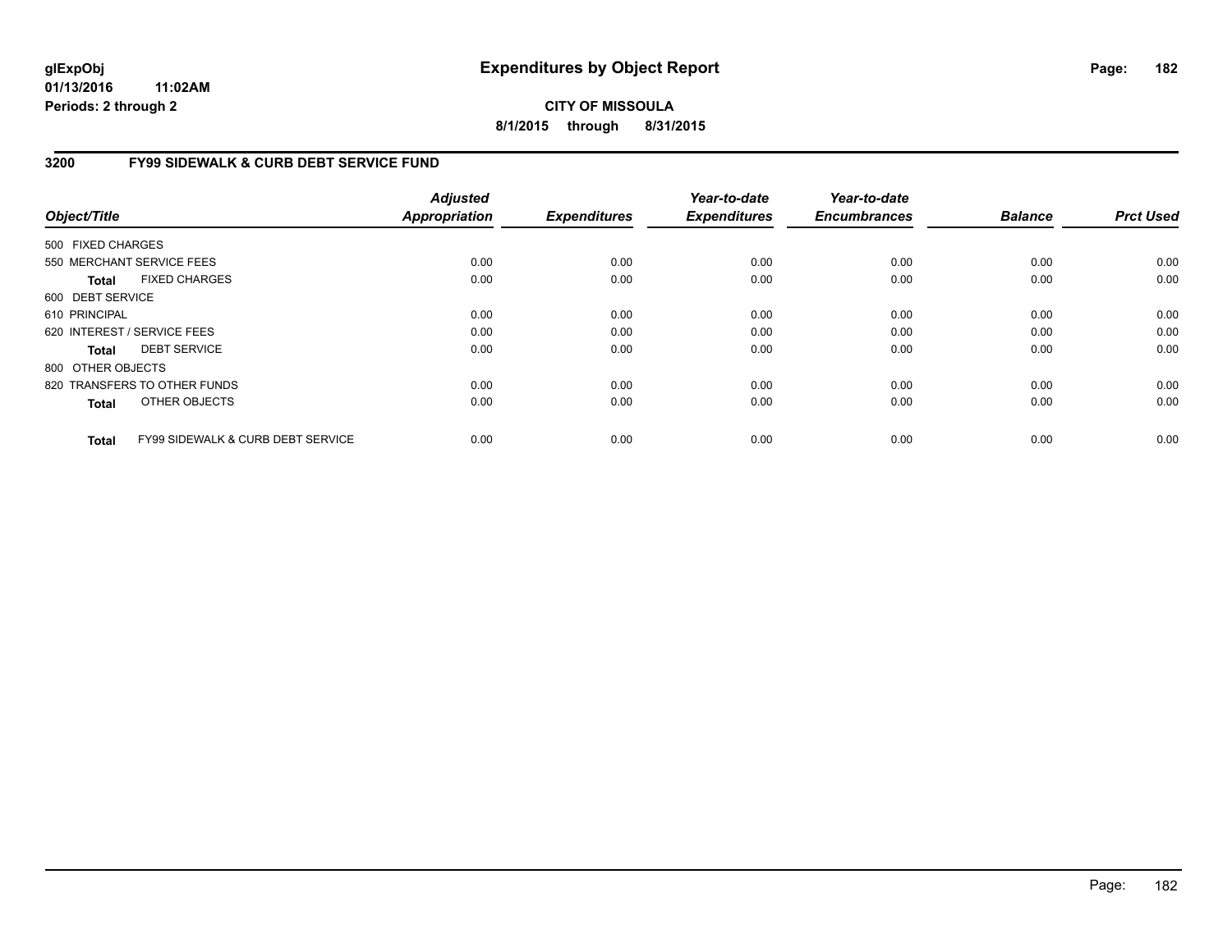# **CITY OF MISSOULA 8/1/2015 through 8/31/2015**

# **3200 FY99 SIDEWALK & CURB DEBT SERVICE FUND**

| Object/Title      |                                              | <b>Adjusted</b><br><b>Appropriation</b> | <b>Expenditures</b> | Year-to-date<br><b>Expenditures</b> | Year-to-date<br><b>Encumbrances</b> | <b>Balance</b> | <b>Prct Used</b> |
|-------------------|----------------------------------------------|-----------------------------------------|---------------------|-------------------------------------|-------------------------------------|----------------|------------------|
| 500 FIXED CHARGES |                                              |                                         |                     |                                     |                                     |                |                  |
|                   | 550 MERCHANT SERVICE FEES                    | 0.00                                    | 0.00                | 0.00                                | 0.00                                | 0.00           | 0.00             |
| Total             | <b>FIXED CHARGES</b>                         | 0.00                                    | 0.00                | 0.00                                | 0.00                                | 0.00           | 0.00             |
| 600 DEBT SERVICE  |                                              |                                         |                     |                                     |                                     |                |                  |
| 610 PRINCIPAL     |                                              | 0.00                                    | 0.00                | 0.00                                | 0.00                                | 0.00           | 0.00             |
|                   | 620 INTEREST / SERVICE FEES                  | 0.00                                    | 0.00                | 0.00                                | 0.00                                | 0.00           | 0.00             |
| Total             | <b>DEBT SERVICE</b>                          | 0.00                                    | 0.00                | 0.00                                | 0.00                                | 0.00           | 0.00             |
| 800 OTHER OBJECTS |                                              |                                         |                     |                                     |                                     |                |                  |
|                   | 820 TRANSFERS TO OTHER FUNDS                 | 0.00                                    | 0.00                | 0.00                                | 0.00                                | 0.00           | 0.00             |
| <b>Total</b>      | OTHER OBJECTS                                | 0.00                                    | 0.00                | 0.00                                | 0.00                                | 0.00           | 0.00             |
| <b>Total</b>      | <b>FY99 SIDEWALK &amp; CURB DEBT SERVICE</b> | 0.00                                    | 0.00                | 0.00                                | 0.00                                | 0.00           | 0.00             |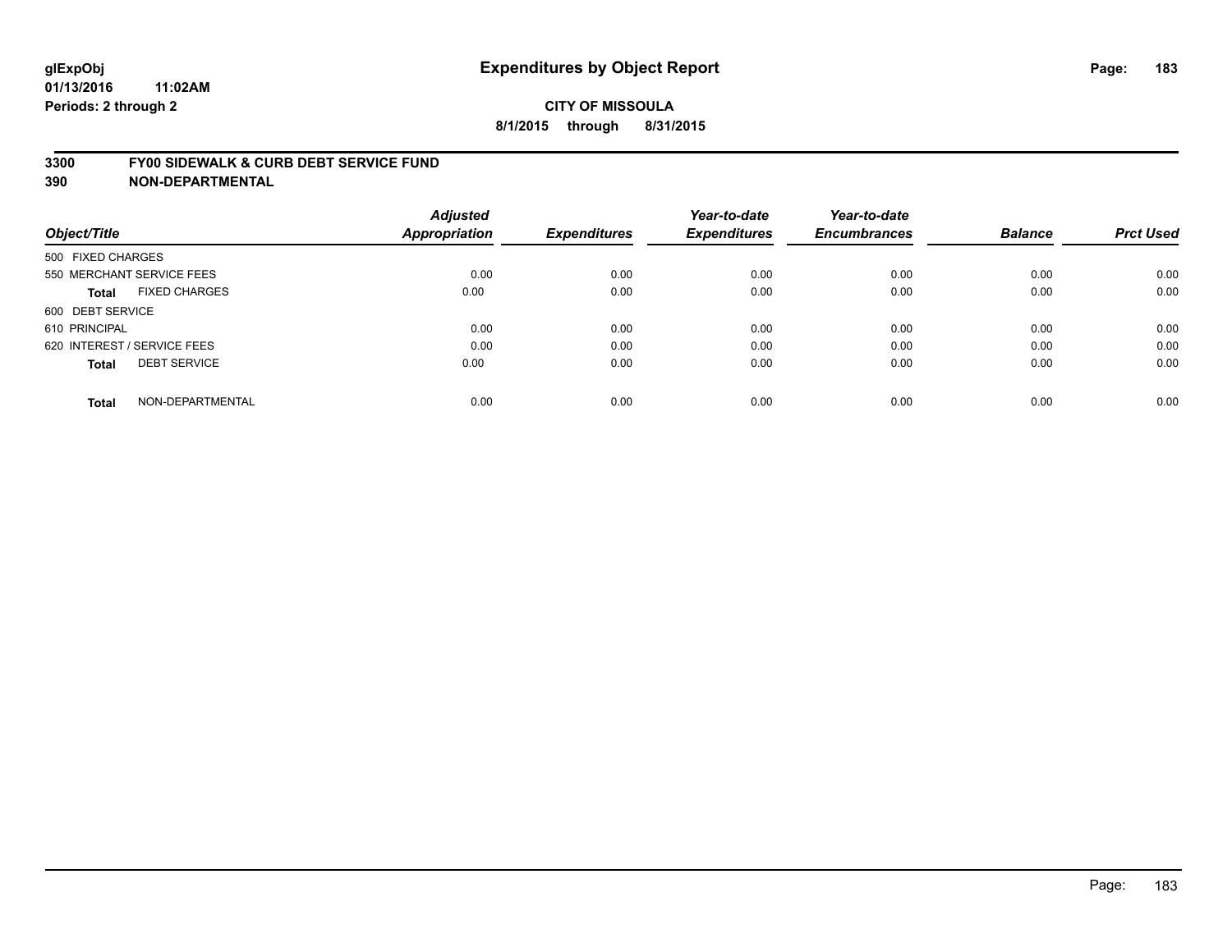#### **3300 FY00 SIDEWALK & CURB DEBT SERVICE FUND**

| Object/Title                         | <b>Adjusted</b><br><b>Appropriation</b> | <b>Expenditures</b> | Year-to-date<br><b>Expenditures</b> | Year-to-date<br><b>Encumbrances</b> | <b>Balance</b> | <b>Prct Used</b> |
|--------------------------------------|-----------------------------------------|---------------------|-------------------------------------|-------------------------------------|----------------|------------------|
| 500 FIXED CHARGES                    |                                         |                     |                                     |                                     |                |                  |
| 550 MERCHANT SERVICE FEES            | 0.00                                    | 0.00                | 0.00                                | 0.00                                | 0.00           | 0.00             |
| <b>FIXED CHARGES</b><br><b>Total</b> | 0.00                                    | 0.00                | 0.00                                | 0.00                                | 0.00           | 0.00             |
| 600 DEBT SERVICE                     |                                         |                     |                                     |                                     |                |                  |
| 610 PRINCIPAL                        | 0.00                                    | 0.00                | 0.00                                | 0.00                                | 0.00           | 0.00             |
| 620 INTEREST / SERVICE FEES          | 0.00                                    | 0.00                | 0.00                                | 0.00                                | 0.00           | 0.00             |
| <b>DEBT SERVICE</b><br><b>Total</b>  | 0.00                                    | 0.00                | 0.00                                | 0.00                                | 0.00           | 0.00             |
| NON-DEPARTMENTAL<br><b>Total</b>     | 0.00                                    | 0.00                | 0.00                                | 0.00                                | 0.00           | 0.00             |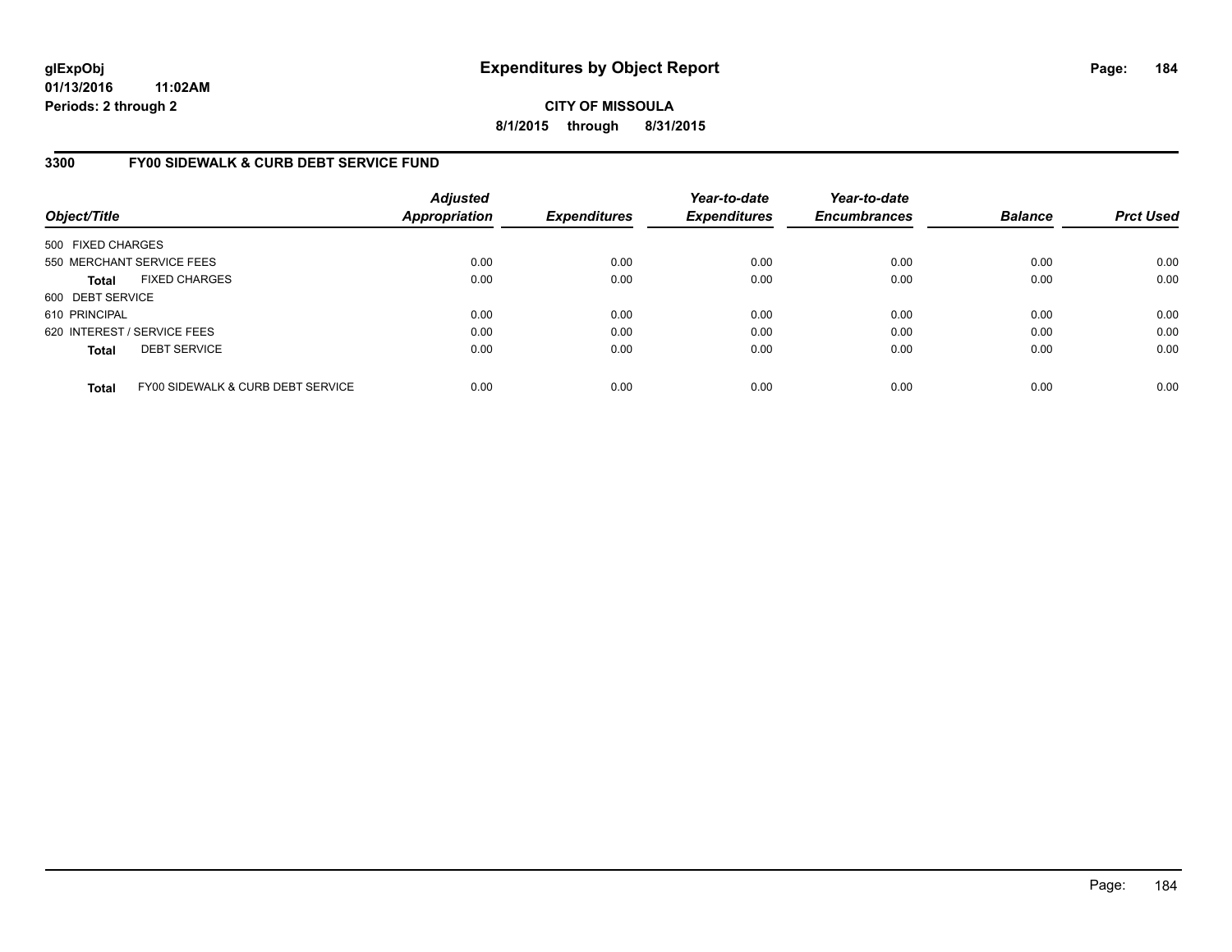**CITY OF MISSOULA 8/1/2015 through 8/31/2015**

# **3300 FY00 SIDEWALK & CURB DEBT SERVICE FUND**

| Object/Title      |                                   | <b>Adjusted</b><br><b>Appropriation</b> | <b>Expenditures</b> | Year-to-date<br><b>Expenditures</b> | Year-to-date<br><b>Encumbrances</b> | <b>Balance</b> | <b>Prct Used</b> |
|-------------------|-----------------------------------|-----------------------------------------|---------------------|-------------------------------------|-------------------------------------|----------------|------------------|
| 500 FIXED CHARGES |                                   |                                         |                     |                                     |                                     |                |                  |
|                   | 550 MERCHANT SERVICE FEES         | 0.00                                    | 0.00                | 0.00                                | 0.00                                | 0.00           | 0.00             |
| <b>Total</b>      | <b>FIXED CHARGES</b>              | 0.00                                    | 0.00                | 0.00                                | 0.00                                | 0.00           | 0.00             |
| 600 DEBT SERVICE  |                                   |                                         |                     |                                     |                                     |                |                  |
| 610 PRINCIPAL     |                                   | 0.00                                    | 0.00                | 0.00                                | 0.00                                | 0.00           | 0.00             |
|                   | 620 INTEREST / SERVICE FEES       | 0.00                                    | 0.00                | 0.00                                | 0.00                                | 0.00           | 0.00             |
| <b>Total</b>      | <b>DEBT SERVICE</b>               | 0.00                                    | 0.00                | 0.00                                | 0.00                                | 0.00           | 0.00             |
| <b>Total</b>      | FY00 SIDEWALK & CURB DEBT SERVICE | 0.00                                    | 0.00                | 0.00                                | 0.00                                | 0.00           | 0.00             |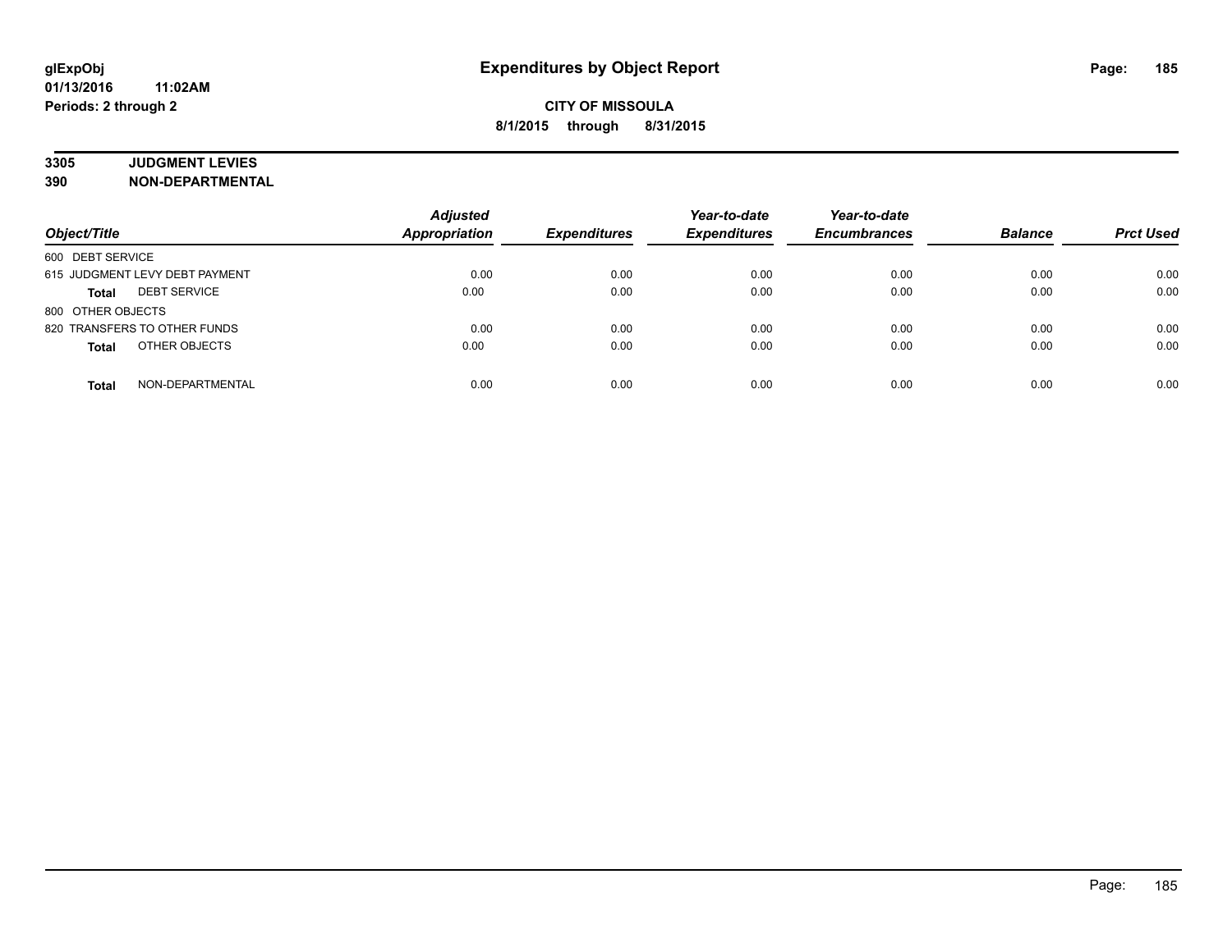# **3305 JUDGMENT LEVIES**

| Object/Title                        | <b>Adjusted</b><br><b>Appropriation</b> | <b>Expenditures</b> | Year-to-date<br><b>Expenditures</b> | Year-to-date<br><b>Encumbrances</b> | <b>Balance</b> | <b>Prct Used</b> |
|-------------------------------------|-----------------------------------------|---------------------|-------------------------------------|-------------------------------------|----------------|------------------|
| 600 DEBT SERVICE                    |                                         |                     |                                     |                                     |                |                  |
| 615 JUDGMENT LEVY DEBT PAYMENT      | 0.00                                    | 0.00                | 0.00                                | 0.00                                | 0.00           | 0.00             |
| <b>DEBT SERVICE</b><br><b>Total</b> | 0.00                                    | 0.00                | 0.00                                | 0.00                                | 0.00           | 0.00             |
| 800 OTHER OBJECTS                   |                                         |                     |                                     |                                     |                |                  |
| 820 TRANSFERS TO OTHER FUNDS        | 0.00                                    | 0.00                | 0.00                                | 0.00                                | 0.00           | 0.00             |
| OTHER OBJECTS<br><b>Total</b>       | 0.00                                    | 0.00                | 0.00                                | 0.00                                | 0.00           | 0.00             |
| NON-DEPARTMENTAL<br>Total           | 0.00                                    | 0.00                | 0.00                                | 0.00                                | 0.00           | 0.00             |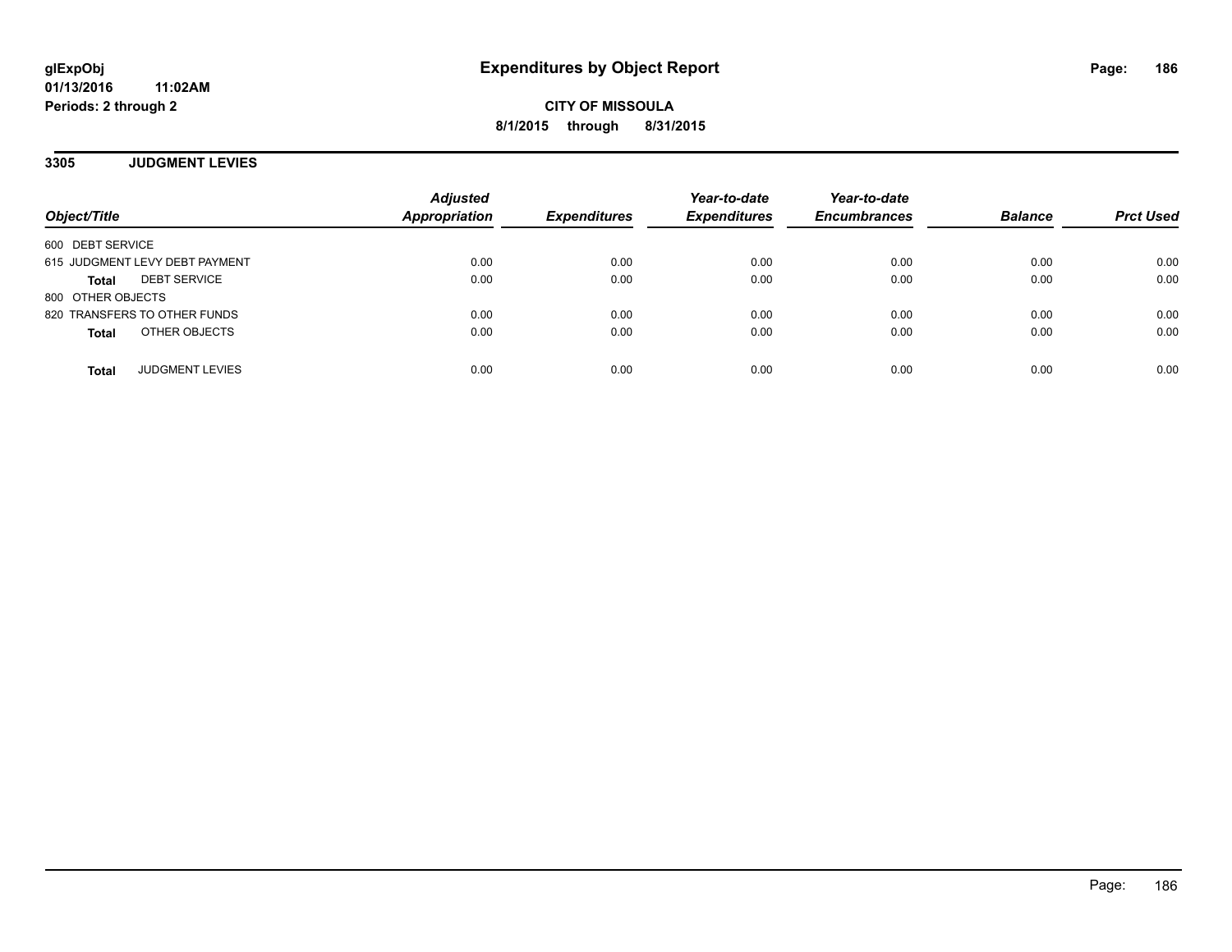**3305 JUDGMENT LEVIES**

| Object/Title                           | <b>Adjusted</b><br><b>Appropriation</b> | <b>Expenditures</b> | Year-to-date<br><b>Expenditures</b> | Year-to-date<br><b>Encumbrances</b> | <b>Balance</b> | <b>Prct Used</b> |
|----------------------------------------|-----------------------------------------|---------------------|-------------------------------------|-------------------------------------|----------------|------------------|
| 600 DEBT SERVICE                       |                                         |                     |                                     |                                     |                |                  |
| 615 JUDGMENT LEVY DEBT PAYMENT         | 0.00                                    | 0.00                | 0.00                                | 0.00                                | 0.00           | 0.00             |
| <b>DEBT SERVICE</b><br><b>Total</b>    | 0.00                                    | 0.00                | 0.00                                | 0.00                                | 0.00           | 0.00             |
| 800 OTHER OBJECTS                      |                                         |                     |                                     |                                     |                |                  |
| 820 TRANSFERS TO OTHER FUNDS           | 0.00                                    | 0.00                | 0.00                                | 0.00                                | 0.00           | 0.00             |
| OTHER OBJECTS<br><b>Total</b>          | 0.00                                    | 0.00                | 0.00                                | 0.00                                | 0.00           | 0.00             |
| <b>JUDGMENT LEVIES</b><br><b>Total</b> | 0.00                                    | 0.00                | 0.00                                | 0.00                                | 0.00           | 0.00             |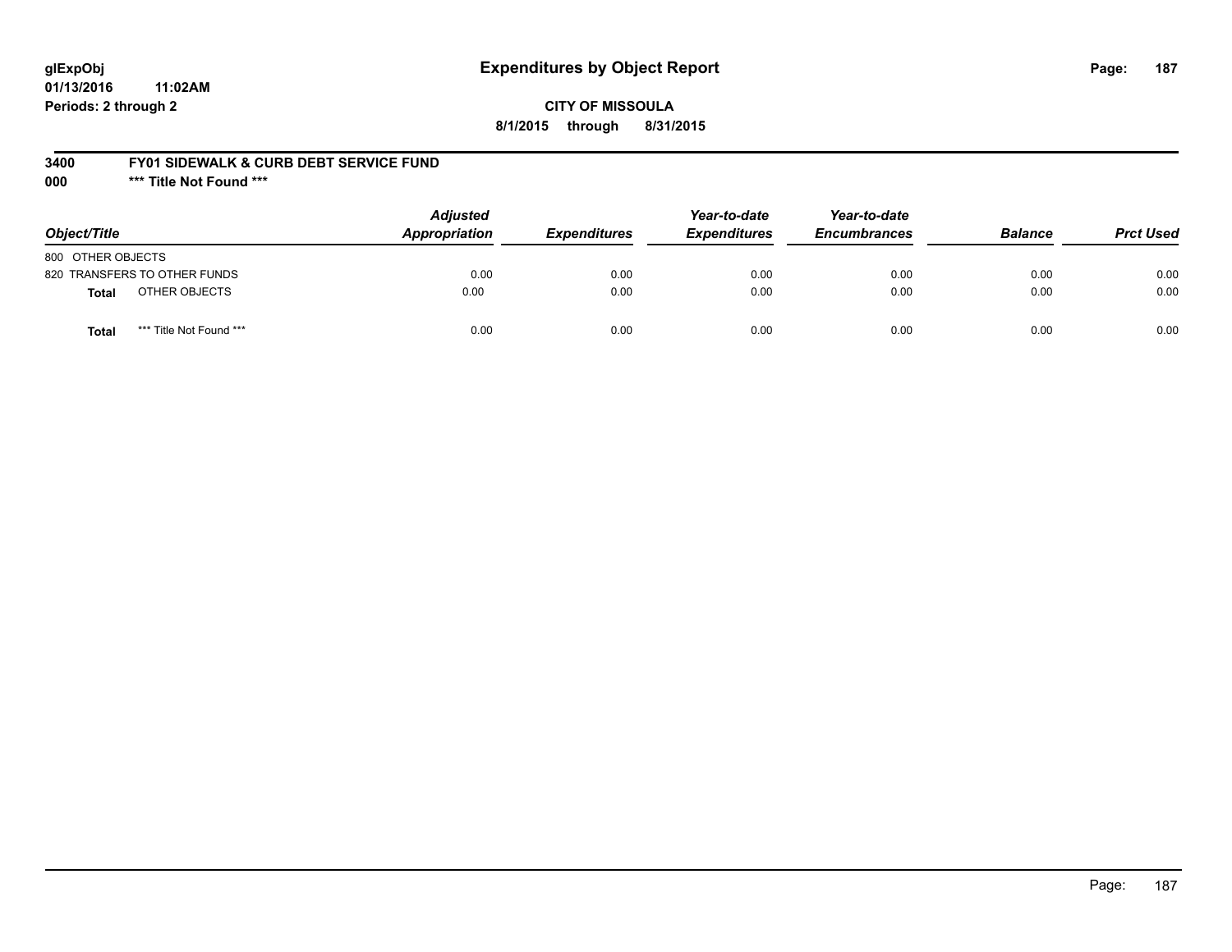# **glExpObj Expenditures by Object Report Page: 187**

**01/13/2016 11:02AM Periods: 2 through 2**

### **3400 FY01 SIDEWALK & CURB DEBT SERVICE FUND**

**000 \*\*\* Title Not Found \*\*\***

| Object/Title                            | <b>Adjusted</b><br>Appropriation | <b>Expenditures</b> | Year-to-date<br><b>Expenditures</b> | Year-to-date<br><b>Encumbrances</b> | <b>Balance</b> | <b>Prct Used</b> |
|-----------------------------------------|----------------------------------|---------------------|-------------------------------------|-------------------------------------|----------------|------------------|
| 800 OTHER OBJECTS                       |                                  |                     |                                     |                                     |                |                  |
| 820 TRANSFERS TO OTHER FUNDS            | 0.00                             | 0.00                | 0.00                                | 0.00                                | 0.00           | 0.00             |
| OTHER OBJECTS<br>Total                  | 0.00                             | 0.00                | 0.00                                | 0.00                                | 0.00           | 0.00             |
| *** Title Not Found ***<br><b>Total</b> | 0.00                             | 0.00                | 0.00                                | 0.00                                | 0.00           | 0.00             |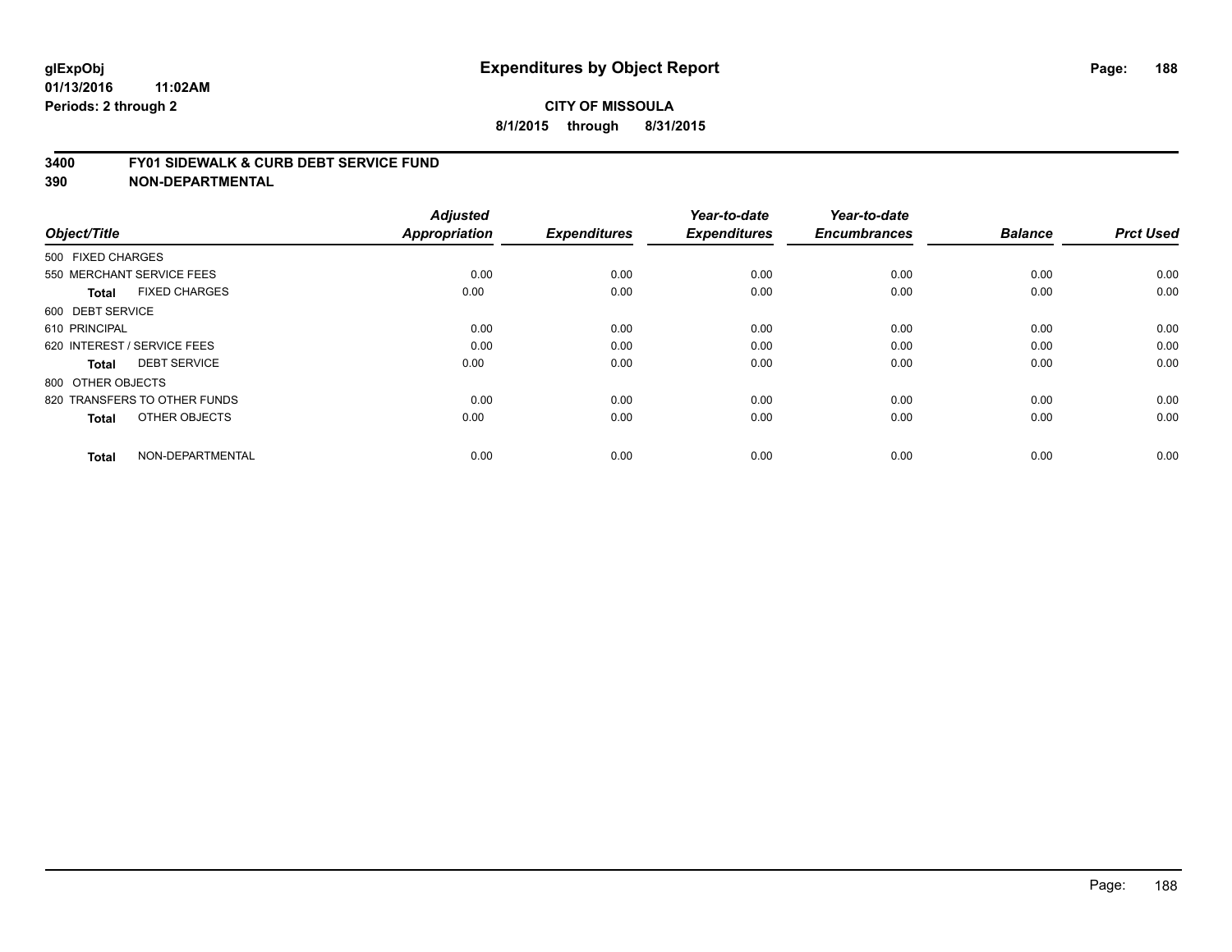#### **3400 FY01 SIDEWALK & CURB DEBT SERVICE FUND**

| Object/Title                         | <b>Adjusted</b><br>Appropriation | <b>Expenditures</b> | Year-to-date<br><b>Expenditures</b> | Year-to-date<br><b>Encumbrances</b> | <b>Balance</b> | <b>Prct Used</b> |
|--------------------------------------|----------------------------------|---------------------|-------------------------------------|-------------------------------------|----------------|------------------|
| 500 FIXED CHARGES                    |                                  |                     |                                     |                                     |                |                  |
|                                      |                                  |                     |                                     |                                     |                |                  |
| 550 MERCHANT SERVICE FEES            | 0.00                             | 0.00                | 0.00                                | 0.00                                | 0.00           | 0.00             |
| <b>FIXED CHARGES</b><br><b>Total</b> | 0.00                             | 0.00                | 0.00                                | 0.00                                | 0.00           | 0.00             |
| 600 DEBT SERVICE                     |                                  |                     |                                     |                                     |                |                  |
| 610 PRINCIPAL                        | 0.00                             | 0.00                | 0.00                                | 0.00                                | 0.00           | 0.00             |
| 620 INTEREST / SERVICE FEES          | 0.00                             | 0.00                | 0.00                                | 0.00                                | 0.00           | 0.00             |
| <b>DEBT SERVICE</b><br><b>Total</b>  | 0.00                             | 0.00                | 0.00                                | 0.00                                | 0.00           | 0.00             |
| 800 OTHER OBJECTS                    |                                  |                     |                                     |                                     |                |                  |
| 820 TRANSFERS TO OTHER FUNDS         | 0.00                             | 0.00                | 0.00                                | 0.00                                | 0.00           | 0.00             |
| OTHER OBJECTS<br><b>Total</b>        | 0.00                             | 0.00                | 0.00                                | 0.00                                | 0.00           | 0.00             |
|                                      |                                  |                     |                                     |                                     |                |                  |
| NON-DEPARTMENTAL<br><b>Total</b>     | 0.00                             | 0.00                | 0.00                                | 0.00                                | 0.00           | 0.00             |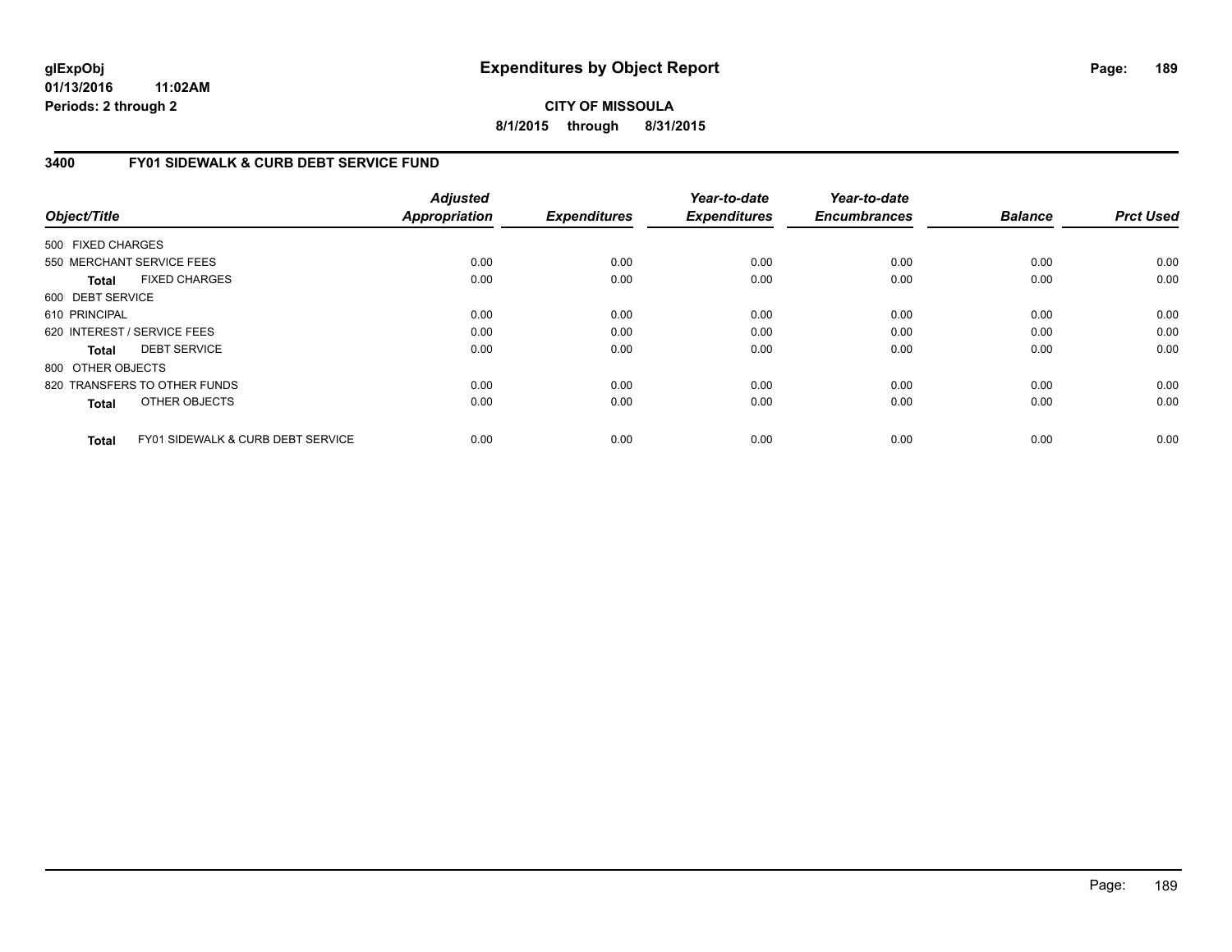# **CITY OF MISSOULA 8/1/2015 through 8/31/2015**

# **3400 FY01 SIDEWALK & CURB DEBT SERVICE FUND**

| Object/Title      |                                              | <b>Adjusted</b><br><b>Appropriation</b> | <b>Expenditures</b> | Year-to-date<br><b>Expenditures</b> | Year-to-date<br><b>Encumbrances</b> | <b>Balance</b> | <b>Prct Used</b> |
|-------------------|----------------------------------------------|-----------------------------------------|---------------------|-------------------------------------|-------------------------------------|----------------|------------------|
| 500 FIXED CHARGES |                                              |                                         |                     |                                     |                                     |                |                  |
|                   | 550 MERCHANT SERVICE FEES                    | 0.00                                    | 0.00                | 0.00                                | 0.00                                | 0.00           | 0.00             |
| Total             | <b>FIXED CHARGES</b>                         | 0.00                                    | 0.00                | 0.00                                | 0.00                                | 0.00           | 0.00             |
| 600 DEBT SERVICE  |                                              |                                         |                     |                                     |                                     |                |                  |
| 610 PRINCIPAL     |                                              | 0.00                                    | 0.00                | 0.00                                | 0.00                                | 0.00           | 0.00             |
|                   | 620 INTEREST / SERVICE FEES                  | 0.00                                    | 0.00                | 0.00                                | 0.00                                | 0.00           | 0.00             |
| Total             | <b>DEBT SERVICE</b>                          | 0.00                                    | 0.00                | 0.00                                | 0.00                                | 0.00           | 0.00             |
| 800 OTHER OBJECTS |                                              |                                         |                     |                                     |                                     |                |                  |
|                   | 820 TRANSFERS TO OTHER FUNDS                 | 0.00                                    | 0.00                | 0.00                                | 0.00                                | 0.00           | 0.00             |
| <b>Total</b>      | OTHER OBJECTS                                | 0.00                                    | 0.00                | 0.00                                | 0.00                                | 0.00           | 0.00             |
| <b>Total</b>      | <b>FY01 SIDEWALK &amp; CURB DEBT SERVICE</b> | 0.00                                    | 0.00                | 0.00                                | 0.00                                | 0.00           | 0.00             |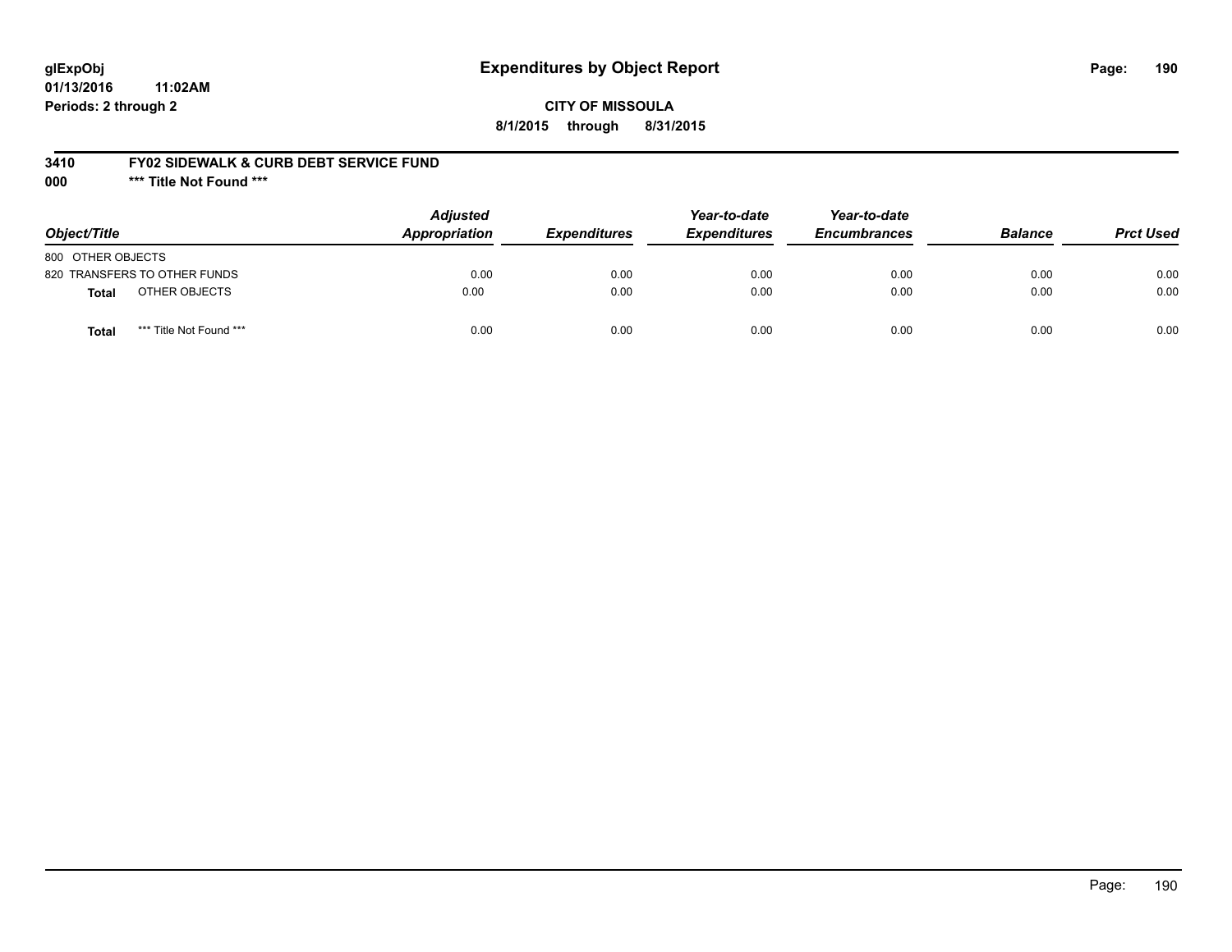# **glExpObj Expenditures by Object Report Page: 190**

**01/13/2016 11:02AM Periods: 2 through 2**

### **3410 FY02 SIDEWALK & CURB DEBT SERVICE FUND**

**000 \*\*\* Title Not Found \*\*\***

| Object/Title                            | <b>Adjusted</b><br>Appropriation | <b>Expenditures</b> | Year-to-date<br><b>Expenditures</b> | Year-to-date<br><b>Encumbrances</b> | <b>Balance</b> | <b>Prct Used</b> |
|-----------------------------------------|----------------------------------|---------------------|-------------------------------------|-------------------------------------|----------------|------------------|
| 800 OTHER OBJECTS                       |                                  |                     |                                     |                                     |                |                  |
| 820 TRANSFERS TO OTHER FUNDS            | 0.00                             | 0.00                | 0.00                                | 0.00                                | 0.00           | 0.00             |
| OTHER OBJECTS<br><b>Total</b>           | 0.00                             | 0.00                | 0.00                                | 0.00                                | 0.00           | 0.00             |
| *** Title Not Found ***<br><b>Total</b> | 0.00                             | 0.00                | 0.00                                | 0.00                                | 0.00           | 0.00             |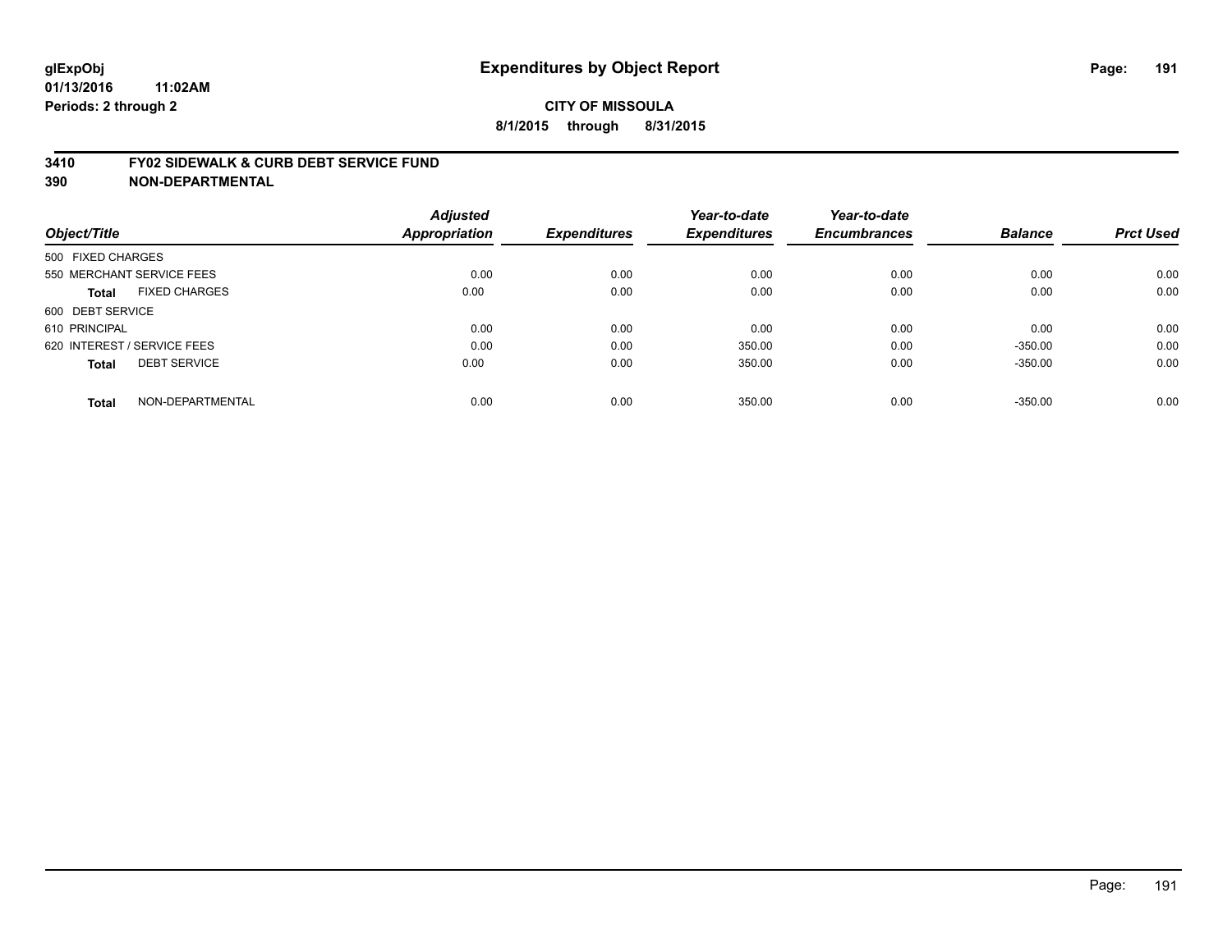#### **3410 FY02 SIDEWALK & CURB DEBT SERVICE FUND**

| Object/Title      |                             | <b>Adjusted</b><br><b>Appropriation</b> | <b>Expenditures</b> | Year-to-date<br><b>Expenditures</b> | Year-to-date<br><b>Encumbrances</b> | <b>Balance</b> | <b>Prct Used</b> |
|-------------------|-----------------------------|-----------------------------------------|---------------------|-------------------------------------|-------------------------------------|----------------|------------------|
| 500 FIXED CHARGES |                             |                                         |                     |                                     |                                     |                |                  |
|                   | 550 MERCHANT SERVICE FEES   | 0.00                                    | 0.00                | 0.00                                | 0.00                                | 0.00           | 0.00             |
| <b>Total</b>      | <b>FIXED CHARGES</b>        | 0.00                                    | 0.00                | 0.00                                | 0.00                                | 0.00           | 0.00             |
| 600 DEBT SERVICE  |                             |                                         |                     |                                     |                                     |                |                  |
| 610 PRINCIPAL     |                             | 0.00                                    | 0.00                | 0.00                                | 0.00                                | 0.00           | 0.00             |
|                   | 620 INTEREST / SERVICE FEES | 0.00                                    | 0.00                | 350.00                              | 0.00                                | $-350.00$      | 0.00             |
| <b>Total</b>      | <b>DEBT SERVICE</b>         | 0.00                                    | 0.00                | 350.00                              | 0.00                                | $-350.00$      | 0.00             |
| <b>Total</b>      | NON-DEPARTMENTAL            | 0.00                                    | 0.00                | 350.00                              | 0.00                                | $-350.00$      | 0.00             |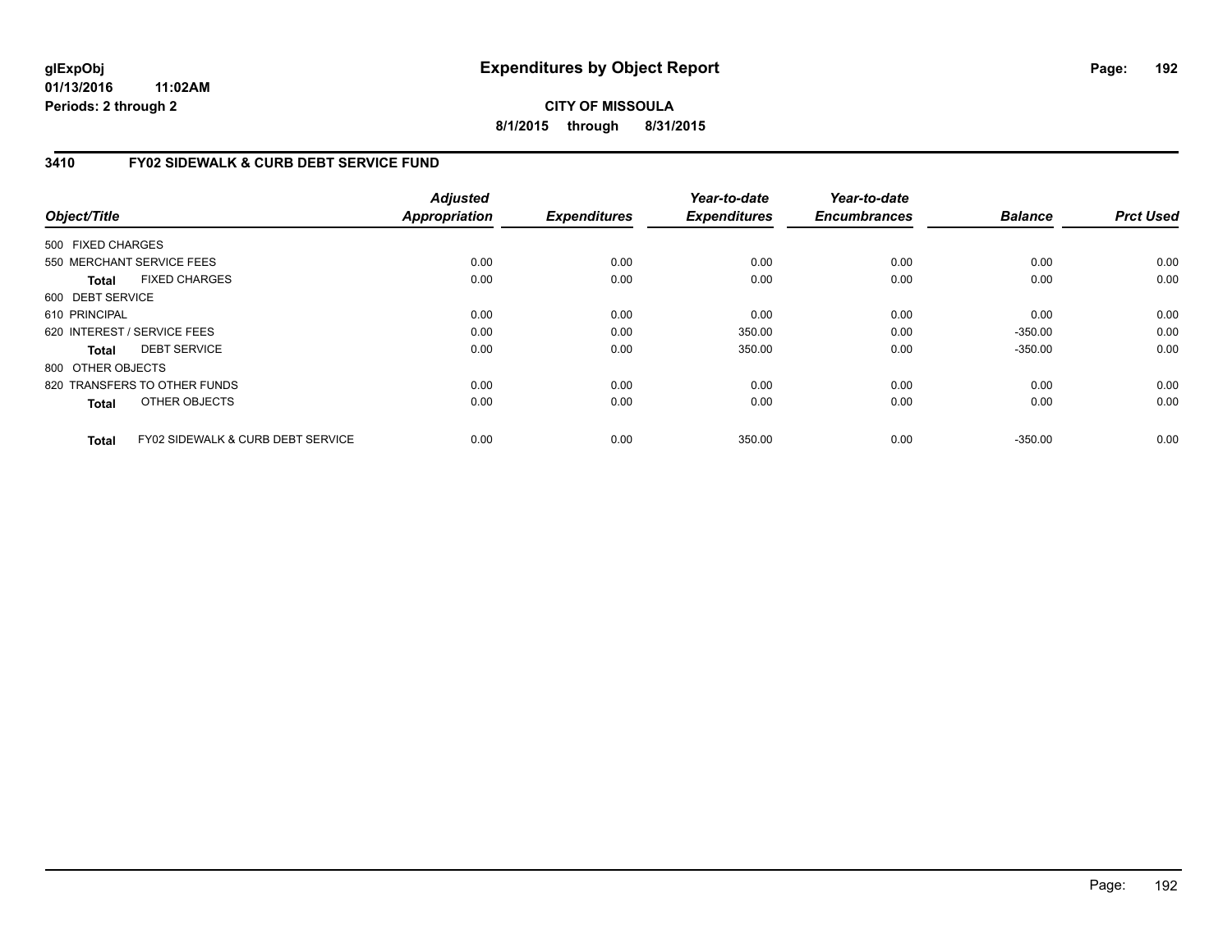# **CITY OF MISSOULA 8/1/2015 through 8/31/2015**

# **3410 FY02 SIDEWALK & CURB DEBT SERVICE FUND**

| Object/Title      |                                              | <b>Adjusted</b><br><b>Appropriation</b> | <b>Expenditures</b> | Year-to-date<br><b>Expenditures</b> | Year-to-date<br><b>Encumbrances</b> | <b>Balance</b> | <b>Prct Used</b> |
|-------------------|----------------------------------------------|-----------------------------------------|---------------------|-------------------------------------|-------------------------------------|----------------|------------------|
|                   |                                              |                                         |                     |                                     |                                     |                |                  |
| 500 FIXED CHARGES |                                              |                                         |                     |                                     |                                     |                |                  |
|                   | 550 MERCHANT SERVICE FEES                    | 0.00                                    | 0.00                | 0.00                                | 0.00                                | 0.00           | 0.00             |
| <b>Total</b>      | <b>FIXED CHARGES</b>                         | 0.00                                    | 0.00                | 0.00                                | 0.00                                | 0.00           | 0.00             |
| 600 DEBT SERVICE  |                                              |                                         |                     |                                     |                                     |                |                  |
| 610 PRINCIPAL     |                                              | 0.00                                    | 0.00                | 0.00                                | 0.00                                | 0.00           | 0.00             |
|                   | 620 INTEREST / SERVICE FEES                  | 0.00                                    | 0.00                | 350.00                              | 0.00                                | $-350.00$      | 0.00             |
| <b>Total</b>      | <b>DEBT SERVICE</b>                          | 0.00                                    | 0.00                | 350.00                              | 0.00                                | $-350.00$      | 0.00             |
| 800 OTHER OBJECTS |                                              |                                         |                     |                                     |                                     |                |                  |
|                   | 820 TRANSFERS TO OTHER FUNDS                 | 0.00                                    | 0.00                | 0.00                                | 0.00                                | 0.00           | 0.00             |
| <b>Total</b>      | OTHER OBJECTS                                | 0.00                                    | 0.00                | 0.00                                | 0.00                                | 0.00           | 0.00             |
| <b>Total</b>      | <b>FY02 SIDEWALK &amp; CURB DEBT SERVICE</b> | 0.00                                    | 0.00                | 350.00                              | 0.00                                | $-350.00$      | 0.00             |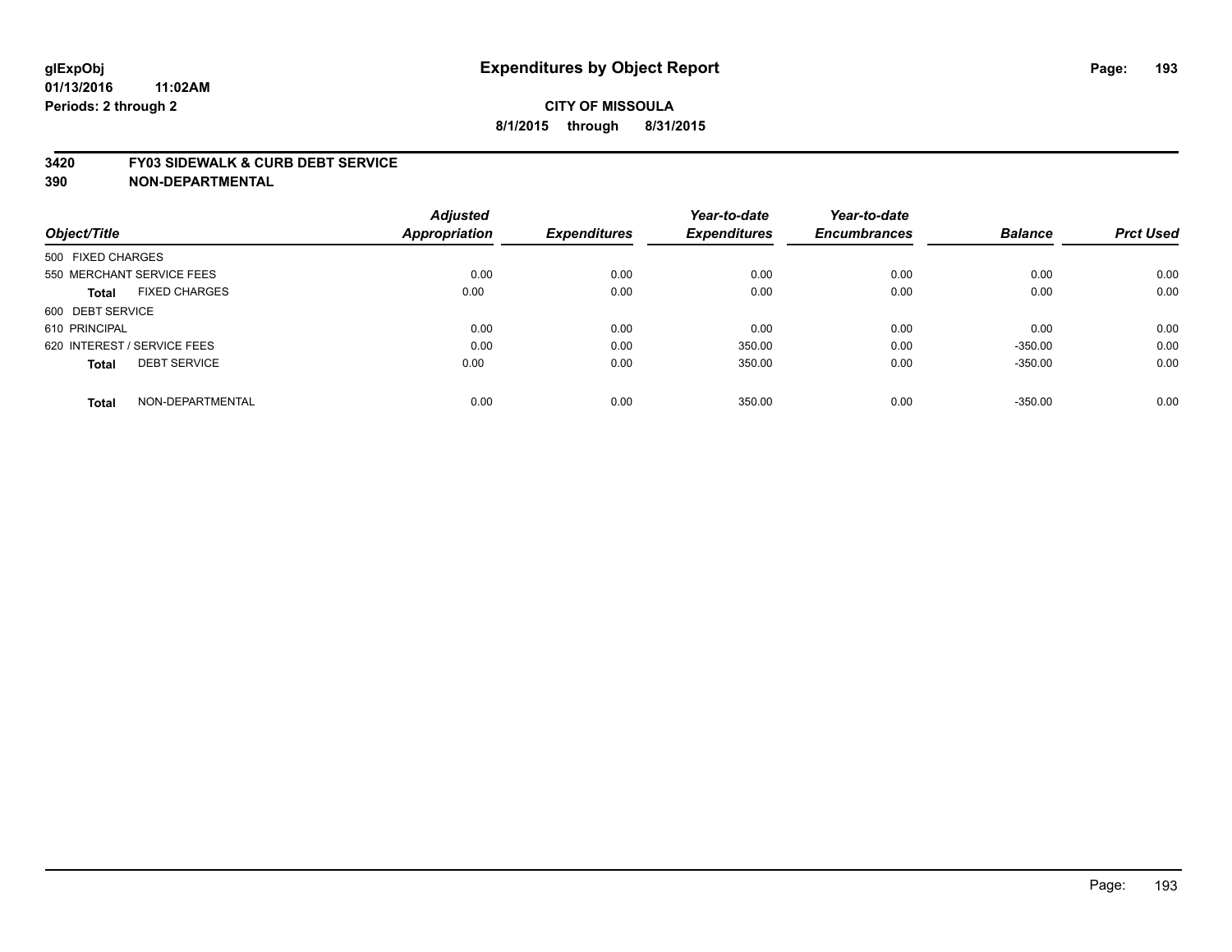#### **3420 FY03 SIDEWALK & CURB DEBT SERVICE**

|                                      | <b>Adjusted</b> |                     | Year-to-date        | Year-to-date        |                |                  |
|--------------------------------------|-----------------|---------------------|---------------------|---------------------|----------------|------------------|
| Object/Title                         | Appropriation   | <b>Expenditures</b> | <b>Expenditures</b> | <b>Encumbrances</b> | <b>Balance</b> | <b>Prct Used</b> |
| 500 FIXED CHARGES                    |                 |                     |                     |                     |                |                  |
| 550 MERCHANT SERVICE FEES            | 0.00            | 0.00                | 0.00                | 0.00                | 0.00           | 0.00             |
| <b>FIXED CHARGES</b><br><b>Total</b> | 0.00            | 0.00                | 0.00                | 0.00                | 0.00           | 0.00             |
| 600 DEBT SERVICE                     |                 |                     |                     |                     |                |                  |
| 610 PRINCIPAL                        | 0.00            | 0.00                | 0.00                | 0.00                | 0.00           | 0.00             |
| 620 INTEREST / SERVICE FEES          | 0.00            | 0.00                | 350.00              | 0.00                | $-350.00$      | 0.00             |
| <b>DEBT SERVICE</b><br><b>Total</b>  | 0.00            | 0.00                | 350.00              | 0.00                | $-350.00$      | 0.00             |
| NON-DEPARTMENTAL<br><b>Total</b>     | 0.00            | 0.00                | 350.00              | 0.00                | $-350.00$      | 0.00             |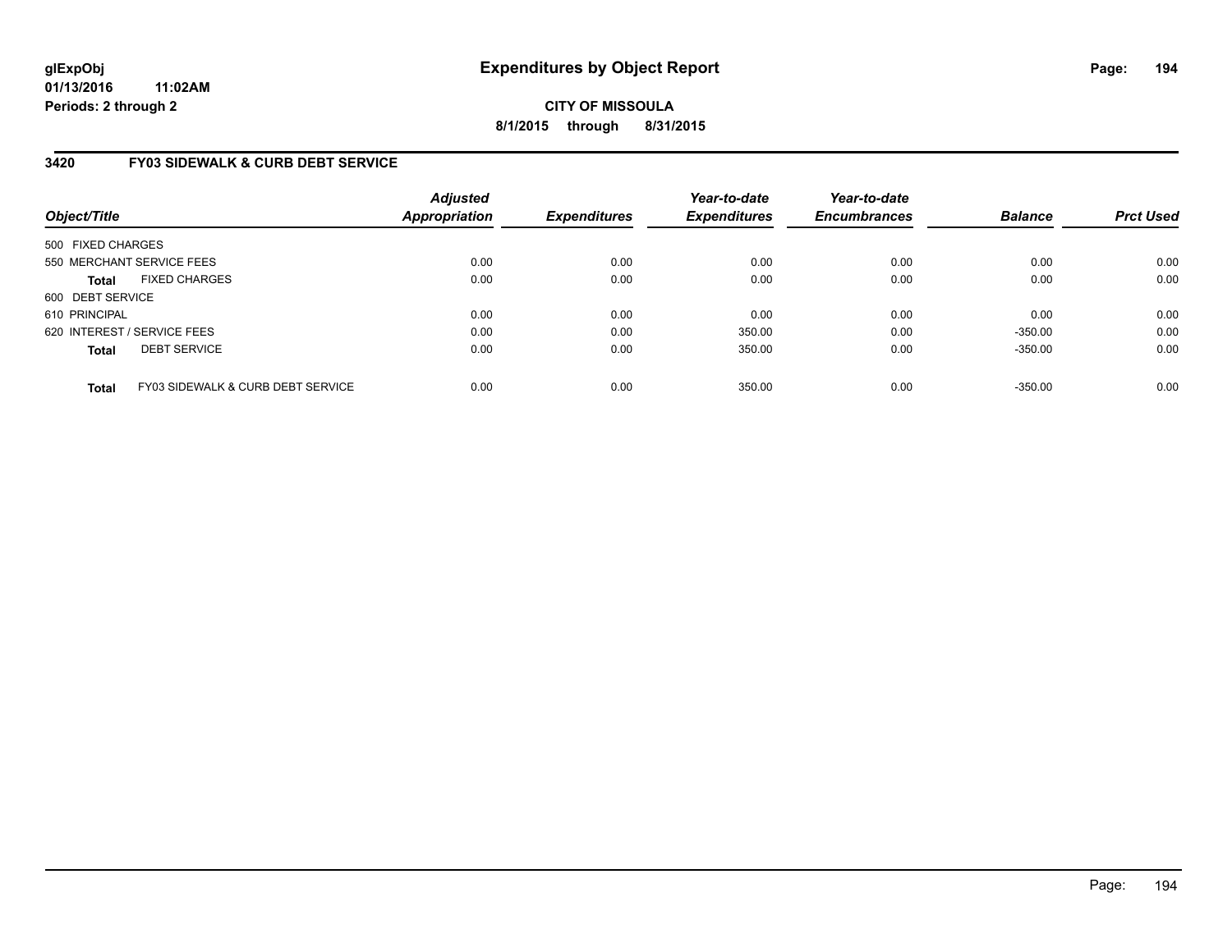**CITY OF MISSOULA 8/1/2015 through 8/31/2015**

# **3420 FY03 SIDEWALK & CURB DEBT SERVICE**

| Object/Title                |                                   | <b>Adjusted</b><br>Appropriation | <b>Expenditures</b> | Year-to-date<br><b>Expenditures</b> | Year-to-date<br><b>Encumbrances</b> | <b>Balance</b> | <b>Prct Used</b> |
|-----------------------------|-----------------------------------|----------------------------------|---------------------|-------------------------------------|-------------------------------------|----------------|------------------|
| 500 FIXED CHARGES           |                                   |                                  |                     |                                     |                                     |                |                  |
| 550 MERCHANT SERVICE FEES   |                                   | 0.00                             | 0.00                | 0.00                                | 0.00                                | 0.00           | 0.00             |
| <b>Total</b>                | <b>FIXED CHARGES</b>              | 0.00                             | 0.00                | 0.00                                | 0.00                                | 0.00           | 0.00             |
| 600 DEBT SERVICE            |                                   |                                  |                     |                                     |                                     |                |                  |
| 610 PRINCIPAL               |                                   | 0.00                             | 0.00                | 0.00                                | 0.00                                | 0.00           | 0.00             |
| 620 INTEREST / SERVICE FEES |                                   | 0.00                             | 0.00                | 350.00                              | 0.00                                | $-350.00$      | 0.00             |
| <b>Total</b>                | <b>DEBT SERVICE</b>               | 0.00                             | 0.00                | 350.00                              | 0.00                                | $-350.00$      | 0.00             |
| <b>Total</b>                | FY03 SIDEWALK & CURB DEBT SERVICE | 0.00                             | 0.00                | 350.00                              | 0.00                                | $-350.00$      | 0.00             |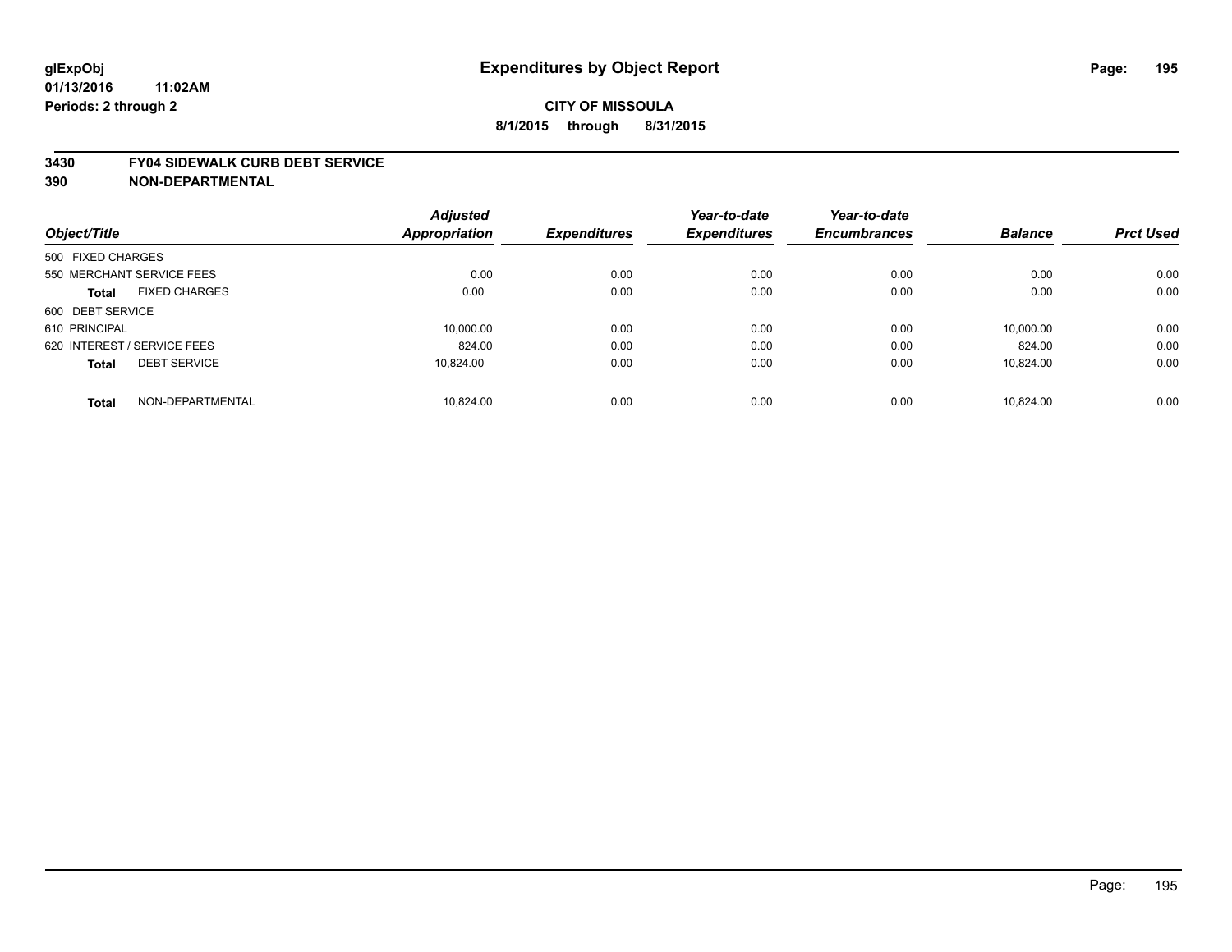#### **3430 FY04 SIDEWALK CURB DEBT SERVICE**

|                                      | <b>Adjusted</b>      |                     | Year-to-date        | Year-to-date        |                |                  |
|--------------------------------------|----------------------|---------------------|---------------------|---------------------|----------------|------------------|
| Object/Title                         | <b>Appropriation</b> | <b>Expenditures</b> | <b>Expenditures</b> | <b>Encumbrances</b> | <b>Balance</b> | <b>Prct Used</b> |
| 500 FIXED CHARGES                    |                      |                     |                     |                     |                |                  |
| 550 MERCHANT SERVICE FEES            | 0.00                 | 0.00                | 0.00                | 0.00                | 0.00           | 0.00             |
| <b>FIXED CHARGES</b><br><b>Total</b> | 0.00                 | 0.00                | 0.00                | 0.00                | 0.00           | 0.00             |
| 600 DEBT SERVICE                     |                      |                     |                     |                     |                |                  |
| 610 PRINCIPAL                        | 10.000.00            | 0.00                | 0.00                | 0.00                | 10.000.00      | 0.00             |
| 620 INTEREST / SERVICE FEES          | 824.00               | 0.00                | 0.00                | 0.00                | 824.00         | 0.00             |
| <b>DEBT SERVICE</b><br><b>Total</b>  | 10.824.00            | 0.00                | 0.00                | 0.00                | 10.824.00      | 0.00             |
| NON-DEPARTMENTAL<br><b>Total</b>     | 10.824.00            | 0.00                | 0.00                | 0.00                | 10.824.00      | 0.00             |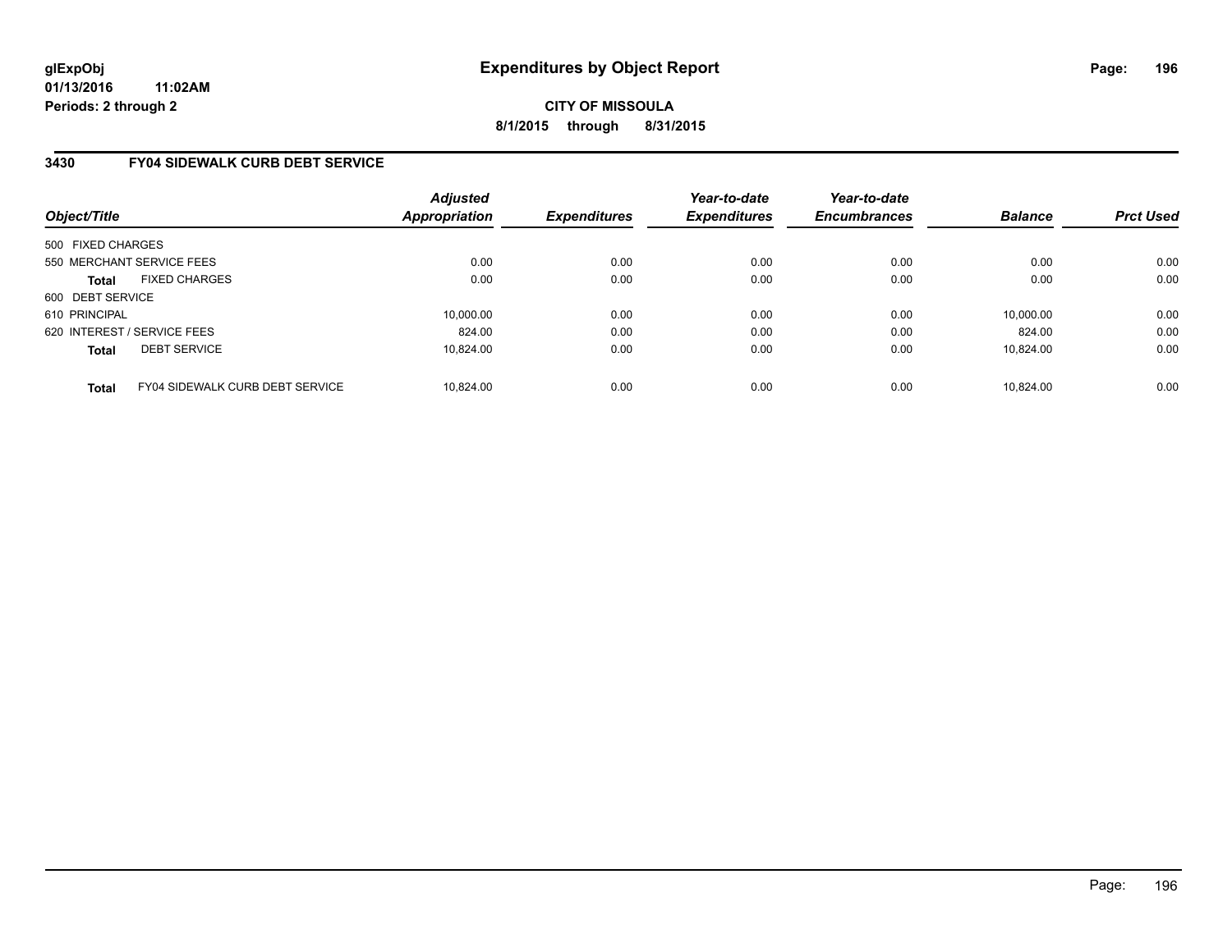**CITY OF MISSOULA 8/1/2015 through 8/31/2015**

# **3430 FY04 SIDEWALK CURB DEBT SERVICE**

| Object/Title                |                                        | <b>Adjusted</b><br>Appropriation | <b>Expenditures</b> | Year-to-date<br><b>Expenditures</b> | Year-to-date<br><b>Encumbrances</b> | <b>Balance</b> | <b>Prct Used</b> |
|-----------------------------|----------------------------------------|----------------------------------|---------------------|-------------------------------------|-------------------------------------|----------------|------------------|
| 500 FIXED CHARGES           |                                        |                                  |                     |                                     |                                     |                |                  |
| 550 MERCHANT SERVICE FEES   |                                        | 0.00                             | 0.00                | 0.00                                | 0.00                                | 0.00           | 0.00             |
| <b>Total</b>                | <b>FIXED CHARGES</b>                   | 0.00                             | 0.00                | 0.00                                | 0.00                                | 0.00           | 0.00             |
| 600 DEBT SERVICE            |                                        |                                  |                     |                                     |                                     |                |                  |
| 610 PRINCIPAL               |                                        | 10.000.00                        | 0.00                | 0.00                                | 0.00                                | 10,000.00      | 0.00             |
| 620 INTEREST / SERVICE FEES |                                        | 824.00                           | 0.00                | 0.00                                | 0.00                                | 824.00         | 0.00             |
| <b>Total</b>                | <b>DEBT SERVICE</b>                    | 10.824.00                        | 0.00                | 0.00                                | 0.00                                | 10.824.00      | 0.00             |
| <b>Total</b>                | <b>FY04 SIDEWALK CURB DEBT SERVICE</b> | 10.824.00                        | 0.00                | 0.00                                | 0.00                                | 10.824.00      | 0.00             |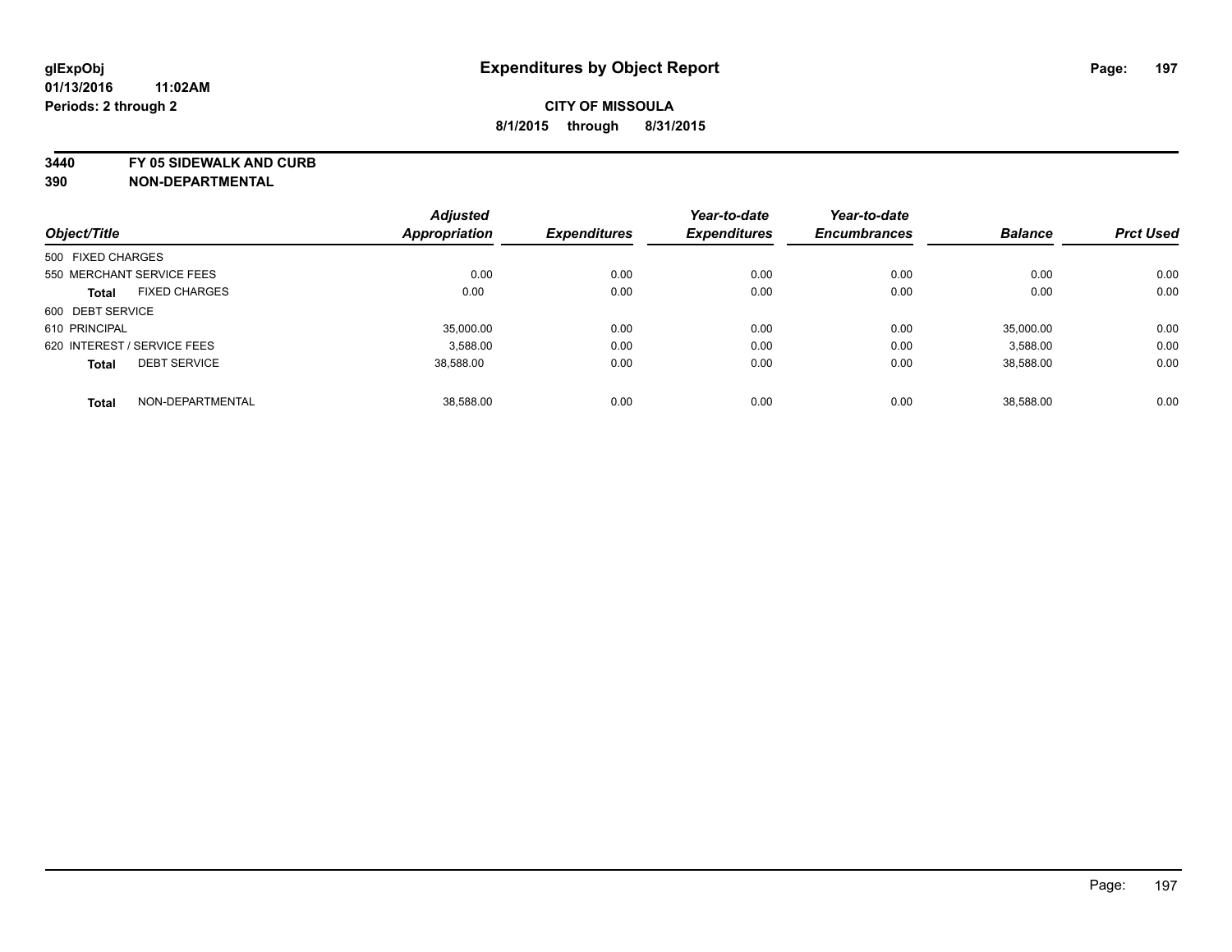**3440 FY 05 SIDEWALK AND CURB**

| Object/Title                |                      | <b>Adjusted</b> |                     | Year-to-date<br><b>Expenditures</b> | Year-to-date<br><b>Encumbrances</b> | <b>Balance</b> | <b>Prct Used</b> |
|-----------------------------|----------------------|-----------------|---------------------|-------------------------------------|-------------------------------------|----------------|------------------|
|                             |                      | Appropriation   | <b>Expenditures</b> |                                     |                                     |                |                  |
| 500 FIXED CHARGES           |                      |                 |                     |                                     |                                     |                |                  |
| 550 MERCHANT SERVICE FEES   |                      | 0.00            | 0.00                | 0.00                                | 0.00                                | 0.00           | 0.00             |
| <b>Total</b>                | <b>FIXED CHARGES</b> | 0.00            | 0.00                | 0.00                                | 0.00                                | 0.00           | 0.00             |
| 600 DEBT SERVICE            |                      |                 |                     |                                     |                                     |                |                  |
| 610 PRINCIPAL               |                      | 35,000.00       | 0.00                | 0.00                                | 0.00                                | 35.000.00      | 0.00             |
| 620 INTEREST / SERVICE FEES |                      | 3.588.00        | 0.00                | 0.00                                | 0.00                                | 3,588.00       | 0.00             |
| <b>Total</b>                | <b>DEBT SERVICE</b>  | 38,588.00       | 0.00                | 0.00                                | 0.00                                | 38,588.00      | 0.00             |
| <b>Total</b>                | NON-DEPARTMENTAL     | 38.588.00       | 0.00                | 0.00                                | 0.00                                | 38,588.00      | 0.00             |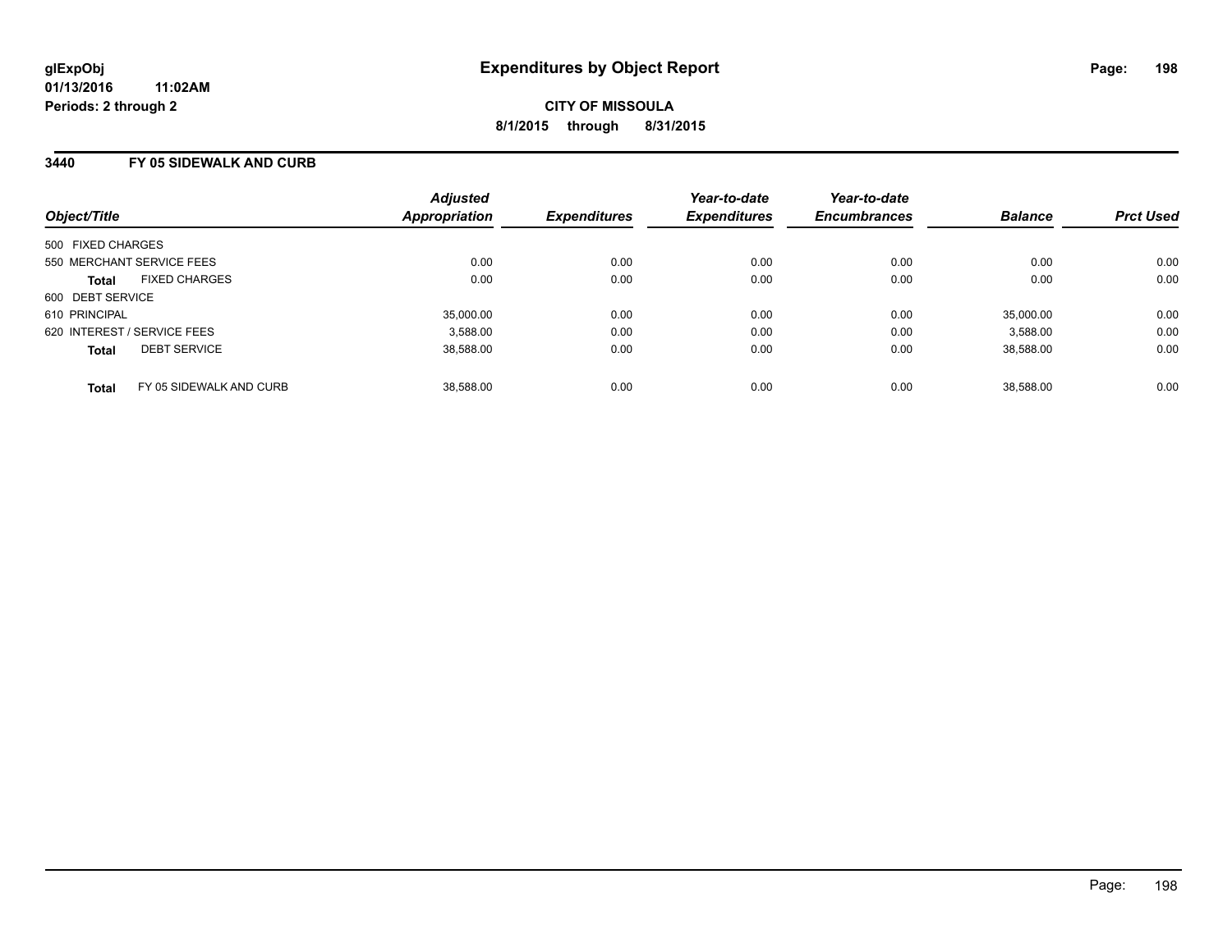### **3440 FY 05 SIDEWALK AND CURB**

| Object/Title                            | <b>Adjusted</b><br>Appropriation | <b>Expenditures</b> | Year-to-date<br><b>Expenditures</b> | Year-to-date<br><b>Encumbrances</b> | <b>Balance</b> | <b>Prct Used</b> |
|-----------------------------------------|----------------------------------|---------------------|-------------------------------------|-------------------------------------|----------------|------------------|
| 500 FIXED CHARGES                       |                                  |                     |                                     |                                     |                |                  |
| 550 MERCHANT SERVICE FEES               | 0.00                             | 0.00                | 0.00                                | 0.00                                | 0.00           | 0.00             |
| <b>FIXED CHARGES</b><br><b>Total</b>    | 0.00                             | 0.00                | 0.00                                | 0.00                                | 0.00           | 0.00             |
| 600 DEBT SERVICE                        |                                  |                     |                                     |                                     |                |                  |
| 610 PRINCIPAL                           | 35,000.00                        | 0.00                | 0.00                                | 0.00                                | 35,000.00      | 0.00             |
| 620 INTEREST / SERVICE FEES             | 3,588.00                         | 0.00                | 0.00                                | 0.00                                | 3,588.00       | 0.00             |
| <b>DEBT SERVICE</b><br><b>Total</b>     | 38,588.00                        | 0.00                | 0.00                                | 0.00                                | 38.588.00      | 0.00             |
| FY 05 SIDEWALK AND CURB<br><b>Total</b> | 38.588.00                        | 0.00                | 0.00                                | 0.00                                | 38.588.00      | 0.00             |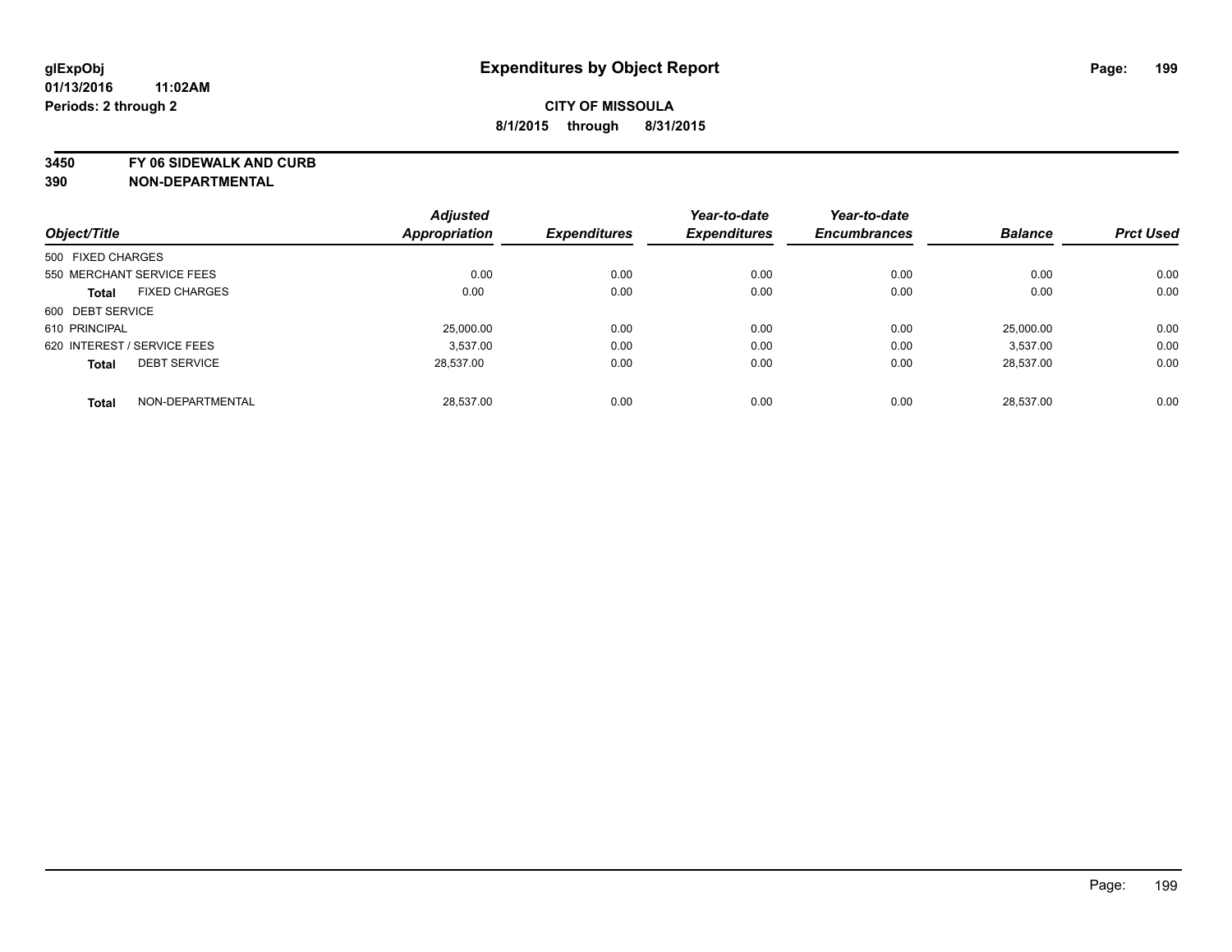**3450 FY 06 SIDEWALK AND CURB**

|                             |                      | <b>Adjusted</b>      |                     | Year-to-date        | Year-to-date        |                |                  |
|-----------------------------|----------------------|----------------------|---------------------|---------------------|---------------------|----------------|------------------|
| Object/Title                |                      | <b>Appropriation</b> | <b>Expenditures</b> | <b>Expenditures</b> | <b>Encumbrances</b> | <b>Balance</b> | <b>Prct Used</b> |
| 500 FIXED CHARGES           |                      |                      |                     |                     |                     |                |                  |
| 550 MERCHANT SERVICE FEES   |                      | 0.00                 | 0.00                | 0.00                | 0.00                | 0.00           | 0.00             |
| <b>Total</b>                | <b>FIXED CHARGES</b> | 0.00                 | 0.00                | 0.00                | 0.00                | 0.00           | 0.00             |
| 600 DEBT SERVICE            |                      |                      |                     |                     |                     |                |                  |
| 610 PRINCIPAL               |                      | 25,000.00            | 0.00                | 0.00                | 0.00                | 25.000.00      | 0.00             |
| 620 INTEREST / SERVICE FEES |                      | 3.537.00             | 0.00                | 0.00                | 0.00                | 3.537.00       | 0.00             |
| <b>Total</b>                | <b>DEBT SERVICE</b>  | 28.537.00            | 0.00                | 0.00                | 0.00                | 28.537.00      | 0.00             |
| <b>Total</b>                | NON-DEPARTMENTAL     | 28.537.00            | 0.00                | 0.00                | 0.00                | 28.537.00      | 0.00             |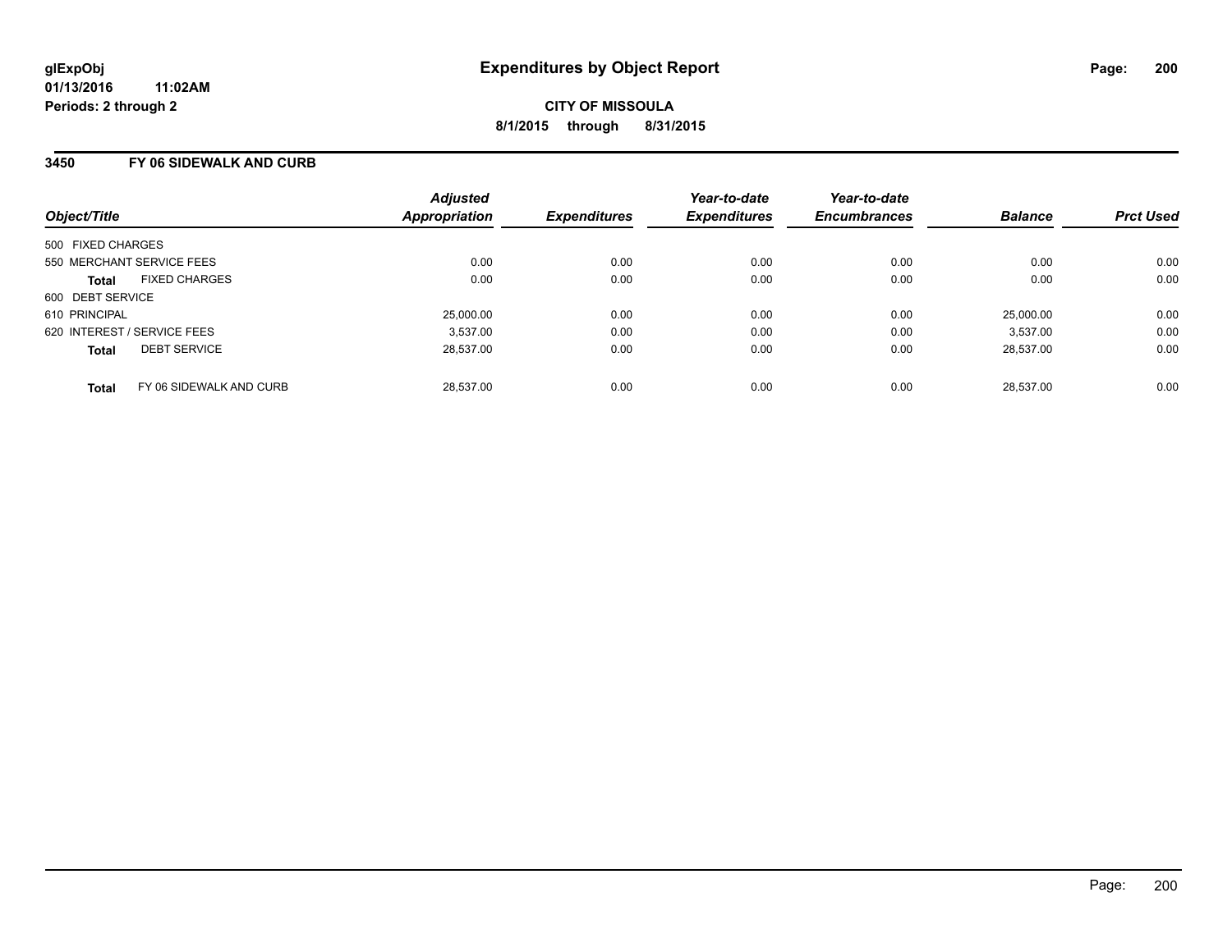### **3450 FY 06 SIDEWALK AND CURB**

| Object/Title                            | <b>Adjusted</b><br>Appropriation | <b>Expenditures</b> | Year-to-date<br><b>Expenditures</b> | Year-to-date<br><b>Encumbrances</b> | <b>Balance</b> | <b>Prct Used</b> |
|-----------------------------------------|----------------------------------|---------------------|-------------------------------------|-------------------------------------|----------------|------------------|
| 500 FIXED CHARGES                       |                                  |                     |                                     |                                     |                |                  |
| 550 MERCHANT SERVICE FEES               |                                  | 0.00<br>0.00        | 0.00                                | 0.00                                | 0.00           | 0.00             |
| <b>FIXED CHARGES</b><br><b>Total</b>    |                                  | 0.00<br>0.00        | 0.00                                | 0.00                                | 0.00           | 0.00             |
| 600 DEBT SERVICE                        |                                  |                     |                                     |                                     |                |                  |
| 610 PRINCIPAL                           |                                  | 25,000.00<br>0.00   | 0.00                                | 0.00                                | 25,000.00      | 0.00             |
| 620 INTEREST / SERVICE FEES             |                                  | 0.00<br>3,537.00    | 0.00                                | 0.00                                | 3.537.00       | 0.00             |
| <b>DEBT SERVICE</b><br><b>Total</b>     |                                  | 28.537.00<br>0.00   | 0.00                                | 0.00                                | 28,537.00      | 0.00             |
| FY 06 SIDEWALK AND CURB<br><b>Total</b> |                                  | 28.537.00<br>0.00   | 0.00                                | 0.00                                | 28.537.00      | 0.00             |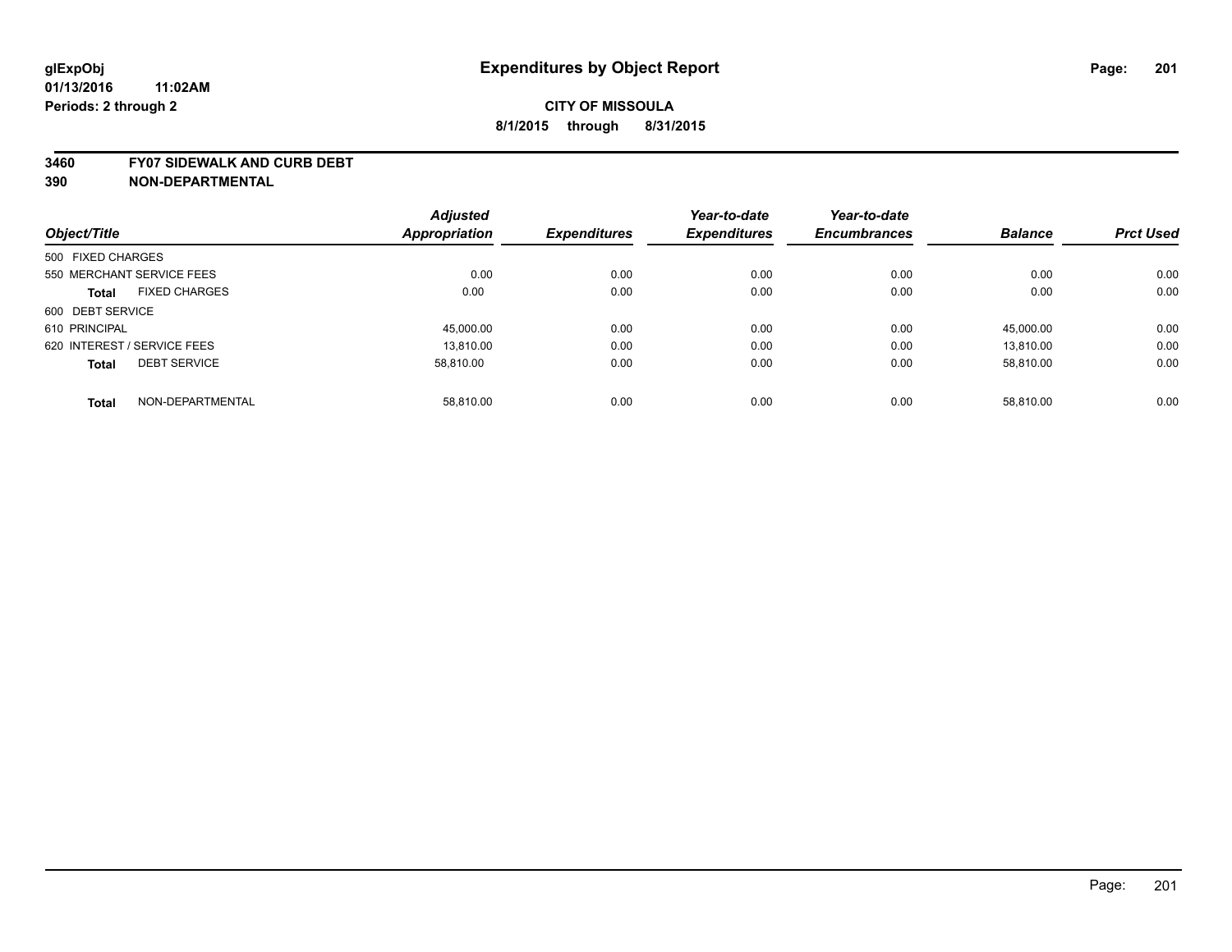#### **3460 FY07 SIDEWALK AND CURB DEBT**

|                                      | <b>Adjusted</b> |                     | Year-to-date        | Year-to-date        |                |                  |
|--------------------------------------|-----------------|---------------------|---------------------|---------------------|----------------|------------------|
| Object/Title                         | Appropriation   | <b>Expenditures</b> | <b>Expenditures</b> | <b>Encumbrances</b> | <b>Balance</b> | <b>Prct Used</b> |
| 500 FIXED CHARGES                    |                 |                     |                     |                     |                |                  |
| 550 MERCHANT SERVICE FEES            | 0.00            | 0.00                | 0.00                | 0.00                | 0.00           | 0.00             |
| <b>FIXED CHARGES</b><br><b>Total</b> | 0.00            | 0.00                | 0.00                | 0.00                | 0.00           | 0.00             |
| 600 DEBT SERVICE                     |                 |                     |                     |                     |                |                  |
| 610 PRINCIPAL                        | 45,000.00       | 0.00                | 0.00                | 0.00                | 45,000.00      | 0.00             |
| 620 INTEREST / SERVICE FEES          | 13.810.00       | 0.00                | 0.00                | 0.00                | 13.810.00      | 0.00             |
| <b>DEBT SERVICE</b><br><b>Total</b>  | 58.810.00       | 0.00                | 0.00                | 0.00                | 58.810.00      | 0.00             |
| NON-DEPARTMENTAL<br><b>Total</b>     | 58.810.00       | 0.00                | 0.00                | 0.00                | 58.810.00      | 0.00             |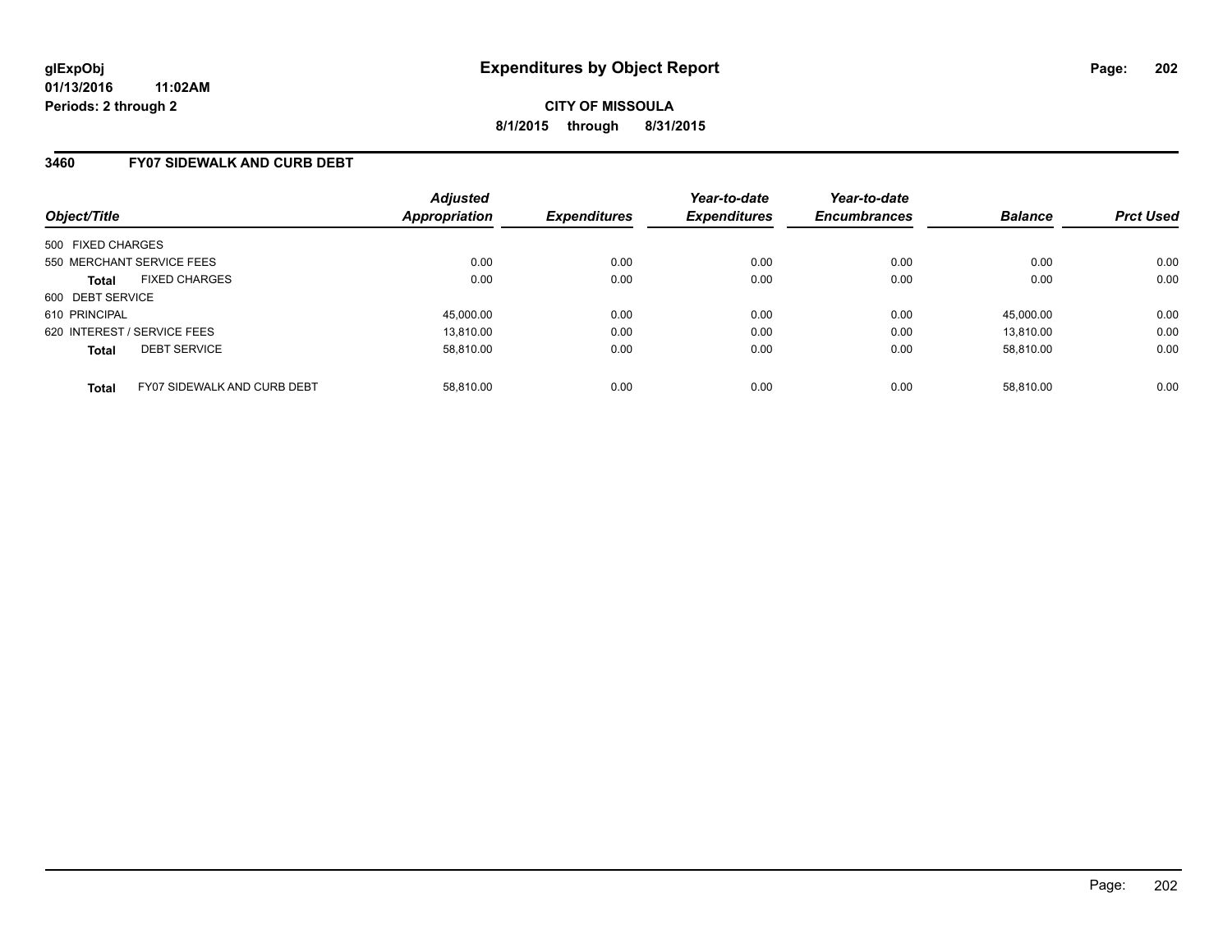### **3460 FY07 SIDEWALK AND CURB DEBT**

| Object/Title                                | <b>Adjusted</b><br><b>Appropriation</b> | <b>Expenditures</b> | Year-to-date<br><b>Expenditures</b> | Year-to-date<br><b>Encumbrances</b> | <b>Balance</b> | <b>Prct Used</b> |
|---------------------------------------------|-----------------------------------------|---------------------|-------------------------------------|-------------------------------------|----------------|------------------|
| 500 FIXED CHARGES                           |                                         |                     |                                     |                                     |                |                  |
| 550 MERCHANT SERVICE FEES                   | 0.00                                    | 0.00                | 0.00                                | 0.00                                | 0.00           | 0.00             |
| <b>FIXED CHARGES</b><br><b>Total</b>        | 0.00                                    | 0.00                | 0.00                                | 0.00                                | 0.00           | 0.00             |
| 600 DEBT SERVICE                            |                                         |                     |                                     |                                     |                |                  |
| 610 PRINCIPAL                               | 45,000.00                               | 0.00                | 0.00                                | 0.00                                | 45.000.00      | 0.00             |
| 620 INTEREST / SERVICE FEES                 | 13.810.00                               | 0.00                | 0.00                                | 0.00                                | 13.810.00      | 0.00             |
| <b>DEBT SERVICE</b><br><b>Total</b>         | 58.810.00                               | 0.00                | 0.00                                | 0.00                                | 58.810.00      | 0.00             |
| FY07 SIDEWALK AND CURB DEBT<br><b>Total</b> | 58.810.00                               | 0.00                | 0.00                                | 0.00                                | 58.810.00      | 0.00             |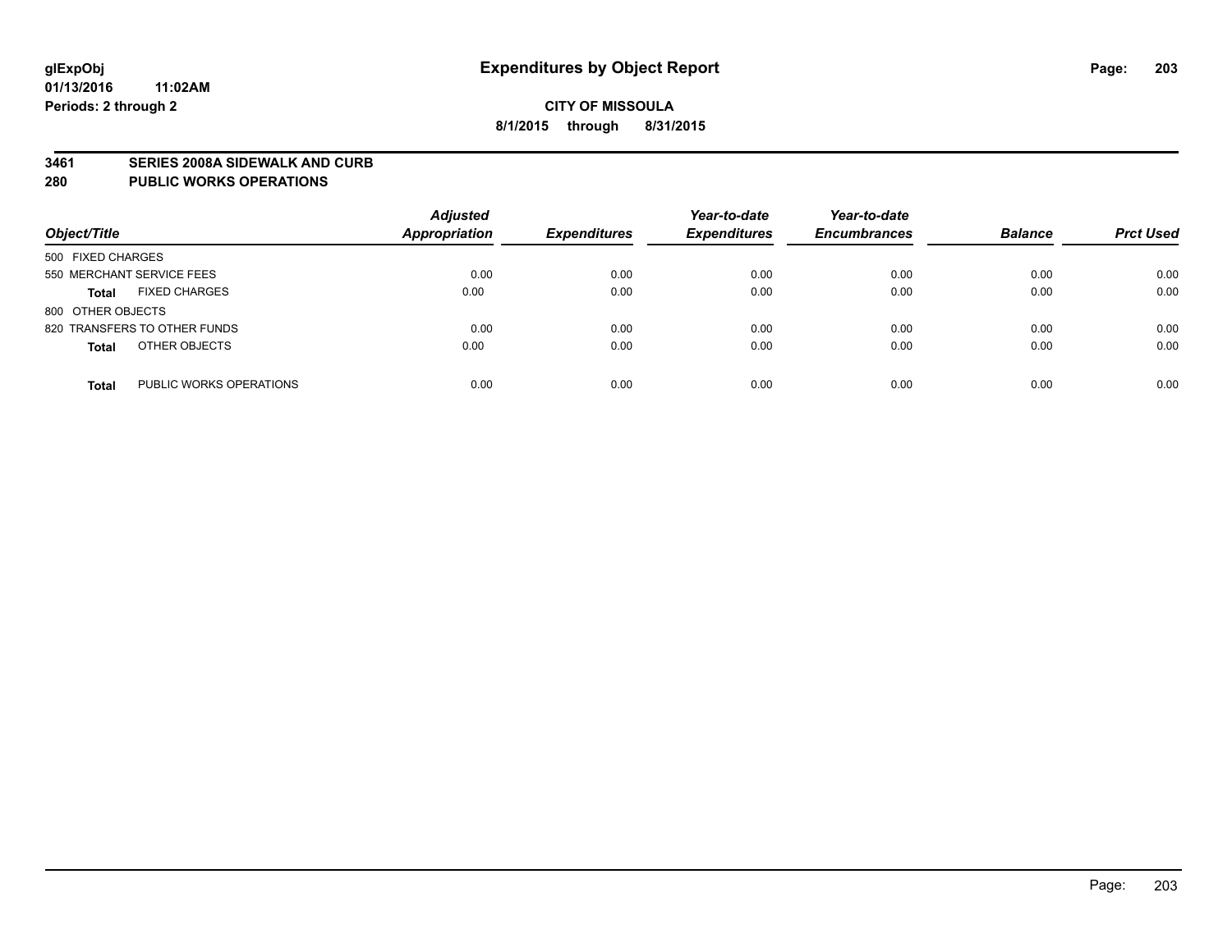#### **3461 SERIES 2008A SIDEWALK AND CURB**

#### **280 PUBLIC WORKS OPERATIONS**

| Object/Title                            | <b>Adjusted</b><br><b>Appropriation</b> | <b>Expenditures</b> | Year-to-date<br><b>Expenditures</b> | Year-to-date<br><b>Encumbrances</b> | <b>Balance</b> | <b>Prct Used</b> |
|-----------------------------------------|-----------------------------------------|---------------------|-------------------------------------|-------------------------------------|----------------|------------------|
| 500 FIXED CHARGES                       |                                         |                     |                                     |                                     |                |                  |
| 550 MERCHANT SERVICE FEES               | 0.00                                    | 0.00                | 0.00                                | 0.00                                | 0.00           | 0.00             |
| <b>FIXED CHARGES</b><br><b>Total</b>    | 0.00                                    | 0.00                | 0.00                                | 0.00                                | 0.00           | 0.00             |
| 800 OTHER OBJECTS                       |                                         |                     |                                     |                                     |                |                  |
| 820 TRANSFERS TO OTHER FUNDS            | 0.00                                    | 0.00                | 0.00                                | 0.00                                | 0.00           | 0.00             |
| OTHER OBJECTS<br><b>Total</b>           | 0.00                                    | 0.00                | 0.00                                | 0.00                                | 0.00           | 0.00             |
| PUBLIC WORKS OPERATIONS<br><b>Total</b> | 0.00                                    | 0.00                | 0.00                                | 0.00                                | 0.00           | 0.00             |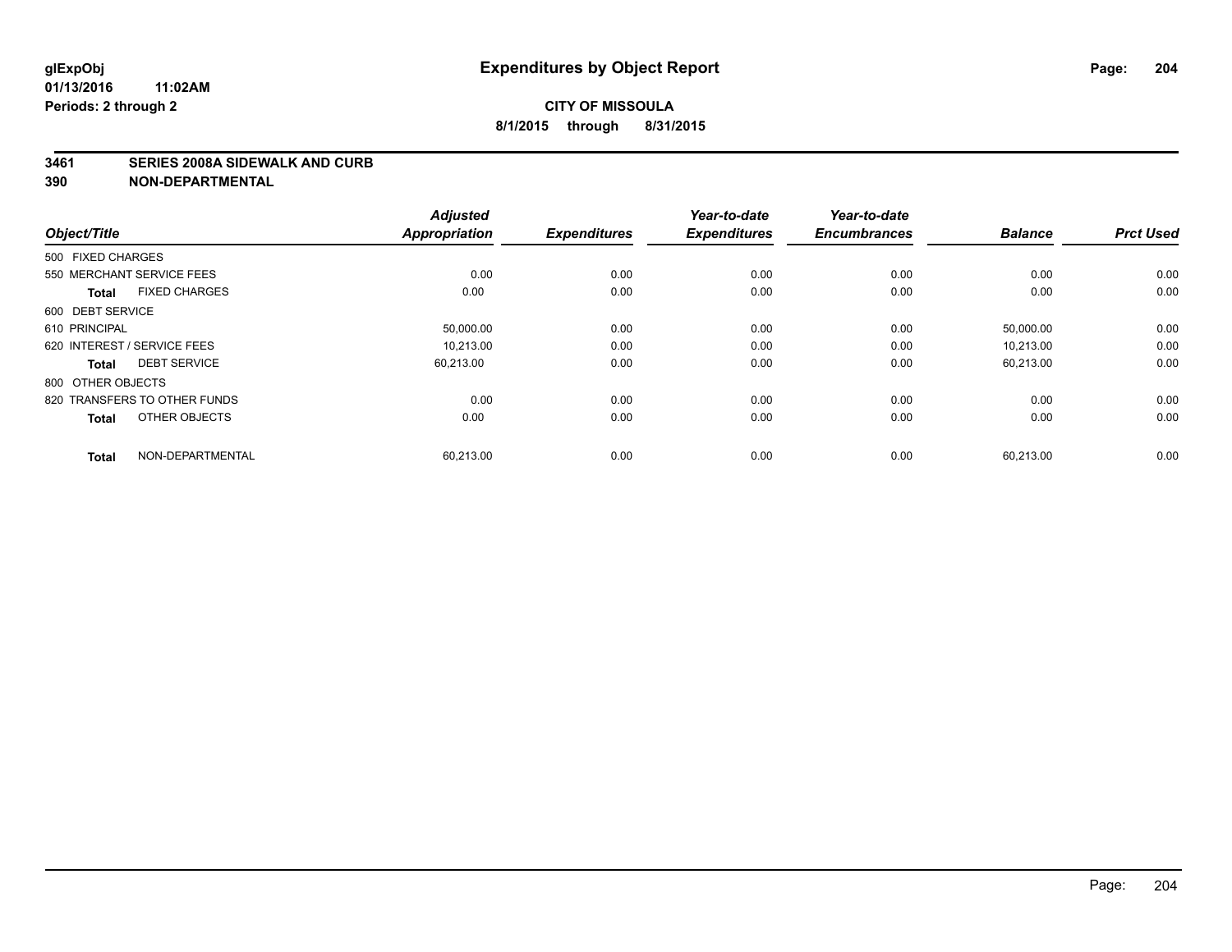#### **3461 SERIES 2008A SIDEWALK AND CURB**

| Object/Title                         | <b>Adjusted</b><br><b>Appropriation</b> | <b>Expenditures</b> | Year-to-date<br><b>Expenditures</b> | Year-to-date<br><b>Encumbrances</b> | <b>Balance</b> | <b>Prct Used</b> |
|--------------------------------------|-----------------------------------------|---------------------|-------------------------------------|-------------------------------------|----------------|------------------|
| 500 FIXED CHARGES                    |                                         |                     |                                     |                                     |                |                  |
| 550 MERCHANT SERVICE FEES            | 0.00                                    | 0.00                | 0.00                                | 0.00                                | 0.00           | 0.00             |
| <b>FIXED CHARGES</b><br><b>Total</b> | 0.00                                    | 0.00                | 0.00                                | 0.00                                | 0.00           | 0.00             |
| 600 DEBT SERVICE                     |                                         |                     |                                     |                                     |                |                  |
| 610 PRINCIPAL                        | 50,000.00                               | 0.00                | 0.00                                | 0.00                                | 50,000.00      | 0.00             |
| 620 INTEREST / SERVICE FEES          | 10.213.00                               | 0.00                | 0.00                                | 0.00                                | 10.213.00      | 0.00             |
| <b>DEBT SERVICE</b><br><b>Total</b>  | 60,213.00                               | 0.00                | 0.00                                | 0.00                                | 60,213.00      | 0.00             |
| 800 OTHER OBJECTS                    |                                         |                     |                                     |                                     |                |                  |
| 820 TRANSFERS TO OTHER FUNDS         | 0.00                                    | 0.00                | 0.00                                | 0.00                                | 0.00           | 0.00             |
| OTHER OBJECTS<br><b>Total</b>        | 0.00                                    | 0.00                | 0.00                                | 0.00                                | 0.00           | 0.00             |
|                                      |                                         |                     |                                     |                                     |                |                  |
| NON-DEPARTMENTAL<br><b>Total</b>     | 60,213.00                               | 0.00                | 0.00                                | 0.00                                | 60,213.00      | 0.00             |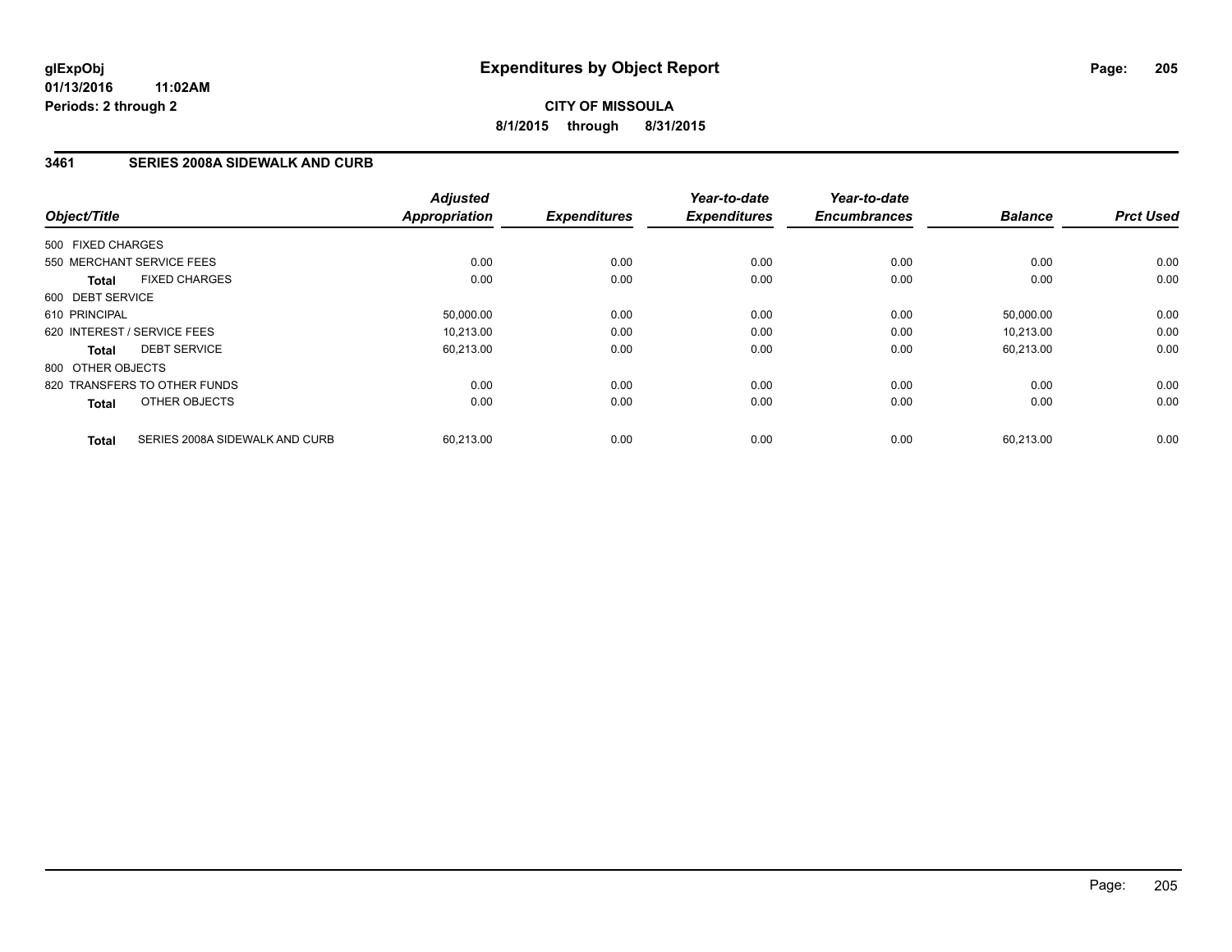**CITY OF MISSOULA 8/1/2015 through 8/31/2015**

# **3461 SERIES 2008A SIDEWALK AND CURB**

| Object/Title                                   | <b>Adjusted</b><br><b>Appropriation</b> | <b>Expenditures</b> | Year-to-date<br><b>Expenditures</b> | Year-to-date<br><b>Encumbrances</b> | <b>Balance</b> | <b>Prct Used</b> |
|------------------------------------------------|-----------------------------------------|---------------------|-------------------------------------|-------------------------------------|----------------|------------------|
| 500 FIXED CHARGES                              |                                         |                     |                                     |                                     |                |                  |
| 550 MERCHANT SERVICE FEES                      | 0.00                                    | 0.00                | 0.00                                | 0.00                                | 0.00           | 0.00             |
| <b>FIXED CHARGES</b><br><b>Total</b>           | 0.00                                    | 0.00                | 0.00                                | 0.00                                | 0.00           | 0.00             |
| 600 DEBT SERVICE                               |                                         |                     |                                     |                                     |                |                  |
| 610 PRINCIPAL                                  | 50,000.00                               | 0.00                | 0.00                                | 0.00                                | 50,000.00      | 0.00             |
| 620 INTEREST / SERVICE FEES                    | 10.213.00                               | 0.00                | 0.00                                | 0.00                                | 10.213.00      | 0.00             |
| <b>DEBT SERVICE</b><br><b>Total</b>            | 60,213.00                               | 0.00                | 0.00                                | 0.00                                | 60,213.00      | 0.00             |
| 800 OTHER OBJECTS                              |                                         |                     |                                     |                                     |                |                  |
| 820 TRANSFERS TO OTHER FUNDS                   | 0.00                                    | 0.00                | 0.00                                | 0.00                                | 0.00           | 0.00             |
| OTHER OBJECTS<br><b>Total</b>                  | 0.00                                    | 0.00                | 0.00                                | 0.00                                | 0.00           | 0.00             |
| SERIES 2008A SIDEWALK AND CURB<br><b>Total</b> | 60,213.00                               | 0.00                | 0.00                                | 0.00                                | 60,213.00      | 0.00             |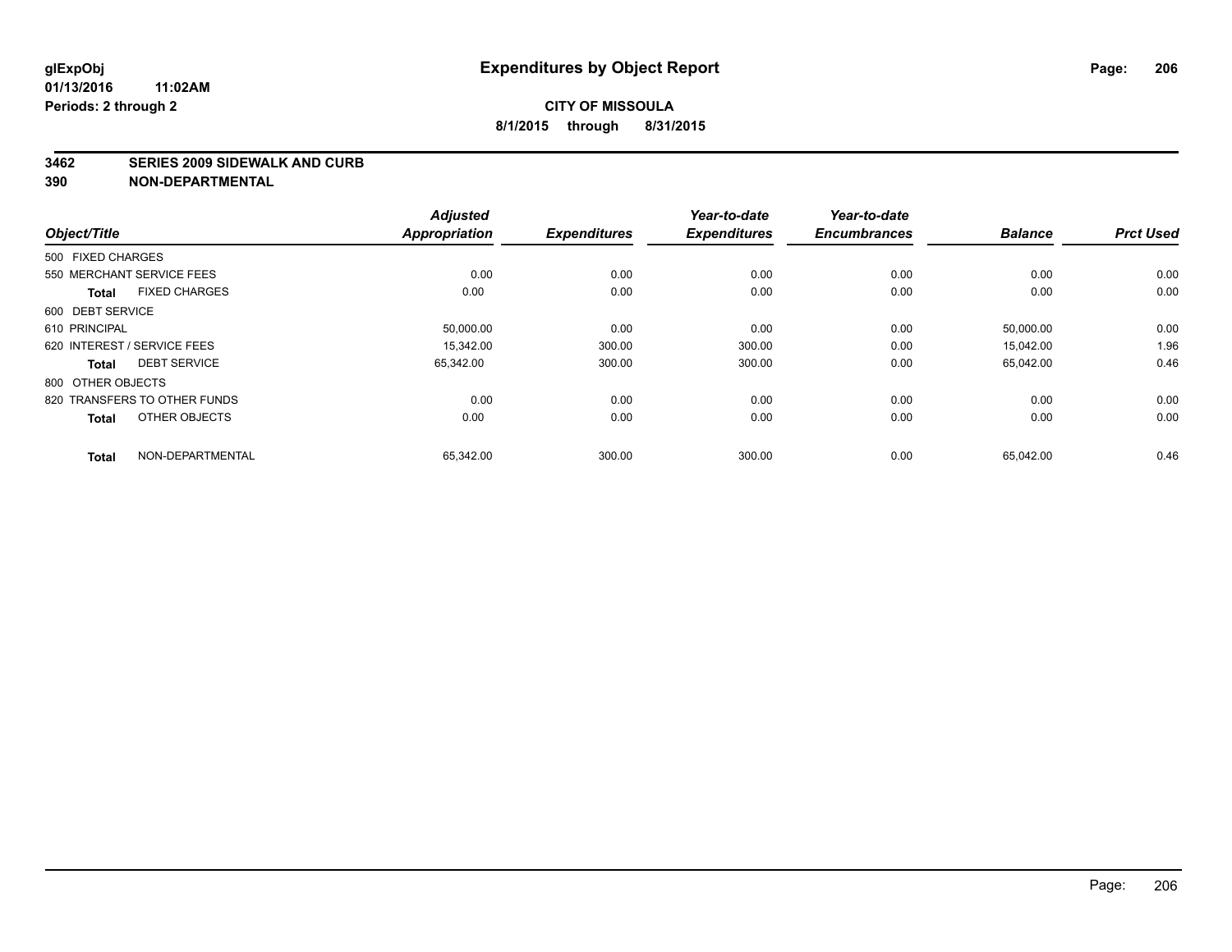#### **3462 SERIES 2009 SIDEWALK AND CURB**

|                             |                              | <b>Adjusted</b>      | <b>Expenditures</b> | Year-to-date        | Year-to-date<br><b>Encumbrances</b> | <b>Balance</b> | <b>Prct Used</b> |
|-----------------------------|------------------------------|----------------------|---------------------|---------------------|-------------------------------------|----------------|------------------|
| Object/Title                |                              | <b>Appropriation</b> |                     | <b>Expenditures</b> |                                     |                |                  |
| 500 FIXED CHARGES           |                              |                      |                     |                     |                                     |                |                  |
|                             | 550 MERCHANT SERVICE FEES    | 0.00                 | 0.00                | 0.00                | 0.00                                | 0.00           | 0.00             |
| <b>Total</b>                | <b>FIXED CHARGES</b>         | 0.00                 | 0.00                | 0.00                | 0.00                                | 0.00           | 0.00             |
| 600 DEBT SERVICE            |                              |                      |                     |                     |                                     |                |                  |
| 610 PRINCIPAL               |                              | 50,000.00            | 0.00                | 0.00                | 0.00                                | 50,000.00      | 0.00             |
| 620 INTEREST / SERVICE FEES |                              | 15.342.00            | 300.00              | 300.00              | 0.00                                | 15,042.00      | 1.96             |
| <b>Total</b>                | <b>DEBT SERVICE</b>          | 65,342.00            | 300.00              | 300.00              | 0.00                                | 65,042.00      | 0.46             |
| 800 OTHER OBJECTS           |                              |                      |                     |                     |                                     |                |                  |
|                             | 820 TRANSFERS TO OTHER FUNDS | 0.00                 | 0.00                | 0.00                | 0.00                                | 0.00           | 0.00             |
| <b>Total</b>                | OTHER OBJECTS                | 0.00                 | 0.00                | 0.00                | 0.00                                | 0.00           | 0.00             |
| <b>Total</b>                | NON-DEPARTMENTAL             | 65,342.00            | 300.00              | 300.00              | 0.00                                | 65,042.00      | 0.46             |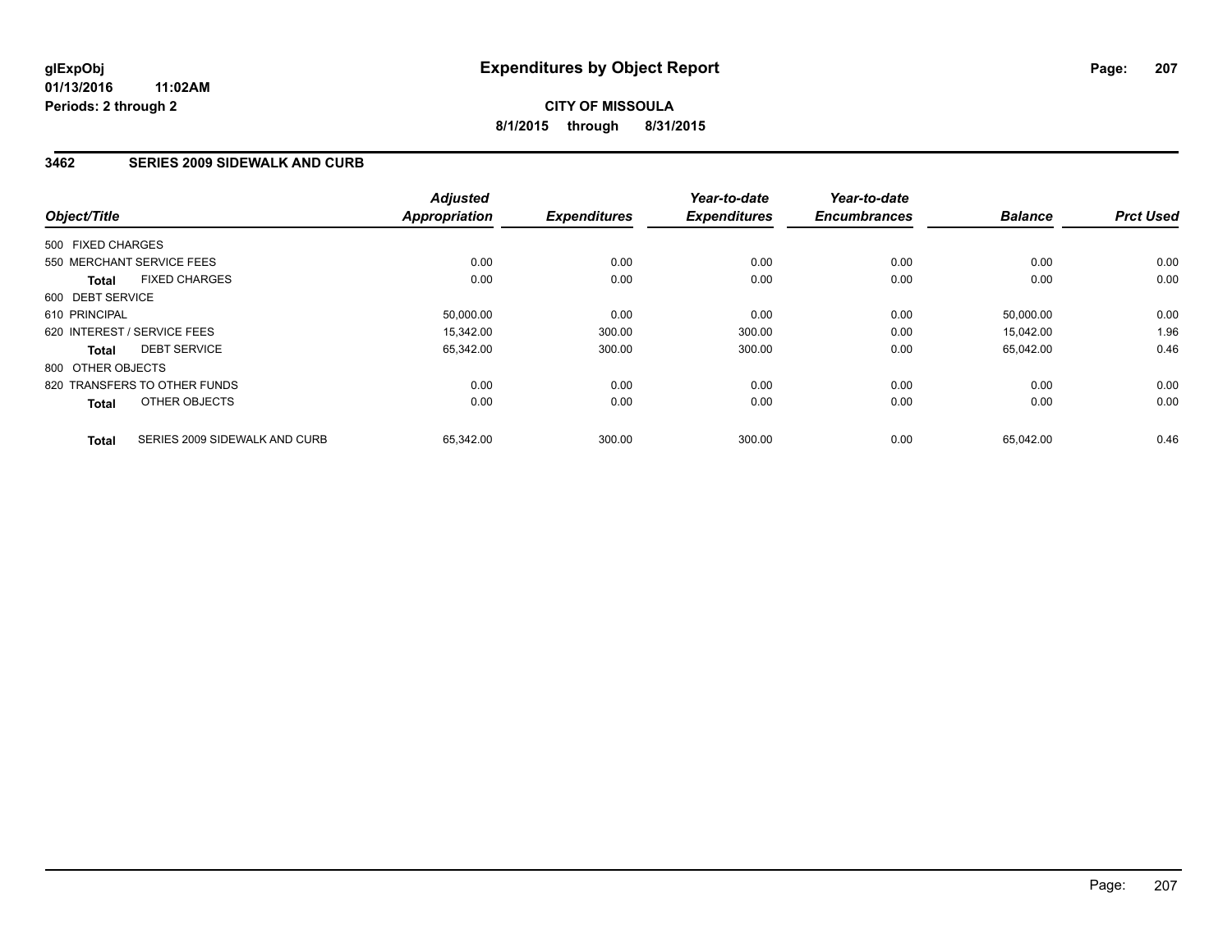# **3462 SERIES 2009 SIDEWALK AND CURB**

| Object/Title                                  | <b>Adjusted</b><br><b>Appropriation</b> | <b>Expenditures</b> | Year-to-date<br><b>Expenditures</b> | Year-to-date<br><b>Encumbrances</b> | <b>Balance</b> | <b>Prct Used</b> |
|-----------------------------------------------|-----------------------------------------|---------------------|-------------------------------------|-------------------------------------|----------------|------------------|
|                                               |                                         |                     |                                     |                                     |                |                  |
| 500 FIXED CHARGES                             |                                         |                     |                                     |                                     |                |                  |
| 550 MERCHANT SERVICE FEES                     | 0.00                                    | 0.00                | 0.00                                | 0.00                                | 0.00           | 0.00             |
| <b>FIXED CHARGES</b><br><b>Total</b>          | 0.00                                    | 0.00                | 0.00                                | 0.00                                | 0.00           | 0.00             |
| 600 DEBT SERVICE                              |                                         |                     |                                     |                                     |                |                  |
| 610 PRINCIPAL                                 | 50,000.00                               | 0.00                | 0.00                                | 0.00                                | 50,000.00      | 0.00             |
| 620 INTEREST / SERVICE FEES                   | 15.342.00                               | 300.00              | 300.00                              | 0.00                                | 15.042.00      | 1.96             |
| <b>DEBT SERVICE</b><br><b>Total</b>           | 65,342.00                               | 300.00              | 300.00                              | 0.00                                | 65,042.00      | 0.46             |
| 800 OTHER OBJECTS                             |                                         |                     |                                     |                                     |                |                  |
| 820 TRANSFERS TO OTHER FUNDS                  | 0.00                                    | 0.00                | 0.00                                | 0.00                                | 0.00           | 0.00             |
| <b>OTHER OBJECTS</b><br><b>Total</b>          | 0.00                                    | 0.00                | 0.00                                | 0.00                                | 0.00           | 0.00             |
| SERIES 2009 SIDEWALK AND CURB<br><b>Total</b> | 65.342.00                               | 300.00              | 300.00                              | 0.00                                | 65.042.00      | 0.46             |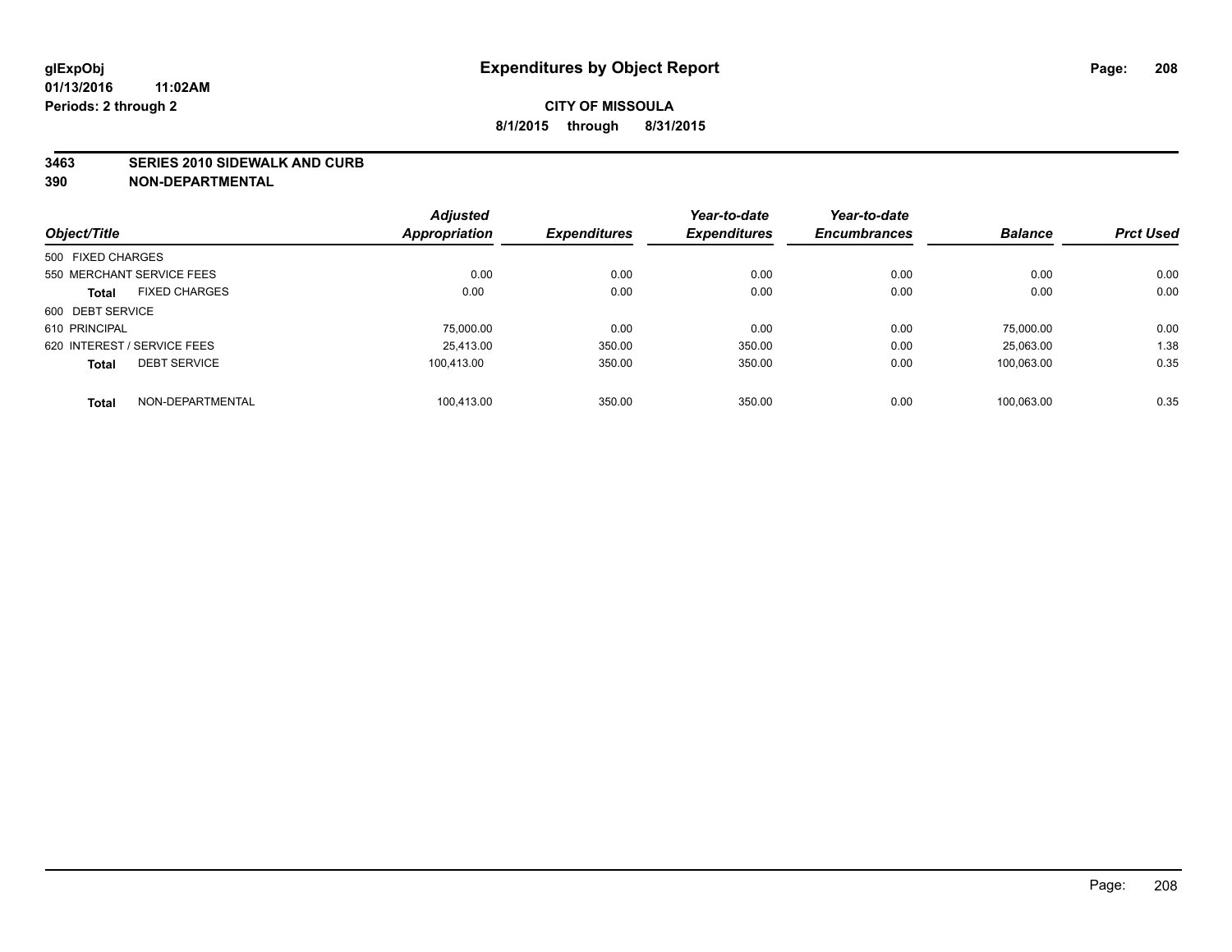#### **3463 SERIES 2010 SIDEWALK AND CURB**

|                                      | <b>Adjusted</b>      |                     | Year-to-date        | Year-to-date        |                |                  |
|--------------------------------------|----------------------|---------------------|---------------------|---------------------|----------------|------------------|
| Object/Title                         | <b>Appropriation</b> | <b>Expenditures</b> | <b>Expenditures</b> | <b>Encumbrances</b> | <b>Balance</b> | <b>Prct Used</b> |
| 500 FIXED CHARGES                    |                      |                     |                     |                     |                |                  |
| 550 MERCHANT SERVICE FEES            | 0.00                 | 0.00                | 0.00                | 0.00                | 0.00           | 0.00             |
| <b>FIXED CHARGES</b><br><b>Total</b> | 0.00                 | 0.00                | 0.00                | 0.00                | 0.00           | 0.00             |
| 600 DEBT SERVICE                     |                      |                     |                     |                     |                |                  |
| 610 PRINCIPAL                        | 75.000.00            | 0.00                | 0.00                | 0.00                | 75.000.00      | 0.00             |
| 620 INTEREST / SERVICE FEES          | 25.413.00            | 350.00              | 350.00              | 0.00                | 25.063.00      | 1.38             |
| <b>DEBT SERVICE</b><br><b>Total</b>  | 100.413.00           | 350.00              | 350.00              | 0.00                | 100,063.00     | 0.35             |
| NON-DEPARTMENTAL<br><b>Total</b>     | 100.413.00           | 350.00              | 350.00              | 0.00                | 100.063.00     | 0.35             |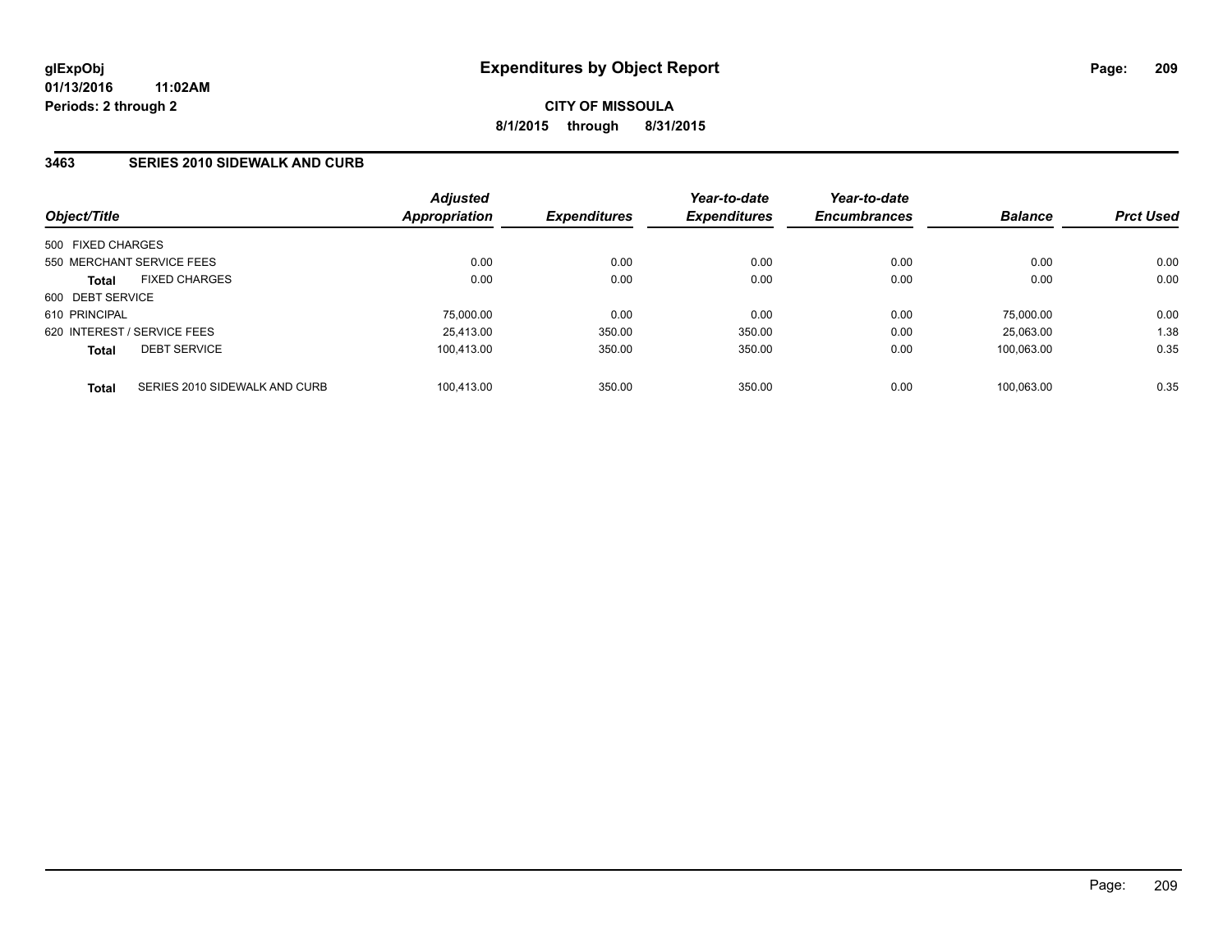### **3463 SERIES 2010 SIDEWALK AND CURB**

| Object/Title      |                               | <b>Adjusted</b><br><b>Appropriation</b> | <b>Expenditures</b> | Year-to-date<br><b>Expenditures</b> | Year-to-date<br><b>Encumbrances</b> | <b>Balance</b> | <b>Prct Used</b> |
|-------------------|-------------------------------|-----------------------------------------|---------------------|-------------------------------------|-------------------------------------|----------------|------------------|
| 500 FIXED CHARGES |                               |                                         |                     |                                     |                                     |                |                  |
|                   | 550 MERCHANT SERVICE FEES     | 0.00                                    | 0.00                | 0.00                                | 0.00                                | 0.00           | 0.00             |
| <b>Total</b>      | <b>FIXED CHARGES</b>          | 0.00                                    | 0.00                | 0.00                                | 0.00                                | 0.00           | 0.00             |
| 600 DEBT SERVICE  |                               |                                         |                     |                                     |                                     |                |                  |
| 610 PRINCIPAL     |                               | 75,000.00                               | 0.00                | 0.00                                | 0.00                                | 75,000.00      | 0.00             |
|                   | 620 INTEREST / SERVICE FEES   | 25.413.00                               | 350.00              | 350.00                              | 0.00                                | 25.063.00      | 1.38             |
| <b>Total</b>      | <b>DEBT SERVICE</b>           | 100.413.00                              | 350.00              | 350.00                              | 0.00                                | 100.063.00     | 0.35             |
| <b>Total</b>      | SERIES 2010 SIDEWALK AND CURB | 100.413.00                              | 350.00              | 350.00                              | 0.00                                | 100.063.00     | 0.35             |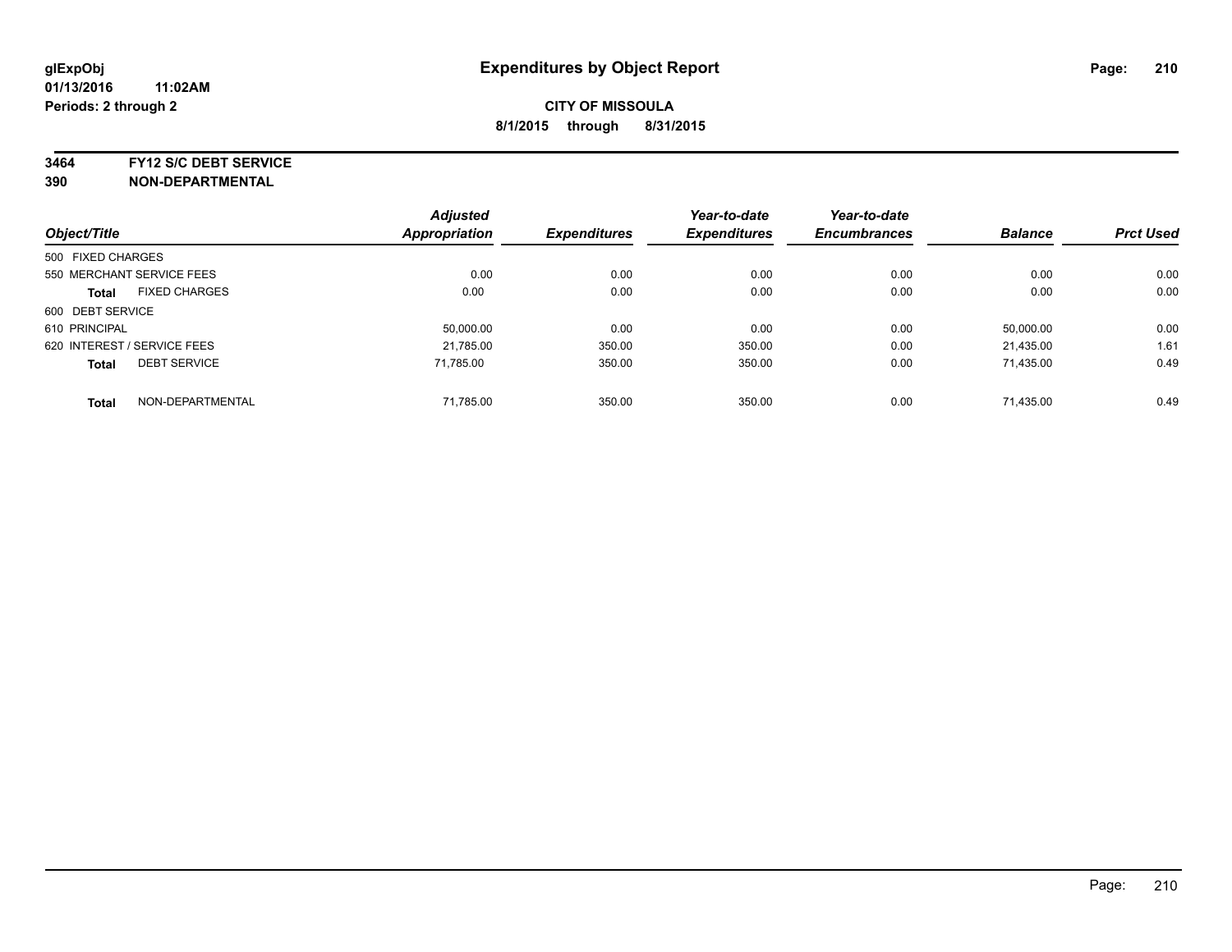**3464 FY12 S/C DEBT SERVICE**

| Object/Title                         | <b>Adjusted</b><br><b>Appropriation</b> | <b>Expenditures</b> | Year-to-date<br><b>Expenditures</b> | Year-to-date<br><b>Encumbrances</b> | <b>Balance</b> | <b>Prct Used</b> |
|--------------------------------------|-----------------------------------------|---------------------|-------------------------------------|-------------------------------------|----------------|------------------|
|                                      |                                         |                     |                                     |                                     |                |                  |
| 500 FIXED CHARGES                    |                                         |                     |                                     |                                     |                |                  |
| 550 MERCHANT SERVICE FEES            | 0.00                                    | 0.00                | 0.00                                | 0.00                                | 0.00           | 0.00             |
| <b>FIXED CHARGES</b><br><b>Total</b> | 0.00                                    | 0.00                | 0.00                                | 0.00                                | 0.00           | 0.00             |
| 600 DEBT SERVICE                     |                                         |                     |                                     |                                     |                |                  |
| 610 PRINCIPAL                        | 50.000.00                               | 0.00                | 0.00                                | 0.00                                | 50,000.00      | 0.00             |
| 620 INTEREST / SERVICE FEES          | 21,785.00                               | 350.00              | 350.00                              | 0.00                                | 21,435.00      | 1.61             |
| <b>DEBT SERVICE</b><br><b>Total</b>  | 71.785.00                               | 350.00              | 350.00                              | 0.00                                | 71,435.00      | 0.49             |
| NON-DEPARTMENTAL<br><b>Total</b>     | 71.785.00                               | 350.00              | 350.00                              | 0.00                                | 71.435.00      | 0.49             |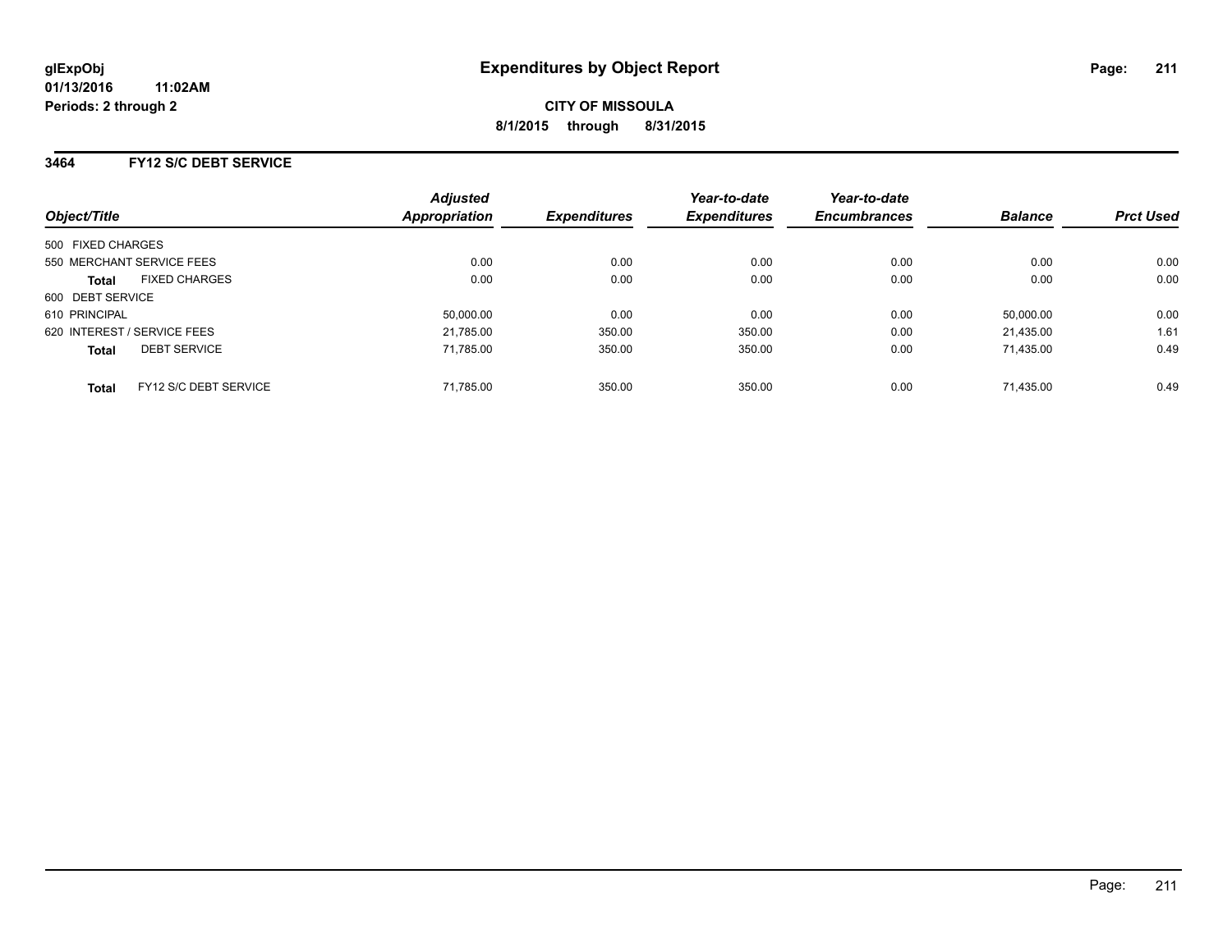# **3464 FY12 S/C DEBT SERVICE**

| Object/Title      |                             | <b>Adjusted</b><br><b>Appropriation</b> | <b>Expenditures</b> | Year-to-date<br><b>Expenditures</b> | Year-to-date<br><b>Encumbrances</b> | <b>Balance</b> | <b>Prct Used</b> |
|-------------------|-----------------------------|-----------------------------------------|---------------------|-------------------------------------|-------------------------------------|----------------|------------------|
| 500 FIXED CHARGES |                             |                                         |                     |                                     |                                     |                |                  |
|                   | 550 MERCHANT SERVICE FEES   | 0.00                                    | 0.00                | 0.00                                | 0.00                                | 0.00           | 0.00             |
| <b>Total</b>      | <b>FIXED CHARGES</b>        | 0.00                                    | 0.00                | 0.00                                | 0.00                                | 0.00           | 0.00             |
| 600 DEBT SERVICE  |                             |                                         |                     |                                     |                                     |                |                  |
| 610 PRINCIPAL     |                             | 50.000.00                               | 0.00                | 0.00                                | 0.00                                | 50,000.00      | 0.00             |
|                   | 620 INTEREST / SERVICE FEES | 21,785.00                               | 350.00              | 350.00                              | 0.00                                | 21.435.00      | 1.61             |
| <b>Total</b>      | <b>DEBT SERVICE</b>         | 71.785.00                               | 350.00              | 350.00                              | 0.00                                | 71.435.00      | 0.49             |
| <b>Total</b>      | FY12 S/C DEBT SERVICE       | 71.785.00                               | 350.00              | 350.00                              | 0.00                                | 71.435.00      | 0.49             |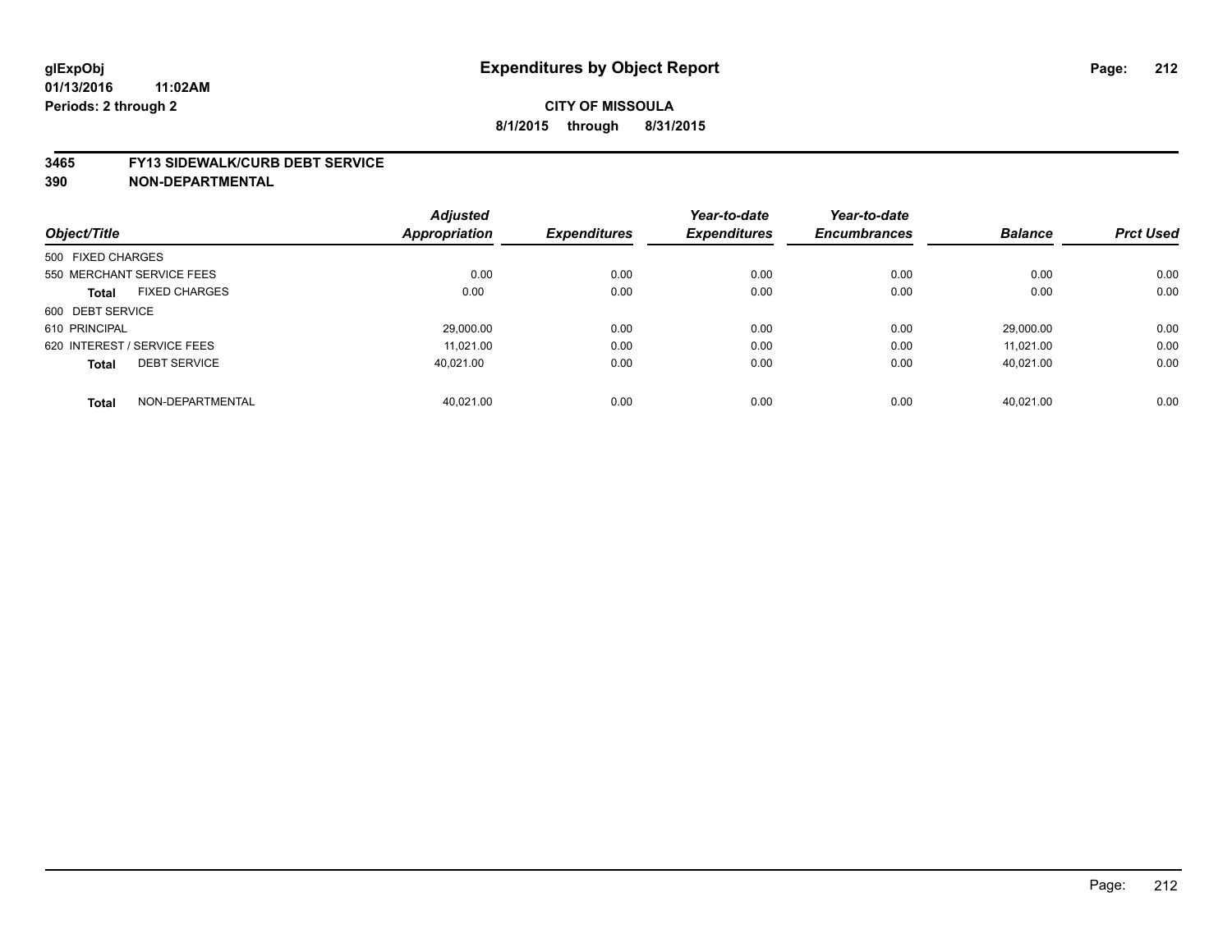#### **3465 FY13 SIDEWALK/CURB DEBT SERVICE**

|                                      | <b>Adjusted</b>      |                     | Year-to-date        | Year-to-date        |                |                  |
|--------------------------------------|----------------------|---------------------|---------------------|---------------------|----------------|------------------|
| Object/Title                         | <b>Appropriation</b> | <b>Expenditures</b> | <b>Expenditures</b> | <b>Encumbrances</b> | <b>Balance</b> | <b>Prct Used</b> |
| 500 FIXED CHARGES                    |                      |                     |                     |                     |                |                  |
| 550 MERCHANT SERVICE FEES            | 0.00                 | 0.00                | 0.00                | 0.00                | 0.00           | 0.00             |
| <b>FIXED CHARGES</b><br><b>Total</b> | 0.00                 | 0.00                | 0.00                | 0.00                | 0.00           | 0.00             |
| 600 DEBT SERVICE                     |                      |                     |                     |                     |                |                  |
| 610 PRINCIPAL                        | 29.000.00            | 0.00                | 0.00                | 0.00                | 29.000.00      | 0.00             |
| 620 INTEREST / SERVICE FEES          | 11.021.00            | 0.00                | 0.00                | 0.00                | 11.021.00      | 0.00             |
| <b>DEBT SERVICE</b><br><b>Total</b>  | 40.021.00            | 0.00                | 0.00                | 0.00                | 40.021.00      | 0.00             |
| NON-DEPARTMENTAL<br><b>Total</b>     | 40.021.00            | 0.00                | 0.00                | 0.00                | 40.021.00      | 0.00             |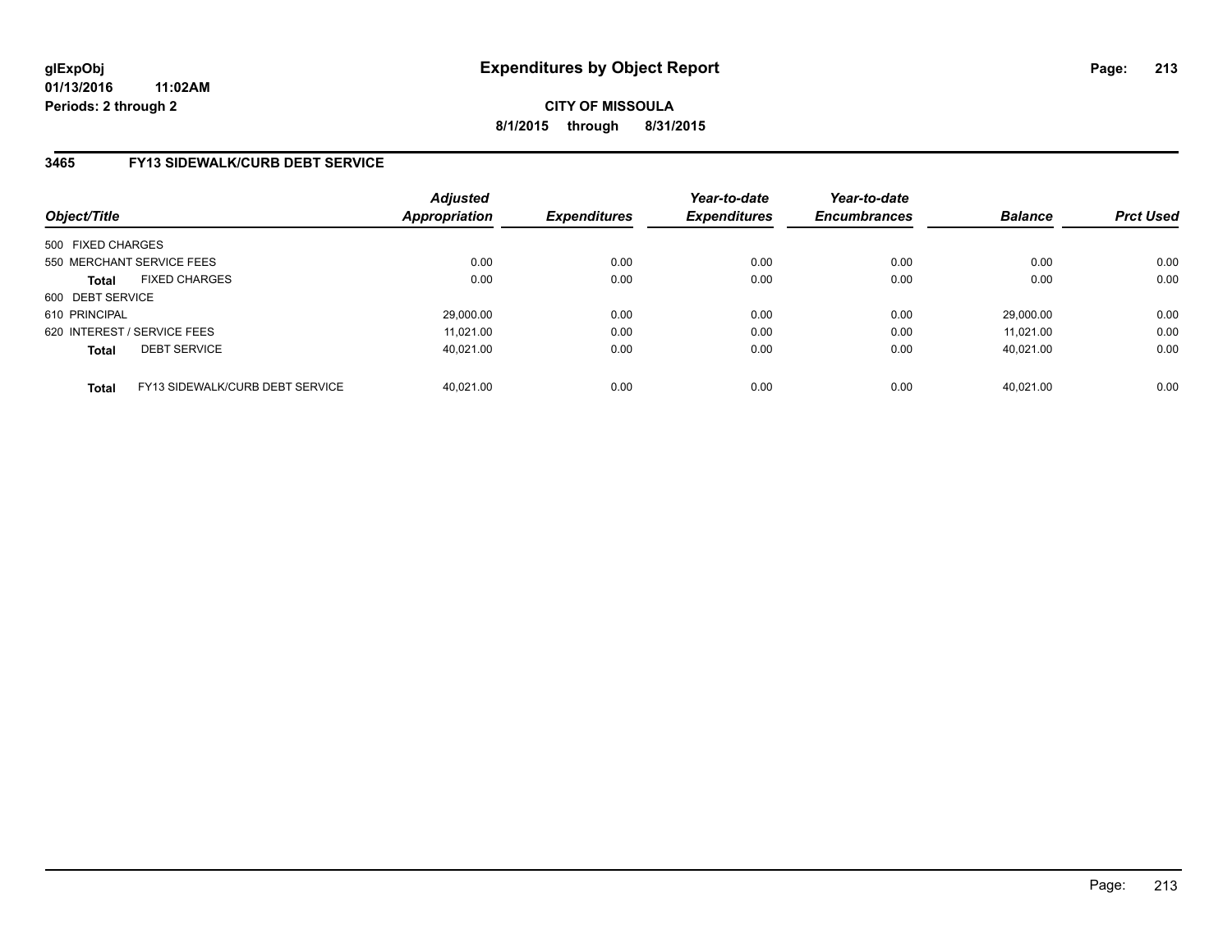**CITY OF MISSOULA 8/1/2015 through 8/31/2015**

### **3465 FY13 SIDEWALK/CURB DEBT SERVICE**

| Object/Title                |                                 | <b>Adjusted</b><br><b>Appropriation</b> | <b>Expenditures</b> | Year-to-date<br><b>Expenditures</b> | Year-to-date<br><b>Encumbrances</b> | <b>Balance</b> | <b>Prct Used</b> |
|-----------------------------|---------------------------------|-----------------------------------------|---------------------|-------------------------------------|-------------------------------------|----------------|------------------|
| 500 FIXED CHARGES           |                                 |                                         |                     |                                     |                                     |                |                  |
| 550 MERCHANT SERVICE FEES   |                                 | 0.00                                    | 0.00                | 0.00                                | 0.00                                | 0.00           | 0.00             |
| <b>Total</b>                | <b>FIXED CHARGES</b>            | 0.00                                    | 0.00                | 0.00                                | 0.00                                | 0.00           | 0.00             |
| 600 DEBT SERVICE            |                                 |                                         |                     |                                     |                                     |                |                  |
| 610 PRINCIPAL               |                                 | 29,000.00                               | 0.00                | 0.00                                | 0.00                                | 29.000.00      | 0.00             |
| 620 INTEREST / SERVICE FEES |                                 | 11.021.00                               | 0.00                | 0.00                                | 0.00                                | 11.021.00      | 0.00             |
| <b>Total</b>                | <b>DEBT SERVICE</b>             | 40.021.00                               | 0.00                | 0.00                                | 0.00                                | 40.021.00      | 0.00             |
| <b>Total</b>                | FY13 SIDEWALK/CURB DEBT SERVICE | 40.021.00                               | 0.00                | 0.00                                | 0.00                                | 40.021.00      | 0.00             |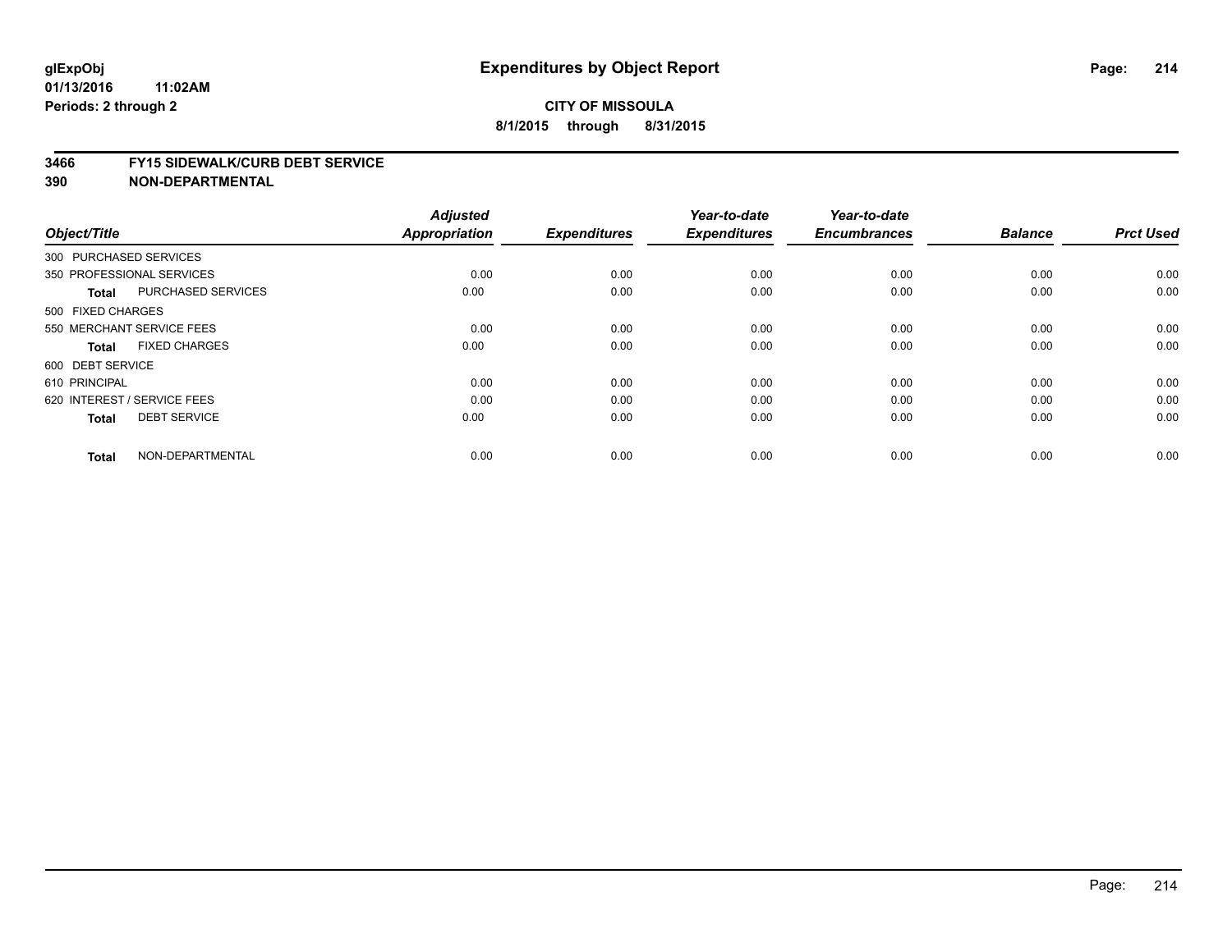#### **3466 FY15 SIDEWALK/CURB DEBT SERVICE**

| Object/Title                              | <b>Adjusted</b><br>Appropriation | <b>Expenditures</b> | Year-to-date<br><b>Expenditures</b> | Year-to-date<br><b>Encumbrances</b> | <b>Balance</b> | <b>Prct Used</b> |
|-------------------------------------------|----------------------------------|---------------------|-------------------------------------|-------------------------------------|----------------|------------------|
|                                           |                                  |                     |                                     |                                     |                |                  |
| 300 PURCHASED SERVICES                    |                                  |                     |                                     |                                     |                |                  |
| 350 PROFESSIONAL SERVICES                 | 0.00                             | 0.00                | 0.00                                | 0.00                                | 0.00           | 0.00             |
| <b>PURCHASED SERVICES</b><br><b>Total</b> | 0.00                             | 0.00                | 0.00                                | 0.00                                | 0.00           | 0.00             |
| 500 FIXED CHARGES                         |                                  |                     |                                     |                                     |                |                  |
| 550 MERCHANT SERVICE FEES                 | 0.00                             | 0.00                | 0.00                                | 0.00                                | 0.00           | 0.00             |
| <b>FIXED CHARGES</b><br><b>Total</b>      | 0.00                             | 0.00                | 0.00                                | 0.00                                | 0.00           | 0.00             |
| 600 DEBT SERVICE                          |                                  |                     |                                     |                                     |                |                  |
| 610 PRINCIPAL                             | 0.00                             | 0.00                | 0.00                                | 0.00                                | 0.00           | 0.00             |
| 620 INTEREST / SERVICE FEES               | 0.00                             | 0.00                | 0.00                                | 0.00                                | 0.00           | 0.00             |
| <b>DEBT SERVICE</b><br><b>Total</b>       | 0.00                             | 0.00                | 0.00                                | 0.00                                | 0.00           | 0.00             |
| NON-DEPARTMENTAL<br><b>Total</b>          | 0.00                             | 0.00                | 0.00                                | 0.00                                | 0.00           | 0.00             |
|                                           |                                  |                     |                                     |                                     |                |                  |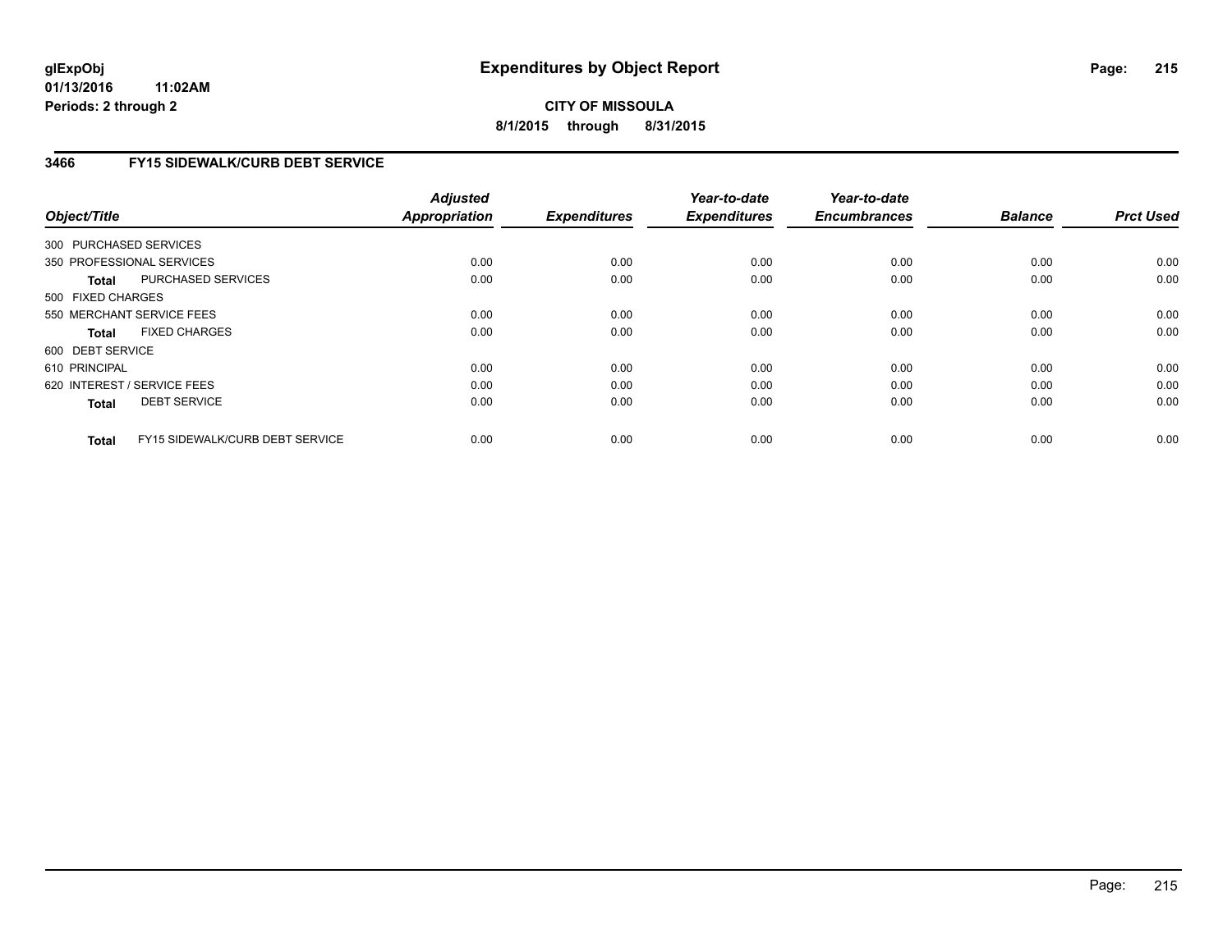# **CITY OF MISSOULA 8/1/2015 through 8/31/2015**

# **3466 FY15 SIDEWALK/CURB DEBT SERVICE**

| Object/Title           |                                 | <b>Adjusted</b><br><b>Appropriation</b> | <b>Expenditures</b> | Year-to-date<br><b>Expenditures</b> | Year-to-date<br><b>Encumbrances</b> | <b>Balance</b> | <b>Prct Used</b> |
|------------------------|---------------------------------|-----------------------------------------|---------------------|-------------------------------------|-------------------------------------|----------------|------------------|
|                        |                                 |                                         |                     |                                     |                                     |                |                  |
| 300 PURCHASED SERVICES |                                 |                                         |                     |                                     |                                     |                |                  |
|                        | 350 PROFESSIONAL SERVICES       | 0.00                                    | 0.00                | 0.00                                | 0.00                                | 0.00           | 0.00             |
| Total                  | PURCHASED SERVICES              | 0.00                                    | 0.00                | 0.00                                | 0.00                                | 0.00           | 0.00             |
| 500 FIXED CHARGES      |                                 |                                         |                     |                                     |                                     |                |                  |
|                        | 550 MERCHANT SERVICE FEES       | 0.00                                    | 0.00                | 0.00                                | 0.00                                | 0.00           | 0.00             |
| <b>Total</b>           | <b>FIXED CHARGES</b>            | 0.00                                    | 0.00                | 0.00                                | 0.00                                | 0.00           | 0.00             |
| 600 DEBT SERVICE       |                                 |                                         |                     |                                     |                                     |                |                  |
| 610 PRINCIPAL          |                                 | 0.00                                    | 0.00                | 0.00                                | 0.00                                | 0.00           | 0.00             |
|                        | 620 INTEREST / SERVICE FEES     | 0.00                                    | 0.00                | 0.00                                | 0.00                                | 0.00           | 0.00             |
| <b>Total</b>           | <b>DEBT SERVICE</b>             | 0.00                                    | 0.00                | 0.00                                | 0.00                                | 0.00           | 0.00             |
|                        |                                 |                                         |                     |                                     |                                     |                |                  |
| <b>Total</b>           | FY15 SIDEWALK/CURB DEBT SERVICE | 0.00                                    | 0.00                | 0.00                                | 0.00                                | 0.00           | 0.00             |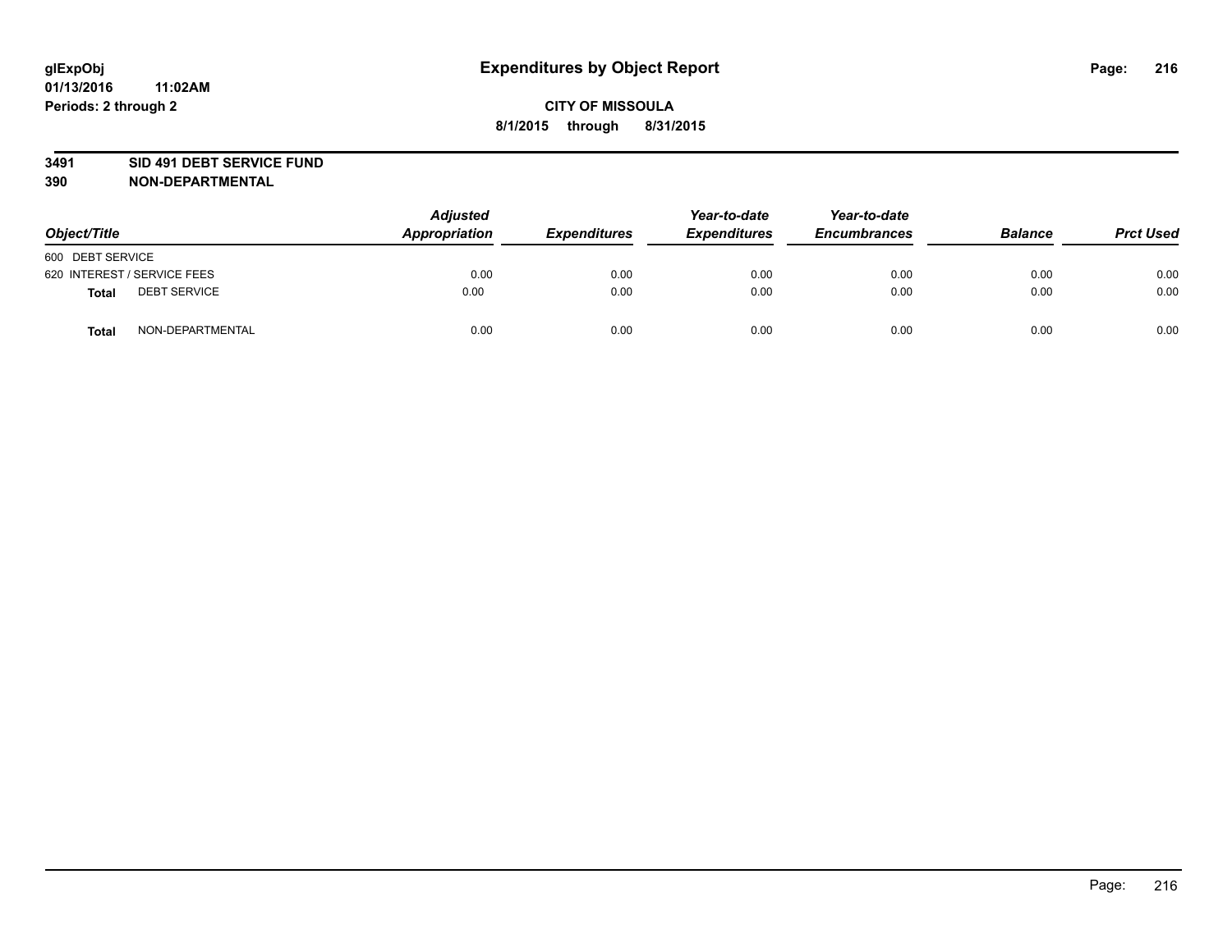### **3491 SID 491 DEBT SERVICE FUND**

| Object/Title                 | <b>Adjusted</b><br>Appropriation | <b>Expenditures</b> | Year-to-date<br><b>Expenditures</b> | Year-to-date<br><b>Encumbrances</b> | <b>Balance</b> | <b>Prct Used</b> |
|------------------------------|----------------------------------|---------------------|-------------------------------------|-------------------------------------|----------------|------------------|
| 600 DEBT SERVICE             |                                  |                     |                                     |                                     |                |                  |
| 620 INTEREST / SERVICE FEES  | 0.00                             | 0.00                | 0.00                                | 0.00                                | 0.00           | 0.00             |
| <b>DEBT SERVICE</b><br>Total | 0.00                             | 0.00                | 0.00                                | 0.00                                | 0.00           | 0.00             |
| NON-DEPARTMENTAL<br>Total    | 0.00                             | 0.00                | 0.00                                | 0.00                                | 0.00           | 0.00             |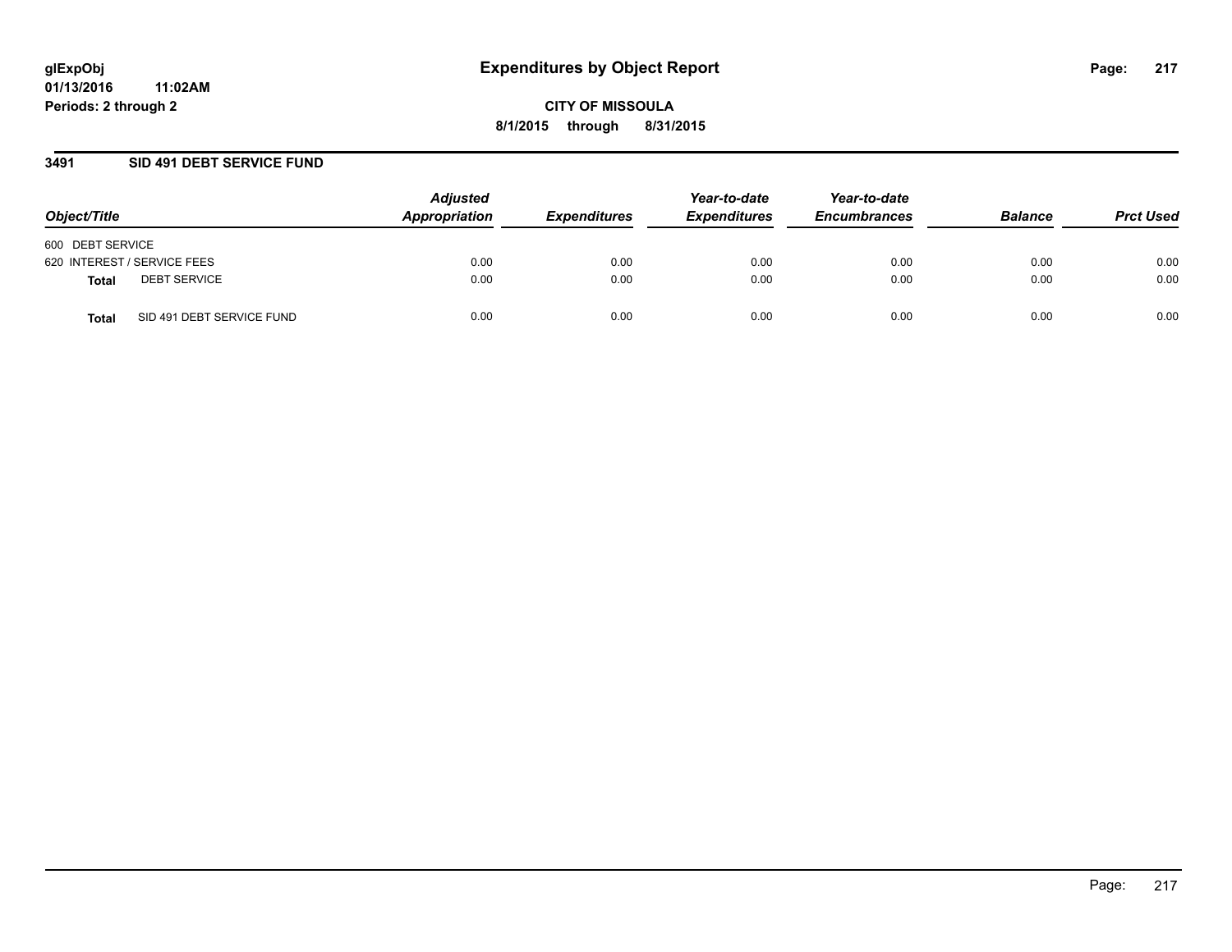### **3491 SID 491 DEBT SERVICE FUND**

| Object/Title                              | <b>Adjusted</b><br>Appropriation | <b>Expenditures</b> | Year-to-date<br><b>Expenditures</b> | Year-to-date<br><b>Encumbrances</b> | <b>Balance</b> | <b>Prct Used</b> |
|-------------------------------------------|----------------------------------|---------------------|-------------------------------------|-------------------------------------|----------------|------------------|
| 600 DEBT SERVICE                          |                                  |                     |                                     |                                     |                |                  |
| 620 INTEREST / SERVICE FEES               | 0.00                             | 0.00                | 0.00                                | 0.00                                | 0.00           | 0.00             |
| <b>DEBT SERVICE</b><br><b>Total</b>       | 0.00                             | 0.00                | 0.00                                | 0.00                                | 0.00           | 0.00             |
| SID 491 DEBT SERVICE FUND<br><b>Total</b> | 0.00                             | 0.00                | 0.00                                | 0.00                                | 0.00           | 0.00             |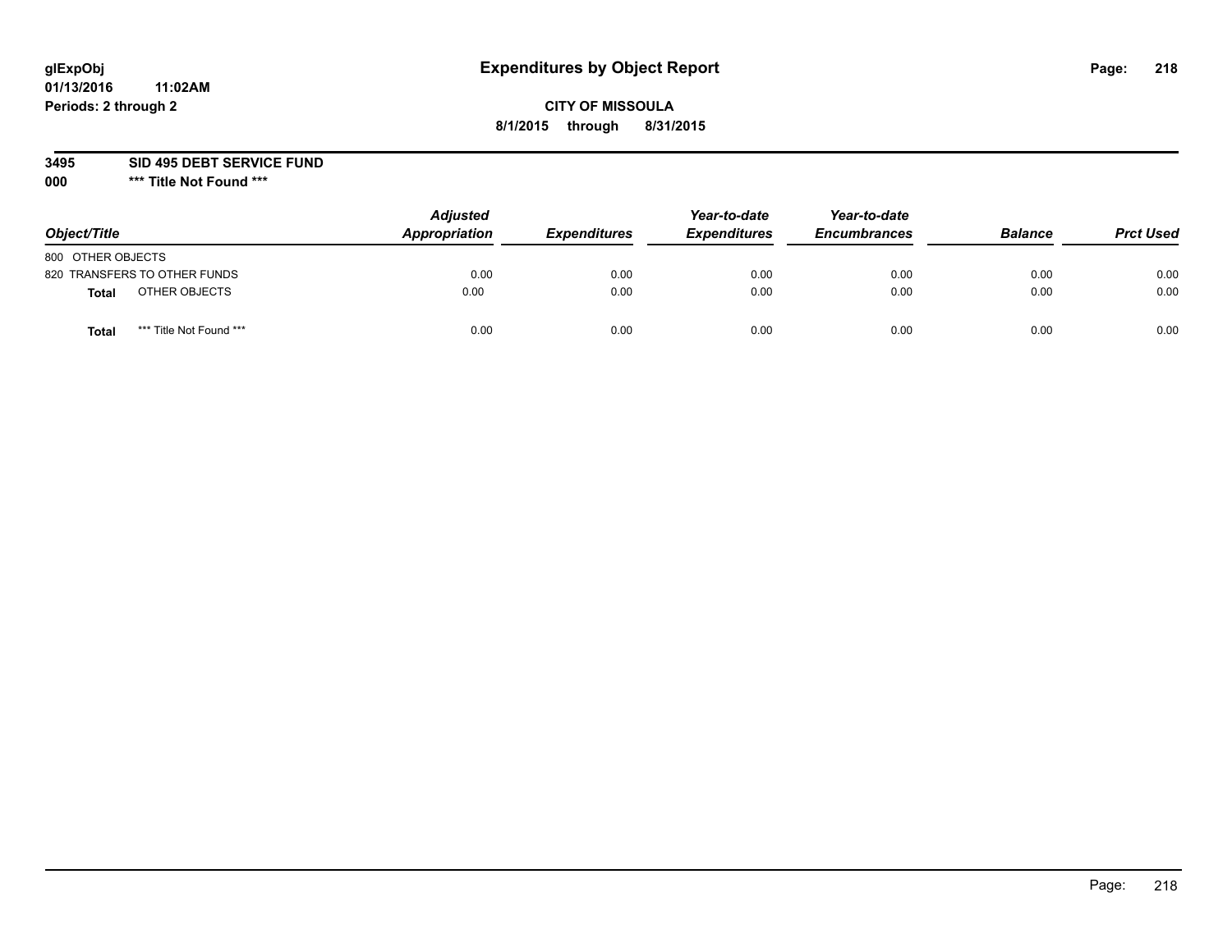## **CITY OF MISSOULA 8/1/2015 through 8/31/2015**

**3495 SID 495 DEBT SERVICE FUND**

| Object/Title                            | <b>Adjusted</b><br>Appropriation | <b>Expenditures</b> | Year-to-date<br><b>Expenditures</b> | Year-to-date<br><b>Encumbrances</b> | <b>Balance</b> | <b>Prct Used</b> |
|-----------------------------------------|----------------------------------|---------------------|-------------------------------------|-------------------------------------|----------------|------------------|
| 800 OTHER OBJECTS                       |                                  |                     |                                     |                                     |                |                  |
| 820 TRANSFERS TO OTHER FUNDS            | 0.00                             | 0.00                | 0.00                                | 0.00                                | 0.00           | 0.00             |
| OTHER OBJECTS<br><b>Total</b>           | 0.00                             | 0.00                | 0.00                                | 0.00                                | 0.00           | 0.00             |
| *** Title Not Found ***<br><b>Total</b> | 0.00                             | 0.00                | 0.00                                | 0.00                                | 0.00           | 0.00             |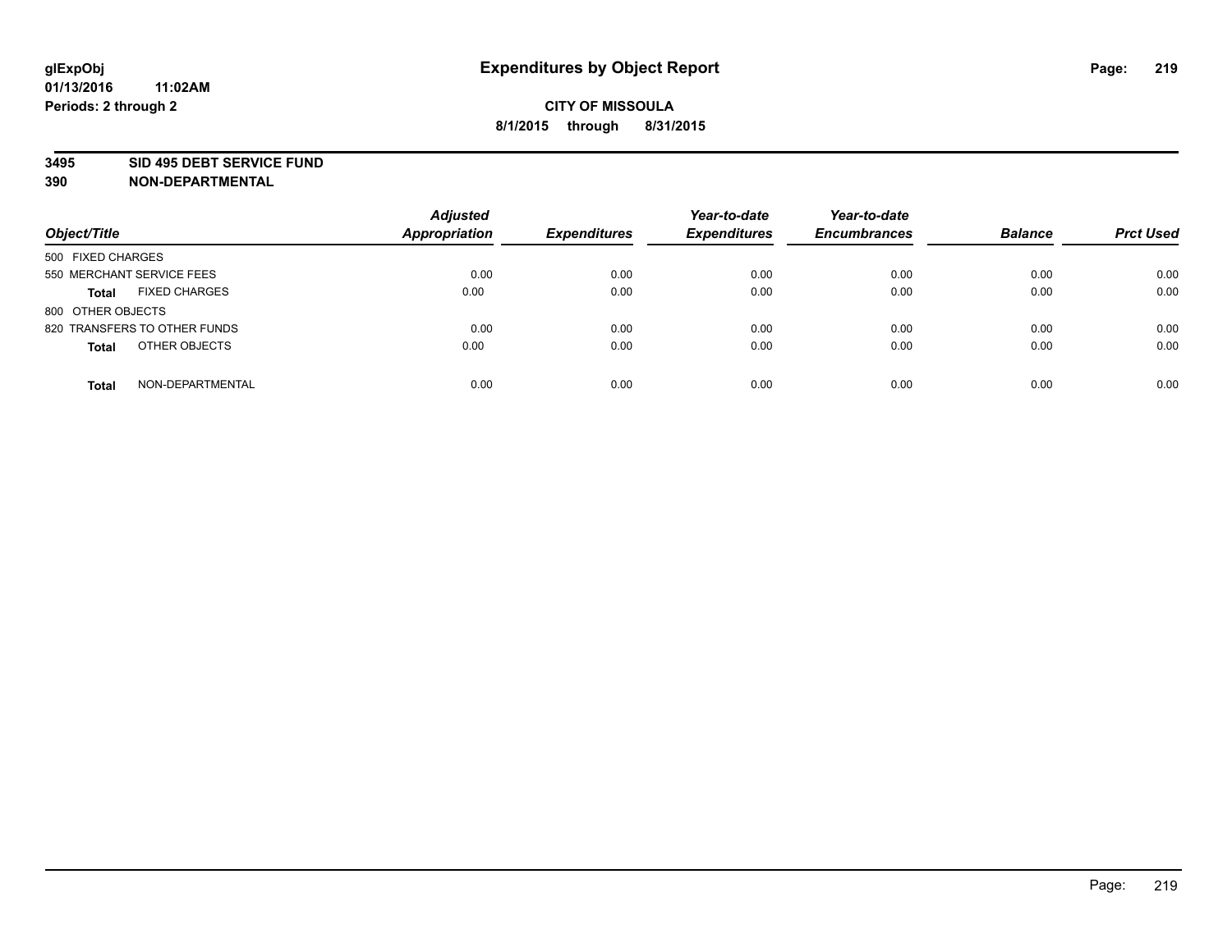#### **3495 SID 495 DEBT SERVICE FUND**

| Object/Title                         | <b>Adjusted</b><br><b>Appropriation</b> | <b>Expenditures</b> | Year-to-date<br><b>Expenditures</b> | Year-to-date<br><b>Encumbrances</b> | <b>Balance</b> | <b>Prct Used</b> |
|--------------------------------------|-----------------------------------------|---------------------|-------------------------------------|-------------------------------------|----------------|------------------|
| 500 FIXED CHARGES                    |                                         |                     |                                     |                                     |                |                  |
| 550 MERCHANT SERVICE FEES            | 0.00                                    | 0.00                | 0.00                                | 0.00                                | 0.00           | 0.00             |
| <b>FIXED CHARGES</b><br><b>Total</b> | 0.00                                    | 0.00                | 0.00                                | 0.00                                | 0.00           | 0.00             |
| 800 OTHER OBJECTS                    |                                         |                     |                                     |                                     |                |                  |
| 820 TRANSFERS TO OTHER FUNDS         | 0.00                                    | 0.00                | 0.00                                | 0.00                                | 0.00           | 0.00             |
| OTHER OBJECTS<br><b>Total</b>        | 0.00                                    | 0.00                | 0.00                                | 0.00                                | 0.00           | 0.00             |
| NON-DEPARTMENTAL<br><b>Total</b>     | 0.00                                    | 0.00                | 0.00                                | 0.00                                | 0.00           | 0.00             |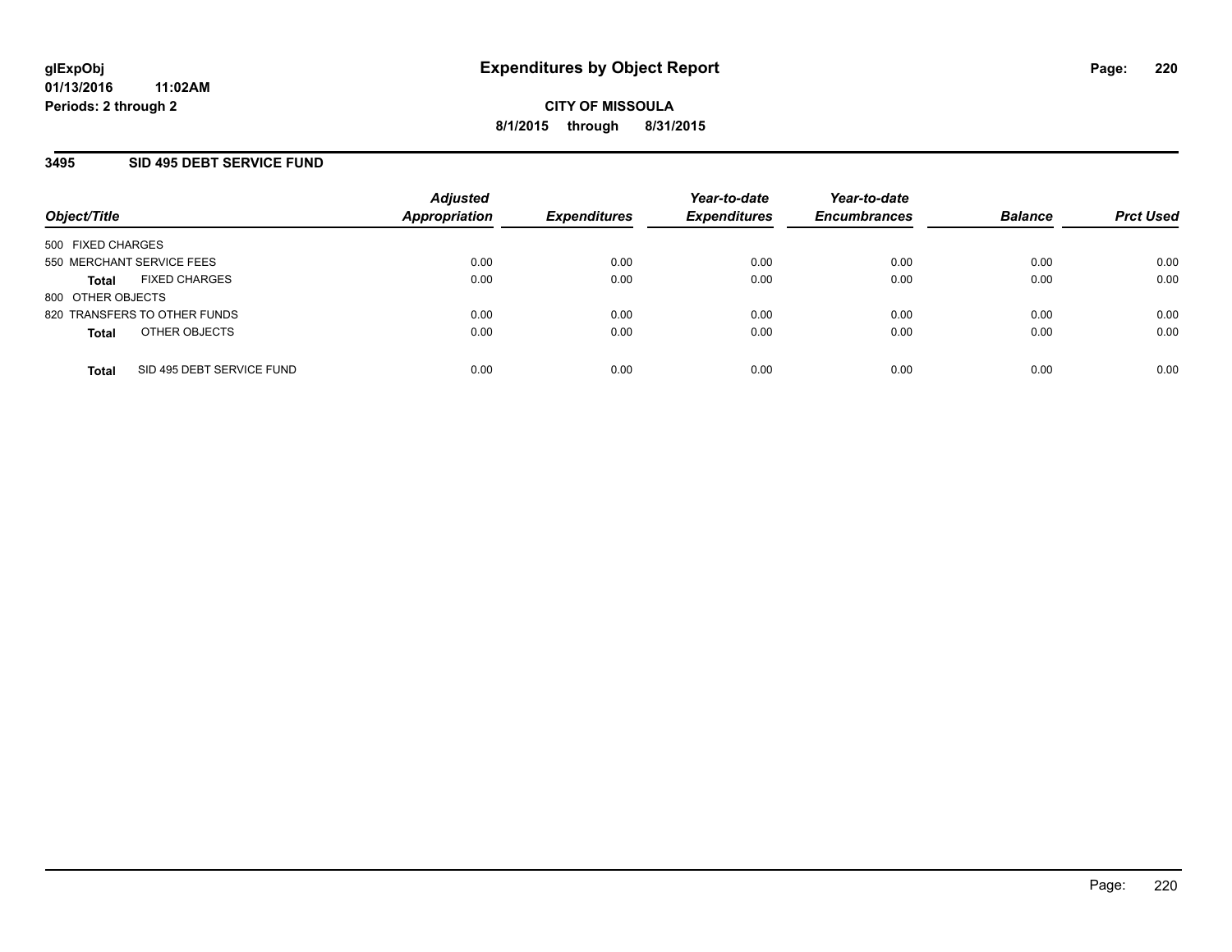### **3495 SID 495 DEBT SERVICE FUND**

| Object/Title                              | <b>Adjusted</b><br>Appropriation | <b>Expenditures</b> | Year-to-date<br><b>Expenditures</b> | Year-to-date<br><b>Encumbrances</b> | <b>Balance</b> | <b>Prct Used</b> |
|-------------------------------------------|----------------------------------|---------------------|-------------------------------------|-------------------------------------|----------------|------------------|
| 500 FIXED CHARGES                         |                                  |                     |                                     |                                     |                |                  |
| 550 MERCHANT SERVICE FEES                 | 0.00                             | 0.00                | 0.00                                | 0.00                                | 0.00           | 0.00             |
| <b>FIXED CHARGES</b><br><b>Total</b>      | 0.00                             | 0.00                | 0.00                                | 0.00                                | 0.00           | 0.00             |
| 800 OTHER OBJECTS                         |                                  |                     |                                     |                                     |                |                  |
| 820 TRANSFERS TO OTHER FUNDS              | 0.00                             | 0.00                | 0.00                                | 0.00                                | 0.00           | 0.00             |
| OTHER OBJECTS<br><b>Total</b>             | 0.00                             | 0.00                | 0.00                                | 0.00                                | 0.00           | 0.00             |
| SID 495 DEBT SERVICE FUND<br><b>Total</b> | 0.00                             | 0.00                | 0.00                                | 0.00                                | 0.00           | 0.00             |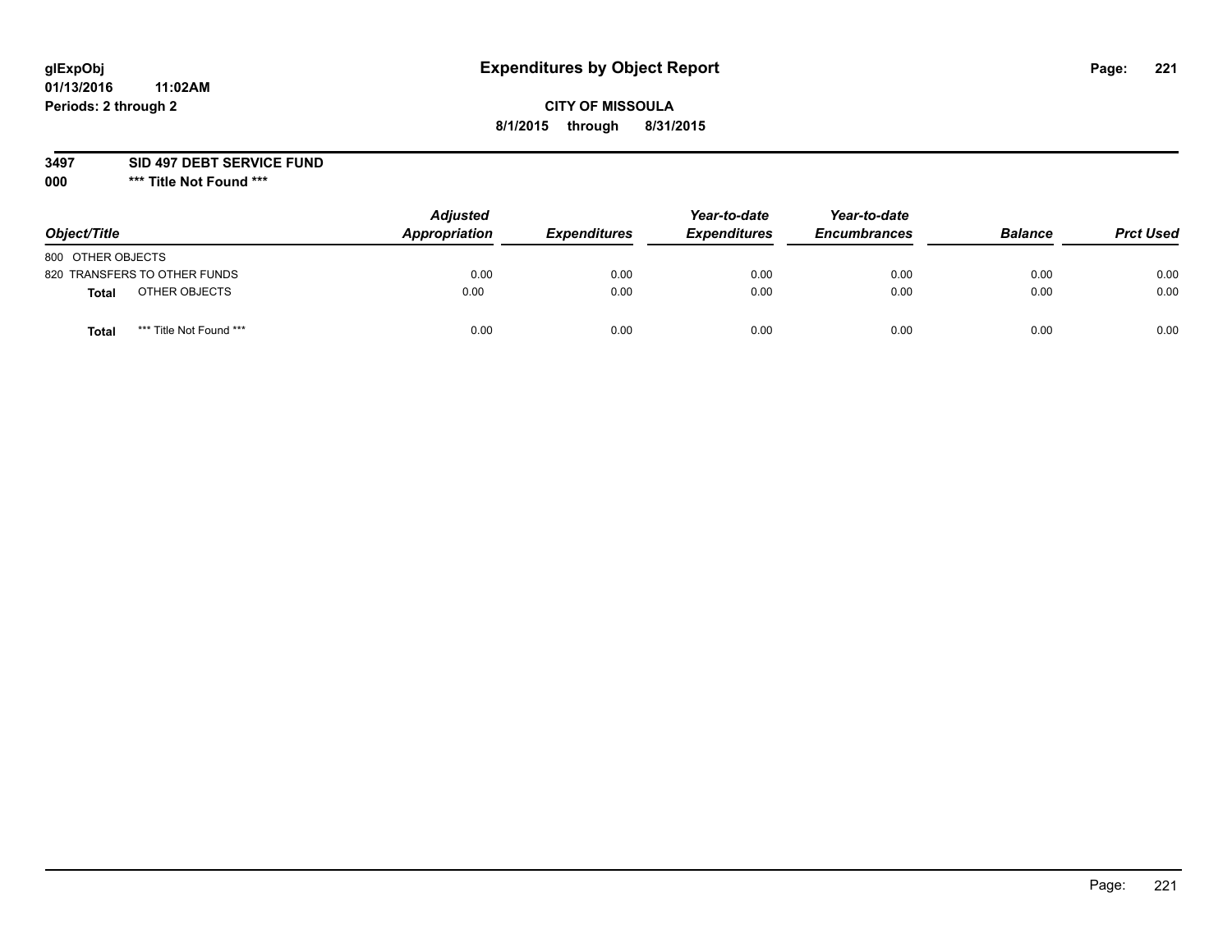## **CITY OF MISSOULA 8/1/2015 through 8/31/2015**

### **3497 SID 497 DEBT SERVICE FUND**

| Object/Title                            | <b>Adjusted</b><br>Appropriation | <b>Expenditures</b> | Year-to-date<br><b>Expenditures</b> | Year-to-date<br><b>Encumbrances</b> | <b>Balance</b> | <b>Prct Used</b> |
|-----------------------------------------|----------------------------------|---------------------|-------------------------------------|-------------------------------------|----------------|------------------|
| 800 OTHER OBJECTS                       |                                  |                     |                                     |                                     |                |                  |
| 820 TRANSFERS TO OTHER FUNDS            | 0.00                             | 0.00                | 0.00                                | 0.00                                | 0.00           | 0.00             |
| OTHER OBJECTS<br>Total                  | 0.00                             | 0.00                | 0.00                                | 0.00                                | 0.00           | 0.00             |
| *** Title Not Found ***<br><b>Total</b> | 0.00                             | 0.00                | 0.00                                | 0.00                                | 0.00           | 0.00             |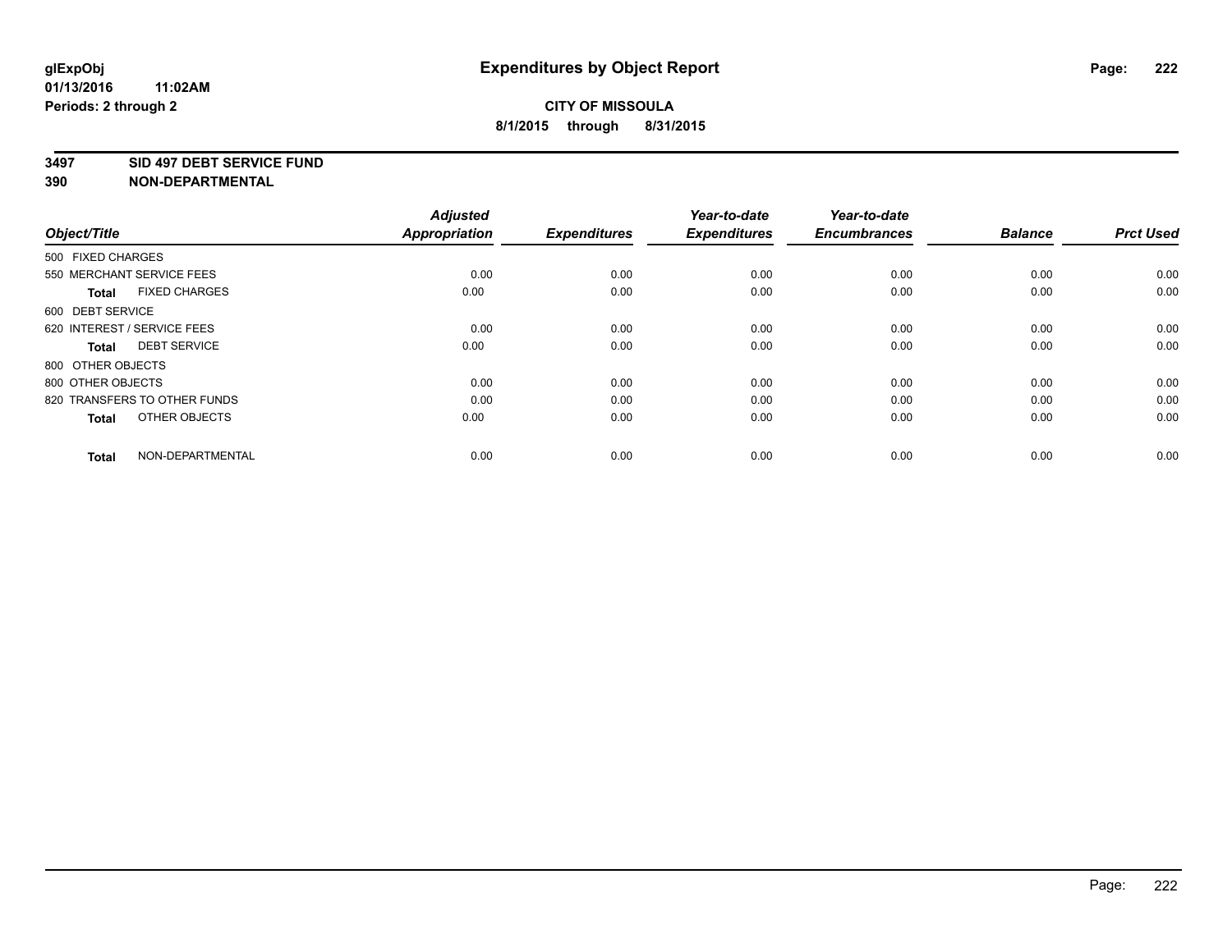#### **3497 SID 497 DEBT SERVICE FUND**

| Object/Title                         | <b>Adjusted</b><br><b>Appropriation</b> | <b>Expenditures</b> | Year-to-date<br><b>Expenditures</b> | Year-to-date<br><b>Encumbrances</b> | <b>Balance</b> | <b>Prct Used</b> |
|--------------------------------------|-----------------------------------------|---------------------|-------------------------------------|-------------------------------------|----------------|------------------|
| 500 FIXED CHARGES                    |                                         |                     |                                     |                                     |                |                  |
| 550 MERCHANT SERVICE FEES            | 0.00                                    | 0.00                | 0.00                                | 0.00                                | 0.00           | 0.00             |
| <b>FIXED CHARGES</b><br><b>Total</b> | 0.00                                    | 0.00                | 0.00                                | 0.00                                | 0.00           | 0.00             |
| 600 DEBT SERVICE                     |                                         |                     |                                     |                                     |                |                  |
| 620 INTEREST / SERVICE FEES          | 0.00                                    | 0.00                | 0.00                                | 0.00                                | 0.00           | 0.00             |
| <b>DEBT SERVICE</b><br><b>Total</b>  | 0.00                                    | 0.00                | 0.00                                | 0.00                                | 0.00           | 0.00             |
| 800 OTHER OBJECTS                    |                                         |                     |                                     |                                     |                |                  |
| 800 OTHER OBJECTS                    | 0.00                                    | 0.00                | 0.00                                | 0.00                                | 0.00           | 0.00             |
| 820 TRANSFERS TO OTHER FUNDS         | 0.00                                    | 0.00                | 0.00                                | 0.00                                | 0.00           | 0.00             |
| OTHER OBJECTS<br><b>Total</b>        | 0.00                                    | 0.00                | 0.00                                | 0.00                                | 0.00           | 0.00             |
|                                      |                                         |                     |                                     |                                     |                |                  |
| NON-DEPARTMENTAL<br><b>Total</b>     | 0.00                                    | 0.00                | 0.00                                | 0.00                                | 0.00           | 0.00             |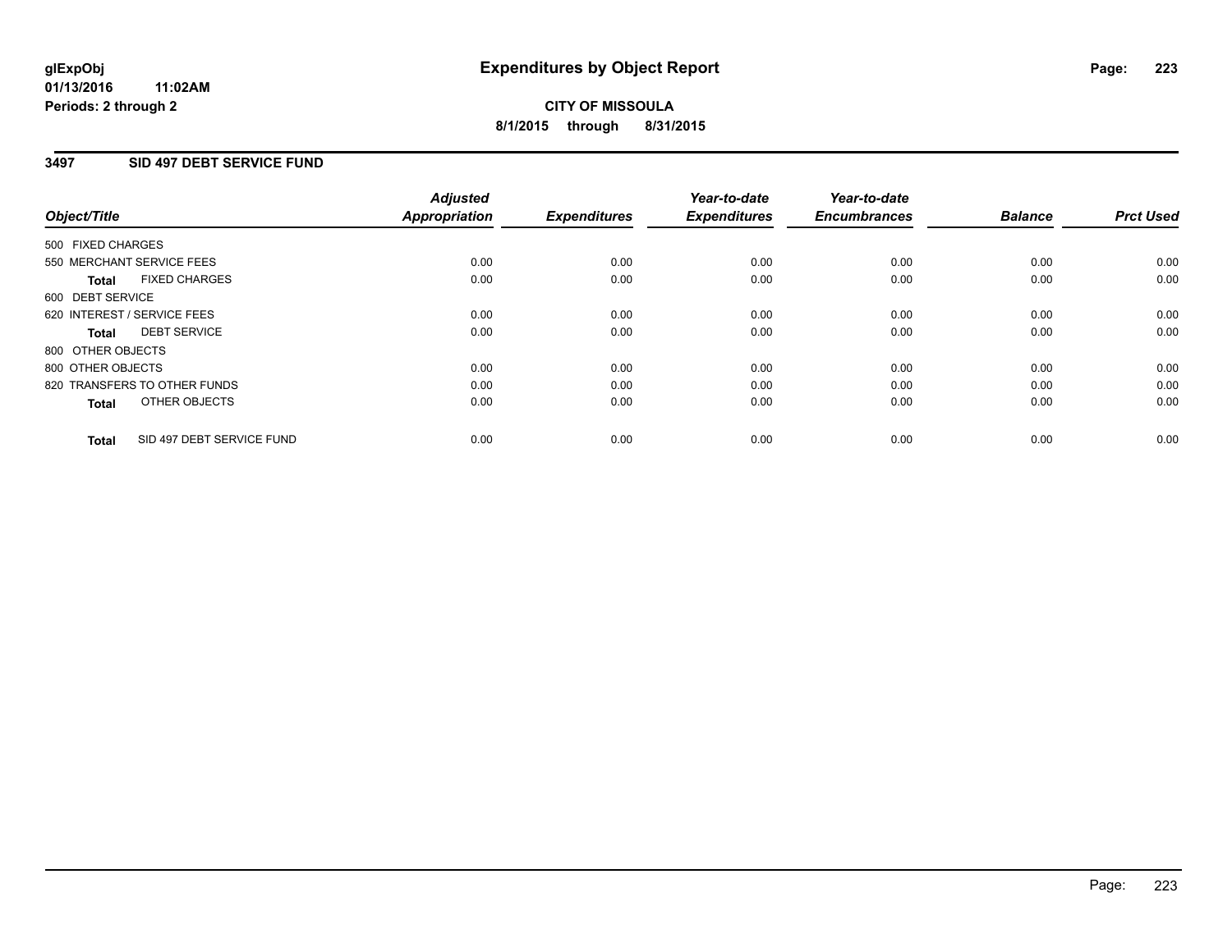### **3497 SID 497 DEBT SERVICE FUND**

| Object/Title      |                              | <b>Adjusted</b><br>Appropriation | <b>Expenditures</b> | Year-to-date<br><b>Expenditures</b> | Year-to-date<br><b>Encumbrances</b> | <b>Balance</b> | <b>Prct Used</b> |
|-------------------|------------------------------|----------------------------------|---------------------|-------------------------------------|-------------------------------------|----------------|------------------|
| 500 FIXED CHARGES |                              |                                  |                     |                                     |                                     |                |                  |
|                   | 550 MERCHANT SERVICE FEES    | 0.00                             | 0.00                | 0.00                                | 0.00                                | 0.00           | 0.00             |
| <b>Total</b>      | <b>FIXED CHARGES</b>         | 0.00                             | 0.00                | 0.00                                | 0.00                                | 0.00           | 0.00             |
| 600 DEBT SERVICE  |                              |                                  |                     |                                     |                                     |                |                  |
|                   | 620 INTEREST / SERVICE FEES  | 0.00                             | 0.00                | 0.00                                | 0.00                                | 0.00           | 0.00             |
| Total             | <b>DEBT SERVICE</b>          | 0.00                             | 0.00                | 0.00                                | 0.00                                | 0.00           | 0.00             |
| 800 OTHER OBJECTS |                              |                                  |                     |                                     |                                     |                |                  |
| 800 OTHER OBJECTS |                              | 0.00                             | 0.00                | 0.00                                | 0.00                                | 0.00           | 0.00             |
|                   | 820 TRANSFERS TO OTHER FUNDS | 0.00                             | 0.00                | 0.00                                | 0.00                                | 0.00           | 0.00             |
| <b>Total</b>      | OTHER OBJECTS                | 0.00                             | 0.00                | 0.00                                | 0.00                                | 0.00           | 0.00             |
| <b>Total</b>      | SID 497 DEBT SERVICE FUND    | 0.00                             | 0.00                | 0.00                                | 0.00                                | 0.00           | 0.00             |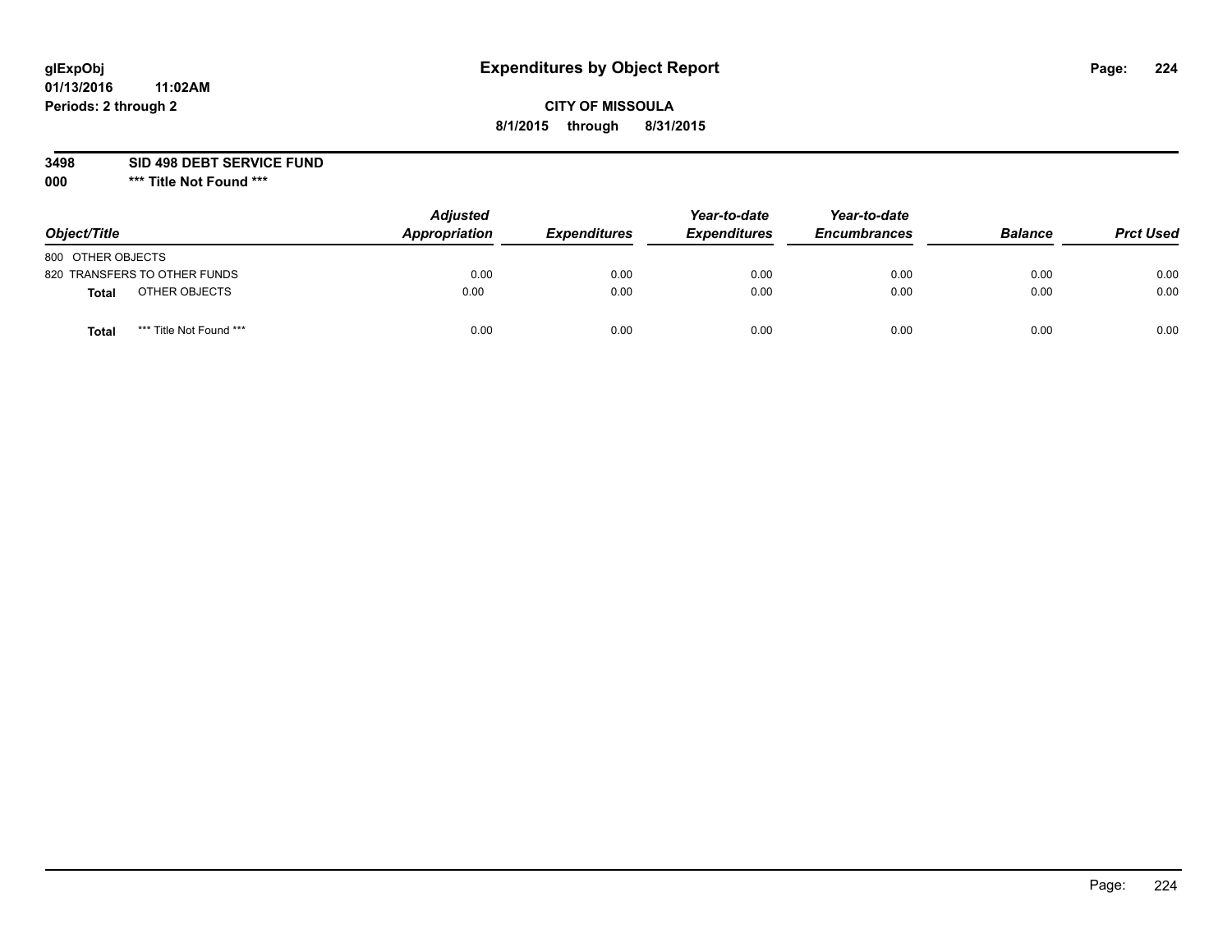## **CITY OF MISSOULA 8/1/2015 through 8/31/2015**

**3498 SID 498 DEBT SERVICE FUND**

| Object/Title                            | <b>Adjusted</b><br>Appropriation | <b>Expenditures</b> | Year-to-date<br><b>Expenditures</b> | Year-to-date<br><b>Encumbrances</b> | <b>Balance</b> | <b>Prct Used</b> |
|-----------------------------------------|----------------------------------|---------------------|-------------------------------------|-------------------------------------|----------------|------------------|
| 800 OTHER OBJECTS                       |                                  |                     |                                     |                                     |                |                  |
| 820 TRANSFERS TO OTHER FUNDS            | 0.00                             | 0.00                | 0.00                                | 0.00                                | 0.00           | 0.00             |
| OTHER OBJECTS<br><b>Total</b>           | 0.00                             | 0.00                | 0.00                                | 0.00                                | 0.00           | 0.00             |
| *** Title Not Found ***<br><b>Total</b> | 0.00                             | 0.00                | 0.00                                | 0.00                                | 0.00           | 0.00             |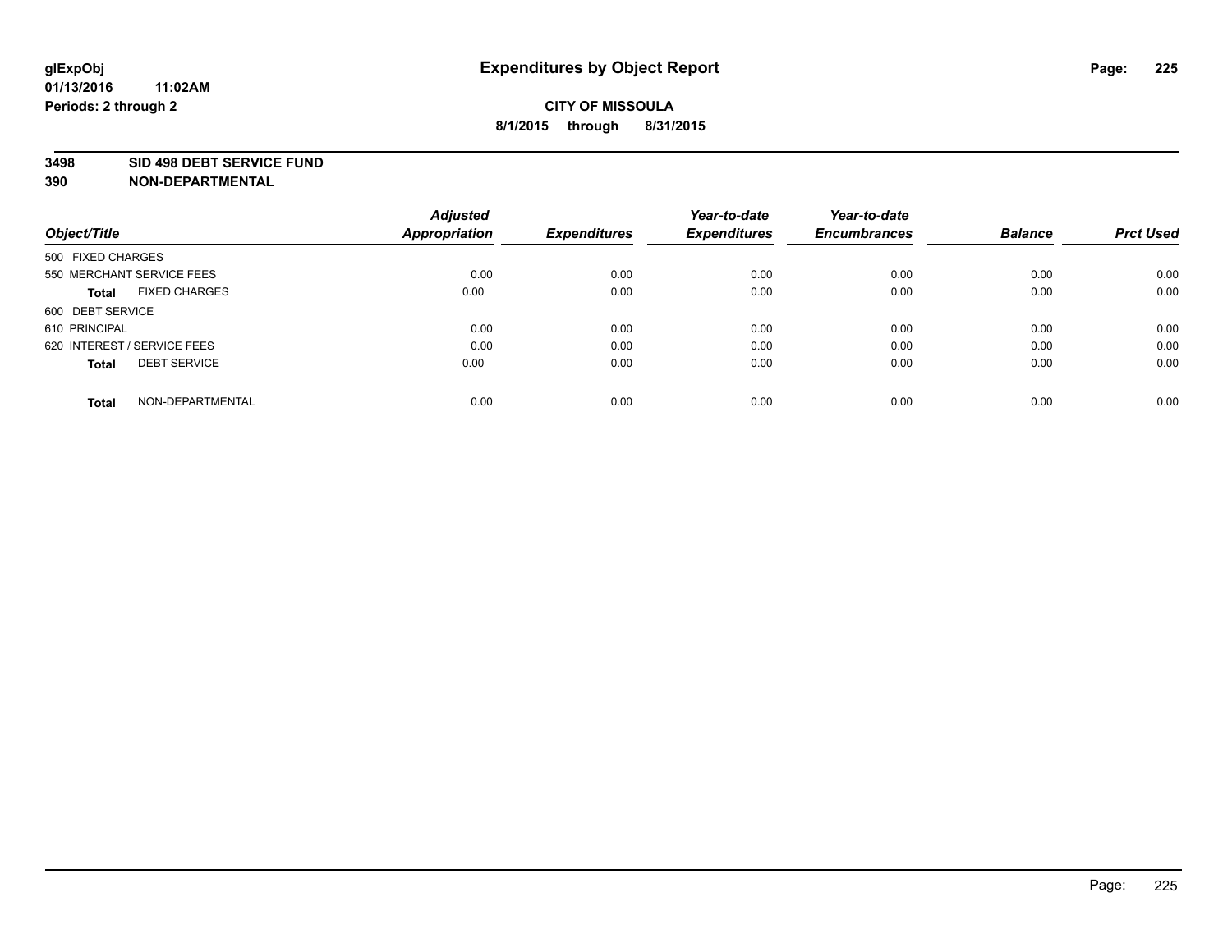#### **3498 SID 498 DEBT SERVICE FUND**

| Object/Title                         | <b>Adjusted</b><br><b>Appropriation</b> | <b>Expenditures</b> | Year-to-date<br><b>Expenditures</b> | Year-to-date<br><b>Encumbrances</b> | <b>Balance</b> | <b>Prct Used</b> |
|--------------------------------------|-----------------------------------------|---------------------|-------------------------------------|-------------------------------------|----------------|------------------|
| 500 FIXED CHARGES                    |                                         |                     |                                     |                                     |                |                  |
| 550 MERCHANT SERVICE FEES            | 0.00                                    | 0.00                | 0.00                                | 0.00                                | 0.00           | 0.00             |
| <b>FIXED CHARGES</b><br><b>Total</b> | 0.00                                    | 0.00                | 0.00                                | 0.00                                | 0.00           | 0.00             |
| 600 DEBT SERVICE                     |                                         |                     |                                     |                                     |                |                  |
| 610 PRINCIPAL                        | 0.00                                    | 0.00                | 0.00                                | 0.00                                | 0.00           | 0.00             |
| 620 INTEREST / SERVICE FEES          | 0.00                                    | 0.00                | 0.00                                | 0.00                                | 0.00           | 0.00             |
| <b>DEBT SERVICE</b><br><b>Total</b>  | 0.00                                    | 0.00                | 0.00                                | 0.00                                | 0.00           | 0.00             |
| NON-DEPARTMENTAL<br><b>Total</b>     | 0.00                                    | 0.00                | 0.00                                | 0.00                                | 0.00           | 0.00             |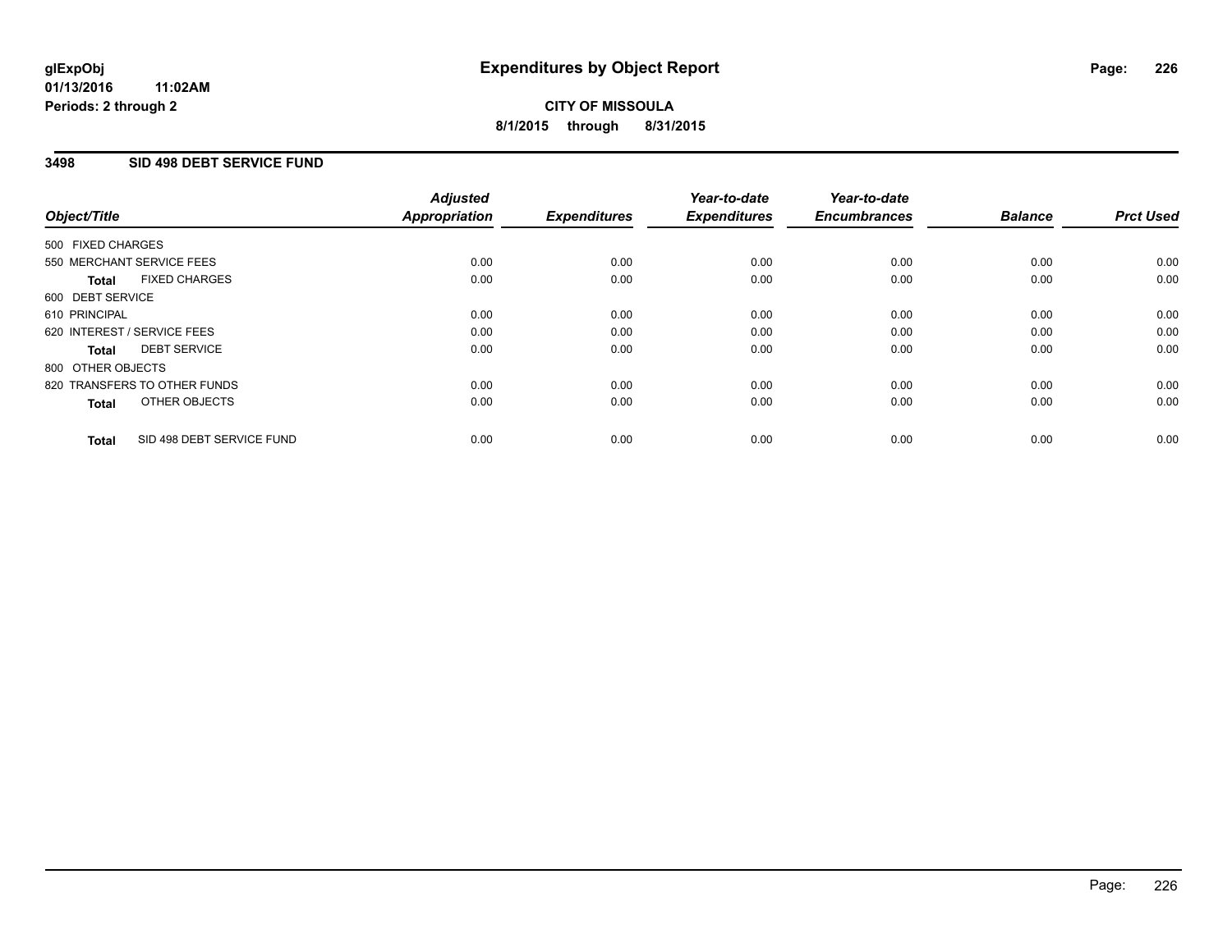### **3498 SID 498 DEBT SERVICE FUND**

| Object/Title                              | <b>Adjusted</b><br><b>Appropriation</b> | <b>Expenditures</b> | Year-to-date<br><b>Expenditures</b> | Year-to-date<br><b>Encumbrances</b> | <b>Balance</b> | <b>Prct Used</b> |
|-------------------------------------------|-----------------------------------------|---------------------|-------------------------------------|-------------------------------------|----------------|------------------|
|                                           |                                         |                     |                                     |                                     |                |                  |
| 500 FIXED CHARGES                         |                                         |                     |                                     |                                     |                |                  |
| 550 MERCHANT SERVICE FEES                 | 0.00                                    | 0.00                | 0.00                                | 0.00                                | 0.00           | 0.00             |
| <b>FIXED CHARGES</b><br>Total             | 0.00                                    | 0.00                | 0.00                                | 0.00                                | 0.00           | 0.00             |
| 600 DEBT SERVICE                          |                                         |                     |                                     |                                     |                |                  |
| 610 PRINCIPAL                             | 0.00                                    | 0.00                | 0.00                                | 0.00                                | 0.00           | 0.00             |
| 620 INTEREST / SERVICE FEES               | 0.00                                    | 0.00                | 0.00                                | 0.00                                | 0.00           | 0.00             |
| <b>DEBT SERVICE</b><br><b>Total</b>       | 0.00                                    | 0.00                | 0.00                                | 0.00                                | 0.00           | 0.00             |
| 800 OTHER OBJECTS                         |                                         |                     |                                     |                                     |                |                  |
| 820 TRANSFERS TO OTHER FUNDS              | 0.00                                    | 0.00                | 0.00                                | 0.00                                | 0.00           | 0.00             |
| OTHER OBJECTS<br><b>Total</b>             | 0.00                                    | 0.00                | 0.00                                | 0.00                                | 0.00           | 0.00             |
|                                           |                                         |                     |                                     |                                     |                |                  |
| SID 498 DEBT SERVICE FUND<br><b>Total</b> | 0.00                                    | 0.00                | 0.00                                | 0.00                                | 0.00           | 0.00             |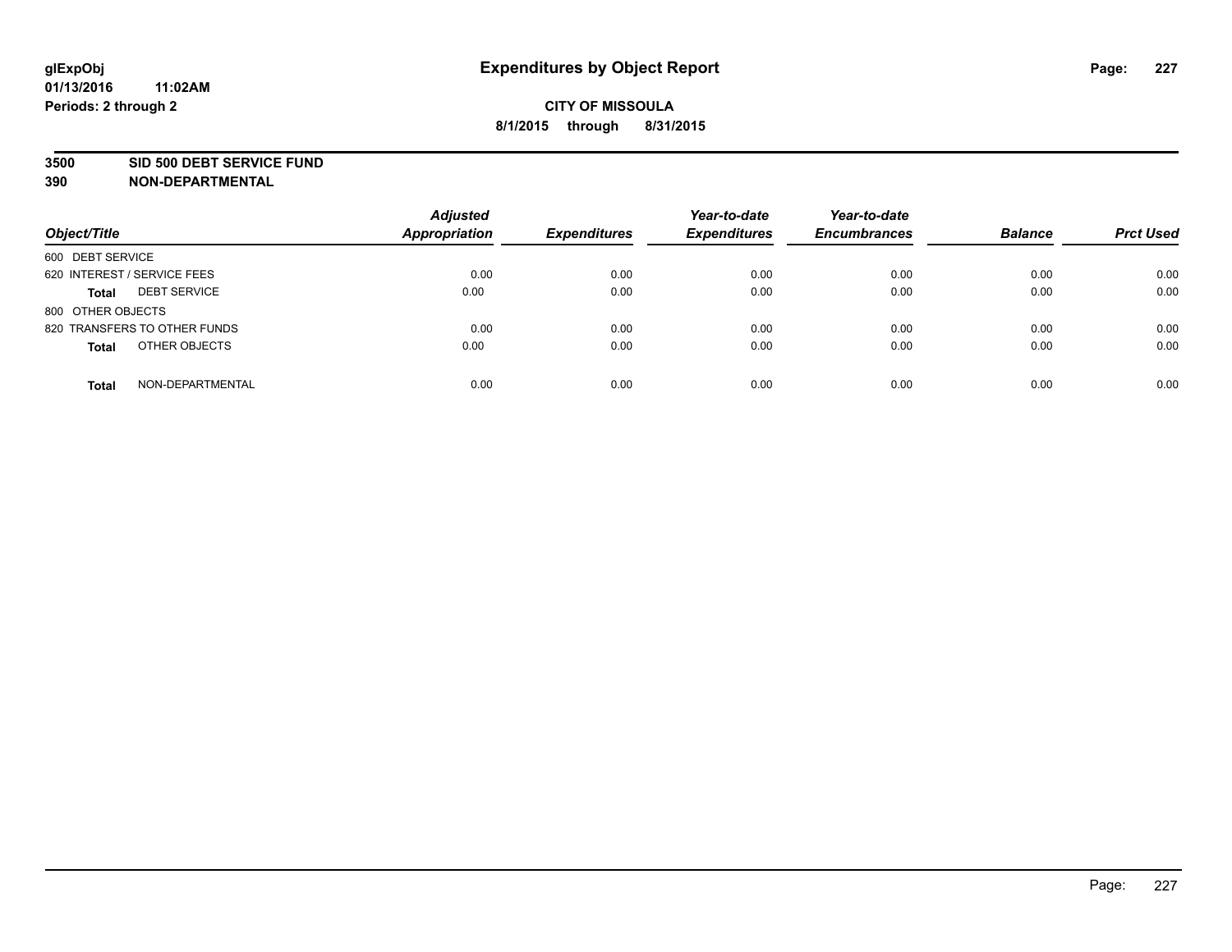#### **3500 SID 500 DEBT SERVICE FUND**

| Object/Title                        | <b>Adjusted</b><br><b>Appropriation</b> | <b>Expenditures</b> | Year-to-date<br><b>Expenditures</b> | Year-to-date<br><b>Encumbrances</b> | <b>Balance</b> | <b>Prct Used</b> |
|-------------------------------------|-----------------------------------------|---------------------|-------------------------------------|-------------------------------------|----------------|------------------|
| 600 DEBT SERVICE                    |                                         |                     |                                     |                                     |                |                  |
| 620 INTEREST / SERVICE FEES         | 0.00                                    | 0.00                | 0.00                                | 0.00                                | 0.00           | 0.00             |
| <b>DEBT SERVICE</b><br><b>Total</b> | 0.00                                    | 0.00                | 0.00                                | 0.00                                | 0.00           | 0.00             |
| 800 OTHER OBJECTS                   |                                         |                     |                                     |                                     |                |                  |
| 820 TRANSFERS TO OTHER FUNDS        | 0.00                                    | 0.00                | 0.00                                | 0.00                                | 0.00           | 0.00             |
| OTHER OBJECTS<br><b>Total</b>       | 0.00                                    | 0.00                | 0.00                                | 0.00                                | 0.00           | 0.00             |
| NON-DEPARTMENTAL<br><b>Total</b>    | 0.00                                    | 0.00                | 0.00                                | 0.00                                | 0.00           | 0.00             |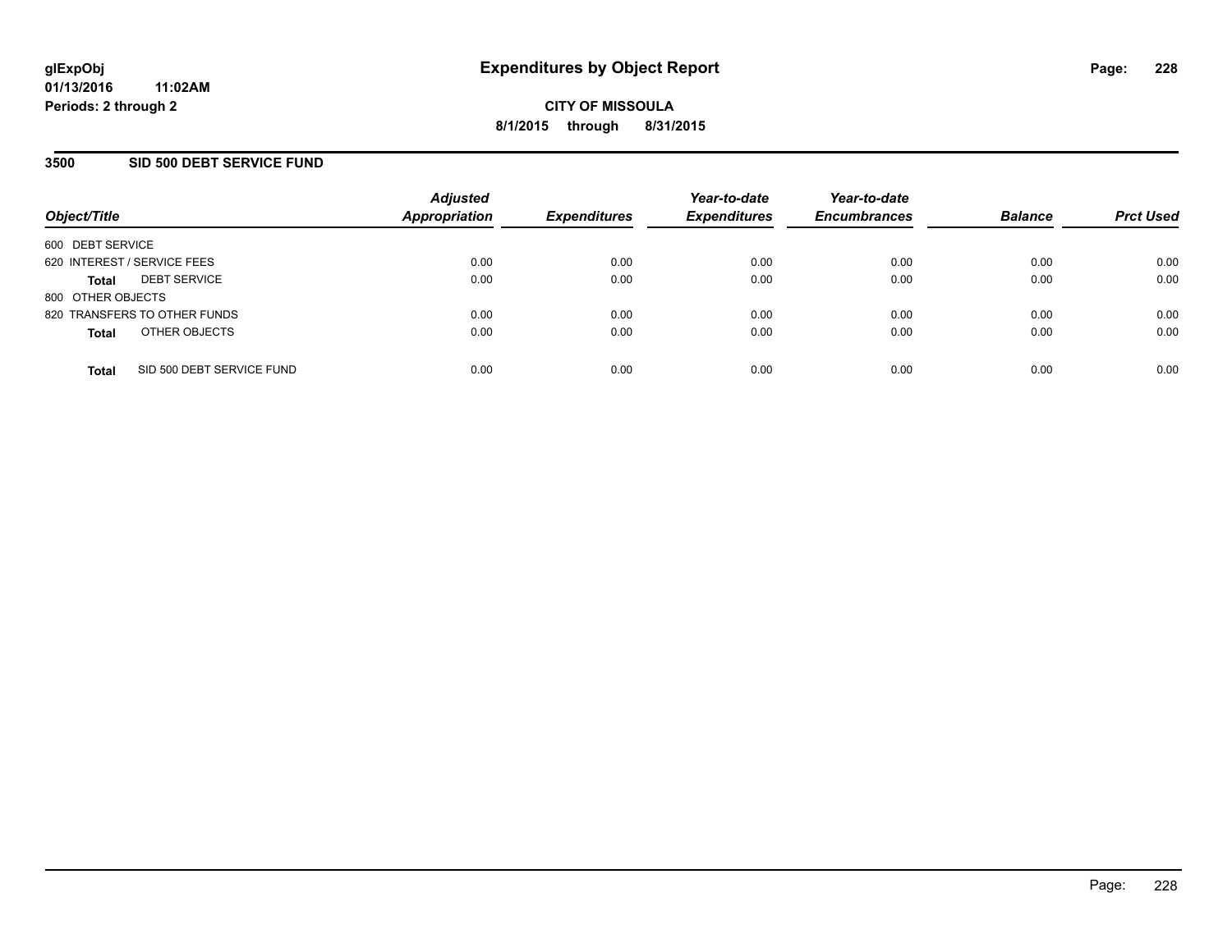### **3500 SID 500 DEBT SERVICE FUND**

| Object/Title                |                              | <b>Adjusted</b><br>Appropriation | <b>Expenditures</b> | Year-to-date<br><b>Expenditures</b> | Year-to-date<br><b>Encumbrances</b> | <b>Balance</b> | <b>Prct Used</b> |
|-----------------------------|------------------------------|----------------------------------|---------------------|-------------------------------------|-------------------------------------|----------------|------------------|
| 600 DEBT SERVICE            |                              |                                  |                     |                                     |                                     |                |                  |
| 620 INTEREST / SERVICE FEES |                              | 0.00                             | 0.00                | 0.00                                | 0.00                                | 0.00           | 0.00             |
| <b>Total</b>                | <b>DEBT SERVICE</b>          | 0.00                             | 0.00                | 0.00                                | 0.00                                | 0.00           | 0.00             |
| 800 OTHER OBJECTS           |                              |                                  |                     |                                     |                                     |                |                  |
|                             | 820 TRANSFERS TO OTHER FUNDS | 0.00                             | 0.00                | 0.00                                | 0.00                                | 0.00           | 0.00             |
| <b>Total</b>                | OTHER OBJECTS                | 0.00                             | 0.00                | 0.00                                | 0.00                                | 0.00           | 0.00             |
| <b>Total</b>                | SID 500 DEBT SERVICE FUND    | 0.00                             | 0.00                | 0.00                                | 0.00                                | 0.00           | 0.00             |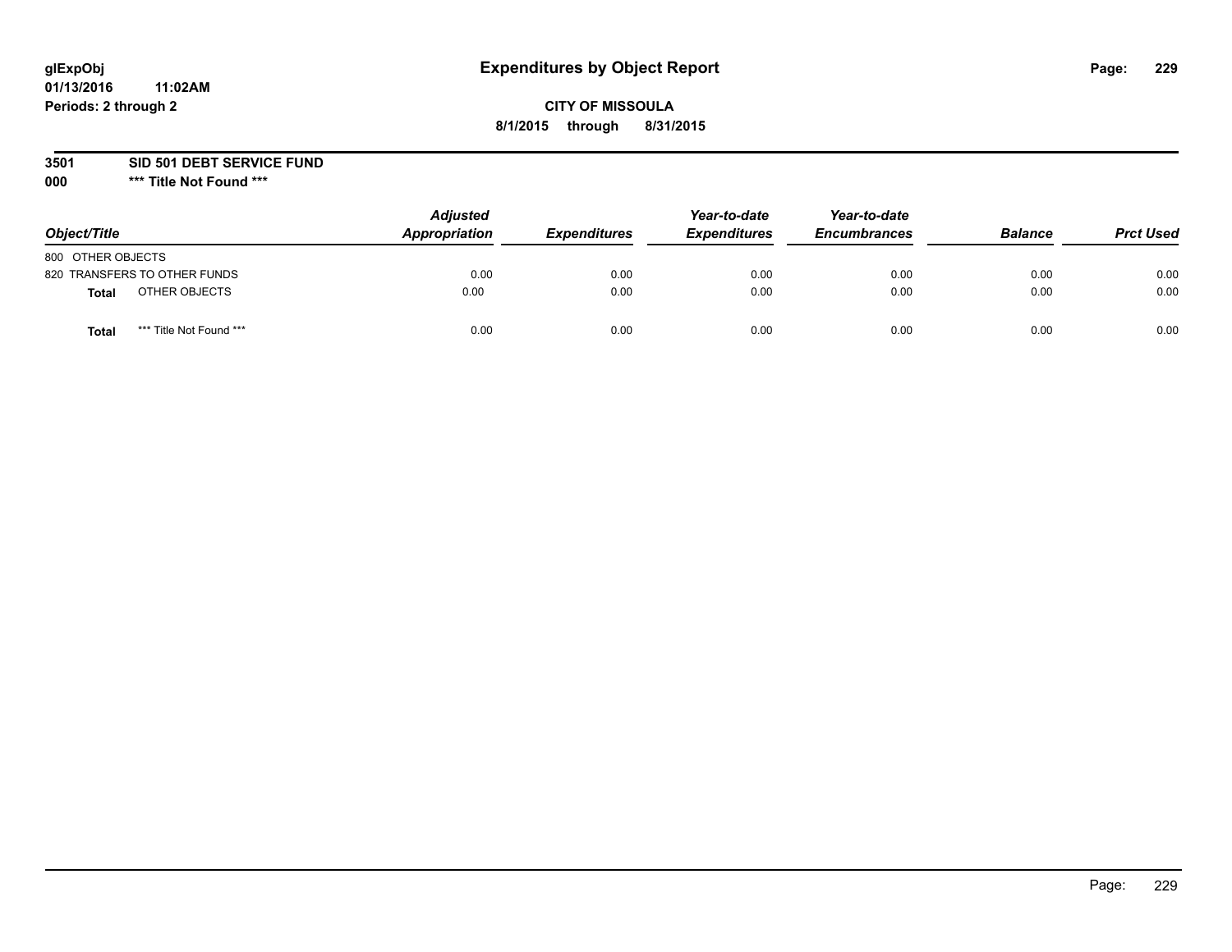## **CITY OF MISSOULA 8/1/2015 through 8/31/2015**

**3501 SID 501 DEBT SERVICE FUND**

| Object/Title                            | <b>Adjusted</b><br>Appropriation | <b>Expenditures</b> | Year-to-date<br><b>Expenditures</b> | Year-to-date<br><b>Encumbrances</b> | <b>Balance</b> | <b>Prct Used</b> |
|-----------------------------------------|----------------------------------|---------------------|-------------------------------------|-------------------------------------|----------------|------------------|
| 800 OTHER OBJECTS                       |                                  |                     |                                     |                                     |                |                  |
| 820 TRANSFERS TO OTHER FUNDS            | 0.00                             | 0.00                | 0.00                                | 0.00                                | 0.00           | 0.00             |
| OTHER OBJECTS<br><b>Total</b>           | 0.00                             | 0.00                | 0.00                                | 0.00                                | 0.00           | 0.00             |
| *** Title Not Found ***<br><b>Total</b> | 0.00                             | 0.00                | 0.00                                | 0.00                                | 0.00           | 0.00             |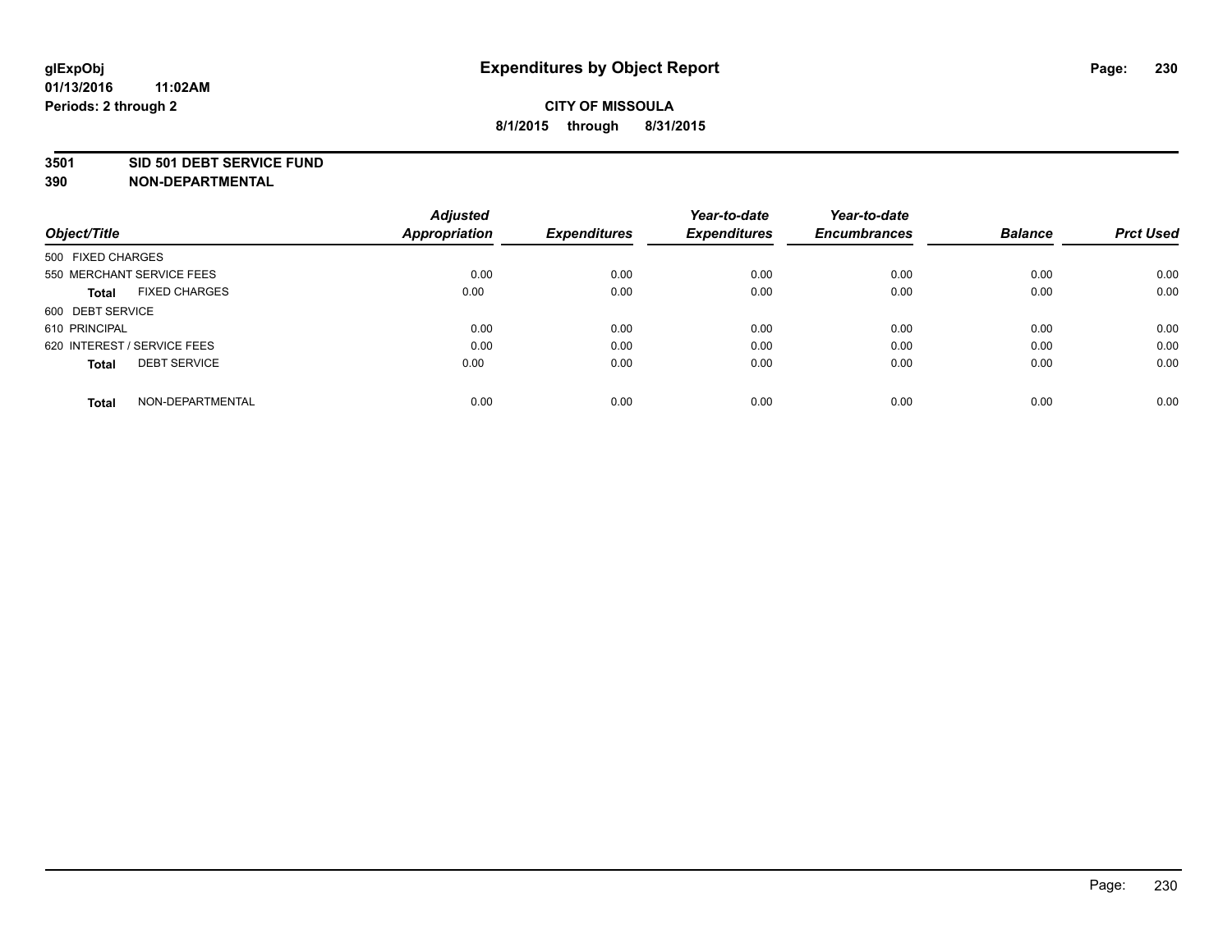#### **3501 SID 501 DEBT SERVICE FUND**

| Object/Title                         | <b>Adjusted</b><br><b>Appropriation</b> | <b>Expenditures</b> | Year-to-date<br><b>Expenditures</b> | Year-to-date<br><b>Encumbrances</b> | <b>Balance</b> | <b>Prct Used</b> |
|--------------------------------------|-----------------------------------------|---------------------|-------------------------------------|-------------------------------------|----------------|------------------|
|                                      |                                         |                     |                                     |                                     |                |                  |
| 500 FIXED CHARGES                    |                                         |                     |                                     |                                     |                |                  |
| 550 MERCHANT SERVICE FEES            | 0.00                                    | 0.00                | 0.00                                | 0.00                                | 0.00           | 0.00             |
| <b>FIXED CHARGES</b><br><b>Total</b> | 0.00                                    | 0.00                | 0.00                                | 0.00                                | 0.00           | 0.00             |
| 600 DEBT SERVICE                     |                                         |                     |                                     |                                     |                |                  |
| 610 PRINCIPAL                        | 0.00                                    | 0.00                | 0.00                                | 0.00                                | 0.00           | 0.00             |
| 620 INTEREST / SERVICE FEES          | 0.00                                    | 0.00                | 0.00                                | 0.00                                | 0.00           | 0.00             |
| <b>DEBT SERVICE</b><br><b>Total</b>  | 0.00                                    | 0.00                | 0.00                                | 0.00                                | 0.00           | 0.00             |
|                                      |                                         |                     |                                     |                                     |                |                  |
| NON-DEPARTMENTAL<br><b>Total</b>     | 0.00                                    | 0.00                | 0.00                                | 0.00                                | 0.00           | 0.00             |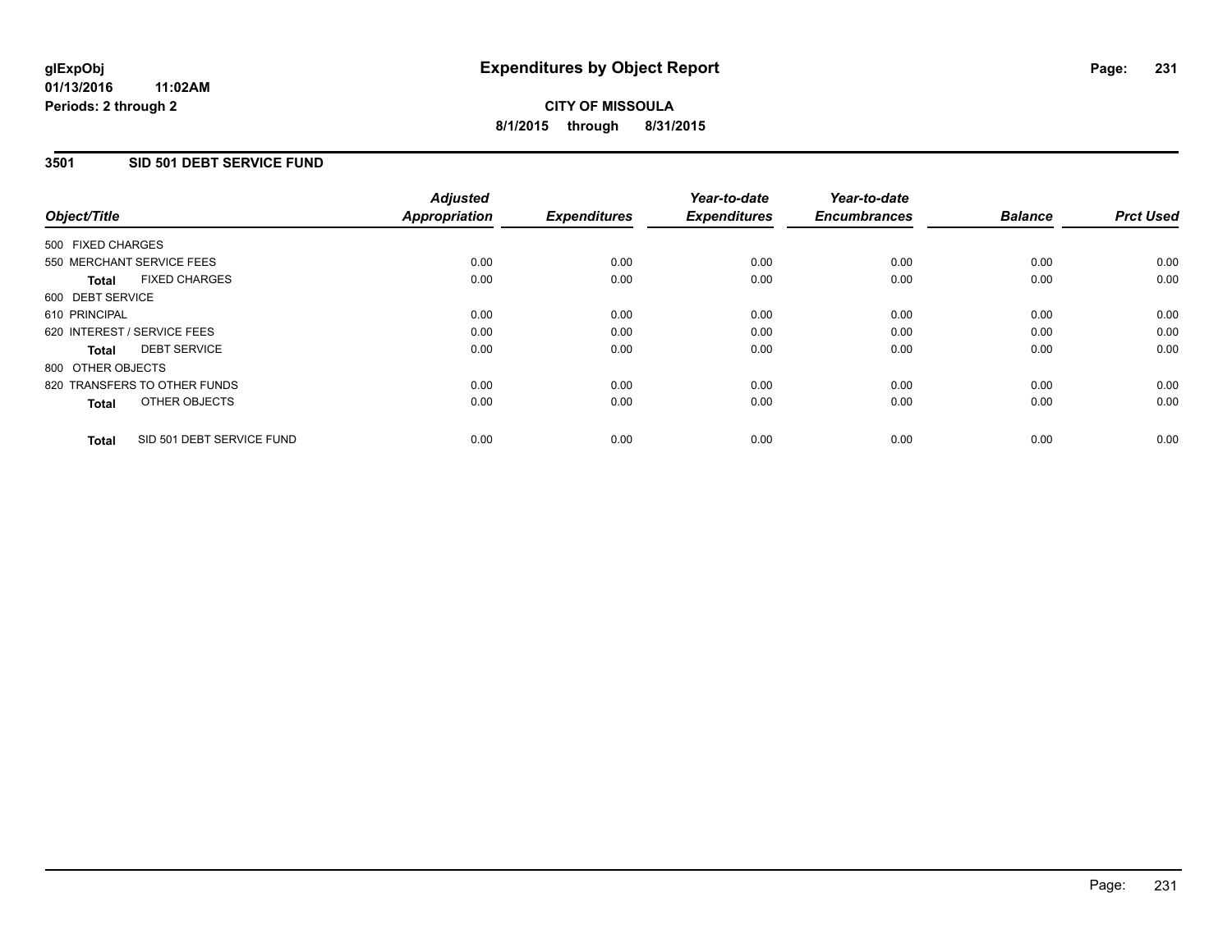### **3501 SID 501 DEBT SERVICE FUND**

|                                           | <b>Adjusted</b>      | <b>Expenditures</b> | Year-to-date<br><b>Expenditures</b> | Year-to-date<br><b>Encumbrances</b> | <b>Balance</b> | <b>Prct Used</b> |
|-------------------------------------------|----------------------|---------------------|-------------------------------------|-------------------------------------|----------------|------------------|
| Object/Title                              | <b>Appropriation</b> |                     |                                     |                                     |                |                  |
| 500 FIXED CHARGES                         |                      |                     |                                     |                                     |                |                  |
| 550 MERCHANT SERVICE FEES                 | 0.00                 | 0.00                | 0.00                                | 0.00                                | 0.00           | 0.00             |
| <b>FIXED CHARGES</b><br><b>Total</b>      | 0.00                 | 0.00                | 0.00                                | 0.00                                | 0.00           | 0.00             |
| 600 DEBT SERVICE                          |                      |                     |                                     |                                     |                |                  |
| 610 PRINCIPAL                             | 0.00                 | 0.00                | 0.00                                | 0.00                                | 0.00           | 0.00             |
| 620 INTEREST / SERVICE FEES               | 0.00                 | 0.00                | 0.00                                | 0.00                                | 0.00           | 0.00             |
| <b>DEBT SERVICE</b><br><b>Total</b>       | 0.00                 | 0.00                | 0.00                                | 0.00                                | 0.00           | 0.00             |
| 800 OTHER OBJECTS                         |                      |                     |                                     |                                     |                |                  |
| 820 TRANSFERS TO OTHER FUNDS              | 0.00                 | 0.00                | 0.00                                | 0.00                                | 0.00           | 0.00             |
| OTHER OBJECTS<br><b>Total</b>             | 0.00                 | 0.00                | 0.00                                | 0.00                                | 0.00           | 0.00             |
| SID 501 DEBT SERVICE FUND<br><b>Total</b> | 0.00                 | 0.00                | 0.00                                | 0.00                                | 0.00           | 0.00             |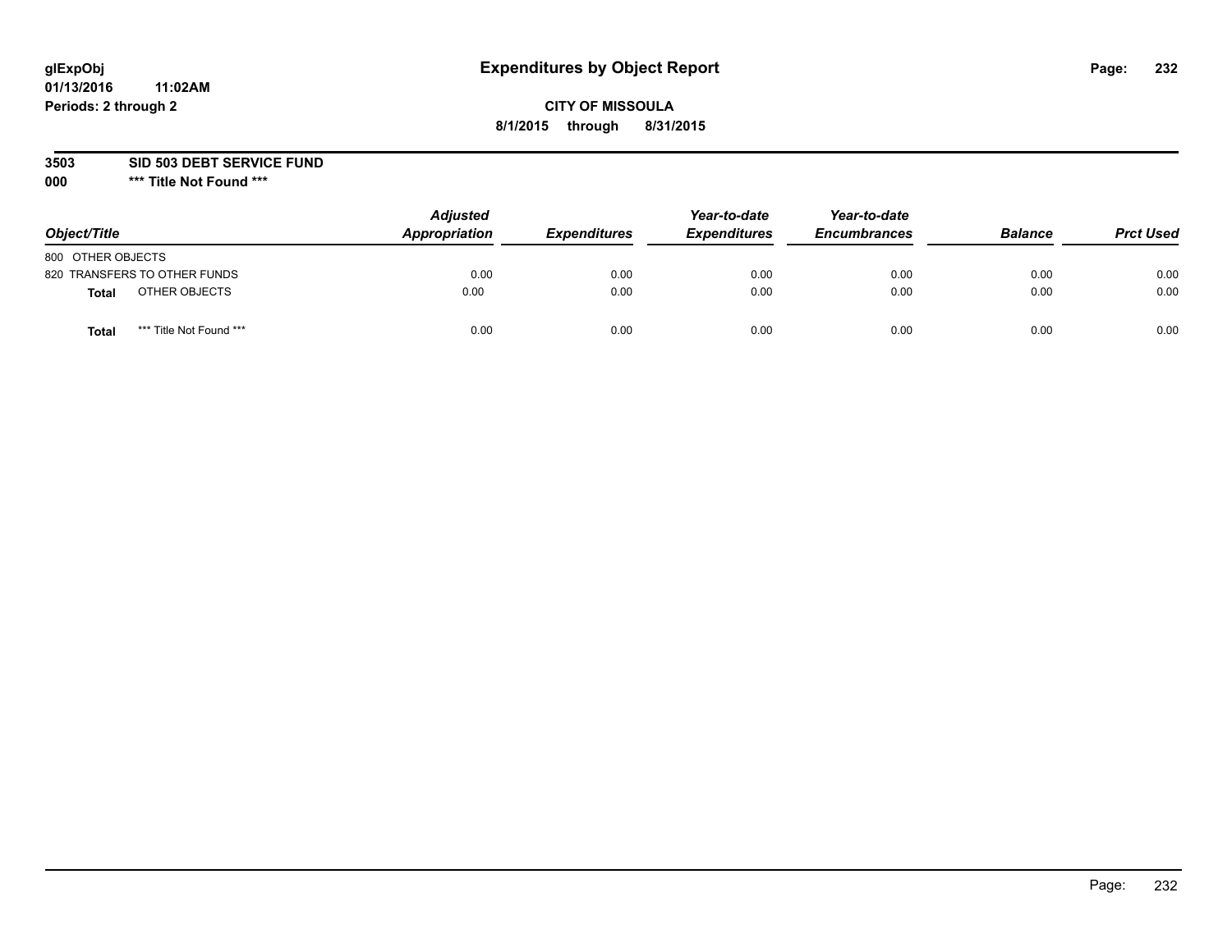## **CITY OF MISSOULA 8/1/2015 through 8/31/2015**

**3503 SID 503 DEBT SERVICE FUND**

| Object/Title      |                              | <b>Adjusted</b><br>Appropriation | <b>Expenditures</b> | Year-to-date<br><b>Expenditures</b> | Year-to-date<br><b>Encumbrances</b> | <b>Balance</b> | <b>Prct Used</b> |
|-------------------|------------------------------|----------------------------------|---------------------|-------------------------------------|-------------------------------------|----------------|------------------|
| 800 OTHER OBJECTS |                              |                                  |                     |                                     |                                     |                |                  |
|                   | 820 TRANSFERS TO OTHER FUNDS | 0.00                             | 0.00                | 0.00                                | 0.00                                | 0.00           | 0.00             |
| Total             | OTHER OBJECTS                | 0.00                             | 0.00                | 0.00                                | 0.00                                | 0.00           | 0.00             |
| Tota              | *** Title Not Found ***      | 0.00                             | 0.00                | 0.00                                | 0.00                                | 0.00           | 0.00             |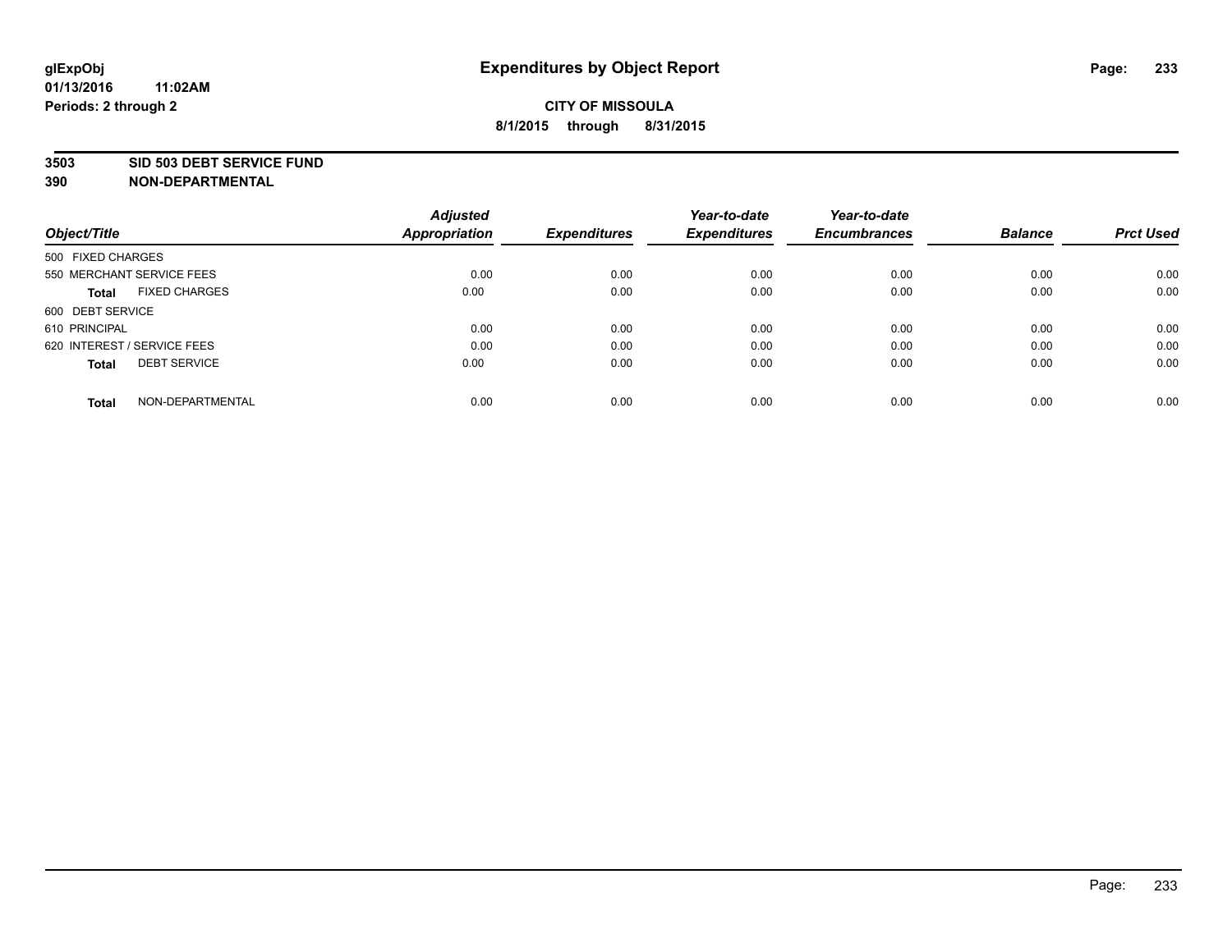#### **3503 SID 503 DEBT SERVICE FUND**

| Object/Title                         | <b>Adjusted</b><br><b>Appropriation</b> | <b>Expenditures</b> | Year-to-date<br><b>Expenditures</b> | Year-to-date<br><b>Encumbrances</b> | <b>Balance</b> | <b>Prct Used</b> |
|--------------------------------------|-----------------------------------------|---------------------|-------------------------------------|-------------------------------------|----------------|------------------|
|                                      |                                         |                     |                                     |                                     |                |                  |
| 500 FIXED CHARGES                    |                                         |                     |                                     |                                     |                |                  |
| 550 MERCHANT SERVICE FEES            | 0.00                                    | 0.00                | 0.00                                | 0.00                                | 0.00           | 0.00             |
| <b>FIXED CHARGES</b><br><b>Total</b> | 0.00                                    | 0.00                | 0.00                                | 0.00                                | 0.00           | 0.00             |
| 600 DEBT SERVICE                     |                                         |                     |                                     |                                     |                |                  |
| 610 PRINCIPAL                        | 0.00                                    | 0.00                | 0.00                                | 0.00                                | 0.00           | 0.00             |
| 620 INTEREST / SERVICE FEES          | 0.00                                    | 0.00                | 0.00                                | 0.00                                | 0.00           | 0.00             |
| <b>DEBT SERVICE</b><br><b>Total</b>  | 0.00                                    | 0.00                | 0.00                                | 0.00                                | 0.00           | 0.00             |
|                                      |                                         |                     |                                     |                                     |                |                  |
| NON-DEPARTMENTAL<br><b>Total</b>     | 0.00                                    | 0.00                | 0.00                                | 0.00                                | 0.00           | 0.00             |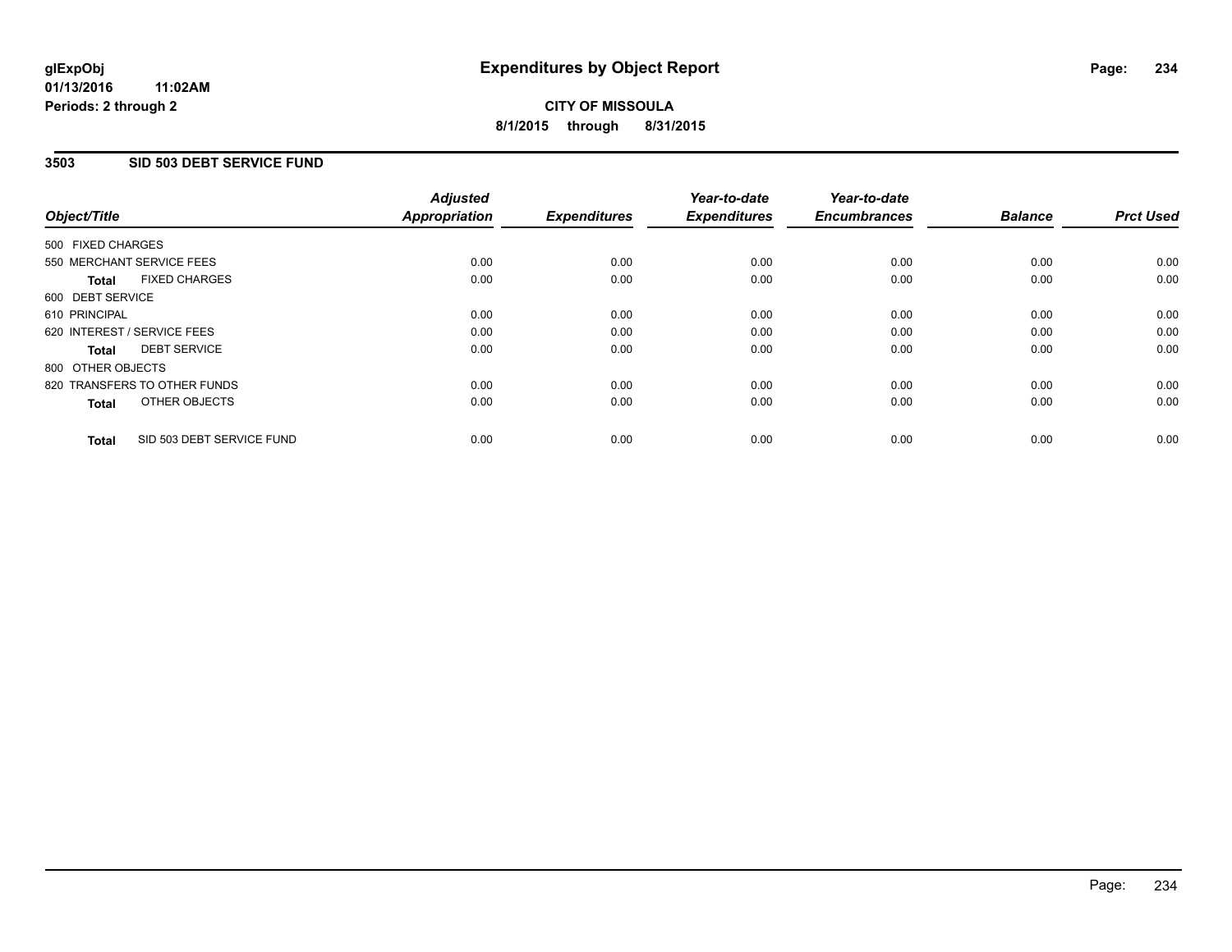#### **01/13/2016 11:02AM Periods: 2 through 2**

# **CITY OF MISSOULA 8/1/2015 through 8/31/2015**

### **3503 SID 503 DEBT SERVICE FUND**

| Object/Title                              | <b>Adjusted</b><br><b>Appropriation</b> | <b>Expenditures</b> | Year-to-date<br><b>Expenditures</b> | Year-to-date<br><b>Encumbrances</b> | <b>Balance</b> | <b>Prct Used</b> |
|-------------------------------------------|-----------------------------------------|---------------------|-------------------------------------|-------------------------------------|----------------|------------------|
|                                           |                                         |                     |                                     |                                     |                |                  |
| 500 FIXED CHARGES                         |                                         |                     |                                     |                                     |                |                  |
| 550 MERCHANT SERVICE FEES                 | 0.00                                    | 0.00                | 0.00                                | 0.00                                | 0.00           | 0.00             |
| <b>FIXED CHARGES</b><br>Total             | 0.00                                    | 0.00                | 0.00                                | 0.00                                | 0.00           | 0.00             |
| 600 DEBT SERVICE                          |                                         |                     |                                     |                                     |                |                  |
| 610 PRINCIPAL                             | 0.00                                    | 0.00                | 0.00                                | 0.00                                | 0.00           | 0.00             |
| 620 INTEREST / SERVICE FEES               | 0.00                                    | 0.00                | 0.00                                | 0.00                                | 0.00           | 0.00             |
| <b>DEBT SERVICE</b><br><b>Total</b>       | 0.00                                    | 0.00                | 0.00                                | 0.00                                | 0.00           | 0.00             |
| 800 OTHER OBJECTS                         |                                         |                     |                                     |                                     |                |                  |
| 820 TRANSFERS TO OTHER FUNDS              | 0.00                                    | 0.00                | 0.00                                | 0.00                                | 0.00           | 0.00             |
| OTHER OBJECTS<br><b>Total</b>             | 0.00                                    | 0.00                | 0.00                                | 0.00                                | 0.00           | 0.00             |
|                                           |                                         |                     |                                     |                                     |                |                  |
| SID 503 DEBT SERVICE FUND<br><b>Total</b> | 0.00                                    | 0.00                | 0.00                                | 0.00                                | 0.00           | 0.00             |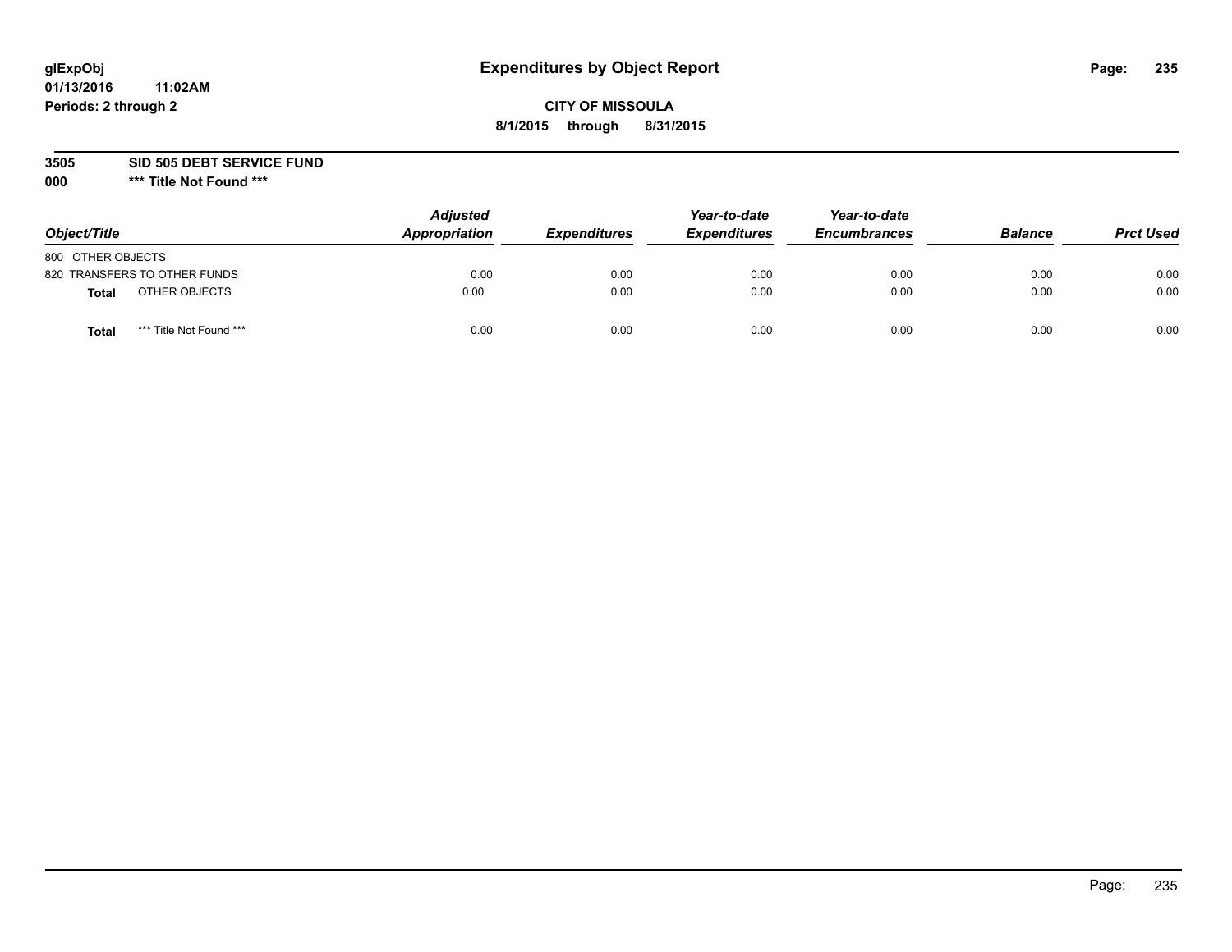## **CITY OF MISSOULA 8/1/2015 through 8/31/2015**

**3505 SID 505 DEBT SERVICE FUND**

| Object/Title                            | <b>Adjusted</b><br>Appropriation | <b>Expenditures</b> | Year-to-date<br><b>Expenditures</b> | Year-to-date<br><b>Encumbrances</b> | <b>Balance</b> | <b>Prct Used</b> |
|-----------------------------------------|----------------------------------|---------------------|-------------------------------------|-------------------------------------|----------------|------------------|
| 800 OTHER OBJECTS                       |                                  |                     |                                     |                                     |                |                  |
| 820 TRANSFERS TO OTHER FUNDS            | 0.00                             | 0.00                | 0.00                                | 0.00                                | 0.00           | 0.00             |
| OTHER OBJECTS<br>Total                  | 0.00                             | 0.00                | 0.00                                | 0.00                                | 0.00           | 0.00             |
| *** Title Not Found ***<br><b>Total</b> | 0.00                             | 0.00                | 0.00                                | 0.00                                | 0.00           | 0.00             |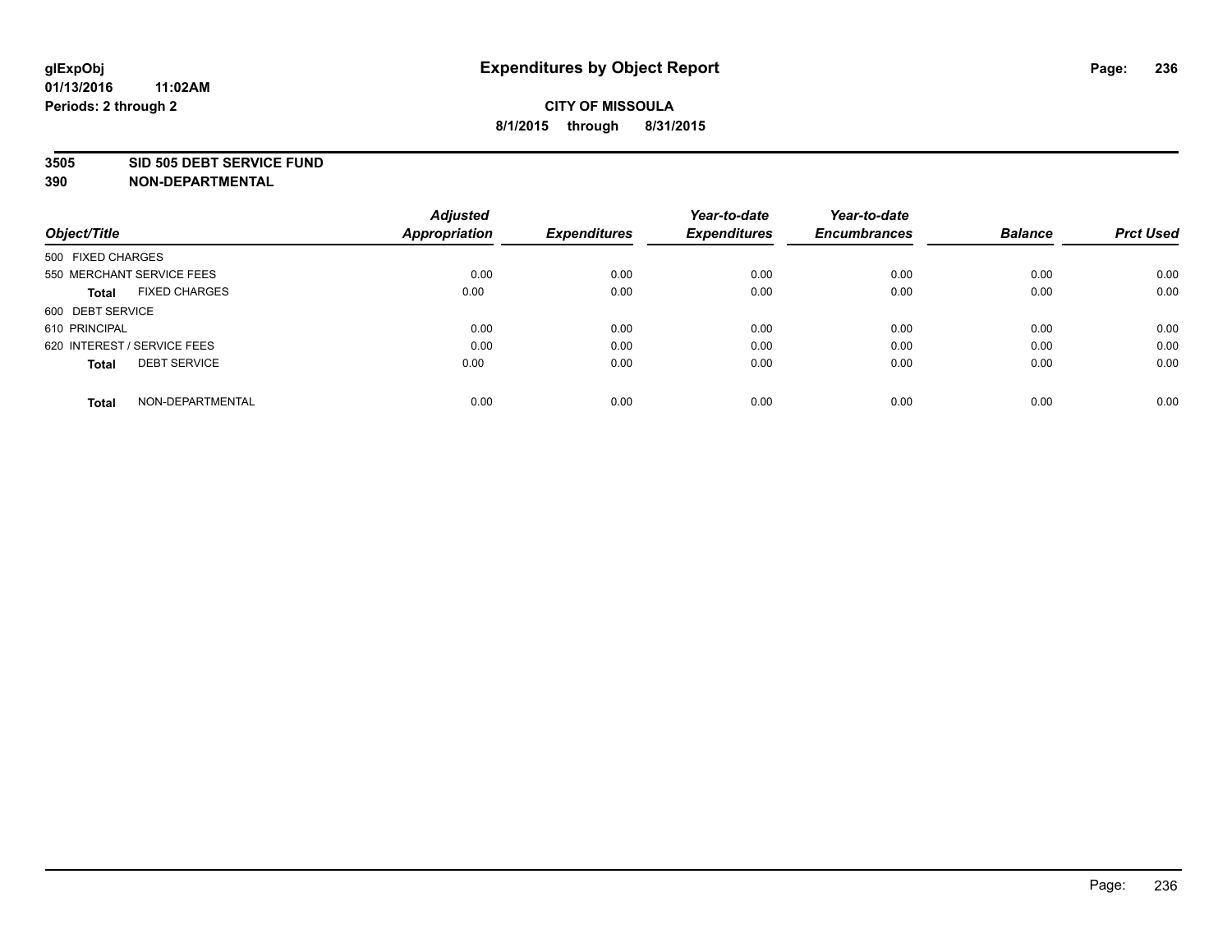#### **3505 SID 505 DEBT SERVICE FUND**

| Object/Title                         | <b>Adjusted</b><br><b>Appropriation</b> | <b>Expenditures</b> | Year-to-date<br><b>Expenditures</b> | Year-to-date<br><b>Encumbrances</b> | <b>Balance</b> | <b>Prct Used</b> |
|--------------------------------------|-----------------------------------------|---------------------|-------------------------------------|-------------------------------------|----------------|------------------|
|                                      |                                         |                     |                                     |                                     |                |                  |
| 500 FIXED CHARGES                    |                                         |                     |                                     |                                     |                |                  |
| 550 MERCHANT SERVICE FEES            | 0.00                                    | 0.00                | 0.00                                | 0.00                                | 0.00           | 0.00             |
| <b>FIXED CHARGES</b><br><b>Total</b> | 0.00                                    | 0.00                | 0.00                                | 0.00                                | 0.00           | 0.00             |
| 600 DEBT SERVICE                     |                                         |                     |                                     |                                     |                |                  |
| 610 PRINCIPAL                        | 0.00                                    | 0.00                | 0.00                                | 0.00                                | 0.00           | 0.00             |
| 620 INTEREST / SERVICE FEES          | 0.00                                    | 0.00                | 0.00                                | 0.00                                | 0.00           | 0.00             |
| <b>DEBT SERVICE</b><br><b>Total</b>  | 0.00                                    | 0.00                | 0.00                                | 0.00                                | 0.00           | 0.00             |
|                                      |                                         |                     |                                     |                                     |                |                  |
| NON-DEPARTMENTAL<br><b>Total</b>     | 0.00                                    | 0.00                | 0.00                                | 0.00                                | 0.00           | 0.00             |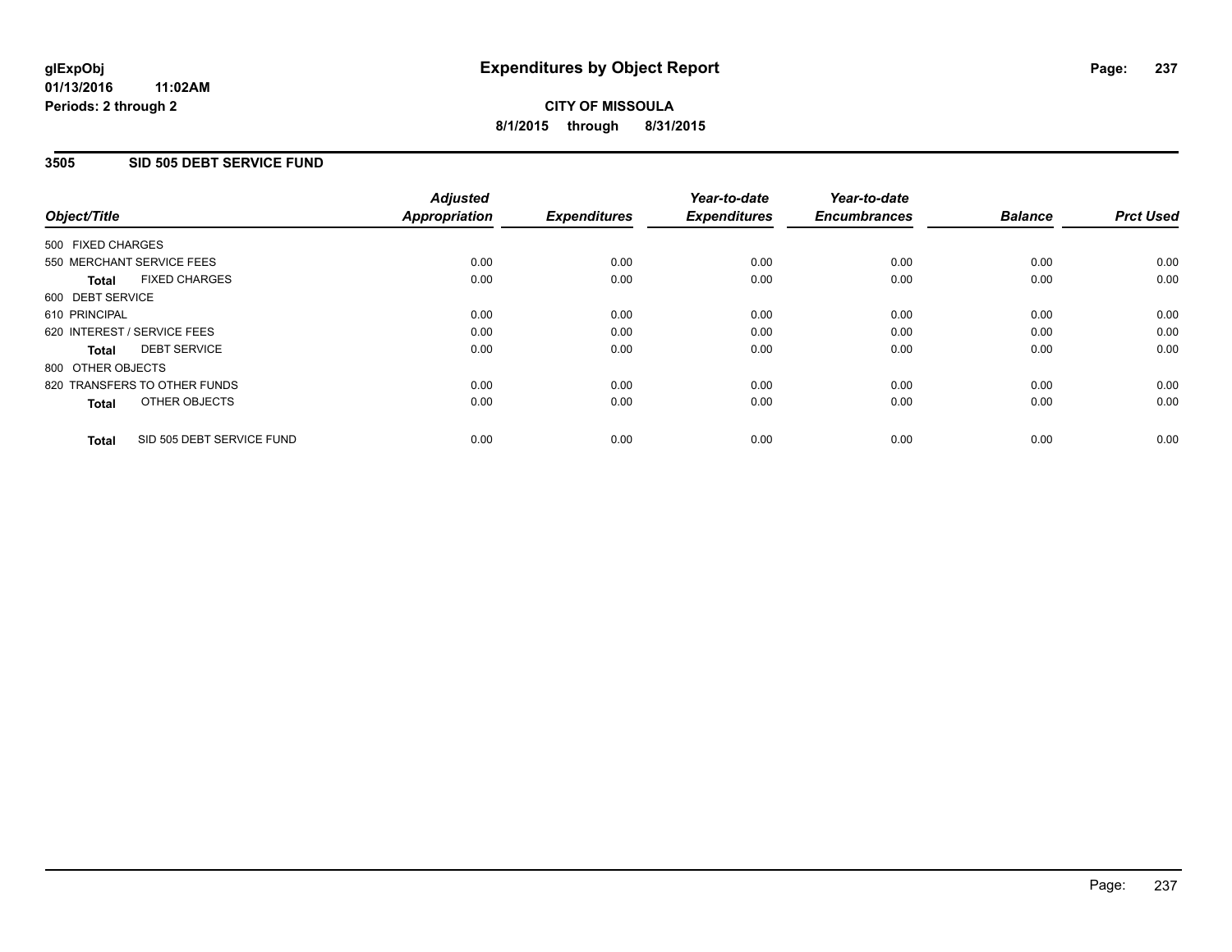#### **01/13/2016 11:02AM Periods: 2 through 2**

# **CITY OF MISSOULA 8/1/2015 through 8/31/2015**

### **3505 SID 505 DEBT SERVICE FUND**

| Object/Title                              | <b>Adjusted</b><br><b>Appropriation</b> | <b>Expenditures</b> | Year-to-date<br><b>Expenditures</b> | Year-to-date<br><b>Encumbrances</b> | <b>Balance</b> | <b>Prct Used</b> |
|-------------------------------------------|-----------------------------------------|---------------------|-------------------------------------|-------------------------------------|----------------|------------------|
|                                           |                                         |                     |                                     |                                     |                |                  |
| 500 FIXED CHARGES                         |                                         |                     |                                     |                                     |                |                  |
| 550 MERCHANT SERVICE FEES                 | 0.00                                    | 0.00                | 0.00                                | 0.00                                | 0.00           | 0.00             |
| <b>FIXED CHARGES</b><br>Total             | 0.00                                    | 0.00                | 0.00                                | 0.00                                | 0.00           | 0.00             |
| 600 DEBT SERVICE                          |                                         |                     |                                     |                                     |                |                  |
| 610 PRINCIPAL                             | 0.00                                    | 0.00                | 0.00                                | 0.00                                | 0.00           | 0.00             |
| 620 INTEREST / SERVICE FEES               | 0.00                                    | 0.00                | 0.00                                | 0.00                                | 0.00           | 0.00             |
| <b>DEBT SERVICE</b><br><b>Total</b>       | 0.00                                    | 0.00                | 0.00                                | 0.00                                | 0.00           | 0.00             |
| 800 OTHER OBJECTS                         |                                         |                     |                                     |                                     |                |                  |
| 820 TRANSFERS TO OTHER FUNDS              | 0.00                                    | 0.00                | 0.00                                | 0.00                                | 0.00           | 0.00             |
| OTHER OBJECTS<br><b>Total</b>             | 0.00                                    | 0.00                | 0.00                                | 0.00                                | 0.00           | 0.00             |
|                                           |                                         |                     |                                     |                                     |                |                  |
| SID 505 DEBT SERVICE FUND<br><b>Total</b> | 0.00                                    | 0.00                | 0.00                                | 0.00                                | 0.00           | 0.00             |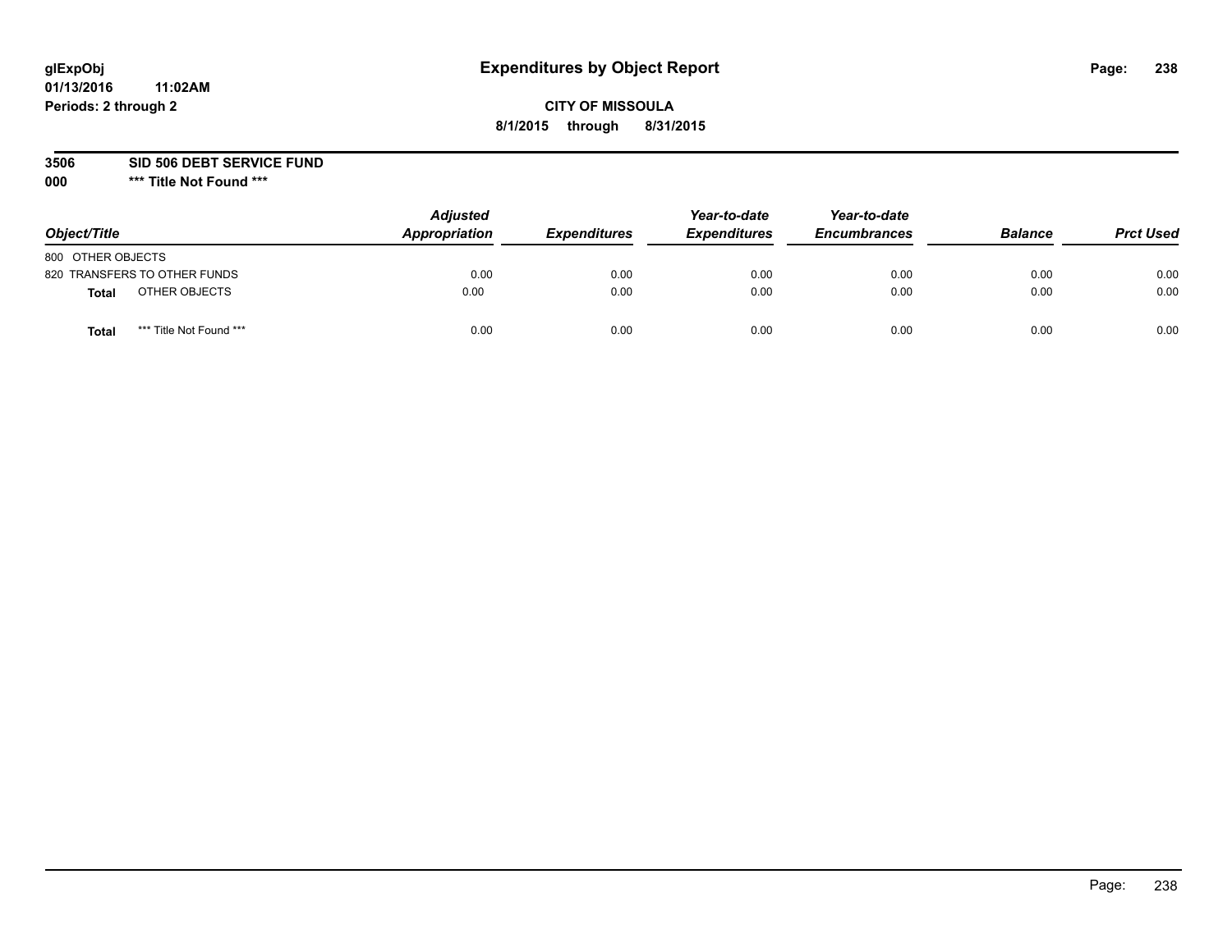## **CITY OF MISSOULA 8/1/2015 through 8/31/2015**

**3506 SID 506 DEBT SERVICE FUND**

| Object/Title                            | <b>Adjusted</b><br>Appropriation | <b>Expenditures</b> | Year-to-date<br><b>Expenditures</b> | Year-to-date<br><b>Encumbrances</b> | <b>Balance</b> | <b>Prct Used</b> |
|-----------------------------------------|----------------------------------|---------------------|-------------------------------------|-------------------------------------|----------------|------------------|
| 800 OTHER OBJECTS                       |                                  |                     |                                     |                                     |                |                  |
| 820 TRANSFERS TO OTHER FUNDS            | 0.00                             | 0.00                | 0.00                                | 0.00                                | 0.00           | 0.00             |
| OTHER OBJECTS<br><b>Total</b>           | 0.00                             | 0.00                | 0.00                                | 0.00                                | 0.00           | 0.00             |
| *** Title Not Found ***<br><b>Total</b> | 0.00                             | 0.00                | 0.00                                | 0.00                                | 0.00           | 0.00             |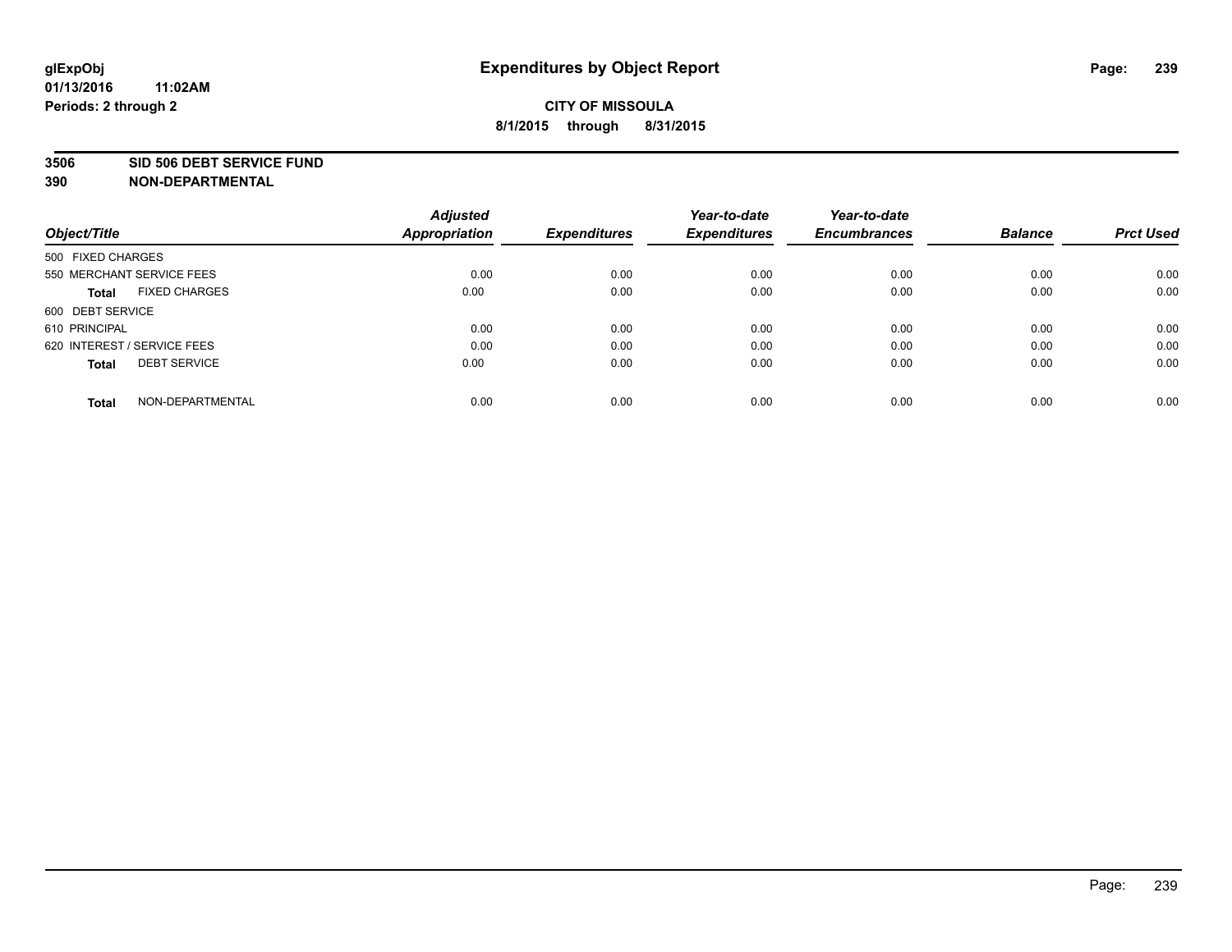#### **3506 SID 506 DEBT SERVICE FUND**

| Object/Title                         | <b>Adjusted</b><br><b>Appropriation</b> | <b>Expenditures</b> | Year-to-date<br><b>Expenditures</b> | Year-to-date<br><b>Encumbrances</b> | <b>Balance</b> | <b>Prct Used</b> |
|--------------------------------------|-----------------------------------------|---------------------|-------------------------------------|-------------------------------------|----------------|------------------|
|                                      |                                         |                     |                                     |                                     |                |                  |
| 500 FIXED CHARGES                    |                                         |                     |                                     |                                     |                |                  |
| 550 MERCHANT SERVICE FEES            | 0.00                                    | 0.00                | 0.00                                | 0.00                                | 0.00           | 0.00             |
| <b>FIXED CHARGES</b><br><b>Total</b> | 0.00                                    | 0.00                | 0.00                                | 0.00                                | 0.00           | 0.00             |
| 600 DEBT SERVICE                     |                                         |                     |                                     |                                     |                |                  |
| 610 PRINCIPAL                        | 0.00                                    | 0.00                | 0.00                                | 0.00                                | 0.00           | 0.00             |
| 620 INTEREST / SERVICE FEES          | 0.00                                    | 0.00                | 0.00                                | 0.00                                | 0.00           | 0.00             |
| <b>DEBT SERVICE</b><br><b>Total</b>  | 0.00                                    | 0.00                | 0.00                                | 0.00                                | 0.00           | 0.00             |
|                                      |                                         |                     |                                     |                                     |                |                  |
| NON-DEPARTMENTAL<br><b>Total</b>     | 0.00                                    | 0.00                | 0.00                                | 0.00                                | 0.00           | 0.00             |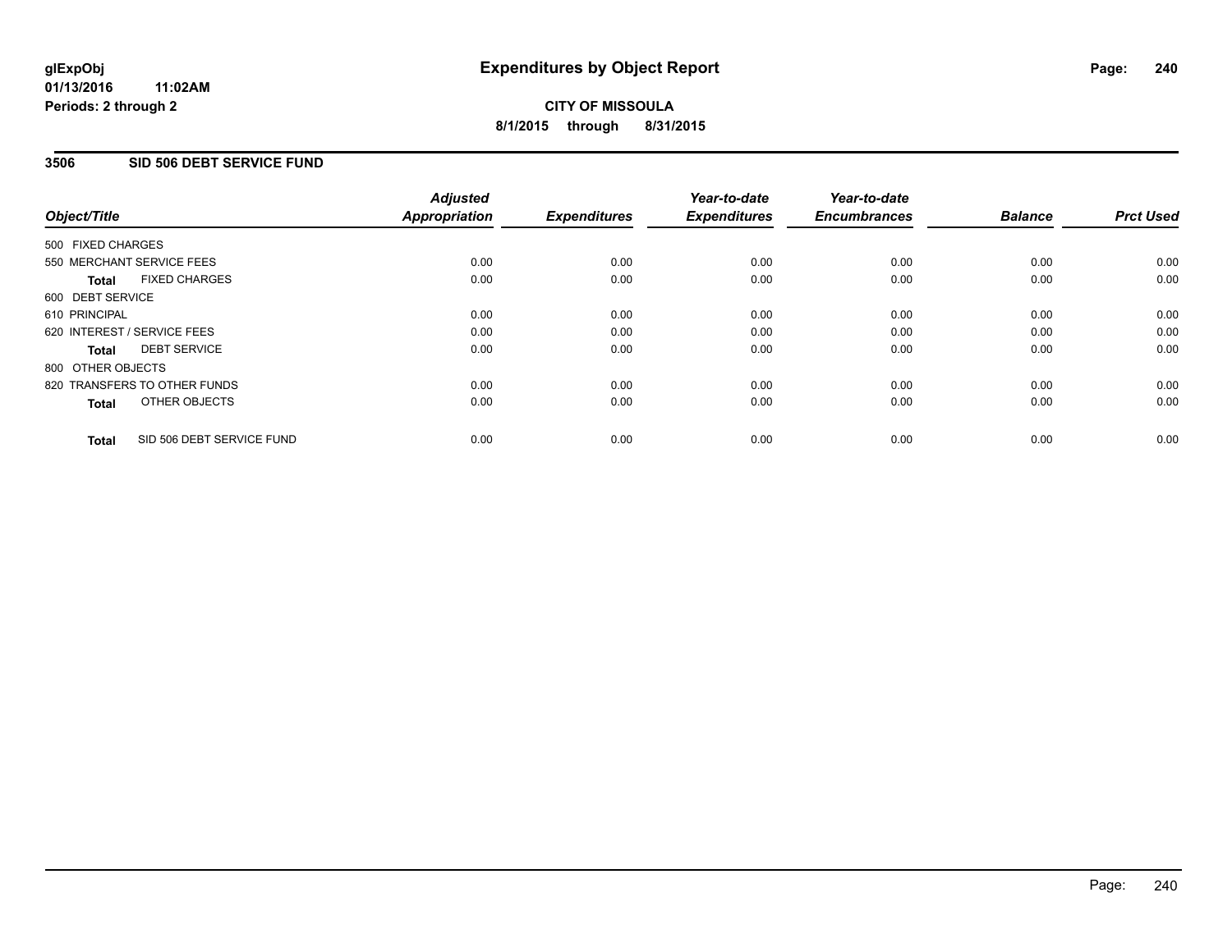### **3506 SID 506 DEBT SERVICE FUND**

|                                           | <b>Adjusted</b>      | <b>Expenditures</b> | Year-to-date<br><b>Expenditures</b> | Year-to-date<br><b>Encumbrances</b> | <b>Balance</b> | <b>Prct Used</b> |
|-------------------------------------------|----------------------|---------------------|-------------------------------------|-------------------------------------|----------------|------------------|
| Object/Title                              | <b>Appropriation</b> |                     |                                     |                                     |                |                  |
| 500 FIXED CHARGES                         |                      |                     |                                     |                                     |                |                  |
| 550 MERCHANT SERVICE FEES                 | 0.00                 | 0.00                | 0.00                                | 0.00                                | 0.00           | 0.00             |
| <b>FIXED CHARGES</b><br><b>Total</b>      | 0.00                 | 0.00                | 0.00                                | 0.00                                | 0.00           | 0.00             |
| 600 DEBT SERVICE                          |                      |                     |                                     |                                     |                |                  |
| 610 PRINCIPAL                             | 0.00                 | 0.00                | 0.00                                | 0.00                                | 0.00           | 0.00             |
| 620 INTEREST / SERVICE FEES               | 0.00                 | 0.00                | 0.00                                | 0.00                                | 0.00           | 0.00             |
| <b>DEBT SERVICE</b><br><b>Total</b>       | 0.00                 | 0.00                | 0.00                                | 0.00                                | 0.00           | 0.00             |
| 800 OTHER OBJECTS                         |                      |                     |                                     |                                     |                |                  |
| 820 TRANSFERS TO OTHER FUNDS              | 0.00                 | 0.00                | 0.00                                | 0.00                                | 0.00           | 0.00             |
| OTHER OBJECTS<br><b>Total</b>             | 0.00                 | 0.00                | 0.00                                | 0.00                                | 0.00           | 0.00             |
| SID 506 DEBT SERVICE FUND<br><b>Total</b> | 0.00                 | 0.00                | 0.00                                | 0.00                                | 0.00           | 0.00             |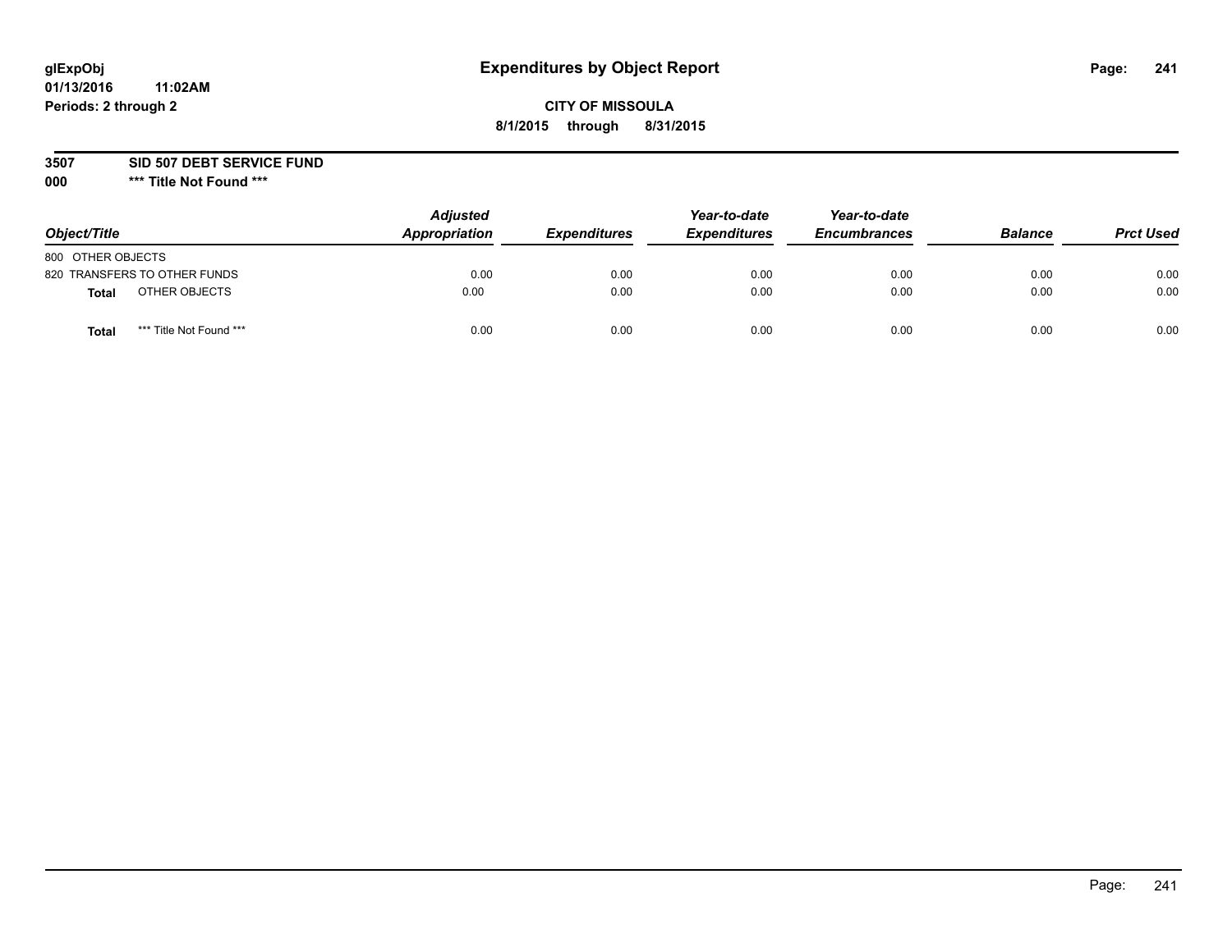## **CITY OF MISSOULA 8/1/2015 through 8/31/2015**

**3507 SID 507 DEBT SERVICE FUND**

| Object/Title                            | <b>Adjusted</b><br>Appropriation | <b>Expenditures</b> | Year-to-date<br><b>Expenditures</b> | Year-to-date<br><b>Encumbrances</b> | <b>Balance</b> | <b>Prct Used</b> |
|-----------------------------------------|----------------------------------|---------------------|-------------------------------------|-------------------------------------|----------------|------------------|
| 800 OTHER OBJECTS                       |                                  |                     |                                     |                                     |                |                  |
| 820 TRANSFERS TO OTHER FUNDS            | 0.00                             | 0.00                | 0.00                                | 0.00                                | 0.00           | 0.00             |
| OTHER OBJECTS<br><b>Total</b>           | 0.00                             | 0.00                | 0.00                                | 0.00                                | 0.00           | 0.00             |
| *** Title Not Found ***<br><b>Total</b> | 0.00                             | 0.00                | 0.00                                | 0.00                                | 0.00           | 0.00             |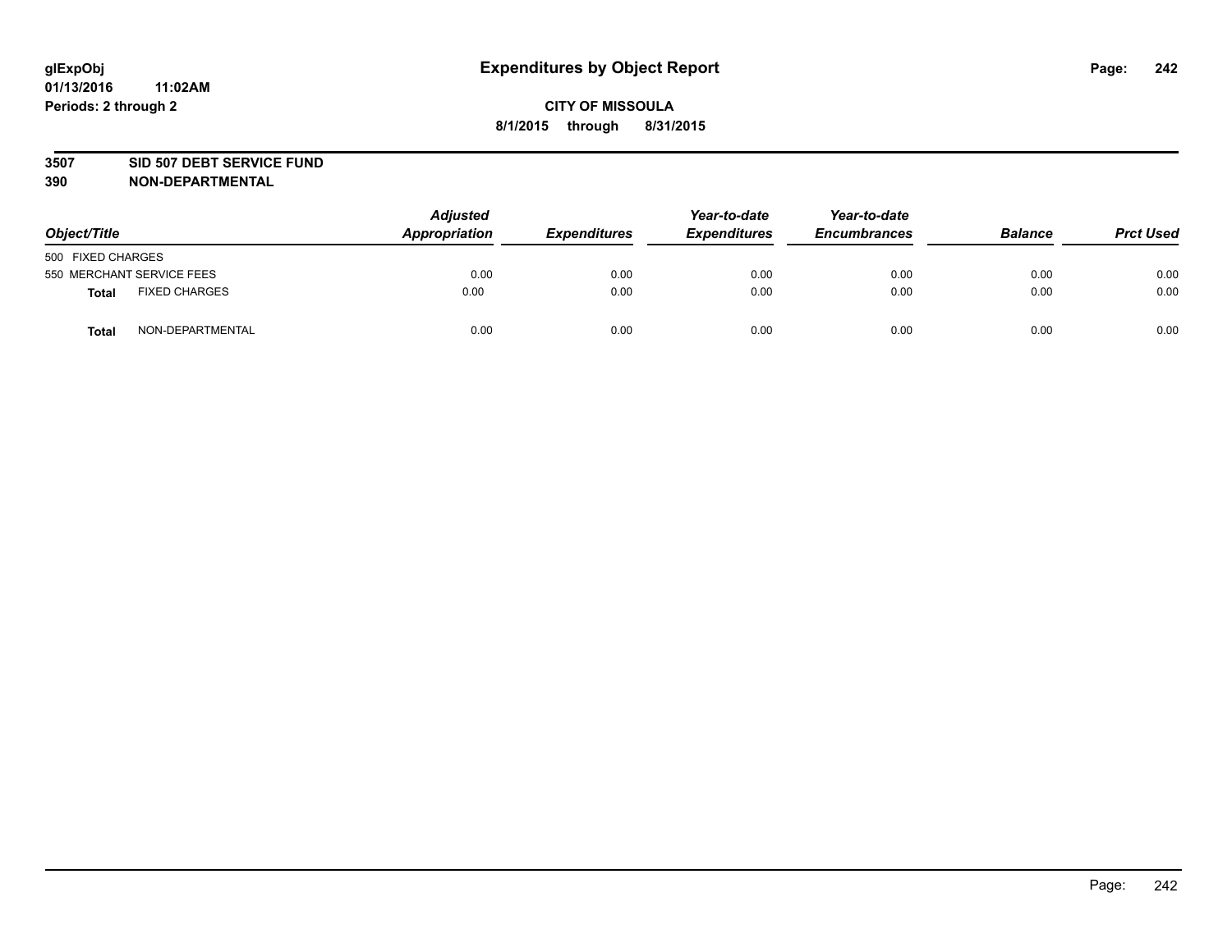#### **3507 SID 507 DEBT SERVICE FUND**

| Object/Title      |                           | <b>Adjusted</b><br>Appropriation | <b>Expenditures</b> | Year-to-date<br><b>Expenditures</b> | Year-to-date<br><b>Encumbrances</b> | <b>Balance</b> | <b>Prct Used</b> |
|-------------------|---------------------------|----------------------------------|---------------------|-------------------------------------|-------------------------------------|----------------|------------------|
| 500 FIXED CHARGES |                           |                                  |                     |                                     |                                     |                |                  |
|                   | 550 MERCHANT SERVICE FEES | 0.00                             | 0.00                | 0.00                                | 0.00                                | 0.00           | 0.00             |
| <b>Total</b>      | <b>FIXED CHARGES</b>      | 0.00                             | 0.00                | 0.00                                | 0.00                                | 0.00           | 0.00             |
| <b>Total</b>      | NON-DEPARTMENTAL          | 0.00                             | 0.00                | 0.00                                | 0.00                                | 0.00           | 0.00             |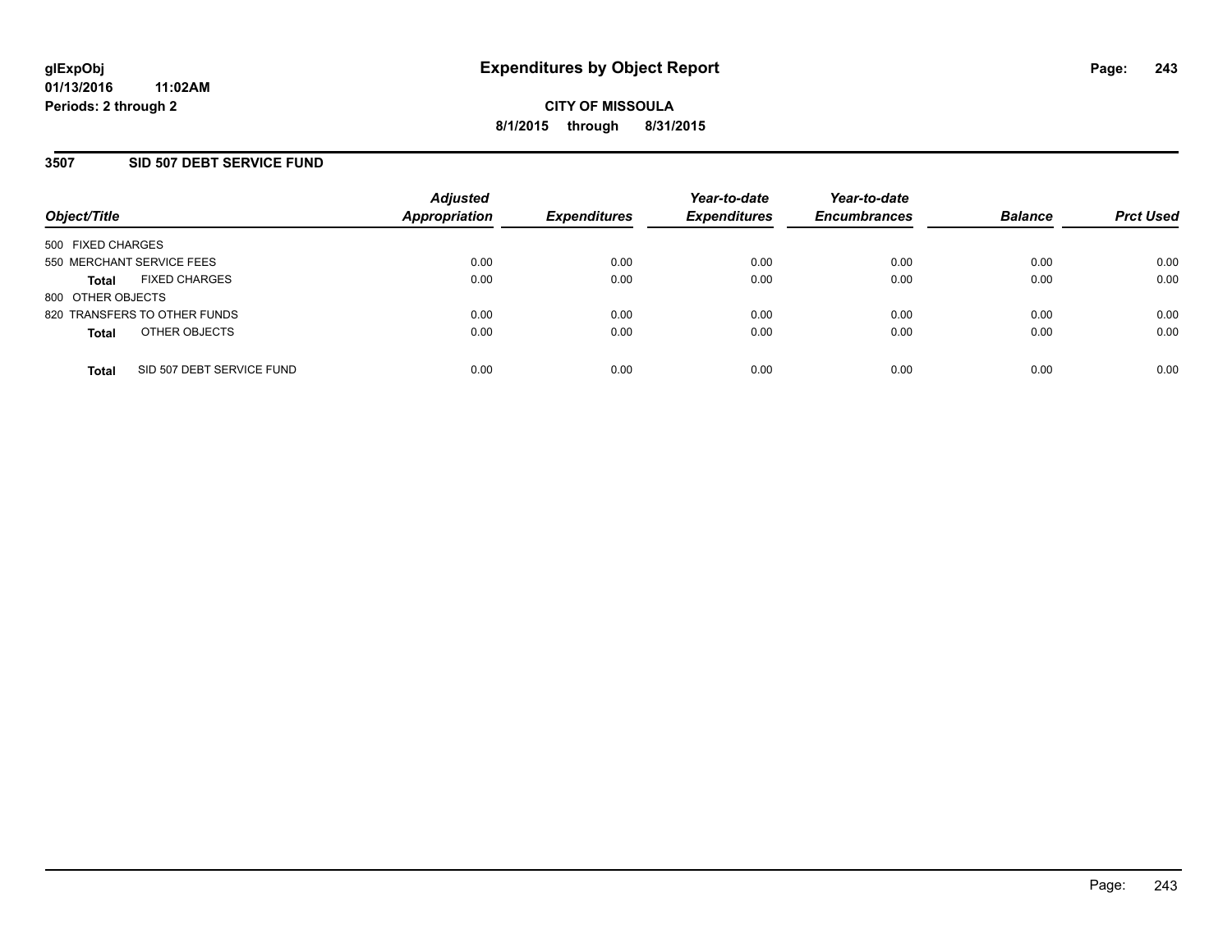### **3507 SID 507 DEBT SERVICE FUND**

| Object/Title                              | <b>Adjusted</b><br>Appropriation | <b>Expenditures</b> | Year-to-date<br><b>Expenditures</b> | Year-to-date<br><b>Encumbrances</b> | <b>Balance</b> | <b>Prct Used</b> |
|-------------------------------------------|----------------------------------|---------------------|-------------------------------------|-------------------------------------|----------------|------------------|
| 500 FIXED CHARGES                         |                                  |                     |                                     |                                     |                |                  |
| 550 MERCHANT SERVICE FEES                 | 0.00                             | 0.00                | 0.00                                | 0.00                                | 0.00           | 0.00             |
| <b>FIXED CHARGES</b><br><b>Total</b>      | 0.00                             | 0.00                | 0.00                                | 0.00                                | 0.00           | 0.00             |
| 800 OTHER OBJECTS                         |                                  |                     |                                     |                                     |                |                  |
| 820 TRANSFERS TO OTHER FUNDS              | 0.00                             | 0.00                | 0.00                                | 0.00                                | 0.00           | 0.00             |
| OTHER OBJECTS<br><b>Total</b>             | 0.00                             | 0.00                | 0.00                                | 0.00                                | 0.00           | 0.00             |
| SID 507 DEBT SERVICE FUND<br><b>Total</b> | 0.00                             | 0.00                | 0.00                                | 0.00                                | 0.00           | 0.00             |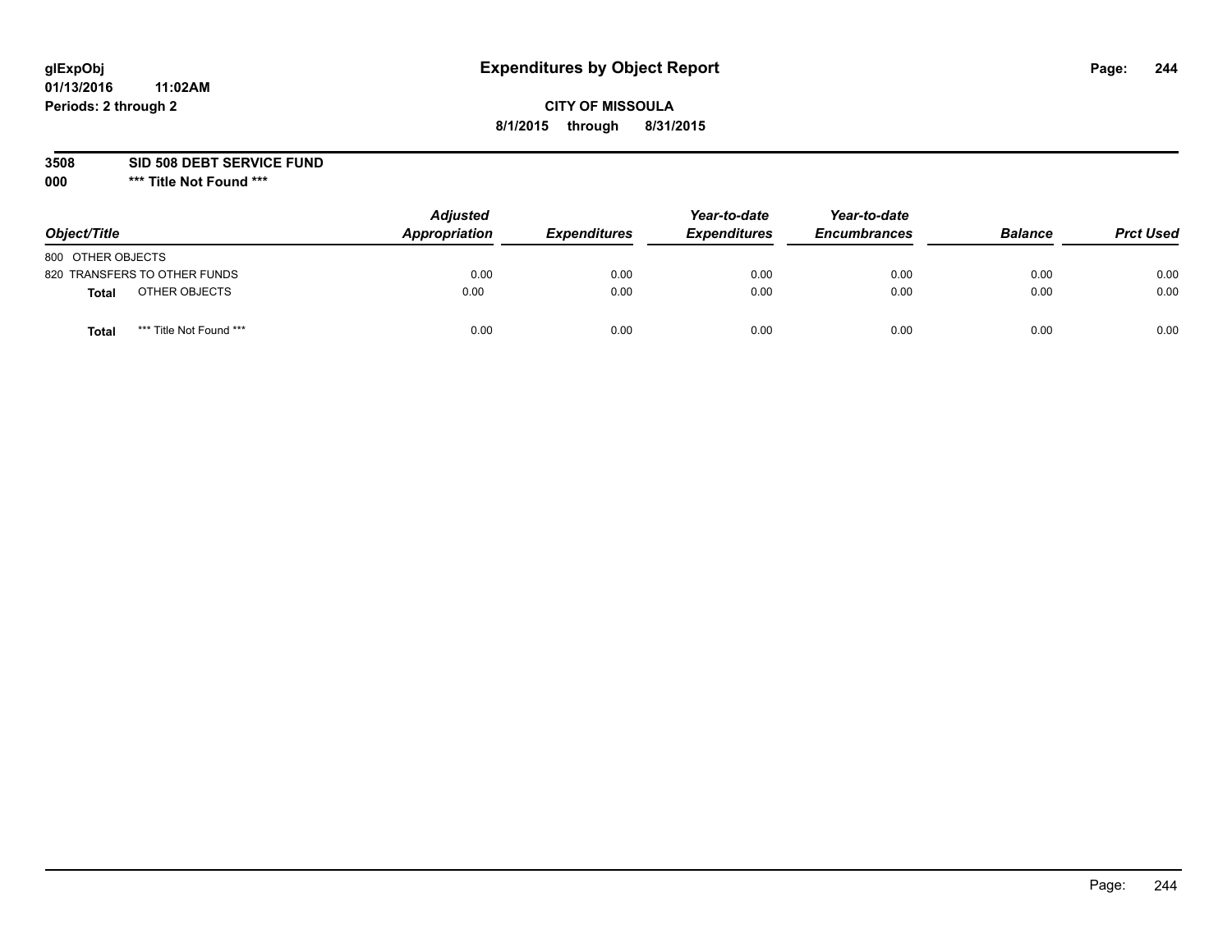## **CITY OF MISSOULA 8/1/2015 through 8/31/2015**

**3508 SID 508 DEBT SERVICE FUND**

| Object/Title                            | <b>Adjusted</b><br>Appropriation | <b>Expenditures</b> | Year-to-date<br><b>Expenditures</b> | Year-to-date<br><b>Encumbrances</b> | <b>Balance</b> | <b>Prct Used</b> |
|-----------------------------------------|----------------------------------|---------------------|-------------------------------------|-------------------------------------|----------------|------------------|
| 800 OTHER OBJECTS                       |                                  |                     |                                     |                                     |                |                  |
| 820 TRANSFERS TO OTHER FUNDS            | 0.00                             | 0.00                | 0.00                                | 0.00                                | 0.00           | 0.00             |
| OTHER OBJECTS<br><b>Total</b>           | 0.00                             | 0.00                | 0.00                                | 0.00                                | 0.00           | 0.00             |
| *** Title Not Found ***<br><b>Total</b> | 0.00                             | 0.00                | 0.00                                | 0.00                                | 0.00           | 0.00             |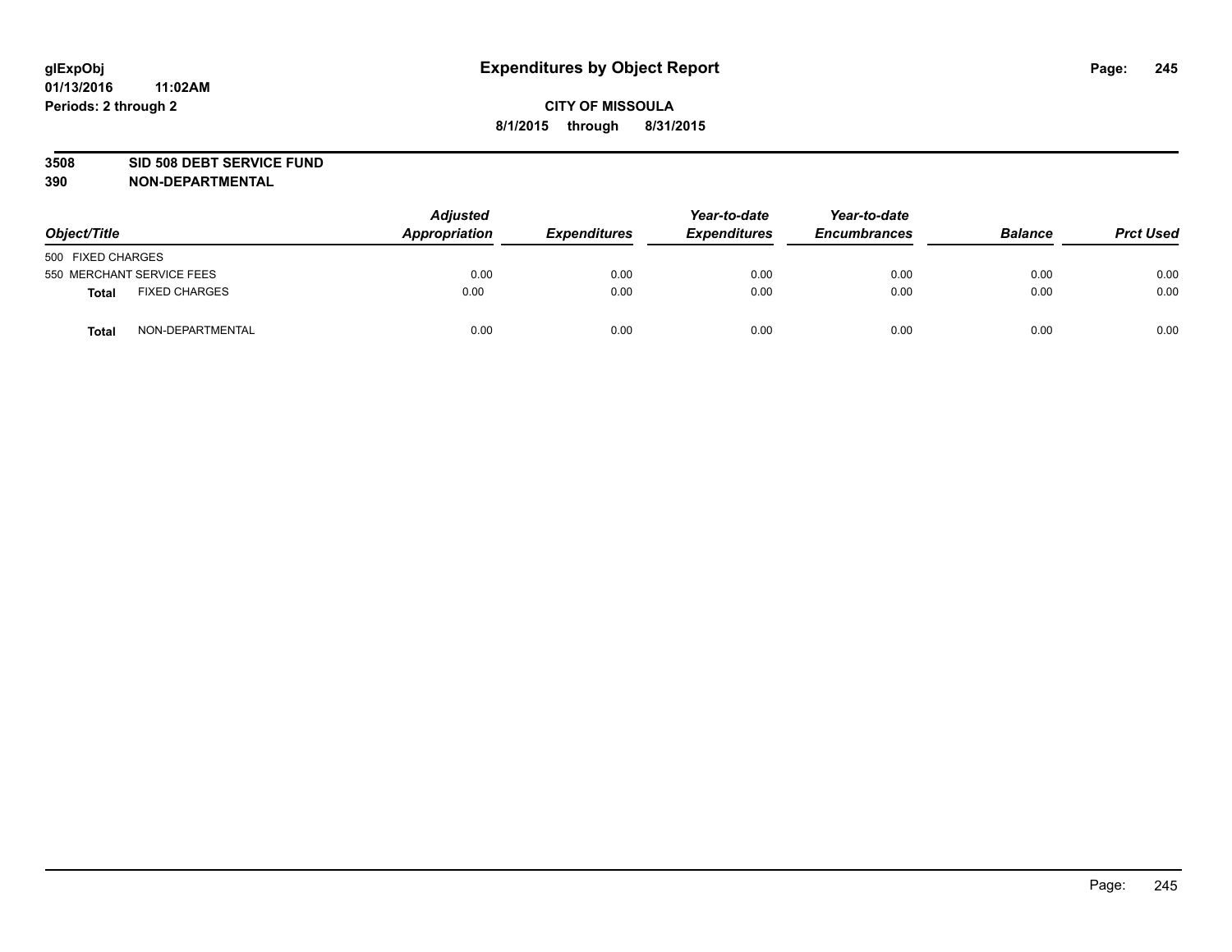#### **3508 SID 508 DEBT SERVICE FUND**

| Object/Title      |                           | <b>Adjusted</b><br>Appropriation | <b>Expenditures</b> | Year-to-date<br><b>Expenditures</b> | Year-to-date<br><b>Encumbrances</b> | <b>Balance</b> | <b>Prct Used</b> |
|-------------------|---------------------------|----------------------------------|---------------------|-------------------------------------|-------------------------------------|----------------|------------------|
| 500 FIXED CHARGES |                           |                                  |                     |                                     |                                     |                |                  |
|                   | 550 MERCHANT SERVICE FEES | 0.00                             | 0.00                | 0.00                                | 0.00                                | 0.00           | 0.00             |
| <b>Total</b>      | <b>FIXED CHARGES</b>      | 0.00                             | 0.00                | 0.00                                | 0.00                                | 0.00           | 0.00             |
| <b>Total</b>      | NON-DEPARTMENTAL          | 0.00                             | 0.00                | 0.00                                | 0.00                                | 0.00           | 0.00             |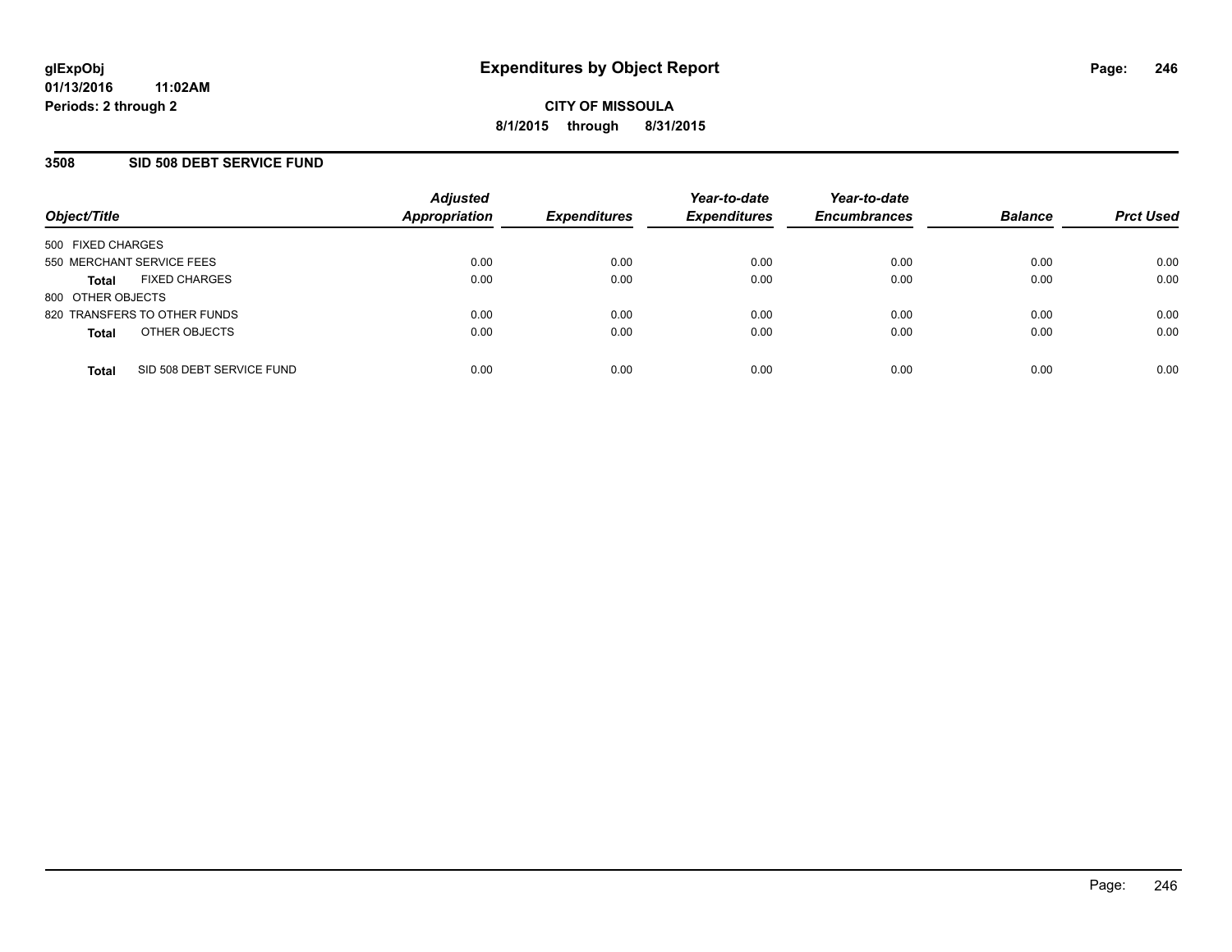### **3508 SID 508 DEBT SERVICE FUND**

| Object/Title                              | <b>Adjusted</b><br>Appropriation | <b>Expenditures</b> | Year-to-date<br><b>Expenditures</b> | Year-to-date<br><b>Encumbrances</b> | <b>Balance</b> | <b>Prct Used</b> |
|-------------------------------------------|----------------------------------|---------------------|-------------------------------------|-------------------------------------|----------------|------------------|
| 500 FIXED CHARGES                         |                                  |                     |                                     |                                     |                |                  |
| 550 MERCHANT SERVICE FEES                 | 0.00                             | 0.00                | 0.00                                | 0.00                                | 0.00           | 0.00             |
| <b>FIXED CHARGES</b><br><b>Total</b>      | 0.00                             | 0.00                | 0.00                                | 0.00                                | 0.00           | 0.00             |
| 800 OTHER OBJECTS                         |                                  |                     |                                     |                                     |                |                  |
| 820 TRANSFERS TO OTHER FUNDS              | 0.00                             | 0.00                | 0.00                                | 0.00                                | 0.00           | 0.00             |
| OTHER OBJECTS<br><b>Total</b>             | 0.00                             | 0.00                | 0.00                                | 0.00                                | 0.00           | 0.00             |
| SID 508 DEBT SERVICE FUND<br><b>Total</b> | 0.00                             | 0.00                | 0.00                                | 0.00                                | 0.00           | 0.00             |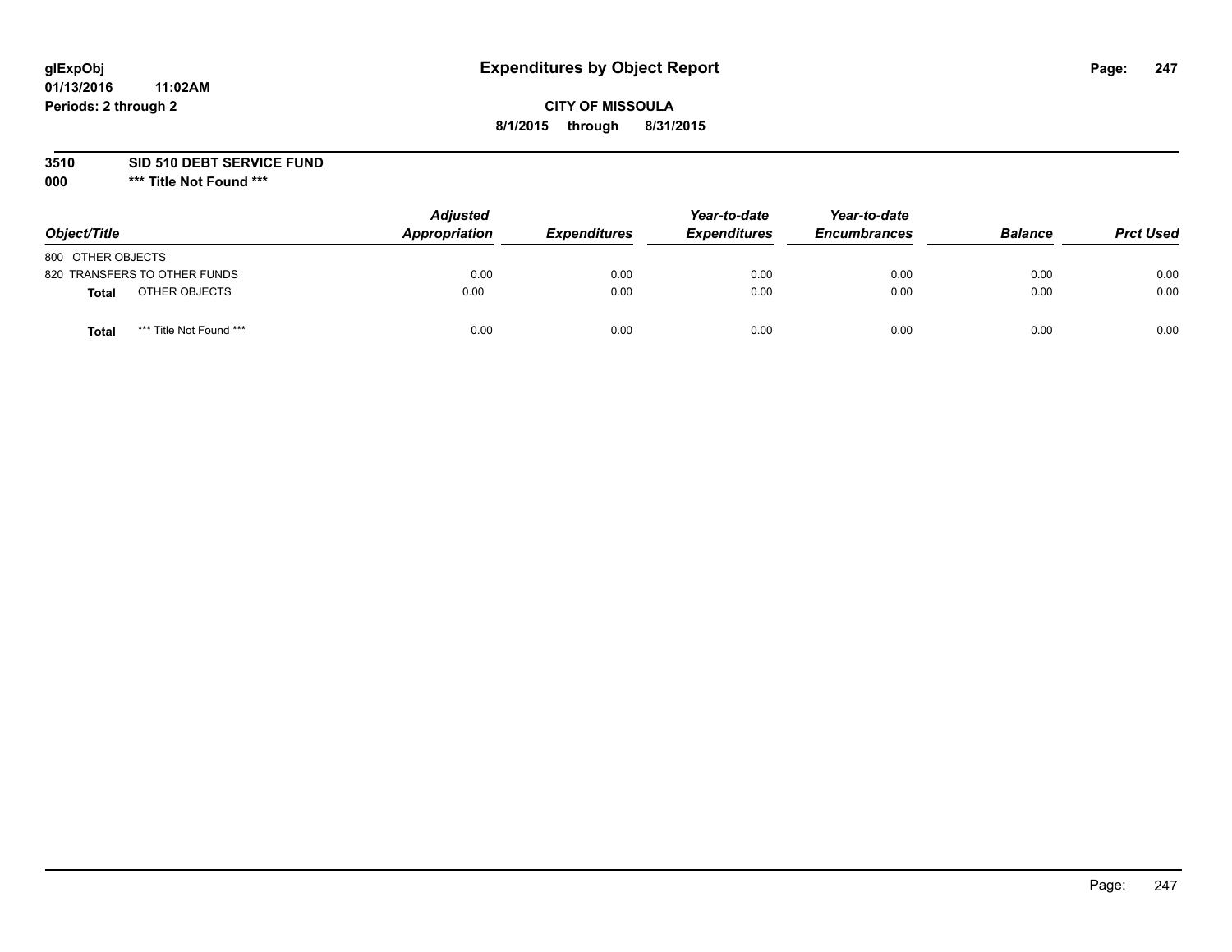## **CITY OF MISSOULA 8/1/2015 through 8/31/2015**

**3510 SID 510 DEBT SERVICE FUND**

| Object/Title                            | <b>Adjusted</b><br>Appropriation | <b>Expenditures</b> | Year-to-date<br><b>Expenditures</b> | Year-to-date<br><b>Encumbrances</b> | <b>Balance</b> | <b>Prct Used</b> |
|-----------------------------------------|----------------------------------|---------------------|-------------------------------------|-------------------------------------|----------------|------------------|
| 800 OTHER OBJECTS                       |                                  |                     |                                     |                                     |                |                  |
| 820 TRANSFERS TO OTHER FUNDS            | 0.00                             | 0.00                | 0.00                                | 0.00                                | 0.00           | 0.00             |
| OTHER OBJECTS<br><b>Total</b>           | 0.00                             | 0.00                | 0.00                                | 0.00                                | 0.00           | 0.00             |
| *** Title Not Found ***<br><b>Total</b> | 0.00                             | 0.00                | 0.00                                | 0.00                                | 0.00           | 0.00             |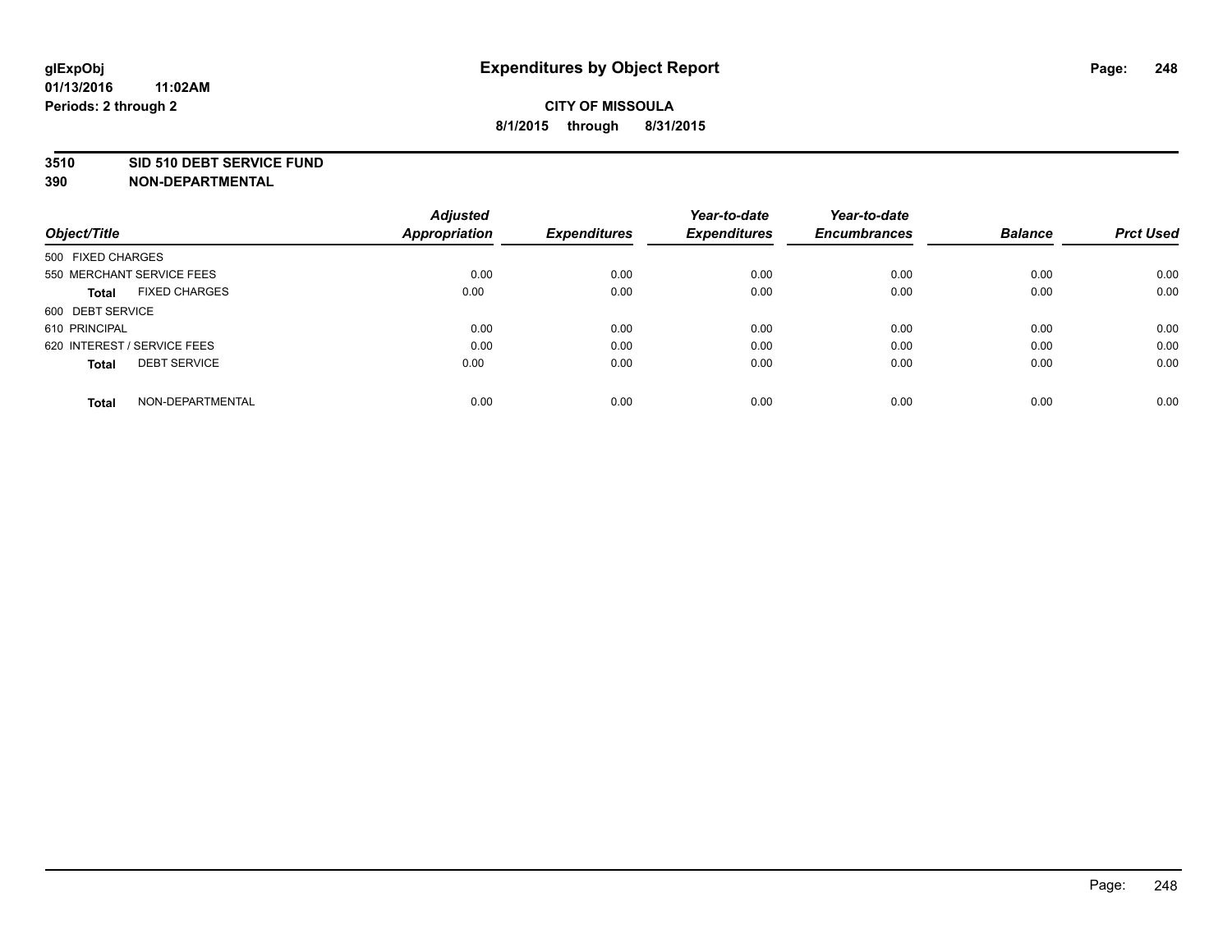#### **3510 SID 510 DEBT SERVICE FUND**

| Object/Title                         | <b>Adjusted</b><br><b>Appropriation</b> | <b>Expenditures</b> | Year-to-date<br><b>Expenditures</b> | Year-to-date<br><b>Encumbrances</b> | <b>Balance</b> | <b>Prct Used</b> |
|--------------------------------------|-----------------------------------------|---------------------|-------------------------------------|-------------------------------------|----------------|------------------|
|                                      |                                         |                     |                                     |                                     |                |                  |
| 500 FIXED CHARGES                    |                                         |                     |                                     |                                     |                |                  |
| 550 MERCHANT SERVICE FEES            | 0.00                                    | 0.00                | 0.00                                | 0.00                                | 0.00           | 0.00             |
| <b>FIXED CHARGES</b><br><b>Total</b> | 0.00                                    | 0.00                | 0.00                                | 0.00                                | 0.00           | 0.00             |
| 600 DEBT SERVICE                     |                                         |                     |                                     |                                     |                |                  |
| 610 PRINCIPAL                        | 0.00                                    | 0.00                | 0.00                                | 0.00                                | 0.00           | 0.00             |
| 620 INTEREST / SERVICE FEES          | 0.00                                    | 0.00                | 0.00                                | 0.00                                | 0.00           | 0.00             |
| <b>DEBT SERVICE</b><br><b>Total</b>  | 0.00                                    | 0.00                | 0.00                                | 0.00                                | 0.00           | 0.00             |
|                                      |                                         |                     |                                     |                                     |                |                  |
| NON-DEPARTMENTAL<br><b>Total</b>     | 0.00                                    | 0.00                | 0.00                                | 0.00                                | 0.00           | 0.00             |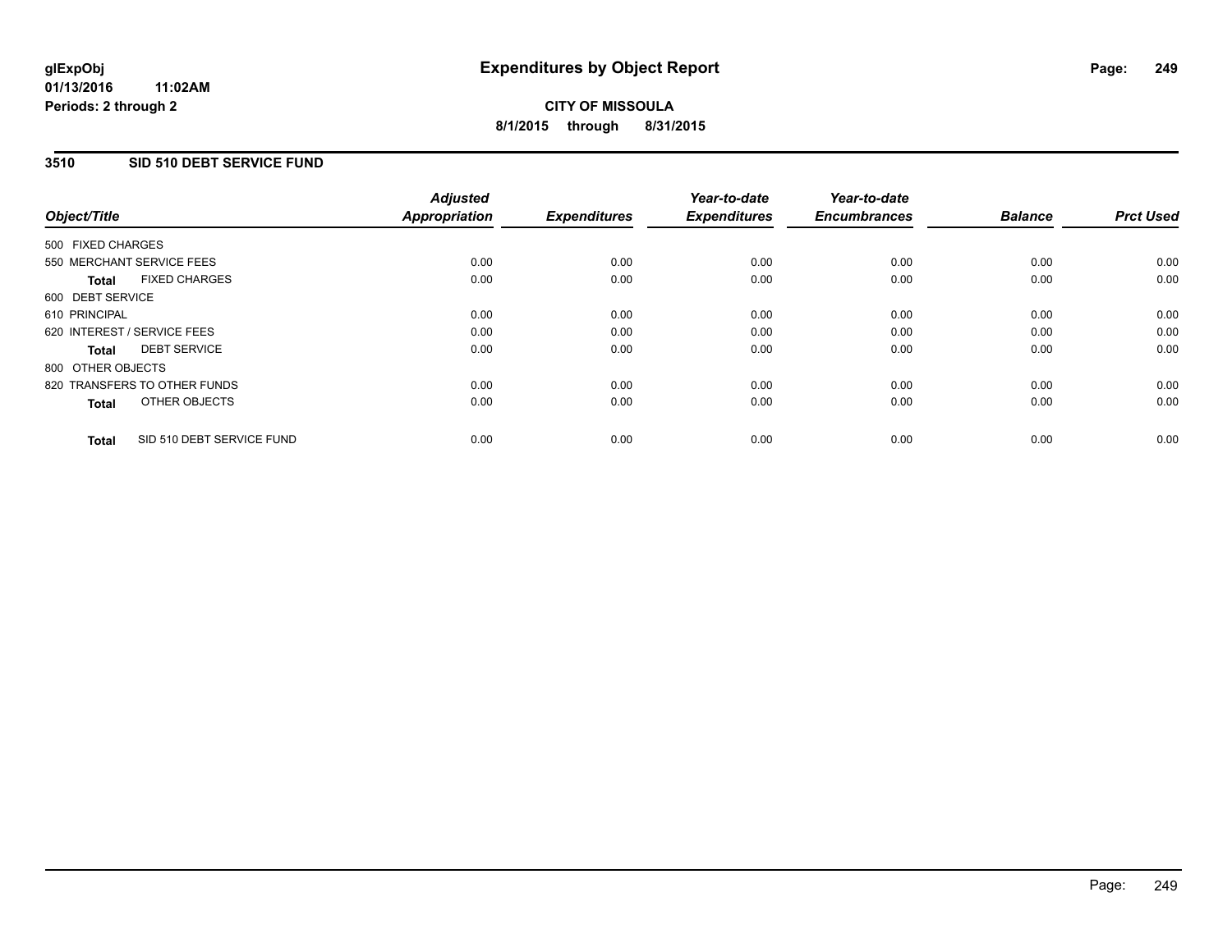### **3510 SID 510 DEBT SERVICE FUND**

| Object/Title      |                              | <b>Adjusted</b><br>Appropriation | <b>Expenditures</b> | Year-to-date<br><b>Expenditures</b> | Year-to-date<br><b>Encumbrances</b> | <b>Balance</b> | <b>Prct Used</b> |
|-------------------|------------------------------|----------------------------------|---------------------|-------------------------------------|-------------------------------------|----------------|------------------|
| 500 FIXED CHARGES |                              |                                  |                     |                                     |                                     |                |                  |
|                   | 550 MERCHANT SERVICE FEES    | 0.00                             | 0.00                | 0.00                                | 0.00                                | 0.00           | 0.00             |
| <b>Total</b>      | <b>FIXED CHARGES</b>         | 0.00                             | 0.00                | 0.00                                | 0.00                                | 0.00           | 0.00             |
| 600 DEBT SERVICE  |                              |                                  |                     |                                     |                                     |                |                  |
| 610 PRINCIPAL     |                              | 0.00                             | 0.00                | 0.00                                | 0.00                                | 0.00           | 0.00             |
|                   | 620 INTEREST / SERVICE FEES  | 0.00                             | 0.00                | 0.00                                | 0.00                                | 0.00           | 0.00             |
| Total             | <b>DEBT SERVICE</b>          | 0.00                             | 0.00                | 0.00                                | 0.00                                | 0.00           | 0.00             |
| 800 OTHER OBJECTS |                              |                                  |                     |                                     |                                     |                |                  |
|                   | 820 TRANSFERS TO OTHER FUNDS | 0.00                             | 0.00                | 0.00                                | 0.00                                | 0.00           | 0.00             |
| <b>Total</b>      | OTHER OBJECTS                | 0.00                             | 0.00                | 0.00                                | 0.00                                | 0.00           | 0.00             |
| <b>Total</b>      | SID 510 DEBT SERVICE FUND    | 0.00                             | 0.00                | 0.00                                | 0.00                                | 0.00           | 0.00             |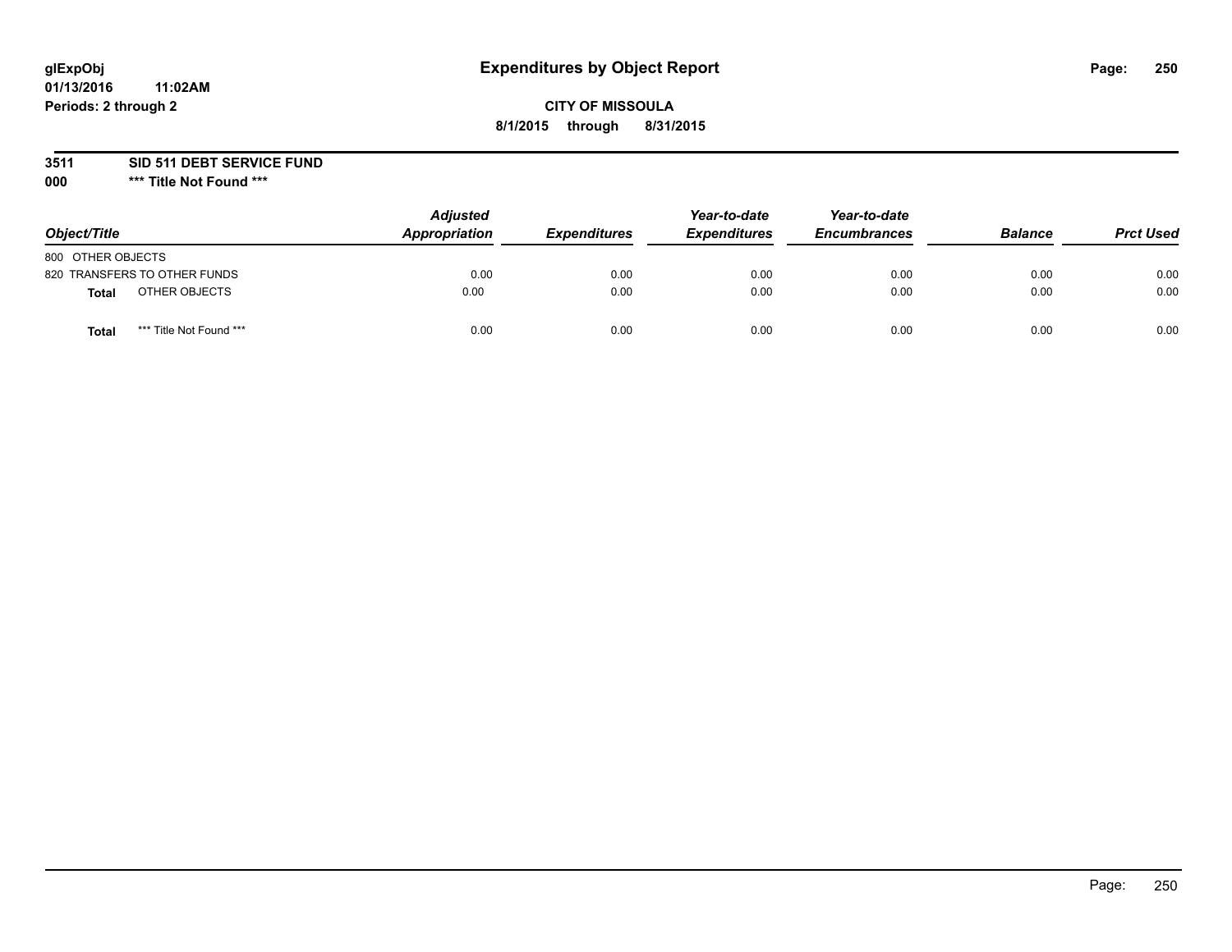## **CITY OF MISSOULA 8/1/2015 through 8/31/2015**

**3511 SID 511 DEBT SERVICE FUND**

| Object/Title                     | <b>Adjusted</b><br>Appropriation | <b>Expenditures</b> | Year-to-date<br><b>Expenditures</b> | Year-to-date<br><b>Encumbrances</b> | <b>Balance</b> | <b>Prct Used</b> |
|----------------------------------|----------------------------------|---------------------|-------------------------------------|-------------------------------------|----------------|------------------|
| 800 OTHER OBJECTS                |                                  |                     |                                     |                                     |                |                  |
| 820 TRANSFERS TO OTHER FUNDS     | 0.00                             | 0.00                | 0.00                                | 0.00                                | 0.00           | 0.00             |
| OTHER OBJECTS<br><b>Total</b>    | 0.00                             | 0.00                | 0.00                                | 0.00                                | 0.00           | 0.00             |
| *** Title Not Found ***<br>Total | 0.00                             | 0.00                | 0.00                                | 0.00                                | 0.00           | 0.00             |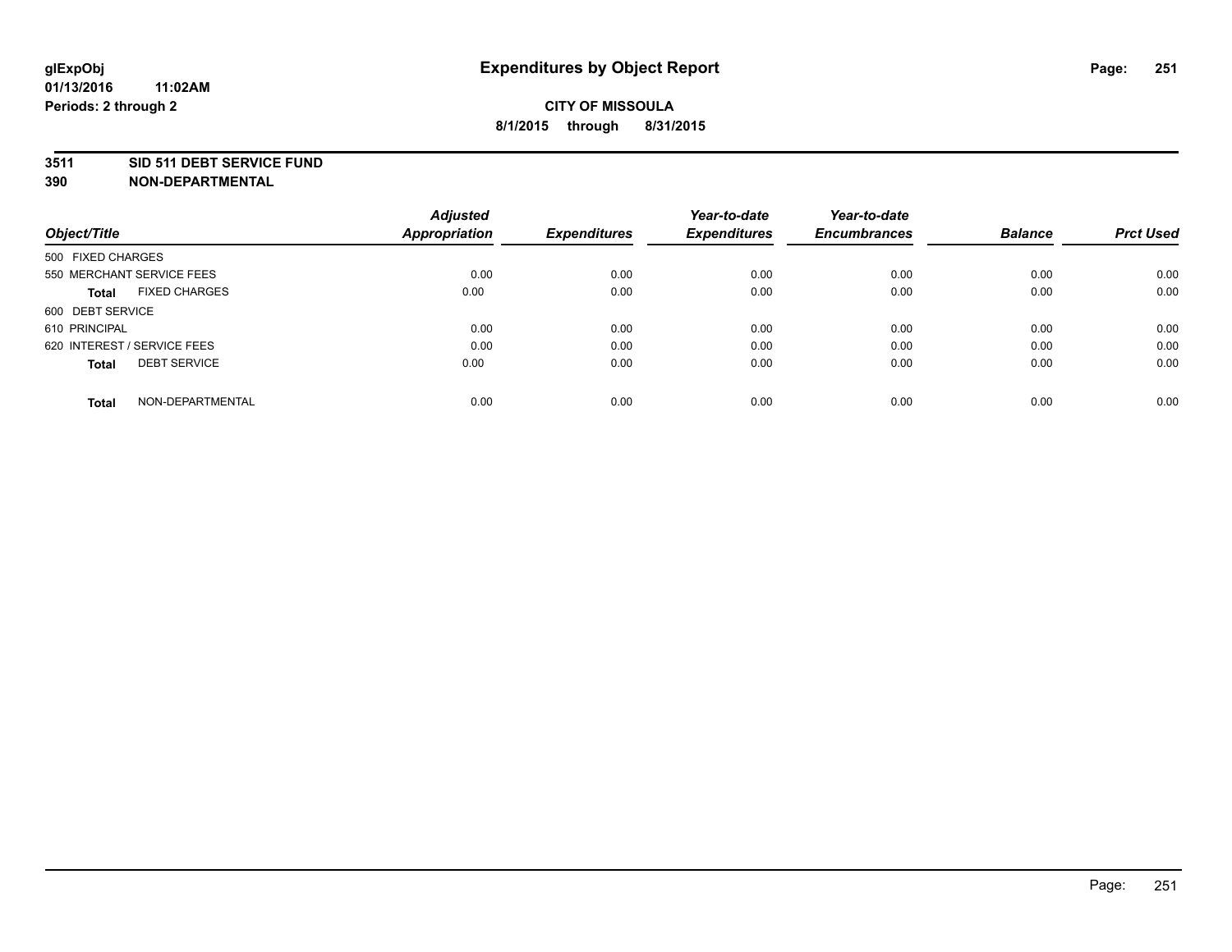#### **3511 SID 511 DEBT SERVICE FUND**

| Object/Title                         | <b>Adjusted</b><br><b>Appropriation</b> | <b>Expenditures</b> | Year-to-date<br><b>Expenditures</b> | Year-to-date<br><b>Encumbrances</b> | <b>Balance</b> | <b>Prct Used</b> |
|--------------------------------------|-----------------------------------------|---------------------|-------------------------------------|-------------------------------------|----------------|------------------|
|                                      |                                         |                     |                                     |                                     |                |                  |
| 500 FIXED CHARGES                    |                                         |                     |                                     |                                     |                |                  |
| 550 MERCHANT SERVICE FEES            | 0.00                                    | 0.00                | 0.00                                | 0.00                                | 0.00           | 0.00             |
| <b>FIXED CHARGES</b><br><b>Total</b> | 0.00                                    | 0.00                | 0.00                                | 0.00                                | 0.00           | 0.00             |
| 600 DEBT SERVICE                     |                                         |                     |                                     |                                     |                |                  |
| 610 PRINCIPAL                        | 0.00                                    | 0.00                | 0.00                                | 0.00                                | 0.00           | 0.00             |
| 620 INTEREST / SERVICE FEES          | 0.00                                    | 0.00                | 0.00                                | 0.00                                | 0.00           | 0.00             |
| <b>DEBT SERVICE</b><br><b>Total</b>  | 0.00                                    | 0.00                | 0.00                                | 0.00                                | 0.00           | 0.00             |
| NON-DEPARTMENTAL<br><b>Total</b>     | 0.00                                    | 0.00                | 0.00                                | 0.00                                | 0.00           | 0.00             |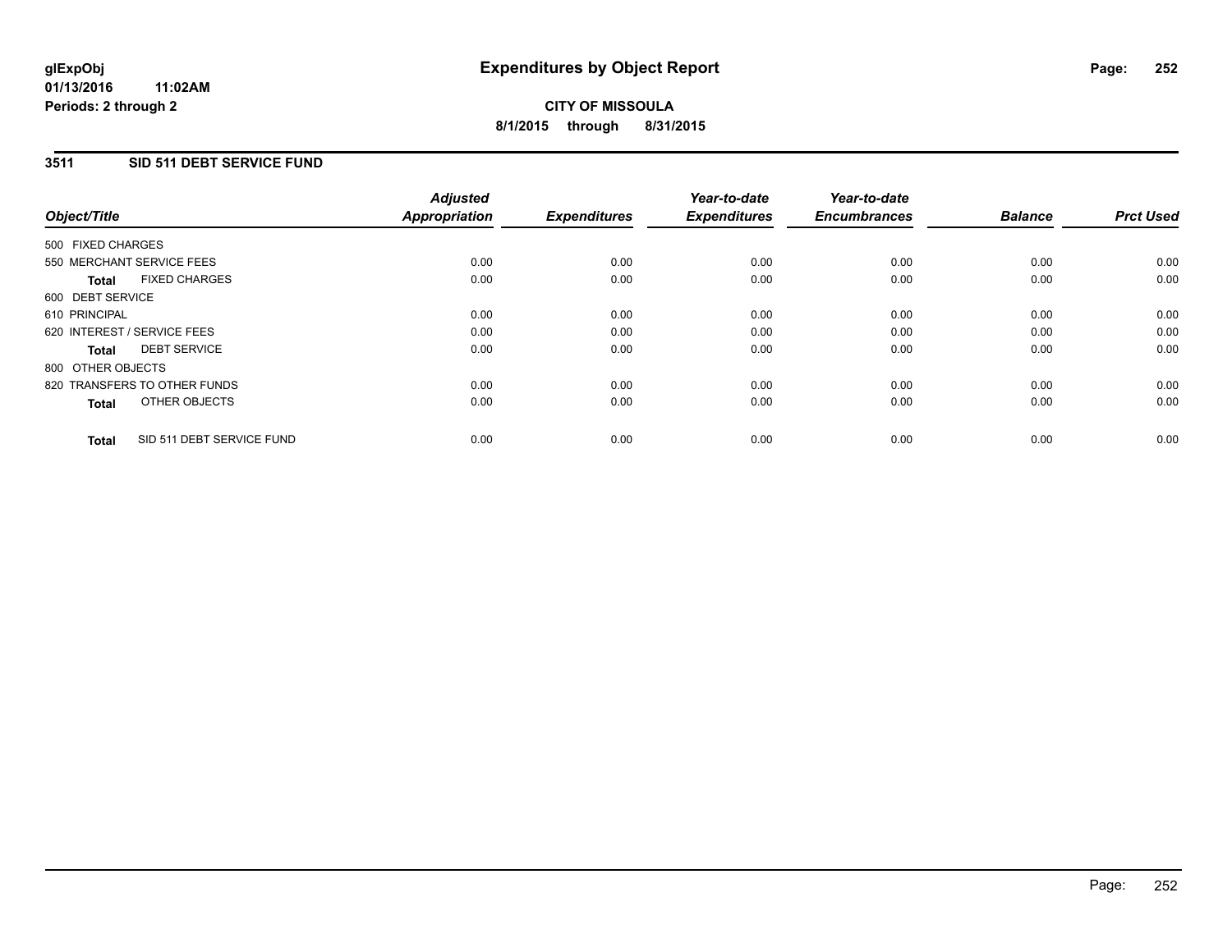### **3511 SID 511 DEBT SERVICE FUND**

| Object/Title                              | <b>Adjusted</b><br><b>Appropriation</b> | <b>Expenditures</b> | Year-to-date<br><b>Expenditures</b> | Year-to-date<br><b>Encumbrances</b> | <b>Balance</b> | <b>Prct Used</b> |
|-------------------------------------------|-----------------------------------------|---------------------|-------------------------------------|-------------------------------------|----------------|------------------|
|                                           |                                         |                     |                                     |                                     |                |                  |
| 500 FIXED CHARGES                         |                                         |                     |                                     |                                     |                |                  |
| 550 MERCHANT SERVICE FEES                 | 0.00                                    | 0.00                | 0.00                                | 0.00                                | 0.00           | 0.00             |
| <b>FIXED CHARGES</b><br>Total             | 0.00                                    | 0.00                | 0.00                                | 0.00                                | 0.00           | 0.00             |
| 600 DEBT SERVICE                          |                                         |                     |                                     |                                     |                |                  |
| 610 PRINCIPAL                             | 0.00                                    | 0.00                | 0.00                                | 0.00                                | 0.00           | 0.00             |
| 620 INTEREST / SERVICE FEES               | 0.00                                    | 0.00                | 0.00                                | 0.00                                | 0.00           | 0.00             |
| <b>DEBT SERVICE</b><br><b>Total</b>       | 0.00                                    | 0.00                | 0.00                                | 0.00                                | 0.00           | 0.00             |
| 800 OTHER OBJECTS                         |                                         |                     |                                     |                                     |                |                  |
| 820 TRANSFERS TO OTHER FUNDS              | 0.00                                    | 0.00                | 0.00                                | 0.00                                | 0.00           | 0.00             |
| OTHER OBJECTS<br><b>Total</b>             | 0.00                                    | 0.00                | 0.00                                | 0.00                                | 0.00           | 0.00             |
|                                           |                                         |                     |                                     |                                     |                |                  |
| SID 511 DEBT SERVICE FUND<br><b>Total</b> | 0.00                                    | 0.00                | 0.00                                | 0.00                                | 0.00           | 0.00             |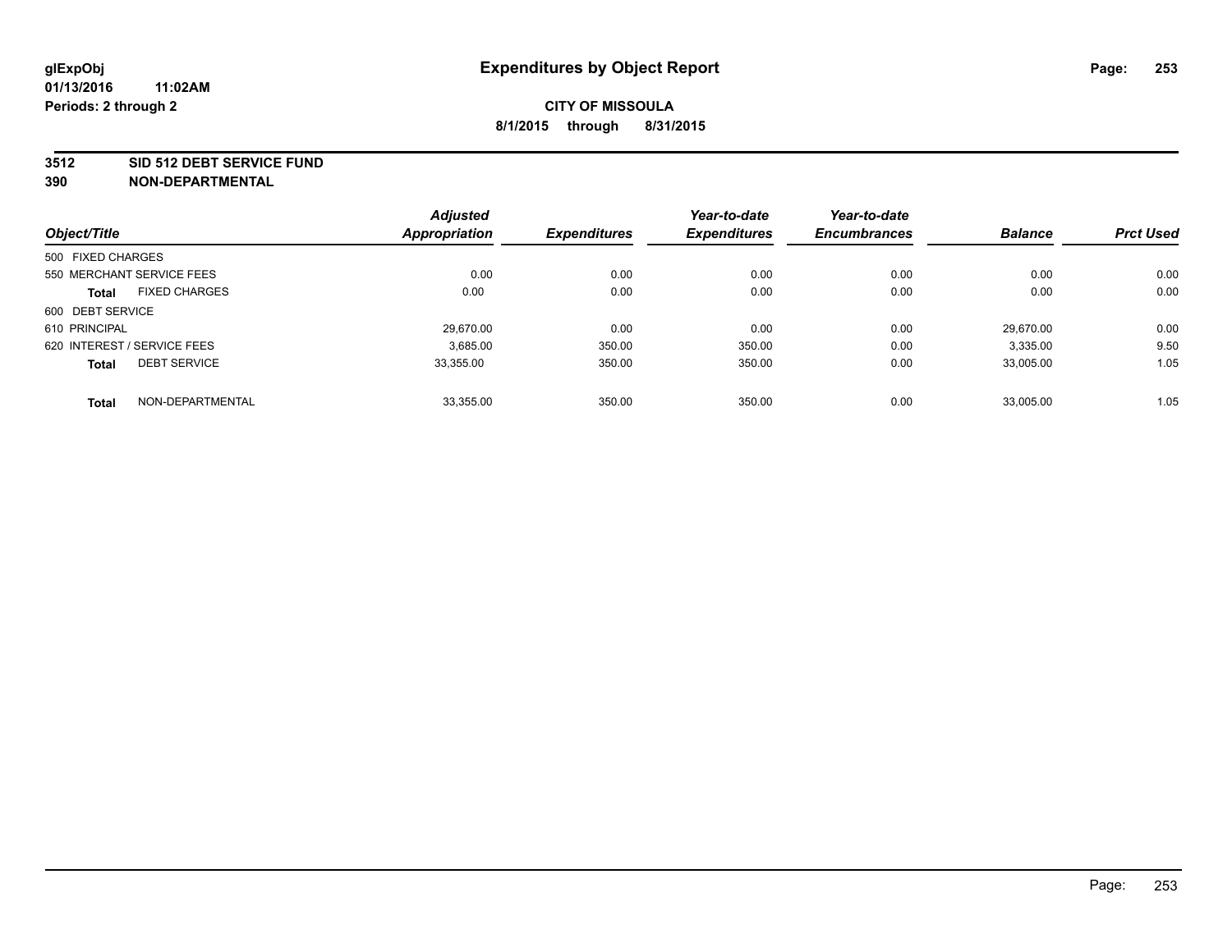#### **3512 SID 512 DEBT SERVICE FUND**

|                                      | <b>Adjusted</b>      |                     | Year-to-date        | Year-to-date        |                |                  |
|--------------------------------------|----------------------|---------------------|---------------------|---------------------|----------------|------------------|
| Object/Title                         | <b>Appropriation</b> | <b>Expenditures</b> | <b>Expenditures</b> | <b>Encumbrances</b> | <b>Balance</b> | <b>Prct Used</b> |
| 500 FIXED CHARGES                    |                      |                     |                     |                     |                |                  |
| 550 MERCHANT SERVICE FEES            | 0.00                 | 0.00                | 0.00                | 0.00                | 0.00           | 0.00             |
| <b>FIXED CHARGES</b><br><b>Total</b> | 0.00                 | 0.00                | 0.00                | 0.00                | 0.00           | 0.00             |
| 600 DEBT SERVICE                     |                      |                     |                     |                     |                |                  |
| 610 PRINCIPAL                        | 29.670.00            | 0.00                | 0.00                | 0.00                | 29.670.00      | 0.00             |
| 620 INTEREST / SERVICE FEES          | 3,685.00             | 350.00              | 350.00              | 0.00                | 3,335.00       | 9.50             |
| <b>DEBT SERVICE</b><br><b>Total</b>  | 33.355.00            | 350.00              | 350.00              | 0.00                | 33.005.00      | 1.05             |
| NON-DEPARTMENTAL<br><b>Total</b>     | 33,355.00            | 350.00              | 350.00              | 0.00                | 33,005.00      | 1.05             |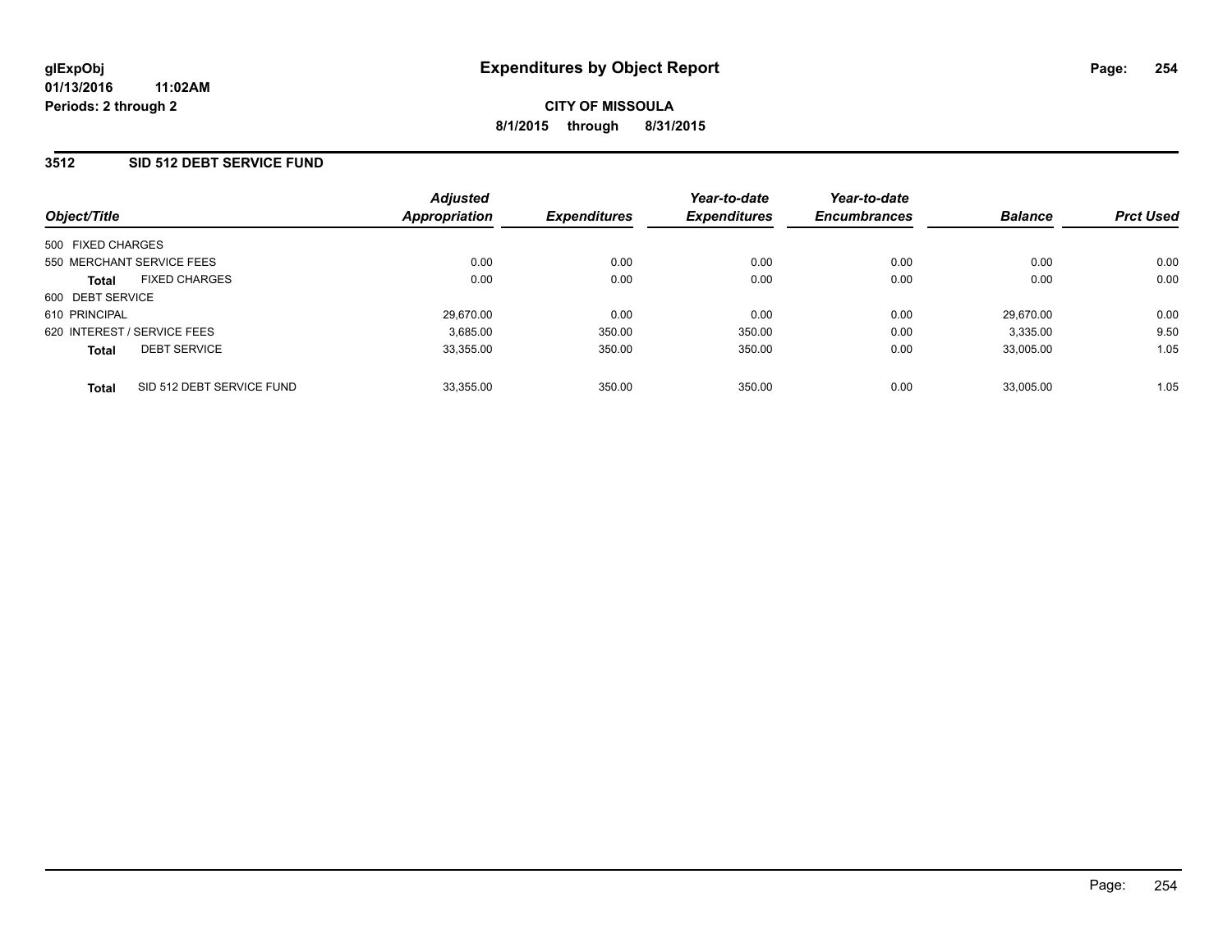### **3512 SID 512 DEBT SERVICE FUND**

|                             | <b>Adjusted</b>                                | <b>Expenditures</b>        | Year-to-date<br><b>Expenditures</b> | Year-to-date<br><b>Encumbrances</b> | <b>Balance</b> | <b>Prct Used</b> |
|-----------------------------|------------------------------------------------|----------------------------|-------------------------------------|-------------------------------------|----------------|------------------|
|                             |                                                |                            |                                     |                                     |                |                  |
|                             |                                                |                            |                                     |                                     |                |                  |
| 550 MERCHANT SERVICE FEES   | 0.00                                           | 0.00                       | 0.00                                | 0.00                                | 0.00           | 0.00             |
| <b>FIXED CHARGES</b>        | 0.00                                           | 0.00                       | 0.00                                | 0.00                                | 0.00           | 0.00             |
| 600 DEBT SERVICE            |                                                |                            |                                     |                                     |                |                  |
|                             | 29,670.00                                      | 0.00                       | 0.00                                | 0.00                                | 29.670.00      | 0.00             |
| 620 INTEREST / SERVICE FEES | 3,685.00                                       | 350.00                     | 350.00                              | 0.00                                | 3,335.00       | 9.50             |
| <b>DEBT SERVICE</b>         | 33,355.00                                      | 350.00                     | 350.00                              | 0.00                                | 33.005.00      | 1.05             |
|                             |                                                |                            |                                     |                                     |                | 1.05             |
|                             | 500 FIXED CHARGES<br>SID 512 DEBT SERVICE FUND | Appropriation<br>33,355.00 | 350.00                              | 350.00                              | 0.00           | 33.005.00        |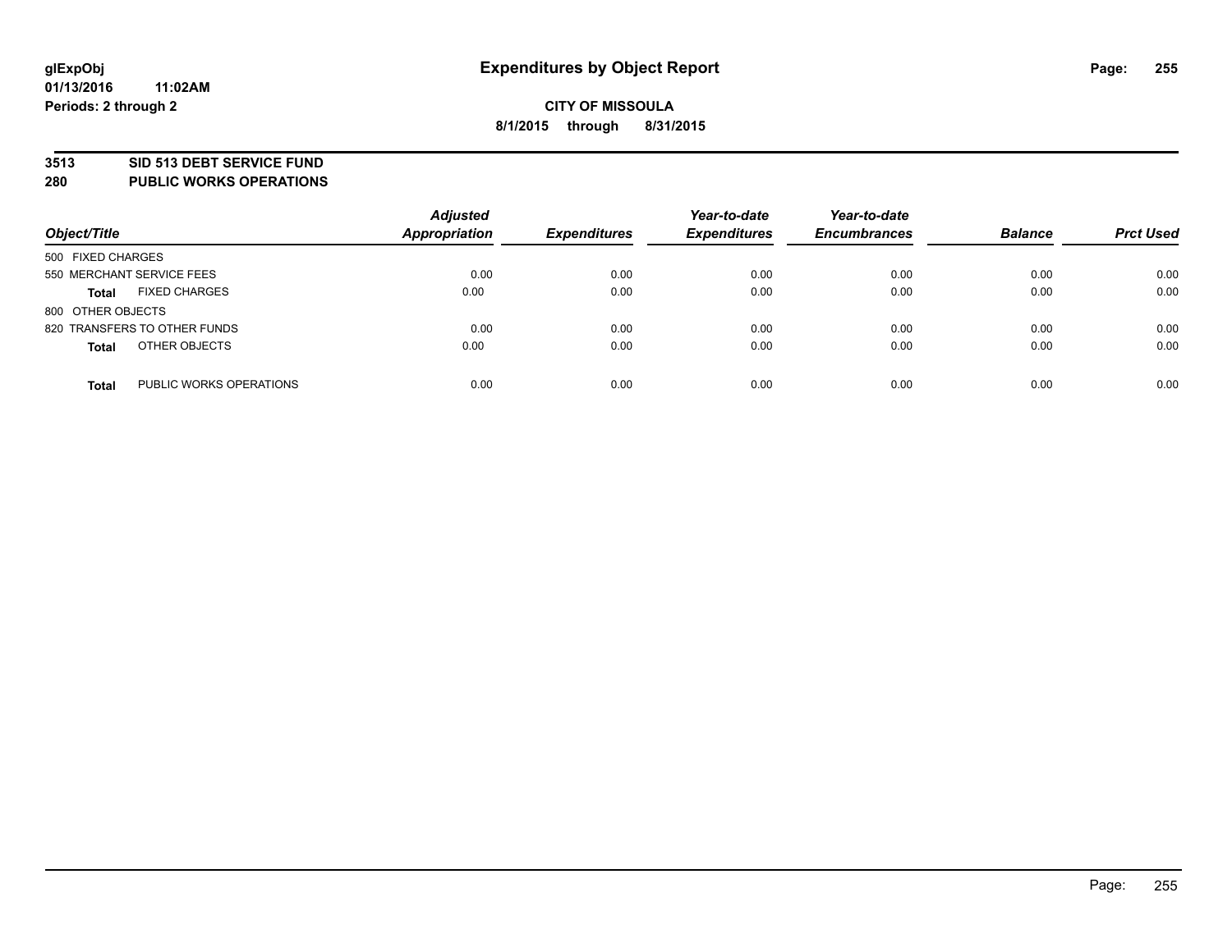### **3513 SID 513 DEBT SERVICE FUND**

**280 PUBLIC WORKS OPERATIONS**

| Object/Title                            | <b>Adjusted</b><br><b>Appropriation</b> | <b>Expenditures</b> | Year-to-date<br><b>Expenditures</b> | Year-to-date<br><b>Encumbrances</b> | <b>Balance</b> | <b>Prct Used</b> |
|-----------------------------------------|-----------------------------------------|---------------------|-------------------------------------|-------------------------------------|----------------|------------------|
| 500 FIXED CHARGES                       |                                         |                     |                                     |                                     |                |                  |
| 550 MERCHANT SERVICE FEES               | 0.00                                    | 0.00                | 0.00                                | 0.00                                | 0.00           | 0.00             |
| <b>FIXED CHARGES</b><br><b>Total</b>    | 0.00                                    | 0.00                | 0.00                                | 0.00                                | 0.00           | 0.00             |
| 800 OTHER OBJECTS                       |                                         |                     |                                     |                                     |                |                  |
| 820 TRANSFERS TO OTHER FUNDS            | 0.00                                    | 0.00                | 0.00                                | 0.00                                | 0.00           | 0.00             |
| OTHER OBJECTS<br><b>Total</b>           | 0.00                                    | 0.00                | 0.00                                | 0.00                                | 0.00           | 0.00             |
| PUBLIC WORKS OPERATIONS<br><b>Total</b> | 0.00                                    | 0.00                | 0.00                                | 0.00                                | 0.00           | 0.00             |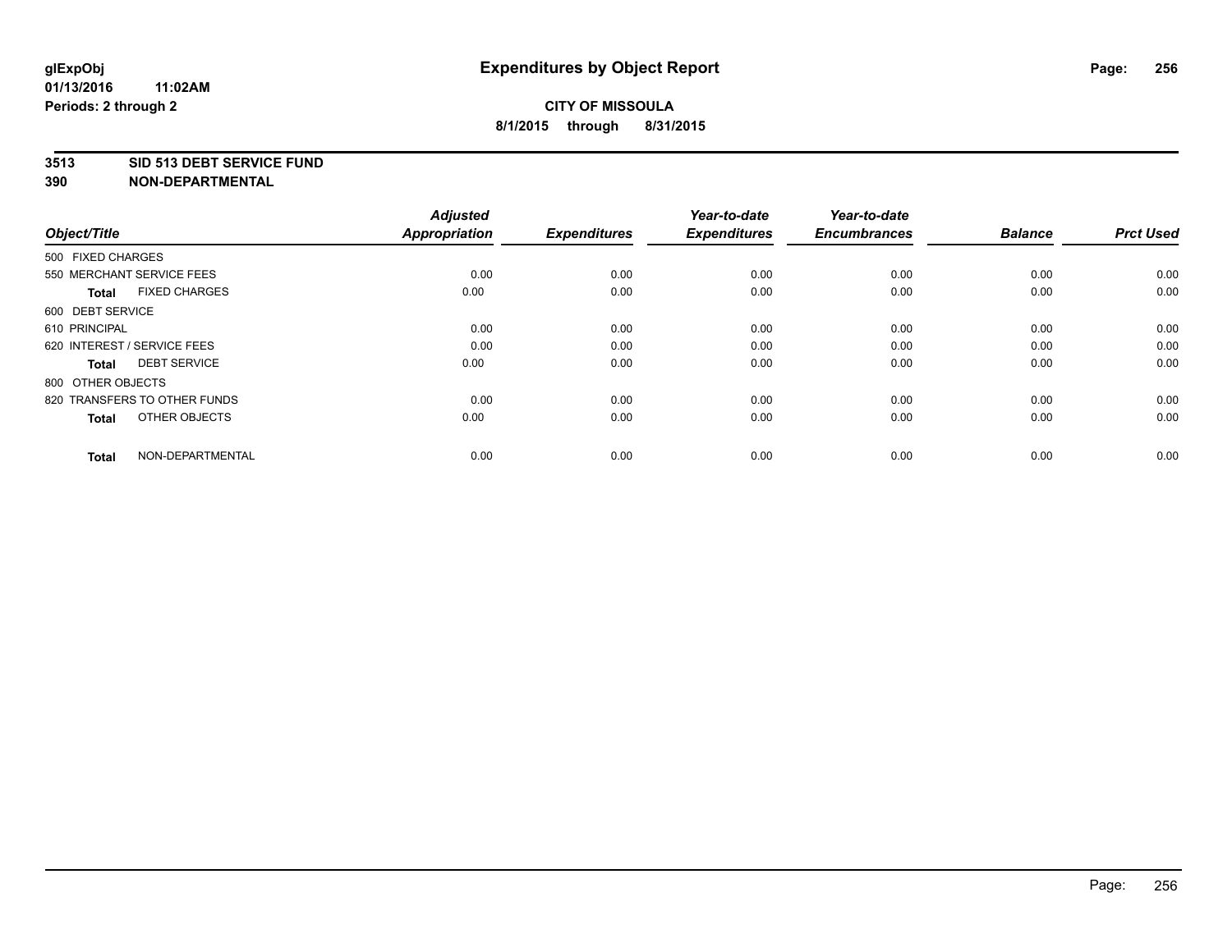### **3513 SID 513 DEBT SERVICE FUND**

| Object/Title                         | <b>Adjusted</b><br><b>Appropriation</b> | <b>Expenditures</b> | Year-to-date<br><b>Expenditures</b> | Year-to-date<br><b>Encumbrances</b> | <b>Balance</b> | <b>Prct Used</b> |
|--------------------------------------|-----------------------------------------|---------------------|-------------------------------------|-------------------------------------|----------------|------------------|
| 500 FIXED CHARGES                    |                                         |                     |                                     |                                     |                |                  |
| 550 MERCHANT SERVICE FEES            | 0.00                                    | 0.00                | 0.00                                | 0.00                                | 0.00           | 0.00             |
| <b>FIXED CHARGES</b><br><b>Total</b> | 0.00                                    | 0.00                | 0.00                                | 0.00                                | 0.00           | 0.00             |
| 600 DEBT SERVICE                     |                                         |                     |                                     |                                     |                |                  |
| 610 PRINCIPAL                        | 0.00                                    | 0.00                | 0.00                                | 0.00                                | 0.00           | 0.00             |
| 620 INTEREST / SERVICE FEES          | 0.00                                    | 0.00                | 0.00                                | 0.00                                | 0.00           | 0.00             |
| <b>DEBT SERVICE</b><br><b>Total</b>  | 0.00                                    | 0.00                | 0.00                                | 0.00                                | 0.00           | 0.00             |
| 800 OTHER OBJECTS                    |                                         |                     |                                     |                                     |                |                  |
| 820 TRANSFERS TO OTHER FUNDS         | 0.00                                    | 0.00                | 0.00                                | 0.00                                | 0.00           | 0.00             |
| OTHER OBJECTS<br><b>Total</b>        | 0.00                                    | 0.00                | 0.00                                | 0.00                                | 0.00           | 0.00             |
|                                      |                                         |                     |                                     |                                     |                |                  |
| NON-DEPARTMENTAL<br><b>Total</b>     | 0.00                                    | 0.00                | 0.00                                | 0.00                                | 0.00           | 0.00             |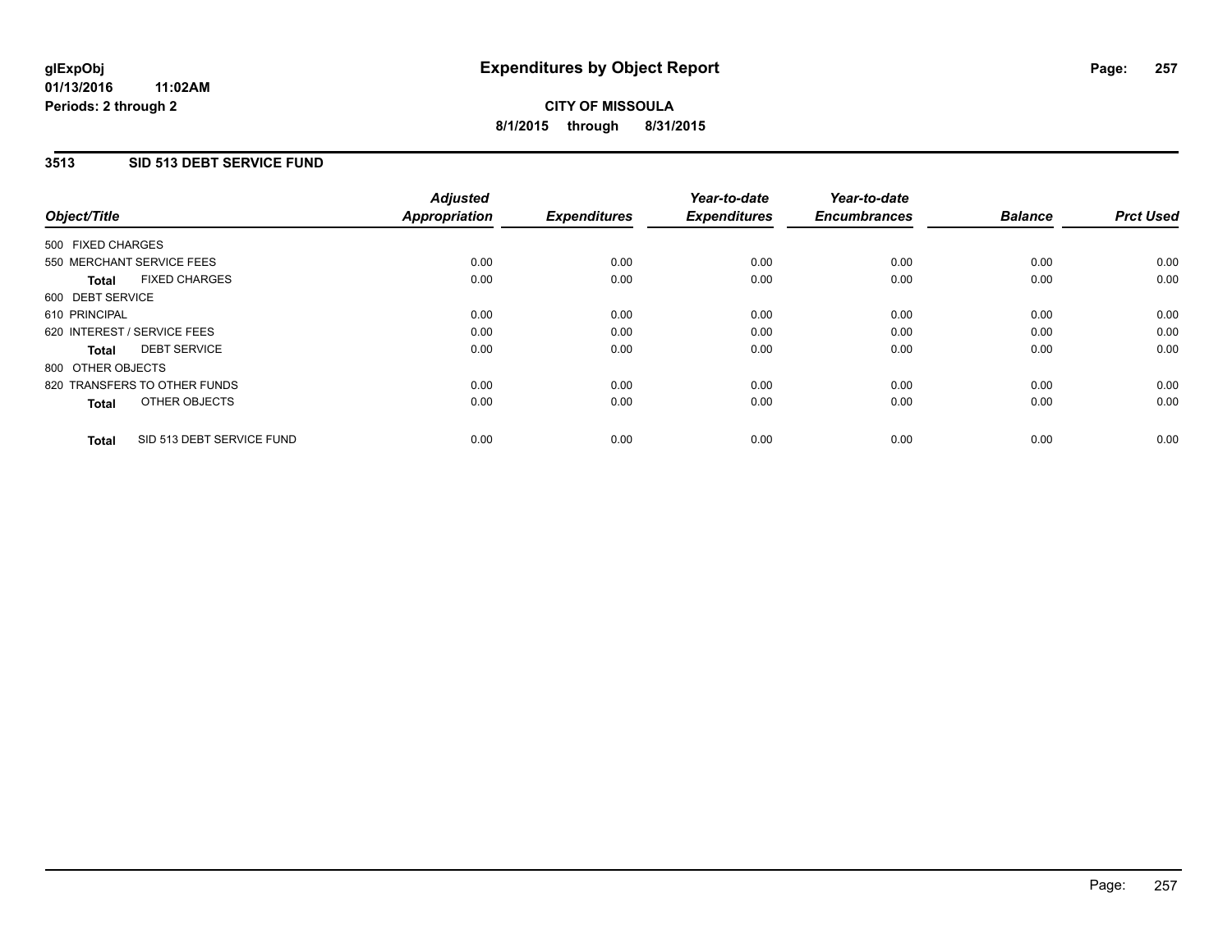### **01/13/2016 11:02AM Periods: 2 through 2**

# **CITY OF MISSOULA 8/1/2015 through 8/31/2015**

### **3513 SID 513 DEBT SERVICE FUND**

| Object/Title                              | <b>Adjusted</b><br><b>Appropriation</b> | <b>Expenditures</b> | Year-to-date<br><b>Expenditures</b> | Year-to-date<br><b>Encumbrances</b> | <b>Balance</b> | <b>Prct Used</b> |
|-------------------------------------------|-----------------------------------------|---------------------|-------------------------------------|-------------------------------------|----------------|------------------|
|                                           |                                         |                     |                                     |                                     |                |                  |
| 500 FIXED CHARGES                         |                                         |                     |                                     |                                     |                |                  |
| 550 MERCHANT SERVICE FEES                 | 0.00                                    | 0.00                | 0.00                                | 0.00                                | 0.00           | 0.00             |
| <b>FIXED CHARGES</b><br>Total             | 0.00                                    | 0.00                | 0.00                                | 0.00                                | 0.00           | 0.00             |
| 600 DEBT SERVICE                          |                                         |                     |                                     |                                     |                |                  |
| 610 PRINCIPAL                             | 0.00                                    | 0.00                | 0.00                                | 0.00                                | 0.00           | 0.00             |
| 620 INTEREST / SERVICE FEES               | 0.00                                    | 0.00                | 0.00                                | 0.00                                | 0.00           | 0.00             |
| <b>DEBT SERVICE</b><br><b>Total</b>       | 0.00                                    | 0.00                | 0.00                                | 0.00                                | 0.00           | 0.00             |
| 800 OTHER OBJECTS                         |                                         |                     |                                     |                                     |                |                  |
| 820 TRANSFERS TO OTHER FUNDS              | 0.00                                    | 0.00                | 0.00                                | 0.00                                | 0.00           | 0.00             |
| OTHER OBJECTS<br><b>Total</b>             | 0.00                                    | 0.00                | 0.00                                | 0.00                                | 0.00           | 0.00             |
|                                           |                                         |                     |                                     |                                     |                |                  |
| SID 513 DEBT SERVICE FUND<br><b>Total</b> | 0.00                                    | 0.00                | 0.00                                | 0.00                                | 0.00           | 0.00             |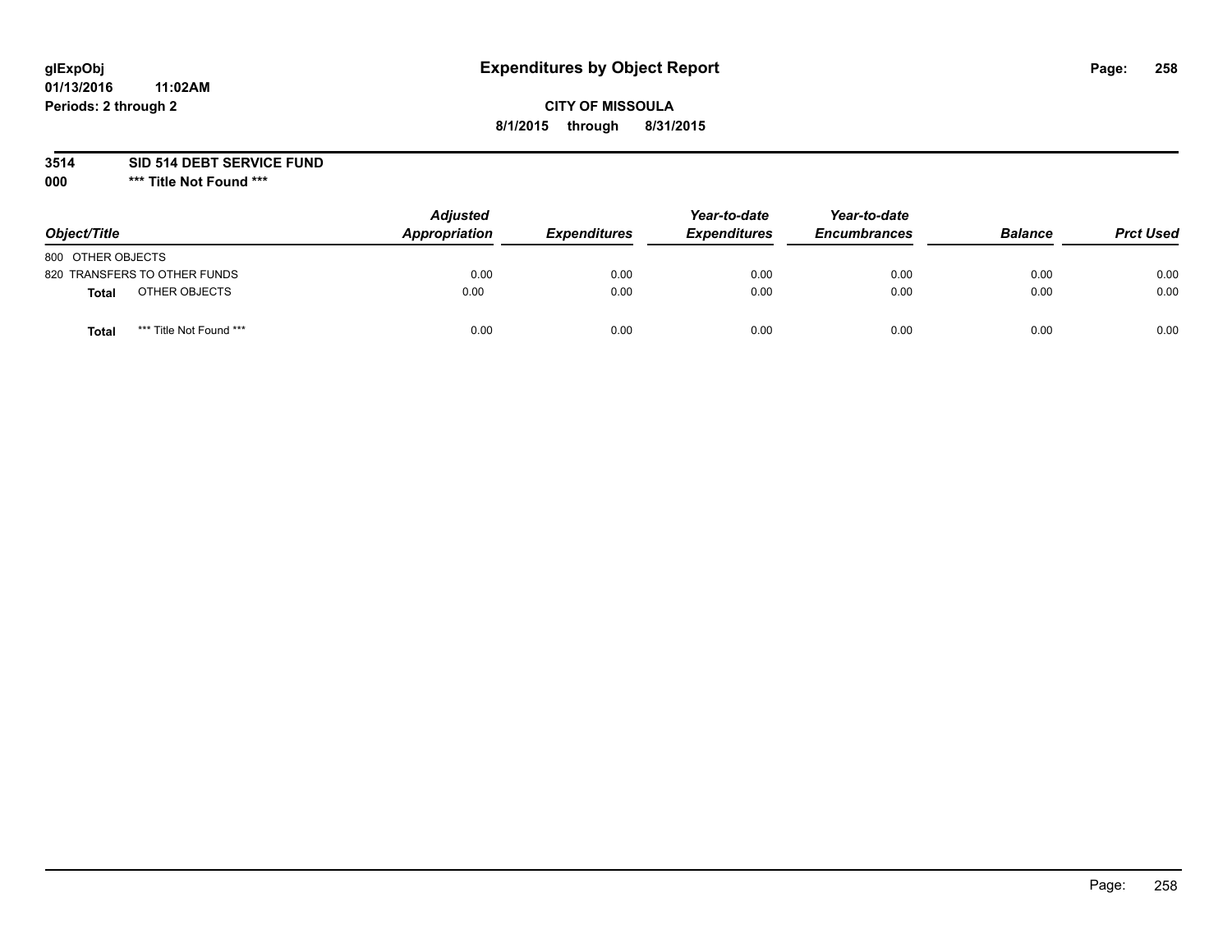# **glExpObj Expenditures by Object Report Page: 258**

### **CITY OF MISSOULA 8/1/2015 through 8/31/2015**

**3514 SID 514 DEBT SERVICE FUND**

**000 \*\*\* Title Not Found \*\*\***

| Object/Title                     | <b>Adjusted</b><br>Appropriation | <b>Expenditures</b> | Year-to-date<br><b>Expenditures</b> | Year-to-date<br><b>Encumbrances</b> | <b>Balance</b> | <b>Prct Used</b> |
|----------------------------------|----------------------------------|---------------------|-------------------------------------|-------------------------------------|----------------|------------------|
| 800 OTHER OBJECTS                |                                  |                     |                                     |                                     |                |                  |
| 820 TRANSFERS TO OTHER FUNDS     | 0.00                             | 0.00                | 0.00                                | 0.00                                | 0.00           | 0.00             |
| OTHER OBJECTS<br><b>Total</b>    | 0.00                             | 0.00                | 0.00                                | 0.00                                | 0.00           | 0.00             |
| *** Title Not Found ***<br>Total | 0.00                             | 0.00                | 0.00                                | 0.00                                | 0.00           | 0.00             |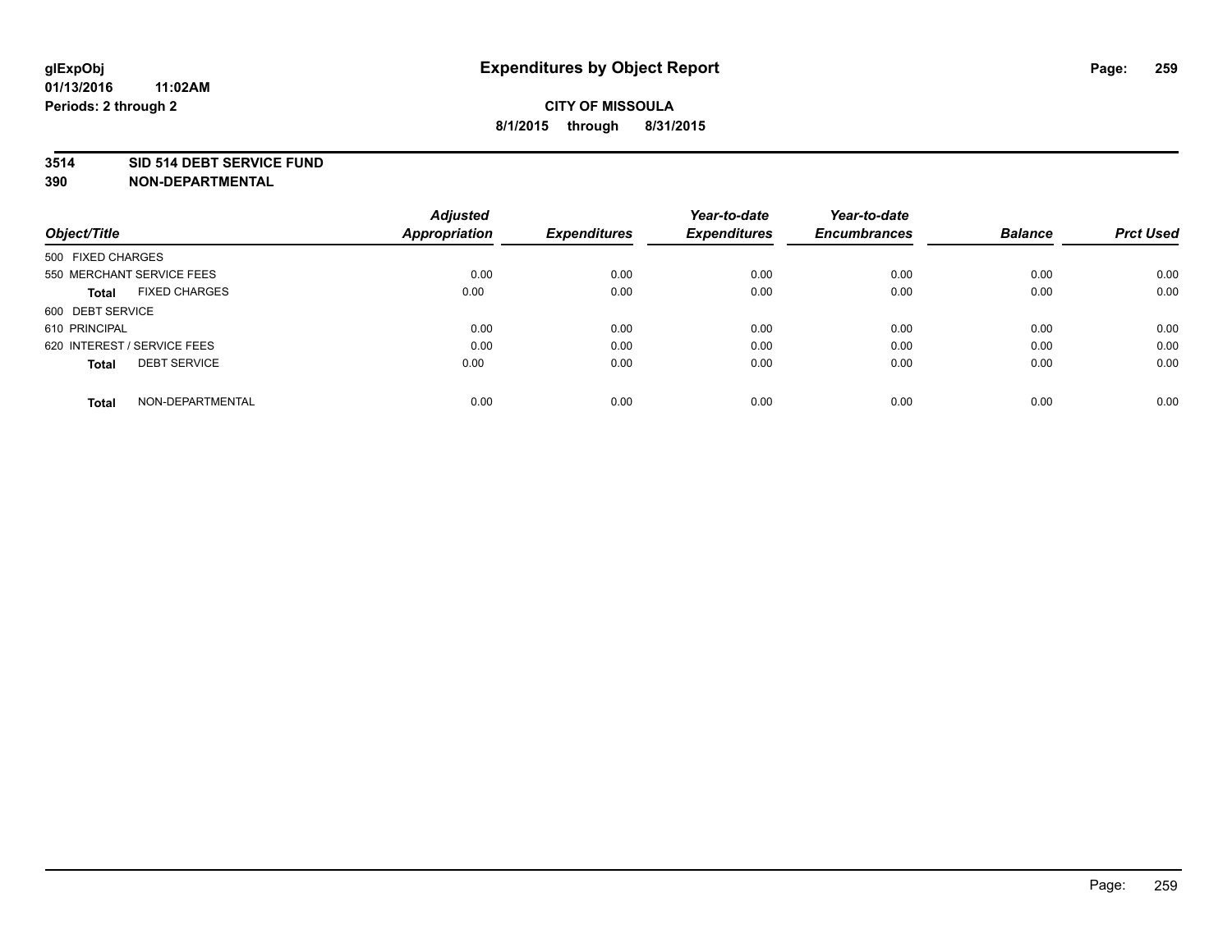### **3514 SID 514 DEBT SERVICE FUND**

| Object/Title                         | <b>Adjusted</b><br><b>Appropriation</b> | <b>Expenditures</b> | Year-to-date<br><b>Expenditures</b> | Year-to-date<br><b>Encumbrances</b> | <b>Balance</b> | <b>Prct Used</b> |
|--------------------------------------|-----------------------------------------|---------------------|-------------------------------------|-------------------------------------|----------------|------------------|
|                                      |                                         |                     |                                     |                                     |                |                  |
| 500 FIXED CHARGES                    |                                         |                     |                                     |                                     |                |                  |
| 550 MERCHANT SERVICE FEES            | 0.00                                    | 0.00                | 0.00                                | 0.00                                | 0.00           | 0.00             |
| <b>FIXED CHARGES</b><br><b>Total</b> | 0.00                                    | 0.00                | 0.00                                | 0.00                                | 0.00           | 0.00             |
| 600 DEBT SERVICE                     |                                         |                     |                                     |                                     |                |                  |
| 610 PRINCIPAL                        | 0.00                                    | 0.00                | 0.00                                | 0.00                                | 0.00           | 0.00             |
| 620 INTEREST / SERVICE FEES          | 0.00                                    | 0.00                | 0.00                                | 0.00                                | 0.00           | 0.00             |
| <b>DEBT SERVICE</b><br><b>Total</b>  | 0.00                                    | 0.00                | 0.00                                | 0.00                                | 0.00           | 0.00             |
|                                      |                                         |                     |                                     |                                     |                |                  |
| NON-DEPARTMENTAL<br><b>Total</b>     | 0.00                                    | 0.00                | 0.00                                | 0.00                                | 0.00           | 0.00             |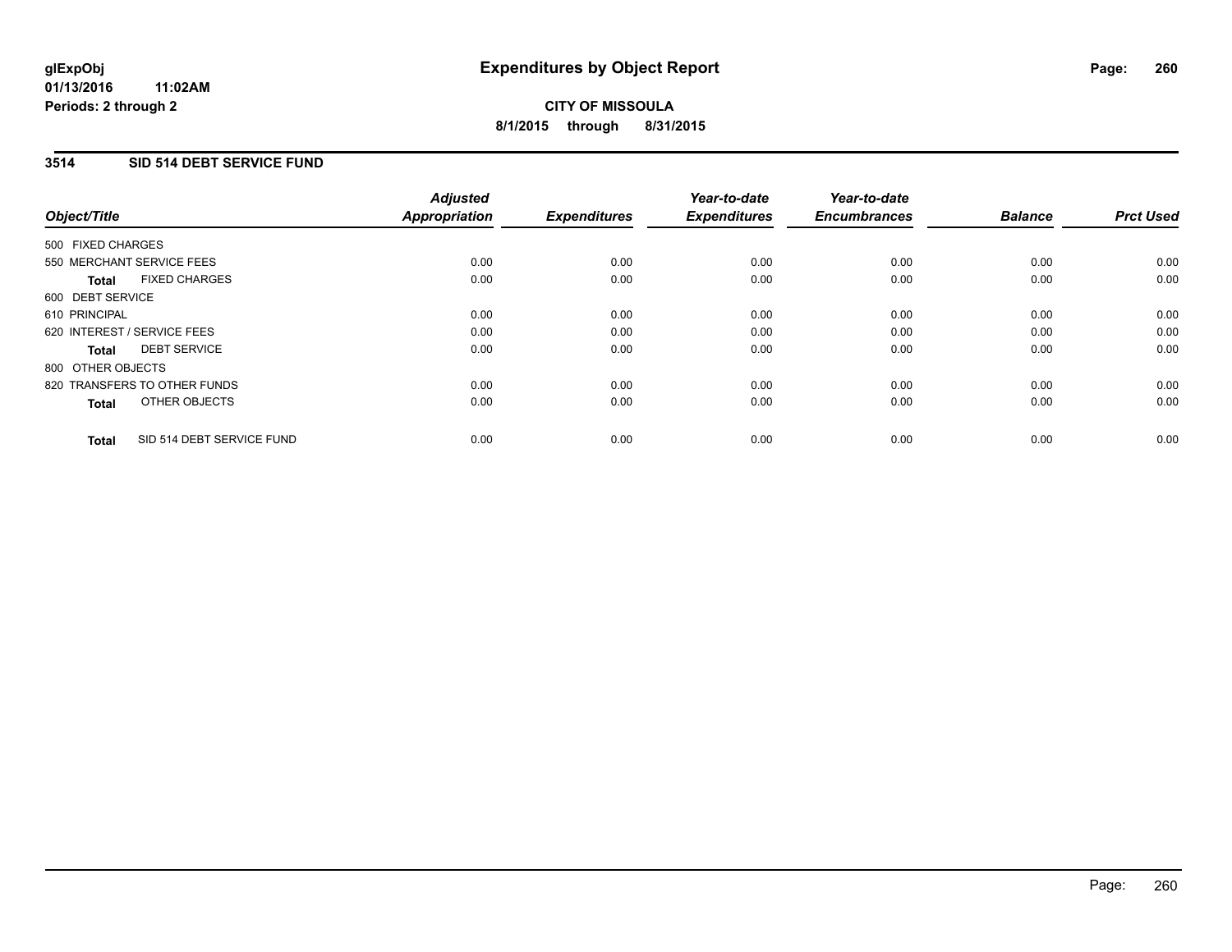### **3514 SID 514 DEBT SERVICE FUND**

| Object/Title                              | <b>Adjusted</b><br><b>Appropriation</b> | <b>Expenditures</b> | Year-to-date<br><b>Expenditures</b> | Year-to-date<br><b>Encumbrances</b> | <b>Balance</b> | <b>Prct Used</b> |
|-------------------------------------------|-----------------------------------------|---------------------|-------------------------------------|-------------------------------------|----------------|------------------|
|                                           |                                         |                     |                                     |                                     |                |                  |
| 500 FIXED CHARGES                         |                                         |                     |                                     |                                     |                |                  |
| 550 MERCHANT SERVICE FEES                 | 0.00                                    | 0.00                | 0.00                                | 0.00                                | 0.00           | 0.00             |
| <b>FIXED CHARGES</b><br>Total             | 0.00                                    | 0.00                | 0.00                                | 0.00                                | 0.00           | 0.00             |
| 600 DEBT SERVICE                          |                                         |                     |                                     |                                     |                |                  |
| 610 PRINCIPAL                             | 0.00                                    | 0.00                | 0.00                                | 0.00                                | 0.00           | 0.00             |
| 620 INTEREST / SERVICE FEES               | 0.00                                    | 0.00                | 0.00                                | 0.00                                | 0.00           | 0.00             |
| <b>DEBT SERVICE</b><br><b>Total</b>       | 0.00                                    | 0.00                | 0.00                                | 0.00                                | 0.00           | 0.00             |
| 800 OTHER OBJECTS                         |                                         |                     |                                     |                                     |                |                  |
| 820 TRANSFERS TO OTHER FUNDS              | 0.00                                    | 0.00                | 0.00                                | 0.00                                | 0.00           | 0.00             |
| OTHER OBJECTS<br><b>Total</b>             | 0.00                                    | 0.00                | 0.00                                | 0.00                                | 0.00           | 0.00             |
|                                           |                                         |                     |                                     |                                     |                |                  |
| SID 514 DEBT SERVICE FUND<br><b>Total</b> | 0.00                                    | 0.00                | 0.00                                | 0.00                                | 0.00           | 0.00             |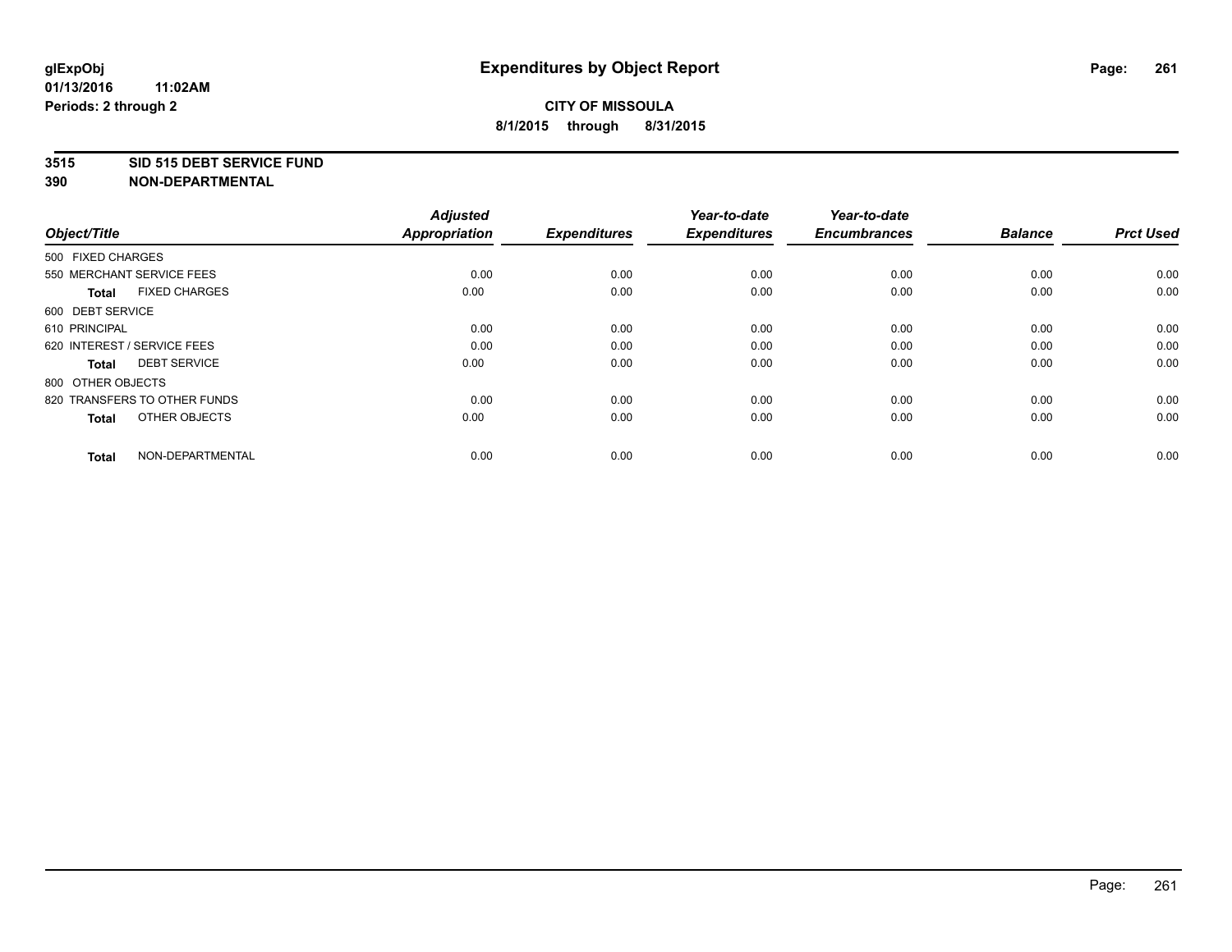### **3515 SID 515 DEBT SERVICE FUND**

| Object/Title                         | <b>Adjusted</b><br><b>Appropriation</b> | <b>Expenditures</b> | Year-to-date<br><b>Expenditures</b> | Year-to-date<br><b>Encumbrances</b> | <b>Balance</b> | <b>Prct Used</b> |
|--------------------------------------|-----------------------------------------|---------------------|-------------------------------------|-------------------------------------|----------------|------------------|
| 500 FIXED CHARGES                    |                                         |                     |                                     |                                     |                |                  |
| 550 MERCHANT SERVICE FEES            | 0.00                                    | 0.00                | 0.00                                | 0.00                                | 0.00           | 0.00             |
| <b>FIXED CHARGES</b><br><b>Total</b> | 0.00                                    | 0.00                | 0.00                                | 0.00                                | 0.00           | 0.00             |
| 600 DEBT SERVICE                     |                                         |                     |                                     |                                     |                |                  |
| 610 PRINCIPAL                        | 0.00                                    | 0.00                | 0.00                                | 0.00                                | 0.00           | 0.00             |
| 620 INTEREST / SERVICE FEES          | 0.00                                    | 0.00                | 0.00                                | 0.00                                | 0.00           | 0.00             |
| <b>DEBT SERVICE</b><br><b>Total</b>  | 0.00                                    | 0.00                | 0.00                                | 0.00                                | 0.00           | 0.00             |
| 800 OTHER OBJECTS                    |                                         |                     |                                     |                                     |                |                  |
| 820 TRANSFERS TO OTHER FUNDS         | 0.00                                    | 0.00                | 0.00                                | 0.00                                | 0.00           | 0.00             |
| OTHER OBJECTS<br><b>Total</b>        | 0.00                                    | 0.00                | 0.00                                | 0.00                                | 0.00           | 0.00             |
|                                      |                                         |                     |                                     |                                     |                |                  |
| NON-DEPARTMENTAL<br><b>Total</b>     | 0.00                                    | 0.00                | 0.00                                | 0.00                                | 0.00           | 0.00             |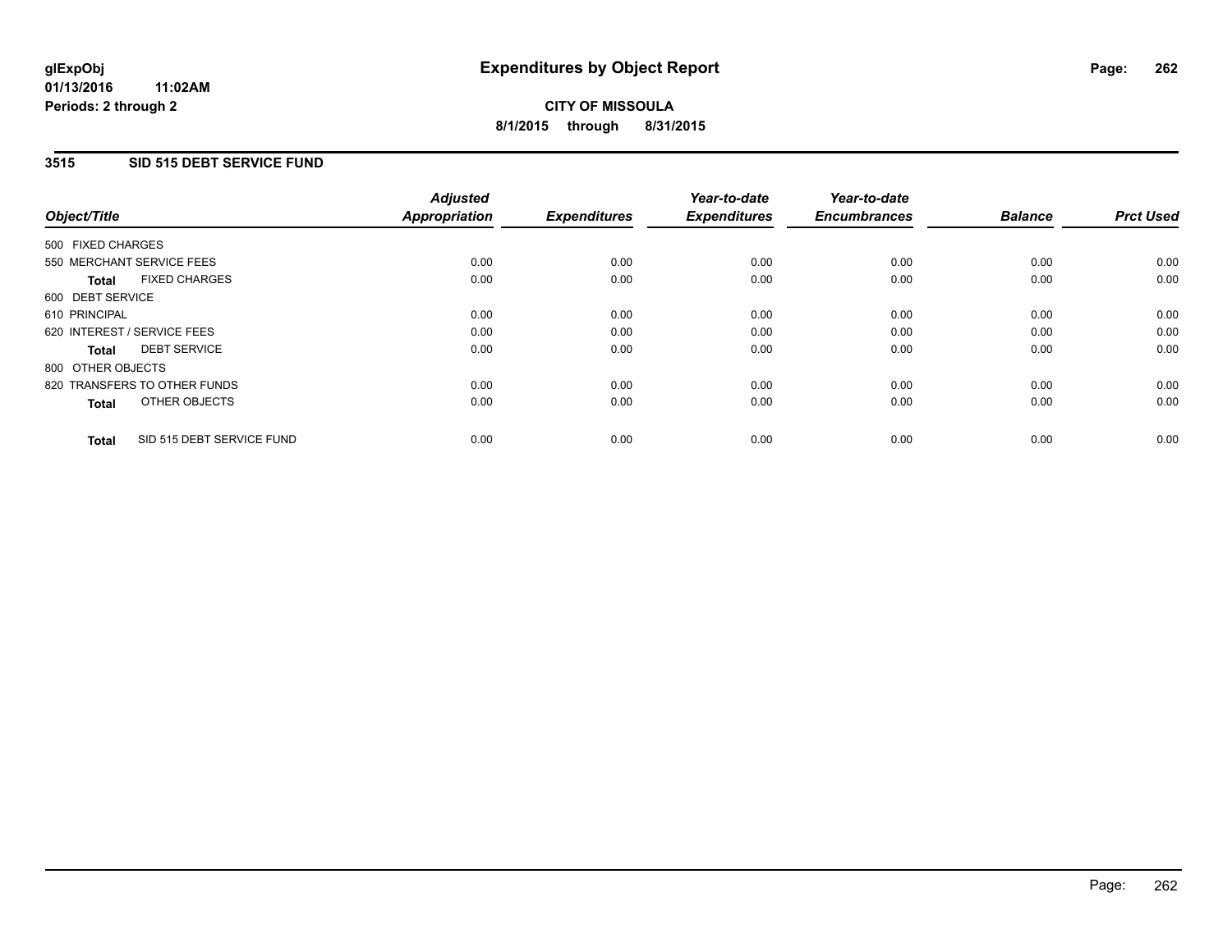### **01/13/2016 11:02AM Periods: 2 through 2**

# **CITY OF MISSOULA 8/1/2015 through 8/31/2015**

### **3515 SID 515 DEBT SERVICE FUND**

| Object/Title                              | <b>Adjusted</b><br><b>Appropriation</b> | <b>Expenditures</b> | Year-to-date<br><b>Expenditures</b> | Year-to-date<br><b>Encumbrances</b> | <b>Balance</b> | <b>Prct Used</b> |
|-------------------------------------------|-----------------------------------------|---------------------|-------------------------------------|-------------------------------------|----------------|------------------|
|                                           |                                         |                     |                                     |                                     |                |                  |
| 500 FIXED CHARGES                         |                                         |                     |                                     |                                     |                |                  |
| 550 MERCHANT SERVICE FEES                 | 0.00                                    | 0.00                | 0.00                                | 0.00                                | 0.00           | 0.00             |
| <b>FIXED CHARGES</b><br>Total             | 0.00                                    | 0.00                | 0.00                                | 0.00                                | 0.00           | 0.00             |
| 600 DEBT SERVICE                          |                                         |                     |                                     |                                     |                |                  |
| 610 PRINCIPAL                             | 0.00                                    | 0.00                | 0.00                                | 0.00                                | 0.00           | 0.00             |
| 620 INTEREST / SERVICE FEES               | 0.00                                    | 0.00                | 0.00                                | 0.00                                | 0.00           | 0.00             |
| <b>DEBT SERVICE</b><br><b>Total</b>       | 0.00                                    | 0.00                | 0.00                                | 0.00                                | 0.00           | 0.00             |
| 800 OTHER OBJECTS                         |                                         |                     |                                     |                                     |                |                  |
| 820 TRANSFERS TO OTHER FUNDS              | 0.00                                    | 0.00                | 0.00                                | 0.00                                | 0.00           | 0.00             |
| OTHER OBJECTS<br><b>Total</b>             | 0.00                                    | 0.00                | 0.00                                | 0.00                                | 0.00           | 0.00             |
|                                           |                                         |                     |                                     |                                     |                |                  |
| SID 515 DEBT SERVICE FUND<br><b>Total</b> | 0.00                                    | 0.00                | 0.00                                | 0.00                                | 0.00           | 0.00             |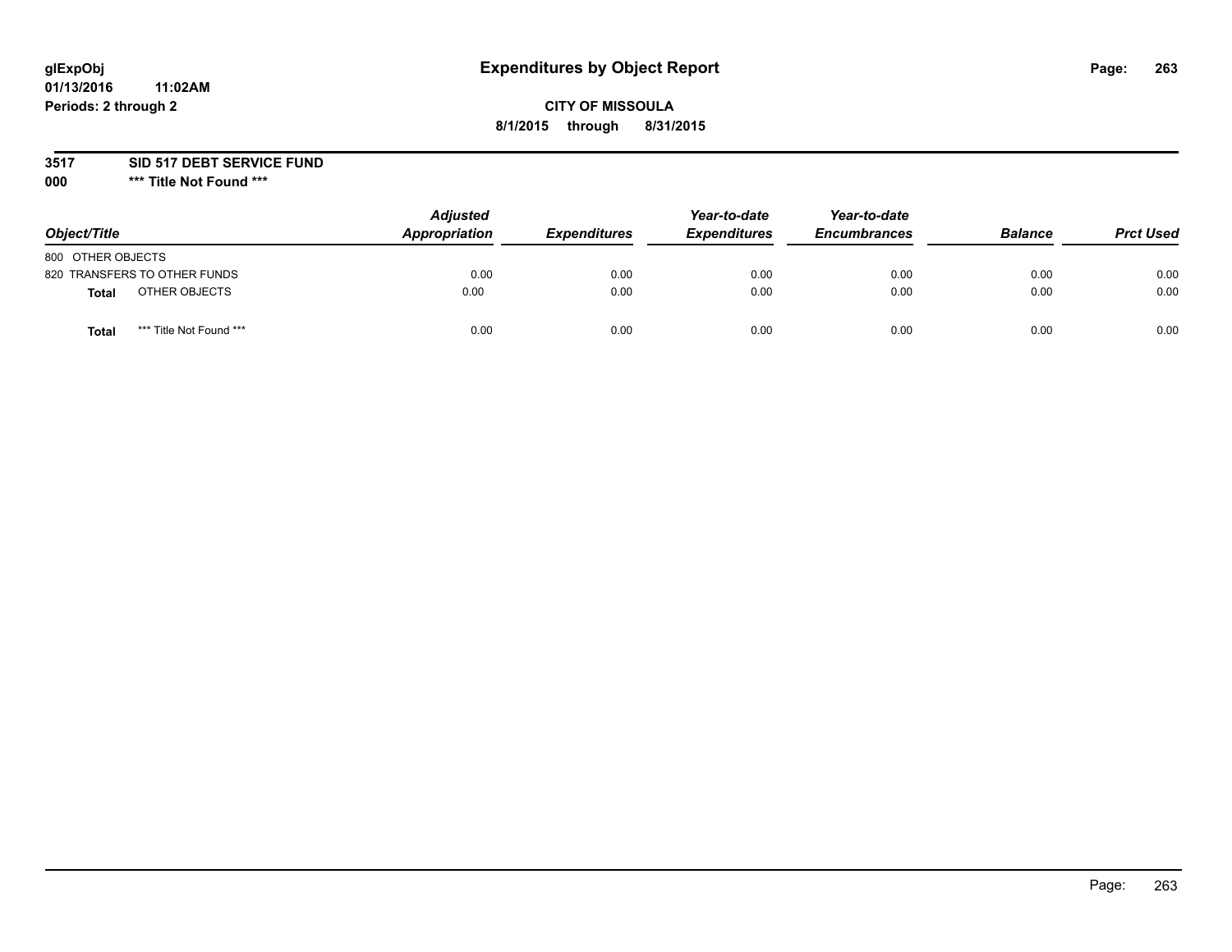# **glExpObj Expenditures by Object Report Page: 263**

### **CITY OF MISSOULA 8/1/2015 through 8/31/2015**

### **3517 SID 517 DEBT SERVICE FUND**

**000 \*\*\* Title Not Found \*\*\***

| Object/Title                            | <b>Adjusted</b><br>Appropriation | <b>Expenditures</b> | Year-to-date<br><b>Expenditures</b> | Year-to-date<br><b>Encumbrances</b> | <b>Balance</b> | <b>Prct Used</b> |
|-----------------------------------------|----------------------------------|---------------------|-------------------------------------|-------------------------------------|----------------|------------------|
| 800 OTHER OBJECTS                       |                                  |                     |                                     |                                     |                |                  |
| 820 TRANSFERS TO OTHER FUNDS            | 0.00                             | 0.00                | 0.00                                | 0.00                                | 0.00           | 0.00             |
| OTHER OBJECTS<br>Total                  | 0.00                             | 0.00                | 0.00                                | 0.00                                | 0.00           | 0.00             |
| *** Title Not Found ***<br><b>Total</b> | 0.00                             | 0.00                | 0.00                                | 0.00                                | 0.00           | 0.00             |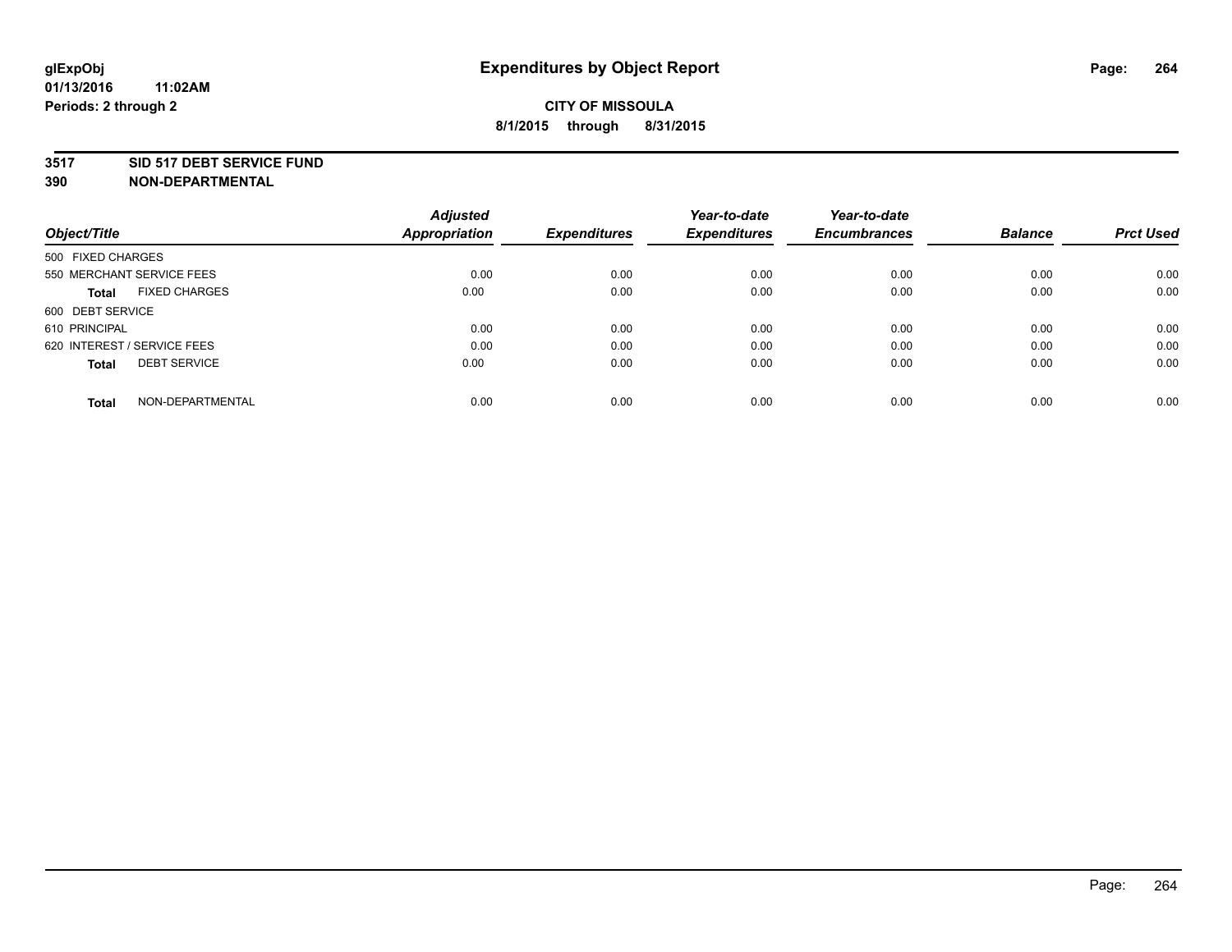### **3517 SID 517 DEBT SERVICE FUND**

|                                      | <b>Adjusted</b>      |                     | Year-to-date        | Year-to-date        |                |                  |
|--------------------------------------|----------------------|---------------------|---------------------|---------------------|----------------|------------------|
| Object/Title                         | <b>Appropriation</b> | <b>Expenditures</b> | <b>Expenditures</b> | <b>Encumbrances</b> | <b>Balance</b> | <b>Prct Used</b> |
| 500 FIXED CHARGES                    |                      |                     |                     |                     |                |                  |
| 550 MERCHANT SERVICE FEES            | 0.00                 | 0.00                | 0.00                | 0.00                | 0.00           | 0.00             |
| <b>FIXED CHARGES</b><br><b>Total</b> | 0.00                 | 0.00                | 0.00                | 0.00                | 0.00           | 0.00             |
| 600 DEBT SERVICE                     |                      |                     |                     |                     |                |                  |
| 610 PRINCIPAL                        | 0.00                 | 0.00                | 0.00                | 0.00                | 0.00           | 0.00             |
| 620 INTEREST / SERVICE FEES          | 0.00                 | 0.00                | 0.00                | 0.00                | 0.00           | 0.00             |
| <b>DEBT SERVICE</b><br><b>Total</b>  | 0.00                 | 0.00                | 0.00                | 0.00                | 0.00           | 0.00             |
| NON-DEPARTMENTAL<br>Total            | 0.00                 | 0.00                | 0.00                | 0.00                | 0.00           | 0.00             |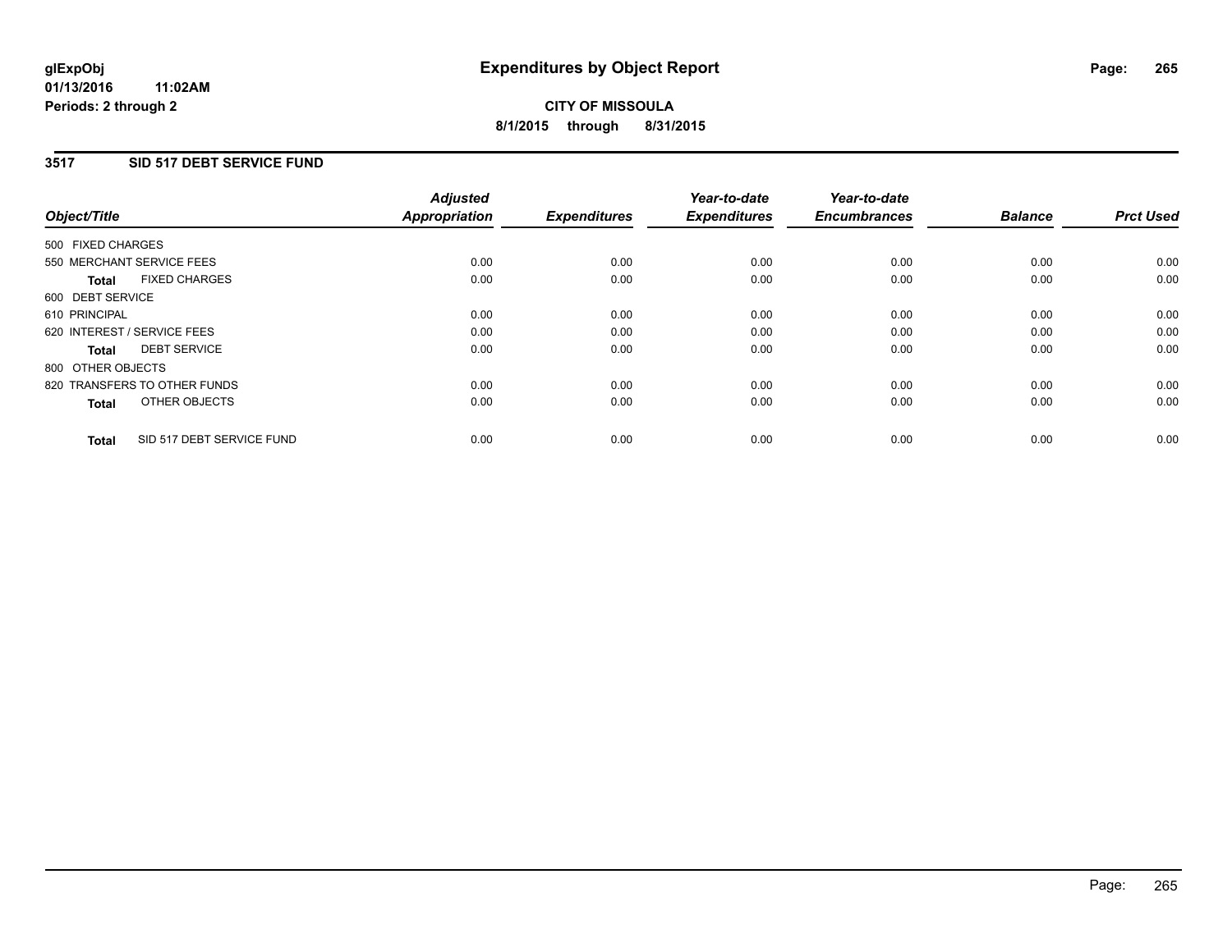### **3517 SID 517 DEBT SERVICE FUND**

| Object/Title                              | <b>Adjusted</b><br><b>Appropriation</b> | <b>Expenditures</b> | Year-to-date<br><b>Expenditures</b> | Year-to-date<br><b>Encumbrances</b> | <b>Balance</b> | <b>Prct Used</b> |
|-------------------------------------------|-----------------------------------------|---------------------|-------------------------------------|-------------------------------------|----------------|------------------|
| 500 FIXED CHARGES                         |                                         |                     |                                     |                                     |                |                  |
| 550 MERCHANT SERVICE FEES                 | 0.00                                    | 0.00                | 0.00                                | 0.00                                | 0.00           | 0.00             |
| <b>FIXED CHARGES</b><br><b>Total</b>      | 0.00                                    | 0.00                | 0.00                                | 0.00                                | 0.00           | 0.00             |
| 600 DEBT SERVICE                          |                                         |                     |                                     |                                     |                |                  |
| 610 PRINCIPAL                             | 0.00                                    | 0.00                | 0.00                                | 0.00                                | 0.00           | 0.00             |
| 620 INTEREST / SERVICE FEES               | 0.00                                    | 0.00                | 0.00                                | 0.00                                | 0.00           | 0.00             |
| <b>DEBT SERVICE</b><br><b>Total</b>       | 0.00                                    | 0.00                | 0.00                                | 0.00                                | 0.00           | 0.00             |
| 800 OTHER OBJECTS                         |                                         |                     |                                     |                                     |                |                  |
| 820 TRANSFERS TO OTHER FUNDS              | 0.00                                    | 0.00                | 0.00                                | 0.00                                | 0.00           | 0.00             |
| OTHER OBJECTS<br><b>Total</b>             | 0.00                                    | 0.00                | 0.00                                | 0.00                                | 0.00           | 0.00             |
| SID 517 DEBT SERVICE FUND<br><b>Total</b> | 0.00                                    | 0.00                | 0.00                                | 0.00                                | 0.00           | 0.00             |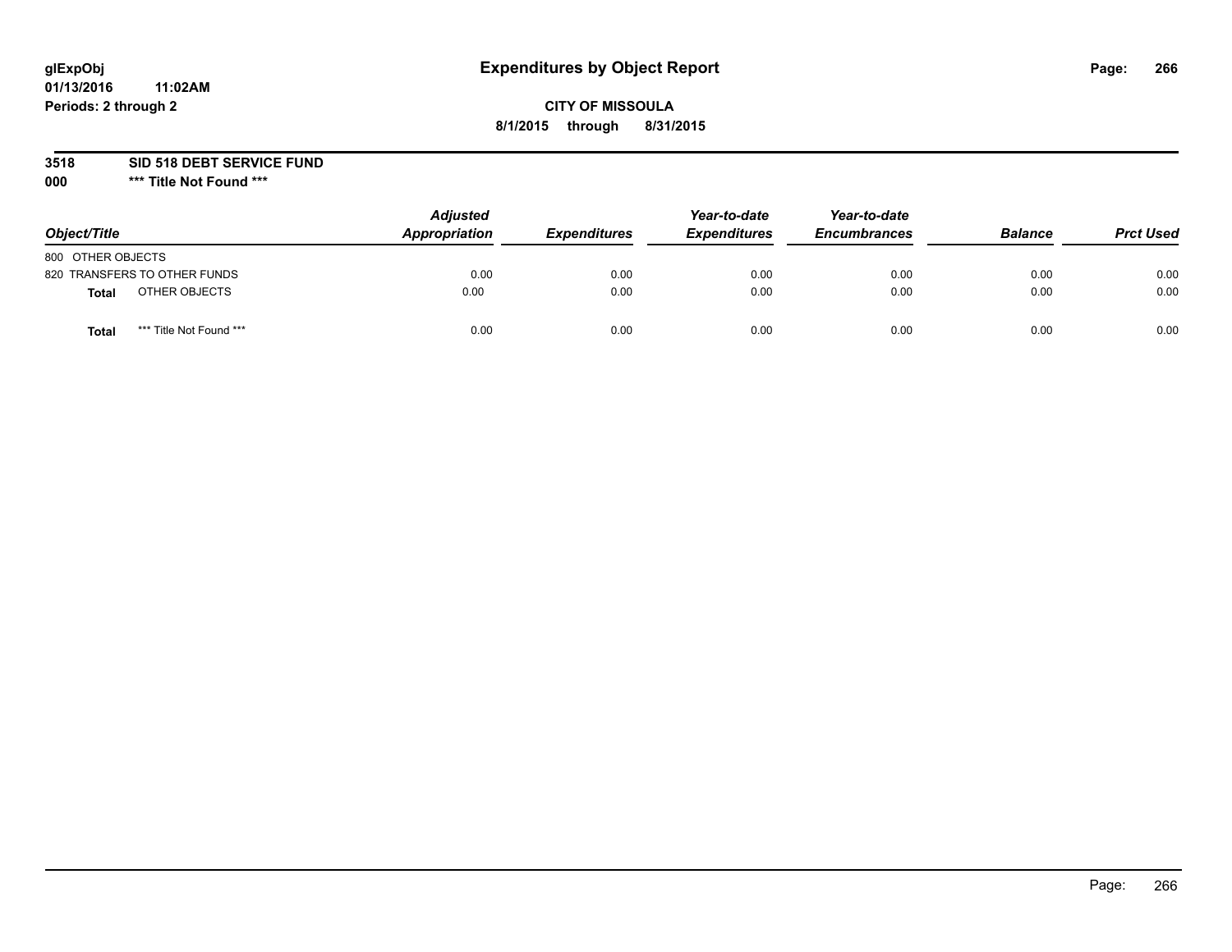# **glExpObj Expenditures by Object Report Page: 266**

### **CITY OF MISSOULA 8/1/2015 through 8/31/2015**

**3518 SID 518 DEBT SERVICE FUND**

**000 \*\*\* Title Not Found \*\*\***

| Object/Title                            | <b>Adjusted</b><br>Appropriation | <b>Expenditures</b> | Year-to-date<br><b>Expenditures</b> | Year-to-date<br><b>Encumbrances</b> | <b>Balance</b> | <b>Prct Used</b> |
|-----------------------------------------|----------------------------------|---------------------|-------------------------------------|-------------------------------------|----------------|------------------|
| 800 OTHER OBJECTS                       |                                  |                     |                                     |                                     |                |                  |
| 820 TRANSFERS TO OTHER FUNDS            | 0.00                             | 0.00                | 0.00                                | 0.00                                | 0.00           | 0.00             |
| OTHER OBJECTS<br><b>Total</b>           | 0.00                             | 0.00                | 0.00                                | 0.00                                | 0.00           | 0.00             |
| *** Title Not Found ***<br><b>Total</b> | 0.00                             | 0.00                | 0.00                                | 0.00                                | 0.00           | 0.00             |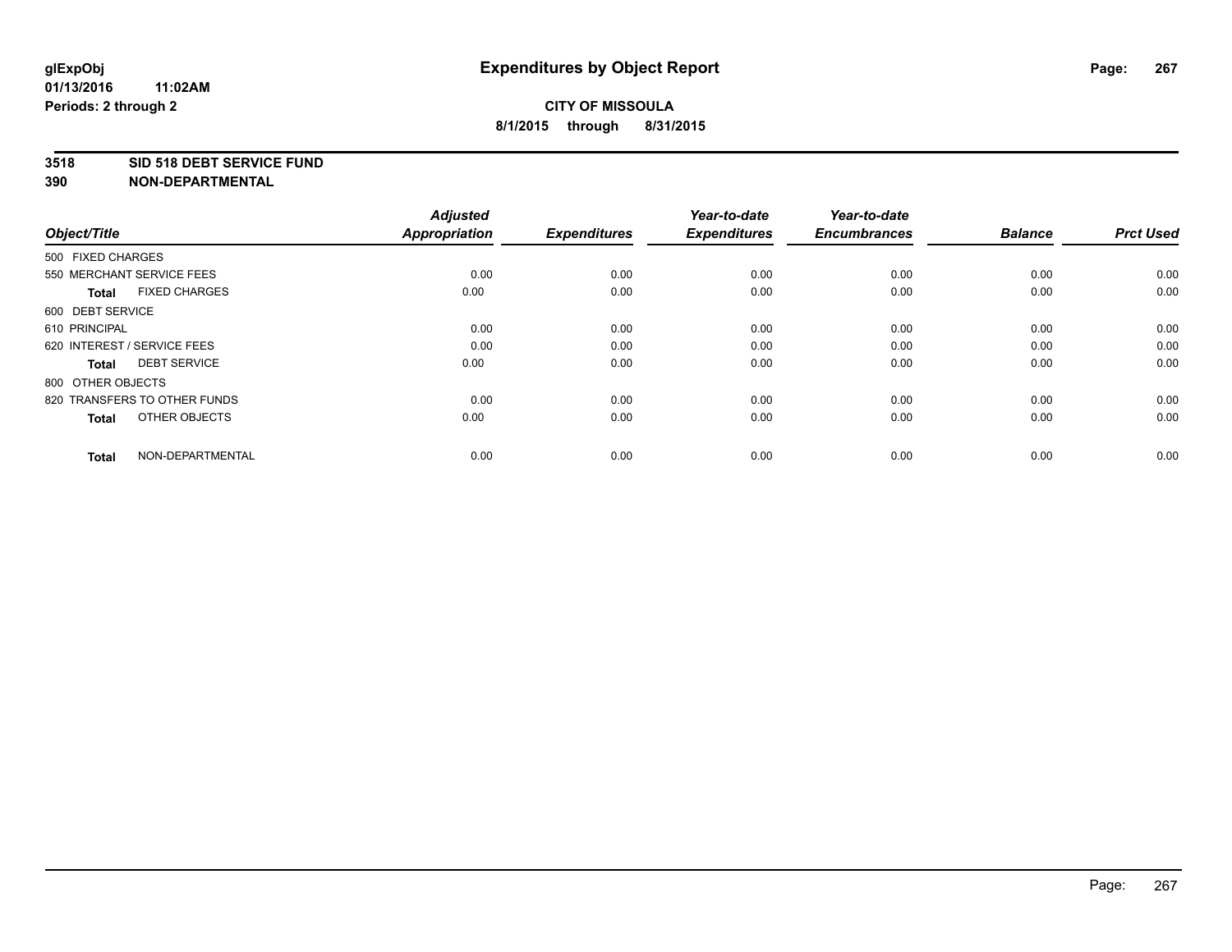### **3518 SID 518 DEBT SERVICE FUND**

| Object/Title                         | <b>Adjusted</b><br><b>Appropriation</b> | <b>Expenditures</b> | Year-to-date<br><b>Expenditures</b> | Year-to-date<br><b>Encumbrances</b> | <b>Balance</b> | <b>Prct Used</b> |
|--------------------------------------|-----------------------------------------|---------------------|-------------------------------------|-------------------------------------|----------------|------------------|
| 500 FIXED CHARGES                    |                                         |                     |                                     |                                     |                |                  |
| 550 MERCHANT SERVICE FEES            | 0.00                                    | 0.00                | 0.00                                | 0.00                                | 0.00           | 0.00             |
| <b>FIXED CHARGES</b><br><b>Total</b> | 0.00                                    | 0.00                | 0.00                                | 0.00                                | 0.00           | 0.00             |
| 600 DEBT SERVICE                     |                                         |                     |                                     |                                     |                |                  |
| 610 PRINCIPAL                        | 0.00                                    | 0.00                | 0.00                                | 0.00                                | 0.00           | 0.00             |
| 620 INTEREST / SERVICE FEES          | 0.00                                    | 0.00                | 0.00                                | 0.00                                | 0.00           | 0.00             |
| <b>DEBT SERVICE</b><br><b>Total</b>  | 0.00                                    | 0.00                | 0.00                                | 0.00                                | 0.00           | 0.00             |
| 800 OTHER OBJECTS                    |                                         |                     |                                     |                                     |                |                  |
| 820 TRANSFERS TO OTHER FUNDS         | 0.00                                    | 0.00                | 0.00                                | 0.00                                | 0.00           | 0.00             |
| OTHER OBJECTS<br><b>Total</b>        | 0.00                                    | 0.00                | 0.00                                | 0.00                                | 0.00           | 0.00             |
|                                      |                                         |                     |                                     |                                     |                |                  |
| NON-DEPARTMENTAL<br><b>Total</b>     | 0.00                                    | 0.00                | 0.00                                | 0.00                                | 0.00           | 0.00             |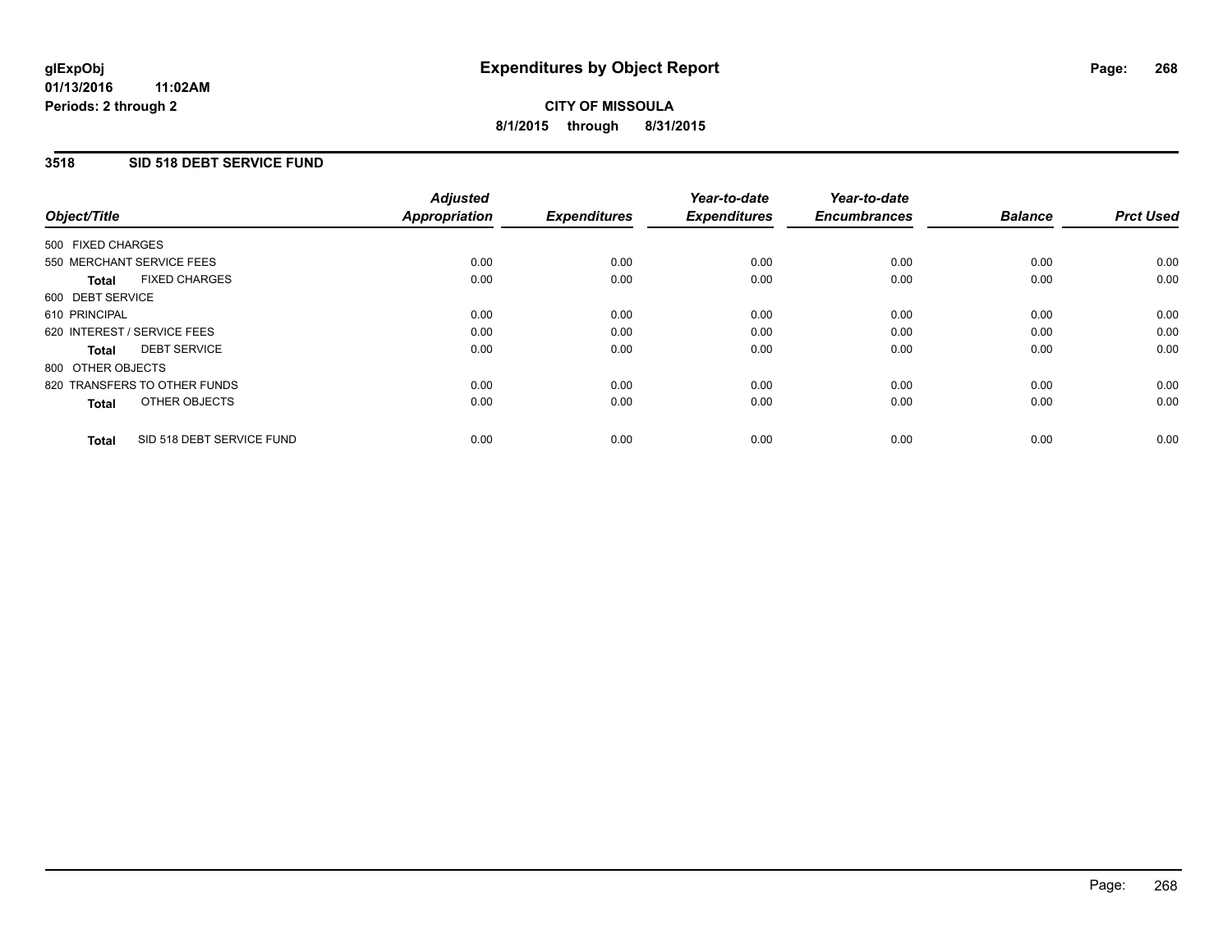### **01/13/2016 11:02AM Periods: 2 through 2**

# **CITY OF MISSOULA 8/1/2015 through 8/31/2015**

### **3518 SID 518 DEBT SERVICE FUND**

| Object/Title                              | <b>Adjusted</b><br><b>Appropriation</b> | <b>Expenditures</b> | Year-to-date<br><b>Expenditures</b> | Year-to-date<br><b>Encumbrances</b> | <b>Balance</b> | <b>Prct Used</b> |
|-------------------------------------------|-----------------------------------------|---------------------|-------------------------------------|-------------------------------------|----------------|------------------|
|                                           |                                         |                     |                                     |                                     |                |                  |
| 500 FIXED CHARGES                         |                                         |                     |                                     |                                     |                |                  |
| 550 MERCHANT SERVICE FEES                 | 0.00                                    | 0.00                | 0.00                                | 0.00                                | 0.00           | 0.00             |
| <b>FIXED CHARGES</b><br>Total             | 0.00                                    | 0.00                | 0.00                                | 0.00                                | 0.00           | 0.00             |
| 600 DEBT SERVICE                          |                                         |                     |                                     |                                     |                |                  |
| 610 PRINCIPAL                             | 0.00                                    | 0.00                | 0.00                                | 0.00                                | 0.00           | 0.00             |
| 620 INTEREST / SERVICE FEES               | 0.00                                    | 0.00                | 0.00                                | 0.00                                | 0.00           | 0.00             |
| <b>DEBT SERVICE</b><br><b>Total</b>       | 0.00                                    | 0.00                | 0.00                                | 0.00                                | 0.00           | 0.00             |
| 800 OTHER OBJECTS                         |                                         |                     |                                     |                                     |                |                  |
| 820 TRANSFERS TO OTHER FUNDS              | 0.00                                    | 0.00                | 0.00                                | 0.00                                | 0.00           | 0.00             |
| OTHER OBJECTS<br><b>Total</b>             | 0.00                                    | 0.00                | 0.00                                | 0.00                                | 0.00           | 0.00             |
|                                           |                                         |                     |                                     |                                     |                |                  |
| SID 518 DEBT SERVICE FUND<br><b>Total</b> | 0.00                                    | 0.00                | 0.00                                | 0.00                                | 0.00           | 0.00             |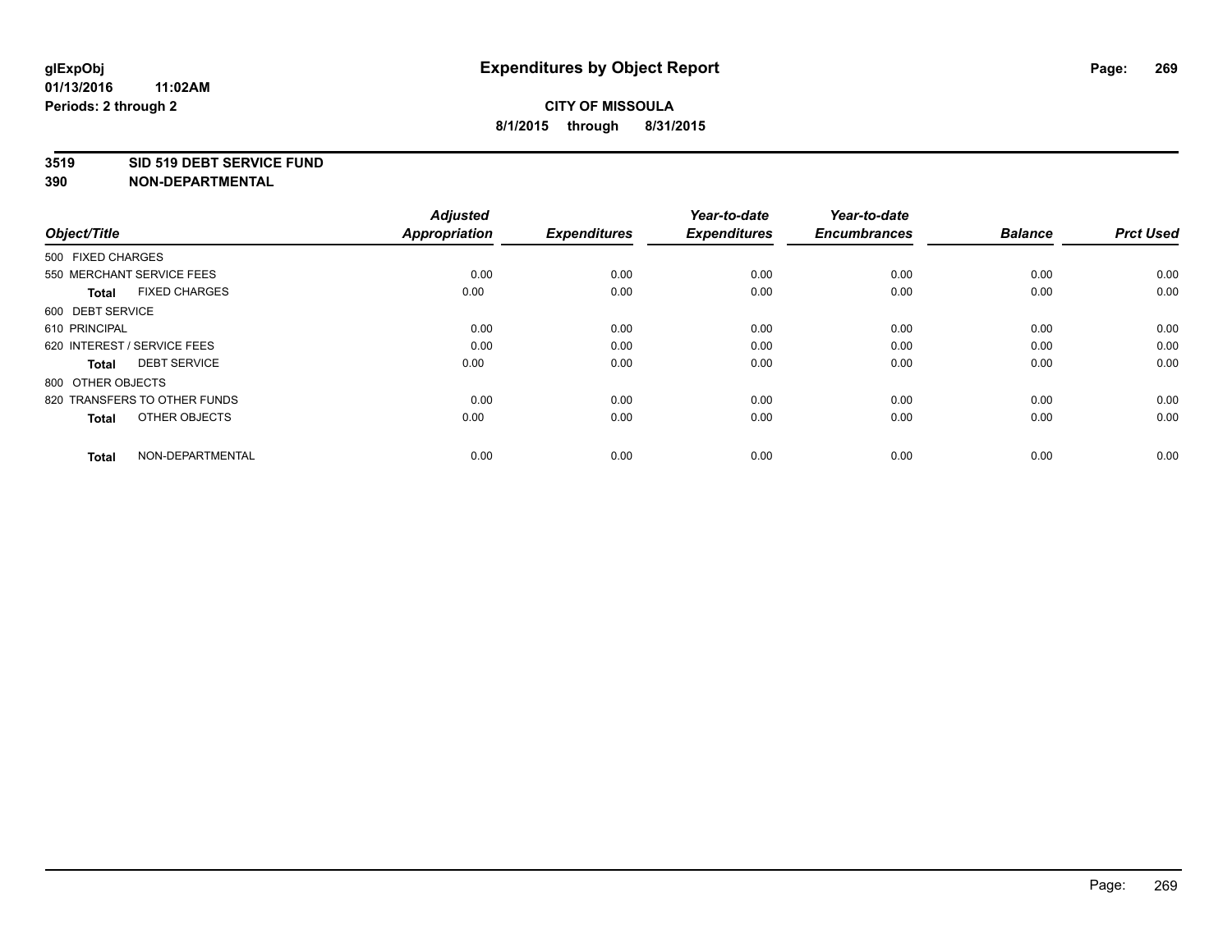### **3519 SID 519 DEBT SERVICE FUND**

| Object/Title                         | <b>Adjusted</b><br><b>Appropriation</b> | <b>Expenditures</b> | Year-to-date<br><b>Expenditures</b> | Year-to-date<br><b>Encumbrances</b> | <b>Balance</b> | <b>Prct Used</b> |
|--------------------------------------|-----------------------------------------|---------------------|-------------------------------------|-------------------------------------|----------------|------------------|
| 500 FIXED CHARGES                    |                                         |                     |                                     |                                     |                |                  |
| 550 MERCHANT SERVICE FEES            | 0.00                                    | 0.00                | 0.00                                | 0.00                                | 0.00           | 0.00             |
| <b>FIXED CHARGES</b><br><b>Total</b> | 0.00                                    | 0.00                | 0.00                                | 0.00                                | 0.00           | 0.00             |
| 600 DEBT SERVICE                     |                                         |                     |                                     |                                     |                |                  |
| 610 PRINCIPAL                        | 0.00                                    | 0.00                | 0.00                                | 0.00                                | 0.00           | 0.00             |
| 620 INTEREST / SERVICE FEES          | 0.00                                    | 0.00                | 0.00                                | 0.00                                | 0.00           | 0.00             |
| <b>DEBT SERVICE</b><br><b>Total</b>  | 0.00                                    | 0.00                | 0.00                                | 0.00                                | 0.00           | 0.00             |
| 800 OTHER OBJECTS                    |                                         |                     |                                     |                                     |                |                  |
| 820 TRANSFERS TO OTHER FUNDS         | 0.00                                    | 0.00                | 0.00                                | 0.00                                | 0.00           | 0.00             |
| OTHER OBJECTS<br><b>Total</b>        | 0.00                                    | 0.00                | 0.00                                | 0.00                                | 0.00           | 0.00             |
|                                      |                                         |                     |                                     |                                     |                |                  |
| NON-DEPARTMENTAL<br><b>Total</b>     | 0.00                                    | 0.00                | 0.00                                | 0.00                                | 0.00           | 0.00             |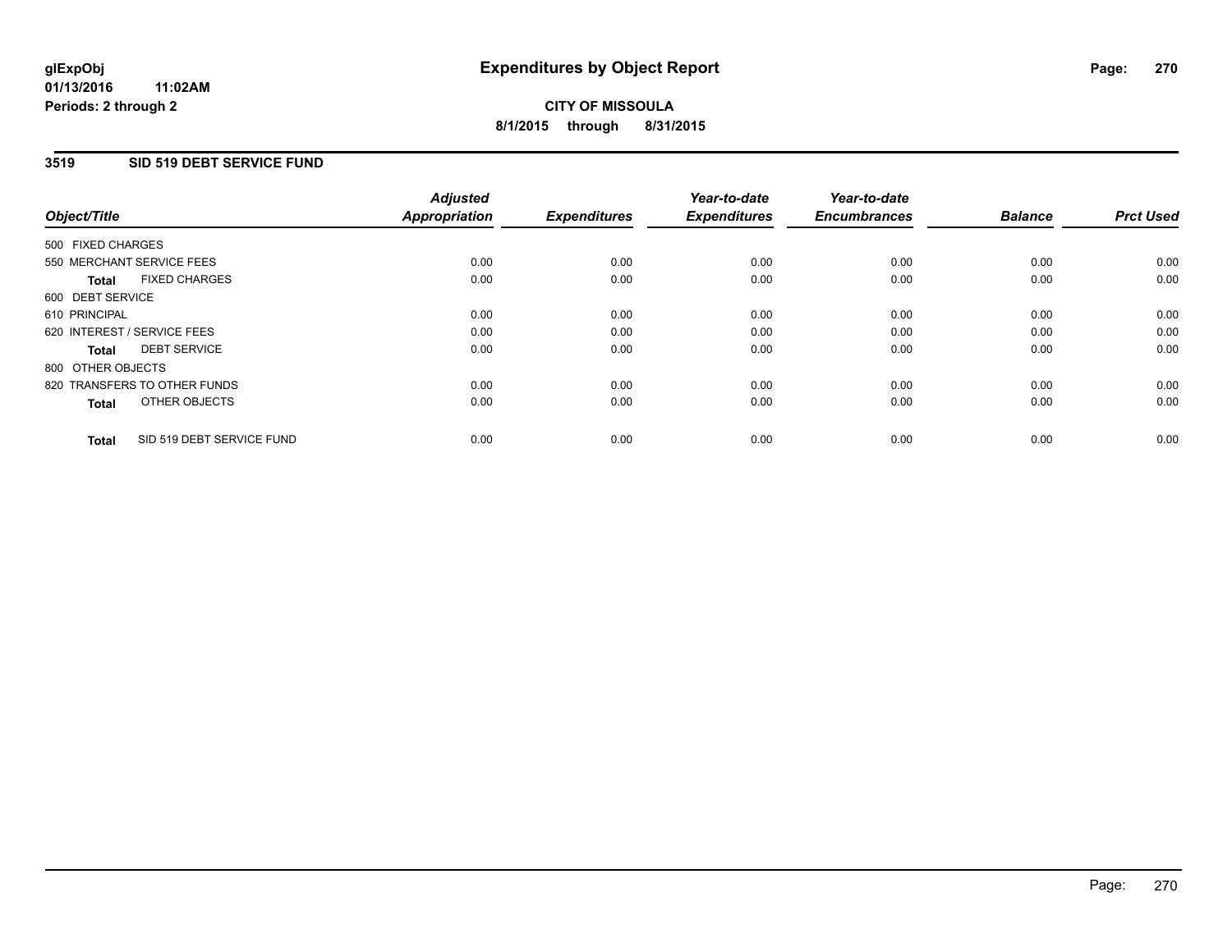### **01/13/2016 11:02AM Periods: 2 through 2**

# **CITY OF MISSOULA 8/1/2015 through 8/31/2015**

### **3519 SID 519 DEBT SERVICE FUND**

| Object/Title                              | <b>Adjusted</b><br><b>Appropriation</b> | <b>Expenditures</b> | Year-to-date<br><b>Expenditures</b> | Year-to-date<br><b>Encumbrances</b> | <b>Balance</b> | <b>Prct Used</b> |
|-------------------------------------------|-----------------------------------------|---------------------|-------------------------------------|-------------------------------------|----------------|------------------|
|                                           |                                         |                     |                                     |                                     |                |                  |
| 500 FIXED CHARGES                         |                                         |                     |                                     |                                     |                |                  |
| 550 MERCHANT SERVICE FEES                 | 0.00                                    | 0.00                | 0.00                                | 0.00                                | 0.00           | 0.00             |
| <b>FIXED CHARGES</b><br>Total             | 0.00                                    | 0.00                | 0.00                                | 0.00                                | 0.00           | 0.00             |
| 600 DEBT SERVICE                          |                                         |                     |                                     |                                     |                |                  |
| 610 PRINCIPAL                             | 0.00                                    | 0.00                | 0.00                                | 0.00                                | 0.00           | 0.00             |
| 620 INTEREST / SERVICE FEES               | 0.00                                    | 0.00                | 0.00                                | 0.00                                | 0.00           | 0.00             |
| <b>DEBT SERVICE</b><br><b>Total</b>       | 0.00                                    | 0.00                | 0.00                                | 0.00                                | 0.00           | 0.00             |
| 800 OTHER OBJECTS                         |                                         |                     |                                     |                                     |                |                  |
| 820 TRANSFERS TO OTHER FUNDS              | 0.00                                    | 0.00                | 0.00                                | 0.00                                | 0.00           | 0.00             |
| OTHER OBJECTS<br><b>Total</b>             | 0.00                                    | 0.00                | 0.00                                | 0.00                                | 0.00           | 0.00             |
|                                           |                                         |                     |                                     |                                     |                |                  |
| SID 519 DEBT SERVICE FUND<br><b>Total</b> | 0.00                                    | 0.00                | 0.00                                | 0.00                                | 0.00           | 0.00             |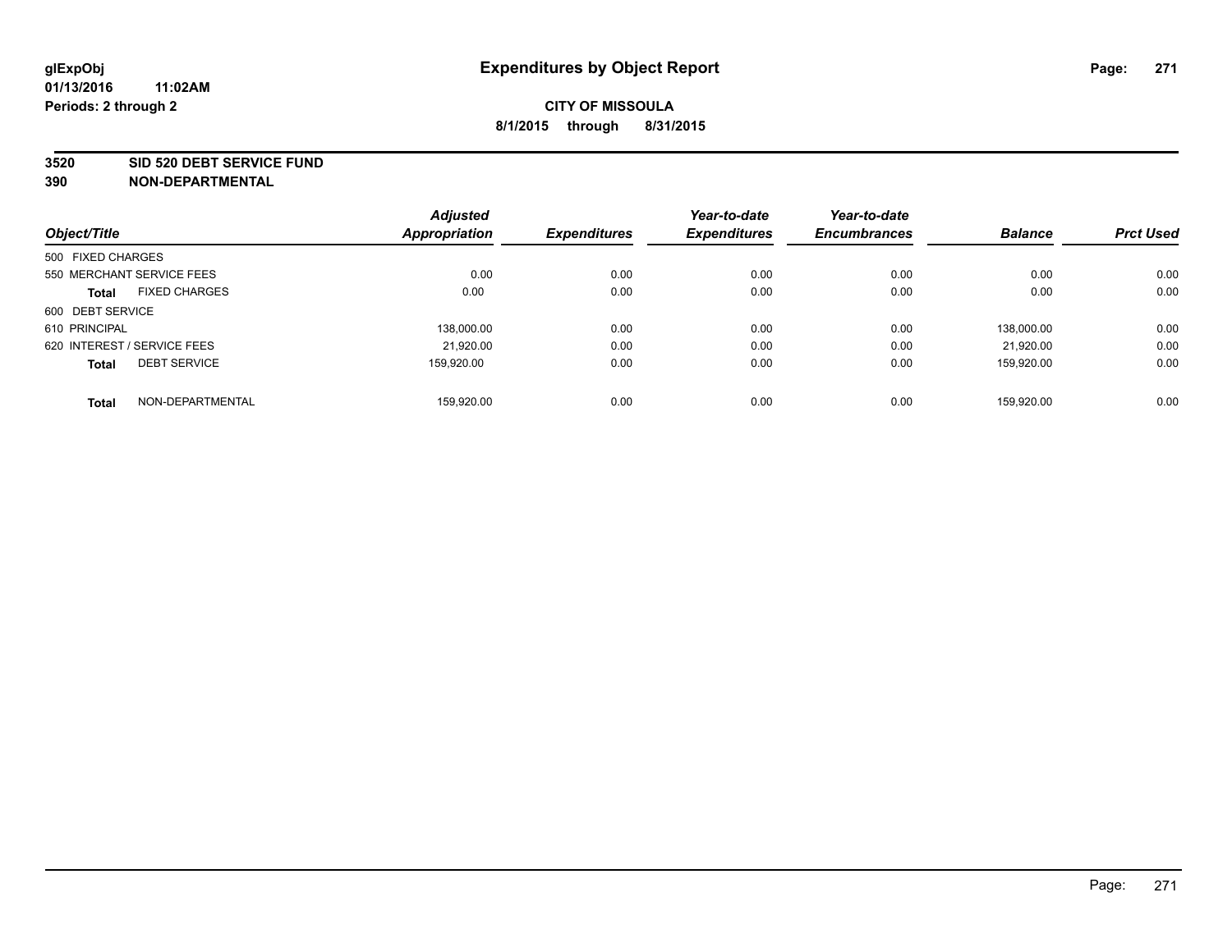#### **3520 SID 520 DEBT SERVICE FUND**

| Object/Title                |                      | <b>Adjusted</b><br>Appropriation | <b>Expenditures</b> | Year-to-date<br><b>Expenditures</b> | Year-to-date<br><b>Encumbrances</b> | <b>Balance</b> | <b>Prct Used</b> |
|-----------------------------|----------------------|----------------------------------|---------------------|-------------------------------------|-------------------------------------|----------------|------------------|
|                             |                      |                                  |                     |                                     |                                     |                |                  |
| 500 FIXED CHARGES           |                      |                                  |                     |                                     |                                     |                |                  |
| 550 MERCHANT SERVICE FEES   |                      | 0.00                             | 0.00                | 0.00                                | 0.00                                | 0.00           | 0.00             |
| <b>Total</b>                | <b>FIXED CHARGES</b> | 0.00                             | 0.00                | 0.00                                | 0.00                                | 0.00           | 0.00             |
| 600 DEBT SERVICE            |                      |                                  |                     |                                     |                                     |                |                  |
| 610 PRINCIPAL               |                      | 138.000.00                       | 0.00                | 0.00                                | 0.00                                | 138.000.00     | 0.00             |
| 620 INTEREST / SERVICE FEES |                      | 21,920.00                        | 0.00                | 0.00                                | 0.00                                | 21.920.00      | 0.00             |
| <b>Total</b>                | <b>DEBT SERVICE</b>  | 159.920.00                       | 0.00                | 0.00                                | 0.00                                | 159.920.00     | 0.00             |
| <b>Total</b>                | NON-DEPARTMENTAL     | 159.920.00                       | 0.00                | 0.00                                | 0.00                                | 159.920.00     | 0.00             |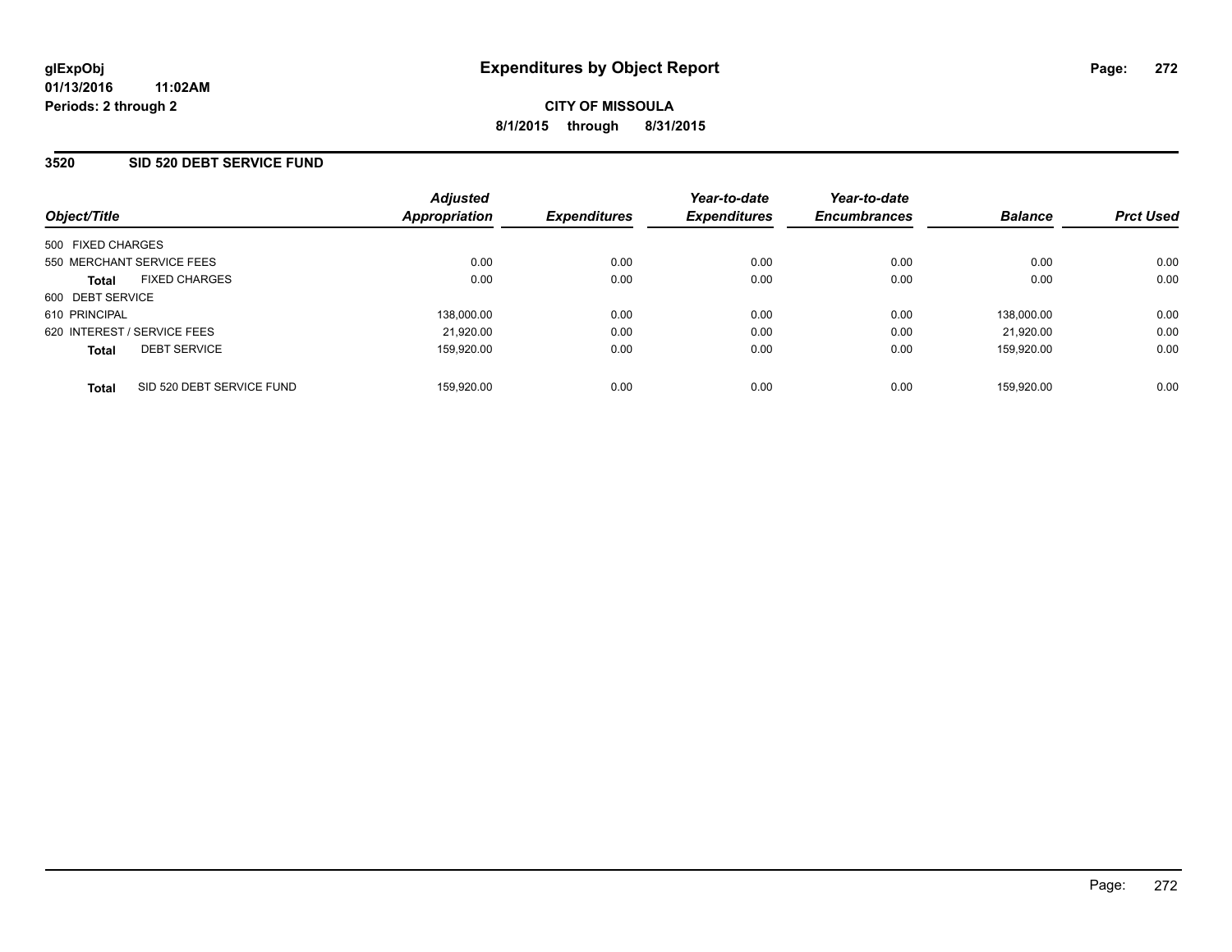### **3520 SID 520 DEBT SERVICE FUND**

| Object/Title                              | <b>Adjusted</b><br>Appropriation | <b>Expenditures</b> | Year-to-date<br><b>Expenditures</b> | Year-to-date<br><b>Encumbrances</b> | <b>Balance</b> | <b>Prct Used</b> |
|-------------------------------------------|----------------------------------|---------------------|-------------------------------------|-------------------------------------|----------------|------------------|
| 500 FIXED CHARGES                         |                                  |                     |                                     |                                     |                |                  |
| 550 MERCHANT SERVICE FEES                 | 0.00                             | 0.00                | 0.00                                | 0.00                                | 0.00           | 0.00             |
| <b>FIXED CHARGES</b><br><b>Total</b>      | 0.00                             | 0.00                | 0.00                                | 0.00                                | 0.00           | 0.00             |
| 600 DEBT SERVICE                          |                                  |                     |                                     |                                     |                |                  |
| 610 PRINCIPAL                             | 138,000.00                       | 0.00                | 0.00                                | 0.00                                | 138.000.00     | 0.00             |
| 620 INTEREST / SERVICE FEES               | 21,920.00                        | 0.00                | 0.00                                | 0.00                                | 21.920.00      | 0.00             |
| <b>DEBT SERVICE</b><br><b>Total</b>       | 159.920.00                       | 0.00                | 0.00                                | 0.00                                | 159.920.00     | 0.00             |
| SID 520 DEBT SERVICE FUND<br><b>Total</b> | 159.920.00                       | 0.00                | 0.00                                | 0.00                                | 159.920.00     | 0.00             |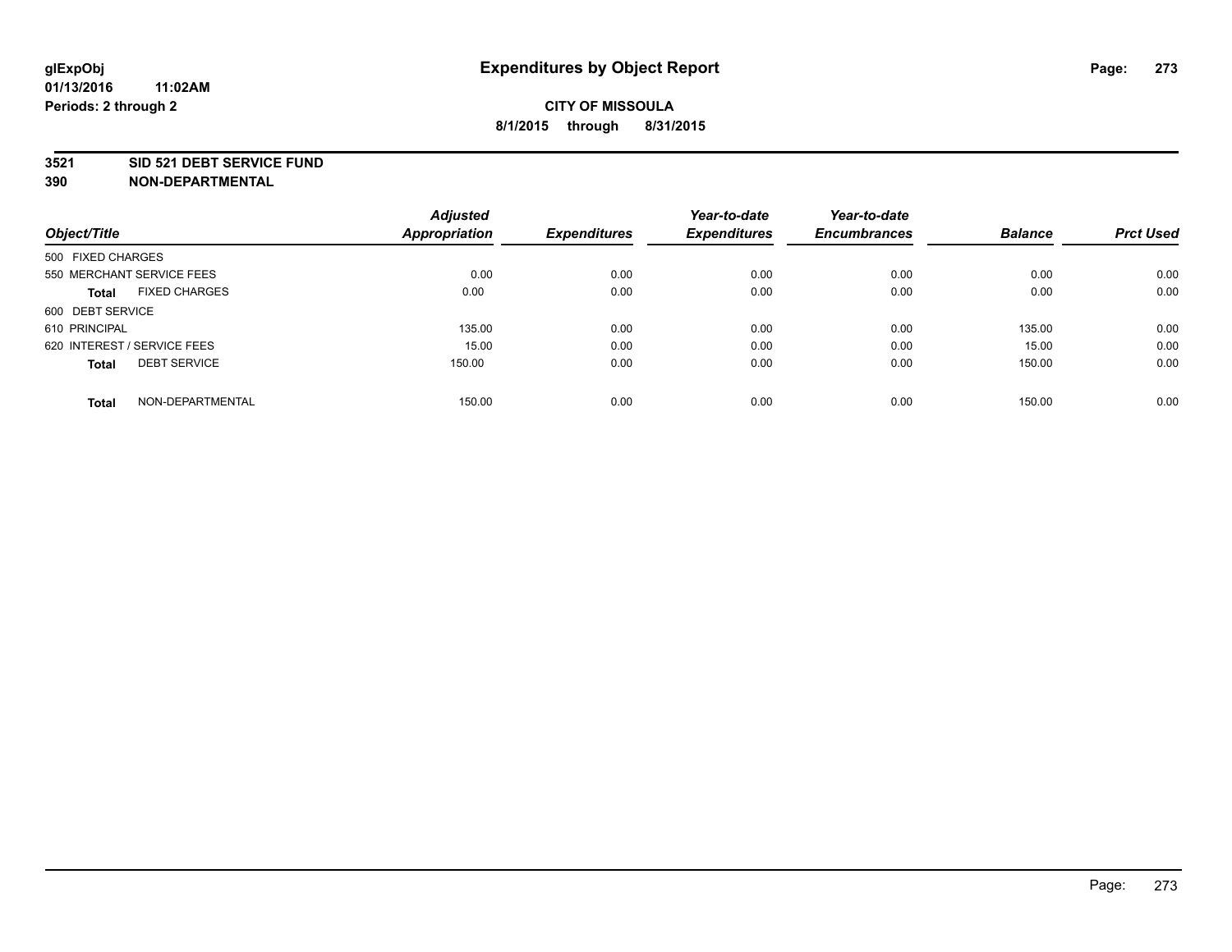### **3521 SID 521 DEBT SERVICE FUND**

|                                      | <b>Adjusted</b>      |                     | Year-to-date        | Year-to-date        |                |                  |
|--------------------------------------|----------------------|---------------------|---------------------|---------------------|----------------|------------------|
| Object/Title                         | <b>Appropriation</b> | <b>Expenditures</b> | <b>Expenditures</b> | <b>Encumbrances</b> | <b>Balance</b> | <b>Prct Used</b> |
| 500 FIXED CHARGES                    |                      |                     |                     |                     |                |                  |
| 550 MERCHANT SERVICE FEES            | 0.00                 | 0.00                | 0.00                | 0.00                | 0.00           | 0.00             |
| <b>FIXED CHARGES</b><br><b>Total</b> | 0.00                 | 0.00                | 0.00                | 0.00                | 0.00           | 0.00             |
| 600 DEBT SERVICE                     |                      |                     |                     |                     |                |                  |
| 610 PRINCIPAL                        | 135.00               | 0.00                | 0.00                | 0.00                | 135.00         | 0.00             |
| 620 INTEREST / SERVICE FEES          | 15.00                | 0.00                | 0.00                | 0.00                | 15.00          | 0.00             |
| <b>DEBT SERVICE</b><br><b>Total</b>  | 150.00               | 0.00                | 0.00                | 0.00                | 150.00         | 0.00             |
| NON-DEPARTMENTAL<br>Total            | 150.00               | 0.00                | 0.00                | 0.00                | 150.00         | 0.00             |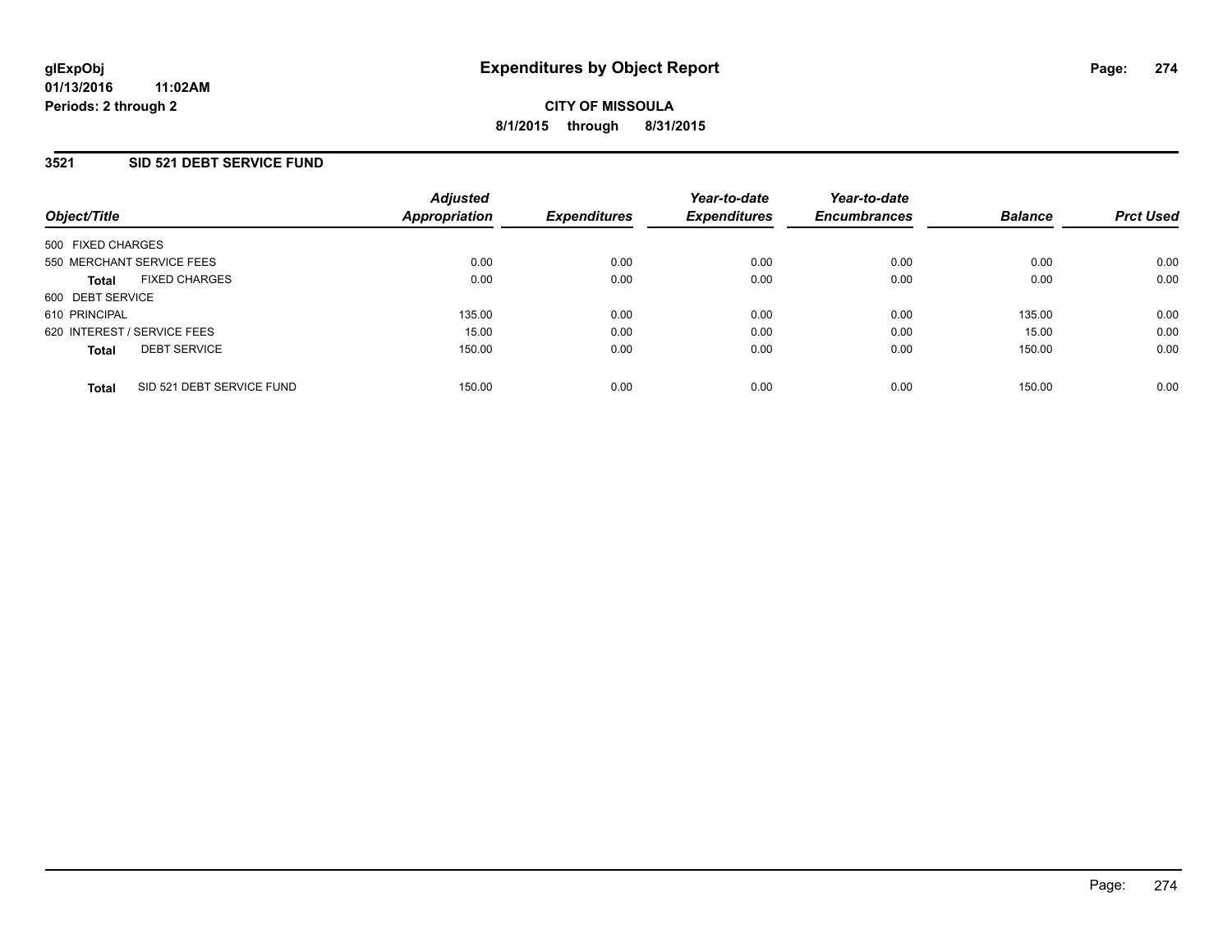### **3521 SID 521 DEBT SERVICE FUND**

| Object/Title                              | <b>Adjusted</b><br>Appropriation | <b>Expenditures</b> | Year-to-date<br><b>Expenditures</b> | Year-to-date<br><b>Encumbrances</b> | <b>Balance</b> | <b>Prct Used</b> |
|-------------------------------------------|----------------------------------|---------------------|-------------------------------------|-------------------------------------|----------------|------------------|
| 500 FIXED CHARGES                         |                                  |                     |                                     |                                     |                |                  |
| 550 MERCHANT SERVICE FEES                 | 0.00                             | 0.00                | 0.00                                | 0.00                                | 0.00           | 0.00             |
| <b>FIXED CHARGES</b><br><b>Total</b>      | 0.00                             | 0.00                | 0.00                                | 0.00                                | 0.00           | 0.00             |
| 600 DEBT SERVICE                          |                                  |                     |                                     |                                     |                |                  |
| 610 PRINCIPAL                             | 135.00                           | 0.00                | 0.00                                | 0.00                                | 135.00         | 0.00             |
| 620 INTEREST / SERVICE FEES               | 15.00                            | 0.00                | 0.00                                | 0.00                                | 15.00          | 0.00             |
| <b>DEBT SERVICE</b><br><b>Total</b>       | 150.00                           | 0.00                | 0.00                                | 0.00                                | 150.00         | 0.00             |
| SID 521 DEBT SERVICE FUND<br><b>Total</b> | 150.00                           | 0.00                | 0.00                                | 0.00                                | 150.00         | 0.00             |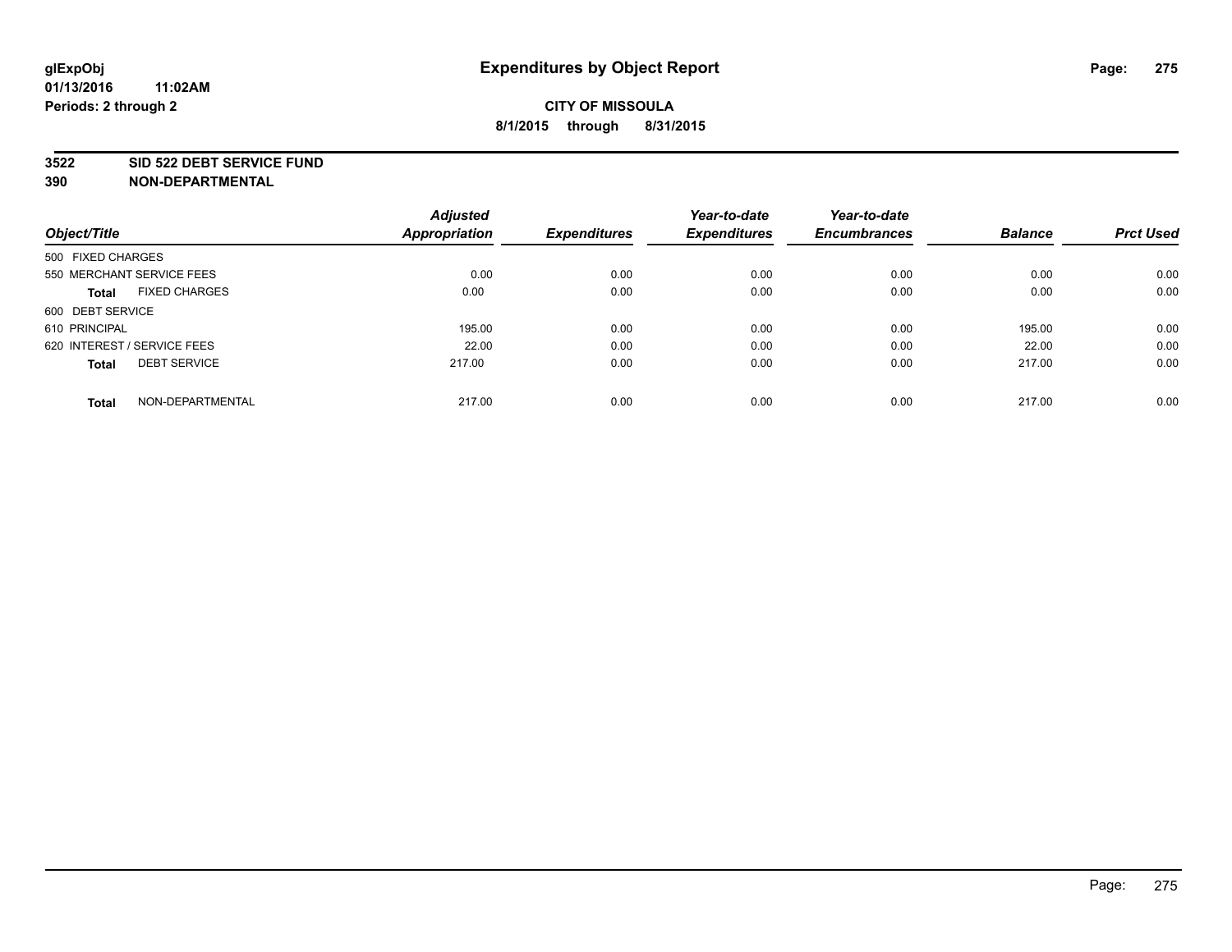### **3522 SID 522 DEBT SERVICE FUND**

|                                      | <b>Adjusted</b>      |                     | Year-to-date        | Year-to-date        |                |                  |
|--------------------------------------|----------------------|---------------------|---------------------|---------------------|----------------|------------------|
| Object/Title                         | <b>Appropriation</b> | <b>Expenditures</b> | <b>Expenditures</b> | <b>Encumbrances</b> | <b>Balance</b> | <b>Prct Used</b> |
| 500 FIXED CHARGES                    |                      |                     |                     |                     |                |                  |
| 550 MERCHANT SERVICE FEES            | 0.00                 | 0.00                | 0.00                | 0.00                | 0.00           | 0.00             |
| <b>FIXED CHARGES</b><br><b>Total</b> | 0.00                 | 0.00                | 0.00                | 0.00                | 0.00           | 0.00             |
| 600 DEBT SERVICE                     |                      |                     |                     |                     |                |                  |
| 610 PRINCIPAL                        | 195.00               | 0.00                | 0.00                | 0.00                | 195.00         | 0.00             |
| 620 INTEREST / SERVICE FEES          | 22.00                | 0.00                | 0.00                | 0.00                | 22.00          | 0.00             |
| <b>DEBT SERVICE</b><br><b>Total</b>  | 217.00               | 0.00                | 0.00                | 0.00                | 217.00         | 0.00             |
| NON-DEPARTMENTAL<br><b>Total</b>     | 217.00               | 0.00                | 0.00                | 0.00                | 217.00         | 0.00             |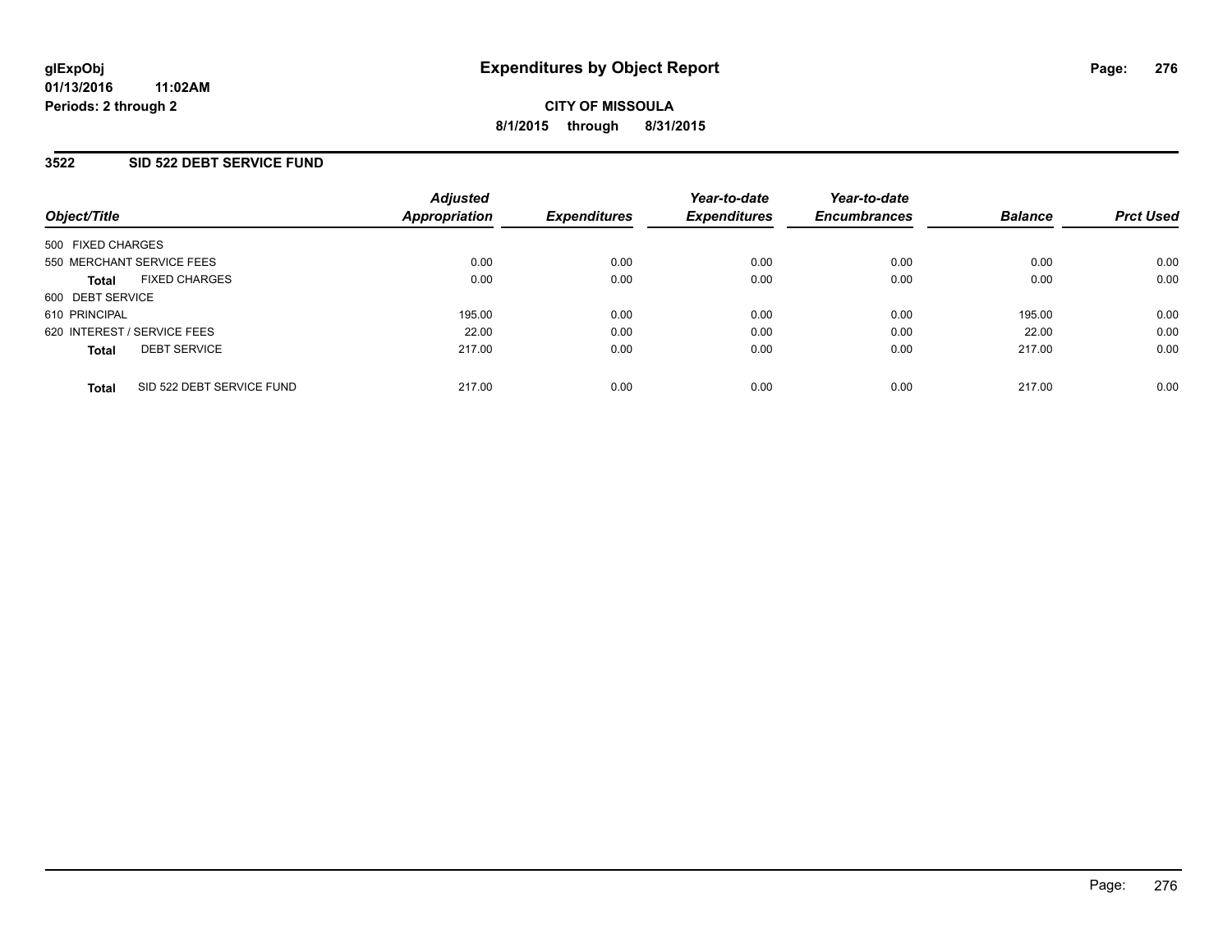### **3522 SID 522 DEBT SERVICE FUND**

| Object/Title                              | <b>Adjusted</b><br>Appropriation | <b>Expenditures</b> | Year-to-date<br><b>Expenditures</b> | Year-to-date<br><b>Encumbrances</b> | <b>Balance</b> | <b>Prct Used</b> |
|-------------------------------------------|----------------------------------|---------------------|-------------------------------------|-------------------------------------|----------------|------------------|
| 500 FIXED CHARGES                         |                                  |                     |                                     |                                     |                |                  |
| 550 MERCHANT SERVICE FEES                 | 0.00                             | 0.00                | 0.00                                | 0.00                                | 0.00           | 0.00             |
| <b>FIXED CHARGES</b><br><b>Total</b>      | 0.00                             | 0.00                | 0.00                                | 0.00                                | 0.00           | 0.00             |
| 600 DEBT SERVICE                          |                                  |                     |                                     |                                     |                |                  |
| 610 PRINCIPAL                             | 195.00                           | 0.00                | 0.00                                | 0.00                                | 195.00         | 0.00             |
| 620 INTEREST / SERVICE FEES               | 22.00                            | 0.00                | 0.00                                | 0.00                                | 22.00          | 0.00             |
| <b>DEBT SERVICE</b><br><b>Total</b>       | 217.00                           | 0.00                | 0.00                                | 0.00                                | 217.00         | 0.00             |
| SID 522 DEBT SERVICE FUND<br><b>Total</b> | 217.00                           | 0.00                | 0.00                                | 0.00                                | 217.00         | 0.00             |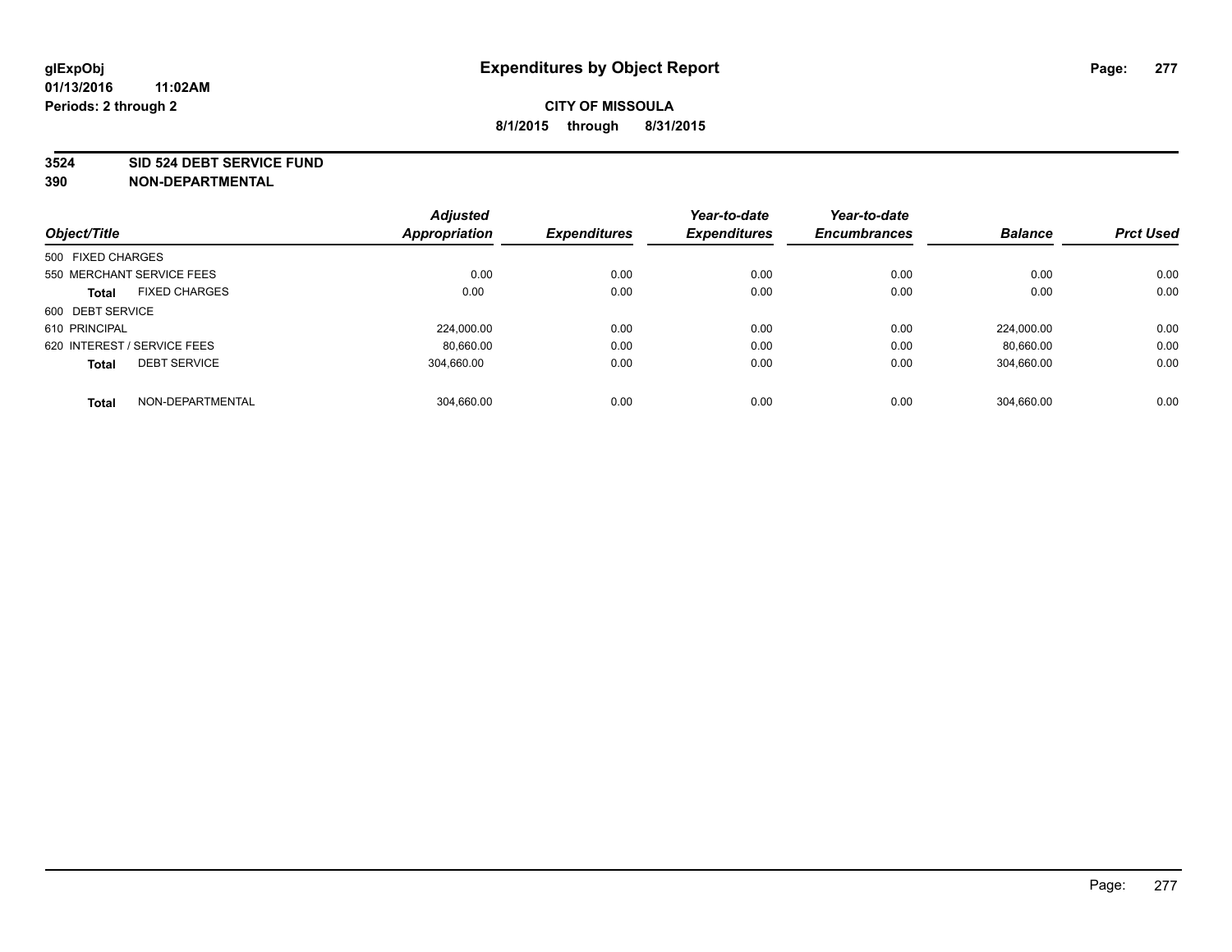#### **3524 SID 524 DEBT SERVICE FUND**

|                                      | <b>Adjusted</b>      |                     | Year-to-date        | Year-to-date        |                |                  |
|--------------------------------------|----------------------|---------------------|---------------------|---------------------|----------------|------------------|
| Object/Title                         | <b>Appropriation</b> | <b>Expenditures</b> | <b>Expenditures</b> | <b>Encumbrances</b> | <b>Balance</b> | <b>Prct Used</b> |
| 500 FIXED CHARGES                    |                      |                     |                     |                     |                |                  |
| 550 MERCHANT SERVICE FEES            | 0.00                 | 0.00                | 0.00                | 0.00                | 0.00           | 0.00             |
| <b>FIXED CHARGES</b><br><b>Total</b> | 0.00                 | 0.00                | 0.00                | 0.00                | 0.00           | 0.00             |
| 600 DEBT SERVICE                     |                      |                     |                     |                     |                |                  |
| 610 PRINCIPAL                        | 224,000.00           | 0.00                | 0.00                | 0.00                | 224.000.00     | 0.00             |
| 620 INTEREST / SERVICE FEES          | 80,660.00            | 0.00                | 0.00                | 0.00                | 80,660.00      | 0.00             |
| <b>DEBT SERVICE</b><br><b>Total</b>  | 304.660.00           | 0.00                | 0.00                | 0.00                | 304.660.00     | 0.00             |
| NON-DEPARTMENTAL<br><b>Total</b>     | 304.660.00           | 0.00                | 0.00                | 0.00                | 304.660.00     | 0.00             |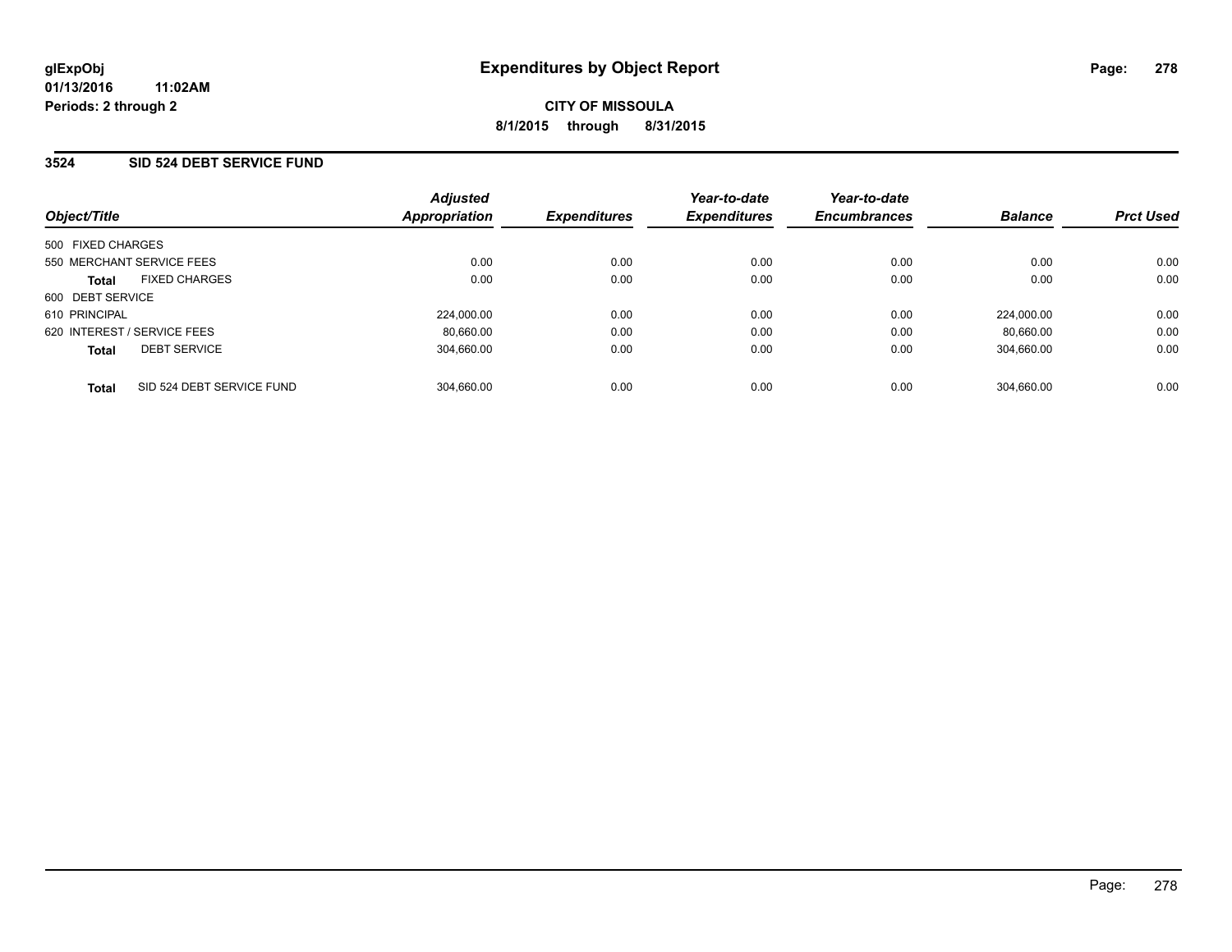### **3524 SID 524 DEBT SERVICE FUND**

| Object/Title                              | <b>Adjusted</b><br>Appropriation | <b>Expenditures</b> | Year-to-date<br><b>Expenditures</b> | Year-to-date<br><b>Encumbrances</b> | <b>Balance</b> | <b>Prct Used</b> |
|-------------------------------------------|----------------------------------|---------------------|-------------------------------------|-------------------------------------|----------------|------------------|
| 500 FIXED CHARGES                         |                                  |                     |                                     |                                     |                |                  |
| 550 MERCHANT SERVICE FEES                 | 0.00                             | 0.00                | 0.00                                | 0.00                                | 0.00           | 0.00             |
| <b>FIXED CHARGES</b><br><b>Total</b>      | 0.00                             | 0.00                | 0.00                                | 0.00                                | 0.00           | 0.00             |
| 600 DEBT SERVICE                          |                                  |                     |                                     |                                     |                |                  |
| 610 PRINCIPAL                             | 224,000.00                       | 0.00                | 0.00                                | 0.00                                | 224.000.00     | 0.00             |
| 620 INTEREST / SERVICE FEES               | 80,660.00                        | 0.00                | 0.00                                | 0.00                                | 80.660.00      | 0.00             |
| <b>DEBT SERVICE</b><br><b>Total</b>       | 304.660.00                       | 0.00                | 0.00                                | 0.00                                | 304,660.00     | 0.00             |
| SID 524 DEBT SERVICE FUND<br><b>Total</b> | 304.660.00                       | 0.00                | 0.00                                | 0.00                                | 304.660.00     | 0.00             |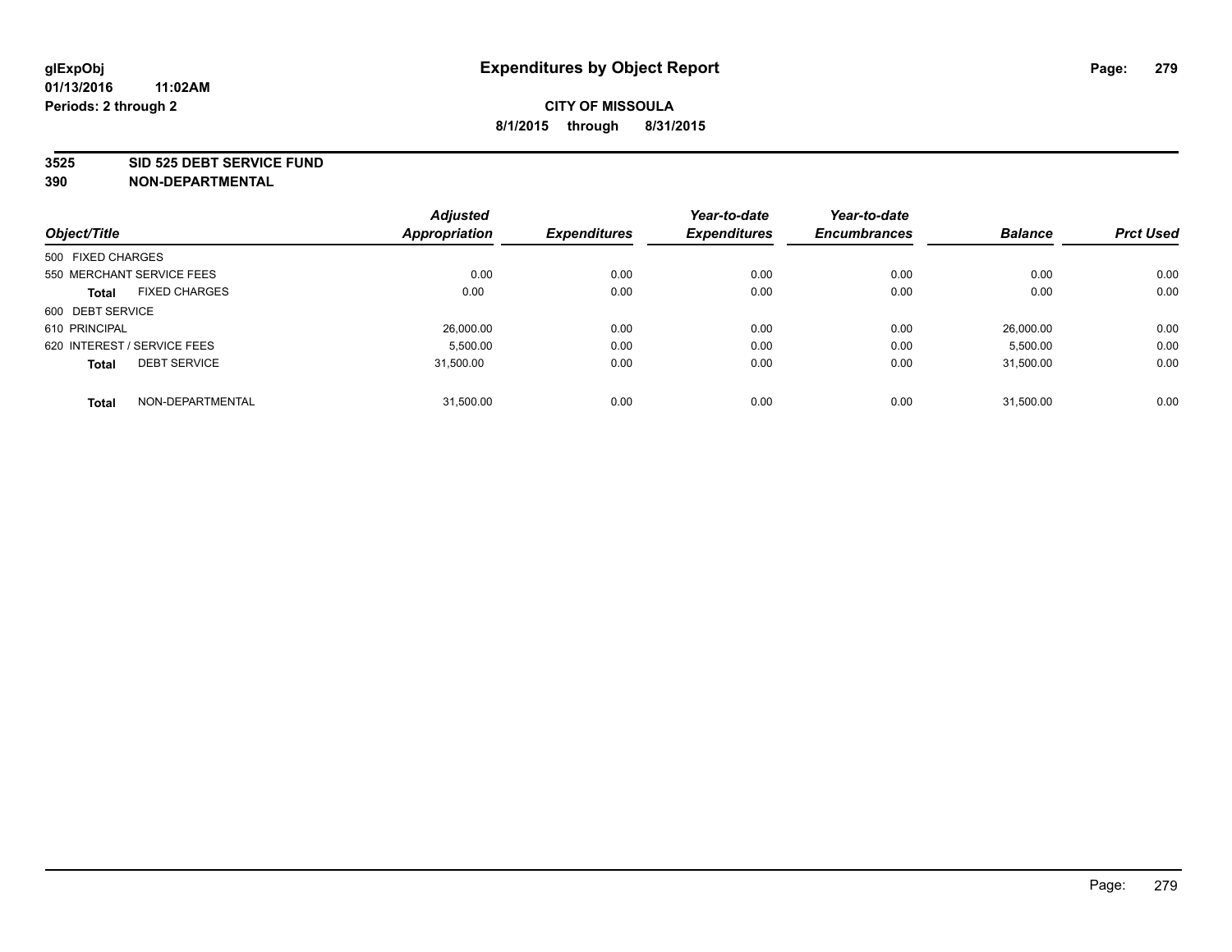#### **3525 SID 525 DEBT SERVICE FUND**

| Object/Title                |                           | <b>Adjusted</b><br><b>Appropriation</b> | <b>Expenditures</b> | Year-to-date<br><b>Expenditures</b> | Year-to-date<br><b>Encumbrances</b> | <b>Balance</b> | <b>Prct Used</b> |
|-----------------------------|---------------------------|-----------------------------------------|---------------------|-------------------------------------|-------------------------------------|----------------|------------------|
|                             |                           |                                         |                     |                                     |                                     |                |                  |
| 500 FIXED CHARGES           |                           |                                         |                     |                                     |                                     |                |                  |
|                             | 550 MERCHANT SERVICE FEES | 0.00                                    | 0.00                | 0.00                                | 0.00                                | 0.00           | 0.00             |
| <b>Total</b>                | <b>FIXED CHARGES</b>      | 0.00                                    | 0.00                | 0.00                                | 0.00                                | 0.00           | 0.00             |
| 600 DEBT SERVICE            |                           |                                         |                     |                                     |                                     |                |                  |
| 610 PRINCIPAL               |                           | 26,000.00                               | 0.00                | 0.00                                | 0.00                                | 26.000.00      | 0.00             |
| 620 INTEREST / SERVICE FEES |                           | 5,500.00                                | 0.00                | 0.00                                | 0.00                                | 5,500.00       | 0.00             |
| <b>Total</b>                | <b>DEBT SERVICE</b>       | 31.500.00                               | 0.00                | 0.00                                | 0.00                                | 31.500.00      | 0.00             |
|                             |                           |                                         |                     |                                     |                                     |                |                  |
| <b>Total</b>                | NON-DEPARTMENTAL          | 31,500.00                               | 0.00                | 0.00                                | 0.00                                | 31.500.00      | 0.00             |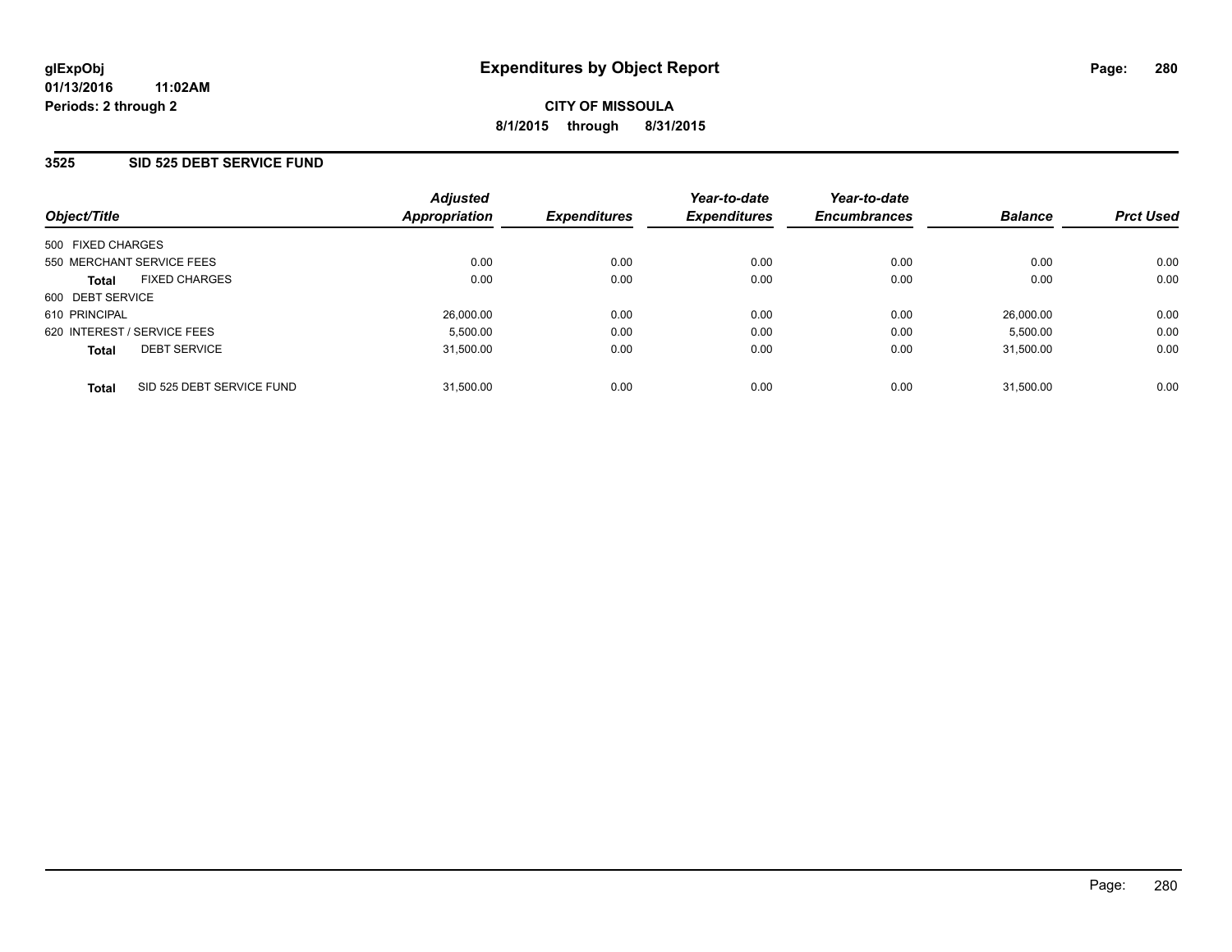### **3525 SID 525 DEBT SERVICE FUND**

| Object/Title                              | <b>Adjusted</b><br>Appropriation | <b>Expenditures</b> | Year-to-date<br><b>Expenditures</b> | Year-to-date<br><b>Encumbrances</b> | <b>Balance</b> | <b>Prct Used</b> |
|-------------------------------------------|----------------------------------|---------------------|-------------------------------------|-------------------------------------|----------------|------------------|
| 500 FIXED CHARGES                         |                                  |                     |                                     |                                     |                |                  |
| 550 MERCHANT SERVICE FEES                 | 0.00                             | 0.00                | 0.00                                | 0.00                                | 0.00           | 0.00             |
| <b>FIXED CHARGES</b><br><b>Total</b>      | 0.00                             | 0.00                | 0.00                                | 0.00                                | 0.00           | 0.00             |
| 600 DEBT SERVICE                          |                                  |                     |                                     |                                     |                |                  |
| 610 PRINCIPAL                             | 26,000.00                        | 0.00                | 0.00                                | 0.00                                | 26,000.00      | 0.00             |
| 620 INTEREST / SERVICE FEES               | 5,500.00                         | 0.00                | 0.00                                | 0.00                                | 5,500.00       | 0.00             |
| <b>DEBT SERVICE</b><br><b>Total</b>       | 31,500.00                        | 0.00                | 0.00                                | 0.00                                | 31.500.00      | 0.00             |
| SID 525 DEBT SERVICE FUND<br><b>Total</b> | 31.500.00                        | 0.00                | 0.00                                | 0.00                                | 31.500.00      | 0.00             |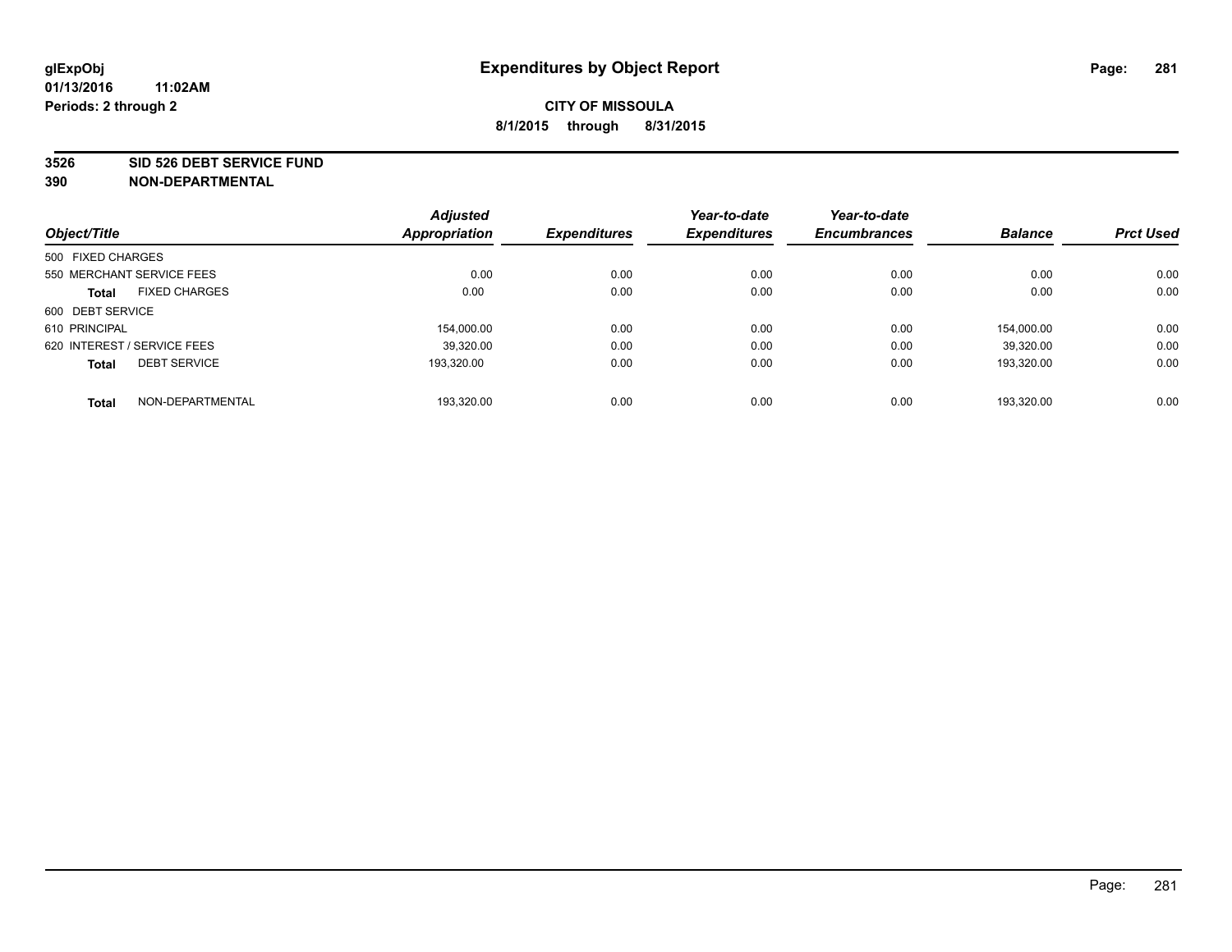#### **3526 SID 526 DEBT SERVICE FUND**

| Object/Title                         | <b>Adjusted</b><br><b>Appropriation</b> | <b>Expenditures</b> | Year-to-date<br><b>Expenditures</b> | Year-to-date<br><b>Encumbrances</b> | <b>Balance</b> | <b>Prct Used</b> |
|--------------------------------------|-----------------------------------------|---------------------|-------------------------------------|-------------------------------------|----------------|------------------|
| 500 FIXED CHARGES                    |                                         |                     |                                     |                                     |                |                  |
|                                      |                                         |                     |                                     |                                     |                |                  |
| 550 MERCHANT SERVICE FEES            | 0.00                                    | 0.00                | 0.00                                | 0.00                                | 0.00           | 0.00             |
| <b>FIXED CHARGES</b><br><b>Total</b> | 0.00                                    | 0.00                | 0.00                                | 0.00                                | 0.00           | 0.00             |
| 600 DEBT SERVICE                     |                                         |                     |                                     |                                     |                |                  |
| 610 PRINCIPAL                        | 154.000.00                              | 0.00                | 0.00                                | 0.00                                | 154.000.00     | 0.00             |
| 620 INTEREST / SERVICE FEES          | 39,320.00                               | 0.00                | 0.00                                | 0.00                                | 39.320.00      | 0.00             |
| <b>DEBT SERVICE</b><br><b>Total</b>  | 193.320.00                              | 0.00                | 0.00                                | 0.00                                | 193.320.00     | 0.00             |
|                                      |                                         |                     |                                     |                                     |                |                  |
| NON-DEPARTMENTAL<br><b>Total</b>     | 193.320.00                              | 0.00                | 0.00                                | 0.00                                | 193.320.00     | 0.00             |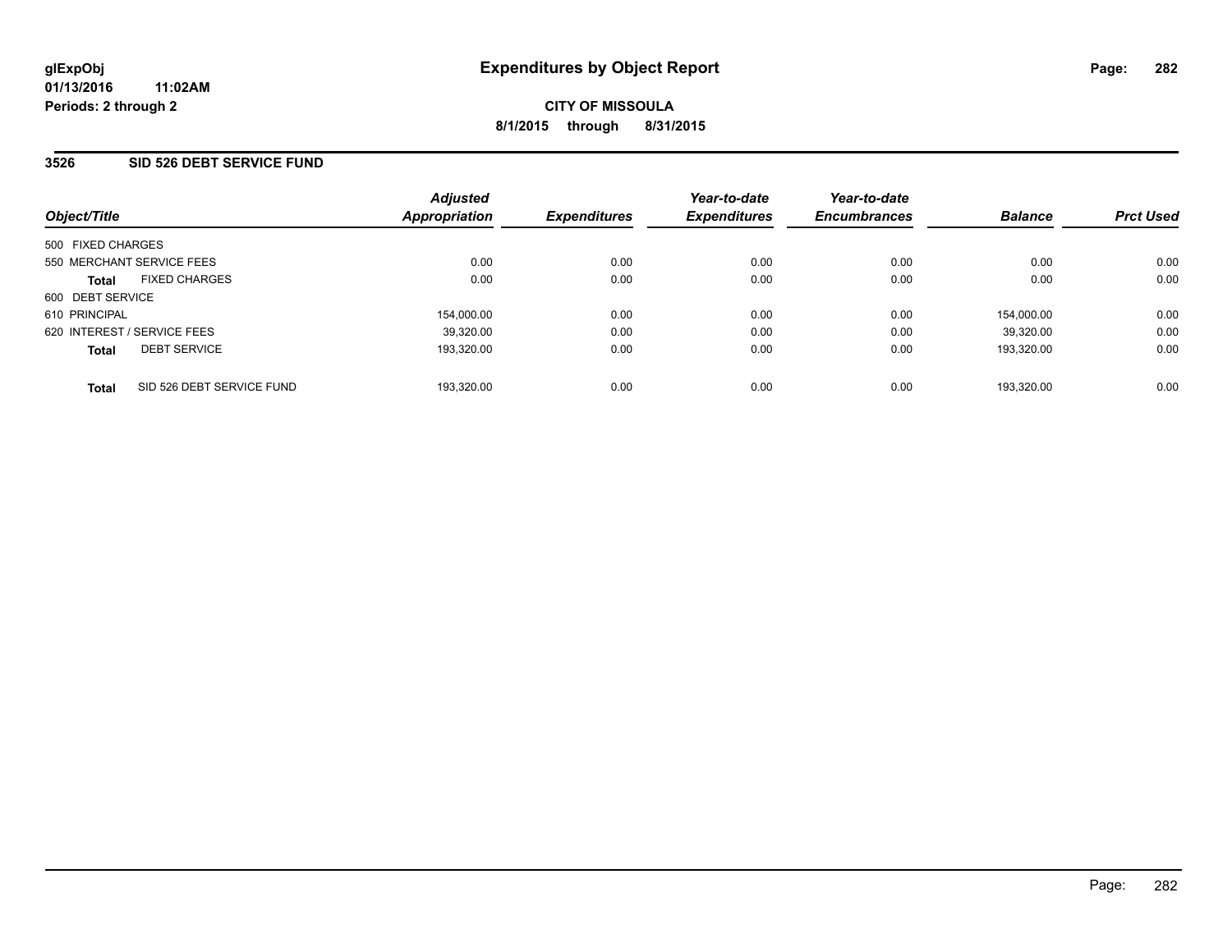### **3526 SID 526 DEBT SERVICE FUND**

| Object/Title                              | <b>Adjusted</b><br>Appropriation | <b>Expenditures</b> | Year-to-date<br><b>Expenditures</b> | Year-to-date<br><b>Encumbrances</b> | <b>Balance</b> | <b>Prct Used</b> |
|-------------------------------------------|----------------------------------|---------------------|-------------------------------------|-------------------------------------|----------------|------------------|
| 500 FIXED CHARGES                         |                                  |                     |                                     |                                     |                |                  |
| 550 MERCHANT SERVICE FEES                 | 0.00                             | 0.00                | 0.00                                | 0.00                                | 0.00           | 0.00             |
| <b>FIXED CHARGES</b><br><b>Total</b>      | 0.00                             | 0.00                | 0.00                                | 0.00                                | 0.00           | 0.00             |
| 600 DEBT SERVICE                          |                                  |                     |                                     |                                     |                |                  |
| 610 PRINCIPAL                             | 154,000.00                       | 0.00                | 0.00                                | 0.00                                | 154.000.00     | 0.00             |
| 620 INTEREST / SERVICE FEES               | 39,320.00                        | 0.00                | 0.00                                | 0.00                                | 39.320.00      | 0.00             |
| <b>DEBT SERVICE</b><br><b>Total</b>       | 193,320.00                       | 0.00                | 0.00                                | 0.00                                | 193.320.00     | 0.00             |
| SID 526 DEBT SERVICE FUND<br><b>Total</b> | 193,320.00                       | 0.00                | 0.00                                | 0.00                                | 193.320.00     | 0.00             |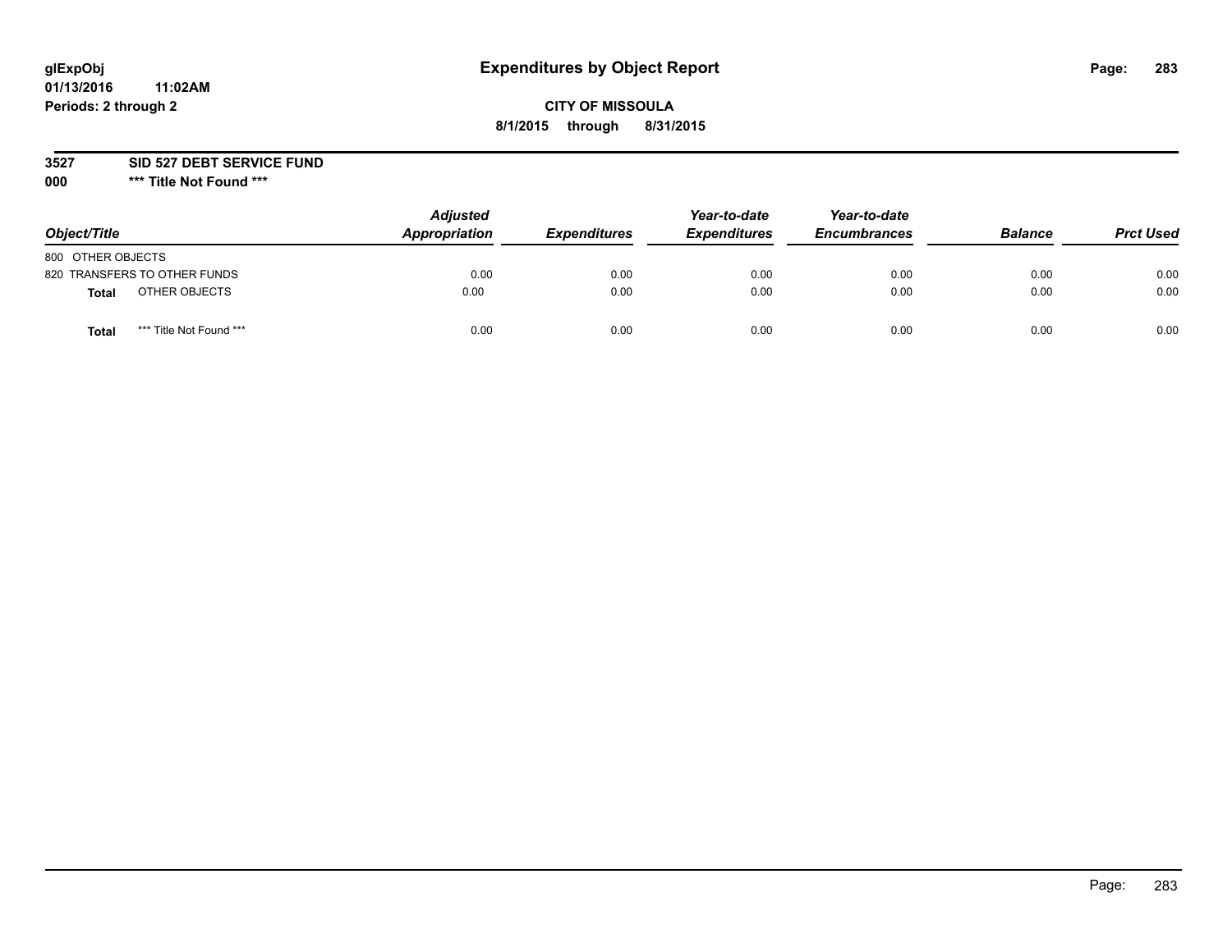# **glExpObj Expenditures by Object Report Page: 283**

### **CITY OF MISSOULA 8/1/2015 through 8/31/2015**

**3527 SID 527 DEBT SERVICE FUND**

**000 \*\*\* Title Not Found \*\*\***

| Object/Title                    | <b>Adjusted</b><br>Appropriation | <b>Expenditures</b> | Year-to-date<br><b>Expenditures</b> | Year-to-date<br><b>Encumbrances</b> | <b>Balance</b> | <b>Prct Used</b> |
|---------------------------------|----------------------------------|---------------------|-------------------------------------|-------------------------------------|----------------|------------------|
| 800 OTHER OBJECTS               |                                  |                     |                                     |                                     |                |                  |
| 820 TRANSFERS TO OTHER FUNDS    | 0.00                             | 0.00                | 0.00                                | 0.00                                | 0.00           | 0.00             |
| OTHER OBJECTS<br>Total          | 0.00                             | 0.00                | 0.00                                | 0.00                                | 0.00           | 0.00             |
| *** Title Not Found ***<br>Tota | 0.00                             | 0.00                | 0.00                                | 0.00                                | 0.00           | 0.00             |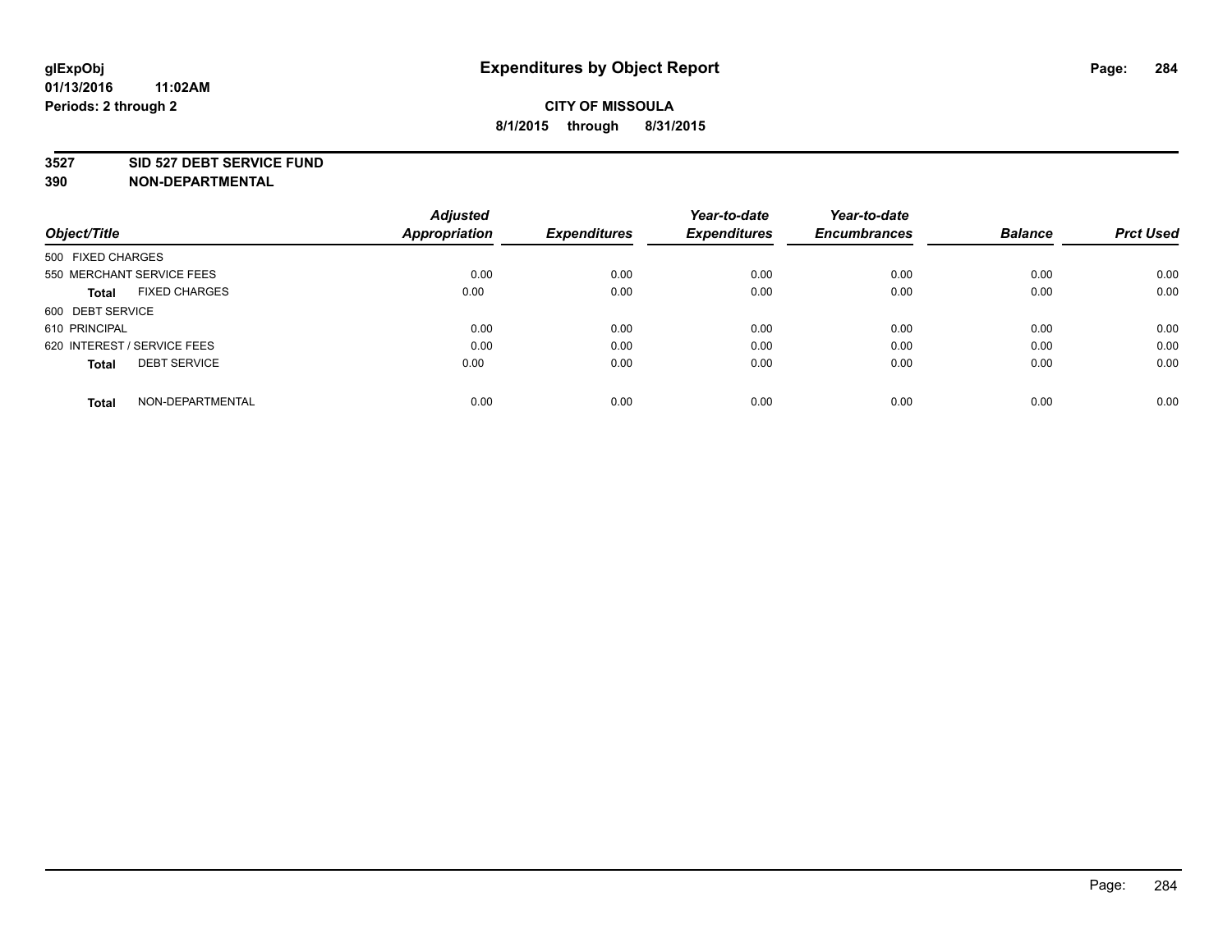### **3527 SID 527 DEBT SERVICE FUND**

|                                      | <b>Adjusted</b>      |                     | Year-to-date        | Year-to-date        |                |                  |
|--------------------------------------|----------------------|---------------------|---------------------|---------------------|----------------|------------------|
| Object/Title                         | <b>Appropriation</b> | <b>Expenditures</b> | <b>Expenditures</b> | <b>Encumbrances</b> | <b>Balance</b> | <b>Prct Used</b> |
| 500 FIXED CHARGES                    |                      |                     |                     |                     |                |                  |
| 550 MERCHANT SERVICE FEES            | 0.00                 | 0.00                | 0.00                | 0.00                | 0.00           | 0.00             |
| <b>FIXED CHARGES</b><br><b>Total</b> | 0.00                 | 0.00                | 0.00                | 0.00                | 0.00           | 0.00             |
| 600 DEBT SERVICE                     |                      |                     |                     |                     |                |                  |
| 610 PRINCIPAL                        | 0.00                 | 0.00                | 0.00                | 0.00                | 0.00           | 0.00             |
| 620 INTEREST / SERVICE FEES          | 0.00                 | 0.00                | 0.00                | 0.00                | 0.00           | 0.00             |
| <b>DEBT SERVICE</b><br><b>Total</b>  | 0.00                 | 0.00                | 0.00                | 0.00                | 0.00           | 0.00             |
| NON-DEPARTMENTAL<br><b>Total</b>     | 0.00                 | 0.00                | 0.00                | 0.00                | 0.00           | 0.00             |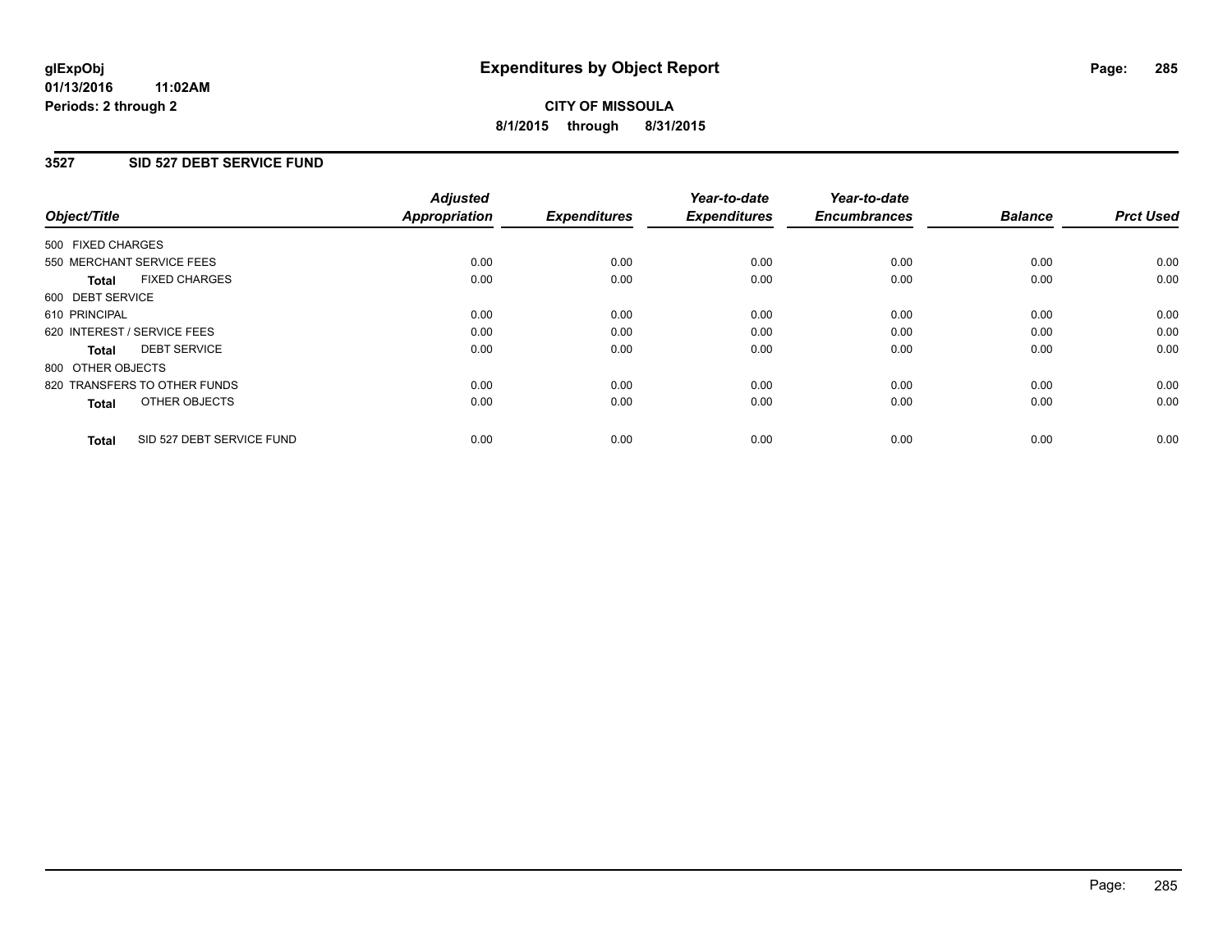### **3527 SID 527 DEBT SERVICE FUND**

| Object/Title                              | <b>Adjusted</b><br><b>Appropriation</b> | <b>Expenditures</b> | Year-to-date<br><b>Expenditures</b> | Year-to-date<br><b>Encumbrances</b> | <b>Balance</b> | <b>Prct Used</b> |
|-------------------------------------------|-----------------------------------------|---------------------|-------------------------------------|-------------------------------------|----------------|------------------|
|                                           |                                         |                     |                                     |                                     |                |                  |
| 500 FIXED CHARGES                         |                                         |                     |                                     |                                     |                |                  |
| 550 MERCHANT SERVICE FEES                 | 0.00                                    | 0.00                | 0.00                                | 0.00                                | 0.00           | 0.00             |
| <b>FIXED CHARGES</b><br>Total             | 0.00                                    | 0.00                | 0.00                                | 0.00                                | 0.00           | 0.00             |
| 600 DEBT SERVICE                          |                                         |                     |                                     |                                     |                |                  |
| 610 PRINCIPAL                             | 0.00                                    | 0.00                | 0.00                                | 0.00                                | 0.00           | 0.00             |
| 620 INTEREST / SERVICE FEES               | 0.00                                    | 0.00                | 0.00                                | 0.00                                | 0.00           | 0.00             |
| <b>DEBT SERVICE</b><br><b>Total</b>       | 0.00                                    | 0.00                | 0.00                                | 0.00                                | 0.00           | 0.00             |
| 800 OTHER OBJECTS                         |                                         |                     |                                     |                                     |                |                  |
| 820 TRANSFERS TO OTHER FUNDS              | 0.00                                    | 0.00                | 0.00                                | 0.00                                | 0.00           | 0.00             |
| OTHER OBJECTS<br><b>Total</b>             | 0.00                                    | 0.00                | 0.00                                | 0.00                                | 0.00           | 0.00             |
|                                           |                                         |                     |                                     |                                     |                |                  |
| SID 527 DEBT SERVICE FUND<br><b>Total</b> | 0.00                                    | 0.00                | 0.00                                | 0.00                                | 0.00           | 0.00             |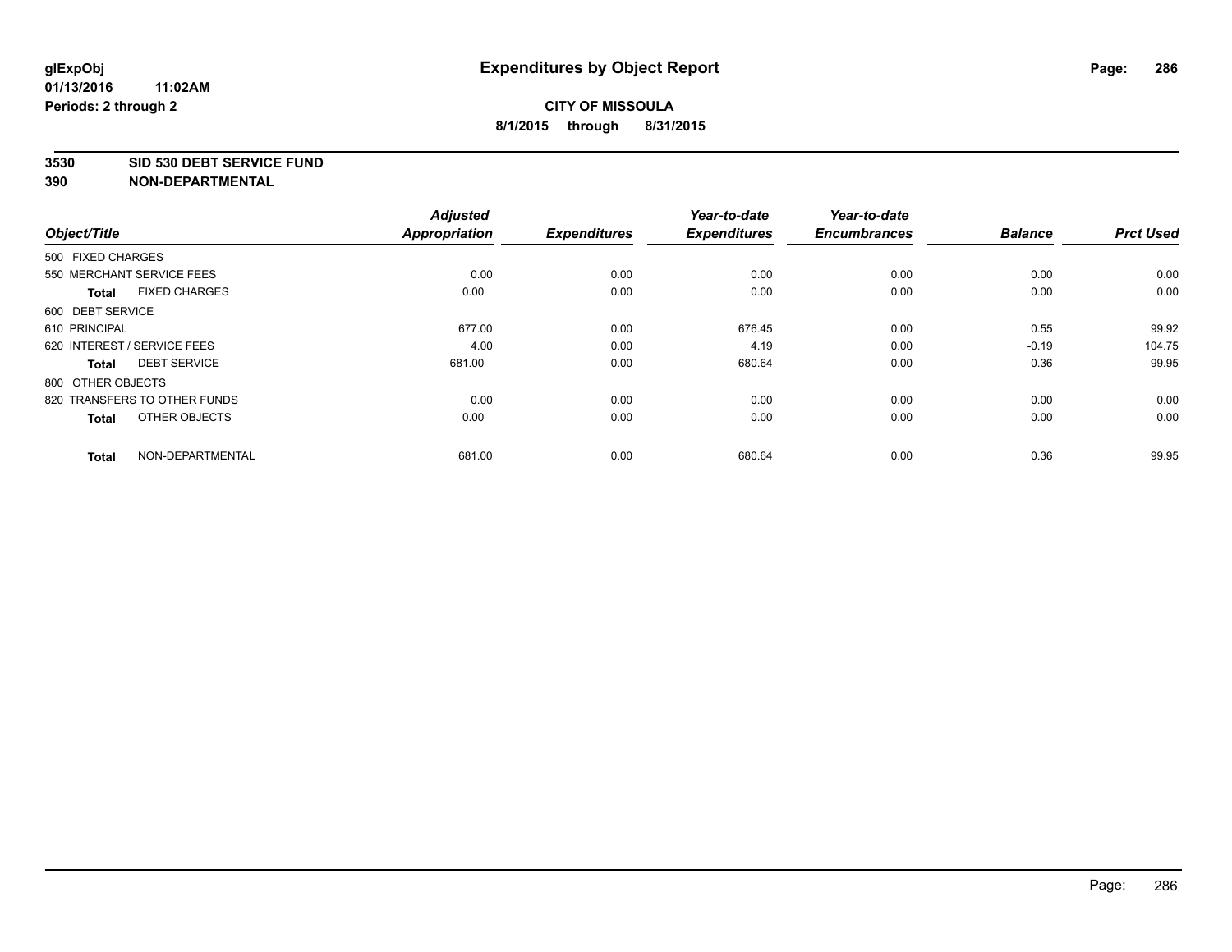#### **3530 SID 530 DEBT SERVICE FUND**

|                                      | <b>Adjusted</b> |                     | Year-to-date        | Year-to-date        |                |                  |
|--------------------------------------|-----------------|---------------------|---------------------|---------------------|----------------|------------------|
| Object/Title                         | Appropriation   | <b>Expenditures</b> | <b>Expenditures</b> | <b>Encumbrances</b> | <b>Balance</b> | <b>Prct Used</b> |
| 500 FIXED CHARGES                    |                 |                     |                     |                     |                |                  |
| 550 MERCHANT SERVICE FEES            | 0.00            | 0.00                | 0.00                | 0.00                | 0.00           | 0.00             |
| <b>FIXED CHARGES</b><br><b>Total</b> | 0.00            | 0.00                | 0.00                | 0.00                | 0.00           | 0.00             |
| 600 DEBT SERVICE                     |                 |                     |                     |                     |                |                  |
| 610 PRINCIPAL                        | 677.00          | 0.00                | 676.45              | 0.00                | 0.55           | 99.92            |
| 620 INTEREST / SERVICE FEES          | 4.00            | 0.00                | 4.19                | 0.00                | $-0.19$        | 104.75           |
| <b>DEBT SERVICE</b><br><b>Total</b>  | 681.00          | 0.00                | 680.64              | 0.00                | 0.36           | 99.95            |
| 800 OTHER OBJECTS                    |                 |                     |                     |                     |                |                  |
| 820 TRANSFERS TO OTHER FUNDS         | 0.00            | 0.00                | 0.00                | 0.00                | 0.00           | 0.00             |
| OTHER OBJECTS<br><b>Total</b>        | 0.00            | 0.00                | 0.00                | 0.00                | 0.00           | 0.00             |
|                                      |                 |                     |                     |                     |                |                  |
| NON-DEPARTMENTAL<br><b>Total</b>     | 681.00          | 0.00                | 680.64              | 0.00                | 0.36           | 99.95            |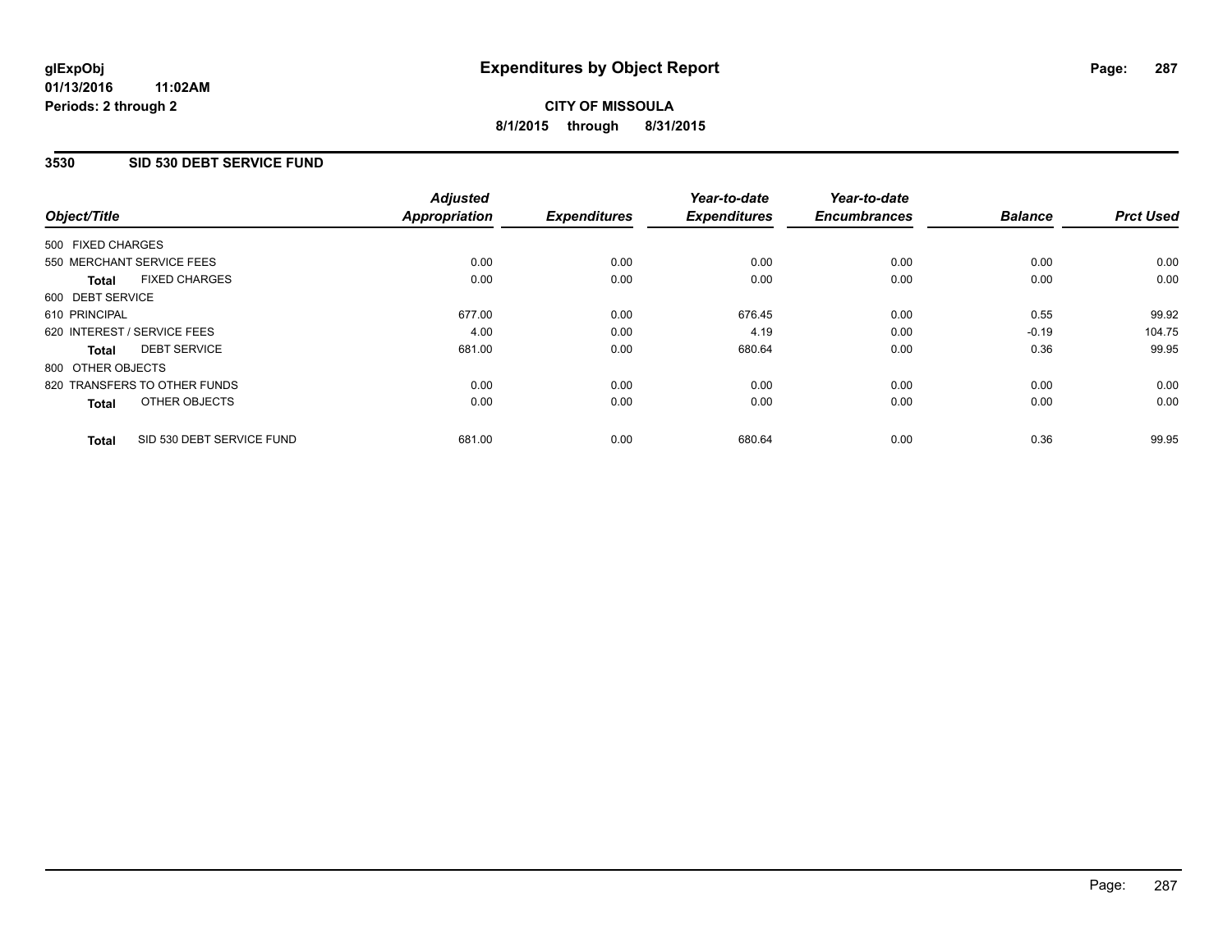### **01/13/2016 11:02AM Periods: 2 through 2**

# **CITY OF MISSOULA 8/1/2015 through 8/31/2015**

### **3530 SID 530 DEBT SERVICE FUND**

| Object/Title      |                              | <b>Adjusted</b><br><b>Appropriation</b> | <b>Expenditures</b> | Year-to-date<br><b>Expenditures</b> | Year-to-date<br><b>Encumbrances</b> | <b>Balance</b> | <b>Prct Used</b> |
|-------------------|------------------------------|-----------------------------------------|---------------------|-------------------------------------|-------------------------------------|----------------|------------------|
|                   |                              |                                         |                     |                                     |                                     |                |                  |
| 500 FIXED CHARGES |                              |                                         |                     |                                     |                                     |                |                  |
|                   | 550 MERCHANT SERVICE FEES    | 0.00                                    | 0.00                | 0.00                                | 0.00                                | 0.00           | 0.00             |
| <b>Total</b>      | <b>FIXED CHARGES</b>         | 0.00                                    | 0.00                | 0.00                                | 0.00                                | 0.00           | 0.00             |
| 600 DEBT SERVICE  |                              |                                         |                     |                                     |                                     |                |                  |
| 610 PRINCIPAL     |                              | 677.00                                  | 0.00                | 676.45                              | 0.00                                | 0.55           | 99.92            |
|                   | 620 INTEREST / SERVICE FEES  | 4.00                                    | 0.00                | 4.19                                | 0.00                                | $-0.19$        | 104.75           |
| Total             | <b>DEBT SERVICE</b>          | 681.00                                  | 0.00                | 680.64                              | 0.00                                | 0.36           | 99.95            |
| 800 OTHER OBJECTS |                              |                                         |                     |                                     |                                     |                |                  |
|                   | 820 TRANSFERS TO OTHER FUNDS | 0.00                                    | 0.00                | 0.00                                | 0.00                                | 0.00           | 0.00             |
| <b>Total</b>      | OTHER OBJECTS                | 0.00                                    | 0.00                | 0.00                                | 0.00                                | 0.00           | 0.00             |
| <b>Total</b>      | SID 530 DEBT SERVICE FUND    | 681.00                                  | 0.00                | 680.64                              | 0.00                                | 0.36           | 99.95            |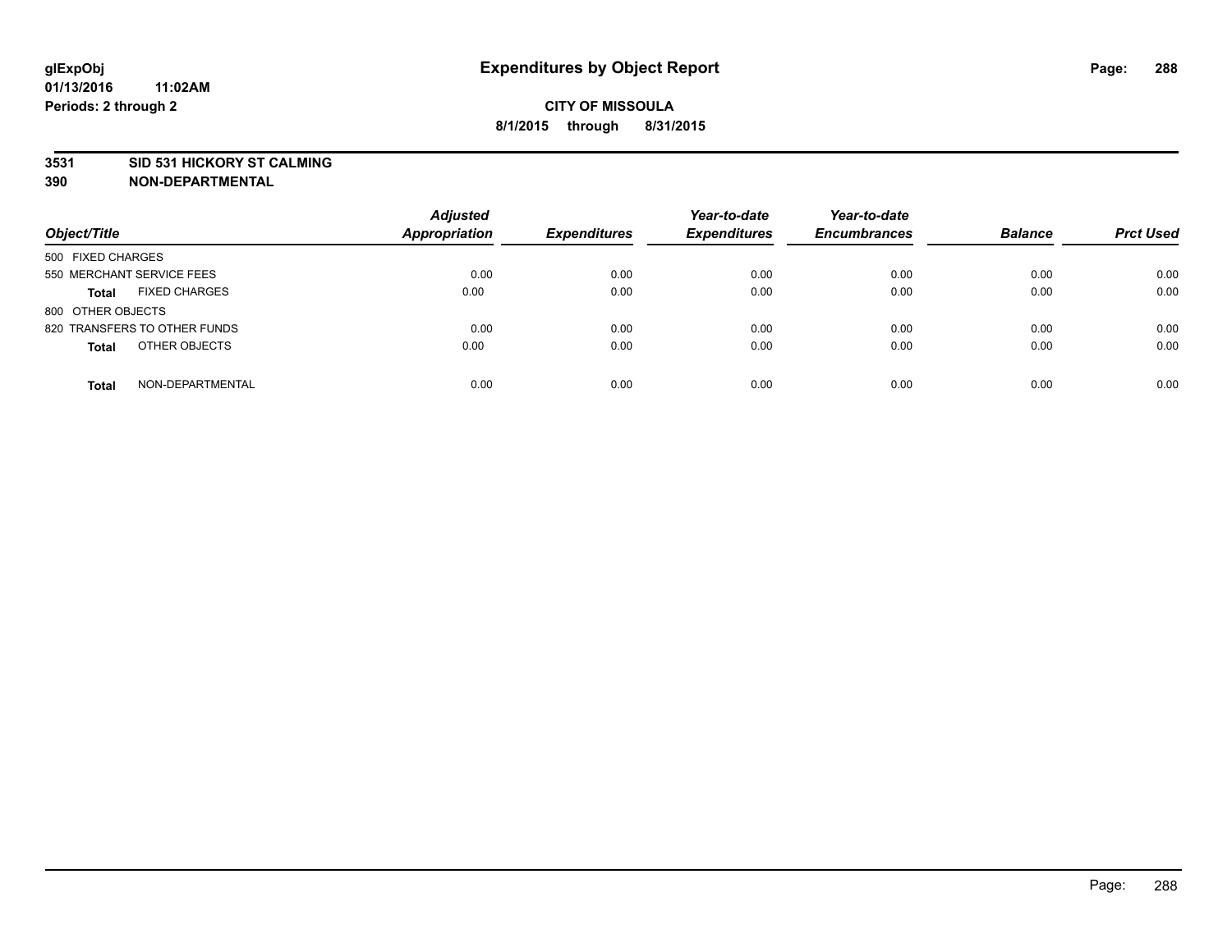### **3531 SID 531 HICKORY ST CALMING**

| Object/Title                         | <b>Adjusted</b><br><b>Appropriation</b> | <b>Expenditures</b> | Year-to-date<br><b>Expenditures</b> | Year-to-date<br><b>Encumbrances</b> | <b>Balance</b> | <b>Prct Used</b> |
|--------------------------------------|-----------------------------------------|---------------------|-------------------------------------|-------------------------------------|----------------|------------------|
| 500 FIXED CHARGES                    |                                         |                     |                                     |                                     |                |                  |
| 550 MERCHANT SERVICE FEES            | 0.00                                    | 0.00                | 0.00                                | 0.00                                | 0.00           | 0.00             |
| <b>FIXED CHARGES</b><br><b>Total</b> | 0.00                                    | 0.00                | 0.00                                | 0.00                                | 0.00           | 0.00             |
| 800 OTHER OBJECTS                    |                                         |                     |                                     |                                     |                |                  |
| 820 TRANSFERS TO OTHER FUNDS         | 0.00                                    | 0.00                | 0.00                                | 0.00                                | 0.00           | 0.00             |
| OTHER OBJECTS<br><b>Total</b>        | 0.00                                    | 0.00                | 0.00                                | 0.00                                | 0.00           | 0.00             |
| NON-DEPARTMENTAL<br><b>Total</b>     | 0.00                                    | 0.00                | 0.00                                | 0.00                                | 0.00           | 0.00             |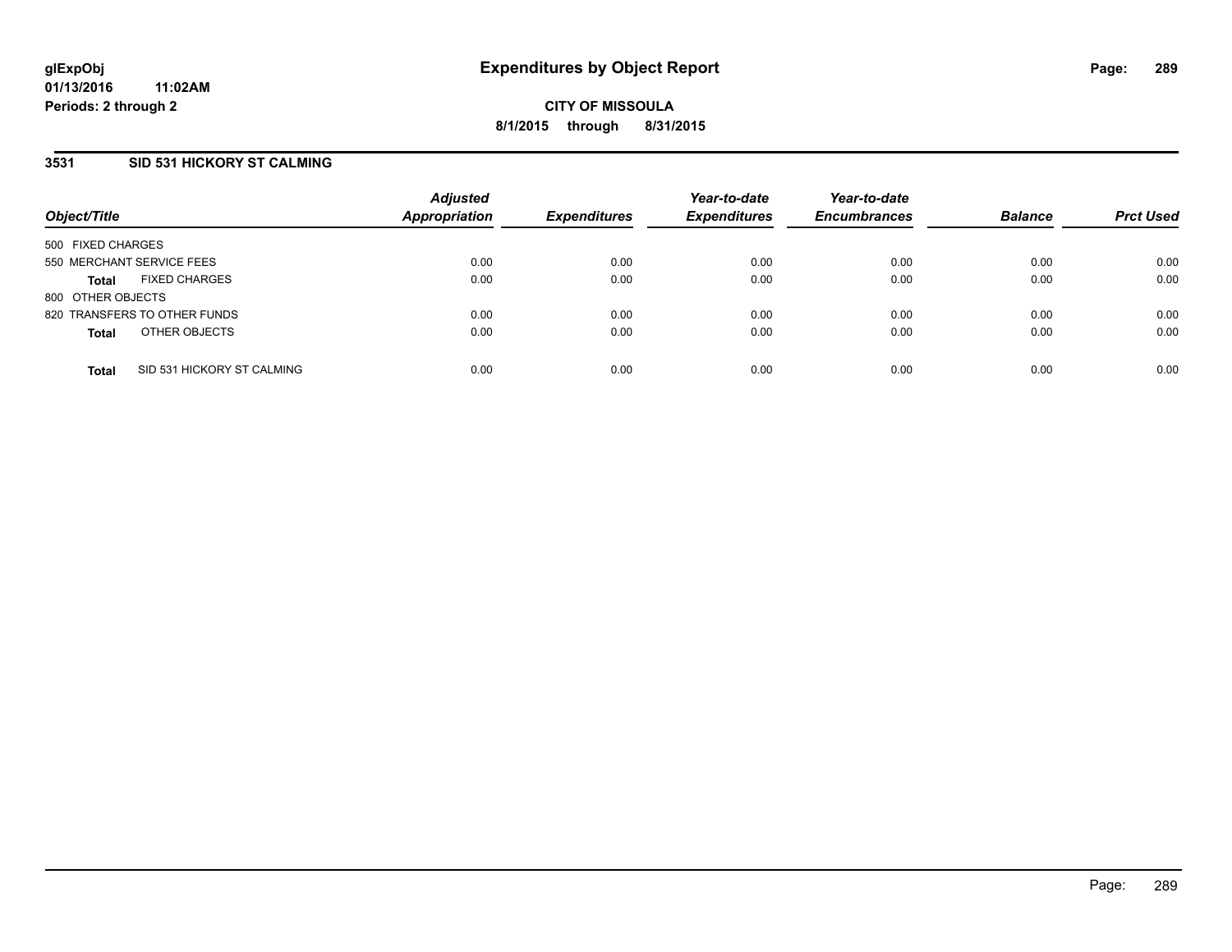# **3531 SID 531 HICKORY ST CALMING**

| Object/Title              |                              | <b>Adjusted</b><br><b>Appropriation</b> | <b>Expenditures</b> | Year-to-date<br><b>Expenditures</b> | Year-to-date<br><b>Encumbrances</b> | <b>Balance</b> | <b>Prct Used</b> |
|---------------------------|------------------------------|-----------------------------------------|---------------------|-------------------------------------|-------------------------------------|----------------|------------------|
| 500 FIXED CHARGES         |                              |                                         |                     |                                     |                                     |                |                  |
| 550 MERCHANT SERVICE FEES |                              | 0.00                                    | 0.00                | 0.00                                | 0.00                                | 0.00           | 0.00             |
| <b>Total</b>              | <b>FIXED CHARGES</b>         | 0.00                                    | 0.00                | 0.00                                | 0.00                                | 0.00           | 0.00             |
| 800 OTHER OBJECTS         |                              |                                         |                     |                                     |                                     |                |                  |
|                           | 820 TRANSFERS TO OTHER FUNDS | 0.00                                    | 0.00                | 0.00                                | 0.00                                | 0.00           | 0.00             |
| <b>Total</b>              | OTHER OBJECTS                | 0.00                                    | 0.00                | 0.00                                | 0.00                                | 0.00           | 0.00             |
| <b>Total</b>              | SID 531 HICKORY ST CALMING   | 0.00                                    | 0.00                | 0.00                                | 0.00                                | 0.00           | 0.00             |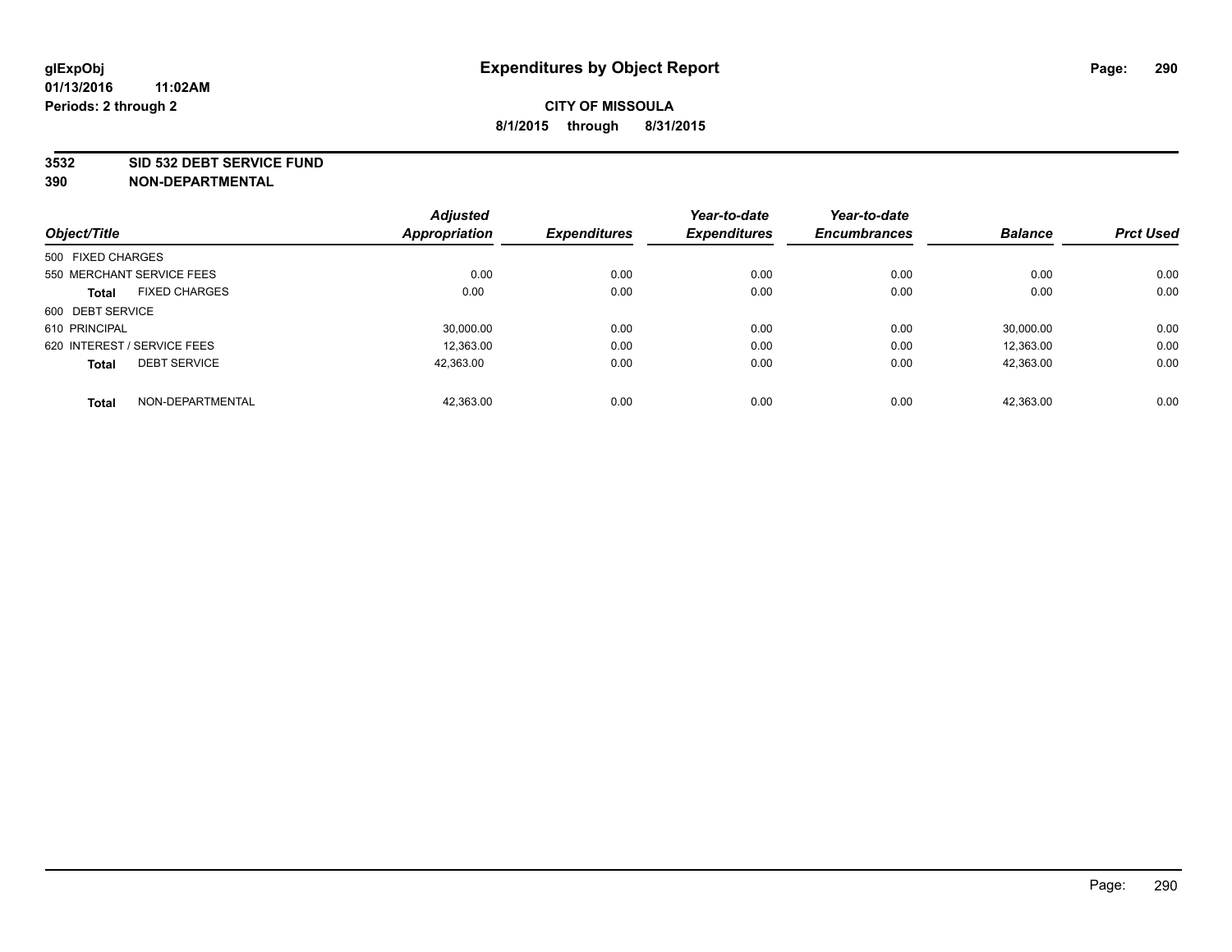#### **3532 SID 532 DEBT SERVICE FUND**

| Object/Title                |                      | <b>Adjusted</b><br><b>Appropriation</b> | <b>Expenditures</b> | Year-to-date<br><b>Expenditures</b> | Year-to-date<br><b>Encumbrances</b> | <b>Balance</b> | <b>Prct Used</b> |
|-----------------------------|----------------------|-----------------------------------------|---------------------|-------------------------------------|-------------------------------------|----------------|------------------|
|                             |                      |                                         |                     |                                     |                                     |                |                  |
| 500 FIXED CHARGES           |                      |                                         |                     |                                     |                                     |                |                  |
| 550 MERCHANT SERVICE FEES   |                      | 0.00                                    | 0.00                | 0.00                                | 0.00                                | 0.00           | 0.00             |
| <b>Total</b>                | <b>FIXED CHARGES</b> | 0.00                                    | 0.00                | 0.00                                | 0.00                                | 0.00           | 0.00             |
| 600 DEBT SERVICE            |                      |                                         |                     |                                     |                                     |                |                  |
| 610 PRINCIPAL               |                      | 30.000.00                               | 0.00                | 0.00                                | 0.00                                | 30.000.00      | 0.00             |
| 620 INTEREST / SERVICE FEES |                      | 12,363.00                               | 0.00                | 0.00                                | 0.00                                | 12,363.00      | 0.00             |
| <b>Total</b>                | <b>DEBT SERVICE</b>  | 42.363.00                               | 0.00                | 0.00                                | 0.00                                | 42.363.00      | 0.00             |
| <b>Total</b>                | NON-DEPARTMENTAL     | 42,363.00                               | 0.00                | 0.00                                | 0.00                                | 42,363.00      | 0.00             |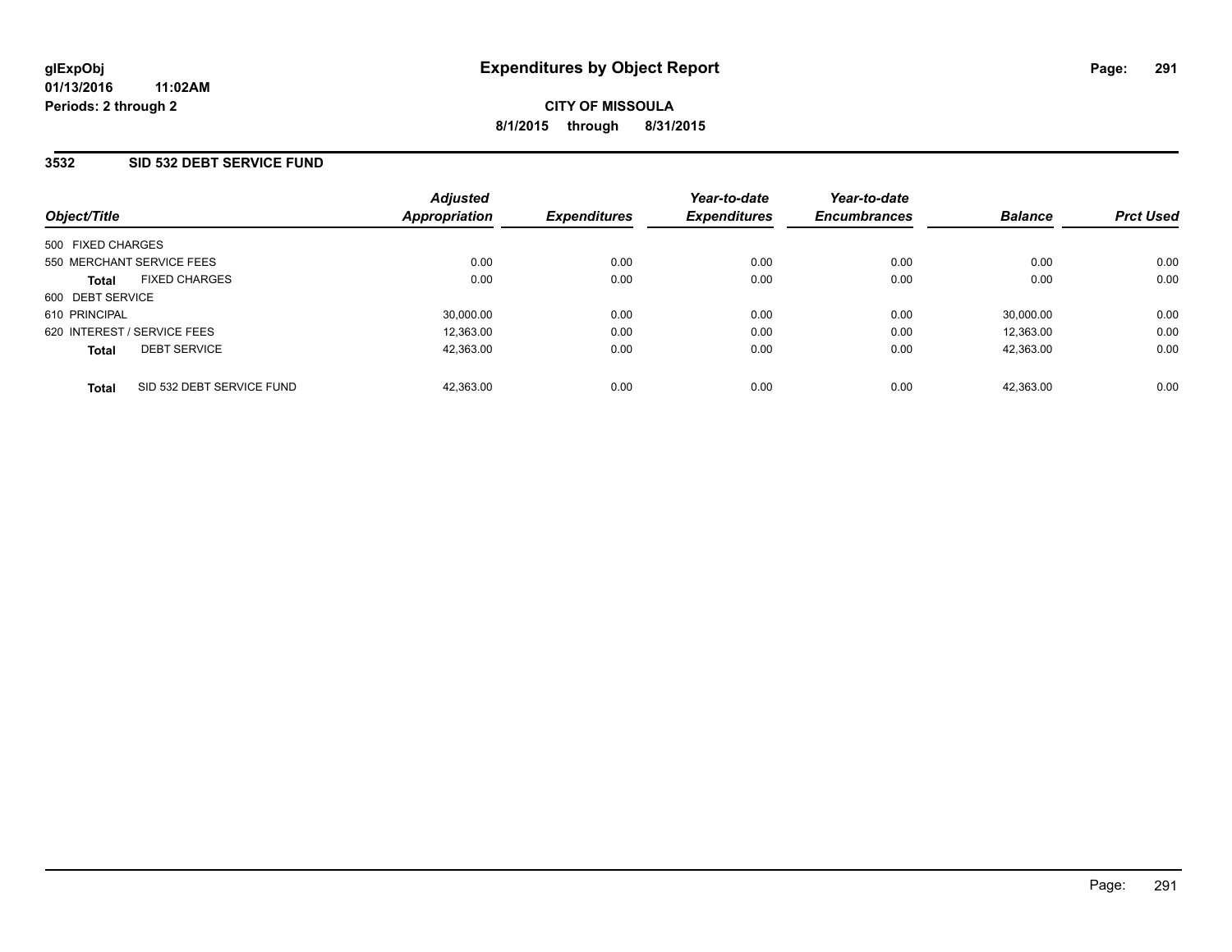## **3532 SID 532 DEBT SERVICE FUND**

| Object/Title                              | <b>Adjusted</b><br>Appropriation | <b>Expenditures</b> | Year-to-date<br><b>Expenditures</b> | Year-to-date<br><b>Encumbrances</b> | <b>Balance</b> | <b>Prct Used</b> |
|-------------------------------------------|----------------------------------|---------------------|-------------------------------------|-------------------------------------|----------------|------------------|
| 500 FIXED CHARGES                         |                                  |                     |                                     |                                     |                |                  |
| 550 MERCHANT SERVICE FEES                 | 0.00                             | 0.00                | 0.00                                | 0.00                                | 0.00           | 0.00             |
| <b>FIXED CHARGES</b><br><b>Total</b>      | 0.00                             | 0.00                | 0.00                                | 0.00                                | 0.00           | 0.00             |
| 600 DEBT SERVICE                          |                                  |                     |                                     |                                     |                |                  |
| 610 PRINCIPAL                             | 30,000.00                        | 0.00                | 0.00                                | 0.00                                | 30,000.00      | 0.00             |
| 620 INTEREST / SERVICE FEES               | 12,363.00                        | 0.00                | 0.00                                | 0.00                                | 12,363.00      | 0.00             |
| <b>DEBT SERVICE</b><br><b>Total</b>       | 42,363.00                        | 0.00                | 0.00                                | 0.00                                | 42.363.00      | 0.00             |
| SID 532 DEBT SERVICE FUND<br><b>Total</b> | 42.363.00                        | 0.00                | 0.00                                | 0.00                                | 42.363.00      | 0.00             |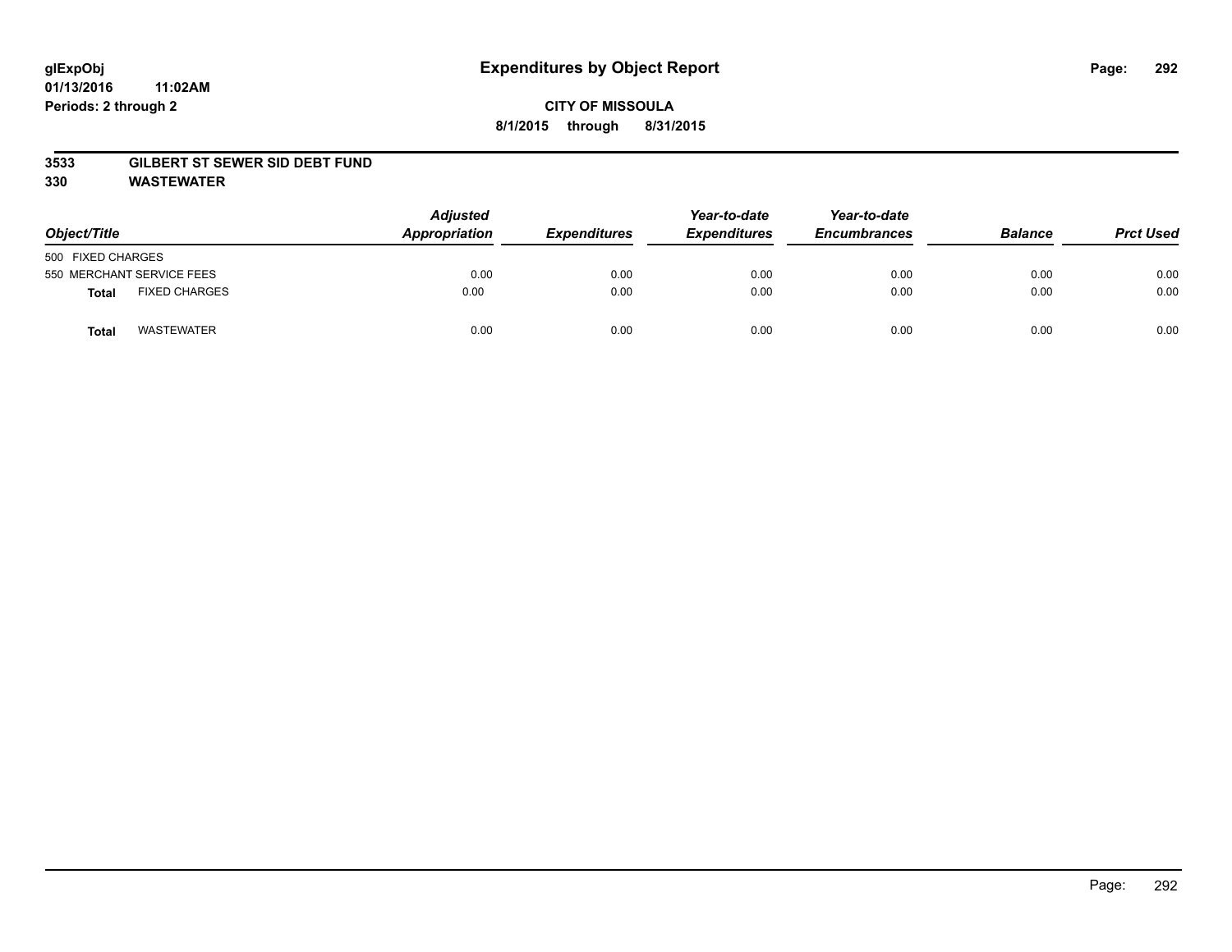### **01/13/2016 11:02AM Periods: 2 through 2**

# **CITY OF MISSOULA 8/1/2015 through 8/31/2015**

### **3533 GILBERT ST SEWER SID DEBT FUND**

**330 WASTEWATER**

| Object/Title                         | <b>Adjusted</b><br>Appropriation | <b>Expenditures</b> | Year-to-date<br><b>Expenditures</b> | Year-to-date<br><b>Encumbrances</b> | <b>Balance</b> | <b>Prct Used</b> |
|--------------------------------------|----------------------------------|---------------------|-------------------------------------|-------------------------------------|----------------|------------------|
| 500 FIXED CHARGES                    |                                  |                     |                                     |                                     |                |                  |
| 550 MERCHANT SERVICE FEES            | 0.00                             | 0.00                | 0.00                                | 0.00                                | 0.00           | 0.00             |
| <b>FIXED CHARGES</b><br><b>Total</b> | 0.00                             | 0.00                | 0.00                                | 0.00                                | 0.00           | 0.00             |
| <b>WASTEWATER</b><br>Total           | 0.00                             | 0.00                | 0.00                                | 0.00                                | 0.00           | 0.00             |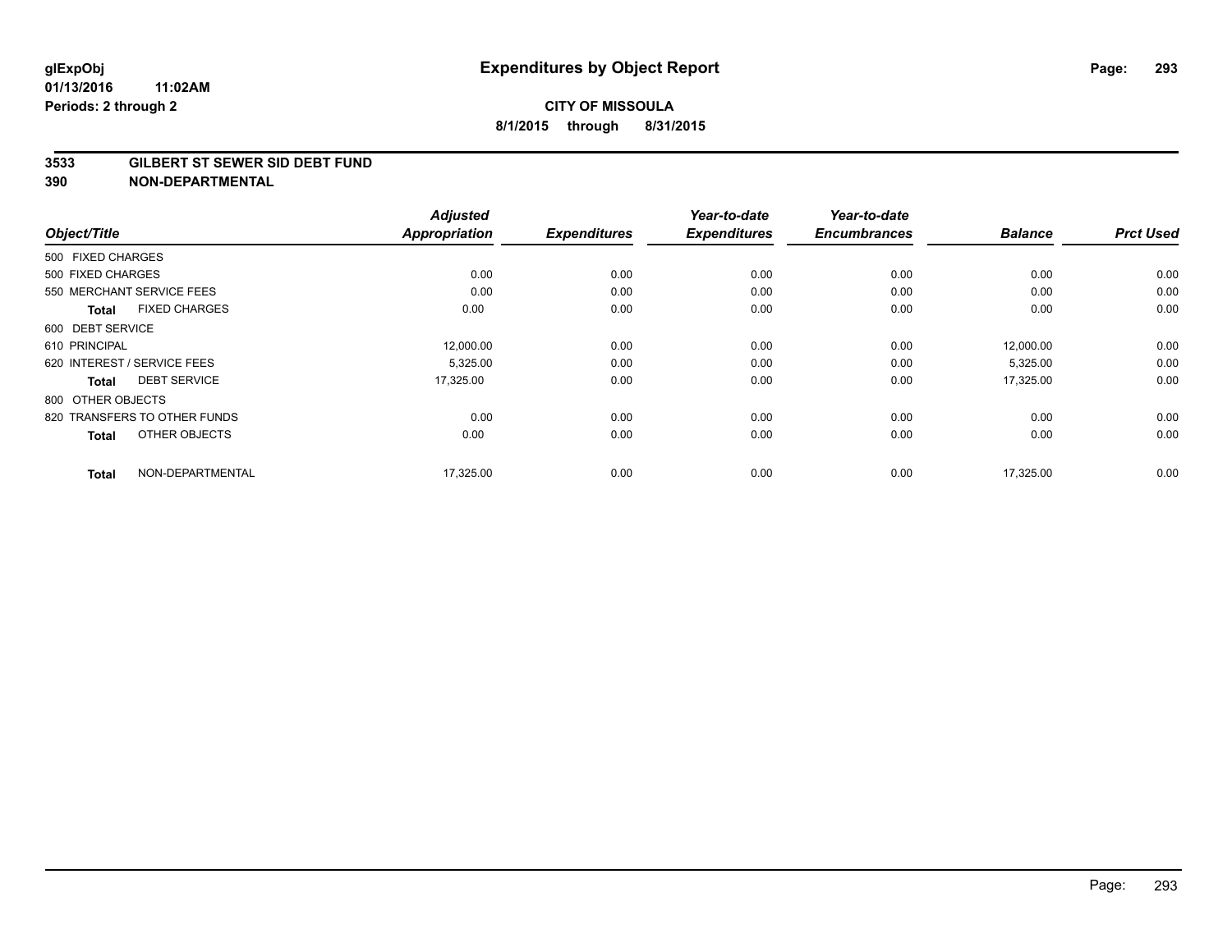#### **3533 GILBERT ST SEWER SID DEBT FUND**

|                                      | <b>Adjusted</b><br><b>Appropriation</b> |                     | Year-to-date        | Year-to-date<br><b>Encumbrances</b> | <b>Balance</b> | <b>Prct Used</b> |
|--------------------------------------|-----------------------------------------|---------------------|---------------------|-------------------------------------|----------------|------------------|
| Object/Title                         |                                         | <b>Expenditures</b> | <b>Expenditures</b> |                                     |                |                  |
| 500 FIXED CHARGES                    |                                         |                     |                     |                                     |                |                  |
| 500 FIXED CHARGES                    | 0.00                                    | 0.00                | 0.00                | 0.00                                | 0.00           | 0.00             |
| 550 MERCHANT SERVICE FEES            | 0.00                                    | 0.00                | 0.00                | 0.00                                | 0.00           | 0.00             |
| <b>FIXED CHARGES</b><br><b>Total</b> | 0.00                                    | 0.00                | 0.00                | 0.00                                | 0.00           | 0.00             |
| 600 DEBT SERVICE                     |                                         |                     |                     |                                     |                |                  |
| 610 PRINCIPAL                        | 12,000.00                               | 0.00                | 0.00                | 0.00                                | 12,000.00      | 0.00             |
| 620 INTEREST / SERVICE FEES          | 5,325.00                                | 0.00                | 0.00                | 0.00                                | 5,325.00       | 0.00             |
| <b>DEBT SERVICE</b><br><b>Total</b>  | 17,325.00                               | 0.00                | 0.00                | 0.00                                | 17,325.00      | 0.00             |
| 800 OTHER OBJECTS                    |                                         |                     |                     |                                     |                |                  |
| 820 TRANSFERS TO OTHER FUNDS         | 0.00                                    | 0.00                | 0.00                | 0.00                                | 0.00           | 0.00             |
| OTHER OBJECTS<br><b>Total</b>        | 0.00                                    | 0.00                | 0.00                | 0.00                                | 0.00           | 0.00             |
| NON-DEPARTMENTAL<br><b>Total</b>     | 17,325.00                               | 0.00                | 0.00                | 0.00                                | 17.325.00      | 0.00             |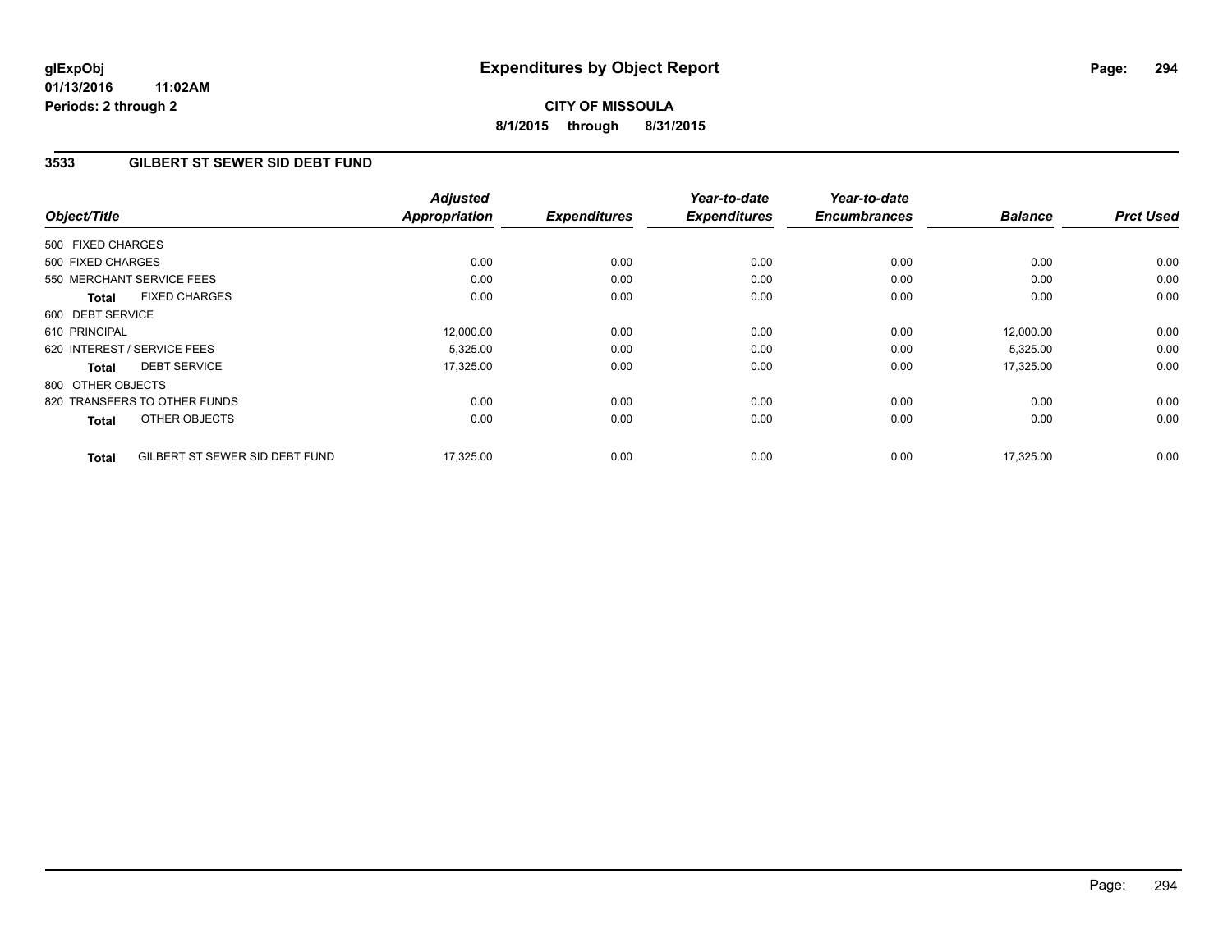**01/13/2016 11:02AM Periods: 2 through 2**

# **CITY OF MISSOULA 8/1/2015 through 8/31/2015**

### **3533 GILBERT ST SEWER SID DEBT FUND**

| Object/Title      |                                | <b>Adjusted</b><br><b>Appropriation</b> | <b>Expenditures</b> | Year-to-date<br><b>Expenditures</b> | Year-to-date<br><b>Encumbrances</b> | <b>Balance</b> | <b>Prct Used</b> |
|-------------------|--------------------------------|-----------------------------------------|---------------------|-------------------------------------|-------------------------------------|----------------|------------------|
| 500 FIXED CHARGES |                                |                                         |                     |                                     |                                     |                |                  |
| 500 FIXED CHARGES |                                | 0.00                                    | 0.00                | 0.00                                | 0.00                                | 0.00           | 0.00             |
|                   | 550 MERCHANT SERVICE FEES      | 0.00                                    | 0.00                | 0.00                                | 0.00                                | 0.00           | 0.00             |
| <b>Total</b>      | <b>FIXED CHARGES</b>           | 0.00                                    | 0.00                | 0.00                                | 0.00                                | 0.00           | 0.00             |
| 600 DEBT SERVICE  |                                |                                         |                     |                                     |                                     |                |                  |
| 610 PRINCIPAL     |                                | 12,000.00                               | 0.00                | 0.00                                | 0.00                                | 12,000.00      | 0.00             |
|                   | 620 INTEREST / SERVICE FEES    | 5,325.00                                | 0.00                | 0.00                                | 0.00                                | 5,325.00       | 0.00             |
| Total             | <b>DEBT SERVICE</b>            | 17,325.00                               | 0.00                | 0.00                                | 0.00                                | 17,325.00      | 0.00             |
| 800 OTHER OBJECTS |                                |                                         |                     |                                     |                                     |                |                  |
|                   | 820 TRANSFERS TO OTHER FUNDS   | 0.00                                    | 0.00                | 0.00                                | 0.00                                | 0.00           | 0.00             |
| <b>Total</b>      | OTHER OBJECTS                  | 0.00                                    | 0.00                | 0.00                                | 0.00                                | 0.00           | 0.00             |
| <b>Total</b>      | GILBERT ST SEWER SID DEBT FUND | 17,325.00                               | 0.00                | 0.00                                | 0.00                                | 17,325.00      | 0.00             |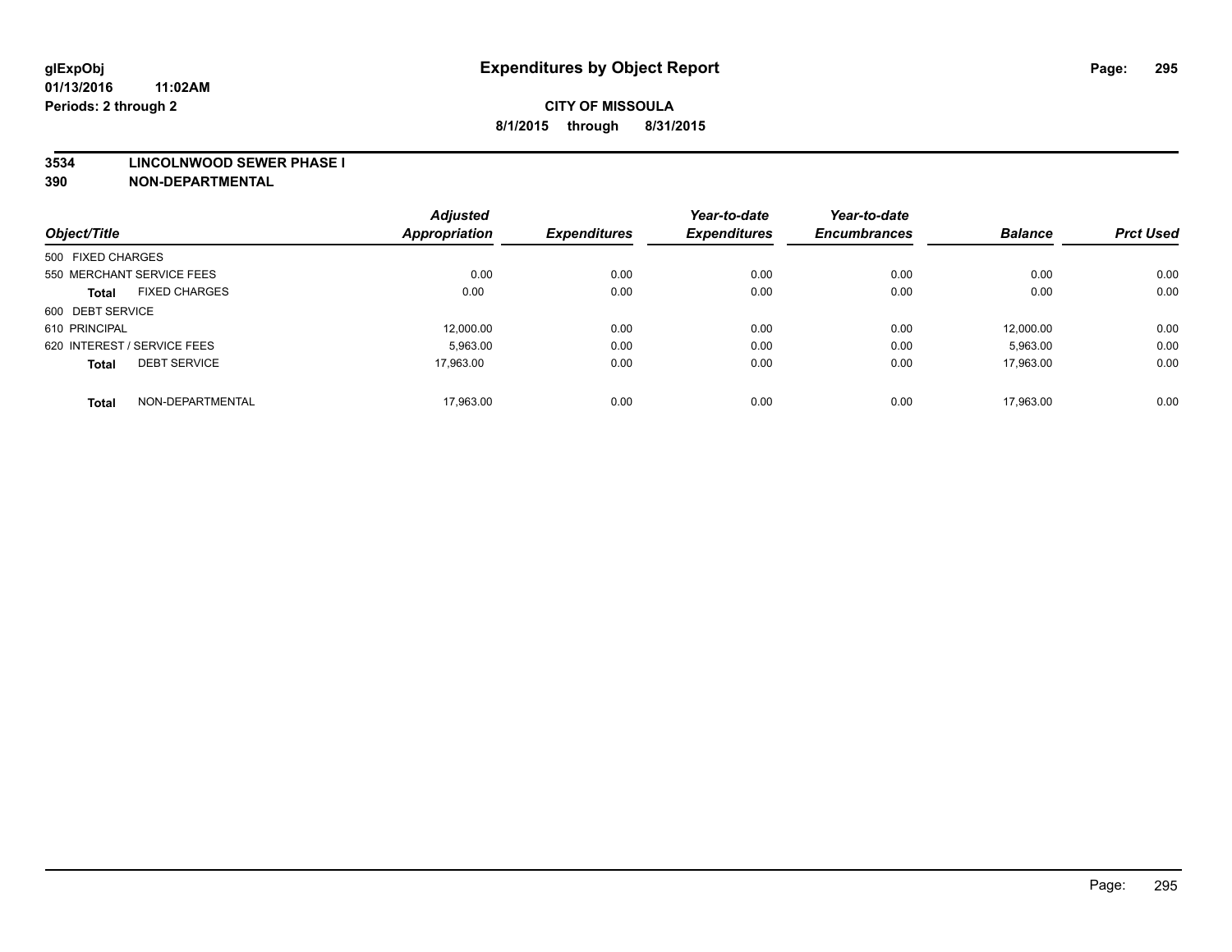#### **3534 LINCOLNWOOD SEWER PHASE I**

|                                      | <b>Adjusted</b><br><b>Appropriation</b> | <b>Expenditures</b> | Year-to-date<br><b>Expenditures</b> | Year-to-date<br><b>Encumbrances</b> | <b>Balance</b> | <b>Prct Used</b> |
|--------------------------------------|-----------------------------------------|---------------------|-------------------------------------|-------------------------------------|----------------|------------------|
| Object/Title                         |                                         |                     |                                     |                                     |                |                  |
| 500 FIXED CHARGES                    |                                         |                     |                                     |                                     |                |                  |
| 550 MERCHANT SERVICE FEES            | 0.00                                    | 0.00                | 0.00                                | 0.00                                | 0.00           | 0.00             |
| <b>FIXED CHARGES</b><br><b>Total</b> | 0.00                                    | 0.00                | 0.00                                | 0.00                                | 0.00           | 0.00             |
| 600 DEBT SERVICE                     |                                         |                     |                                     |                                     |                |                  |
| 610 PRINCIPAL                        | 12.000.00                               | 0.00                | 0.00                                | 0.00                                | 12.000.00      | 0.00             |
| 620 INTEREST / SERVICE FEES          | 5,963.00                                | 0.00                | 0.00                                | 0.00                                | 5,963.00       | 0.00             |
| <b>DEBT SERVICE</b><br><b>Total</b>  | 17.963.00                               | 0.00                | 0.00                                | 0.00                                | 17.963.00      | 0.00             |
| NON-DEPARTMENTAL<br><b>Total</b>     | 17.963.00                               | 0.00                | 0.00                                | 0.00                                | 17.963.00      | 0.00             |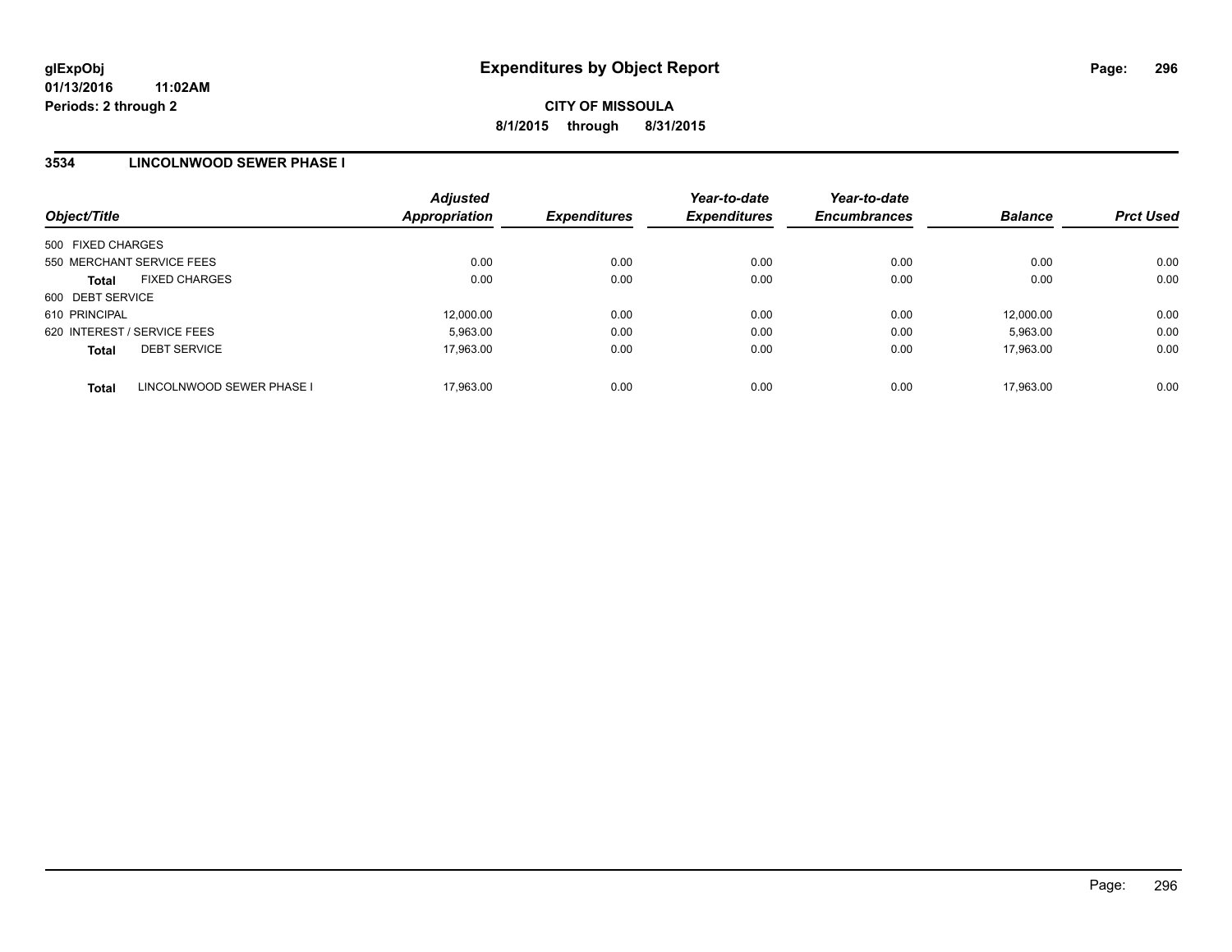### **3534 LINCOLNWOOD SEWER PHASE I**

| Object/Title                |                           | <b>Adjusted</b><br><b>Appropriation</b> | <b>Expenditures</b> | Year-to-date<br><b>Expenditures</b> | Year-to-date<br><b>Encumbrances</b> | <b>Balance</b> | <b>Prct Used</b> |
|-----------------------------|---------------------------|-----------------------------------------|---------------------|-------------------------------------|-------------------------------------|----------------|------------------|
| 500 FIXED CHARGES           |                           |                                         |                     |                                     |                                     |                |                  |
| 550 MERCHANT SERVICE FEES   |                           | 0.00                                    | 0.00                | 0.00                                | 0.00                                | 0.00           | 0.00             |
| <b>Total</b>                | <b>FIXED CHARGES</b>      | 0.00                                    | 0.00                | 0.00                                | 0.00                                | 0.00           | 0.00             |
| 600 DEBT SERVICE            |                           |                                         |                     |                                     |                                     |                |                  |
| 610 PRINCIPAL               |                           | 12.000.00                               | 0.00                | 0.00                                | 0.00                                | 12,000.00      | 0.00             |
| 620 INTEREST / SERVICE FEES |                           | 5.963.00                                | 0.00                | 0.00                                | 0.00                                | 5,963.00       | 0.00             |
| <b>Total</b>                | <b>DEBT SERVICE</b>       | 17.963.00                               | 0.00                | 0.00                                | 0.00                                | 17.963.00      | 0.00             |
| <b>Total</b>                | LINCOLNWOOD SEWER PHASE I | 17.963.00                               | 0.00                | 0.00                                | 0.00                                | 17.963.00      | 0.00             |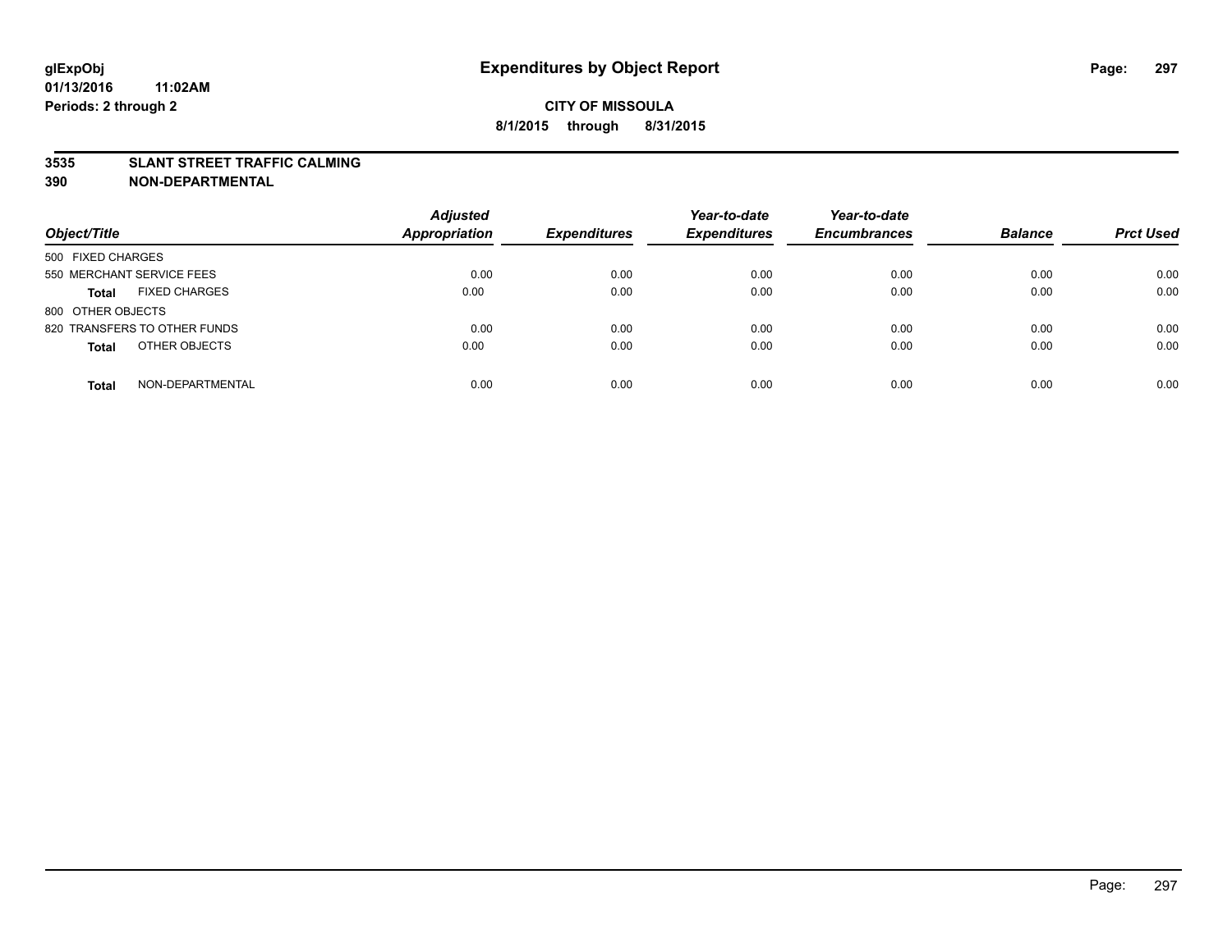### **3535 SLANT STREET TRAFFIC CALMING**

| Object/Title                         | <b>Adjusted</b><br><b>Appropriation</b> | <b>Expenditures</b> | Year-to-date<br><b>Expenditures</b> | Year-to-date<br><b>Encumbrances</b> | <b>Balance</b> | <b>Prct Used</b> |
|--------------------------------------|-----------------------------------------|---------------------|-------------------------------------|-------------------------------------|----------------|------------------|
|                                      |                                         |                     |                                     |                                     |                |                  |
| 500 FIXED CHARGES                    |                                         |                     |                                     |                                     |                |                  |
| 550 MERCHANT SERVICE FEES            | 0.00                                    | 0.00                | 0.00                                | 0.00                                | 0.00           | 0.00             |
| <b>FIXED CHARGES</b><br><b>Total</b> | 0.00                                    | 0.00                | 0.00                                | 0.00                                | 0.00           | 0.00             |
| 800 OTHER OBJECTS                    |                                         |                     |                                     |                                     |                |                  |
| 820 TRANSFERS TO OTHER FUNDS         | 0.00                                    | 0.00                | 0.00                                | 0.00                                | 0.00           | 0.00             |
| OTHER OBJECTS<br><b>Total</b>        | 0.00                                    | 0.00                | 0.00                                | 0.00                                | 0.00           | 0.00             |
|                                      |                                         |                     |                                     |                                     |                |                  |
| NON-DEPARTMENTAL<br><b>Total</b>     | 0.00                                    | 0.00                | 0.00                                | 0.00                                | 0.00           | 0.00             |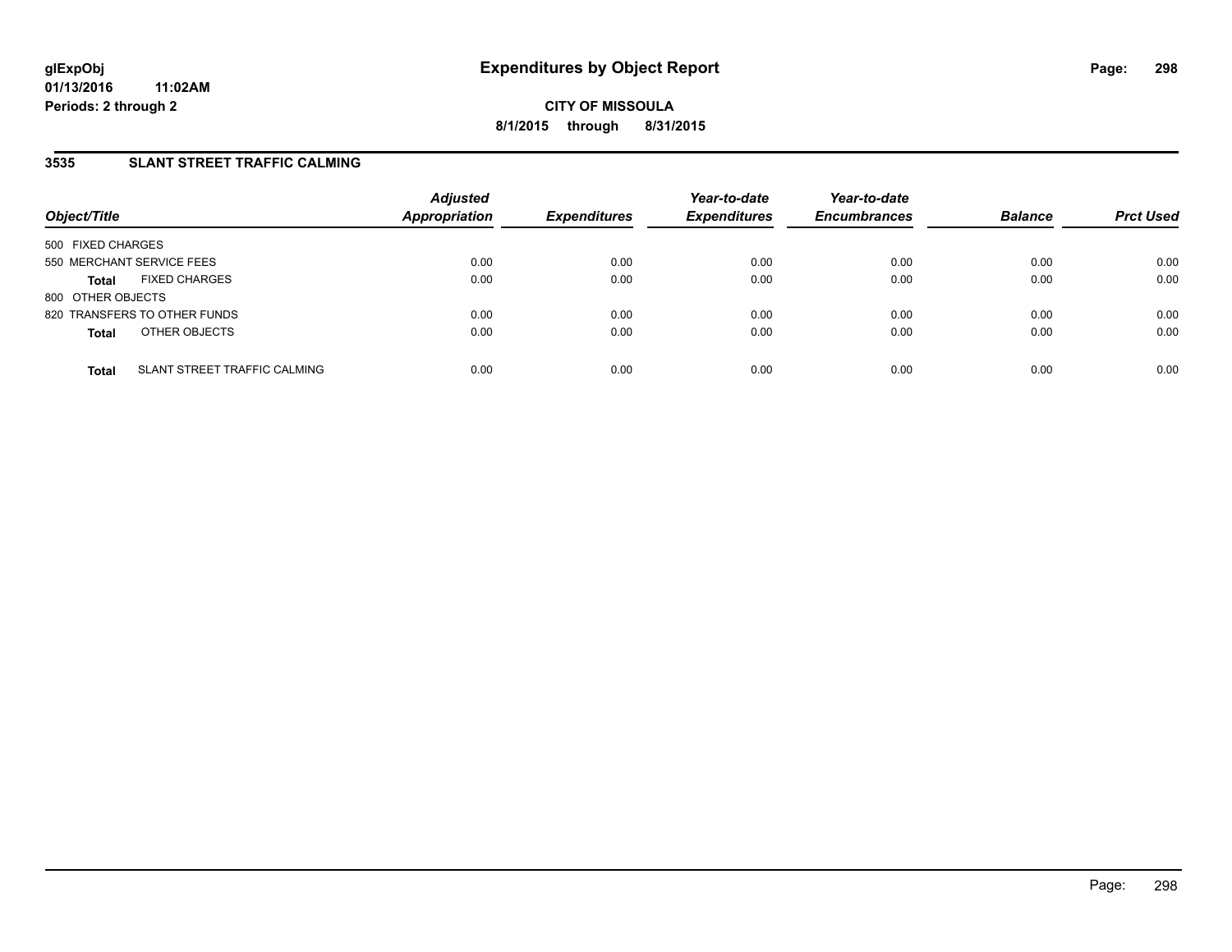## **3535 SLANT STREET TRAFFIC CALMING**

| Object/Title                                 | <b>Adjusted</b><br><b>Appropriation</b> | <b>Expenditures</b> | Year-to-date<br><b>Expenditures</b> | Year-to-date<br><b>Encumbrances</b> | <b>Balance</b> | <b>Prct Used</b> |
|----------------------------------------------|-----------------------------------------|---------------------|-------------------------------------|-------------------------------------|----------------|------------------|
| 500 FIXED CHARGES                            |                                         |                     |                                     |                                     |                |                  |
| 550 MERCHANT SERVICE FEES                    | 0.00                                    | 0.00                | 0.00                                | 0.00                                | 0.00           | 0.00             |
| <b>FIXED CHARGES</b><br><b>Total</b>         | 0.00                                    | 0.00                | 0.00                                | 0.00                                | 0.00           | 0.00             |
| 800 OTHER OBJECTS                            |                                         |                     |                                     |                                     |                |                  |
| 820 TRANSFERS TO OTHER FUNDS                 | 0.00                                    | 0.00                | 0.00                                | 0.00                                | 0.00           | 0.00             |
| OTHER OBJECTS<br><b>Total</b>                | 0.00                                    | 0.00                | 0.00                                | 0.00                                | 0.00           | 0.00             |
| SLANT STREET TRAFFIC CALMING<br><b>Total</b> | 0.00                                    | 0.00                | 0.00                                | 0.00                                | 0.00           | 0.00             |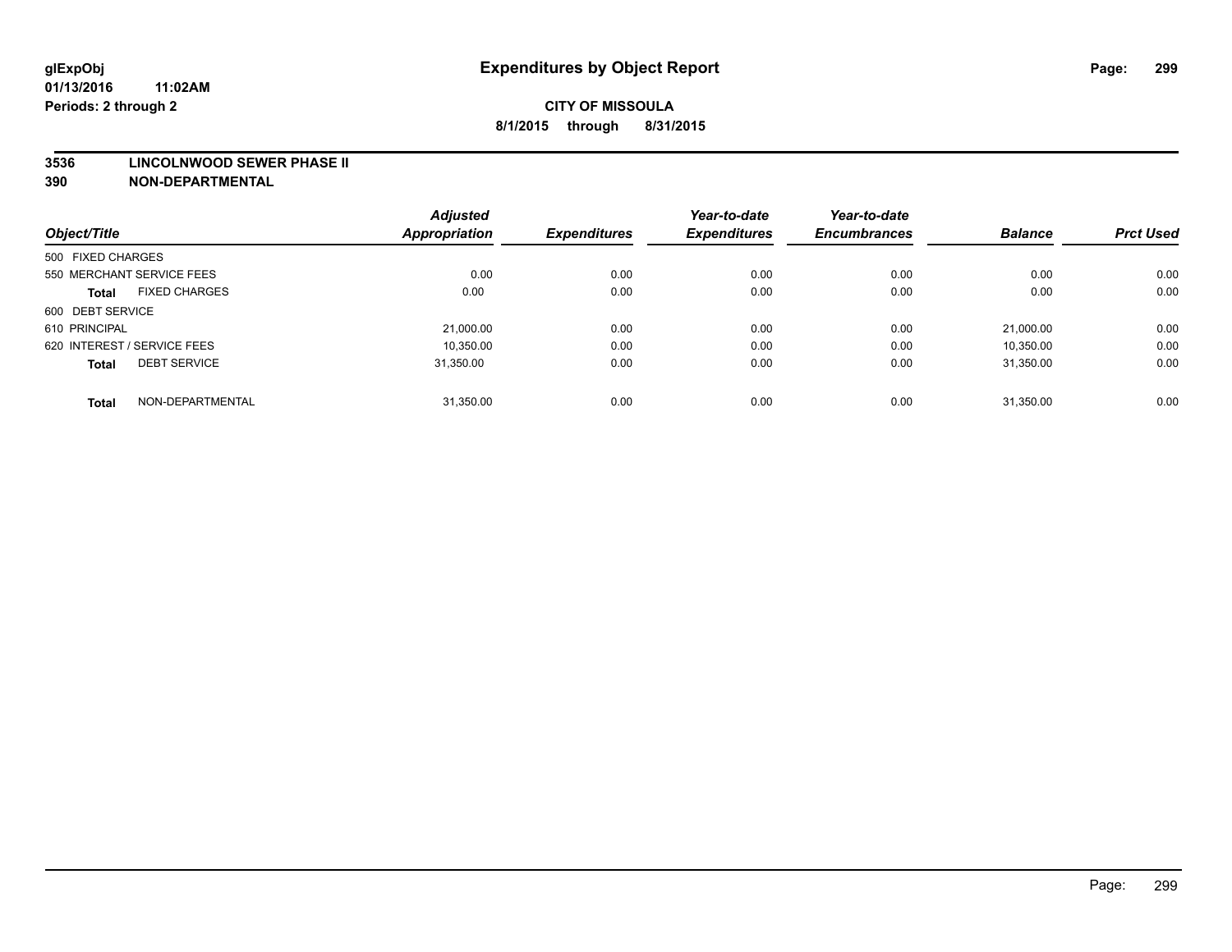#### **3536 LINCOLNWOOD SEWER PHASE II**

| Object/Title                         | <b>Adjusted</b><br><b>Appropriation</b> | <b>Expenditures</b> | Year-to-date<br><b>Expenditures</b> | Year-to-date<br><b>Encumbrances</b> | <b>Balance</b> | <b>Prct Used</b> |
|--------------------------------------|-----------------------------------------|---------------------|-------------------------------------|-------------------------------------|----------------|------------------|
|                                      |                                         |                     |                                     |                                     |                |                  |
| 500 FIXED CHARGES                    |                                         |                     |                                     |                                     |                |                  |
| 550 MERCHANT SERVICE FEES            | 0.00                                    | 0.00                | 0.00                                | 0.00                                | 0.00           | 0.00             |
| <b>FIXED CHARGES</b><br><b>Total</b> | 0.00                                    | 0.00                | 0.00                                | 0.00                                | 0.00           | 0.00             |
| 600 DEBT SERVICE                     |                                         |                     |                                     |                                     |                |                  |
| 610 PRINCIPAL                        | 21.000.00                               | 0.00                | 0.00                                | 0.00                                | 21.000.00      | 0.00             |
| 620 INTEREST / SERVICE FEES          | 10,350.00                               | 0.00                | 0.00                                | 0.00                                | 10,350.00      | 0.00             |
| <b>DEBT SERVICE</b><br><b>Total</b>  | 31.350.00                               | 0.00                | 0.00                                | 0.00                                | 31.350.00      | 0.00             |
| NON-DEPARTMENTAL<br><b>Total</b>     | 31,350.00                               | 0.00                | 0.00                                | 0.00                                | 31,350.00      | 0.00             |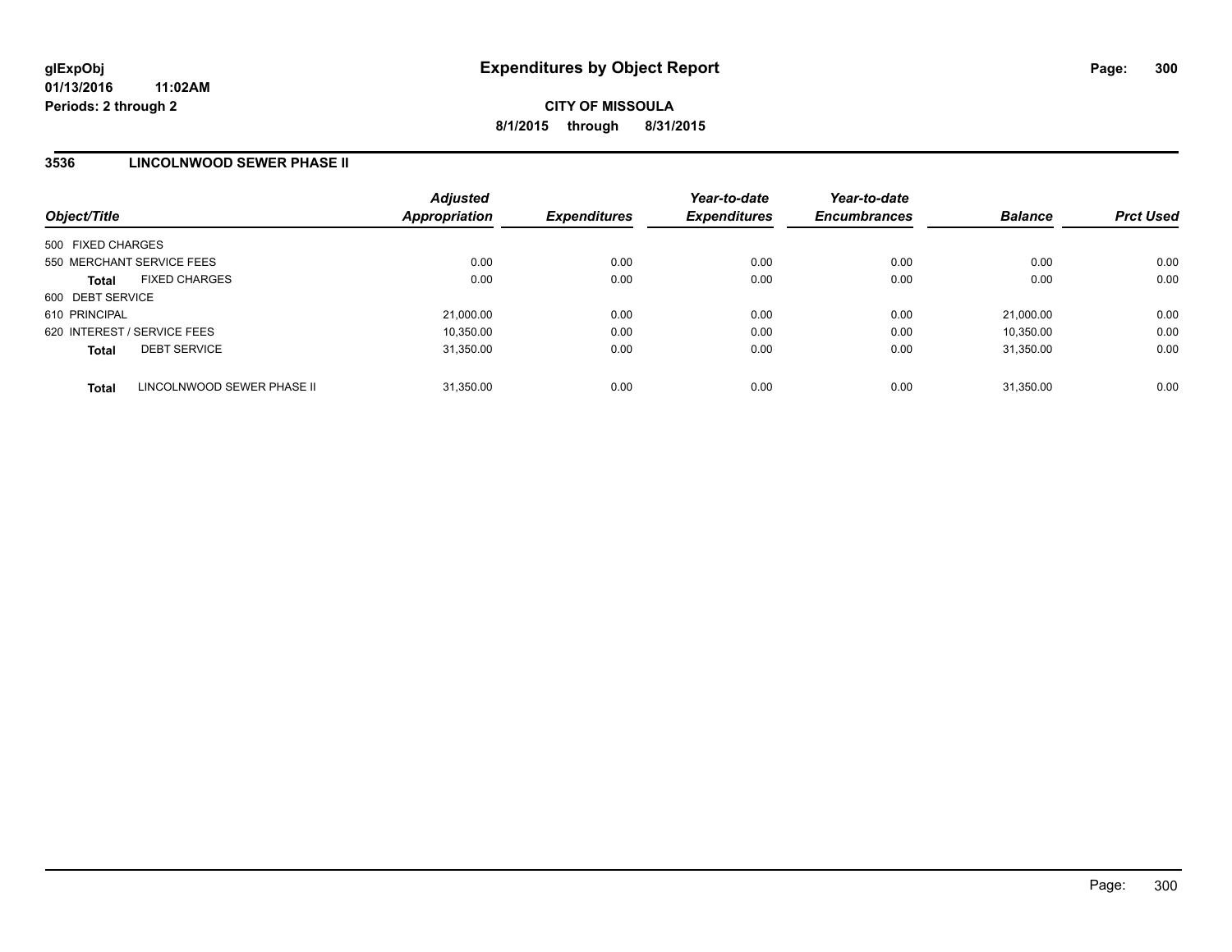### **3536 LINCOLNWOOD SEWER PHASE II**

| Object/Title                               | <b>Adjusted</b><br><b>Appropriation</b> | <b>Expenditures</b> | Year-to-date<br><b>Expenditures</b> | Year-to-date<br><b>Encumbrances</b> | <b>Balance</b> | <b>Prct Used</b> |
|--------------------------------------------|-----------------------------------------|---------------------|-------------------------------------|-------------------------------------|----------------|------------------|
| 500 FIXED CHARGES                          |                                         |                     |                                     |                                     |                |                  |
| 550 MERCHANT SERVICE FEES                  | 0.00                                    | 0.00                | 0.00                                | 0.00                                | 0.00           | 0.00             |
| <b>FIXED CHARGES</b><br><b>Total</b>       | 0.00                                    | 0.00                | 0.00                                | 0.00                                | 0.00           | 0.00             |
| 600 DEBT SERVICE                           |                                         |                     |                                     |                                     |                |                  |
| 610 PRINCIPAL                              | 21,000.00                               | 0.00                | 0.00                                | 0.00                                | 21.000.00      | 0.00             |
| 620 INTEREST / SERVICE FEES                | 10,350.00                               | 0.00                | 0.00                                | 0.00                                | 10,350.00      | 0.00             |
| <b>DEBT SERVICE</b><br><b>Total</b>        | 31.350.00                               | 0.00                | 0.00                                | 0.00                                | 31.350.00      | 0.00             |
| LINCOLNWOOD SEWER PHASE II<br><b>Total</b> | 31.350.00                               | 0.00                | 0.00                                | 0.00                                | 31.350.00      | 0.00             |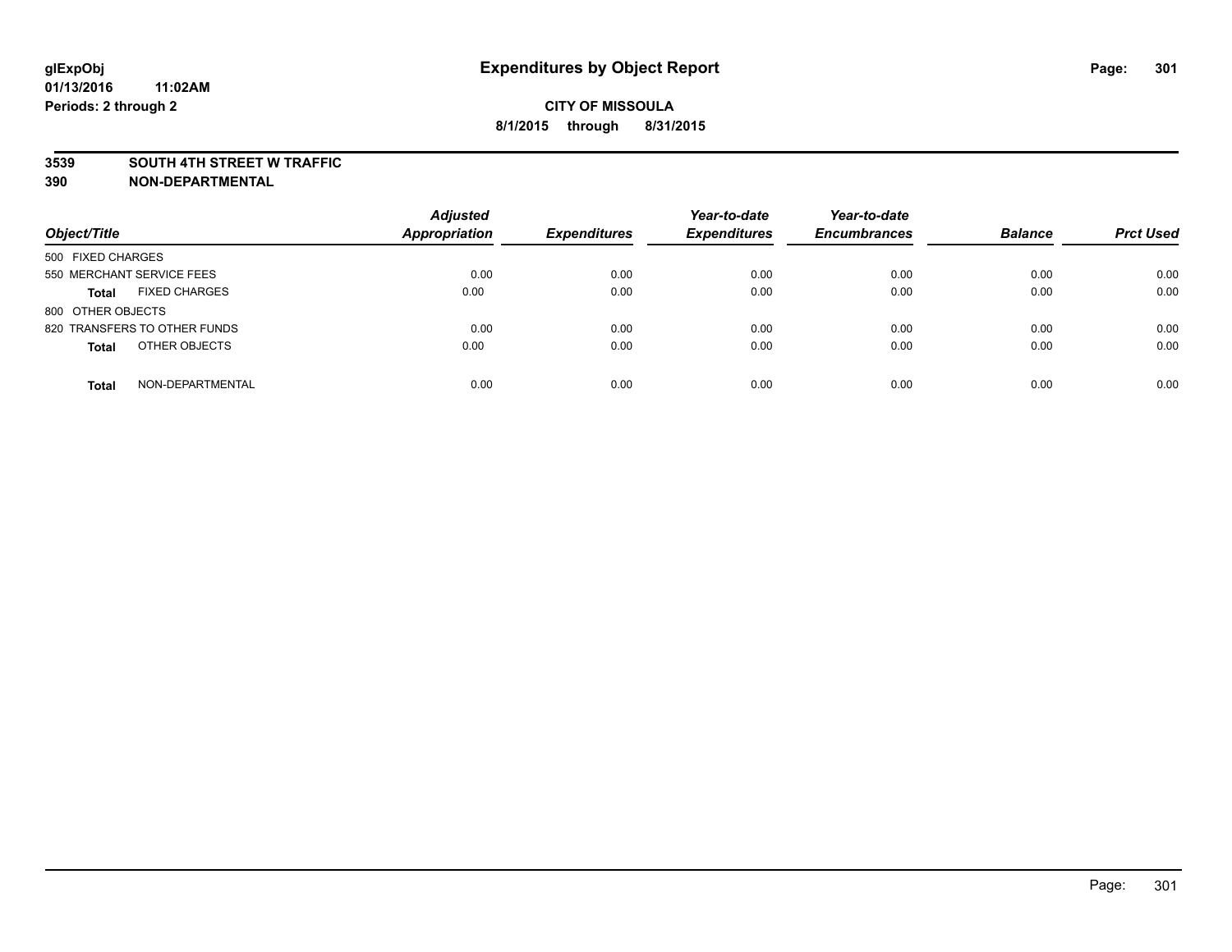### **3539 SOUTH 4TH STREET W TRAFFIC**

| Object/Title                         | <b>Adjusted</b><br><b>Appropriation</b> | <b>Expenditures</b> | Year-to-date<br><b>Expenditures</b> | Year-to-date<br><b>Encumbrances</b> | <b>Balance</b> | <b>Prct Used</b> |
|--------------------------------------|-----------------------------------------|---------------------|-------------------------------------|-------------------------------------|----------------|------------------|
| 500 FIXED CHARGES                    |                                         |                     |                                     |                                     |                |                  |
| 550 MERCHANT SERVICE FEES            | 0.00                                    | 0.00                | 0.00                                | 0.00                                | 0.00           | 0.00             |
| <b>FIXED CHARGES</b><br><b>Total</b> | 0.00                                    | 0.00                | 0.00                                | 0.00                                | 0.00           | 0.00             |
| 800 OTHER OBJECTS                    |                                         |                     |                                     |                                     |                |                  |
| 820 TRANSFERS TO OTHER FUNDS         | 0.00                                    | 0.00                | 0.00                                | 0.00                                | 0.00           | 0.00             |
| OTHER OBJECTS<br><b>Total</b>        | 0.00                                    | 0.00                | 0.00                                | 0.00                                | 0.00           | 0.00             |
| NON-DEPARTMENTAL<br><b>Total</b>     | 0.00                                    | 0.00                | 0.00                                | 0.00                                | 0.00           | 0.00             |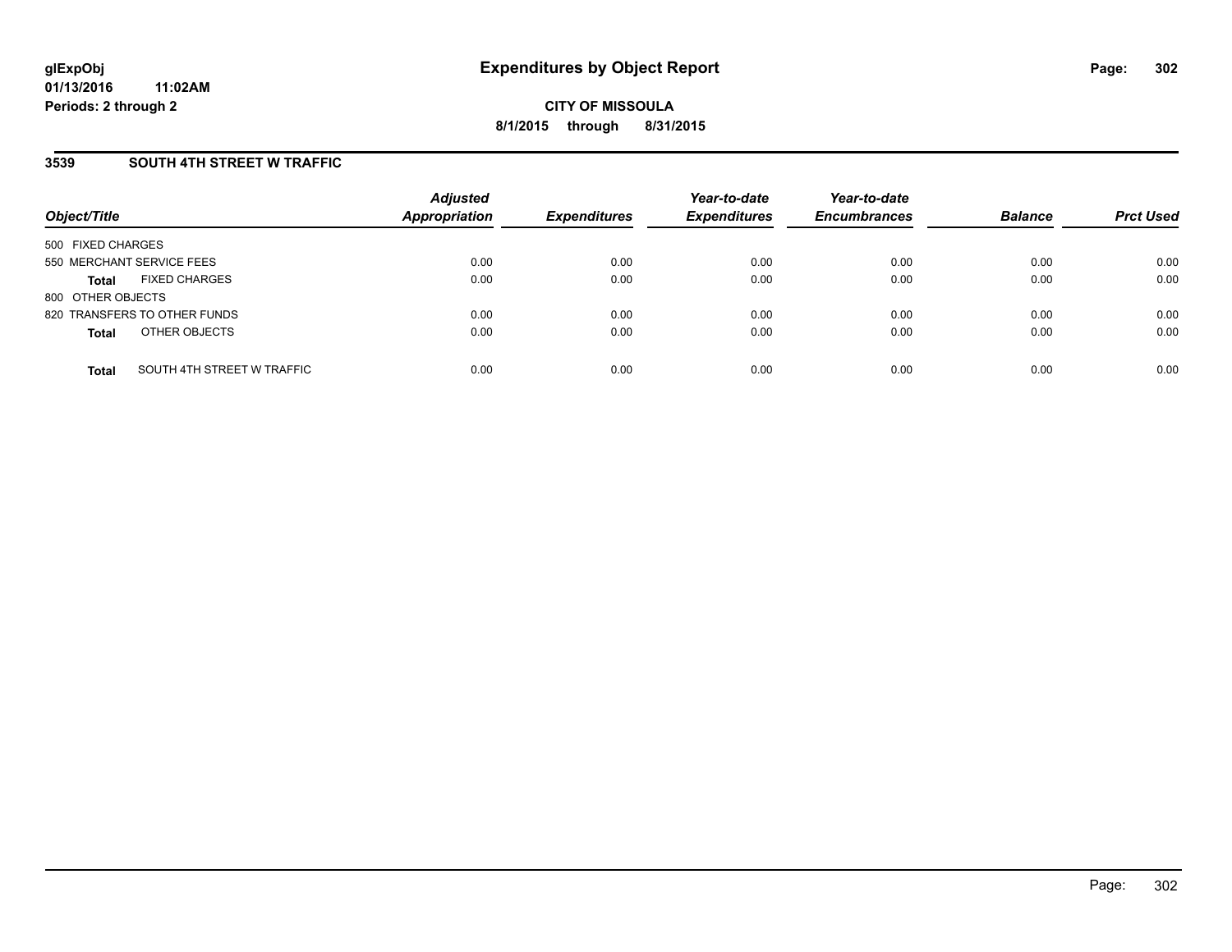## **3539 SOUTH 4TH STREET W TRAFFIC**

| Object/Title              |                              | <b>Adjusted</b><br><b>Appropriation</b> | <b>Expenditures</b> | Year-to-date<br><b>Expenditures</b> | Year-to-date<br><b>Encumbrances</b> | <b>Balance</b> | <b>Prct Used</b> |
|---------------------------|------------------------------|-----------------------------------------|---------------------|-------------------------------------|-------------------------------------|----------------|------------------|
| 500 FIXED CHARGES         |                              |                                         |                     |                                     |                                     |                |                  |
| 550 MERCHANT SERVICE FEES |                              | 0.00                                    | 0.00                | 0.00                                | 0.00                                | 0.00           | 0.00             |
| <b>Total</b>              | <b>FIXED CHARGES</b>         | 0.00                                    | 0.00                | 0.00                                | 0.00                                | 0.00           | 0.00             |
| 800 OTHER OBJECTS         |                              |                                         |                     |                                     |                                     |                |                  |
|                           | 820 TRANSFERS TO OTHER FUNDS | 0.00                                    | 0.00                | 0.00                                | 0.00                                | 0.00           | 0.00             |
| <b>Total</b>              | OTHER OBJECTS                | 0.00                                    | 0.00                | 0.00                                | 0.00                                | 0.00           | 0.00             |
| <b>Total</b>              | SOUTH 4TH STREET W TRAFFIC   | 0.00                                    | 0.00                | 0.00                                | 0.00                                | 0.00           | 0.00             |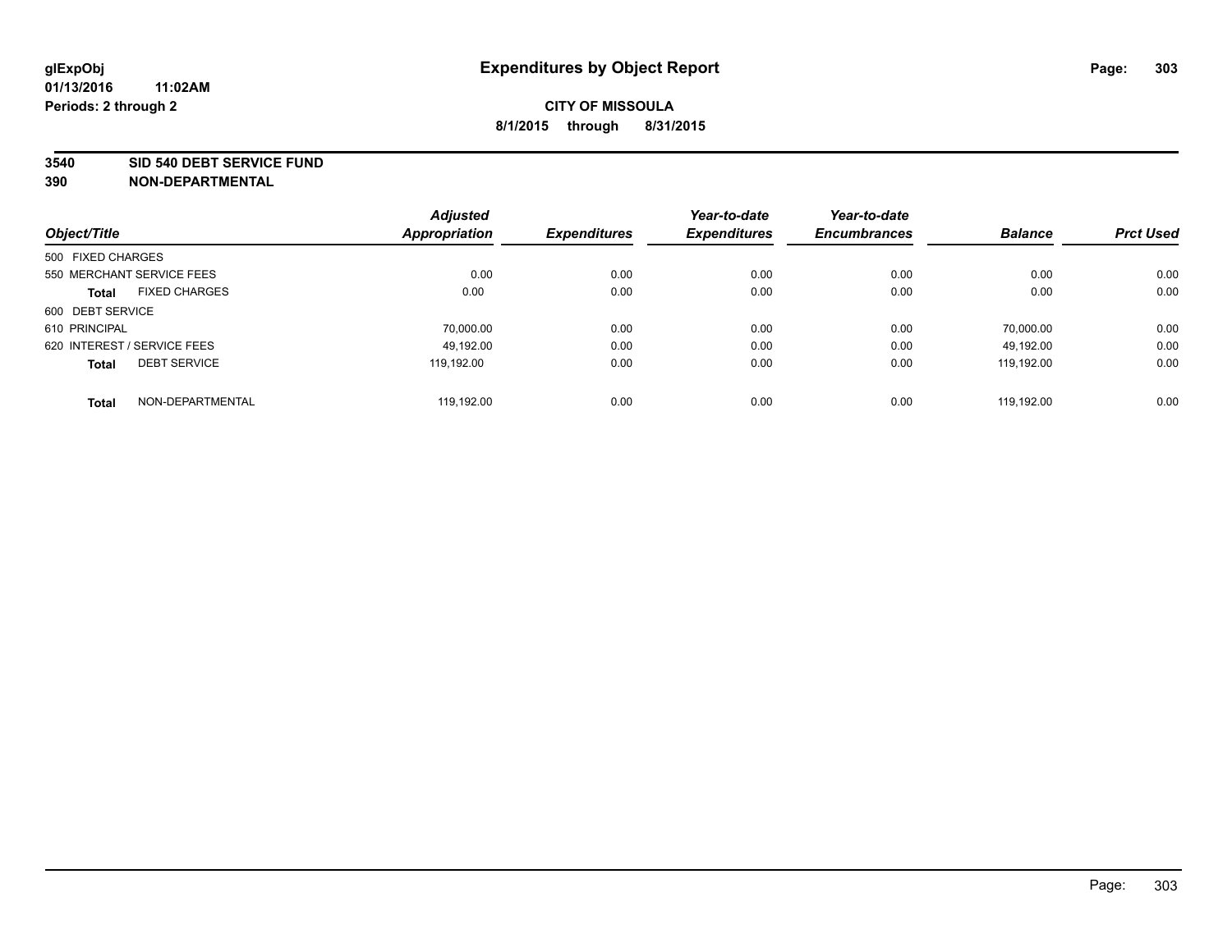#### **3540 SID 540 DEBT SERVICE FUND**

| Object/Title                         | <b>Adjusted</b><br><b>Appropriation</b> | <b>Expenditures</b> | Year-to-date<br><b>Expenditures</b> | Year-to-date<br><b>Encumbrances</b> | <b>Balance</b> | <b>Prct Used</b> |
|--------------------------------------|-----------------------------------------|---------------------|-------------------------------------|-------------------------------------|----------------|------------------|
|                                      |                                         |                     |                                     |                                     |                |                  |
| 500 FIXED CHARGES                    |                                         |                     |                                     |                                     |                |                  |
| 550 MERCHANT SERVICE FEES            | 0.00                                    | 0.00                | 0.00                                | 0.00                                | 0.00           | 0.00             |
| <b>FIXED CHARGES</b><br><b>Total</b> | 0.00                                    | 0.00                | 0.00                                | 0.00                                | 0.00           | 0.00             |
| 600 DEBT SERVICE                     |                                         |                     |                                     |                                     |                |                  |
| 610 PRINCIPAL                        | 70.000.00                               | 0.00                | 0.00                                | 0.00                                | 70.000.00      | 0.00             |
| 620 INTEREST / SERVICE FEES          | 49.192.00                               | 0.00                | 0.00                                | 0.00                                | 49,192.00      | 0.00             |
| <b>DEBT SERVICE</b><br><b>Total</b>  | 119.192.00                              | 0.00                | 0.00                                | 0.00                                | 119.192.00     | 0.00             |
| NON-DEPARTMENTAL<br><b>Total</b>     | 119.192.00                              | 0.00                | 0.00                                | 0.00                                | 119.192.00     | 0.00             |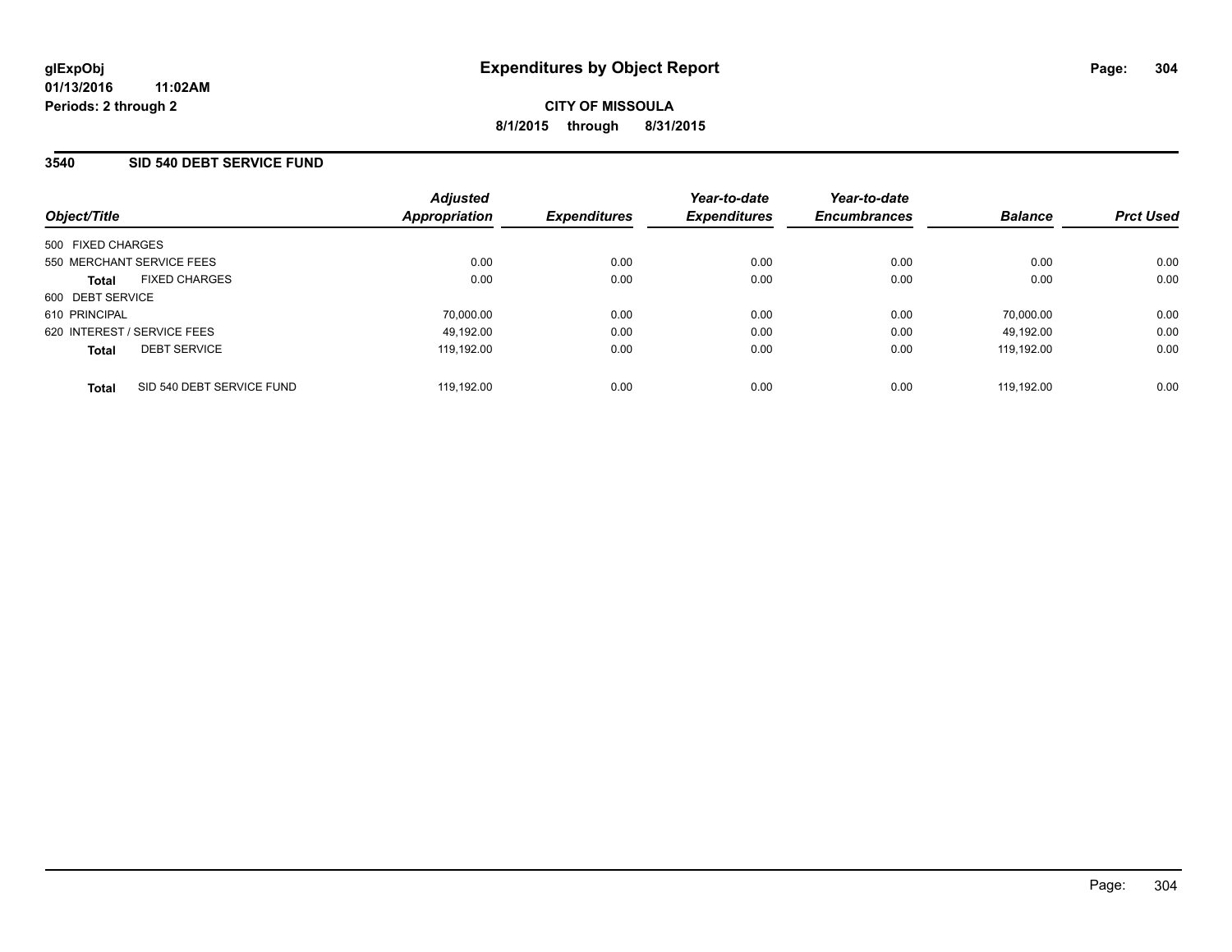### **3540 SID 540 DEBT SERVICE FUND**

| Object/Title                              | <b>Adjusted</b><br>Appropriation | <b>Expenditures</b> | Year-to-date<br><b>Expenditures</b> | Year-to-date<br><b>Encumbrances</b> | <b>Balance</b> | <b>Prct Used</b> |
|-------------------------------------------|----------------------------------|---------------------|-------------------------------------|-------------------------------------|----------------|------------------|
| 500 FIXED CHARGES                         |                                  |                     |                                     |                                     |                |                  |
| 550 MERCHANT SERVICE FEES                 | 0.00                             | 0.00                | 0.00                                | 0.00                                | 0.00           | 0.00             |
| <b>FIXED CHARGES</b><br><b>Total</b>      | 0.00                             | 0.00                | 0.00                                | 0.00                                | 0.00           | 0.00             |
| 600 DEBT SERVICE                          |                                  |                     |                                     |                                     |                |                  |
| 610 PRINCIPAL                             | 70,000.00                        | 0.00                | 0.00                                | 0.00                                | 70,000.00      | 0.00             |
| 620 INTEREST / SERVICE FEES               | 49,192.00                        | 0.00                | 0.00                                | 0.00                                | 49.192.00      | 0.00             |
| <b>DEBT SERVICE</b><br><b>Total</b>       | 119.192.00                       | 0.00                | 0.00                                | 0.00                                | 119.192.00     | 0.00             |
| SID 540 DEBT SERVICE FUND<br><b>Total</b> | 119.192.00                       | 0.00                | 0.00                                | 0.00                                | 119.192.00     | 0.00             |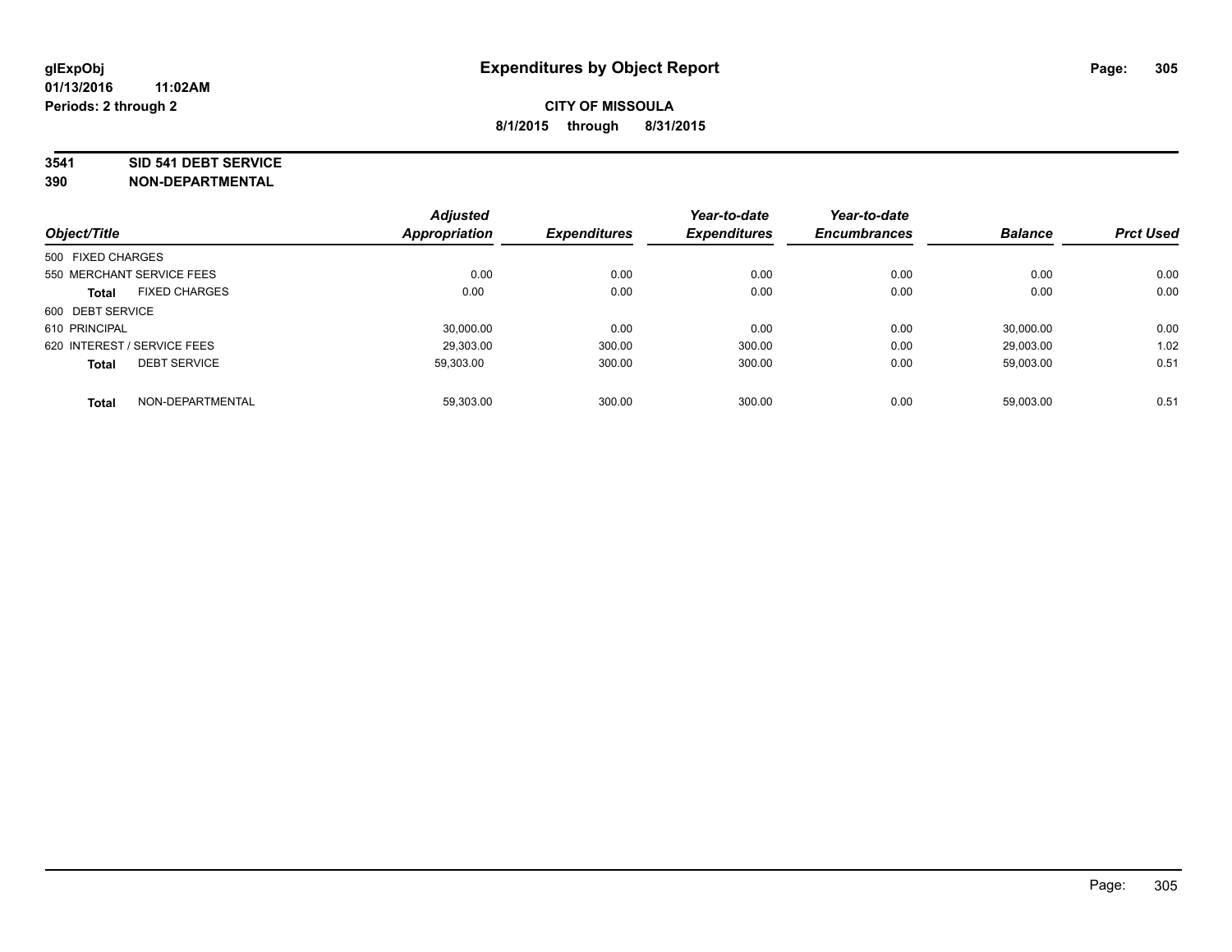#### **3541 SID 541 DEBT SERVICE**

|                             |                           | <b>Adjusted</b> |                     | Year-to-date        | Year-to-date        |                |                  |
|-----------------------------|---------------------------|-----------------|---------------------|---------------------|---------------------|----------------|------------------|
| Object/Title                |                           | Appropriation   | <b>Expenditures</b> | <b>Expenditures</b> | <b>Encumbrances</b> | <b>Balance</b> | <b>Prct Used</b> |
| 500 FIXED CHARGES           |                           |                 |                     |                     |                     |                |                  |
|                             | 550 MERCHANT SERVICE FEES | 0.00            | 0.00                | 0.00                | 0.00                | 0.00           | 0.00             |
| <b>Total</b>                | <b>FIXED CHARGES</b>      | 0.00            | 0.00                | 0.00                | 0.00                | 0.00           | 0.00             |
| 600 DEBT SERVICE            |                           |                 |                     |                     |                     |                |                  |
| 610 PRINCIPAL               |                           | 30,000.00       | 0.00                | 0.00                | 0.00                | 30.000.00      | 0.00             |
| 620 INTEREST / SERVICE FEES |                           | 29.303.00       | 300.00              | 300.00              | 0.00                | 29.003.00      | 1.02             |
| <b>Total</b>                | <b>DEBT SERVICE</b>       | 59.303.00       | 300.00              | 300.00              | 0.00                | 59,003.00      | 0.51             |
| <b>Total</b>                | NON-DEPARTMENTAL          | 59.303.00       | 300.00              | 300.00              | 0.00                | 59,003.00      | 0.51             |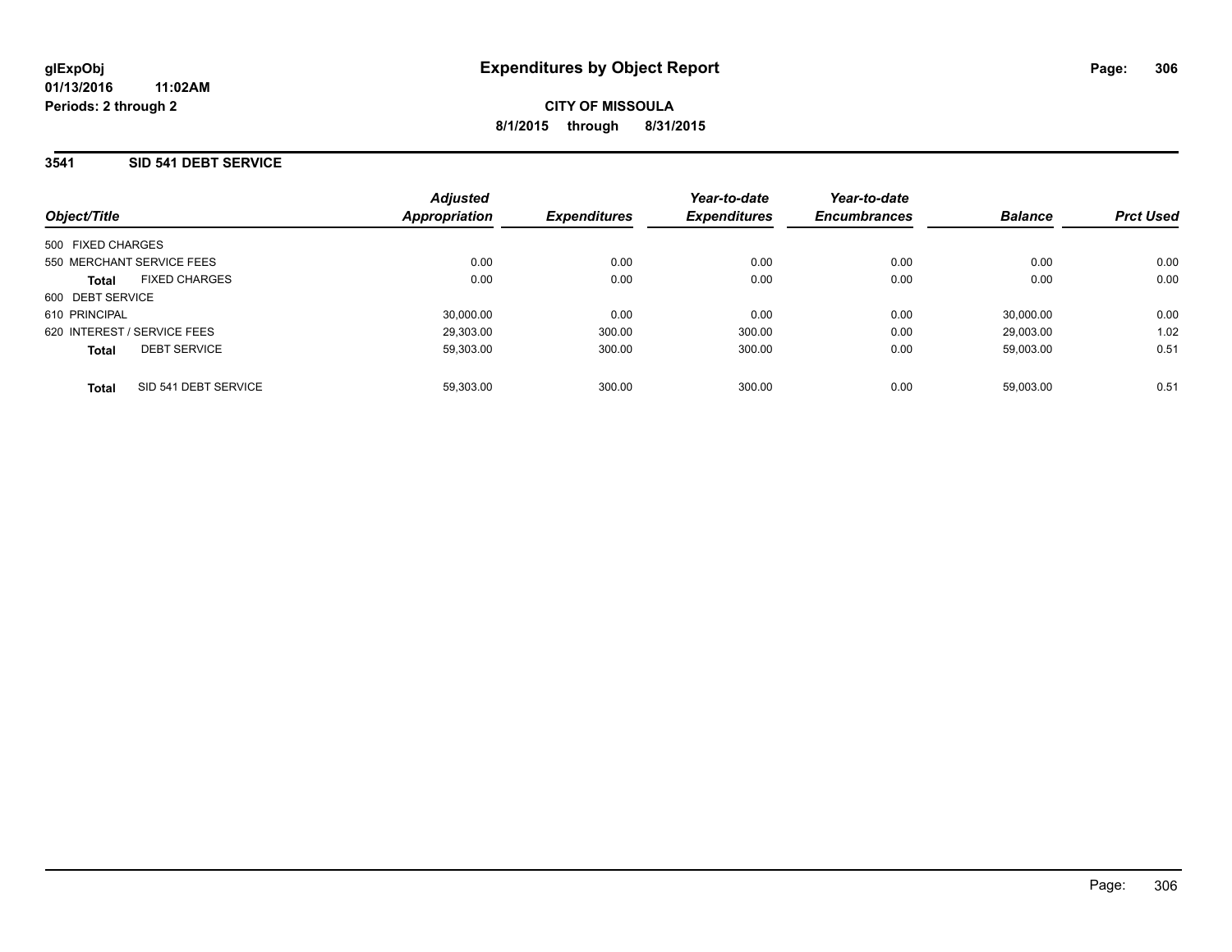### **3541 SID 541 DEBT SERVICE**

|                             |                      | <b>Adjusted</b> |                     | Year-to-date        | Year-to-date        |                |                  |
|-----------------------------|----------------------|-----------------|---------------------|---------------------|---------------------|----------------|------------------|
| Object/Title                |                      | Appropriation   | <b>Expenditures</b> | <b>Expenditures</b> | <b>Encumbrances</b> | <b>Balance</b> | <b>Prct Used</b> |
| 500 FIXED CHARGES           |                      |                 |                     |                     |                     |                |                  |
| 550 MERCHANT SERVICE FEES   |                      | 0.00            | 0.00                | 0.00                | 0.00                | 0.00           | 0.00             |
| <b>Total</b>                | <b>FIXED CHARGES</b> | 0.00            | 0.00                | 0.00                | 0.00                | 0.00           | 0.00             |
| 600 DEBT SERVICE            |                      |                 |                     |                     |                     |                |                  |
| 610 PRINCIPAL               |                      | 30,000.00       | 0.00                | 0.00                | 0.00                | 30.000.00      | 0.00             |
| 620 INTEREST / SERVICE FEES |                      | 29.303.00       | 300.00              | 300.00              | 0.00                | 29.003.00      | 1.02             |
| <b>Total</b>                | <b>DEBT SERVICE</b>  | 59,303.00       | 300.00              | 300.00              | 0.00                | 59,003.00      | 0.51             |
| <b>Total</b>                | SID 541 DEBT SERVICE | 59.303.00       | 300.00              | 300.00              | 0.00                | 59.003.00      | 0.51             |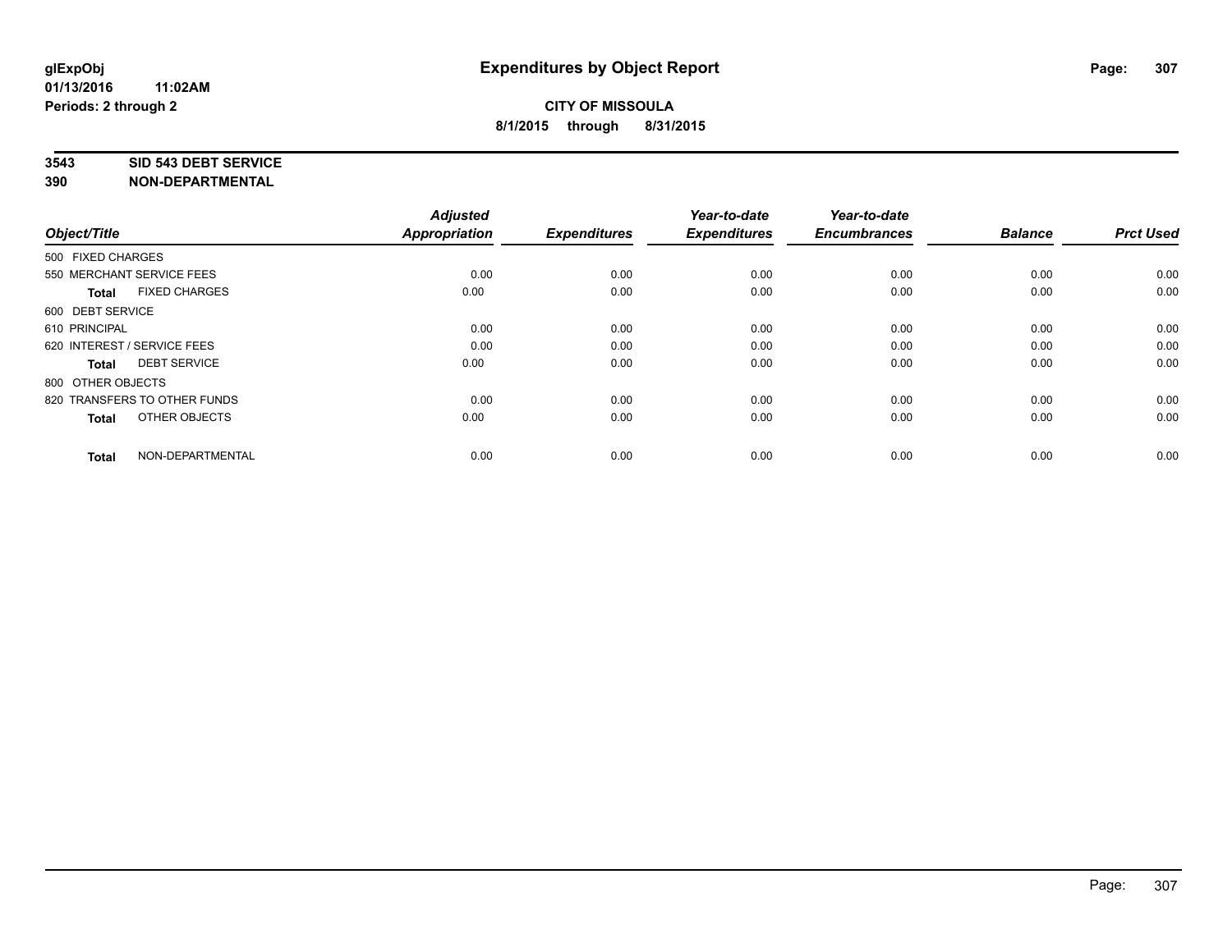#### **3543 SID 543 DEBT SERVICE**

| Object/Title                |                              | <b>Adjusted</b><br><b>Appropriation</b> | <b>Expenditures</b> | Year-to-date<br><b>Expenditures</b> | Year-to-date<br><b>Encumbrances</b> | <b>Balance</b> | <b>Prct Used</b> |
|-----------------------------|------------------------------|-----------------------------------------|---------------------|-------------------------------------|-------------------------------------|----------------|------------------|
|                             |                              |                                         |                     |                                     |                                     |                |                  |
| 500 FIXED CHARGES           |                              |                                         |                     |                                     |                                     |                |                  |
| 550 MERCHANT SERVICE FEES   |                              | 0.00                                    | 0.00                | 0.00                                | 0.00                                | 0.00           | 0.00             |
| <b>Total</b>                | <b>FIXED CHARGES</b>         | 0.00                                    | 0.00                | 0.00                                | 0.00                                | 0.00           | 0.00             |
| 600 DEBT SERVICE            |                              |                                         |                     |                                     |                                     |                |                  |
| 610 PRINCIPAL               |                              | 0.00                                    | 0.00                | 0.00                                | 0.00                                | 0.00           | 0.00             |
| 620 INTEREST / SERVICE FEES |                              | 0.00                                    | 0.00                | 0.00                                | 0.00                                | 0.00           | 0.00             |
| <b>Total</b>                | <b>DEBT SERVICE</b>          | 0.00                                    | 0.00                | 0.00                                | 0.00                                | 0.00           | 0.00             |
| 800 OTHER OBJECTS           |                              |                                         |                     |                                     |                                     |                |                  |
|                             | 820 TRANSFERS TO OTHER FUNDS | 0.00                                    | 0.00                | 0.00                                | 0.00                                | 0.00           | 0.00             |
| <b>Total</b>                | OTHER OBJECTS                | 0.00                                    | 0.00                | 0.00                                | 0.00                                | 0.00           | 0.00             |
|                             |                              |                                         |                     |                                     |                                     |                |                  |
| <b>Total</b>                | NON-DEPARTMENTAL             | 0.00                                    | 0.00                | 0.00                                | 0.00                                | 0.00           | 0.00             |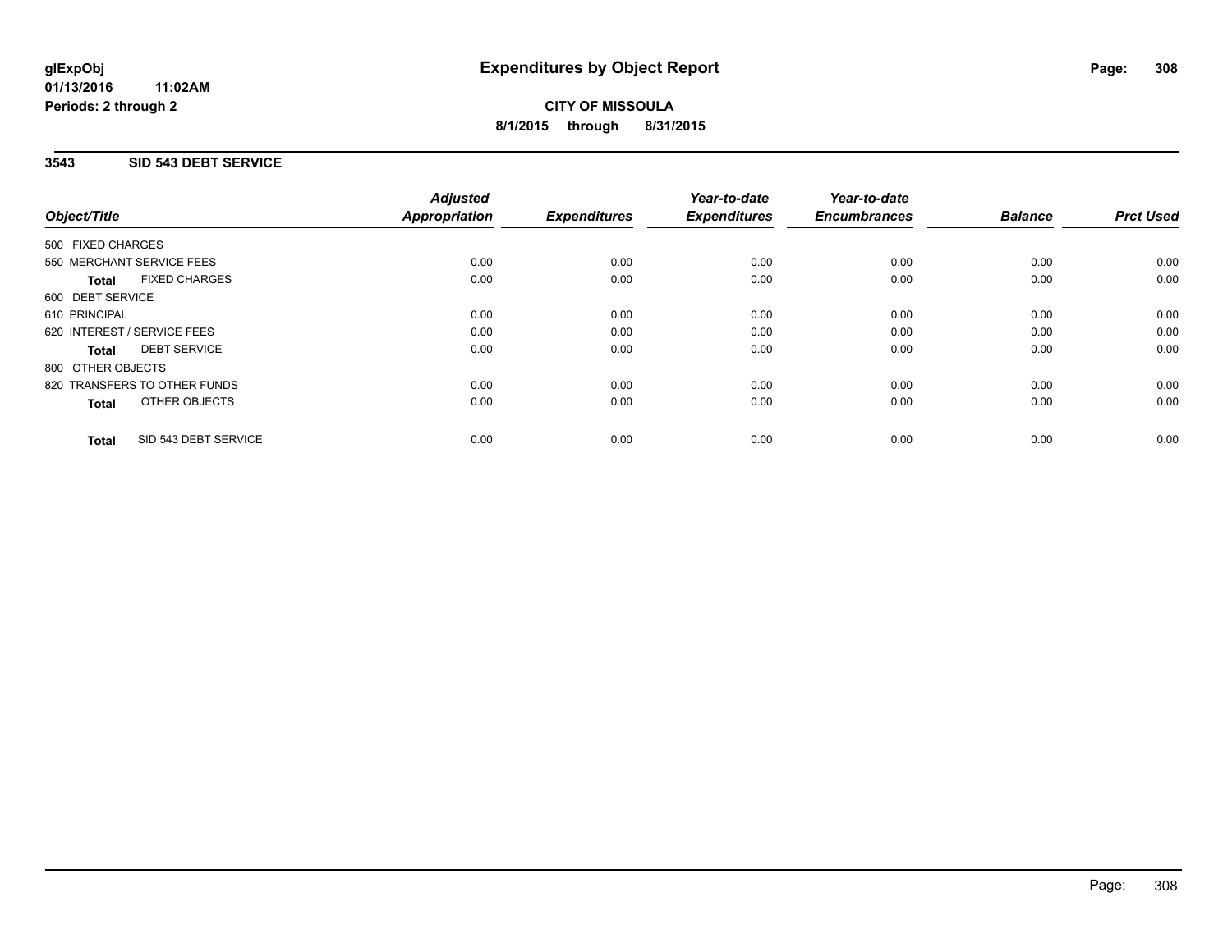**01/13/2016 11:02AM Periods: 2 through 2**

# **CITY OF MISSOULA 8/1/2015 through 8/31/2015**

## **3543 SID 543 DEBT SERVICE**

|                                      | <b>Adjusted</b>      |                     | Year-to-date        | Year-to-date        |                |                  |
|--------------------------------------|----------------------|---------------------|---------------------|---------------------|----------------|------------------|
| Object/Title                         | <b>Appropriation</b> | <b>Expenditures</b> | <b>Expenditures</b> | <b>Encumbrances</b> | <b>Balance</b> | <b>Prct Used</b> |
| 500 FIXED CHARGES                    |                      |                     |                     |                     |                |                  |
| 550 MERCHANT SERVICE FEES            | 0.00                 | 0.00                | 0.00                | 0.00                | 0.00           | 0.00             |
| <b>FIXED CHARGES</b><br><b>Total</b> | 0.00                 | 0.00                | 0.00                | 0.00                | 0.00           | 0.00             |
| 600 DEBT SERVICE                     |                      |                     |                     |                     |                |                  |
| 610 PRINCIPAL                        | 0.00                 | 0.00                | 0.00                | 0.00                | 0.00           | 0.00             |
| 620 INTEREST / SERVICE FEES          | 0.00                 | 0.00                | 0.00                | 0.00                | 0.00           | 0.00             |
| <b>DEBT SERVICE</b><br>Total         | 0.00                 | 0.00                | 0.00                | 0.00                | 0.00           | 0.00             |
| 800 OTHER OBJECTS                    |                      |                     |                     |                     |                |                  |
| 820 TRANSFERS TO OTHER FUNDS         | 0.00                 | 0.00                | 0.00                | 0.00                | 0.00           | 0.00             |
| OTHER OBJECTS<br><b>Total</b>        | 0.00                 | 0.00                | 0.00                | 0.00                | 0.00           | 0.00             |
|                                      |                      |                     |                     |                     |                |                  |
| SID 543 DEBT SERVICE<br><b>Total</b> | 0.00                 | 0.00                | 0.00                | 0.00                | 0.00           | 0.00             |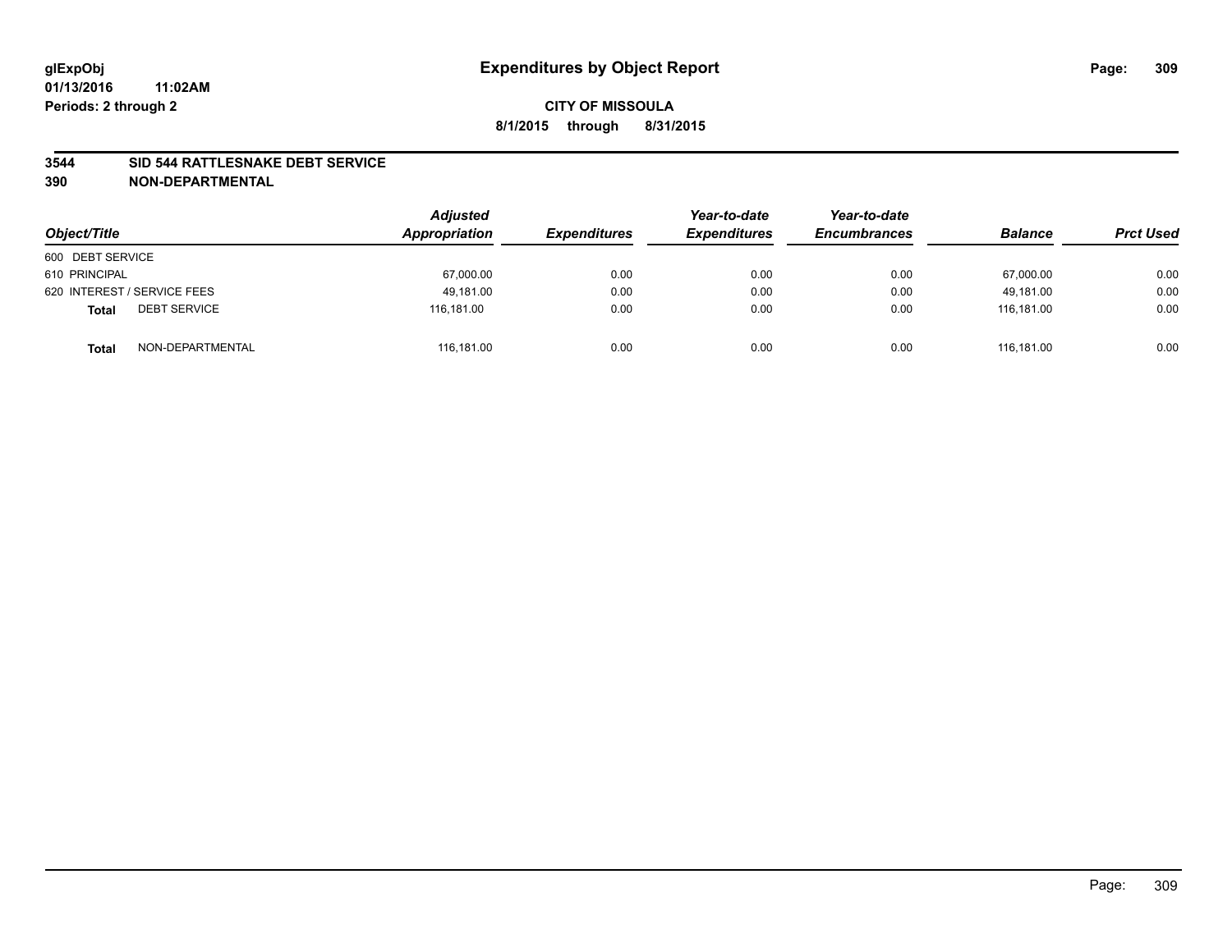### **3544 SID 544 RATTLESNAKE DEBT SERVICE**

| Object/Title                        | <b>Adjusted</b><br>Appropriation | <b>Expenditures</b> | Year-to-date<br><b>Expenditures</b> | Year-to-date<br><b>Encumbrances</b> | <b>Balance</b> | <b>Prct Used</b> |
|-------------------------------------|----------------------------------|---------------------|-------------------------------------|-------------------------------------|----------------|------------------|
| 600 DEBT SERVICE                    |                                  |                     |                                     |                                     |                |                  |
| 610 PRINCIPAL                       | 67,000.00                        | 0.00                | 0.00                                | 0.00                                | 67,000.00      | 0.00             |
| 620 INTEREST / SERVICE FEES         | 49.181.00                        | 0.00                | 0.00                                | 0.00                                | 49.181.00      | 0.00             |
| <b>DEBT SERVICE</b><br><b>Total</b> | 116.181.00                       | 0.00                | 0.00                                | 0.00                                | 116.181.00     | 0.00             |
| NON-DEPARTMENTAL<br><b>Total</b>    | 116,181.00                       | 0.00                | 0.00                                | 0.00                                | 116.181.00     | 0.00             |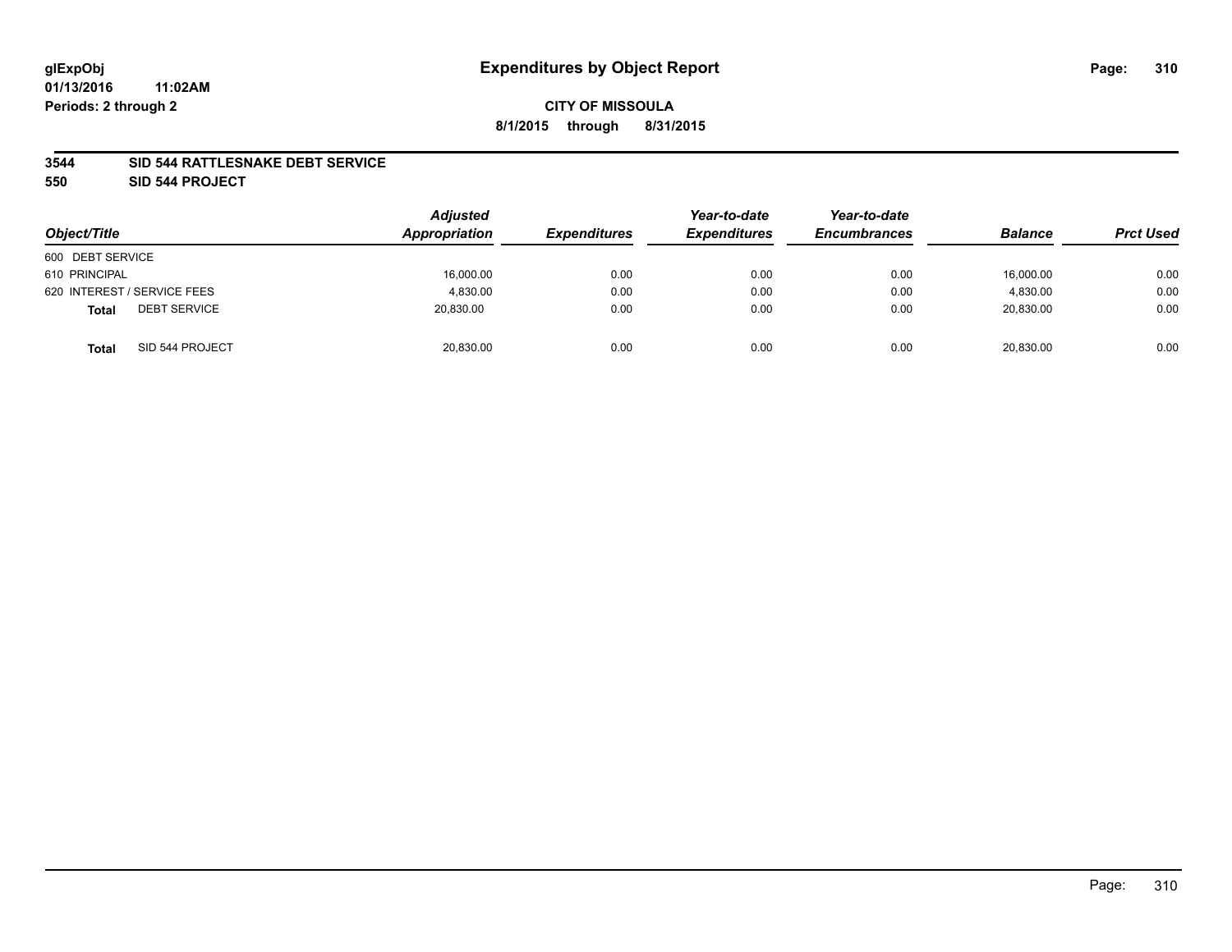### **3544 SID 544 RATTLESNAKE DEBT SERVICE**

**550 SID 544 PROJECT**

| Object/Title                        | <b>Adjusted</b><br>Appropriation | <b>Expenditures</b> | Year-to-date<br><b>Expenditures</b> | Year-to-date<br><b>Encumbrances</b> | <b>Balance</b> | <b>Prct Used</b> |
|-------------------------------------|----------------------------------|---------------------|-------------------------------------|-------------------------------------|----------------|------------------|
| 600 DEBT SERVICE                    |                                  |                     |                                     |                                     |                |                  |
| 610 PRINCIPAL                       | 16,000.00                        | 0.00                | 0.00                                | 0.00                                | 16,000.00      | 0.00             |
| 620 INTEREST / SERVICE FEES         | 4.830.00                         | 0.00                | 0.00                                | 0.00                                | 4,830.00       | 0.00             |
| <b>DEBT SERVICE</b><br><b>Total</b> | 20.830.00                        | 0.00                | 0.00                                | 0.00                                | 20.830.00      | 0.00             |
| SID 544 PROJECT<br><b>Total</b>     | 20,830.00                        | 0.00                | 0.00                                | 0.00                                | 20,830.00      | 0.00             |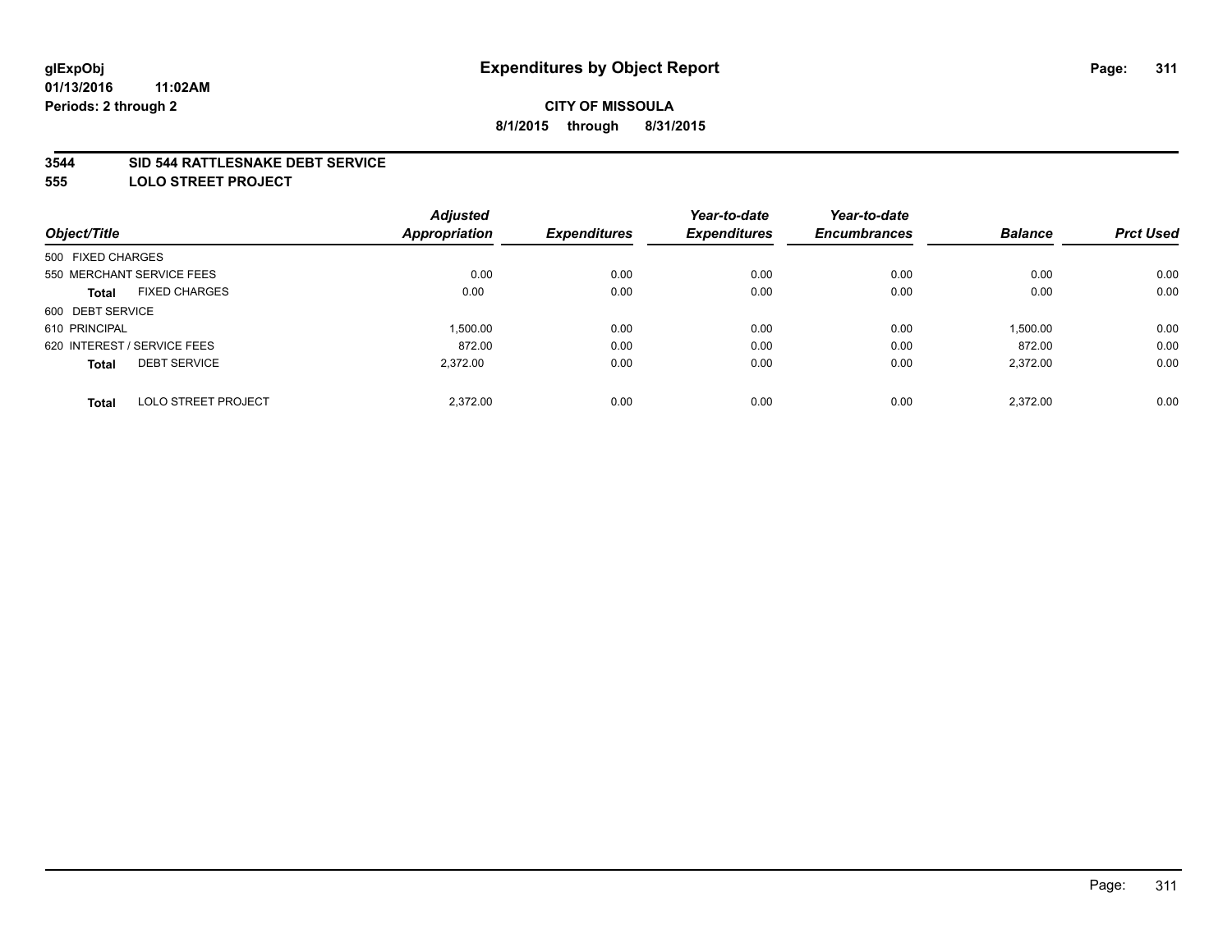### **3544 SID 544 RATTLESNAKE DEBT SERVICE**

**555 LOLO STREET PROJECT**

|                             | <b>Adjusted</b> |                      | Year-to-date        | Year-to-date        |                |                  |
|-----------------------------|-----------------|----------------------|---------------------|---------------------|----------------|------------------|
|                             |                 | <b>Expenditures</b>  | <b>Expenditures</b> | <b>Encumbrances</b> | <b>Balance</b> | <b>Prct Used</b> |
| 500 FIXED CHARGES           |                 |                      |                     |                     |                |                  |
| 550 MERCHANT SERVICE FEES   | 0.00            | 0.00                 | 0.00                | 0.00                | 0.00           | 0.00             |
| <b>FIXED CHARGES</b>        | 0.00            | 0.00                 | 0.00                | 0.00                | 0.00           | 0.00             |
| 600 DEBT SERVICE            |                 |                      |                     |                     |                |                  |
|                             | 1.500.00        | 0.00                 | 0.00                | 0.00                | 1,500.00       | 0.00             |
| 620 INTEREST / SERVICE FEES | 872.00          | 0.00                 | 0.00                | 0.00                | 872.00         | 0.00             |
| <b>DEBT SERVICE</b>         | 2.372.00        | 0.00                 | 0.00                | 0.00                | 2,372.00       | 0.00             |
| <b>LOLO STREET PROJECT</b>  | 2.372.00        | 0.00                 | 0.00                | 0.00                | 2.372.00       | 0.00             |
|                             |                 | <b>Appropriation</b> |                     |                     |                |                  |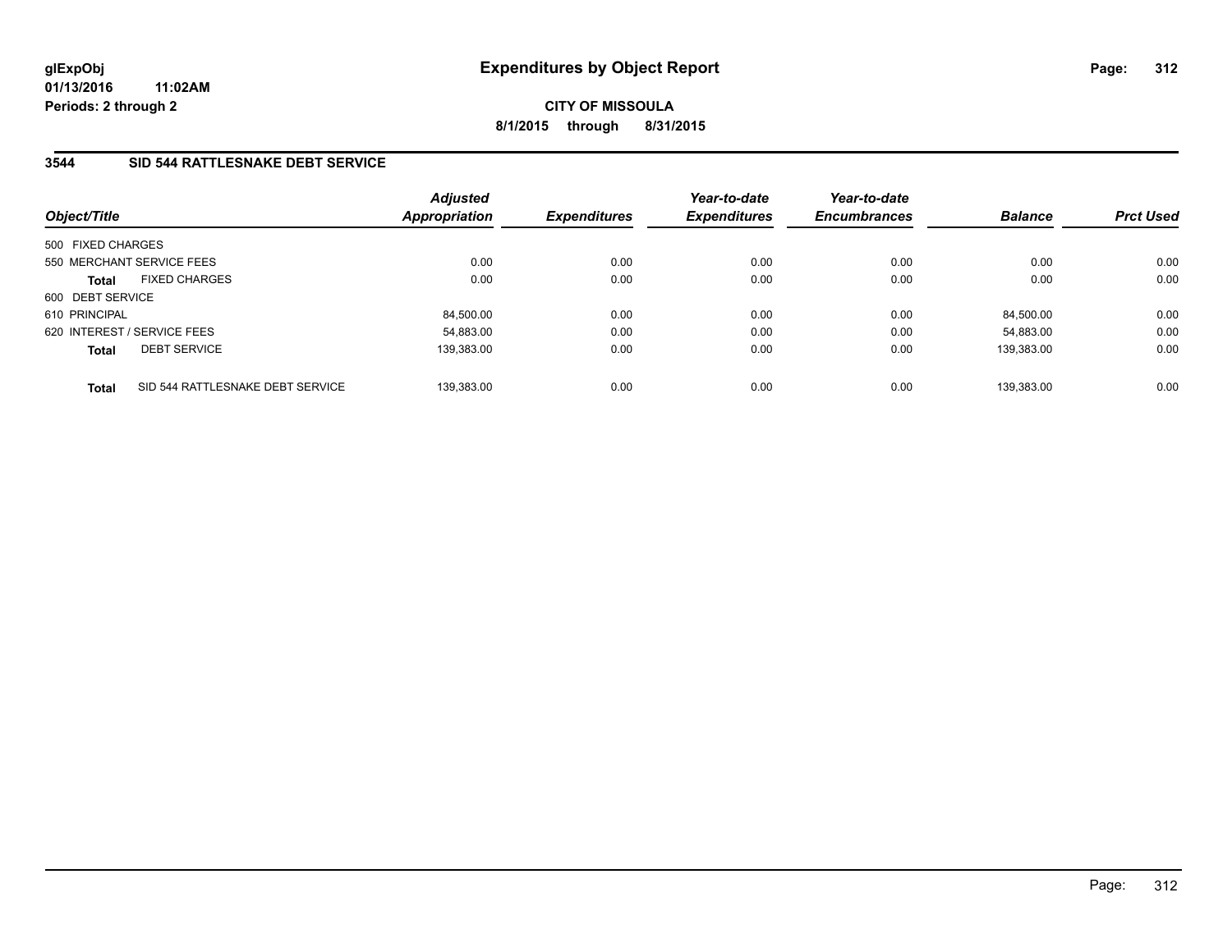**01/13/2016 11:02AM Periods: 2 through 2**

**CITY OF MISSOULA 8/1/2015 through 8/31/2015**

## **3544 SID 544 RATTLESNAKE DEBT SERVICE**

| Object/Title                         |                                  | <b>Adjusted</b><br><b>Appropriation</b> | <b>Expenditures</b> | Year-to-date<br><b>Expenditures</b> | Year-to-date<br><b>Encumbrances</b> | <b>Balance</b> | <b>Prct Used</b> |
|--------------------------------------|----------------------------------|-----------------------------------------|---------------------|-------------------------------------|-------------------------------------|----------------|------------------|
| 500 FIXED CHARGES                    |                                  |                                         |                     |                                     |                                     |                |                  |
| 550 MERCHANT SERVICE FEES            |                                  | 0.00                                    | 0.00                | 0.00                                | 0.00                                | 0.00           | 0.00             |
| <b>FIXED CHARGES</b><br><b>Total</b> |                                  | 0.00                                    | 0.00                | 0.00                                | 0.00                                | 0.00           | 0.00             |
| 600 DEBT SERVICE                     |                                  |                                         |                     |                                     |                                     |                |                  |
| 610 PRINCIPAL                        |                                  | 84,500.00                               | 0.00                | 0.00                                | 0.00                                | 84,500.00      | 0.00             |
| 620 INTEREST / SERVICE FEES          |                                  | 54.883.00                               | 0.00                | 0.00                                | 0.00                                | 54.883.00      | 0.00             |
| <b>DEBT SERVICE</b><br><b>Total</b>  |                                  | 139.383.00                              | 0.00                | 0.00                                | 0.00                                | 139.383.00     | 0.00             |
| <b>Total</b>                         | SID 544 RATTLESNAKE DEBT SERVICE | 139.383.00                              | 0.00                | 0.00                                | 0.00                                | 139.383.00     | 0.00             |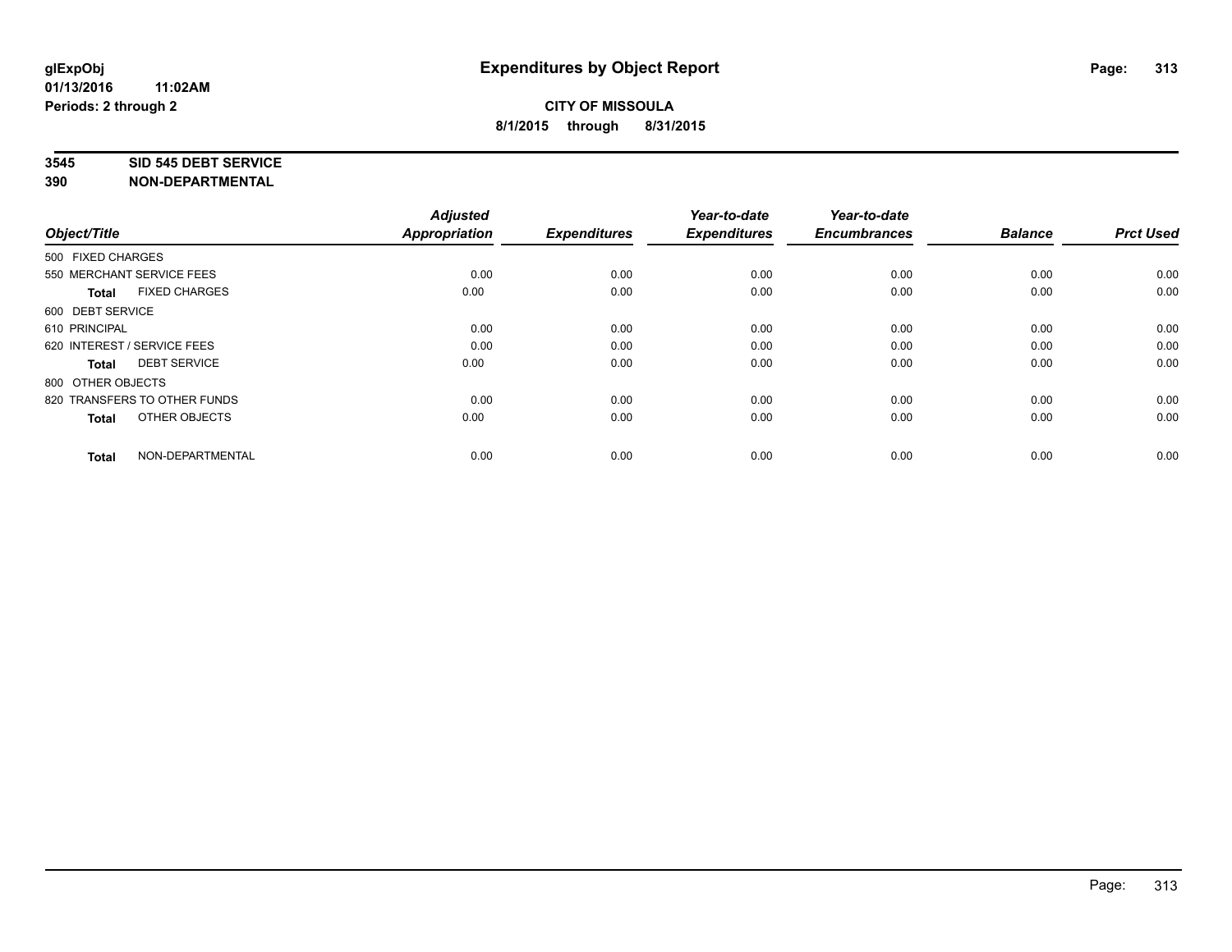#### **3545 SID 545 DEBT SERVICE**

| Object/Title                         | <b>Adjusted</b><br><b>Appropriation</b> | <b>Expenditures</b> | Year-to-date<br><b>Expenditures</b> | Year-to-date<br><b>Encumbrances</b> | <b>Balance</b> | <b>Prct Used</b> |
|--------------------------------------|-----------------------------------------|---------------------|-------------------------------------|-------------------------------------|----------------|------------------|
| 500 FIXED CHARGES                    |                                         |                     |                                     |                                     |                |                  |
| 550 MERCHANT SERVICE FEES            | 0.00                                    | 0.00                | 0.00                                | 0.00                                | 0.00           | 0.00             |
| <b>FIXED CHARGES</b><br><b>Total</b> | 0.00                                    | 0.00                | 0.00                                | 0.00                                | 0.00           | 0.00             |
| 600 DEBT SERVICE                     |                                         |                     |                                     |                                     |                |                  |
| 610 PRINCIPAL                        | 0.00                                    | 0.00                | 0.00                                | 0.00                                | 0.00           | 0.00             |
| 620 INTEREST / SERVICE FEES          | 0.00                                    | 0.00                | 0.00                                | 0.00                                | 0.00           | 0.00             |
| <b>DEBT SERVICE</b><br><b>Total</b>  | 0.00                                    | 0.00                | 0.00                                | 0.00                                | 0.00           | 0.00             |
| 800 OTHER OBJECTS                    |                                         |                     |                                     |                                     |                |                  |
| 820 TRANSFERS TO OTHER FUNDS         | 0.00                                    | 0.00                | 0.00                                | 0.00                                | 0.00           | 0.00             |
| OTHER OBJECTS<br><b>Total</b>        | 0.00                                    | 0.00                | 0.00                                | 0.00                                | 0.00           | 0.00             |
|                                      |                                         |                     |                                     |                                     |                |                  |
| NON-DEPARTMENTAL<br><b>Total</b>     | 0.00                                    | 0.00                | 0.00                                | 0.00                                | 0.00           | 0.00             |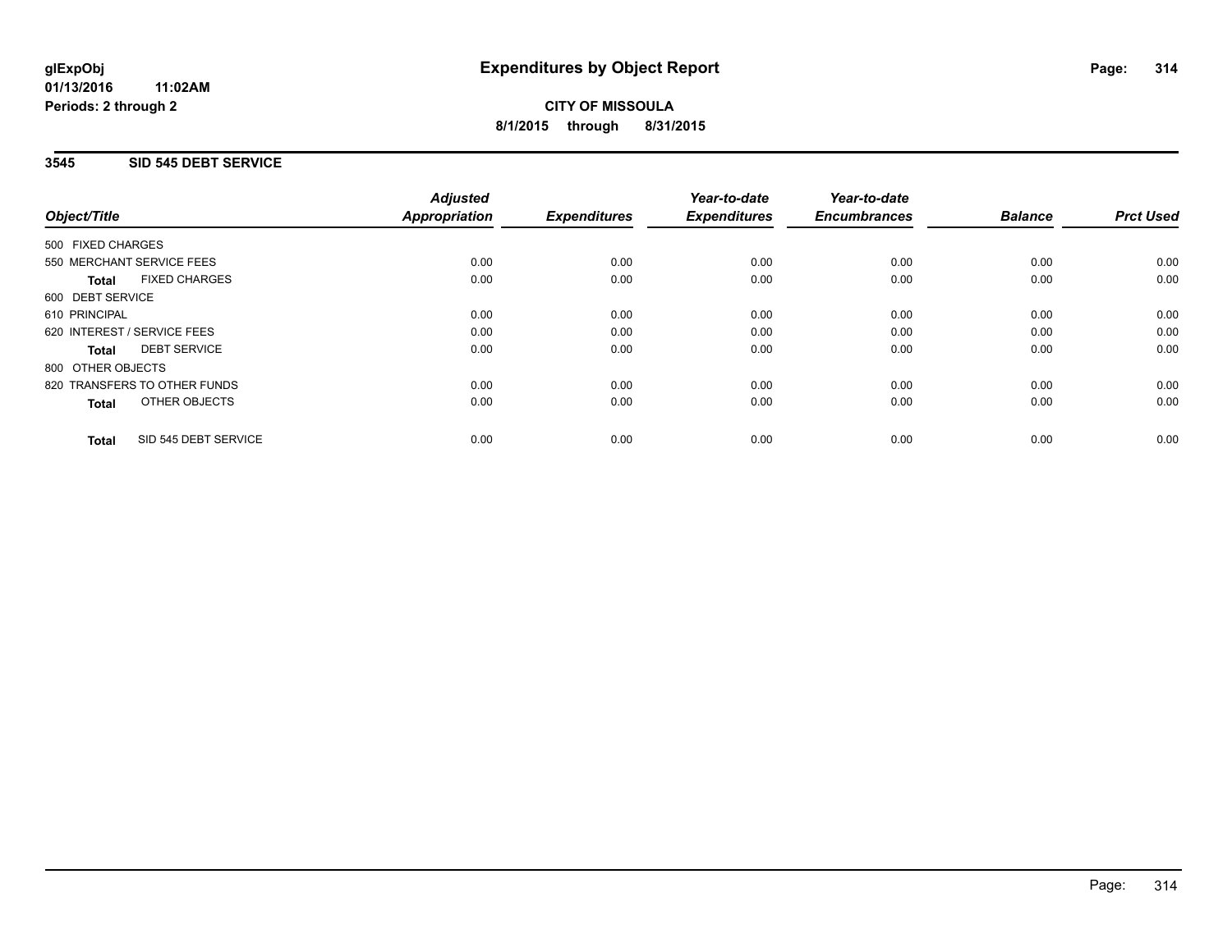**01/13/2016 11:02AM Periods: 2 through 2**

# **CITY OF MISSOULA 8/1/2015 through 8/31/2015**

## **3545 SID 545 DEBT SERVICE**

|                                      | <b>Adjusted</b>      |                     | Year-to-date        | Year-to-date        |                |                  |
|--------------------------------------|----------------------|---------------------|---------------------|---------------------|----------------|------------------|
| Object/Title                         | <b>Appropriation</b> | <b>Expenditures</b> | <b>Expenditures</b> | <b>Encumbrances</b> | <b>Balance</b> | <b>Prct Used</b> |
| 500 FIXED CHARGES                    |                      |                     |                     |                     |                |                  |
| 550 MERCHANT SERVICE FEES            | 0.00                 | 0.00                | 0.00                | 0.00                | 0.00           | 0.00             |
| <b>FIXED CHARGES</b><br><b>Total</b> | 0.00                 | 0.00                | 0.00                | 0.00                | 0.00           | 0.00             |
| 600 DEBT SERVICE                     |                      |                     |                     |                     |                |                  |
| 610 PRINCIPAL                        | 0.00                 | 0.00                | 0.00                | 0.00                | 0.00           | 0.00             |
| 620 INTEREST / SERVICE FEES          | 0.00                 | 0.00                | 0.00                | 0.00                | 0.00           | 0.00             |
| <b>DEBT SERVICE</b><br>Total         | 0.00                 | 0.00                | 0.00                | 0.00                | 0.00           | 0.00             |
| 800 OTHER OBJECTS                    |                      |                     |                     |                     |                |                  |
| 820 TRANSFERS TO OTHER FUNDS         | 0.00                 | 0.00                | 0.00                | 0.00                | 0.00           | 0.00             |
| OTHER OBJECTS<br><b>Total</b>        | 0.00                 | 0.00                | 0.00                | 0.00                | 0.00           | 0.00             |
|                                      |                      |                     |                     |                     |                |                  |
| SID 545 DEBT SERVICE<br><b>Total</b> | 0.00                 | 0.00                | 0.00                | 0.00                | 0.00           | 0.00             |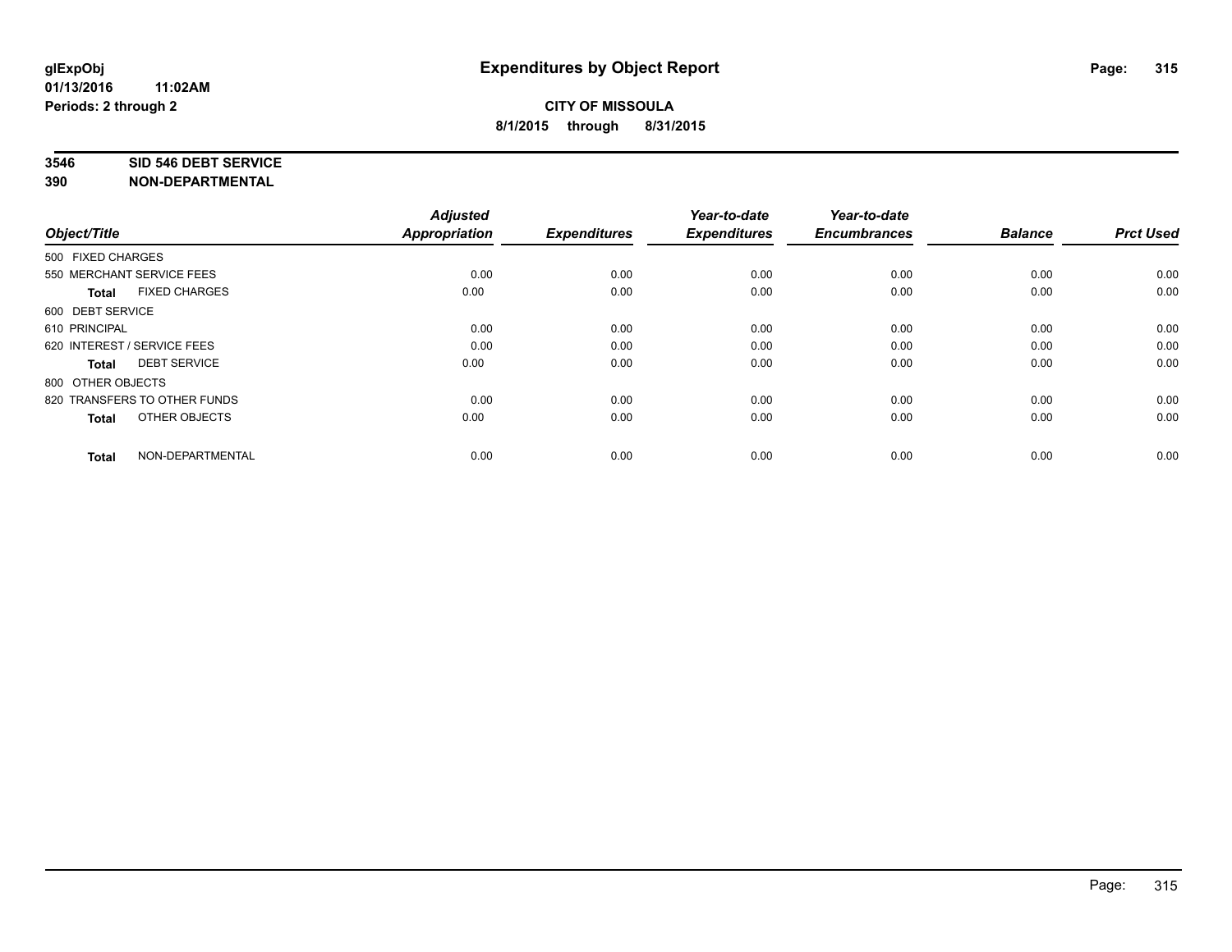#### **3546 SID 546 DEBT SERVICE**

| Object/Title                         | <b>Adjusted</b><br><b>Appropriation</b> | <b>Expenditures</b> | Year-to-date<br><b>Expenditures</b> | Year-to-date<br><b>Encumbrances</b> | <b>Balance</b> | <b>Prct Used</b> |
|--------------------------------------|-----------------------------------------|---------------------|-------------------------------------|-------------------------------------|----------------|------------------|
| 500 FIXED CHARGES                    |                                         |                     |                                     |                                     |                |                  |
| 550 MERCHANT SERVICE FEES            | 0.00                                    | 0.00                | 0.00                                | 0.00                                | 0.00           | 0.00             |
| <b>FIXED CHARGES</b><br><b>Total</b> | 0.00                                    | 0.00                | 0.00                                | 0.00                                | 0.00           | 0.00             |
| 600 DEBT SERVICE                     |                                         |                     |                                     |                                     |                |                  |
| 610 PRINCIPAL                        | 0.00                                    | 0.00                | 0.00                                | 0.00                                | 0.00           | 0.00             |
| 620 INTEREST / SERVICE FEES          | 0.00                                    | 0.00                | 0.00                                | 0.00                                | 0.00           | 0.00             |
| <b>DEBT SERVICE</b><br><b>Total</b>  | 0.00                                    | 0.00                | 0.00                                | 0.00                                | 0.00           | 0.00             |
| 800 OTHER OBJECTS                    |                                         |                     |                                     |                                     |                |                  |
| 820 TRANSFERS TO OTHER FUNDS         | 0.00                                    | 0.00                | 0.00                                | 0.00                                | 0.00           | 0.00             |
| OTHER OBJECTS<br><b>Total</b>        | 0.00                                    | 0.00                | 0.00                                | 0.00                                | 0.00           | 0.00             |
|                                      |                                         |                     |                                     |                                     |                |                  |
| NON-DEPARTMENTAL<br><b>Total</b>     | 0.00                                    | 0.00                | 0.00                                | 0.00                                | 0.00           | 0.00             |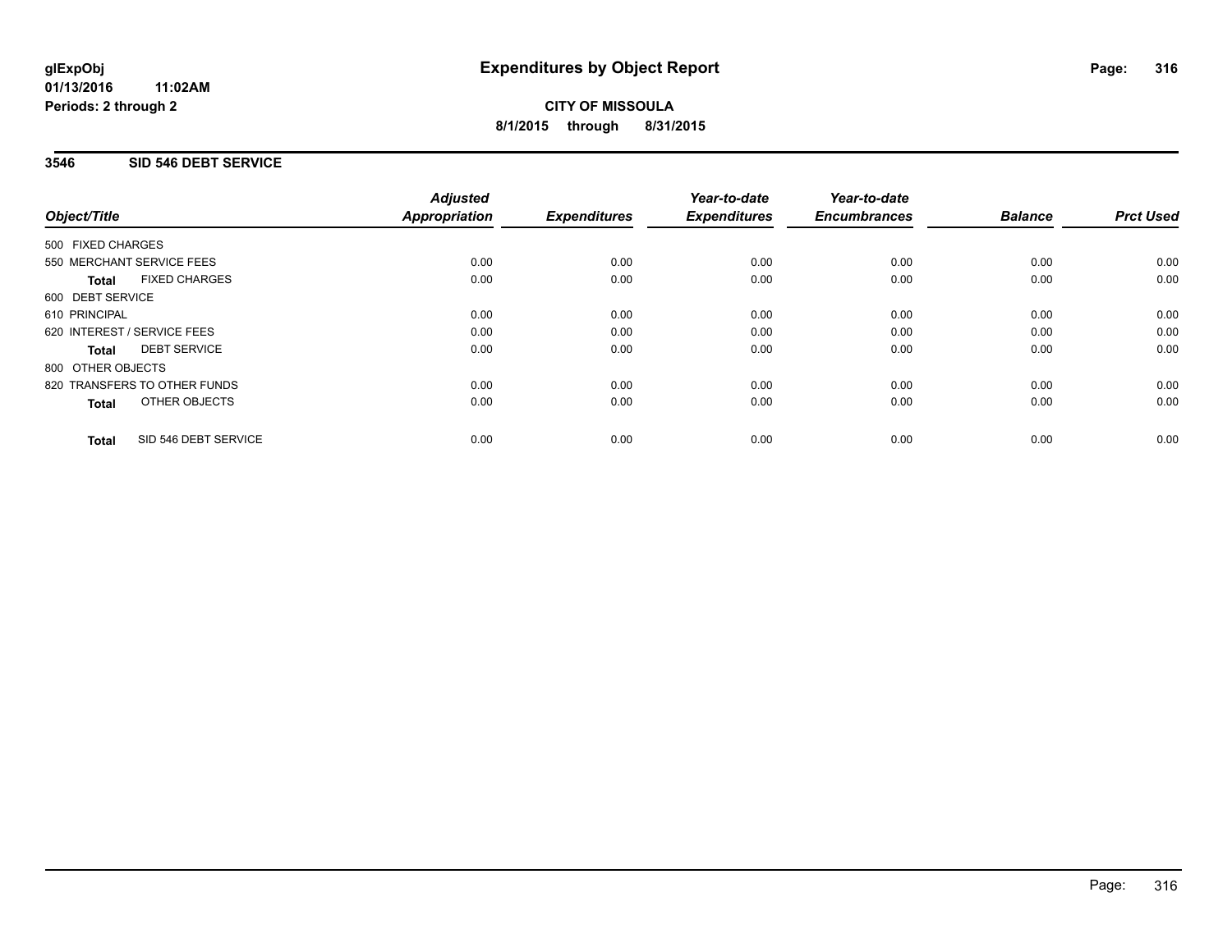**01/13/2016 11:02AM Periods: 2 through 2**

# **CITY OF MISSOULA 8/1/2015 through 8/31/2015**

## **3546 SID 546 DEBT SERVICE**

|                                      | <b>Adjusted</b>      |                     | Year-to-date        | Year-to-date<br><b>Encumbrances</b> | <b>Balance</b> | <b>Prct Used</b> |
|--------------------------------------|----------------------|---------------------|---------------------|-------------------------------------|----------------|------------------|
| Object/Title                         | <b>Appropriation</b> | <b>Expenditures</b> | <b>Expenditures</b> |                                     |                |                  |
| 500 FIXED CHARGES                    |                      |                     |                     |                                     |                |                  |
| 550 MERCHANT SERVICE FEES            | 0.00                 | 0.00                | 0.00                | 0.00                                | 0.00           | 0.00             |
| <b>FIXED CHARGES</b><br><b>Total</b> | 0.00                 | 0.00                | 0.00                | 0.00                                | 0.00           | 0.00             |
| 600 DEBT SERVICE                     |                      |                     |                     |                                     |                |                  |
| 610 PRINCIPAL                        | 0.00                 | 0.00                | 0.00                | 0.00                                | 0.00           | 0.00             |
| 620 INTEREST / SERVICE FEES          | 0.00                 | 0.00                | 0.00                | 0.00                                | 0.00           | 0.00             |
| <b>DEBT SERVICE</b><br><b>Total</b>  | 0.00                 | 0.00                | 0.00                | 0.00                                | 0.00           | 0.00             |
| 800 OTHER OBJECTS                    |                      |                     |                     |                                     |                |                  |
| 820 TRANSFERS TO OTHER FUNDS         | 0.00                 | 0.00                | 0.00                | 0.00                                | 0.00           | 0.00             |
| <b>OTHER OBJECTS</b><br><b>Total</b> | 0.00                 | 0.00                | 0.00                | 0.00                                | 0.00           | 0.00             |
| SID 546 DEBT SERVICE<br><b>Total</b> | 0.00                 | 0.00                | 0.00                | 0.00                                | 0.00           | 0.00             |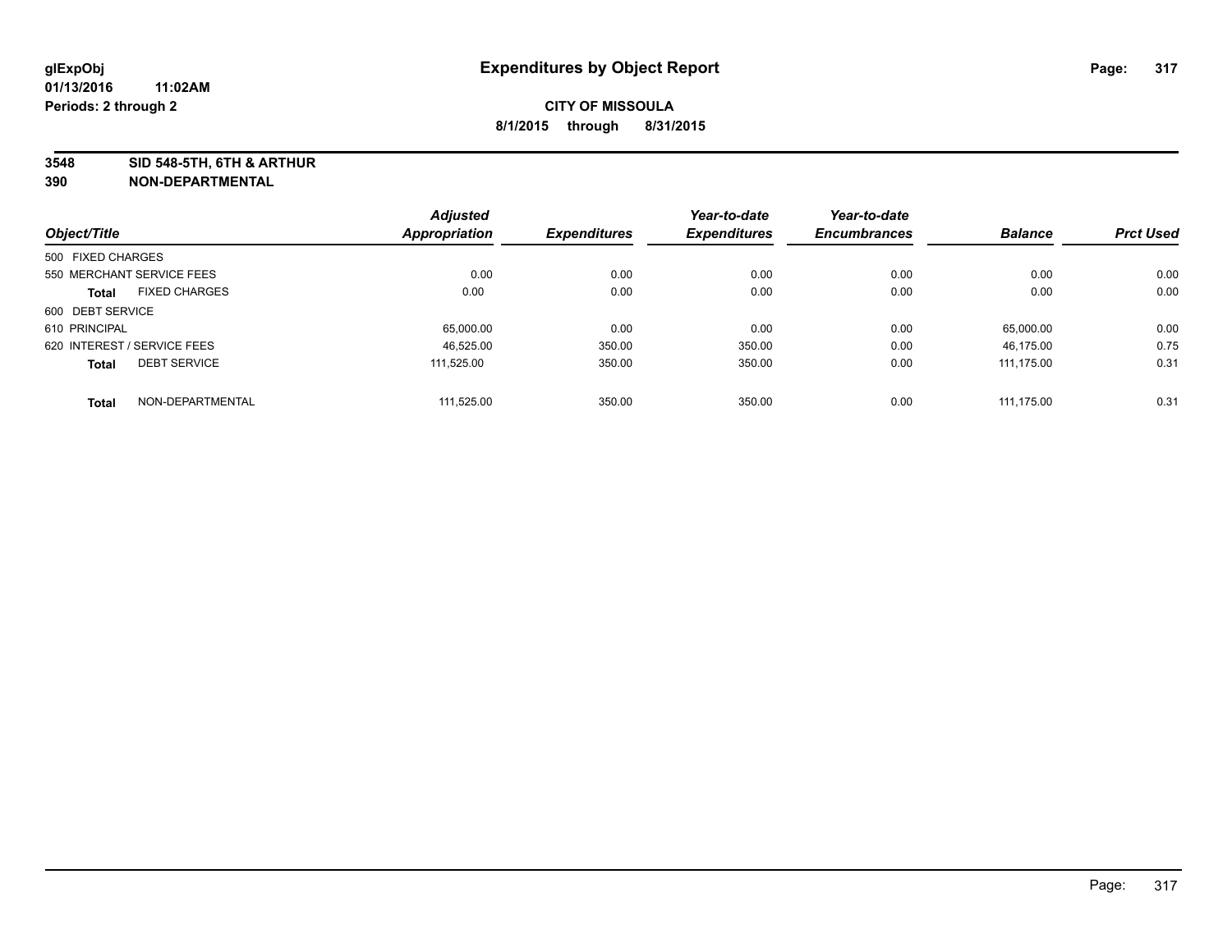**3548 SID 548-5TH, 6TH & ARTHUR**

|                             |                      | <b>Adjusted</b>      |                     | Year-to-date        | Year-to-date        |                |                  |
|-----------------------------|----------------------|----------------------|---------------------|---------------------|---------------------|----------------|------------------|
| Object/Title                |                      | <b>Appropriation</b> | <b>Expenditures</b> | <b>Expenditures</b> | <b>Encumbrances</b> | <b>Balance</b> | <b>Prct Used</b> |
| 500 FIXED CHARGES           |                      |                      |                     |                     |                     |                |                  |
| 550 MERCHANT SERVICE FEES   |                      | 0.00                 | 0.00                | 0.00                | 0.00                | 0.00           | 0.00             |
| <b>Total</b>                | <b>FIXED CHARGES</b> | 0.00                 | 0.00                | 0.00                | 0.00                | 0.00           | 0.00             |
| 600 DEBT SERVICE            |                      |                      |                     |                     |                     |                |                  |
| 610 PRINCIPAL               |                      | 65,000.00            | 0.00                | 0.00                | 0.00                | 65.000.00      | 0.00             |
| 620 INTEREST / SERVICE FEES |                      | 46.525.00            | 350.00              | 350.00              | 0.00                | 46.175.00      | 0.75             |
| <b>Total</b>                | <b>DEBT SERVICE</b>  | 111.525.00           | 350.00              | 350.00              | 0.00                | 111.175.00     | 0.31             |
| Total                       | NON-DEPARTMENTAL     | 111.525.00           | 350.00              | 350.00              | 0.00                | 111.175.00     | 0.31             |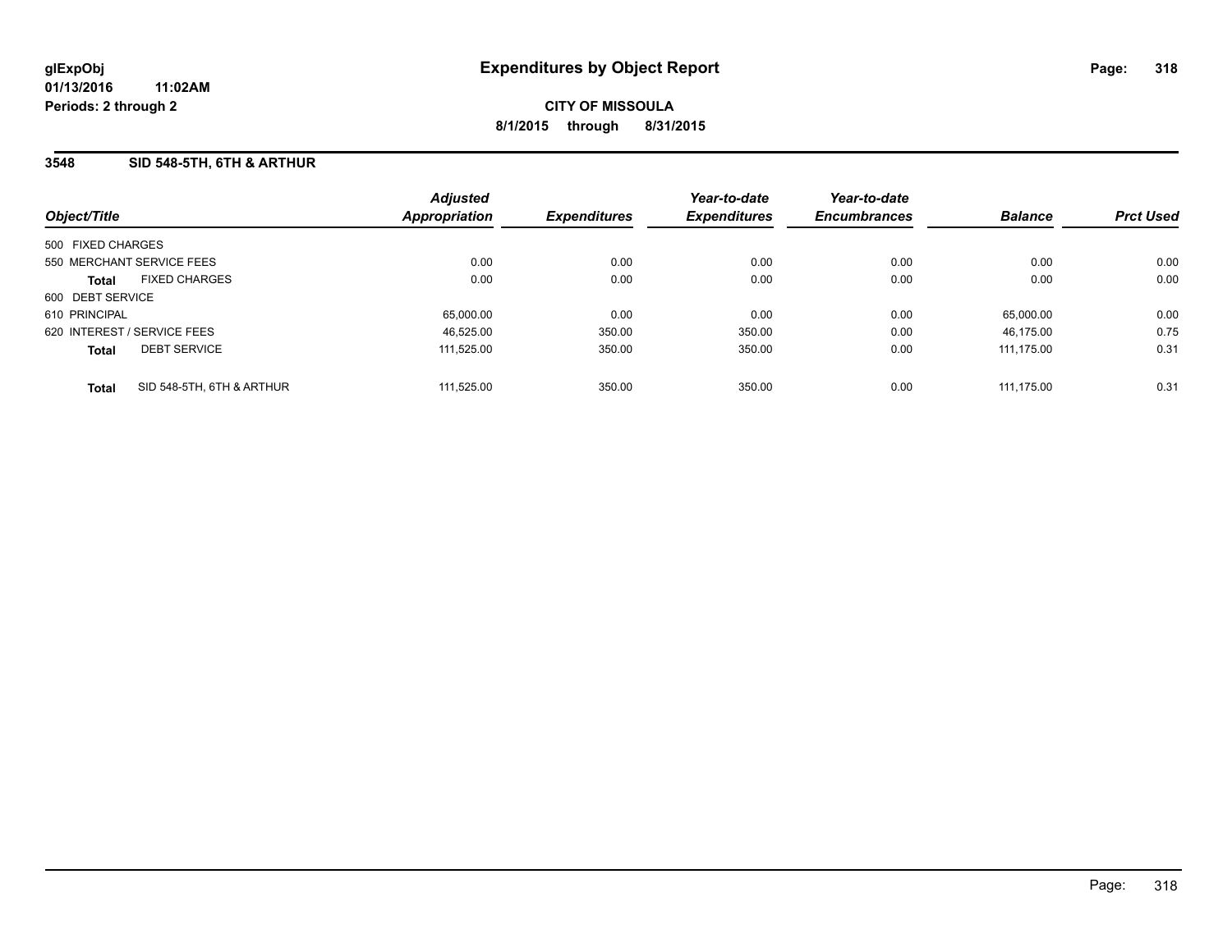### **3548 SID 548-5TH, 6TH & ARTHUR**

| Object/Title                |                           | <b>Adjusted</b><br>Appropriation | <b>Expenditures</b> | Year-to-date<br><b>Expenditures</b> | Year-to-date<br><b>Encumbrances</b> | <b>Balance</b> | <b>Prct Used</b> |
|-----------------------------|---------------------------|----------------------------------|---------------------|-------------------------------------|-------------------------------------|----------------|------------------|
| 500 FIXED CHARGES           |                           |                                  |                     |                                     |                                     |                |                  |
| 550 MERCHANT SERVICE FEES   |                           | 0.00                             | 0.00                | 0.00                                | 0.00                                | 0.00           | 0.00             |
| <b>Total</b>                | <b>FIXED CHARGES</b>      | 0.00                             | 0.00                | 0.00                                | 0.00                                | 0.00           | 0.00             |
| 600 DEBT SERVICE            |                           |                                  |                     |                                     |                                     |                |                  |
| 610 PRINCIPAL               |                           | 65,000.00                        | 0.00                | 0.00                                | 0.00                                | 65.000.00      | 0.00             |
| 620 INTEREST / SERVICE FEES |                           | 46.525.00                        | 350.00              | 350.00                              | 0.00                                | 46.175.00      | 0.75             |
| <b>Total</b>                | <b>DEBT SERVICE</b>       | 111.525.00                       | 350.00              | 350.00                              | 0.00                                | 111.175.00     | 0.31             |
| <b>Total</b>                | SID 548-5TH, 6TH & ARTHUR | 111.525.00                       | 350.00              | 350.00                              | 0.00                                | 111.175.00     | 0.31             |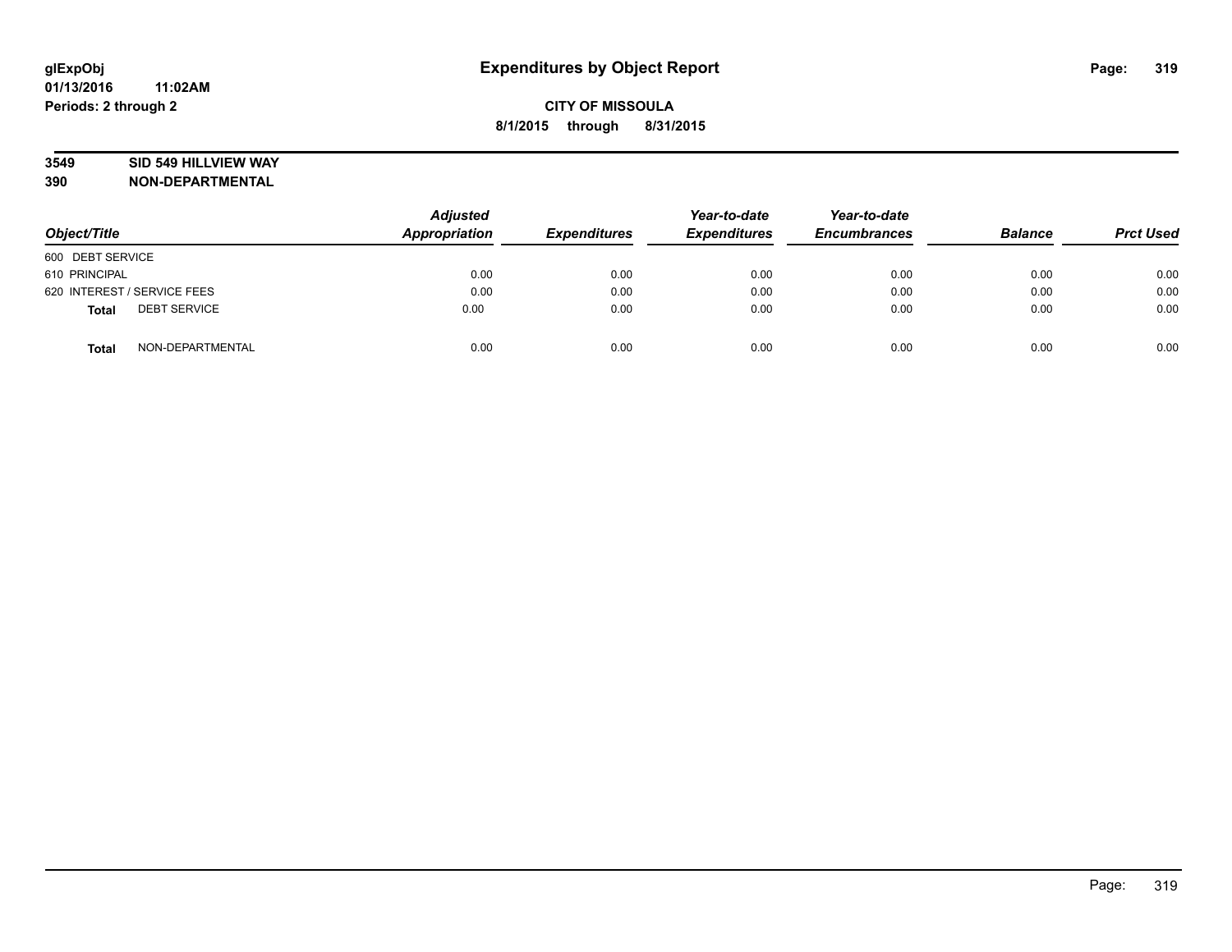## **3549 SID 549 HILLVIEW WAY**

| Object/Title                        | <b>Adjusted</b><br>Appropriation | <b>Expenditures</b> | Year-to-date<br><b>Expenditures</b> | Year-to-date<br><b>Encumbrances</b> | <b>Balance</b> | <b>Prct Used</b> |
|-------------------------------------|----------------------------------|---------------------|-------------------------------------|-------------------------------------|----------------|------------------|
| 600 DEBT SERVICE                    |                                  |                     |                                     |                                     |                |                  |
| 610 PRINCIPAL                       | 0.00                             | 0.00                | 0.00                                | 0.00                                | 0.00           | 0.00             |
| 620 INTEREST / SERVICE FEES         | 0.00                             | 0.00                | 0.00                                | 0.00                                | 0.00           | 0.00             |
| <b>DEBT SERVICE</b><br><b>Total</b> | 0.00                             | 0.00                | 0.00                                | 0.00                                | 0.00           | 0.00             |
| NON-DEPARTMENTAL<br><b>Total</b>    | 0.00                             | 0.00                | 0.00                                | 0.00                                | 0.00           | 0.00             |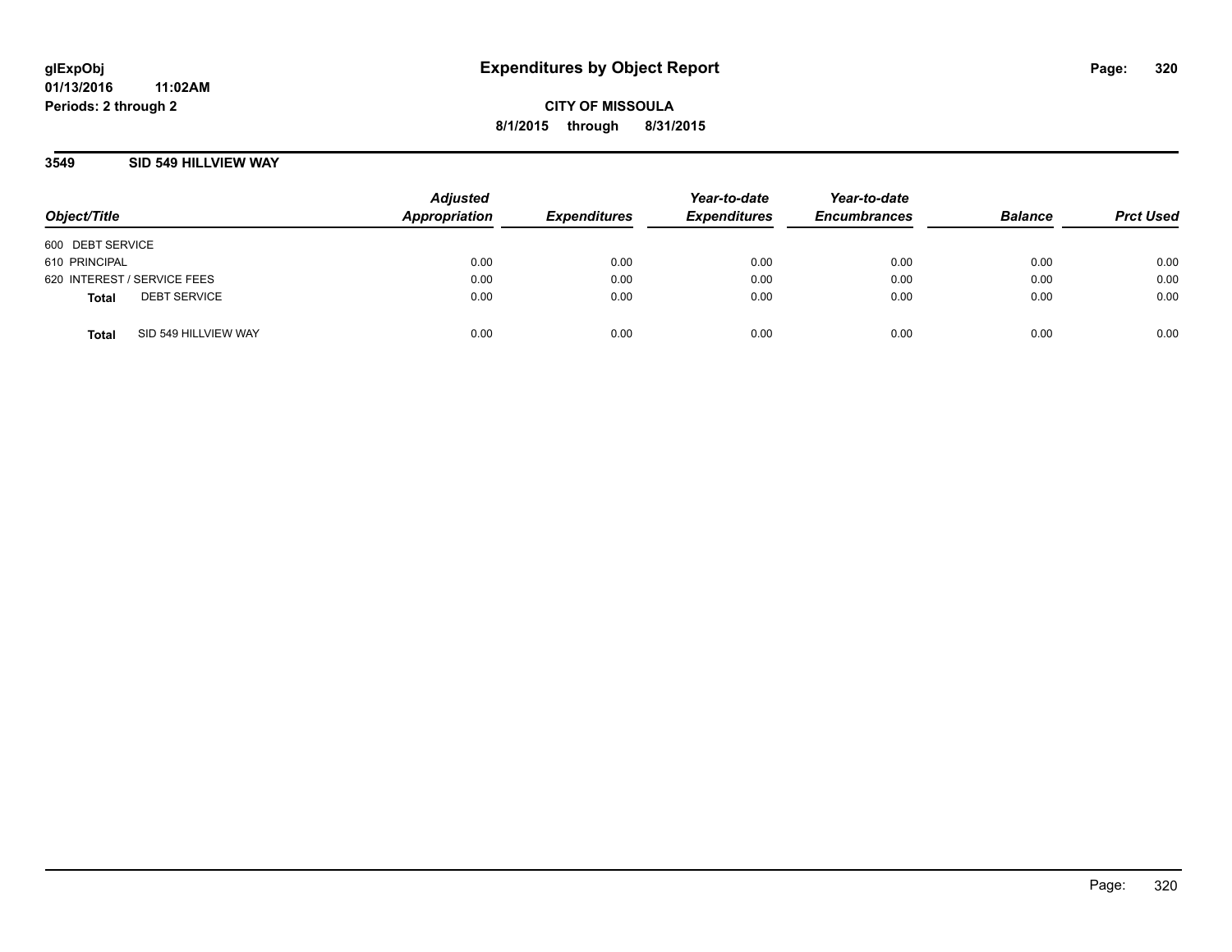## **3549 SID 549 HILLVIEW WAY**

| Object/Title                |                      | <b>Adjusted</b><br>Appropriation | <b>Expenditures</b> | Year-to-date<br><b>Expenditures</b> | Year-to-date<br><b>Encumbrances</b> | <b>Balance</b> | <b>Prct Used</b> |
|-----------------------------|----------------------|----------------------------------|---------------------|-------------------------------------|-------------------------------------|----------------|------------------|
| 600 DEBT SERVICE            |                      |                                  |                     |                                     |                                     |                |                  |
| 610 PRINCIPAL               |                      | 0.00                             | 0.00                | 0.00                                | 0.00                                | 0.00           | 0.00             |
| 620 INTEREST / SERVICE FEES |                      | 0.00                             | 0.00                | 0.00                                | 0.00                                | 0.00           | 0.00             |
| <b>Total</b>                | <b>DEBT SERVICE</b>  | 0.00                             | 0.00                | 0.00                                | 0.00                                | 0.00           | 0.00             |
| <b>Total</b>                | SID 549 HILLVIEW WAY | 0.00                             | 0.00                | 0.00                                | 0.00                                | 0.00           | 0.00             |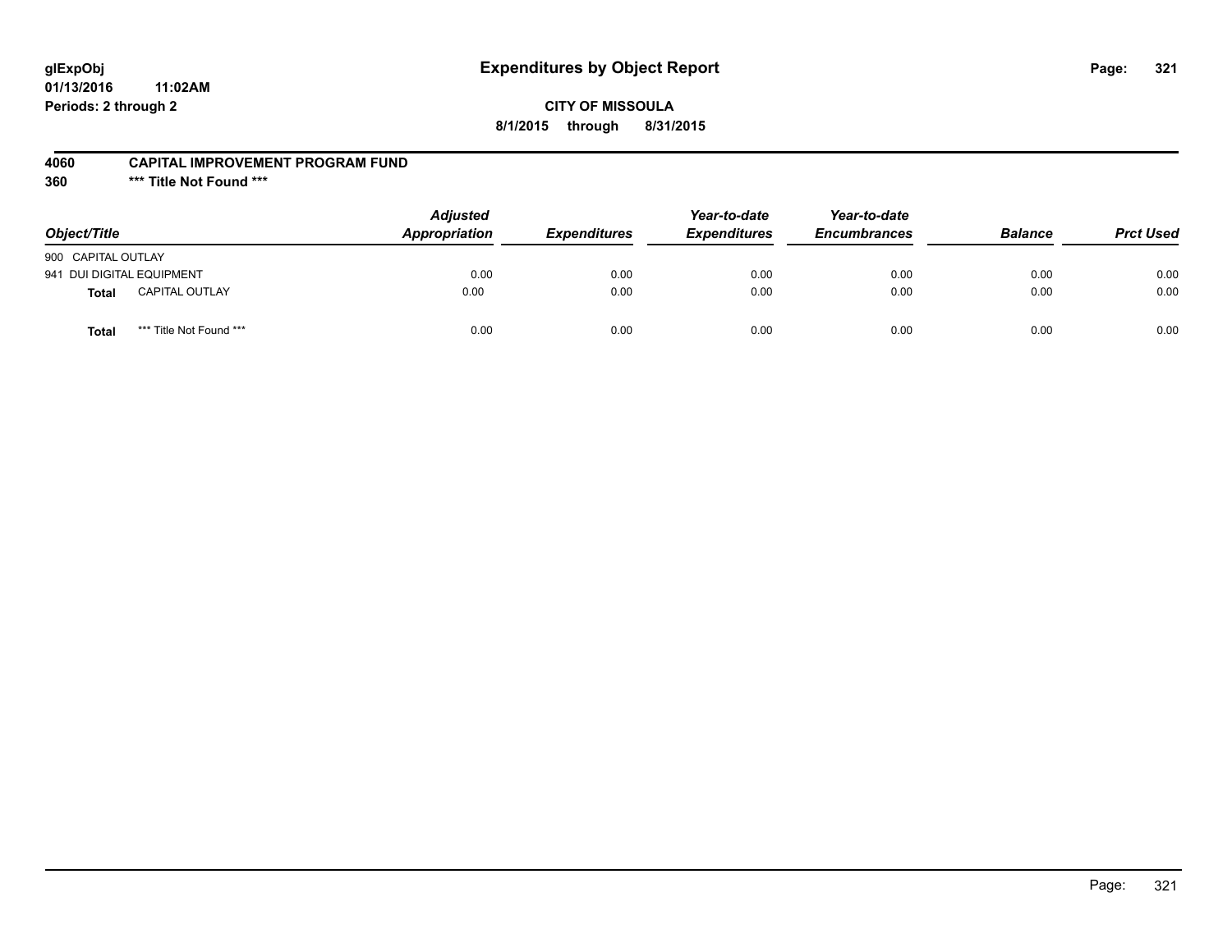# **glExpObj Expenditures by Object Report Page: 321**

**01/13/2016 11:02AM Periods: 2 through 2**

### **4060 CAPITAL IMPROVEMENT PROGRAM FUND**

**360 \*\*\* Title Not Found \*\*\***

| Object/Title                            | <b>Adjusted</b><br><b>Appropriation</b> | <b>Expenditures</b> | Year-to-date<br><b>Expenditures</b> | Year-to-date<br><b>Encumbrances</b> | <b>Balance</b> | <b>Prct Used</b> |
|-----------------------------------------|-----------------------------------------|---------------------|-------------------------------------|-------------------------------------|----------------|------------------|
| 900 CAPITAL OUTLAY                      |                                         |                     |                                     |                                     |                |                  |
| 941 DUI DIGITAL EQUIPMENT               | 0.00                                    | 0.00                | 0.00                                | 0.00                                | 0.00           | 0.00             |
| <b>CAPITAL OUTLAY</b><br><b>Total</b>   | 0.00                                    | 0.00                | 0.00                                | 0.00                                | 0.00           | 0.00             |
| *** Title Not Found ***<br><b>Total</b> | 0.00                                    | 0.00                | 0.00                                | 0.00                                | 0.00           | 0.00             |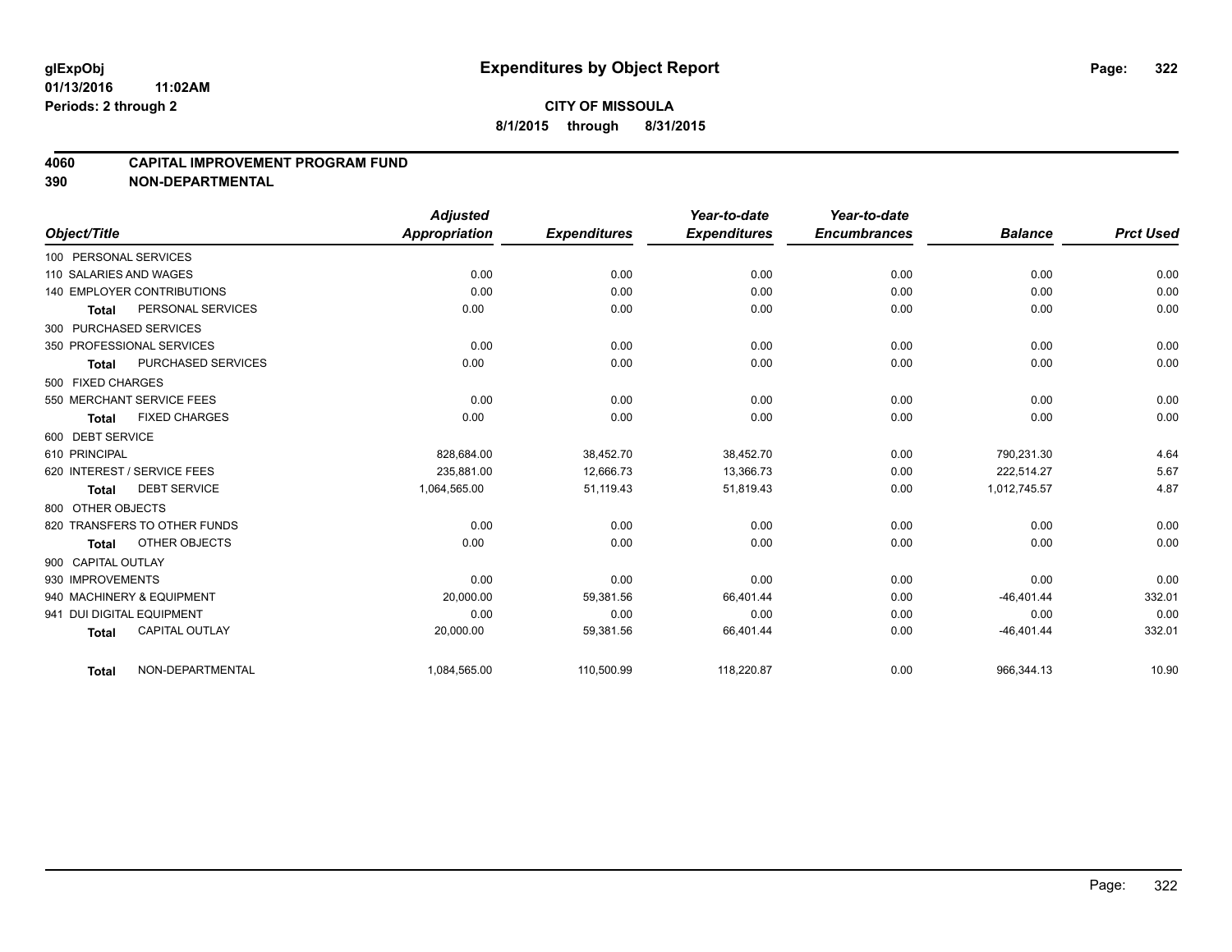#### **4060 CAPITAL IMPROVEMENT PROGRAM FUND**

|                                   |                       | <b>Adjusted</b>      |                     | Year-to-date        | Year-to-date        |                |                  |
|-----------------------------------|-----------------------|----------------------|---------------------|---------------------|---------------------|----------------|------------------|
| Object/Title                      |                       | <b>Appropriation</b> | <b>Expenditures</b> | <b>Expenditures</b> | <b>Encumbrances</b> | <b>Balance</b> | <b>Prct Used</b> |
| 100 PERSONAL SERVICES             |                       |                      |                     |                     |                     |                |                  |
| 110 SALARIES AND WAGES            |                       | 0.00                 | 0.00                | 0.00                | 0.00                | 0.00           | 0.00             |
| <b>140 EMPLOYER CONTRIBUTIONS</b> |                       | 0.00                 | 0.00                | 0.00                | 0.00                | 0.00           | 0.00             |
| <b>Total</b>                      | PERSONAL SERVICES     | 0.00                 | 0.00                | 0.00                | 0.00                | 0.00           | 0.00             |
| 300 PURCHASED SERVICES            |                       |                      |                     |                     |                     |                |                  |
| 350 PROFESSIONAL SERVICES         |                       | 0.00                 | 0.00                | 0.00                | 0.00                | 0.00           | 0.00             |
| <b>Total</b>                      | PURCHASED SERVICES    | 0.00                 | 0.00                | 0.00                | 0.00                | 0.00           | 0.00             |
| 500 FIXED CHARGES                 |                       |                      |                     |                     |                     |                |                  |
| 550 MERCHANT SERVICE FEES         |                       | 0.00                 | 0.00                | 0.00                | 0.00                | 0.00           | 0.00             |
| <b>Total</b>                      | <b>FIXED CHARGES</b>  | 0.00                 | 0.00                | 0.00                | 0.00                | 0.00           | 0.00             |
| 600 DEBT SERVICE                  |                       |                      |                     |                     |                     |                |                  |
| 610 PRINCIPAL                     |                       | 828.684.00           | 38,452.70           | 38,452.70           | 0.00                | 790.231.30     | 4.64             |
| 620 INTEREST / SERVICE FEES       |                       | 235.881.00           | 12,666.73           | 13,366.73           | 0.00                | 222.514.27     | 5.67             |
| <b>Total</b>                      | <b>DEBT SERVICE</b>   | 1,064,565.00         | 51,119.43           | 51,819.43           | 0.00                | 1,012,745.57   | 4.87             |
| 800 OTHER OBJECTS                 |                       |                      |                     |                     |                     |                |                  |
| 820 TRANSFERS TO OTHER FUNDS      |                       | 0.00                 | 0.00                | 0.00                | 0.00                | 0.00           | 0.00             |
| <b>Total</b>                      | OTHER OBJECTS         | 0.00                 | 0.00                | 0.00                | 0.00                | 0.00           | 0.00             |
| 900 CAPITAL OUTLAY                |                       |                      |                     |                     |                     |                |                  |
| 930 IMPROVEMENTS                  |                       | 0.00                 | 0.00                | 0.00                | 0.00                | 0.00           | 0.00             |
| 940 MACHINERY & EQUIPMENT         |                       | 20,000.00            | 59,381.56           | 66,401.44           | 0.00                | $-46,401.44$   | 332.01           |
| 941 DUI DIGITAL EQUIPMENT         |                       | 0.00                 | 0.00                | 0.00                | 0.00                | 0.00           | 0.00             |
| <b>Total</b>                      | <b>CAPITAL OUTLAY</b> | 20,000.00            | 59,381.56           | 66,401.44           | 0.00                | $-46,401.44$   | 332.01           |
| <b>Total</b>                      | NON-DEPARTMENTAL      | 1,084,565.00         | 110,500.99          | 118,220.87          | 0.00                | 966,344.13     | 10.90            |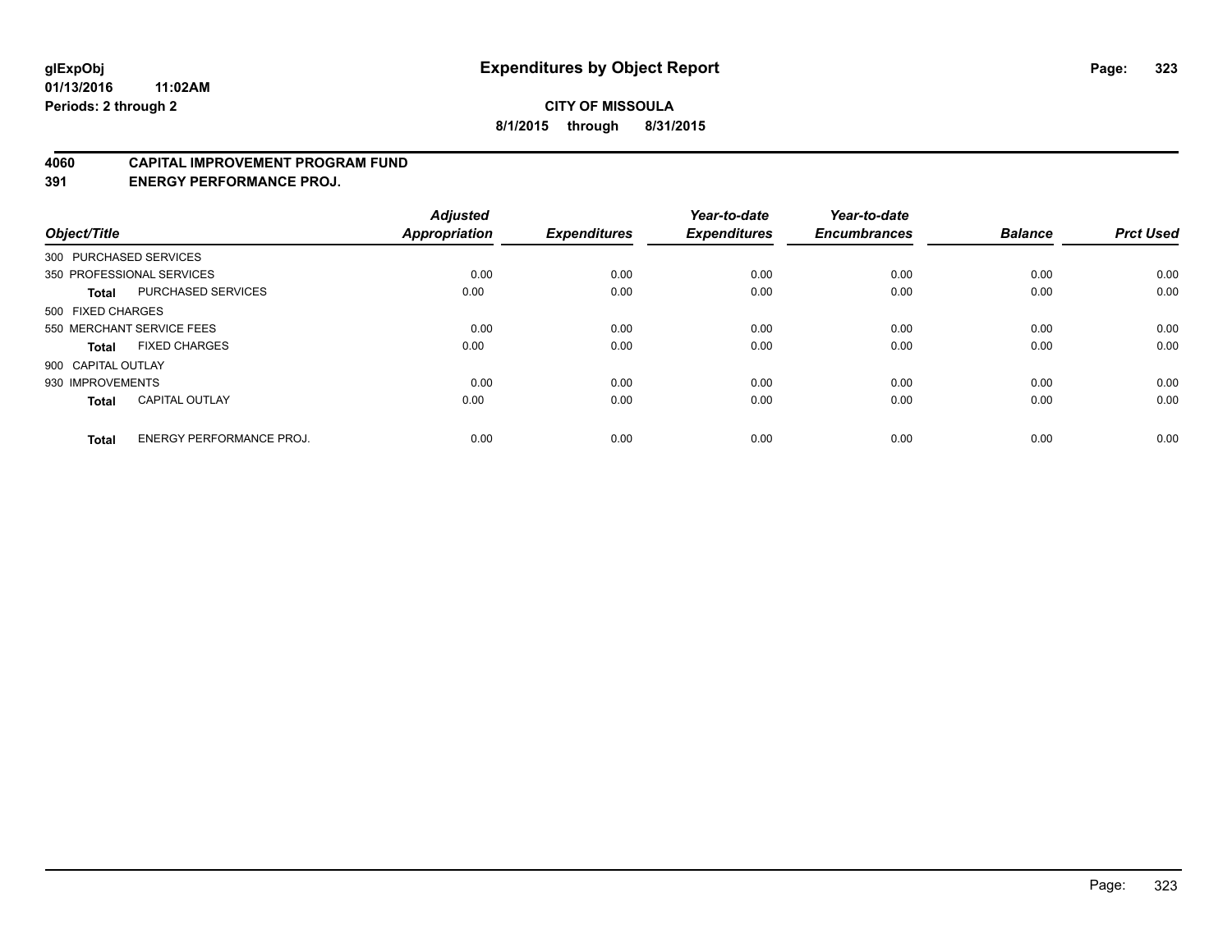#### **4060 CAPITAL IMPROVEMENT PROGRAM FUND**

**391 ENERGY PERFORMANCE PROJ.**

| Object/Title       |                                 | <b>Adjusted</b><br><b>Appropriation</b> | <b>Expenditures</b> | Year-to-date<br><b>Expenditures</b> | Year-to-date<br><b>Encumbrances</b> | <b>Balance</b> | <b>Prct Used</b> |
|--------------------|---------------------------------|-----------------------------------------|---------------------|-------------------------------------|-------------------------------------|----------------|------------------|
|                    | 300 PURCHASED SERVICES          |                                         |                     |                                     |                                     |                |                  |
|                    | 350 PROFESSIONAL SERVICES       | 0.00                                    | 0.00                | 0.00                                | 0.00                                | 0.00           | 0.00             |
| <b>Total</b>       | <b>PURCHASED SERVICES</b>       | 0.00                                    | 0.00                | 0.00                                | 0.00                                | 0.00           | 0.00             |
| 500 FIXED CHARGES  |                                 |                                         |                     |                                     |                                     |                |                  |
|                    | 550 MERCHANT SERVICE FEES       | 0.00                                    | 0.00                | 0.00                                | 0.00                                | 0.00           | 0.00             |
| Total              | <b>FIXED CHARGES</b>            | 0.00                                    | 0.00                | 0.00                                | 0.00                                | 0.00           | 0.00             |
| 900 CAPITAL OUTLAY |                                 |                                         |                     |                                     |                                     |                |                  |
| 930 IMPROVEMENTS   |                                 | 0.00                                    | 0.00                | 0.00                                | 0.00                                | 0.00           | 0.00             |
| Total              | <b>CAPITAL OUTLAY</b>           | 0.00                                    | 0.00                | 0.00                                | 0.00                                | 0.00           | 0.00             |
| <b>Total</b>       | <b>ENERGY PERFORMANCE PROJ.</b> | 0.00                                    | 0.00                | 0.00                                | 0.00                                | 0.00           | 0.00             |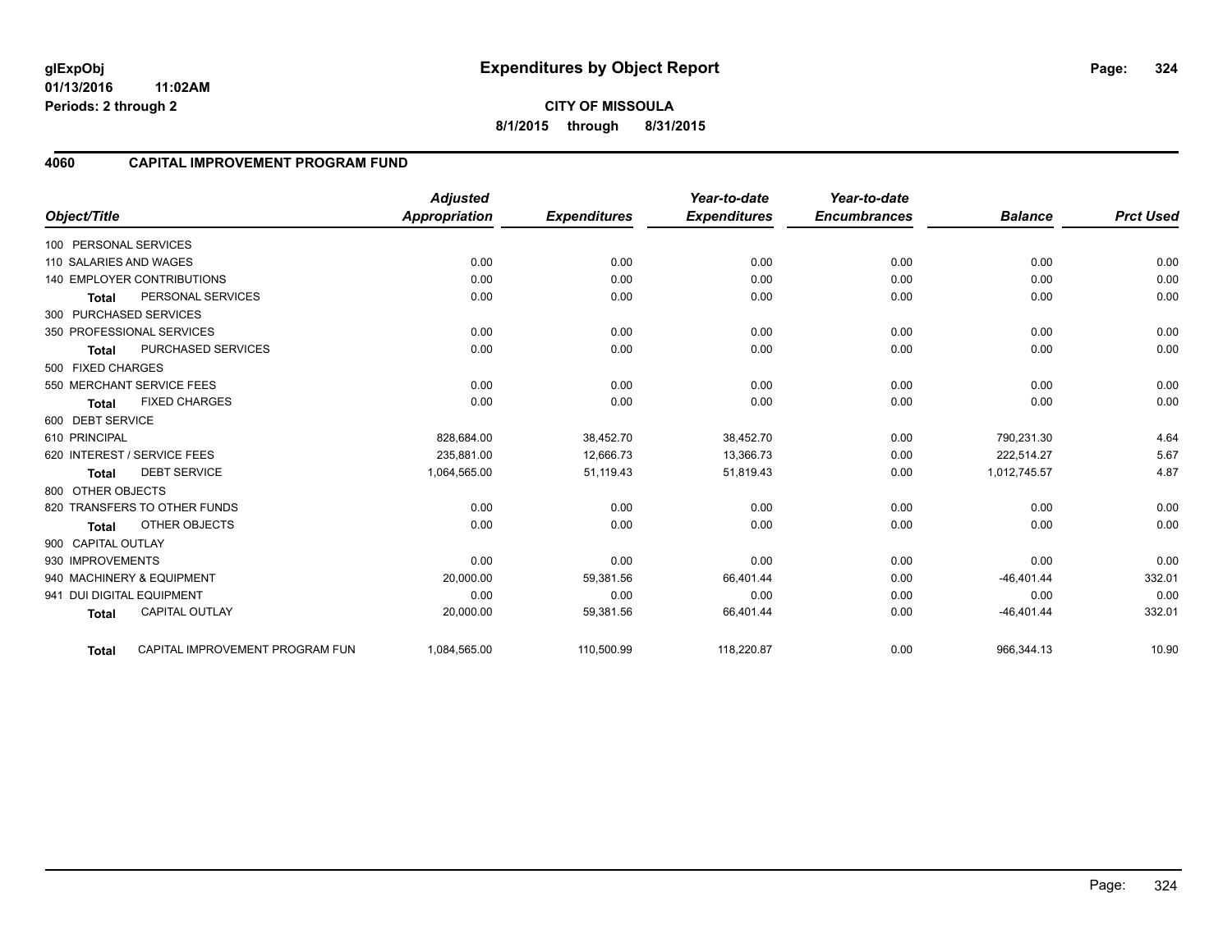**01/13/2016 11:02AM Periods: 2 through 2**

# **4060 CAPITAL IMPROVEMENT PROGRAM FUND**

|                           |                                   | <b>Adjusted</b> |                     | Year-to-date        | Year-to-date<br><b>Encumbrances</b> |                | <b>Prct Used</b> |
|---------------------------|-----------------------------------|-----------------|---------------------|---------------------|-------------------------------------|----------------|------------------|
| Object/Title              |                                   | Appropriation   | <b>Expenditures</b> | <b>Expenditures</b> |                                     | <b>Balance</b> |                  |
| 100 PERSONAL SERVICES     |                                   |                 |                     |                     |                                     |                |                  |
| 110 SALARIES AND WAGES    |                                   | 0.00            | 0.00                | 0.00                | 0.00                                | 0.00           | 0.00             |
|                           | <b>140 EMPLOYER CONTRIBUTIONS</b> | 0.00            | 0.00                | 0.00                | 0.00                                | 0.00           | 0.00             |
| <b>Total</b>              | PERSONAL SERVICES                 | 0.00            | 0.00                | 0.00                | 0.00                                | 0.00           | 0.00             |
| 300 PURCHASED SERVICES    |                                   |                 |                     |                     |                                     |                |                  |
|                           | 350 PROFESSIONAL SERVICES         | 0.00            | 0.00                | 0.00                | 0.00                                | 0.00           | 0.00             |
| <b>Total</b>              | PURCHASED SERVICES                | 0.00            | 0.00                | 0.00                | 0.00                                | 0.00           | 0.00             |
| 500 FIXED CHARGES         |                                   |                 |                     |                     |                                     |                |                  |
|                           | 550 MERCHANT SERVICE FEES         | 0.00            | 0.00                | 0.00                | 0.00                                | 0.00           | 0.00             |
| <b>Total</b>              | <b>FIXED CHARGES</b>              | 0.00            | 0.00                | 0.00                | 0.00                                | 0.00           | 0.00             |
| 600 DEBT SERVICE          |                                   |                 |                     |                     |                                     |                |                  |
| 610 PRINCIPAL             |                                   | 828,684.00      | 38,452.70           | 38,452.70           | 0.00                                | 790,231.30     | 4.64             |
|                           | 620 INTEREST / SERVICE FEES       | 235.881.00      | 12,666.73           | 13,366.73           | 0.00                                | 222,514.27     | 5.67             |
| Total                     | <b>DEBT SERVICE</b>               | 1,064,565.00    | 51,119.43           | 51,819.43           | 0.00                                | 1,012,745.57   | 4.87             |
| 800 OTHER OBJECTS         |                                   |                 |                     |                     |                                     |                |                  |
|                           | 820 TRANSFERS TO OTHER FUNDS      | 0.00            | 0.00                | 0.00                | 0.00                                | 0.00           | 0.00             |
| <b>Total</b>              | OTHER OBJECTS                     | 0.00            | 0.00                | 0.00                | 0.00                                | 0.00           | 0.00             |
| 900 CAPITAL OUTLAY        |                                   |                 |                     |                     |                                     |                |                  |
| 930 IMPROVEMENTS          |                                   | 0.00            | 0.00                | 0.00                | 0.00                                | 0.00           | 0.00             |
|                           | 940 MACHINERY & EQUIPMENT         | 20,000.00       | 59,381.56           | 66,401.44           | 0.00                                | $-46,401.44$   | 332.01           |
| 941 DUI DIGITAL EQUIPMENT |                                   | 0.00            | 0.00                | 0.00                | 0.00                                | 0.00           | 0.00             |
| <b>Total</b>              | <b>CAPITAL OUTLAY</b>             | 20,000.00       | 59,381.56           | 66,401.44           | 0.00                                | $-46,401.44$   | 332.01           |
| Total                     | CAPITAL IMPROVEMENT PROGRAM FUN   | 1,084,565.00    | 110,500.99          | 118,220.87          | 0.00                                | 966,344.13     | 10.90            |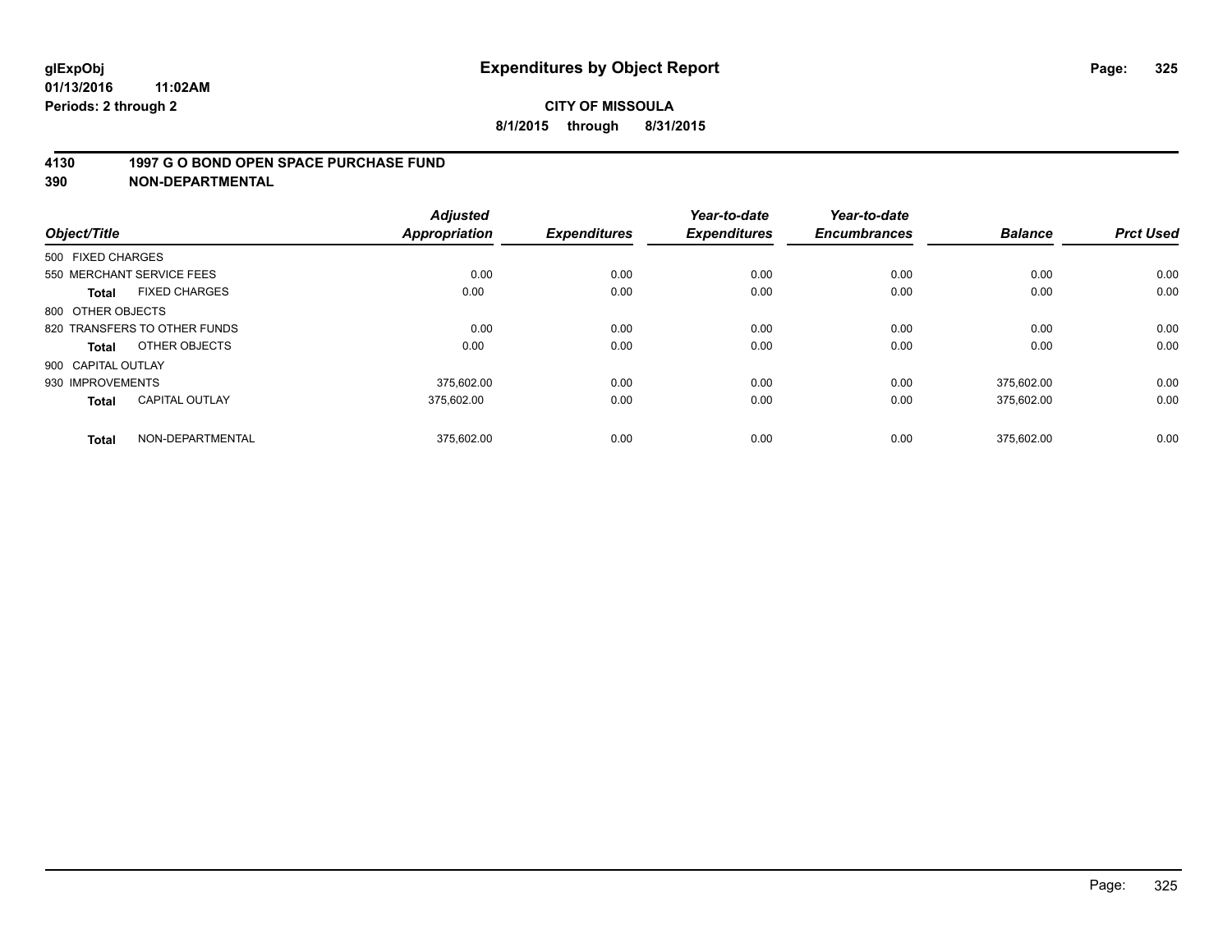#### **4130 1997 G O BOND OPEN SPACE PURCHASE FUND**

**390 NON-DEPARTMENTAL**

| Object/Title                          | <b>Adjusted</b><br><b>Appropriation</b> | <b>Expenditures</b> | Year-to-date<br><b>Expenditures</b> | Year-to-date<br><b>Encumbrances</b> | <b>Balance</b> | <b>Prct Used</b> |
|---------------------------------------|-----------------------------------------|---------------------|-------------------------------------|-------------------------------------|----------------|------------------|
| 500 FIXED CHARGES                     |                                         |                     |                                     |                                     |                |                  |
| 550 MERCHANT SERVICE FEES             |                                         | 0.00<br>0.00        | 0.00                                | 0.00                                | 0.00           | 0.00             |
| <b>FIXED CHARGES</b><br><b>Total</b>  | 0.00                                    | 0.00                | 0.00                                | 0.00                                | 0.00           | 0.00             |
| 800 OTHER OBJECTS                     |                                         |                     |                                     |                                     |                |                  |
| 820 TRANSFERS TO OTHER FUNDS          |                                         | 0.00<br>0.00        | 0.00                                | 0.00                                | 0.00           | 0.00             |
| OTHER OBJECTS<br>Total                | 0.00                                    | 0.00                | 0.00                                | 0.00                                | 0.00           | 0.00             |
| 900 CAPITAL OUTLAY                    |                                         |                     |                                     |                                     |                |                  |
| 930 IMPROVEMENTS                      | 375.602.00                              | 0.00                | 0.00                                | 0.00                                | 375.602.00     | 0.00             |
| <b>CAPITAL OUTLAY</b><br><b>Total</b> | 375.602.00                              | 0.00                | 0.00                                | 0.00                                | 375,602.00     | 0.00             |
| NON-DEPARTMENTAL<br><b>Total</b>      | 375,602.00                              | 0.00                | 0.00                                | 0.00                                | 375.602.00     | 0.00             |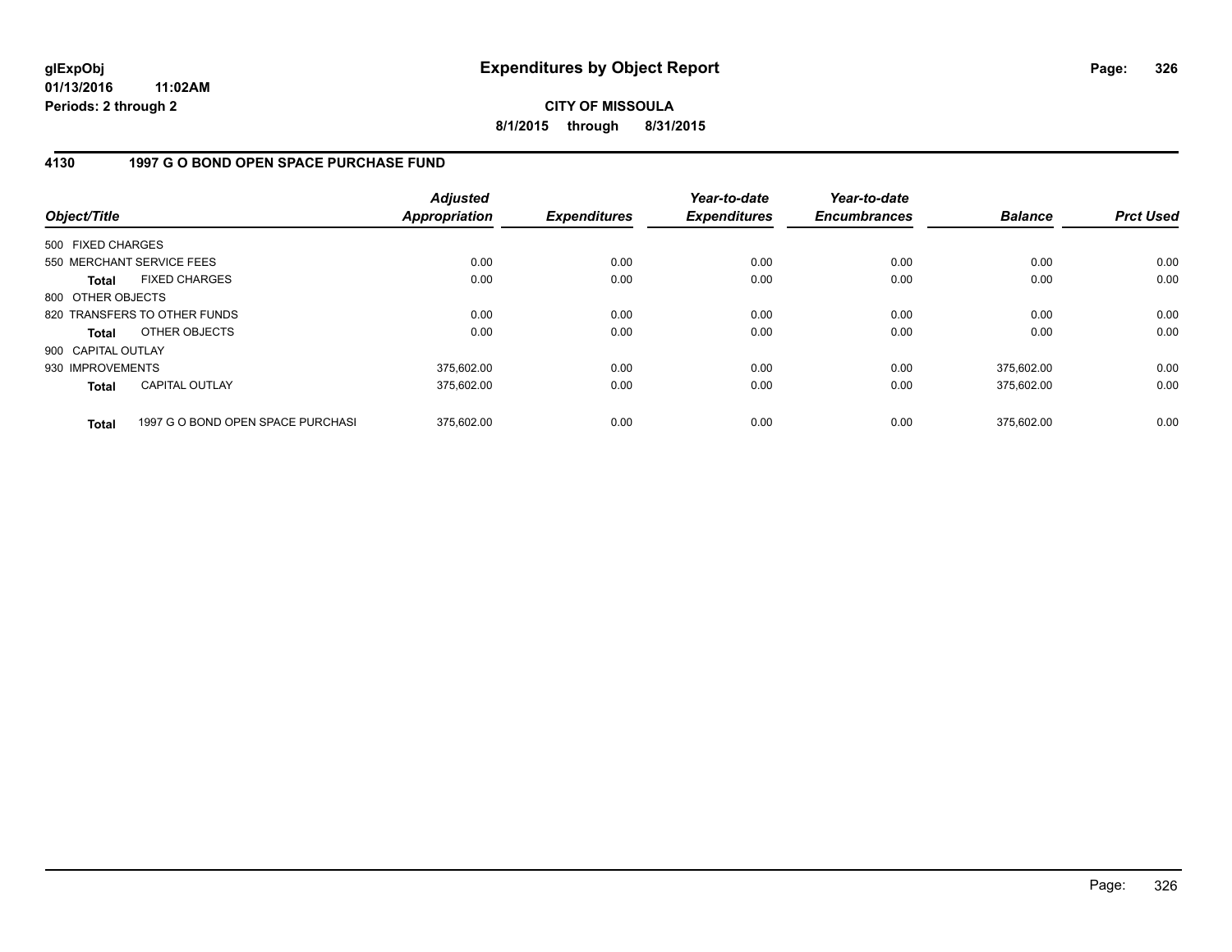**CITY OF MISSOULA 8/1/2015 through 8/31/2015**

## **4130 1997 G O BOND OPEN SPACE PURCHASE FUND**

| Object/Title       |                                   | <b>Adjusted</b><br><b>Appropriation</b> | <b>Expenditures</b> | Year-to-date<br><b>Expenditures</b> | Year-to-date<br><b>Encumbrances</b> | <b>Balance</b> | <b>Prct Used</b> |
|--------------------|-----------------------------------|-----------------------------------------|---------------------|-------------------------------------|-------------------------------------|----------------|------------------|
| 500 FIXED CHARGES  |                                   |                                         |                     |                                     |                                     |                |                  |
|                    | 550 MERCHANT SERVICE FEES         | 0.00                                    | 0.00                | 0.00                                | 0.00                                | 0.00           | 0.00             |
| Total              | <b>FIXED CHARGES</b>              | 0.00                                    | 0.00                | 0.00                                | 0.00                                | 0.00           | 0.00             |
| 800 OTHER OBJECTS  |                                   |                                         |                     |                                     |                                     |                |                  |
|                    | 820 TRANSFERS TO OTHER FUNDS      | 0.00                                    | 0.00                | 0.00                                | 0.00                                | 0.00           | 0.00             |
| Total              | OTHER OBJECTS                     | 0.00                                    | 0.00                | 0.00                                | 0.00                                | 0.00           | 0.00             |
| 900 CAPITAL OUTLAY |                                   |                                         |                     |                                     |                                     |                |                  |
| 930 IMPROVEMENTS   |                                   | 375,602.00                              | 0.00                | 0.00                                | 0.00                                | 375,602.00     | 0.00             |
| <b>Total</b>       | CAPITAL OUTLAY                    | 375,602.00                              | 0.00                | 0.00                                | 0.00                                | 375,602.00     | 0.00             |
| <b>Total</b>       | 1997 G O BOND OPEN SPACE PURCHASI | 375.602.00                              | 0.00                | 0.00                                | 0.00                                | 375.602.00     | 0.00             |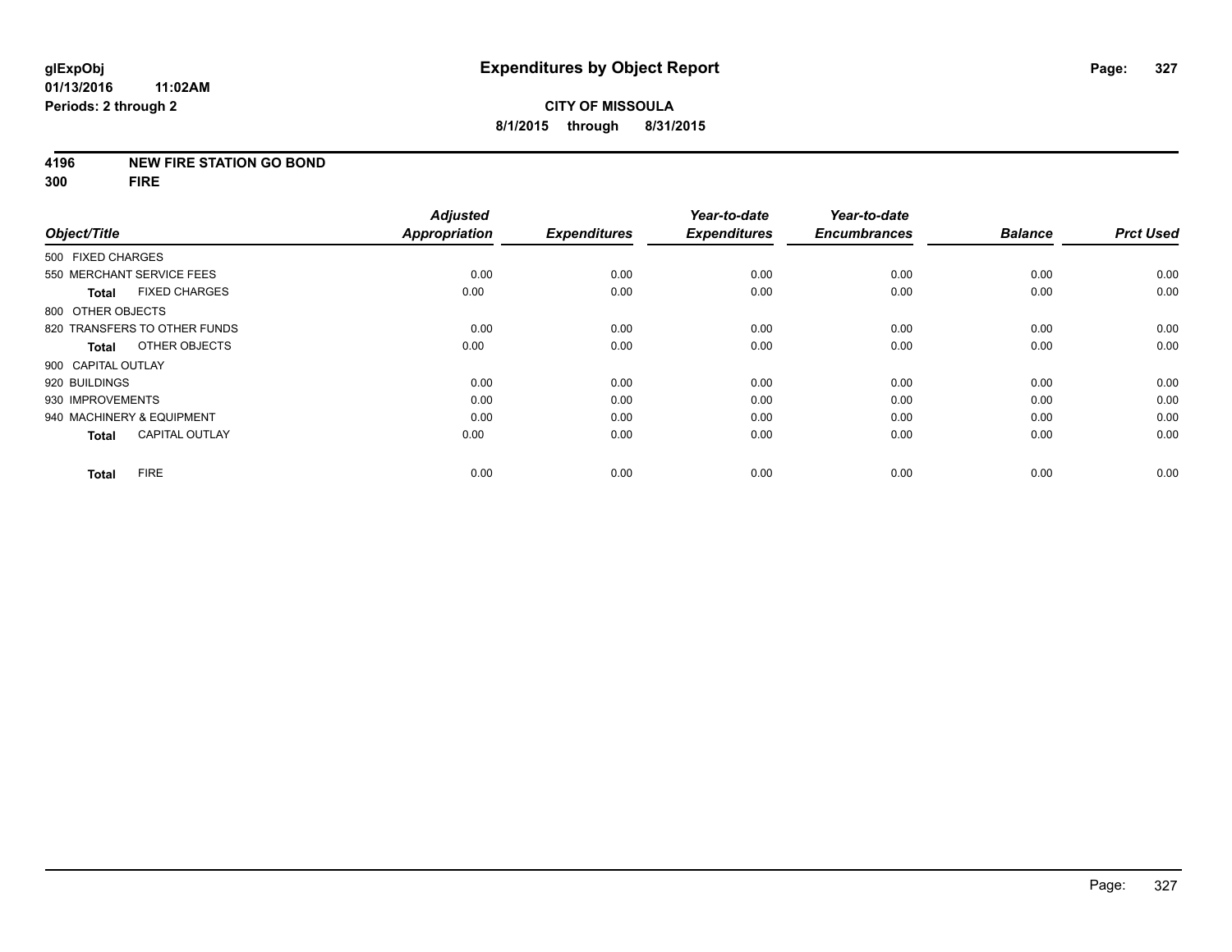#### **4196 NEW FIRE STATION GO BOND**

**300 FIRE**

|                              |                       | <b>Adjusted</b>      |                     | Year-to-date        | Year-to-date        |                |                  |
|------------------------------|-----------------------|----------------------|---------------------|---------------------|---------------------|----------------|------------------|
| Object/Title                 |                       | <b>Appropriation</b> | <b>Expenditures</b> | <b>Expenditures</b> | <b>Encumbrances</b> | <b>Balance</b> | <b>Prct Used</b> |
| 500 FIXED CHARGES            |                       |                      |                     |                     |                     |                |                  |
| 550 MERCHANT SERVICE FEES    |                       | 0.00                 | 0.00                | 0.00                | 0.00                | 0.00           | 0.00             |
| <b>Total</b>                 | <b>FIXED CHARGES</b>  | 0.00                 | 0.00                | 0.00                | 0.00                | 0.00           | 0.00             |
| 800 OTHER OBJECTS            |                       |                      |                     |                     |                     |                |                  |
| 820 TRANSFERS TO OTHER FUNDS |                       | 0.00                 | 0.00                | 0.00                | 0.00                | 0.00           | 0.00             |
| <b>Total</b>                 | OTHER OBJECTS         | 0.00                 | 0.00                | 0.00                | 0.00                | 0.00           | 0.00             |
| 900 CAPITAL OUTLAY           |                       |                      |                     |                     |                     |                |                  |
| 920 BUILDINGS                |                       | 0.00                 | 0.00                | 0.00                | 0.00                | 0.00           | 0.00             |
| 930 IMPROVEMENTS             |                       | 0.00                 | 0.00                | 0.00                | 0.00                | 0.00           | 0.00             |
| 940 MACHINERY & EQUIPMENT    |                       | 0.00                 | 0.00                | 0.00                | 0.00                | 0.00           | 0.00             |
| <b>Total</b>                 | <b>CAPITAL OUTLAY</b> | 0.00                 | 0.00                | 0.00                | 0.00                | 0.00           | 0.00             |
| <b>FIRE</b><br><b>Total</b>  |                       | 0.00                 | 0.00                | 0.00                | 0.00                | 0.00           | 0.00             |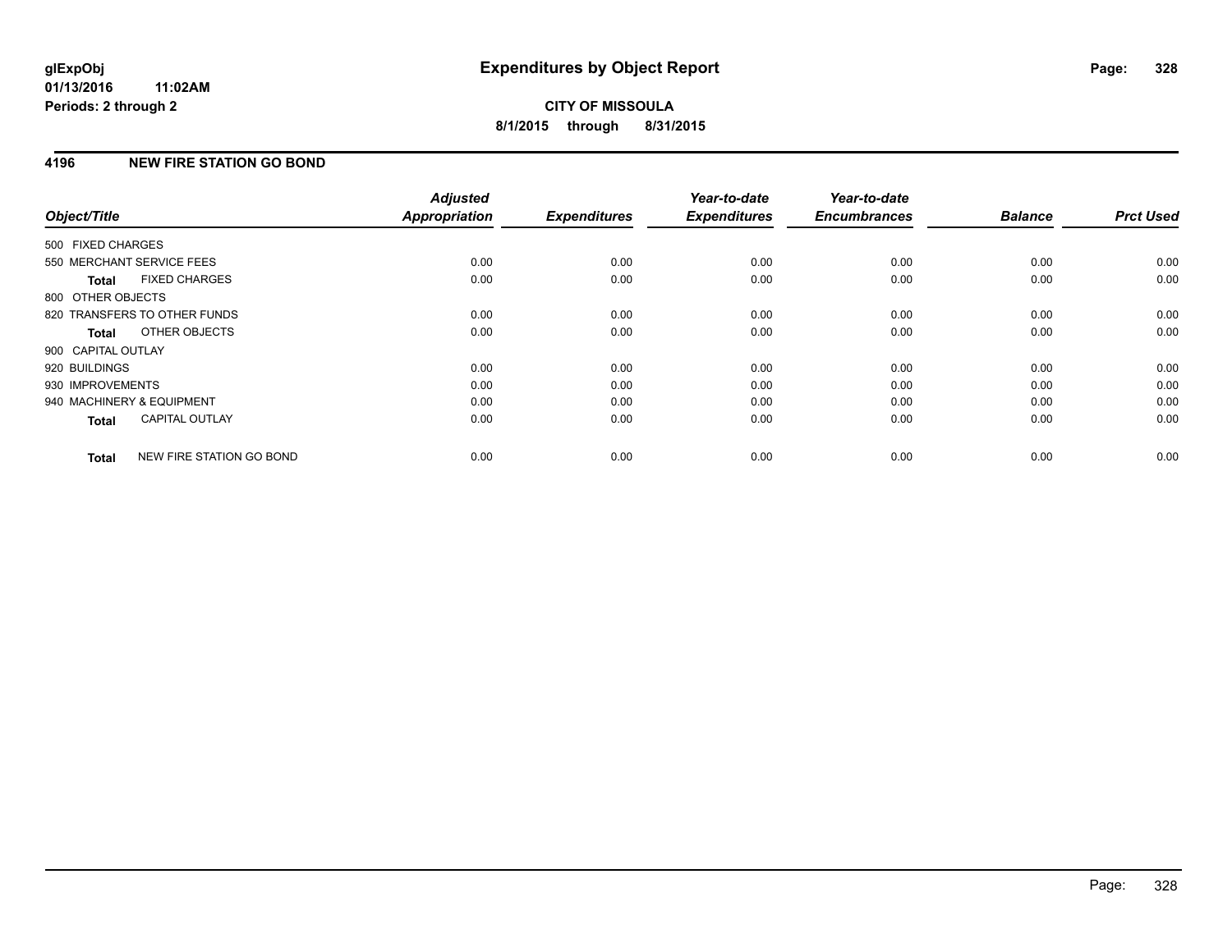## **4196 NEW FIRE STATION GO BOND**

| Object/Title              |                              | <b>Adjusted</b><br><b>Appropriation</b> | <b>Expenditures</b> | Year-to-date<br><b>Expenditures</b> | Year-to-date<br><b>Encumbrances</b> | <b>Balance</b> | <b>Prct Used</b> |
|---------------------------|------------------------------|-----------------------------------------|---------------------|-------------------------------------|-------------------------------------|----------------|------------------|
|                           |                              |                                         |                     |                                     |                                     |                |                  |
| 500 FIXED CHARGES         |                              |                                         |                     |                                     |                                     |                |                  |
| 550 MERCHANT SERVICE FEES |                              | 0.00                                    | 0.00                | 0.00                                | 0.00                                | 0.00           | 0.00             |
| Total                     | <b>FIXED CHARGES</b>         | 0.00                                    | 0.00                | 0.00                                | 0.00                                | 0.00           | 0.00             |
| 800 OTHER OBJECTS         |                              |                                         |                     |                                     |                                     |                |                  |
|                           | 820 TRANSFERS TO OTHER FUNDS | 0.00                                    | 0.00                | 0.00                                | 0.00                                | 0.00           | 0.00             |
| Total                     | OTHER OBJECTS                | 0.00                                    | 0.00                | 0.00                                | 0.00                                | 0.00           | 0.00             |
| 900 CAPITAL OUTLAY        |                              |                                         |                     |                                     |                                     |                |                  |
| 920 BUILDINGS             |                              | 0.00                                    | 0.00                | 0.00                                | 0.00                                | 0.00           | 0.00             |
| 930 IMPROVEMENTS          |                              | 0.00                                    | 0.00                | 0.00                                | 0.00                                | 0.00           | 0.00             |
| 940 MACHINERY & EQUIPMENT |                              | 0.00                                    | 0.00                | 0.00                                | 0.00                                | 0.00           | 0.00             |
| <b>Total</b>              | <b>CAPITAL OUTLAY</b>        | 0.00                                    | 0.00                | 0.00                                | 0.00                                | 0.00           | 0.00             |
| <b>Total</b>              | NEW FIRE STATION GO BOND     | 0.00                                    | 0.00                | 0.00                                | 0.00                                | 0.00           | 0.00             |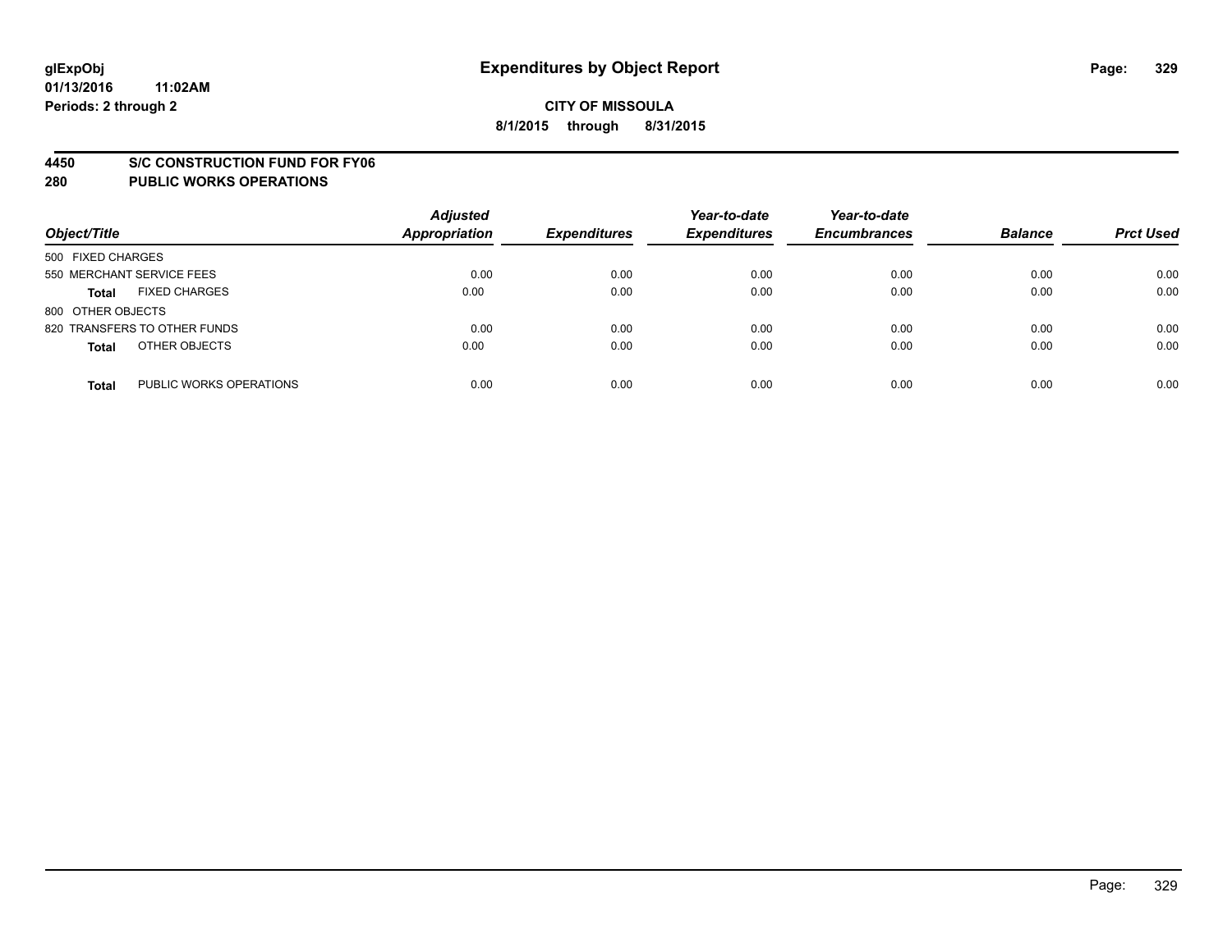#### **4450 S/C CONSTRUCTION FUND FOR FY06**

| Object/Title                            | <b>Adjusted</b><br><b>Appropriation</b> | <b>Expenditures</b> | Year-to-date<br><b>Expenditures</b> | Year-to-date<br><b>Encumbrances</b> | <b>Balance</b> | <b>Prct Used</b> |
|-----------------------------------------|-----------------------------------------|---------------------|-------------------------------------|-------------------------------------|----------------|------------------|
| 500 FIXED CHARGES                       |                                         |                     |                                     |                                     |                |                  |
| 550 MERCHANT SERVICE FEES               | 0.00                                    | 0.00                | 0.00                                | 0.00                                | 0.00           | 0.00             |
| <b>FIXED CHARGES</b><br><b>Total</b>    | 0.00                                    | 0.00                | 0.00                                | 0.00                                | 0.00           | 0.00             |
| 800 OTHER OBJECTS                       |                                         |                     |                                     |                                     |                |                  |
| 820 TRANSFERS TO OTHER FUNDS            | 0.00                                    | 0.00                | 0.00                                | 0.00                                | 0.00           | 0.00             |
| OTHER OBJECTS<br><b>Total</b>           | 0.00                                    | 0.00                | 0.00                                | 0.00                                | 0.00           | 0.00             |
| PUBLIC WORKS OPERATIONS<br><b>Total</b> | 0.00                                    | 0.00                | 0.00                                | 0.00                                | 0.00           | 0.00             |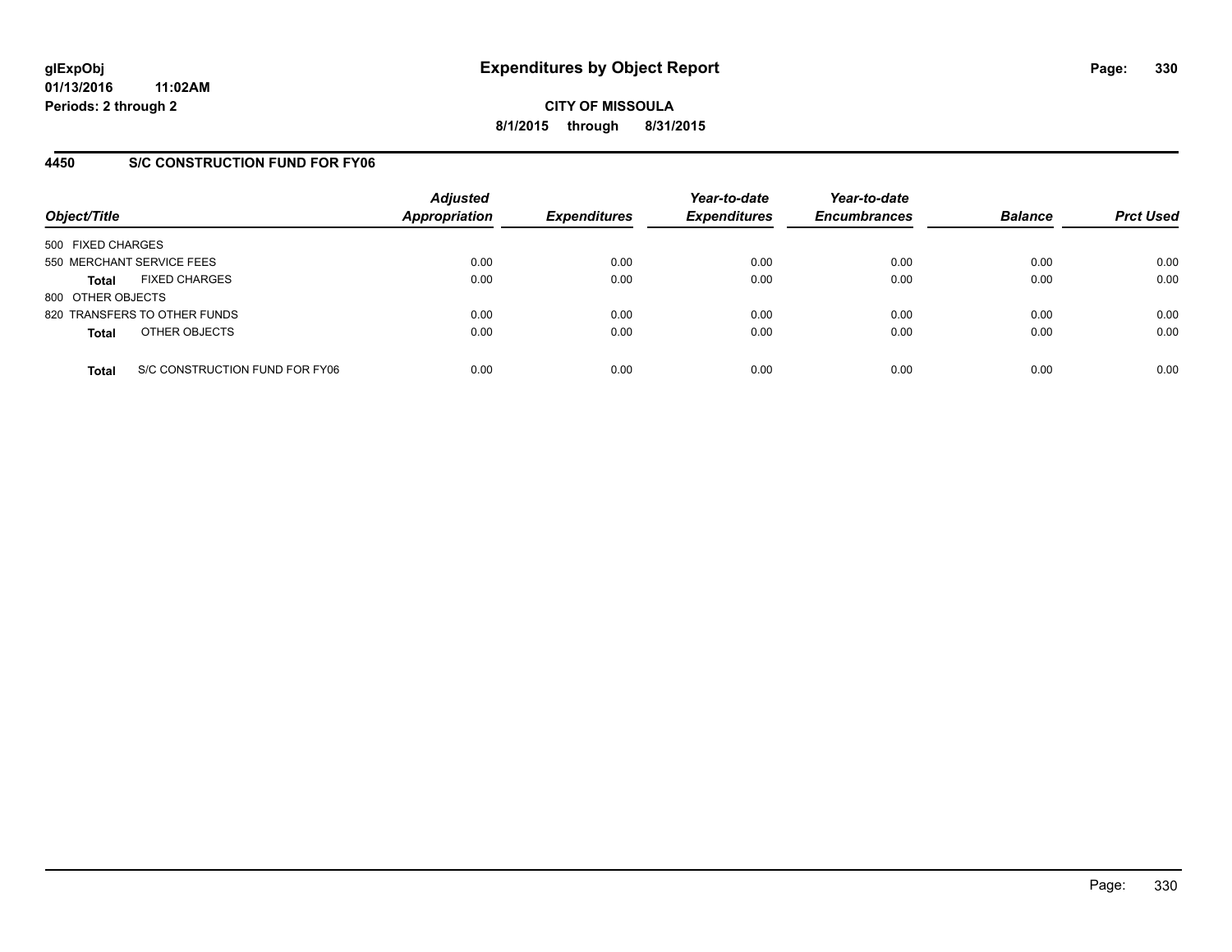**CITY OF MISSOULA 8/1/2015 through 8/31/2015**

## **4450 S/C CONSTRUCTION FUND FOR FY06**

| Object/Title                                   | <b>Adjusted</b><br>Appropriation | <b>Expenditures</b> | Year-to-date<br><b>Expenditures</b> | Year-to-date<br><b>Encumbrances</b> | <b>Balance</b> | <b>Prct Used</b> |
|------------------------------------------------|----------------------------------|---------------------|-------------------------------------|-------------------------------------|----------------|------------------|
| 500 FIXED CHARGES                              |                                  |                     |                                     |                                     |                |                  |
| 550 MERCHANT SERVICE FEES                      | 0.00                             | 0.00                | 0.00                                | 0.00                                | 0.00           | 0.00             |
| <b>FIXED CHARGES</b><br><b>Total</b>           | 0.00                             | 0.00                | 0.00                                | 0.00                                | 0.00           | 0.00             |
| 800 OTHER OBJECTS                              |                                  |                     |                                     |                                     |                |                  |
| 820 TRANSFERS TO OTHER FUNDS                   | 0.00                             | 0.00                | 0.00                                | 0.00                                | 0.00           | 0.00             |
| OTHER OBJECTS<br><b>Total</b>                  | 0.00                             | 0.00                | 0.00                                | 0.00                                | 0.00           | 0.00             |
| S/C CONSTRUCTION FUND FOR FY06<br><b>Total</b> | 0.00                             | 0.00                | 0.00                                | 0.00                                | 0.00           | 0.00             |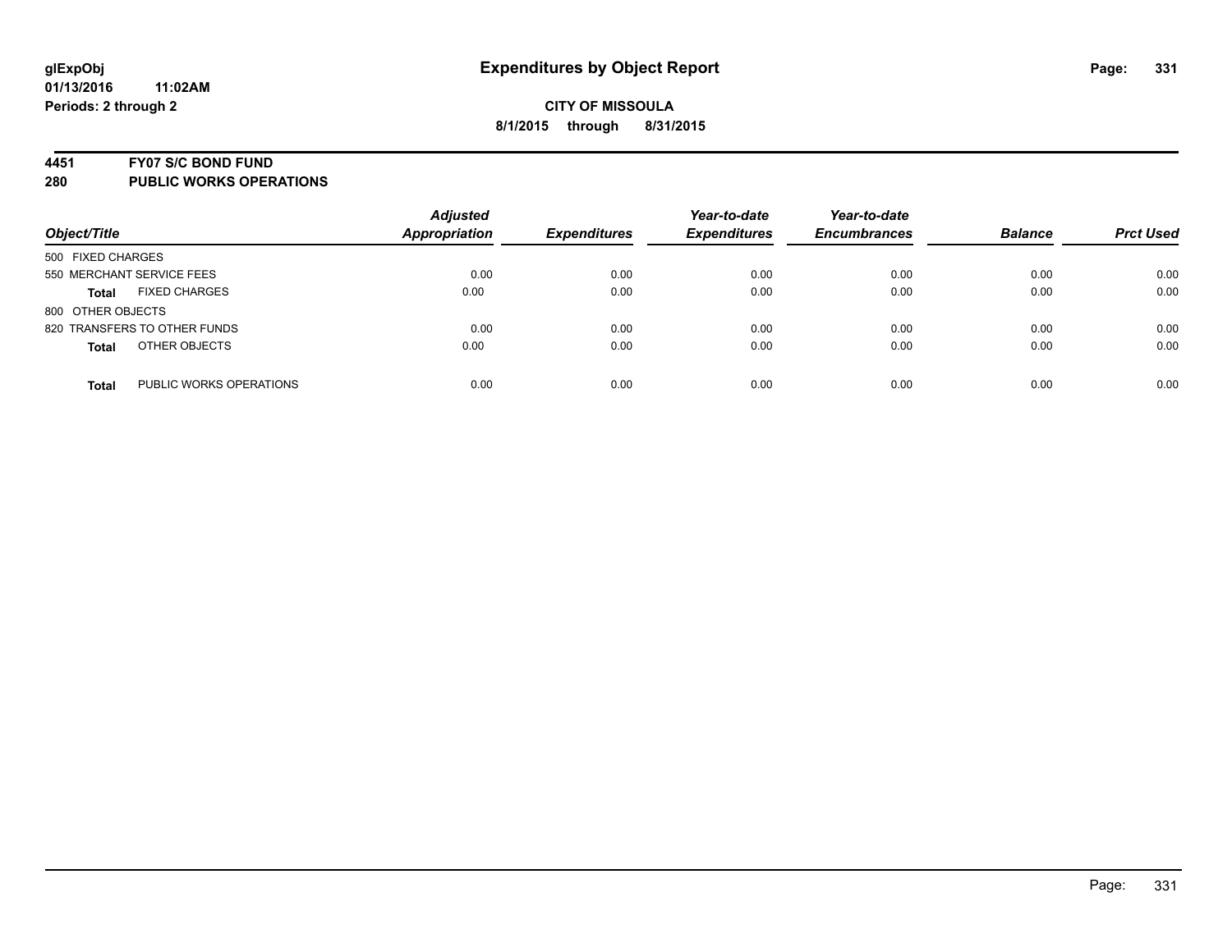#### **4451 FY07 S/C BOND FUND**

| Object/Title                            | <b>Adjusted</b><br><b>Appropriation</b> | <b>Expenditures</b> | Year-to-date<br><b>Expenditures</b> | Year-to-date<br><b>Encumbrances</b> | <b>Balance</b> | <b>Prct Used</b> |
|-----------------------------------------|-----------------------------------------|---------------------|-------------------------------------|-------------------------------------|----------------|------------------|
| 500 FIXED CHARGES                       |                                         |                     |                                     |                                     |                |                  |
| 550 MERCHANT SERVICE FEES               | 0.00                                    | 0.00                | 0.00                                | 0.00                                | 0.00           | 0.00             |
| <b>FIXED CHARGES</b><br><b>Total</b>    | 0.00                                    | 0.00                | 0.00                                | 0.00                                | 0.00           | 0.00             |
| 800 OTHER OBJECTS                       |                                         |                     |                                     |                                     |                |                  |
| 820 TRANSFERS TO OTHER FUNDS            | 0.00                                    | 0.00                | 0.00                                | 0.00                                | 0.00           | 0.00             |
| OTHER OBJECTS<br><b>Total</b>           | 0.00                                    | 0.00                | 0.00                                | 0.00                                | 0.00           | 0.00             |
| PUBLIC WORKS OPERATIONS<br><b>Total</b> | 0.00                                    | 0.00                | 0.00                                | 0.00                                | 0.00           | 0.00             |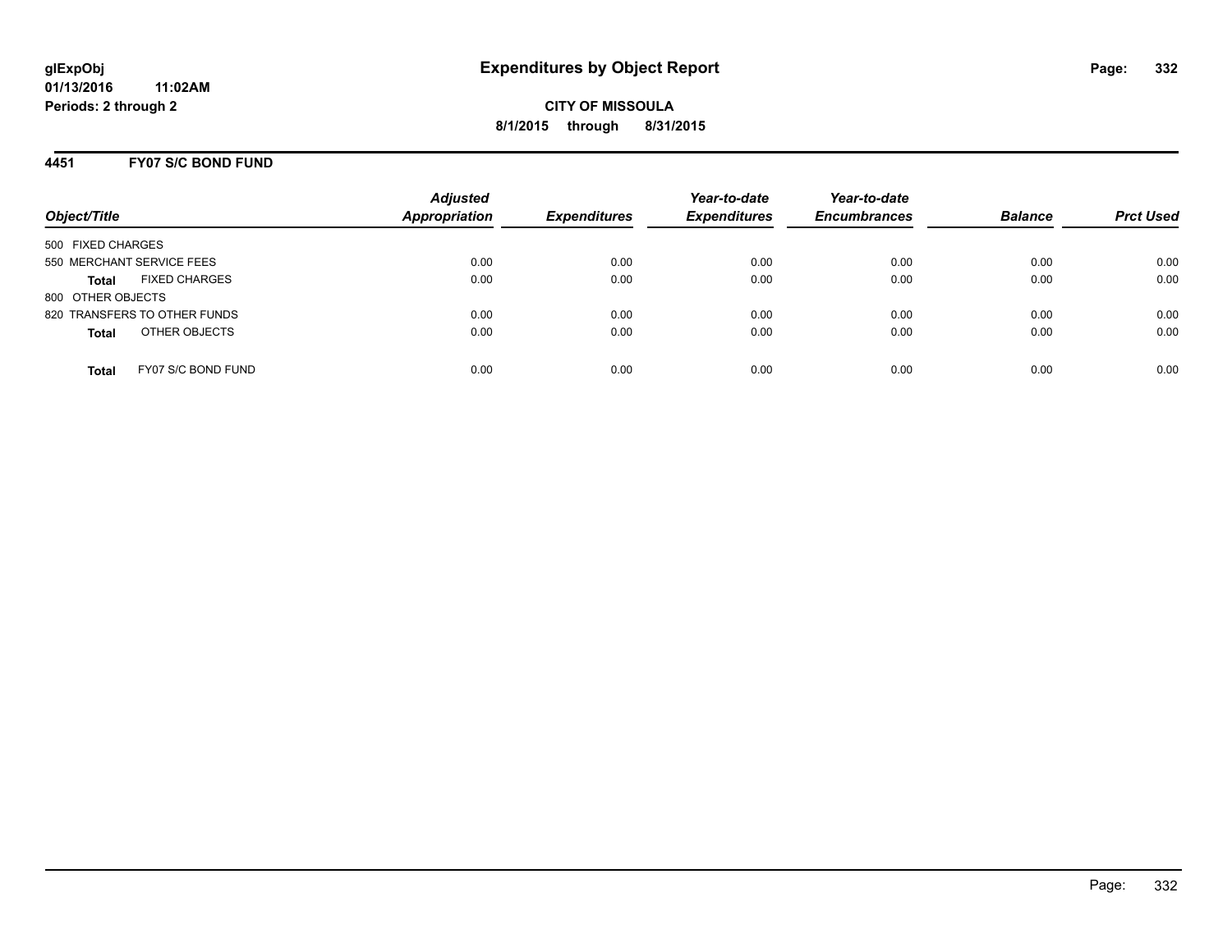#### **4451 FY07 S/C BOND FUND**

| Object/Title                         | <b>Adjusted</b><br><b>Appropriation</b> | <b>Expenditures</b> | Year-to-date<br><b>Expenditures</b> | Year-to-date<br><b>Encumbrances</b> | <b>Balance</b> | <b>Prct Used</b> |
|--------------------------------------|-----------------------------------------|---------------------|-------------------------------------|-------------------------------------|----------------|------------------|
| 500 FIXED CHARGES                    |                                         |                     |                                     |                                     |                |                  |
| 550 MERCHANT SERVICE FEES            | 0.00                                    | 0.00                | 0.00                                | 0.00                                | 0.00           | 0.00             |
| <b>FIXED CHARGES</b><br><b>Total</b> | 0.00                                    | 0.00                | 0.00                                | 0.00                                | 0.00           | 0.00             |
| 800 OTHER OBJECTS                    |                                         |                     |                                     |                                     |                |                  |
| 820 TRANSFERS TO OTHER FUNDS         | 0.00                                    | 0.00                | 0.00                                | 0.00                                | 0.00           | 0.00             |
| OTHER OBJECTS<br><b>Total</b>        | 0.00                                    | 0.00                | 0.00                                | 0.00                                | 0.00           | 0.00             |
| FY07 S/C BOND FUND<br>Total          | 0.00                                    | 0.00                | 0.00                                | 0.00                                | 0.00           | 0.00             |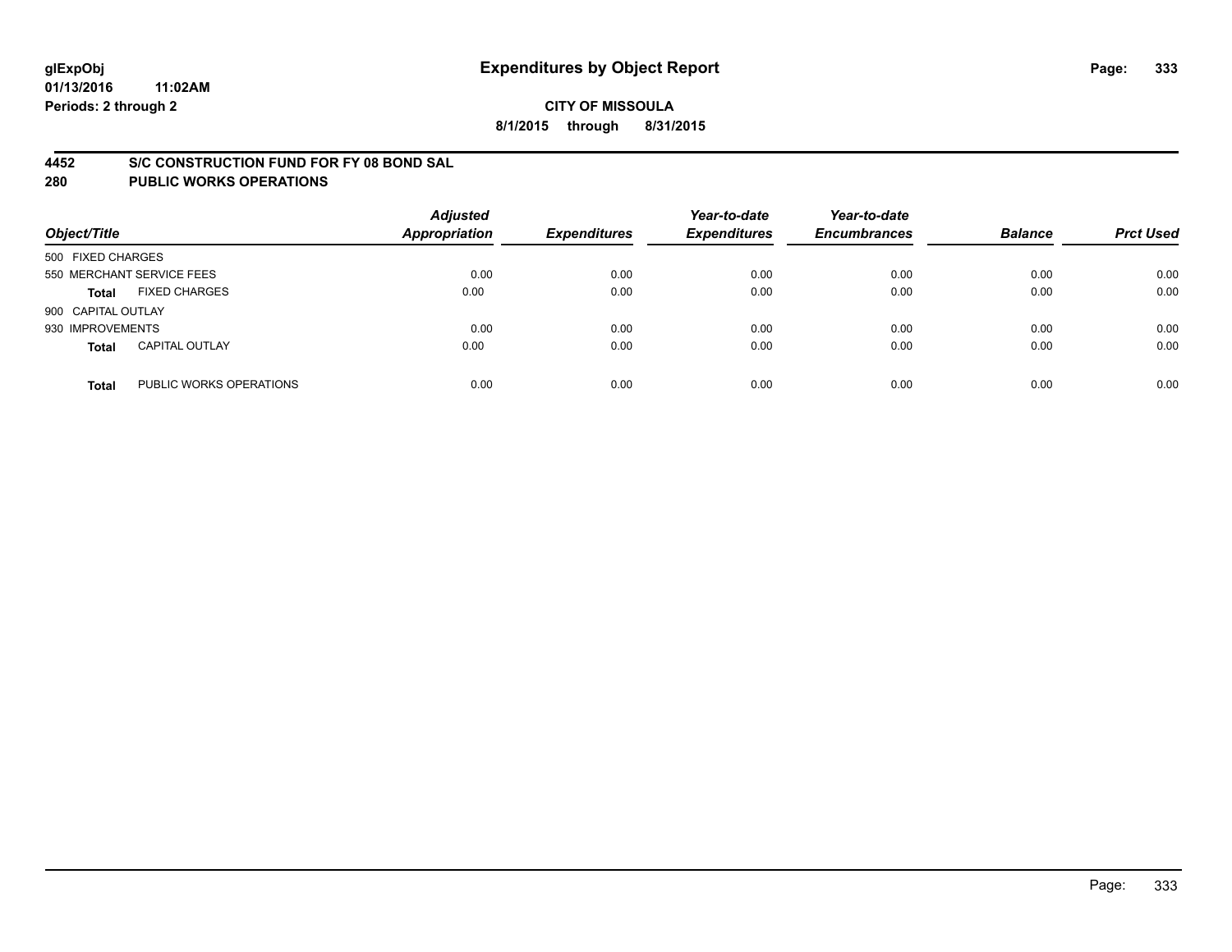#### **4452 S/C CONSTRUCTION FUND FOR FY 08 BOND SAL**

| Object/Title       |                           | <b>Adjusted</b><br><b>Appropriation</b> | <b>Expenditures</b> | Year-to-date<br><b>Expenditures</b> | Year-to-date<br><b>Encumbrances</b> | <b>Balance</b> | <b>Prct Used</b> |
|--------------------|---------------------------|-----------------------------------------|---------------------|-------------------------------------|-------------------------------------|----------------|------------------|
| 500 FIXED CHARGES  |                           |                                         |                     |                                     |                                     |                |                  |
|                    | 550 MERCHANT SERVICE FEES | 0.00                                    | 0.00                | 0.00                                | 0.00                                | 0.00           | 0.00             |
| <b>Total</b>       | <b>FIXED CHARGES</b>      | 0.00                                    | 0.00                | 0.00                                | 0.00                                | 0.00           | 0.00             |
| 900 CAPITAL OUTLAY |                           |                                         |                     |                                     |                                     |                |                  |
| 930 IMPROVEMENTS   |                           | 0.00                                    | 0.00                | 0.00                                | 0.00                                | 0.00           | 0.00             |
| <b>Total</b>       | <b>CAPITAL OUTLAY</b>     | 0.00                                    | 0.00                | 0.00                                | 0.00                                | 0.00           | 0.00             |
| <b>Total</b>       | PUBLIC WORKS OPERATIONS   | 0.00                                    | 0.00                | 0.00                                | 0.00                                | 0.00           | 0.00             |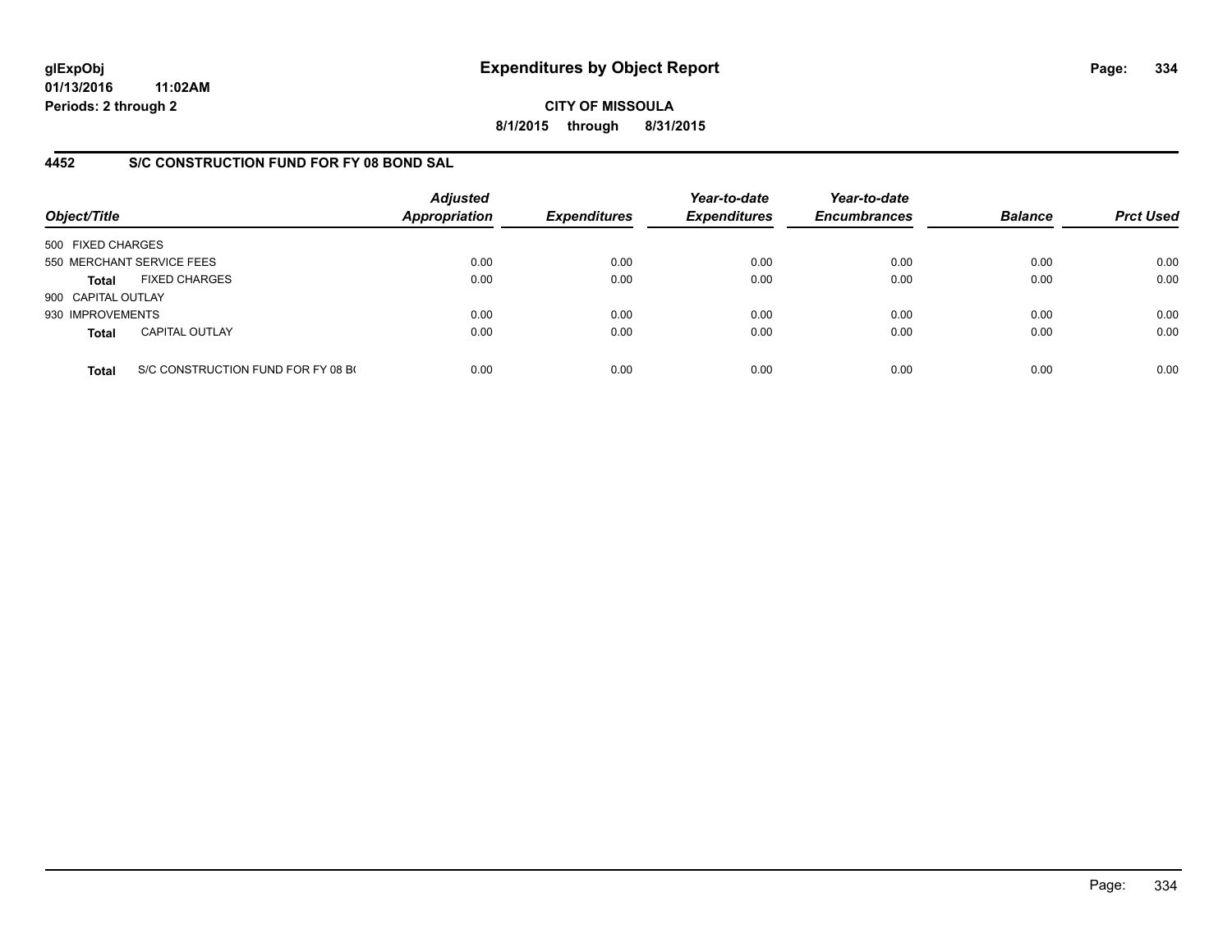**CITY OF MISSOULA 8/1/2015 through 8/31/2015**

## **4452 S/C CONSTRUCTION FUND FOR FY 08 BOND SAL**

| Object/Title       |                                    | <b>Adjusted</b><br><b>Appropriation</b> | <b>Expenditures</b> | Year-to-date<br><b>Expenditures</b> | Year-to-date<br><b>Encumbrances</b> | <b>Balance</b> | <b>Prct Used</b> |
|--------------------|------------------------------------|-----------------------------------------|---------------------|-------------------------------------|-------------------------------------|----------------|------------------|
| 500 FIXED CHARGES  |                                    |                                         |                     |                                     |                                     |                |                  |
|                    | 550 MERCHANT SERVICE FEES          | 0.00                                    | 0.00                | 0.00                                | 0.00                                | 0.00           | 0.00             |
| Total              | <b>FIXED CHARGES</b>               | 0.00                                    | 0.00                | 0.00                                | 0.00                                | 0.00           | 0.00             |
| 900 CAPITAL OUTLAY |                                    |                                         |                     |                                     |                                     |                |                  |
| 930 IMPROVEMENTS   |                                    | 0.00                                    | 0.00                | 0.00                                | 0.00                                | 0.00           | 0.00             |
| <b>Total</b>       | <b>CAPITAL OUTLAY</b>              | 0.00                                    | 0.00                | 0.00                                | 0.00                                | 0.00           | 0.00             |
| <b>Total</b>       | S/C CONSTRUCTION FUND FOR FY 08 BO | 0.00                                    | 0.00                | 0.00                                | 0.00                                | 0.00           | 0.00             |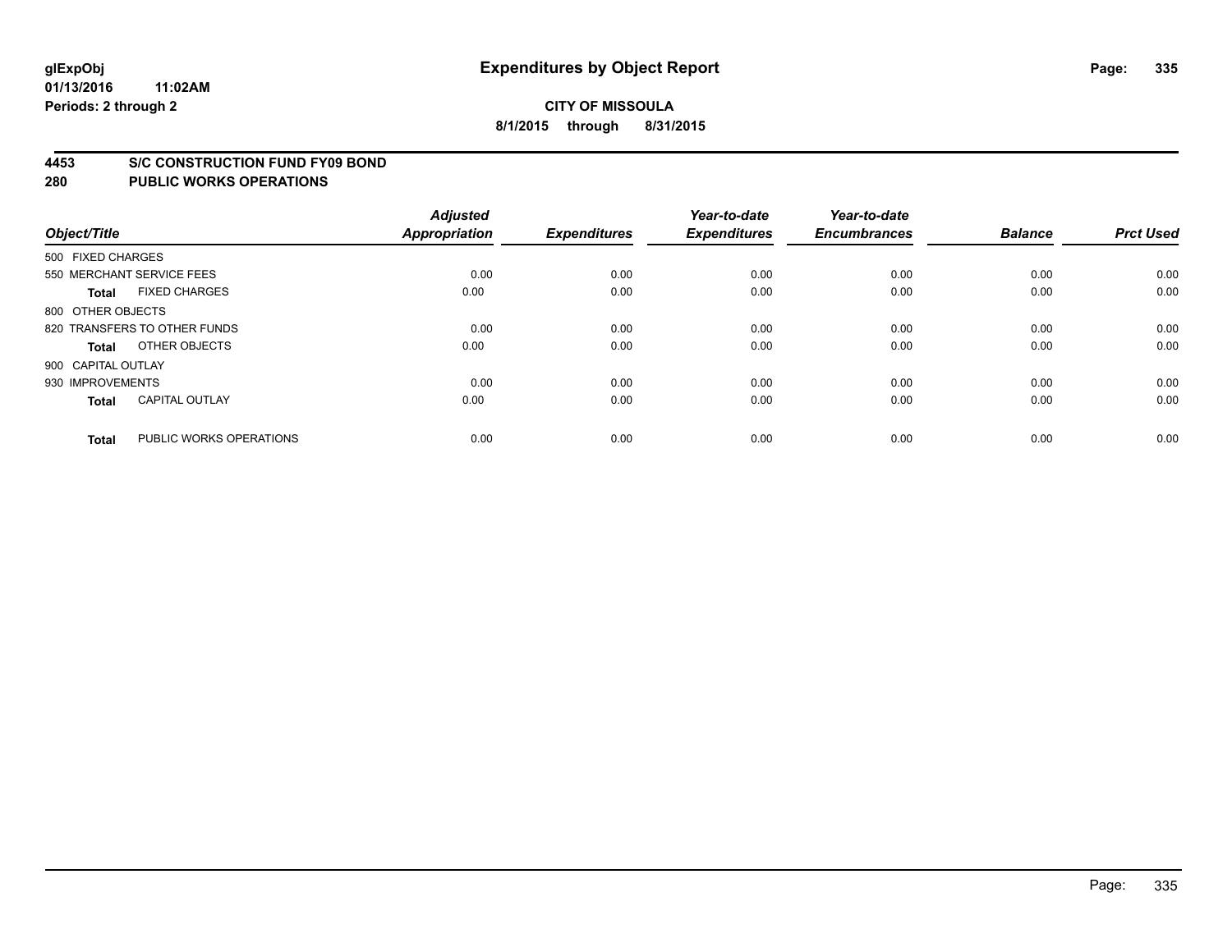#### **4453 S/C CONSTRUCTION FUND FY09 BOND**

| Object/Title       |                              | <b>Adjusted</b><br><b>Appropriation</b> | <b>Expenditures</b> | Year-to-date<br><b>Expenditures</b> | Year-to-date<br><b>Encumbrances</b> | <b>Balance</b> | <b>Prct Used</b> |
|--------------------|------------------------------|-----------------------------------------|---------------------|-------------------------------------|-------------------------------------|----------------|------------------|
| 500 FIXED CHARGES  |                              |                                         |                     |                                     |                                     |                |                  |
|                    | 550 MERCHANT SERVICE FEES    | 0.00                                    | 0.00                | 0.00                                | 0.00                                | 0.00           | 0.00             |
| <b>Total</b>       | <b>FIXED CHARGES</b>         | 0.00                                    | 0.00                | 0.00                                | 0.00                                | 0.00           | 0.00             |
| 800 OTHER OBJECTS  |                              |                                         |                     |                                     |                                     |                |                  |
|                    | 820 TRANSFERS TO OTHER FUNDS | 0.00                                    | 0.00                | 0.00                                | 0.00                                | 0.00           | 0.00             |
| Total              | OTHER OBJECTS                | 0.00                                    | 0.00                | 0.00                                | 0.00                                | 0.00           | 0.00             |
| 900 CAPITAL OUTLAY |                              |                                         |                     |                                     |                                     |                |                  |
| 930 IMPROVEMENTS   |                              | 0.00                                    | 0.00                | 0.00                                | 0.00                                | 0.00           | 0.00             |
| Total              | <b>CAPITAL OUTLAY</b>        | 0.00                                    | 0.00                | 0.00                                | 0.00                                | 0.00           | 0.00             |
| <b>Total</b>       | PUBLIC WORKS OPERATIONS      | 0.00                                    | 0.00                | 0.00                                | 0.00                                | 0.00           | 0.00             |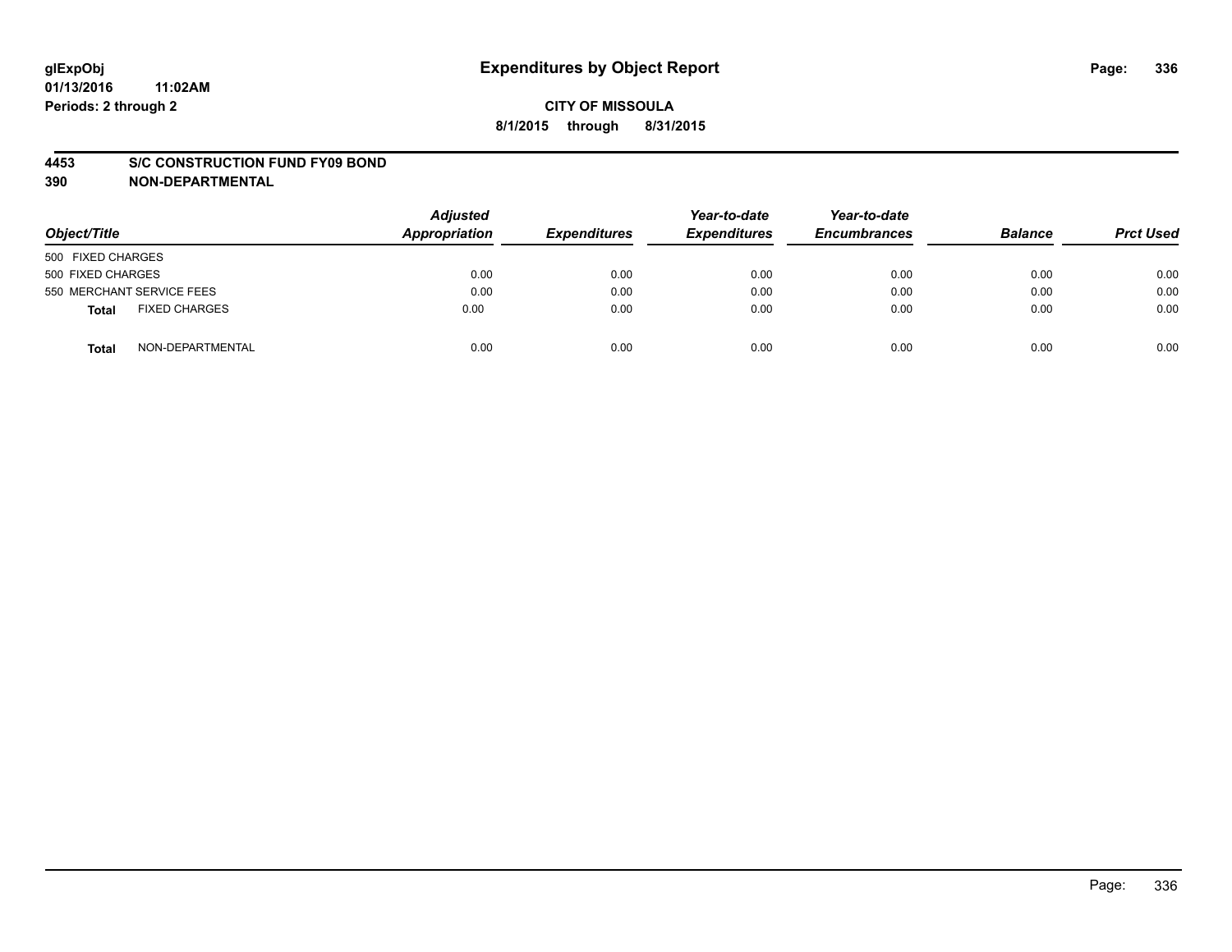#### **4453 S/C CONSTRUCTION FUND FY09 BOND**

**390 NON-DEPARTMENTAL**

| Object/Title                  | <b>Adjusted</b><br>Appropriation | <b>Expenditures</b> | Year-to-date<br><b>Expenditures</b> | Year-to-date<br><b>Encumbrances</b> | <b>Balance</b> | <b>Prct Used</b> |
|-------------------------------|----------------------------------|---------------------|-------------------------------------|-------------------------------------|----------------|------------------|
| 500 FIXED CHARGES             |                                  |                     |                                     |                                     |                |                  |
| 500 FIXED CHARGES             | 0.00                             | 0.00                | 0.00                                | 0.00                                | 0.00           | 0.00             |
| 550 MERCHANT SERVICE FEES     | 0.00                             | 0.00                | 0.00                                | 0.00                                | 0.00           | 0.00             |
| <b>FIXED CHARGES</b><br>Total | 0.00                             | 0.00                | 0.00                                | 0.00                                | 0.00           | 0.00             |
| NON-DEPARTMENTAL<br>Total     | 0.00                             | 0.00                | 0.00                                | 0.00                                | 0.00           | 0.00             |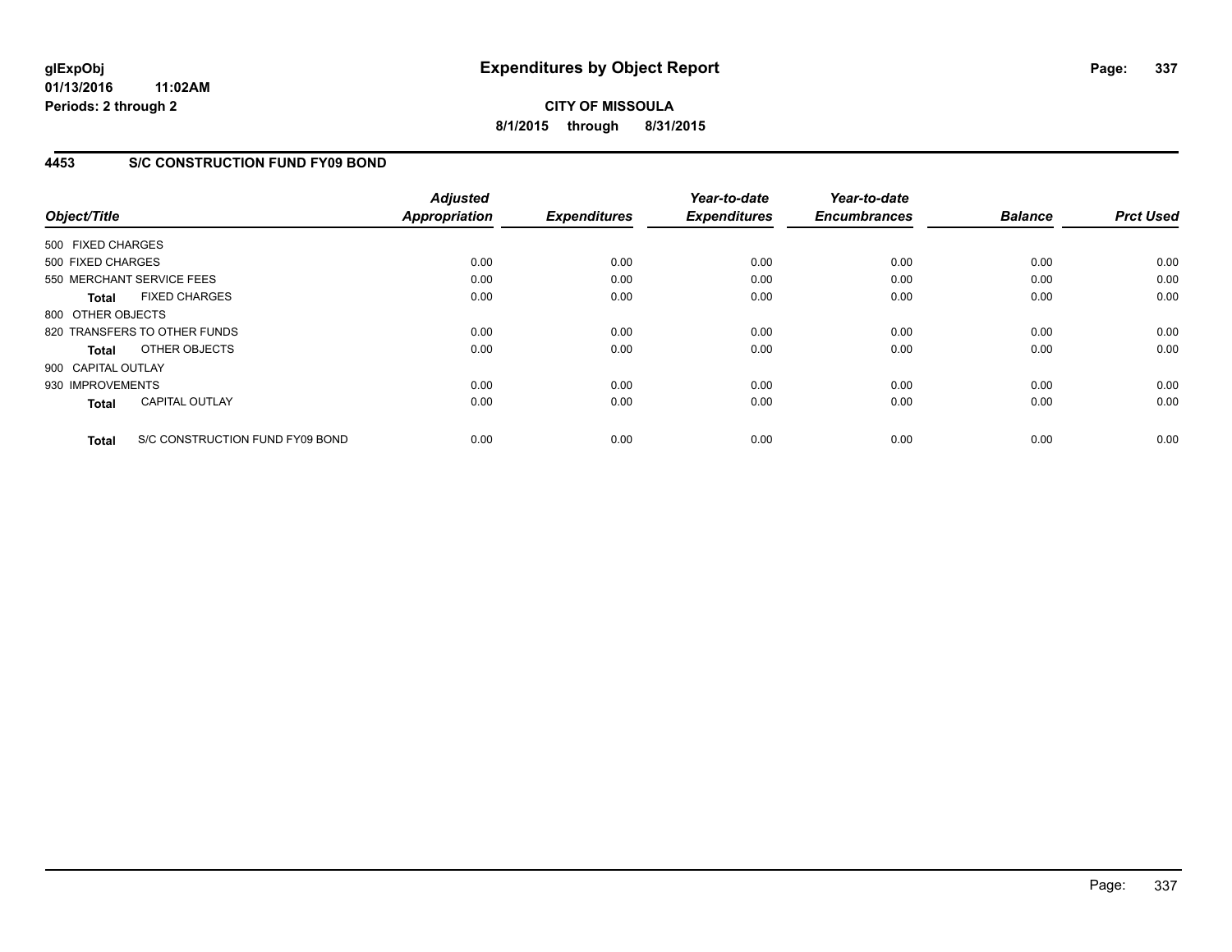**CITY OF MISSOULA 8/1/2015 through 8/31/2015**

## **4453 S/C CONSTRUCTION FUND FY09 BOND**

| Object/Title                 |                                 | <b>Adjusted</b><br><b>Appropriation</b> | <b>Expenditures</b> | Year-to-date<br><b>Expenditures</b> | Year-to-date<br><b>Encumbrances</b> | <b>Balance</b> | <b>Prct Used</b> |
|------------------------------|---------------------------------|-----------------------------------------|---------------------|-------------------------------------|-------------------------------------|----------------|------------------|
| 500 FIXED CHARGES            |                                 |                                         |                     |                                     |                                     |                |                  |
| 500 FIXED CHARGES            |                                 | 0.00                                    | 0.00                | 0.00                                | 0.00                                | 0.00           | 0.00             |
| 550 MERCHANT SERVICE FEES    |                                 | 0.00                                    | 0.00                | 0.00                                | 0.00                                | 0.00           | 0.00             |
| <b>Total</b>                 | <b>FIXED CHARGES</b>            | 0.00                                    | 0.00                | 0.00                                | 0.00                                | 0.00           | 0.00             |
| 800 OTHER OBJECTS            |                                 |                                         |                     |                                     |                                     |                |                  |
| 820 TRANSFERS TO OTHER FUNDS |                                 | 0.00                                    | 0.00                | 0.00                                | 0.00                                | 0.00           | 0.00             |
| <b>Total</b>                 | OTHER OBJECTS                   | 0.00                                    | 0.00                | 0.00                                | 0.00                                | 0.00           | 0.00             |
| 900 CAPITAL OUTLAY           |                                 |                                         |                     |                                     |                                     |                |                  |
| 930 IMPROVEMENTS             |                                 | 0.00                                    | 0.00                | 0.00                                | 0.00                                | 0.00           | 0.00             |
| <b>Total</b>                 | <b>CAPITAL OUTLAY</b>           | 0.00                                    | 0.00                | 0.00                                | 0.00                                | 0.00           | 0.00             |
| <b>Total</b>                 | S/C CONSTRUCTION FUND FY09 BOND | 0.00                                    | 0.00                | 0.00                                | 0.00                                | 0.00           | 0.00             |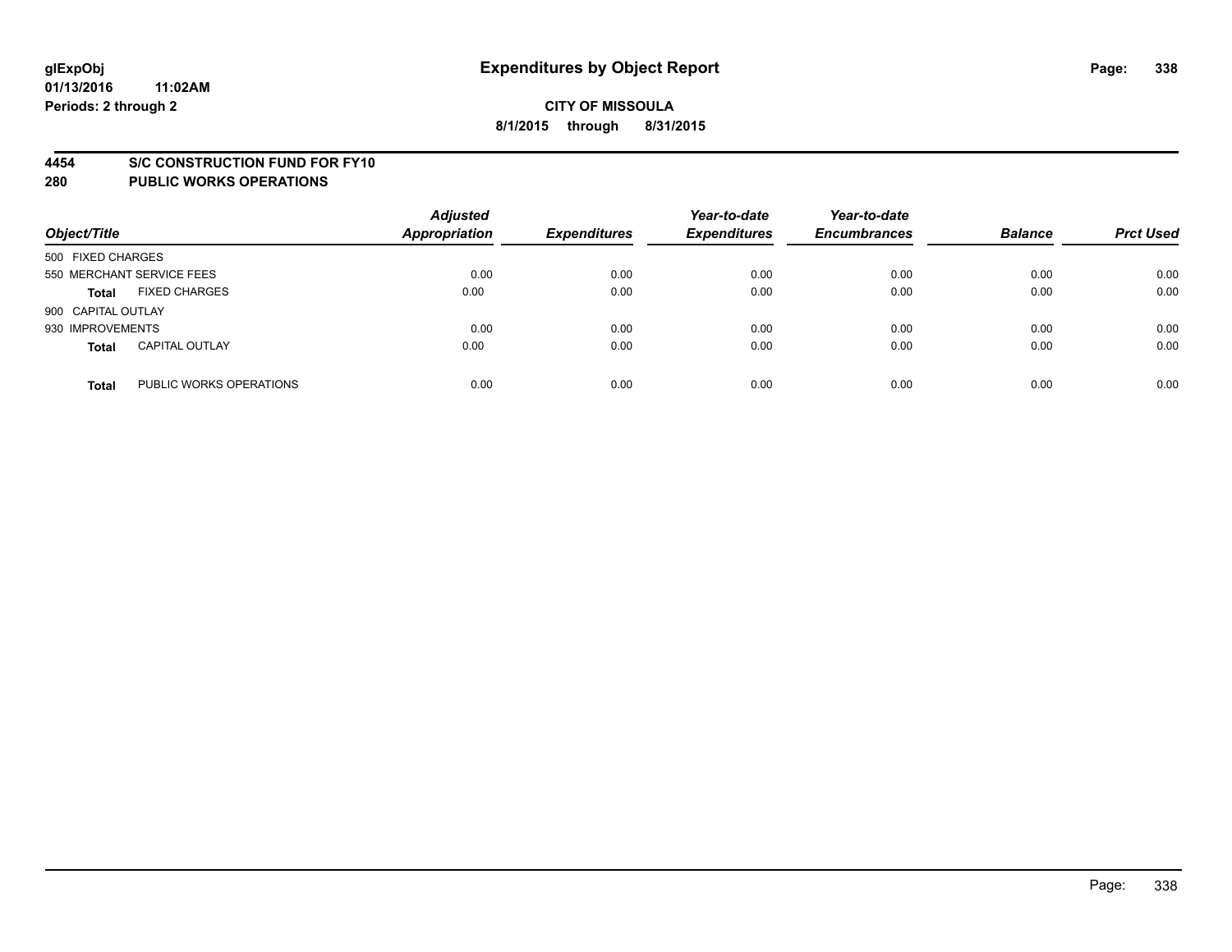#### **4454 S/C CONSTRUCTION FUND FOR FY10**

| Object/Title       |                           | <b>Adjusted</b><br><b>Appropriation</b> | <b>Expenditures</b> | Year-to-date<br><b>Expenditures</b> | Year-to-date<br><b>Encumbrances</b> | <b>Balance</b> | <b>Prct Used</b> |
|--------------------|---------------------------|-----------------------------------------|---------------------|-------------------------------------|-------------------------------------|----------------|------------------|
| 500 FIXED CHARGES  |                           |                                         |                     |                                     |                                     |                |                  |
|                    | 550 MERCHANT SERVICE FEES | 0.00                                    | 0.00                | 0.00                                | 0.00                                | 0.00           | 0.00             |
| <b>Total</b>       | <b>FIXED CHARGES</b>      | 0.00                                    | 0.00                | 0.00                                | 0.00                                | 0.00           | 0.00             |
| 900 CAPITAL OUTLAY |                           |                                         |                     |                                     |                                     |                |                  |
| 930 IMPROVEMENTS   |                           | 0.00                                    | 0.00                | 0.00                                | 0.00                                | 0.00           | 0.00             |
| <b>Total</b>       | <b>CAPITAL OUTLAY</b>     | 0.00                                    | 0.00                | 0.00                                | 0.00                                | 0.00           | 0.00             |
| <b>Total</b>       | PUBLIC WORKS OPERATIONS   | 0.00                                    | 0.00                | 0.00                                | 0.00                                | 0.00           | 0.00             |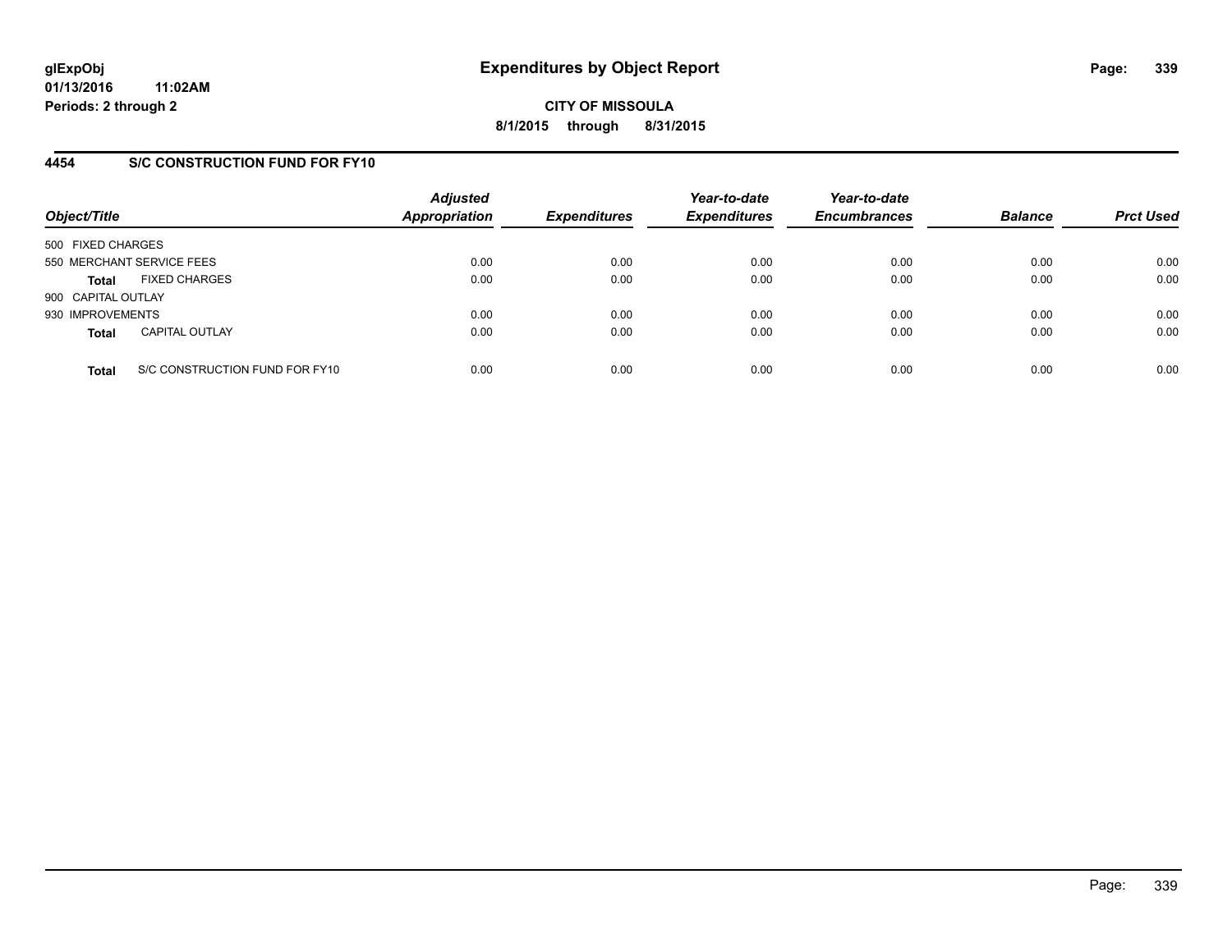## **4454 S/C CONSTRUCTION FUND FOR FY10**

| Object/Title       |                                | <b>Adjusted</b><br><b>Appropriation</b> | <b>Expenditures</b> | Year-to-date<br><b>Expenditures</b> | Year-to-date<br><b>Encumbrances</b> | <b>Balance</b> | <b>Prct Used</b> |
|--------------------|--------------------------------|-----------------------------------------|---------------------|-------------------------------------|-------------------------------------|----------------|------------------|
| 500 FIXED CHARGES  |                                |                                         |                     |                                     |                                     |                |                  |
|                    | 550 MERCHANT SERVICE FEES      | 0.00                                    | 0.00                | 0.00                                | 0.00                                | 0.00           | 0.00             |
| <b>Total</b>       | <b>FIXED CHARGES</b>           | 0.00                                    | 0.00                | 0.00                                | 0.00                                | 0.00           | 0.00             |
| 900 CAPITAL OUTLAY |                                |                                         |                     |                                     |                                     |                |                  |
| 930 IMPROVEMENTS   |                                | 0.00                                    | 0.00                | 0.00                                | 0.00                                | 0.00           | 0.00             |
| <b>Total</b>       | <b>CAPITAL OUTLAY</b>          | 0.00                                    | 0.00                | 0.00                                | 0.00                                | 0.00           | 0.00             |
| <b>Total</b>       | S/C CONSTRUCTION FUND FOR FY10 | 0.00                                    | 0.00                | 0.00                                | 0.00                                | 0.00           | 0.00             |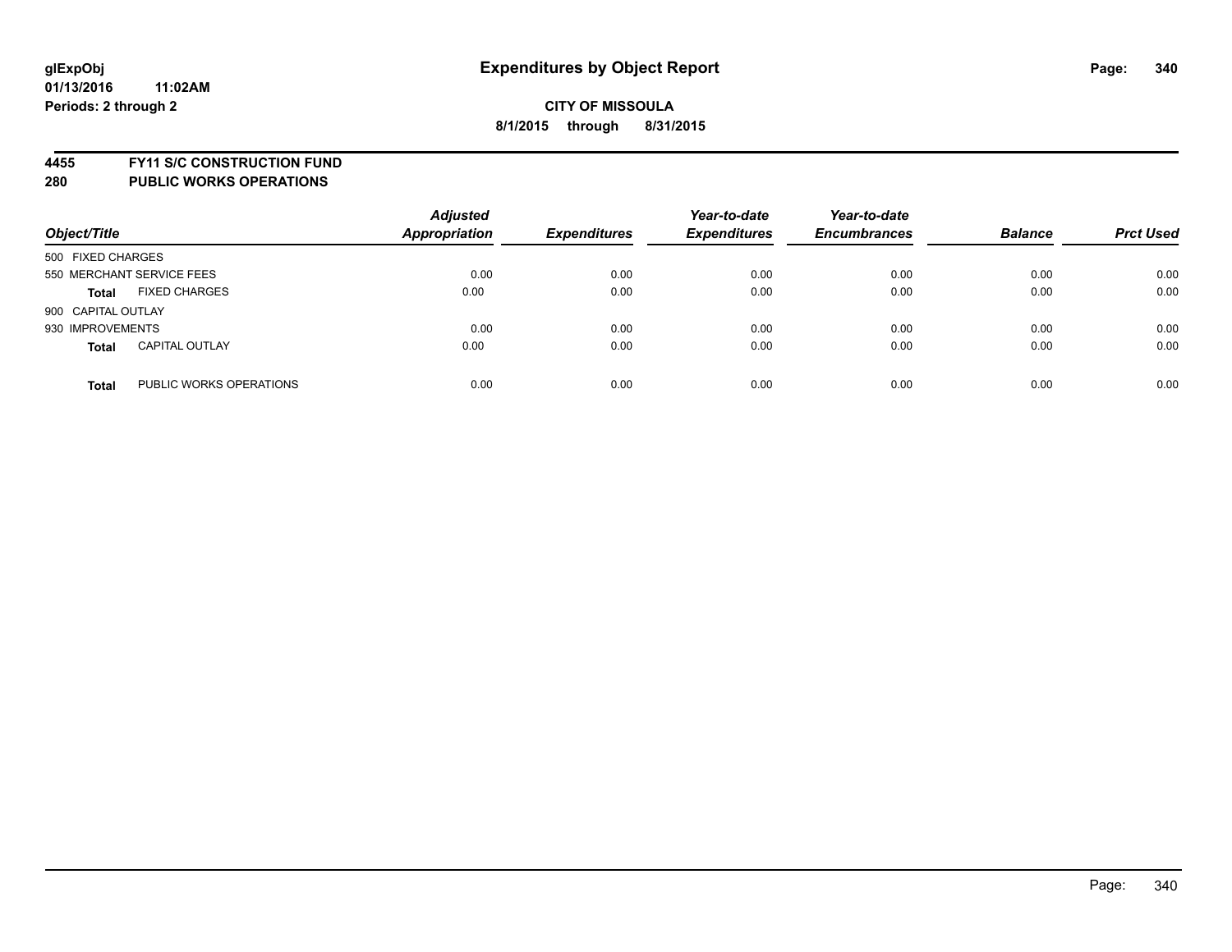**4455 FY11 S/C CONSTRUCTION FUND**

| Object/Title                            | <b>Adjusted</b><br><b>Appropriation</b> | <b>Expenditures</b> | Year-to-date<br><b>Expenditures</b> | Year-to-date<br><b>Encumbrances</b> | <b>Balance</b> | <b>Prct Used</b> |
|-----------------------------------------|-----------------------------------------|---------------------|-------------------------------------|-------------------------------------|----------------|------------------|
| 500 FIXED CHARGES                       |                                         |                     |                                     |                                     |                |                  |
| 550 MERCHANT SERVICE FEES               | 0.00                                    | 0.00                | 0.00                                | 0.00                                | 0.00           | 0.00             |
| <b>FIXED CHARGES</b><br><b>Total</b>    | 0.00                                    | 0.00                | 0.00                                | 0.00                                | 0.00           | 0.00             |
| 900 CAPITAL OUTLAY                      |                                         |                     |                                     |                                     |                |                  |
| 930 IMPROVEMENTS                        | 0.00                                    | 0.00                | 0.00                                | 0.00                                | 0.00           | 0.00             |
| <b>CAPITAL OUTLAY</b><br><b>Total</b>   | 0.00                                    | 0.00                | 0.00                                | 0.00                                | 0.00           | 0.00             |
| PUBLIC WORKS OPERATIONS<br><b>Total</b> | 0.00                                    | 0.00                | 0.00                                | 0.00                                | 0.00           | 0.00             |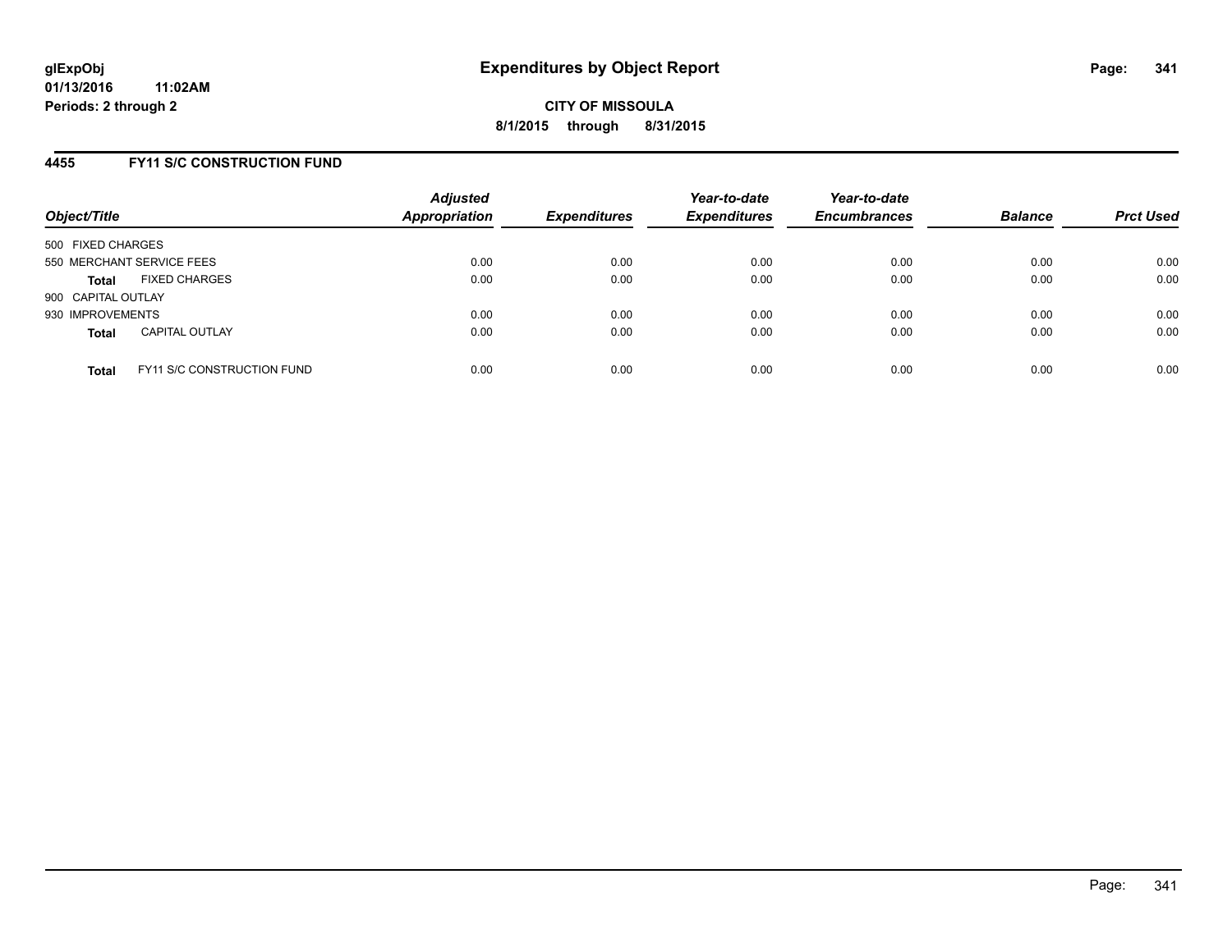## **4455 FY11 S/C CONSTRUCTION FUND**

| Object/Title       |                                   | <b>Adjusted</b><br><b>Appropriation</b> | <b>Expenditures</b> | Year-to-date<br><b>Expenditures</b> | Year-to-date<br><b>Encumbrances</b> | <b>Balance</b> | <b>Prct Used</b> |
|--------------------|-----------------------------------|-----------------------------------------|---------------------|-------------------------------------|-------------------------------------|----------------|------------------|
| 500 FIXED CHARGES  |                                   |                                         |                     |                                     |                                     |                |                  |
|                    | 550 MERCHANT SERVICE FEES         | 0.00                                    | 0.00                | 0.00                                | 0.00                                | 0.00           | 0.00             |
| <b>Total</b>       | <b>FIXED CHARGES</b>              | 0.00                                    | 0.00                | 0.00                                | 0.00                                | 0.00           | 0.00             |
| 900 CAPITAL OUTLAY |                                   |                                         |                     |                                     |                                     |                |                  |
| 930 IMPROVEMENTS   |                                   | 0.00                                    | 0.00                | 0.00                                | 0.00                                | 0.00           | 0.00             |
| <b>Total</b>       | <b>CAPITAL OUTLAY</b>             | 0.00                                    | 0.00                | 0.00                                | 0.00                                | 0.00           | 0.00             |
| <b>Total</b>       | <b>FY11 S/C CONSTRUCTION FUND</b> | 0.00                                    | 0.00                | 0.00                                | 0.00                                | 0.00           | 0.00             |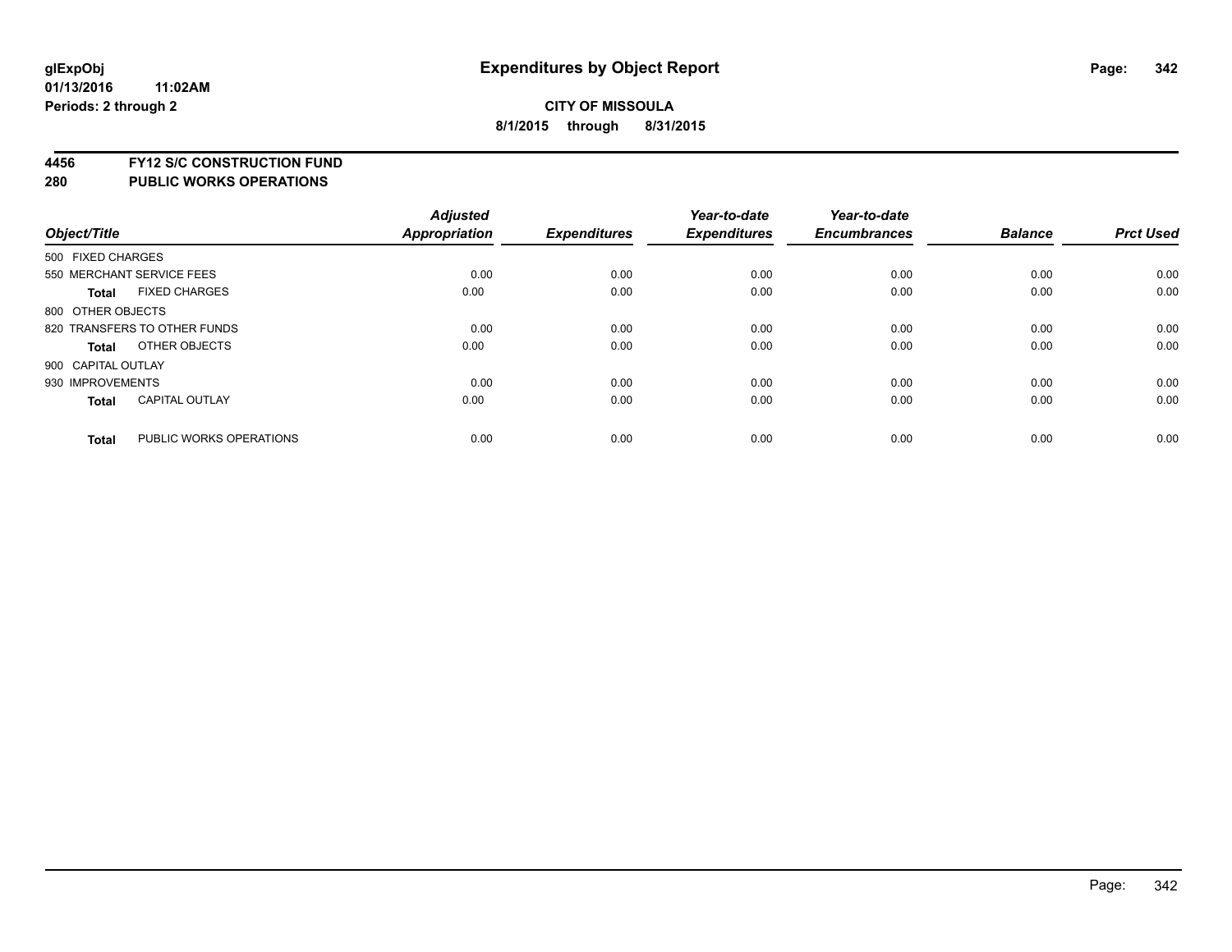# **4456 FY12 S/C CONSTRUCTION FUND**

| Object/Title       |                              | <b>Adjusted</b><br>Appropriation | <b>Expenditures</b> | Year-to-date<br><b>Expenditures</b> | Year-to-date<br><b>Encumbrances</b> | <b>Balance</b> | <b>Prct Used</b> |
|--------------------|------------------------------|----------------------------------|---------------------|-------------------------------------|-------------------------------------|----------------|------------------|
| 500 FIXED CHARGES  |                              |                                  |                     |                                     |                                     |                |                  |
|                    | 550 MERCHANT SERVICE FEES    | 0.00                             | 0.00                | 0.00                                | 0.00                                | 0.00           | 0.00             |
| <b>Total</b>       | <b>FIXED CHARGES</b>         | 0.00                             | 0.00                | 0.00                                | 0.00                                | 0.00           | 0.00             |
| 800 OTHER OBJECTS  |                              |                                  |                     |                                     |                                     |                |                  |
|                    | 820 TRANSFERS TO OTHER FUNDS | 0.00                             | 0.00                | 0.00                                | 0.00                                | 0.00           | 0.00             |
| Total              | OTHER OBJECTS                | 0.00                             | 0.00                | 0.00                                | 0.00                                | 0.00           | 0.00             |
| 900 CAPITAL OUTLAY |                              |                                  |                     |                                     |                                     |                |                  |
| 930 IMPROVEMENTS   |                              | 0.00                             | 0.00                | 0.00                                | 0.00                                | 0.00           | 0.00             |
| Total              | <b>CAPITAL OUTLAY</b>        | 0.00                             | 0.00                | 0.00                                | 0.00                                | 0.00           | 0.00             |
| <b>Total</b>       | PUBLIC WORKS OPERATIONS      | 0.00                             | 0.00                | 0.00                                | 0.00                                | 0.00           | 0.00             |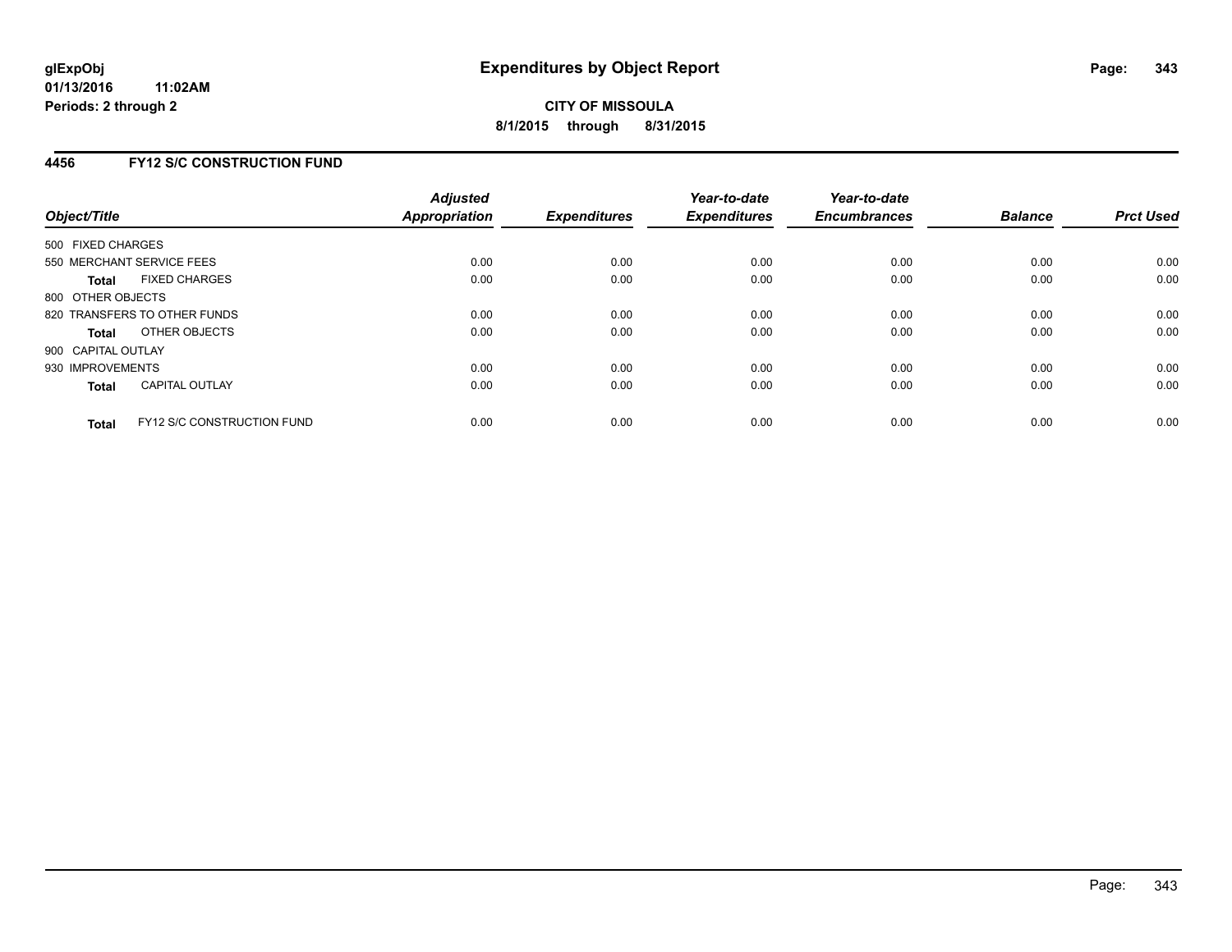## **4456 FY12 S/C CONSTRUCTION FUND**

| Object/Title       |                                   | <b>Adjusted</b><br>Appropriation | <b>Expenditures</b> | Year-to-date<br><b>Expenditures</b> | Year-to-date<br><b>Encumbrances</b> | <b>Balance</b> | <b>Prct Used</b> |
|--------------------|-----------------------------------|----------------------------------|---------------------|-------------------------------------|-------------------------------------|----------------|------------------|
| 500 FIXED CHARGES  |                                   |                                  |                     |                                     |                                     |                |                  |
|                    | 550 MERCHANT SERVICE FEES         | 0.00                             | 0.00                | 0.00                                | 0.00                                | 0.00           | 0.00             |
| Total              | <b>FIXED CHARGES</b>              | 0.00                             | 0.00                | 0.00                                | 0.00                                | 0.00           | 0.00             |
| 800 OTHER OBJECTS  |                                   |                                  |                     |                                     |                                     |                |                  |
|                    | 820 TRANSFERS TO OTHER FUNDS      | 0.00                             | 0.00                | 0.00                                | 0.00                                | 0.00           | 0.00             |
| Total              | OTHER OBJECTS                     | 0.00                             | 0.00                | 0.00                                | 0.00                                | 0.00           | 0.00             |
| 900 CAPITAL OUTLAY |                                   |                                  |                     |                                     |                                     |                |                  |
| 930 IMPROVEMENTS   |                                   | 0.00                             | 0.00                | 0.00                                | 0.00                                | 0.00           | 0.00             |
| Total              | <b>CAPITAL OUTLAY</b>             | 0.00                             | 0.00                | 0.00                                | 0.00                                | 0.00           | 0.00             |
| <b>Total</b>       | <b>FY12 S/C CONSTRUCTION FUND</b> | 0.00                             | 0.00                | 0.00                                | 0.00                                | 0.00           | 0.00             |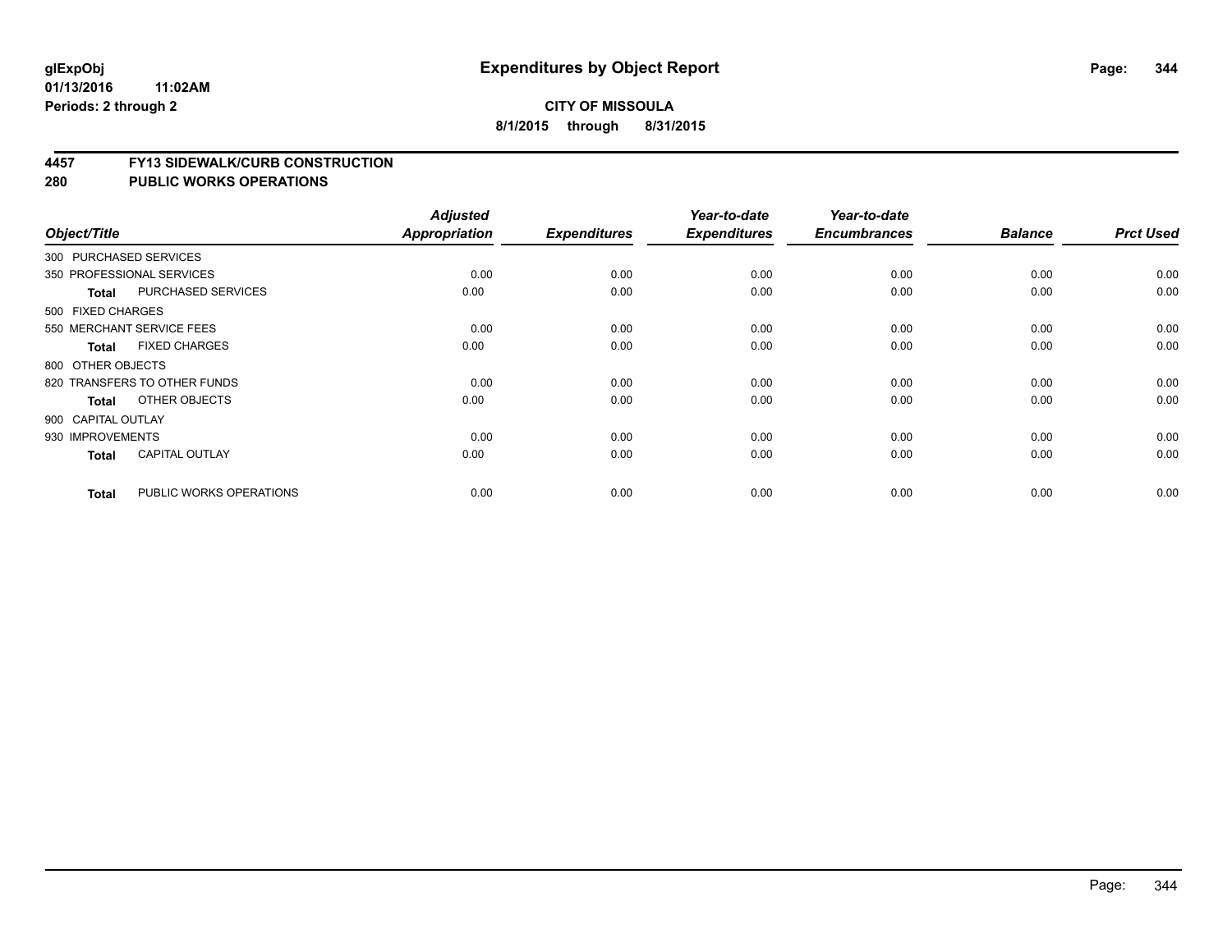## **CITY OF MISSOULA 8/1/2015 through 8/31/2015**

#### **4457 FY13 SIDEWALK/CURB CONSTRUCTION**

|                    |                              | <b>Adjusted</b> |                     | Year-to-date        | Year-to-date        |                |                  |
|--------------------|------------------------------|-----------------|---------------------|---------------------|---------------------|----------------|------------------|
| Object/Title       |                              | Appropriation   | <b>Expenditures</b> | <b>Expenditures</b> | <b>Encumbrances</b> | <b>Balance</b> | <b>Prct Used</b> |
|                    | 300 PURCHASED SERVICES       |                 |                     |                     |                     |                |                  |
|                    | 350 PROFESSIONAL SERVICES    | 0.00            | 0.00                | 0.00                | 0.00                | 0.00           | 0.00             |
| Total              | PURCHASED SERVICES           | 0.00            | 0.00                | 0.00                | 0.00                | 0.00           | 0.00             |
| 500 FIXED CHARGES  |                              |                 |                     |                     |                     |                |                  |
|                    | 550 MERCHANT SERVICE FEES    | 0.00            | 0.00                | 0.00                | 0.00                | 0.00           | 0.00             |
| <b>Total</b>       | <b>FIXED CHARGES</b>         | 0.00            | 0.00                | 0.00                | 0.00                | 0.00           | 0.00             |
| 800 OTHER OBJECTS  |                              |                 |                     |                     |                     |                |                  |
|                    | 820 TRANSFERS TO OTHER FUNDS | 0.00            | 0.00                | 0.00                | 0.00                | 0.00           | 0.00             |
| Total              | OTHER OBJECTS                | 0.00            | 0.00                | 0.00                | 0.00                | 0.00           | 0.00             |
| 900 CAPITAL OUTLAY |                              |                 |                     |                     |                     |                |                  |
| 930 IMPROVEMENTS   |                              | 0.00            | 0.00                | 0.00                | 0.00                | 0.00           | 0.00             |
| <b>Total</b>       | <b>CAPITAL OUTLAY</b>        | 0.00            | 0.00                | 0.00                | 0.00                | 0.00           | 0.00             |
| <b>Total</b>       | PUBLIC WORKS OPERATIONS      | 0.00            | 0.00                | 0.00                | 0.00                | 0.00           | 0.00             |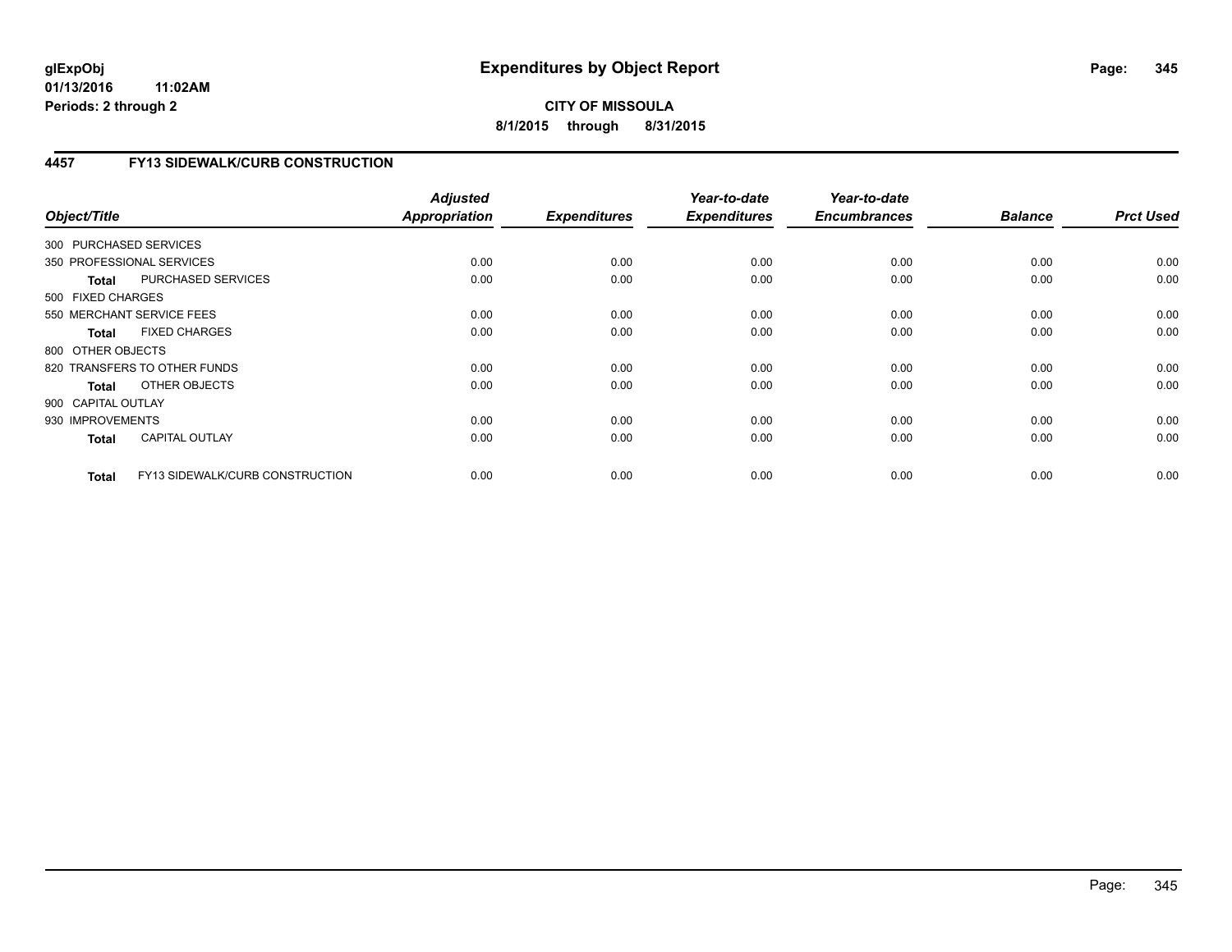# **CITY OF MISSOULA 8/1/2015 through 8/31/2015**

# **4457 FY13 SIDEWALK/CURB CONSTRUCTION**

| Object/Title           |                                 | <b>Adjusted</b><br>Appropriation | <b>Expenditures</b> | Year-to-date<br><b>Expenditures</b> | Year-to-date<br><b>Encumbrances</b> | <b>Balance</b> | <b>Prct Used</b> |
|------------------------|---------------------------------|----------------------------------|---------------------|-------------------------------------|-------------------------------------|----------------|------------------|
| 300 PURCHASED SERVICES |                                 |                                  |                     |                                     |                                     |                |                  |
|                        | 350 PROFESSIONAL SERVICES       | 0.00                             | 0.00                | 0.00                                | 0.00                                | 0.00           | 0.00             |
| <b>Total</b>           | PURCHASED SERVICES              | 0.00                             | 0.00                | 0.00                                | 0.00                                | 0.00           | 0.00             |
| 500 FIXED CHARGES      |                                 |                                  |                     |                                     |                                     |                |                  |
|                        | 550 MERCHANT SERVICE FEES       | 0.00                             | 0.00                | 0.00                                | 0.00                                | 0.00           | 0.00             |
| <b>Total</b>           | <b>FIXED CHARGES</b>            | 0.00                             | 0.00                | 0.00                                | 0.00                                | 0.00           | 0.00             |
| 800 OTHER OBJECTS      |                                 |                                  |                     |                                     |                                     |                |                  |
|                        | 820 TRANSFERS TO OTHER FUNDS    | 0.00                             | 0.00                | 0.00                                | 0.00                                | 0.00           | 0.00             |
| Total                  | OTHER OBJECTS                   | 0.00                             | 0.00                | 0.00                                | 0.00                                | 0.00           | 0.00             |
| 900 CAPITAL OUTLAY     |                                 |                                  |                     |                                     |                                     |                |                  |
| 930 IMPROVEMENTS       |                                 | 0.00                             | 0.00                | 0.00                                | 0.00                                | 0.00           | 0.00             |
| <b>Total</b>           | <b>CAPITAL OUTLAY</b>           | 0.00                             | 0.00                | 0.00                                | 0.00                                | 0.00           | 0.00             |
| <b>Total</b>           | FY13 SIDEWALK/CURB CONSTRUCTION | 0.00                             | 0.00                | 0.00                                | 0.00                                | 0.00           | 0.00             |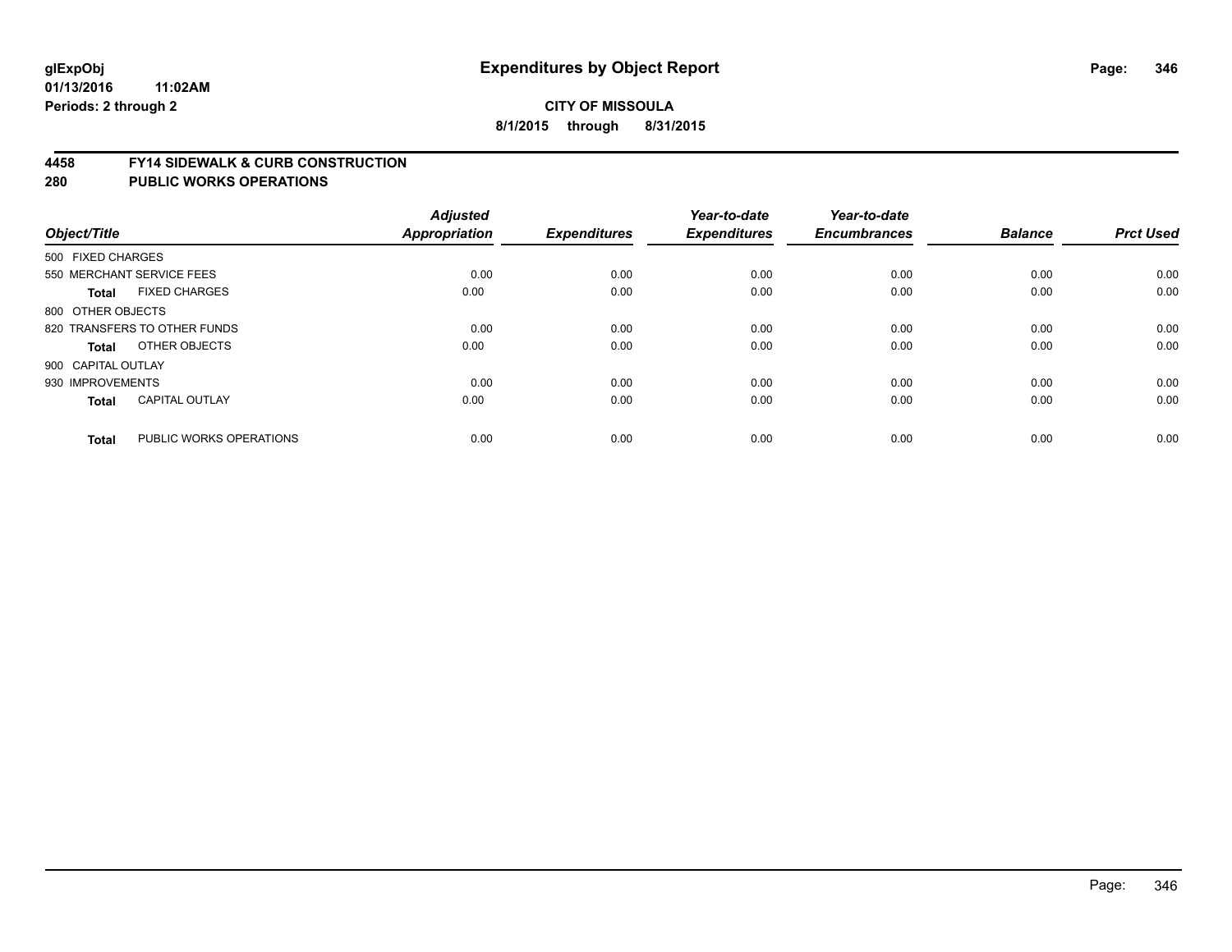#### **4458 FY14 SIDEWALK & CURB CONSTRUCTION**

| Object/Title       |                              | <b>Adjusted</b><br><b>Appropriation</b> | <b>Expenditures</b> | Year-to-date<br><b>Expenditures</b> | Year-to-date<br><b>Encumbrances</b> | <b>Balance</b> | <b>Prct Used</b> |
|--------------------|------------------------------|-----------------------------------------|---------------------|-------------------------------------|-------------------------------------|----------------|------------------|
| 500 FIXED CHARGES  |                              |                                         |                     |                                     |                                     |                |                  |
|                    | 550 MERCHANT SERVICE FEES    | 0.00                                    | 0.00                | 0.00                                | 0.00                                | 0.00           | 0.00             |
| <b>Total</b>       | <b>FIXED CHARGES</b>         | 0.00                                    | 0.00                | 0.00                                | 0.00                                | 0.00           | 0.00             |
| 800 OTHER OBJECTS  |                              |                                         |                     |                                     |                                     |                |                  |
|                    | 820 TRANSFERS TO OTHER FUNDS | 0.00                                    | 0.00                | 0.00                                | 0.00                                | 0.00           | 0.00             |
| Total              | OTHER OBJECTS                | 0.00                                    | 0.00                | 0.00                                | 0.00                                | 0.00           | 0.00             |
| 900 CAPITAL OUTLAY |                              |                                         |                     |                                     |                                     |                |                  |
| 930 IMPROVEMENTS   |                              | 0.00                                    | 0.00                | 0.00                                | 0.00                                | 0.00           | 0.00             |
| <b>Total</b>       | <b>CAPITAL OUTLAY</b>        | 0.00                                    | 0.00                | 0.00                                | 0.00                                | 0.00           | 0.00             |
| <b>Total</b>       | PUBLIC WORKS OPERATIONS      | 0.00                                    | 0.00                | 0.00                                | 0.00                                | 0.00           | 0.00             |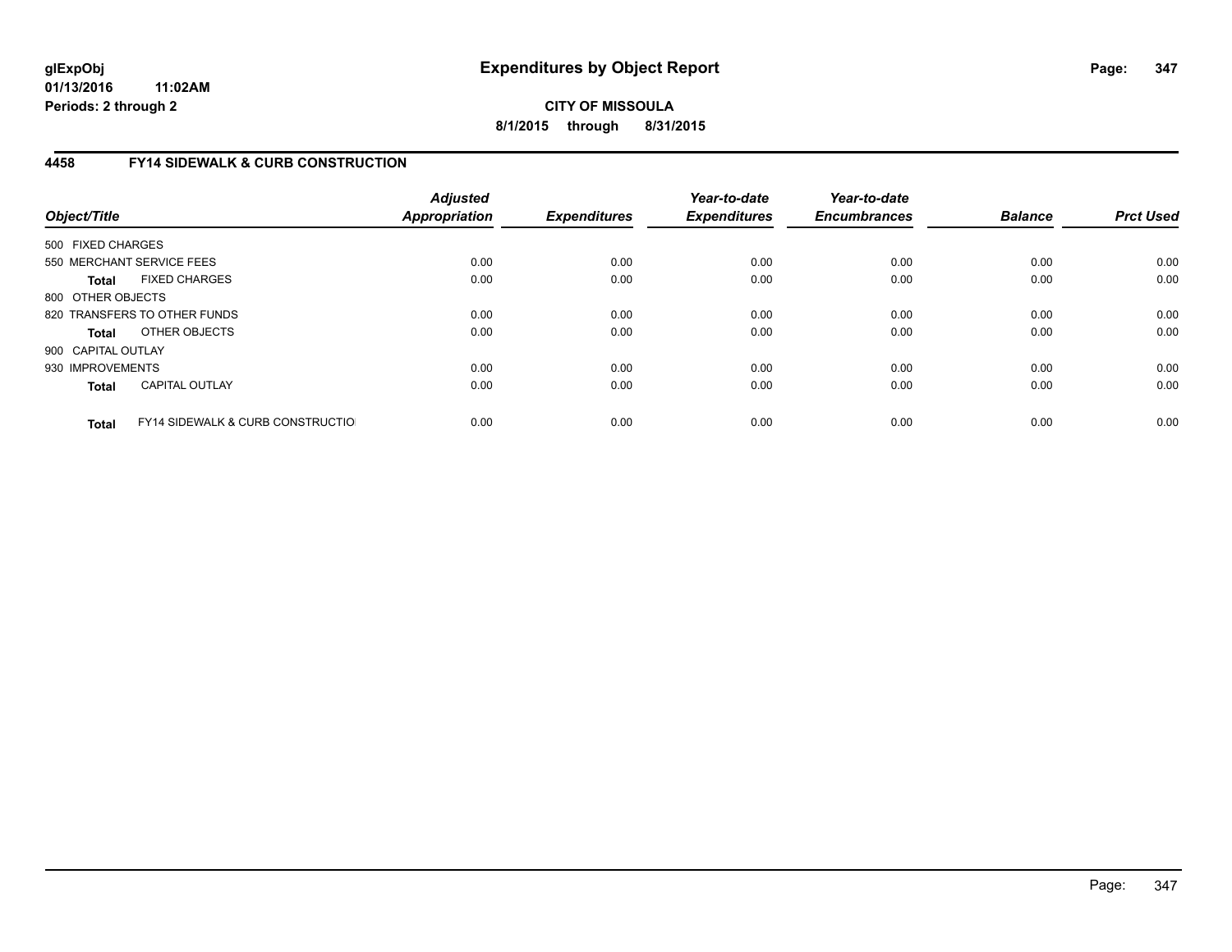# **CITY OF MISSOULA 8/1/2015 through 8/31/2015**

# **4458 FY14 SIDEWALK & CURB CONSTRUCTION**

| Object/Title       |                                              | <b>Adjusted</b><br>Appropriation | <b>Expenditures</b> | Year-to-date<br><b>Expenditures</b> | Year-to-date<br><b>Encumbrances</b> | <b>Balance</b> | <b>Prct Used</b> |
|--------------------|----------------------------------------------|----------------------------------|---------------------|-------------------------------------|-------------------------------------|----------------|------------------|
| 500 FIXED CHARGES  |                                              |                                  |                     |                                     |                                     |                |                  |
|                    | 550 MERCHANT SERVICE FEES                    | 0.00                             | 0.00                | 0.00                                | 0.00                                | 0.00           | 0.00             |
| <b>Total</b>       | <b>FIXED CHARGES</b>                         | 0.00                             | 0.00                | 0.00                                | 0.00                                | 0.00           | 0.00             |
| 800 OTHER OBJECTS  |                                              |                                  |                     |                                     |                                     |                |                  |
|                    | 820 TRANSFERS TO OTHER FUNDS                 | 0.00                             | 0.00                | 0.00                                | 0.00                                | 0.00           | 0.00             |
| <b>Total</b>       | OTHER OBJECTS                                | 0.00                             | 0.00                | 0.00                                | 0.00                                | 0.00           | 0.00             |
| 900 CAPITAL OUTLAY |                                              |                                  |                     |                                     |                                     |                |                  |
| 930 IMPROVEMENTS   |                                              | 0.00                             | 0.00                | 0.00                                | 0.00                                | 0.00           | 0.00             |
| <b>Total</b>       | <b>CAPITAL OUTLAY</b>                        | 0.00                             | 0.00                | 0.00                                | 0.00                                | 0.00           | 0.00             |
| <b>Total</b>       | <b>FY14 SIDEWALK &amp; CURB CONSTRUCTIOL</b> | 0.00                             | 0.00                | 0.00                                | 0.00                                | 0.00           | 0.00             |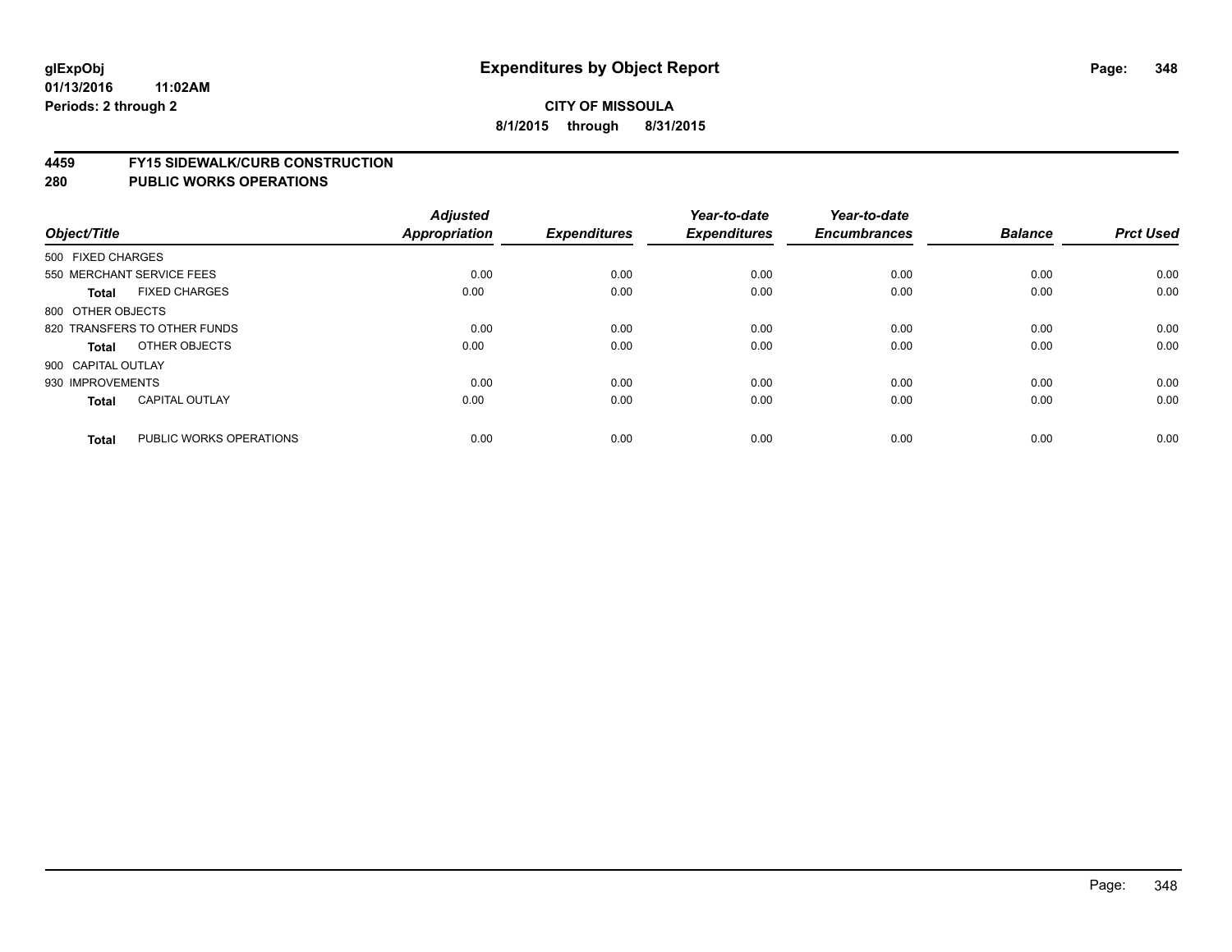#### **4459 FY15 SIDEWALK/CURB CONSTRUCTION**

| Object/Title              |                              | <b>Adjusted</b><br>Appropriation | <b>Expenditures</b> | Year-to-date<br><b>Expenditures</b> | Year-to-date<br><b>Encumbrances</b> | <b>Balance</b> | <b>Prct Used</b> |
|---------------------------|------------------------------|----------------------------------|---------------------|-------------------------------------|-------------------------------------|----------------|------------------|
| 500 FIXED CHARGES         |                              |                                  |                     |                                     |                                     |                |                  |
| 550 MERCHANT SERVICE FEES |                              | 0.00                             | 0.00                | 0.00                                | 0.00                                | 0.00           | 0.00             |
| <b>Total</b>              | <b>FIXED CHARGES</b>         | 0.00                             | 0.00                | 0.00                                | 0.00                                | 0.00           | 0.00             |
| 800 OTHER OBJECTS         |                              |                                  |                     |                                     |                                     |                |                  |
|                           | 820 TRANSFERS TO OTHER FUNDS | 0.00                             | 0.00                | 0.00                                | 0.00                                | 0.00           | 0.00             |
| Total                     | OTHER OBJECTS                | 0.00                             | 0.00                | 0.00                                | 0.00                                | 0.00           | 0.00             |
| 900 CAPITAL OUTLAY        |                              |                                  |                     |                                     |                                     |                |                  |
| 930 IMPROVEMENTS          |                              | 0.00                             | 0.00                | 0.00                                | 0.00                                | 0.00           | 0.00             |
| Total                     | <b>CAPITAL OUTLAY</b>        | 0.00                             | 0.00                | 0.00                                | 0.00                                | 0.00           | 0.00             |
|                           |                              |                                  |                     |                                     |                                     |                |                  |
| <b>Total</b>              | PUBLIC WORKS OPERATIONS      | 0.00                             | 0.00                | 0.00                                | 0.00                                | 0.00           | 0.00             |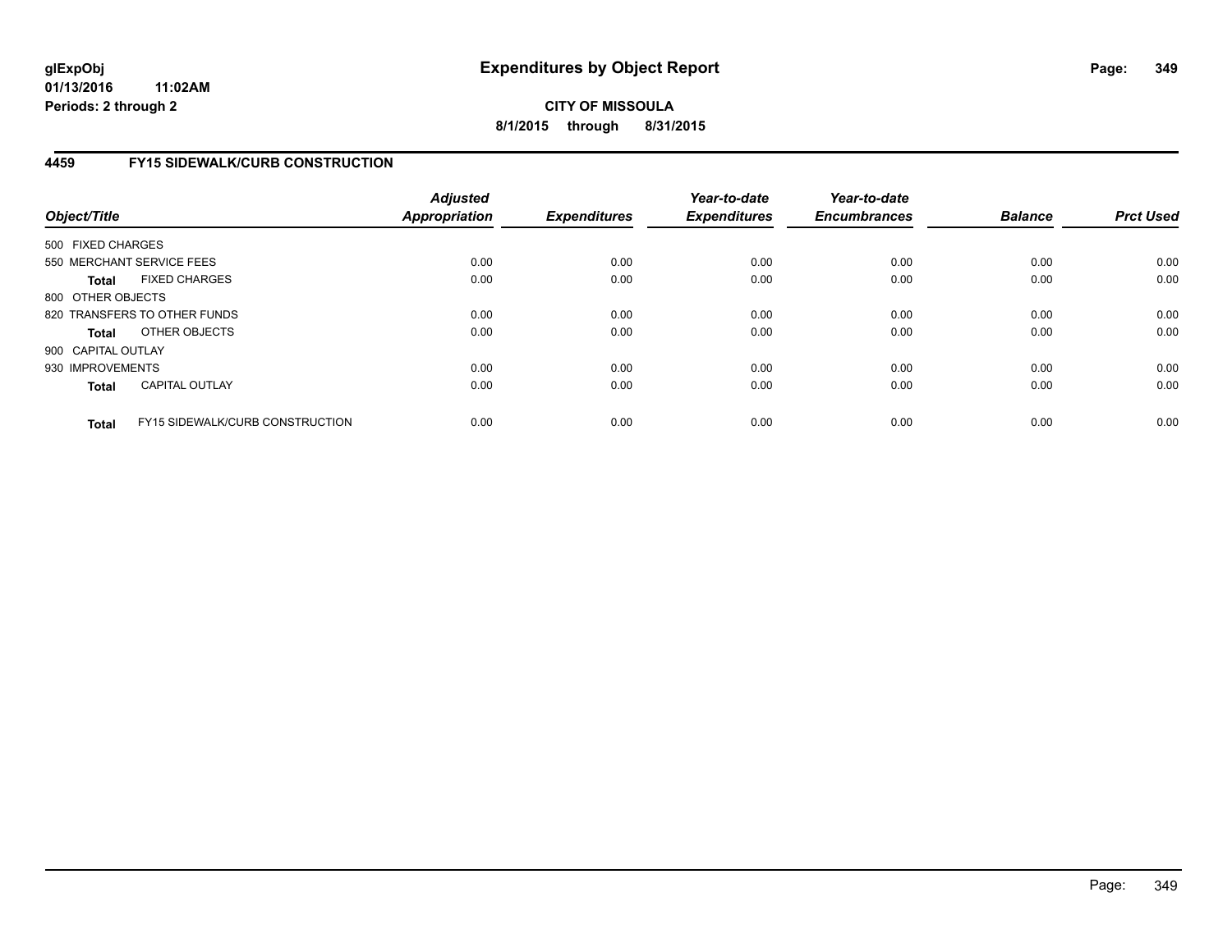**CITY OF MISSOULA 8/1/2015 through 8/31/2015**

## **4459 FY15 SIDEWALK/CURB CONSTRUCTION**

| Object/Title       |                                        | <b>Adjusted</b><br>Appropriation | <b>Expenditures</b> | Year-to-date<br><b>Expenditures</b> | Year-to-date<br><b>Encumbrances</b> | <b>Balance</b> | <b>Prct Used</b> |
|--------------------|----------------------------------------|----------------------------------|---------------------|-------------------------------------|-------------------------------------|----------------|------------------|
| 500 FIXED CHARGES  |                                        |                                  |                     |                                     |                                     |                |                  |
|                    | 550 MERCHANT SERVICE FEES              | 0.00                             | 0.00                | 0.00                                | 0.00                                | 0.00           | 0.00             |
| <b>Total</b>       | <b>FIXED CHARGES</b>                   | 0.00                             | 0.00                | 0.00                                | 0.00                                | 0.00           | 0.00             |
| 800 OTHER OBJECTS  |                                        |                                  |                     |                                     |                                     |                |                  |
|                    | 820 TRANSFERS TO OTHER FUNDS           | 0.00                             | 0.00                | 0.00                                | 0.00                                | 0.00           | 0.00             |
| <b>Total</b>       | OTHER OBJECTS                          | 0.00                             | 0.00                | 0.00                                | 0.00                                | 0.00           | 0.00             |
| 900 CAPITAL OUTLAY |                                        |                                  |                     |                                     |                                     |                |                  |
| 930 IMPROVEMENTS   |                                        | 0.00                             | 0.00                | 0.00                                | 0.00                                | 0.00           | 0.00             |
| <b>Total</b>       | <b>CAPITAL OUTLAY</b>                  | 0.00                             | 0.00                | 0.00                                | 0.00                                | 0.00           | 0.00             |
| <b>Total</b>       | <b>FY15 SIDEWALK/CURB CONSTRUCTION</b> | 0.00                             | 0.00                | 0.00                                | 0.00                                | 0.00           | 0.00             |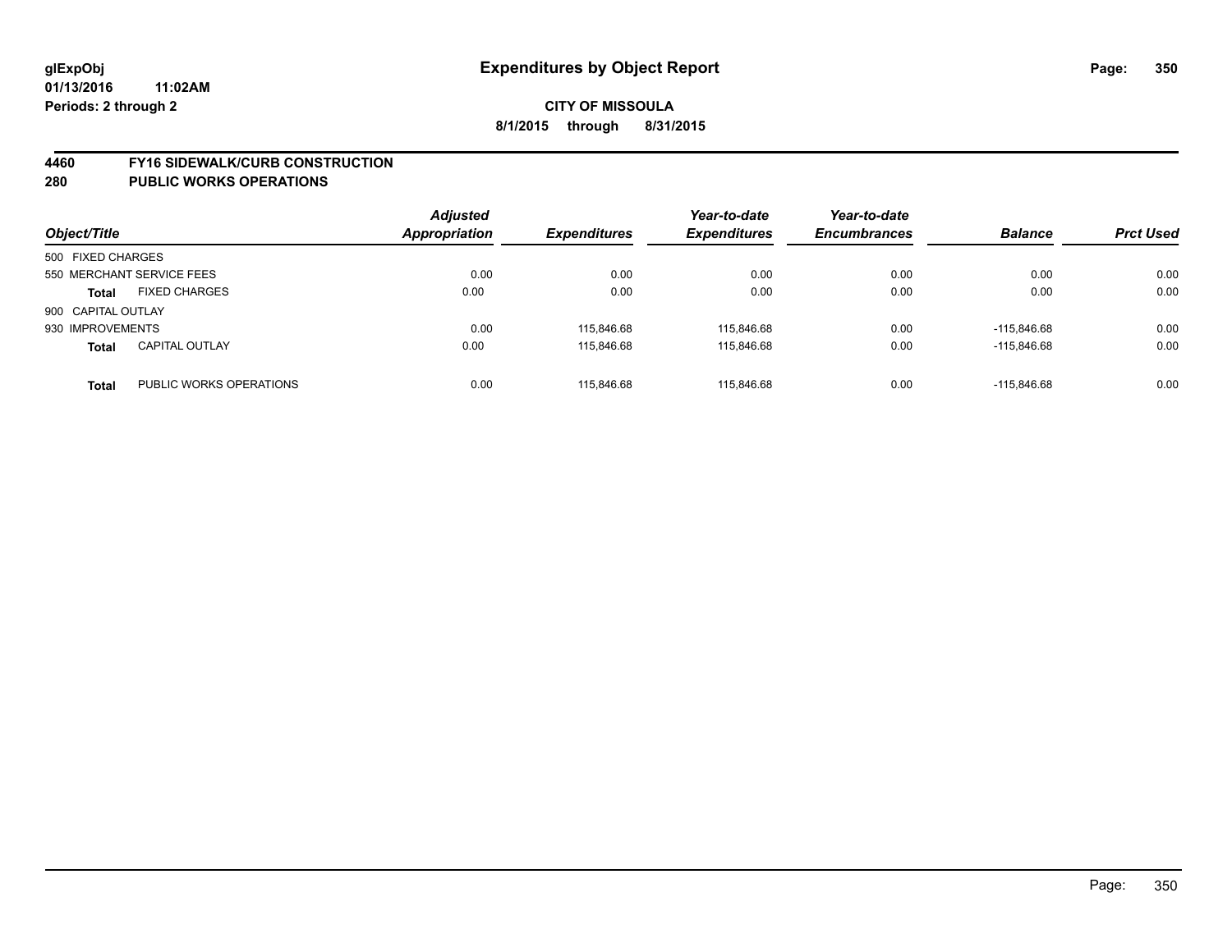#### **4460 FY16 SIDEWALK/CURB CONSTRUCTION**

| Object/Title       |                           | <b>Adjusted</b><br>Appropriation | <b>Expenditures</b> | Year-to-date<br><b>Expenditures</b> | Year-to-date<br><b>Encumbrances</b> | <b>Balance</b> | <b>Prct Used</b> |
|--------------------|---------------------------|----------------------------------|---------------------|-------------------------------------|-------------------------------------|----------------|------------------|
| 500 FIXED CHARGES  |                           |                                  |                     |                                     |                                     |                |                  |
|                    | 550 MERCHANT SERVICE FEES | 0.00                             | 0.00                | 0.00                                | 0.00                                | 0.00           | 0.00             |
| <b>Total</b>       | <b>FIXED CHARGES</b>      | 0.00                             | 0.00                | 0.00                                | 0.00                                | 0.00           | 0.00             |
| 900 CAPITAL OUTLAY |                           |                                  |                     |                                     |                                     |                |                  |
| 930 IMPROVEMENTS   |                           | 0.00                             | 115.846.68          | 115.846.68                          | 0.00                                | -115.846.68    | 0.00             |
| <b>Total</b>       | <b>CAPITAL OUTLAY</b>     | 0.00                             | 115.846.68          | 115.846.68                          | 0.00                                | -115.846.68    | 0.00             |
| <b>Total</b>       | PUBLIC WORKS OPERATIONS   | 0.00                             | 115.846.68          | 115.846.68                          | 0.00                                | $-115.846.68$  | 0.00             |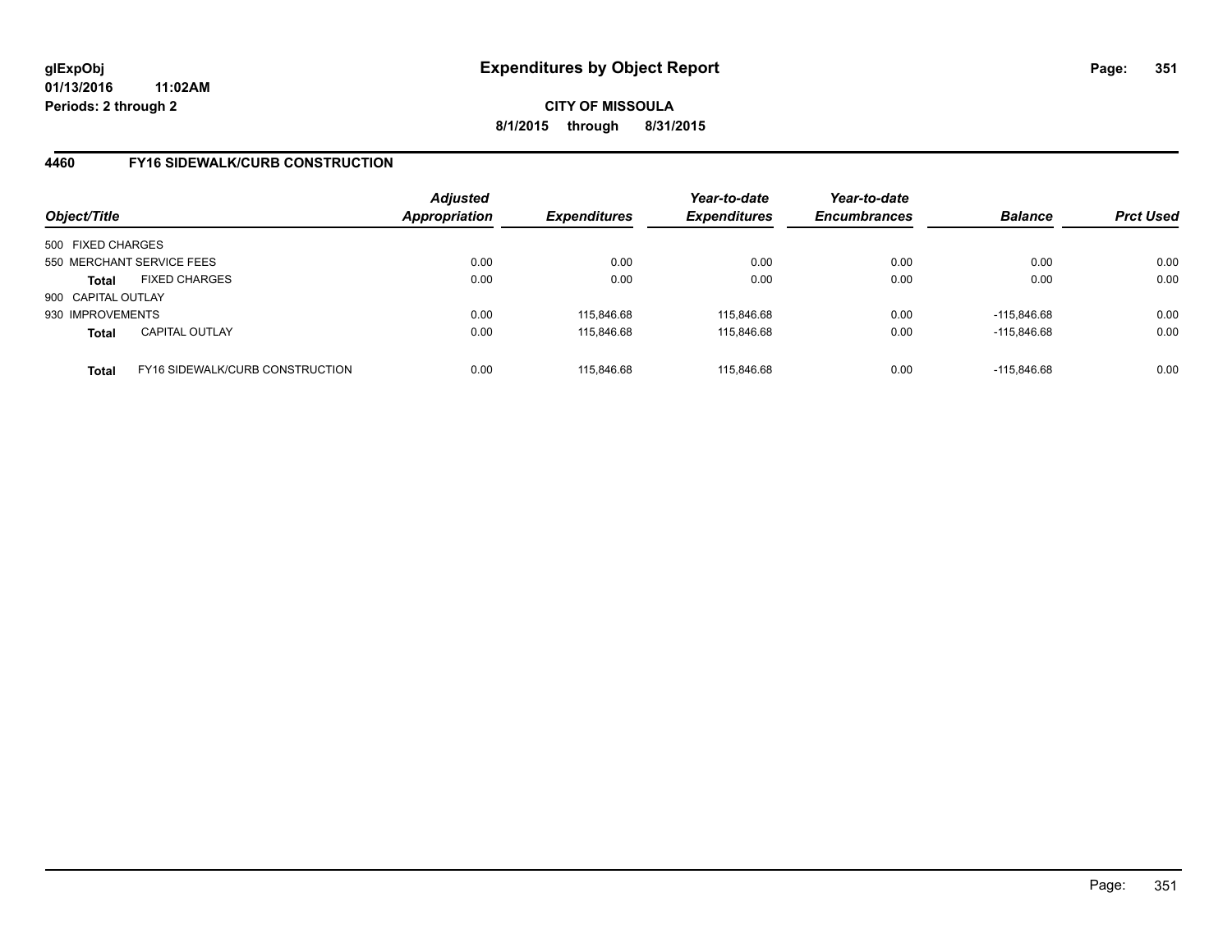# **CITY OF MISSOULA 8/1/2015 through 8/31/2015**

## **4460 FY16 SIDEWALK/CURB CONSTRUCTION**

| Object/Title                                           | <b>Adjusted</b><br>Appropriation | <b>Expenditures</b> | Year-to-date<br><b>Expenditures</b> | Year-to-date<br><b>Encumbrances</b> | <b>Balance</b> | <b>Prct Used</b> |
|--------------------------------------------------------|----------------------------------|---------------------|-------------------------------------|-------------------------------------|----------------|------------------|
| 500 FIXED CHARGES                                      |                                  |                     |                                     |                                     |                |                  |
| 550 MERCHANT SERVICE FEES                              | 0.00                             | 0.00                | 0.00                                | 0.00                                | 0.00           | 0.00             |
| <b>FIXED CHARGES</b><br><b>Total</b>                   | 0.00                             | 0.00                | 0.00                                | 0.00                                | 0.00           | 0.00             |
| 900 CAPITAL OUTLAY                                     |                                  |                     |                                     |                                     |                |                  |
| 930 IMPROVEMENTS                                       | 0.00                             | 115.846.68          | 115,846.68                          | 0.00                                | -115.846.68    | 0.00             |
| <b>CAPITAL OUTLAY</b><br><b>Total</b>                  | 0.00                             | 115,846.68          | 115,846.68                          | 0.00                                | $-115,846.68$  | 0.00             |
| <b>FY16 SIDEWALK/CURB CONSTRUCTION</b><br><b>Total</b> | 0.00                             | 115.846.68          | 115.846.68                          | 0.00                                | -115.846.68    | 0.00             |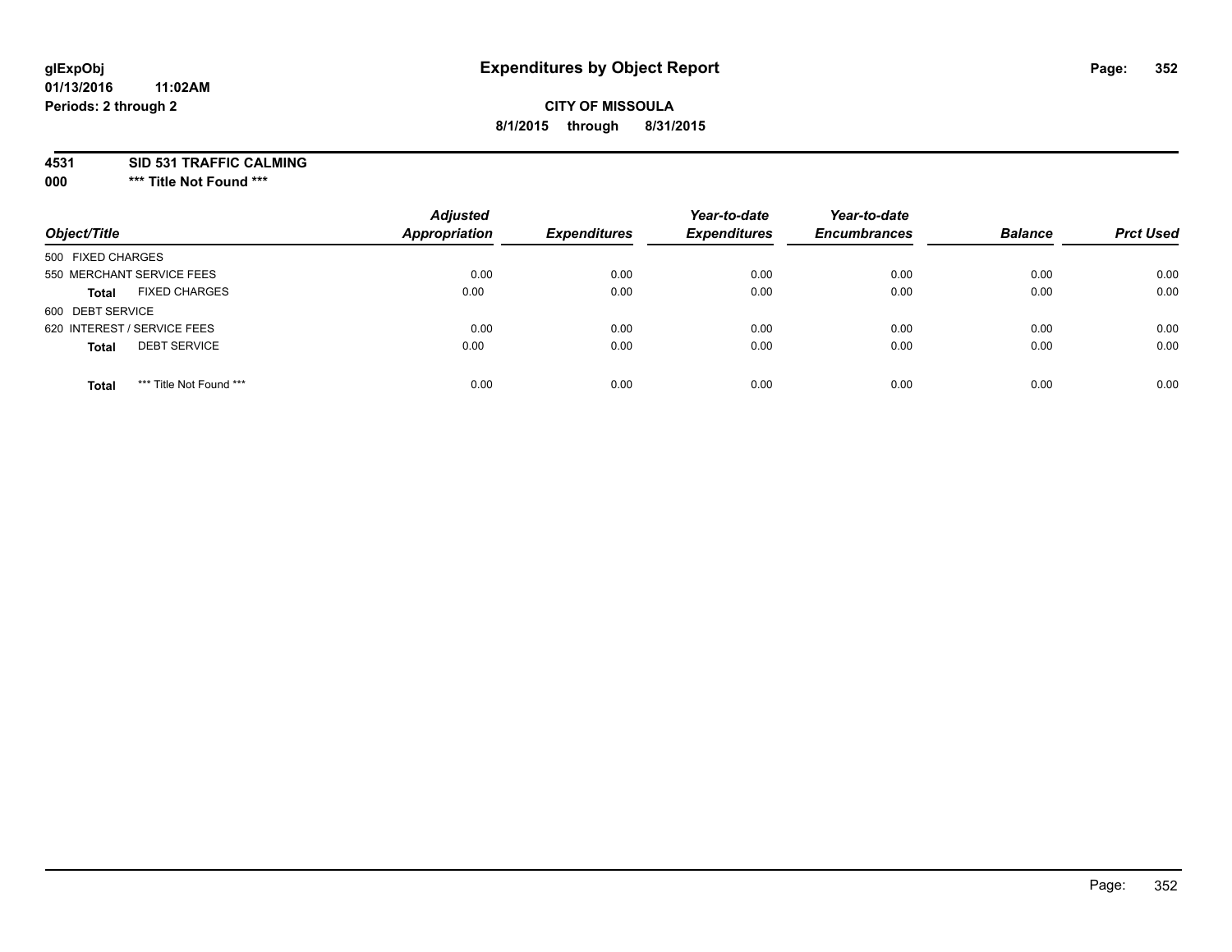## **CITY OF MISSOULA 8/1/2015 through 8/31/2015**

**4531 SID 531 TRAFFIC CALMING**

**000 \*\*\* Title Not Found \*\*\***

| Object/Title                            | <b>Adjusted</b><br><b>Appropriation</b> | <b>Expenditures</b> | Year-to-date<br><b>Expenditures</b> | Year-to-date<br><b>Encumbrances</b> | <b>Balance</b> | <b>Prct Used</b> |
|-----------------------------------------|-----------------------------------------|---------------------|-------------------------------------|-------------------------------------|----------------|------------------|
| 500 FIXED CHARGES                       |                                         |                     |                                     |                                     |                |                  |
| 550 MERCHANT SERVICE FEES               | 0.00                                    | 0.00                | 0.00                                | 0.00                                | 0.00           | 0.00             |
| <b>FIXED CHARGES</b><br><b>Total</b>    | 0.00                                    | 0.00                | 0.00                                | 0.00                                | 0.00           | 0.00             |
| 600 DEBT SERVICE                        |                                         |                     |                                     |                                     |                |                  |
| 620 INTEREST / SERVICE FEES             | 0.00                                    | 0.00                | 0.00                                | 0.00                                | 0.00           | 0.00             |
| <b>DEBT SERVICE</b><br><b>Total</b>     | 0.00                                    | 0.00                | 0.00                                | 0.00                                | 0.00           | 0.00             |
| *** Title Not Found ***<br><b>Total</b> | 0.00                                    | 0.00                | 0.00                                | 0.00                                | 0.00           | 0.00             |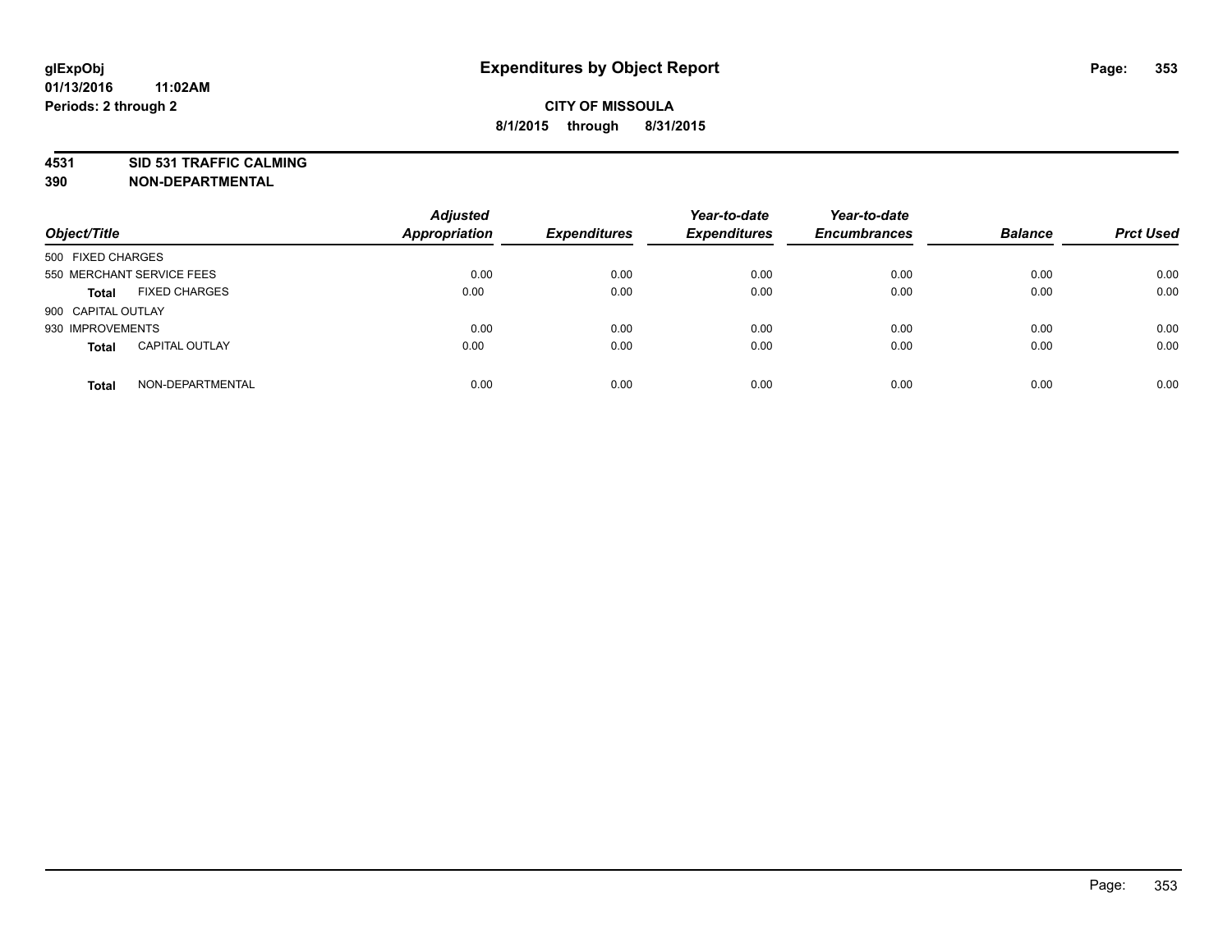**4531 SID 531 TRAFFIC CALMING**

**390 NON-DEPARTMENTAL**

| Object/Title              |                       | <b>Adjusted</b><br><b>Appropriation</b> | <b>Expenditures</b> | Year-to-date<br><b>Expenditures</b> | Year-to-date<br><b>Encumbrances</b> | <b>Balance</b> | <b>Prct Used</b> |
|---------------------------|-----------------------|-----------------------------------------|---------------------|-------------------------------------|-------------------------------------|----------------|------------------|
| 500 FIXED CHARGES         |                       |                                         |                     |                                     |                                     |                |                  |
| 550 MERCHANT SERVICE FEES |                       | 0.00                                    | 0.00                | 0.00                                | 0.00                                | 0.00           | 0.00             |
| <b>Total</b>              | <b>FIXED CHARGES</b>  | 0.00                                    | 0.00                | 0.00                                | 0.00                                | 0.00           | 0.00             |
| 900 CAPITAL OUTLAY        |                       |                                         |                     |                                     |                                     |                |                  |
| 930 IMPROVEMENTS          |                       | 0.00                                    | 0.00                | 0.00                                | 0.00                                | 0.00           | 0.00             |
| <b>Total</b>              | <b>CAPITAL OUTLAY</b> | 0.00                                    | 0.00                | 0.00                                | 0.00                                | 0.00           | 0.00             |
| <b>Total</b>              | NON-DEPARTMENTAL      | 0.00                                    | 0.00                | 0.00                                | 0.00                                | 0.00           | 0.00             |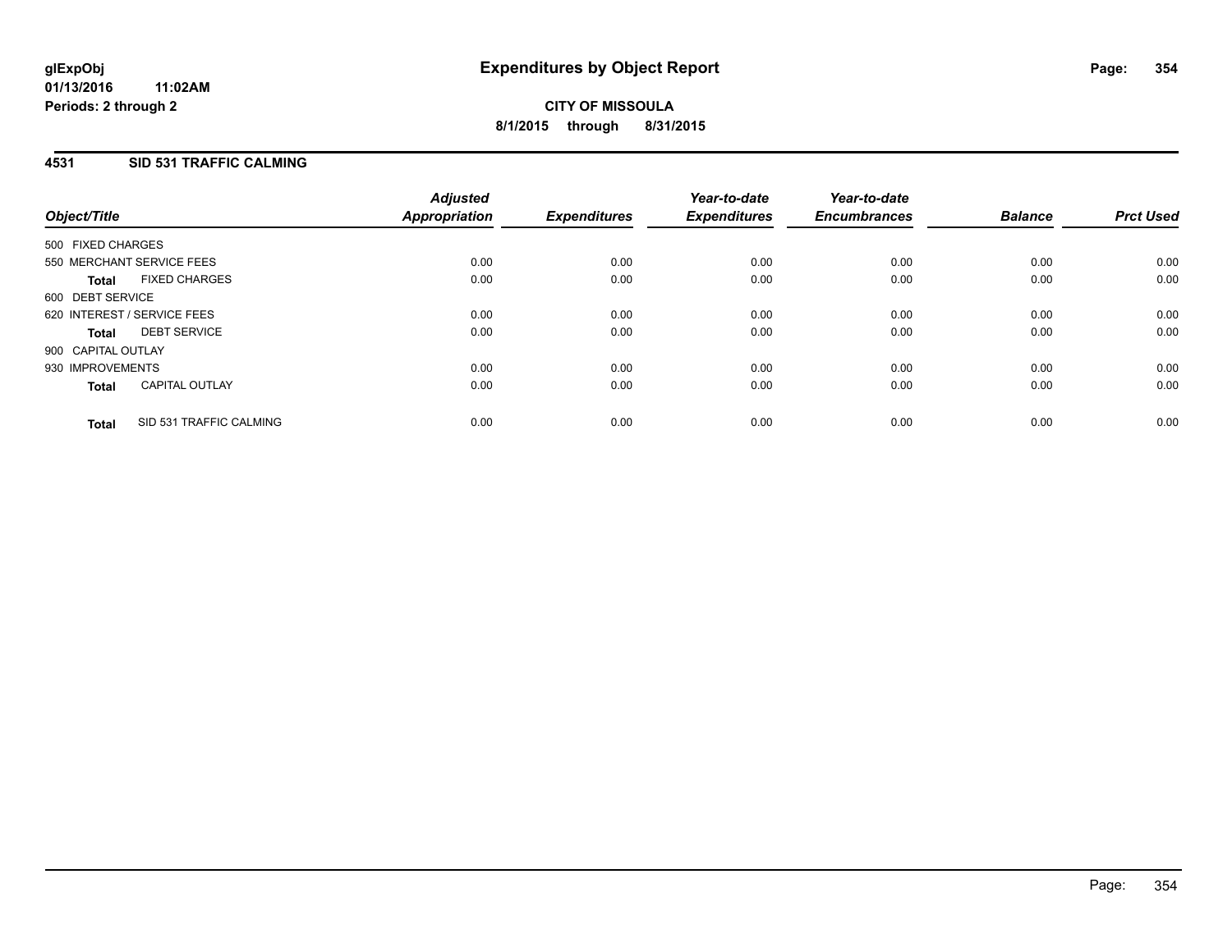# **4531 SID 531 TRAFFIC CALMING**

| Object/Title                |                           | <b>Adjusted</b><br>Appropriation | <b>Expenditures</b> | Year-to-date<br><b>Expenditures</b> | Year-to-date<br><b>Encumbrances</b> | <b>Balance</b> | <b>Prct Used</b> |
|-----------------------------|---------------------------|----------------------------------|---------------------|-------------------------------------|-------------------------------------|----------------|------------------|
| 500 FIXED CHARGES           |                           |                                  |                     |                                     |                                     |                |                  |
|                             | 550 MERCHANT SERVICE FEES | 0.00                             | 0.00                | 0.00                                | 0.00                                | 0.00           | 0.00             |
| <b>Total</b>                | <b>FIXED CHARGES</b>      | 0.00                             | 0.00                | 0.00                                | 0.00                                | 0.00           | 0.00             |
| 600 DEBT SERVICE            |                           |                                  |                     |                                     |                                     |                |                  |
| 620 INTEREST / SERVICE FEES |                           | 0.00                             | 0.00                | 0.00                                | 0.00                                | 0.00           | 0.00             |
| <b>Total</b>                | <b>DEBT SERVICE</b>       | 0.00                             | 0.00                | 0.00                                | 0.00                                | 0.00           | 0.00             |
| 900 CAPITAL OUTLAY          |                           |                                  |                     |                                     |                                     |                |                  |
| 930 IMPROVEMENTS            |                           | 0.00                             | 0.00                | 0.00                                | 0.00                                | 0.00           | 0.00             |
| <b>Total</b>                | <b>CAPITAL OUTLAY</b>     | 0.00                             | 0.00                | 0.00                                | 0.00                                | 0.00           | 0.00             |
| <b>Total</b>                | SID 531 TRAFFIC CALMING   | 0.00                             | 0.00                | 0.00                                | 0.00                                | 0.00           | 0.00             |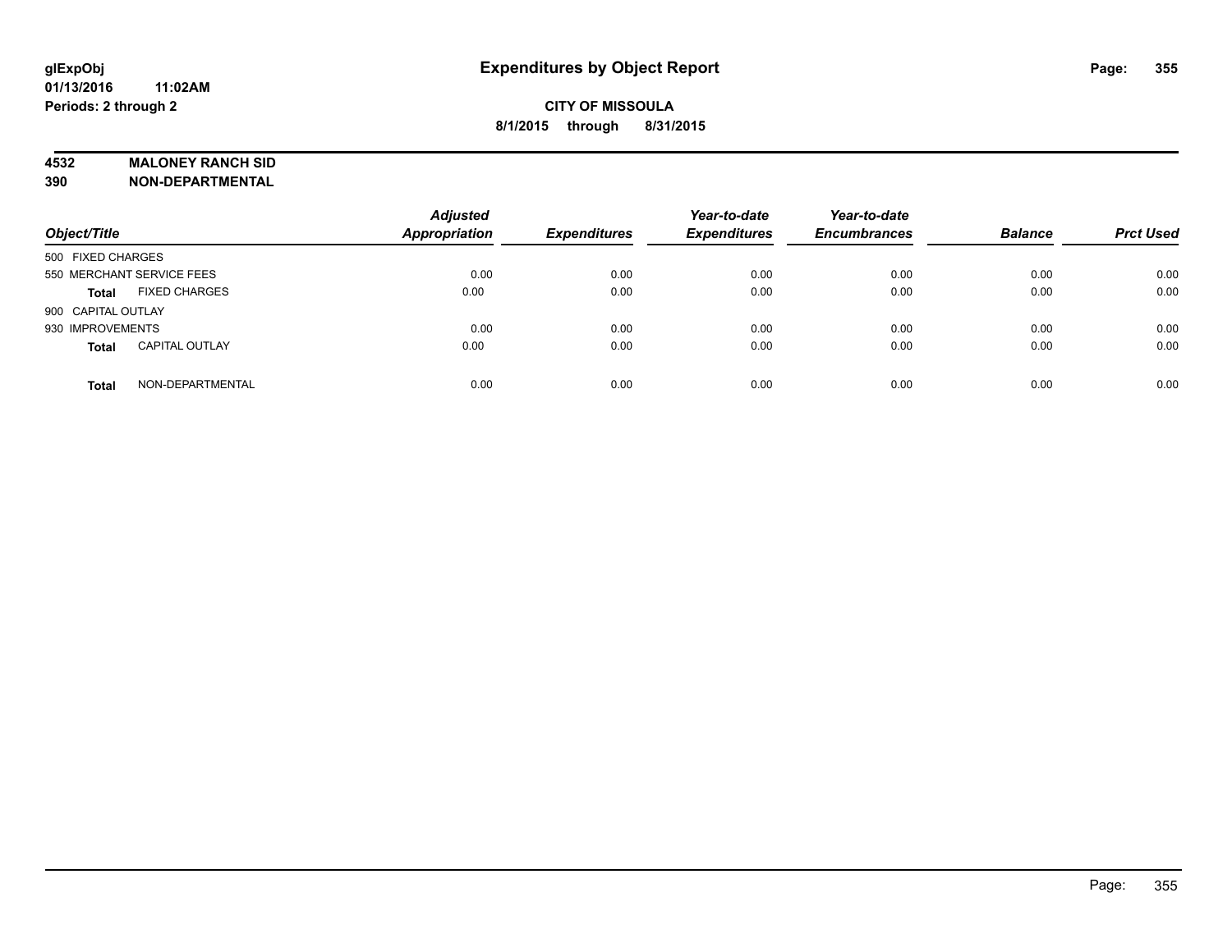#### **4532 MALONEY RANCH SID**

**390 NON-DEPARTMENTAL**

| Object/Title                          | <b>Adjusted</b><br><b>Appropriation</b> | <b>Expenditures</b> | Year-to-date<br><b>Expenditures</b> | Year-to-date<br><b>Encumbrances</b> | <b>Balance</b> | <b>Prct Used</b> |
|---------------------------------------|-----------------------------------------|---------------------|-------------------------------------|-------------------------------------|----------------|------------------|
| 500 FIXED CHARGES                     |                                         |                     |                                     |                                     |                |                  |
| 550 MERCHANT SERVICE FEES             | 0.00                                    | 0.00                | 0.00                                | 0.00                                | 0.00           | 0.00             |
| <b>FIXED CHARGES</b><br><b>Total</b>  | 0.00                                    | 0.00                | 0.00                                | 0.00                                | 0.00           | 0.00             |
| 900 CAPITAL OUTLAY                    |                                         |                     |                                     |                                     |                |                  |
| 930 IMPROVEMENTS                      | 0.00                                    | 0.00                | 0.00                                | 0.00                                | 0.00           | 0.00             |
| <b>CAPITAL OUTLAY</b><br><b>Total</b> | 0.00                                    | 0.00                | 0.00                                | 0.00                                | 0.00           | 0.00             |
| NON-DEPARTMENTAL<br><b>Total</b>      | 0.00                                    | 0.00                | 0.00                                | 0.00                                | 0.00           | 0.00             |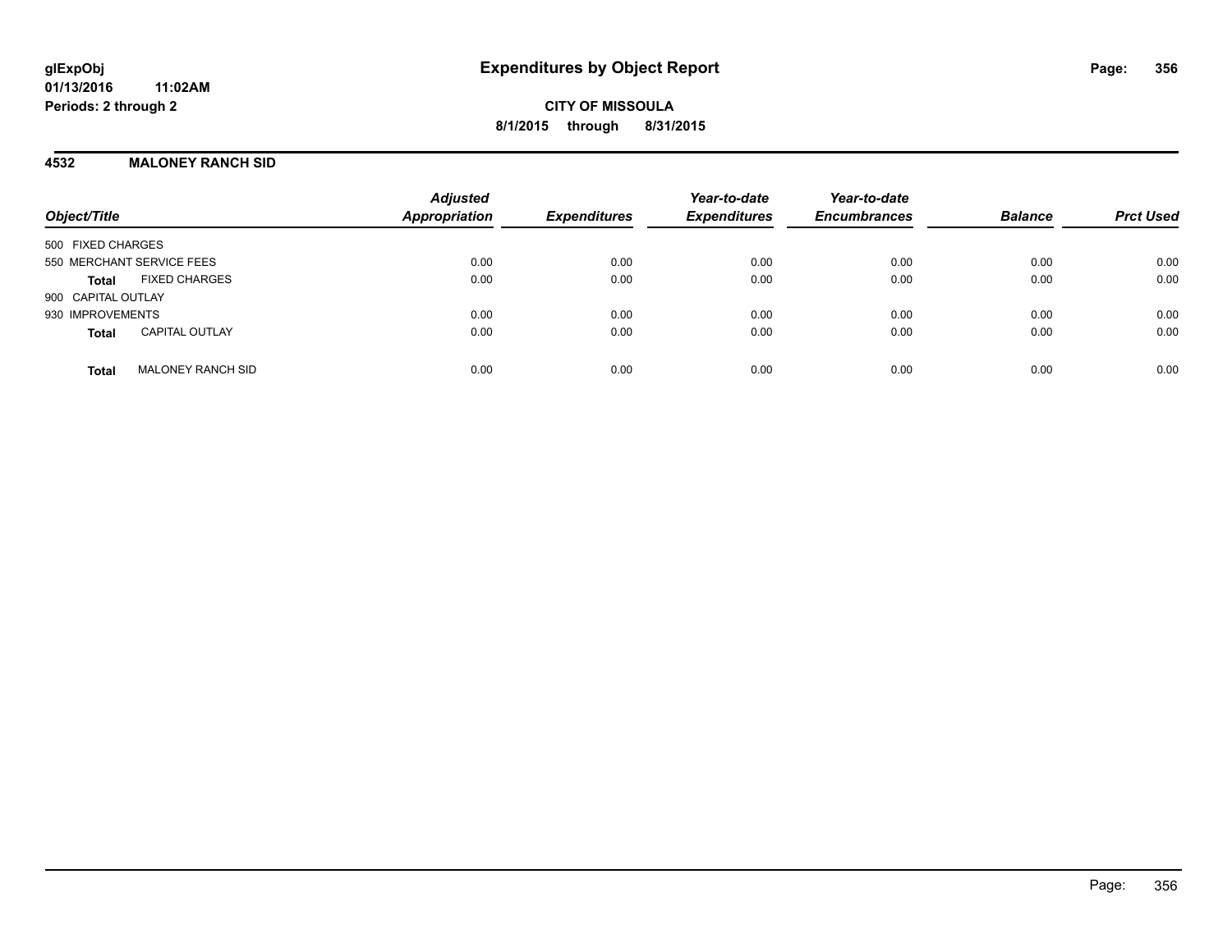## **4532 MALONEY RANCH SID**

| Object/Title                             | <b>Adjusted</b><br><b>Appropriation</b> | <b>Expenditures</b> | Year-to-date<br><b>Expenditures</b> | Year-to-date<br><b>Encumbrances</b> | <b>Balance</b> | <b>Prct Used</b> |
|------------------------------------------|-----------------------------------------|---------------------|-------------------------------------|-------------------------------------|----------------|------------------|
| 500 FIXED CHARGES                        |                                         |                     |                                     |                                     |                |                  |
| 550 MERCHANT SERVICE FEES                | 0.00                                    | 0.00                | 0.00                                | 0.00                                | 0.00           | 0.00             |
| <b>FIXED CHARGES</b><br><b>Total</b>     | 0.00                                    | 0.00                | 0.00                                | 0.00                                | 0.00           | 0.00             |
| 900 CAPITAL OUTLAY                       |                                         |                     |                                     |                                     |                |                  |
| 930 IMPROVEMENTS                         | 0.00                                    | 0.00                | 0.00                                | 0.00                                | 0.00           | 0.00             |
| <b>CAPITAL OUTLAY</b><br><b>Total</b>    | 0.00                                    | 0.00                | 0.00                                | 0.00                                | 0.00           | 0.00             |
| <b>MALONEY RANCH SID</b><br><b>Total</b> | 0.00                                    | 0.00                | 0.00                                | 0.00                                | 0.00           | 0.00             |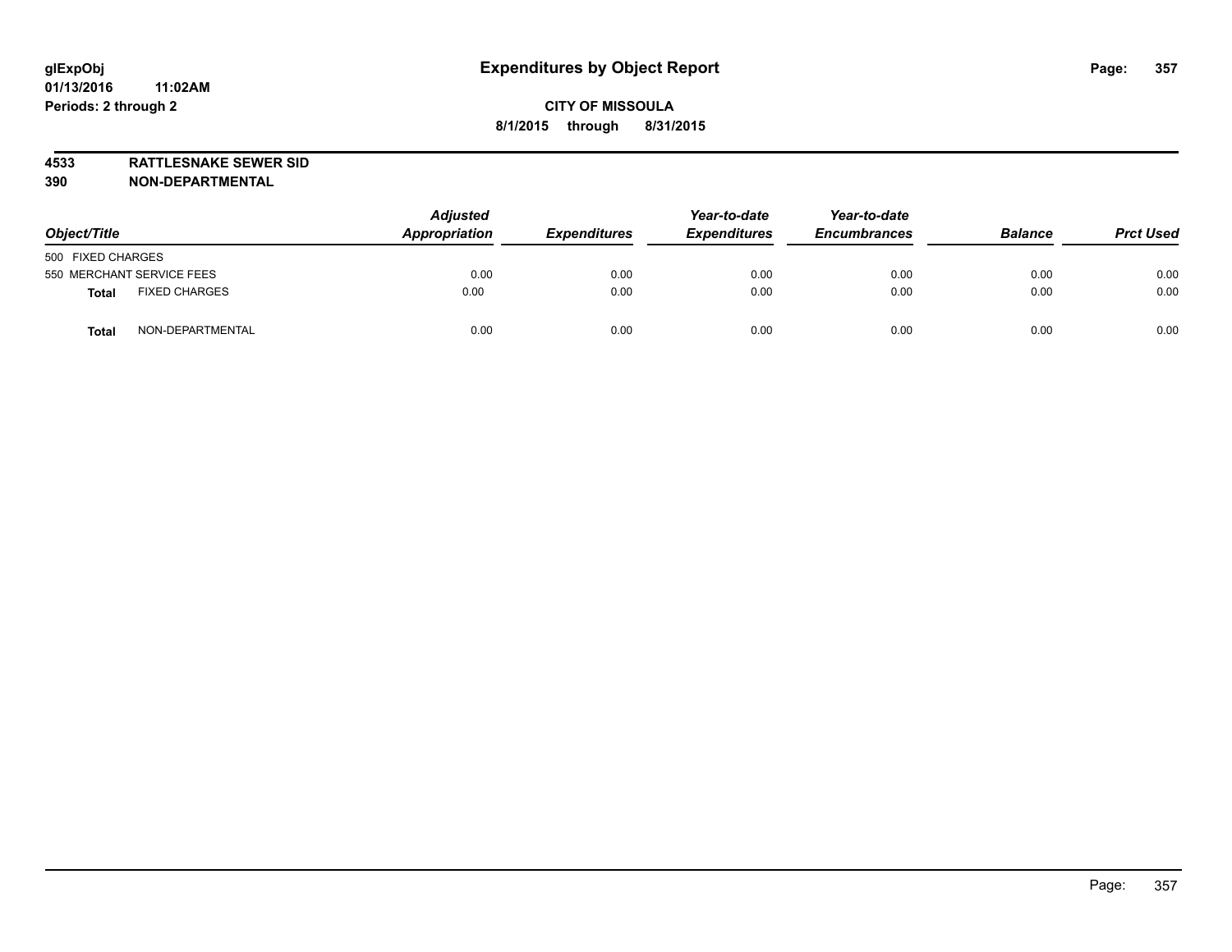**4533 RATTLESNAKE SEWER SID 390 NON-DEPARTMENTAL**

| Object/Title                         | <b>Adjusted</b><br>Appropriation | <b>Expenditures</b> | Year-to-date<br><b>Expenditures</b> | Year-to-date<br><b>Encumbrances</b> | <b>Balance</b> | <b>Prct Used</b> |
|--------------------------------------|----------------------------------|---------------------|-------------------------------------|-------------------------------------|----------------|------------------|
| 500 FIXED CHARGES                    |                                  |                     |                                     |                                     |                |                  |
| 550 MERCHANT SERVICE FEES            | 0.00                             | 0.00                | 0.00                                | 0.00                                | 0.00           | 0.00             |
| <b>FIXED CHARGES</b><br><b>Total</b> | 0.00                             | 0.00                | 0.00                                | 0.00                                | 0.00           | 0.00             |
| NON-DEPARTMENTAL<br><b>Total</b>     | 0.00                             | 0.00                | 0.00                                | 0.00                                | 0.00           | 0.00             |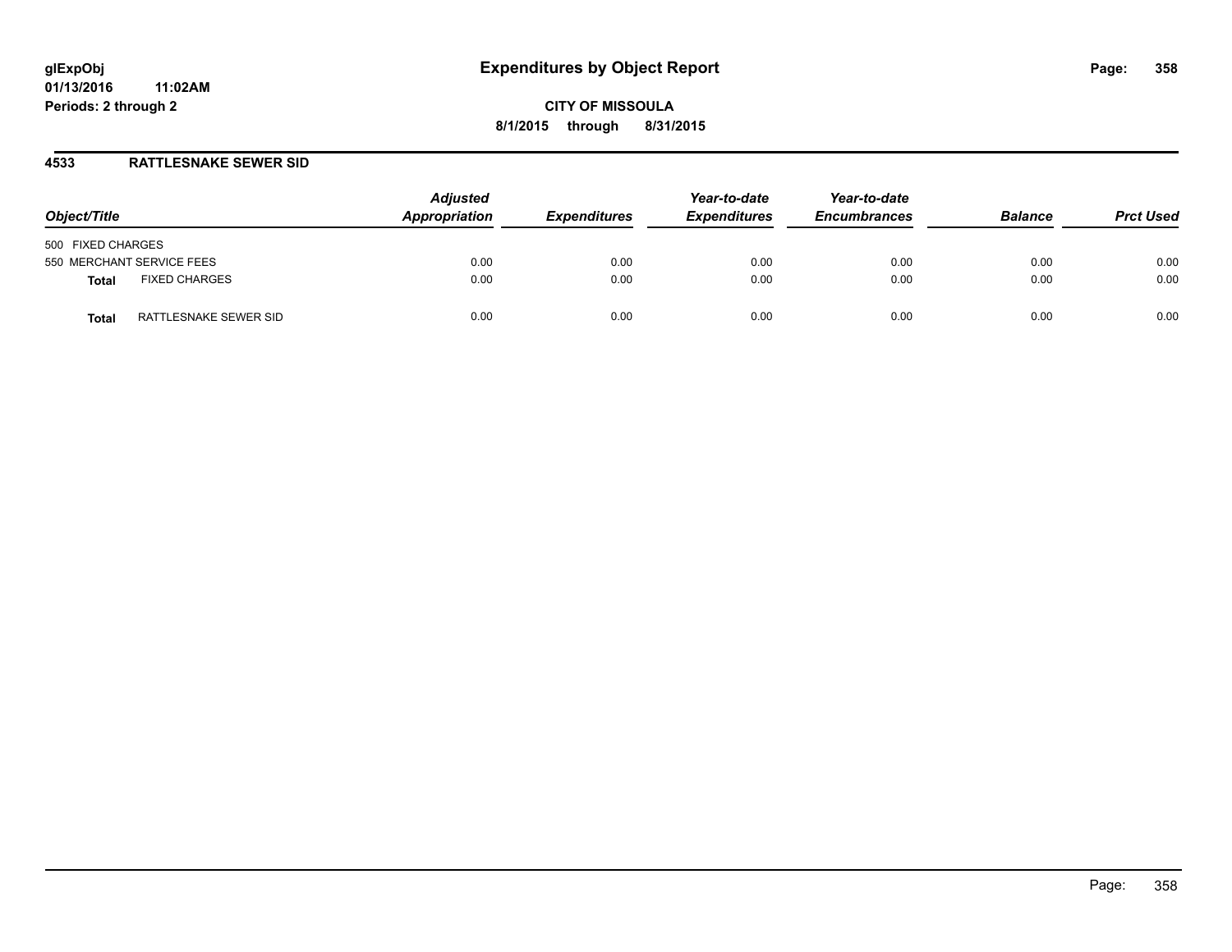#### **4533 RATTLESNAKE SEWER SID**

| Object/Title                         | <b>Adjusted</b><br>Appropriation | <b>Expenditures</b> | Year-to-date<br><b>Expenditures</b> | Year-to-date<br><b>Encumbrances</b> | <b>Balance</b> | <b>Prct Used</b> |
|--------------------------------------|----------------------------------|---------------------|-------------------------------------|-------------------------------------|----------------|------------------|
| 500 FIXED CHARGES                    |                                  |                     |                                     |                                     |                |                  |
| 550 MERCHANT SERVICE FEES            | 0.00                             | 0.00                | 0.00                                | 0.00                                | 0.00           | 0.00             |
| <b>FIXED CHARGES</b><br><b>Total</b> | 0.00                             | 0.00                | 0.00                                | 0.00                                | 0.00           | 0.00             |
| RATTLESNAKE SEWER SID<br>Total       | 0.00                             | 0.00                | 0.00                                | 0.00                                | 0.00           | 0.00             |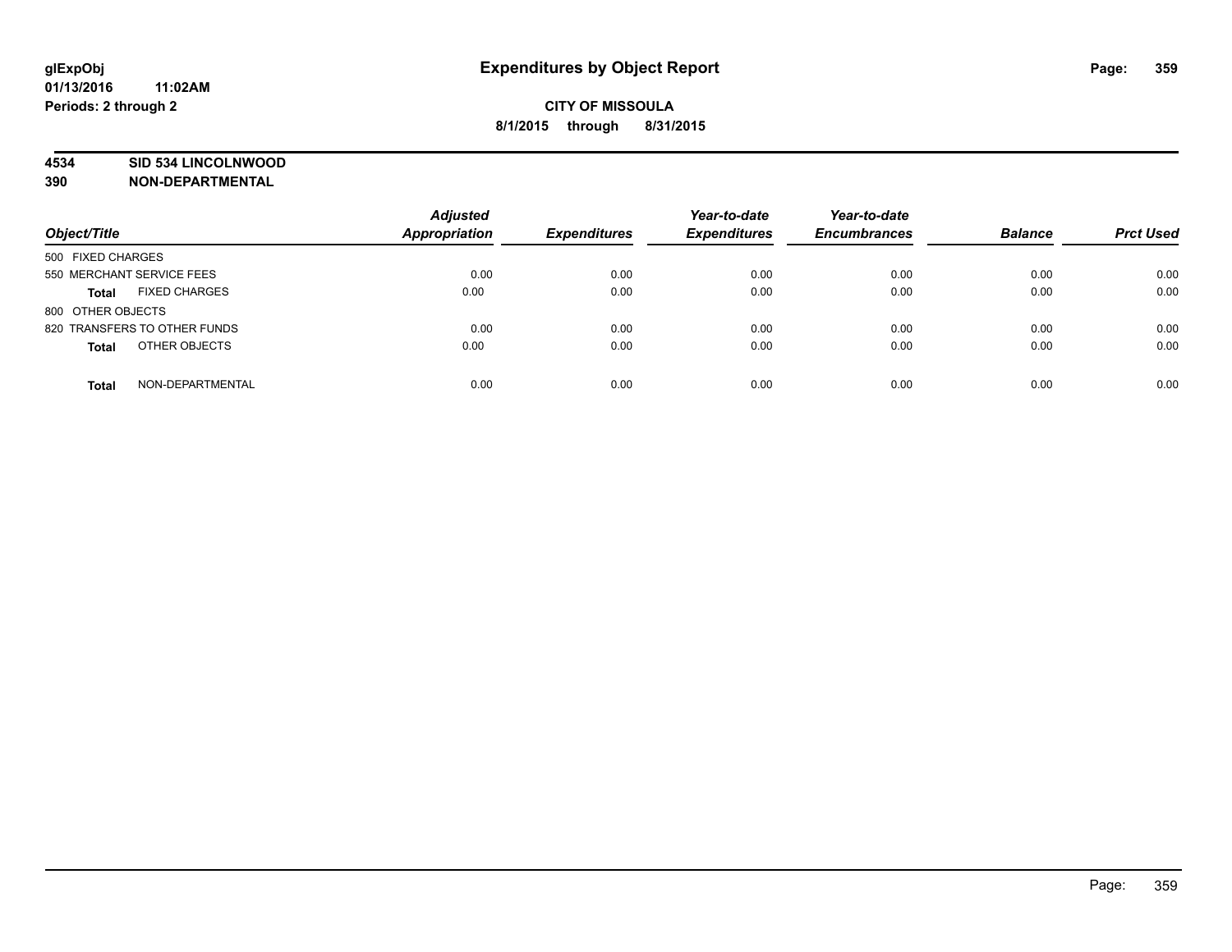#### **4534 SID 534 LINCOLNWOOD**

**390 NON-DEPARTMENTAL**

| Object/Title                         | <b>Adjusted</b><br><b>Appropriation</b> | <b>Expenditures</b> | Year-to-date<br><b>Expenditures</b> | Year-to-date<br><b>Encumbrances</b> | <b>Balance</b> | <b>Prct Used</b> |
|--------------------------------------|-----------------------------------------|---------------------|-------------------------------------|-------------------------------------|----------------|------------------|
|                                      |                                         |                     |                                     |                                     |                |                  |
| 500 FIXED CHARGES                    |                                         |                     |                                     |                                     |                |                  |
| 550 MERCHANT SERVICE FEES            | 0.00                                    | 0.00                | 0.00                                | 0.00                                | 0.00           | 0.00             |
| <b>FIXED CHARGES</b><br><b>Total</b> | 0.00                                    | 0.00                | 0.00                                | 0.00                                | 0.00           | 0.00             |
| 800 OTHER OBJECTS                    |                                         |                     |                                     |                                     |                |                  |
| 820 TRANSFERS TO OTHER FUNDS         | 0.00                                    | 0.00                | 0.00                                | 0.00                                | 0.00           | 0.00             |
| OTHER OBJECTS<br><b>Total</b>        | 0.00                                    | 0.00                | 0.00                                | 0.00                                | 0.00           | 0.00             |
| NON-DEPARTMENTAL<br><b>Total</b>     | 0.00                                    | 0.00                | 0.00                                | 0.00                                | 0.00           | 0.00             |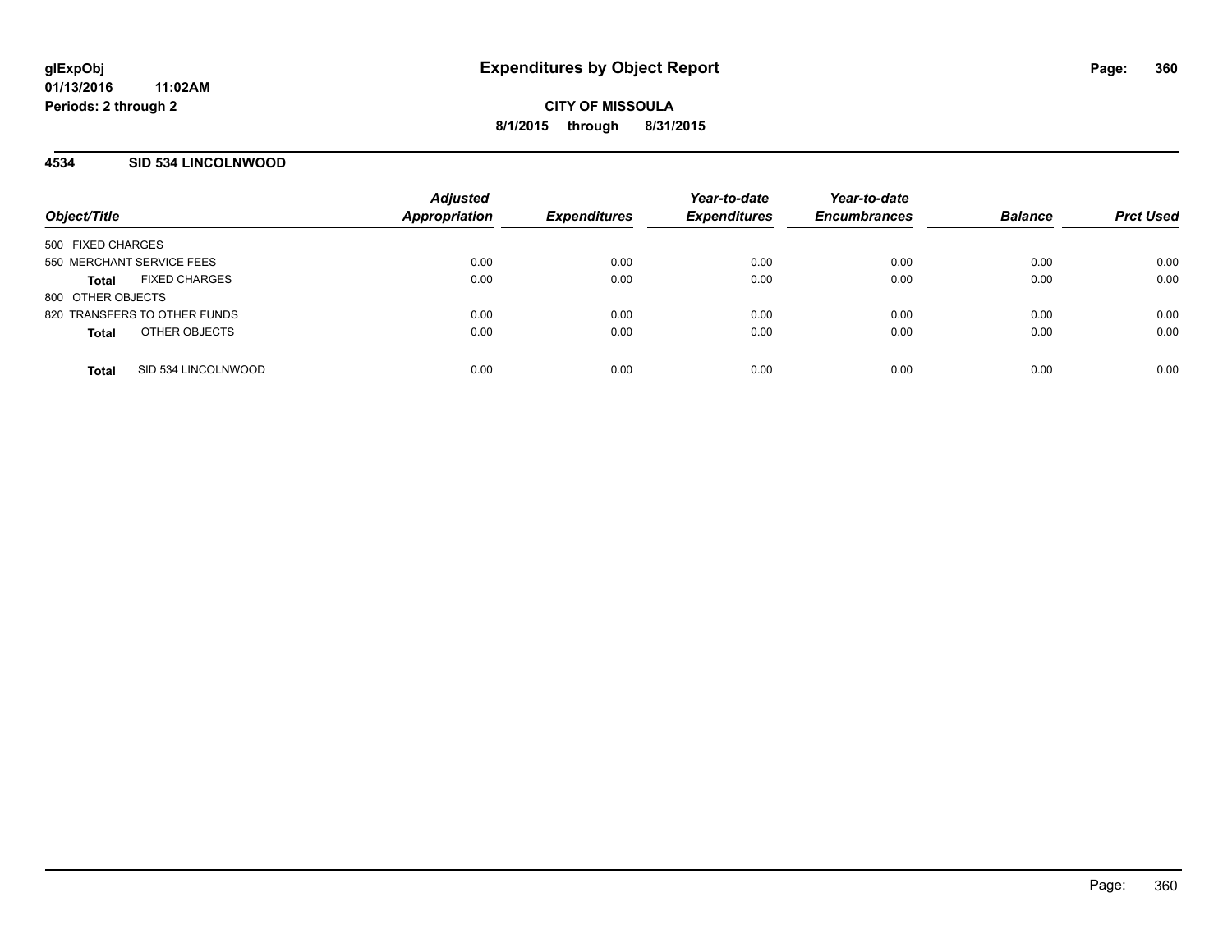#### **4534 SID 534 LINCOLNWOOD**

| Object/Title                         | <b>Adjusted</b><br><b>Appropriation</b> | <b>Expenditures</b> | Year-to-date<br><b>Expenditures</b> | Year-to-date<br><b>Encumbrances</b> | <b>Balance</b> | <b>Prct Used</b> |
|--------------------------------------|-----------------------------------------|---------------------|-------------------------------------|-------------------------------------|----------------|------------------|
| 500 FIXED CHARGES                    |                                         |                     |                                     |                                     |                |                  |
| 550 MERCHANT SERVICE FEES            | 0.00                                    | 0.00                | 0.00                                | 0.00                                | 0.00           | 0.00             |
| <b>FIXED CHARGES</b><br><b>Total</b> | 0.00                                    | 0.00                | 0.00                                | 0.00                                | 0.00           | 0.00             |
| 800 OTHER OBJECTS                    |                                         |                     |                                     |                                     |                |                  |
| 820 TRANSFERS TO OTHER FUNDS         | 0.00                                    | 0.00                | 0.00                                | 0.00                                | 0.00           | 0.00             |
| OTHER OBJECTS<br><b>Total</b>        | 0.00                                    | 0.00                | 0.00                                | 0.00                                | 0.00           | 0.00             |
|                                      |                                         |                     |                                     |                                     |                |                  |
| SID 534 LINCOLNWOOD<br><b>Total</b>  | 0.00                                    | 0.00                | 0.00                                | 0.00                                | 0.00           | 0.00             |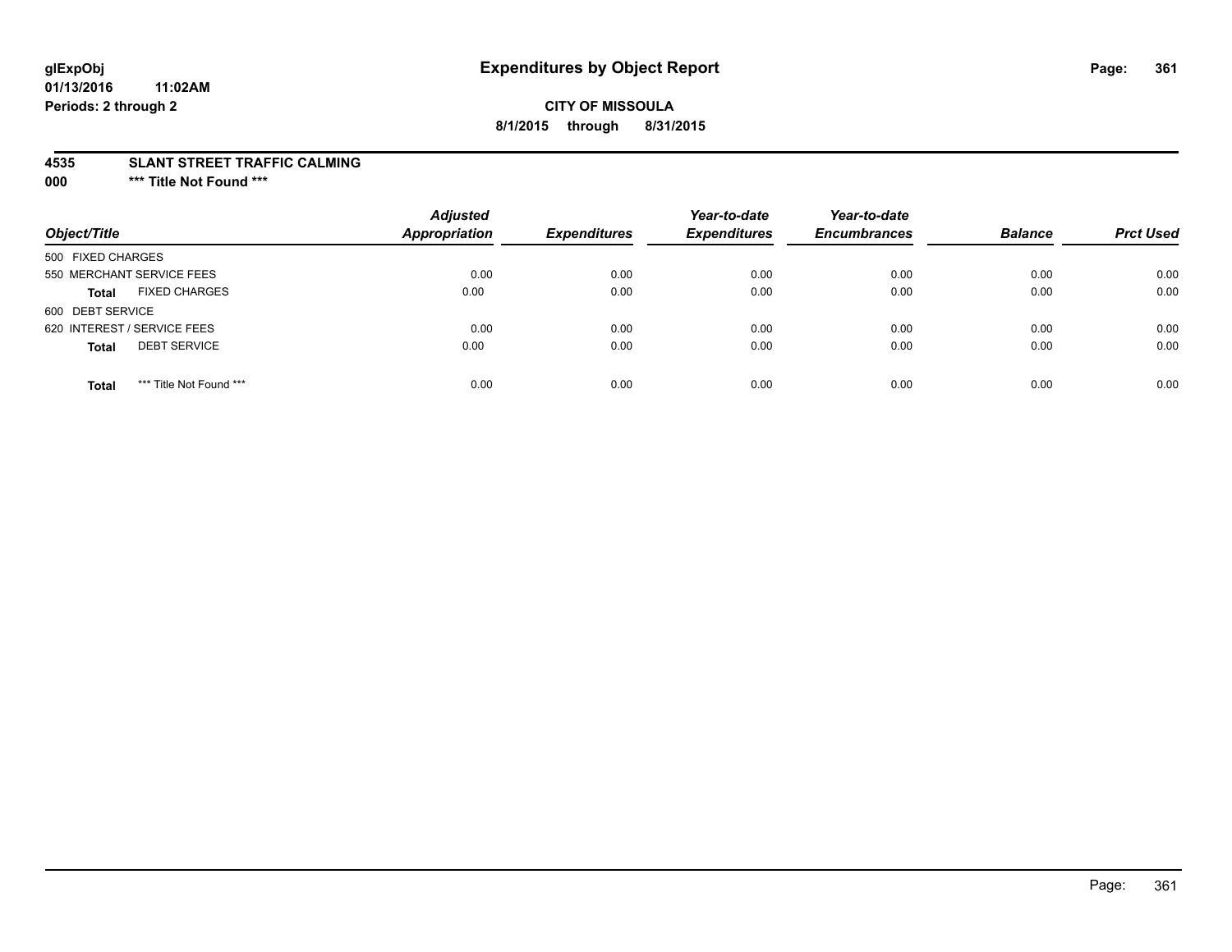## **CITY OF MISSOULA 8/1/2015 through 8/31/2015**

#### **4535 SLANT STREET TRAFFIC CALMING**

**000 \*\*\* Title Not Found \*\*\***

| Object/Title                            | <b>Adjusted</b><br><b>Appropriation</b> | <b>Expenditures</b> | Year-to-date<br><b>Expenditures</b> | Year-to-date<br><b>Encumbrances</b> | <b>Balance</b> | <b>Prct Used</b> |
|-----------------------------------------|-----------------------------------------|---------------------|-------------------------------------|-------------------------------------|----------------|------------------|
| 500 FIXED CHARGES                       |                                         |                     |                                     |                                     |                |                  |
| 550 MERCHANT SERVICE FEES               | 0.00                                    | 0.00                | 0.00                                | 0.00                                | 0.00           | 0.00             |
| <b>FIXED CHARGES</b><br><b>Total</b>    | 0.00                                    | 0.00                | 0.00                                | 0.00                                | 0.00           | 0.00             |
| 600 DEBT SERVICE                        |                                         |                     |                                     |                                     |                |                  |
| 620 INTEREST / SERVICE FEES             | 0.00                                    | 0.00                | 0.00                                | 0.00                                | 0.00           | 0.00             |
| <b>DEBT SERVICE</b><br><b>Total</b>     | 0.00                                    | 0.00                | 0.00                                | 0.00                                | 0.00           | 0.00             |
| *** Title Not Found ***<br><b>Total</b> | 0.00                                    | 0.00                | 0.00                                | 0.00                                | 0.00           | 0.00             |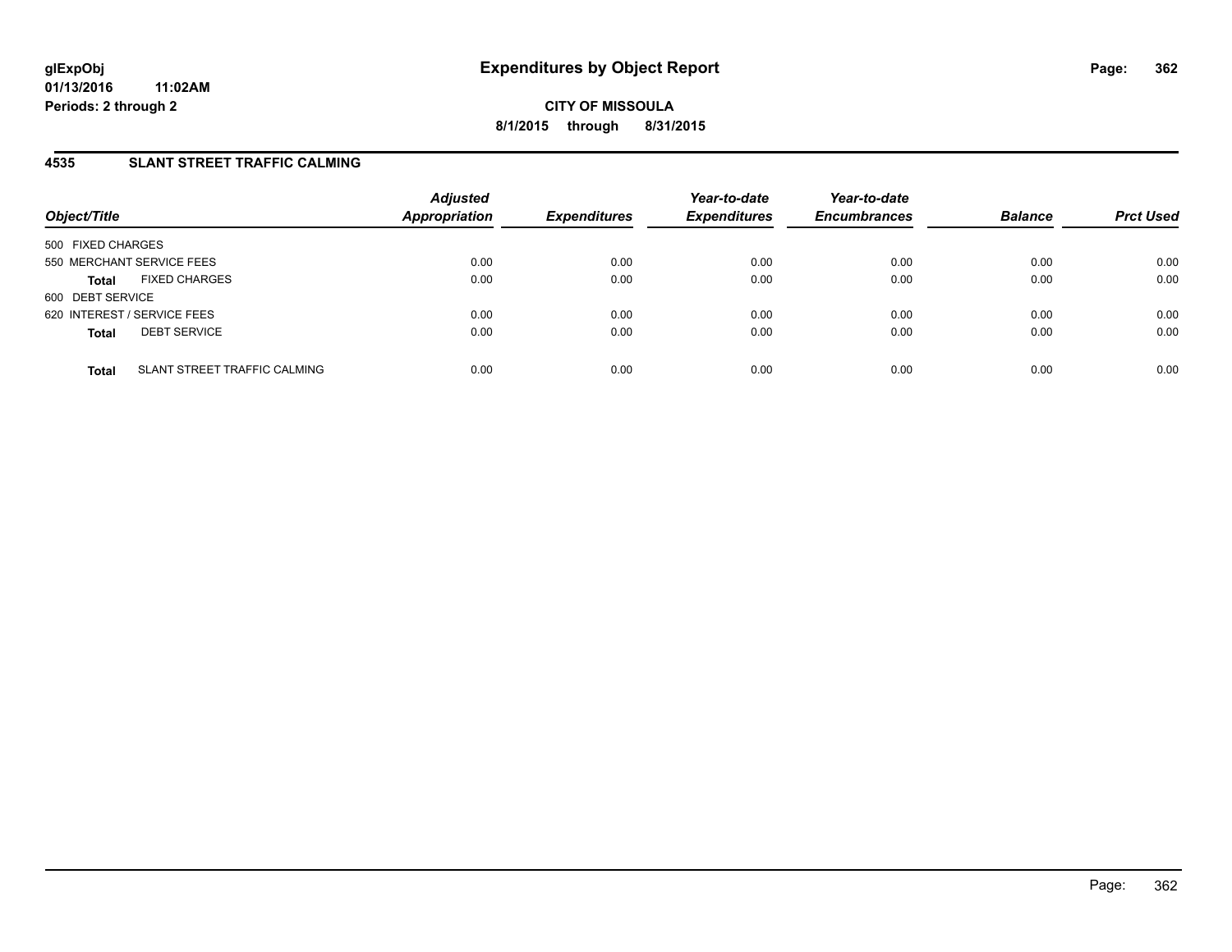### **4535 SLANT STREET TRAFFIC CALMING**

| Object/Title                                 | <b>Adjusted</b><br>Appropriation | <b>Expenditures</b> | Year-to-date<br><b>Expenditures</b> | Year-to-date<br><b>Encumbrances</b> | <b>Balance</b> | <b>Prct Used</b> |
|----------------------------------------------|----------------------------------|---------------------|-------------------------------------|-------------------------------------|----------------|------------------|
| 500 FIXED CHARGES                            |                                  |                     |                                     |                                     |                |                  |
| 550 MERCHANT SERVICE FEES                    | 0.00                             | 0.00                | 0.00                                | 0.00                                | 0.00           | 0.00             |
| <b>FIXED CHARGES</b><br><b>Total</b>         | 0.00                             | 0.00                | 0.00                                | 0.00                                | 0.00           | 0.00             |
| 600 DEBT SERVICE                             |                                  |                     |                                     |                                     |                |                  |
| 620 INTEREST / SERVICE FEES                  | 0.00                             | 0.00                | 0.00                                | 0.00                                | 0.00           | 0.00             |
| <b>DEBT SERVICE</b><br><b>Total</b>          | 0.00                             | 0.00                | 0.00                                | 0.00                                | 0.00           | 0.00             |
|                                              |                                  |                     |                                     |                                     |                |                  |
| SLANT STREET TRAFFIC CALMING<br><b>Total</b> | 0.00                             | 0.00                | 0.00                                | 0.00                                | 0.00           | 0.00             |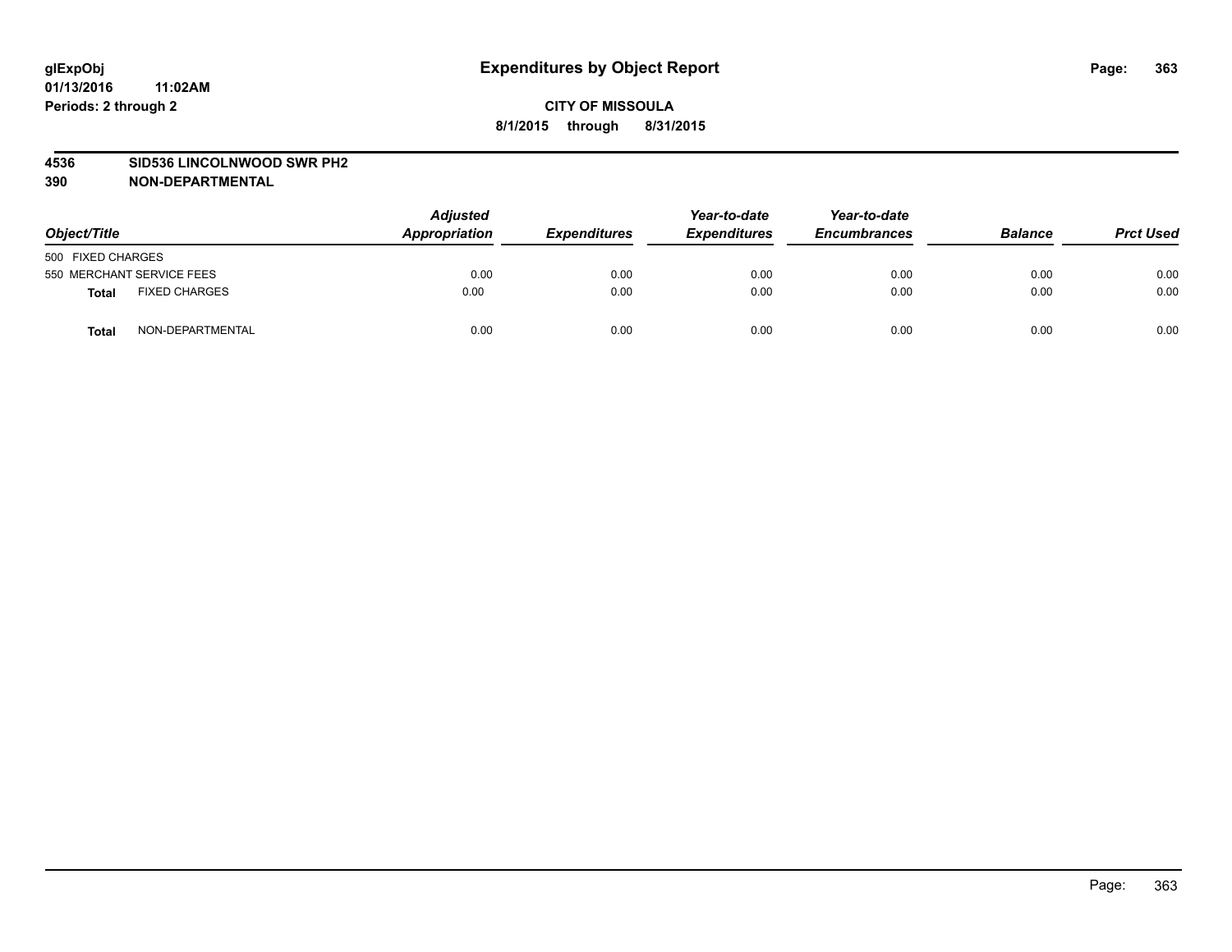#### **4536 SID536 LINCOLNWOOD SWR PH2**

| Object/Title                         | <b>Adjusted</b><br>Appropriation | <b>Expenditures</b> | Year-to-date<br><b>Expenditures</b> | Year-to-date<br><b>Encumbrances</b> | <b>Balance</b> | <b>Prct Used</b> |
|--------------------------------------|----------------------------------|---------------------|-------------------------------------|-------------------------------------|----------------|------------------|
| 500 FIXED CHARGES                    |                                  |                     |                                     |                                     |                |                  |
| 550 MERCHANT SERVICE FEES            | 0.00                             | 0.00                | 0.00                                | 0.00                                | 0.00           | 0.00             |
| <b>FIXED CHARGES</b><br><b>Total</b> | 0.00                             | 0.00                | 0.00                                | 0.00                                | 0.00           | 0.00             |
| NON-DEPARTMENTAL<br>Total            | 0.00                             | 0.00                | 0.00                                | 0.00                                | 0.00           | 0.00             |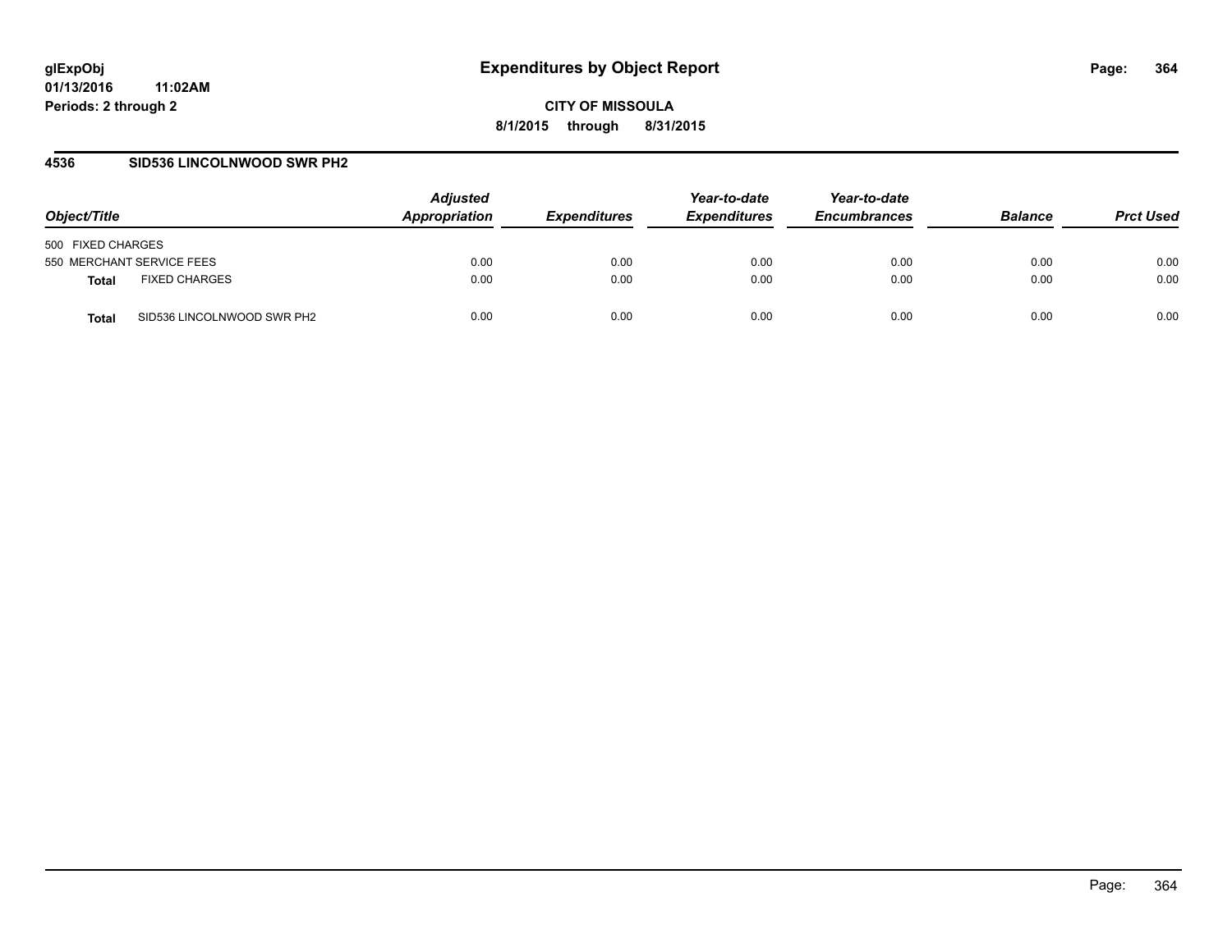#### **4536 SID536 LINCOLNWOOD SWR PH2**

| Object/Title                         | <b>Adjusted</b><br>Appropriation | <i><b>Expenditures</b></i> | Year-to-date<br><b>Expenditures</b> | Year-to-date<br><b>Encumbrances</b> | <b>Balance</b> | <b>Prct Used</b> |
|--------------------------------------|----------------------------------|----------------------------|-------------------------------------|-------------------------------------|----------------|------------------|
| 500 FIXED CHARGES                    |                                  |                            |                                     |                                     |                |                  |
| 550 MERCHANT SERVICE FEES            | 0.00                             | 0.00                       | 0.00                                | 0.00                                | 0.00           | 0.00             |
| <b>FIXED CHARGES</b><br><b>Total</b> | 0.00                             | 0.00                       | 0.00                                | 0.00                                | 0.00           | 0.00             |
| SID536 LINCOLNWOOD SWR PH2<br>Total  | 0.00                             | 0.00                       | 0.00                                | 0.00                                | 0.00           | 0.00             |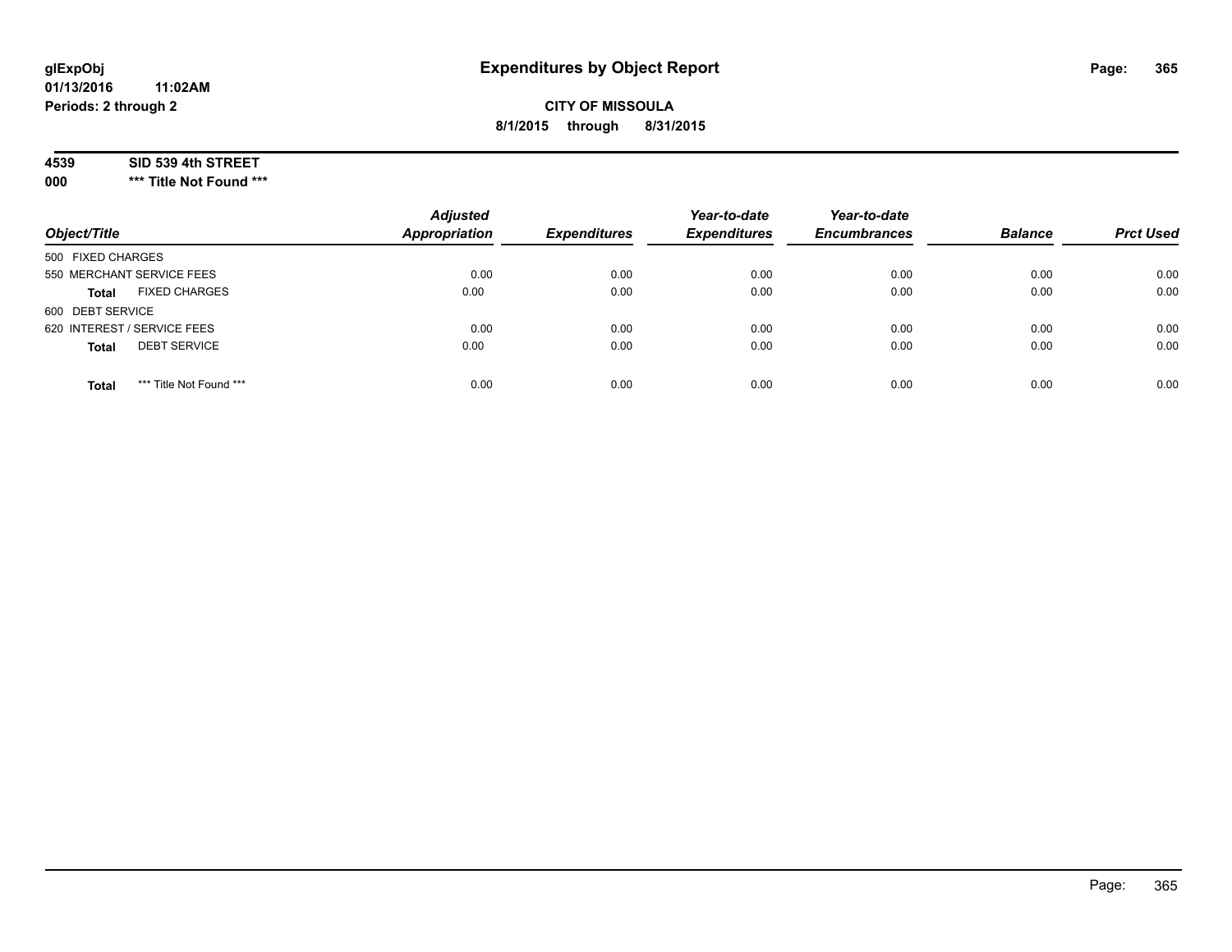## **CITY OF MISSOULA 8/1/2015 through 8/31/2015**

#### **4539 SID 539 4th STREET**

**000 \*\*\* Title Not Found \*\*\***

| Object/Title                            | <b>Adjusted</b><br>Appropriation | <b>Expenditures</b> | Year-to-date<br><b>Expenditures</b> | Year-to-date<br><b>Encumbrances</b> | <b>Balance</b> | <b>Prct Used</b> |
|-----------------------------------------|----------------------------------|---------------------|-------------------------------------|-------------------------------------|----------------|------------------|
| 500 FIXED CHARGES                       |                                  |                     |                                     |                                     |                |                  |
| 550 MERCHANT SERVICE FEES               | 0.00                             | 0.00                | 0.00                                | 0.00                                | 0.00           | 0.00             |
| <b>FIXED CHARGES</b><br><b>Total</b>    | 0.00                             | 0.00                | 0.00                                | 0.00                                | 0.00           | 0.00             |
| 600 DEBT SERVICE                        |                                  |                     |                                     |                                     |                |                  |
| 620 INTEREST / SERVICE FEES             | 0.00                             | 0.00                | 0.00                                | 0.00                                | 0.00           | 0.00             |
| <b>DEBT SERVICE</b><br><b>Total</b>     | 0.00                             | 0.00                | 0.00                                | 0.00                                | 0.00           | 0.00             |
| *** Title Not Found ***<br><b>Total</b> | 0.00                             | 0.00                | 0.00                                | 0.00                                | 0.00           | 0.00             |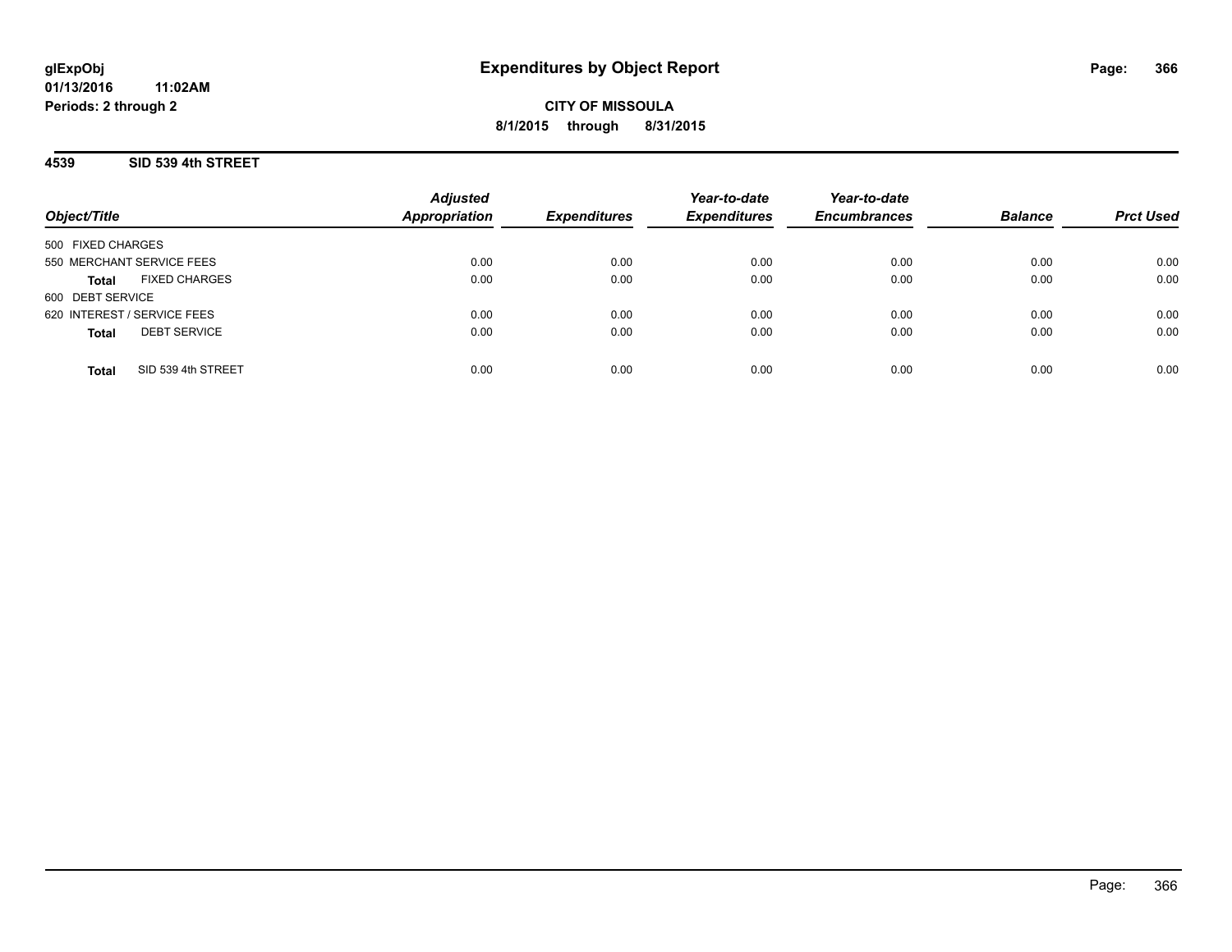**CITY OF MISSOULA 8/1/2015 through 8/31/2015**

#### **4539 SID 539 4th STREET**

|                                      | <b>Adjusted</b>      |                     | Year-to-date        | Year-to-date        |                |                  |
|--------------------------------------|----------------------|---------------------|---------------------|---------------------|----------------|------------------|
| Object/Title                         | <b>Appropriation</b> | <b>Expenditures</b> | <b>Expenditures</b> | <b>Encumbrances</b> | <b>Balance</b> | <b>Prct Used</b> |
| 500 FIXED CHARGES                    |                      |                     |                     |                     |                |                  |
| 550 MERCHANT SERVICE FEES            | 0.00                 | 0.00                | 0.00                | 0.00                | 0.00           | 0.00             |
| <b>FIXED CHARGES</b><br><b>Total</b> | 0.00                 | 0.00                | 0.00                | 0.00                | 0.00           | 0.00             |
| 600 DEBT SERVICE                     |                      |                     |                     |                     |                |                  |
| 620 INTEREST / SERVICE FEES          | 0.00                 | 0.00                | 0.00                | 0.00                | 0.00           | 0.00             |
| <b>DEBT SERVICE</b><br><b>Total</b>  | 0.00                 | 0.00                | 0.00                | 0.00                | 0.00           | 0.00             |
| SID 539 4th STREET<br><b>Total</b>   | 0.00                 | 0.00                | 0.00                | 0.00                | 0.00           | 0.00             |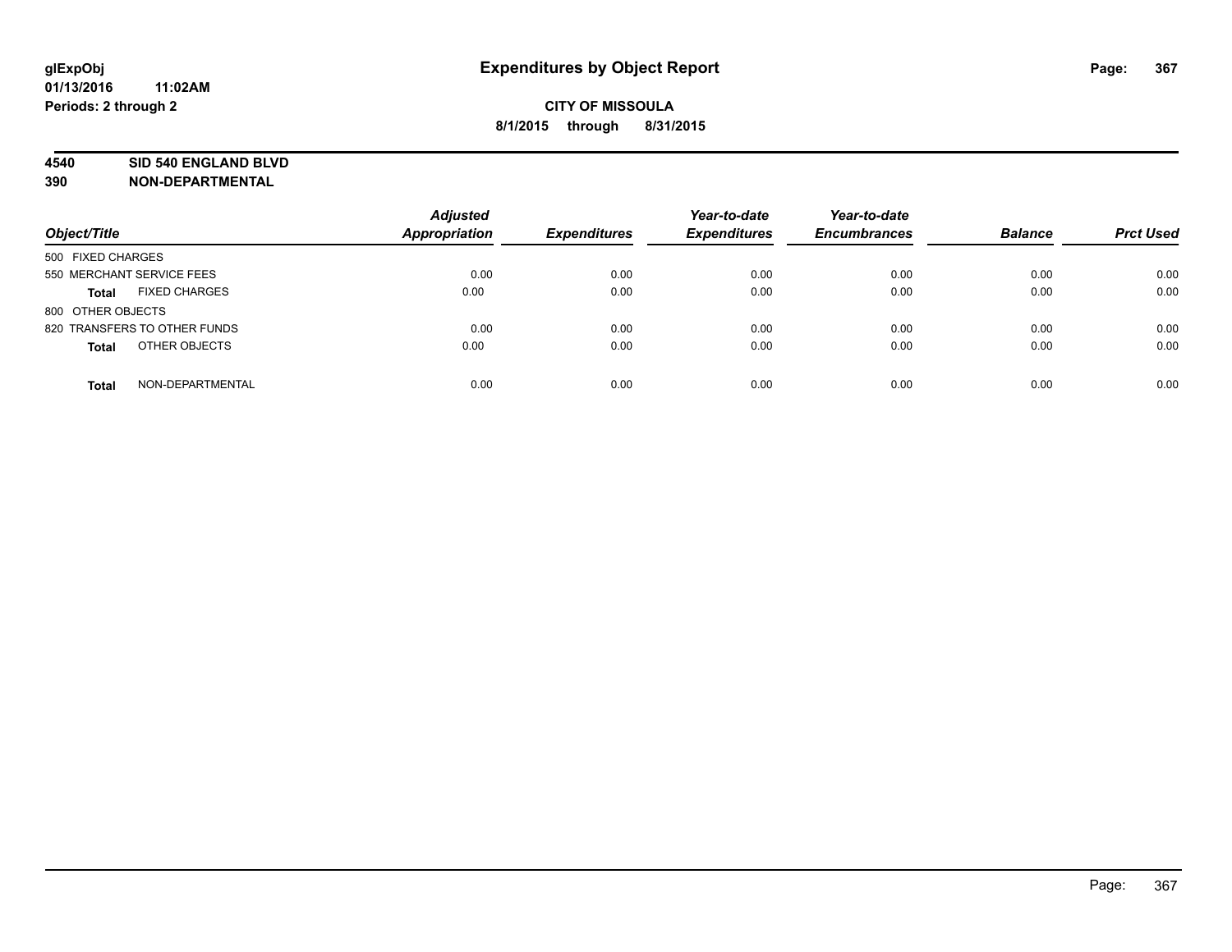#### **4540 SID 540 ENGLAND BLVD**

| Object/Title                         | <b>Adjusted</b><br>Appropriation | <b>Expenditures</b> | Year-to-date<br><b>Expenditures</b> | Year-to-date<br><b>Encumbrances</b> | <b>Balance</b> | <b>Prct Used</b> |
|--------------------------------------|----------------------------------|---------------------|-------------------------------------|-------------------------------------|----------------|------------------|
| 500 FIXED CHARGES                    |                                  |                     |                                     |                                     |                |                  |
| 550 MERCHANT SERVICE FEES            | 0.00                             | 0.00                | 0.00                                | 0.00                                | 0.00           | 0.00             |
| <b>FIXED CHARGES</b><br><b>Total</b> | 0.00                             | 0.00                | 0.00                                | 0.00                                | 0.00           | 0.00             |
| 800 OTHER OBJECTS                    |                                  |                     |                                     |                                     |                |                  |
| 820 TRANSFERS TO OTHER FUNDS         | 0.00                             | 0.00                | 0.00                                | 0.00                                | 0.00           | 0.00             |
| OTHER OBJECTS<br><b>Total</b>        | 0.00                             | 0.00                | 0.00                                | 0.00                                | 0.00           | 0.00             |
| NON-DEPARTMENTAL<br><b>Total</b>     | 0.00                             | 0.00                | 0.00                                | 0.00                                | 0.00           | 0.00             |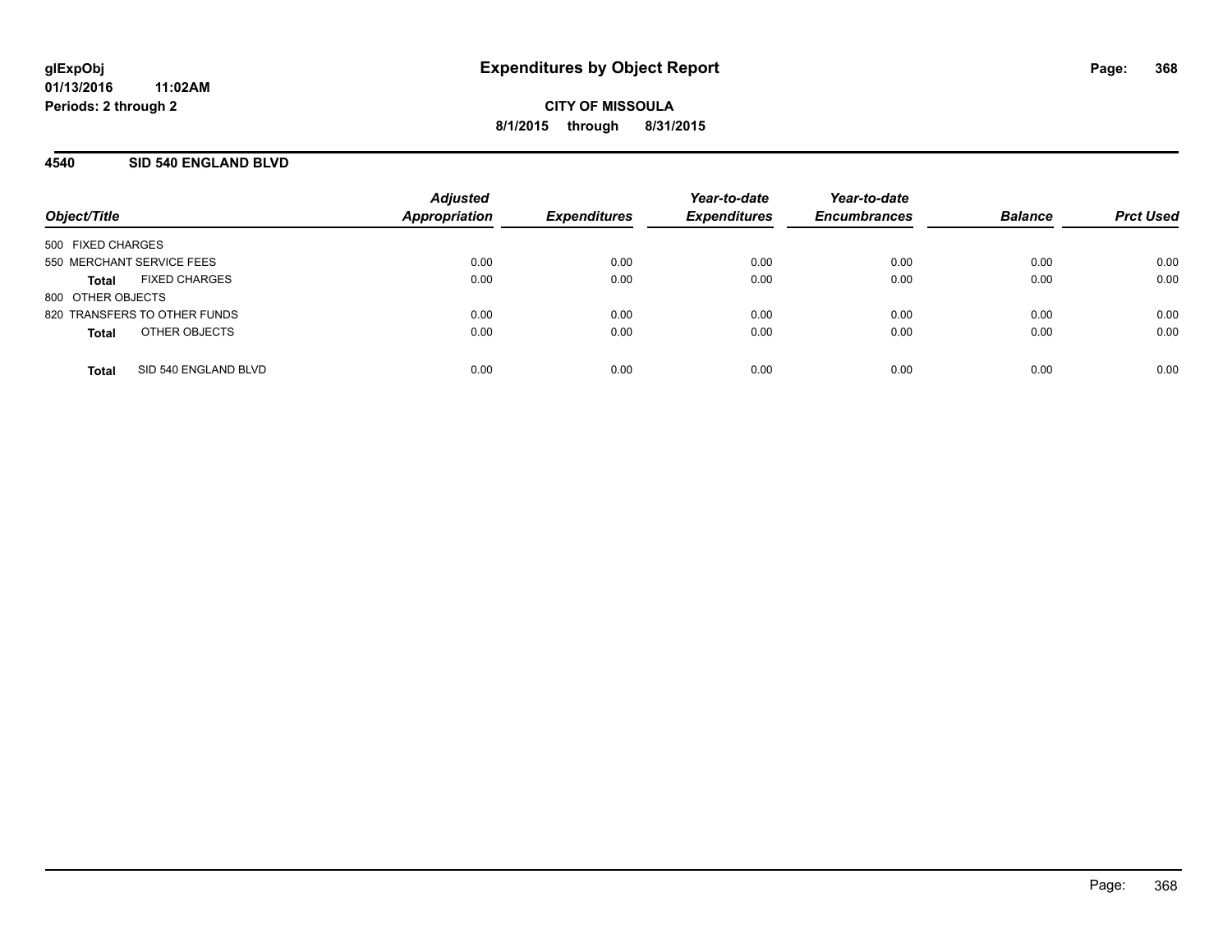**CITY OF MISSOULA 8/1/2015 through 8/31/2015**

#### **4540 SID 540 ENGLAND BLVD**

| Object/Title                 |                      | <b>Adjusted</b><br>Appropriation | <b>Expenditures</b> | Year-to-date<br><b>Expenditures</b> | Year-to-date<br><b>Encumbrances</b> | <b>Balance</b> | <b>Prct Used</b> |
|------------------------------|----------------------|----------------------------------|---------------------|-------------------------------------|-------------------------------------|----------------|------------------|
|                              |                      |                                  |                     |                                     |                                     |                |                  |
| 500 FIXED CHARGES            |                      |                                  |                     |                                     |                                     |                |                  |
| 550 MERCHANT SERVICE FEES    |                      | 0.00                             | 0.00                | 0.00                                | 0.00                                | 0.00           | 0.00             |
| Total                        | <b>FIXED CHARGES</b> | 0.00                             | 0.00                | 0.00                                | 0.00                                | 0.00           | 0.00             |
| 800 OTHER OBJECTS            |                      |                                  |                     |                                     |                                     |                |                  |
| 820 TRANSFERS TO OTHER FUNDS |                      | 0.00                             | 0.00                | 0.00                                | 0.00                                | 0.00           | 0.00             |
| <b>Total</b>                 | OTHER OBJECTS        | 0.00                             | 0.00                | 0.00                                | 0.00                                | 0.00           | 0.00             |
|                              |                      |                                  |                     |                                     |                                     |                |                  |
| <b>Total</b>                 | SID 540 ENGLAND BLVD | 0.00                             | 0.00                | 0.00                                | 0.00                                | 0.00           | 0.00             |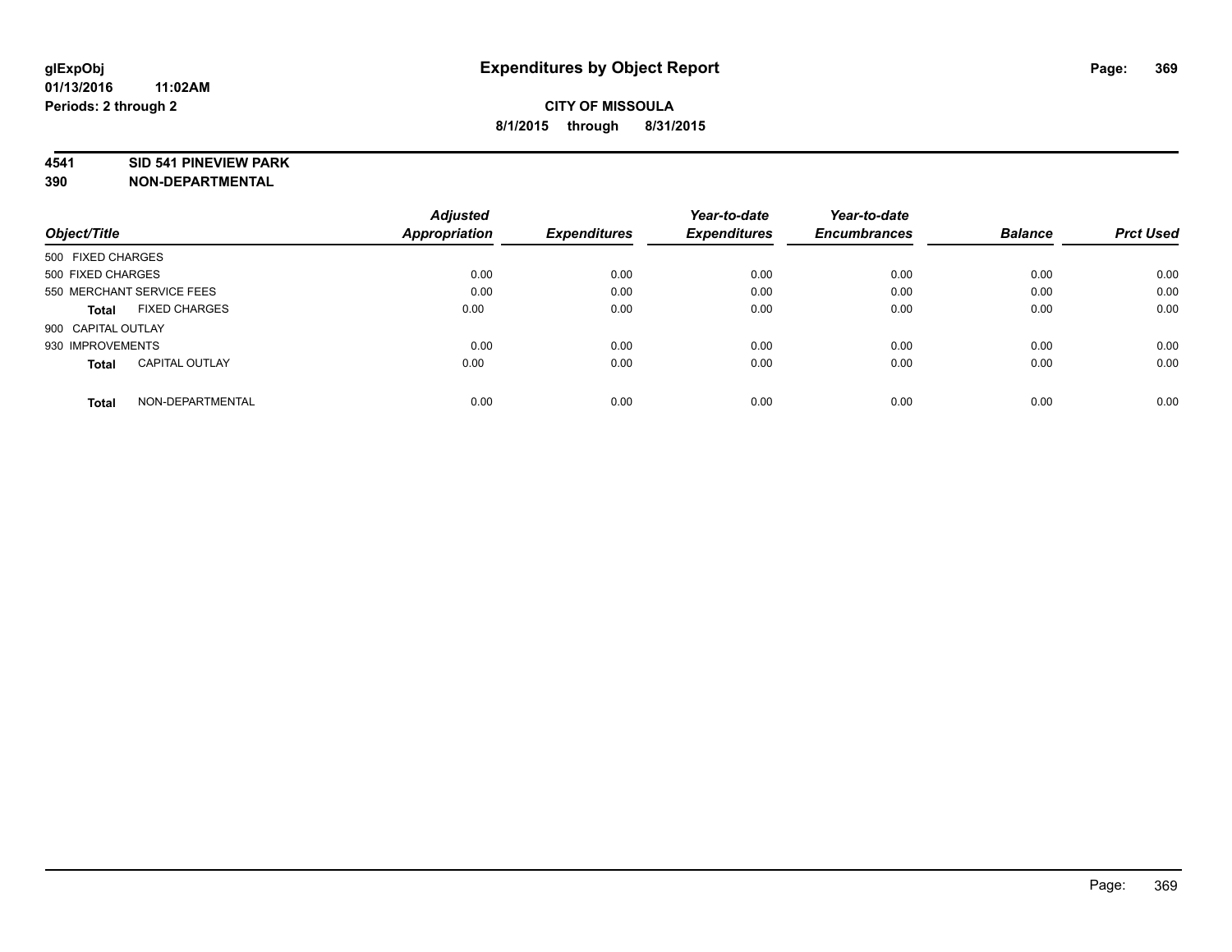#### **4541 SID 541 PINEVIEW PARK**

|                                       | <b>Adjusted</b> |                     | Year-to-date        | Year-to-date        |                |                  |
|---------------------------------------|-----------------|---------------------|---------------------|---------------------|----------------|------------------|
| Object/Title                          | Appropriation   | <b>Expenditures</b> | <b>Expenditures</b> | <b>Encumbrances</b> | <b>Balance</b> | <b>Prct Used</b> |
| 500 FIXED CHARGES                     |                 |                     |                     |                     |                |                  |
| 500 FIXED CHARGES                     | 0.00            | 0.00                | 0.00                | 0.00                | 0.00           | 0.00             |
| 550 MERCHANT SERVICE FEES             | 0.00            | 0.00                | 0.00                | 0.00                | 0.00           | 0.00             |
| <b>FIXED CHARGES</b><br>Total         | 0.00            | 0.00                | 0.00                | 0.00                | 0.00           | 0.00             |
| 900 CAPITAL OUTLAY                    |                 |                     |                     |                     |                |                  |
| 930 IMPROVEMENTS                      | 0.00            | 0.00                | 0.00                | 0.00                | 0.00           | 0.00             |
| <b>CAPITAL OUTLAY</b><br><b>Total</b> | 0.00            | 0.00                | 0.00                | 0.00                | 0.00           | 0.00             |
| NON-DEPARTMENTAL<br><b>Total</b>      | 0.00            | 0.00                | 0.00                | 0.00                | 0.00           | 0.00             |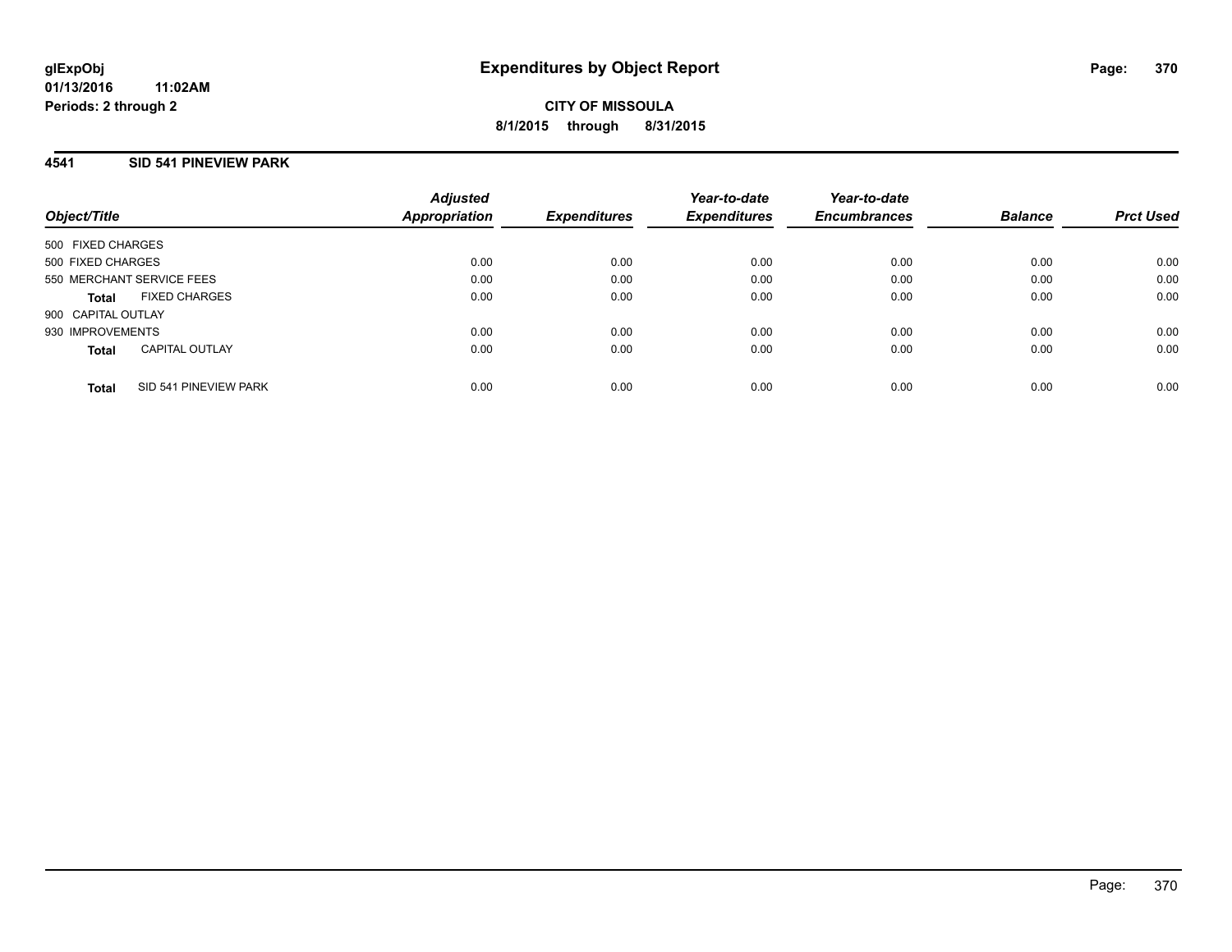**CITY OF MISSOULA 8/1/2015 through 8/31/2015**

#### **4541 SID 541 PINEVIEW PARK**

| Object/Title       |                           | <b>Adjusted</b><br>Appropriation |                     | Year-to-date        | Year-to-date<br><b>Encumbrances</b> | <b>Balance</b> |                  |
|--------------------|---------------------------|----------------------------------|---------------------|---------------------|-------------------------------------|----------------|------------------|
|                    |                           |                                  | <b>Expenditures</b> | <b>Expenditures</b> |                                     |                | <b>Prct Used</b> |
| 500 FIXED CHARGES  |                           |                                  |                     |                     |                                     |                |                  |
| 500 FIXED CHARGES  |                           | 0.00                             | 0.00                | 0.00                | 0.00                                | 0.00           | 0.00             |
|                    | 550 MERCHANT SERVICE FEES | 0.00                             | 0.00                | 0.00                | 0.00                                | 0.00           | 0.00             |
| <b>Total</b>       | <b>FIXED CHARGES</b>      | 0.00                             | 0.00                | 0.00                | 0.00                                | 0.00           | 0.00             |
| 900 CAPITAL OUTLAY |                           |                                  |                     |                     |                                     |                |                  |
| 930 IMPROVEMENTS   |                           | 0.00                             | 0.00                | 0.00                | 0.00                                | 0.00           | 0.00             |
| <b>Total</b>       | <b>CAPITAL OUTLAY</b>     | 0.00                             | 0.00                | 0.00                | 0.00                                | 0.00           | 0.00             |
| <b>Total</b>       | SID 541 PINEVIEW PARK     | 0.00                             | 0.00                | 0.00                | 0.00                                | 0.00           | 0.00             |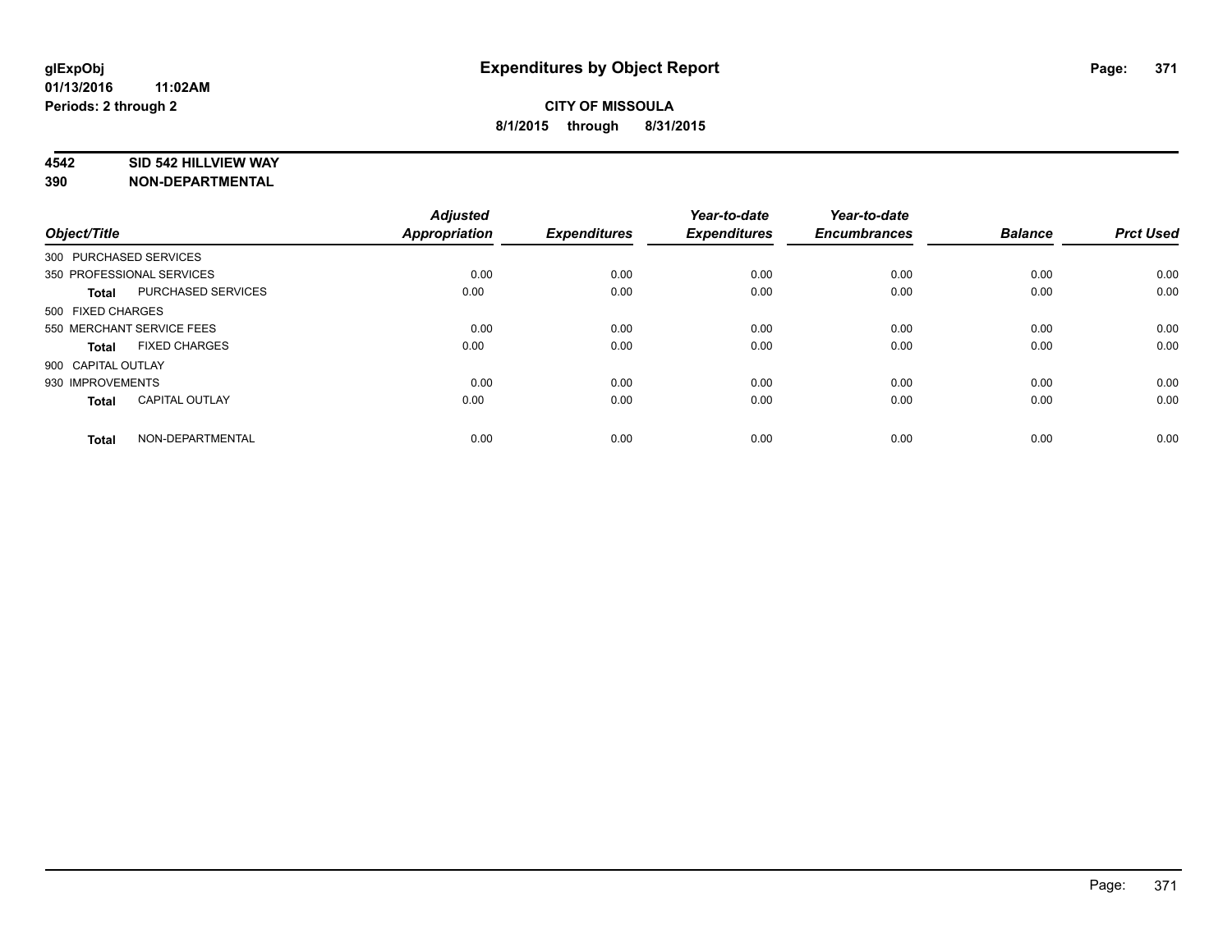#### **4542 SID 542 HILLVIEW WAY**

| Object/Title           |                           | <b>Adjusted</b><br>Appropriation | <b>Expenditures</b> | Year-to-date<br><b>Expenditures</b> | Year-to-date<br><b>Encumbrances</b> | <b>Balance</b> | <b>Prct Used</b> |
|------------------------|---------------------------|----------------------------------|---------------------|-------------------------------------|-------------------------------------|----------------|------------------|
| 300 PURCHASED SERVICES |                           |                                  |                     |                                     |                                     |                |                  |
|                        | 350 PROFESSIONAL SERVICES | 0.00                             | 0.00                | 0.00                                | 0.00                                | 0.00           | 0.00             |
| <b>Total</b>           | PURCHASED SERVICES        | 0.00                             | 0.00                | 0.00                                | 0.00                                | 0.00           | 0.00             |
| 500 FIXED CHARGES      |                           |                                  |                     |                                     |                                     |                |                  |
|                        | 550 MERCHANT SERVICE FEES | 0.00                             | 0.00                | 0.00                                | 0.00                                | 0.00           | 0.00             |
| Total                  | <b>FIXED CHARGES</b>      | 0.00                             | 0.00                | 0.00                                | 0.00                                | 0.00           | 0.00             |
| 900 CAPITAL OUTLAY     |                           |                                  |                     |                                     |                                     |                |                  |
| 930 IMPROVEMENTS       |                           | 0.00                             | 0.00                | 0.00                                | 0.00                                | 0.00           | 0.00             |
| Total                  | <b>CAPITAL OUTLAY</b>     | 0.00                             | 0.00                | 0.00                                | 0.00                                | 0.00           | 0.00             |
| <b>Total</b>           | NON-DEPARTMENTAL          | 0.00                             | 0.00                | 0.00                                | 0.00                                | 0.00           | 0.00             |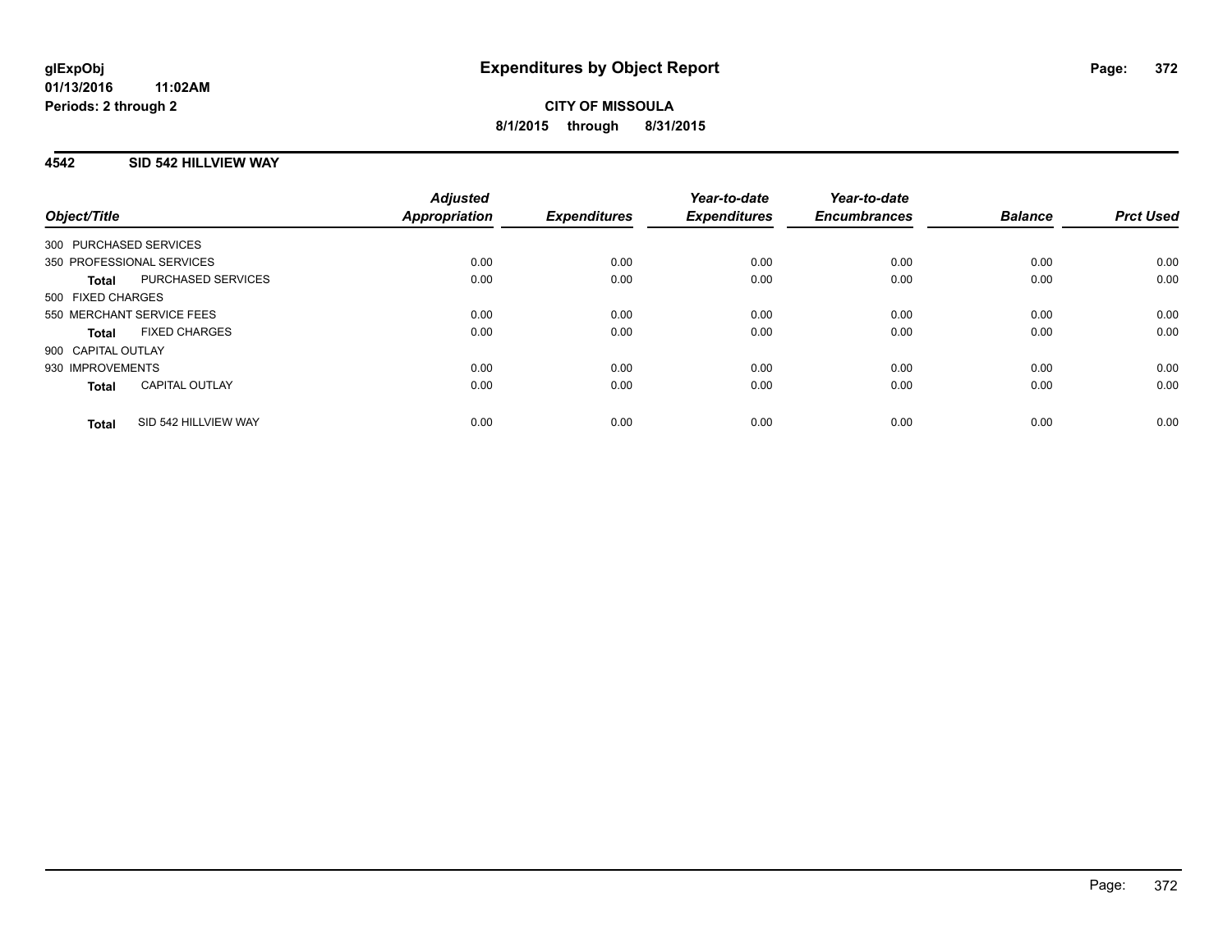### **4542 SID 542 HILLVIEW WAY**

| Object/Title              |                       | <b>Adjusted</b><br>Appropriation | <b>Expenditures</b> | Year-to-date<br><b>Expenditures</b> | Year-to-date<br><b>Encumbrances</b> | <b>Balance</b> | <b>Prct Used</b> |
|---------------------------|-----------------------|----------------------------------|---------------------|-------------------------------------|-------------------------------------|----------------|------------------|
| 300 PURCHASED SERVICES    |                       |                                  |                     |                                     |                                     |                |                  |
| 350 PROFESSIONAL SERVICES |                       | 0.00                             | 0.00                | 0.00                                | 0.00                                | 0.00           | 0.00             |
| <b>Total</b>              | PURCHASED SERVICES    | 0.00                             | 0.00                | 0.00                                | 0.00                                | 0.00           | 0.00             |
| 500 FIXED CHARGES         |                       |                                  |                     |                                     |                                     |                |                  |
| 550 MERCHANT SERVICE FEES |                       | 0.00                             | 0.00                | 0.00                                | 0.00                                | 0.00           | 0.00             |
| <b>Total</b>              | <b>FIXED CHARGES</b>  | 0.00                             | 0.00                | 0.00                                | 0.00                                | 0.00           | 0.00             |
| 900 CAPITAL OUTLAY        |                       |                                  |                     |                                     |                                     |                |                  |
| 930 IMPROVEMENTS          |                       | 0.00                             | 0.00                | 0.00                                | 0.00                                | 0.00           | 0.00             |
| <b>Total</b>              | <b>CAPITAL OUTLAY</b> | 0.00                             | 0.00                | 0.00                                | 0.00                                | 0.00           | 0.00             |
| <b>Total</b>              | SID 542 HILLVIEW WAY  | 0.00                             | 0.00                | 0.00                                | 0.00                                | 0.00           | 0.00             |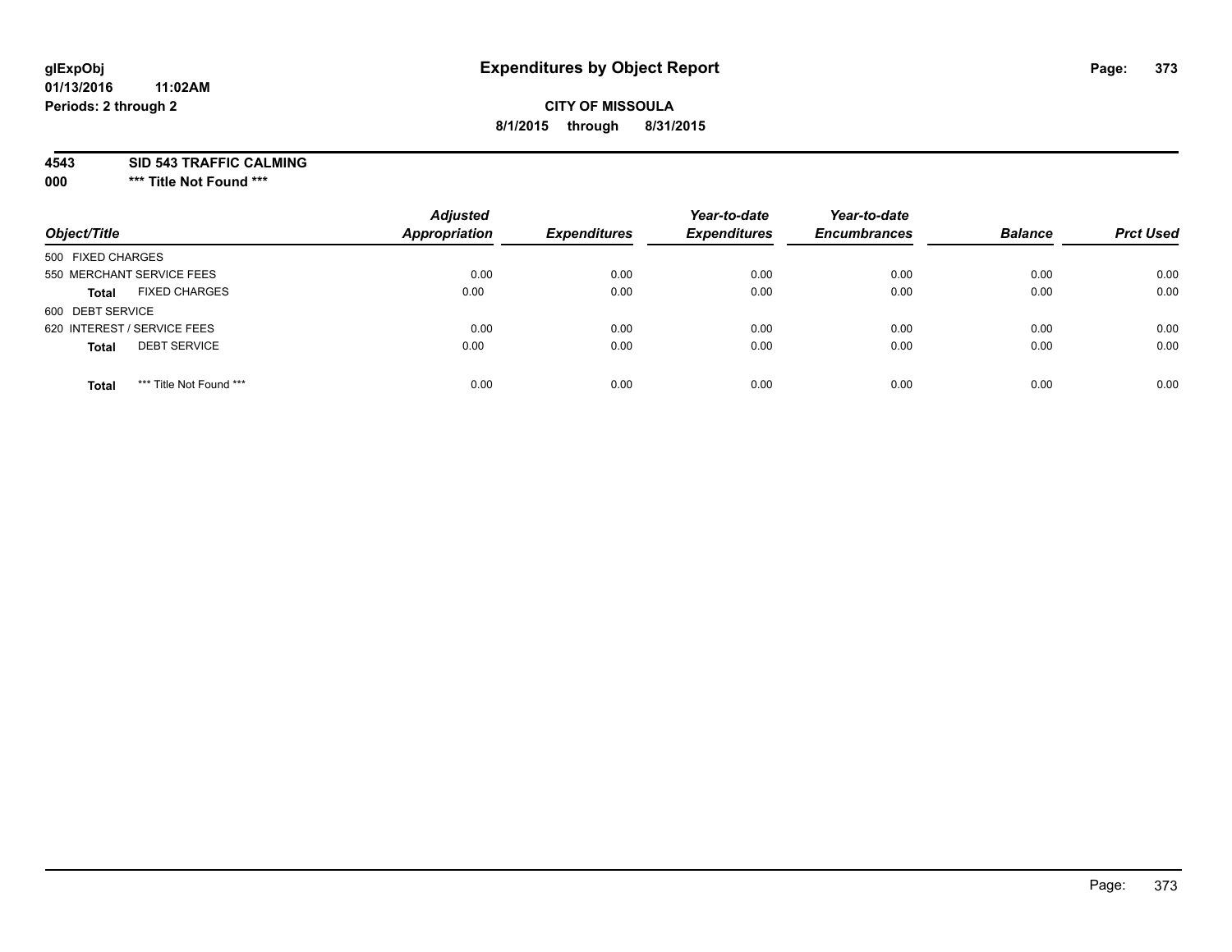## **CITY OF MISSOULA 8/1/2015 through 8/31/2015**

**4543 SID 543 TRAFFIC CALMING**

**000 \*\*\* Title Not Found \*\*\***

| Object/Title                            | <b>Adjusted</b><br><b>Appropriation</b> | <b>Expenditures</b> | Year-to-date<br><b>Expenditures</b> | Year-to-date<br><b>Encumbrances</b> | <b>Balance</b> | <b>Prct Used</b> |
|-----------------------------------------|-----------------------------------------|---------------------|-------------------------------------|-------------------------------------|----------------|------------------|
| 500 FIXED CHARGES                       |                                         |                     |                                     |                                     |                |                  |
| 550 MERCHANT SERVICE FEES               | 0.00                                    | 0.00                | 0.00                                | 0.00                                | 0.00           | 0.00             |
| <b>FIXED CHARGES</b><br><b>Total</b>    | 0.00                                    | 0.00                | 0.00                                | 0.00                                | 0.00           | 0.00             |
| 600 DEBT SERVICE                        |                                         |                     |                                     |                                     |                |                  |
| 620 INTEREST / SERVICE FEES             | 0.00                                    | 0.00                | 0.00                                | 0.00                                | 0.00           | 0.00             |
| <b>DEBT SERVICE</b><br><b>Total</b>     | 0.00                                    | 0.00                | 0.00                                | 0.00                                | 0.00           | 0.00             |
| *** Title Not Found ***<br><b>Total</b> | 0.00                                    | 0.00                | 0.00                                | 0.00                                | 0.00           | 0.00             |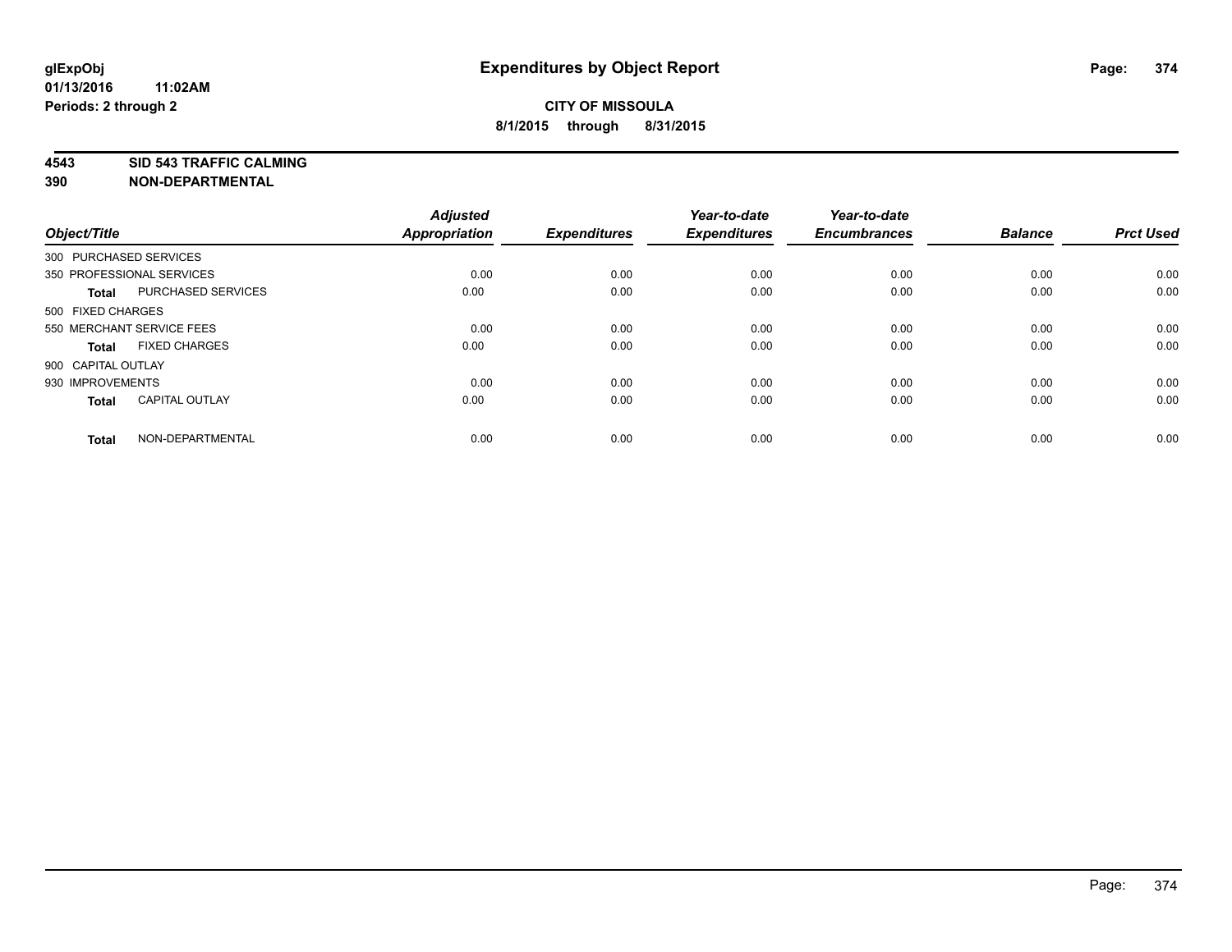**4543 SID 543 TRAFFIC CALMING**

| Object/Title       |                           | <b>Adjusted</b><br><b>Appropriation</b> | <b>Expenditures</b> | Year-to-date<br><b>Expenditures</b> | Year-to-date<br><b>Encumbrances</b> | <b>Balance</b> | <b>Prct Used</b> |
|--------------------|---------------------------|-----------------------------------------|---------------------|-------------------------------------|-------------------------------------|----------------|------------------|
|                    | 300 PURCHASED SERVICES    |                                         |                     |                                     |                                     |                |                  |
|                    | 350 PROFESSIONAL SERVICES | 0.00                                    | 0.00                | 0.00                                | 0.00                                | 0.00           | 0.00             |
| <b>Total</b>       | <b>PURCHASED SERVICES</b> | 0.00                                    | 0.00                | 0.00                                | 0.00                                | 0.00           | 0.00             |
| 500 FIXED CHARGES  |                           |                                         |                     |                                     |                                     |                |                  |
|                    | 550 MERCHANT SERVICE FEES | 0.00                                    | 0.00                | 0.00                                | 0.00                                | 0.00           | 0.00             |
| Total              | <b>FIXED CHARGES</b>      | 0.00                                    | 0.00                | 0.00                                | 0.00                                | 0.00           | 0.00             |
| 900 CAPITAL OUTLAY |                           |                                         |                     |                                     |                                     |                |                  |
| 930 IMPROVEMENTS   |                           | 0.00                                    | 0.00                | 0.00                                | 0.00                                | 0.00           | 0.00             |
| Total              | <b>CAPITAL OUTLAY</b>     | 0.00                                    | 0.00                | 0.00                                | 0.00                                | 0.00           | 0.00             |
| <b>Total</b>       | NON-DEPARTMENTAL          | 0.00                                    | 0.00                | 0.00                                | 0.00                                | 0.00           | 0.00             |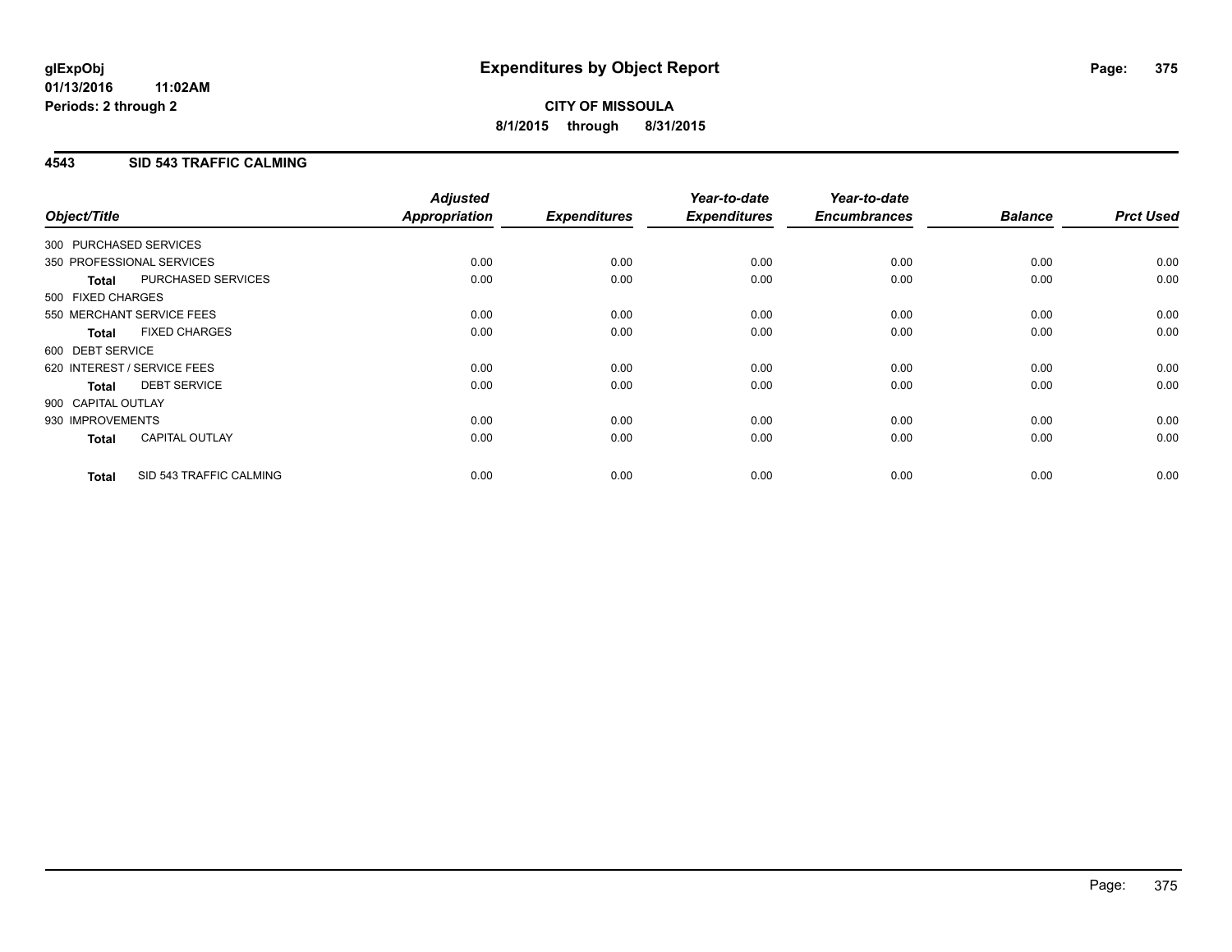### **4543 SID 543 TRAFFIC CALMING**

| Object/Title           |                             | <b>Adjusted</b><br>Appropriation | <b>Expenditures</b> | Year-to-date<br><b>Expenditures</b> | Year-to-date<br><b>Encumbrances</b> | <b>Balance</b> | <b>Prct Used</b> |
|------------------------|-----------------------------|----------------------------------|---------------------|-------------------------------------|-------------------------------------|----------------|------------------|
| 300 PURCHASED SERVICES |                             |                                  |                     |                                     |                                     |                |                  |
|                        | 350 PROFESSIONAL SERVICES   | 0.00                             | 0.00                | 0.00                                | 0.00                                | 0.00           | 0.00             |
| <b>Total</b>           | PURCHASED SERVICES          | 0.00                             | 0.00                | 0.00                                | 0.00                                | 0.00           | 0.00             |
| 500 FIXED CHARGES      |                             |                                  |                     |                                     |                                     |                |                  |
|                        | 550 MERCHANT SERVICE FEES   | 0.00                             | 0.00                | 0.00                                | 0.00                                | 0.00           | 0.00             |
| <b>Total</b>           | <b>FIXED CHARGES</b>        | 0.00                             | 0.00                | 0.00                                | 0.00                                | 0.00           | 0.00             |
| 600 DEBT SERVICE       |                             |                                  |                     |                                     |                                     |                |                  |
|                        | 620 INTEREST / SERVICE FEES | 0.00                             | 0.00                | 0.00                                | 0.00                                | 0.00           | 0.00             |
| Total                  | <b>DEBT SERVICE</b>         | 0.00                             | 0.00                | 0.00                                | 0.00                                | 0.00           | 0.00             |
| 900 CAPITAL OUTLAY     |                             |                                  |                     |                                     |                                     |                |                  |
| 930 IMPROVEMENTS       |                             | 0.00                             | 0.00                | 0.00                                | 0.00                                | 0.00           | 0.00             |
| <b>Total</b>           | <b>CAPITAL OUTLAY</b>       | 0.00                             | 0.00                | 0.00                                | 0.00                                | 0.00           | 0.00             |
| <b>Total</b>           | SID 543 TRAFFIC CALMING     | 0.00                             | 0.00                | 0.00                                | 0.00                                | 0.00           | 0.00             |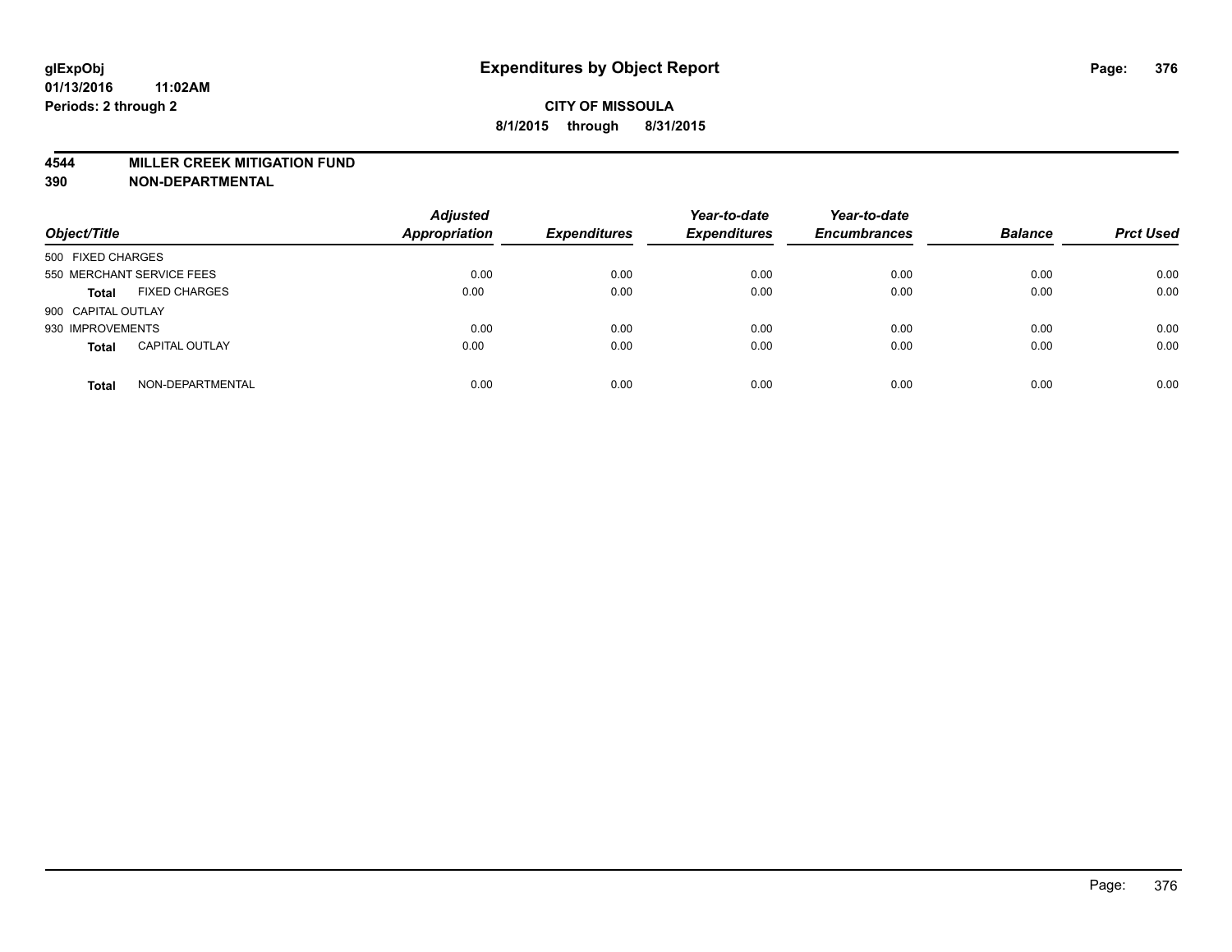#### **4544 MILLER CREEK MITIGATION FUND**

| Object/Title                          | <b>Adjusted</b><br>Appropriation | <b>Expenditures</b> | Year-to-date<br><b>Expenditures</b> | Year-to-date<br><b>Encumbrances</b> | <b>Balance</b> | <b>Prct Used</b> |
|---------------------------------------|----------------------------------|---------------------|-------------------------------------|-------------------------------------|----------------|------------------|
| 500 FIXED CHARGES                     |                                  |                     |                                     |                                     |                |                  |
| 550 MERCHANT SERVICE FEES             | 0.00                             | 0.00                | 0.00                                | 0.00                                | 0.00           | 0.00             |
| <b>FIXED CHARGES</b><br><b>Total</b>  | 0.00                             | 0.00                | 0.00                                | 0.00                                | 0.00           | 0.00             |
| 900 CAPITAL OUTLAY                    |                                  |                     |                                     |                                     |                |                  |
| 930 IMPROVEMENTS                      | 0.00                             | 0.00                | 0.00                                | 0.00                                | 0.00           | 0.00             |
| <b>CAPITAL OUTLAY</b><br><b>Total</b> | 0.00                             | 0.00                | 0.00                                | 0.00                                | 0.00           | 0.00             |
| NON-DEPARTMENTAL<br><b>Total</b>      | 0.00                             | 0.00                | 0.00                                | 0.00                                | 0.00           | 0.00             |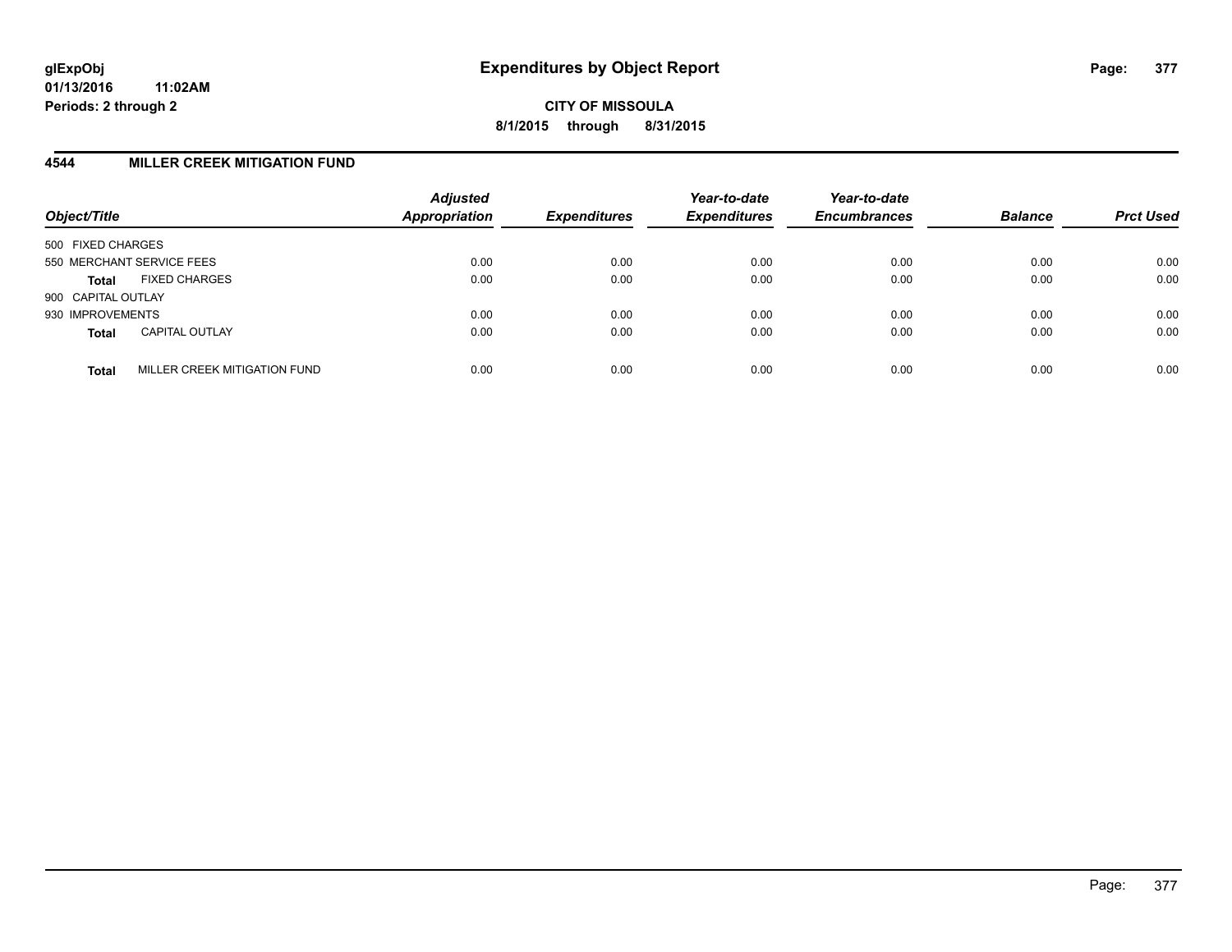#### **4544 MILLER CREEK MITIGATION FUND**

| Object/Title                                 | <b>Adjusted</b><br>Appropriation | <b>Expenditures</b> | Year-to-date<br><b>Expenditures</b> | Year-to-date<br><b>Encumbrances</b> | <b>Balance</b> | <b>Prct Used</b> |
|----------------------------------------------|----------------------------------|---------------------|-------------------------------------|-------------------------------------|----------------|------------------|
| 500 FIXED CHARGES                            |                                  |                     |                                     |                                     |                |                  |
| 550 MERCHANT SERVICE FEES                    | 0.00                             | 0.00                | 0.00                                | 0.00                                | 0.00           | 0.00             |
| <b>FIXED CHARGES</b><br><b>Total</b>         | 0.00                             | 0.00                | 0.00                                | 0.00                                | 0.00           | 0.00             |
| 900 CAPITAL OUTLAY                           |                                  |                     |                                     |                                     |                |                  |
| 930 IMPROVEMENTS                             | 0.00                             | 0.00                | 0.00                                | 0.00                                | 0.00           | 0.00             |
| <b>CAPITAL OUTLAY</b><br><b>Total</b>        | 0.00                             | 0.00                | 0.00                                | 0.00                                | 0.00           | 0.00             |
| MILLER CREEK MITIGATION FUND<br><b>Total</b> | 0.00                             | 0.00                | 0.00                                | 0.00                                | 0.00           | 0.00             |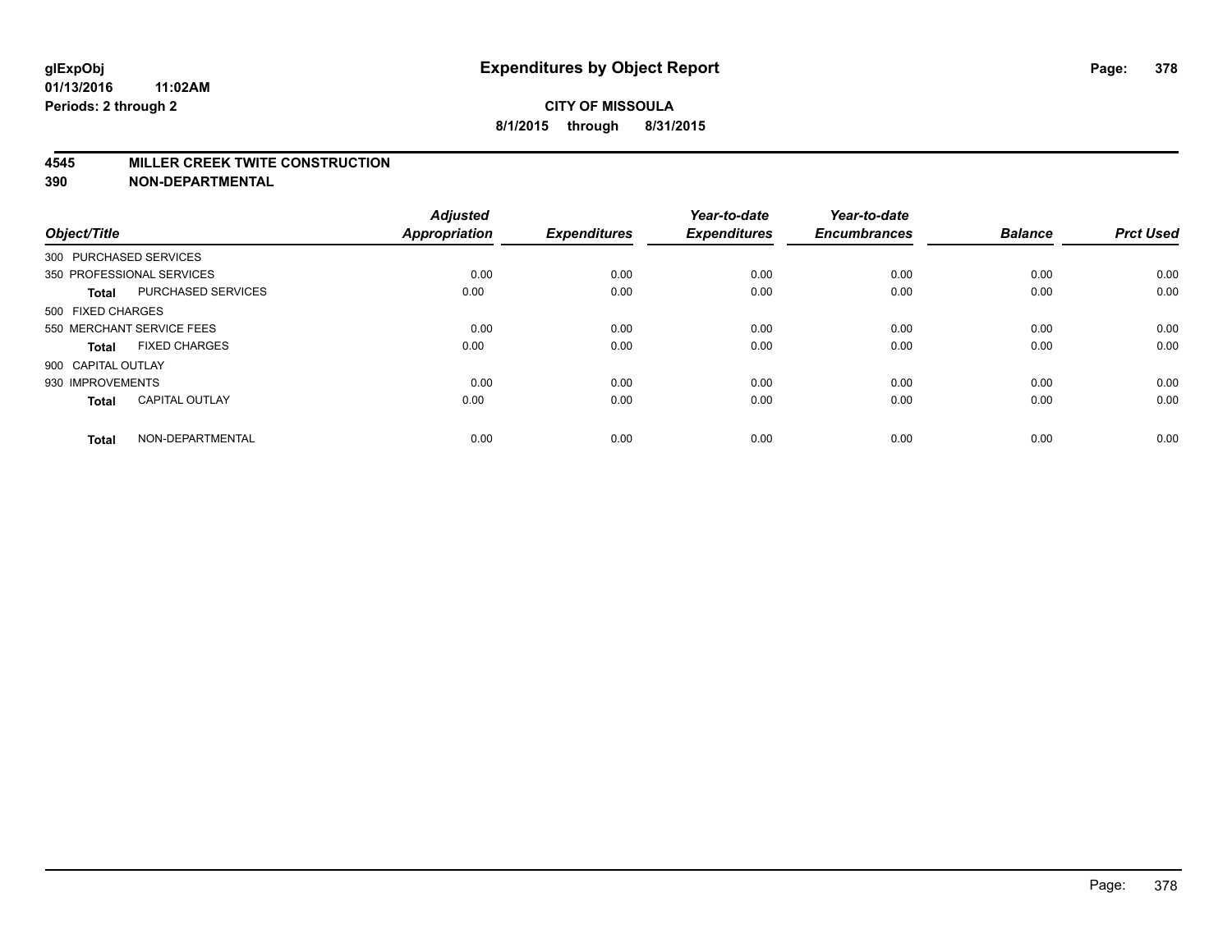#### **4545 MILLER CREEK TWITE CONSTRUCTION**

| Object/Title       |                           | <b>Adjusted</b><br>Appropriation | <b>Expenditures</b> | Year-to-date<br><b>Expenditures</b> | Year-to-date<br><b>Encumbrances</b> | <b>Balance</b> | <b>Prct Used</b> |
|--------------------|---------------------------|----------------------------------|---------------------|-------------------------------------|-------------------------------------|----------------|------------------|
|                    | 300 PURCHASED SERVICES    |                                  |                     |                                     |                                     |                |                  |
|                    | 350 PROFESSIONAL SERVICES | 0.00                             | 0.00                | 0.00                                | 0.00                                | 0.00           | 0.00             |
| <b>Total</b>       | PURCHASED SERVICES        | 0.00                             | 0.00                | 0.00                                | 0.00                                | 0.00           | 0.00             |
| 500 FIXED CHARGES  |                           |                                  |                     |                                     |                                     |                |                  |
|                    | 550 MERCHANT SERVICE FEES | 0.00                             | 0.00                | 0.00                                | 0.00                                | 0.00           | 0.00             |
| <b>Total</b>       | <b>FIXED CHARGES</b>      | 0.00                             | 0.00                | 0.00                                | 0.00                                | 0.00           | 0.00             |
| 900 CAPITAL OUTLAY |                           |                                  |                     |                                     |                                     |                |                  |
| 930 IMPROVEMENTS   |                           | 0.00                             | 0.00                | 0.00                                | 0.00                                | 0.00           | 0.00             |
| <b>Total</b>       | <b>CAPITAL OUTLAY</b>     | 0.00                             | 0.00                | 0.00                                | 0.00                                | 0.00           | 0.00             |
| <b>Total</b>       | NON-DEPARTMENTAL          | 0.00                             | 0.00                | 0.00                                | 0.00                                | 0.00           | 0.00             |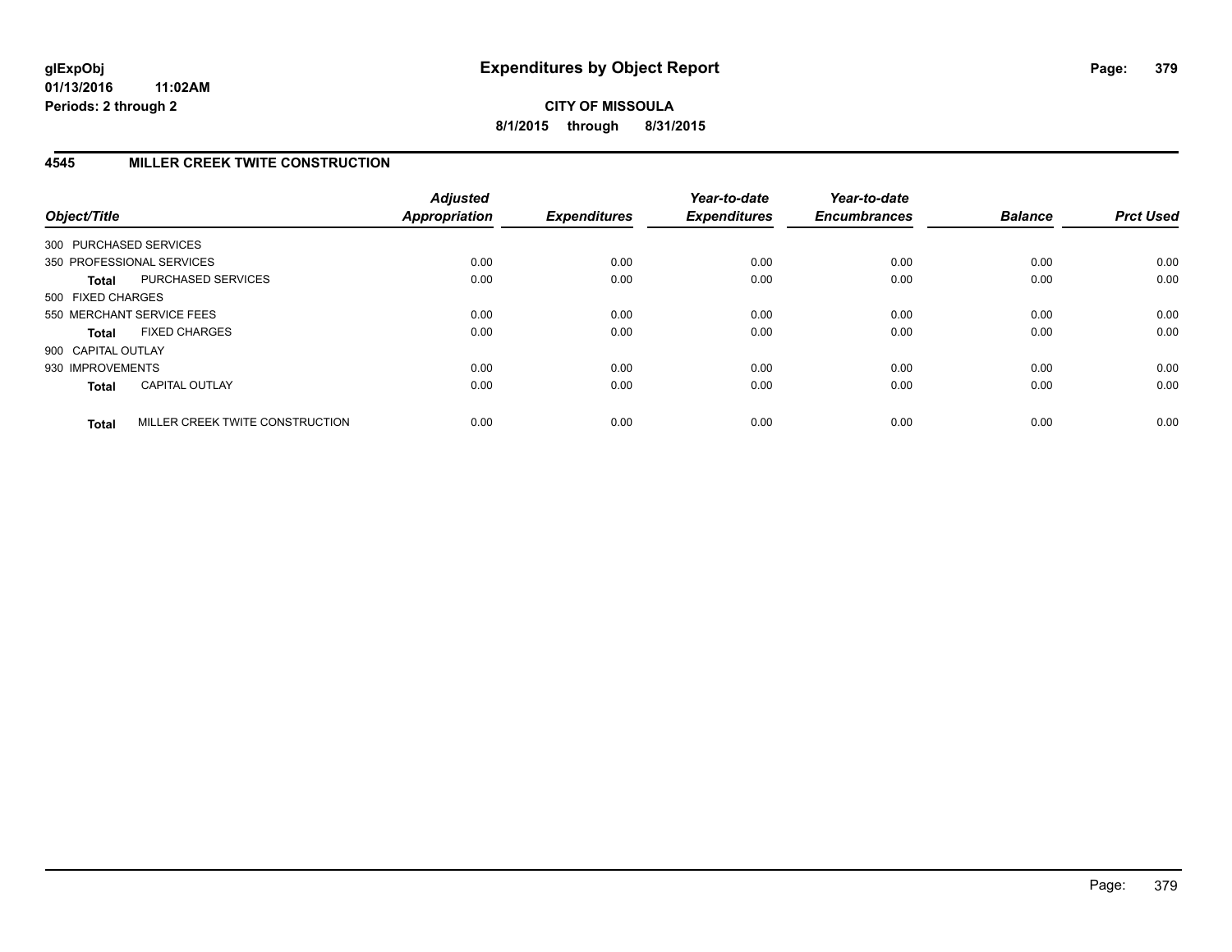**CITY OF MISSOULA 8/1/2015 through 8/31/2015**

## **4545 MILLER CREEK TWITE CONSTRUCTION**

| Object/Title           |                                 | <b>Adjusted</b><br><b>Appropriation</b> | <b>Expenditures</b> | Year-to-date<br><b>Expenditures</b> | Year-to-date<br><b>Encumbrances</b> | <b>Balance</b> | <b>Prct Used</b> |
|------------------------|---------------------------------|-----------------------------------------|---------------------|-------------------------------------|-------------------------------------|----------------|------------------|
| 300 PURCHASED SERVICES |                                 |                                         |                     |                                     |                                     |                |                  |
|                        | 350 PROFESSIONAL SERVICES       | 0.00                                    | 0.00                | 0.00                                | 0.00                                | 0.00           | 0.00             |
| <b>Total</b>           | <b>PURCHASED SERVICES</b>       | 0.00                                    | 0.00                | 0.00                                | 0.00                                | 0.00           | 0.00             |
| 500 FIXED CHARGES      |                                 |                                         |                     |                                     |                                     |                |                  |
|                        | 550 MERCHANT SERVICE FEES       | 0.00                                    | 0.00                | 0.00                                | 0.00                                | 0.00           | 0.00             |
| <b>Total</b>           | <b>FIXED CHARGES</b>            | 0.00                                    | 0.00                | 0.00                                | 0.00                                | 0.00           | 0.00             |
| 900 CAPITAL OUTLAY     |                                 |                                         |                     |                                     |                                     |                |                  |
| 930 IMPROVEMENTS       |                                 | 0.00                                    | 0.00                | 0.00                                | 0.00                                | 0.00           | 0.00             |
| <b>Total</b>           | <b>CAPITAL OUTLAY</b>           | 0.00                                    | 0.00                | 0.00                                | 0.00                                | 0.00           | 0.00             |
| <b>Total</b>           | MILLER CREEK TWITE CONSTRUCTION | 0.00                                    | 0.00                | 0.00                                | 0.00                                | 0.00           | 0.00             |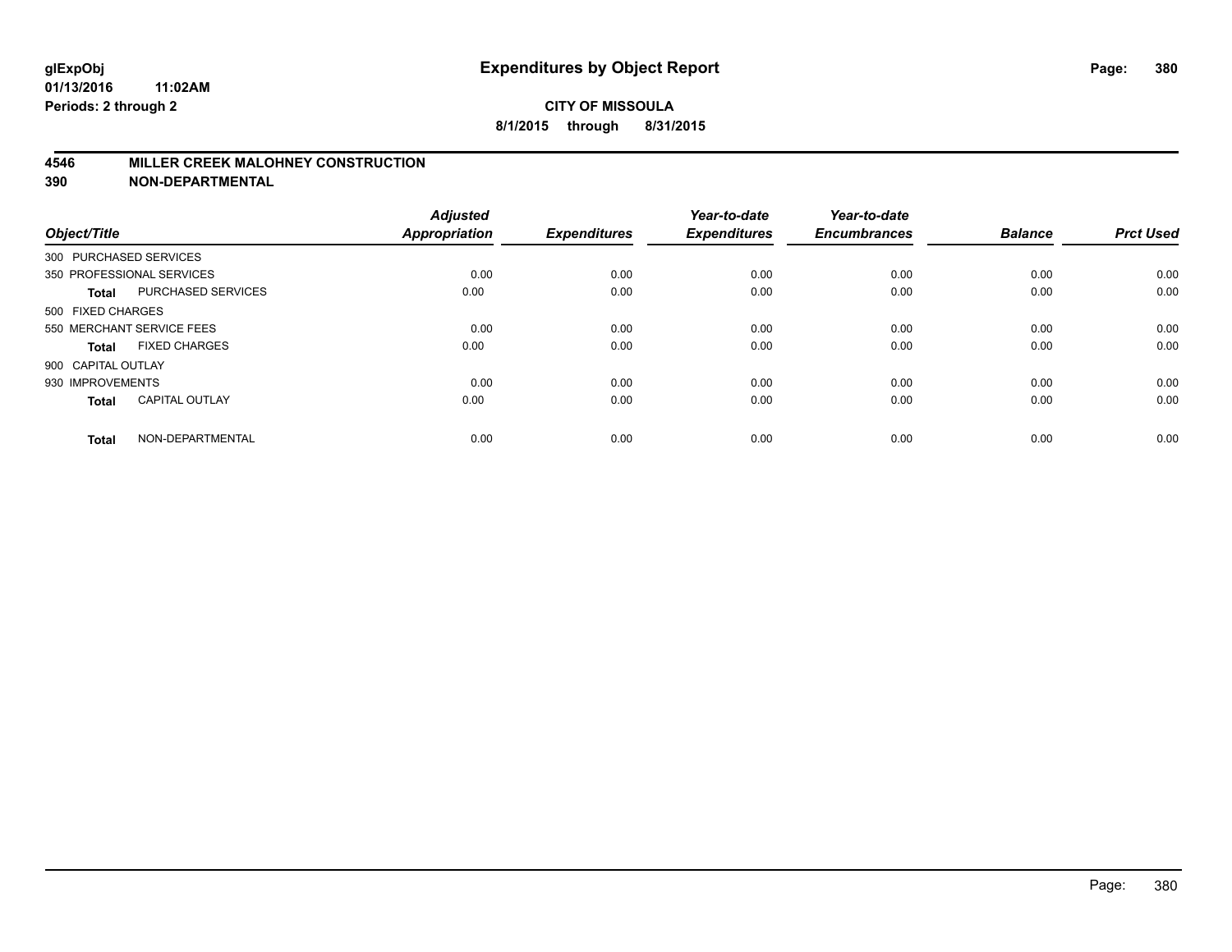#### **4546 MILLER CREEK MALOHNEY CONSTRUCTION**

| Object/Title           |                           | <b>Adjusted</b><br><b>Appropriation</b> | <b>Expenditures</b> | Year-to-date<br><b>Expenditures</b> | Year-to-date<br><b>Encumbrances</b> | <b>Balance</b> | <b>Prct Used</b> |
|------------------------|---------------------------|-----------------------------------------|---------------------|-------------------------------------|-------------------------------------|----------------|------------------|
| 300 PURCHASED SERVICES |                           |                                         |                     |                                     |                                     |                |                  |
|                        | 350 PROFESSIONAL SERVICES | 0.00                                    | 0.00                | 0.00                                | 0.00                                | 0.00           | 0.00             |
| <b>Total</b>           | <b>PURCHASED SERVICES</b> | 0.00                                    | 0.00                | 0.00                                | 0.00                                | 0.00           | 0.00             |
| 500 FIXED CHARGES      |                           |                                         |                     |                                     |                                     |                |                  |
|                        | 550 MERCHANT SERVICE FEES | 0.00                                    | 0.00                | 0.00                                | 0.00                                | 0.00           | 0.00             |
| Total                  | <b>FIXED CHARGES</b>      | 0.00                                    | 0.00                | 0.00                                | 0.00                                | 0.00           | 0.00             |
| 900 CAPITAL OUTLAY     |                           |                                         |                     |                                     |                                     |                |                  |
| 930 IMPROVEMENTS       |                           | 0.00                                    | 0.00                | 0.00                                | 0.00                                | 0.00           | 0.00             |
| Total                  | <b>CAPITAL OUTLAY</b>     | 0.00                                    | 0.00                | 0.00                                | 0.00                                | 0.00           | 0.00             |
| <b>Total</b>           | NON-DEPARTMENTAL          | 0.00                                    | 0.00                | 0.00                                | 0.00                                | 0.00           | 0.00             |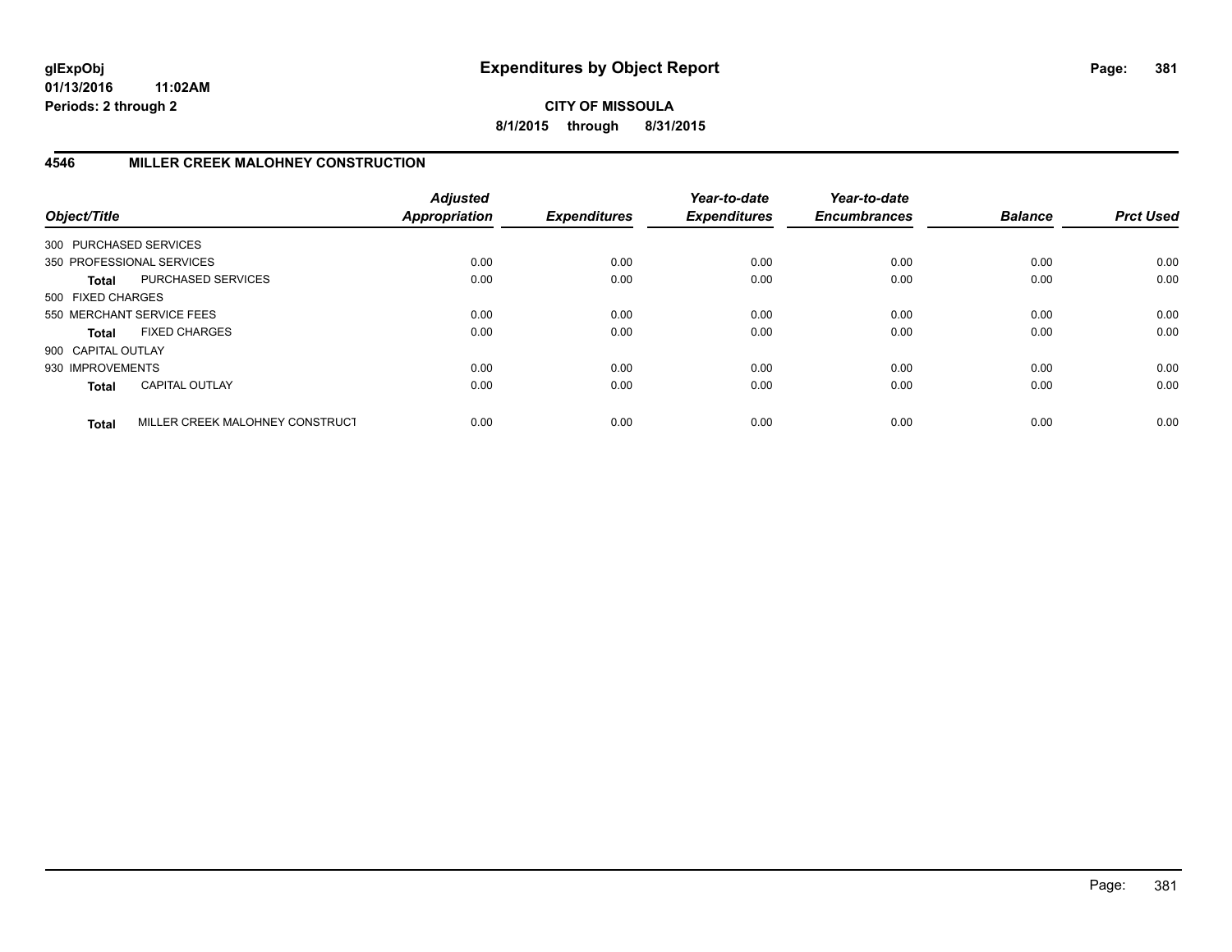**CITY OF MISSOULA 8/1/2015 through 8/31/2015**

## **4546 MILLER CREEK MALOHNEY CONSTRUCTION**

| Object/Title           |                                 | <b>Adjusted</b><br><b>Appropriation</b> | <b>Expenditures</b> | Year-to-date<br><b>Expenditures</b> | Year-to-date<br><b>Encumbrances</b> | <b>Balance</b> | <b>Prct Used</b> |
|------------------------|---------------------------------|-----------------------------------------|---------------------|-------------------------------------|-------------------------------------|----------------|------------------|
| 300 PURCHASED SERVICES |                                 |                                         |                     |                                     |                                     |                |                  |
|                        | 350 PROFESSIONAL SERVICES       | 0.00                                    | 0.00                | 0.00                                | 0.00                                | 0.00           | 0.00             |
| <b>Total</b>           | PURCHASED SERVICES              | 0.00                                    | 0.00                | 0.00                                | 0.00                                | 0.00           | 0.00             |
| 500 FIXED CHARGES      |                                 |                                         |                     |                                     |                                     |                |                  |
|                        | 550 MERCHANT SERVICE FEES       | 0.00                                    | 0.00                | 0.00                                | 0.00                                | 0.00           | 0.00             |
| <b>Total</b>           | <b>FIXED CHARGES</b>            | 0.00                                    | 0.00                | 0.00                                | 0.00                                | 0.00           | 0.00             |
| 900 CAPITAL OUTLAY     |                                 |                                         |                     |                                     |                                     |                |                  |
| 930 IMPROVEMENTS       |                                 | 0.00                                    | 0.00                | 0.00                                | 0.00                                | 0.00           | 0.00             |
| <b>Total</b>           | <b>CAPITAL OUTLAY</b>           | 0.00                                    | 0.00                | 0.00                                | 0.00                                | 0.00           | 0.00             |
| <b>Total</b>           | MILLER CREEK MALOHNEY CONSTRUCT | 0.00                                    | 0.00                | 0.00                                | 0.00                                | 0.00           | 0.00             |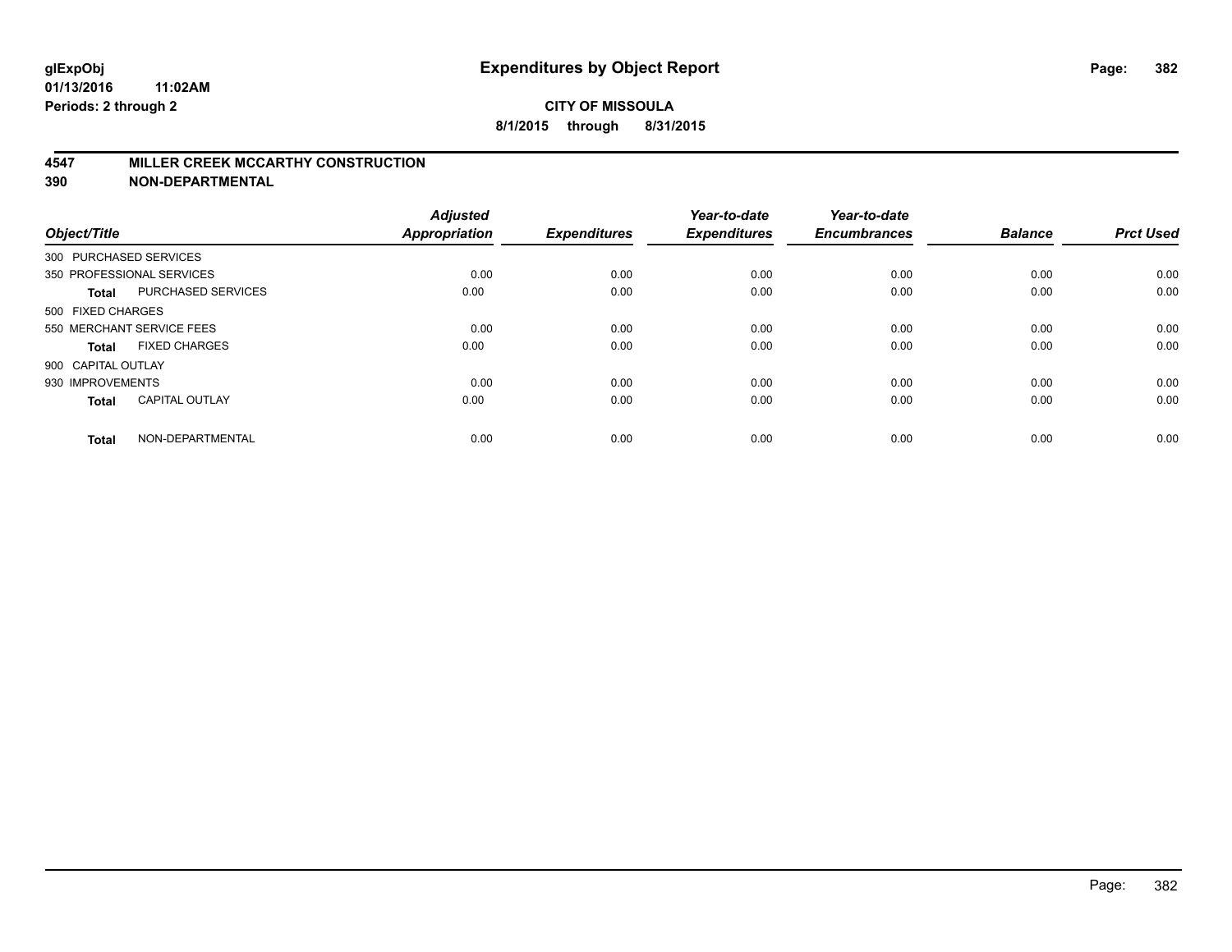#### **4547 MILLER CREEK MCCARTHY CONSTRUCTION**

| Object/Title       |                           | <b>Adjusted</b><br><b>Appropriation</b> | <b>Expenditures</b> | Year-to-date<br><b>Expenditures</b> | Year-to-date<br><b>Encumbrances</b> | <b>Balance</b> | <b>Prct Used</b> |
|--------------------|---------------------------|-----------------------------------------|---------------------|-------------------------------------|-------------------------------------|----------------|------------------|
|                    | 300 PURCHASED SERVICES    |                                         |                     |                                     |                                     |                |                  |
|                    | 350 PROFESSIONAL SERVICES | 0.00                                    | 0.00                | 0.00                                | 0.00                                | 0.00           | 0.00             |
| <b>Total</b>       | <b>PURCHASED SERVICES</b> | 0.00                                    | 0.00                | 0.00                                | 0.00                                | 0.00           | 0.00             |
| 500 FIXED CHARGES  |                           |                                         |                     |                                     |                                     |                |                  |
|                    | 550 MERCHANT SERVICE FEES | 0.00                                    | 0.00                | 0.00                                | 0.00                                | 0.00           | 0.00             |
| Total              | <b>FIXED CHARGES</b>      | 0.00                                    | 0.00                | 0.00                                | 0.00                                | 0.00           | 0.00             |
| 900 CAPITAL OUTLAY |                           |                                         |                     |                                     |                                     |                |                  |
| 930 IMPROVEMENTS   |                           | 0.00                                    | 0.00                | 0.00                                | 0.00                                | 0.00           | 0.00             |
| Total              | <b>CAPITAL OUTLAY</b>     | 0.00                                    | 0.00                | 0.00                                | 0.00                                | 0.00           | 0.00             |
| <b>Total</b>       | NON-DEPARTMENTAL          | 0.00                                    | 0.00                | 0.00                                | 0.00                                | 0.00           | 0.00             |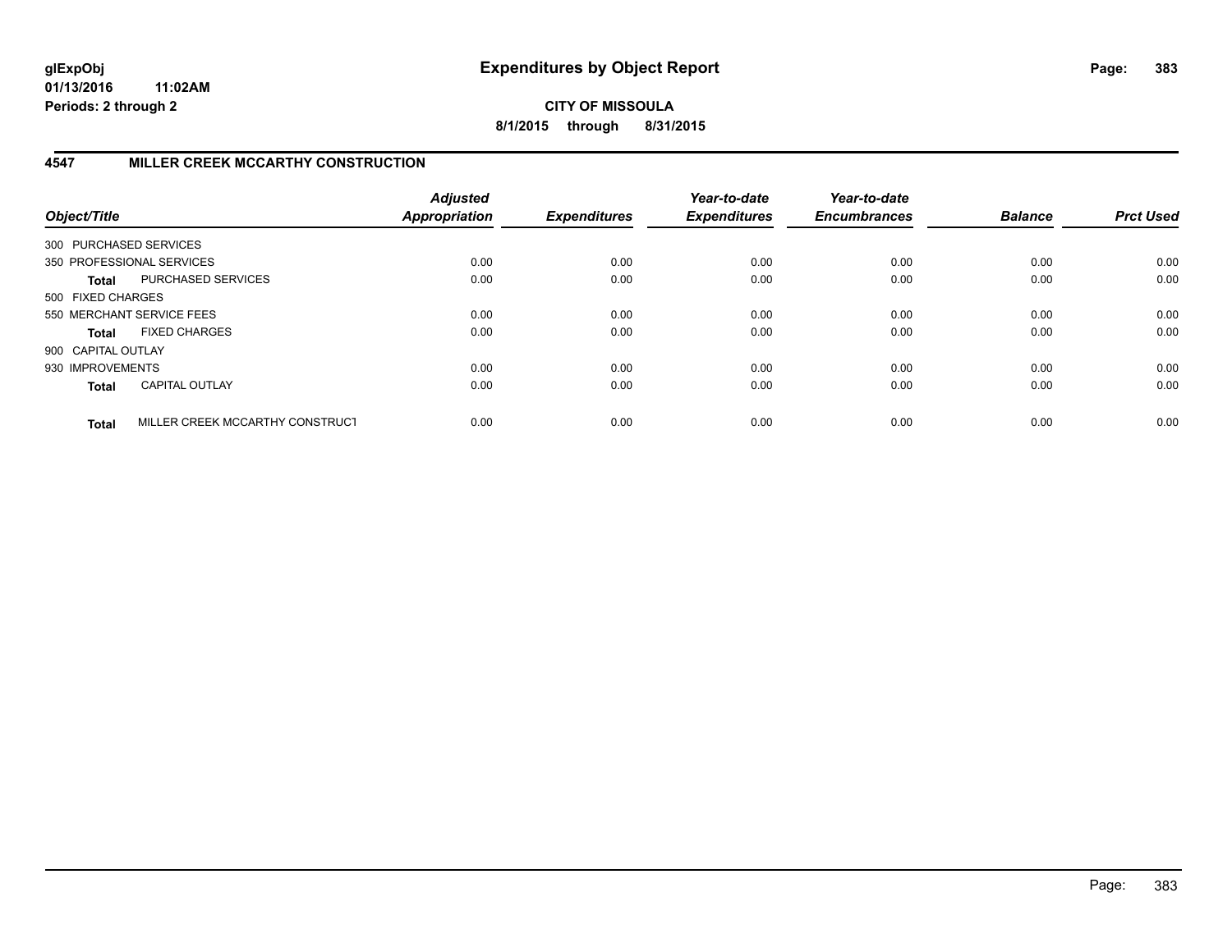**CITY OF MISSOULA 8/1/2015 through 8/31/2015**

## **4547 MILLER CREEK MCCARTHY CONSTRUCTION**

| Object/Title           |                                 | <b>Adjusted</b><br><b>Appropriation</b> | <b>Expenditures</b> | Year-to-date<br><b>Expenditures</b> | Year-to-date<br><b>Encumbrances</b> | <b>Balance</b> | <b>Prct Used</b> |
|------------------------|---------------------------------|-----------------------------------------|---------------------|-------------------------------------|-------------------------------------|----------------|------------------|
| 300 PURCHASED SERVICES |                                 |                                         |                     |                                     |                                     |                |                  |
|                        | 350 PROFESSIONAL SERVICES       | 0.00                                    | 0.00                | 0.00                                | 0.00                                | 0.00           | 0.00             |
| <b>Total</b>           | PURCHASED SERVICES              | 0.00                                    | 0.00                | 0.00                                | 0.00                                | 0.00           | 0.00             |
| 500 FIXED CHARGES      |                                 |                                         |                     |                                     |                                     |                |                  |
|                        | 550 MERCHANT SERVICE FEES       | 0.00                                    | 0.00                | 0.00                                | 0.00                                | 0.00           | 0.00             |
| <b>Total</b>           | <b>FIXED CHARGES</b>            | 0.00                                    | 0.00                | 0.00                                | 0.00                                | 0.00           | 0.00             |
| 900 CAPITAL OUTLAY     |                                 |                                         |                     |                                     |                                     |                |                  |
| 930 IMPROVEMENTS       |                                 | 0.00                                    | 0.00                | 0.00                                | 0.00                                | 0.00           | 0.00             |
| <b>Total</b>           | <b>CAPITAL OUTLAY</b>           | 0.00                                    | 0.00                | 0.00                                | 0.00                                | 0.00           | 0.00             |
| <b>Total</b>           | MILLER CREEK MCCARTHY CONSTRUCT | 0.00                                    | 0.00                | 0.00                                | 0.00                                | 0.00           | 0.00             |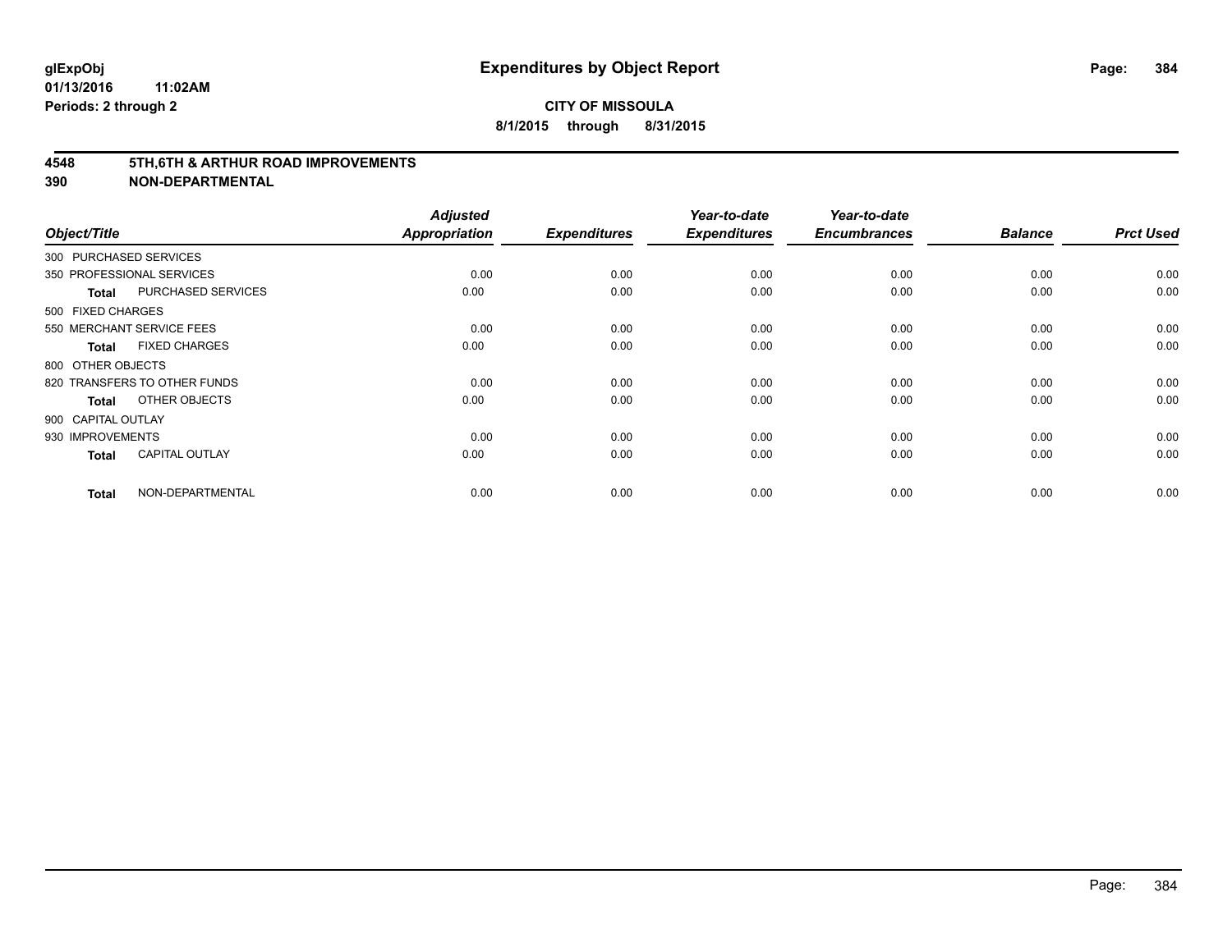#### **4548 5TH,6TH & ARTHUR ROAD IMPROVEMENTS**

| Object/Title           |                              | <b>Adjusted</b><br><b>Appropriation</b> | <b>Expenditures</b> | Year-to-date<br><b>Expenditures</b> | Year-to-date<br><b>Encumbrances</b> | <b>Balance</b> | <b>Prct Used</b> |
|------------------------|------------------------------|-----------------------------------------|---------------------|-------------------------------------|-------------------------------------|----------------|------------------|
| 300 PURCHASED SERVICES |                              |                                         |                     |                                     |                                     |                |                  |
|                        | 350 PROFESSIONAL SERVICES    | 0.00                                    | 0.00                | 0.00                                | 0.00                                | 0.00           | 0.00             |
| <b>Total</b>           | <b>PURCHASED SERVICES</b>    | 0.00                                    | 0.00                | 0.00                                | 0.00                                | 0.00           | 0.00             |
| 500 FIXED CHARGES      |                              |                                         |                     |                                     |                                     |                |                  |
|                        | 550 MERCHANT SERVICE FEES    | 0.00                                    | 0.00                | 0.00                                | 0.00                                | 0.00           | 0.00             |
| <b>Total</b>           | <b>FIXED CHARGES</b>         | 0.00                                    | 0.00                | 0.00                                | 0.00                                | 0.00           | 0.00             |
| 800 OTHER OBJECTS      |                              |                                         |                     |                                     |                                     |                |                  |
|                        | 820 TRANSFERS TO OTHER FUNDS | 0.00                                    | 0.00                | 0.00                                | 0.00                                | 0.00           | 0.00             |
| <b>Total</b>           | OTHER OBJECTS                | 0.00                                    | 0.00                | 0.00                                | 0.00                                | 0.00           | 0.00             |
| 900 CAPITAL OUTLAY     |                              |                                         |                     |                                     |                                     |                |                  |
| 930 IMPROVEMENTS       |                              | 0.00                                    | 0.00                | 0.00                                | 0.00                                | 0.00           | 0.00             |
| <b>Total</b>           | <b>CAPITAL OUTLAY</b>        | 0.00                                    | 0.00                | 0.00                                | 0.00                                | 0.00           | 0.00             |
| <b>Total</b>           | NON-DEPARTMENTAL             | 0.00                                    | 0.00                | 0.00                                | 0.00                                | 0.00           | 0.00             |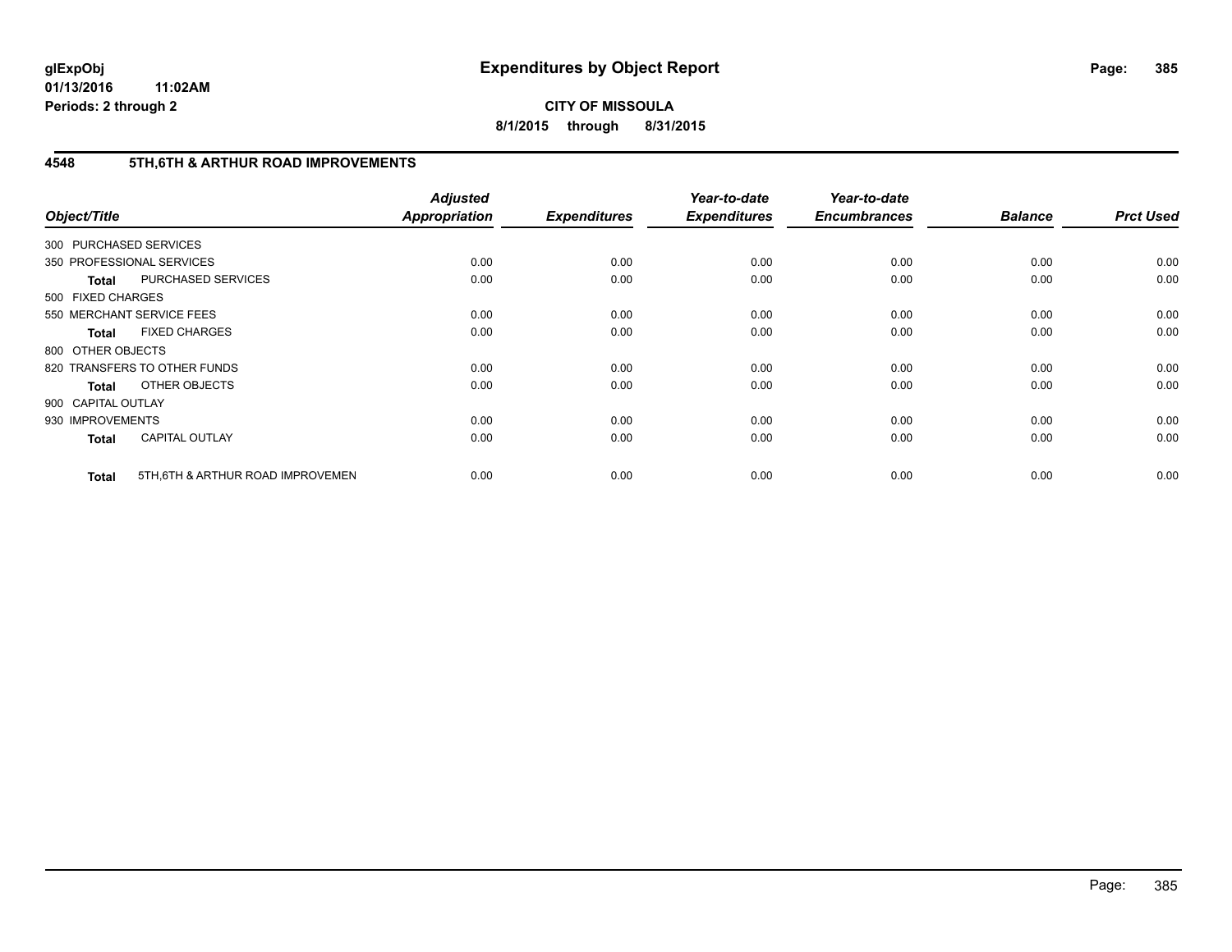**CITY OF MISSOULA 8/1/2015 through 8/31/2015**

## **4548 5TH,6TH & ARTHUR ROAD IMPROVEMENTS**

| Object/Title           |                                   | <b>Adjusted</b><br><b>Appropriation</b> | <b>Expenditures</b> | Year-to-date<br><b>Expenditures</b> | Year-to-date<br><b>Encumbrances</b> | <b>Balance</b> | <b>Prct Used</b> |
|------------------------|-----------------------------------|-----------------------------------------|---------------------|-------------------------------------|-------------------------------------|----------------|------------------|
| 300 PURCHASED SERVICES |                                   |                                         |                     |                                     |                                     |                |                  |
|                        | 350 PROFESSIONAL SERVICES         | 0.00                                    | 0.00                | 0.00                                | 0.00                                | 0.00           | 0.00             |
| <b>Total</b>           | PURCHASED SERVICES                | 0.00                                    | 0.00                | 0.00                                | 0.00                                | 0.00           | 0.00             |
| 500 FIXED CHARGES      |                                   |                                         |                     |                                     |                                     |                |                  |
|                        | 550 MERCHANT SERVICE FEES         | 0.00                                    | 0.00                | 0.00                                | 0.00                                | 0.00           | 0.00             |
| <b>Total</b>           | <b>FIXED CHARGES</b>              | 0.00                                    | 0.00                | 0.00                                | 0.00                                | 0.00           | 0.00             |
| 800 OTHER OBJECTS      |                                   |                                         |                     |                                     |                                     |                |                  |
|                        | 820 TRANSFERS TO OTHER FUNDS      | 0.00                                    | 0.00                | 0.00                                | 0.00                                | 0.00           | 0.00             |
| <b>Total</b>           | OTHER OBJECTS                     | 0.00                                    | 0.00                | 0.00                                | 0.00                                | 0.00           | 0.00             |
| 900 CAPITAL OUTLAY     |                                   |                                         |                     |                                     |                                     |                |                  |
| 930 IMPROVEMENTS       |                                   | 0.00                                    | 0.00                | 0.00                                | 0.00                                | 0.00           | 0.00             |
| <b>Total</b>           | <b>CAPITAL OUTLAY</b>             | 0.00                                    | 0.00                | 0.00                                | 0.00                                | 0.00           | 0.00             |
| <b>Total</b>           | 5TH, 6TH & ARTHUR ROAD IMPROVEMEN | 0.00                                    | 0.00                | 0.00                                | 0.00                                | 0.00           | 0.00             |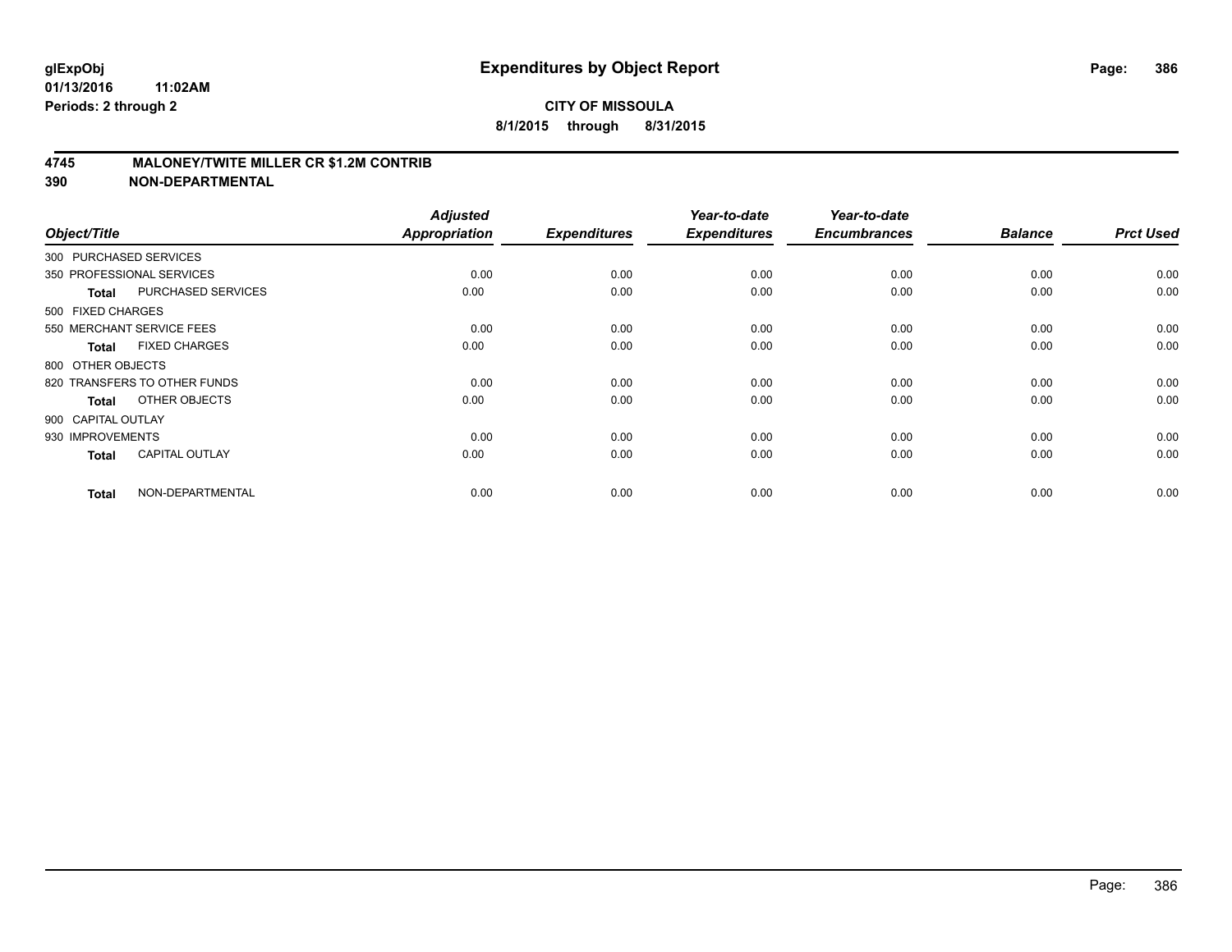#### **4745 MALONEY/TWITE MILLER CR \$1.2M CONTRIB**

| Object/Title           |                              | <b>Adjusted</b><br><b>Appropriation</b> | <b>Expenditures</b> | Year-to-date<br><b>Expenditures</b> | Year-to-date<br><b>Encumbrances</b> | <b>Balance</b> | <b>Prct Used</b> |
|------------------------|------------------------------|-----------------------------------------|---------------------|-------------------------------------|-------------------------------------|----------------|------------------|
| 300 PURCHASED SERVICES |                              |                                         |                     |                                     |                                     |                |                  |
|                        | 350 PROFESSIONAL SERVICES    | 0.00                                    | 0.00                | 0.00                                | 0.00                                | 0.00           | 0.00             |
| <b>Total</b>           | <b>PURCHASED SERVICES</b>    | 0.00                                    | 0.00                | 0.00                                | 0.00                                | 0.00           | 0.00             |
| 500 FIXED CHARGES      |                              |                                         |                     |                                     |                                     |                |                  |
|                        | 550 MERCHANT SERVICE FEES    | 0.00                                    | 0.00                | 0.00                                | 0.00                                | 0.00           | 0.00             |
| <b>Total</b>           | <b>FIXED CHARGES</b>         | 0.00                                    | 0.00                | 0.00                                | 0.00                                | 0.00           | 0.00             |
| 800 OTHER OBJECTS      |                              |                                         |                     |                                     |                                     |                |                  |
|                        | 820 TRANSFERS TO OTHER FUNDS | 0.00                                    | 0.00                | 0.00                                | 0.00                                | 0.00           | 0.00             |
| <b>Total</b>           | OTHER OBJECTS                | 0.00                                    | 0.00                | 0.00                                | 0.00                                | 0.00           | 0.00             |
| 900 CAPITAL OUTLAY     |                              |                                         |                     |                                     |                                     |                |                  |
| 930 IMPROVEMENTS       |                              | 0.00                                    | 0.00                | 0.00                                | 0.00                                | 0.00           | 0.00             |
| <b>Total</b>           | <b>CAPITAL OUTLAY</b>        | 0.00                                    | 0.00                | 0.00                                | 0.00                                | 0.00           | 0.00             |
| <b>Total</b>           | NON-DEPARTMENTAL             | 0.00                                    | 0.00                | 0.00                                | 0.00                                | 0.00           | 0.00             |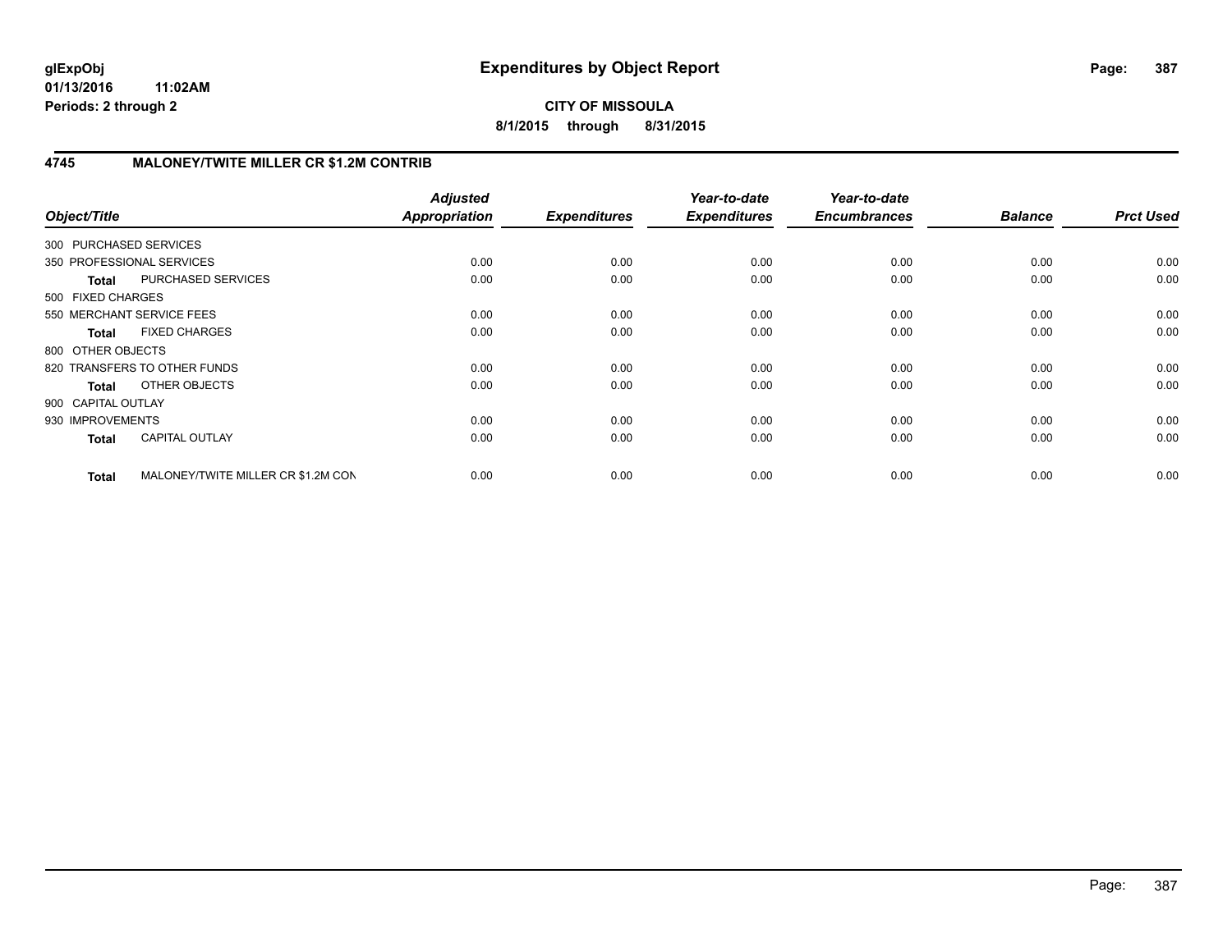**CITY OF MISSOULA 8/1/2015 through 8/31/2015**

## **4745 MALONEY/TWITE MILLER CR \$1.2M CONTRIB**

| Object/Title              |                                    | <b>Adjusted</b><br><b>Appropriation</b> | <b>Expenditures</b> | Year-to-date<br><b>Expenditures</b> | Year-to-date<br><b>Encumbrances</b> | <b>Balance</b> | <b>Prct Used</b> |
|---------------------------|------------------------------------|-----------------------------------------|---------------------|-------------------------------------|-------------------------------------|----------------|------------------|
| 300 PURCHASED SERVICES    |                                    |                                         |                     |                                     |                                     |                |                  |
| 350 PROFESSIONAL SERVICES |                                    | 0.00                                    | 0.00                | 0.00                                | 0.00                                | 0.00           | 0.00             |
| <b>Total</b>              | PURCHASED SERVICES                 | 0.00                                    | 0.00                | 0.00                                | 0.00                                | 0.00           | 0.00             |
| 500 FIXED CHARGES         |                                    |                                         |                     |                                     |                                     |                |                  |
| 550 MERCHANT SERVICE FEES |                                    | 0.00                                    | 0.00                | 0.00                                | 0.00                                | 0.00           | 0.00             |
| <b>Total</b>              | <b>FIXED CHARGES</b>               | 0.00                                    | 0.00                | 0.00                                | 0.00                                | 0.00           | 0.00             |
| 800 OTHER OBJECTS         |                                    |                                         |                     |                                     |                                     |                |                  |
|                           | 820 TRANSFERS TO OTHER FUNDS       | 0.00                                    | 0.00                | 0.00                                | 0.00                                | 0.00           | 0.00             |
| Total                     | OTHER OBJECTS                      | 0.00                                    | 0.00                | 0.00                                | 0.00                                | 0.00           | 0.00             |
| 900 CAPITAL OUTLAY        |                                    |                                         |                     |                                     |                                     |                |                  |
| 930 IMPROVEMENTS          |                                    | 0.00                                    | 0.00                | 0.00                                | 0.00                                | 0.00           | 0.00             |
| <b>Total</b>              | <b>CAPITAL OUTLAY</b>              | 0.00                                    | 0.00                | 0.00                                | 0.00                                | 0.00           | 0.00             |
| <b>Total</b>              | MALONEY/TWITE MILLER CR \$1.2M CON | 0.00                                    | 0.00                | 0.00                                | 0.00                                | 0.00           | 0.00             |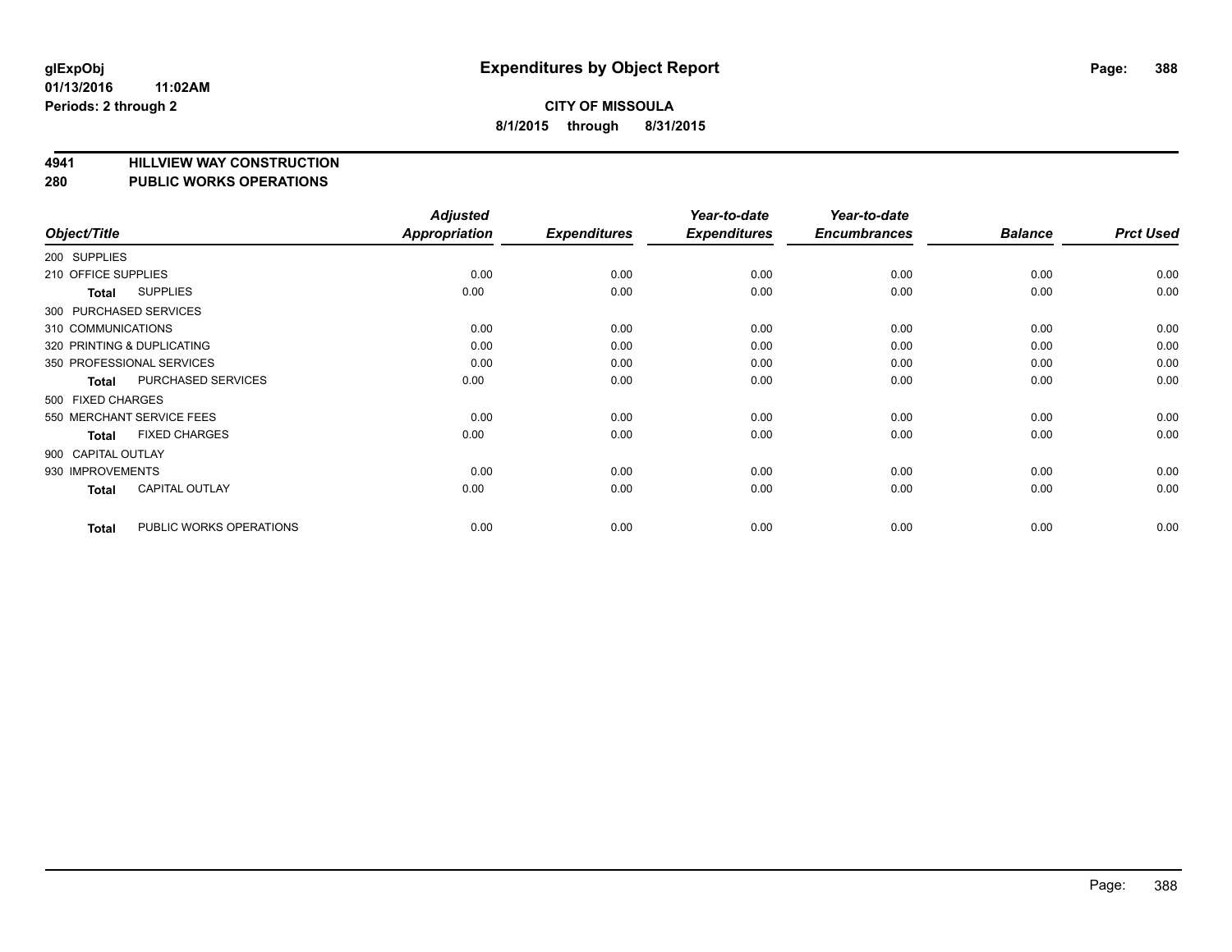## **4941 HILLVIEW WAY CONSTRUCTION**

#### **280 PUBLIC WORKS OPERATIONS**

| Object/Title        |                            | <b>Adjusted</b><br><b>Appropriation</b> | <b>Expenditures</b> | Year-to-date<br><b>Expenditures</b> | Year-to-date<br><b>Encumbrances</b> | <b>Balance</b> | <b>Prct Used</b> |
|---------------------|----------------------------|-----------------------------------------|---------------------|-------------------------------------|-------------------------------------|----------------|------------------|
| 200 SUPPLIES        |                            |                                         |                     |                                     |                                     |                |                  |
| 210 OFFICE SUPPLIES |                            | 0.00                                    | 0.00                | 0.00                                | 0.00                                | 0.00           | 0.00             |
| <b>Total</b>        | <b>SUPPLIES</b>            | 0.00                                    | 0.00                | 0.00                                | 0.00                                | 0.00           | 0.00             |
|                     | 300 PURCHASED SERVICES     |                                         |                     |                                     |                                     |                |                  |
| 310 COMMUNICATIONS  |                            | 0.00                                    | 0.00                | 0.00                                | 0.00                                | 0.00           | 0.00             |
|                     | 320 PRINTING & DUPLICATING | 0.00                                    | 0.00                | 0.00                                | 0.00                                | 0.00           | 0.00             |
|                     | 350 PROFESSIONAL SERVICES  | 0.00                                    | 0.00                | 0.00                                | 0.00                                | 0.00           | 0.00             |
| <b>Total</b>        | PURCHASED SERVICES         | 0.00                                    | 0.00                | 0.00                                | 0.00                                | 0.00           | 0.00             |
| 500 FIXED CHARGES   |                            |                                         |                     |                                     |                                     |                |                  |
|                     | 550 MERCHANT SERVICE FEES  | 0.00                                    | 0.00                | 0.00                                | 0.00                                | 0.00           | 0.00             |
| <b>Total</b>        | <b>FIXED CHARGES</b>       | 0.00                                    | 0.00                | 0.00                                | 0.00                                | 0.00           | 0.00             |
| 900 CAPITAL OUTLAY  |                            |                                         |                     |                                     |                                     |                |                  |
| 930 IMPROVEMENTS    |                            | 0.00                                    | 0.00                | 0.00                                | 0.00                                | 0.00           | 0.00             |
| Total               | CAPITAL OUTLAY             | 0.00                                    | 0.00                | 0.00                                | 0.00                                | 0.00           | 0.00             |
| <b>Total</b>        | PUBLIC WORKS OPERATIONS    | 0.00                                    | 0.00                | 0.00                                | 0.00                                | 0.00           | 0.00             |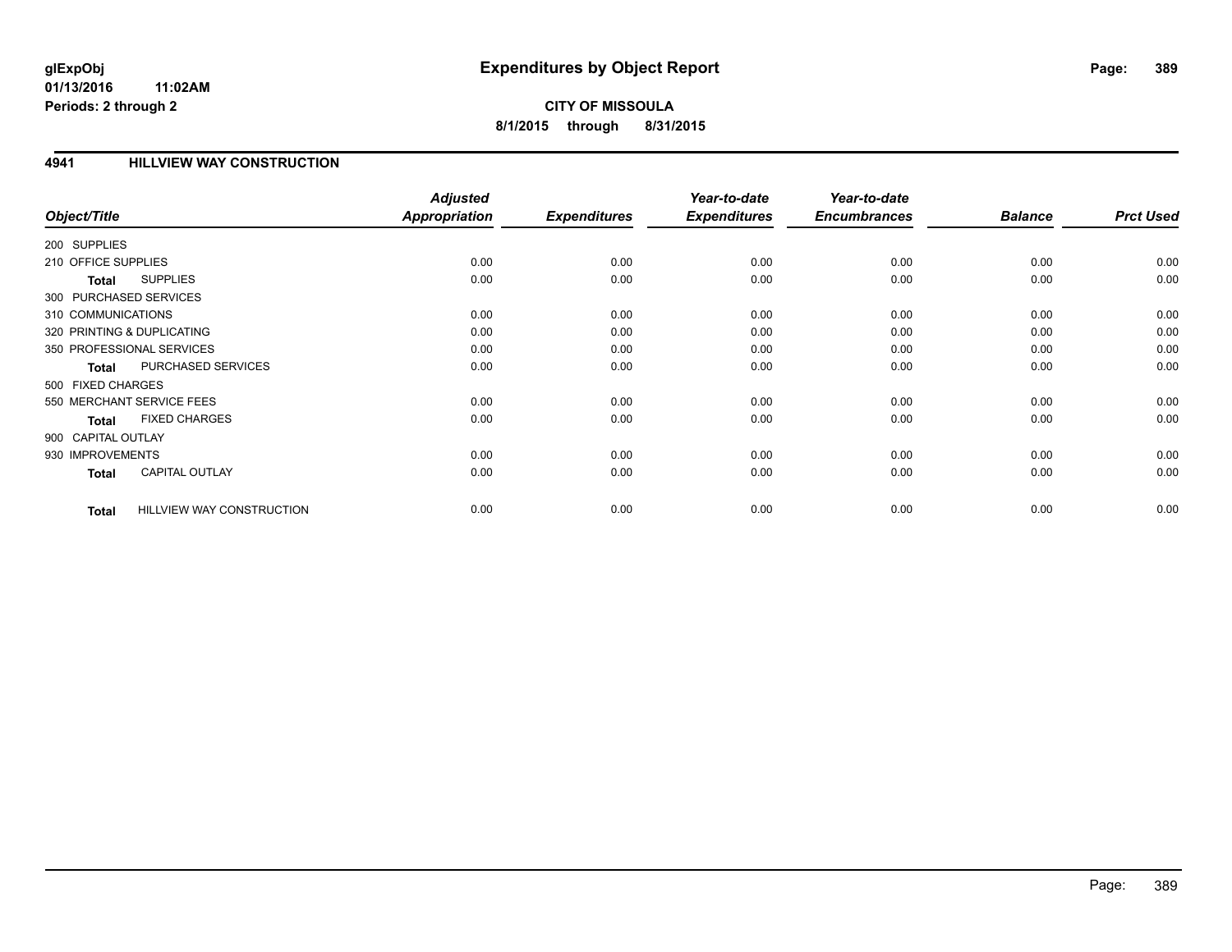## **CITY OF MISSOULA 8/1/2015 through 8/31/2015**

#### **4941 HILLVIEW WAY CONSTRUCTION**

|                                                  | <b>Adjusted</b>      |                     | Year-to-date        | Year-to-date        |                |                  |
|--------------------------------------------------|----------------------|---------------------|---------------------|---------------------|----------------|------------------|
| Object/Title                                     | <b>Appropriation</b> | <b>Expenditures</b> | <b>Expenditures</b> | <b>Encumbrances</b> | <b>Balance</b> | <b>Prct Used</b> |
| 200 SUPPLIES                                     |                      |                     |                     |                     |                |                  |
| 210 OFFICE SUPPLIES                              | 0.00                 | 0.00                | 0.00                | 0.00                | 0.00           | 0.00             |
| <b>SUPPLIES</b><br>Total                         | 0.00                 | 0.00                | 0.00                | 0.00                | 0.00           | 0.00             |
| 300 PURCHASED SERVICES                           |                      |                     |                     |                     |                |                  |
| 310 COMMUNICATIONS                               | 0.00                 | 0.00                | 0.00                | 0.00                | 0.00           | 0.00             |
| 320 PRINTING & DUPLICATING                       | 0.00                 | 0.00                | 0.00                | 0.00                | 0.00           | 0.00             |
| 350 PROFESSIONAL SERVICES                        | 0.00                 | 0.00                | 0.00                | 0.00                | 0.00           | 0.00             |
| PURCHASED SERVICES<br><b>Total</b>               | 0.00                 | 0.00                | 0.00                | 0.00                | 0.00           | 0.00             |
| 500 FIXED CHARGES                                |                      |                     |                     |                     |                |                  |
| 550 MERCHANT SERVICE FEES                        | 0.00                 | 0.00                | 0.00                | 0.00                | 0.00           | 0.00             |
| <b>FIXED CHARGES</b><br><b>Total</b>             | 0.00                 | 0.00                | 0.00                | 0.00                | 0.00           | 0.00             |
| 900 CAPITAL OUTLAY                               |                      |                     |                     |                     |                |                  |
| 930 IMPROVEMENTS                                 | 0.00                 | 0.00                | 0.00                | 0.00                | 0.00           | 0.00             |
| <b>CAPITAL OUTLAY</b><br>Total                   | 0.00                 | 0.00                | 0.00                | 0.00                | 0.00           | 0.00             |
|                                                  |                      |                     |                     |                     |                |                  |
| <b>HILLVIEW WAY CONSTRUCTION</b><br><b>Total</b> | 0.00                 | 0.00                | 0.00                | 0.00                | 0.00           | 0.00             |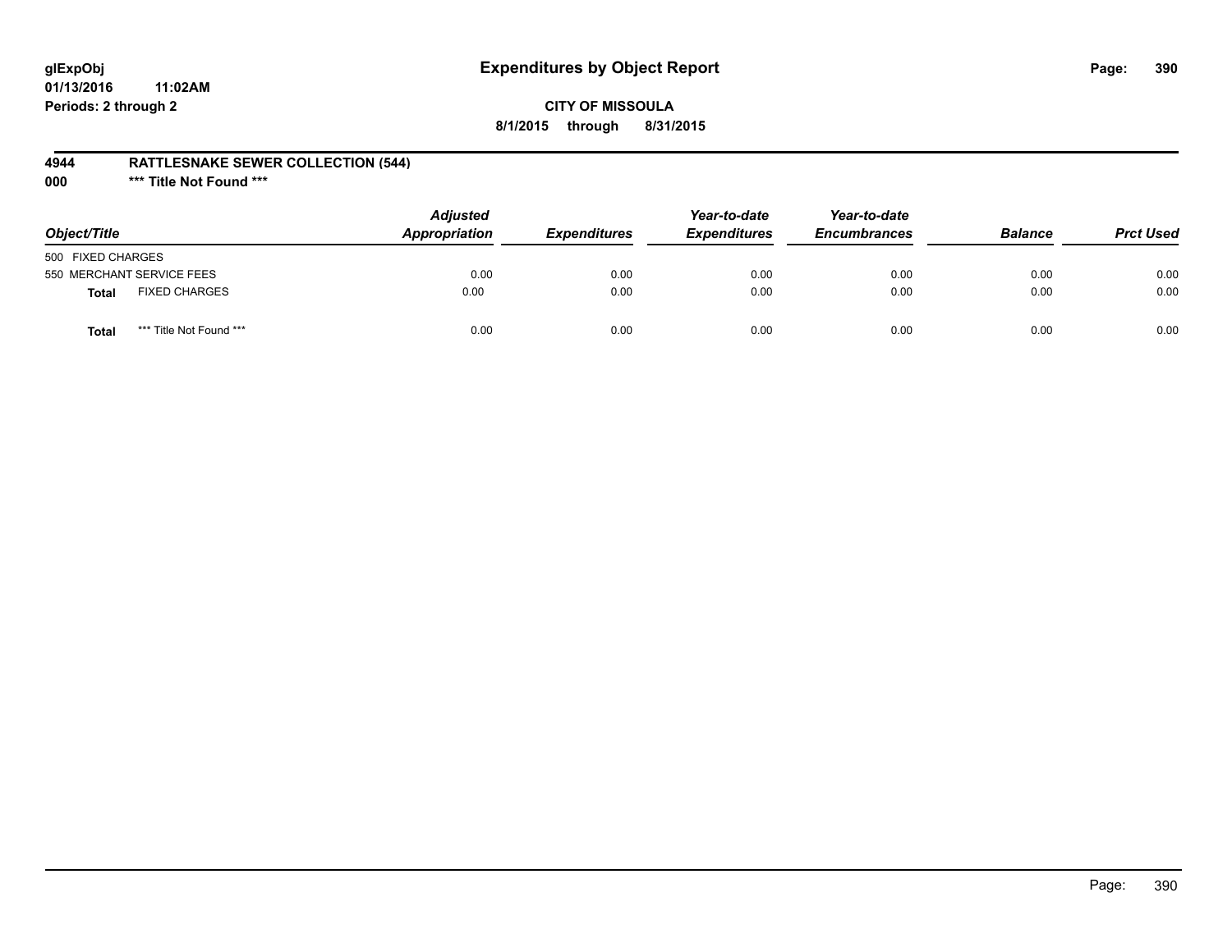## **glExpObj Expenditures by Object Report Page: 390**

### **CITY OF MISSOULA 8/1/2015 through 8/31/2015**

#### **4944 RATTLESNAKE SEWER COLLECTION (544)**

**000 \*\*\* Title Not Found \*\*\***

| Object/Title              |                         | <b>Adjusted</b><br><b>Appropriation</b> | <i><b>Expenditures</b></i> | Year-to-date<br><b>Expenditures</b> | Year-to-date<br><b>Encumbrances</b> | <b>Balance</b> | <b>Prct Used</b> |
|---------------------------|-------------------------|-----------------------------------------|----------------------------|-------------------------------------|-------------------------------------|----------------|------------------|
| 500 FIXED CHARGES         |                         |                                         |                            |                                     |                                     |                |                  |
| 550 MERCHANT SERVICE FEES |                         | 0.00                                    | 0.00                       | 0.00                                | 0.00                                | 0.00           | 0.00             |
| <b>Total</b>              | <b>FIXED CHARGES</b>    | 0.00                                    | 0.00                       | 0.00                                | 0.00                                | 0.00           | 0.00             |
| Total                     | *** Title Not Found *** | 0.00                                    | 0.00                       | 0.00                                | 0.00                                | 0.00           | 0.00             |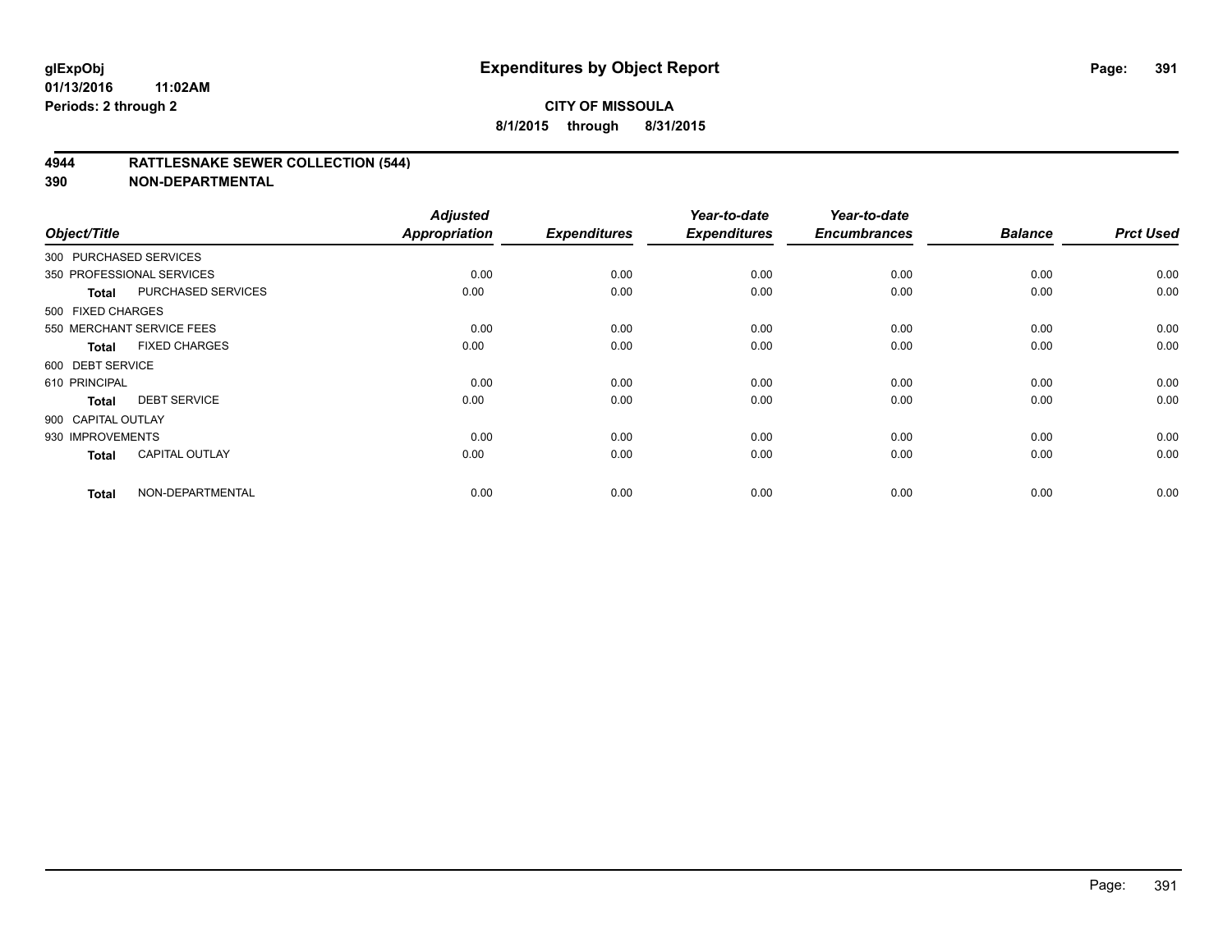#### **4944 RATTLESNAKE SEWER COLLECTION (544)**

| Object/Title           |                           | <b>Adjusted</b><br><b>Appropriation</b> | <b>Expenditures</b> | Year-to-date<br><b>Expenditures</b> | Year-to-date<br><b>Encumbrances</b> | <b>Balance</b> | <b>Prct Used</b> |
|------------------------|---------------------------|-----------------------------------------|---------------------|-------------------------------------|-------------------------------------|----------------|------------------|
| 300 PURCHASED SERVICES |                           |                                         |                     |                                     |                                     |                |                  |
|                        | 350 PROFESSIONAL SERVICES | 0.00                                    | 0.00                | 0.00                                | 0.00                                | 0.00           | 0.00             |
| Total                  | PURCHASED SERVICES        | 0.00                                    | 0.00                | 0.00                                | 0.00                                | 0.00           | 0.00             |
| 500 FIXED CHARGES      |                           |                                         |                     |                                     |                                     |                |                  |
|                        | 550 MERCHANT SERVICE FEES | 0.00                                    | 0.00                | 0.00                                | 0.00                                | 0.00           | 0.00             |
| <b>Total</b>           | <b>FIXED CHARGES</b>      | 0.00                                    | 0.00                | 0.00                                | 0.00                                | 0.00           | 0.00             |
| 600 DEBT SERVICE       |                           |                                         |                     |                                     |                                     |                |                  |
| 610 PRINCIPAL          |                           | 0.00                                    | 0.00                | 0.00                                | 0.00                                | 0.00           | 0.00             |
| <b>Total</b>           | <b>DEBT SERVICE</b>       | 0.00                                    | 0.00                | 0.00                                | 0.00                                | 0.00           | 0.00             |
| 900 CAPITAL OUTLAY     |                           |                                         |                     |                                     |                                     |                |                  |
| 930 IMPROVEMENTS       |                           | 0.00                                    | 0.00                | 0.00                                | 0.00                                | 0.00           | 0.00             |
| <b>Total</b>           | <b>CAPITAL OUTLAY</b>     | 0.00                                    | 0.00                | 0.00                                | 0.00                                | 0.00           | 0.00             |
| <b>Total</b>           | NON-DEPARTMENTAL          | 0.00                                    | 0.00                | 0.00                                | 0.00                                | 0.00           | 0.00             |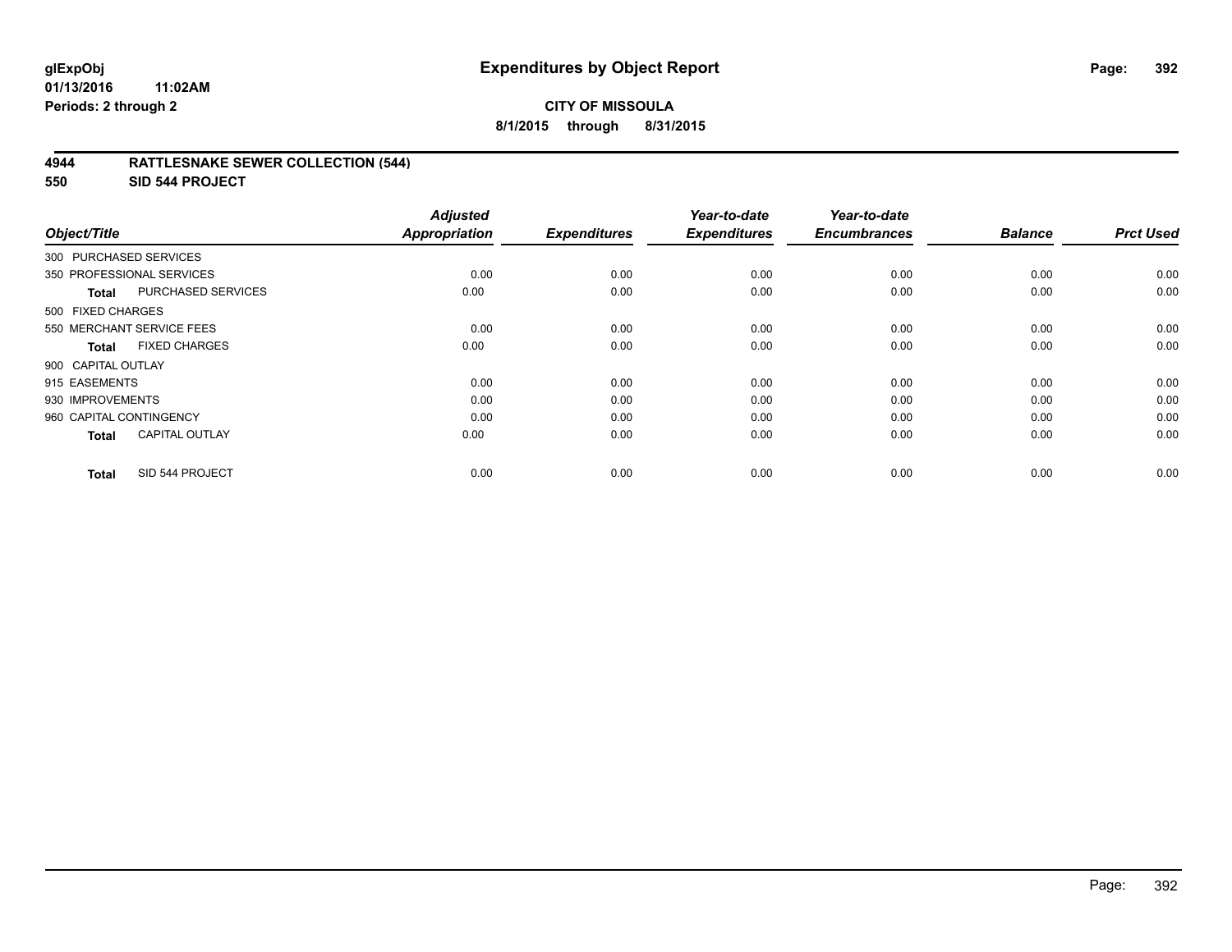#### **4944 RATTLESNAKE SEWER COLLECTION (544)**

**550 SID 544 PROJECT**

| Object/Title            |                           | <b>Adjusted</b><br><b>Appropriation</b> | <b>Expenditures</b> | Year-to-date<br><b>Expenditures</b> | Year-to-date<br><b>Encumbrances</b> | <b>Balance</b> | <b>Prct Used</b> |
|-------------------------|---------------------------|-----------------------------------------|---------------------|-------------------------------------|-------------------------------------|----------------|------------------|
| 300 PURCHASED SERVICES  |                           |                                         |                     |                                     |                                     |                |                  |
|                         | 350 PROFESSIONAL SERVICES | 0.00                                    | 0.00                | 0.00                                | 0.00                                | 0.00           | 0.00             |
| Total                   | <b>PURCHASED SERVICES</b> | 0.00                                    | 0.00                | 0.00                                | 0.00                                | 0.00           | 0.00             |
| 500 FIXED CHARGES       |                           |                                         |                     |                                     |                                     |                |                  |
|                         | 550 MERCHANT SERVICE FEES | 0.00                                    | 0.00                | 0.00                                | 0.00                                | 0.00           | 0.00             |
| <b>Total</b>            | <b>FIXED CHARGES</b>      | 0.00                                    | 0.00                | 0.00                                | 0.00                                | 0.00           | 0.00             |
| 900 CAPITAL OUTLAY      |                           |                                         |                     |                                     |                                     |                |                  |
| 915 EASEMENTS           |                           | 0.00                                    | 0.00                | 0.00                                | 0.00                                | 0.00           | 0.00             |
| 930 IMPROVEMENTS        |                           | 0.00                                    | 0.00                | 0.00                                | 0.00                                | 0.00           | 0.00             |
| 960 CAPITAL CONTINGENCY |                           | 0.00                                    | 0.00                | 0.00                                | 0.00                                | 0.00           | 0.00             |
| <b>Total</b>            | <b>CAPITAL OUTLAY</b>     | 0.00                                    | 0.00                | 0.00                                | 0.00                                | 0.00           | 0.00             |
| <b>Total</b>            | SID 544 PROJECT           | 0.00                                    | 0.00                | 0.00                                | 0.00                                | 0.00           | 0.00             |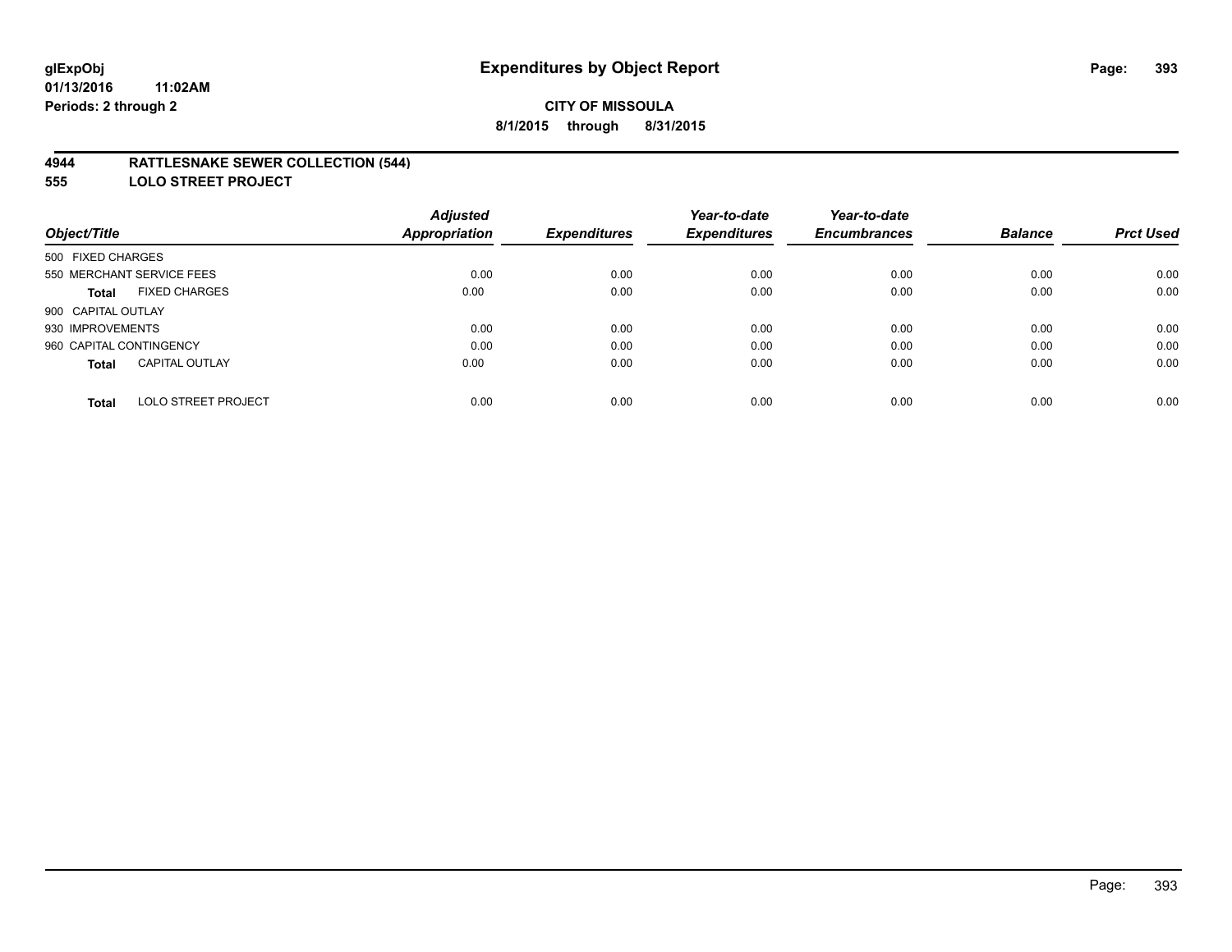#### **4944 RATTLESNAKE SEWER COLLECTION (544)**

**555 LOLO STREET PROJECT**

|                                            | <b>Adjusted</b> |                     | Year-to-date        | Year-to-date        |                |                  |
|--------------------------------------------|-----------------|---------------------|---------------------|---------------------|----------------|------------------|
| Object/Title                               | Appropriation   | <b>Expenditures</b> | <b>Expenditures</b> | <b>Encumbrances</b> | <b>Balance</b> | <b>Prct Used</b> |
| 500 FIXED CHARGES                          |                 |                     |                     |                     |                |                  |
| 550 MERCHANT SERVICE FEES                  | 0.00            | 0.00                | 0.00                | 0.00                | 0.00           | 0.00             |
| <b>FIXED CHARGES</b><br><b>Total</b>       | 0.00            | 0.00                | 0.00                | 0.00                | 0.00           | 0.00             |
| 900 CAPITAL OUTLAY                         |                 |                     |                     |                     |                |                  |
| 930 IMPROVEMENTS                           | 0.00            | 0.00                | 0.00                | 0.00                | 0.00           | 0.00             |
| 960 CAPITAL CONTINGENCY                    | 0.00            | 0.00                | 0.00                | 0.00                | 0.00           | 0.00             |
| <b>CAPITAL OUTLAY</b><br><b>Total</b>      | 0.00            | 0.00                | 0.00                | 0.00                | 0.00           | 0.00             |
|                                            |                 |                     |                     |                     |                |                  |
| <b>LOLO STREET PROJECT</b><br><b>Total</b> | 0.00            | 0.00                | 0.00                | 0.00                | 0.00           | 0.00             |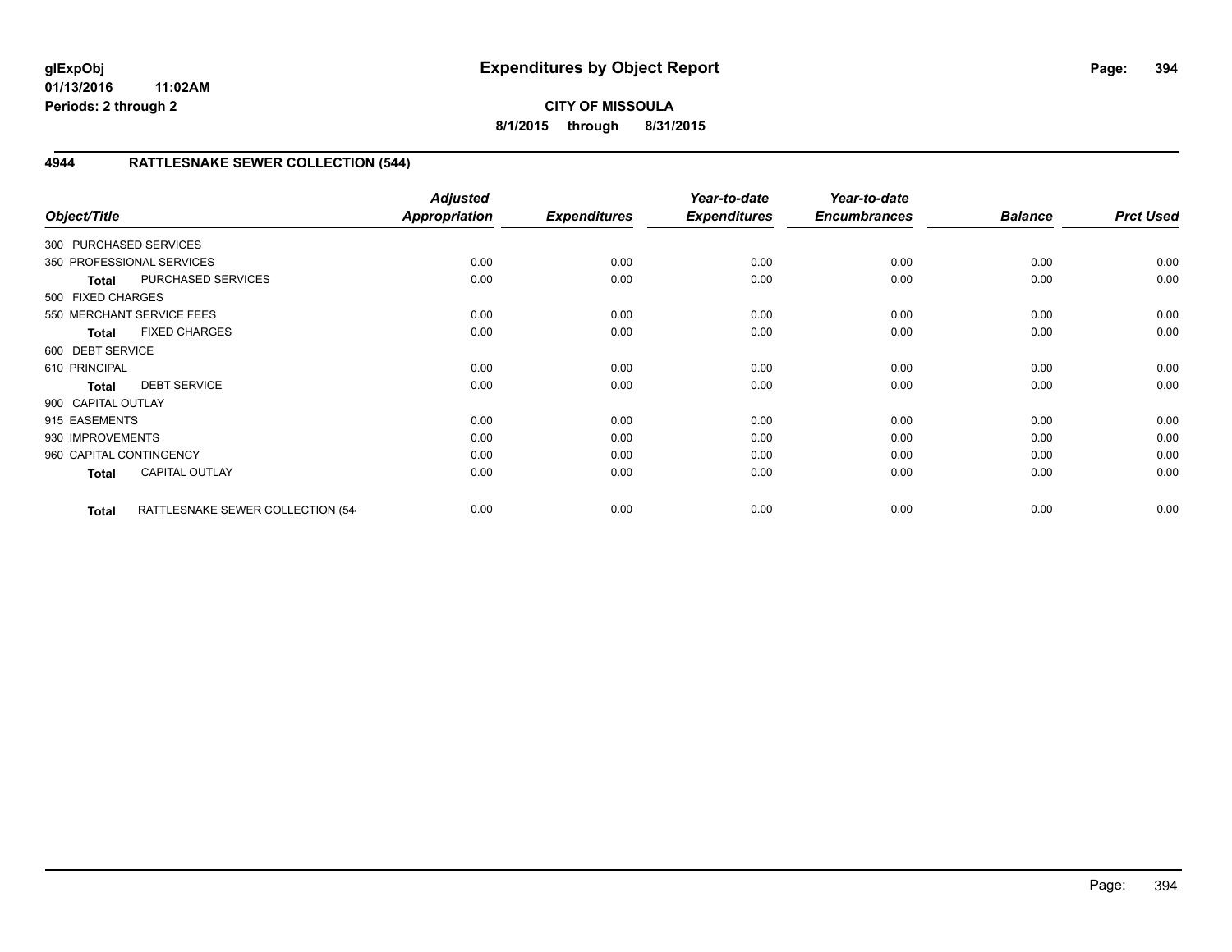## **CITY OF MISSOULA 8/1/2015 through 8/31/2015**

## **4944 RATTLESNAKE SEWER COLLECTION (544)**

| Object/Title            |                                   | <b>Adjusted</b><br><b>Appropriation</b> | <b>Expenditures</b> | Year-to-date<br><b>Expenditures</b> | Year-to-date<br><b>Encumbrances</b> | <b>Balance</b> | <b>Prct Used</b> |
|-------------------------|-----------------------------------|-----------------------------------------|---------------------|-------------------------------------|-------------------------------------|----------------|------------------|
| 300 PURCHASED SERVICES  |                                   |                                         |                     |                                     |                                     |                |                  |
|                         | 350 PROFESSIONAL SERVICES         | 0.00                                    | 0.00                | 0.00                                | 0.00                                | 0.00           | 0.00             |
| <b>Total</b>            | PURCHASED SERVICES                | 0.00                                    | 0.00                | 0.00                                | 0.00                                | 0.00           | 0.00             |
| 500 FIXED CHARGES       |                                   |                                         |                     |                                     |                                     |                |                  |
|                         | 550 MERCHANT SERVICE FEES         | 0.00                                    | 0.00                | 0.00                                | 0.00                                | 0.00           | 0.00             |
| <b>Total</b>            | <b>FIXED CHARGES</b>              | 0.00                                    | 0.00                | 0.00                                | 0.00                                | 0.00           | 0.00             |
| 600 DEBT SERVICE        |                                   |                                         |                     |                                     |                                     |                |                  |
| 610 PRINCIPAL           |                                   | 0.00                                    | 0.00                | 0.00                                | 0.00                                | 0.00           | 0.00             |
| <b>Total</b>            | <b>DEBT SERVICE</b>               | 0.00                                    | 0.00                | 0.00                                | 0.00                                | 0.00           | 0.00             |
| 900 CAPITAL OUTLAY      |                                   |                                         |                     |                                     |                                     |                |                  |
| 915 EASEMENTS           |                                   | 0.00                                    | 0.00                | 0.00                                | 0.00                                | 0.00           | 0.00             |
| 930 IMPROVEMENTS        |                                   | 0.00                                    | 0.00                | 0.00                                | 0.00                                | 0.00           | 0.00             |
| 960 CAPITAL CONTINGENCY |                                   | 0.00                                    | 0.00                | 0.00                                | 0.00                                | 0.00           | 0.00             |
| <b>Total</b>            | <b>CAPITAL OUTLAY</b>             | 0.00                                    | 0.00                | 0.00                                | 0.00                                | 0.00           | 0.00             |
| <b>Total</b>            | RATTLESNAKE SEWER COLLECTION (54- | 0.00                                    | 0.00                | 0.00                                | 0.00                                | 0.00           | 0.00             |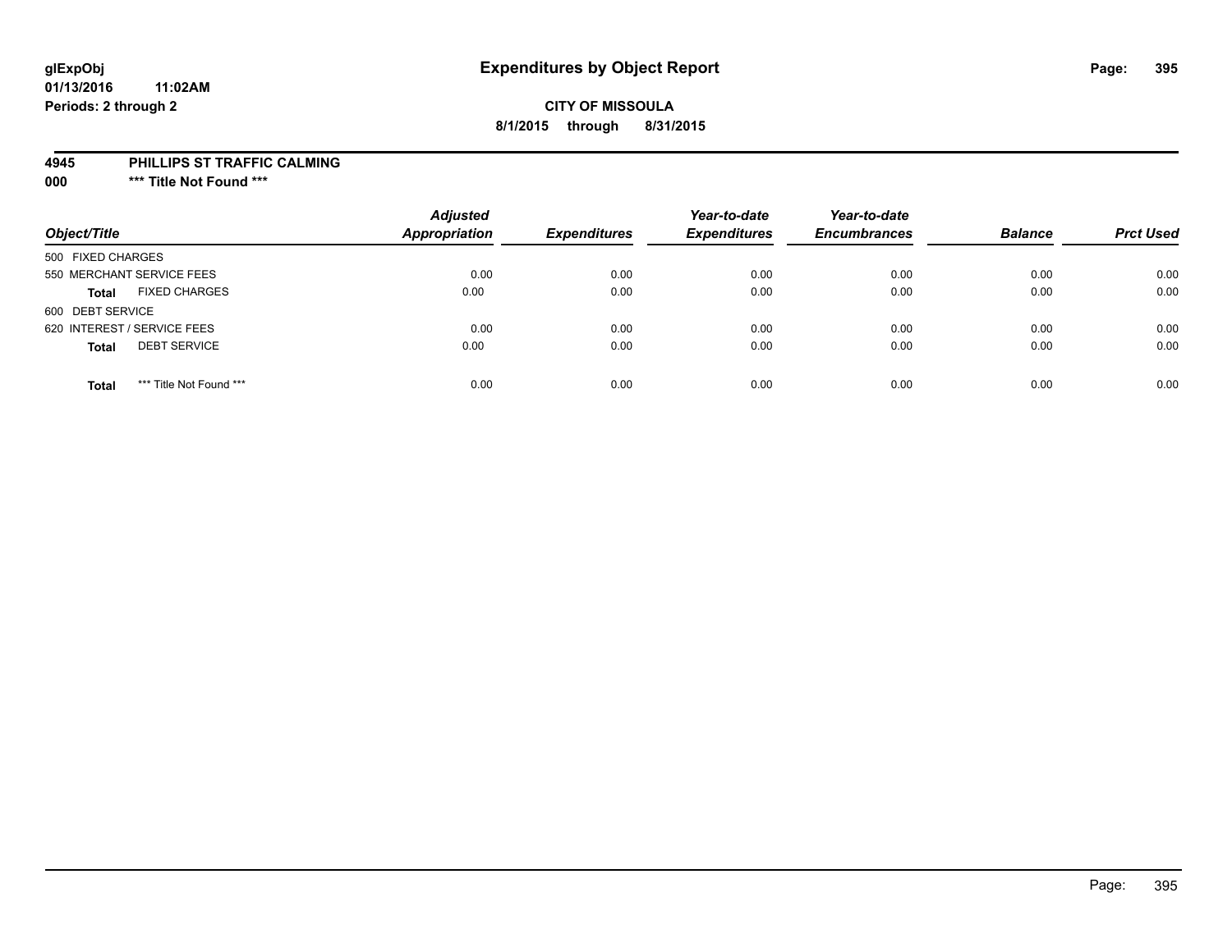# **glExpObj Expenditures by Object Report Page: 395**

#### **01/13/2016 11:02AM Periods: 2 through 2**

## **CITY OF MISSOULA 8/1/2015 through 8/31/2015**

#### **4945 PHILLIPS ST TRAFFIC CALMING**

**000 \*\*\* Title Not Found \*\*\***

| Object/Title                            | <b>Adjusted</b><br><b>Appropriation</b> | <b>Expenditures</b> | Year-to-date<br><b>Expenditures</b> | Year-to-date<br><b>Encumbrances</b> | <b>Balance</b> | <b>Prct Used</b> |
|-----------------------------------------|-----------------------------------------|---------------------|-------------------------------------|-------------------------------------|----------------|------------------|
| 500 FIXED CHARGES                       |                                         |                     |                                     |                                     |                |                  |
| 550 MERCHANT SERVICE FEES               | 0.00                                    | 0.00                | 0.00                                | 0.00                                | 0.00           | 0.00             |
| <b>FIXED CHARGES</b><br><b>Total</b>    | 0.00                                    | 0.00                | 0.00                                | 0.00                                | 0.00           | 0.00             |
| 600 DEBT SERVICE                        |                                         |                     |                                     |                                     |                |                  |
| 620 INTEREST / SERVICE FEES             | 0.00                                    | 0.00                | 0.00                                | 0.00                                | 0.00           | 0.00             |
| <b>DEBT SERVICE</b><br><b>Total</b>     | 0.00                                    | 0.00                | 0.00                                | 0.00                                | 0.00           | 0.00             |
| *** Title Not Found ***<br><b>Total</b> | 0.00                                    | 0.00                | 0.00                                | 0.00                                | 0.00           | 0.00             |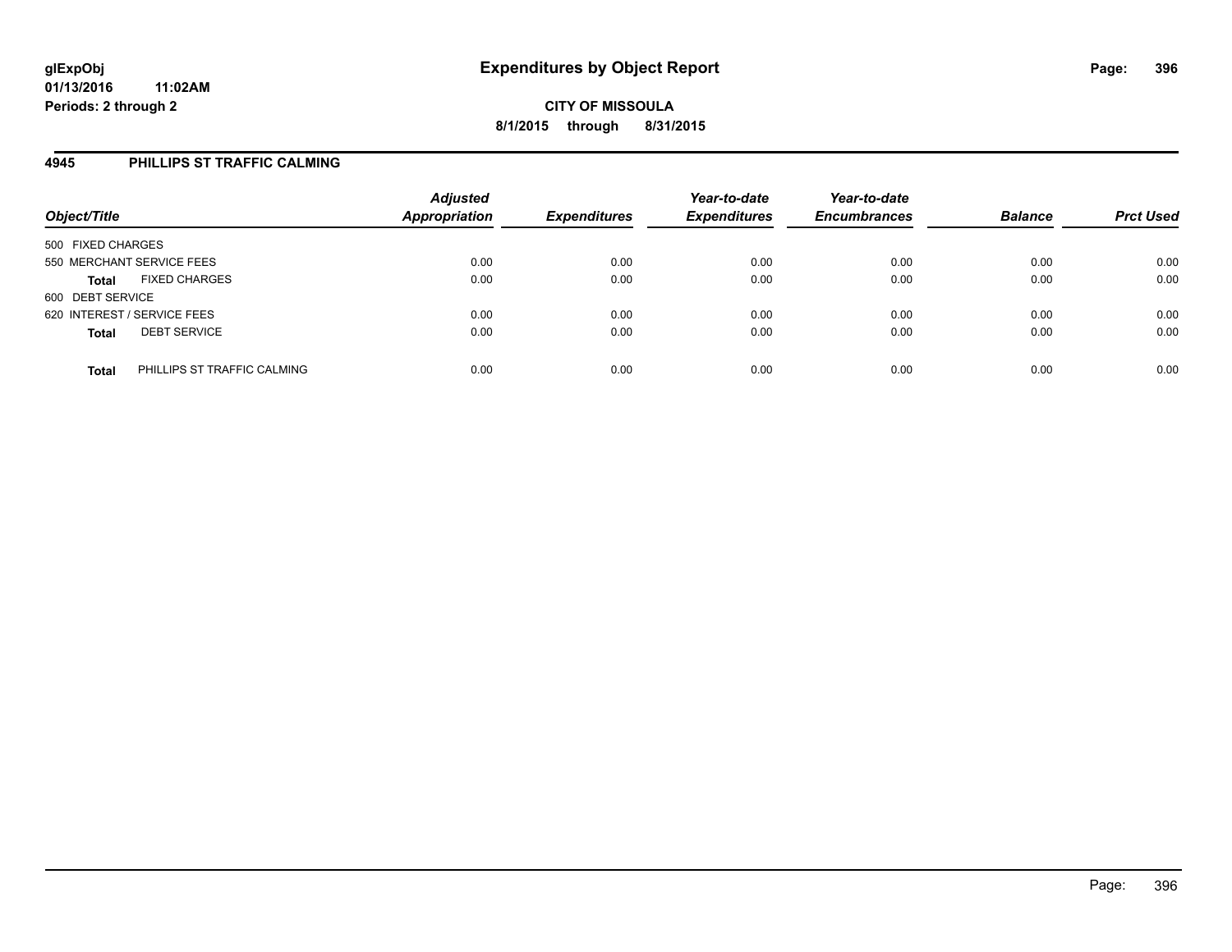#### **4945 PHILLIPS ST TRAFFIC CALMING**

| Object/Title                                | <b>Adjusted</b><br><b>Appropriation</b> | <b>Expenditures</b> | Year-to-date<br><b>Expenditures</b> | Year-to-date<br><b>Encumbrances</b> | <b>Balance</b> | <b>Prct Used</b> |
|---------------------------------------------|-----------------------------------------|---------------------|-------------------------------------|-------------------------------------|----------------|------------------|
| 500 FIXED CHARGES                           |                                         |                     |                                     |                                     |                |                  |
| 550 MERCHANT SERVICE FEES                   | 0.00                                    | 0.00                | 0.00                                | 0.00                                | 0.00           | 0.00             |
| <b>FIXED CHARGES</b><br><b>Total</b>        | 0.00                                    | 0.00                | 0.00                                | 0.00                                | 0.00           | 0.00             |
| 600 DEBT SERVICE                            |                                         |                     |                                     |                                     |                |                  |
| 620 INTEREST / SERVICE FEES                 | 0.00                                    | 0.00                | 0.00                                | 0.00                                | 0.00           | 0.00             |
| <b>DEBT SERVICE</b><br><b>Total</b>         | 0.00                                    | 0.00                | 0.00                                | 0.00                                | 0.00           | 0.00             |
| PHILLIPS ST TRAFFIC CALMING<br><b>Total</b> | 0.00                                    | 0.00                | 0.00                                | 0.00                                | 0.00           | 0.00             |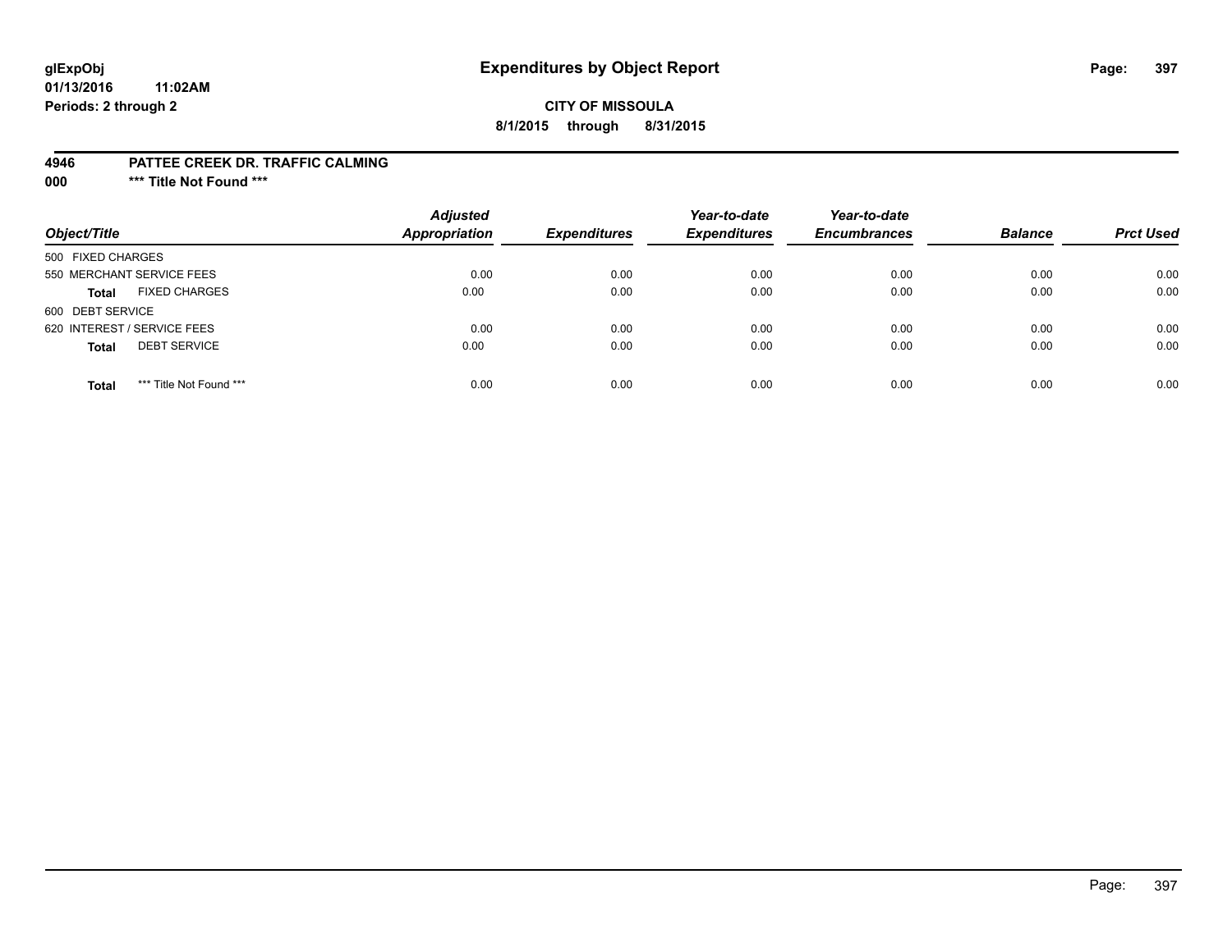## **glExpObj Expenditures by Object Report Page: 397**

## **CITY OF MISSOULA 8/1/2015 through 8/31/2015**

#### **4946 PATTEE CREEK DR. TRAFFIC CALMING**

**000 \*\*\* Title Not Found \*\*\***

| Object/Title                            | <b>Adjusted</b><br><b>Appropriation</b> | <b>Expenditures</b> | Year-to-date<br><b>Expenditures</b> | Year-to-date<br><b>Encumbrances</b> | <b>Balance</b> | <b>Prct Used</b> |
|-----------------------------------------|-----------------------------------------|---------------------|-------------------------------------|-------------------------------------|----------------|------------------|
| 500 FIXED CHARGES                       |                                         |                     |                                     |                                     |                |                  |
| 550 MERCHANT SERVICE FEES               | 0.00                                    | 0.00                | 0.00                                | 0.00                                | 0.00           | 0.00             |
| <b>FIXED CHARGES</b><br><b>Total</b>    | 0.00                                    | 0.00                | 0.00                                | 0.00                                | 0.00           | 0.00             |
| 600 DEBT SERVICE                        |                                         |                     |                                     |                                     |                |                  |
| 620 INTEREST / SERVICE FEES             | 0.00                                    | 0.00                | 0.00                                | 0.00                                | 0.00           | 0.00             |
| <b>DEBT SERVICE</b><br><b>Total</b>     | 0.00                                    | 0.00                | 0.00                                | 0.00                                | 0.00           | 0.00             |
| *** Title Not Found ***<br><b>Total</b> | 0.00                                    | 0.00                | 0.00                                | 0.00                                | 0.00           | 0.00             |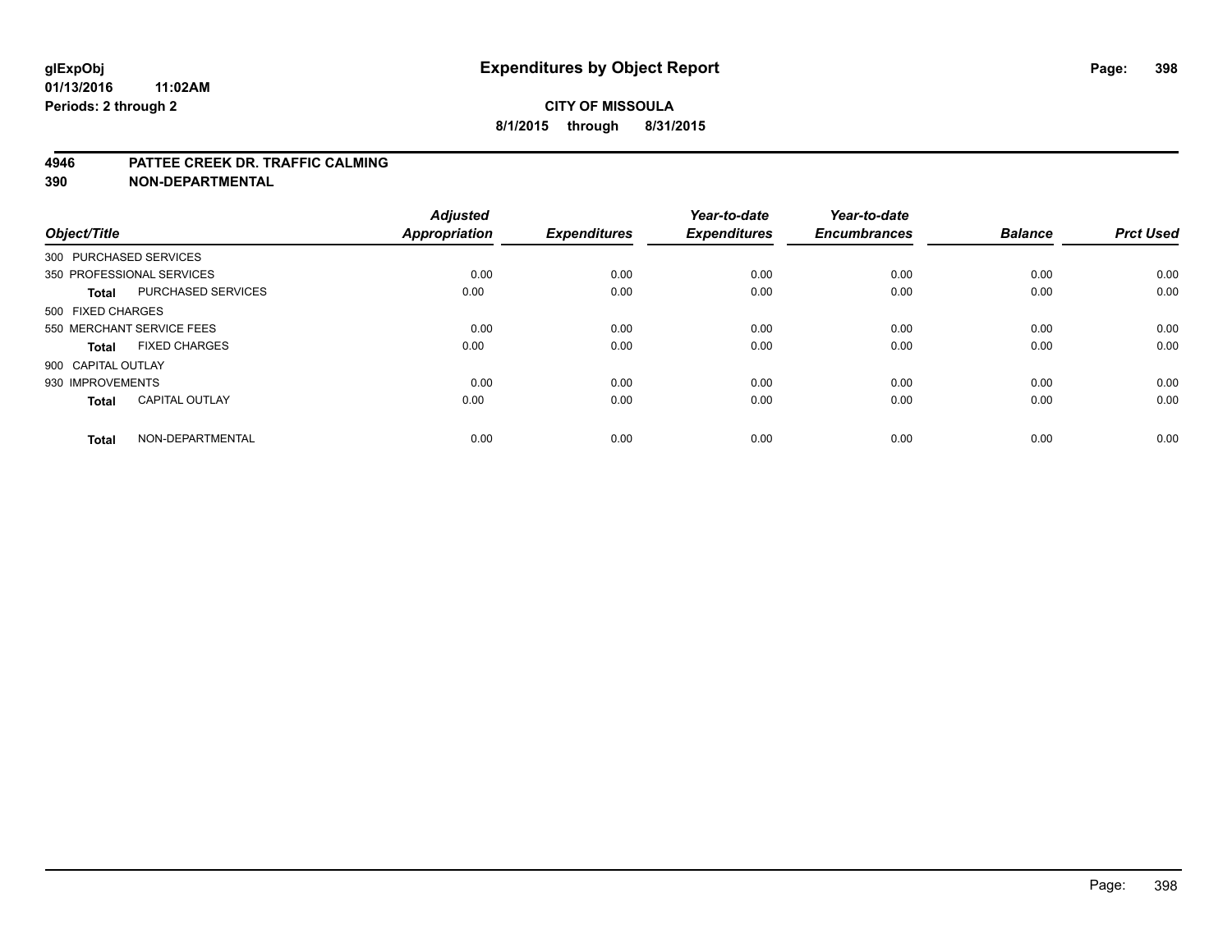#### **4946 PATTEE CREEK DR. TRAFFIC CALMING**

**390 NON-DEPARTMENTAL**

| Object/Title           |                           | <b>Adjusted</b><br>Appropriation | <b>Expenditures</b> | Year-to-date<br><b>Expenditures</b> | Year-to-date<br><b>Encumbrances</b> | <b>Balance</b> | <b>Prct Used</b> |
|------------------------|---------------------------|----------------------------------|---------------------|-------------------------------------|-------------------------------------|----------------|------------------|
| 300 PURCHASED SERVICES |                           |                                  |                     |                                     |                                     |                |                  |
|                        | 350 PROFESSIONAL SERVICES | 0.00                             | 0.00                | 0.00                                | 0.00                                | 0.00           | 0.00             |
| <b>Total</b>           | PURCHASED SERVICES        | 0.00                             | 0.00                | 0.00                                | 0.00                                | 0.00           | 0.00             |
| 500 FIXED CHARGES      |                           |                                  |                     |                                     |                                     |                |                  |
|                        | 550 MERCHANT SERVICE FEES | 0.00                             | 0.00                | 0.00                                | 0.00                                | 0.00           | 0.00             |
| Total                  | <b>FIXED CHARGES</b>      | 0.00                             | 0.00                | 0.00                                | 0.00                                | 0.00           | 0.00             |
| 900 CAPITAL OUTLAY     |                           |                                  |                     |                                     |                                     |                |                  |
| 930 IMPROVEMENTS       |                           | 0.00                             | 0.00                | 0.00                                | 0.00                                | 0.00           | 0.00             |
| Total                  | <b>CAPITAL OUTLAY</b>     | 0.00                             | 0.00                | 0.00                                | 0.00                                | 0.00           | 0.00             |
| <b>Total</b>           | NON-DEPARTMENTAL          | 0.00                             | 0.00                | 0.00                                | 0.00                                | 0.00           | 0.00             |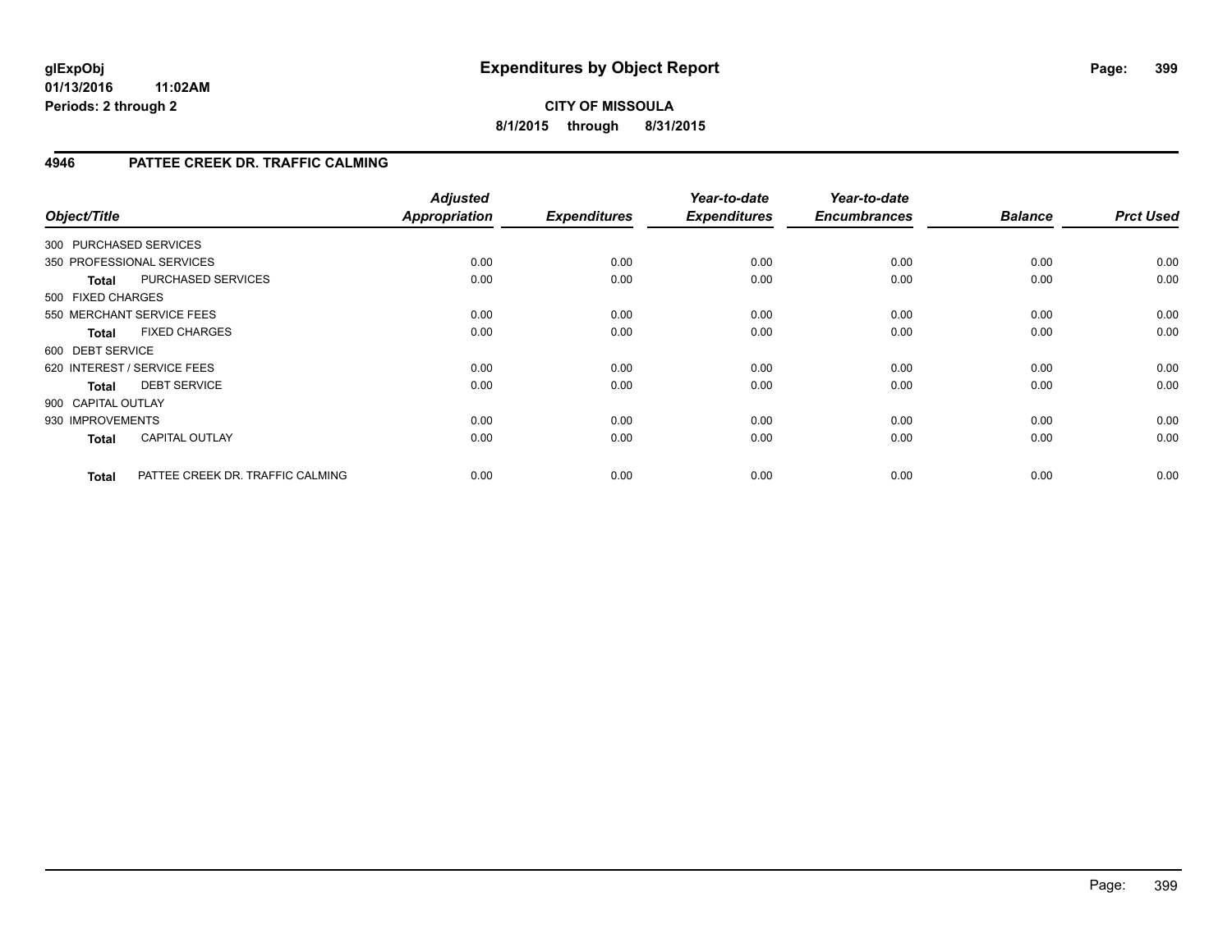## **CITY OF MISSOULA 8/1/2015 through 8/31/2015**

## **4946 PATTEE CREEK DR. TRAFFIC CALMING**

| Object/Title           |                                  | <b>Adjusted</b><br>Appropriation | <b>Expenditures</b> | Year-to-date<br><b>Expenditures</b> | Year-to-date<br><b>Encumbrances</b> | <b>Balance</b> | <b>Prct Used</b> |
|------------------------|----------------------------------|----------------------------------|---------------------|-------------------------------------|-------------------------------------|----------------|------------------|
| 300 PURCHASED SERVICES |                                  |                                  |                     |                                     |                                     |                |                  |
|                        | 350 PROFESSIONAL SERVICES        | 0.00                             | 0.00                | 0.00                                | 0.00                                | 0.00           | 0.00             |
| <b>Total</b>           | PURCHASED SERVICES               | 0.00                             | 0.00                | 0.00                                | 0.00                                | 0.00           | 0.00             |
| 500 FIXED CHARGES      |                                  |                                  |                     |                                     |                                     |                |                  |
|                        | 550 MERCHANT SERVICE FEES        | 0.00                             | 0.00                | 0.00                                | 0.00                                | 0.00           | 0.00             |
| <b>Total</b>           | <b>FIXED CHARGES</b>             | 0.00                             | 0.00                | 0.00                                | 0.00                                | 0.00           | 0.00             |
| 600 DEBT SERVICE       |                                  |                                  |                     |                                     |                                     |                |                  |
|                        | 620 INTEREST / SERVICE FEES      | 0.00                             | 0.00                | 0.00                                | 0.00                                | 0.00           | 0.00             |
| <b>Total</b>           | <b>DEBT SERVICE</b>              | 0.00                             | 0.00                | 0.00                                | 0.00                                | 0.00           | 0.00             |
| 900 CAPITAL OUTLAY     |                                  |                                  |                     |                                     |                                     |                |                  |
| 930 IMPROVEMENTS       |                                  | 0.00                             | 0.00                | 0.00                                | 0.00                                | 0.00           | 0.00             |
| <b>Total</b>           | <b>CAPITAL OUTLAY</b>            | 0.00                             | 0.00                | 0.00                                | 0.00                                | 0.00           | 0.00             |
| <b>Total</b>           | PATTEE CREEK DR. TRAFFIC CALMING | 0.00                             | 0.00                | 0.00                                | 0.00                                | 0.00           | 0.00             |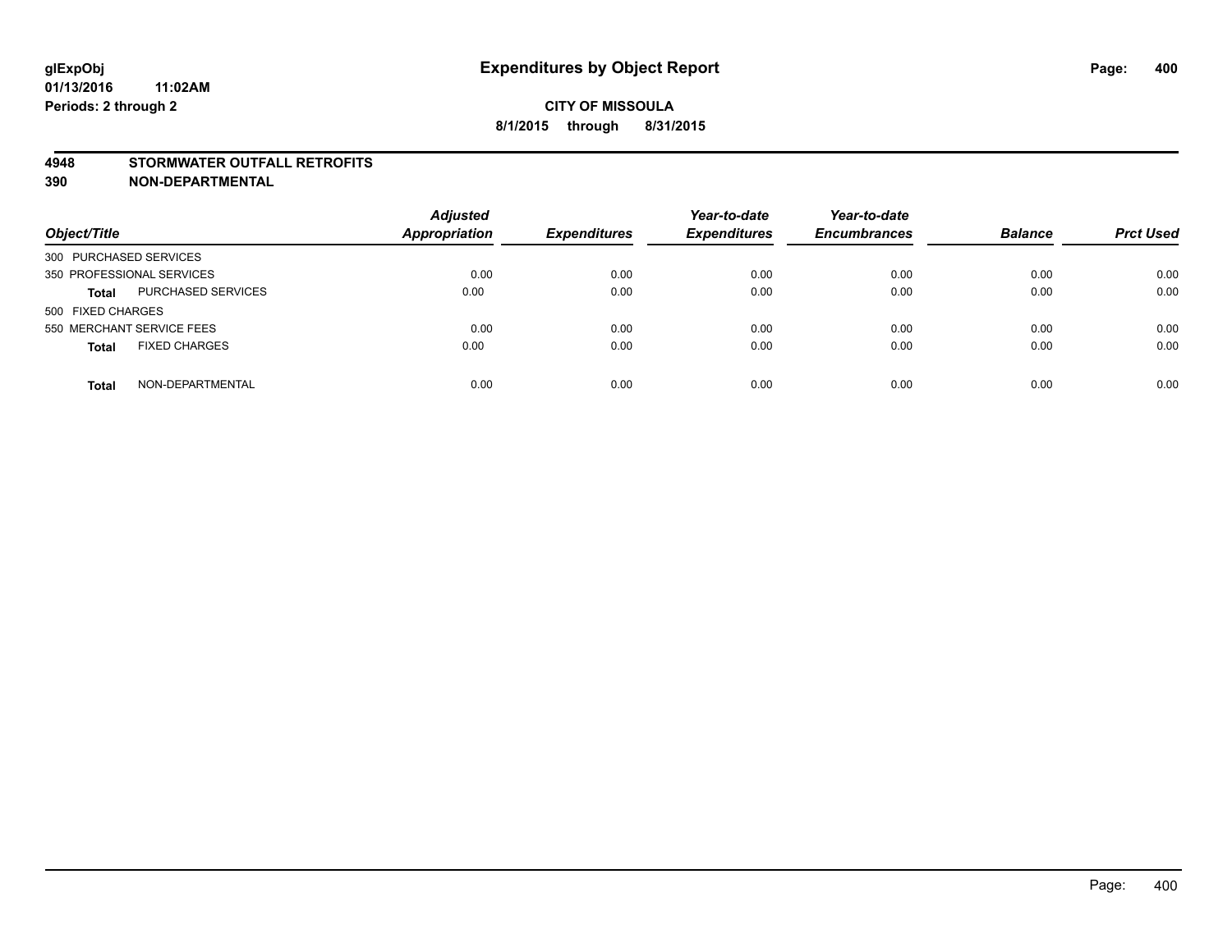#### **4948 STORMWATER OUTFALL RETROFITS**

**390 NON-DEPARTMENTAL**

| Object/Title                              | <b>Adjusted</b><br><b>Appropriation</b> | <b>Expenditures</b> | Year-to-date<br><b>Expenditures</b> | Year-to-date<br><b>Encumbrances</b> | <b>Balance</b> | <b>Prct Used</b> |
|-------------------------------------------|-----------------------------------------|---------------------|-------------------------------------|-------------------------------------|----------------|------------------|
| 300 PURCHASED SERVICES                    |                                         |                     |                                     |                                     |                |                  |
| 350 PROFESSIONAL SERVICES                 | 0.00                                    | 0.00                | 0.00                                | 0.00                                | 0.00           | 0.00             |
| <b>PURCHASED SERVICES</b><br><b>Total</b> | 0.00                                    | 0.00                | 0.00                                | 0.00                                | 0.00           | 0.00             |
| 500 FIXED CHARGES                         |                                         |                     |                                     |                                     |                |                  |
| 550 MERCHANT SERVICE FEES                 | 0.00                                    | 0.00                | 0.00                                | 0.00                                | 0.00           | 0.00             |
| <b>FIXED CHARGES</b><br><b>Total</b>      | 0.00                                    | 0.00                | 0.00                                | 0.00                                | 0.00           | 0.00             |
| NON-DEPARTMENTAL<br><b>Total</b>          | 0.00                                    | 0.00                | 0.00                                | 0.00                                | 0.00           | 0.00             |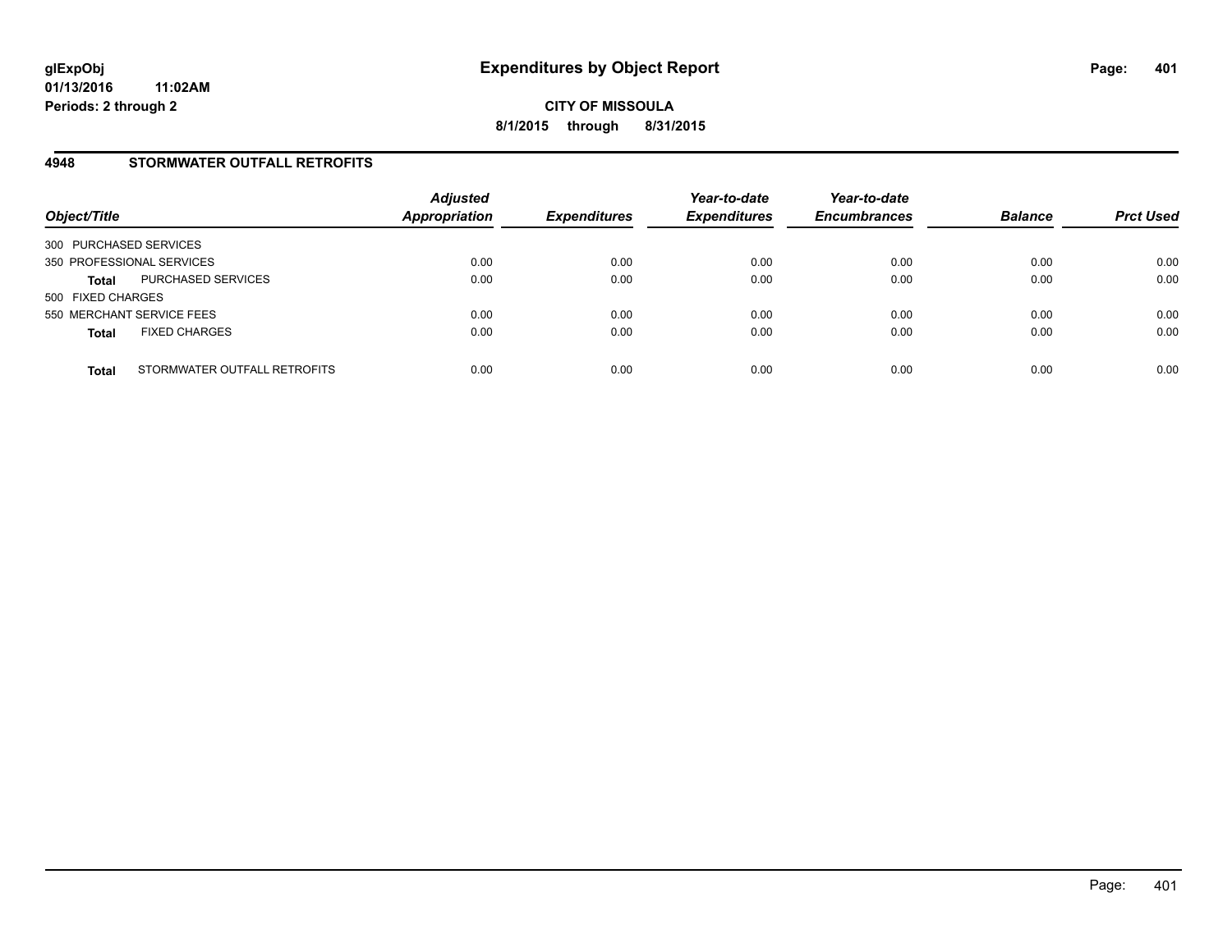## **4948 STORMWATER OUTFALL RETROFITS**

| Object/Title              |                              | <b>Adjusted</b><br><b>Appropriation</b> | <b>Expenditures</b> | Year-to-date<br><b>Expenditures</b> | Year-to-date<br><b>Encumbrances</b> | <b>Balance</b> | <b>Prct Used</b> |
|---------------------------|------------------------------|-----------------------------------------|---------------------|-------------------------------------|-------------------------------------|----------------|------------------|
| 300 PURCHASED SERVICES    |                              |                                         |                     |                                     |                                     |                |                  |
| 350 PROFESSIONAL SERVICES |                              | 0.00                                    | 0.00                | 0.00                                | 0.00                                | 0.00           | 0.00             |
| <b>Total</b>              | PURCHASED SERVICES           | 0.00                                    | 0.00                | 0.00                                | 0.00                                | 0.00           | 0.00             |
| 500 FIXED CHARGES         |                              |                                         |                     |                                     |                                     |                |                  |
| 550 MERCHANT SERVICE FEES |                              | 0.00                                    | 0.00                | 0.00                                | 0.00                                | 0.00           | 0.00             |
| <b>Total</b>              | <b>FIXED CHARGES</b>         | 0.00                                    | 0.00                | 0.00                                | 0.00                                | 0.00           | 0.00             |
| <b>Total</b>              | STORMWATER OUTFALL RETROFITS | 0.00                                    | 0.00                | 0.00                                | 0.00                                | 0.00           | 0.00             |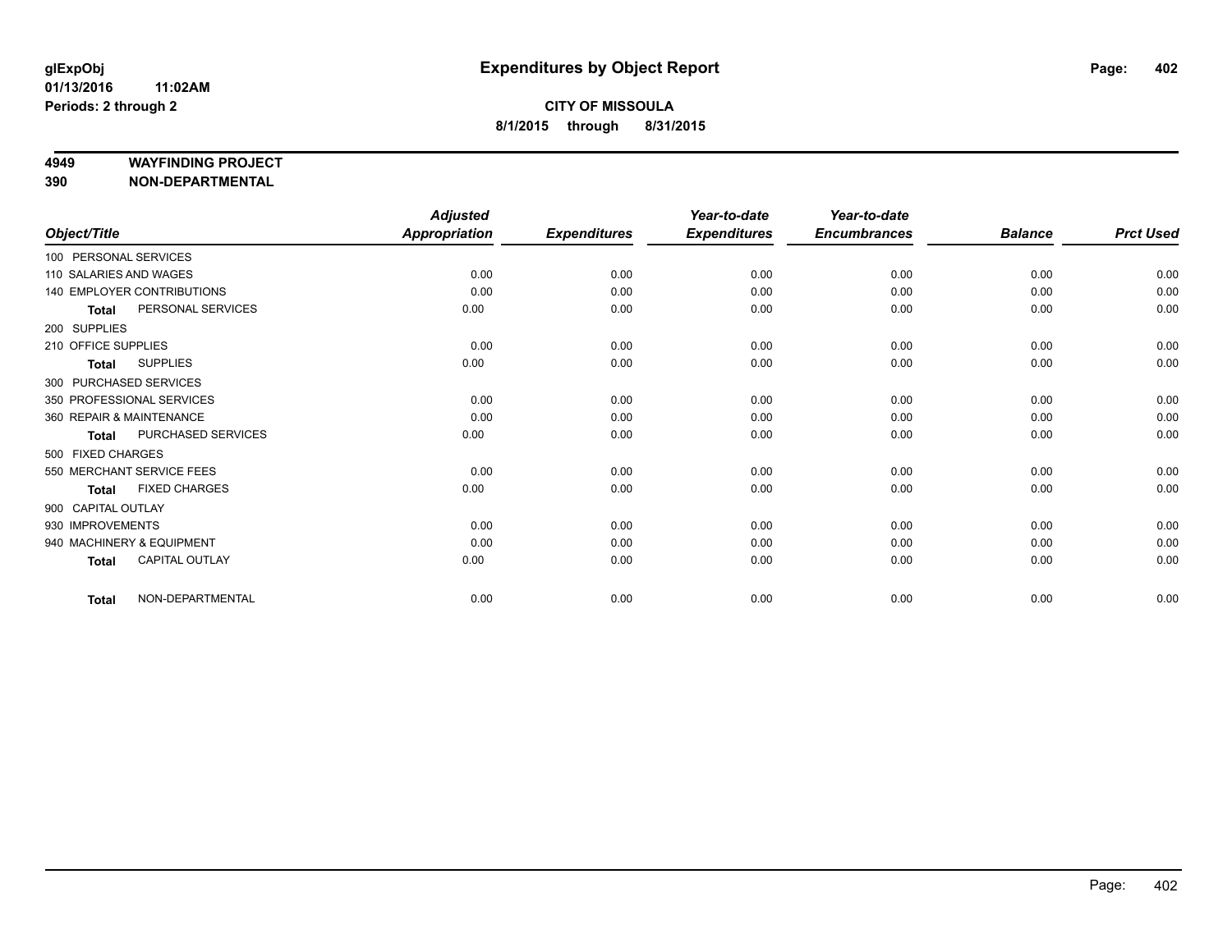#### **4949 WAYFINDING PROJECT**

**390 NON-DEPARTMENTAL**

|                        |                            | <b>Adjusted</b> |                     | Year-to-date        | Year-to-date        |                |                  |
|------------------------|----------------------------|-----------------|---------------------|---------------------|---------------------|----------------|------------------|
| Object/Title           |                            | Appropriation   | <b>Expenditures</b> | <b>Expenditures</b> | <b>Encumbrances</b> | <b>Balance</b> | <b>Prct Used</b> |
| 100 PERSONAL SERVICES  |                            |                 |                     |                     |                     |                |                  |
| 110 SALARIES AND WAGES |                            | 0.00            | 0.00                | 0.00                | 0.00                | 0.00           | 0.00             |
|                        | 140 EMPLOYER CONTRIBUTIONS | 0.00            | 0.00                | 0.00                | 0.00                | 0.00           | 0.00             |
| <b>Total</b>           | PERSONAL SERVICES          | 0.00            | 0.00                | 0.00                | 0.00                | 0.00           | 0.00             |
| 200 SUPPLIES           |                            |                 |                     |                     |                     |                |                  |
| 210 OFFICE SUPPLIES    |                            | 0.00            | 0.00                | 0.00                | 0.00                | 0.00           | 0.00             |
| <b>Total</b>           | <b>SUPPLIES</b>            | 0.00            | 0.00                | 0.00                | 0.00                | 0.00           | 0.00             |
|                        | 300 PURCHASED SERVICES     |                 |                     |                     |                     |                |                  |
|                        | 350 PROFESSIONAL SERVICES  | 0.00            | 0.00                | 0.00                | 0.00                | 0.00           | 0.00             |
|                        | 360 REPAIR & MAINTENANCE   | 0.00            | 0.00                | 0.00                | 0.00                | 0.00           | 0.00             |
| <b>Total</b>           | PURCHASED SERVICES         | 0.00            | 0.00                | 0.00                | 0.00                | 0.00           | 0.00             |
| 500 FIXED CHARGES      |                            |                 |                     |                     |                     |                |                  |
|                        | 550 MERCHANT SERVICE FEES  | 0.00            | 0.00                | 0.00                | 0.00                | 0.00           | 0.00             |
| <b>Total</b>           | <b>FIXED CHARGES</b>       | 0.00            | 0.00                | 0.00                | 0.00                | 0.00           | 0.00             |
| 900 CAPITAL OUTLAY     |                            |                 |                     |                     |                     |                |                  |
| 930 IMPROVEMENTS       |                            | 0.00            | 0.00                | 0.00                | 0.00                | 0.00           | 0.00             |
|                        | 940 MACHINERY & EQUIPMENT  | 0.00            | 0.00                | 0.00                | 0.00                | 0.00           | 0.00             |
| <b>Total</b>           | CAPITAL OUTLAY             | 0.00            | 0.00                | 0.00                | 0.00                | 0.00           | 0.00             |
| <b>Total</b>           | NON-DEPARTMENTAL           | 0.00            | 0.00                | 0.00                | 0.00                | 0.00           | 0.00             |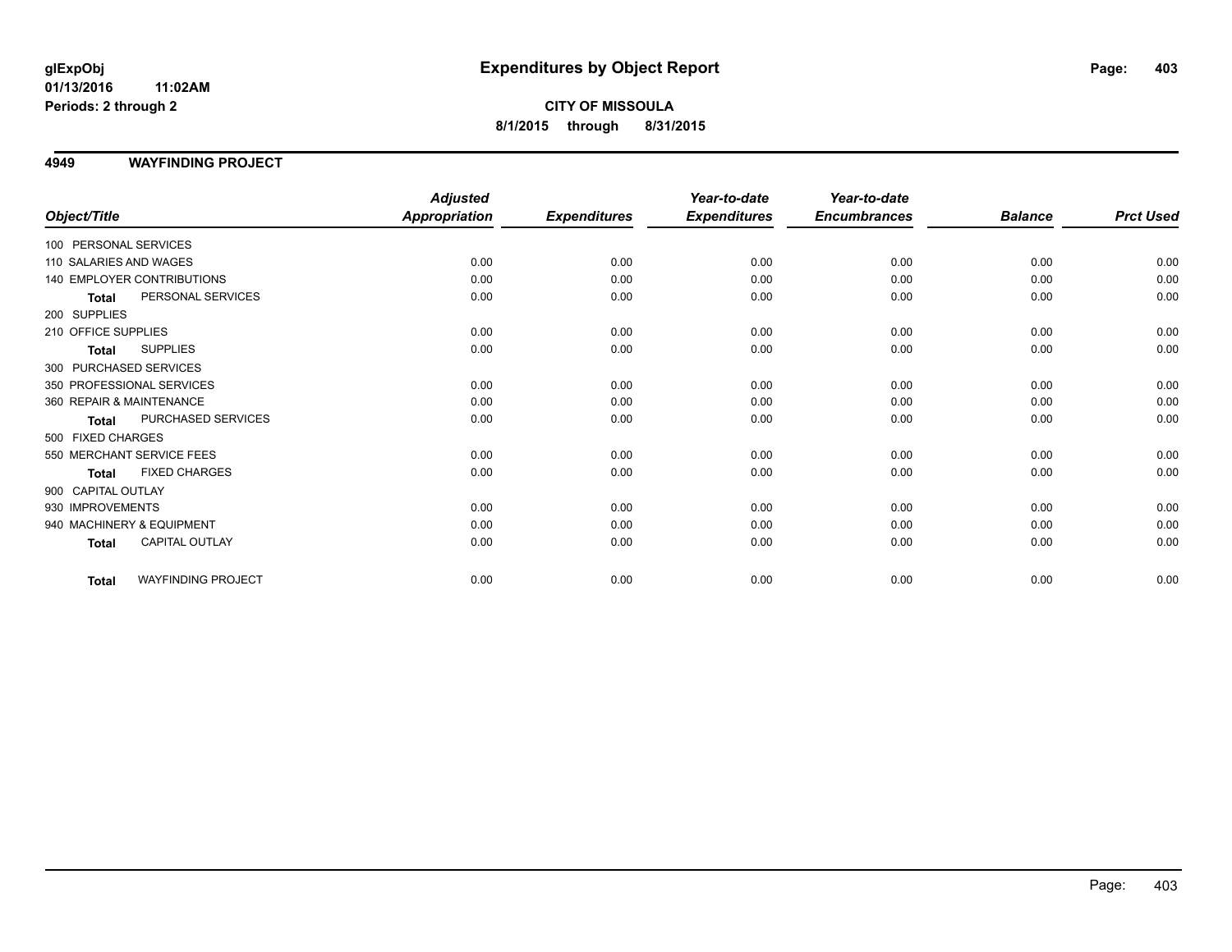**CITY OF MISSOULA 8/1/2015 through 8/31/2015**

#### **4949 WAYFINDING PROJECT**

|                           |                            | <b>Adjusted</b>      |                     | Year-to-date        | Year-to-date        |                |                  |
|---------------------------|----------------------------|----------------------|---------------------|---------------------|---------------------|----------------|------------------|
| Object/Title              |                            | <b>Appropriation</b> | <b>Expenditures</b> | <b>Expenditures</b> | <b>Encumbrances</b> | <b>Balance</b> | <b>Prct Used</b> |
| 100 PERSONAL SERVICES     |                            |                      |                     |                     |                     |                |                  |
| 110 SALARIES AND WAGES    |                            | 0.00                 | 0.00                | 0.00                | 0.00                | 0.00           | 0.00             |
|                           | 140 EMPLOYER CONTRIBUTIONS | 0.00                 | 0.00                | 0.00                | 0.00                | 0.00           | 0.00             |
| <b>Total</b>              | PERSONAL SERVICES          | 0.00                 | 0.00                | 0.00                | 0.00                | 0.00           | 0.00             |
| 200 SUPPLIES              |                            |                      |                     |                     |                     |                |                  |
| 210 OFFICE SUPPLIES       |                            | 0.00                 | 0.00                | 0.00                | 0.00                | 0.00           | 0.00             |
| <b>Total</b>              | <b>SUPPLIES</b>            | 0.00                 | 0.00                | 0.00                | 0.00                | 0.00           | 0.00             |
| 300 PURCHASED SERVICES    |                            |                      |                     |                     |                     |                |                  |
| 350 PROFESSIONAL SERVICES |                            | 0.00                 | 0.00                | 0.00                | 0.00                | 0.00           | 0.00             |
| 360 REPAIR & MAINTENANCE  |                            | 0.00                 | 0.00                | 0.00                | 0.00                | 0.00           | 0.00             |
| <b>Total</b>              | PURCHASED SERVICES         | 0.00                 | 0.00                | 0.00                | 0.00                | 0.00           | 0.00             |
| 500 FIXED CHARGES         |                            |                      |                     |                     |                     |                |                  |
| 550 MERCHANT SERVICE FEES |                            | 0.00                 | 0.00                | 0.00                | 0.00                | 0.00           | 0.00             |
| <b>Total</b>              | <b>FIXED CHARGES</b>       | 0.00                 | 0.00                | 0.00                | 0.00                | 0.00           | 0.00             |
| 900 CAPITAL OUTLAY        |                            |                      |                     |                     |                     |                |                  |
| 930 IMPROVEMENTS          |                            | 0.00                 | 0.00                | 0.00                | 0.00                | 0.00           | 0.00             |
| 940 MACHINERY & EQUIPMENT |                            | 0.00                 | 0.00                | 0.00                | 0.00                | 0.00           | 0.00             |
| <b>Total</b>              | <b>CAPITAL OUTLAY</b>      | 0.00                 | 0.00                | 0.00                | 0.00                | 0.00           | 0.00             |
| <b>Total</b>              | <b>WAYFINDING PROJECT</b>  | 0.00                 | 0.00                | 0.00                | 0.00                | 0.00           | 0.00             |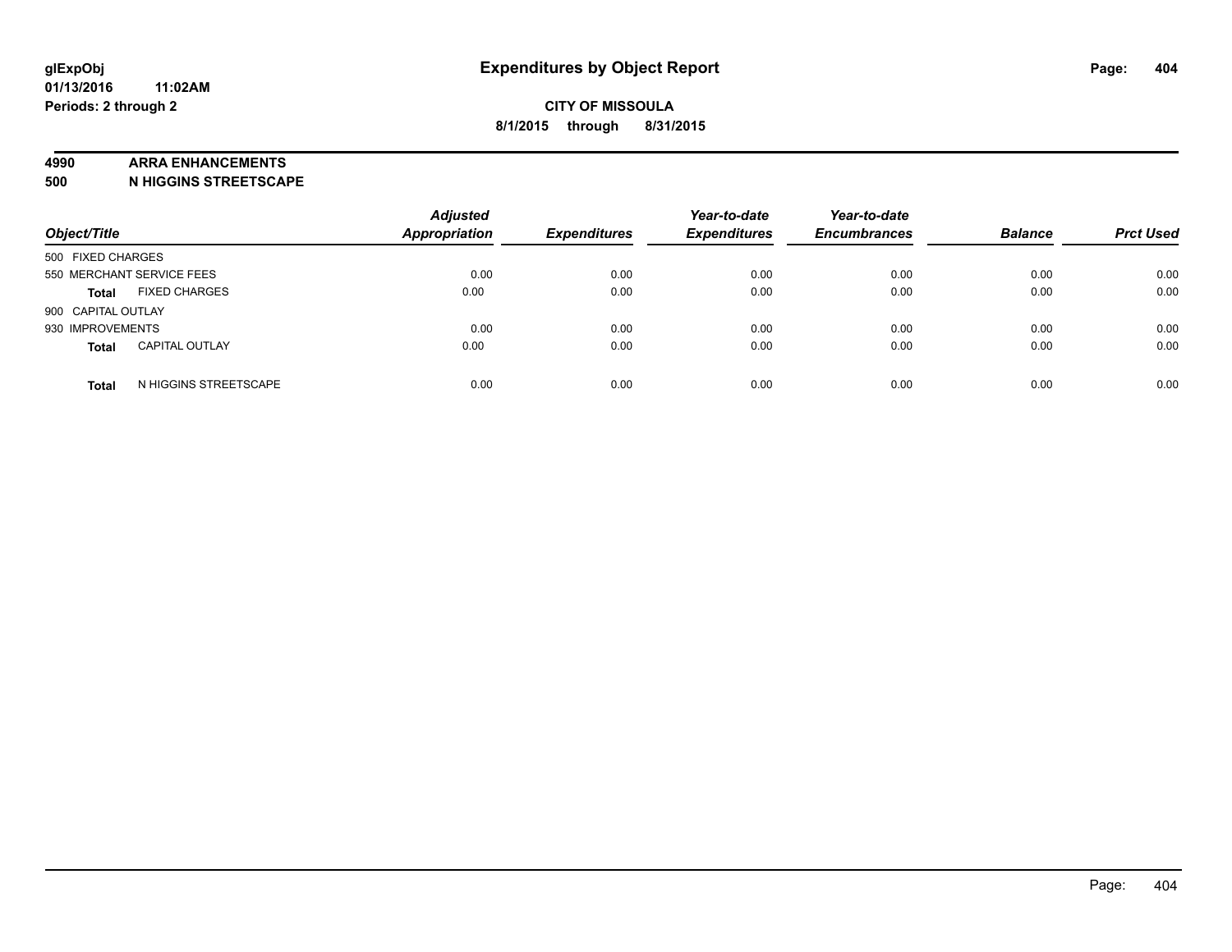#### **4990 ARRA ENHANCEMENTS**

**500 N HIGGINS STREETSCAPE**

| Object/Title              |                       | <b>Adjusted</b><br><b>Appropriation</b> | <b>Expenditures</b> | Year-to-date<br><b>Expenditures</b> | Year-to-date<br><b>Encumbrances</b> | <b>Balance</b> | <b>Prct Used</b> |
|---------------------------|-----------------------|-----------------------------------------|---------------------|-------------------------------------|-------------------------------------|----------------|------------------|
| 500 FIXED CHARGES         |                       |                                         |                     |                                     |                                     |                |                  |
| 550 MERCHANT SERVICE FEES |                       | 0.00                                    | 0.00                | 0.00                                | 0.00                                | 0.00           | 0.00             |
| <b>Total</b>              | <b>FIXED CHARGES</b>  | 0.00                                    | 0.00                | 0.00                                | 0.00                                | 0.00           | 0.00             |
| 900 CAPITAL OUTLAY        |                       |                                         |                     |                                     |                                     |                |                  |
| 930 IMPROVEMENTS          |                       | 0.00                                    | 0.00                | 0.00                                | 0.00                                | 0.00           | 0.00             |
| <b>Total</b>              | <b>CAPITAL OUTLAY</b> | 0.00                                    | 0.00                | 0.00                                | 0.00                                | 0.00           | 0.00             |
| <b>Total</b>              | N HIGGINS STREETSCAPE | 0.00                                    | 0.00                | 0.00                                | 0.00                                | 0.00           | 0.00             |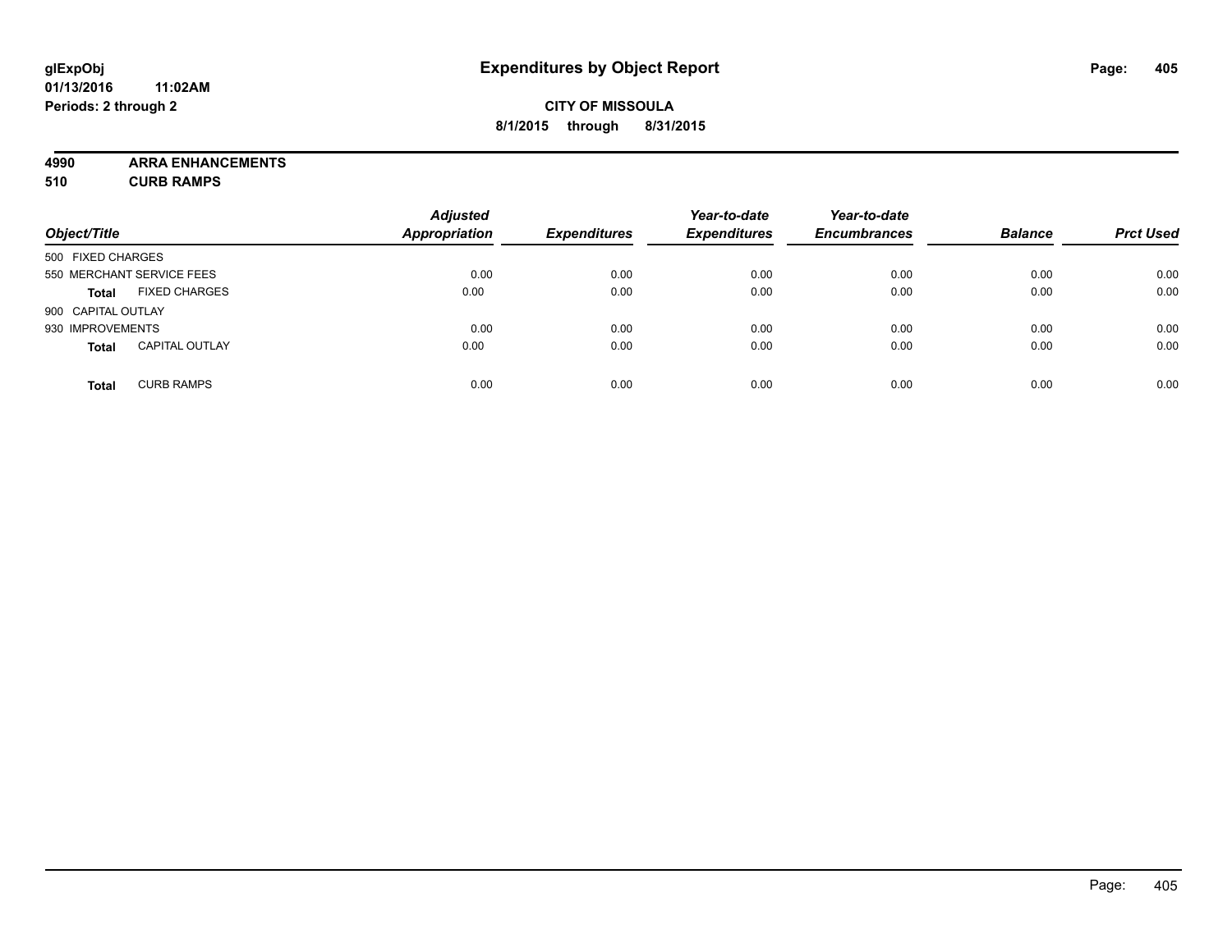## **CITY OF MISSOULA 8/1/2015 through 8/31/2015**

**4990 ARRA ENHANCEMENTS 510 CURB RAMPS**

|                    |                           | <b>Adjusted</b>      |                     | Year-to-date        | Year-to-date        |                |                  |
|--------------------|---------------------------|----------------------|---------------------|---------------------|---------------------|----------------|------------------|
| Object/Title       |                           | <b>Appropriation</b> | <b>Expenditures</b> | <b>Expenditures</b> | <b>Encumbrances</b> | <b>Balance</b> | <b>Prct Used</b> |
| 500 FIXED CHARGES  |                           |                      |                     |                     |                     |                |                  |
|                    | 550 MERCHANT SERVICE FEES | 0.00                 | 0.00                | 0.00                | 0.00                | 0.00           | 0.00             |
| <b>Total</b>       | <b>FIXED CHARGES</b>      | 0.00                 | 0.00                | 0.00                | 0.00                | 0.00           | 0.00             |
| 900 CAPITAL OUTLAY |                           |                      |                     |                     |                     |                |                  |
| 930 IMPROVEMENTS   |                           | 0.00                 | 0.00                | 0.00                | 0.00                | 0.00           | 0.00             |
| <b>Total</b>       | <b>CAPITAL OUTLAY</b>     | 0.00                 | 0.00                | 0.00                | 0.00                | 0.00           | 0.00             |
| <b>Total</b>       | <b>CURB RAMPS</b>         | 0.00                 | 0.00                | 0.00                | 0.00                | 0.00           | 0.00             |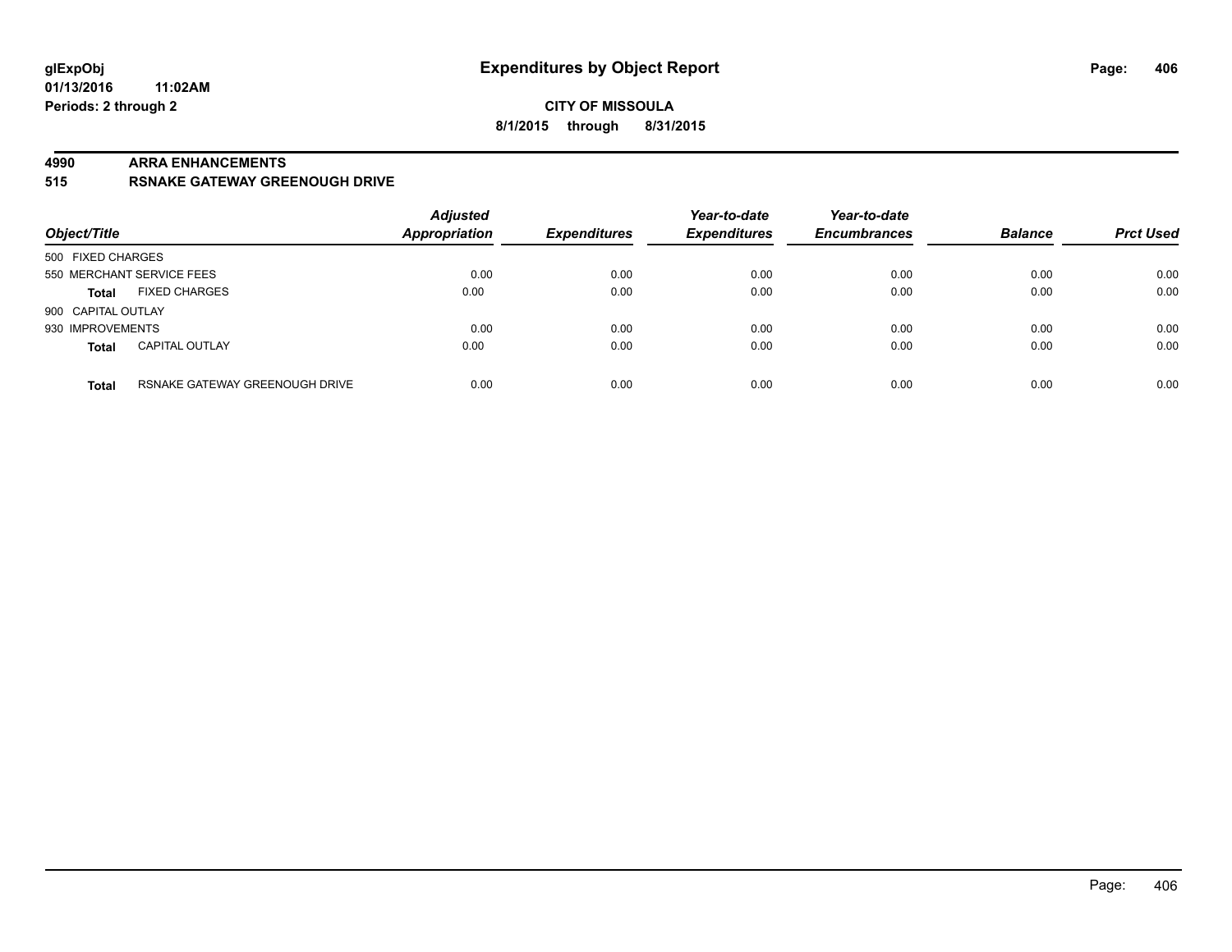#### **CITY OF MISSOULA 8/1/2015 through 8/31/2015**

#### **4990 ARRA ENHANCEMENTS**

**515 RSNAKE GATEWAY GREENOUGH DRIVE**

| Object/Title              |                                | <b>Adjusted</b><br><b>Appropriation</b> | <b>Expenditures</b> | Year-to-date<br><b>Expenditures</b> | Year-to-date<br><b>Encumbrances</b> | <b>Balance</b> | <b>Prct Used</b> |
|---------------------------|--------------------------------|-----------------------------------------|---------------------|-------------------------------------|-------------------------------------|----------------|------------------|
| 500 FIXED CHARGES         |                                |                                         |                     |                                     |                                     |                |                  |
| 550 MERCHANT SERVICE FEES |                                | 0.00                                    | 0.00                | 0.00                                | 0.00                                | 0.00           | 0.00             |
| <b>Total</b>              | <b>FIXED CHARGES</b>           | 0.00                                    | 0.00                | 0.00                                | 0.00                                | 0.00           | 0.00             |
| 900 CAPITAL OUTLAY        |                                |                                         |                     |                                     |                                     |                |                  |
| 930 IMPROVEMENTS          |                                | 0.00                                    | 0.00                | 0.00                                | 0.00                                | 0.00           | 0.00             |
| <b>Total</b>              | <b>CAPITAL OUTLAY</b>          | 0.00                                    | 0.00                | 0.00                                | 0.00                                | 0.00           | 0.00             |
| <b>Total</b>              | RSNAKE GATEWAY GREENOUGH DRIVE | 0.00                                    | 0.00                | 0.00                                | 0.00                                | 0.00           | 0.00             |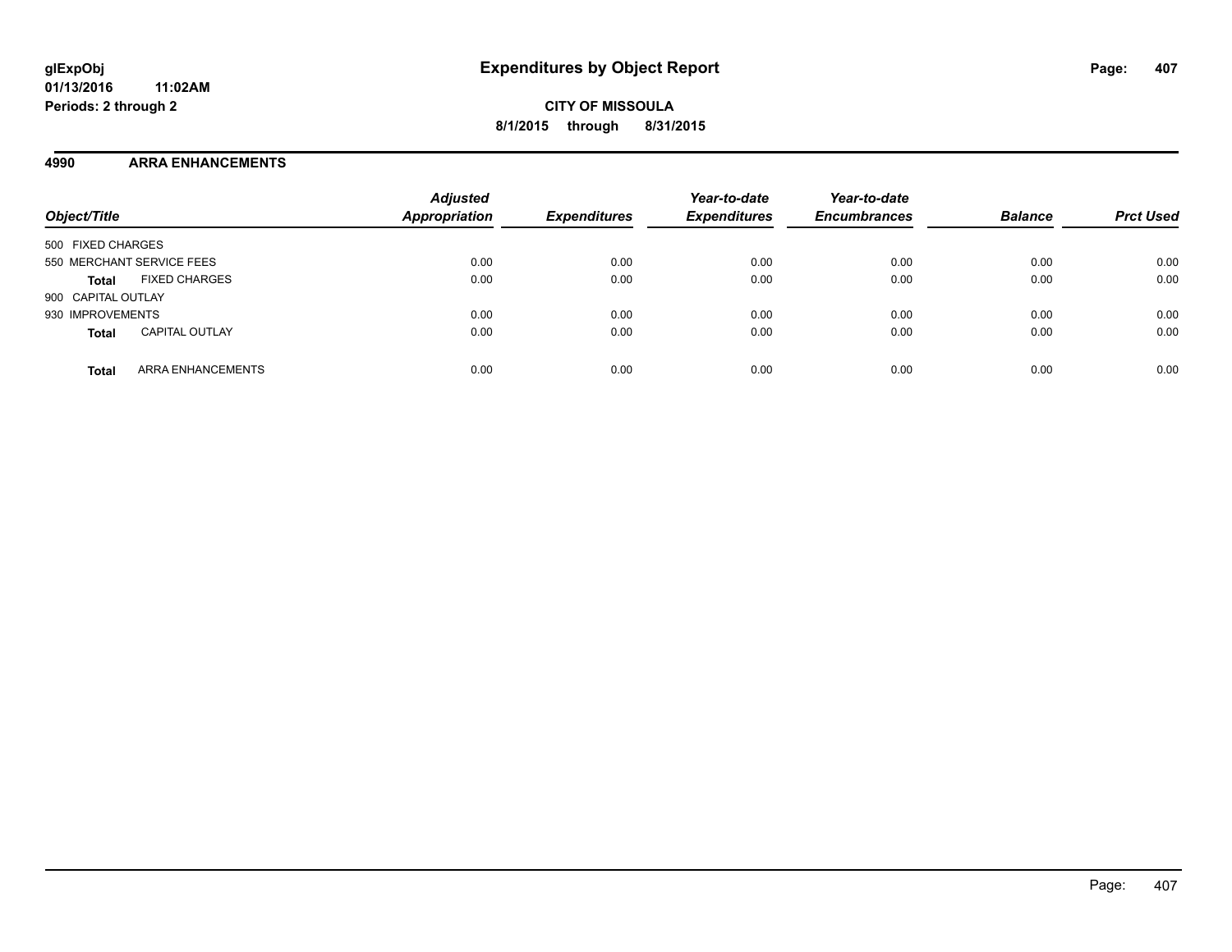**CITY OF MISSOULA 8/1/2015 through 8/31/2015**

#### **4990 ARRA ENHANCEMENTS**

| Object/Title                             | <b>Adjusted</b><br><b>Appropriation</b> | <b>Expenditures</b> | Year-to-date<br><b>Expenditures</b> | Year-to-date<br><b>Encumbrances</b> | <b>Balance</b> | <b>Prct Used</b> |
|------------------------------------------|-----------------------------------------|---------------------|-------------------------------------|-------------------------------------|----------------|------------------|
| 500 FIXED CHARGES                        |                                         |                     |                                     |                                     |                |                  |
| 550 MERCHANT SERVICE FEES                | 0.00                                    | 0.00                | 0.00                                | 0.00                                | 0.00           | 0.00             |
| <b>FIXED CHARGES</b><br><b>Total</b>     | 0.00                                    | 0.00                | 0.00                                | 0.00                                | 0.00           | 0.00             |
| 900 CAPITAL OUTLAY                       |                                         |                     |                                     |                                     |                |                  |
| 930 IMPROVEMENTS                         | 0.00                                    | 0.00                | 0.00                                | 0.00                                | 0.00           | 0.00             |
| <b>CAPITAL OUTLAY</b><br><b>Total</b>    | 0.00                                    | 0.00                | 0.00                                | 0.00                                | 0.00           | 0.00             |
| <b>ARRA ENHANCEMENTS</b><br><b>Total</b> | 0.00                                    | 0.00                | 0.00                                | 0.00                                | 0.00           | 0.00             |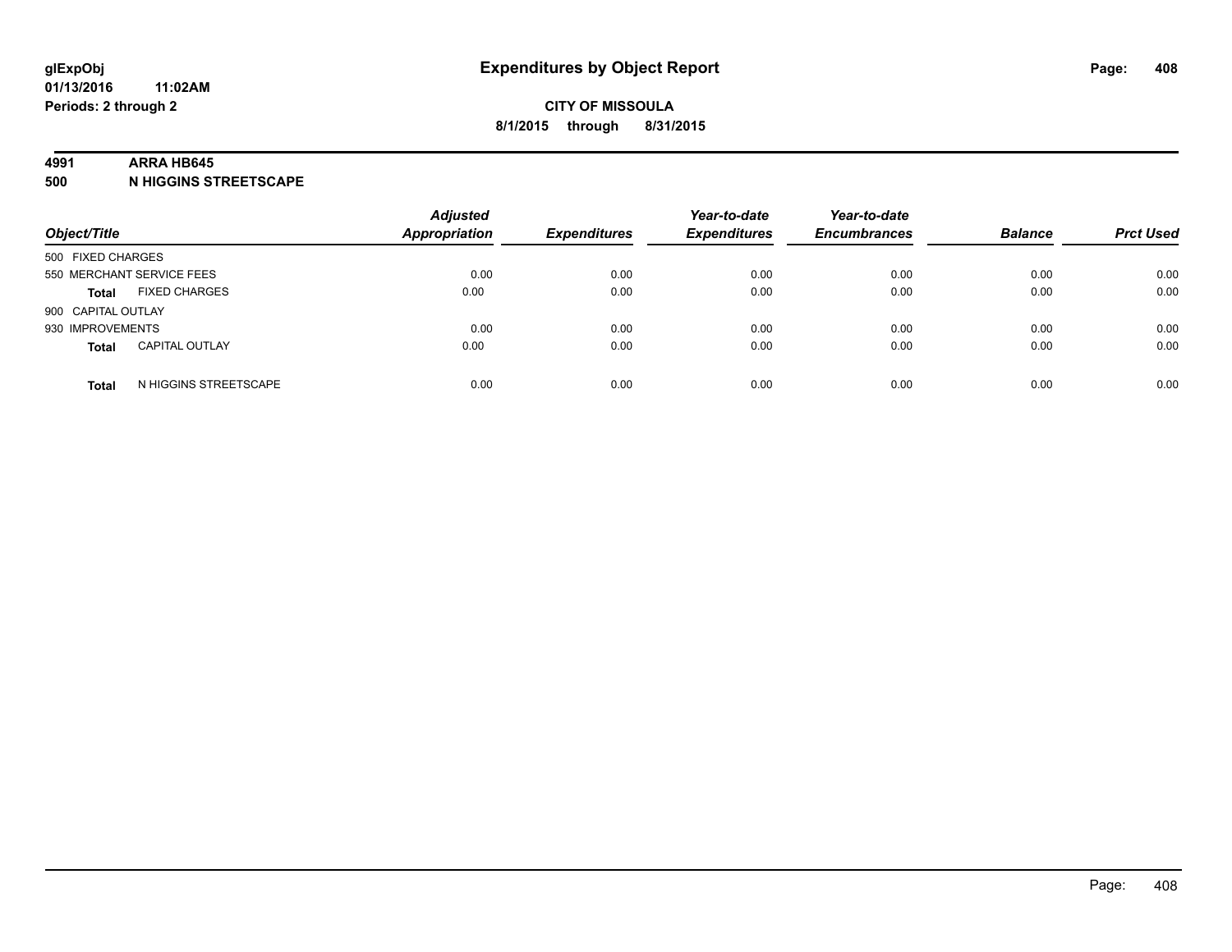#### **4991 ARRA HB645**

**500 N HIGGINS STREETSCAPE**

| Object/Title       |                           | <b>Adjusted</b><br><b>Appropriation</b> | <b>Expenditures</b> | Year-to-date<br><b>Expenditures</b> | Year-to-date<br><b>Encumbrances</b> | <b>Balance</b> | <b>Prct Used</b> |
|--------------------|---------------------------|-----------------------------------------|---------------------|-------------------------------------|-------------------------------------|----------------|------------------|
| 500 FIXED CHARGES  |                           |                                         |                     |                                     |                                     |                |                  |
|                    | 550 MERCHANT SERVICE FEES | 0.00                                    | 0.00                | 0.00                                | 0.00                                | 0.00           | 0.00             |
| <b>Total</b>       | <b>FIXED CHARGES</b>      | 0.00                                    | 0.00                | 0.00                                | 0.00                                | 0.00           | 0.00             |
| 900 CAPITAL OUTLAY |                           |                                         |                     |                                     |                                     |                |                  |
| 930 IMPROVEMENTS   |                           | 0.00                                    | 0.00                | 0.00                                | 0.00                                | 0.00           | 0.00             |
| <b>Total</b>       | <b>CAPITAL OUTLAY</b>     | 0.00                                    | 0.00                | 0.00                                | 0.00                                | 0.00           | 0.00             |
| <b>Total</b>       | N HIGGINS STREETSCAPE     | 0.00                                    | 0.00                | 0.00                                | 0.00                                | 0.00           | 0.00             |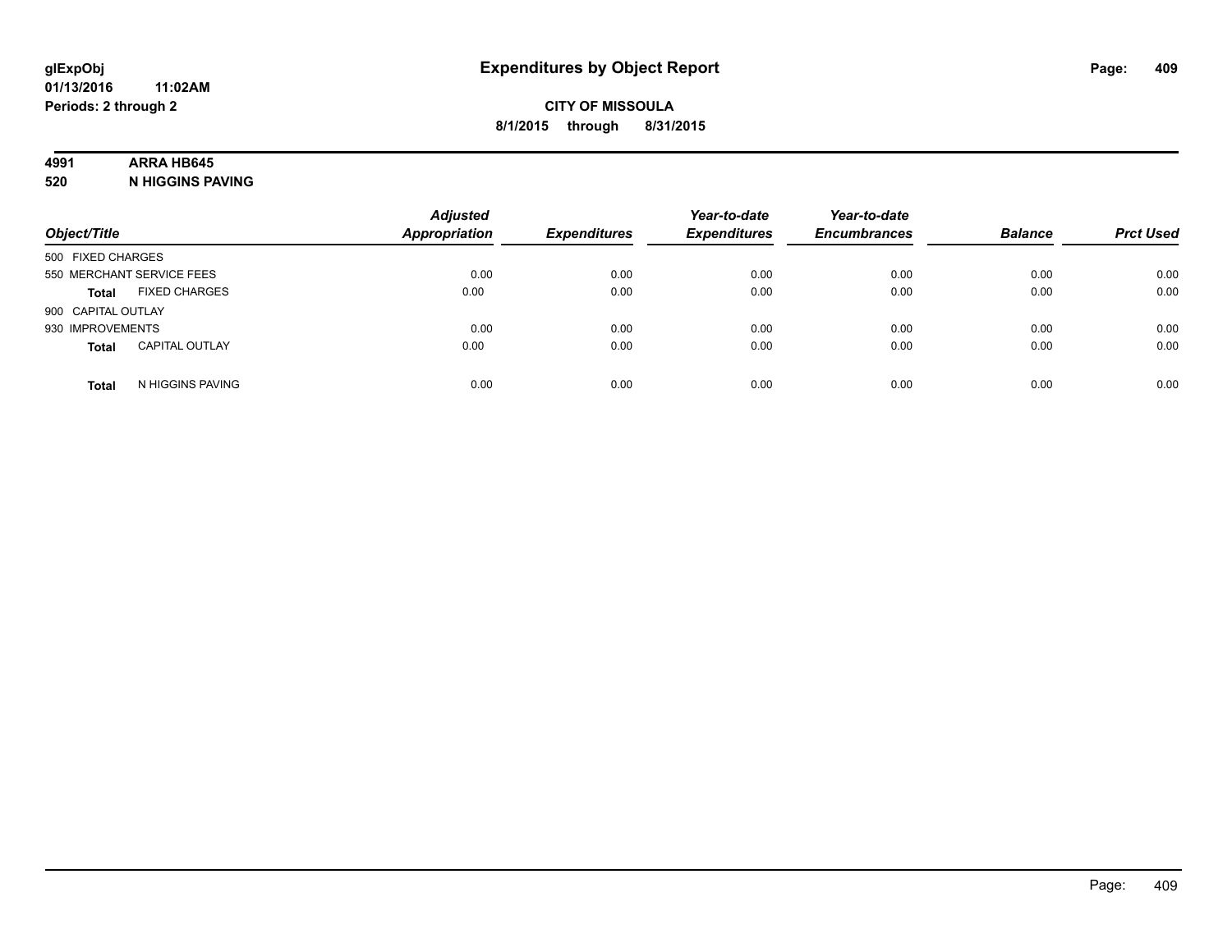## **4991 ARRA HB645**

**520 N HIGGINS PAVING**

| Object/Title              |                       | <b>Adjusted</b><br><b>Appropriation</b> | <b>Expenditures</b> | Year-to-date<br><b>Expenditures</b> | Year-to-date<br><b>Encumbrances</b> | <b>Balance</b> | <b>Prct Used</b> |
|---------------------------|-----------------------|-----------------------------------------|---------------------|-------------------------------------|-------------------------------------|----------------|------------------|
| 500 FIXED CHARGES         |                       |                                         |                     |                                     |                                     |                |                  |
| 550 MERCHANT SERVICE FEES |                       | 0.00                                    | 0.00                | 0.00                                | 0.00                                | 0.00           | 0.00             |
| <b>Total</b>              | <b>FIXED CHARGES</b>  | 0.00                                    | 0.00                | 0.00                                | 0.00                                | 0.00           | 0.00             |
| 900 CAPITAL OUTLAY        |                       |                                         |                     |                                     |                                     |                |                  |
| 930 IMPROVEMENTS          |                       | 0.00                                    | 0.00                | 0.00                                | 0.00                                | 0.00           | 0.00             |
| <b>Total</b>              | <b>CAPITAL OUTLAY</b> | 0.00                                    | 0.00                | 0.00                                | 0.00                                | 0.00           | 0.00             |
| <b>Total</b>              | N HIGGINS PAVING      | 0.00                                    | 0.00                | 0.00                                | 0.00                                | 0.00           | 0.00             |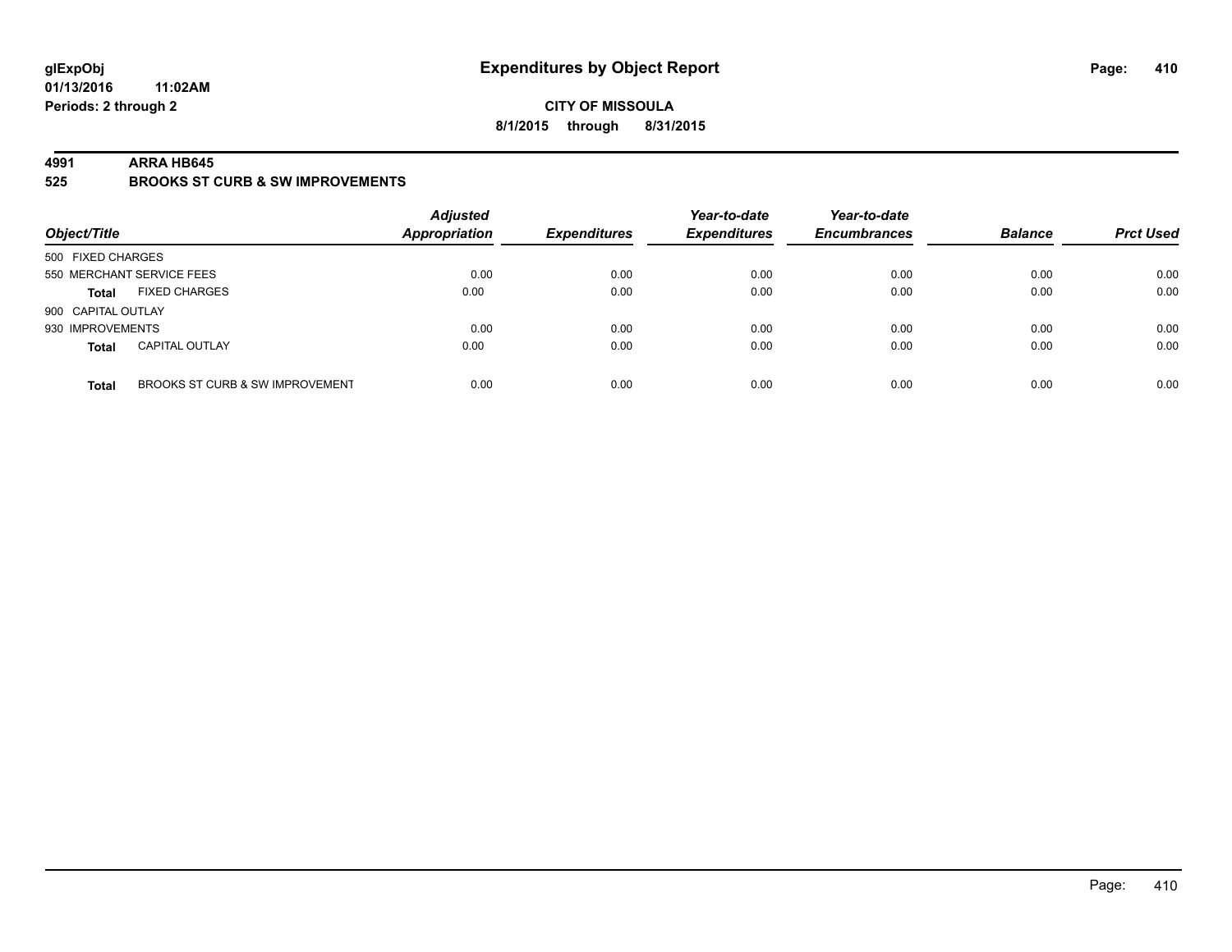#### **CITY OF MISSOULA 8/1/2015 through 8/31/2015**

#### **4991 ARRA HB645**

**525 BROOKS ST CURB & SW IMPROVEMENTS**

| Object/Title       |                                 | <b>Adjusted</b><br><b>Appropriation</b> | <b>Expenditures</b> | Year-to-date<br><b>Expenditures</b> | Year-to-date<br><b>Encumbrances</b> | <b>Balance</b> | <b>Prct Used</b> |
|--------------------|---------------------------------|-----------------------------------------|---------------------|-------------------------------------|-------------------------------------|----------------|------------------|
| 500 FIXED CHARGES  |                                 |                                         |                     |                                     |                                     |                |                  |
|                    | 550 MERCHANT SERVICE FEES       | 0.00                                    | 0.00                | 0.00                                | 0.00                                | 0.00           | 0.00             |
| <b>Total</b>       | <b>FIXED CHARGES</b>            | 0.00                                    | 0.00                | 0.00                                | 0.00                                | 0.00           | 0.00             |
| 900 CAPITAL OUTLAY |                                 |                                         |                     |                                     |                                     |                |                  |
| 930 IMPROVEMENTS   |                                 | 0.00                                    | 0.00                | 0.00                                | 0.00                                | 0.00           | 0.00             |
| <b>Total</b>       | <b>CAPITAL OUTLAY</b>           | 0.00                                    | 0.00                | 0.00                                | 0.00                                | 0.00           | 0.00             |
| <b>Total</b>       | BROOKS ST CURB & SW IMPROVEMENT | 0.00                                    | 0.00                | 0.00                                | 0.00                                | 0.00           | 0.00             |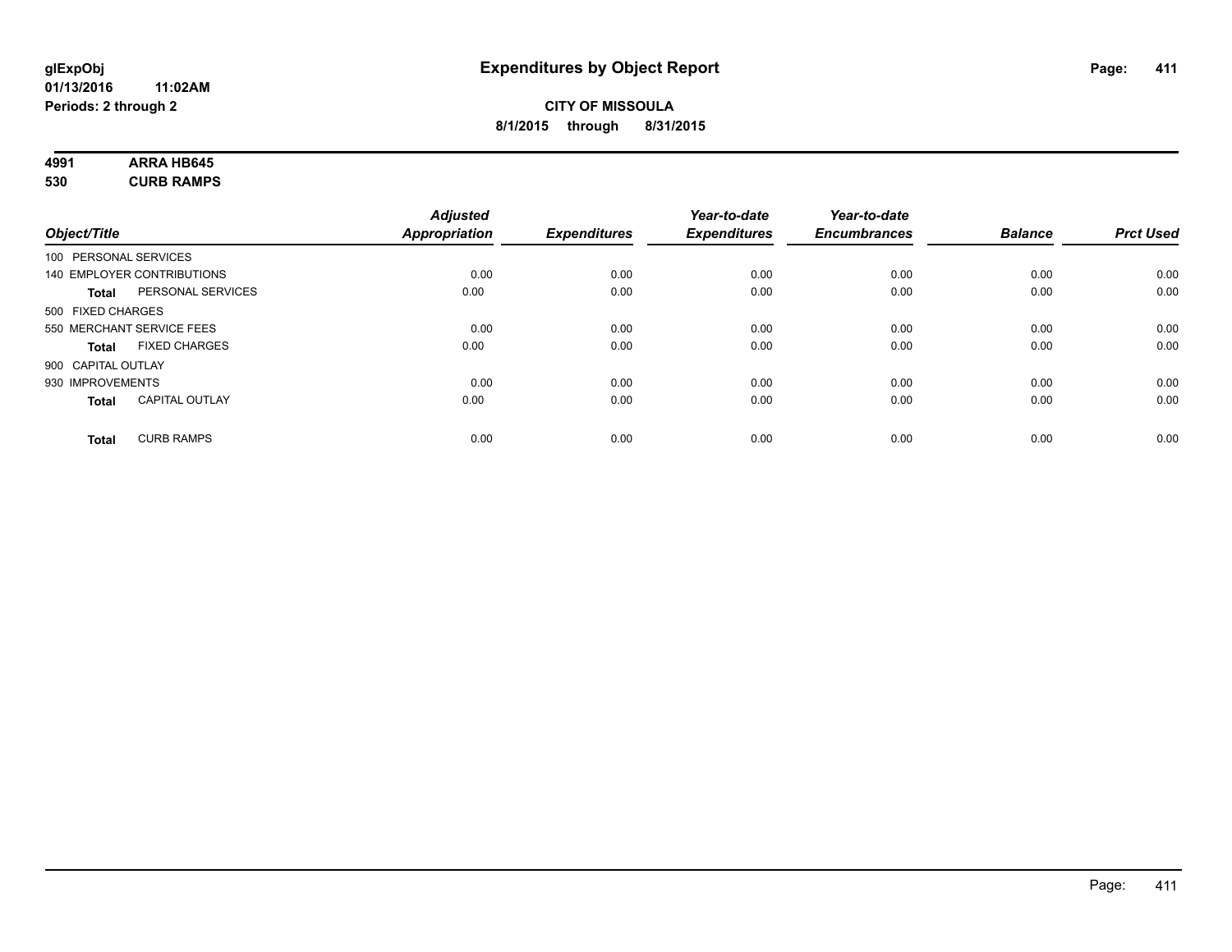# **4991 ARRA HB645**

**530 CURB RAMPS**

|                    |                            | <b>Adjusted</b> |                     | Year-to-date        | Year-to-date        |                |                  |
|--------------------|----------------------------|-----------------|---------------------|---------------------|---------------------|----------------|------------------|
| Object/Title       |                            | Appropriation   | <b>Expenditures</b> | <b>Expenditures</b> | <b>Encumbrances</b> | <b>Balance</b> | <b>Prct Used</b> |
|                    | 100 PERSONAL SERVICES      |                 |                     |                     |                     |                |                  |
|                    | 140 EMPLOYER CONTRIBUTIONS | 0.00            | 0.00                | 0.00                | 0.00                | 0.00           | 0.00             |
| <b>Total</b>       | PERSONAL SERVICES          | 0.00            | 0.00                | 0.00                | 0.00                | 0.00           | 0.00             |
| 500 FIXED CHARGES  |                            |                 |                     |                     |                     |                |                  |
|                    | 550 MERCHANT SERVICE FEES  | 0.00            | 0.00                | 0.00                | 0.00                | 0.00           | 0.00             |
| <b>Total</b>       | <b>FIXED CHARGES</b>       | 0.00            | 0.00                | 0.00                | 0.00                | 0.00           | 0.00             |
| 900 CAPITAL OUTLAY |                            |                 |                     |                     |                     |                |                  |
| 930 IMPROVEMENTS   |                            | 0.00            | 0.00                | 0.00                | 0.00                | 0.00           | 0.00             |
| Total              | <b>CAPITAL OUTLAY</b>      | 0.00            | 0.00                | 0.00                | 0.00                | 0.00           | 0.00             |
| <b>Total</b>       | <b>CURB RAMPS</b>          | 0.00            | 0.00                | 0.00                | 0.00                | 0.00           | 0.00             |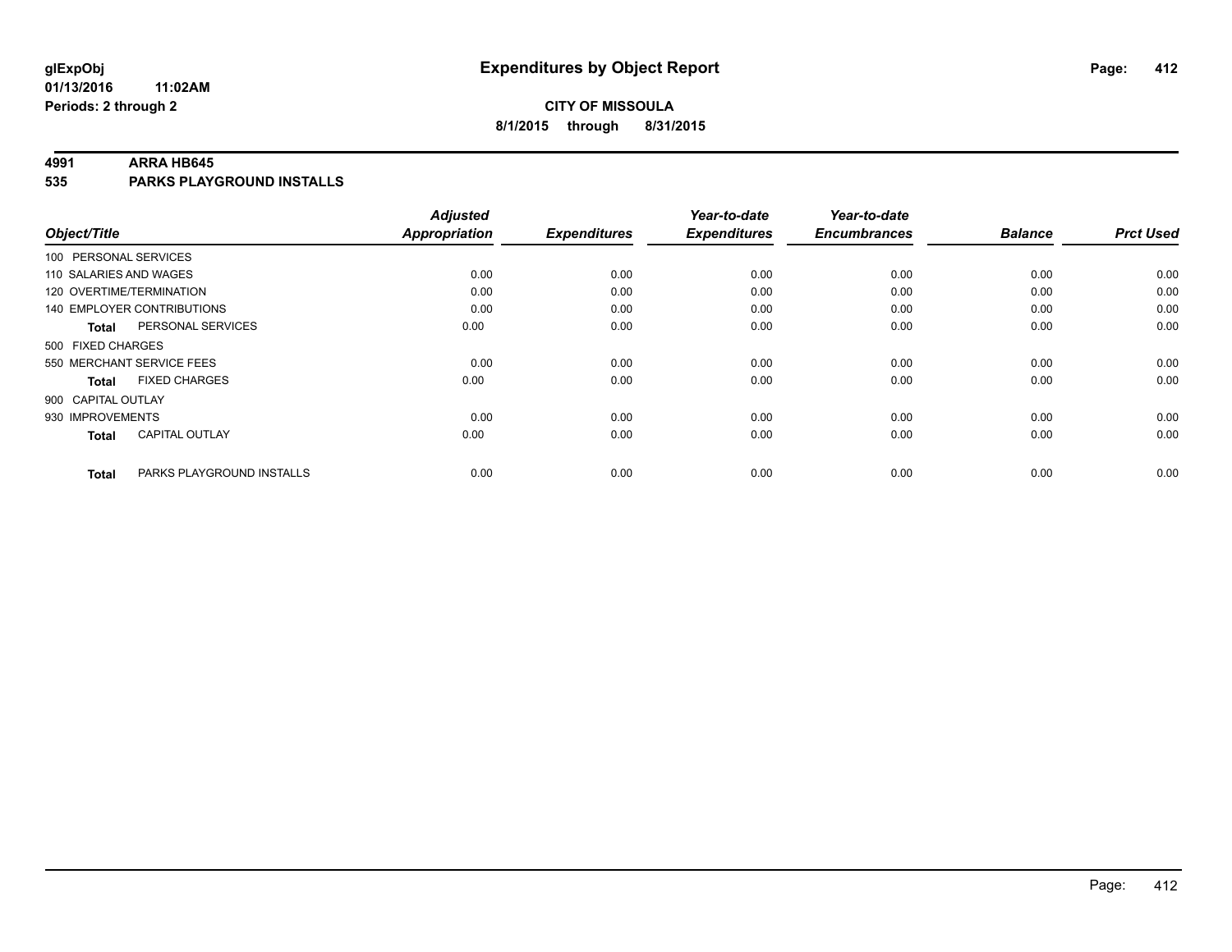## **CITY OF MISSOULA 8/1/2015 through 8/31/2015**

#### **4991 ARRA HB645**

**535 PARKS PLAYGROUND INSTALLS**

| Object/Title              |                                   | <b>Adjusted</b><br><b>Appropriation</b> | <b>Expenditures</b> | Year-to-date<br><b>Expenditures</b> | Year-to-date<br><b>Encumbrances</b> | <b>Balance</b> | <b>Prct Used</b> |
|---------------------------|-----------------------------------|-----------------------------------------|---------------------|-------------------------------------|-------------------------------------|----------------|------------------|
|                           |                                   |                                         |                     |                                     |                                     |                |                  |
| 100 PERSONAL SERVICES     |                                   |                                         |                     |                                     |                                     |                |                  |
| 110 SALARIES AND WAGES    |                                   | 0.00                                    | 0.00                | 0.00                                | 0.00                                | 0.00           | 0.00             |
| 120 OVERTIME/TERMINATION  |                                   | 0.00                                    | 0.00                | 0.00                                | 0.00                                | 0.00           | 0.00             |
|                           | <b>140 EMPLOYER CONTRIBUTIONS</b> | 0.00                                    | 0.00                | 0.00                                | 0.00                                | 0.00           | 0.00             |
| <b>Total</b>              | PERSONAL SERVICES                 | 0.00                                    | 0.00                | 0.00                                | 0.00                                | 0.00           | 0.00             |
| 500 FIXED CHARGES         |                                   |                                         |                     |                                     |                                     |                |                  |
| 550 MERCHANT SERVICE FEES |                                   | 0.00                                    | 0.00                | 0.00                                | 0.00                                | 0.00           | 0.00             |
| <b>Total</b>              | <b>FIXED CHARGES</b>              | 0.00                                    | 0.00                | 0.00                                | 0.00                                | 0.00           | 0.00             |
| 900 CAPITAL OUTLAY        |                                   |                                         |                     |                                     |                                     |                |                  |
| 930 IMPROVEMENTS          |                                   | 0.00                                    | 0.00                | 0.00                                | 0.00                                | 0.00           | 0.00             |
| <b>Total</b>              | <b>CAPITAL OUTLAY</b>             | 0.00                                    | 0.00                | 0.00                                | 0.00                                | 0.00           | 0.00             |
| <b>Total</b>              | PARKS PLAYGROUND INSTALLS         | 0.00                                    | 0.00                | 0.00                                | 0.00                                | 0.00           | 0.00             |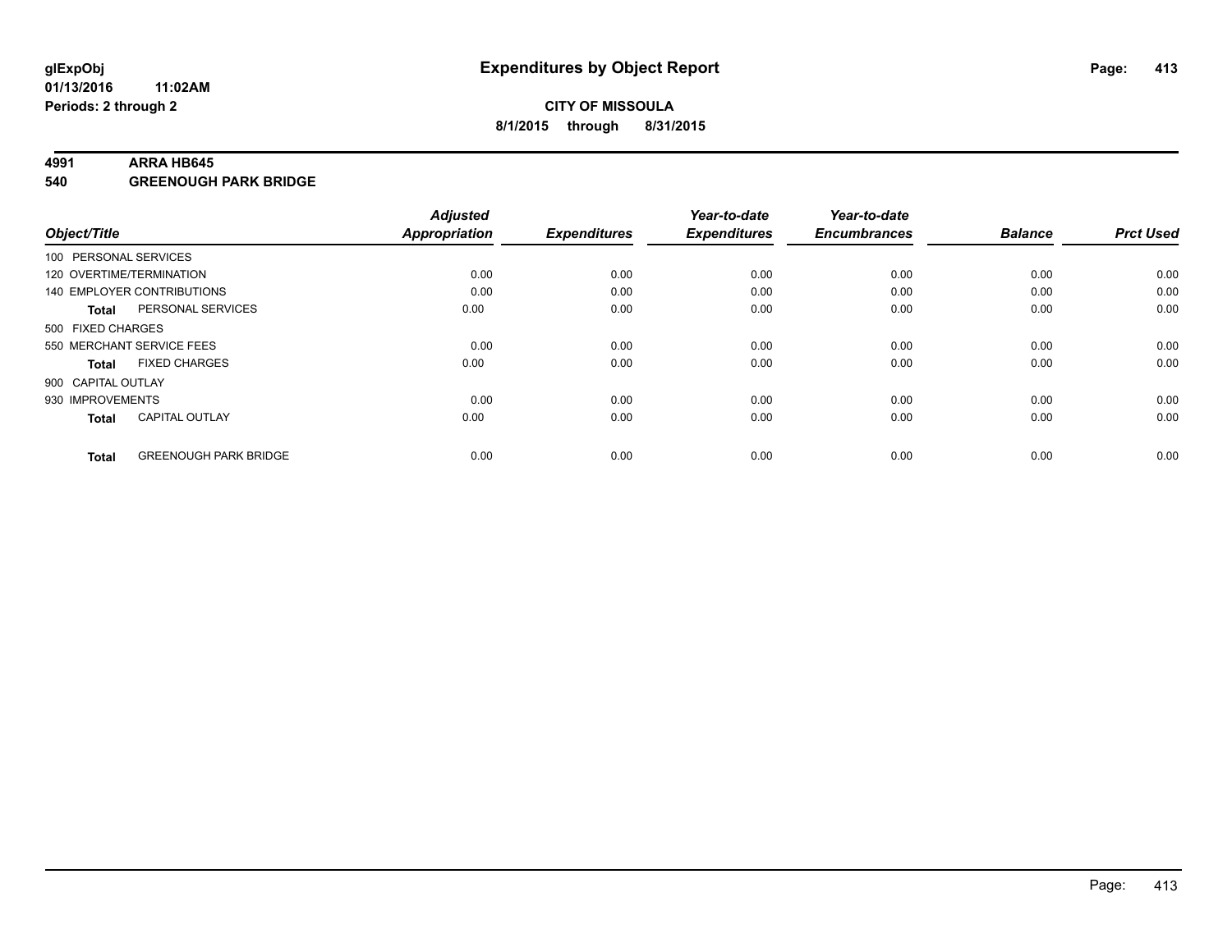#### **4991 ARRA HB645**

**540 GREENOUGH PARK BRIDGE**

| Object/Title       |                              | <b>Adjusted</b><br><b>Appropriation</b> | <b>Expenditures</b> | Year-to-date<br><b>Expenditures</b> | Year-to-date<br><b>Encumbrances</b> | <b>Balance</b> | <b>Prct Used</b> |
|--------------------|------------------------------|-----------------------------------------|---------------------|-------------------------------------|-------------------------------------|----------------|------------------|
|                    | 100 PERSONAL SERVICES        |                                         |                     |                                     |                                     |                |                  |
|                    | 120 OVERTIME/TERMINATION     | 0.00                                    | 0.00                | 0.00                                | 0.00                                | 0.00           | 0.00             |
|                    | 140 EMPLOYER CONTRIBUTIONS   | 0.00                                    | 0.00                | 0.00                                | 0.00                                | 0.00           | 0.00             |
| Total              | PERSONAL SERVICES            | 0.00                                    | 0.00                | 0.00                                | 0.00                                | 0.00           | 0.00             |
| 500 FIXED CHARGES  |                              |                                         |                     |                                     |                                     |                |                  |
|                    | 550 MERCHANT SERVICE FEES    | 0.00                                    | 0.00                | 0.00                                | 0.00                                | 0.00           | 0.00             |
| <b>Total</b>       | <b>FIXED CHARGES</b>         | 0.00                                    | 0.00                | 0.00                                | 0.00                                | 0.00           | 0.00             |
| 900 CAPITAL OUTLAY |                              |                                         |                     |                                     |                                     |                |                  |
| 930 IMPROVEMENTS   |                              | 0.00                                    | 0.00                | 0.00                                | 0.00                                | 0.00           | 0.00             |
| <b>Total</b>       | <b>CAPITAL OUTLAY</b>        | 0.00                                    | 0.00                | 0.00                                | 0.00                                | 0.00           | 0.00             |
| <b>Total</b>       | <b>GREENOUGH PARK BRIDGE</b> | 0.00                                    | 0.00                | 0.00                                | 0.00                                | 0.00           | 0.00             |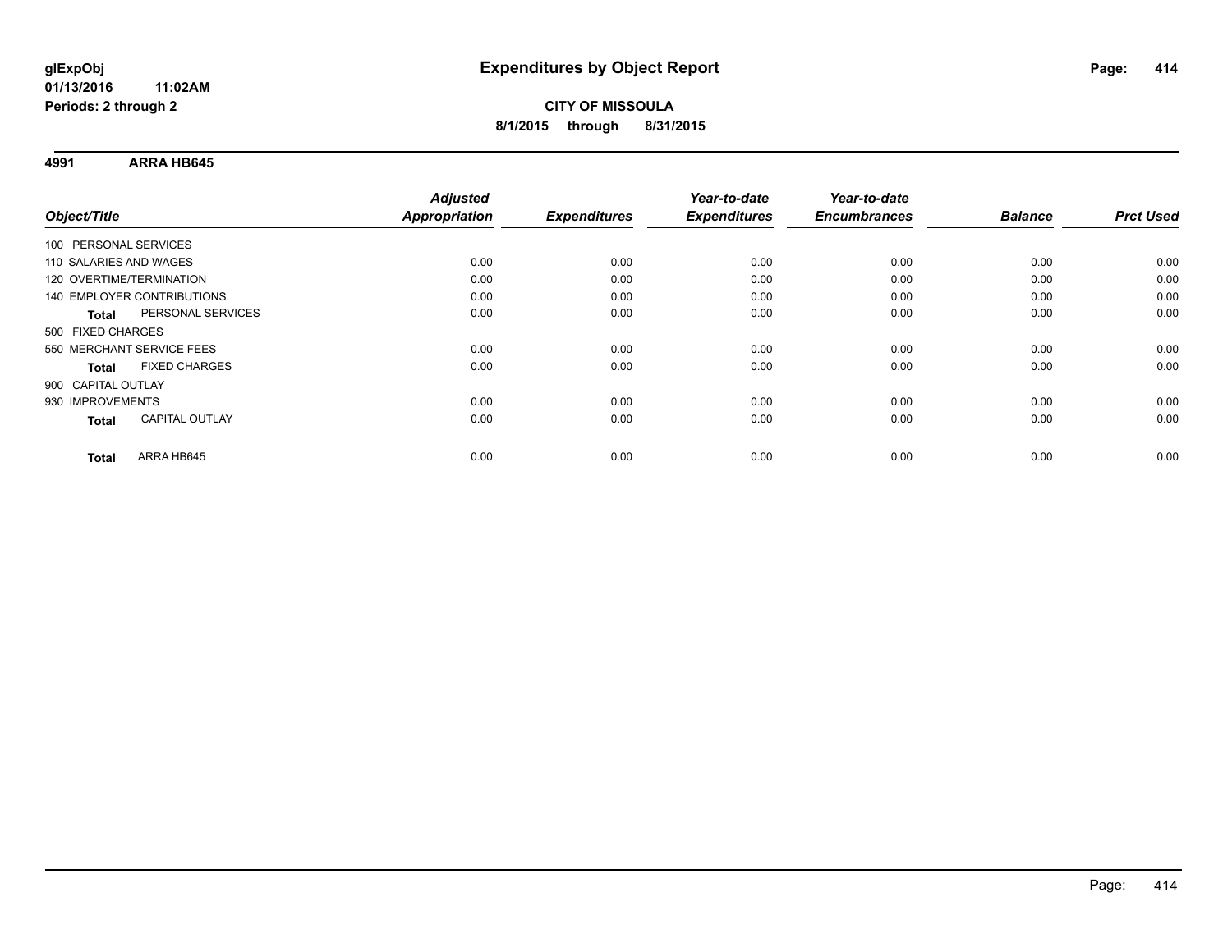**4991 ARRA HB645**

|                                       | <b>Adjusted</b>      |                     | Year-to-date        | Year-to-date        |                |                  |
|---------------------------------------|----------------------|---------------------|---------------------|---------------------|----------------|------------------|
| Object/Title                          | <b>Appropriation</b> | <b>Expenditures</b> | <b>Expenditures</b> | <b>Encumbrances</b> | <b>Balance</b> | <b>Prct Used</b> |
| 100 PERSONAL SERVICES                 |                      |                     |                     |                     |                |                  |
| 110 SALARIES AND WAGES                | 0.00                 | 0.00                | 0.00                | 0.00                | 0.00           | 0.00             |
| 120 OVERTIME/TERMINATION              | 0.00                 | 0.00                | 0.00                | 0.00                | 0.00           | 0.00             |
| <b>140 EMPLOYER CONTRIBUTIONS</b>     | 0.00                 | 0.00                | 0.00                | 0.00                | 0.00           | 0.00             |
| PERSONAL SERVICES<br>Total            | 0.00                 | 0.00                | 0.00                | 0.00                | 0.00           | 0.00             |
| 500 FIXED CHARGES                     |                      |                     |                     |                     |                |                  |
| 550 MERCHANT SERVICE FEES             | 0.00                 | 0.00                | 0.00                | 0.00                | 0.00           | 0.00             |
| <b>FIXED CHARGES</b><br><b>Total</b>  | 0.00                 | 0.00                | 0.00                | 0.00                | 0.00           | 0.00             |
| 900 CAPITAL OUTLAY                    |                      |                     |                     |                     |                |                  |
| 930 IMPROVEMENTS                      | 0.00                 | 0.00                | 0.00                | 0.00                | 0.00           | 0.00             |
| <b>CAPITAL OUTLAY</b><br><b>Total</b> | 0.00                 | 0.00                | 0.00                | 0.00                | 0.00           | 0.00             |
| ARRA HB645<br>Total                   | 0.00                 | 0.00                | 0.00                | 0.00                | 0.00           | 0.00             |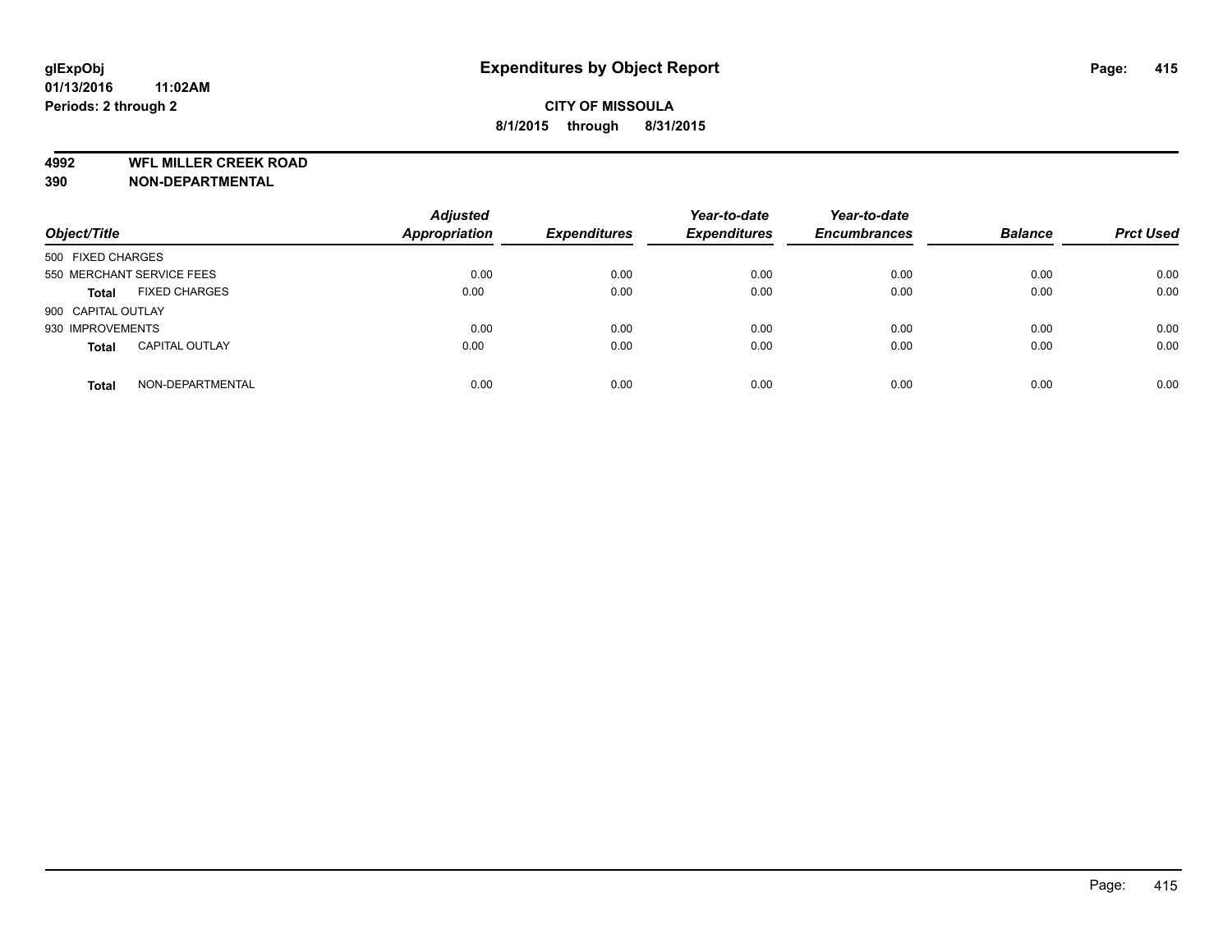**4992 WFL MILLER CREEK ROAD**

**390 NON-DEPARTMENTAL**

| Object/Title              |                       | <b>Adjusted</b><br><b>Appropriation</b> | <b>Expenditures</b> | Year-to-date<br><b>Expenditures</b> | Year-to-date<br><b>Encumbrances</b> | <b>Balance</b> | <b>Prct Used</b> |
|---------------------------|-----------------------|-----------------------------------------|---------------------|-------------------------------------|-------------------------------------|----------------|------------------|
| 500 FIXED CHARGES         |                       |                                         |                     |                                     |                                     |                |                  |
| 550 MERCHANT SERVICE FEES |                       | 0.00                                    | 0.00                | 0.00                                | 0.00                                | 0.00           | 0.00             |
| <b>Total</b>              | <b>FIXED CHARGES</b>  | 0.00                                    | 0.00                | 0.00                                | 0.00                                | 0.00           | 0.00             |
| 900 CAPITAL OUTLAY        |                       |                                         |                     |                                     |                                     |                |                  |
| 930 IMPROVEMENTS          |                       | 0.00                                    | 0.00                | 0.00                                | 0.00                                | 0.00           | 0.00             |
| <b>Total</b>              | <b>CAPITAL OUTLAY</b> | 0.00                                    | 0.00                | 0.00                                | 0.00                                | 0.00           | 0.00             |
| <b>Total</b>              | NON-DEPARTMENTAL      | 0.00                                    | 0.00                | 0.00                                | 0.00                                | 0.00           | 0.00             |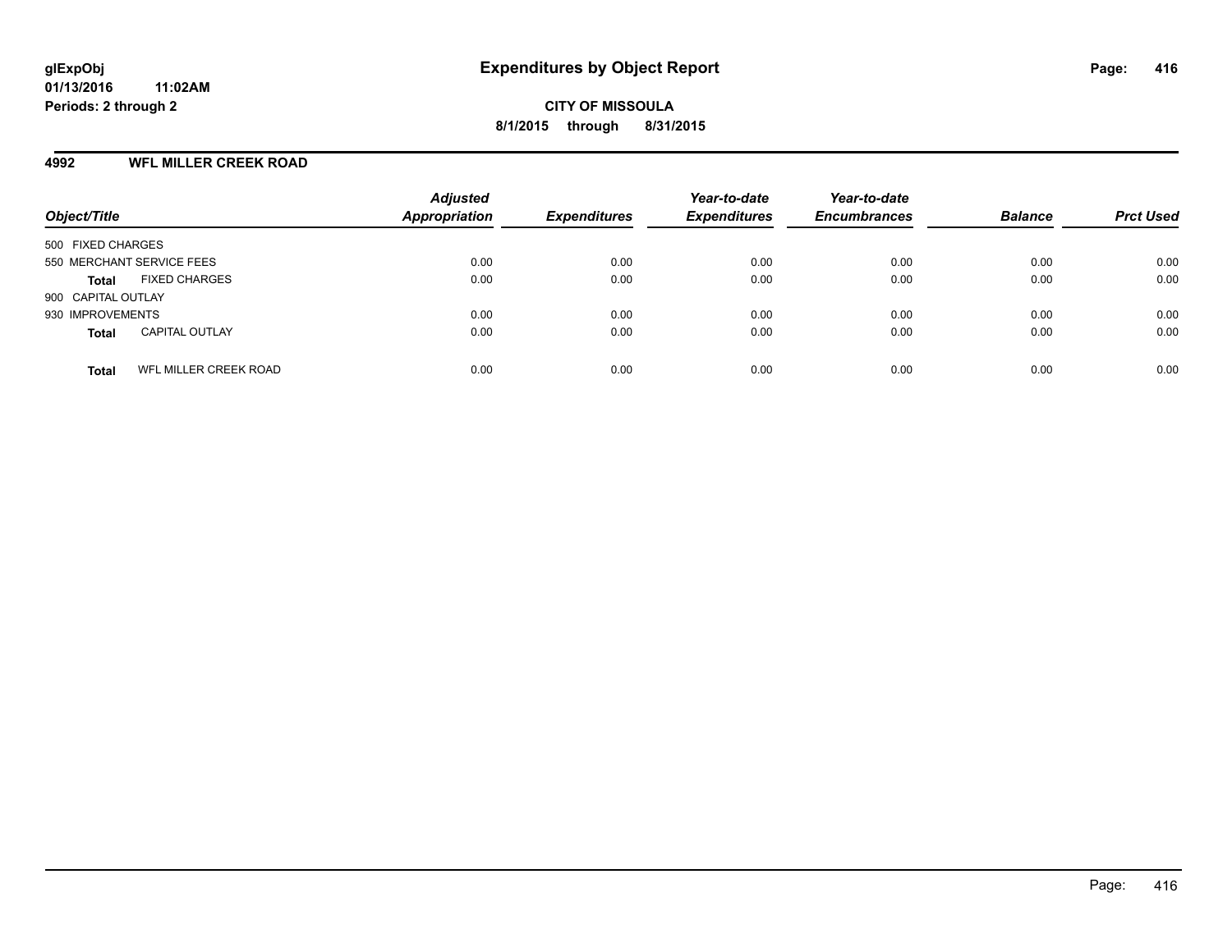#### **4992 WFL MILLER CREEK ROAD**

| Object/Title                          | <b>Adjusted</b><br>Appropriation | <b>Expenditures</b> | Year-to-date<br><b>Expenditures</b> | Year-to-date<br><b>Encumbrances</b> | <b>Balance</b> | <b>Prct Used</b> |
|---------------------------------------|----------------------------------|---------------------|-------------------------------------|-------------------------------------|----------------|------------------|
| 500 FIXED CHARGES                     |                                  |                     |                                     |                                     |                |                  |
| 550 MERCHANT SERVICE FEES             | 0.00                             | 0.00                | 0.00                                | 0.00                                | 0.00           | 0.00             |
| <b>FIXED CHARGES</b><br><b>Total</b>  | 0.00                             | 0.00                | 0.00                                | 0.00                                | 0.00           | 0.00             |
| 900 CAPITAL OUTLAY                    |                                  |                     |                                     |                                     |                |                  |
| 930 IMPROVEMENTS                      | 0.00                             | 0.00                | 0.00                                | 0.00                                | 0.00           | 0.00             |
| <b>CAPITAL OUTLAY</b><br><b>Total</b> | 0.00                             | 0.00                | 0.00                                | 0.00                                | 0.00           | 0.00             |
| WFL MILLER CREEK ROAD<br><b>Total</b> | 0.00                             | 0.00                | 0.00                                | 0.00                                | 0.00           | 0.00             |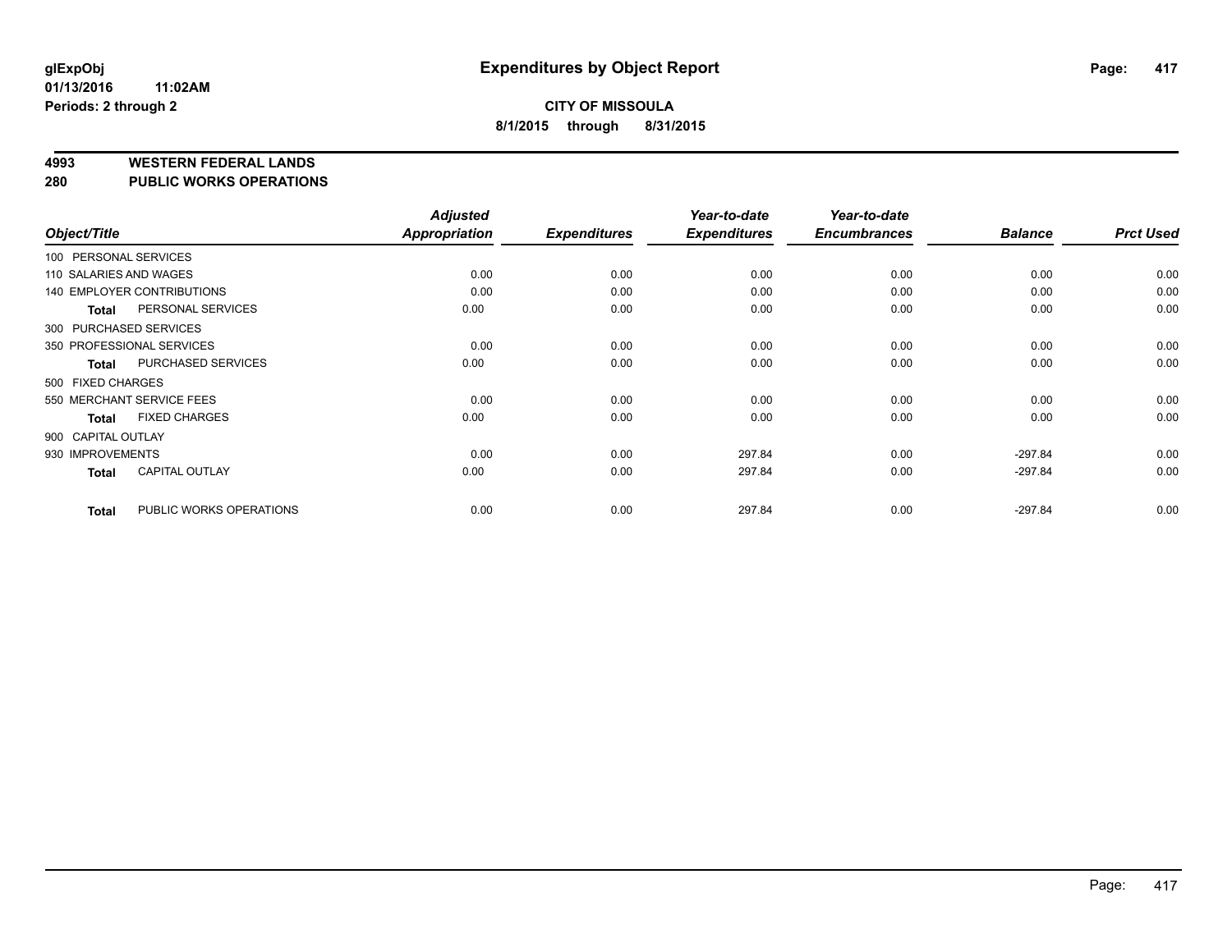#### **4993 WESTERN FEDERAL LANDS**

**280 PUBLIC WORKS OPERATIONS**

|                        |                                   | <b>Adjusted</b> |                     | Year-to-date        | Year-to-date        |                |                  |
|------------------------|-----------------------------------|-----------------|---------------------|---------------------|---------------------|----------------|------------------|
| Object/Title           |                                   | Appropriation   | <b>Expenditures</b> | <b>Expenditures</b> | <b>Encumbrances</b> | <b>Balance</b> | <b>Prct Used</b> |
| 100 PERSONAL SERVICES  |                                   |                 |                     |                     |                     |                |                  |
| 110 SALARIES AND WAGES |                                   | 0.00            | 0.00                | 0.00                | 0.00                | 0.00           | 0.00             |
|                        | <b>140 EMPLOYER CONTRIBUTIONS</b> | 0.00            | 0.00                | 0.00                | 0.00                | 0.00           | 0.00             |
| <b>Total</b>           | PERSONAL SERVICES                 | 0.00            | 0.00                | 0.00                | 0.00                | 0.00           | 0.00             |
|                        | 300 PURCHASED SERVICES            |                 |                     |                     |                     |                |                  |
|                        | 350 PROFESSIONAL SERVICES         | 0.00            | 0.00                | 0.00                | 0.00                | 0.00           | 0.00             |
| <b>Total</b>           | PURCHASED SERVICES                | 0.00            | 0.00                | 0.00                | 0.00                | 0.00           | 0.00             |
| 500 FIXED CHARGES      |                                   |                 |                     |                     |                     |                |                  |
|                        | 550 MERCHANT SERVICE FEES         | 0.00            | 0.00                | 0.00                | 0.00                | 0.00           | 0.00             |
| <b>Total</b>           | <b>FIXED CHARGES</b>              | 0.00            | 0.00                | 0.00                | 0.00                | 0.00           | 0.00             |
| 900 CAPITAL OUTLAY     |                                   |                 |                     |                     |                     |                |                  |
| 930 IMPROVEMENTS       |                                   | 0.00            | 0.00                | 297.84              | 0.00                | $-297.84$      | 0.00             |
| <b>Total</b>           | <b>CAPITAL OUTLAY</b>             | 0.00            | 0.00                | 297.84              | 0.00                | $-297.84$      | 0.00             |
| <b>Total</b>           | PUBLIC WORKS OPERATIONS           | 0.00            | 0.00                | 297.84              | 0.00                | $-297.84$      | 0.00             |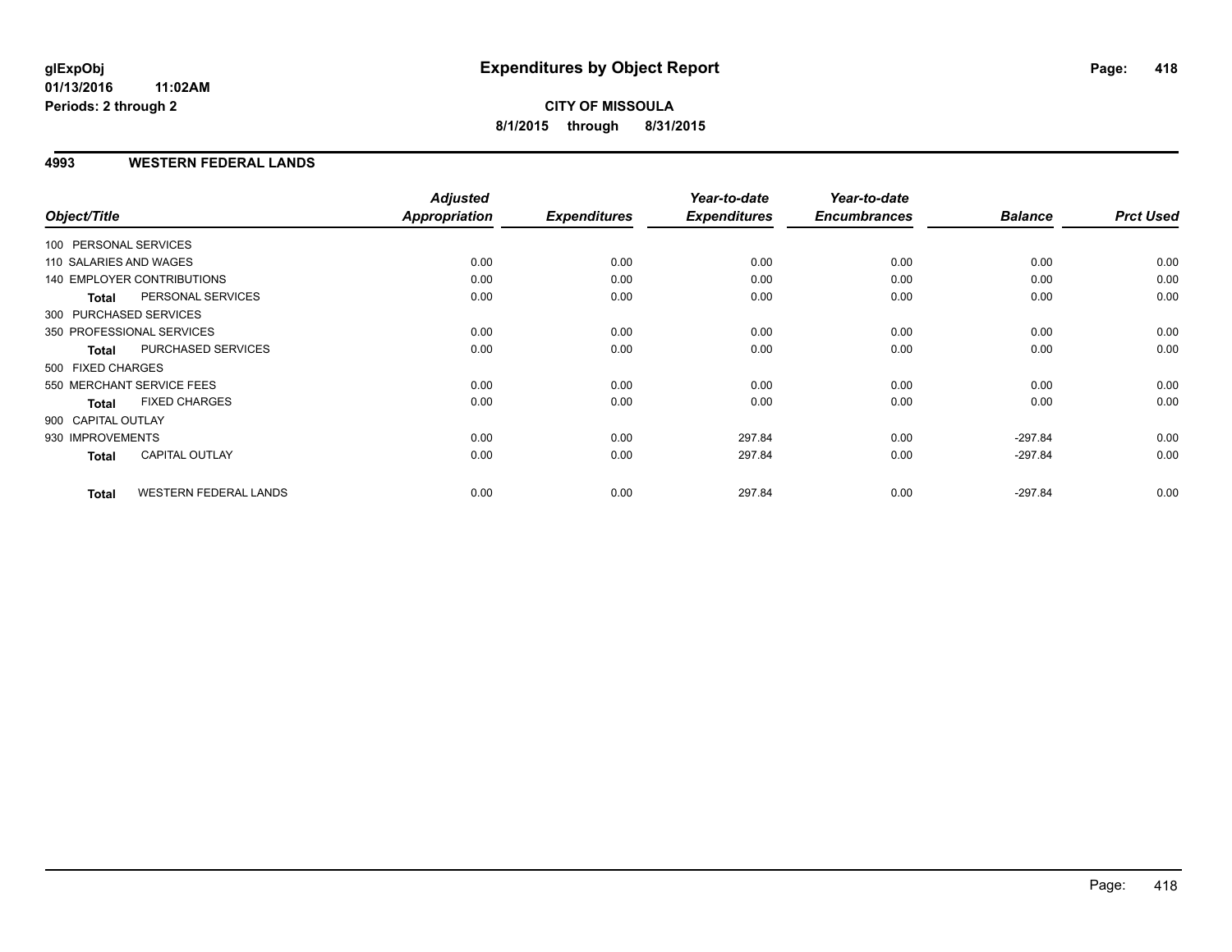#### **4993 WESTERN FEDERAL LANDS**

|                        |                                   | <b>Adjusted</b>      |                     | Year-to-date        | Year-to-date        |                |                  |
|------------------------|-----------------------------------|----------------------|---------------------|---------------------|---------------------|----------------|------------------|
| Object/Title           |                                   | <b>Appropriation</b> | <b>Expenditures</b> | <b>Expenditures</b> | <b>Encumbrances</b> | <b>Balance</b> | <b>Prct Used</b> |
| 100 PERSONAL SERVICES  |                                   |                      |                     |                     |                     |                |                  |
| 110 SALARIES AND WAGES |                                   | 0.00                 | 0.00                | 0.00                | 0.00                | 0.00           | 0.00             |
|                        | <b>140 EMPLOYER CONTRIBUTIONS</b> | 0.00                 | 0.00                | 0.00                | 0.00                | 0.00           | 0.00             |
| <b>Total</b>           | PERSONAL SERVICES                 | 0.00                 | 0.00                | 0.00                | 0.00                | 0.00           | 0.00             |
|                        | 300 PURCHASED SERVICES            |                      |                     |                     |                     |                |                  |
|                        | 350 PROFESSIONAL SERVICES         | 0.00                 | 0.00                | 0.00                | 0.00                | 0.00           | 0.00             |
| <b>Total</b>           | PURCHASED SERVICES                | 0.00                 | 0.00                | 0.00                | 0.00                | 0.00           | 0.00             |
| 500 FIXED CHARGES      |                                   |                      |                     |                     |                     |                |                  |
|                        | 550 MERCHANT SERVICE FEES         | 0.00                 | 0.00                | 0.00                | 0.00                | 0.00           | 0.00             |
| <b>Total</b>           | <b>FIXED CHARGES</b>              | 0.00                 | 0.00                | 0.00                | 0.00                | 0.00           | 0.00             |
| 900 CAPITAL OUTLAY     |                                   |                      |                     |                     |                     |                |                  |
| 930 IMPROVEMENTS       |                                   | 0.00                 | 0.00                | 297.84              | 0.00                | $-297.84$      | 0.00             |
| Total                  | <b>CAPITAL OUTLAY</b>             | 0.00                 | 0.00                | 297.84              | 0.00                | $-297.84$      | 0.00             |
| <b>Total</b>           | <b>WESTERN FEDERAL LANDS</b>      | 0.00                 | 0.00                | 297.84              | 0.00                | $-297.84$      | 0.00             |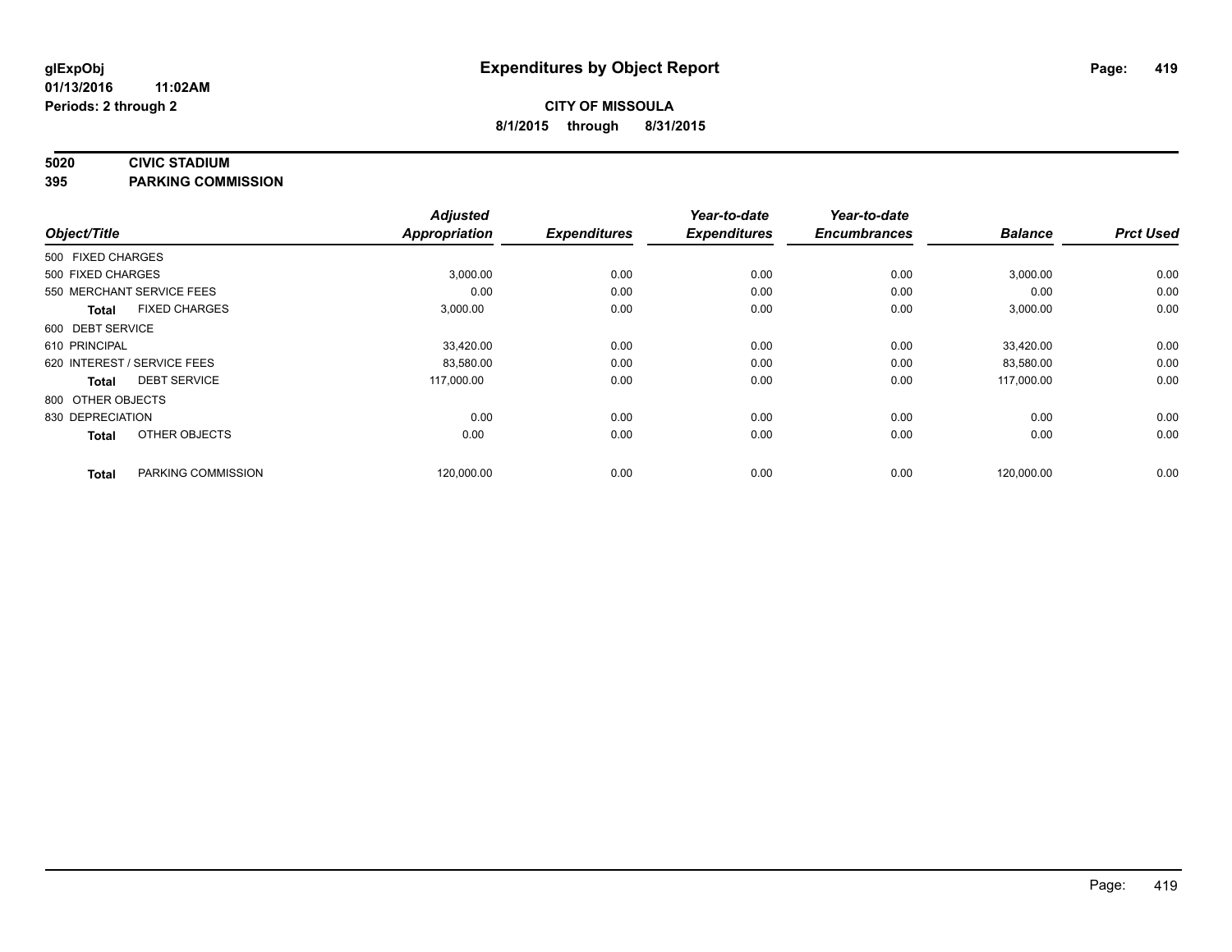#### **5020 CIVIC STADIUM**

**395 PARKING COMMISSION**

| Object/Title                         | <b>Adjusted</b><br><b>Appropriation</b> | <b>Expenditures</b> | Year-to-date<br><b>Expenditures</b> | Year-to-date<br><b>Encumbrances</b> | <b>Balance</b> | <b>Prct Used</b> |
|--------------------------------------|-----------------------------------------|---------------------|-------------------------------------|-------------------------------------|----------------|------------------|
|                                      |                                         |                     |                                     |                                     |                |                  |
| 500 FIXED CHARGES                    |                                         |                     |                                     |                                     |                |                  |
| 500 FIXED CHARGES                    | 3,000.00                                | 0.00                | 0.00                                | 0.00                                | 3,000.00       | 0.00             |
| 550 MERCHANT SERVICE FEES            | 0.00                                    | 0.00                | 0.00                                | 0.00                                | 0.00           | 0.00             |
| <b>FIXED CHARGES</b><br><b>Total</b> | 3,000.00                                | 0.00                | 0.00                                | 0.00                                | 3,000.00       | 0.00             |
| 600 DEBT SERVICE                     |                                         |                     |                                     |                                     |                |                  |
| 610 PRINCIPAL                        | 33,420.00                               | 0.00                | 0.00                                | 0.00                                | 33,420.00      | 0.00             |
| 620 INTEREST / SERVICE FEES          | 83,580.00                               | 0.00                | 0.00                                | 0.00                                | 83.580.00      | 0.00             |
| <b>DEBT SERVICE</b><br>Total         | 117,000.00                              | 0.00                | 0.00                                | 0.00                                | 117,000.00     | 0.00             |
| 800 OTHER OBJECTS                    |                                         |                     |                                     |                                     |                |                  |
| 830 DEPRECIATION                     | 0.00                                    | 0.00                | 0.00                                | 0.00                                | 0.00           | 0.00             |
| OTHER OBJECTS<br><b>Total</b>        | 0.00                                    | 0.00                | 0.00                                | 0.00                                | 0.00           | 0.00             |
| PARKING COMMISSION<br><b>Total</b>   | 120,000.00                              | 0.00                | 0.00                                | 0.00                                | 120,000.00     | 0.00             |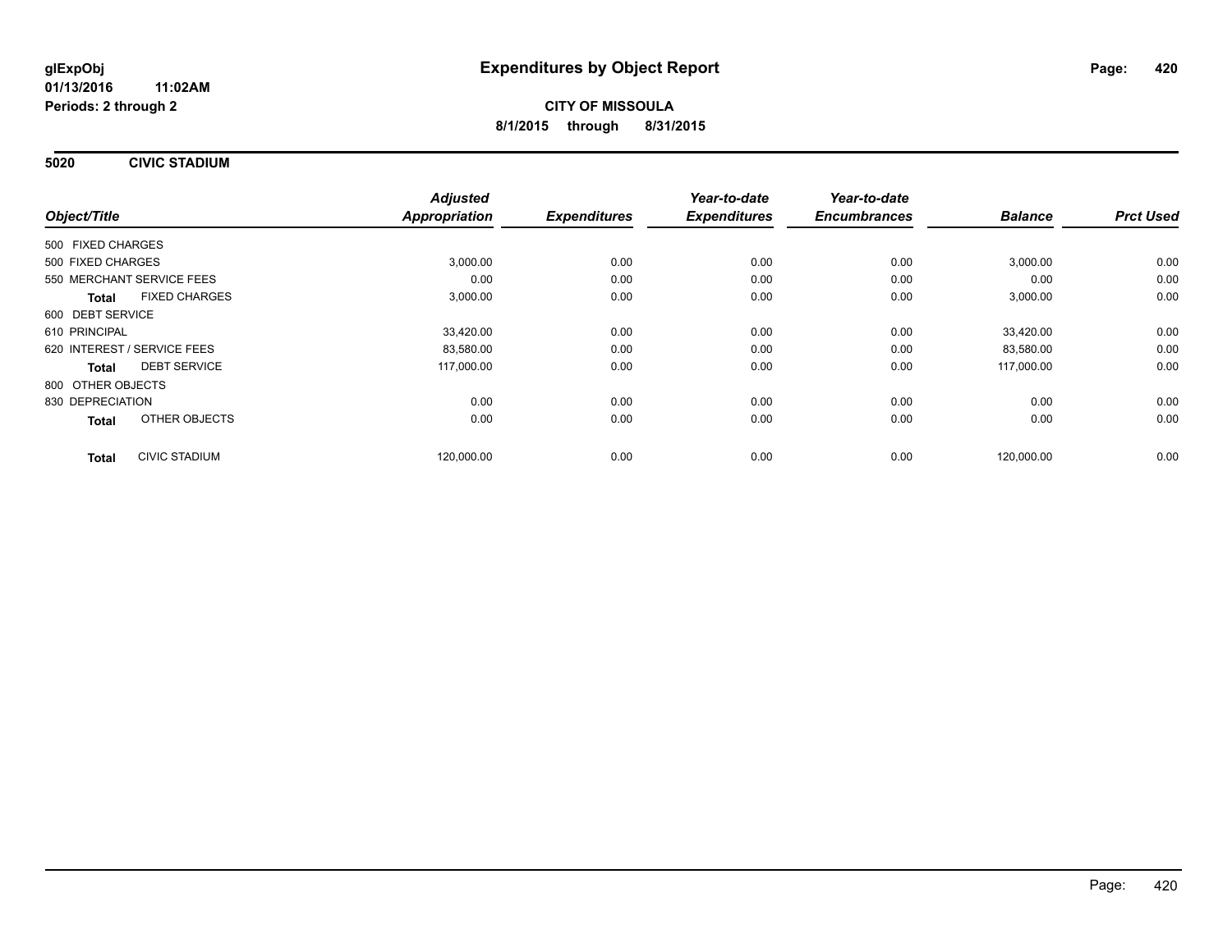**5020 CIVIC STADIUM**

|                                      | <b>Adjusted</b> |                     | Year-to-date        | Year-to-date        |                |                  |
|--------------------------------------|-----------------|---------------------|---------------------|---------------------|----------------|------------------|
| Object/Title                         | Appropriation   | <b>Expenditures</b> | <b>Expenditures</b> | <b>Encumbrances</b> | <b>Balance</b> | <b>Prct Used</b> |
| 500 FIXED CHARGES                    |                 |                     |                     |                     |                |                  |
| 500 FIXED CHARGES                    | 3,000.00        | 0.00                | 0.00                | 0.00                | 3,000.00       | 0.00             |
| 550 MERCHANT SERVICE FEES            | 0.00            | 0.00                | 0.00                | 0.00                | 0.00           | 0.00             |
| <b>FIXED CHARGES</b><br><b>Total</b> | 3,000.00        | 0.00                | 0.00                | 0.00                | 3,000.00       | 0.00             |
| 600 DEBT SERVICE                     |                 |                     |                     |                     |                |                  |
| 610 PRINCIPAL                        | 33,420.00       | 0.00                | 0.00                | 0.00                | 33.420.00      | 0.00             |
| 620 INTEREST / SERVICE FEES          | 83,580.00       | 0.00                | 0.00                | 0.00                | 83,580.00      | 0.00             |
| <b>DEBT SERVICE</b><br>Total         | 117,000.00      | 0.00                | 0.00                | 0.00                | 117,000.00     | 0.00             |
| 800 OTHER OBJECTS                    |                 |                     |                     |                     |                |                  |
| 830 DEPRECIATION                     | 0.00            | 0.00                | 0.00                | 0.00                | 0.00           | 0.00             |
| OTHER OBJECTS<br><b>Total</b>        | 0.00            | 0.00                | 0.00                | 0.00                | 0.00           | 0.00             |
| <b>CIVIC STADIUM</b><br><b>Total</b> | 120,000.00      | 0.00                | 0.00                | 0.00                | 120,000.00     | 0.00             |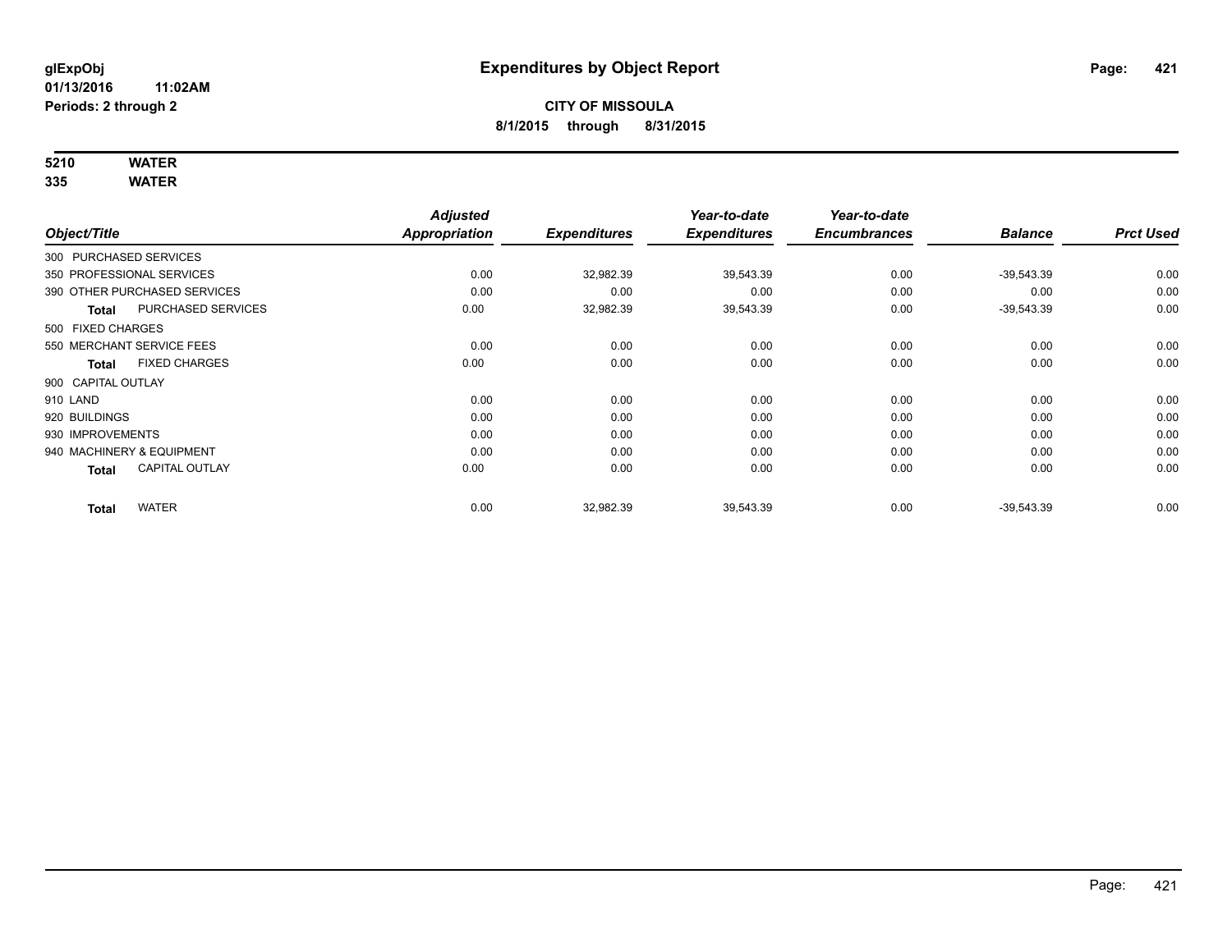## **5210 WATER**

|                           |                              | <b>Adjusted</b>      |                     | Year-to-date        | Year-to-date        |                |                  |
|---------------------------|------------------------------|----------------------|---------------------|---------------------|---------------------|----------------|------------------|
| Object/Title              |                              | <b>Appropriation</b> | <b>Expenditures</b> | <b>Expenditures</b> | <b>Encumbrances</b> | <b>Balance</b> | <b>Prct Used</b> |
| 300 PURCHASED SERVICES    |                              |                      |                     |                     |                     |                |                  |
| 350 PROFESSIONAL SERVICES |                              | 0.00                 | 32,982.39           | 39,543.39           | 0.00                | $-39,543.39$   | 0.00             |
|                           | 390 OTHER PURCHASED SERVICES | 0.00                 | 0.00                | 0.00                | 0.00                | 0.00           | 0.00             |
| <b>Total</b>              | PURCHASED SERVICES           | 0.00                 | 32,982.39           | 39,543.39           | 0.00                | $-39,543.39$   | 0.00             |
| 500 FIXED CHARGES         |                              |                      |                     |                     |                     |                |                  |
| 550 MERCHANT SERVICE FEES |                              | 0.00                 | 0.00                | 0.00                | 0.00                | 0.00           | 0.00             |
| <b>Total</b>              | <b>FIXED CHARGES</b>         | 0.00                 | 0.00                | 0.00                | 0.00                | 0.00           | 0.00             |
| 900 CAPITAL OUTLAY        |                              |                      |                     |                     |                     |                |                  |
| 910 LAND                  |                              | 0.00                 | 0.00                | 0.00                | 0.00                | 0.00           | 0.00             |
| 920 BUILDINGS             |                              | 0.00                 | 0.00                | 0.00                | 0.00                | 0.00           | 0.00             |
| 930 IMPROVEMENTS          |                              | 0.00                 | 0.00                | 0.00                | 0.00                | 0.00           | 0.00             |
| 940 MACHINERY & EQUIPMENT |                              | 0.00                 | 0.00                | 0.00                | 0.00                | 0.00           | 0.00             |
| <b>Total</b>              | <b>CAPITAL OUTLAY</b>        | 0.00                 | 0.00                | 0.00                | 0.00                | 0.00           | 0.00             |
| <b>Total</b>              | <b>WATER</b>                 | 0.00                 | 32,982.39           | 39,543.39           | 0.00                | $-39,543.39$   | 0.00             |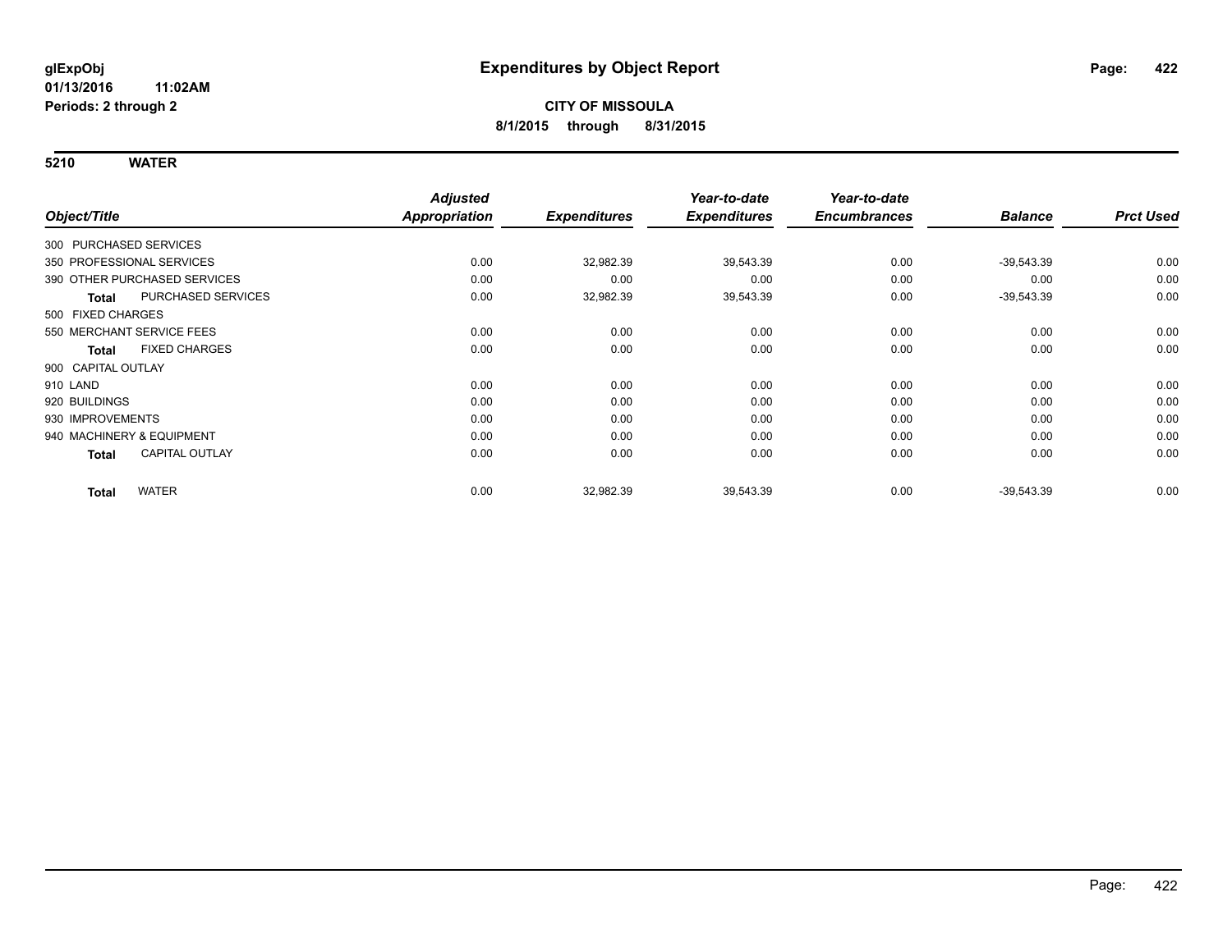|                        |                              | <b>Adjusted</b>      |                     | Year-to-date        | Year-to-date        |                |                  |
|------------------------|------------------------------|----------------------|---------------------|---------------------|---------------------|----------------|------------------|
| Object/Title           |                              | <b>Appropriation</b> | <b>Expenditures</b> | <b>Expenditures</b> | <b>Encumbrances</b> | <b>Balance</b> | <b>Prct Used</b> |
| 300 PURCHASED SERVICES |                              |                      |                     |                     |                     |                |                  |
|                        | 350 PROFESSIONAL SERVICES    | 0.00                 | 32,982.39           | 39,543.39           | 0.00                | $-39,543.39$   | 0.00             |
|                        | 390 OTHER PURCHASED SERVICES | 0.00                 | 0.00                | 0.00                | 0.00                | 0.00           | 0.00             |
| <b>Total</b>           | PURCHASED SERVICES           | 0.00                 | 32,982.39           | 39,543.39           | 0.00                | $-39,543.39$   | 0.00             |
| 500 FIXED CHARGES      |                              |                      |                     |                     |                     |                |                  |
|                        | 550 MERCHANT SERVICE FEES    | 0.00                 | 0.00                | 0.00                | 0.00                | 0.00           | 0.00             |
| <b>Total</b>           | <b>FIXED CHARGES</b>         | 0.00                 | 0.00                | 0.00                | 0.00                | 0.00           | 0.00             |
| 900 CAPITAL OUTLAY     |                              |                      |                     |                     |                     |                |                  |
| 910 LAND               |                              | 0.00                 | 0.00                | 0.00                | 0.00                | 0.00           | 0.00             |
| 920 BUILDINGS          |                              | 0.00                 | 0.00                | 0.00                | 0.00                | 0.00           | 0.00             |
| 930 IMPROVEMENTS       |                              | 0.00                 | 0.00                | 0.00                | 0.00                | 0.00           | 0.00             |
|                        | 940 MACHINERY & EQUIPMENT    | 0.00                 | 0.00                | 0.00                | 0.00                | 0.00           | 0.00             |
| <b>Total</b>           | CAPITAL OUTLAY               | 0.00                 | 0.00                | 0.00                | 0.00                | 0.00           | 0.00             |
| <b>Total</b>           | <b>WATER</b>                 | 0.00                 | 32,982.39           | 39,543.39           | 0.00                | $-39,543.39$   | 0.00             |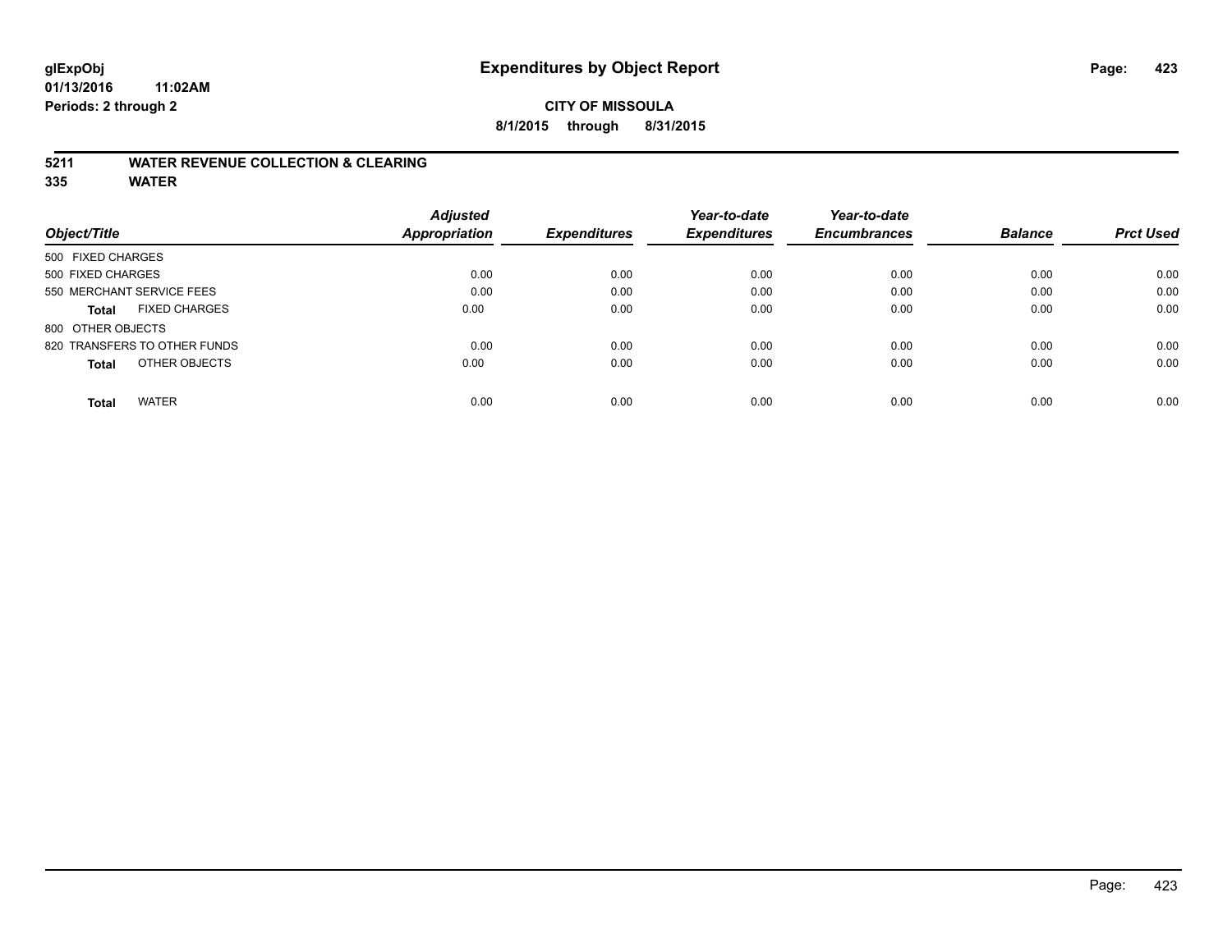## **CITY OF MISSOULA 8/1/2015 through 8/31/2015**

#### **5211 WATER REVENUE COLLECTION & CLEARING**

|                                      | <b>Adjusted</b> |                     | Year-to-date        | Year-to-date        |                |                  |
|--------------------------------------|-----------------|---------------------|---------------------|---------------------|----------------|------------------|
| Object/Title                         | Appropriation   | <b>Expenditures</b> | <b>Expenditures</b> | <b>Encumbrances</b> | <b>Balance</b> | <b>Prct Used</b> |
| 500 FIXED CHARGES                    |                 |                     |                     |                     |                |                  |
| 500 FIXED CHARGES                    | 0.00            | 0.00                | 0.00                | 0.00                | 0.00           | 0.00             |
| 550 MERCHANT SERVICE FEES            | 0.00            | 0.00                | 0.00                | 0.00                | 0.00           | 0.00             |
| <b>FIXED CHARGES</b><br><b>Total</b> | 0.00            | 0.00                | 0.00                | 0.00                | 0.00           | 0.00             |
| 800 OTHER OBJECTS                    |                 |                     |                     |                     |                |                  |
| 820 TRANSFERS TO OTHER FUNDS         | 0.00            | 0.00                | 0.00                | 0.00                | 0.00           | 0.00             |
| OTHER OBJECTS<br><b>Total</b>        | 0.00            | 0.00                | 0.00                | 0.00                | 0.00           | 0.00             |
| <b>WATER</b><br><b>Total</b>         | 0.00            | 0.00                | 0.00                | 0.00                | 0.00           | 0.00             |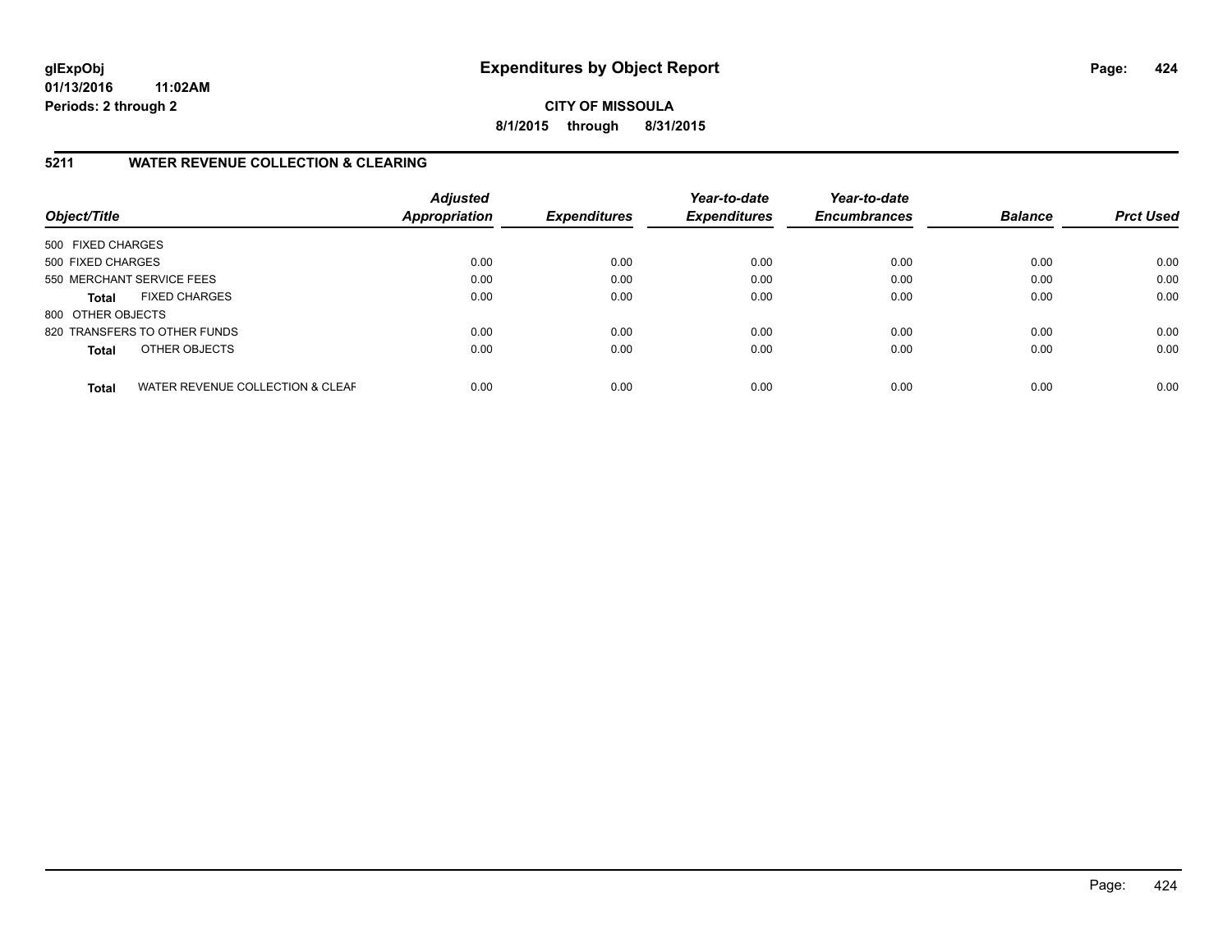**CITY OF MISSOULA 8/1/2015 through 8/31/2015**

## **5211 WATER REVENUE COLLECTION & CLEARING**

| Object/Title              |                                  | <b>Adjusted</b><br>Appropriation | <b>Expenditures</b> | Year-to-date<br><b>Expenditures</b> | Year-to-date<br><b>Encumbrances</b> | <b>Balance</b> | <b>Prct Used</b> |
|---------------------------|----------------------------------|----------------------------------|---------------------|-------------------------------------|-------------------------------------|----------------|------------------|
| 500 FIXED CHARGES         |                                  |                                  |                     |                                     |                                     |                |                  |
| 500 FIXED CHARGES         |                                  | 0.00                             | 0.00                | 0.00                                | 0.00                                | 0.00           | 0.00             |
| 550 MERCHANT SERVICE FEES |                                  | 0.00                             | 0.00                | 0.00                                | 0.00                                | 0.00           | 0.00             |
| <b>Total</b>              | <b>FIXED CHARGES</b>             | 0.00                             | 0.00                | 0.00                                | 0.00                                | 0.00           | 0.00             |
| 800 OTHER OBJECTS         |                                  |                                  |                     |                                     |                                     |                |                  |
|                           | 820 TRANSFERS TO OTHER FUNDS     | 0.00                             | 0.00                | 0.00                                | 0.00                                | 0.00           | 0.00             |
| <b>Total</b>              | OTHER OBJECTS                    | 0.00                             | 0.00                | 0.00                                | 0.00                                | 0.00           | 0.00             |
| <b>Total</b>              | WATER REVENUE COLLECTION & CLEAF | 0.00                             | 0.00                | 0.00                                | 0.00                                | 0.00           | 0.00             |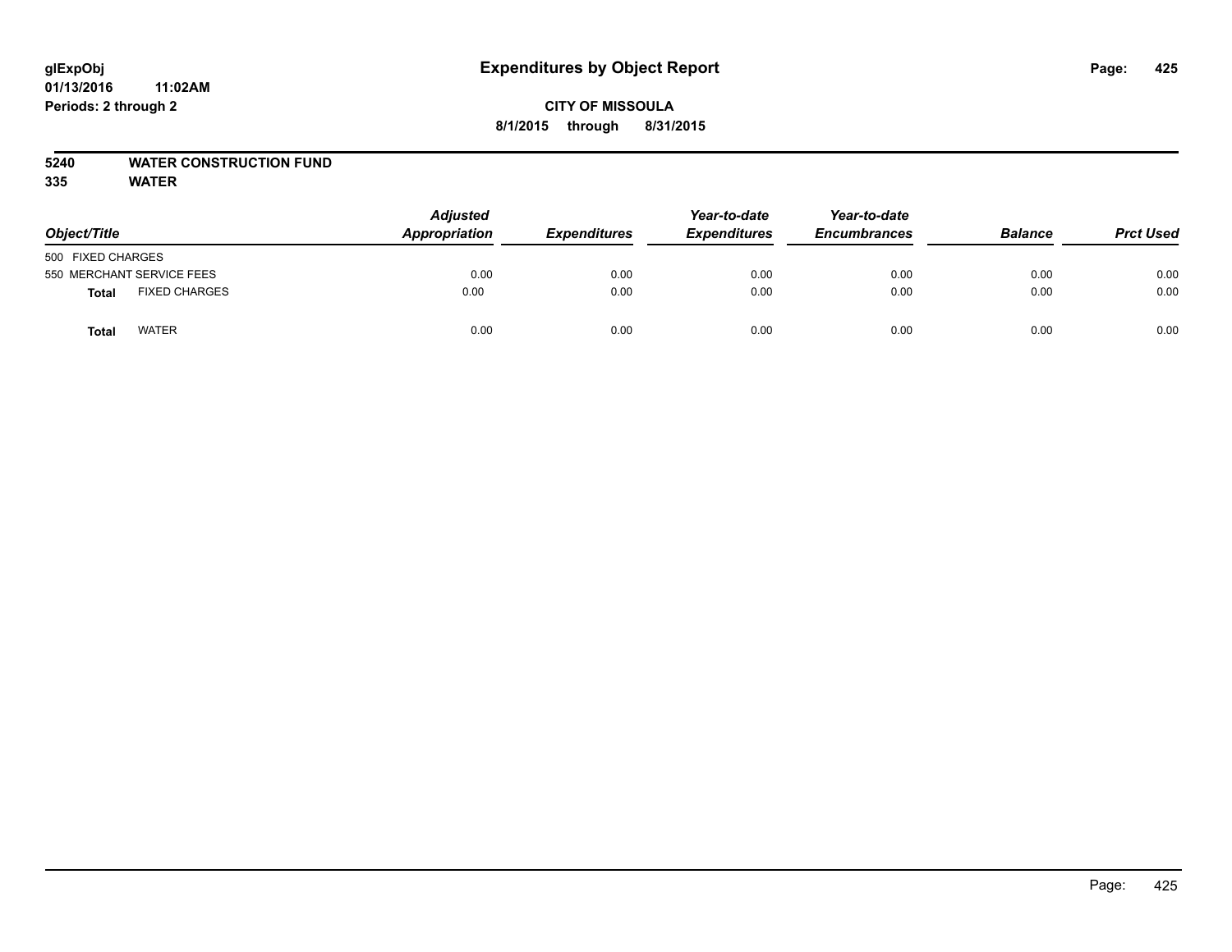## **CITY OF MISSOULA 8/1/2015 through 8/31/2015**

## **5240 WATER CONSTRUCTION FUND**

| Object/Title              |                      | <b>Adjusted</b><br>Appropriation | <b>Expenditures</b> | Year-to-date<br><b>Expenditures</b> | Year-to-date<br><b>Encumbrances</b> | <b>Balance</b> | <b>Prct Used</b> |
|---------------------------|----------------------|----------------------------------|---------------------|-------------------------------------|-------------------------------------|----------------|------------------|
| 500 FIXED CHARGES         |                      |                                  |                     |                                     |                                     |                |                  |
| 550 MERCHANT SERVICE FEES |                      | 0.00                             | 0.00                | 0.00                                | 0.00                                | 0.00           | 0.00             |
| Total                     | <b>FIXED CHARGES</b> | 0.00                             | 0.00                | 0.00                                | 0.00                                | 0.00           | 0.00             |
| Total                     | <b>WATER</b>         | 0.00                             | 0.00                | 0.00                                | 0.00                                | 0.00           | 0.00             |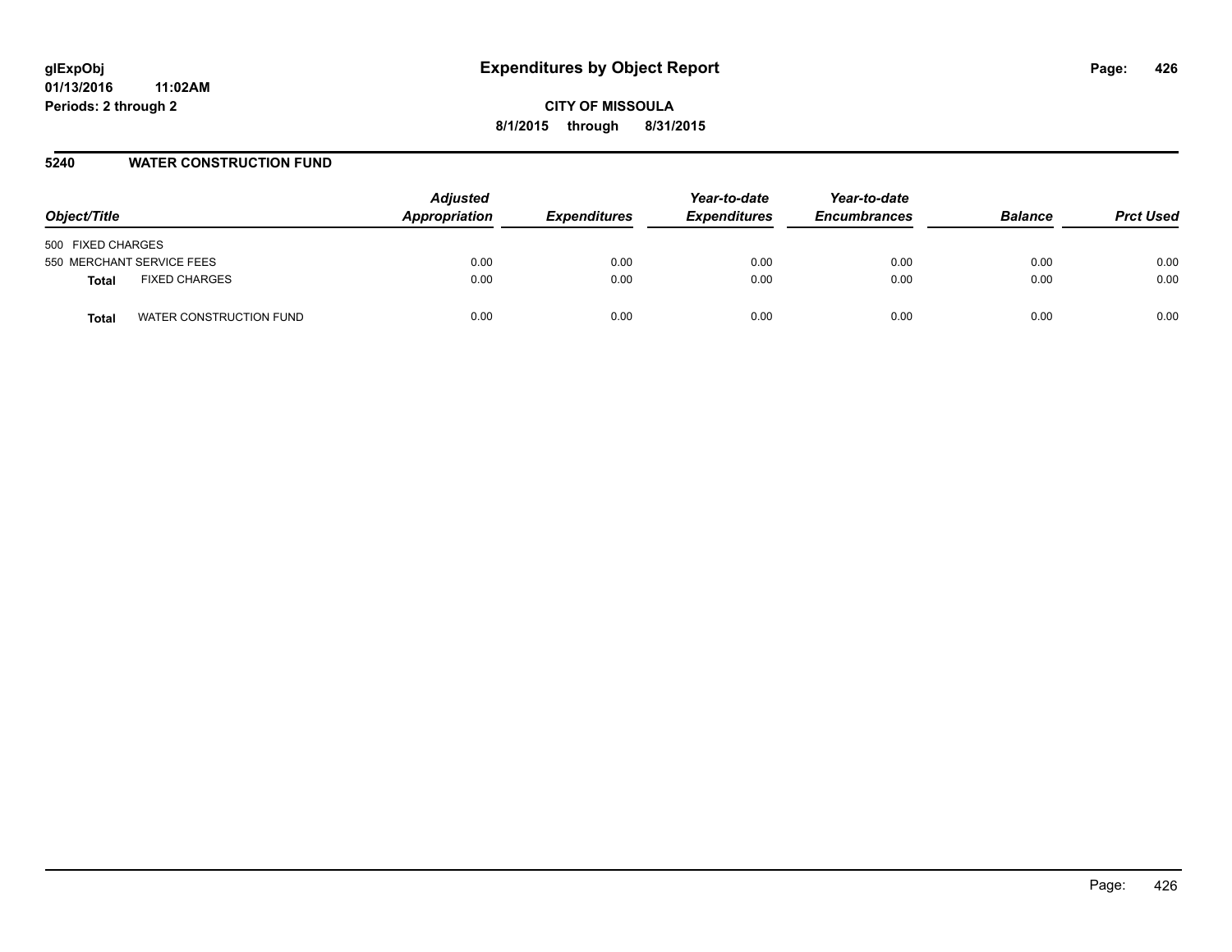#### **5240 WATER CONSTRUCTION FUND**

| Object/Title                     | <b>Adjusted</b><br>Appropriation | <b>Expenditures</b> | Year-to-date<br><b>Expenditures</b> | Year-to-date<br><b>Encumbrances</b> | <b>Balance</b> | <b>Prct Used</b> |
|----------------------------------|----------------------------------|---------------------|-------------------------------------|-------------------------------------|----------------|------------------|
| 500 FIXED CHARGES                |                                  |                     |                                     |                                     |                |                  |
| 550 MERCHANT SERVICE FEES        | 0.00                             | 0.00                | 0.00                                | 0.00                                | 0.00           | 0.00             |
| <b>FIXED CHARGES</b><br>Total    | 0.00                             | 0.00                | 0.00                                | 0.00                                | 0.00           | 0.00             |
| WATER CONSTRUCTION FUND<br>Total | 0.00                             | 0.00                | 0.00                                | 0.00                                | 0.00           | 0.00             |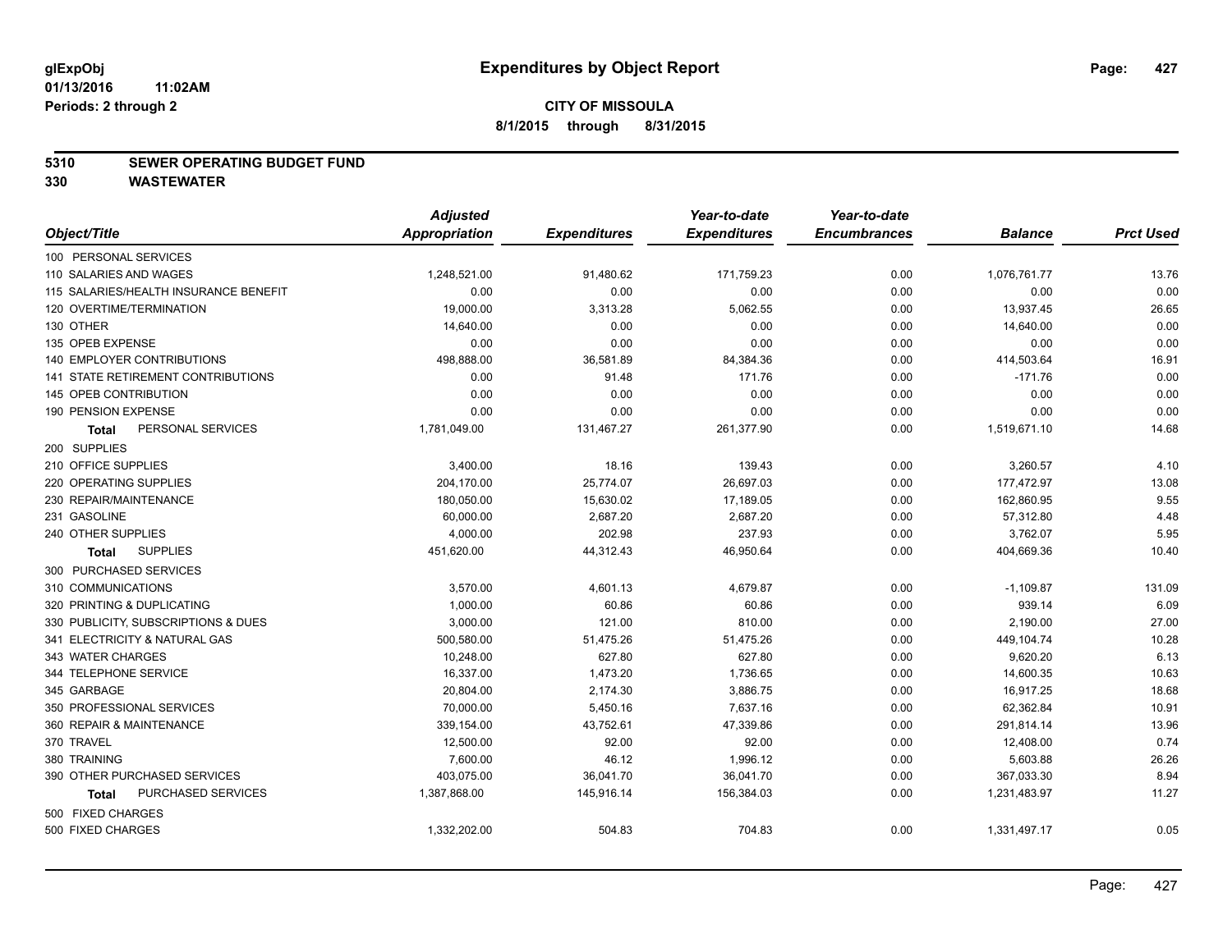#### **5310 SEWER OPERATING BUDGET FUND**

**330 WASTEWATER**

|                                           | <b>Adjusted</b> |                     | Year-to-date        | Year-to-date        |                |                  |
|-------------------------------------------|-----------------|---------------------|---------------------|---------------------|----------------|------------------|
| Object/Title                              | Appropriation   | <b>Expenditures</b> | <b>Expenditures</b> | <b>Encumbrances</b> | <b>Balance</b> | <b>Prct Used</b> |
| 100 PERSONAL SERVICES                     |                 |                     |                     |                     |                |                  |
| 110 SALARIES AND WAGES                    | 1,248,521.00    | 91,480.62           | 171,759.23          | 0.00                | 1,076,761.77   | 13.76            |
| 115 SALARIES/HEALTH INSURANCE BENEFIT     | 0.00            | 0.00                | 0.00                | 0.00                | 0.00           | 0.00             |
| 120 OVERTIME/TERMINATION                  | 19,000.00       | 3,313.28            | 5,062.55            | 0.00                | 13,937.45      | 26.65            |
| 130 OTHER                                 | 14,640.00       | 0.00                | 0.00                | 0.00                | 14,640.00      | 0.00             |
| 135 OPEB EXPENSE                          | 0.00            | 0.00                | 0.00                | 0.00                | 0.00           | 0.00             |
| 140 EMPLOYER CONTRIBUTIONS                | 498,888.00      | 36,581.89           | 84,384.36           | 0.00                | 414,503.64     | 16.91            |
| <b>141 STATE RETIREMENT CONTRIBUTIONS</b> | 0.00            | 91.48               | 171.76              | 0.00                | $-171.76$      | 0.00             |
| 145 OPEB CONTRIBUTION                     | 0.00            | 0.00                | 0.00                | 0.00                | 0.00           | 0.00             |
| 190 PENSION EXPENSE                       | 0.00            | 0.00                | 0.00                | 0.00                | 0.00           | 0.00             |
| PERSONAL SERVICES<br><b>Total</b>         | 1,781,049.00    | 131,467.27          | 261,377.90          | 0.00                | 1,519,671.10   | 14.68            |
| 200 SUPPLIES                              |                 |                     |                     |                     |                |                  |
| 210 OFFICE SUPPLIES                       | 3,400.00        | 18.16               | 139.43              | 0.00                | 3,260.57       | 4.10             |
| 220 OPERATING SUPPLIES                    | 204,170.00      | 25,774.07           | 26,697.03           | 0.00                | 177,472.97     | 13.08            |
| 230 REPAIR/MAINTENANCE                    | 180,050.00      | 15,630.02           | 17,189.05           | 0.00                | 162,860.95     | 9.55             |
| 231 GASOLINE                              | 60,000.00       | 2,687.20            | 2,687.20            | 0.00                | 57,312.80      | 4.48             |
| 240 OTHER SUPPLIES                        | 4,000.00        | 202.98              | 237.93              | 0.00                | 3,762.07       | 5.95             |
| <b>SUPPLIES</b><br>Total                  | 451,620.00      | 44,312.43           | 46,950.64           | 0.00                | 404,669.36     | 10.40            |
| 300 PURCHASED SERVICES                    |                 |                     |                     |                     |                |                  |
| 310 COMMUNICATIONS                        | 3,570.00        | 4,601.13            | 4,679.87            | 0.00                | $-1,109.87$    | 131.09           |
| 320 PRINTING & DUPLICATING                | 1,000.00        | 60.86               | 60.86               | 0.00                | 939.14         | 6.09             |
| 330 PUBLICITY, SUBSCRIPTIONS & DUES       | 3,000.00        | 121.00              | 810.00              | 0.00                | 2,190.00       | 27.00            |
| 341 ELECTRICITY & NATURAL GAS             | 500,580.00      | 51,475.26           | 51,475.26           | 0.00                | 449,104.74     | 10.28            |
| 343 WATER CHARGES                         | 10,248.00       | 627.80              | 627.80              | 0.00                | 9,620.20       | 6.13             |
| 344 TELEPHONE SERVICE                     | 16,337.00       | 1,473.20            | 1,736.65            | 0.00                | 14,600.35      | 10.63            |
| 345 GARBAGE                               | 20,804.00       | 2,174.30            | 3,886.75            | 0.00                | 16,917.25      | 18.68            |
| 350 PROFESSIONAL SERVICES                 | 70,000.00       | 5,450.16            | 7,637.16            | 0.00                | 62,362.84      | 10.91            |
| 360 REPAIR & MAINTENANCE                  | 339,154.00      | 43,752.61           | 47,339.86           | 0.00                | 291,814.14     | 13.96            |
| 370 TRAVEL                                | 12,500.00       | 92.00               | 92.00               | 0.00                | 12,408.00      | 0.74             |
| 380 TRAINING                              | 7,600.00        | 46.12               | 1,996.12            | 0.00                | 5,603.88       | 26.26            |
| 390 OTHER PURCHASED SERVICES              | 403,075.00      | 36,041.70           | 36,041.70           | 0.00                | 367,033.30     | 8.94             |
| PURCHASED SERVICES<br><b>Total</b>        | 1,387,868.00    | 145,916.14          | 156,384.03          | 0.00                | 1,231,483.97   | 11.27            |
| 500 FIXED CHARGES                         |                 |                     |                     |                     |                |                  |
| 500 FIXED CHARGES                         | 1,332,202.00    | 504.83              | 704.83              | 0.00                | 1,331,497.17   | 0.05             |
|                                           |                 |                     |                     |                     |                |                  |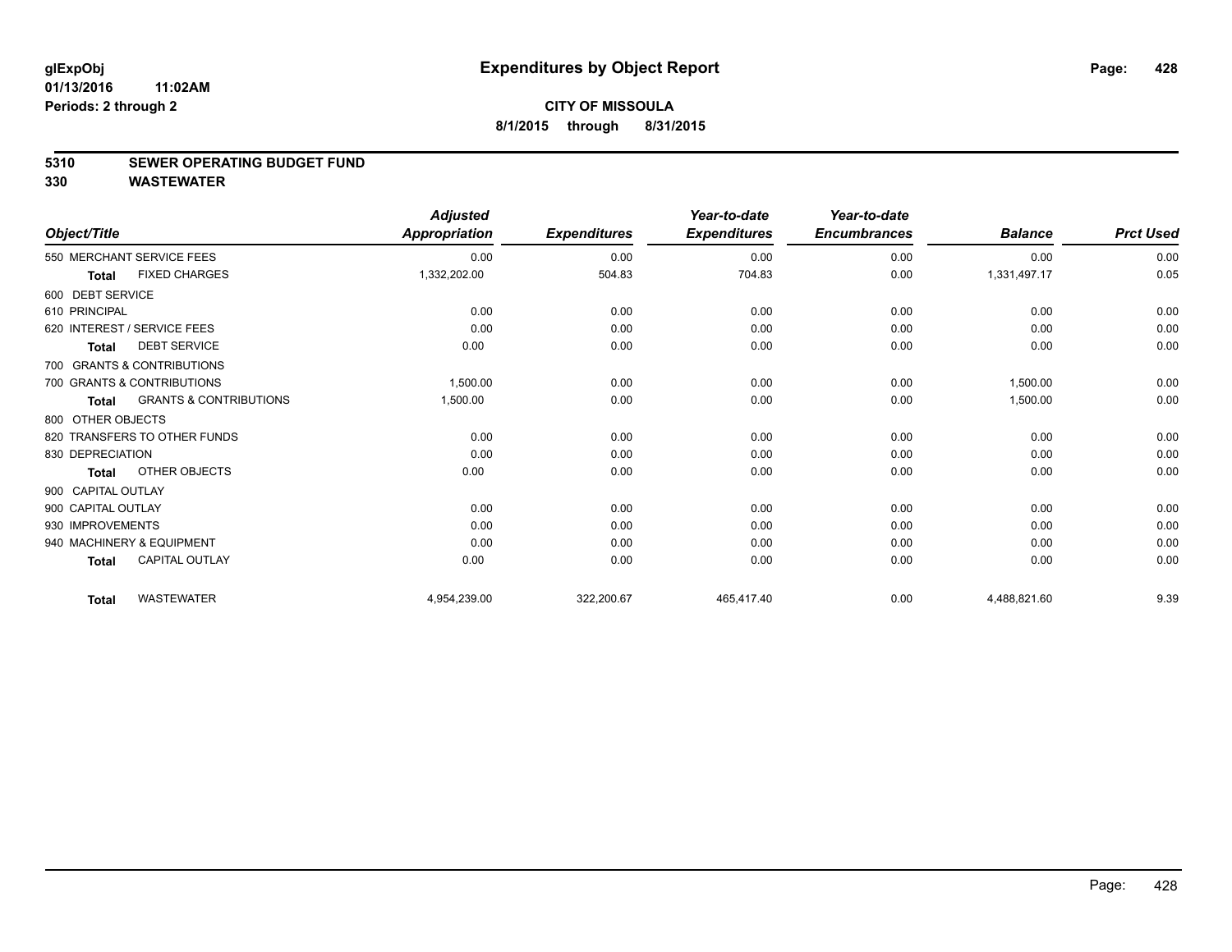#### **5310 SEWER OPERATING BUDGET FUND**

**330 WASTEWATER**

| Object/Title       |                                   | <b>Adjusted</b><br><b>Appropriation</b> | <b>Expenditures</b> | Year-to-date<br><b>Expenditures</b> | Year-to-date<br><b>Encumbrances</b> | <b>Balance</b> | <b>Prct Used</b> |
|--------------------|-----------------------------------|-----------------------------------------|---------------------|-------------------------------------|-------------------------------------|----------------|------------------|
|                    | 550 MERCHANT SERVICE FEES         | 0.00                                    | 0.00                | 0.00                                | 0.00                                | 0.00           | 0.00             |
| <b>Total</b>       | <b>FIXED CHARGES</b>              | 1,332,202.00                            | 504.83              | 704.83                              | 0.00                                | 1,331,497.17   | 0.05             |
| 600 DEBT SERVICE   |                                   |                                         |                     |                                     |                                     |                |                  |
| 610 PRINCIPAL      |                                   | 0.00                                    | 0.00                | 0.00                                | 0.00                                | 0.00           | 0.00             |
|                    | 620 INTEREST / SERVICE FEES       | 0.00                                    | 0.00                | 0.00                                | 0.00                                | 0.00           | 0.00             |
| Total              | <b>DEBT SERVICE</b>               | 0.00                                    | 0.00                | 0.00                                | 0.00                                | 0.00           | 0.00             |
|                    | 700 GRANTS & CONTRIBUTIONS        |                                         |                     |                                     |                                     |                |                  |
|                    | 700 GRANTS & CONTRIBUTIONS        | 1,500.00                                | 0.00                | 0.00                                | 0.00                                | 1.500.00       | 0.00             |
| Total              | <b>GRANTS &amp; CONTRIBUTIONS</b> | 1,500.00                                | 0.00                | 0.00                                | 0.00                                | 1,500.00       | 0.00             |
| 800 OTHER OBJECTS  |                                   |                                         |                     |                                     |                                     |                |                  |
|                    | 820 TRANSFERS TO OTHER FUNDS      | 0.00                                    | 0.00                | 0.00                                | 0.00                                | 0.00           | 0.00             |
| 830 DEPRECIATION   |                                   | 0.00                                    | 0.00                | 0.00                                | 0.00                                | 0.00           | 0.00             |
| Total              | OTHER OBJECTS                     | 0.00                                    | 0.00                | 0.00                                | 0.00                                | 0.00           | 0.00             |
| 900 CAPITAL OUTLAY |                                   |                                         |                     |                                     |                                     |                |                  |
| 900 CAPITAL OUTLAY |                                   | 0.00                                    | 0.00                | 0.00                                | 0.00                                | 0.00           | 0.00             |
| 930 IMPROVEMENTS   |                                   | 0.00                                    | 0.00                | 0.00                                | 0.00                                | 0.00           | 0.00             |
|                    | 940 MACHINERY & EQUIPMENT         | 0.00                                    | 0.00                | 0.00                                | 0.00                                | 0.00           | 0.00             |
| <b>Total</b>       | <b>CAPITAL OUTLAY</b>             | 0.00                                    | 0.00                | 0.00                                | 0.00                                | 0.00           | 0.00             |
| <b>Total</b>       | <b>WASTEWATER</b>                 | 4,954,239.00                            | 322,200.67          | 465,417.40                          | 0.00                                | 4,488,821.60   | 9.39             |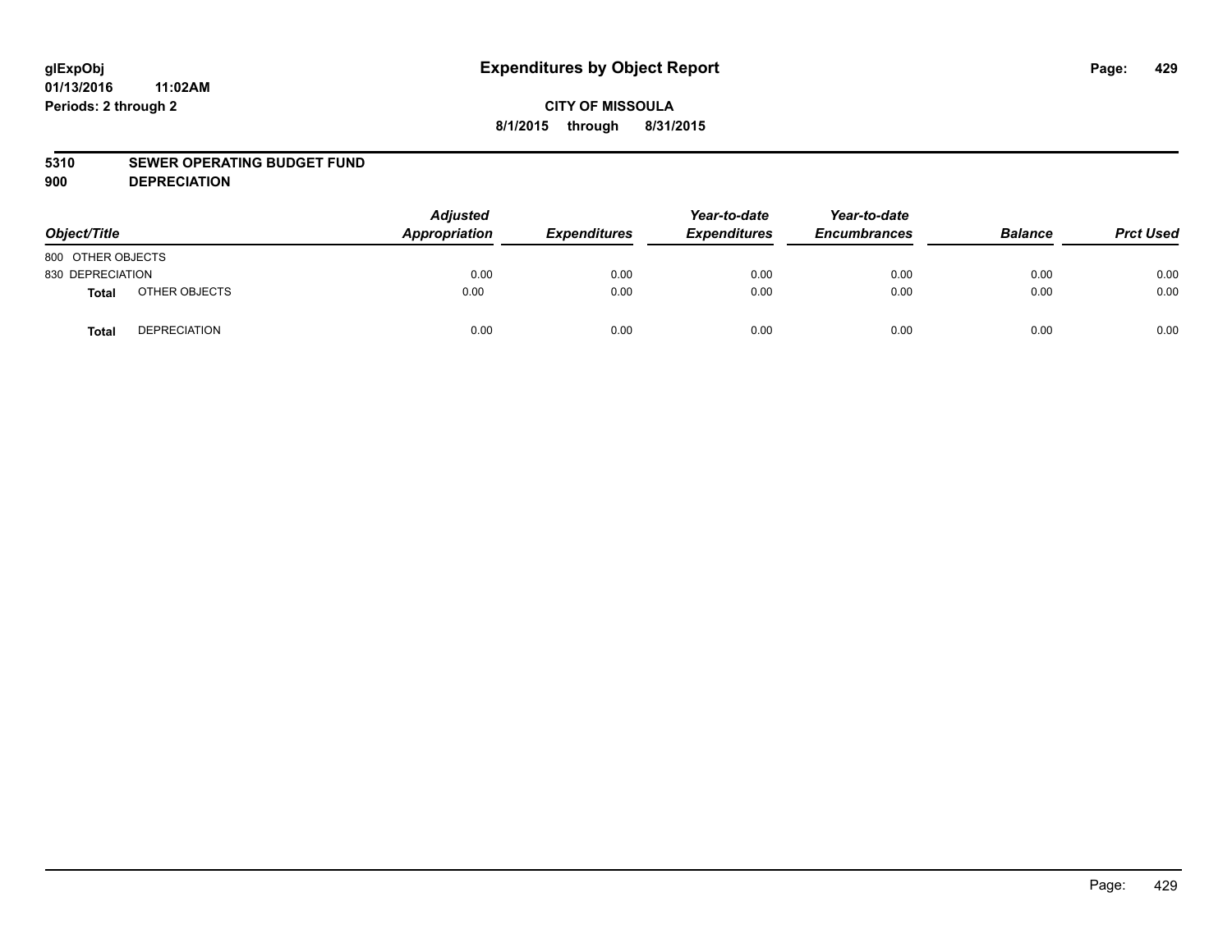## **CITY OF MISSOULA 8/1/2015 through 8/31/2015**

#### **5310 SEWER OPERATING BUDGET FUND**

**900 DEPRECIATION**

| Object/Title      |                     | <b>Adjusted</b><br>Appropriation | <b>Expenditures</b> | Year-to-date<br><b>Expenditures</b> | Year-to-date<br><b>Encumbrances</b> | <b>Balance</b> | <b>Prct Used</b> |
|-------------------|---------------------|----------------------------------|---------------------|-------------------------------------|-------------------------------------|----------------|------------------|
| 800 OTHER OBJECTS |                     |                                  |                     |                                     |                                     |                |                  |
| 830 DEPRECIATION  |                     | 0.00                             | 0.00                | 0.00                                | 0.00                                | 0.00           | 0.00             |
| Total             | OTHER OBJECTS       | 0.00                             | 0.00                | 0.00                                | 0.00                                | 0.00           | 0.00             |
| <b>Total</b>      | <b>DEPRECIATION</b> | 0.00                             | 0.00                | 0.00                                | 0.00                                | 0.00           | 0.00             |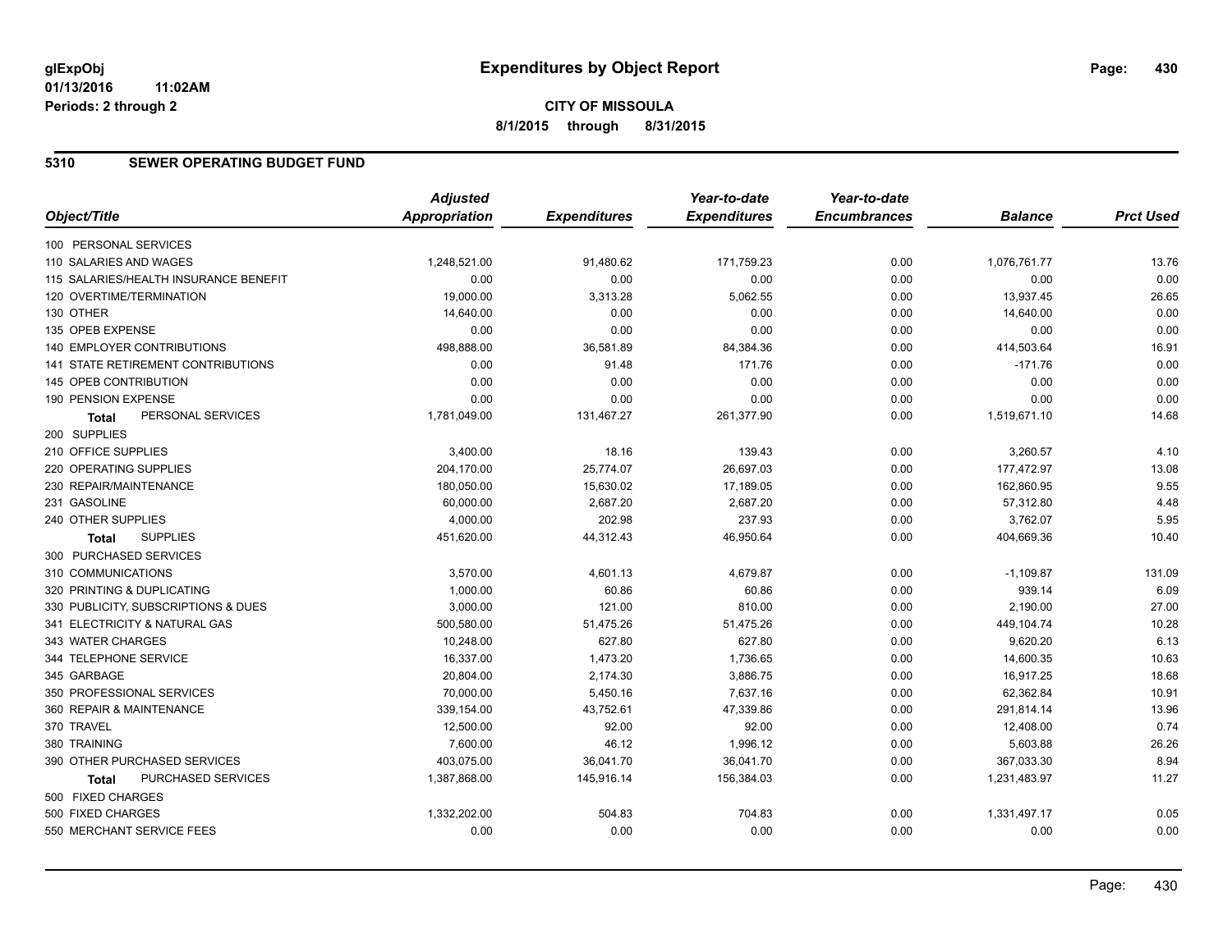## **CITY OF MISSOULA 8/1/2015 through 8/31/2015**

#### **5310 SEWER OPERATING BUDGET FUND**

| <b>Appropriation</b><br><b>Expenditures</b><br><b>Encumbrances</b><br>Object/Title<br><b>Expenditures</b><br><b>Balance</b><br>100 PERSONAL SERVICES | <b>Prct Used</b><br>13.76<br>0.00 |
|------------------------------------------------------------------------------------------------------------------------------------------------------|-----------------------------------|
|                                                                                                                                                      |                                   |
|                                                                                                                                                      |                                   |
| 110 SALARIES AND WAGES<br>1,248,521.00<br>91,480.62<br>171,759.23<br>0.00<br>1,076,761.77                                                            |                                   |
| 115 SALARIES/HEALTH INSURANCE BENEFIT<br>0.00<br>0.00<br>0.00<br>0.00<br>0.00                                                                        |                                   |
| 120 OVERTIME/TERMINATION<br>19,000.00<br>3,313.28<br>5,062.55<br>13,937.45<br>0.00                                                                   | 26.65                             |
| 130 OTHER<br>14,640.00<br>0.00<br>0.00<br>0.00<br>14,640.00                                                                                          | 0.00                              |
| 0.00<br>135 OPEB EXPENSE<br>0.00<br>0.00<br>0.00<br>0.00                                                                                             | 0.00                              |
| 498,888.00<br>36,581.89<br>0.00<br>414,503.64<br>140 EMPLOYER CONTRIBUTIONS<br>84,384.36                                                             | 16.91                             |
| 141 STATE RETIREMENT CONTRIBUTIONS<br>0.00<br>91.48<br>171.76<br>0.00<br>$-171.76$                                                                   | 0.00                              |
| 0.00<br>145 OPEB CONTRIBUTION<br>0.00<br>0.00<br>0.00<br>0.00                                                                                        | 0.00                              |
| 0.00<br>0.00<br>0.00<br>190 PENSION EXPENSE<br>0.00<br>0.00                                                                                          | 0.00                              |
| PERSONAL SERVICES<br>1,781,049.00<br>131,467.27<br>261,377.90<br>0.00<br>1,519,671.10<br><b>Total</b>                                                | 14.68                             |
| 200 SUPPLIES                                                                                                                                         |                                   |
| 210 OFFICE SUPPLIES<br>3,400.00<br>18.16<br>139.43<br>0.00<br>3,260.57                                                                               | 4.10                              |
| 220 OPERATING SUPPLIES<br>25,774.07<br>26,697.03<br>0.00<br>177,472.97<br>204,170.00                                                                 | 13.08                             |
| 230 REPAIR/MAINTENANCE<br>180,050.00<br>15,630.02<br>17,189.05<br>0.00<br>162,860.95                                                                 | 9.55                              |
| 231 GASOLINE<br>60,000.00<br>2,687.20<br>2,687.20<br>0.00<br>57,312.80                                                                               | 4.48                              |
| 240 OTHER SUPPLIES<br>4,000.00<br>202.98<br>237.93<br>0.00<br>3,762.07                                                                               | 5.95                              |
| <b>SUPPLIES</b><br>451,620.00<br>44,312.43<br>46,950.64<br>0.00<br>404,669.36<br><b>Total</b>                                                        | 10.40                             |
| 300 PURCHASED SERVICES                                                                                                                               |                                   |
| 310 COMMUNICATIONS<br>3,570.00<br>4,601.13<br>4,679.87<br>0.00<br>$-1,109.87$                                                                        | 131.09                            |
| 1,000.00<br>60.86<br>0.00<br>939.14<br>320 PRINTING & DUPLICATING<br>60.86                                                                           | 6.09                              |
| 3,000.00<br>330 PUBLICITY, SUBSCRIPTIONS & DUES<br>121.00<br>810.00<br>0.00<br>2,190.00                                                              | 27.00                             |
| 51,475.26<br>449,104.74<br>341 ELECTRICITY & NATURAL GAS<br>500,580.00<br>51,475.26<br>0.00                                                          | 10.28                             |
| 343 WATER CHARGES<br>10,248.00<br>627.80<br>627.80<br>9,620.20<br>0.00                                                                               | 6.13                              |
| 344 TELEPHONE SERVICE<br>16,337.00<br>1,473.20<br>1,736.65<br>0.00<br>14,600.35                                                                      | 10.63                             |
| 345 GARBAGE<br>20,804.00<br>2,174.30<br>3,886.75<br>0.00<br>16,917.25                                                                                | 18.68                             |
| 350 PROFESSIONAL SERVICES<br>70,000.00<br>5,450.16<br>7,637.16<br>62,362.84<br>0.00                                                                  | 10.91                             |
| 360 REPAIR & MAINTENANCE<br>339,154.00<br>43,752.61<br>47,339.86<br>0.00<br>291,814.14                                                               | 13.96                             |
| 92.00<br>92.00<br>0.00<br>370 TRAVEL<br>12,500.00<br>12,408.00                                                                                       | 0.74                              |
| 7,600.00<br>46.12<br>1,996.12<br>0.00<br>5,603.88<br>380 TRAINING                                                                                    | 26.26                             |
| 390 OTHER PURCHASED SERVICES<br>403,075.00<br>36,041.70<br>36,041.70<br>0.00<br>367,033.30                                                           | 8.94                              |
| PURCHASED SERVICES<br>1,387,868.00<br>145,916.14<br>156,384.03<br>0.00<br>1,231,483.97<br><b>Total</b>                                               | 11.27                             |
| 500 FIXED CHARGES                                                                                                                                    |                                   |
| 500 FIXED CHARGES<br>704.83<br>1,331,497.17<br>1,332,202.00<br>504.83<br>0.00                                                                        | 0.05                              |
| 0.00<br>0.00<br>550 MERCHANT SERVICE FEES<br>0.00<br>0.00<br>0.00                                                                                    | 0.00                              |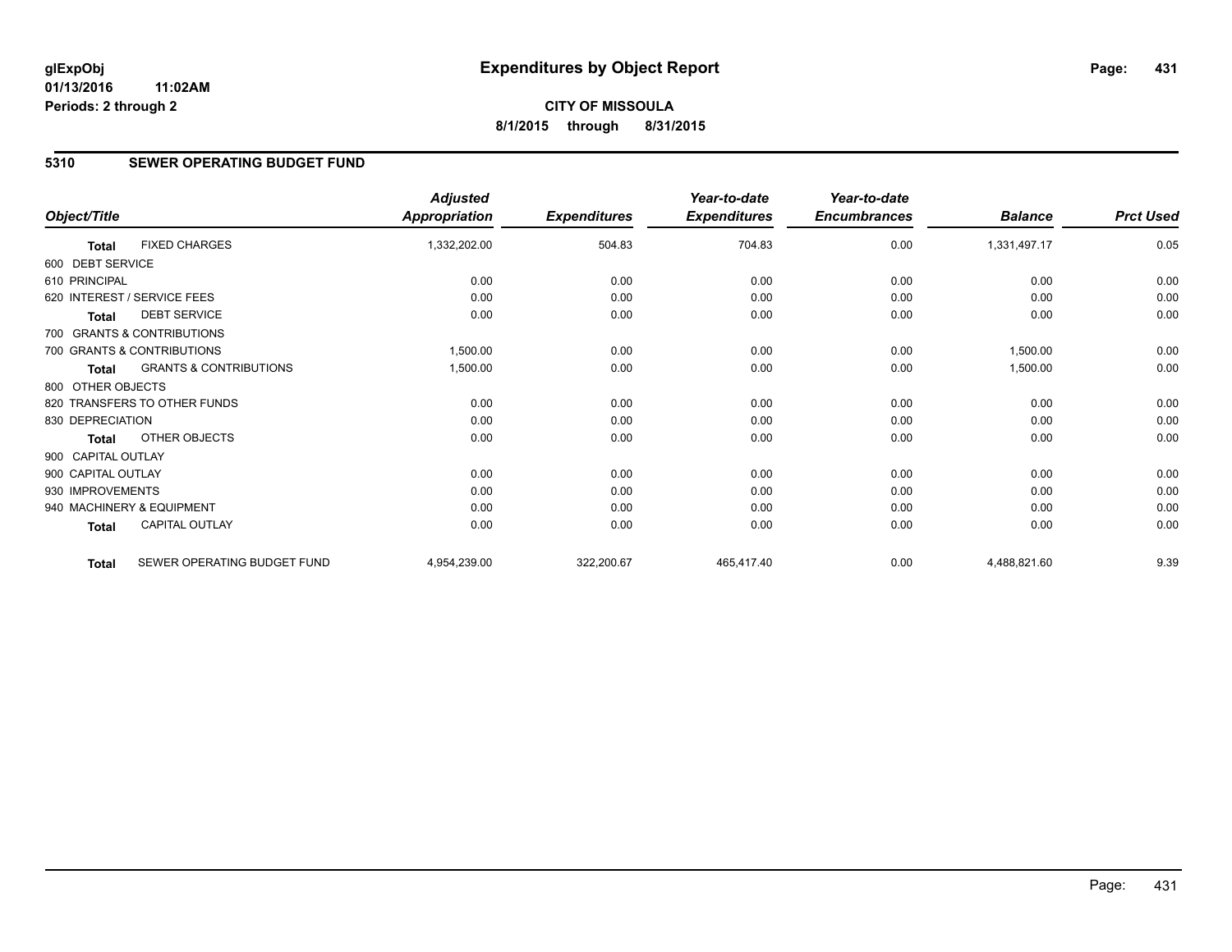#### **5310 SEWER OPERATING BUDGET FUND**

|                    |                                   | <b>Adjusted</b>      |                     | Year-to-date        | Year-to-date        |                |                  |
|--------------------|-----------------------------------|----------------------|---------------------|---------------------|---------------------|----------------|------------------|
| Object/Title       |                                   | <b>Appropriation</b> | <b>Expenditures</b> | <b>Expenditures</b> | <b>Encumbrances</b> | <b>Balance</b> | <b>Prct Used</b> |
| <b>Total</b>       | <b>FIXED CHARGES</b>              | 1,332,202.00         | 504.83              | 704.83              | 0.00                | 1,331,497.17   | 0.05             |
| 600 DEBT SERVICE   |                                   |                      |                     |                     |                     |                |                  |
| 610 PRINCIPAL      |                                   | 0.00                 | 0.00                | 0.00                | 0.00                | 0.00           | 0.00             |
|                    | 620 INTEREST / SERVICE FEES       | 0.00                 | 0.00                | 0.00                | 0.00                | 0.00           | 0.00             |
| <b>Total</b>       | <b>DEBT SERVICE</b>               | 0.00                 | 0.00                | 0.00                | 0.00                | 0.00           | 0.00             |
|                    | 700 GRANTS & CONTRIBUTIONS        |                      |                     |                     |                     |                |                  |
|                    | 700 GRANTS & CONTRIBUTIONS        | 1,500.00             | 0.00                | 0.00                | 0.00                | 1,500.00       | 0.00             |
| <b>Total</b>       | <b>GRANTS &amp; CONTRIBUTIONS</b> | 1,500.00             | 0.00                | 0.00                | 0.00                | 1,500.00       | 0.00             |
| 800 OTHER OBJECTS  |                                   |                      |                     |                     |                     |                |                  |
|                    | 820 TRANSFERS TO OTHER FUNDS      | 0.00                 | 0.00                | 0.00                | 0.00                | 0.00           | 0.00             |
| 830 DEPRECIATION   |                                   | 0.00                 | 0.00                | 0.00                | 0.00                | 0.00           | 0.00             |
| <b>Total</b>       | OTHER OBJECTS                     | 0.00                 | 0.00                | 0.00                | 0.00                | 0.00           | 0.00             |
| 900 CAPITAL OUTLAY |                                   |                      |                     |                     |                     |                |                  |
| 900 CAPITAL OUTLAY |                                   | 0.00                 | 0.00                | 0.00                | 0.00                | 0.00           | 0.00             |
| 930 IMPROVEMENTS   |                                   | 0.00                 | 0.00                | 0.00                | 0.00                | 0.00           | 0.00             |
|                    | 940 MACHINERY & EQUIPMENT         | 0.00                 | 0.00                | 0.00                | 0.00                | 0.00           | 0.00             |
| <b>Total</b>       | <b>CAPITAL OUTLAY</b>             | 0.00                 | 0.00                | 0.00                | 0.00                | 0.00           | 0.00             |
| <b>Total</b>       | SEWER OPERATING BUDGET FUND       | 4,954,239.00         | 322,200.67          | 465,417.40          | 0.00                | 4,488,821.60   | 9.39             |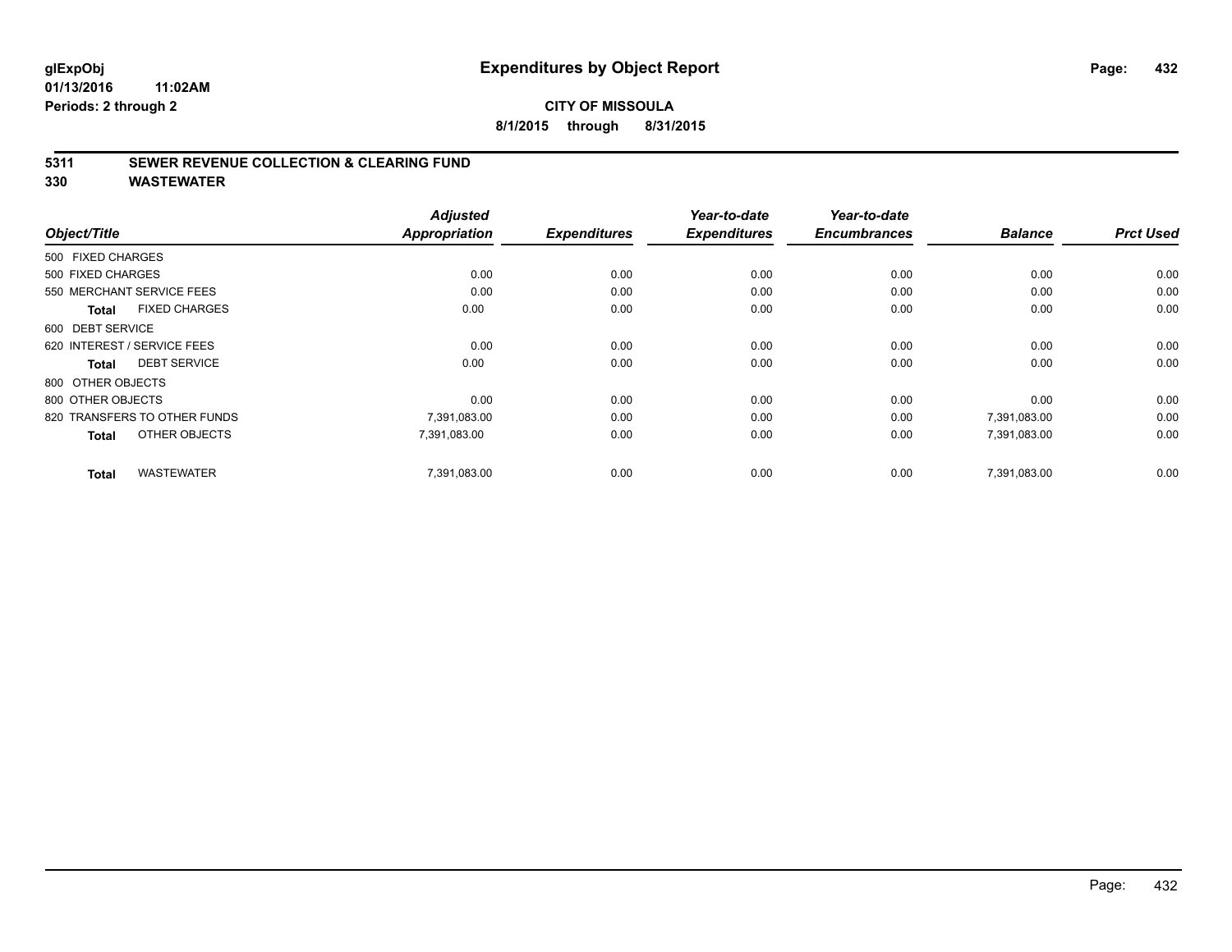#### **CITY OF MISSOULA 8/1/2015 through 8/31/2015**

#### **5311 SEWER REVENUE COLLECTION & CLEARING FUND**

**330 WASTEWATER**

| Object/Title                         | <b>Adjusted</b><br><b>Appropriation</b> | <b>Expenditures</b> | Year-to-date<br><b>Expenditures</b> | Year-to-date<br><b>Encumbrances</b> | <b>Balance</b> | <b>Prct Used</b> |
|--------------------------------------|-----------------------------------------|---------------------|-------------------------------------|-------------------------------------|----------------|------------------|
| 500 FIXED CHARGES                    |                                         |                     |                                     |                                     |                |                  |
| 500 FIXED CHARGES                    | 0.00                                    | 0.00                | 0.00                                | 0.00                                | 0.00           | 0.00             |
| 550 MERCHANT SERVICE FEES            | 0.00                                    | 0.00                | 0.00                                | 0.00                                | 0.00           | 0.00             |
| <b>FIXED CHARGES</b><br><b>Total</b> | 0.00                                    | 0.00                | 0.00                                | 0.00                                | 0.00           | 0.00             |
| 600 DEBT SERVICE                     |                                         |                     |                                     |                                     |                |                  |
| 620 INTEREST / SERVICE FEES          | 0.00                                    | 0.00                | 0.00                                | 0.00                                | 0.00           | 0.00             |
| <b>DEBT SERVICE</b><br><b>Total</b>  | 0.00                                    | 0.00                | 0.00                                | 0.00                                | 0.00           | 0.00             |
| 800 OTHER OBJECTS                    |                                         |                     |                                     |                                     |                |                  |
| 800 OTHER OBJECTS                    | 0.00                                    | 0.00                | 0.00                                | 0.00                                | 0.00           | 0.00             |
| 820 TRANSFERS TO OTHER FUNDS         | 7,391,083.00                            | 0.00                | 0.00                                | 0.00                                | 7,391,083.00   | 0.00             |
| OTHER OBJECTS<br><b>Total</b>        | 7,391,083.00                            | 0.00                | 0.00                                | 0.00                                | 7,391,083.00   | 0.00             |
| <b>WASTEWATER</b><br><b>Total</b>    | 7,391,083.00                            | 0.00                | 0.00                                | 0.00                                | 7.391.083.00   | 0.00             |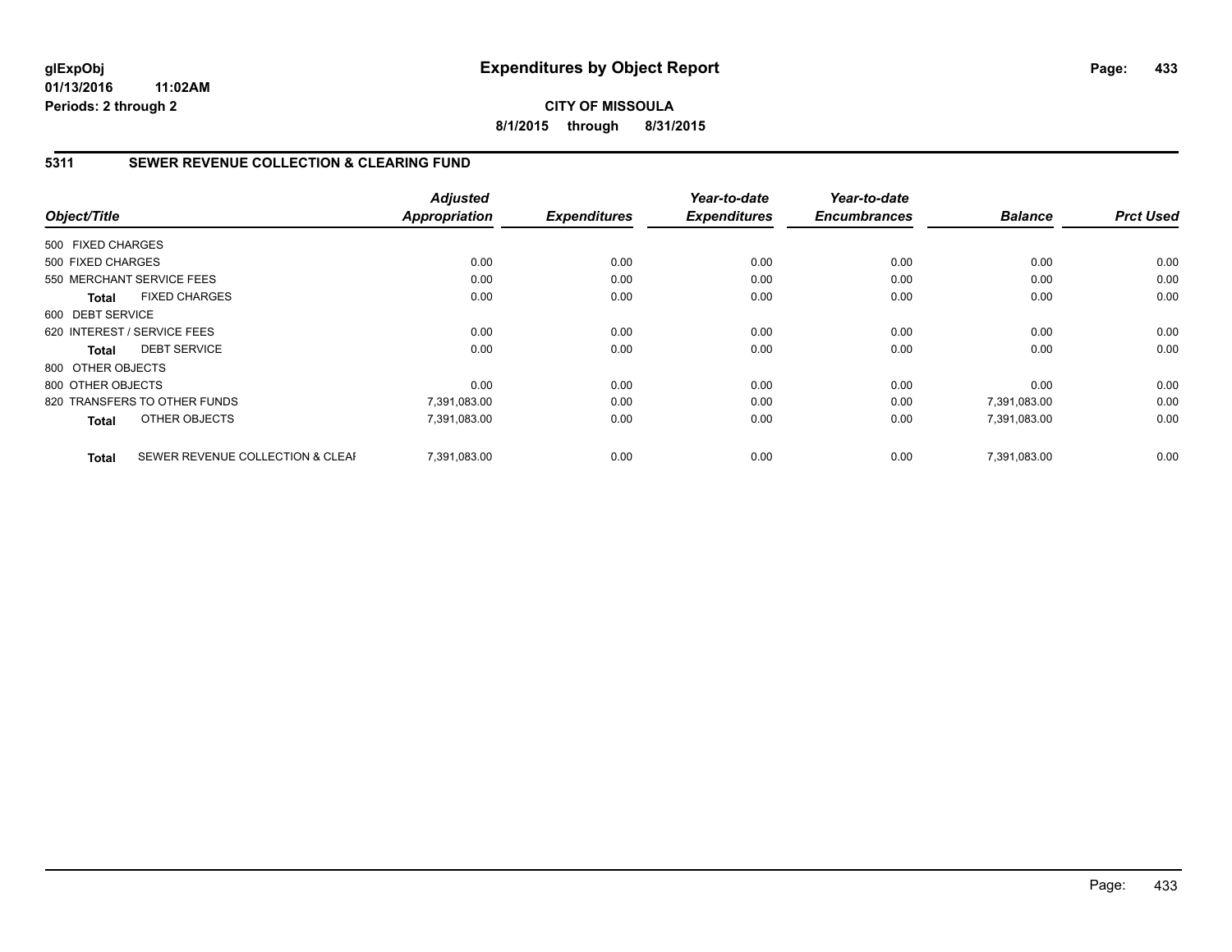**CITY OF MISSOULA 8/1/2015 through 8/31/2015**

## **5311 SEWER REVENUE COLLECTION & CLEARING FUND**

|                   |                                  | <b>Adjusted</b> |                     | Year-to-date        | Year-to-date<br><b>Encumbrances</b> |                | <b>Prct Used</b> |
|-------------------|----------------------------------|-----------------|---------------------|---------------------|-------------------------------------|----------------|------------------|
| Object/Title      |                                  | Appropriation   | <b>Expenditures</b> | <b>Expenditures</b> |                                     | <b>Balance</b> |                  |
| 500 FIXED CHARGES |                                  |                 |                     |                     |                                     |                |                  |
| 500 FIXED CHARGES |                                  | 0.00            | 0.00                | 0.00                | 0.00                                | 0.00           | 0.00             |
|                   | 550 MERCHANT SERVICE FEES        | 0.00            | 0.00                | 0.00                | 0.00                                | 0.00           | 0.00             |
| Total             | <b>FIXED CHARGES</b>             | 0.00            | 0.00                | 0.00                | 0.00                                | 0.00           | 0.00             |
| 600 DEBT SERVICE  |                                  |                 |                     |                     |                                     |                |                  |
|                   | 620 INTEREST / SERVICE FEES      | 0.00            | 0.00                | 0.00                | 0.00                                | 0.00           | 0.00             |
| Total             | <b>DEBT SERVICE</b>              | 0.00            | 0.00                | 0.00                | 0.00                                | 0.00           | 0.00             |
| 800 OTHER OBJECTS |                                  |                 |                     |                     |                                     |                |                  |
| 800 OTHER OBJECTS |                                  | 0.00            | 0.00                | 0.00                | 0.00                                | 0.00           | 0.00             |
|                   | 820 TRANSFERS TO OTHER FUNDS     | 7,391,083.00    | 0.00                | 0.00                | 0.00                                | 7,391,083.00   | 0.00             |
| <b>Total</b>      | OTHER OBJECTS                    | 7,391,083.00    | 0.00                | 0.00                | 0.00                                | 7,391,083.00   | 0.00             |
| <b>Total</b>      | SEWER REVENUE COLLECTION & CLEAF | 7.391.083.00    | 0.00                | 0.00                | 0.00                                | 7,391,083.00   | 0.00             |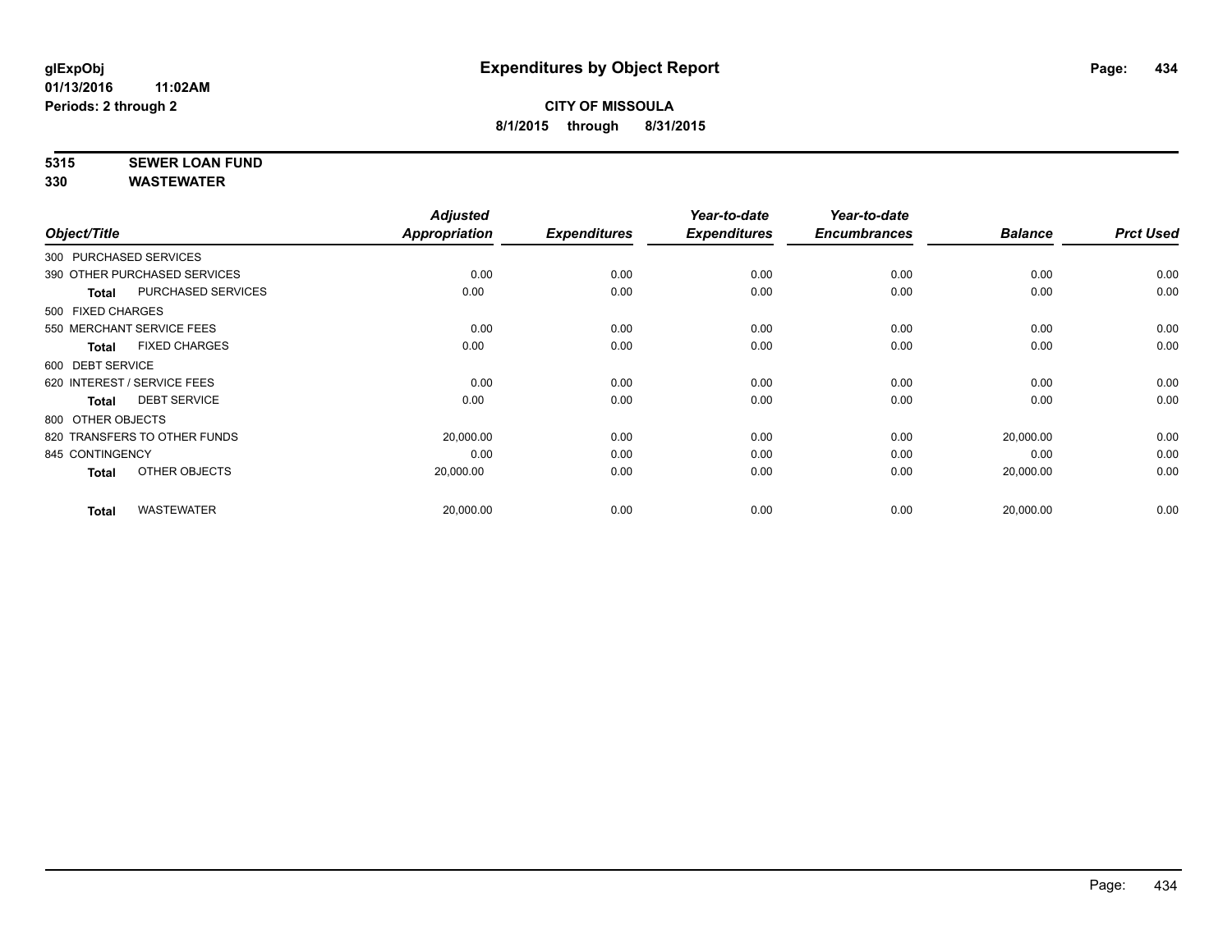# **5315 SEWER LOAN FUND**

|                                     | <b>Adjusted</b> |                     | Year-to-date        | Year-to-date        |                |                  |
|-------------------------------------|-----------------|---------------------|---------------------|---------------------|----------------|------------------|
| Object/Title                        | Appropriation   | <b>Expenditures</b> | <b>Expenditures</b> | <b>Encumbrances</b> | <b>Balance</b> | <b>Prct Used</b> |
| 300 PURCHASED SERVICES              |                 |                     |                     |                     |                |                  |
| 390 OTHER PURCHASED SERVICES        | 0.00            | 0.00                | 0.00                | 0.00                | 0.00           | 0.00             |
| PURCHASED SERVICES<br><b>Total</b>  | 0.00            | 0.00                | 0.00                | 0.00                | 0.00           | 0.00             |
| 500 FIXED CHARGES                   |                 |                     |                     |                     |                |                  |
| 550 MERCHANT SERVICE FEES           | 0.00            | 0.00                | 0.00                | 0.00                | 0.00           | 0.00             |
| <b>FIXED CHARGES</b><br>Total       | 0.00            | 0.00                | 0.00                | 0.00                | 0.00           | 0.00             |
| 600 DEBT SERVICE                    |                 |                     |                     |                     |                |                  |
| 620 INTEREST / SERVICE FEES         | 0.00            | 0.00                | 0.00                | 0.00                | 0.00           | 0.00             |
| <b>DEBT SERVICE</b><br><b>Total</b> | 0.00            | 0.00                | 0.00                | 0.00                | 0.00           | 0.00             |
| 800 OTHER OBJECTS                   |                 |                     |                     |                     |                |                  |
| 820 TRANSFERS TO OTHER FUNDS        | 20,000.00       | 0.00                | 0.00                | 0.00                | 20,000.00      | 0.00             |
| 845 CONTINGENCY                     | 0.00            | 0.00                | 0.00                | 0.00                | 0.00           | 0.00             |
| OTHER OBJECTS<br>Total              | 20,000.00       | 0.00                | 0.00                | 0.00                | 20,000.00      | 0.00             |
| <b>WASTEWATER</b><br><b>Total</b>   | 20,000.00       | 0.00                | 0.00                | 0.00                | 20,000.00      | 0.00             |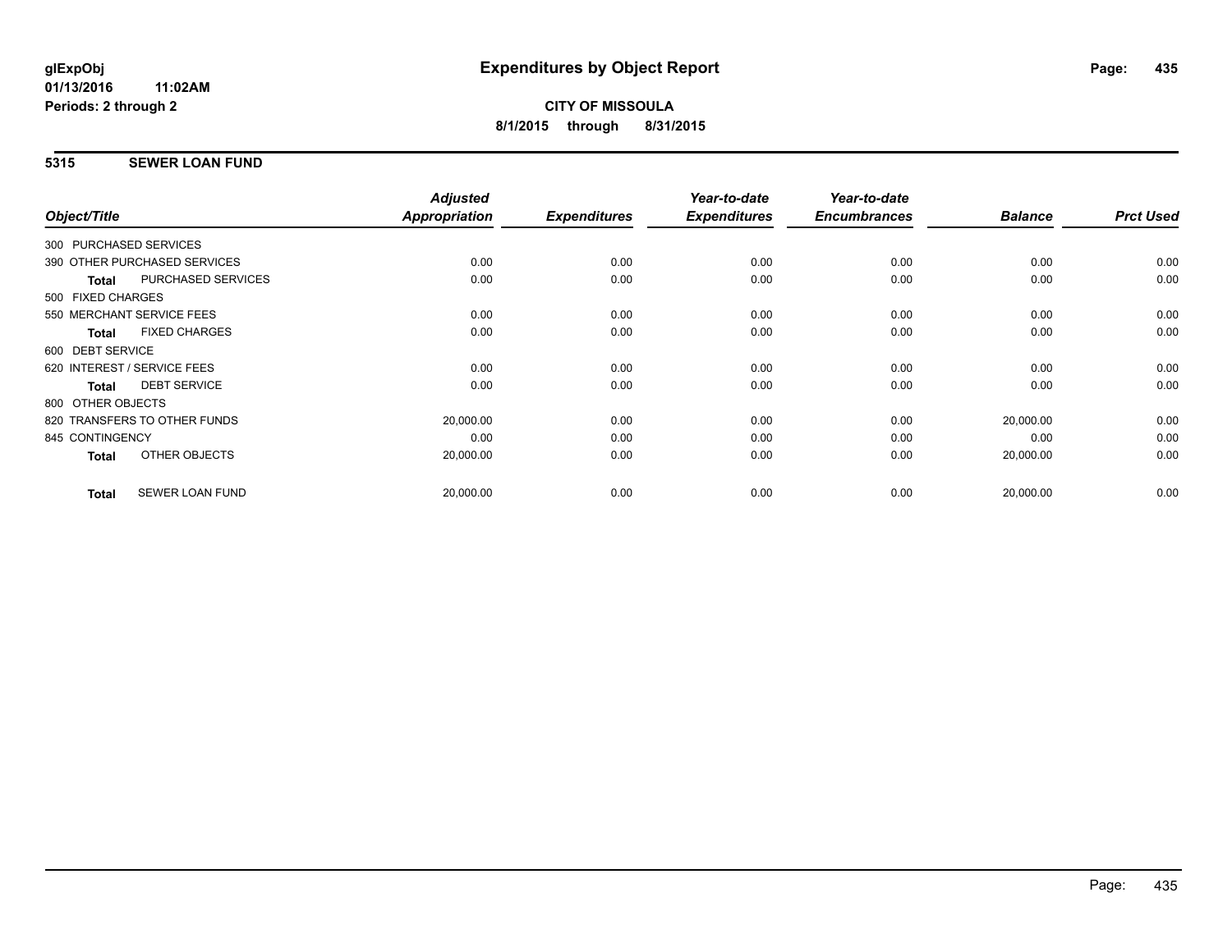## **5315 SEWER LOAN FUND**

| Object/Title                              | <b>Adjusted</b><br>Appropriation                       | <b>Expenditures</b> | Year-to-date<br><b>Expenditures</b> | Year-to-date<br><b>Encumbrances</b> | <b>Balance</b> | <b>Prct Used</b> |
|-------------------------------------------|--------------------------------------------------------|---------------------|-------------------------------------|-------------------------------------|----------------|------------------|
|                                           |                                                        |                     |                                     |                                     |                |                  |
|                                           |                                                        |                     |                                     |                                     |                | 0.00             |
| <b>PURCHASED SERVICES</b><br><b>Total</b> | 0.00                                                   | 0.00                | 0.00                                | 0.00                                | 0.00           | 0.00             |
| 500 FIXED CHARGES                         |                                                        |                     |                                     |                                     |                |                  |
| 550 MERCHANT SERVICE FEES                 | 0.00                                                   | 0.00                | 0.00                                | 0.00                                | 0.00           | 0.00             |
| <b>FIXED CHARGES</b><br><b>Total</b>      | 0.00                                                   | 0.00                | 0.00                                | 0.00                                | 0.00           | 0.00             |
| 600 DEBT SERVICE                          |                                                        |                     |                                     |                                     |                |                  |
| 620 INTEREST / SERVICE FEES               | 0.00                                                   | 0.00                | 0.00                                | 0.00                                | 0.00           | 0.00             |
| <b>DEBT SERVICE</b><br><b>Total</b>       | 0.00                                                   | 0.00                | 0.00                                | 0.00                                | 0.00           | 0.00             |
| 800 OTHER OBJECTS                         |                                                        |                     |                                     |                                     |                |                  |
| 820 TRANSFERS TO OTHER FUNDS              | 20,000.00                                              | 0.00                | 0.00                                | 0.00                                | 20,000.00      | 0.00             |
| 845 CONTINGENCY                           | 0.00                                                   | 0.00                | 0.00                                | 0.00                                | 0.00           | 0.00             |
| OTHER OBJECTS<br><b>Total</b>             | 20,000.00                                              | 0.00                | 0.00                                | 0.00                                | 20,000.00      | 0.00             |
| SEWER LOAN FUND<br><b>Total</b>           | 20,000.00                                              | 0.00                | 0.00                                | 0.00                                | 20,000.00      | 0.00             |
|                                           | 300 PURCHASED SERVICES<br>390 OTHER PURCHASED SERVICES | 0.00                | 0.00                                | 0.00                                | 0.00           | 0.00             |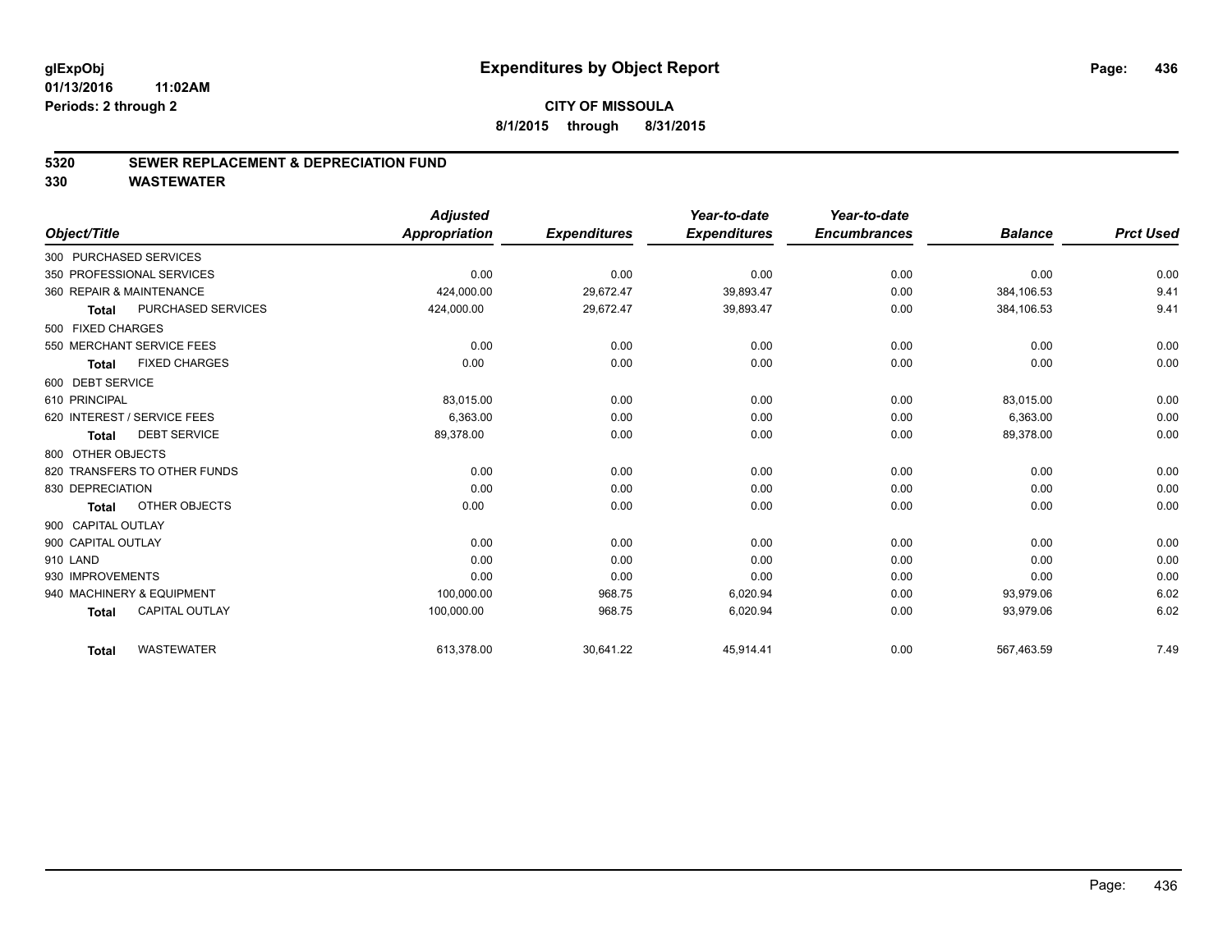#### **5320 SEWER REPLACEMENT & DEPRECIATION FUND**

|                              |                       | <b>Adjusted</b>      |                     | Year-to-date        | Year-to-date        |                |                  |
|------------------------------|-----------------------|----------------------|---------------------|---------------------|---------------------|----------------|------------------|
| Object/Title                 |                       | <b>Appropriation</b> | <b>Expenditures</b> | <b>Expenditures</b> | <b>Encumbrances</b> | <b>Balance</b> | <b>Prct Used</b> |
| 300 PURCHASED SERVICES       |                       |                      |                     |                     |                     |                |                  |
| 350 PROFESSIONAL SERVICES    |                       | 0.00                 | 0.00                | 0.00                | 0.00                | 0.00           | 0.00             |
| 360 REPAIR & MAINTENANCE     |                       | 424,000.00           | 29,672.47           | 39,893.47           | 0.00                | 384,106.53     | 9.41             |
| Total                        | PURCHASED SERVICES    | 424,000.00           | 29,672.47           | 39,893.47           | 0.00                | 384,106.53     | 9.41             |
| 500 FIXED CHARGES            |                       |                      |                     |                     |                     |                |                  |
| 550 MERCHANT SERVICE FEES    |                       | 0.00                 | 0.00                | 0.00                | 0.00                | 0.00           | 0.00             |
| <b>Total</b>                 | <b>FIXED CHARGES</b>  | 0.00                 | 0.00                | 0.00                | 0.00                | 0.00           | 0.00             |
| 600 DEBT SERVICE             |                       |                      |                     |                     |                     |                |                  |
| 610 PRINCIPAL                |                       | 83,015.00            | 0.00                | 0.00                | 0.00                | 83,015.00      | 0.00             |
| 620 INTEREST / SERVICE FEES  |                       | 6,363.00             | 0.00                | 0.00                | 0.00                | 6,363.00       | 0.00             |
| Total                        | <b>DEBT SERVICE</b>   | 89,378.00            | 0.00                | 0.00                | 0.00                | 89,378.00      | 0.00             |
| 800 OTHER OBJECTS            |                       |                      |                     |                     |                     |                |                  |
| 820 TRANSFERS TO OTHER FUNDS |                       | 0.00                 | 0.00                | 0.00                | 0.00                | 0.00           | 0.00             |
| 830 DEPRECIATION             |                       | 0.00                 | 0.00                | 0.00                | 0.00                | 0.00           | 0.00             |
| <b>Total</b>                 | <b>OTHER OBJECTS</b>  | 0.00                 | 0.00                | 0.00                | 0.00                | 0.00           | 0.00             |
| 900 CAPITAL OUTLAY           |                       |                      |                     |                     |                     |                |                  |
| 900 CAPITAL OUTLAY           |                       | 0.00                 | 0.00                | 0.00                | 0.00                | 0.00           | 0.00             |
| 910 LAND                     |                       | 0.00                 | 0.00                | 0.00                | 0.00                | 0.00           | 0.00             |
| 930 IMPROVEMENTS             |                       | 0.00                 | 0.00                | 0.00                | 0.00                | 0.00           | 0.00             |
| 940 MACHINERY & EQUIPMENT    |                       | 100,000.00           | 968.75              | 6,020.94            | 0.00                | 93,979.06      | 6.02             |
| <b>Total</b>                 | <b>CAPITAL OUTLAY</b> | 100,000.00           | 968.75              | 6,020.94            | 0.00                | 93,979.06      | 6.02             |
| <b>Total</b>                 | <b>WASTEWATER</b>     | 613,378.00           | 30,641.22           | 45,914.41           | 0.00                | 567,463.59     | 7.49             |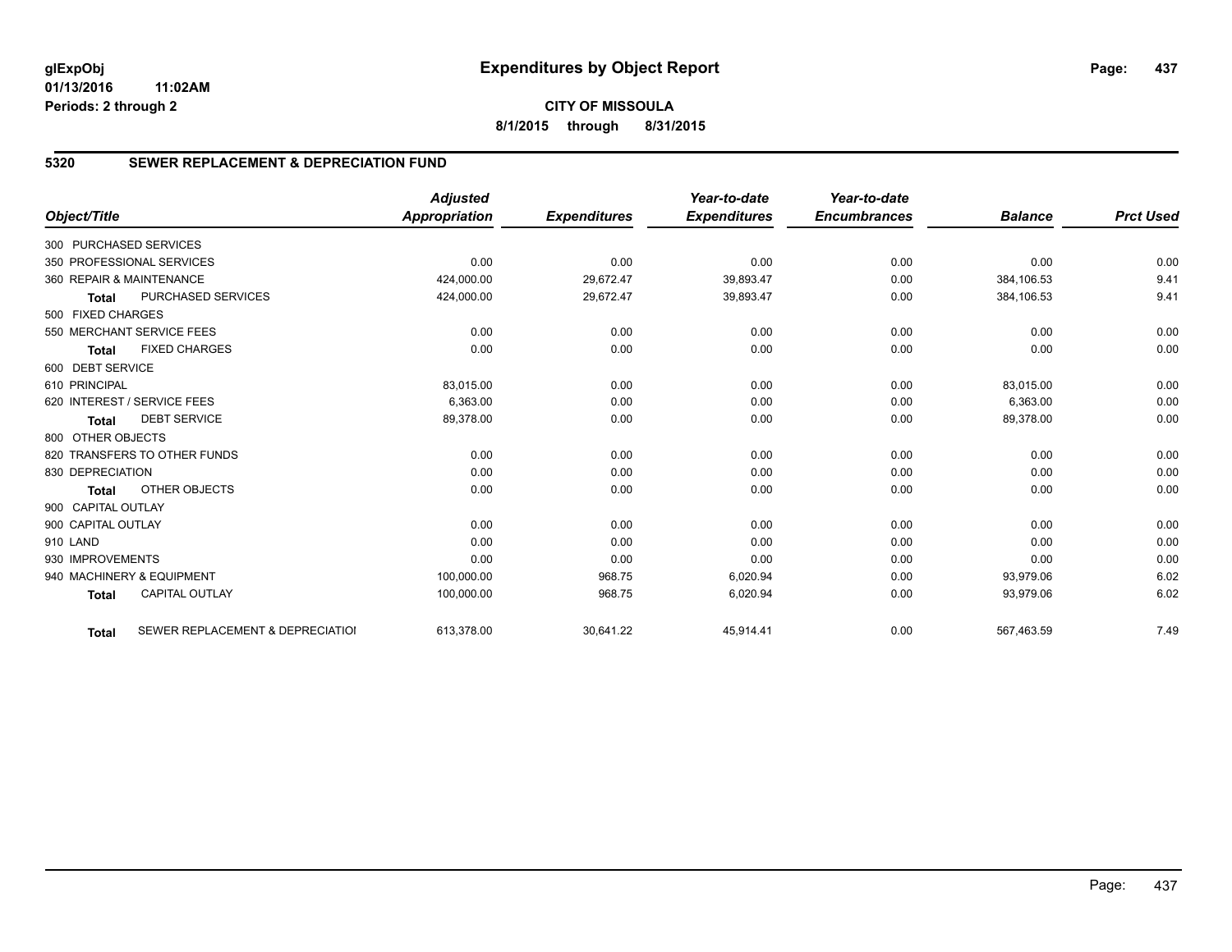# **5320 SEWER REPLACEMENT & DEPRECIATION FUND**

|                        |                                  | <b>Adjusted</b> |                     | Year-to-date        | Year-to-date        |                |                  |
|------------------------|----------------------------------|-----------------|---------------------|---------------------|---------------------|----------------|------------------|
| Object/Title           |                                  | Appropriation   | <b>Expenditures</b> | <b>Expenditures</b> | <b>Encumbrances</b> | <b>Balance</b> | <b>Prct Used</b> |
| 300 PURCHASED SERVICES |                                  |                 |                     |                     |                     |                |                  |
|                        | 350 PROFESSIONAL SERVICES        | 0.00            | 0.00                | 0.00                | 0.00                | 0.00           | 0.00             |
|                        | 360 REPAIR & MAINTENANCE         | 424,000.00      | 29,672.47           | 39,893.47           | 0.00                | 384,106.53     | 9.41             |
| <b>Total</b>           | PURCHASED SERVICES               | 424,000.00      | 29,672.47           | 39,893.47           | 0.00                | 384,106.53     | 9.41             |
| 500 FIXED CHARGES      |                                  |                 |                     |                     |                     |                |                  |
|                        | 550 MERCHANT SERVICE FEES        | 0.00            | 0.00                | 0.00                | 0.00                | 0.00           | 0.00             |
| <b>Total</b>           | <b>FIXED CHARGES</b>             | 0.00            | 0.00                | 0.00                | 0.00                | 0.00           | 0.00             |
| 600 DEBT SERVICE       |                                  |                 |                     |                     |                     |                |                  |
| 610 PRINCIPAL          |                                  | 83,015.00       | 0.00                | 0.00                | 0.00                | 83,015.00      | 0.00             |
|                        | 620 INTEREST / SERVICE FEES      | 6,363.00        | 0.00                | 0.00                | 0.00                | 6,363.00       | 0.00             |
| <b>Total</b>           | <b>DEBT SERVICE</b>              | 89,378.00       | 0.00                | 0.00                | 0.00                | 89,378.00      | 0.00             |
| 800 OTHER OBJECTS      |                                  |                 |                     |                     |                     |                |                  |
|                        | 820 TRANSFERS TO OTHER FUNDS     | 0.00            | 0.00                | 0.00                | 0.00                | 0.00           | 0.00             |
| 830 DEPRECIATION       |                                  | 0.00            | 0.00                | 0.00                | 0.00                | 0.00           | 0.00             |
| <b>Total</b>           | OTHER OBJECTS                    | 0.00            | 0.00                | 0.00                | 0.00                | 0.00           | 0.00             |
| 900 CAPITAL OUTLAY     |                                  |                 |                     |                     |                     |                |                  |
| 900 CAPITAL OUTLAY     |                                  | 0.00            | 0.00                | 0.00                | 0.00                | 0.00           | 0.00             |
| 910 LAND               |                                  | 0.00            | 0.00                | 0.00                | 0.00                | 0.00           | 0.00             |
| 930 IMPROVEMENTS       |                                  | 0.00            | 0.00                | 0.00                | 0.00                | 0.00           | 0.00             |
|                        | 940 MACHINERY & EQUIPMENT        | 100,000.00      | 968.75              | 6,020.94            | 0.00                | 93,979.06      | 6.02             |
| <b>Total</b>           | <b>CAPITAL OUTLAY</b>            | 100,000.00      | 968.75              | 6,020.94            | 0.00                | 93,979.06      | 6.02             |
| <b>Total</b>           | SEWER REPLACEMENT & DEPRECIATION | 613,378.00      | 30,641.22           | 45,914.41           | 0.00                | 567,463.59     | 7.49             |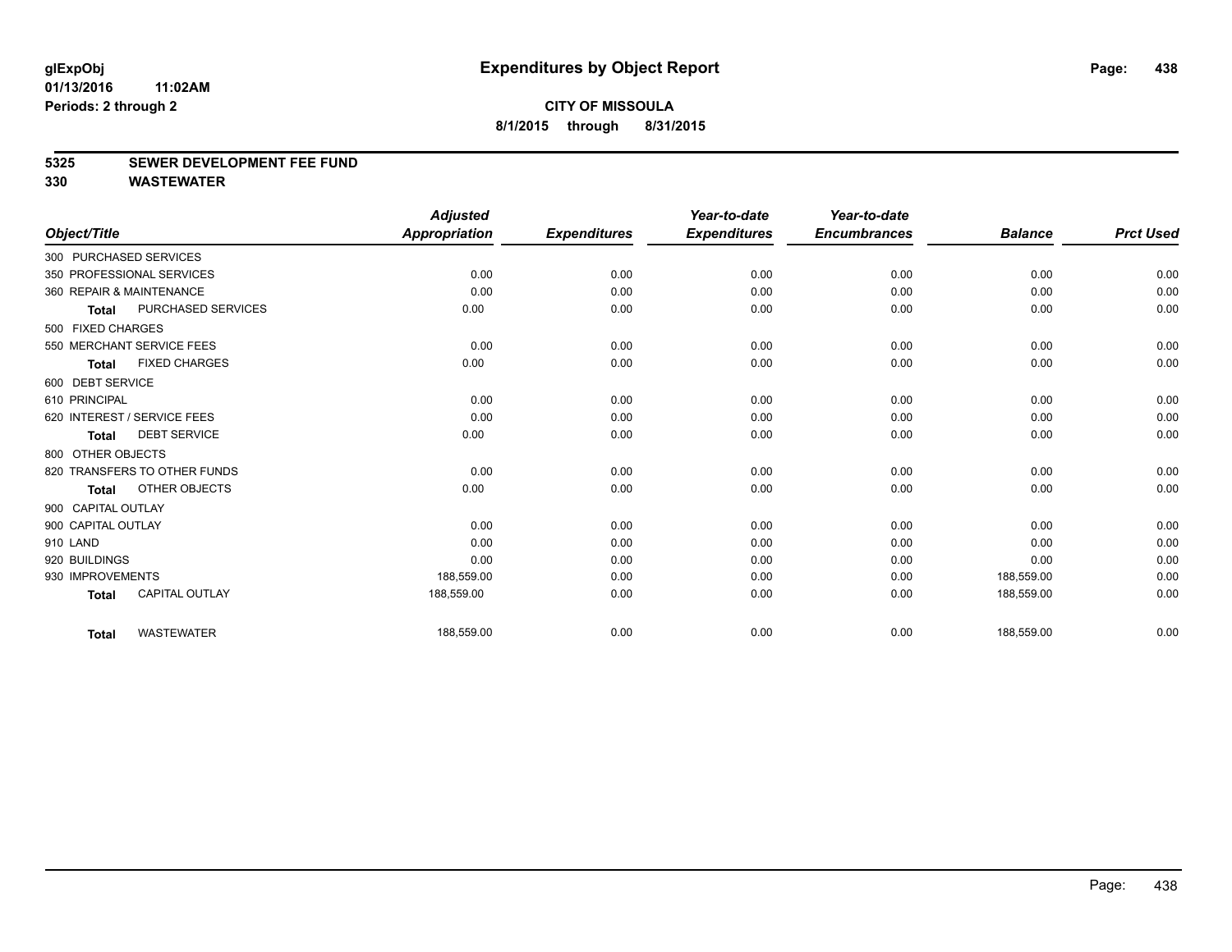#### **5325 SEWER DEVELOPMENT FEE FUND**

|                    |                              | <b>Adjusted</b>      |                     | Year-to-date        | Year-to-date        |                |                  |
|--------------------|------------------------------|----------------------|---------------------|---------------------|---------------------|----------------|------------------|
| Object/Title       |                              | <b>Appropriation</b> | <b>Expenditures</b> | <b>Expenditures</b> | <b>Encumbrances</b> | <b>Balance</b> | <b>Prct Used</b> |
|                    | 300 PURCHASED SERVICES       |                      |                     |                     |                     |                |                  |
|                    | 350 PROFESSIONAL SERVICES    | 0.00                 | 0.00                | 0.00                | 0.00                | 0.00           | 0.00             |
|                    | 360 REPAIR & MAINTENANCE     | 0.00                 | 0.00                | 0.00                | 0.00                | 0.00           | 0.00             |
| <b>Total</b>       | PURCHASED SERVICES           | 0.00                 | 0.00                | 0.00                | 0.00                | 0.00           | 0.00             |
| 500 FIXED CHARGES  |                              |                      |                     |                     |                     |                |                  |
|                    | 550 MERCHANT SERVICE FEES    | 0.00                 | 0.00                | 0.00                | 0.00                | 0.00           | 0.00             |
| <b>Total</b>       | <b>FIXED CHARGES</b>         | 0.00                 | 0.00                | 0.00                | 0.00                | 0.00           | 0.00             |
| 600 DEBT SERVICE   |                              |                      |                     |                     |                     |                |                  |
| 610 PRINCIPAL      |                              | 0.00                 | 0.00                | 0.00                | 0.00                | 0.00           | 0.00             |
|                    | 620 INTEREST / SERVICE FEES  | 0.00                 | 0.00                | 0.00                | 0.00                | 0.00           | 0.00             |
| <b>Total</b>       | <b>DEBT SERVICE</b>          | 0.00                 | 0.00                | 0.00                | 0.00                | 0.00           | 0.00             |
| 800 OTHER OBJECTS  |                              |                      |                     |                     |                     |                |                  |
|                    | 820 TRANSFERS TO OTHER FUNDS | 0.00                 | 0.00                | 0.00                | 0.00                | 0.00           | 0.00             |
| <b>Total</b>       | OTHER OBJECTS                | 0.00                 | 0.00                | 0.00                | 0.00                | 0.00           | 0.00             |
| 900 CAPITAL OUTLAY |                              |                      |                     |                     |                     |                |                  |
| 900 CAPITAL OUTLAY |                              | 0.00                 | 0.00                | 0.00                | 0.00                | 0.00           | 0.00             |
| 910 LAND           |                              | 0.00                 | 0.00                | 0.00                | 0.00                | 0.00           | 0.00             |
| 920 BUILDINGS      |                              | 0.00                 | 0.00                | 0.00                | 0.00                | 0.00           | 0.00             |
| 930 IMPROVEMENTS   |                              | 188,559.00           | 0.00                | 0.00                | 0.00                | 188,559.00     | 0.00             |
| <b>Total</b>       | <b>CAPITAL OUTLAY</b>        | 188,559.00           | 0.00                | 0.00                | 0.00                | 188,559.00     | 0.00             |
| <b>Total</b>       | <b>WASTEWATER</b>            | 188,559.00           | 0.00                | 0.00                | 0.00                | 188,559.00     | 0.00             |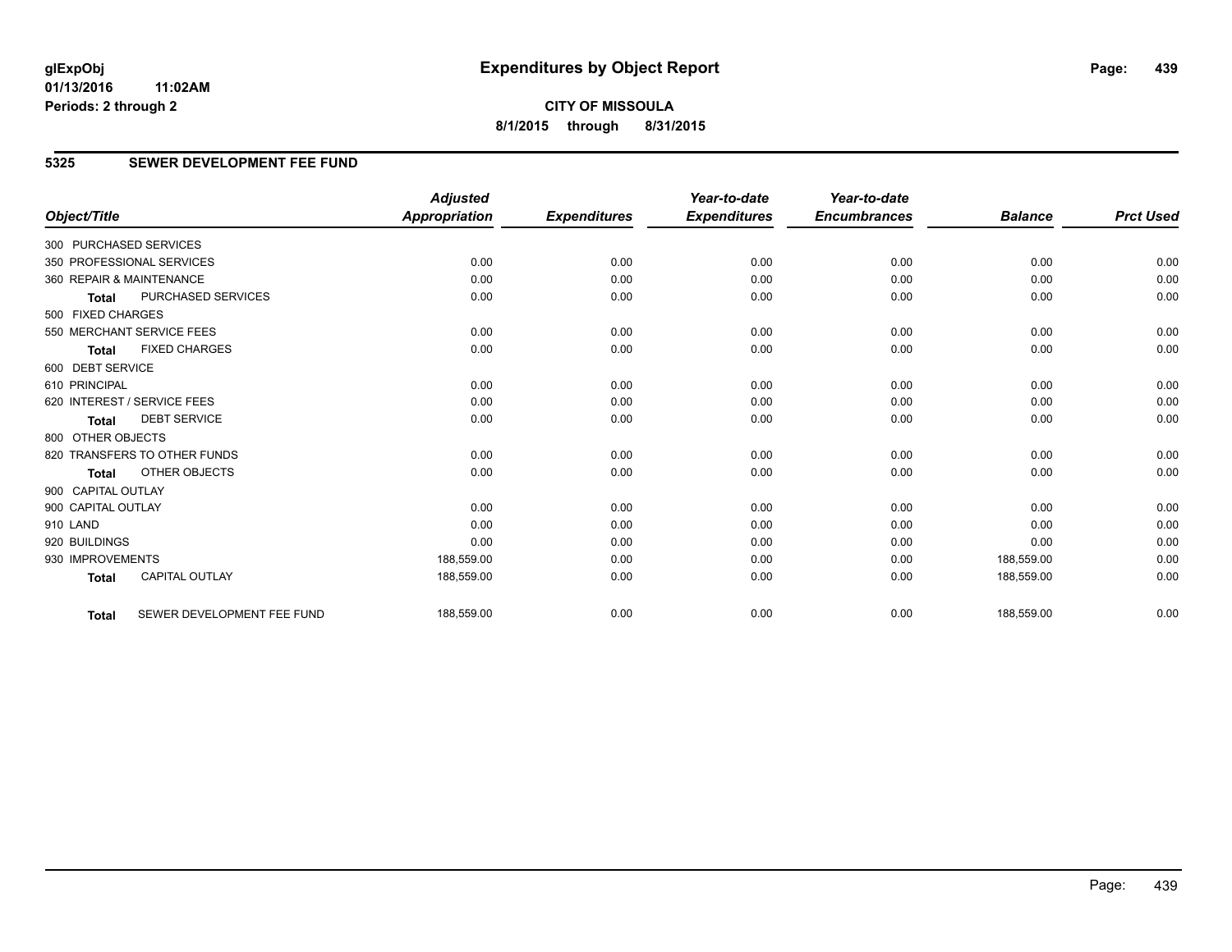**CITY OF MISSOULA 8/1/2015 through 8/31/2015**

## **5325 SEWER DEVELOPMENT FEE FUND**

|                        |                              | <b>Adjusted</b>      |                     | Year-to-date        | Year-to-date        |                |                  |
|------------------------|------------------------------|----------------------|---------------------|---------------------|---------------------|----------------|------------------|
| Object/Title           |                              | <b>Appropriation</b> | <b>Expenditures</b> | <b>Expenditures</b> | <b>Encumbrances</b> | <b>Balance</b> | <b>Prct Used</b> |
| 300 PURCHASED SERVICES |                              |                      |                     |                     |                     |                |                  |
|                        | 350 PROFESSIONAL SERVICES    | 0.00                 | 0.00                | 0.00                | 0.00                | 0.00           | 0.00             |
|                        | 360 REPAIR & MAINTENANCE     | 0.00                 | 0.00                | 0.00                | 0.00                | 0.00           | 0.00             |
| <b>Total</b>           | PURCHASED SERVICES           | 0.00                 | 0.00                | 0.00                | 0.00                | 0.00           | 0.00             |
| 500 FIXED CHARGES      |                              |                      |                     |                     |                     |                |                  |
|                        | 550 MERCHANT SERVICE FEES    | 0.00                 | 0.00                | 0.00                | 0.00                | 0.00           | 0.00             |
| <b>Total</b>           | <b>FIXED CHARGES</b>         | 0.00                 | 0.00                | 0.00                | 0.00                | 0.00           | 0.00             |
| 600 DEBT SERVICE       |                              |                      |                     |                     |                     |                |                  |
| 610 PRINCIPAL          |                              | 0.00                 | 0.00                | 0.00                | 0.00                | 0.00           | 0.00             |
|                        | 620 INTEREST / SERVICE FEES  | 0.00                 | 0.00                | 0.00                | 0.00                | 0.00           | 0.00             |
| <b>Total</b>           | <b>DEBT SERVICE</b>          | 0.00                 | 0.00                | 0.00                | 0.00                | 0.00           | 0.00             |
| 800 OTHER OBJECTS      |                              |                      |                     |                     |                     |                |                  |
|                        | 820 TRANSFERS TO OTHER FUNDS | 0.00                 | 0.00                | 0.00                | 0.00                | 0.00           | 0.00             |
| <b>Total</b>           | OTHER OBJECTS                | 0.00                 | 0.00                | 0.00                | 0.00                | 0.00           | 0.00             |
| 900 CAPITAL OUTLAY     |                              |                      |                     |                     |                     |                |                  |
| 900 CAPITAL OUTLAY     |                              | 0.00                 | 0.00                | 0.00                | 0.00                | 0.00           | 0.00             |
| 910 LAND               |                              | 0.00                 | 0.00                | 0.00                | 0.00                | 0.00           | 0.00             |
| 920 BUILDINGS          |                              | 0.00                 | 0.00                | 0.00                | 0.00                | 0.00           | 0.00             |
| 930 IMPROVEMENTS       |                              | 188,559.00           | 0.00                | 0.00                | 0.00                | 188,559.00     | 0.00             |
| <b>Total</b>           | <b>CAPITAL OUTLAY</b>        | 188,559.00           | 0.00                | 0.00                | 0.00                | 188,559.00     | 0.00             |
| <b>Total</b>           | SEWER DEVELOPMENT FEE FUND   | 188,559.00           | 0.00                | 0.00                | 0.00                | 188,559.00     | 0.00             |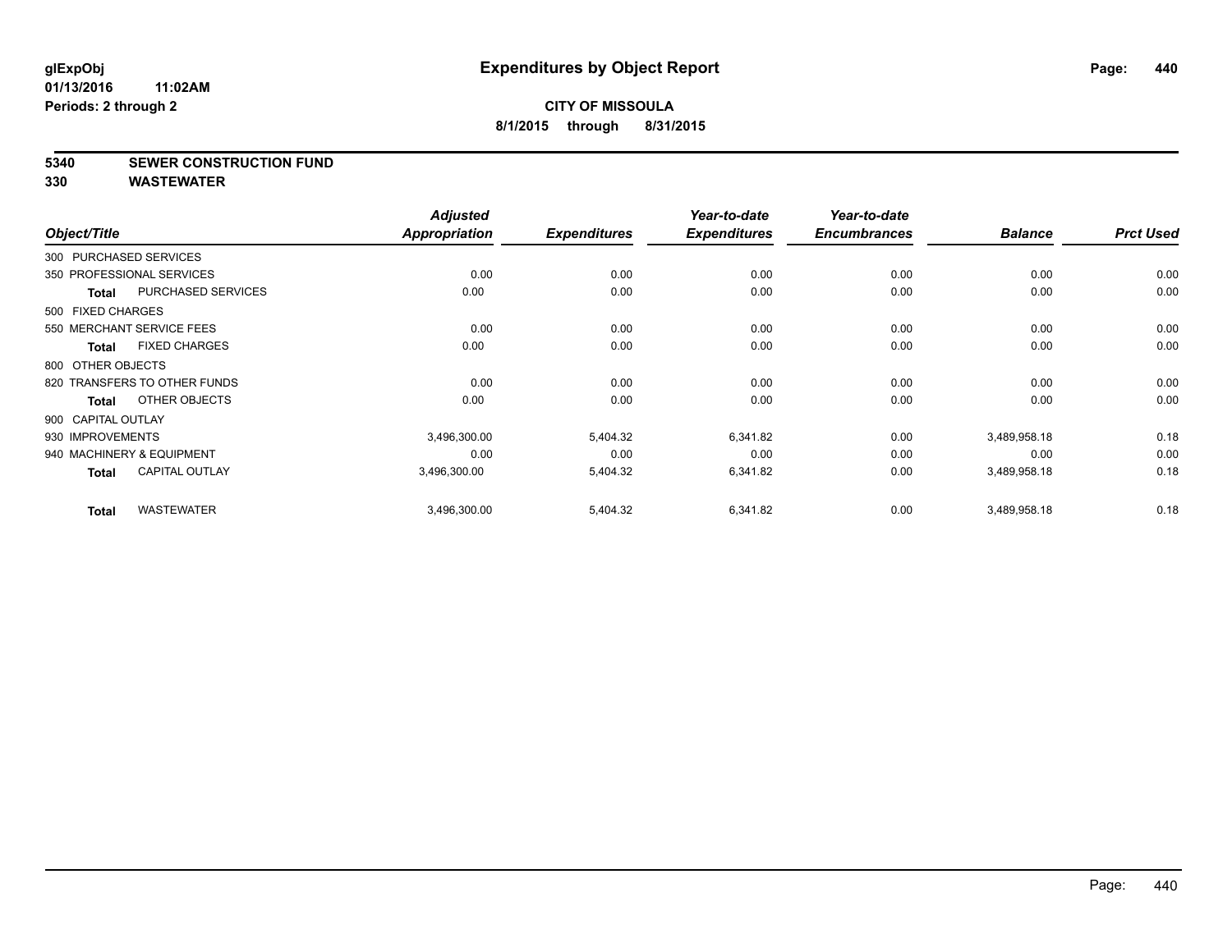#### **5340 SEWER CONSTRUCTION FUND**

| Object/Title           |                              | <b>Adjusted</b><br>Appropriation | <b>Expenditures</b> | Year-to-date<br><b>Expenditures</b> | Year-to-date<br><b>Encumbrances</b> | <b>Balance</b> | <b>Prct Used</b> |
|------------------------|------------------------------|----------------------------------|---------------------|-------------------------------------|-------------------------------------|----------------|------------------|
| 300 PURCHASED SERVICES |                              |                                  |                     |                                     |                                     |                |                  |
|                        | 350 PROFESSIONAL SERVICES    | 0.00                             | 0.00                | 0.00                                | 0.00                                | 0.00           | 0.00             |
| <b>Total</b>           | PURCHASED SERVICES           | 0.00                             | 0.00                | 0.00                                | 0.00                                | 0.00           | 0.00             |
| 500 FIXED CHARGES      |                              |                                  |                     |                                     |                                     |                |                  |
|                        | 550 MERCHANT SERVICE FEES    | 0.00                             | 0.00                | 0.00                                | 0.00                                | 0.00           | 0.00             |
| Total                  | <b>FIXED CHARGES</b>         | 0.00                             | 0.00                | 0.00                                | 0.00                                | 0.00           | 0.00             |
| 800 OTHER OBJECTS      |                              |                                  |                     |                                     |                                     |                |                  |
|                        | 820 TRANSFERS TO OTHER FUNDS | 0.00                             | 0.00                | 0.00                                | 0.00                                | 0.00           | 0.00             |
| Total                  | OTHER OBJECTS                | 0.00                             | 0.00                | 0.00                                | 0.00                                | 0.00           | 0.00             |
| 900 CAPITAL OUTLAY     |                              |                                  |                     |                                     |                                     |                |                  |
| 930 IMPROVEMENTS       |                              | 3,496,300.00                     | 5,404.32            | 6,341.82                            | 0.00                                | 3,489,958.18   | 0.18             |
|                        | 940 MACHINERY & EQUIPMENT    | 0.00                             | 0.00                | 0.00                                | 0.00                                | 0.00           | 0.00             |
| Total                  | <b>CAPITAL OUTLAY</b>        | 3,496,300.00                     | 5,404.32            | 6,341.82                            | 0.00                                | 3,489,958.18   | 0.18             |
| <b>Total</b>           | <b>WASTEWATER</b>            | 3,496,300.00                     | 5,404.32            | 6,341.82                            | 0.00                                | 3,489,958.18   | 0.18             |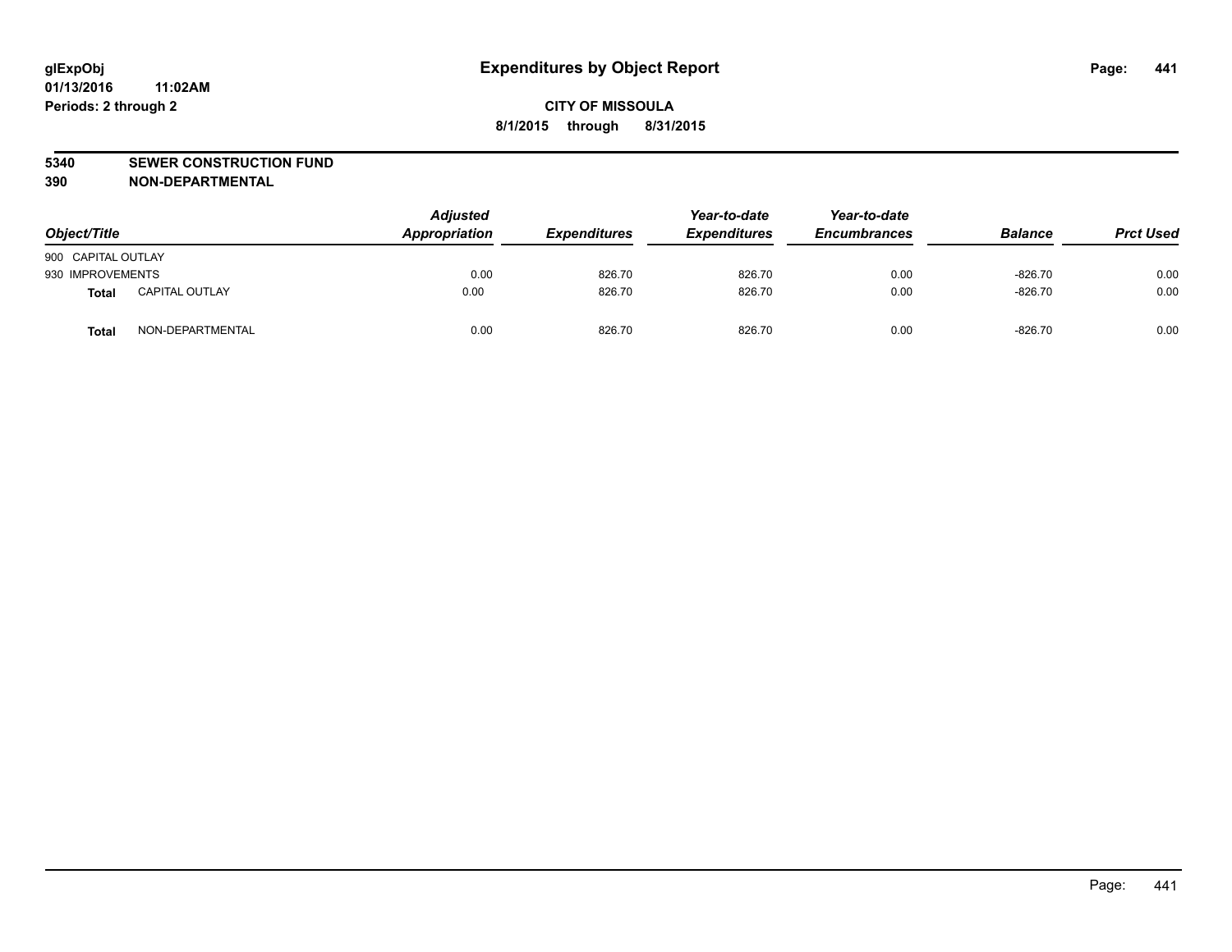#### **5340 SEWER CONSTRUCTION FUND**

**390 NON-DEPARTMENTAL**

| Object/Title       |                       | <b>Adjusted</b><br>Appropriation | <b>Expenditures</b> | Year-to-date<br><b>Expenditures</b> | Year-to-date<br><b>Encumbrances</b> | <b>Balance</b> | <b>Prct Used</b> |
|--------------------|-----------------------|----------------------------------|---------------------|-------------------------------------|-------------------------------------|----------------|------------------|
| 900 CAPITAL OUTLAY |                       |                                  |                     |                                     |                                     |                |                  |
| 930 IMPROVEMENTS   |                       | 0.00                             | 826.70              | 826.70                              | 0.00                                | $-826.70$      | 0.00             |
| <b>Total</b>       | <b>CAPITAL OUTLAY</b> | 0.00                             | 826.70              | 826.70                              | 0.00                                | $-826.70$      | 0.00             |
| <b>Total</b>       | NON-DEPARTMENTAL      | 0.00                             | 826.70              | 826.70                              | 0.00                                | $-826.70$      | 0.00             |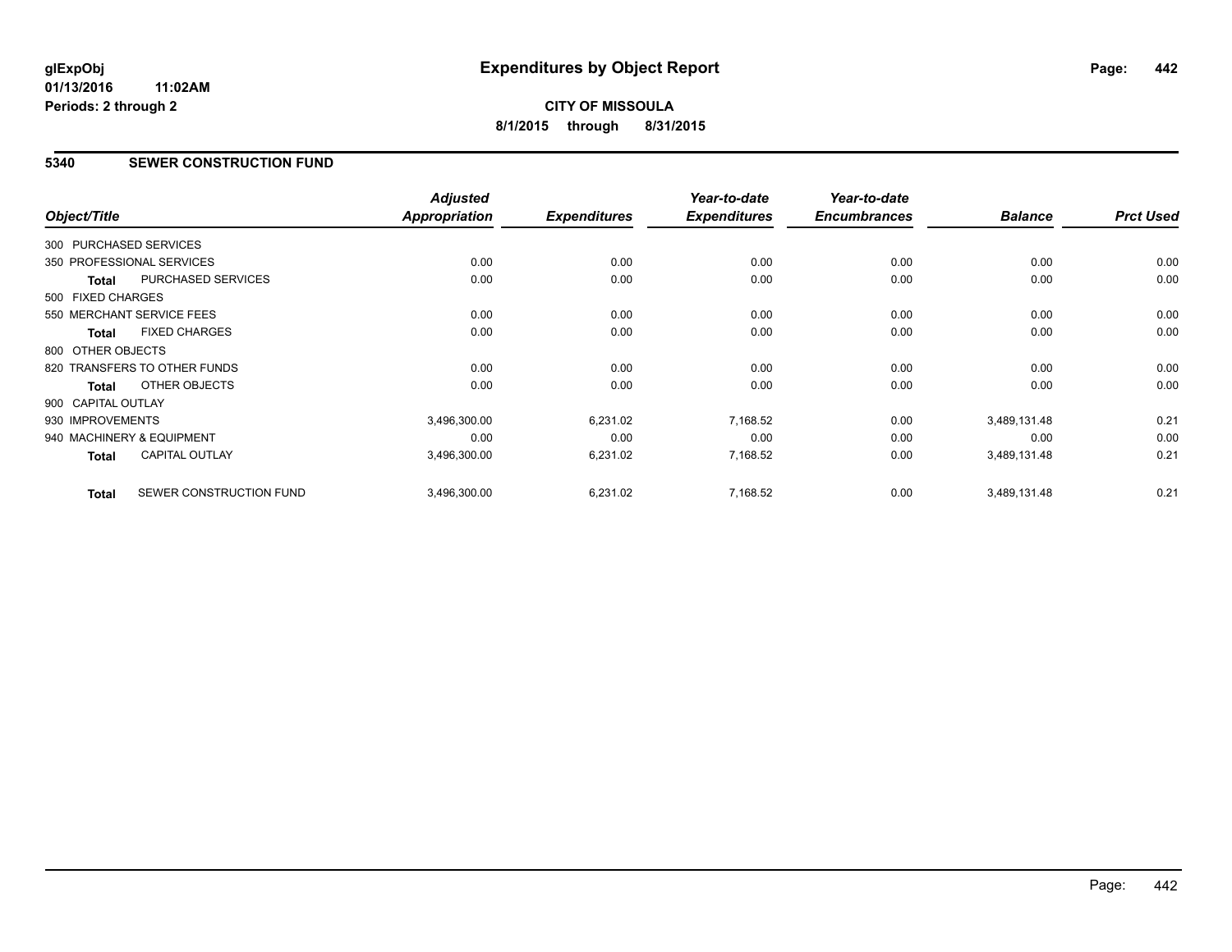#### **5340 SEWER CONSTRUCTION FUND**

| Object/Title           |                              | <b>Adjusted</b><br>Appropriation | <b>Expenditures</b> | Year-to-date<br><b>Expenditures</b> | Year-to-date<br><b>Encumbrances</b> | <b>Balance</b> | <b>Prct Used</b> |
|------------------------|------------------------------|----------------------------------|---------------------|-------------------------------------|-------------------------------------|----------------|------------------|
|                        |                              |                                  |                     |                                     |                                     |                |                  |
| 300 PURCHASED SERVICES |                              |                                  |                     |                                     |                                     |                |                  |
|                        | 350 PROFESSIONAL SERVICES    | 0.00                             | 0.00                | 0.00                                | 0.00                                | 0.00           | 0.00             |
| <b>Total</b>           | PURCHASED SERVICES           | 0.00                             | 0.00                | 0.00                                | 0.00                                | 0.00           | 0.00             |
| 500 FIXED CHARGES      |                              |                                  |                     |                                     |                                     |                |                  |
|                        | 550 MERCHANT SERVICE FEES    | 0.00                             | 0.00                | 0.00                                | 0.00                                | 0.00           | 0.00             |
| <b>Total</b>           | <b>FIXED CHARGES</b>         | 0.00                             | 0.00                | 0.00                                | 0.00                                | 0.00           | 0.00             |
| 800 OTHER OBJECTS      |                              |                                  |                     |                                     |                                     |                |                  |
|                        | 820 TRANSFERS TO OTHER FUNDS | 0.00                             | 0.00                | 0.00                                | 0.00                                | 0.00           | 0.00             |
| Total                  | OTHER OBJECTS                | 0.00                             | 0.00                | 0.00                                | 0.00                                | 0.00           | 0.00             |
| 900 CAPITAL OUTLAY     |                              |                                  |                     |                                     |                                     |                |                  |
| 930 IMPROVEMENTS       |                              | 3,496,300.00                     | 6,231.02            | 7,168.52                            | 0.00                                | 3,489,131.48   | 0.21             |
|                        | 940 MACHINERY & EQUIPMENT    | 0.00                             | 0.00                | 0.00                                | 0.00                                | 0.00           | 0.00             |
| Total                  | <b>CAPITAL OUTLAY</b>        | 3,496,300.00                     | 6,231.02            | 7,168.52                            | 0.00                                | 3,489,131.48   | 0.21             |
| <b>Total</b>           | SEWER CONSTRUCTION FUND      | 3,496,300.00                     | 6,231.02            | 7,168.52                            | 0.00                                | 3,489,131.48   | 0.21             |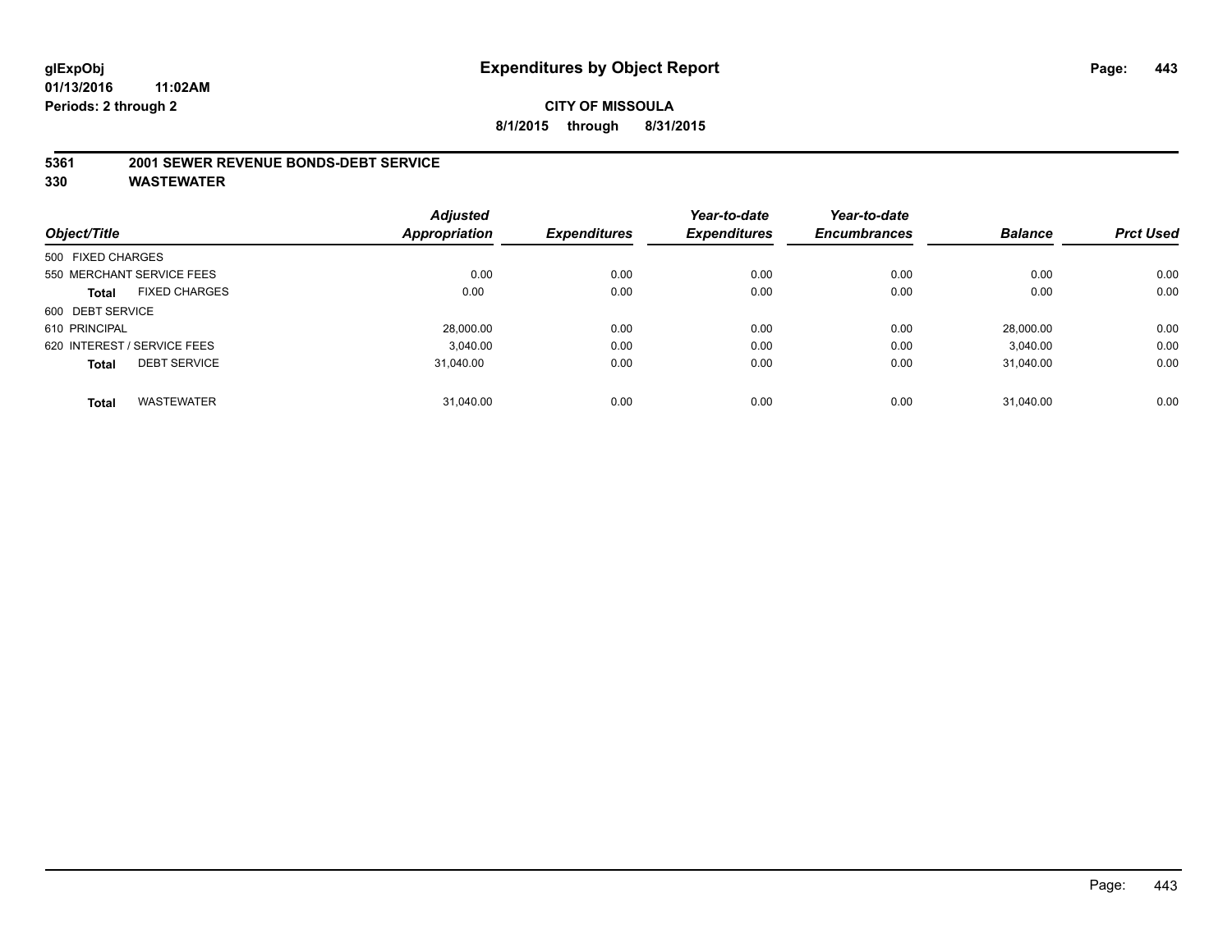#### **5361 2001 SEWER REVENUE BONDS-DEBT SERVICE**

|                   |                             | <b>Adjusted</b> |                     | Year-to-date        | Year-to-date        |                |                  |
|-------------------|-----------------------------|-----------------|---------------------|---------------------|---------------------|----------------|------------------|
| Object/Title      |                             | Appropriation   | <b>Expenditures</b> | <b>Expenditures</b> | <b>Encumbrances</b> | <b>Balance</b> | <b>Prct Used</b> |
| 500 FIXED CHARGES |                             |                 |                     |                     |                     |                |                  |
|                   | 550 MERCHANT SERVICE FEES   | 0.00            | 0.00                | 0.00                | 0.00                | 0.00           | 0.00             |
| <b>Total</b>      | <b>FIXED CHARGES</b>        | 0.00            | 0.00                | 0.00                | 0.00                | 0.00           | 0.00             |
| 600 DEBT SERVICE  |                             |                 |                     |                     |                     |                |                  |
| 610 PRINCIPAL     |                             | 28,000.00       | 0.00                | 0.00                | 0.00                | 28.000.00      | 0.00             |
|                   | 620 INTEREST / SERVICE FEES | 3.040.00        | 0.00                | 0.00                | 0.00                | 3.040.00       | 0.00             |
| <b>Total</b>      | <b>DEBT SERVICE</b>         | 31.040.00       | 0.00                | 0.00                | 0.00                | 31.040.00      | 0.00             |
|                   |                             |                 |                     |                     |                     |                |                  |
| <b>Total</b>      | <b>WASTEWATER</b>           | 31,040.00       | 0.00                | 0.00                | 0.00                | 31.040.00      | 0.00             |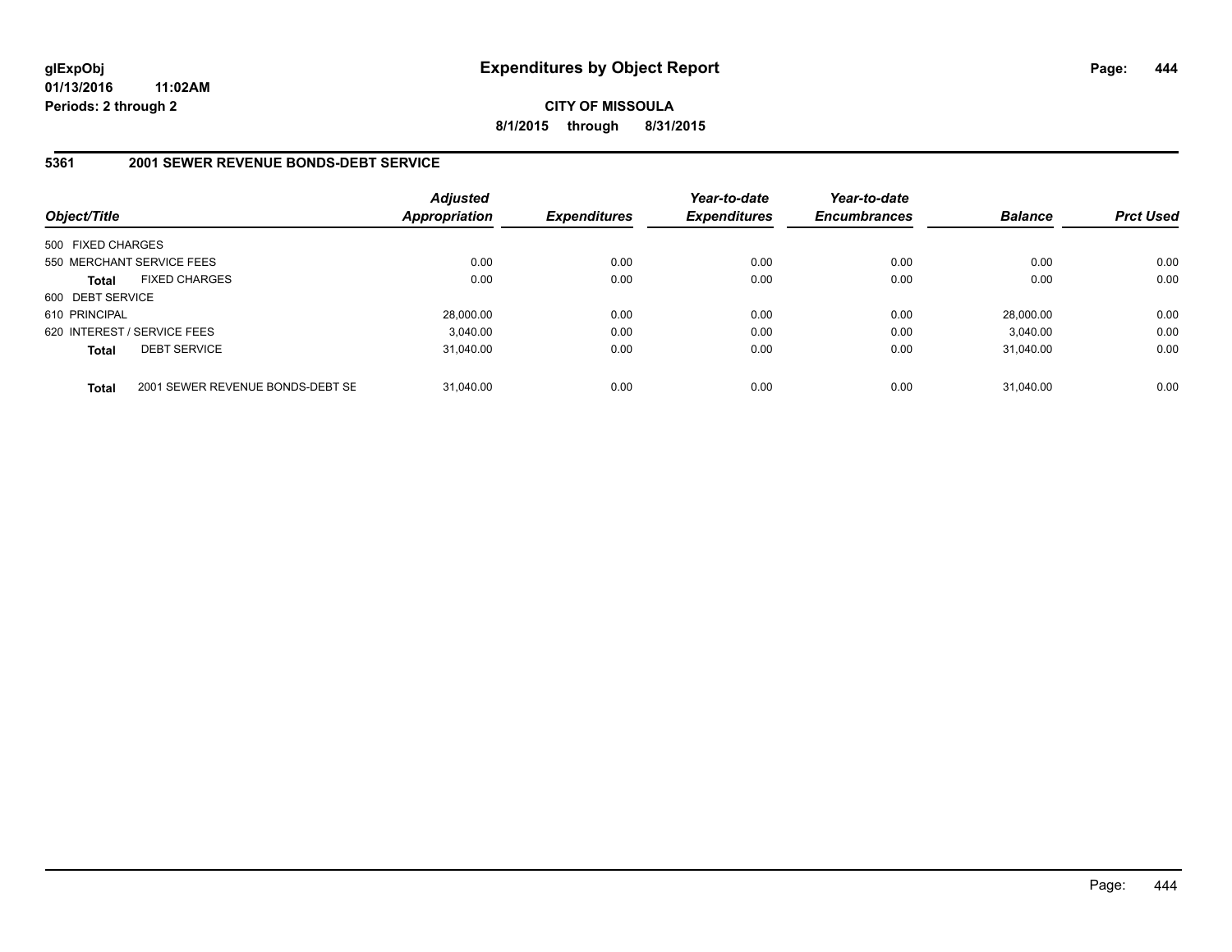**CITY OF MISSOULA 8/1/2015 through 8/31/2015**

#### **5361 2001 SEWER REVENUE BONDS-DEBT SERVICE**

| Object/Title                |                                  | <b>Adjusted</b><br><b>Appropriation</b> | <b>Expenditures</b> | Year-to-date<br><b>Expenditures</b> | Year-to-date<br><b>Encumbrances</b> | <b>Balance</b> | <b>Prct Used</b> |
|-----------------------------|----------------------------------|-----------------------------------------|---------------------|-------------------------------------|-------------------------------------|----------------|------------------|
| 500 FIXED CHARGES           |                                  |                                         |                     |                                     |                                     |                |                  |
|                             | 550 MERCHANT SERVICE FEES        | 0.00                                    | 0.00                | 0.00                                | 0.00                                | 0.00           | 0.00             |
| <b>Total</b>                | <b>FIXED CHARGES</b>             | 0.00                                    | 0.00                | 0.00                                | 0.00                                | 0.00           | 0.00             |
| 600 DEBT SERVICE            |                                  |                                         |                     |                                     |                                     |                |                  |
| 610 PRINCIPAL               |                                  | 28.000.00                               | 0.00                | 0.00                                | 0.00                                | 28,000.00      | 0.00             |
| 620 INTEREST / SERVICE FEES |                                  | 3.040.00                                | 0.00                | 0.00                                | 0.00                                | 3.040.00       | 0.00             |
| <b>Total</b>                | <b>DEBT SERVICE</b>              | 31.040.00                               | 0.00                | 0.00                                | 0.00                                | 31.040.00      | 0.00             |
| <b>Total</b>                | 2001 SEWER REVENUE BONDS-DEBT SE | 31.040.00                               | 0.00                | 0.00                                | 0.00                                | 31.040.00      | 0.00             |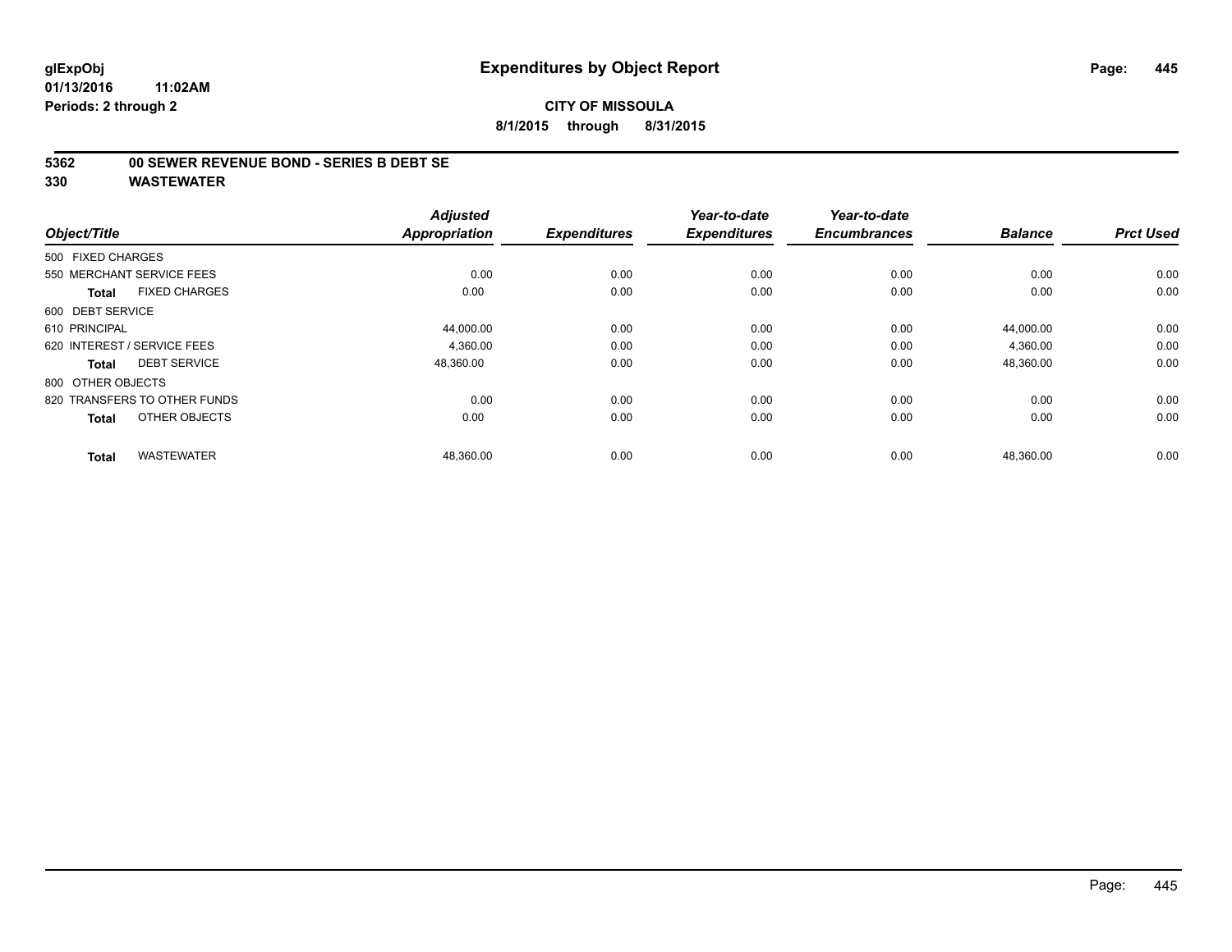**5362 00 SEWER REVENUE BOND - SERIES B DEBT SE**

| Object/Title                         | <b>Appropriation</b> | <b>Adjusted</b> | <b>Expenditures</b> | Year-to-date<br><b>Expenditures</b> | Year-to-date<br><b>Encumbrances</b> | <b>Balance</b> | <b>Prct Used</b> |
|--------------------------------------|----------------------|-----------------|---------------------|-------------------------------------|-------------------------------------|----------------|------------------|
| 500 FIXED CHARGES                    |                      |                 |                     |                                     |                                     |                |                  |
| 550 MERCHANT SERVICE FEES            |                      | 0.00            | 0.00                | 0.00                                | 0.00                                | 0.00           | 0.00             |
| <b>FIXED CHARGES</b><br><b>Total</b> |                      | 0.00            | 0.00                | 0.00                                | 0.00                                | 0.00           | 0.00             |
| 600 DEBT SERVICE                     |                      |                 |                     |                                     |                                     |                |                  |
| 610 PRINCIPAL                        |                      | 44,000.00       | 0.00                | 0.00                                | 0.00                                | 44,000.00      | 0.00             |
| 620 INTEREST / SERVICE FEES          |                      | 4.360.00        | 0.00                | 0.00                                | 0.00                                | 4,360.00       | 0.00             |
| <b>DEBT SERVICE</b><br><b>Total</b>  |                      | 48,360.00       | 0.00                | 0.00                                | 0.00                                | 48,360.00      | 0.00             |
| 800 OTHER OBJECTS                    |                      |                 |                     |                                     |                                     |                |                  |
| 820 TRANSFERS TO OTHER FUNDS         |                      | 0.00            | 0.00                | 0.00                                | 0.00                                | 0.00           | 0.00             |
| OTHER OBJECTS<br><b>Total</b>        |                      | 0.00            | 0.00                | 0.00                                | 0.00                                | 0.00           | 0.00             |
| <b>WASTEWATER</b><br><b>Total</b>    |                      | 48,360.00       | 0.00                | 0.00                                | 0.00                                | 48,360.00      | 0.00             |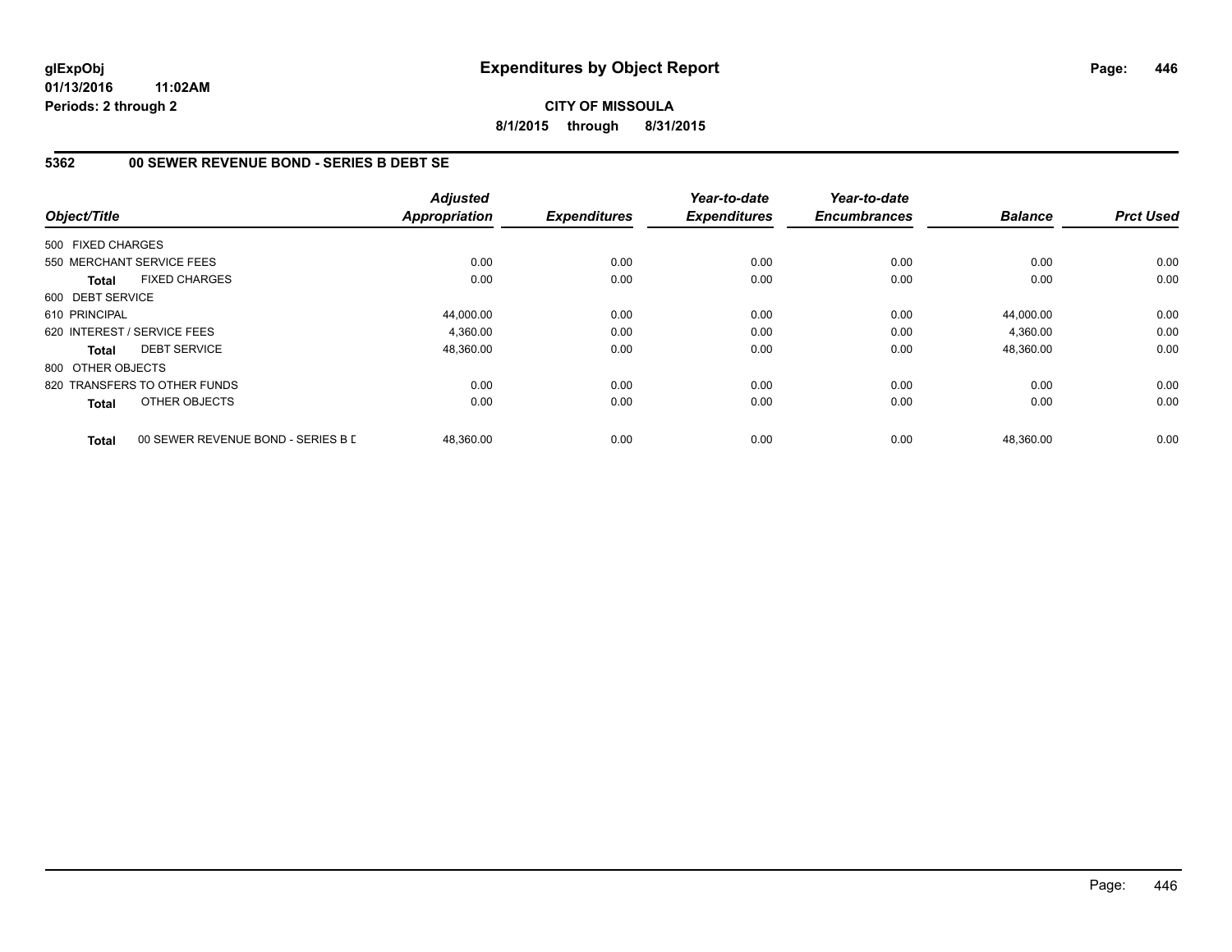# **CITY OF MISSOULA 8/1/2015 through 8/31/2015**

# **5362 00 SEWER REVENUE BOND - SERIES B DEBT SE**

| Object/Title      |                                    | <b>Adjusted</b><br><b>Appropriation</b> | <b>Expenditures</b> | Year-to-date<br><b>Expenditures</b> | Year-to-date<br><b>Encumbrances</b> | <b>Balance</b> | <b>Prct Used</b> |
|-------------------|------------------------------------|-----------------------------------------|---------------------|-------------------------------------|-------------------------------------|----------------|------------------|
| 500 FIXED CHARGES |                                    |                                         |                     |                                     |                                     |                |                  |
|                   | 550 MERCHANT SERVICE FEES          | 0.00                                    | 0.00                | 0.00                                | 0.00                                | 0.00           | 0.00             |
| Total             | <b>FIXED CHARGES</b>               | 0.00                                    | 0.00                | 0.00                                | 0.00                                | 0.00           | 0.00             |
| 600 DEBT SERVICE  |                                    |                                         |                     |                                     |                                     |                |                  |
| 610 PRINCIPAL     |                                    | 44,000.00                               | 0.00                | 0.00                                | 0.00                                | 44.000.00      | 0.00             |
|                   | 620 INTEREST / SERVICE FEES        | 4,360.00                                | 0.00                | 0.00                                | 0.00                                | 4,360.00       | 0.00             |
| Total             | <b>DEBT SERVICE</b>                | 48,360.00                               | 0.00                | 0.00                                | 0.00                                | 48,360.00      | 0.00             |
| 800 OTHER OBJECTS |                                    |                                         |                     |                                     |                                     |                |                  |
|                   | 820 TRANSFERS TO OTHER FUNDS       | 0.00                                    | 0.00                | 0.00                                | 0.00                                | 0.00           | 0.00             |
| Total             | OTHER OBJECTS                      | 0.00                                    | 0.00                | 0.00                                | 0.00                                | 0.00           | 0.00             |
| <b>Total</b>      | 00 SEWER REVENUE BOND - SERIES B D | 48,360.00                               | 0.00                | 0.00                                | 0.00                                | 48,360.00      | 0.00             |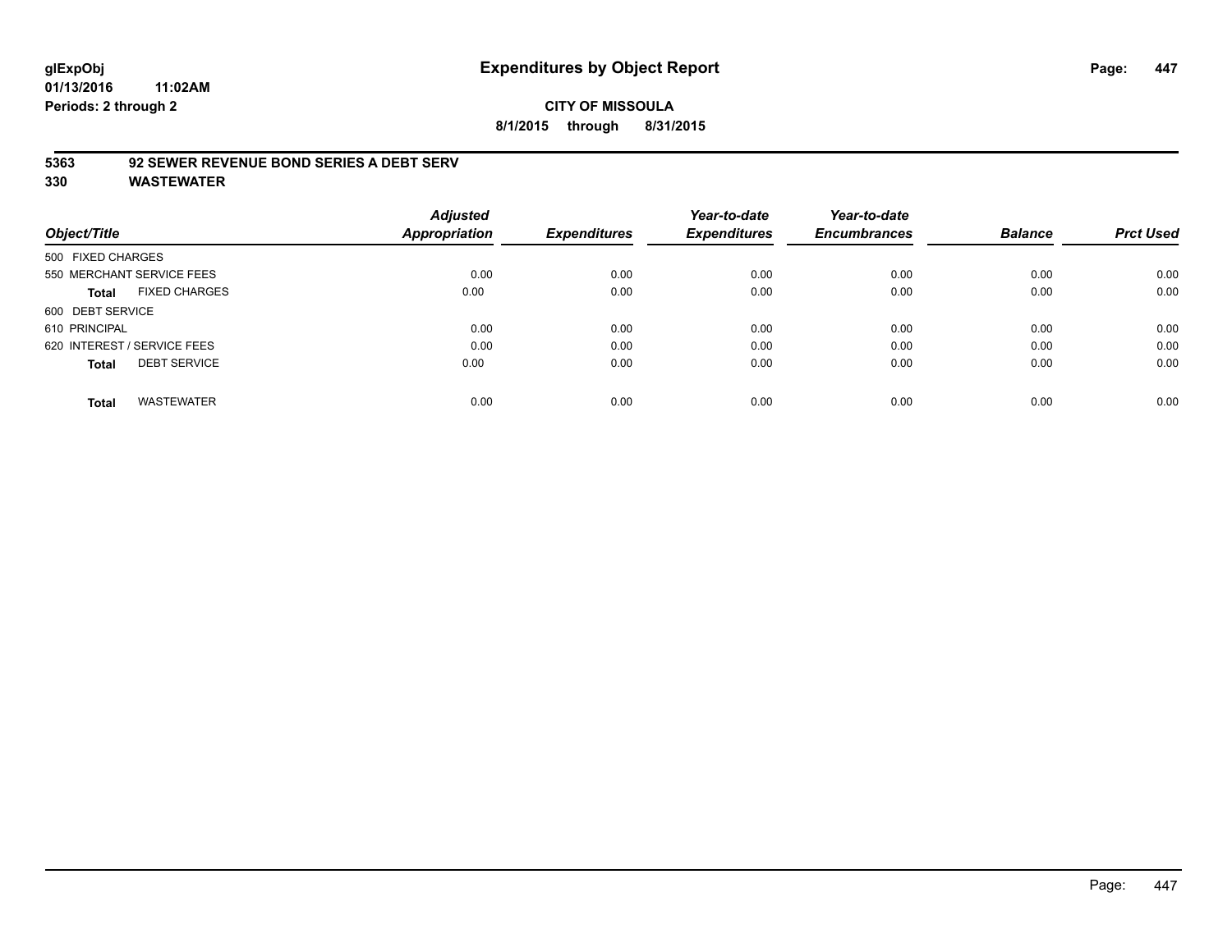# **CITY OF MISSOULA 8/1/2015 through 8/31/2015**

#### **5363 92 SEWER REVENUE BOND SERIES A DEBT SERV**

| Object/Title                         | <b>Adjusted</b><br>Appropriation | <b>Expenditures</b> | Year-to-date<br><b>Expenditures</b> | Year-to-date<br><b>Encumbrances</b> | <b>Balance</b> | <b>Prct Used</b> |
|--------------------------------------|----------------------------------|---------------------|-------------------------------------|-------------------------------------|----------------|------------------|
| 500 FIXED CHARGES                    |                                  |                     |                                     |                                     |                |                  |
| 550 MERCHANT SERVICE FEES            | 0.00                             | 0.00                | 0.00                                | 0.00                                | 0.00           | 0.00             |
| <b>FIXED CHARGES</b><br><b>Total</b> | 0.00                             | 0.00                | 0.00                                | 0.00                                | 0.00           | 0.00             |
| 600 DEBT SERVICE                     |                                  |                     |                                     |                                     |                |                  |
| 610 PRINCIPAL                        | 0.00                             | 0.00                | 0.00                                | 0.00                                | 0.00           | 0.00             |
| 620 INTEREST / SERVICE FEES          | 0.00                             | 0.00                | 0.00                                | 0.00                                | 0.00           | 0.00             |
| <b>DEBT SERVICE</b><br><b>Total</b>  | 0.00                             | 0.00                | 0.00                                | 0.00                                | 0.00           | 0.00             |
| <b>WASTEWATER</b><br><b>Total</b>    | 0.00                             | 0.00                | 0.00                                | 0.00                                | 0.00           | 0.00             |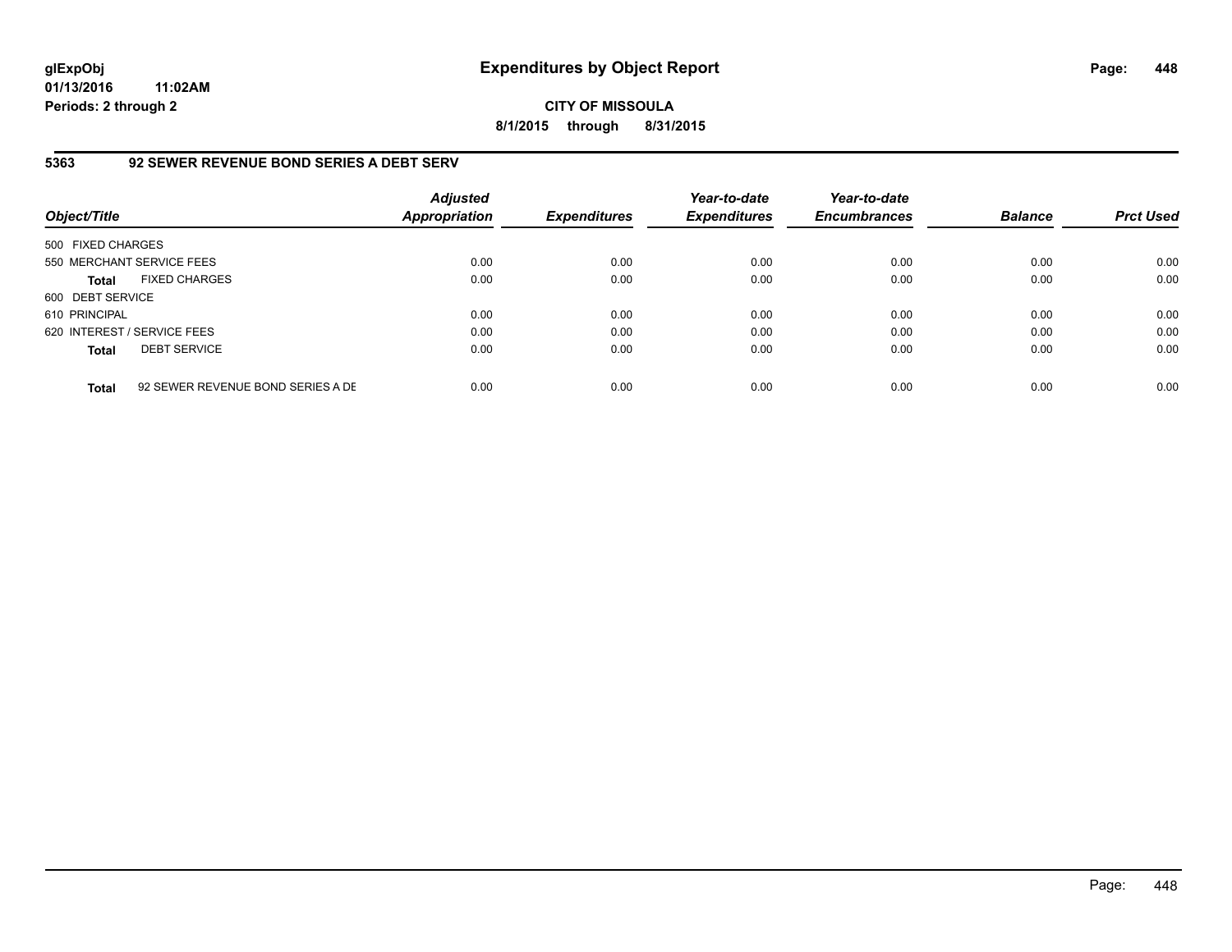# **CITY OF MISSOULA 8/1/2015 through 8/31/2015**

# **5363 92 SEWER REVENUE BOND SERIES A DEBT SERV**

| Object/Title                |                                   | <b>Adjusted</b><br><b>Appropriation</b> | <b>Expenditures</b> | Year-to-date<br><b>Expenditures</b> | Year-to-date<br><b>Encumbrances</b> | <b>Balance</b> | <b>Prct Used</b> |
|-----------------------------|-----------------------------------|-----------------------------------------|---------------------|-------------------------------------|-------------------------------------|----------------|------------------|
| 500 FIXED CHARGES           |                                   |                                         |                     |                                     |                                     |                |                  |
|                             | 550 MERCHANT SERVICE FEES         | 0.00                                    | 0.00                | 0.00                                | 0.00                                | 0.00           | 0.00             |
| <b>Total</b>                | <b>FIXED CHARGES</b>              | 0.00                                    | 0.00                | 0.00                                | 0.00                                | 0.00           | 0.00             |
| 600 DEBT SERVICE            |                                   |                                         |                     |                                     |                                     |                |                  |
| 610 PRINCIPAL               |                                   | 0.00                                    | 0.00                | 0.00                                | 0.00                                | 0.00           | 0.00             |
| 620 INTEREST / SERVICE FEES |                                   | 0.00                                    | 0.00                | 0.00                                | 0.00                                | 0.00           | 0.00             |
| <b>Total</b>                | <b>DEBT SERVICE</b>               | 0.00                                    | 0.00                | 0.00                                | 0.00                                | 0.00           | 0.00             |
| <b>Total</b>                | 92 SEWER REVENUE BOND SERIES A DE | 0.00                                    | 0.00                | 0.00                                | 0.00                                | 0.00           | 0.00             |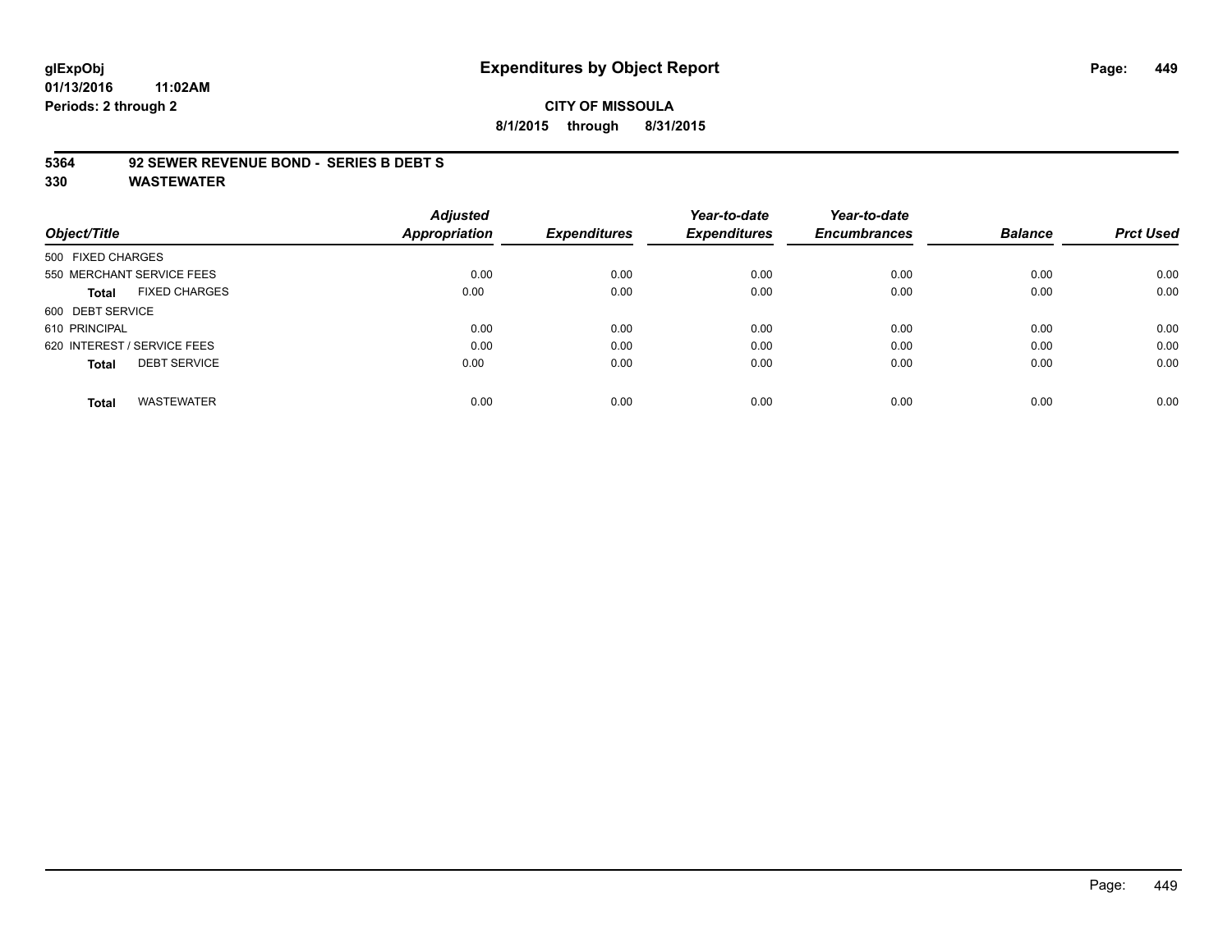# **glExpObj Expenditures by Object Report Page: 449**

**01/13/2016 11:02AM Periods: 2 through 2**

# **CITY OF MISSOULA 8/1/2015 through 8/31/2015**

#### **5364 92 SEWER REVENUE BOND - SERIES B DEBT S**

|                                     | <b>Adjusted</b>      |                     | Year-to-date        | Year-to-date        |                |                  |
|-------------------------------------|----------------------|---------------------|---------------------|---------------------|----------------|------------------|
| Object/Title                        | <b>Appropriation</b> | <b>Expenditures</b> | <b>Expenditures</b> | <b>Encumbrances</b> | <b>Balance</b> | <b>Prct Used</b> |
| 500 FIXED CHARGES                   |                      |                     |                     |                     |                |                  |
| 550 MERCHANT SERVICE FEES           | 0.00                 | 0.00                | 0.00                | 0.00                | 0.00           | 0.00             |
| <b>FIXED CHARGES</b><br>Total       | 0.00                 | 0.00                | 0.00                | 0.00                | 0.00           | 0.00             |
| 600 DEBT SERVICE                    |                      |                     |                     |                     |                |                  |
| 610 PRINCIPAL                       | 0.00                 | 0.00                | 0.00                | 0.00                | 0.00           | 0.00             |
| 620 INTEREST / SERVICE FEES         | 0.00                 | 0.00                | 0.00                | 0.00                | 0.00           | 0.00             |
| <b>DEBT SERVICE</b><br><b>Total</b> | 0.00                 | 0.00                | 0.00                | 0.00                | 0.00           | 0.00             |
| <b>WASTEWATER</b><br><b>Total</b>   | 0.00                 | 0.00                | 0.00                | 0.00                | 0.00           | 0.00             |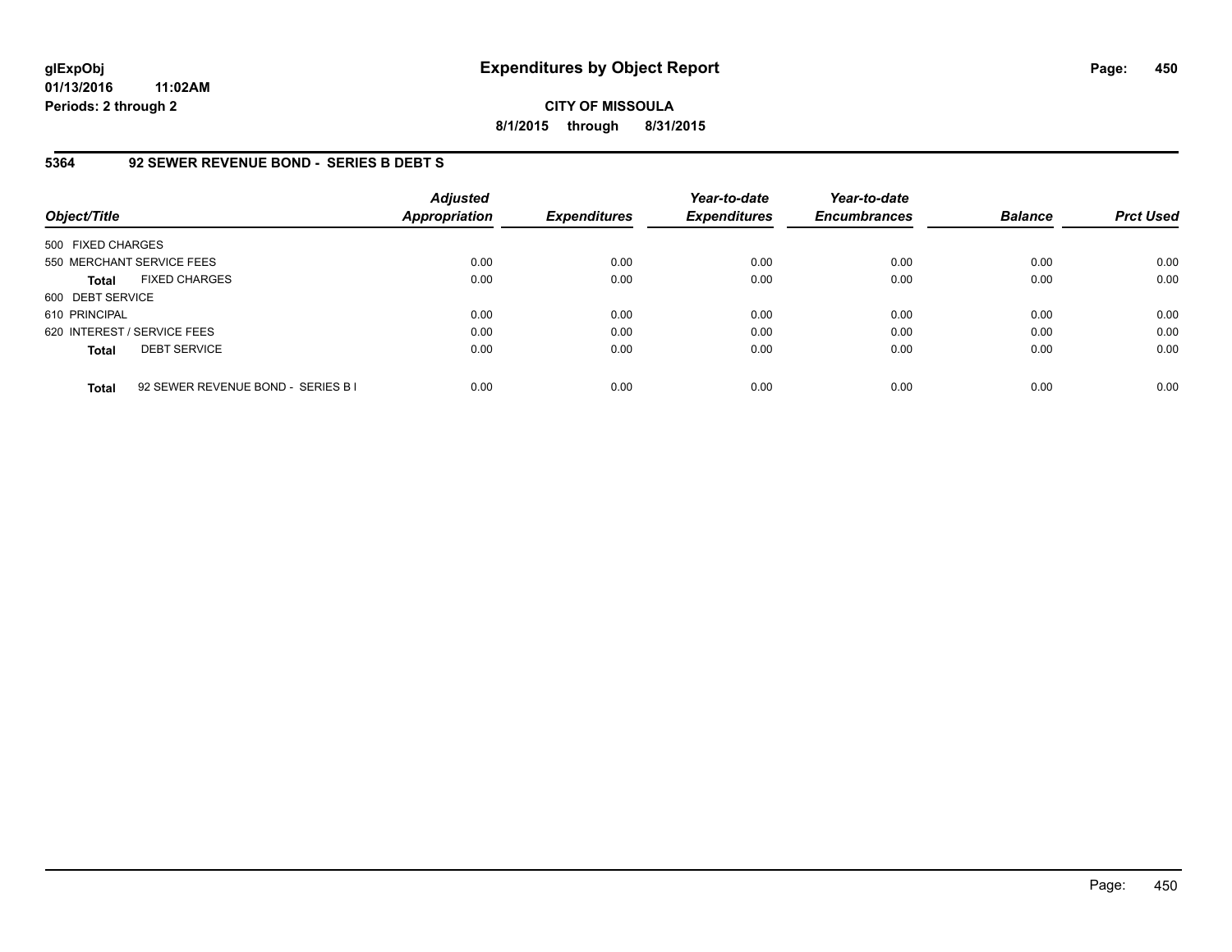**CITY OF MISSOULA 8/1/2015 through 8/31/2015**

## **5364 92 SEWER REVENUE BOND - SERIES B DEBT S**

| Object/Title                |                                    | <b>Adjusted</b><br><b>Appropriation</b> | <b>Expenditures</b> | Year-to-date<br><b>Expenditures</b> | Year-to-date<br><b>Encumbrances</b> | <b>Balance</b> | <b>Prct Used</b> |
|-----------------------------|------------------------------------|-----------------------------------------|---------------------|-------------------------------------|-------------------------------------|----------------|------------------|
| 500 FIXED CHARGES           |                                    |                                         |                     |                                     |                                     |                |                  |
| 550 MERCHANT SERVICE FEES   |                                    | 0.00                                    | 0.00                | 0.00                                | 0.00                                | 0.00           | 0.00             |
| <b>Total</b>                | <b>FIXED CHARGES</b>               | 0.00                                    | 0.00                | 0.00                                | 0.00                                | 0.00           | 0.00             |
| 600 DEBT SERVICE            |                                    |                                         |                     |                                     |                                     |                |                  |
| 610 PRINCIPAL               |                                    | 0.00                                    | 0.00                | 0.00                                | 0.00                                | 0.00           | 0.00             |
| 620 INTEREST / SERVICE FEES |                                    | 0.00                                    | 0.00                | 0.00                                | 0.00                                | 0.00           | 0.00             |
| <b>Total</b>                | <b>DEBT SERVICE</b>                | 0.00                                    | 0.00                | 0.00                                | 0.00                                | 0.00           | 0.00             |
| <b>Total</b>                | 92 SEWER REVENUE BOND - SERIES B I | 0.00                                    | 0.00                | 0.00                                | 0.00                                | 0.00           | 0.00             |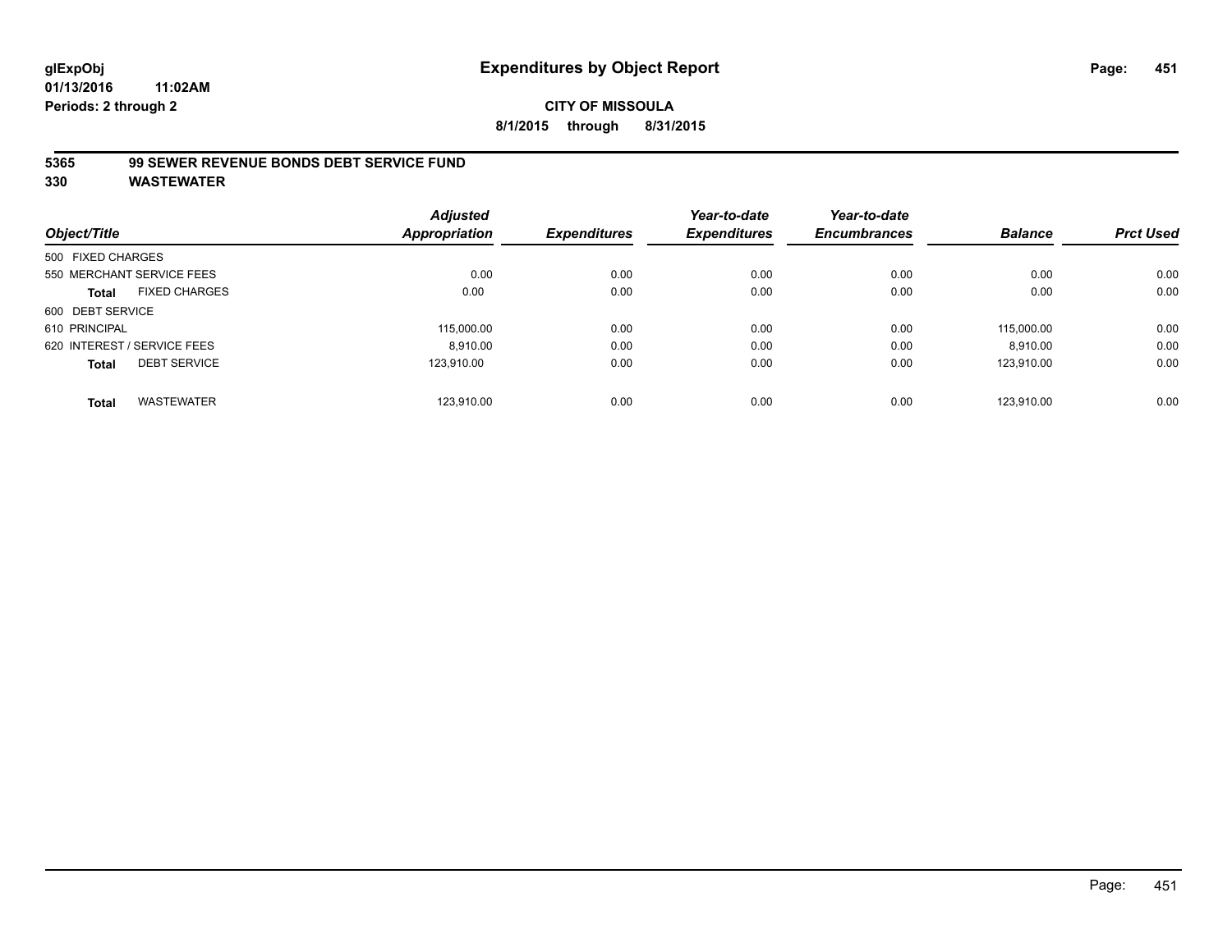## **CITY OF MISSOULA 8/1/2015 through 8/31/2015**

## **5365 99 SEWER REVENUE BONDS DEBT SERVICE FUND**

| Object/Title                         | <b>Adjusted</b><br><b>Appropriation</b> | <b>Expenditures</b> | Year-to-date<br><b>Expenditures</b> | Year-to-date<br><b>Encumbrances</b> | <b>Balance</b> | <b>Prct Used</b> |
|--------------------------------------|-----------------------------------------|---------------------|-------------------------------------|-------------------------------------|----------------|------------------|
|                                      |                                         |                     |                                     |                                     |                |                  |
| 500 FIXED CHARGES                    |                                         |                     |                                     |                                     |                |                  |
| 550 MERCHANT SERVICE FEES            | 0.00                                    | 0.00                | 0.00                                | 0.00                                | 0.00           | 0.00             |
| <b>FIXED CHARGES</b><br><b>Total</b> | 0.00                                    | 0.00                | 0.00                                | 0.00                                | 0.00           | 0.00             |
| 600 DEBT SERVICE                     |                                         |                     |                                     |                                     |                |                  |
| 610 PRINCIPAL                        | 115,000.00                              | 0.00                | 0.00                                | 0.00                                | 115.000.00     | 0.00             |
| 620 INTEREST / SERVICE FEES          | 8.910.00                                | 0.00                | 0.00                                | 0.00                                | 8,910.00       | 0.00             |
| <b>DEBT SERVICE</b><br><b>Total</b>  | 123.910.00                              | 0.00                | 0.00                                | 0.00                                | 123.910.00     | 0.00             |
| <b>WASTEWATER</b><br><b>Total</b>    | 123.910.00                              | 0.00                | 0.00                                | 0.00                                | 123.910.00     | 0.00             |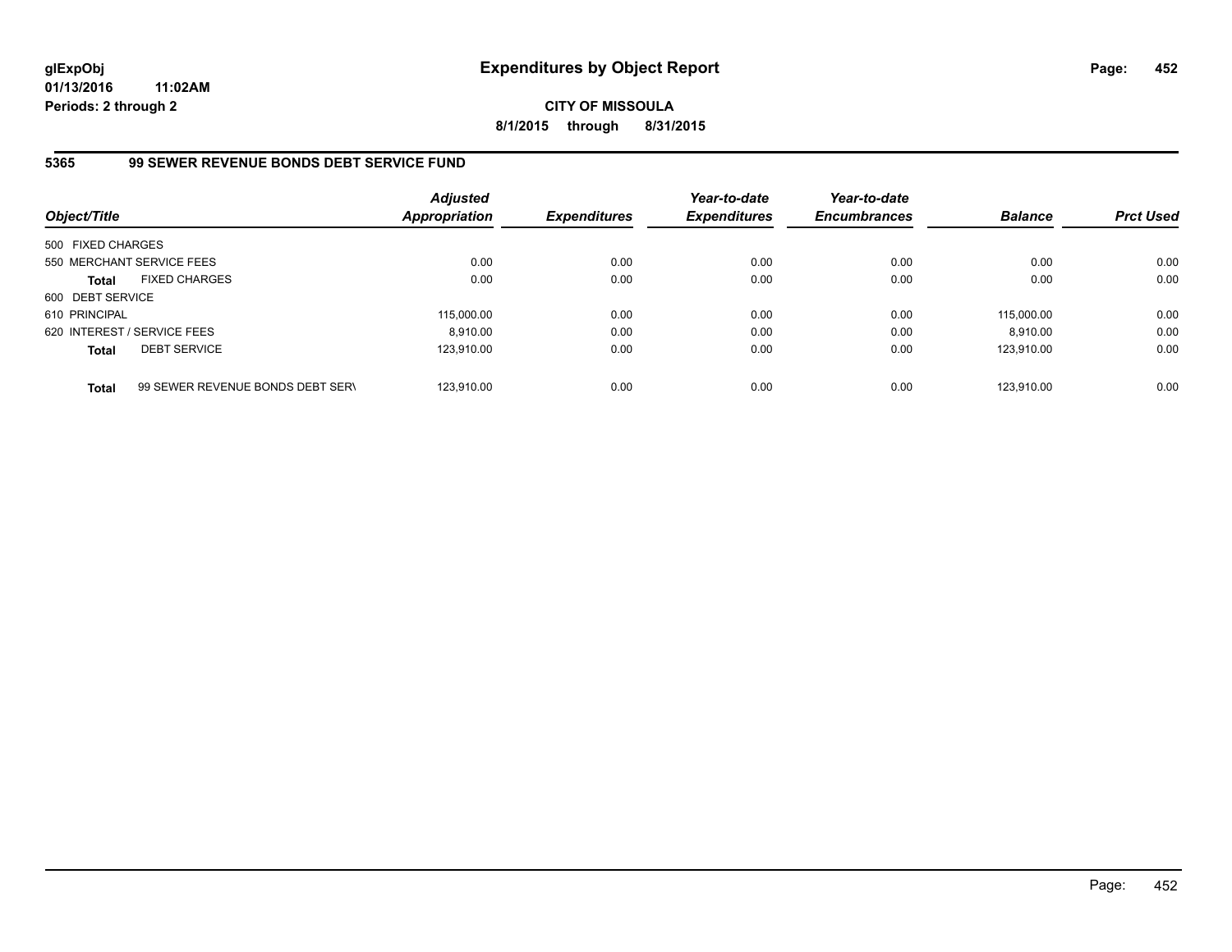# **CITY OF MISSOULA 8/1/2015 through 8/31/2015**

# **5365 99 SEWER REVENUE BONDS DEBT SERVICE FUND**

| Object/Title                |                                  | <b>Adjusted</b><br><b>Appropriation</b> | <b>Expenditures</b> | Year-to-date<br><b>Expenditures</b> | Year-to-date<br><b>Encumbrances</b> | <b>Balance</b> | <b>Prct Used</b> |
|-----------------------------|----------------------------------|-----------------------------------------|---------------------|-------------------------------------|-------------------------------------|----------------|------------------|
| 500 FIXED CHARGES           |                                  |                                         |                     |                                     |                                     |                |                  |
|                             | 550 MERCHANT SERVICE FEES        | 0.00                                    | 0.00                | 0.00                                | 0.00                                | 0.00           | 0.00             |
| <b>Total</b>                | <b>FIXED CHARGES</b>             | 0.00                                    | 0.00                | 0.00                                | 0.00                                | 0.00           | 0.00             |
| 600 DEBT SERVICE            |                                  |                                         |                     |                                     |                                     |                |                  |
| 610 PRINCIPAL               |                                  | 115,000.00                              | 0.00                | 0.00                                | 0.00                                | 115.000.00     | 0.00             |
| 620 INTEREST / SERVICE FEES |                                  | 8.910.00                                | 0.00                | 0.00                                | 0.00                                | 8.910.00       | 0.00             |
| <b>Total</b>                | <b>DEBT SERVICE</b>              | 123.910.00                              | 0.00                | 0.00                                | 0.00                                | 123.910.00     | 0.00             |
| <b>Total</b>                | 99 SEWER REVENUE BONDS DEBT SERV | 123.910.00                              | 0.00                | 0.00                                | 0.00                                | 123.910.00     | 0.00             |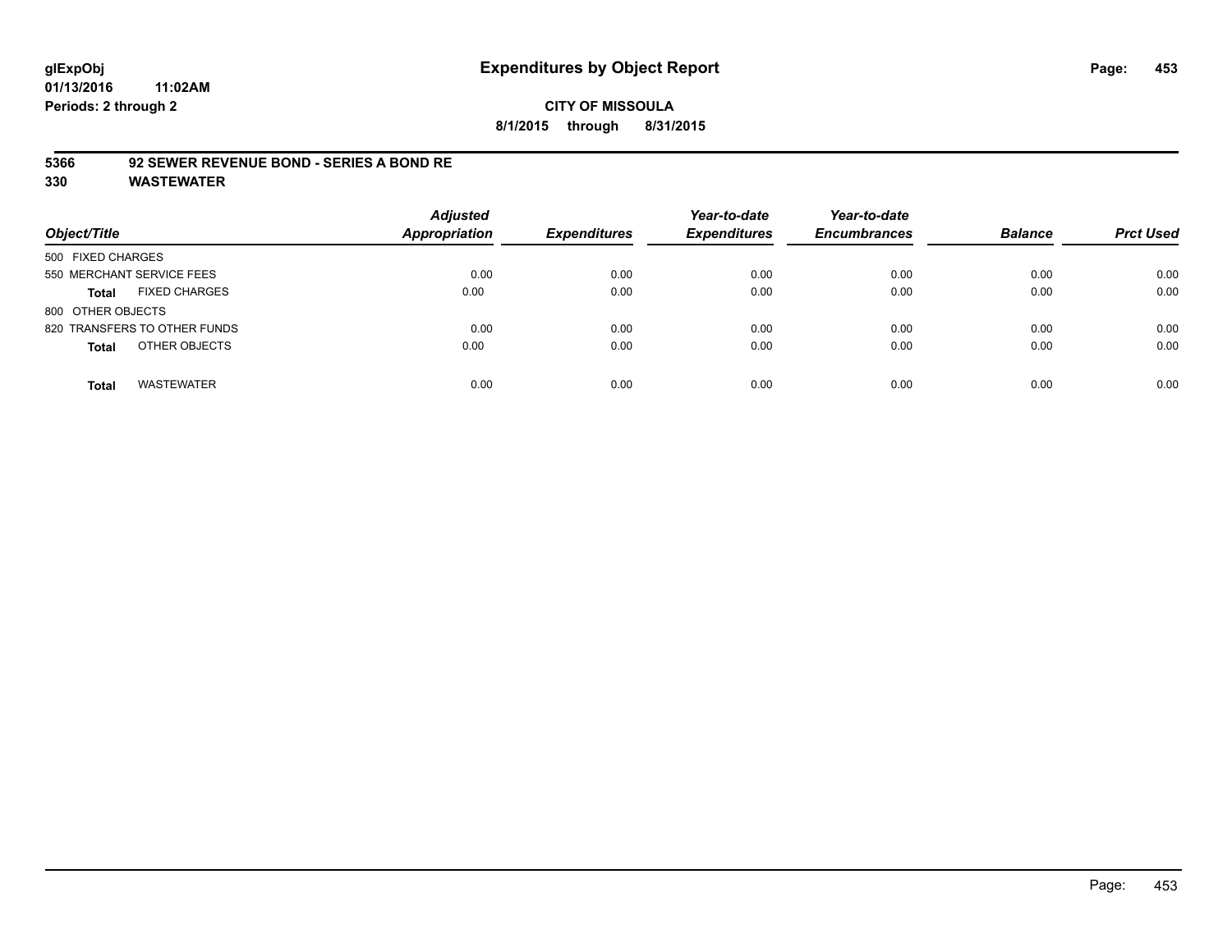## **CITY OF MISSOULA 8/1/2015 through 8/31/2015**

#### **5366 92 SEWER REVENUE BOND - SERIES A BOND RE**

| Object/Title                         | <b>Adjusted</b><br><b>Appropriation</b> | <b>Expenditures</b> | Year-to-date<br><b>Expenditures</b> | Year-to-date<br><b>Encumbrances</b> | <b>Balance</b> | <b>Prct Used</b> |
|--------------------------------------|-----------------------------------------|---------------------|-------------------------------------|-------------------------------------|----------------|------------------|
| 500 FIXED CHARGES                    |                                         |                     |                                     |                                     |                |                  |
| 550 MERCHANT SERVICE FEES            | 0.00                                    | 0.00                | 0.00                                | 0.00                                | 0.00           | 0.00             |
| <b>FIXED CHARGES</b><br><b>Total</b> | 0.00                                    | 0.00                | 0.00                                | 0.00                                | 0.00           | 0.00             |
| 800 OTHER OBJECTS                    |                                         |                     |                                     |                                     |                |                  |
| 820 TRANSFERS TO OTHER FUNDS         | 0.00                                    | 0.00                | 0.00                                | 0.00                                | 0.00           | 0.00             |
| OTHER OBJECTS<br><b>Total</b>        | 0.00                                    | 0.00                | 0.00                                | 0.00                                | 0.00           | 0.00             |
| <b>WASTEWATER</b><br><b>Total</b>    | 0.00                                    | 0.00                | 0.00                                | 0.00                                | 0.00           | 0.00             |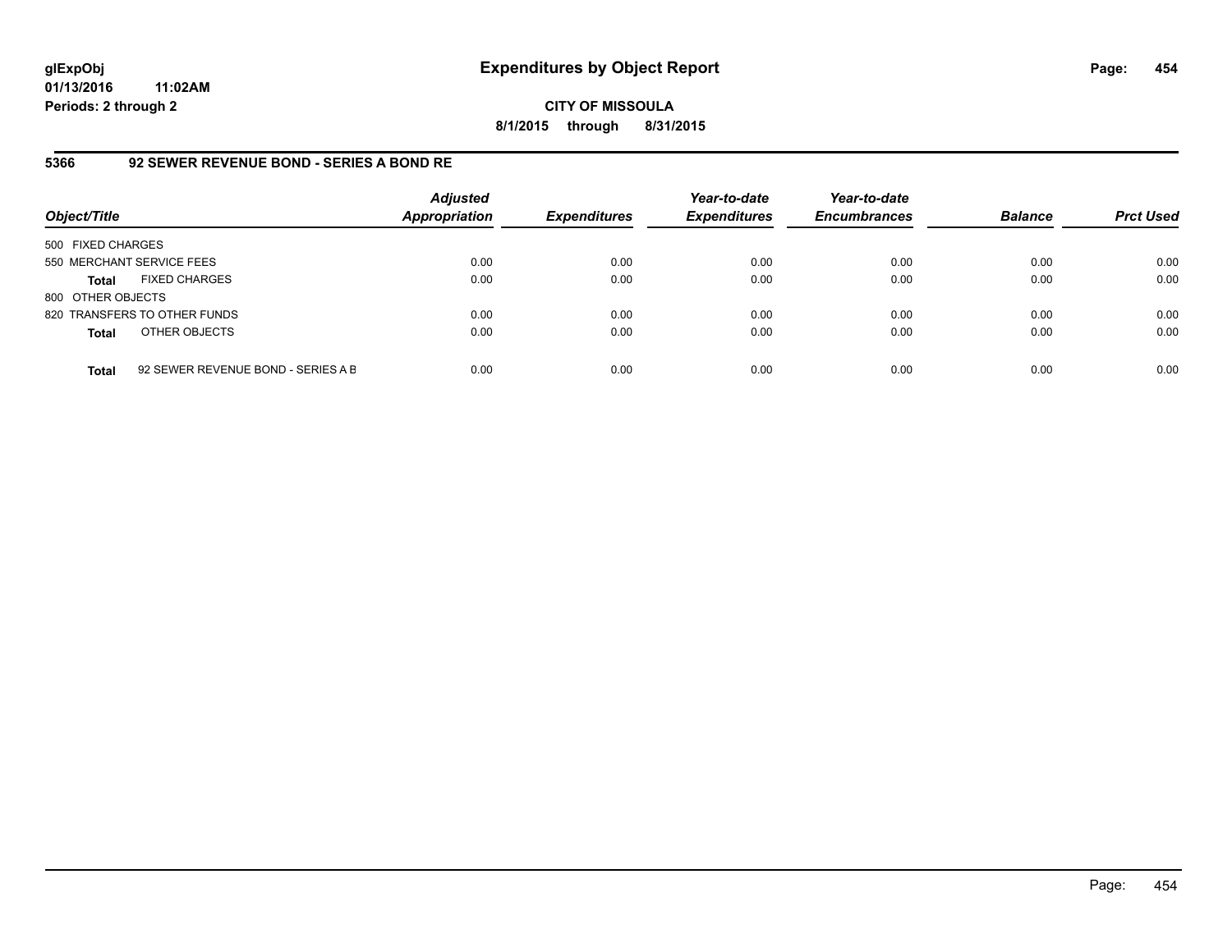**CITY OF MISSOULA 8/1/2015 through 8/31/2015**

## **5366 92 SEWER REVENUE BOND - SERIES A BOND RE**

| Object/Title              |                                    | <b>Adjusted</b><br><b>Appropriation</b> | <b>Expenditures</b> | Year-to-date<br><b>Expenditures</b> | Year-to-date<br><b>Encumbrances</b> | <b>Balance</b> | <b>Prct Used</b> |
|---------------------------|------------------------------------|-----------------------------------------|---------------------|-------------------------------------|-------------------------------------|----------------|------------------|
| 500 FIXED CHARGES         |                                    |                                         |                     |                                     |                                     |                |                  |
| 550 MERCHANT SERVICE FEES |                                    | 0.00                                    | 0.00                | 0.00                                | 0.00                                | 0.00           | 0.00             |
| <b>Total</b>              | <b>FIXED CHARGES</b>               | 0.00                                    | 0.00                | 0.00                                | 0.00                                | 0.00           | 0.00             |
| 800 OTHER OBJECTS         |                                    |                                         |                     |                                     |                                     |                |                  |
|                           | 820 TRANSFERS TO OTHER FUNDS       | 0.00                                    | 0.00                | 0.00                                | 0.00                                | 0.00           | 0.00             |
| <b>Total</b>              | OTHER OBJECTS                      | 0.00                                    | 0.00                | 0.00                                | 0.00                                | 0.00           | 0.00             |
| <b>Total</b>              | 92 SEWER REVENUE BOND - SERIES A B | 0.00                                    | 0.00                | 0.00                                | 0.00                                | 0.00           | 0.00             |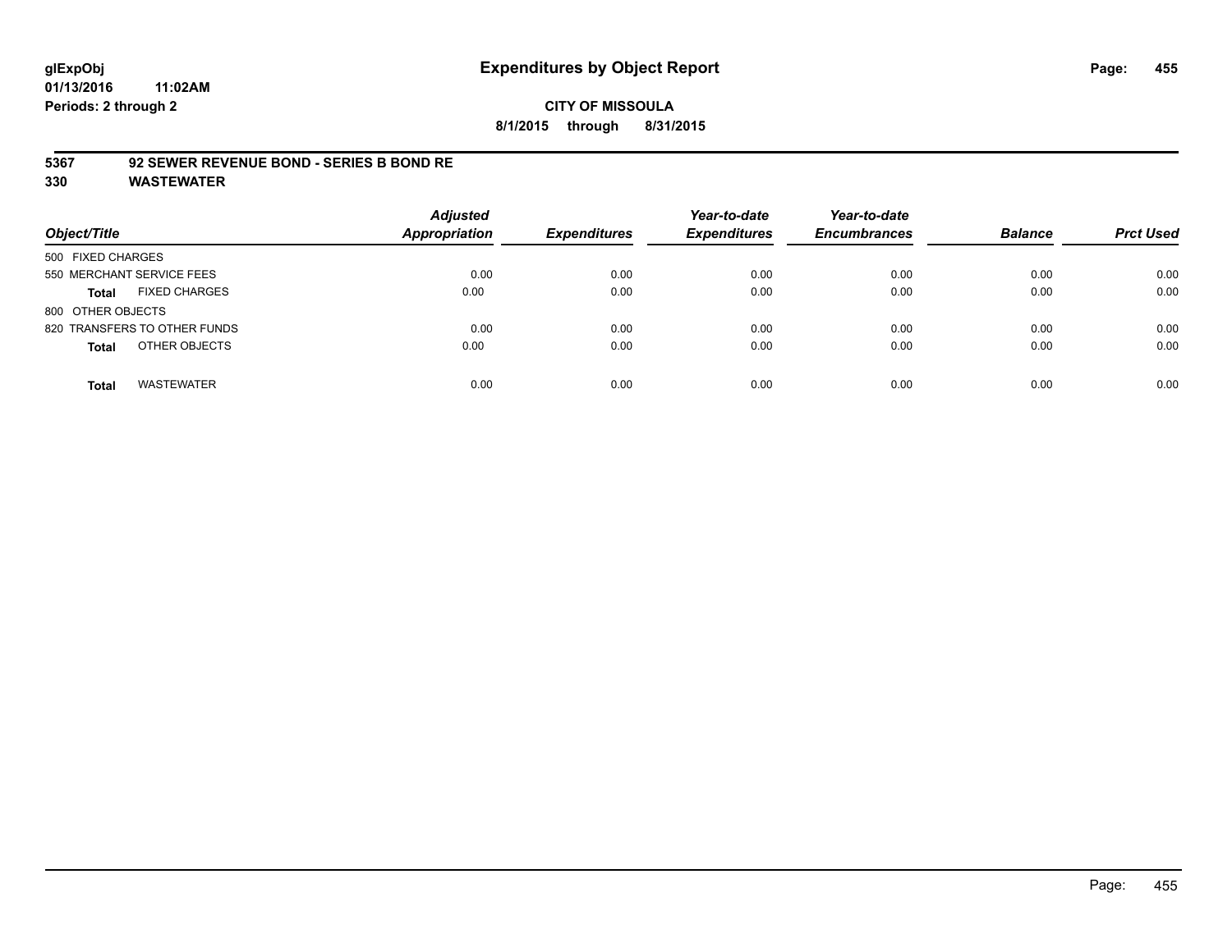## **CITY OF MISSOULA 8/1/2015 through 8/31/2015**

#### **5367 92 SEWER REVENUE BOND - SERIES B BOND RE**

| Object/Title                         | <b>Adjusted</b><br><b>Appropriation</b> | <b>Expenditures</b> | Year-to-date<br><b>Expenditures</b> | Year-to-date<br><b>Encumbrances</b> | <b>Balance</b> | <b>Prct Used</b> |
|--------------------------------------|-----------------------------------------|---------------------|-------------------------------------|-------------------------------------|----------------|------------------|
| 500 FIXED CHARGES                    |                                         |                     |                                     |                                     |                |                  |
| 550 MERCHANT SERVICE FEES            | 0.00                                    | 0.00                | 0.00                                | 0.00                                | 0.00           | 0.00             |
| <b>FIXED CHARGES</b><br><b>Total</b> | 0.00                                    | 0.00                | 0.00                                | 0.00                                | 0.00           | 0.00             |
| 800 OTHER OBJECTS                    |                                         |                     |                                     |                                     |                |                  |
| 820 TRANSFERS TO OTHER FUNDS         | 0.00                                    | 0.00                | 0.00                                | 0.00                                | 0.00           | 0.00             |
| OTHER OBJECTS<br><b>Total</b>        | 0.00                                    | 0.00                | 0.00                                | 0.00                                | 0.00           | 0.00             |
| <b>WASTEWATER</b><br><b>Total</b>    | 0.00                                    | 0.00                | 0.00                                | 0.00                                | 0.00           | 0.00             |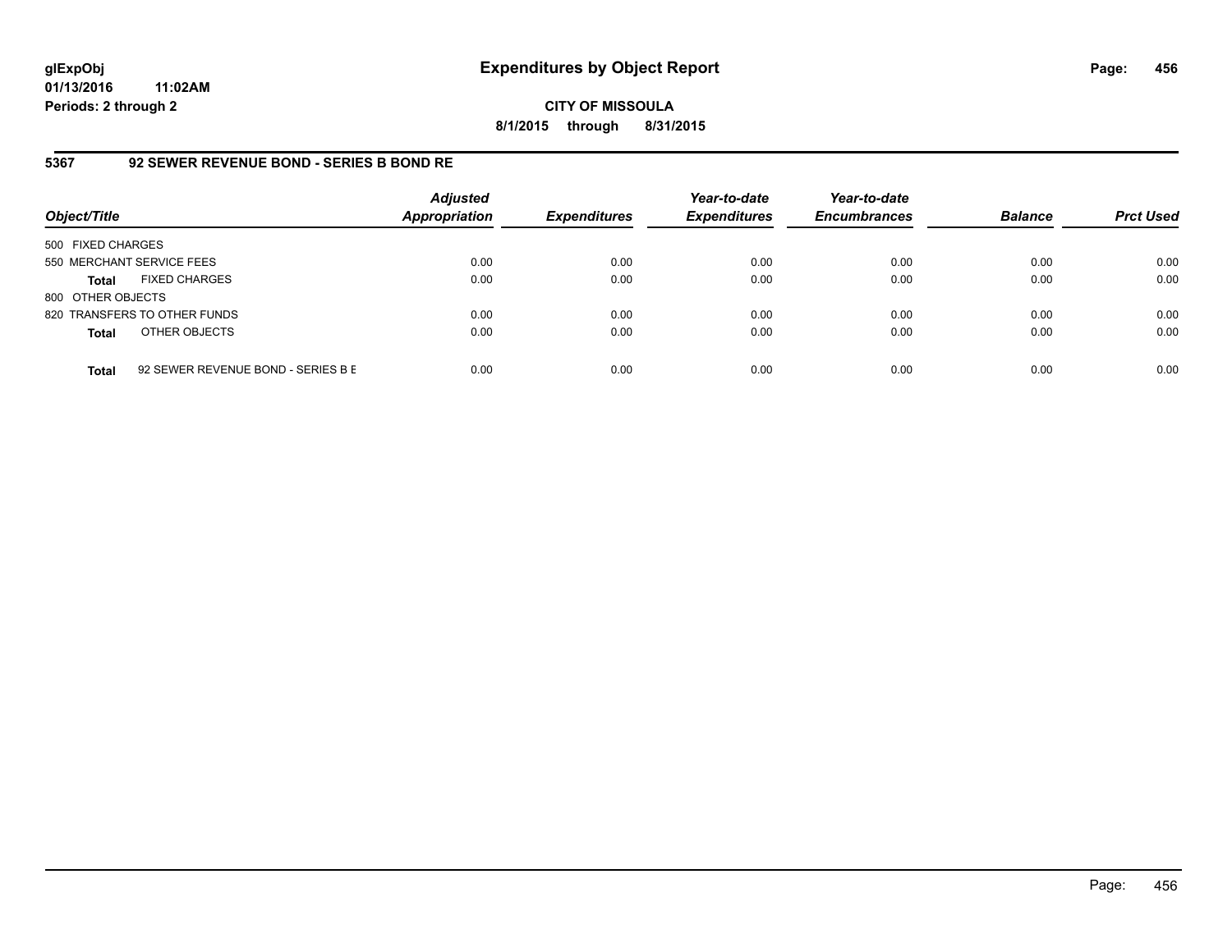**CITY OF MISSOULA 8/1/2015 through 8/31/2015**

# **5367 92 SEWER REVENUE BOND - SERIES B BOND RE**

| Object/Title              |                                    | <b>Adjusted</b><br><b>Appropriation</b> | <b>Expenditures</b> | Year-to-date<br><b>Expenditures</b> | Year-to-date<br><b>Encumbrances</b> | <b>Balance</b> | <b>Prct Used</b> |
|---------------------------|------------------------------------|-----------------------------------------|---------------------|-------------------------------------|-------------------------------------|----------------|------------------|
| 500 FIXED CHARGES         |                                    |                                         |                     |                                     |                                     |                |                  |
| 550 MERCHANT SERVICE FEES |                                    | 0.00                                    | 0.00                | 0.00                                | 0.00                                | 0.00           | 0.00             |
| Total                     | <b>FIXED CHARGES</b>               | 0.00                                    | 0.00                | 0.00                                | 0.00                                | 0.00           | 0.00             |
| 800 OTHER OBJECTS         |                                    |                                         |                     |                                     |                                     |                |                  |
|                           | 820 TRANSFERS TO OTHER FUNDS       | 0.00                                    | 0.00                | 0.00                                | 0.00                                | 0.00           | 0.00             |
| <b>Total</b>              | OTHER OBJECTS                      | 0.00                                    | 0.00                | 0.00                                | 0.00                                | 0.00           | 0.00             |
| <b>Total</b>              | 92 SEWER REVENUE BOND - SERIES B E | 0.00                                    | 0.00                | 0.00                                | 0.00                                | 0.00           | 0.00             |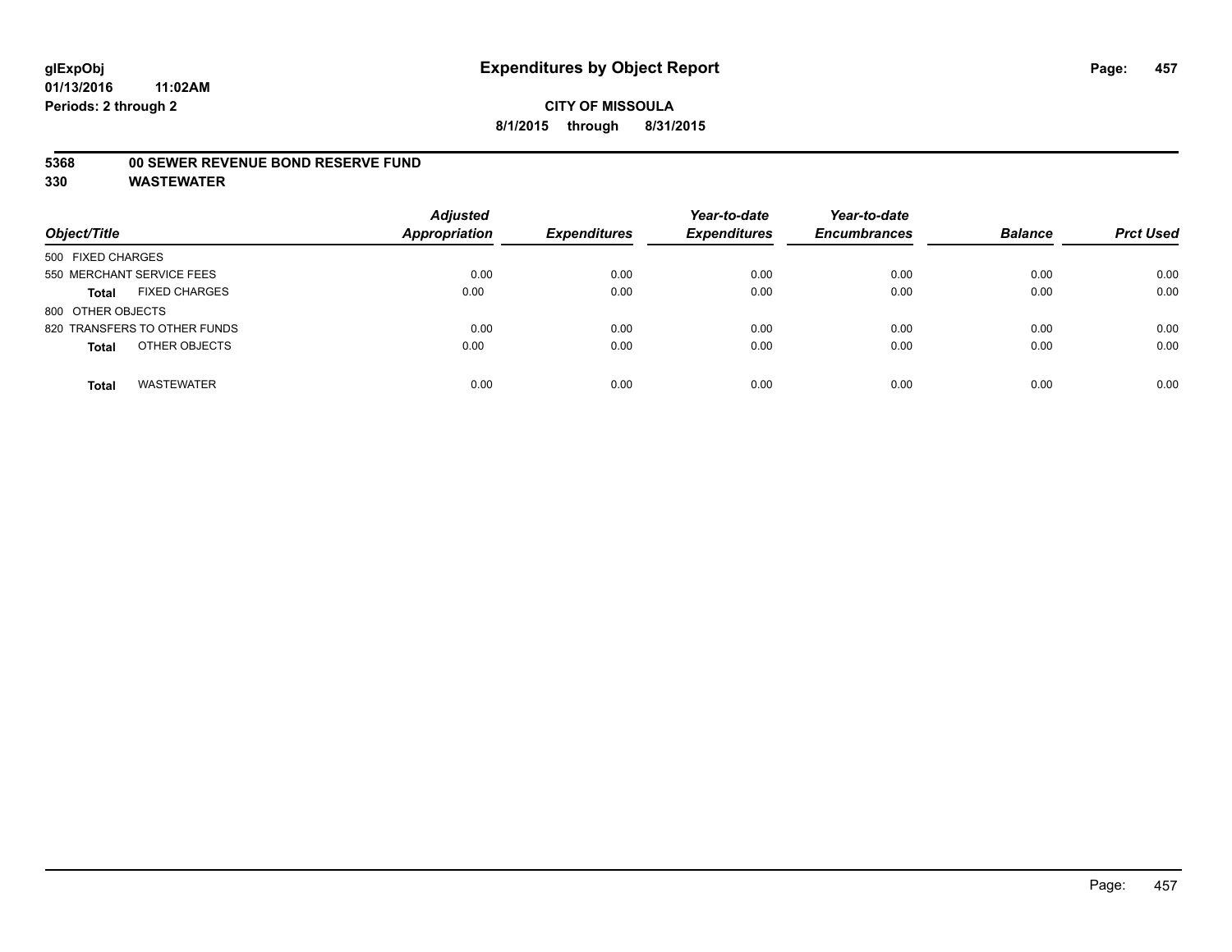#### **5368 00 SEWER REVENUE BOND RESERVE FUND**

| Object/Title                         | <b>Adjusted</b><br>Appropriation | <b>Expenditures</b> | Year-to-date<br><b>Expenditures</b> | Year-to-date<br><b>Encumbrances</b> | <b>Balance</b> | <b>Prct Used</b> |
|--------------------------------------|----------------------------------|---------------------|-------------------------------------|-------------------------------------|----------------|------------------|
| 500 FIXED CHARGES                    |                                  |                     |                                     |                                     |                |                  |
| 550 MERCHANT SERVICE FEES            | 0.00                             | 0.00                | 0.00                                | 0.00                                | 0.00           | 0.00             |
| <b>FIXED CHARGES</b><br><b>Total</b> | 0.00                             | 0.00                | 0.00                                | 0.00                                | 0.00           | 0.00             |
| 800 OTHER OBJECTS                    |                                  |                     |                                     |                                     |                |                  |
| 820 TRANSFERS TO OTHER FUNDS         | 0.00                             | 0.00                | 0.00                                | 0.00                                | 0.00           | 0.00             |
| OTHER OBJECTS<br><b>Total</b>        | 0.00                             | 0.00                | 0.00                                | 0.00                                | 0.00           | 0.00             |
| <b>WASTEWATER</b><br><b>Total</b>    | 0.00                             | 0.00                | 0.00                                | 0.00                                | 0.00           | 0.00             |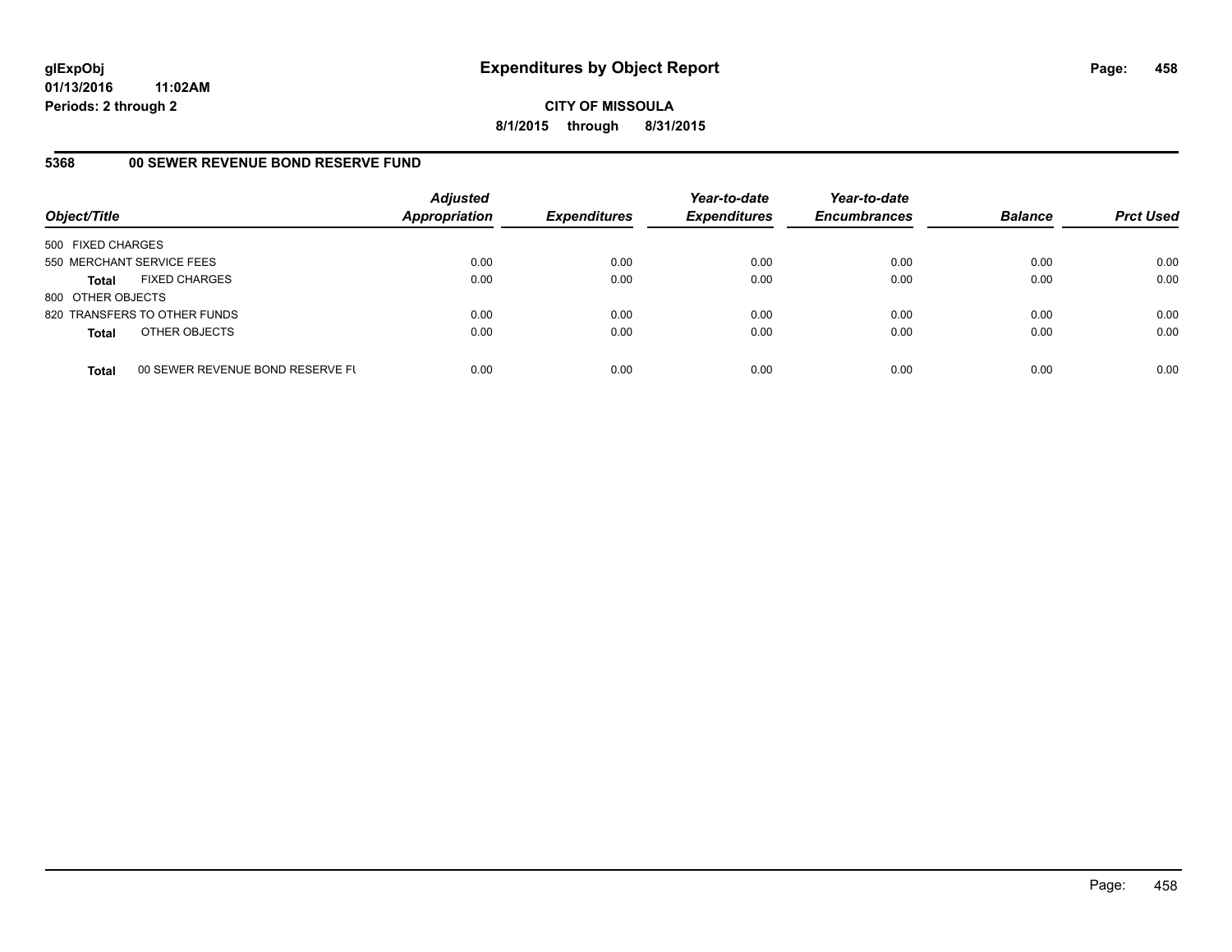**CITY OF MISSOULA 8/1/2015 through 8/31/2015**

## **5368 00 SEWER REVENUE BOND RESERVE FUND**

| Object/Title              |                                  | <b>Adjusted</b><br><b>Appropriation</b> | <b>Expenditures</b> | Year-to-date<br><b>Expenditures</b> | Year-to-date<br><b>Encumbrances</b> | <b>Balance</b> | <b>Prct Used</b> |
|---------------------------|----------------------------------|-----------------------------------------|---------------------|-------------------------------------|-------------------------------------|----------------|------------------|
| 500 FIXED CHARGES         |                                  |                                         |                     |                                     |                                     |                |                  |
| 550 MERCHANT SERVICE FEES |                                  | 0.00                                    | 0.00                | 0.00                                | 0.00                                | 0.00           | 0.00             |
| <b>Total</b>              | <b>FIXED CHARGES</b>             | 0.00                                    | 0.00                | 0.00                                | 0.00                                | 0.00           | 0.00             |
| 800 OTHER OBJECTS         |                                  |                                         |                     |                                     |                                     |                |                  |
|                           | 820 TRANSFERS TO OTHER FUNDS     | 0.00                                    | 0.00                | 0.00                                | 0.00                                | 0.00           | 0.00             |
| <b>Total</b>              | OTHER OBJECTS                    | 0.00                                    | 0.00                | 0.00                                | 0.00                                | 0.00           | 0.00             |
| <b>Total</b>              | 00 SEWER REVENUE BOND RESERVE FL | 0.00                                    | 0.00                | 0.00                                | 0.00                                | 0.00           | 0.00             |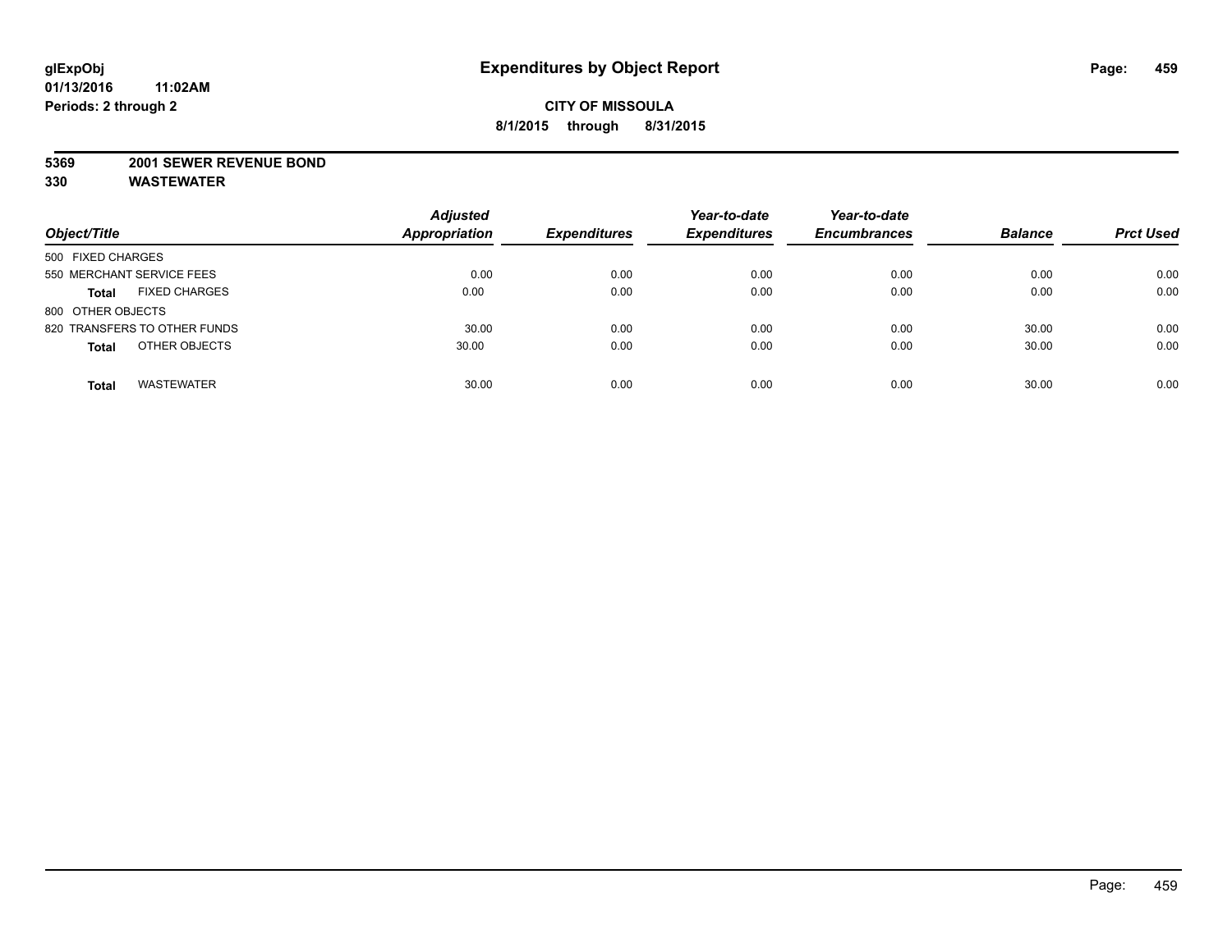#### **5369 2001 SEWER REVENUE BOND**

| Object/Title                         | <b>Adjusted</b><br><b>Appropriation</b> | <b>Expenditures</b> | Year-to-date<br><b>Expenditures</b> | Year-to-date<br><b>Encumbrances</b> | <b>Balance</b> | <b>Prct Used</b> |
|--------------------------------------|-----------------------------------------|---------------------|-------------------------------------|-------------------------------------|----------------|------------------|
| 500 FIXED CHARGES                    |                                         |                     |                                     |                                     |                |                  |
| 550 MERCHANT SERVICE FEES            | 0.00                                    | 0.00                | 0.00                                | 0.00                                | 0.00           | 0.00             |
| <b>FIXED CHARGES</b><br><b>Total</b> | 0.00                                    | 0.00                | 0.00                                | 0.00                                | 0.00           | 0.00             |
| 800 OTHER OBJECTS                    |                                         |                     |                                     |                                     |                |                  |
| 820 TRANSFERS TO OTHER FUNDS         | 30.00                                   | 0.00                | 0.00                                | 0.00                                | 30.00          | 0.00             |
| OTHER OBJECTS<br><b>Total</b>        | 30.00                                   | 0.00                | 0.00                                | 0.00                                | 30.00          | 0.00             |
| <b>WASTEWATER</b><br><b>Total</b>    | 30.00                                   | 0.00                | 0.00                                | 0.00                                | 30.00          | 0.00             |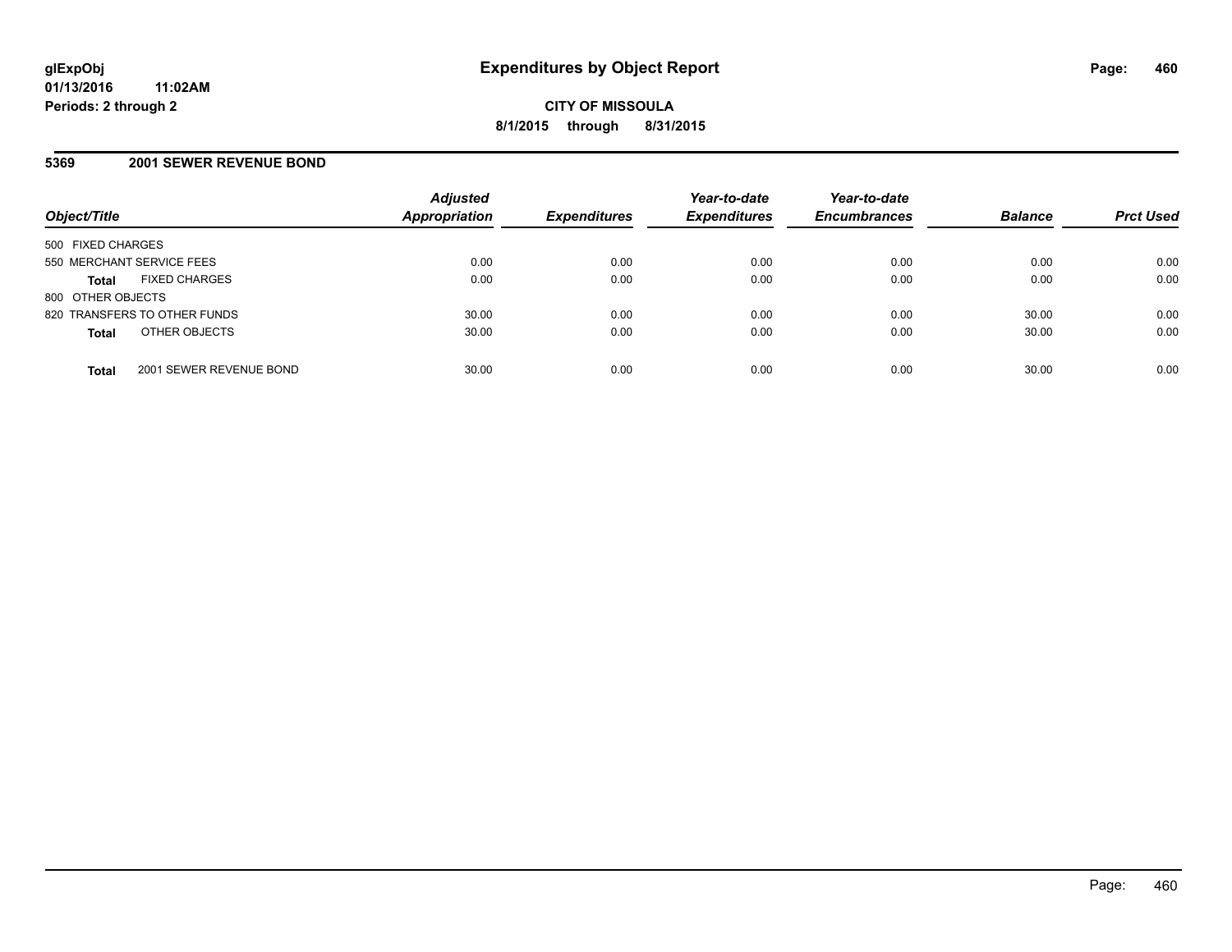#### **5369 2001 SEWER REVENUE BOND**

| Object/Title                            | <b>Adjusted</b><br><b>Appropriation</b> | <b>Expenditures</b> | Year-to-date<br><b>Expenditures</b> | Year-to-date<br><b>Encumbrances</b> | <b>Balance</b> | <b>Prct Used</b> |
|-----------------------------------------|-----------------------------------------|---------------------|-------------------------------------|-------------------------------------|----------------|------------------|
| 500 FIXED CHARGES                       |                                         |                     |                                     |                                     |                |                  |
| 550 MERCHANT SERVICE FEES               | 0.00                                    | 0.00                | 0.00                                | 0.00                                | 0.00           | 0.00             |
| <b>FIXED CHARGES</b><br><b>Total</b>    | 0.00                                    | 0.00                | 0.00                                | 0.00                                | 0.00           | 0.00             |
| 800 OTHER OBJECTS                       |                                         |                     |                                     |                                     |                |                  |
| 820 TRANSFERS TO OTHER FUNDS            | 30.00                                   | 0.00                | 0.00                                | 0.00                                | 30.00          | 0.00             |
| OTHER OBJECTS<br><b>Total</b>           | 30.00                                   | 0.00                | 0.00                                | 0.00                                | 30.00          | 0.00             |
| 2001 SEWER REVENUE BOND<br><b>Total</b> | 30.00                                   | 0.00                | 0.00                                | 0.00                                | 30.00          | 0.00             |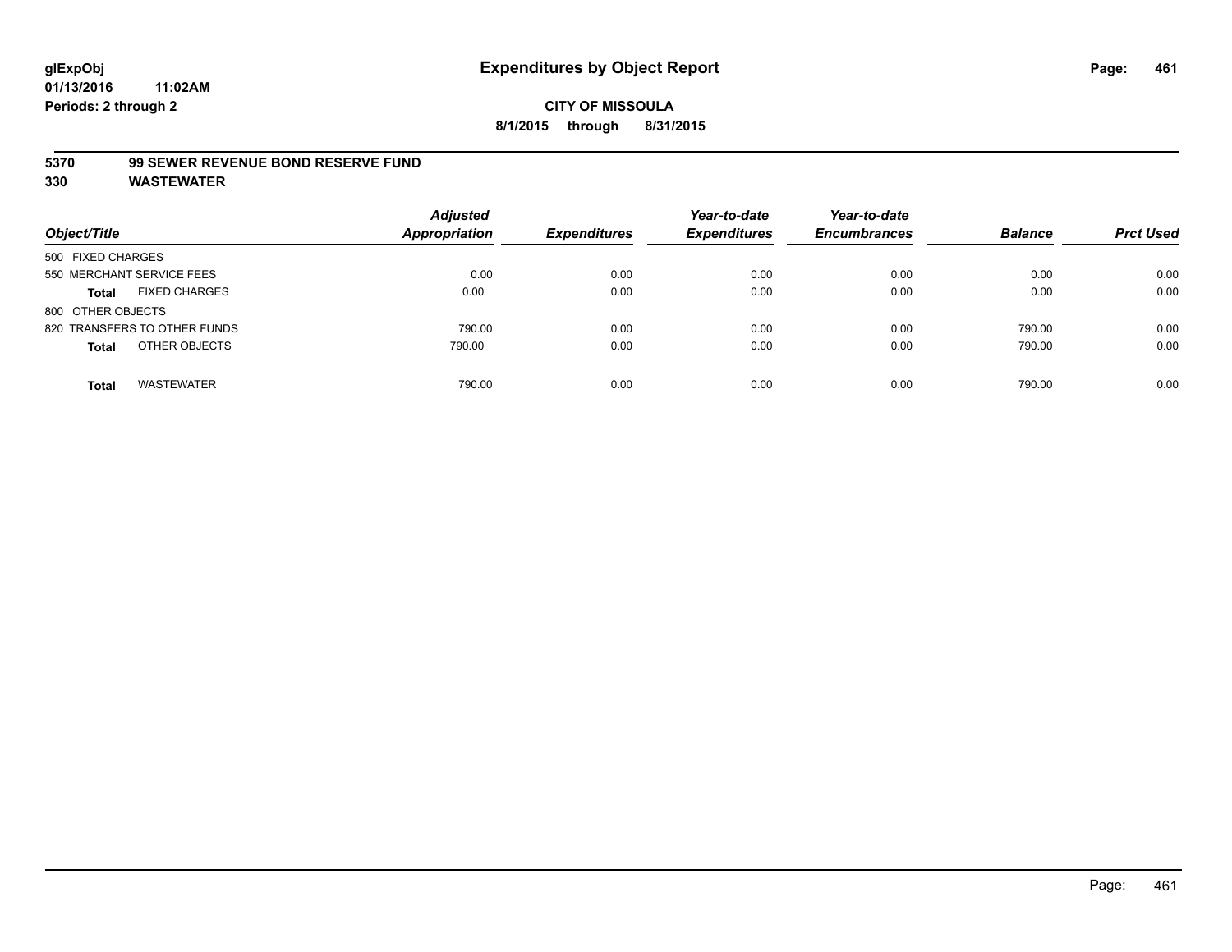#### **5370 99 SEWER REVENUE BOND RESERVE FUND**

| Object/Title                         | <b>Adjusted</b><br>Appropriation | <b>Expenditures</b> | Year-to-date<br><b>Expenditures</b> | Year-to-date<br><b>Encumbrances</b> | <b>Balance</b> | <b>Prct Used</b> |
|--------------------------------------|----------------------------------|---------------------|-------------------------------------|-------------------------------------|----------------|------------------|
| 500 FIXED CHARGES                    |                                  |                     |                                     |                                     |                |                  |
| 550 MERCHANT SERVICE FEES            | 0.00                             | 0.00                | 0.00                                | 0.00                                | 0.00           | 0.00             |
| <b>FIXED CHARGES</b><br><b>Total</b> | 0.00                             | 0.00                | 0.00                                | 0.00                                | 0.00           | 0.00             |
| 800 OTHER OBJECTS                    |                                  |                     |                                     |                                     |                |                  |
| 820 TRANSFERS TO OTHER FUNDS         | 790.00                           | 0.00                | 0.00                                | 0.00                                | 790.00         | 0.00             |
| OTHER OBJECTS<br><b>Total</b>        | 790.00                           | 0.00                | 0.00                                | 0.00                                | 790.00         | 0.00             |
| <b>WASTEWATER</b><br><b>Total</b>    | 790.00                           | 0.00                | 0.00                                | 0.00                                | 790.00         | 0.00             |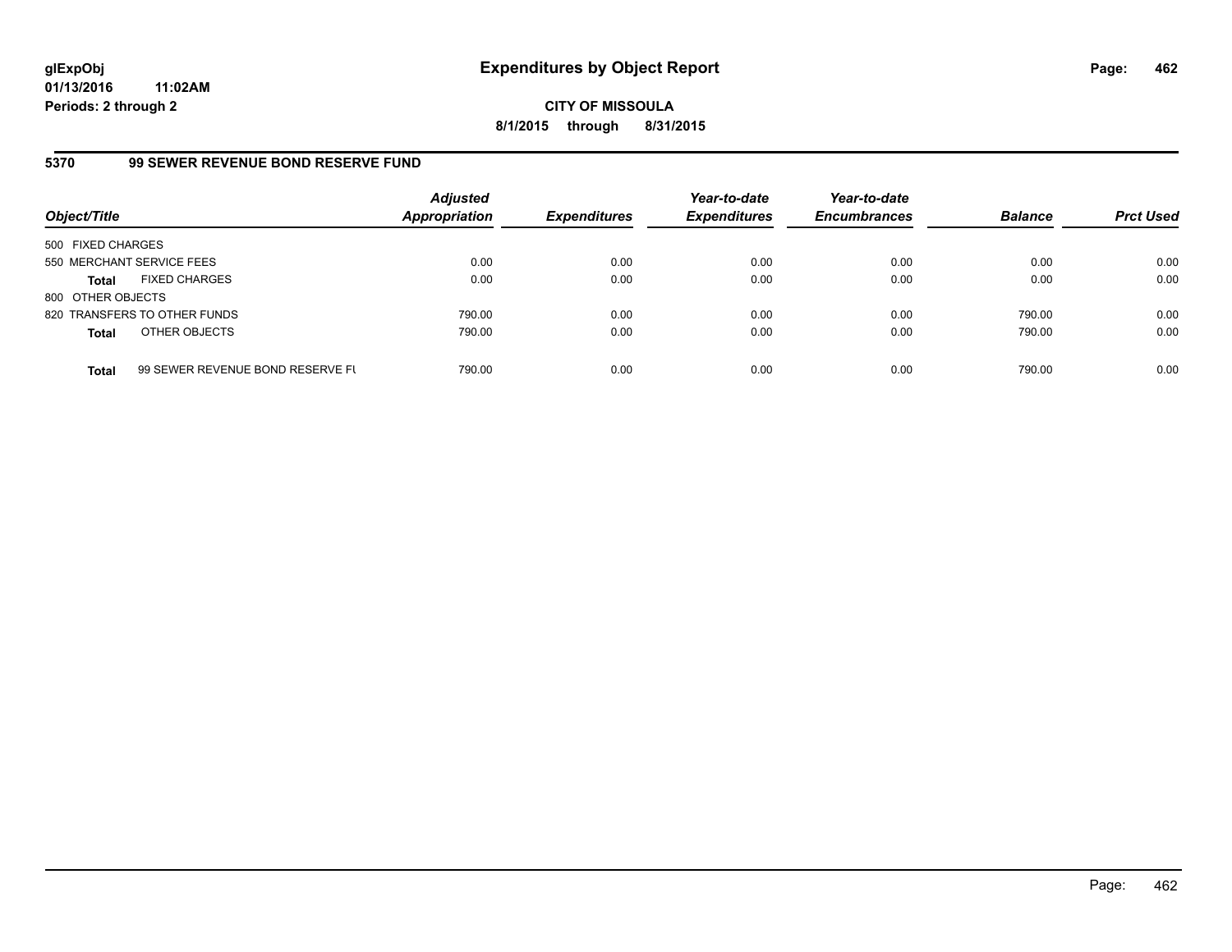**CITY OF MISSOULA 8/1/2015 through 8/31/2015**

# **5370 99 SEWER REVENUE BOND RESERVE FUND**

| Object/Title              |                                  | <b>Adjusted</b><br><b>Appropriation</b> | <b>Expenditures</b> | Year-to-date<br><b>Expenditures</b> | Year-to-date<br><b>Encumbrances</b> | <b>Balance</b> | <b>Prct Used</b> |
|---------------------------|----------------------------------|-----------------------------------------|---------------------|-------------------------------------|-------------------------------------|----------------|------------------|
| 500 FIXED CHARGES         |                                  |                                         |                     |                                     |                                     |                |                  |
| 550 MERCHANT SERVICE FEES |                                  | 0.00                                    | 0.00                | 0.00                                | 0.00                                | 0.00           | 0.00             |
| Total                     | <b>FIXED CHARGES</b>             | 0.00                                    | 0.00                | 0.00                                | 0.00                                | 0.00           | 0.00             |
| 800 OTHER OBJECTS         |                                  |                                         |                     |                                     |                                     |                |                  |
|                           | 820 TRANSFERS TO OTHER FUNDS     | 790.00                                  | 0.00                | 0.00                                | 0.00                                | 790.00         | 0.00             |
| <b>Total</b>              | OTHER OBJECTS                    | 790.00                                  | 0.00                | 0.00                                | 0.00                                | 790.00         | 0.00             |
| <b>Total</b>              | 99 SEWER REVENUE BOND RESERVE FL | 790.00                                  | 0.00                | 0.00                                | 0.00                                | 790.00         | 0.00             |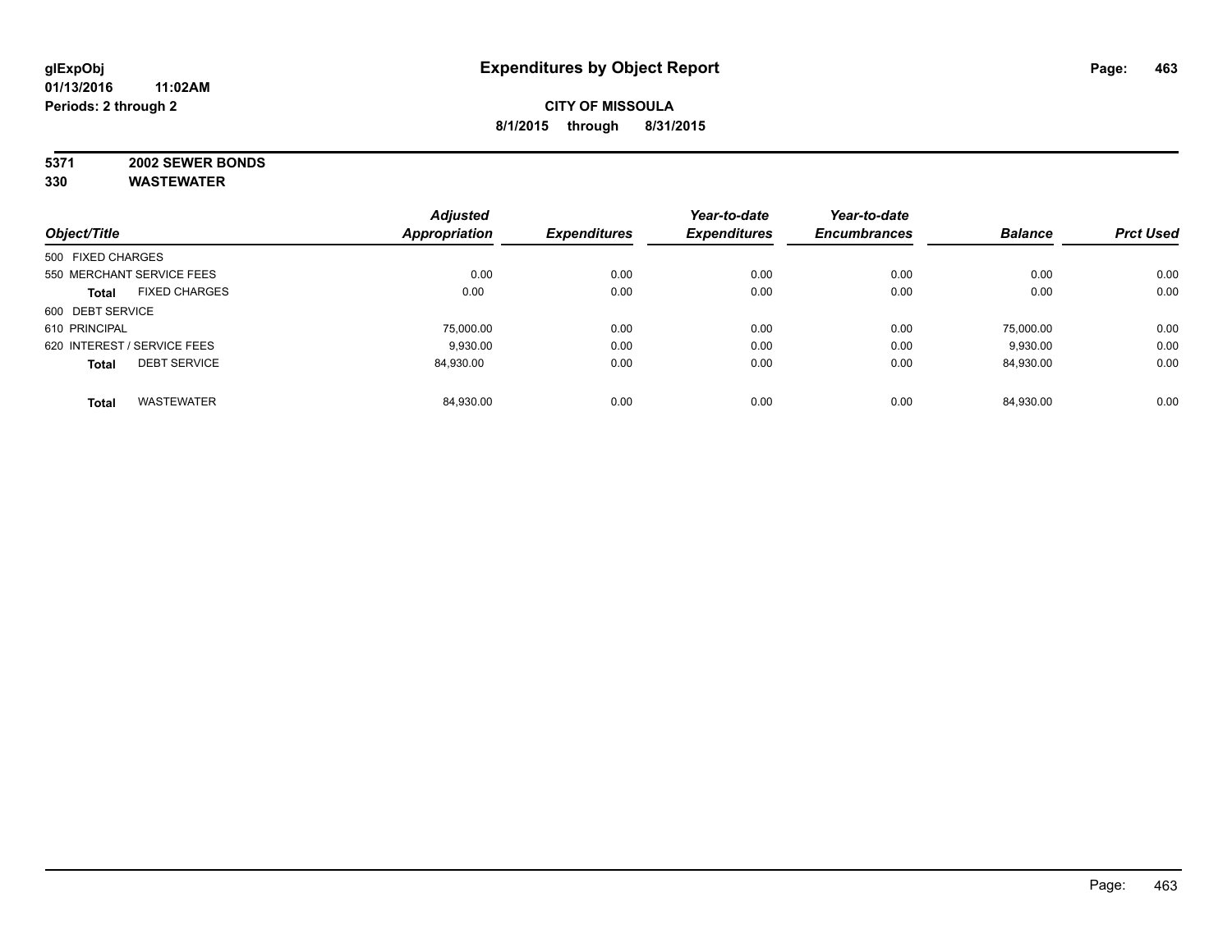# **5371 2002 SEWER BONDS**

|                   |                             | <b>Adjusted</b>      |                     | Year-to-date        | Year-to-date        |                |                  |
|-------------------|-----------------------------|----------------------|---------------------|---------------------|---------------------|----------------|------------------|
| Object/Title      |                             | <b>Appropriation</b> | <b>Expenditures</b> | <b>Expenditures</b> | <b>Encumbrances</b> | <b>Balance</b> | <b>Prct Used</b> |
| 500 FIXED CHARGES |                             |                      |                     |                     |                     |                |                  |
|                   | 550 MERCHANT SERVICE FEES   | 0.00                 | 0.00                | 0.00                | 0.00                | 0.00           | 0.00             |
| <b>Total</b>      | <b>FIXED CHARGES</b>        | 0.00                 | 0.00                | 0.00                | 0.00                | 0.00           | 0.00             |
| 600 DEBT SERVICE  |                             |                      |                     |                     |                     |                |                  |
| 610 PRINCIPAL     |                             | 75.000.00            | 0.00                | 0.00                | 0.00                | 75.000.00      | 0.00             |
|                   | 620 INTEREST / SERVICE FEES | 9.930.00             | 0.00                | 0.00                | 0.00                | 9,930.00       | 0.00             |
| <b>Total</b>      | <b>DEBT SERVICE</b>         | 84.930.00            | 0.00                | 0.00                | 0.00                | 84,930.00      | 0.00             |
| <b>Total</b>      | <b>WASTEWATER</b>           | 84,930.00            | 0.00                | 0.00                | 0.00                | 84.930.00      | 0.00             |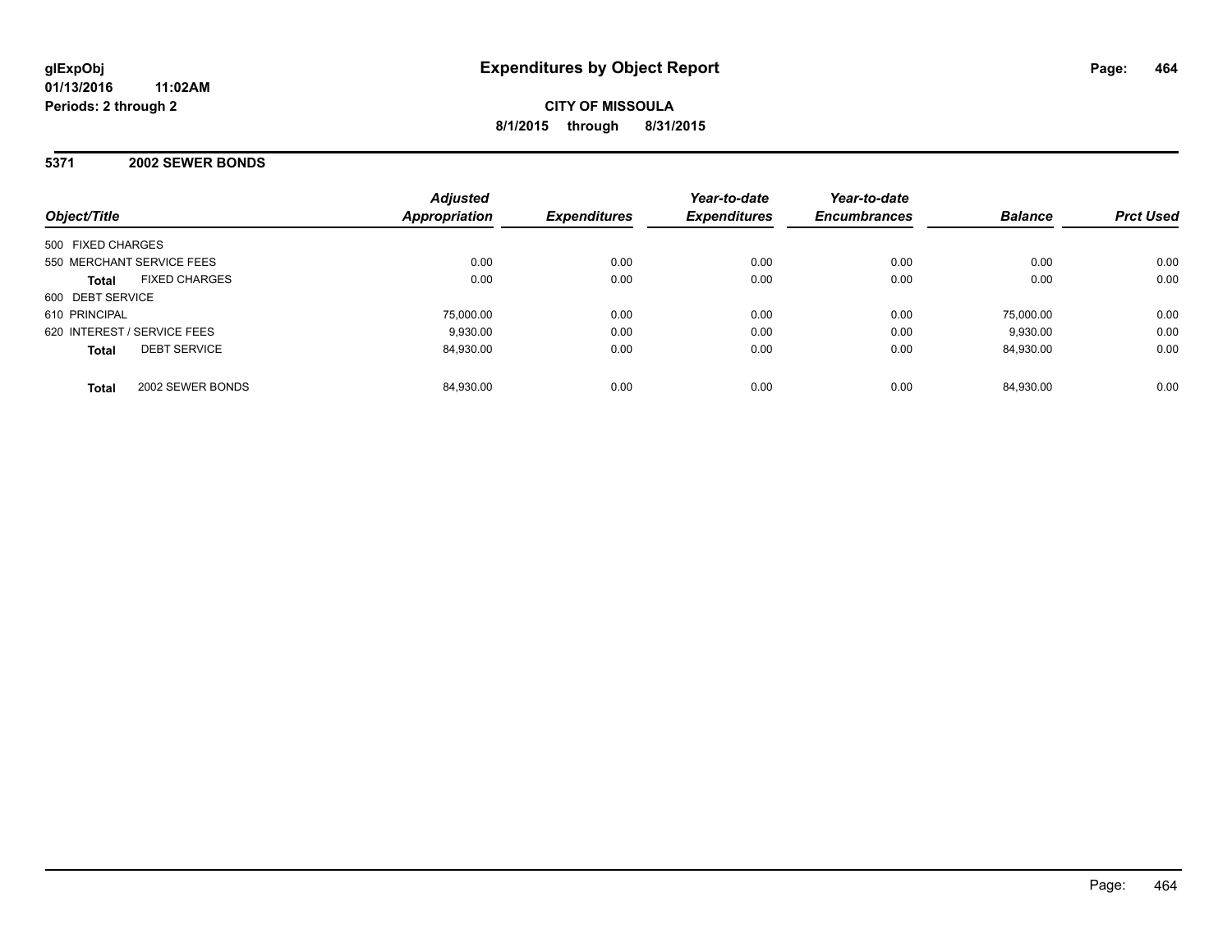## **5371 2002 SEWER BONDS**

| Object/Title                         | <b>Adjusted</b><br>Appropriation | <b>Expenditures</b> | Year-to-date<br><b>Expenditures</b> | Year-to-date<br><b>Encumbrances</b> | <b>Balance</b> | <b>Prct Used</b> |
|--------------------------------------|----------------------------------|---------------------|-------------------------------------|-------------------------------------|----------------|------------------|
| 500 FIXED CHARGES                    |                                  |                     |                                     |                                     |                |                  |
| 550 MERCHANT SERVICE FEES            | 0.00                             | 0.00                | 0.00                                | 0.00                                | 0.00           | 0.00             |
| <b>FIXED CHARGES</b><br><b>Total</b> | 0.00                             | 0.00                | 0.00                                | 0.00                                | 0.00           | 0.00             |
| 600 DEBT SERVICE                     |                                  |                     |                                     |                                     |                |                  |
| 610 PRINCIPAL                        | 75,000.00                        | 0.00                | 0.00                                | 0.00                                | 75.000.00      | 0.00             |
| 620 INTEREST / SERVICE FEES          | 9.930.00                         | 0.00                | 0.00                                | 0.00                                | 9.930.00       | 0.00             |
| <b>DEBT SERVICE</b><br><b>Total</b>  | 84.930.00                        | 0.00                | 0.00                                | 0.00                                | 84.930.00      | 0.00             |
| 2002 SEWER BONDS<br><b>Total</b>     | 84.930.00                        | 0.00                | 0.00                                | 0.00                                | 84.930.00      | 0.00             |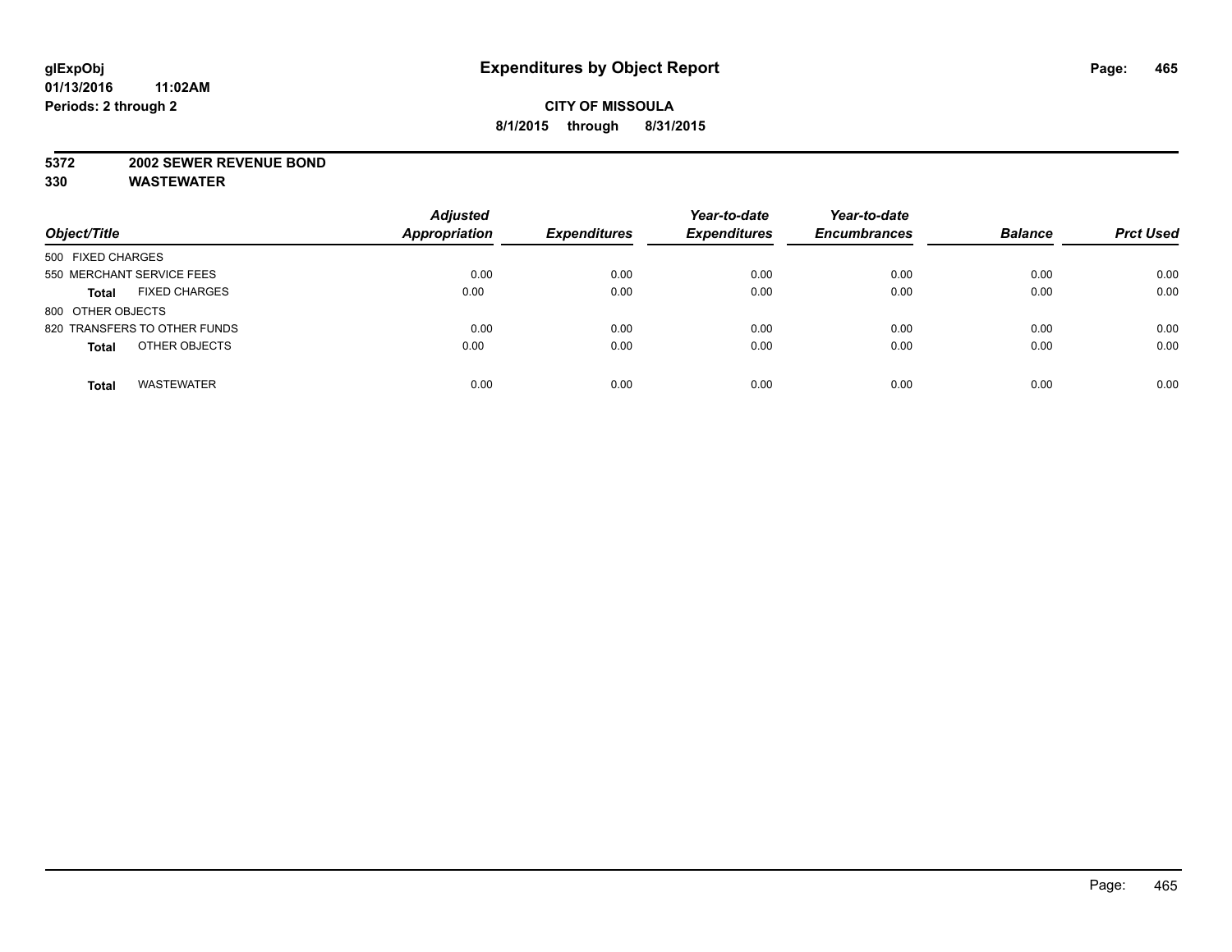#### **5372 2002 SEWER REVENUE BOND**

| Object/Title                         | <b>Adjusted</b><br><b>Appropriation</b> | <b>Expenditures</b> | Year-to-date<br><b>Expenditures</b> | Year-to-date<br><b>Encumbrances</b> | <b>Balance</b> | <b>Prct Used</b> |
|--------------------------------------|-----------------------------------------|---------------------|-------------------------------------|-------------------------------------|----------------|------------------|
| 500 FIXED CHARGES                    |                                         |                     |                                     |                                     |                |                  |
| 550 MERCHANT SERVICE FEES            | 0.00                                    | 0.00                | 0.00                                | 0.00                                | 0.00           | 0.00             |
| <b>FIXED CHARGES</b><br><b>Total</b> | 0.00                                    | 0.00                | 0.00                                | 0.00                                | 0.00           | 0.00             |
| 800 OTHER OBJECTS                    |                                         |                     |                                     |                                     |                |                  |
| 820 TRANSFERS TO OTHER FUNDS         | 0.00                                    | 0.00                | 0.00                                | 0.00                                | 0.00           | 0.00             |
| OTHER OBJECTS<br><b>Total</b>        | 0.00                                    | 0.00                | 0.00                                | 0.00                                | 0.00           | 0.00             |
| <b>WASTEWATER</b><br><b>Total</b>    | 0.00                                    | 0.00                | 0.00                                | 0.00                                | 0.00           | 0.00             |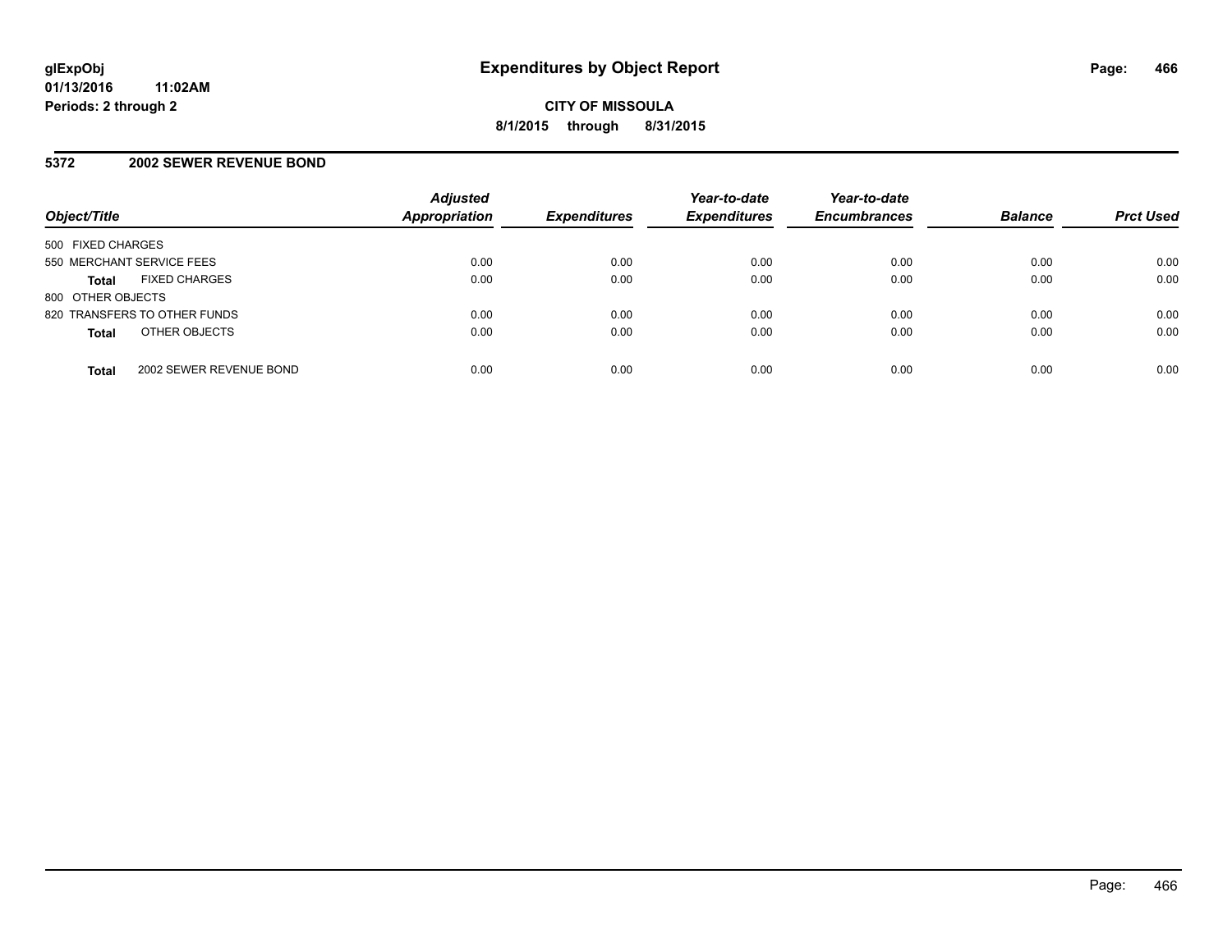#### **5372 2002 SEWER REVENUE BOND**

| Object/Title                            | <b>Adjusted</b><br>Appropriation | <b>Expenditures</b> | Year-to-date<br><b>Expenditures</b> | Year-to-date<br><b>Encumbrances</b> | <b>Balance</b> | <b>Prct Used</b> |
|-----------------------------------------|----------------------------------|---------------------|-------------------------------------|-------------------------------------|----------------|------------------|
| 500 FIXED CHARGES                       |                                  |                     |                                     |                                     |                |                  |
| 550 MERCHANT SERVICE FEES               | 0.00                             | 0.00                | 0.00                                | 0.00                                | 0.00           | 0.00             |
| <b>FIXED CHARGES</b><br><b>Total</b>    | 0.00                             | 0.00                | 0.00                                | 0.00                                | 0.00           | 0.00             |
| 800 OTHER OBJECTS                       |                                  |                     |                                     |                                     |                |                  |
| 820 TRANSFERS TO OTHER FUNDS            | 0.00                             | 0.00                | 0.00                                | 0.00                                | 0.00           | 0.00             |
| OTHER OBJECTS<br><b>Total</b>           | 0.00                             | 0.00                | 0.00                                | 0.00                                | 0.00           | 0.00             |
| 2002 SEWER REVENUE BOND<br><b>Total</b> | 0.00                             | 0.00                | 0.00                                | 0.00                                | 0.00           | 0.00             |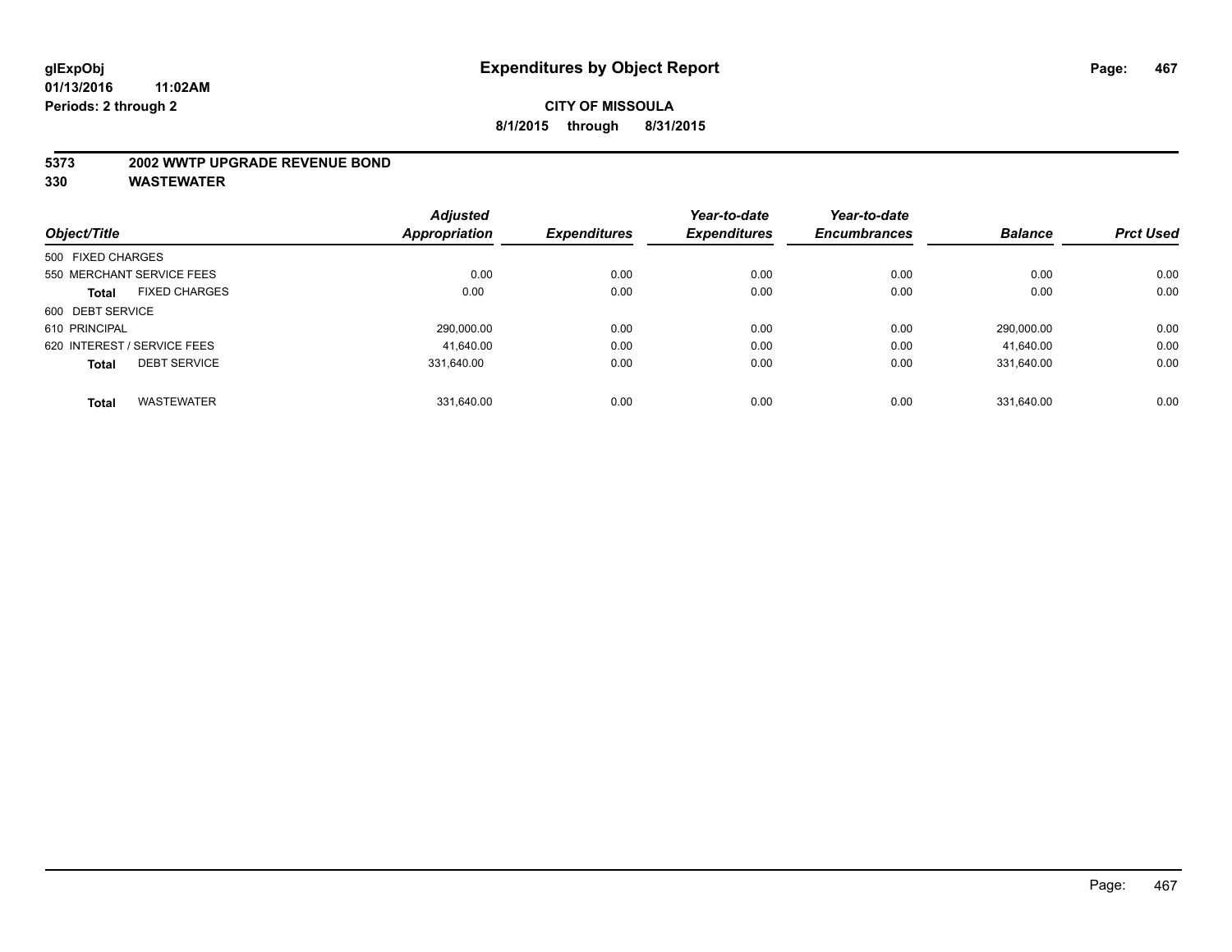#### **5373 2002 WWTP UPGRADE REVENUE BOND**

| Object/Title      |                             | <b>Adjusted</b> | <b>Expenditures</b> | Year-to-date<br><b>Expenditures</b> | Year-to-date        | <b>Balance</b> | <b>Prct Used</b> |
|-------------------|-----------------------------|-----------------|---------------------|-------------------------------------|---------------------|----------------|------------------|
|                   |                             | Appropriation   |                     |                                     | <b>Encumbrances</b> |                |                  |
| 500 FIXED CHARGES |                             |                 |                     |                                     |                     |                |                  |
|                   | 550 MERCHANT SERVICE FEES   | 0.00            | 0.00                | 0.00                                | 0.00                | 0.00           | 0.00             |
| <b>Total</b>      | <b>FIXED CHARGES</b>        | 0.00            | 0.00                | 0.00                                | 0.00                | 0.00           | 0.00             |
| 600 DEBT SERVICE  |                             |                 |                     |                                     |                     |                |                  |
| 610 PRINCIPAL     |                             | 290,000.00      | 0.00                | 0.00                                | 0.00                | 290.000.00     | 0.00             |
|                   | 620 INTEREST / SERVICE FEES | 41.640.00       | 0.00                | 0.00                                | 0.00                | 41,640.00      | 0.00             |
| <b>Total</b>      | <b>DEBT SERVICE</b>         | 331.640.00      | 0.00                | 0.00                                | 0.00                | 331.640.00     | 0.00             |
| <b>Total</b>      | <b>WASTEWATER</b>           | 331.640.00      | 0.00                | 0.00                                | 0.00                | 331.640.00     | 0.00             |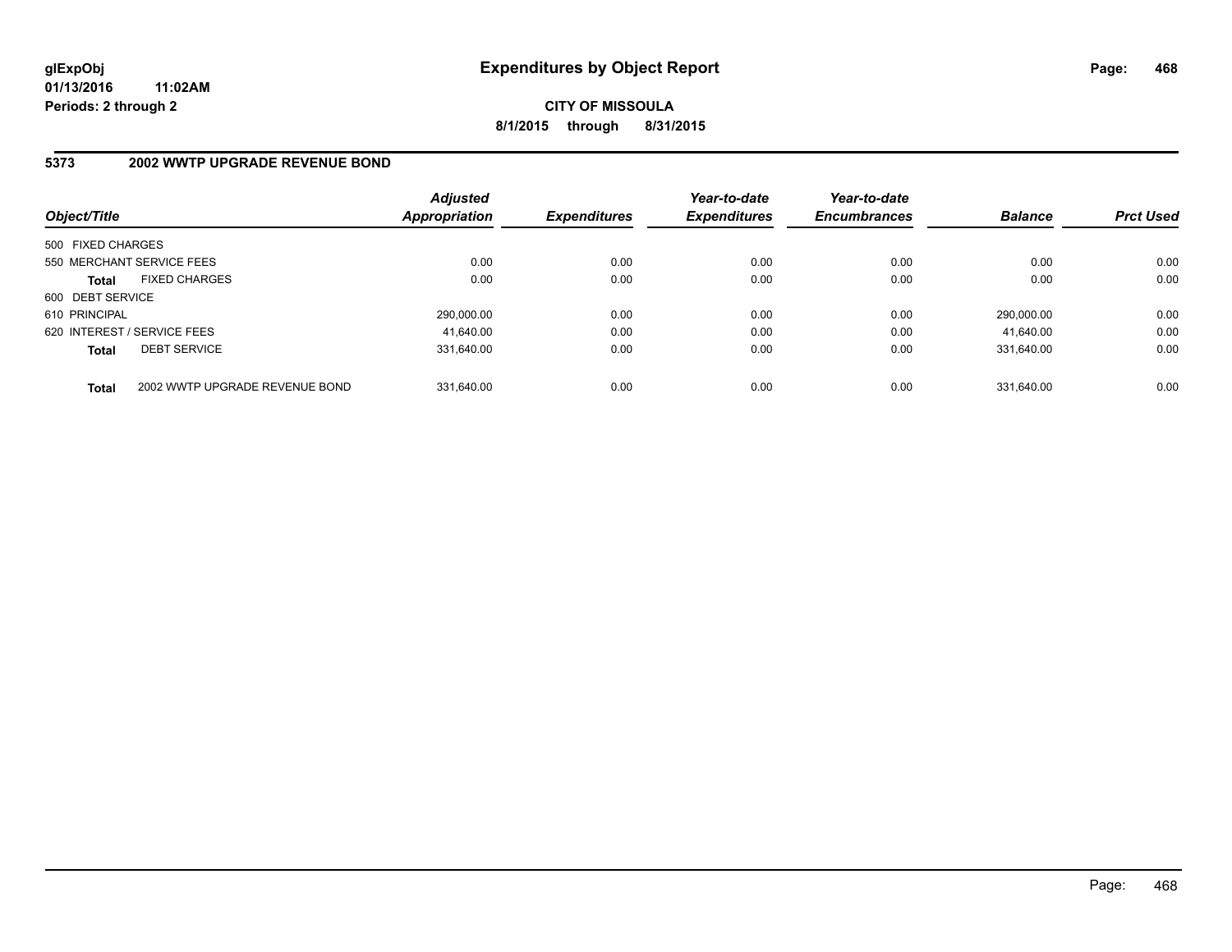**CITY OF MISSOULA 8/1/2015 through 8/31/2015**

# **5373 2002 WWTP UPGRADE REVENUE BOND**

| Object/Title                                   | <b>Adjusted</b><br><b>Appropriation</b> | <b>Expenditures</b> | Year-to-date<br><b>Expenditures</b> | Year-to-date<br><b>Encumbrances</b> | <b>Balance</b> | <b>Prct Used</b> |
|------------------------------------------------|-----------------------------------------|---------------------|-------------------------------------|-------------------------------------|----------------|------------------|
| 500 FIXED CHARGES                              |                                         |                     |                                     |                                     |                |                  |
| 550 MERCHANT SERVICE FEES                      | 0.00                                    | 0.00                | 0.00                                | 0.00                                | 0.00           | 0.00             |
| <b>FIXED CHARGES</b><br><b>Total</b>           | 0.00                                    | 0.00                | 0.00                                | 0.00                                | 0.00           | 0.00             |
| 600 DEBT SERVICE                               |                                         |                     |                                     |                                     |                |                  |
| 610 PRINCIPAL                                  | 290.000.00                              | 0.00                | 0.00                                | 0.00                                | 290.000.00     | 0.00             |
| 620 INTEREST / SERVICE FEES                    | 41,640.00                               | 0.00                | 0.00                                | 0.00                                | 41.640.00      | 0.00             |
| <b>DEBT SERVICE</b><br><b>Total</b>            | 331.640.00                              | 0.00                | 0.00                                | 0.00                                | 331.640.00     | 0.00             |
| 2002 WWTP UPGRADE REVENUE BOND<br><b>Total</b> | 331.640.00                              | 0.00                | 0.00                                | 0.00                                | 331.640.00     | 0.00             |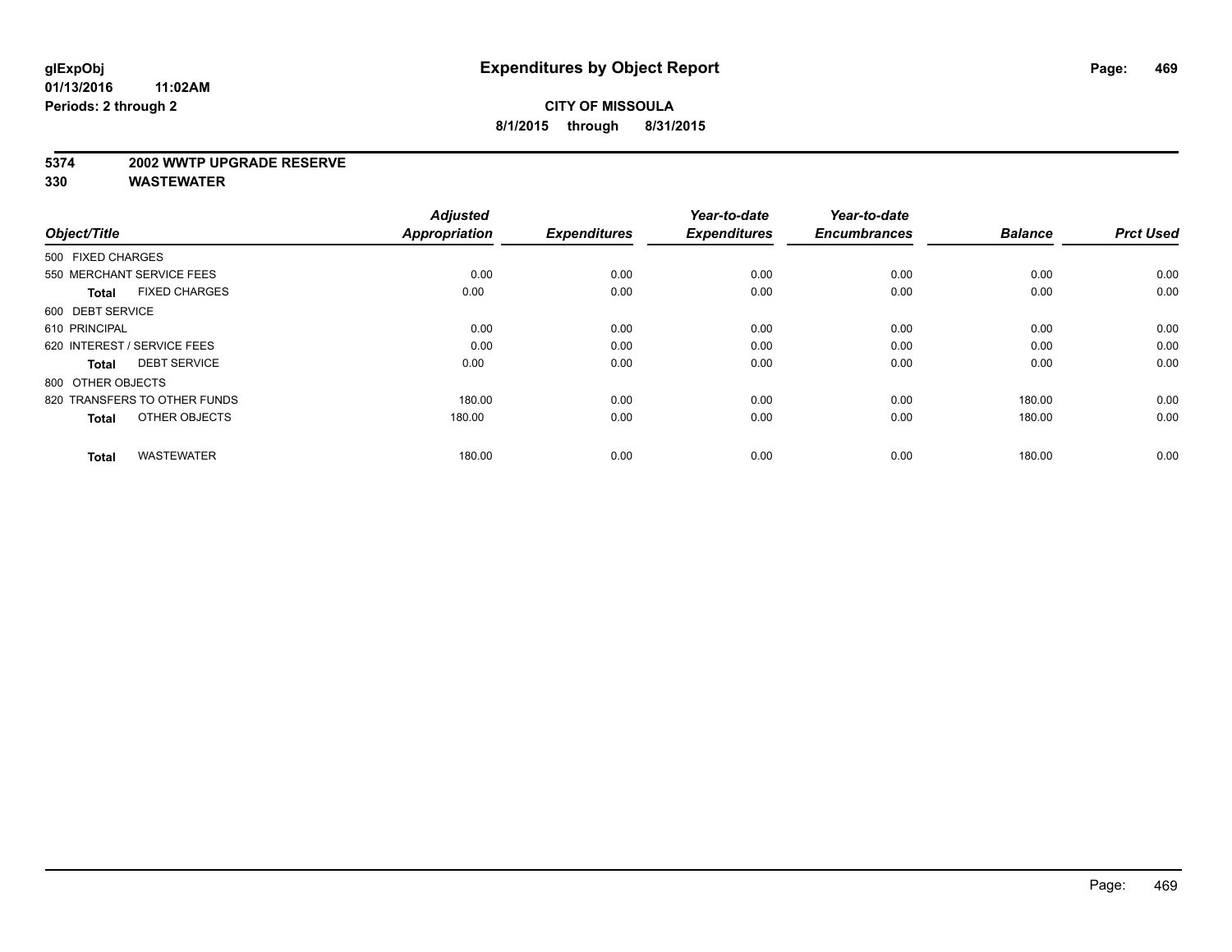#### **5374 2002 WWTP UPGRADE RESERVE**

| Object/Title                         | <b>Adjusted</b><br>Appropriation | <b>Expenditures</b> | Year-to-date<br><b>Expenditures</b> | Year-to-date<br><b>Encumbrances</b> | <b>Balance</b> | <b>Prct Used</b> |
|--------------------------------------|----------------------------------|---------------------|-------------------------------------|-------------------------------------|----------------|------------------|
| 500 FIXED CHARGES                    |                                  |                     |                                     |                                     |                |                  |
|                                      |                                  |                     |                                     |                                     |                |                  |
| 550 MERCHANT SERVICE FEES            | 0.00                             | 0.00                | 0.00                                | 0.00                                | 0.00           | 0.00             |
| <b>FIXED CHARGES</b><br><b>Total</b> | 0.00                             | 0.00                | 0.00                                | 0.00                                | 0.00           | 0.00             |
| 600 DEBT SERVICE                     |                                  |                     |                                     |                                     |                |                  |
| 610 PRINCIPAL                        | 0.00                             | 0.00                | 0.00                                | 0.00                                | 0.00           | 0.00             |
| 620 INTEREST / SERVICE FEES          | 0.00                             | 0.00                | 0.00                                | 0.00                                | 0.00           | 0.00             |
| <b>DEBT SERVICE</b><br><b>Total</b>  | 0.00                             | 0.00                | 0.00                                | 0.00                                | 0.00           | 0.00             |
| 800 OTHER OBJECTS                    |                                  |                     |                                     |                                     |                |                  |
| 820 TRANSFERS TO OTHER FUNDS         | 180.00                           | 0.00                | 0.00                                | 0.00                                | 180.00         | 0.00             |
| OTHER OBJECTS<br><b>Total</b>        | 180.00                           | 0.00                | 0.00                                | 0.00                                | 180.00         | 0.00             |
|                                      |                                  |                     |                                     |                                     |                |                  |
| <b>WASTEWATER</b><br><b>Total</b>    | 180.00                           | 0.00                | 0.00                                | 0.00                                | 180.00         | 0.00             |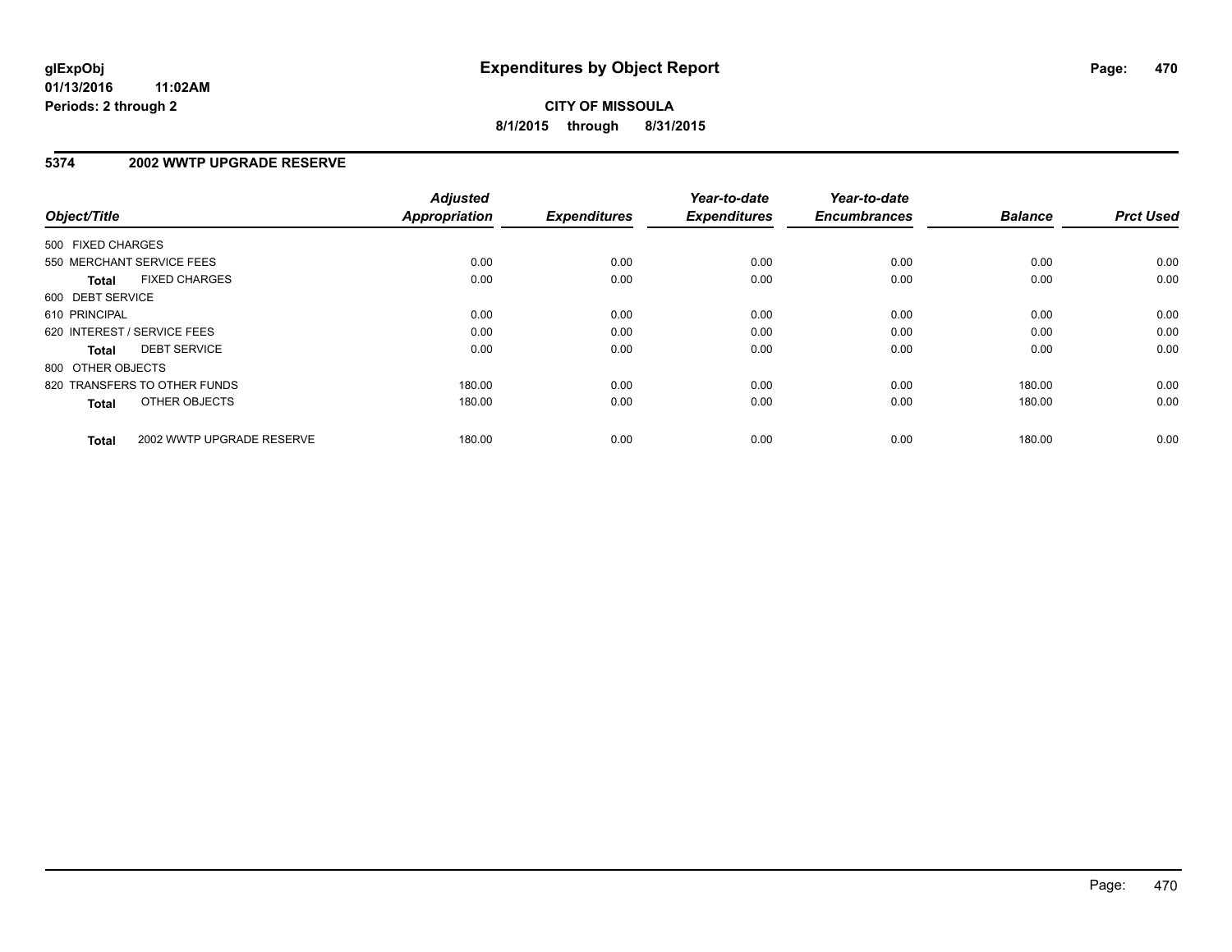### **5374 2002 WWTP UPGRADE RESERVE**

| Object/Title      |                              | <b>Adjusted</b><br><b>Appropriation</b> | <b>Expenditures</b> | Year-to-date<br><b>Expenditures</b> | Year-to-date<br><b>Encumbrances</b> | <b>Balance</b> | <b>Prct Used</b> |
|-------------------|------------------------------|-----------------------------------------|---------------------|-------------------------------------|-------------------------------------|----------------|------------------|
| 500 FIXED CHARGES |                              |                                         |                     |                                     |                                     |                |                  |
|                   | 550 MERCHANT SERVICE FEES    | 0.00                                    | 0.00                | 0.00                                | 0.00                                | 0.00           | 0.00             |
| <b>Total</b>      | <b>FIXED CHARGES</b>         | 0.00                                    | 0.00                | 0.00                                | 0.00                                | 0.00           | 0.00             |
| 600 DEBT SERVICE  |                              |                                         |                     |                                     |                                     |                |                  |
| 610 PRINCIPAL     |                              | 0.00                                    | 0.00                | 0.00                                | 0.00                                | 0.00           | 0.00             |
|                   | 620 INTEREST / SERVICE FEES  | 0.00                                    | 0.00                | 0.00                                | 0.00                                | 0.00           | 0.00             |
| <b>Total</b>      | <b>DEBT SERVICE</b>          | 0.00                                    | 0.00                | 0.00                                | 0.00                                | 0.00           | 0.00             |
| 800 OTHER OBJECTS |                              |                                         |                     |                                     |                                     |                |                  |
|                   | 820 TRANSFERS TO OTHER FUNDS | 180.00                                  | 0.00                | 0.00                                | 0.00                                | 180.00         | 0.00             |
| <b>Total</b>      | OTHER OBJECTS                | 180.00                                  | 0.00                | 0.00                                | 0.00                                | 180.00         | 0.00             |
| <b>Total</b>      | 2002 WWTP UPGRADE RESERVE    | 180.00                                  | 0.00                | 0.00                                | 0.00                                | 180.00         | 0.00             |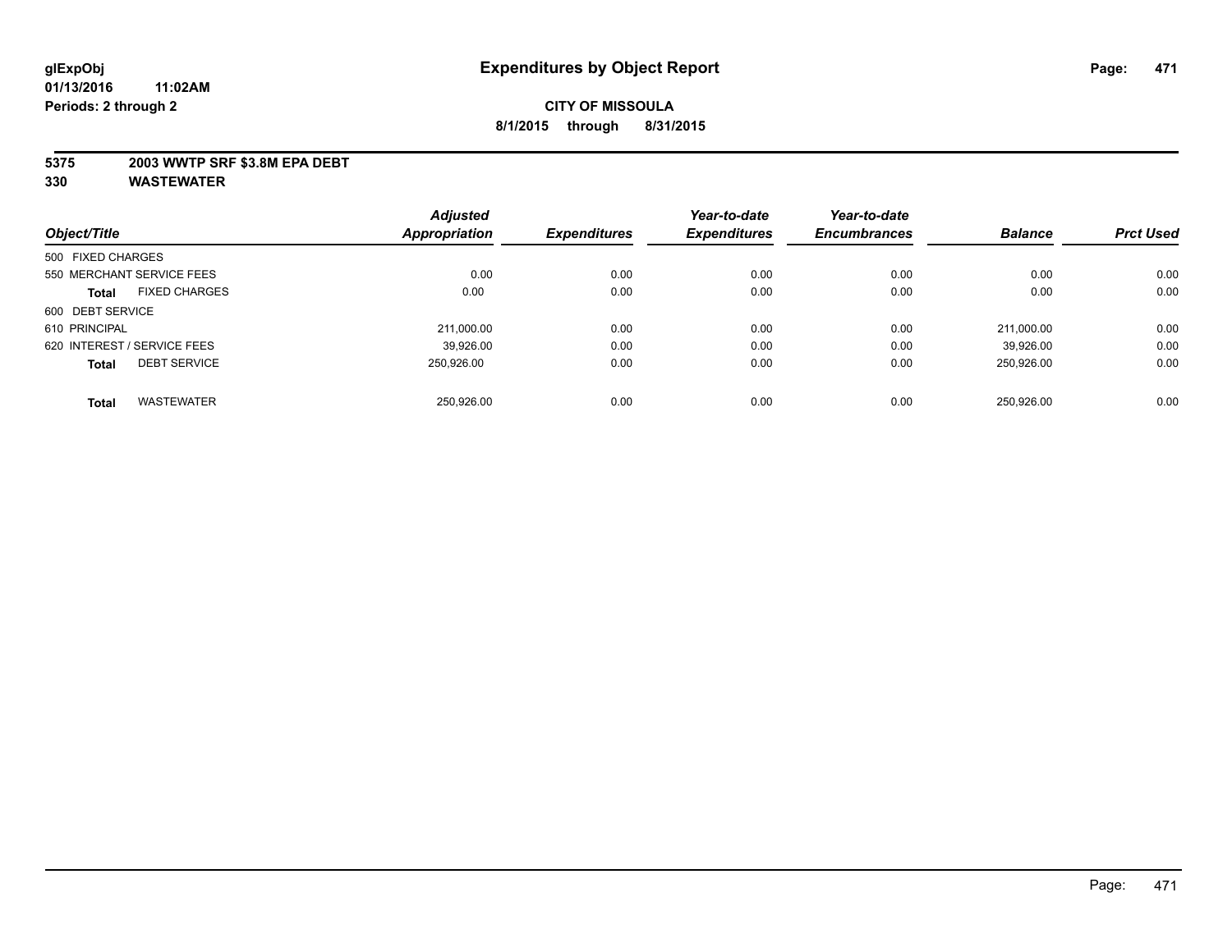### **5375 2003 WWTP SRF \$3.8M EPA DEBT**

| Object/Title      |                             | <b>Adjusted</b> |                     | Year-to-date        | Year-to-date        | <b>Balance</b> | <b>Prct Used</b> |
|-------------------|-----------------------------|-----------------|---------------------|---------------------|---------------------|----------------|------------------|
|                   |                             | Appropriation   | <b>Expenditures</b> | <b>Expenditures</b> | <b>Encumbrances</b> |                |                  |
| 500 FIXED CHARGES |                             |                 |                     |                     |                     |                |                  |
|                   | 550 MERCHANT SERVICE FEES   | 0.00            | 0.00                | 0.00                | 0.00                | 0.00           | 0.00             |
| <b>Total</b>      | <b>FIXED CHARGES</b>        | 0.00            | 0.00                | 0.00                | 0.00                | 0.00           | 0.00             |
| 600 DEBT SERVICE  |                             |                 |                     |                     |                     |                |                  |
| 610 PRINCIPAL     |                             | 211,000.00      | 0.00                | 0.00                | 0.00                | 211.000.00     | 0.00             |
|                   | 620 INTEREST / SERVICE FEES | 39.926.00       | 0.00                | 0.00                | 0.00                | 39.926.00      | 0.00             |
| <b>Total</b>      | <b>DEBT SERVICE</b>         | 250.926.00      | 0.00                | 0.00                | 0.00                | 250.926.00     | 0.00             |
| <b>Total</b>      | <b>WASTEWATER</b>           | 250.926.00      | 0.00                | 0.00                | 0.00                | 250.926.00     | 0.00             |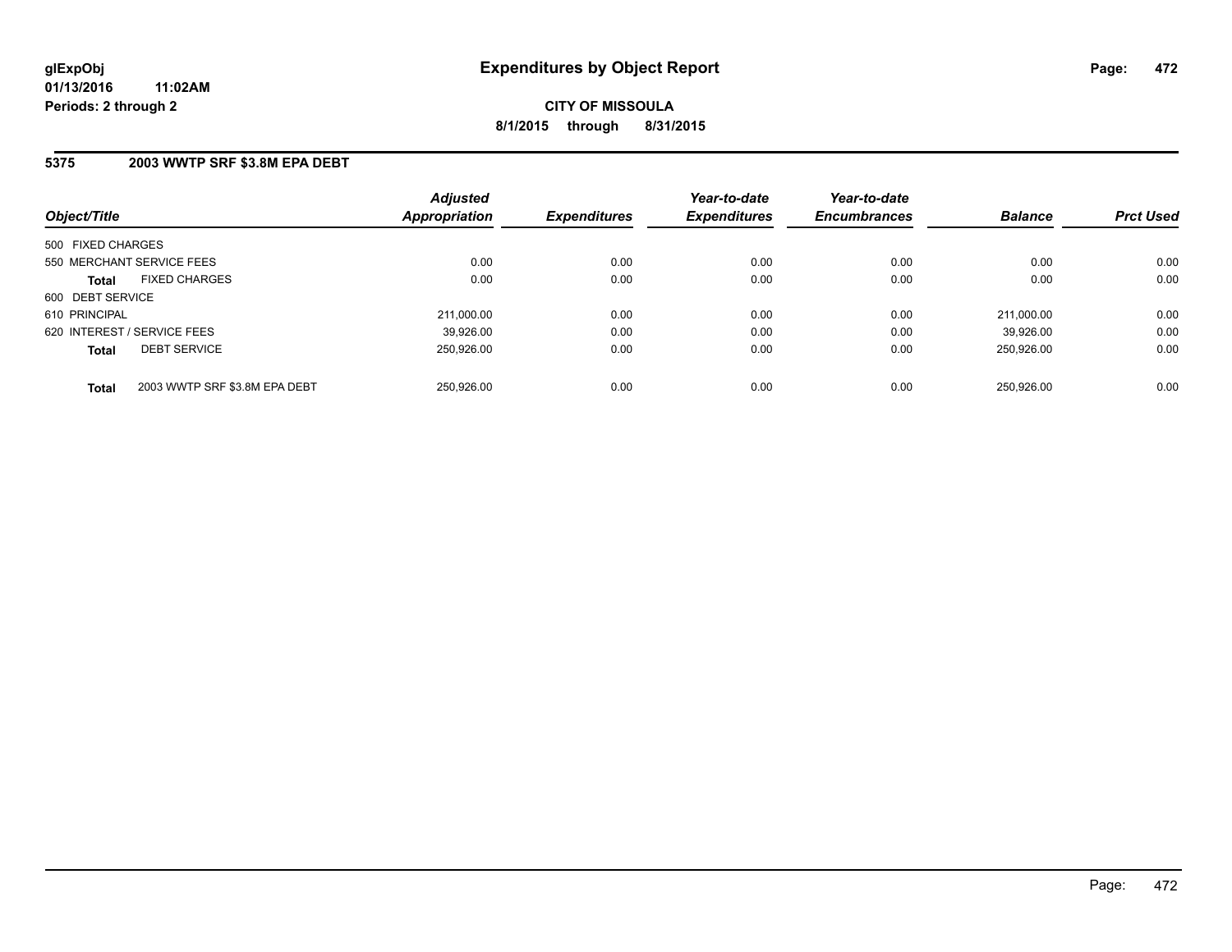### **5375 2003 WWTP SRF \$3.8M EPA DEBT**

| Object/Title                                  | <b>Adjusted</b><br>Appropriation | <b>Expenditures</b> | Year-to-date<br><b>Expenditures</b> | Year-to-date<br><b>Encumbrances</b> | <b>Balance</b> | <b>Prct Used</b> |
|-----------------------------------------------|----------------------------------|---------------------|-------------------------------------|-------------------------------------|----------------|------------------|
| 500 FIXED CHARGES                             |                                  |                     |                                     |                                     |                |                  |
| 550 MERCHANT SERVICE FEES                     | 0.00                             | 0.00                | 0.00                                | 0.00                                | 0.00           | 0.00             |
| <b>FIXED CHARGES</b><br><b>Total</b>          | 0.00                             | 0.00                | 0.00                                | 0.00                                | 0.00           | 0.00             |
| 600 DEBT SERVICE                              |                                  |                     |                                     |                                     |                |                  |
| 610 PRINCIPAL                                 | 211.000.00                       | 0.00                | 0.00                                | 0.00                                | 211.000.00     | 0.00             |
| 620 INTEREST / SERVICE FEES                   | 39,926.00                        | 0.00                | 0.00                                | 0.00                                | 39.926.00      | 0.00             |
| <b>DEBT SERVICE</b><br><b>Total</b>           | 250.926.00                       | 0.00                | 0.00                                | 0.00                                | 250.926.00     | 0.00             |
| 2003 WWTP SRF \$3.8M EPA DEBT<br><b>Total</b> | 250.926.00                       | 0.00                | 0.00                                | 0.00                                | 250.926.00     | 0.00             |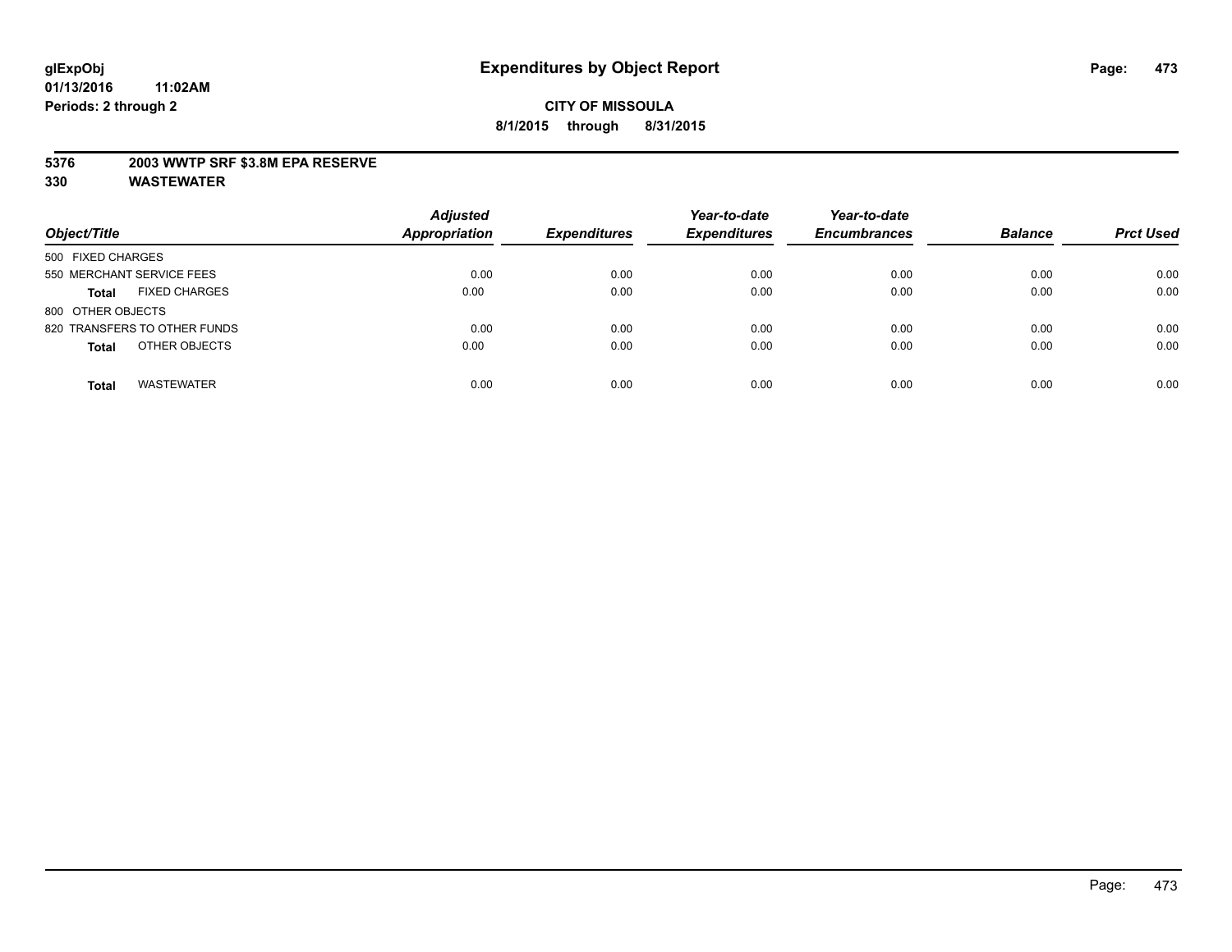### **5376 2003 WWTP SRF \$3.8M EPA RESERVE**

| Object/Title                         | <b>Adjusted</b><br><b>Appropriation</b> | <b>Expenditures</b> | Year-to-date<br><b>Expenditures</b> | Year-to-date<br><b>Encumbrances</b> | <b>Balance</b> | <b>Prct Used</b> |
|--------------------------------------|-----------------------------------------|---------------------|-------------------------------------|-------------------------------------|----------------|------------------|
| 500 FIXED CHARGES                    |                                         |                     |                                     |                                     |                |                  |
| 550 MERCHANT SERVICE FEES            | 0.00                                    | 0.00                | 0.00                                | 0.00                                | 0.00           | 0.00             |
| <b>FIXED CHARGES</b><br><b>Total</b> | 0.00                                    | 0.00                | 0.00                                | 0.00                                | 0.00           | 0.00             |
| 800 OTHER OBJECTS                    |                                         |                     |                                     |                                     |                |                  |
| 820 TRANSFERS TO OTHER FUNDS         | 0.00                                    | 0.00                | 0.00                                | 0.00                                | 0.00           | 0.00             |
| OTHER OBJECTS<br><b>Total</b>        | 0.00                                    | 0.00                | 0.00                                | 0.00                                | 0.00           | 0.00             |
| <b>WASTEWATER</b><br><b>Total</b>    | 0.00                                    | 0.00                | 0.00                                | 0.00                                | 0.00           | 0.00             |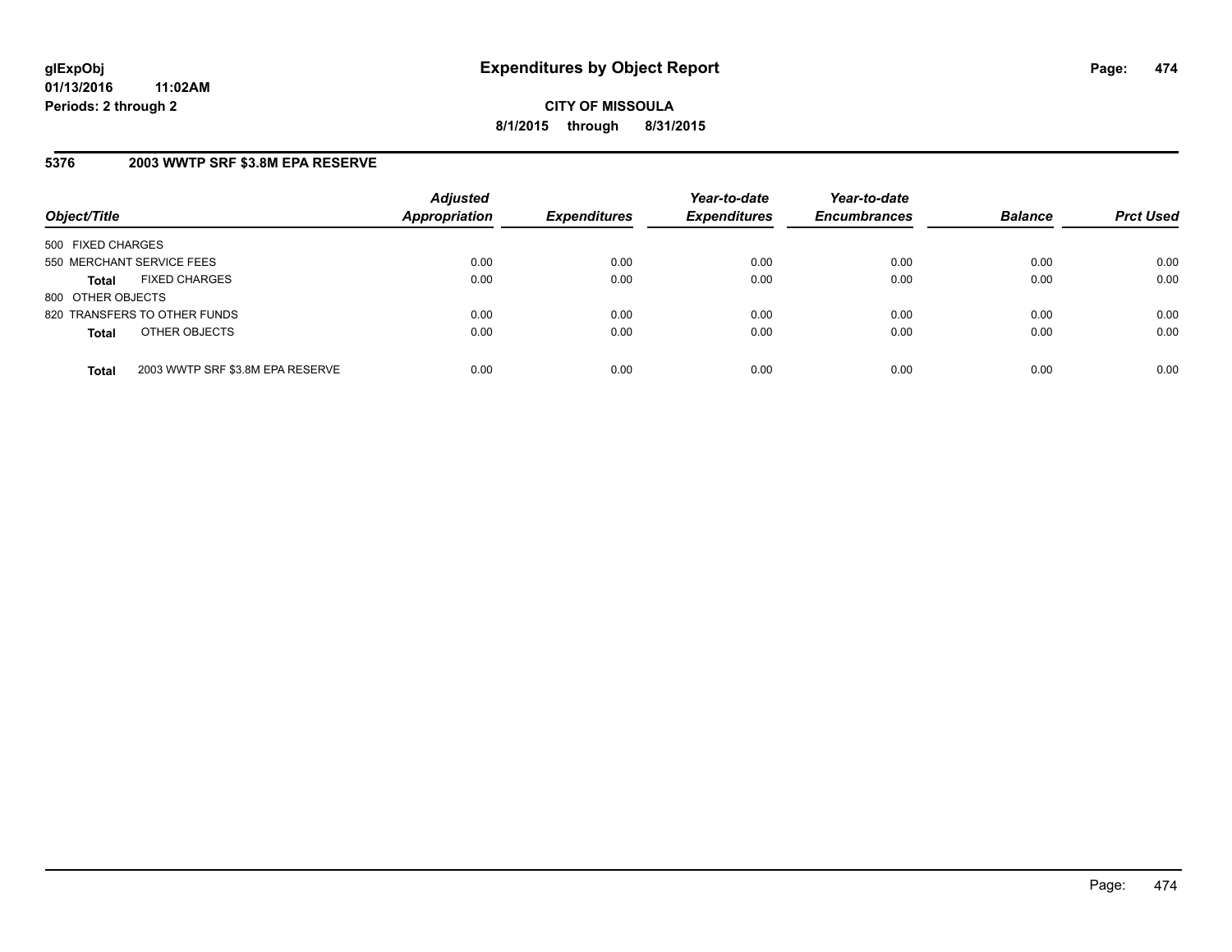**CITY OF MISSOULA 8/1/2015 through 8/31/2015**

### **5376 2003 WWTP SRF \$3.8M EPA RESERVE**

| Object/Title              |                                  | <b>Adjusted</b><br><b>Appropriation</b> | <b>Expenditures</b> | Year-to-date<br><b>Expenditures</b> | Year-to-date<br><b>Encumbrances</b> | <b>Balance</b> | <b>Prct Used</b> |
|---------------------------|----------------------------------|-----------------------------------------|---------------------|-------------------------------------|-------------------------------------|----------------|------------------|
| 500 FIXED CHARGES         |                                  |                                         |                     |                                     |                                     |                |                  |
| 550 MERCHANT SERVICE FEES |                                  | 0.00                                    | 0.00                | 0.00                                | 0.00                                | 0.00           | 0.00             |
| <b>Total</b>              | <b>FIXED CHARGES</b>             | 0.00                                    | 0.00                | 0.00                                | 0.00                                | 0.00           | 0.00             |
| 800 OTHER OBJECTS         |                                  |                                         |                     |                                     |                                     |                |                  |
|                           | 820 TRANSFERS TO OTHER FUNDS     | 0.00                                    | 0.00                | 0.00                                | 0.00                                | 0.00           | 0.00             |
| <b>Total</b>              | OTHER OBJECTS                    | 0.00                                    | 0.00                | 0.00                                | 0.00                                | 0.00           | 0.00             |
| <b>Total</b>              | 2003 WWTP SRF \$3.8M EPA RESERVE | 0.00                                    | 0.00                | 0.00                                | 0.00                                | 0.00           | 0.00             |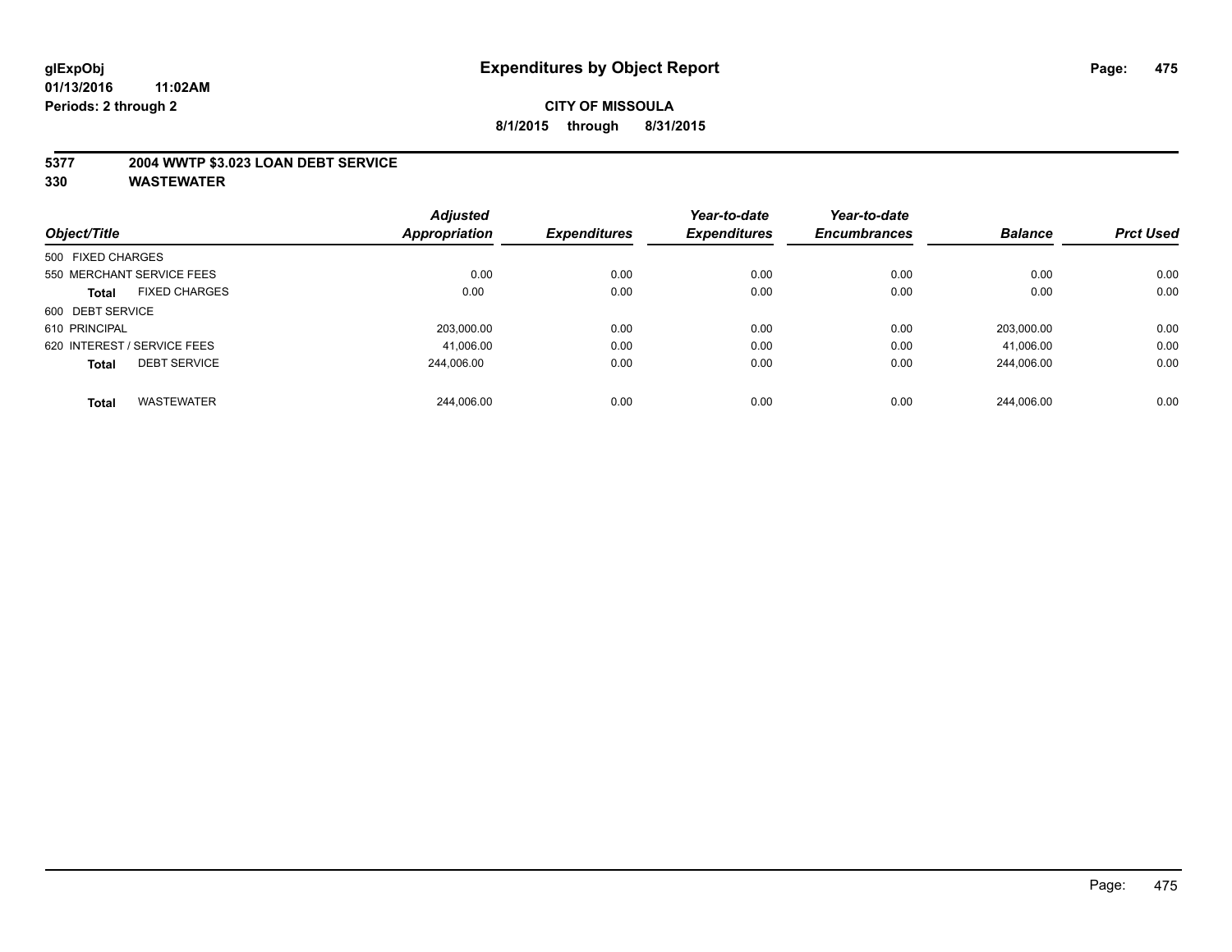### **5377 2004 WWTP \$3.023 LOAN DEBT SERVICE**

| Object/Title      |                             | <b>Adjusted</b> | <b>Expenditures</b> | Year-to-date        | Year-to-date        | <b>Balance</b> | <b>Prct Used</b> |
|-------------------|-----------------------------|-----------------|---------------------|---------------------|---------------------|----------------|------------------|
|                   |                             | Appropriation   |                     | <b>Expenditures</b> | <b>Encumbrances</b> |                |                  |
| 500 FIXED CHARGES |                             |                 |                     |                     |                     |                |                  |
|                   | 550 MERCHANT SERVICE FEES   | 0.00            | 0.00                | 0.00                | 0.00                | 0.00           | 0.00             |
| <b>Total</b>      | <b>FIXED CHARGES</b>        | 0.00            | 0.00                | 0.00                | 0.00                | 0.00           | 0.00             |
| 600 DEBT SERVICE  |                             |                 |                     |                     |                     |                |                  |
| 610 PRINCIPAL     |                             | 203,000.00      | 0.00                | 0.00                | 0.00                | 203.000.00     | 0.00             |
|                   | 620 INTEREST / SERVICE FEES | 41,006.00       | 0.00                | 0.00                | 0.00                | 41,006.00      | 0.00             |
| <b>Total</b>      | <b>DEBT SERVICE</b>         | 244.006.00      | 0.00                | 0.00                | 0.00                | 244.006.00     | 0.00             |
| <b>Total</b>      | <b>WASTEWATER</b>           | 244.006.00      | 0.00                | 0.00                | 0.00                | 244.006.00     | 0.00             |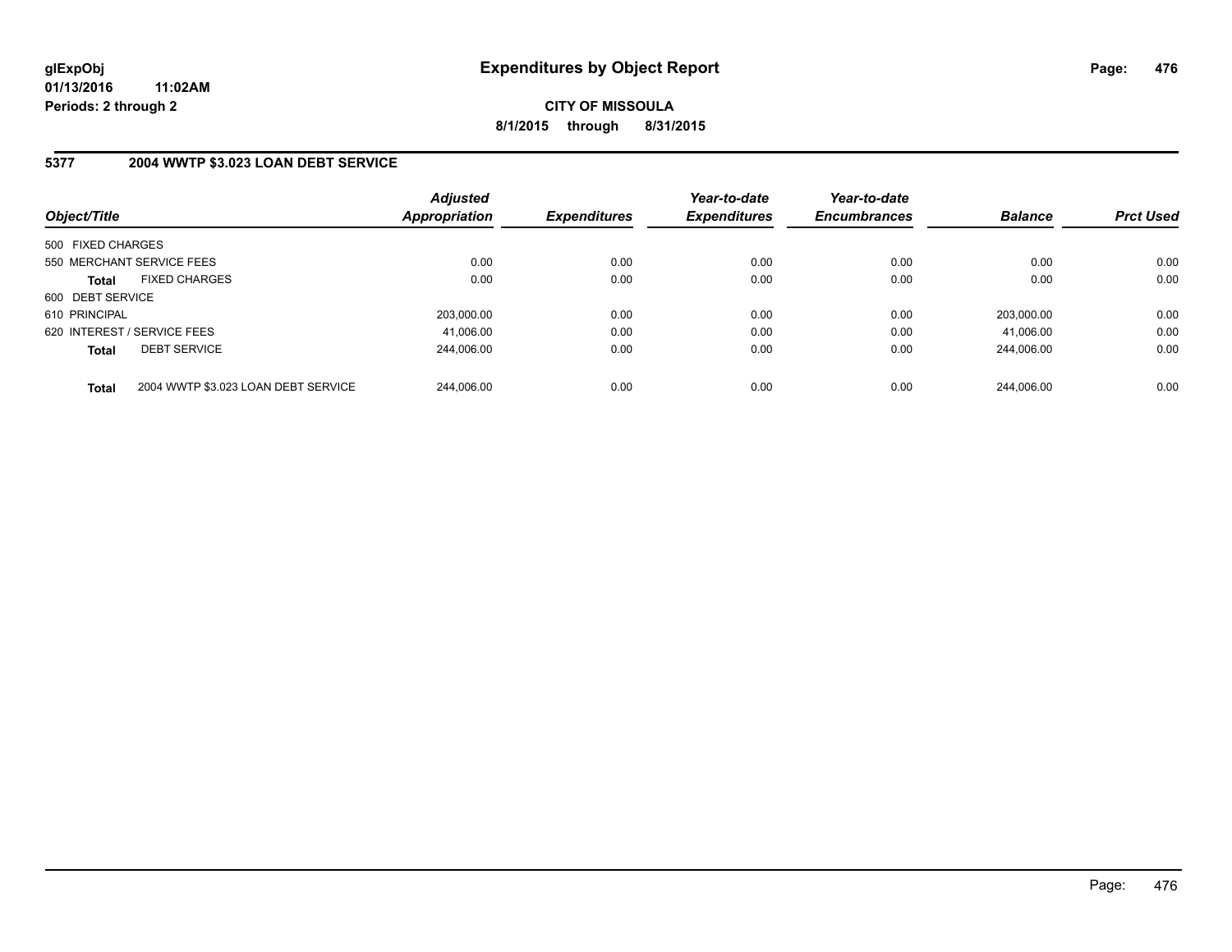### **5377 2004 WWTP \$3.023 LOAN DEBT SERVICE**

| Object/Title                |                                     | <b>Adjusted</b><br><b>Appropriation</b> | <b>Expenditures</b> | Year-to-date<br><b>Expenditures</b> | Year-to-date<br><b>Encumbrances</b> | <b>Balance</b> | <b>Prct Used</b> |
|-----------------------------|-------------------------------------|-----------------------------------------|---------------------|-------------------------------------|-------------------------------------|----------------|------------------|
| 500 FIXED CHARGES           |                                     |                                         |                     |                                     |                                     |                |                  |
| 550 MERCHANT SERVICE FEES   |                                     | 0.00                                    | 0.00                | 0.00                                | 0.00                                | 0.00           | 0.00             |
| <b>Total</b>                | <b>FIXED CHARGES</b>                | 0.00                                    | 0.00                | 0.00                                | 0.00                                | 0.00           | 0.00             |
| 600 DEBT SERVICE            |                                     |                                         |                     |                                     |                                     |                |                  |
| 610 PRINCIPAL               |                                     | 203.000.00                              | 0.00                | 0.00                                | 0.00                                | 203.000.00     | 0.00             |
| 620 INTEREST / SERVICE FEES |                                     | 41,006.00                               | 0.00                | 0.00                                | 0.00                                | 41.006.00      | 0.00             |
| <b>Total</b>                | <b>DEBT SERVICE</b>                 | 244.006.00                              | 0.00                | 0.00                                | 0.00                                | 244.006.00     | 0.00             |
| <b>Total</b>                | 2004 WWTP \$3.023 LOAN DEBT SERVICE | 244.006.00                              | 0.00                | 0.00                                | 0.00                                | 244.006.00     | 0.00             |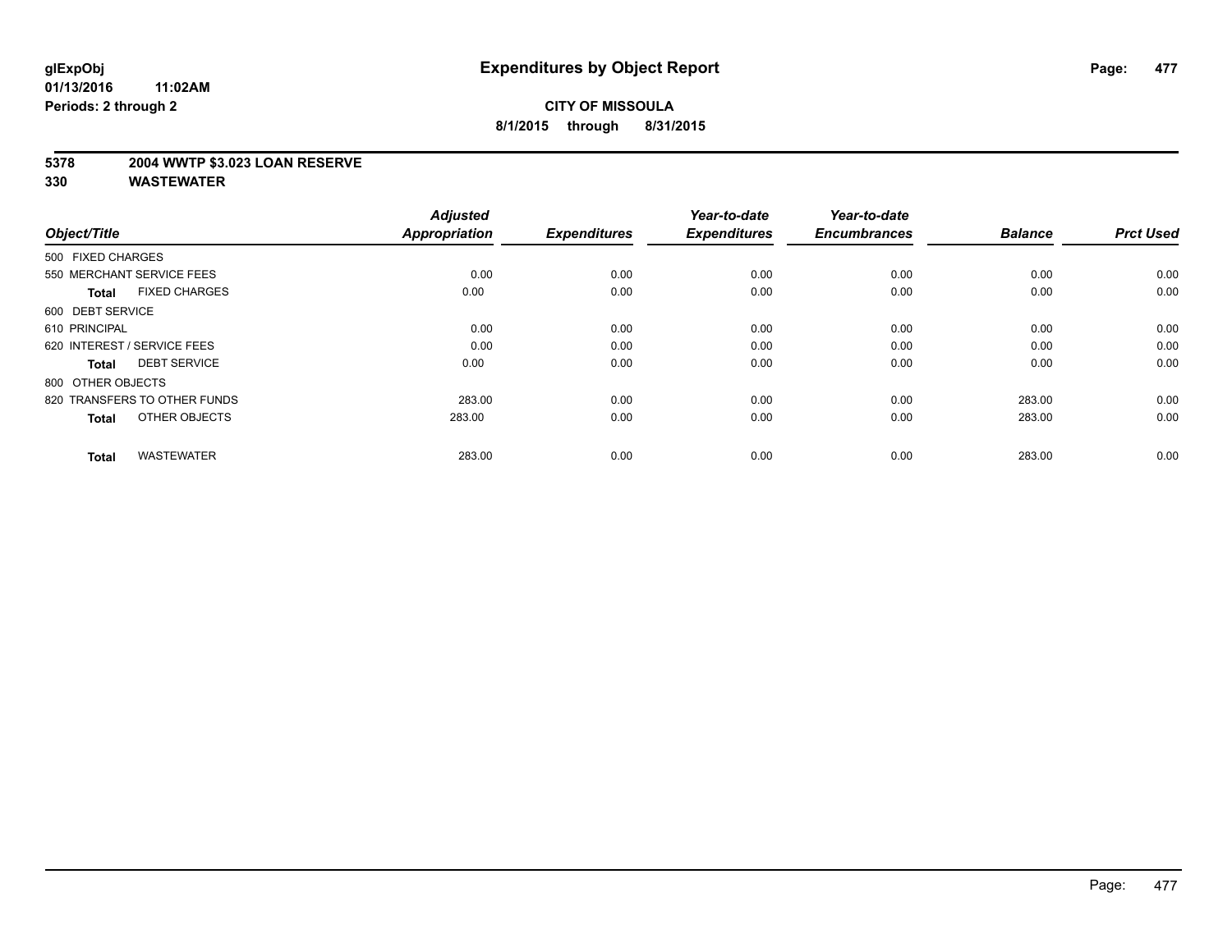### **5378 2004 WWTP \$3.023 LOAN RESERVE**

| Object/Title                         | <b>Adjusted</b><br><b>Appropriation</b> | <b>Expenditures</b> | Year-to-date<br><b>Expenditures</b> | Year-to-date<br><b>Encumbrances</b> | <b>Balance</b> | <b>Prct Used</b> |
|--------------------------------------|-----------------------------------------|---------------------|-------------------------------------|-------------------------------------|----------------|------------------|
| 500 FIXED CHARGES                    |                                         |                     |                                     |                                     |                |                  |
| 550 MERCHANT SERVICE FEES            | 0.00                                    | 0.00                | 0.00                                | 0.00                                | 0.00           | 0.00             |
| <b>FIXED CHARGES</b><br><b>Total</b> | 0.00                                    | 0.00                | 0.00                                | 0.00                                | 0.00           | 0.00             |
| 600 DEBT SERVICE                     |                                         |                     |                                     |                                     |                |                  |
| 610 PRINCIPAL                        | 0.00                                    | 0.00                | 0.00                                | 0.00                                | 0.00           | 0.00             |
| 620 INTEREST / SERVICE FEES          | 0.00                                    | 0.00                | 0.00                                | 0.00                                | 0.00           | 0.00             |
| <b>DEBT SERVICE</b><br><b>Total</b>  | 0.00                                    | 0.00                | 0.00                                | 0.00                                | 0.00           | 0.00             |
| 800 OTHER OBJECTS                    |                                         |                     |                                     |                                     |                |                  |
| 820 TRANSFERS TO OTHER FUNDS         | 283.00                                  | 0.00                | 0.00                                | 0.00                                | 283.00         | 0.00             |
| OTHER OBJECTS<br><b>Total</b>        | 283.00                                  | 0.00                | 0.00                                | 0.00                                | 283.00         | 0.00             |
|                                      |                                         |                     |                                     |                                     |                |                  |
| <b>WASTEWATER</b><br><b>Total</b>    | 283.00                                  | 0.00                | 0.00                                | 0.00                                | 283.00         | 0.00             |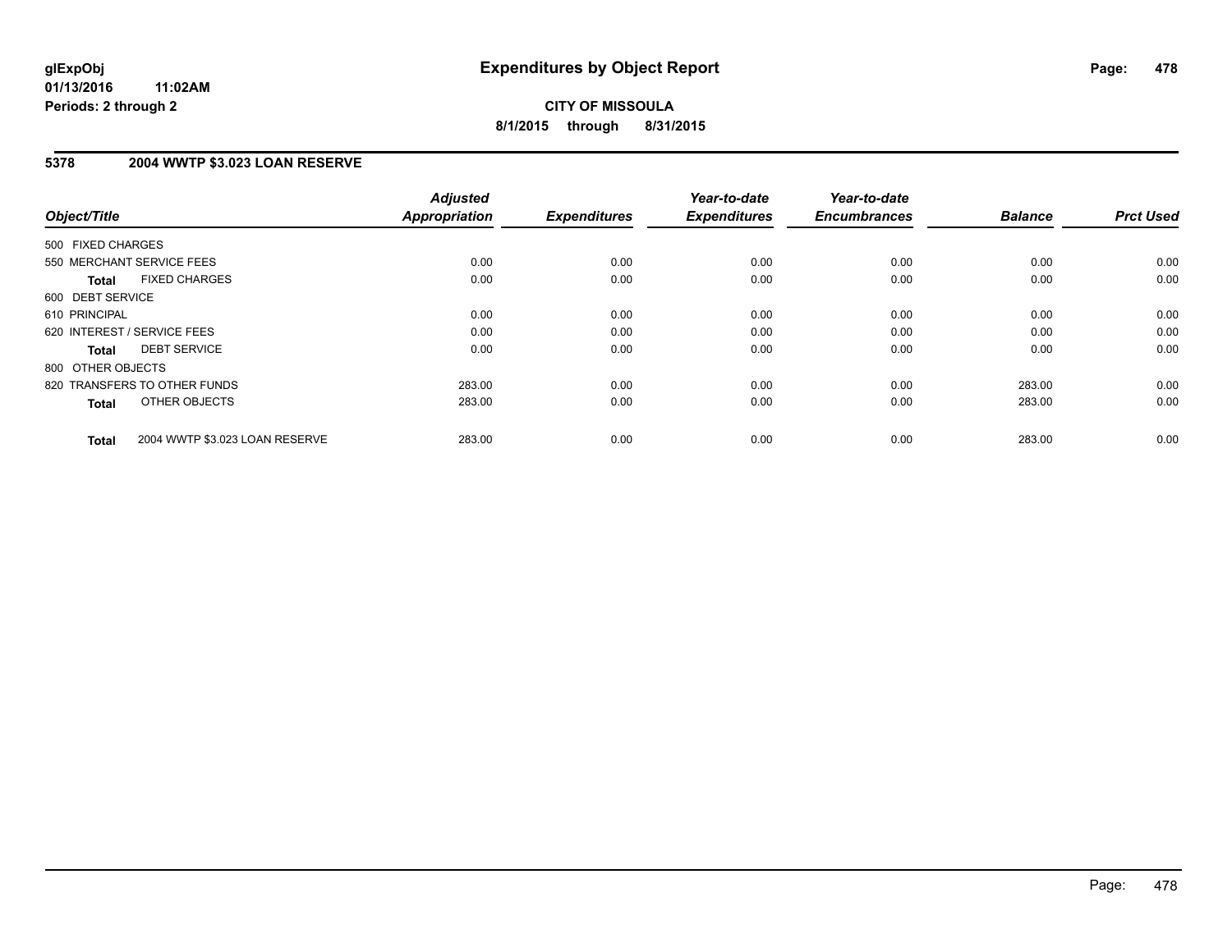**CITY OF MISSOULA 8/1/2015 through 8/31/2015**

### **5378 2004 WWTP \$3.023 LOAN RESERVE**

| Object/Title                                   | <b>Adjusted</b><br><b>Appropriation</b> | <b>Expenditures</b> | Year-to-date<br><b>Expenditures</b> | Year-to-date<br><b>Encumbrances</b> | <b>Balance</b> | <b>Prct Used</b> |
|------------------------------------------------|-----------------------------------------|---------------------|-------------------------------------|-------------------------------------|----------------|------------------|
|                                                |                                         |                     |                                     |                                     |                |                  |
| 500 FIXED CHARGES                              |                                         |                     |                                     |                                     |                |                  |
| 550 MERCHANT SERVICE FEES                      | 0.00                                    | 0.00                | 0.00                                | 0.00                                | 0.00           | 0.00             |
| <b>FIXED CHARGES</b><br>Total                  | 0.00                                    | 0.00                | 0.00                                | 0.00                                | 0.00           | 0.00             |
| 600 DEBT SERVICE                               |                                         |                     |                                     |                                     |                |                  |
| 610 PRINCIPAL                                  | 0.00                                    | 0.00                | 0.00                                | 0.00                                | 0.00           | 0.00             |
| 620 INTEREST / SERVICE FEES                    | 0.00                                    | 0.00                | 0.00                                | 0.00                                | 0.00           | 0.00             |
| <b>DEBT SERVICE</b><br><b>Total</b>            | 0.00                                    | 0.00                | 0.00                                | 0.00                                | 0.00           | 0.00             |
| 800 OTHER OBJECTS                              |                                         |                     |                                     |                                     |                |                  |
| 820 TRANSFERS TO OTHER FUNDS                   | 283.00                                  | 0.00                | 0.00                                | 0.00                                | 283.00         | 0.00             |
| OTHER OBJECTS<br><b>Total</b>                  | 283.00                                  | 0.00                | 0.00                                | 0.00                                | 283.00         | 0.00             |
|                                                |                                         |                     |                                     |                                     |                |                  |
| 2004 WWTP \$3.023 LOAN RESERVE<br><b>Total</b> | 283.00                                  | 0.00                | 0.00                                | 0.00                                | 283.00         | 0.00             |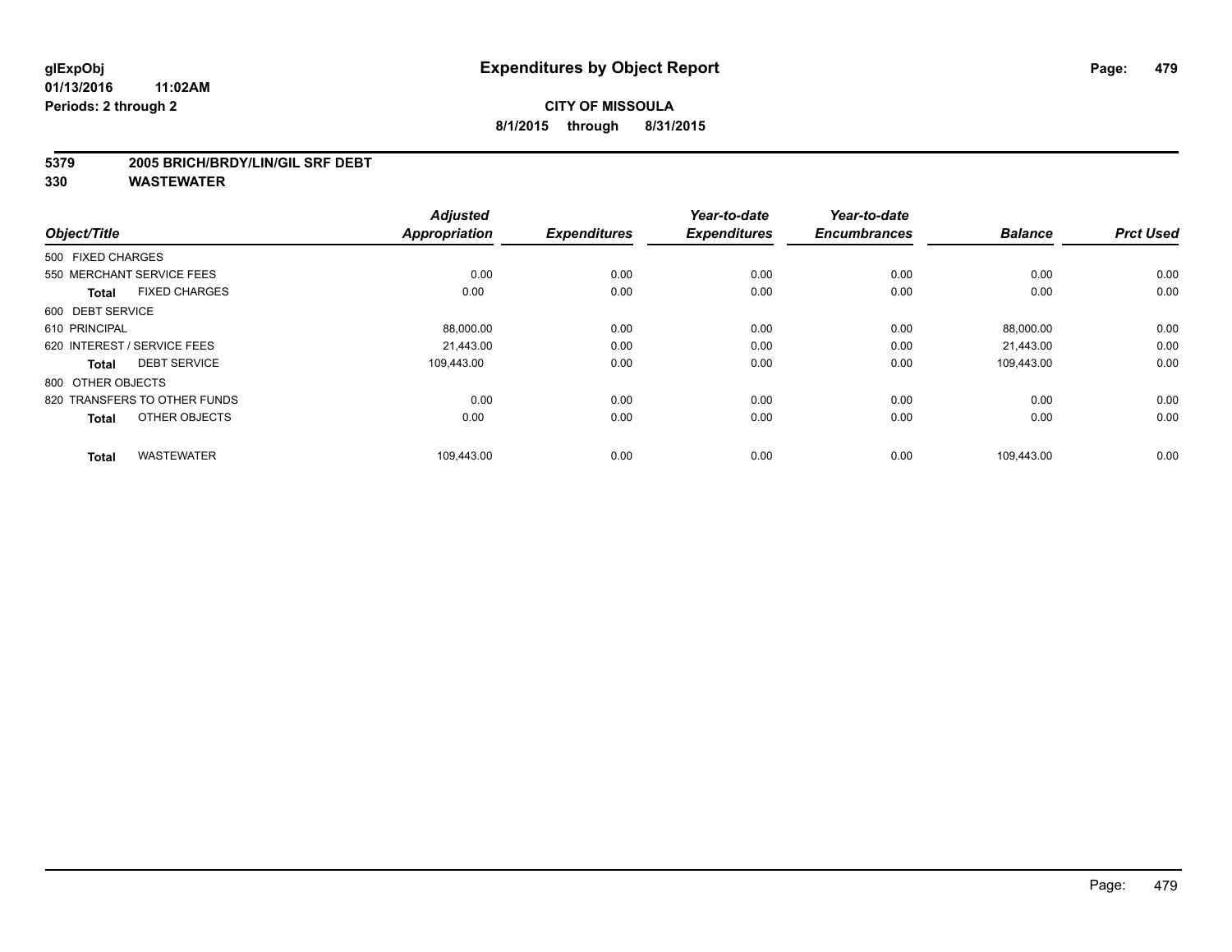#### **5379 2005 BRICH/BRDY/LIN/GIL SRF DEBT**

| Object/Title                         | <b>Adjusted</b><br>Appropriation | <b>Expenditures</b> | Year-to-date<br><b>Expenditures</b> | Year-to-date<br><b>Encumbrances</b> | <b>Balance</b> | <b>Prct Used</b> |
|--------------------------------------|----------------------------------|---------------------|-------------------------------------|-------------------------------------|----------------|------------------|
| 500 FIXED CHARGES                    |                                  |                     |                                     |                                     |                |                  |
| 550 MERCHANT SERVICE FEES            | 0.00                             | 0.00                | 0.00                                | 0.00                                | 0.00           | 0.00             |
| <b>FIXED CHARGES</b><br><b>Total</b> | 0.00                             | 0.00                | 0.00                                | 0.00                                | 0.00           | 0.00             |
| 600 DEBT SERVICE                     |                                  |                     |                                     |                                     |                |                  |
| 610 PRINCIPAL                        | 88,000.00                        | 0.00                | 0.00                                | 0.00                                | 88,000.00      | 0.00             |
| 620 INTEREST / SERVICE FEES          | 21.443.00                        | 0.00                | 0.00                                | 0.00                                | 21.443.00      | 0.00             |
| <b>DEBT SERVICE</b><br><b>Total</b>  | 109.443.00                       | 0.00                | 0.00                                | 0.00                                | 109.443.00     | 0.00             |
| 800 OTHER OBJECTS                    |                                  |                     |                                     |                                     |                |                  |
| 820 TRANSFERS TO OTHER FUNDS         | 0.00                             | 0.00                | 0.00                                | 0.00                                | 0.00           | 0.00             |
| OTHER OBJECTS<br><b>Total</b>        | 0.00                             | 0.00                | 0.00                                | 0.00                                | 0.00           | 0.00             |
|                                      |                                  |                     |                                     |                                     |                |                  |
| <b>WASTEWATER</b><br><b>Total</b>    | 109,443.00                       | 0.00                | 0.00                                | 0.00                                | 109,443.00     | 0.00             |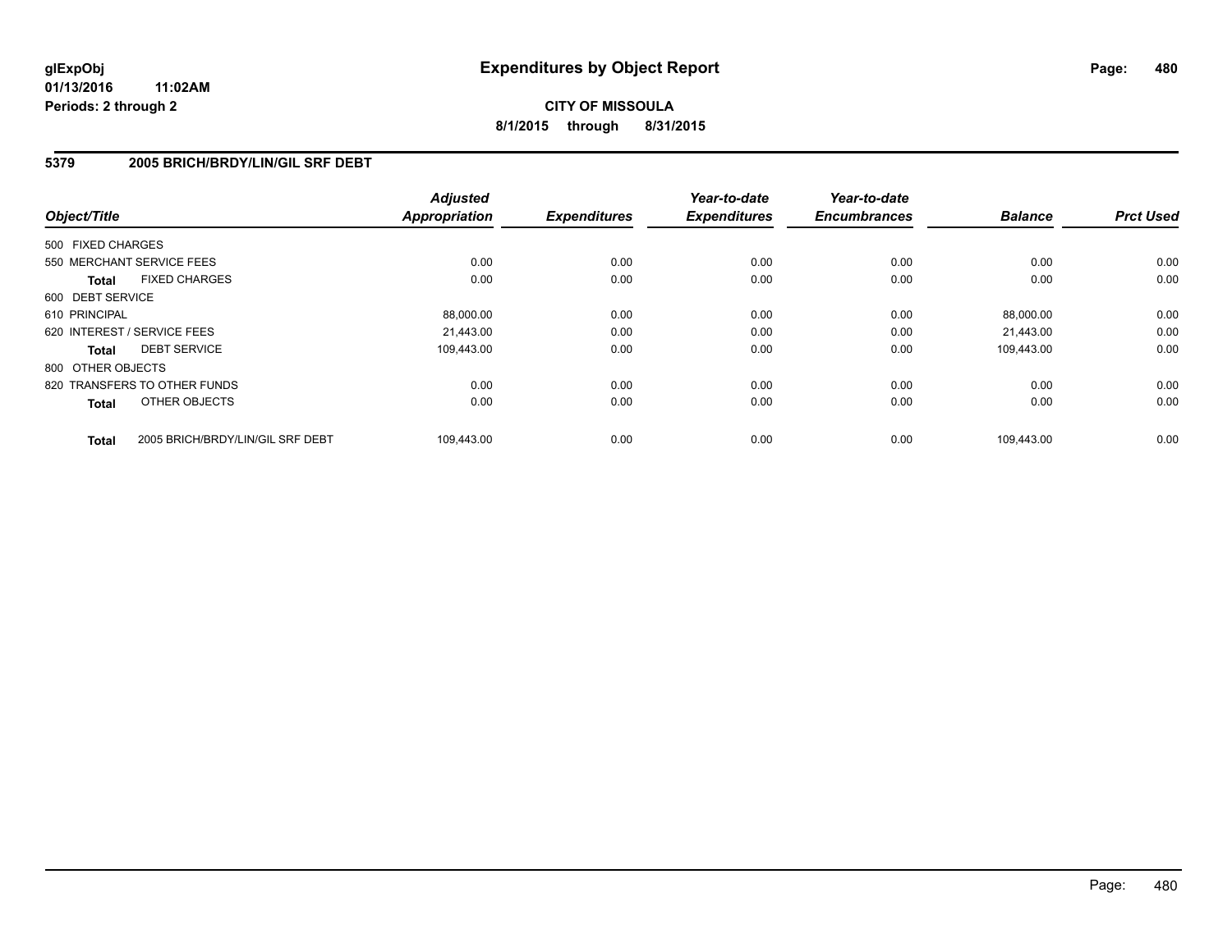# **CITY OF MISSOULA 8/1/2015 through 8/31/2015**

### **5379 2005 BRICH/BRDY/LIN/GIL SRF DEBT**

| Object/Title                 |                                  | <b>Adjusted</b><br><b>Appropriation</b> | <b>Expenditures</b> | Year-to-date<br><b>Expenditures</b> | Year-to-date<br><b>Encumbrances</b> | <b>Balance</b> | <b>Prct Used</b> |
|------------------------------|----------------------------------|-----------------------------------------|---------------------|-------------------------------------|-------------------------------------|----------------|------------------|
| 500 FIXED CHARGES            |                                  |                                         |                     |                                     |                                     |                |                  |
| 550 MERCHANT SERVICE FEES    |                                  | 0.00                                    | 0.00                | 0.00                                | 0.00                                | 0.00           | 0.00             |
| <b>Total</b>                 | <b>FIXED CHARGES</b>             | 0.00                                    | 0.00                | 0.00                                | 0.00                                | 0.00           | 0.00             |
| 600 DEBT SERVICE             |                                  |                                         |                     |                                     |                                     |                |                  |
| 610 PRINCIPAL                |                                  | 88,000.00                               | 0.00                | 0.00                                | 0.00                                | 88,000.00      | 0.00             |
| 620 INTEREST / SERVICE FEES  |                                  | 21.443.00                               | 0.00                | 0.00                                | 0.00                                | 21,443.00      | 0.00             |
| <b>Total</b>                 | <b>DEBT SERVICE</b>              | 109.443.00                              | 0.00                | 0.00                                | 0.00                                | 109,443.00     | 0.00             |
| 800 OTHER OBJECTS            |                                  |                                         |                     |                                     |                                     |                |                  |
| 820 TRANSFERS TO OTHER FUNDS |                                  | 0.00                                    | 0.00                | 0.00                                | 0.00                                | 0.00           | 0.00             |
| <b>Total</b>                 | OTHER OBJECTS                    | 0.00                                    | 0.00                | 0.00                                | 0.00                                | 0.00           | 0.00             |
| <b>Total</b>                 | 2005 BRICH/BRDY/LIN/GIL SRF DEBT | 109,443.00                              | 0.00                | 0.00                                | 0.00                                | 109.443.00     | 0.00             |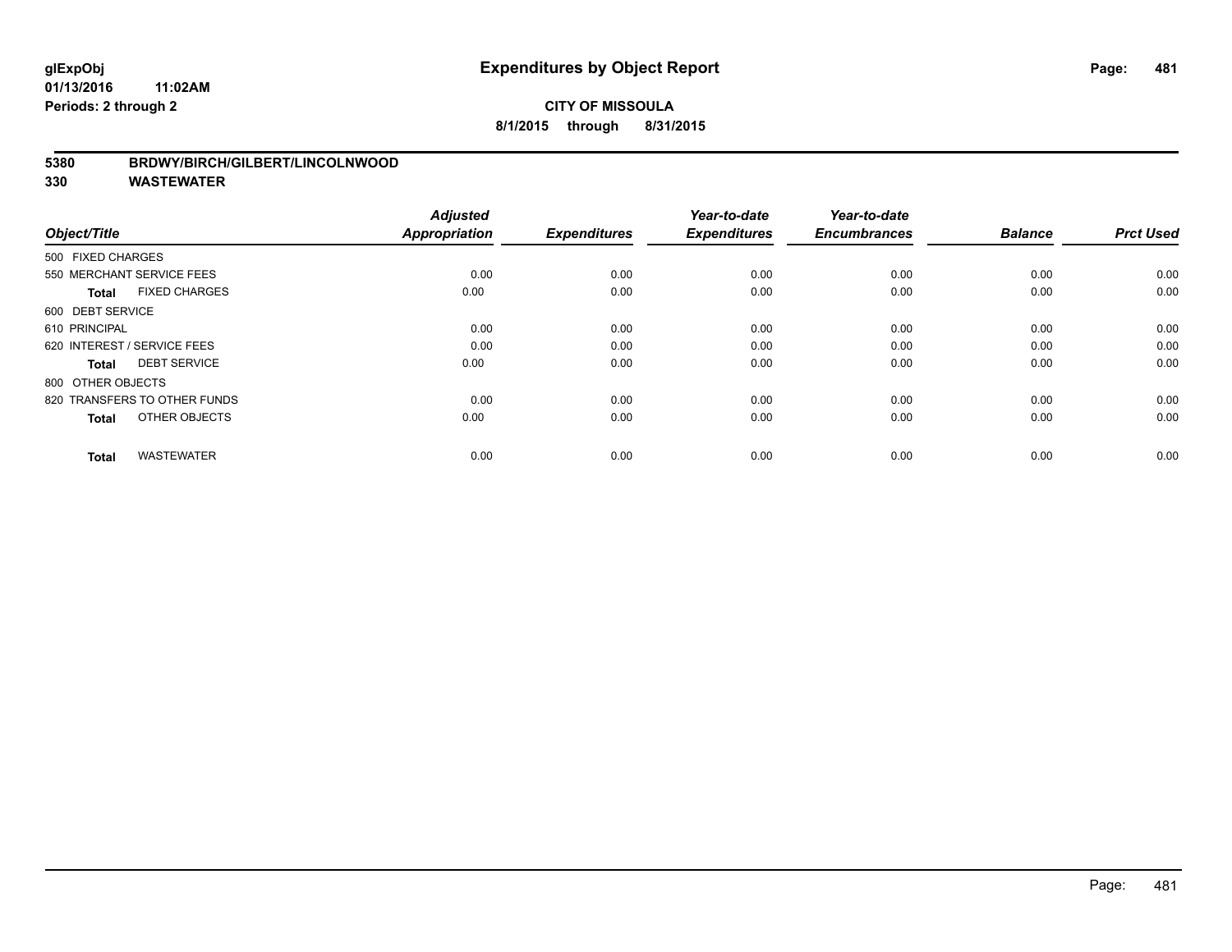## **CITY OF MISSOULA 8/1/2015 through 8/31/2015**

#### **5380 BRDWY/BIRCH/GILBERT/LINCOLNWOOD**

| Object/Title                         | <b>Adjusted</b><br><b>Appropriation</b> | <b>Expenditures</b> | Year-to-date<br><b>Expenditures</b> | Year-to-date<br><b>Encumbrances</b> | <b>Balance</b> | <b>Prct Used</b> |
|--------------------------------------|-----------------------------------------|---------------------|-------------------------------------|-------------------------------------|----------------|------------------|
| 500 FIXED CHARGES                    |                                         |                     |                                     |                                     |                |                  |
| 550 MERCHANT SERVICE FEES            | 0.00                                    | 0.00                | 0.00                                | 0.00                                | 0.00           | 0.00             |
| <b>FIXED CHARGES</b><br><b>Total</b> | 0.00                                    | 0.00                | 0.00                                | 0.00                                | 0.00           | 0.00             |
| 600 DEBT SERVICE                     |                                         |                     |                                     |                                     |                |                  |
| 610 PRINCIPAL                        | 0.00                                    | 0.00                | 0.00                                | 0.00                                | 0.00           | 0.00             |
| 620 INTEREST / SERVICE FEES          | 0.00                                    | 0.00                | 0.00                                | 0.00                                | 0.00           | 0.00             |
| <b>DEBT SERVICE</b><br><b>Total</b>  | 0.00                                    | 0.00                | 0.00                                | 0.00                                | 0.00           | 0.00             |
| 800 OTHER OBJECTS                    |                                         |                     |                                     |                                     |                |                  |
| 820 TRANSFERS TO OTHER FUNDS         | 0.00                                    | 0.00                | 0.00                                | 0.00                                | 0.00           | 0.00             |
| OTHER OBJECTS<br><b>Total</b>        | 0.00                                    | 0.00                | 0.00                                | 0.00                                | 0.00           | 0.00             |
|                                      |                                         |                     |                                     |                                     |                |                  |
| <b>WASTEWATER</b><br><b>Total</b>    | 0.00                                    | 0.00                | 0.00                                | 0.00                                | 0.00           | 0.00             |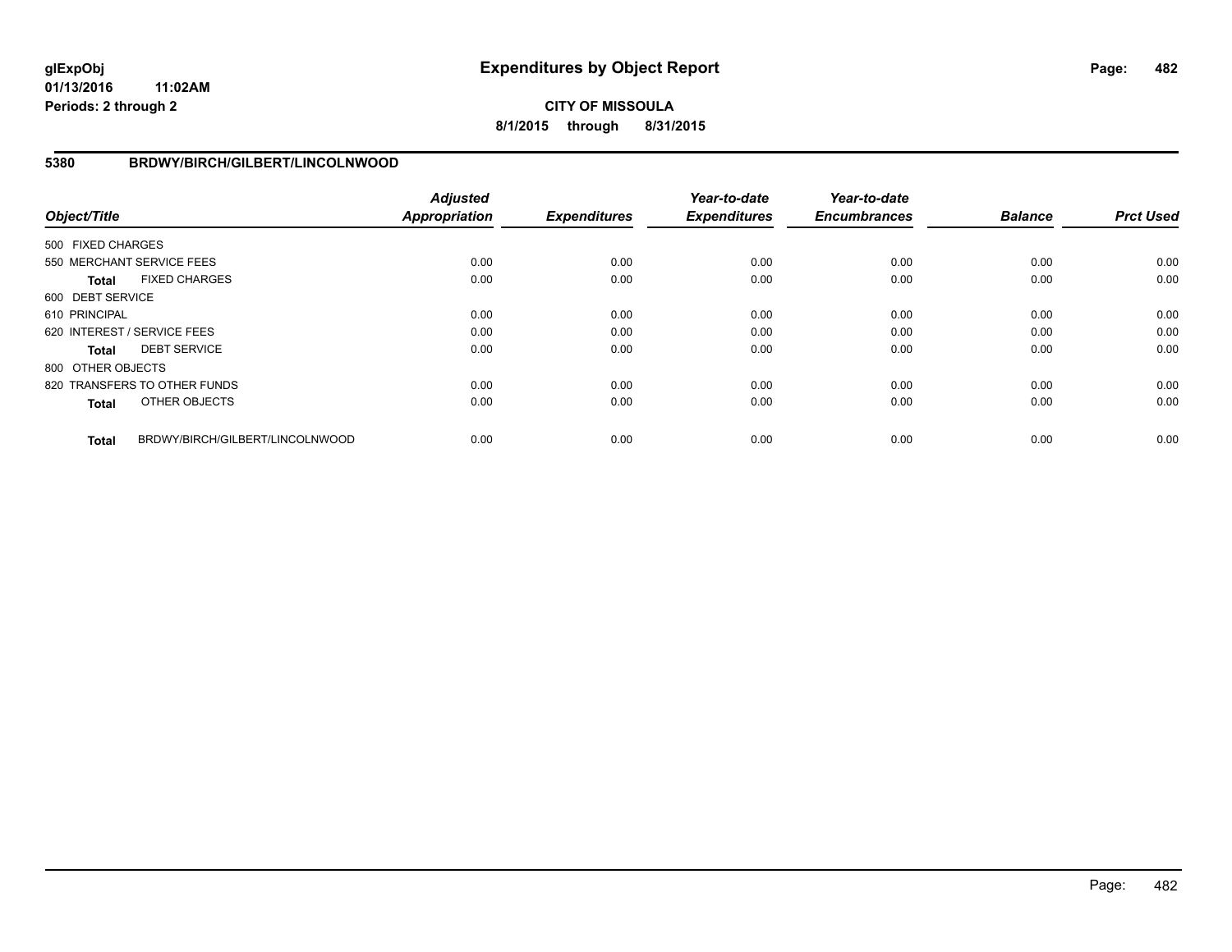# **CITY OF MISSOULA 8/1/2015 through 8/31/2015**

### **5380 BRDWY/BIRCH/GILBERT/LINCOLNWOOD**

| Object/Title      |                                 | <b>Adjusted</b><br><b>Appropriation</b> | <b>Expenditures</b> | Year-to-date<br><b>Expenditures</b> | Year-to-date<br><b>Encumbrances</b> | <b>Balance</b> | <b>Prct Used</b> |
|-------------------|---------------------------------|-----------------------------------------|---------------------|-------------------------------------|-------------------------------------|----------------|------------------|
| 500 FIXED CHARGES |                                 |                                         |                     |                                     |                                     |                |                  |
|                   | 550 MERCHANT SERVICE FEES       | 0.00                                    | 0.00                | 0.00                                | 0.00                                | 0.00           | 0.00             |
| <b>Total</b>      | <b>FIXED CHARGES</b>            | 0.00                                    | 0.00                | 0.00                                | 0.00                                | 0.00           | 0.00             |
| 600 DEBT SERVICE  |                                 |                                         |                     |                                     |                                     |                |                  |
| 610 PRINCIPAL     |                                 | 0.00                                    | 0.00                | 0.00                                | 0.00                                | 0.00           | 0.00             |
|                   | 620 INTEREST / SERVICE FEES     | 0.00                                    | 0.00                | 0.00                                | 0.00                                | 0.00           | 0.00             |
| <b>Total</b>      | <b>DEBT SERVICE</b>             | 0.00                                    | 0.00                | 0.00                                | 0.00                                | 0.00           | 0.00             |
| 800 OTHER OBJECTS |                                 |                                         |                     |                                     |                                     |                |                  |
|                   | 820 TRANSFERS TO OTHER FUNDS    | 0.00                                    | 0.00                | 0.00                                | 0.00                                | 0.00           | 0.00             |
| <b>Total</b>      | OTHER OBJECTS                   | 0.00                                    | 0.00                | 0.00                                | 0.00                                | 0.00           | 0.00             |
| <b>Total</b>      | BRDWY/BIRCH/GILBERT/LINCOLNWOOD | 0.00                                    | 0.00                | 0.00                                | 0.00                                | 0.00           | 0.00             |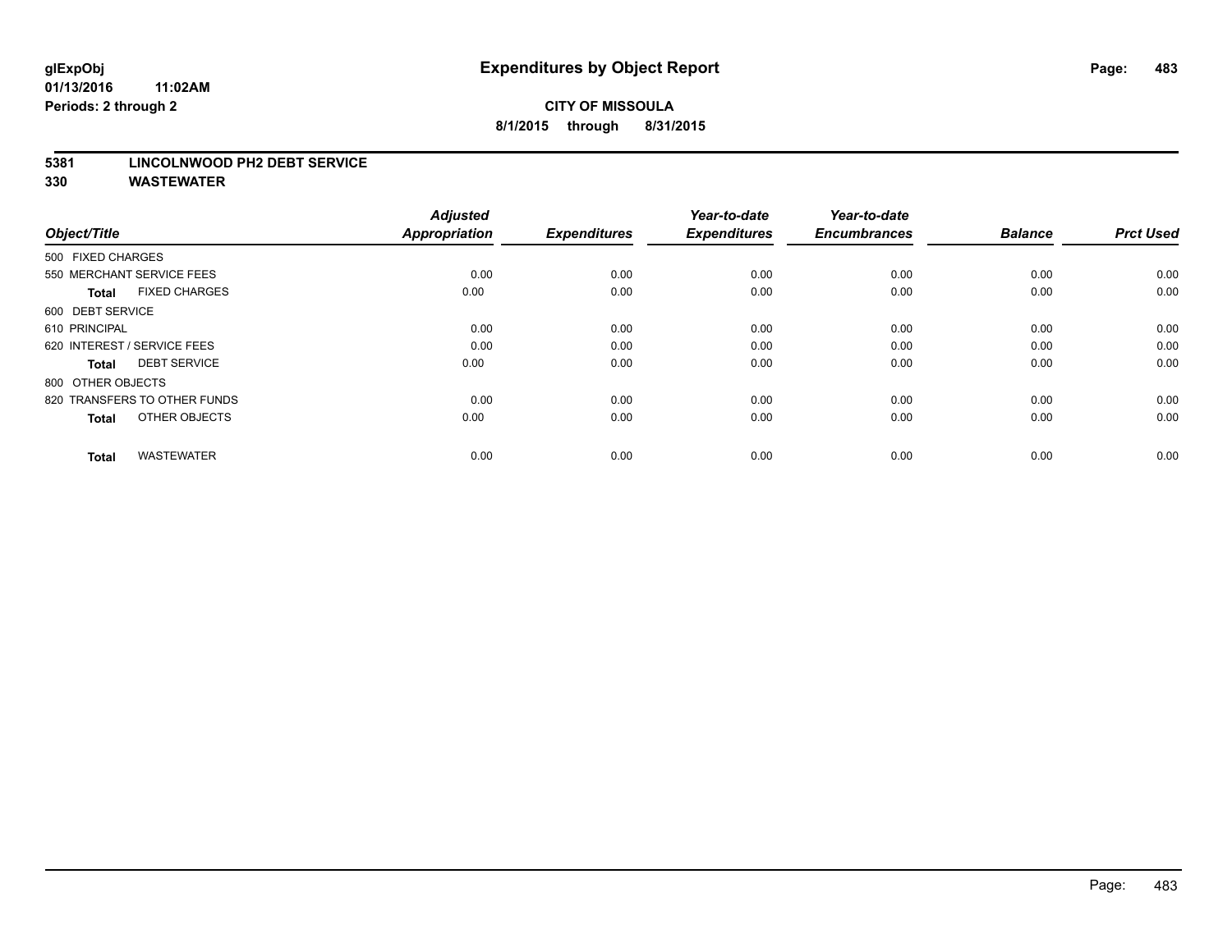#### **5381 LINCOLNWOOD PH2 DEBT SERVICE**

| Object/Title                         | <b>Adjusted</b><br><b>Appropriation</b> | <b>Expenditures</b> | Year-to-date<br><b>Expenditures</b> | Year-to-date<br><b>Encumbrances</b> | <b>Balance</b> | <b>Prct Used</b> |
|--------------------------------------|-----------------------------------------|---------------------|-------------------------------------|-------------------------------------|----------------|------------------|
| 500 FIXED CHARGES                    |                                         |                     |                                     |                                     |                |                  |
| 550 MERCHANT SERVICE FEES            | 0.00                                    | 0.00                | 0.00                                | 0.00                                | 0.00           | 0.00             |
| <b>FIXED CHARGES</b><br><b>Total</b> | 0.00                                    | 0.00                | 0.00                                | 0.00                                | 0.00           | 0.00             |
| 600 DEBT SERVICE                     |                                         |                     |                                     |                                     |                |                  |
| 610 PRINCIPAL                        | 0.00                                    | 0.00                | 0.00                                | 0.00                                | 0.00           | 0.00             |
| 620 INTEREST / SERVICE FEES          | 0.00                                    | 0.00                | 0.00                                | 0.00                                | 0.00           | 0.00             |
| <b>DEBT SERVICE</b><br><b>Total</b>  | 0.00                                    | 0.00                | 0.00                                | 0.00                                | 0.00           | 0.00             |
| 800 OTHER OBJECTS                    |                                         |                     |                                     |                                     |                |                  |
| 820 TRANSFERS TO OTHER FUNDS         | 0.00                                    | 0.00                | 0.00                                | 0.00                                | 0.00           | 0.00             |
| OTHER OBJECTS<br><b>Total</b>        | 0.00                                    | 0.00                | 0.00                                | 0.00                                | 0.00           | 0.00             |
|                                      |                                         |                     |                                     |                                     |                |                  |
| <b>WASTEWATER</b><br><b>Total</b>    | 0.00                                    | 0.00                | 0.00                                | 0.00                                | 0.00           | 0.00             |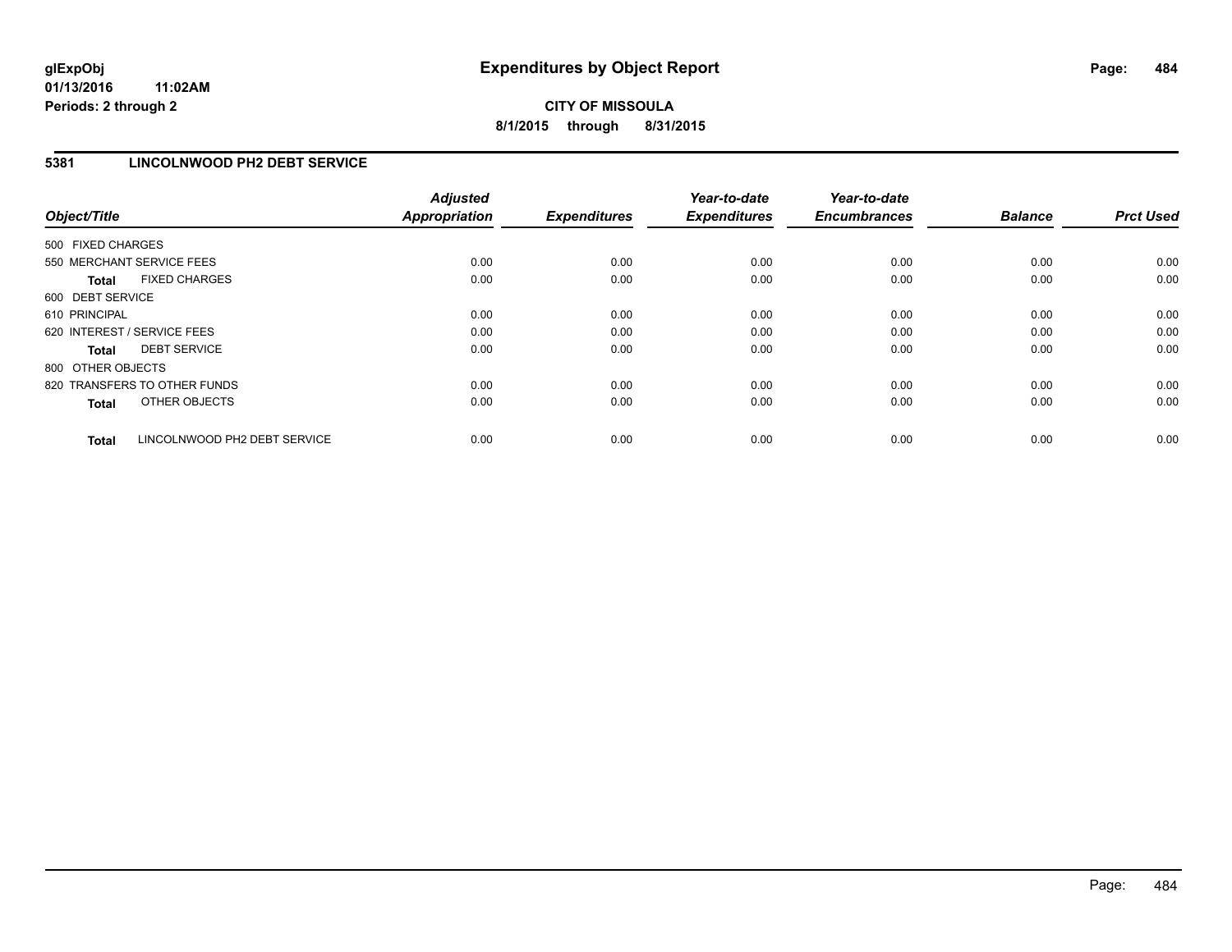## **5381 LINCOLNWOOD PH2 DEBT SERVICE**

| Object/Title                 |                              | <b>Adjusted</b><br><b>Appropriation</b> | <b>Expenditures</b> | Year-to-date<br><b>Expenditures</b> | Year-to-date<br><b>Encumbrances</b> | <b>Balance</b> | <b>Prct Used</b> |
|------------------------------|------------------------------|-----------------------------------------|---------------------|-------------------------------------|-------------------------------------|----------------|------------------|
| 500 FIXED CHARGES            |                              |                                         |                     |                                     |                                     |                |                  |
| 550 MERCHANT SERVICE FEES    |                              | 0.00                                    | 0.00                | 0.00                                | 0.00                                | 0.00           | 0.00             |
| <b>Total</b>                 | <b>FIXED CHARGES</b>         | 0.00                                    | 0.00                | 0.00                                | 0.00                                | 0.00           | 0.00             |
| 600 DEBT SERVICE             |                              |                                         |                     |                                     |                                     |                |                  |
| 610 PRINCIPAL                |                              | 0.00                                    | 0.00                | 0.00                                | 0.00                                | 0.00           | 0.00             |
| 620 INTEREST / SERVICE FEES  |                              | 0.00                                    | 0.00                | 0.00                                | 0.00                                | 0.00           | 0.00             |
| Total                        | <b>DEBT SERVICE</b>          | 0.00                                    | 0.00                | 0.00                                | 0.00                                | 0.00           | 0.00             |
| 800 OTHER OBJECTS            |                              |                                         |                     |                                     |                                     |                |                  |
| 820 TRANSFERS TO OTHER FUNDS |                              | 0.00                                    | 0.00                | 0.00                                | 0.00                                | 0.00           | 0.00             |
| <b>Total</b>                 | OTHER OBJECTS                | 0.00                                    | 0.00                | 0.00                                | 0.00                                | 0.00           | 0.00             |
| <b>Total</b>                 | LINCOLNWOOD PH2 DEBT SERVICE | 0.00                                    | 0.00                | 0.00                                | 0.00                                | 0.00           | 0.00             |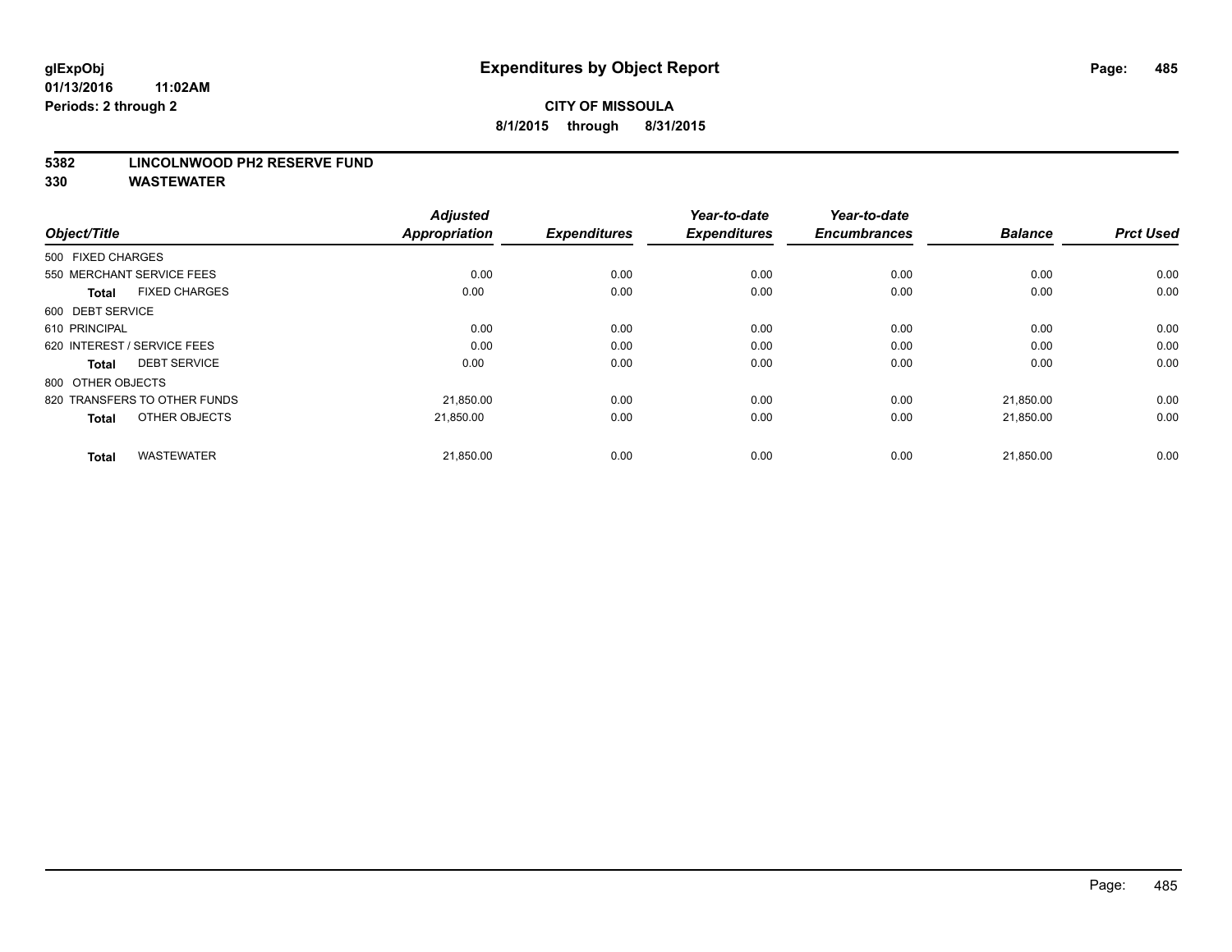#### **5382 LINCOLNWOOD PH2 RESERVE FUND**

| Object/Title                         | <b>Adjusted</b><br><b>Appropriation</b> | <b>Expenditures</b> | Year-to-date<br><b>Expenditures</b> | Year-to-date<br><b>Encumbrances</b> | <b>Balance</b> | <b>Prct Used</b> |
|--------------------------------------|-----------------------------------------|---------------------|-------------------------------------|-------------------------------------|----------------|------------------|
| 500 FIXED CHARGES                    |                                         |                     |                                     |                                     |                |                  |
| 550 MERCHANT SERVICE FEES            | 0.00                                    | 0.00                | 0.00                                | 0.00                                | 0.00           | 0.00             |
| <b>FIXED CHARGES</b><br><b>Total</b> | 0.00                                    | 0.00                | 0.00                                | 0.00                                | 0.00           | 0.00             |
| 600 DEBT SERVICE                     |                                         |                     |                                     |                                     |                |                  |
| 610 PRINCIPAL                        | 0.00                                    | 0.00                | 0.00                                | 0.00                                | 0.00           | 0.00             |
| 620 INTEREST / SERVICE FEES          | 0.00                                    | 0.00                | 0.00                                | 0.00                                | 0.00           | 0.00             |
| <b>DEBT SERVICE</b><br><b>Total</b>  | 0.00                                    | 0.00                | 0.00                                | 0.00                                | 0.00           | 0.00             |
| 800 OTHER OBJECTS                    |                                         |                     |                                     |                                     |                |                  |
| 820 TRANSFERS TO OTHER FUNDS         | 21,850.00                               | 0.00                | 0.00                                | 0.00                                | 21,850.00      | 0.00             |
| OTHER OBJECTS<br><b>Total</b>        | 21.850.00                               | 0.00                | 0.00                                | 0.00                                | 21,850.00      | 0.00             |
|                                      |                                         |                     |                                     |                                     |                |                  |
| <b>WASTEWATER</b><br><b>Total</b>    | 21,850.00                               | 0.00                | 0.00                                | 0.00                                | 21,850.00      | 0.00             |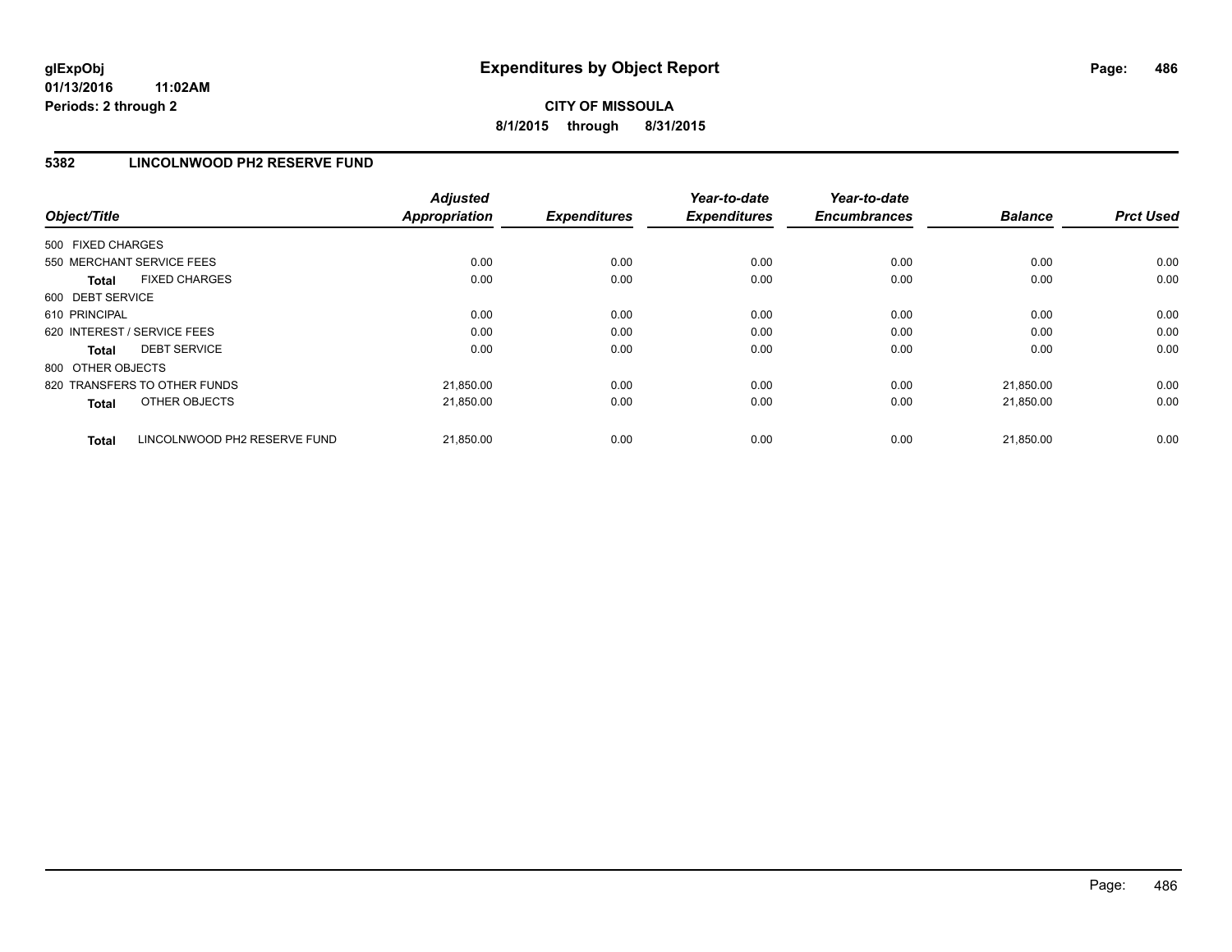**CITY OF MISSOULA 8/1/2015 through 8/31/2015**

### **5382 LINCOLNWOOD PH2 RESERVE FUND**

| Object/Title                                 | <b>Adjusted</b><br><b>Appropriation</b> | <b>Expenditures</b> | Year-to-date<br><b>Expenditures</b> | Year-to-date<br><b>Encumbrances</b> | <b>Balance</b> | <b>Prct Used</b> |
|----------------------------------------------|-----------------------------------------|---------------------|-------------------------------------|-------------------------------------|----------------|------------------|
| 500 FIXED CHARGES                            |                                         |                     |                                     |                                     |                |                  |
| 550 MERCHANT SERVICE FEES                    | 0.00                                    | 0.00                | 0.00                                | 0.00                                | 0.00           | 0.00             |
| <b>FIXED CHARGES</b><br><b>Total</b>         | 0.00                                    | 0.00                | 0.00                                | 0.00                                | 0.00           | 0.00             |
| 600 DEBT SERVICE                             |                                         |                     |                                     |                                     |                |                  |
| 610 PRINCIPAL                                | 0.00                                    | 0.00                | 0.00                                | 0.00                                | 0.00           | 0.00             |
| 620 INTEREST / SERVICE FEES                  | 0.00                                    | 0.00                | 0.00                                | 0.00                                | 0.00           | 0.00             |
| <b>DEBT SERVICE</b><br><b>Total</b>          | 0.00                                    | 0.00                | 0.00                                | 0.00                                | 0.00           | 0.00             |
| 800 OTHER OBJECTS                            |                                         |                     |                                     |                                     |                |                  |
| 820 TRANSFERS TO OTHER FUNDS                 | 21,850.00                               | 0.00                | 0.00                                | 0.00                                | 21.850.00      | 0.00             |
| OTHER OBJECTS<br><b>Total</b>                | 21,850.00                               | 0.00                | 0.00                                | 0.00                                | 21,850.00      | 0.00             |
| LINCOLNWOOD PH2 RESERVE FUND<br><b>Total</b> | 21,850.00                               | 0.00                | 0.00                                | 0.00                                | 21.850.00      | 0.00             |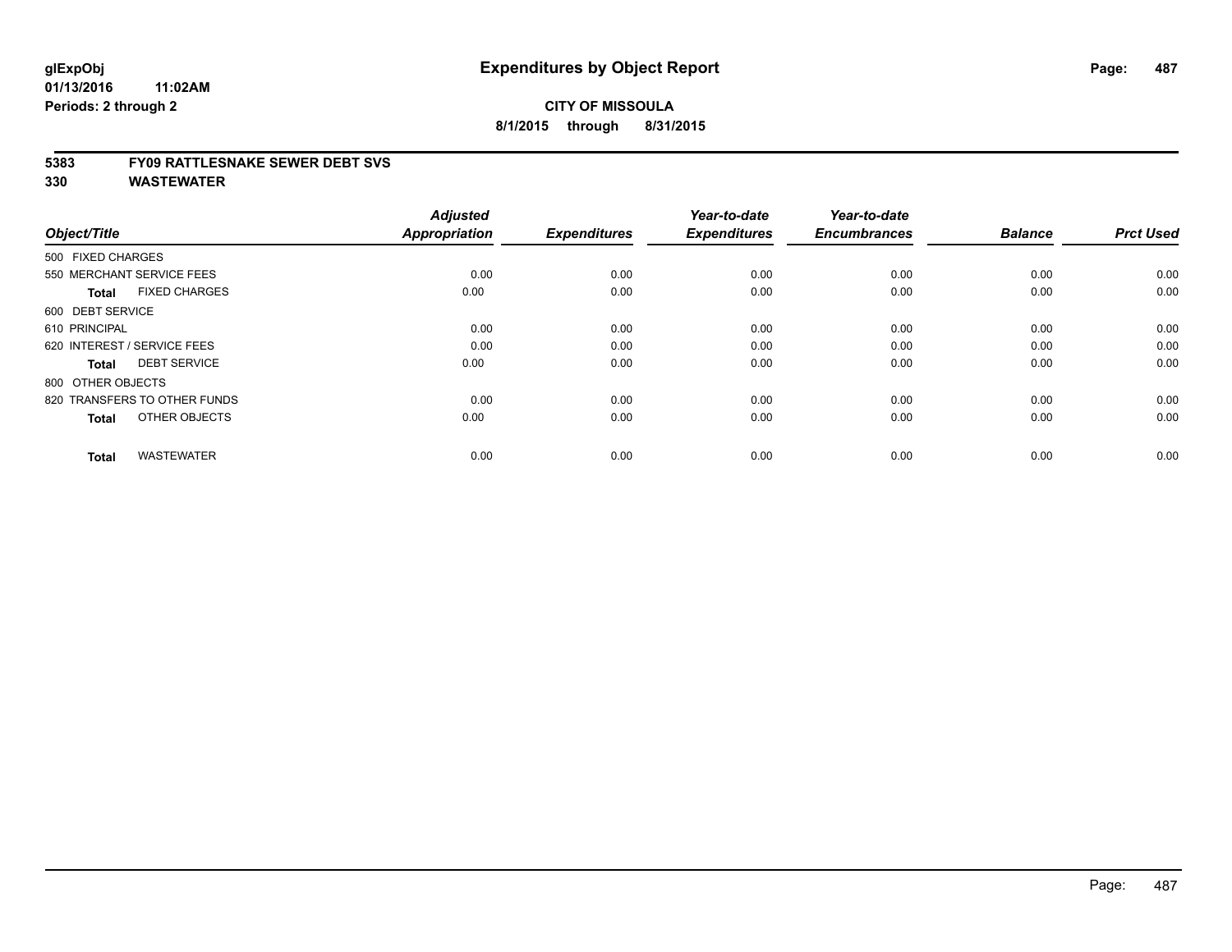#### **5383 FY09 RATTLESNAKE SEWER DEBT SVS**

| Object/Title                         | <b>Adjusted</b><br><b>Appropriation</b> | <b>Expenditures</b> | Year-to-date<br><b>Expenditures</b> | Year-to-date<br><b>Encumbrances</b> | <b>Balance</b> | <b>Prct Used</b> |
|--------------------------------------|-----------------------------------------|---------------------|-------------------------------------|-------------------------------------|----------------|------------------|
| 500 FIXED CHARGES                    |                                         |                     |                                     |                                     |                |                  |
| 550 MERCHANT SERVICE FEES            | 0.00                                    | 0.00                | 0.00                                | 0.00                                | 0.00           | 0.00             |
| <b>FIXED CHARGES</b><br><b>Total</b> | 0.00                                    | 0.00                | 0.00                                | 0.00                                | 0.00           | 0.00             |
| 600 DEBT SERVICE                     |                                         |                     |                                     |                                     |                |                  |
| 610 PRINCIPAL                        | 0.00                                    | 0.00                | 0.00                                | 0.00                                | 0.00           | 0.00             |
| 620 INTEREST / SERVICE FEES          | 0.00                                    | 0.00                | 0.00                                | 0.00                                | 0.00           | 0.00             |
| <b>DEBT SERVICE</b><br><b>Total</b>  | 0.00                                    | 0.00                | 0.00                                | 0.00                                | 0.00           | 0.00             |
| 800 OTHER OBJECTS                    |                                         |                     |                                     |                                     |                |                  |
| 820 TRANSFERS TO OTHER FUNDS         | 0.00                                    | 0.00                | 0.00                                | 0.00                                | 0.00           | 0.00             |
| OTHER OBJECTS<br><b>Total</b>        | 0.00                                    | 0.00                | 0.00                                | 0.00                                | 0.00           | 0.00             |
|                                      |                                         |                     |                                     |                                     |                |                  |
| <b>WASTEWATER</b><br><b>Total</b>    | 0.00                                    | 0.00                | 0.00                                | 0.00                                | 0.00           | 0.00             |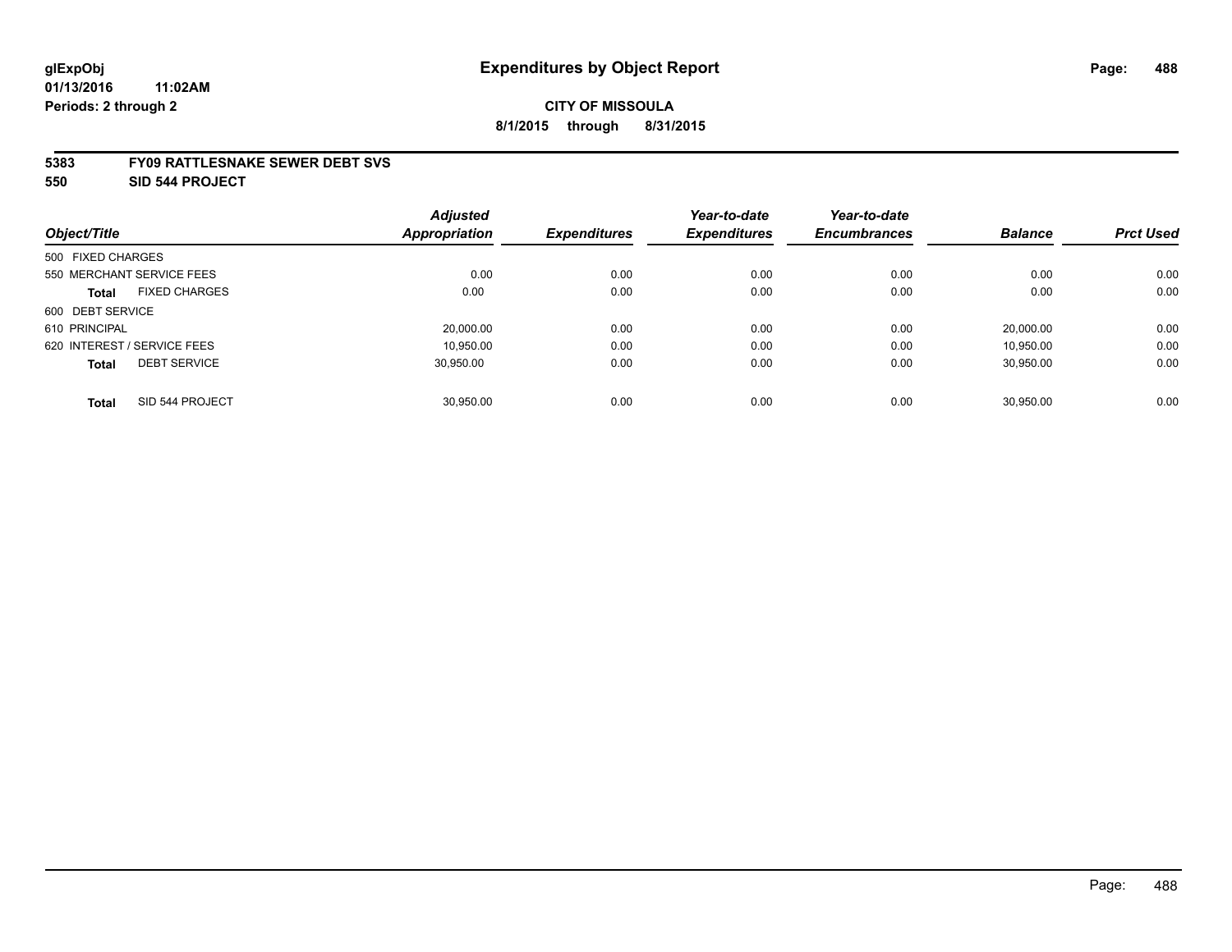#### **5383 FY09 RATTLESNAKE SEWER DEBT SVS**

**550 SID 544 PROJECT**

|                                      | <b>Adjusted</b>      |                     | Year-to-date        | Year-to-date        |                |                  |
|--------------------------------------|----------------------|---------------------|---------------------|---------------------|----------------|------------------|
| Object/Title                         | <b>Appropriation</b> | <b>Expenditures</b> | <b>Expenditures</b> | <b>Encumbrances</b> | <b>Balance</b> | <b>Prct Used</b> |
| 500 FIXED CHARGES                    |                      |                     |                     |                     |                |                  |
| 550 MERCHANT SERVICE FEES            | 0.00                 | 0.00                | 0.00                | 0.00                | 0.00           | 0.00             |
| <b>FIXED CHARGES</b><br><b>Total</b> | 0.00                 | 0.00                | 0.00                | 0.00                | 0.00           | 0.00             |
| 600 DEBT SERVICE                     |                      |                     |                     |                     |                |                  |
| 610 PRINCIPAL                        | 20,000.00            | 0.00                | 0.00                | 0.00                | 20.000.00      | 0.00             |
| 620 INTEREST / SERVICE FEES          | 10.950.00            | 0.00                | 0.00                | 0.00                | 10.950.00      | 0.00             |
| <b>DEBT SERVICE</b><br><b>Total</b>  | 30.950.00            | 0.00                | 0.00                | 0.00                | 30,950.00      | 0.00             |
| SID 544 PROJECT<br><b>Total</b>      | 30.950.00            | 0.00                | 0.00                | 0.00                | 30.950.00      | 0.00             |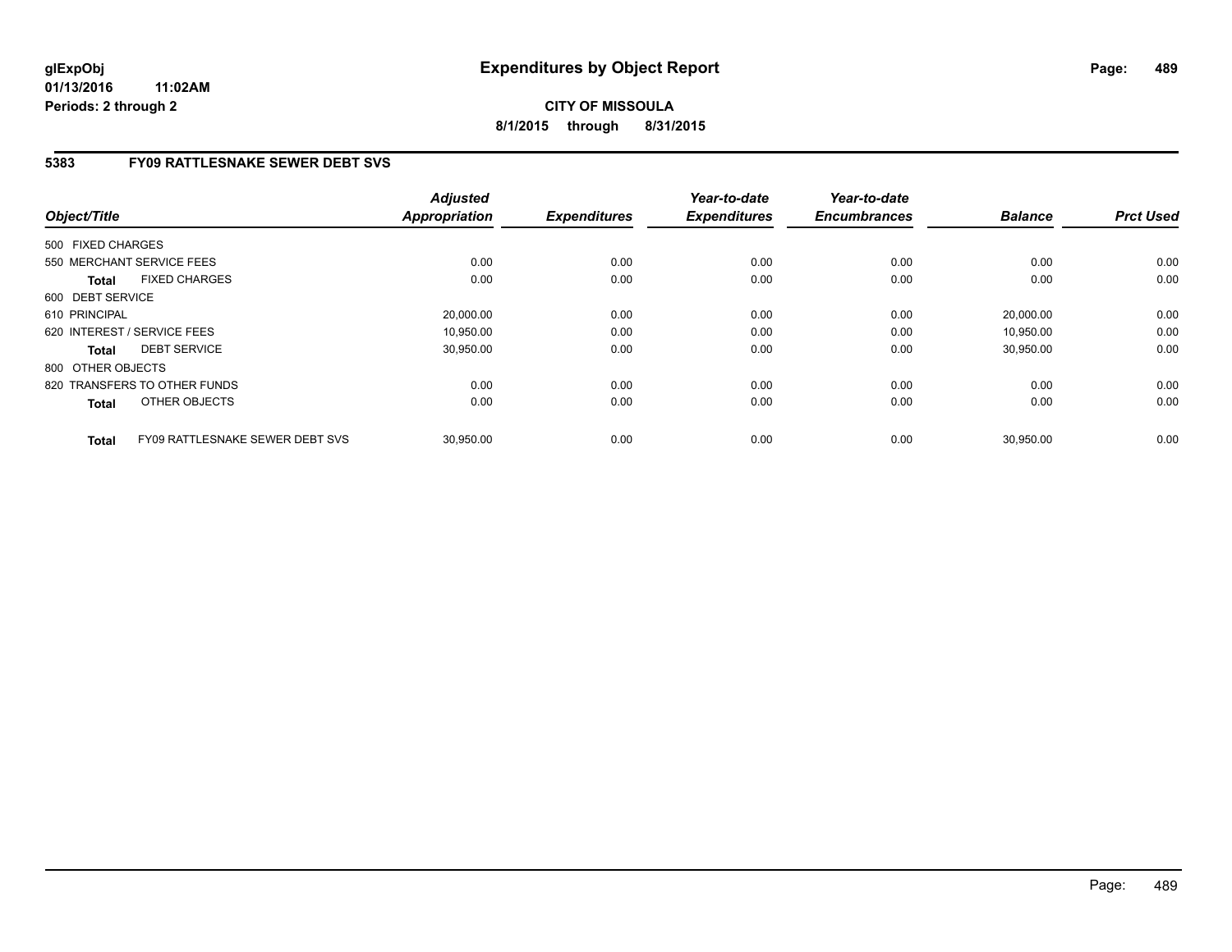**CITY OF MISSOULA 8/1/2015 through 8/31/2015**

## **5383 FY09 RATTLESNAKE SEWER DEBT SVS**

| Object/Title                                    | <b>Adjusted</b><br><b>Appropriation</b> | <b>Expenditures</b> | Year-to-date<br><b>Expenditures</b> | Year-to-date<br><b>Encumbrances</b> | <b>Balance</b> | <b>Prct Used</b> |
|-------------------------------------------------|-----------------------------------------|---------------------|-------------------------------------|-------------------------------------|----------------|------------------|
| 500 FIXED CHARGES                               |                                         |                     |                                     |                                     |                |                  |
| 550 MERCHANT SERVICE FEES                       | 0.00                                    | 0.00                | 0.00                                | 0.00                                | 0.00           | 0.00             |
| <b>FIXED CHARGES</b><br><b>Total</b>            | 0.00                                    | 0.00                | 0.00                                | 0.00                                | 0.00           | 0.00             |
| 600 DEBT SERVICE                                |                                         |                     |                                     |                                     |                |                  |
| 610 PRINCIPAL                                   | 20,000.00                               | 0.00                | 0.00                                | 0.00                                | 20,000.00      | 0.00             |
| 620 INTEREST / SERVICE FEES                     | 10.950.00                               | 0.00                | 0.00                                | 0.00                                | 10,950.00      | 0.00             |
| <b>DEBT SERVICE</b><br><b>Total</b>             | 30,950.00                               | 0.00                | 0.00                                | 0.00                                | 30,950.00      | 0.00             |
| 800 OTHER OBJECTS                               |                                         |                     |                                     |                                     |                |                  |
| 820 TRANSFERS TO OTHER FUNDS                    | 0.00                                    | 0.00                | 0.00                                | 0.00                                | 0.00           | 0.00             |
| OTHER OBJECTS<br><b>Total</b>                   | 0.00                                    | 0.00                | 0.00                                | 0.00                                | 0.00           | 0.00             |
| FY09 RATTLESNAKE SEWER DEBT SVS<br><b>Total</b> | 30,950.00                               | 0.00                | 0.00                                | 0.00                                | 30,950.00      | 0.00             |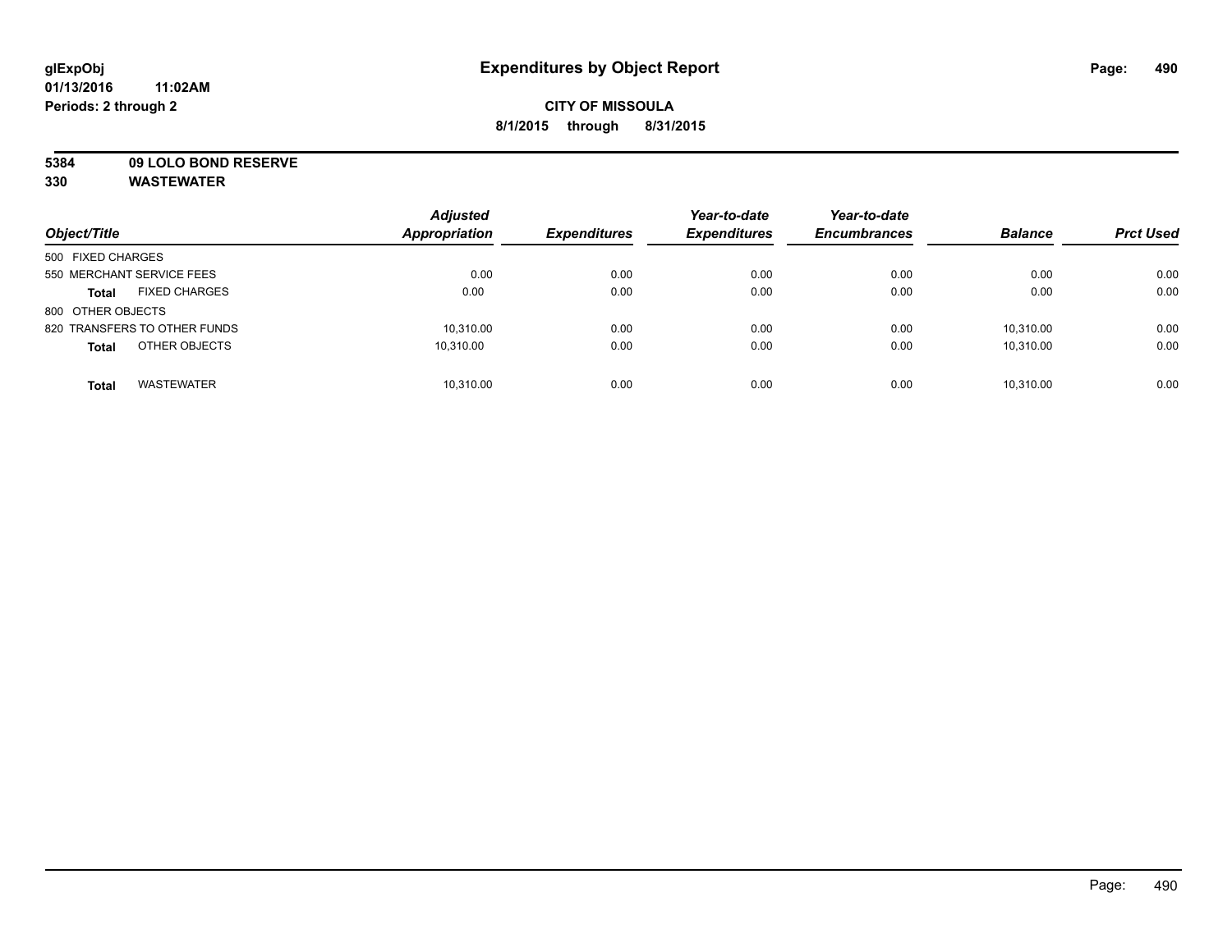## **CITY OF MISSOULA 8/1/2015 through 8/31/2015**

**5384 09 LOLO BOND RESERVE**

| Object/Title                         | <b>Adjusted</b><br><b>Appropriation</b> | <b>Expenditures</b> | Year-to-date<br><b>Expenditures</b> | Year-to-date<br><b>Encumbrances</b> | <b>Balance</b> | <b>Prct Used</b> |
|--------------------------------------|-----------------------------------------|---------------------|-------------------------------------|-------------------------------------|----------------|------------------|
| 500 FIXED CHARGES                    |                                         |                     |                                     |                                     |                |                  |
| 550 MERCHANT SERVICE FEES            | 0.00                                    | 0.00                | 0.00                                | 0.00                                | 0.00           | 0.00             |
| <b>FIXED CHARGES</b><br><b>Total</b> | 0.00                                    | 0.00                | 0.00                                | 0.00                                | 0.00           | 0.00             |
| 800 OTHER OBJECTS                    |                                         |                     |                                     |                                     |                |                  |
| 820 TRANSFERS TO OTHER FUNDS         | 10,310.00                               | 0.00                | 0.00                                | 0.00                                | 10.310.00      | 0.00             |
| OTHER OBJECTS<br><b>Total</b>        | 10.310.00                               | 0.00                | 0.00                                | 0.00                                | 10.310.00      | 0.00             |
| <b>WASTEWATER</b><br><b>Total</b>    | 10,310.00                               | 0.00                | 0.00                                | 0.00                                | 10.310.00      | 0.00             |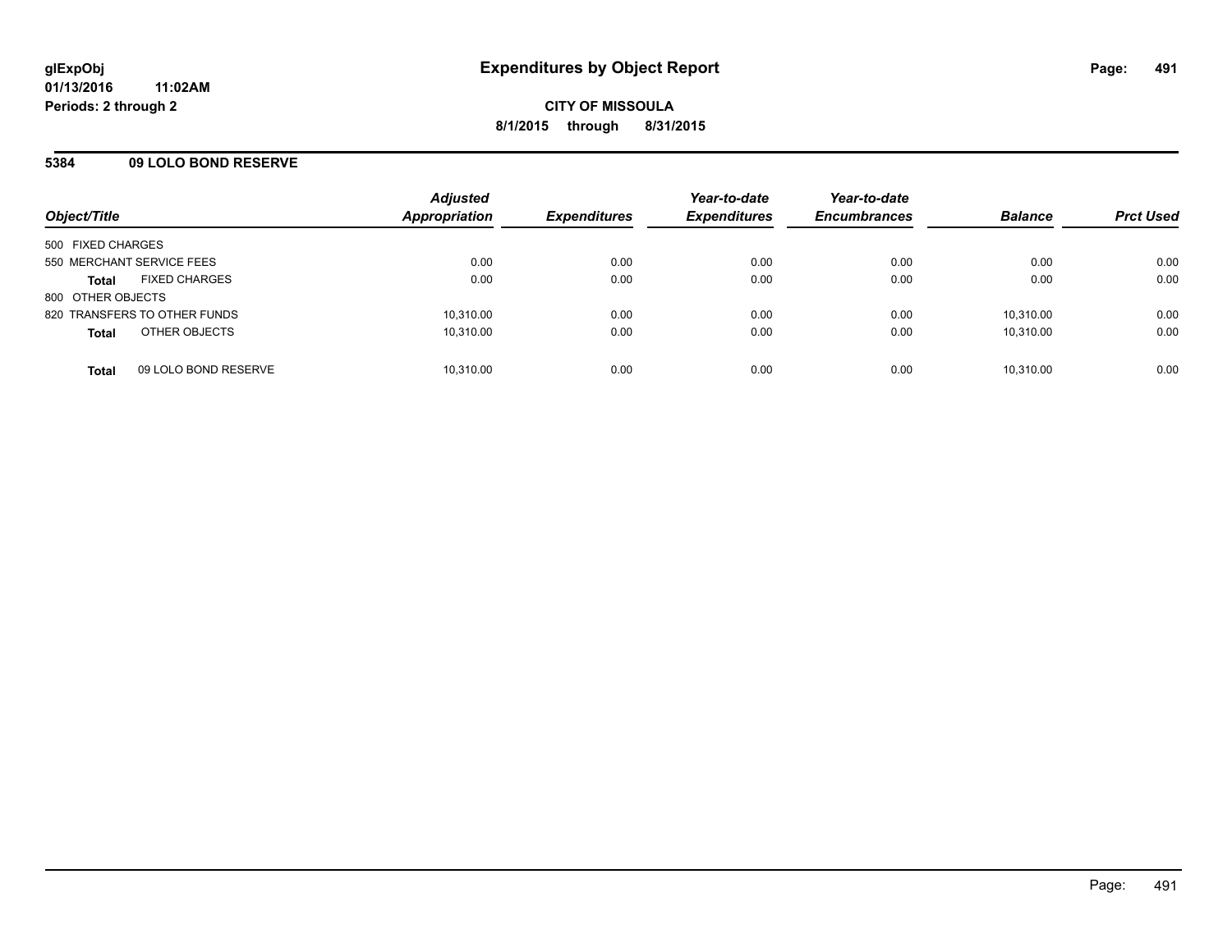### **5384 09 LOLO BOND RESERVE**

| Object/Title                         | <b>Adjusted</b><br><b>Appropriation</b> | <b>Expenditures</b> | Year-to-date<br><b>Expenditures</b> | Year-to-date<br><b>Encumbrances</b> | <b>Balance</b> | <b>Prct Used</b> |
|--------------------------------------|-----------------------------------------|---------------------|-------------------------------------|-------------------------------------|----------------|------------------|
| 500 FIXED CHARGES                    |                                         |                     |                                     |                                     |                |                  |
| 550 MERCHANT SERVICE FEES            | 0.00                                    | 0.00                | 0.00                                | 0.00                                | 0.00           | 0.00             |
| <b>FIXED CHARGES</b><br><b>Total</b> | 0.00                                    | 0.00                | 0.00                                | 0.00                                | 0.00           | 0.00             |
| 800 OTHER OBJECTS                    |                                         |                     |                                     |                                     |                |                  |
| 820 TRANSFERS TO OTHER FUNDS         | 10,310.00                               | 0.00                | 0.00                                | 0.00                                | 10,310.00      | 0.00             |
| OTHER OBJECTS<br><b>Total</b>        | 10,310.00                               | 0.00                | 0.00                                | 0.00                                | 10,310.00      | 0.00             |
| 09 LOLO BOND RESERVE<br><b>Total</b> | 10.310.00                               | 0.00                | 0.00                                | 0.00                                | 10.310.00      | 0.00             |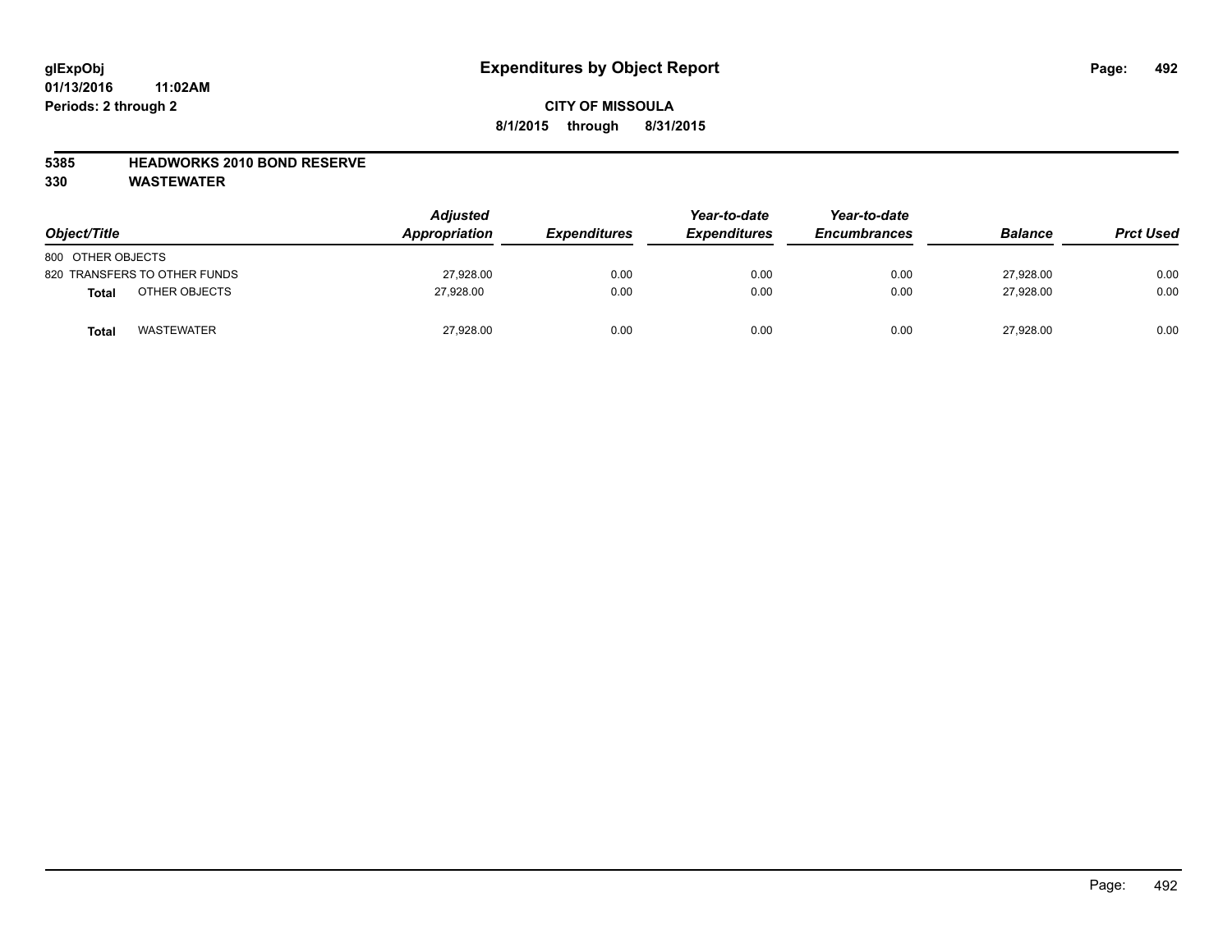### **5385 HEADWORKS 2010 BOND RESERVE**

| Object/Title                      | <b>Adjusted</b><br>Appropriation | <b>Expenditures</b> | Year-to-date<br><b>Expenditures</b> | Year-to-date<br><b>Encumbrances</b> | <b>Balance</b> | <b>Prct Used</b> |
|-----------------------------------|----------------------------------|---------------------|-------------------------------------|-------------------------------------|----------------|------------------|
| 800 OTHER OBJECTS                 |                                  |                     |                                     |                                     |                |                  |
| 820 TRANSFERS TO OTHER FUNDS      | 27,928.00                        | 0.00                | 0.00                                | 0.00                                | 27.928.00      | 0.00             |
| OTHER OBJECTS<br><b>Total</b>     | 27.928.00                        | 0.00                | 0.00                                | 0.00                                | 27.928.00      | 0.00             |
| <b>WASTEWATER</b><br><b>Total</b> | 27,928.00                        | 0.00                | 0.00                                | 0.00                                | 27,928.00      | 0.00             |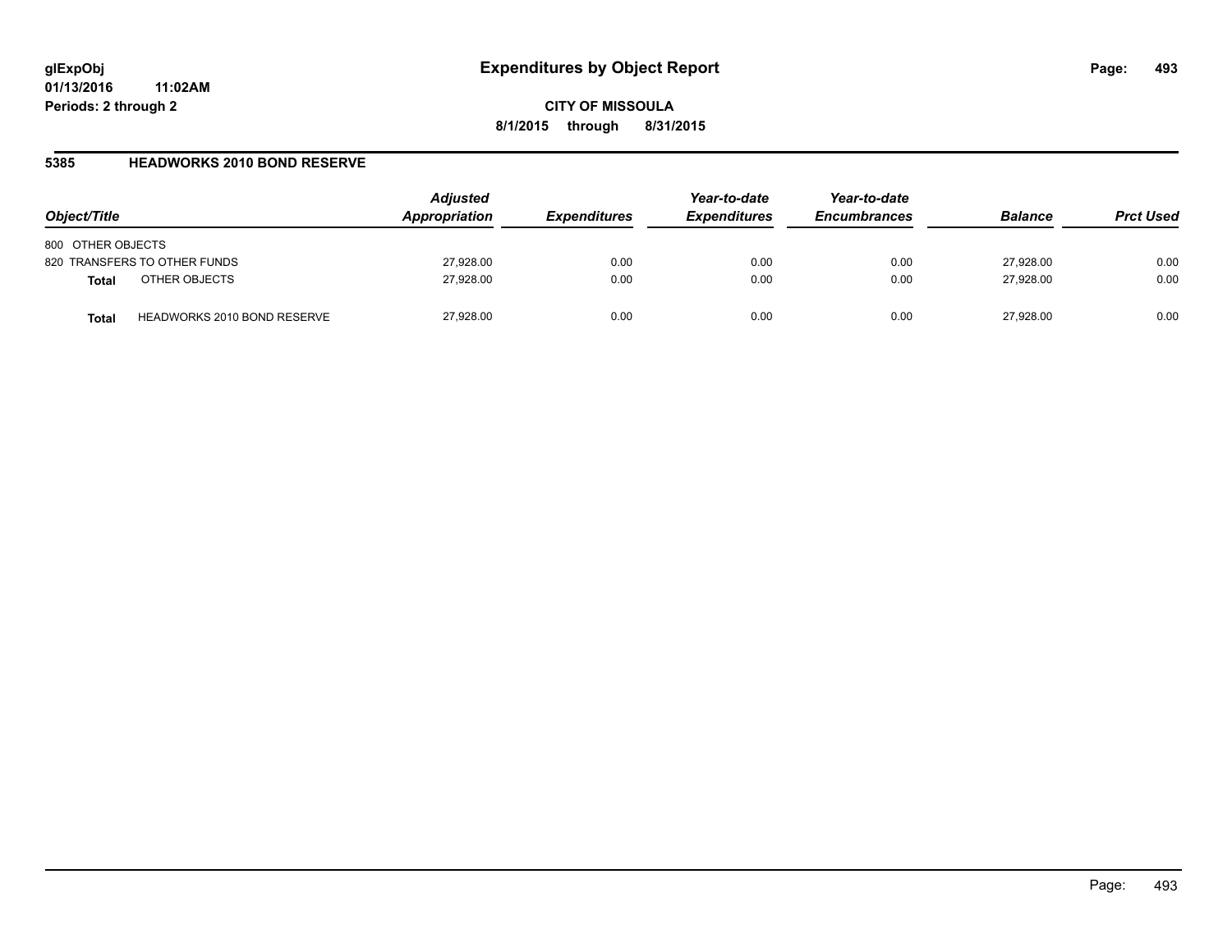**CITY OF MISSOULA 8/1/2015 through 8/31/2015**

### **5385 HEADWORKS 2010 BOND RESERVE**

| Object/Title                                | <b>Adjusted</b><br>Appropriation | <b>Expenditures</b> | Year-to-date<br><b>Expenditures</b> | Year-to-date<br><b>Encumbrances</b> | <b>Balance</b> | <b>Prct Used</b> |
|---------------------------------------------|----------------------------------|---------------------|-------------------------------------|-------------------------------------|----------------|------------------|
| 800 OTHER OBJECTS                           |                                  |                     |                                     |                                     |                |                  |
| 820 TRANSFERS TO OTHER FUNDS                | 27,928.00                        | 0.00                | 0.00                                | 0.00                                | 27,928.00      | 0.00             |
| OTHER OBJECTS<br><b>Total</b>               | 27,928.00                        | 0.00                | 0.00                                | 0.00                                | 27,928.00      | 0.00             |
| <b>HEADWORKS 2010 BOND RESERVE</b><br>Total | 27,928.00                        | 0.00                | 0.00                                | 0.00                                | 27.928.00      | 0.00             |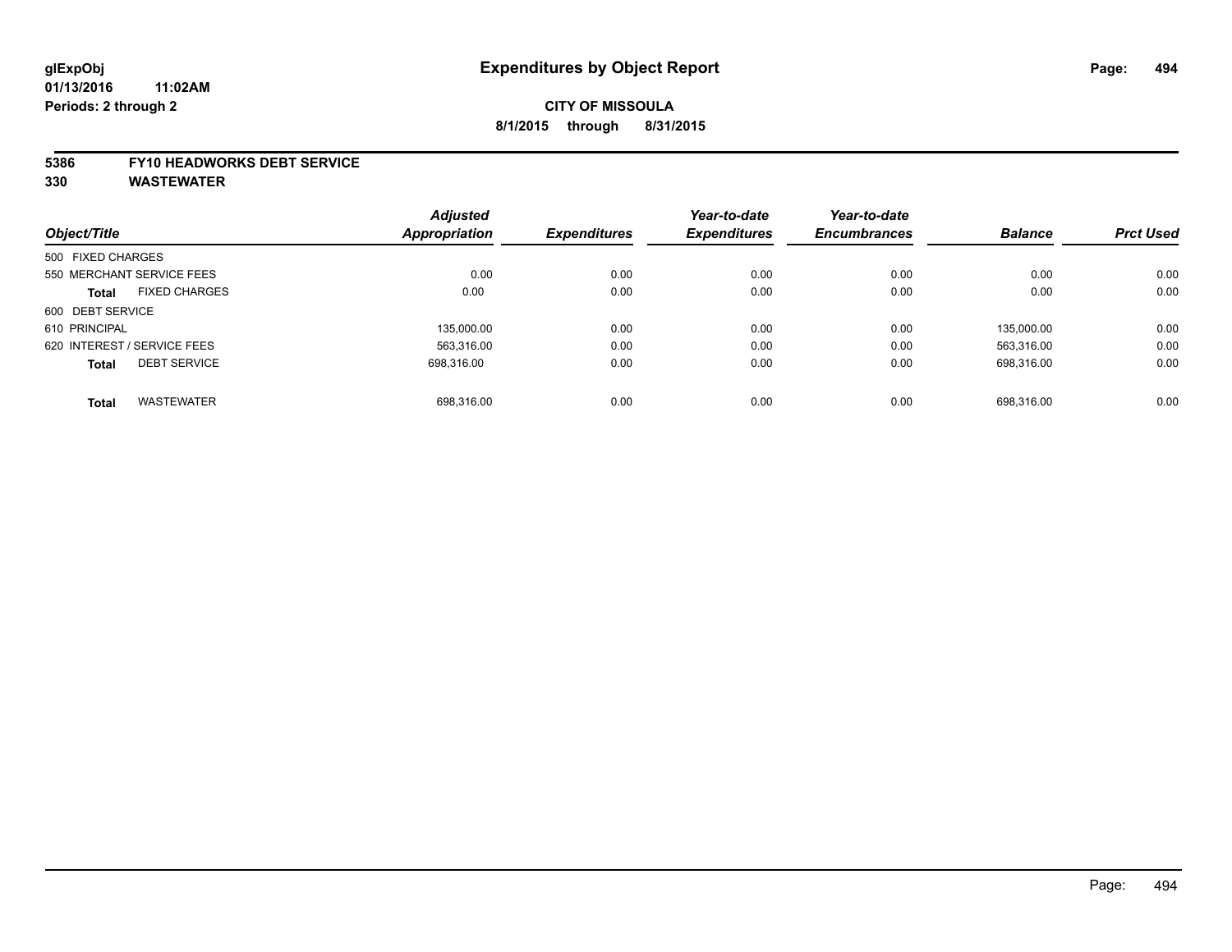## **CITY OF MISSOULA 8/1/2015 through 8/31/2015**

#### **5386 FY10 HEADWORKS DEBT SERVICE**

|                                      | <b>Adjusted</b> |      | Year-to-date<br><b>Expenditures</b><br><b>Expenditures</b> | Year-to-date        |                |                  |
|--------------------------------------|-----------------|------|------------------------------------------------------------|---------------------|----------------|------------------|
| Object/Title                         | Appropriation   |      |                                                            | <b>Encumbrances</b> | <b>Balance</b> | <b>Prct Used</b> |
| 500 FIXED CHARGES                    |                 |      |                                                            |                     |                |                  |
| 550 MERCHANT SERVICE FEES            | 0.00            | 0.00 | 0.00                                                       | 0.00                | 0.00           | 0.00             |
| <b>FIXED CHARGES</b><br><b>Total</b> | 0.00            | 0.00 | 0.00                                                       | 0.00                | 0.00           | 0.00             |
| 600 DEBT SERVICE                     |                 |      |                                                            |                     |                |                  |
| 610 PRINCIPAL                        | 135,000.00      | 0.00 | 0.00                                                       | 0.00                | 135.000.00     | 0.00             |
| 620 INTEREST / SERVICE FEES          | 563,316.00      | 0.00 | 0.00                                                       | 0.00                | 563.316.00     | 0.00             |
| <b>DEBT SERVICE</b><br><b>Total</b>  | 698.316.00      | 0.00 | 0.00                                                       | 0.00                | 698.316.00     | 0.00             |
|                                      |                 |      |                                                            |                     |                |                  |
| <b>WASTEWATER</b><br><b>Total</b>    | 698.316.00      | 0.00 | 0.00                                                       | 0.00                | 698.316.00     | 0.00             |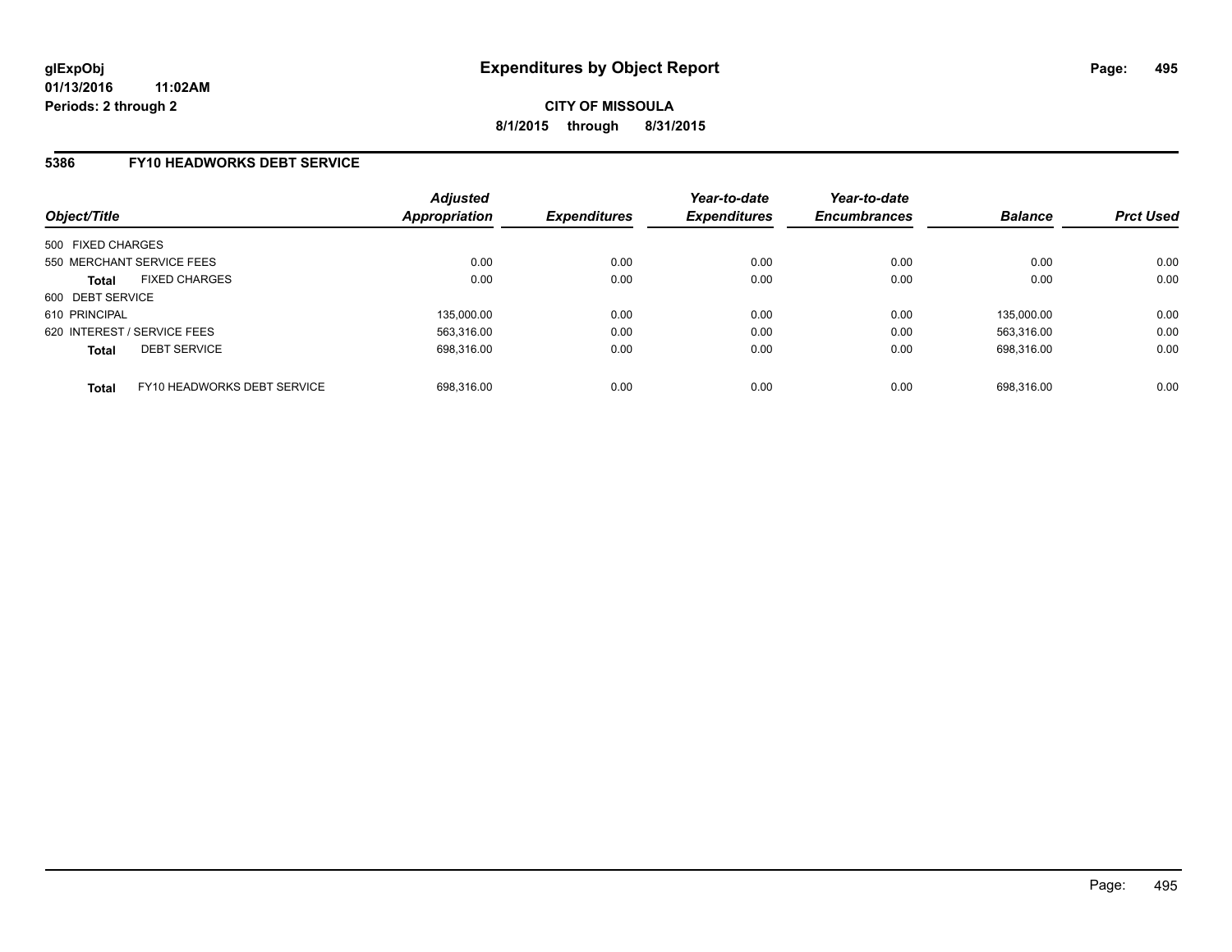### **5386 FY10 HEADWORKS DEBT SERVICE**

| Object/Title                                | <b>Adjusted</b><br><b>Appropriation</b> | <b>Expenditures</b> | Year-to-date<br><b>Expenditures</b> | Year-to-date<br><b>Encumbrances</b> | <b>Balance</b> | <b>Prct Used</b> |
|---------------------------------------------|-----------------------------------------|---------------------|-------------------------------------|-------------------------------------|----------------|------------------|
| 500 FIXED CHARGES                           |                                         |                     |                                     |                                     |                |                  |
| 550 MERCHANT SERVICE FEES                   | 0.00                                    | 0.00                | 0.00                                | 0.00                                | 0.00           | 0.00             |
| <b>FIXED CHARGES</b><br><b>Total</b>        | 0.00                                    | 0.00                | 0.00                                | 0.00                                | 0.00           | 0.00             |
| 600 DEBT SERVICE                            |                                         |                     |                                     |                                     |                |                  |
| 610 PRINCIPAL                               | 135.000.00                              | 0.00                | 0.00                                | 0.00                                | 135.000.00     | 0.00             |
| 620 INTEREST / SERVICE FEES                 | 563.316.00                              | 0.00                | 0.00                                | 0.00                                | 563.316.00     | 0.00             |
| <b>DEBT SERVICE</b><br><b>Total</b>         | 698.316.00                              | 0.00                | 0.00                                | 0.00                                | 698.316.00     | 0.00             |
|                                             |                                         |                     |                                     |                                     |                |                  |
| FY10 HEADWORKS DEBT SERVICE<br><b>Total</b> | 698.316.00                              | 0.00                | 0.00                                | 0.00                                | 698.316.00     | 0.00             |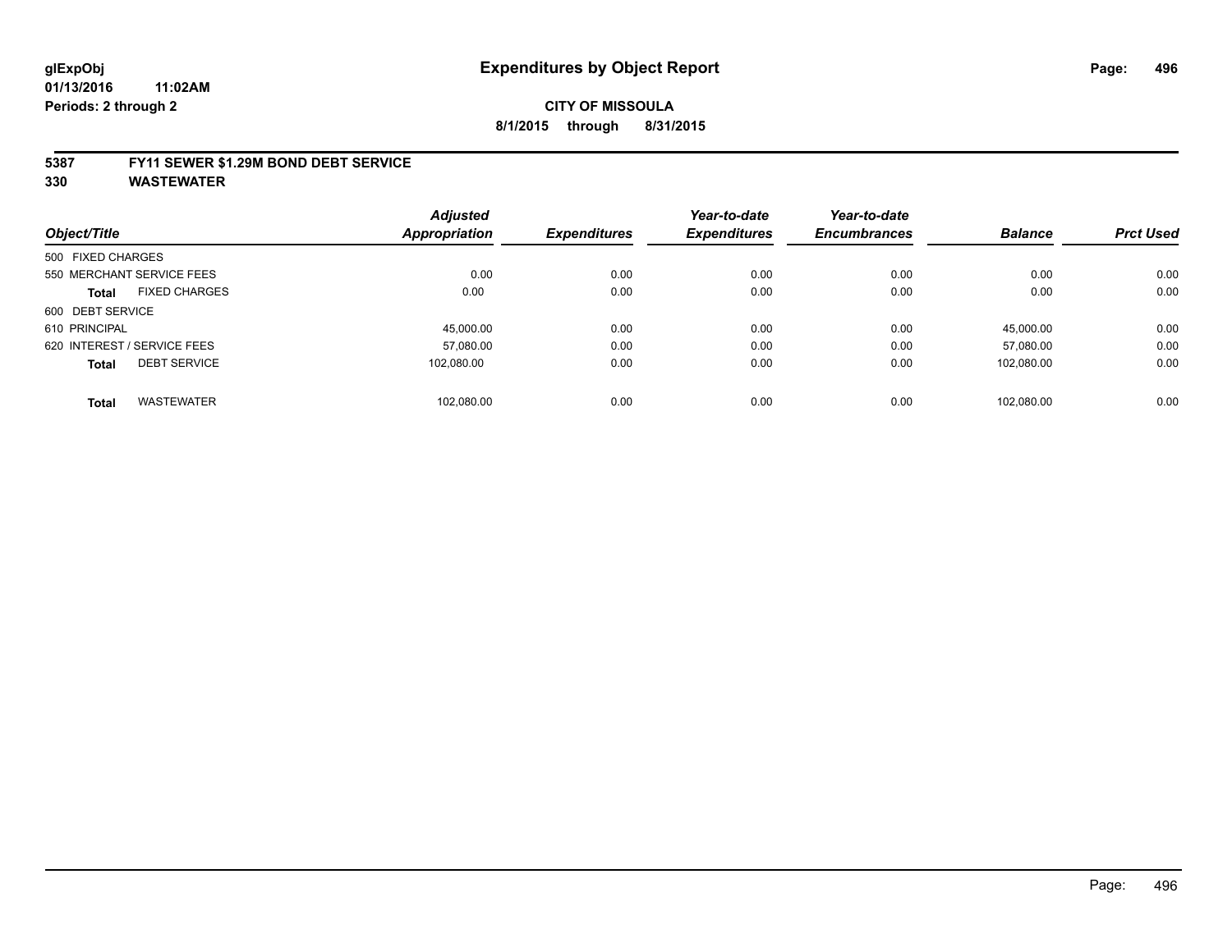#### **5387 FY11 SEWER \$1.29M BOND DEBT SERVICE**

|                   |                             | <b>Adjusted</b>      |                     | Year-to-date        | Year-to-date        |                |                  |
|-------------------|-----------------------------|----------------------|---------------------|---------------------|---------------------|----------------|------------------|
| Object/Title      |                             | <b>Appropriation</b> | <b>Expenditures</b> | <b>Expenditures</b> | <b>Encumbrances</b> | <b>Balance</b> | <b>Prct Used</b> |
| 500 FIXED CHARGES |                             |                      |                     |                     |                     |                |                  |
|                   | 550 MERCHANT SERVICE FEES   | 0.00                 | 0.00                | 0.00                | 0.00                | 0.00           | 0.00             |
| <b>Total</b>      | <b>FIXED CHARGES</b>        | 0.00                 | 0.00                | 0.00                | 0.00                | 0.00           | 0.00             |
| 600 DEBT SERVICE  |                             |                      |                     |                     |                     |                |                  |
| 610 PRINCIPAL     |                             | 45.000.00            | 0.00                | 0.00                | 0.00                | 45.000.00      | 0.00             |
|                   | 620 INTEREST / SERVICE FEES | 57.080.00            | 0.00                | 0.00                | 0.00                | 57.080.00      | 0.00             |
| <b>Total</b>      | <b>DEBT SERVICE</b>         | 102.080.00           | 0.00                | 0.00                | 0.00                | 102.080.00     | 0.00             |
| <b>Total</b>      | <b>WASTEWATER</b>           | 102.080.00           | 0.00                | 0.00                | 0.00                | 102.080.00     | 0.00             |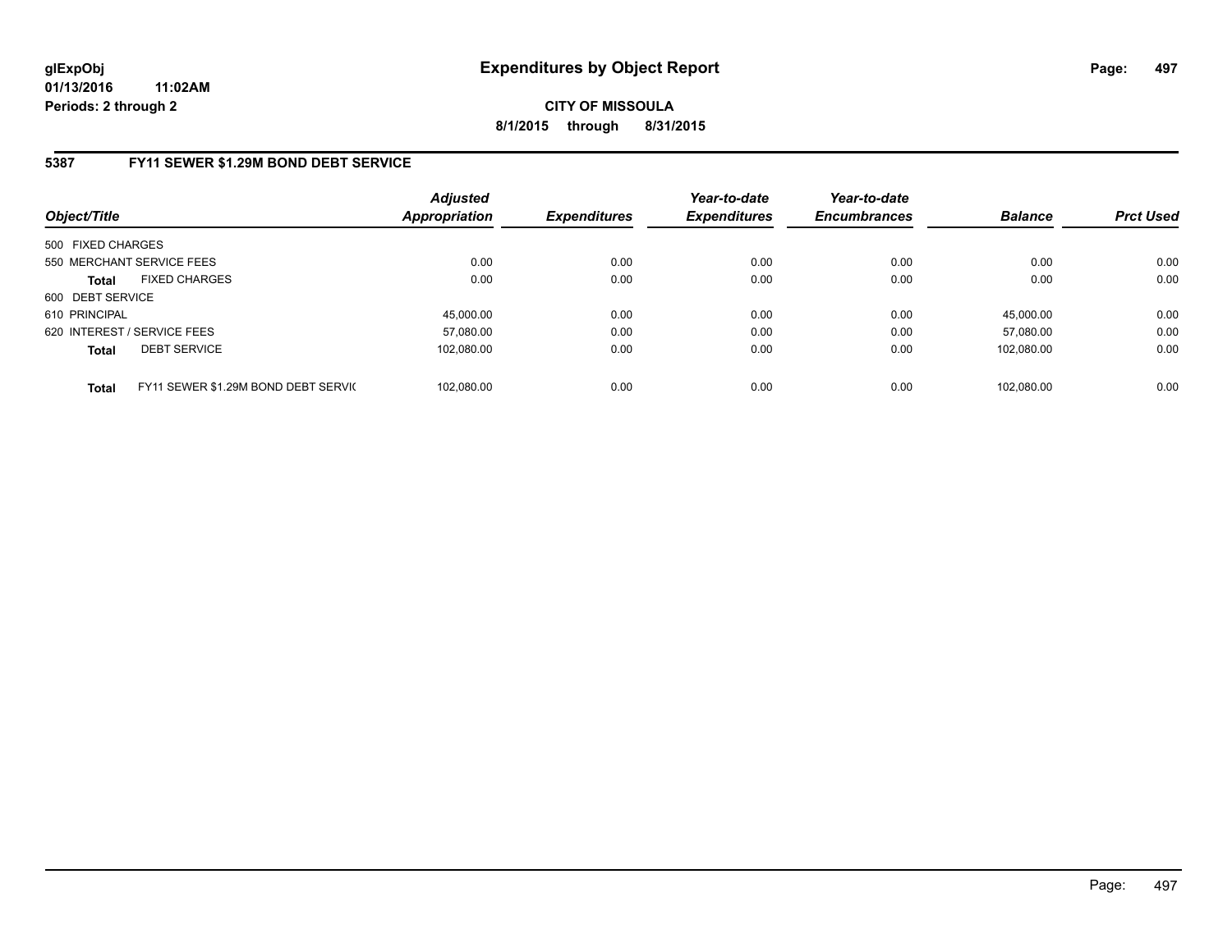**CITY OF MISSOULA 8/1/2015 through 8/31/2015**

## **5387 FY11 SEWER \$1.29M BOND DEBT SERVICE**

| Object/Title                                        | <b>Adjusted</b><br><b>Appropriation</b> | <b>Expenditures</b> | Year-to-date<br><b>Expenditures</b> | Year-to-date<br><b>Encumbrances</b> | <b>Balance</b> | <b>Prct Used</b> |
|-----------------------------------------------------|-----------------------------------------|---------------------|-------------------------------------|-------------------------------------|----------------|------------------|
| 500 FIXED CHARGES                                   |                                         |                     |                                     |                                     |                |                  |
| 550 MERCHANT SERVICE FEES                           | 0.00                                    | 0.00                | 0.00                                | 0.00                                | 0.00           | 0.00             |
| <b>FIXED CHARGES</b><br><b>Total</b>                | 0.00                                    | 0.00                | 0.00                                | 0.00                                | 0.00           | 0.00             |
| 600 DEBT SERVICE                                    |                                         |                     |                                     |                                     |                |                  |
| 610 PRINCIPAL                                       | 45.000.00                               | 0.00                | 0.00                                | 0.00                                | 45.000.00      | 0.00             |
| 620 INTEREST / SERVICE FEES                         | 57,080.00                               | 0.00                | 0.00                                | 0.00                                | 57.080.00      | 0.00             |
| <b>DEBT SERVICE</b><br><b>Total</b>                 | 102.080.00                              | 0.00                | 0.00                                | 0.00                                | 102.080.00     | 0.00             |
|                                                     |                                         |                     |                                     |                                     |                |                  |
| FY11 SEWER \$1.29M BOND DEBT SERVIC<br><b>Total</b> | 102.080.00                              | 0.00                | 0.00                                | 0.00                                | 102.080.00     | 0.00             |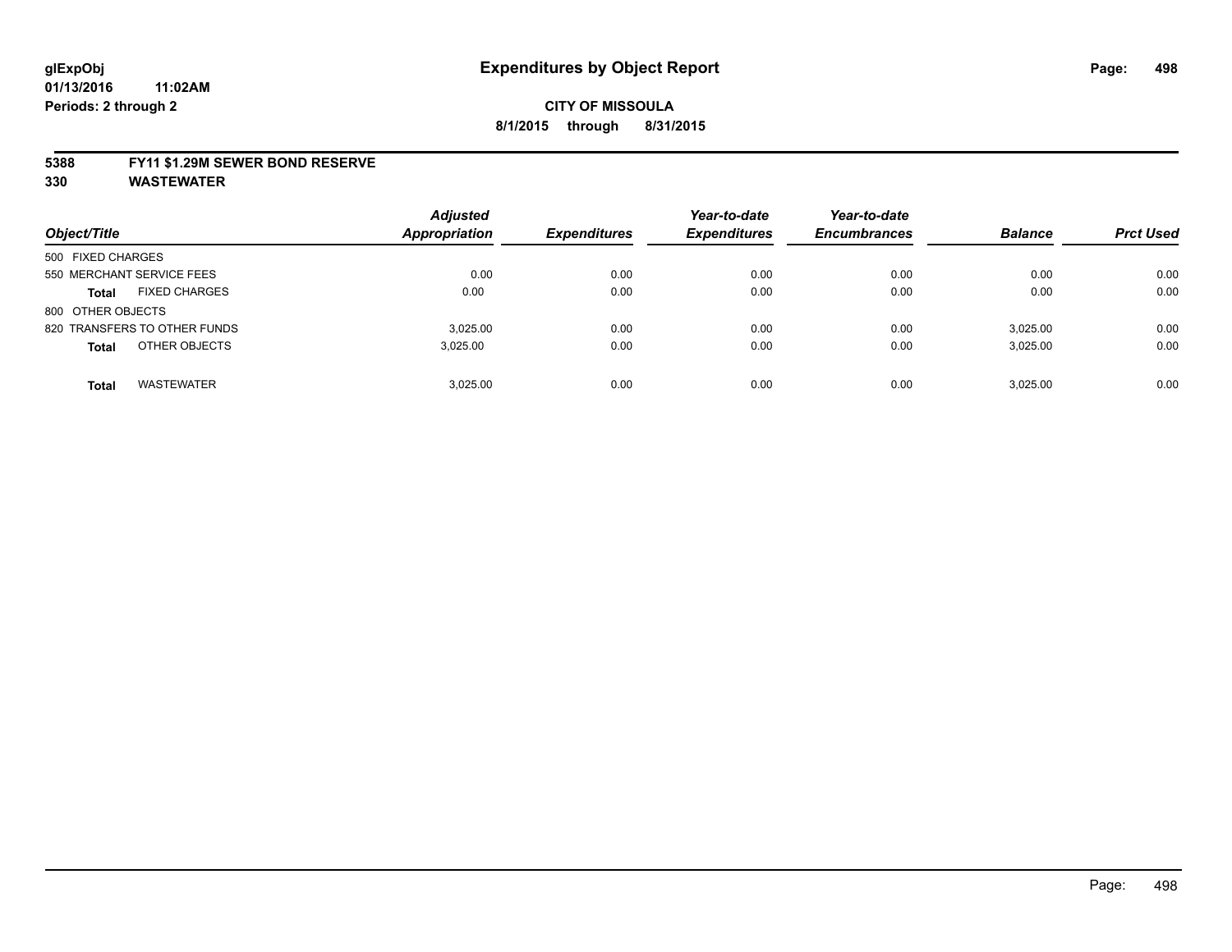#### **5388 FY11 \$1.29M SEWER BOND RESERVE**

| Object/Title                         | <b>Adjusted</b><br>Appropriation | <b>Expenditures</b> | Year-to-date<br><b>Expenditures</b> | Year-to-date<br><b>Encumbrances</b> | <b>Balance</b> | <b>Prct Used</b> |
|--------------------------------------|----------------------------------|---------------------|-------------------------------------|-------------------------------------|----------------|------------------|
| 500 FIXED CHARGES                    |                                  |                     |                                     |                                     |                |                  |
| 550 MERCHANT SERVICE FEES            | 0.00                             | 0.00                | 0.00                                | 0.00                                | 0.00           | 0.00             |
| <b>FIXED CHARGES</b><br><b>Total</b> | 0.00                             | 0.00                | 0.00                                | 0.00                                | 0.00           | 0.00             |
| 800 OTHER OBJECTS                    |                                  |                     |                                     |                                     |                |                  |
| 820 TRANSFERS TO OTHER FUNDS         | 3.025.00                         | 0.00                | 0.00                                | 0.00                                | 3,025.00       | 0.00             |
| OTHER OBJECTS<br><b>Total</b>        | 3.025.00                         | 0.00                | 0.00                                | 0.00                                | 3,025.00       | 0.00             |
| <b>WASTEWATER</b><br><b>Total</b>    | 3.025.00                         | 0.00                | 0.00                                | 0.00                                | 3.025.00       | 0.00             |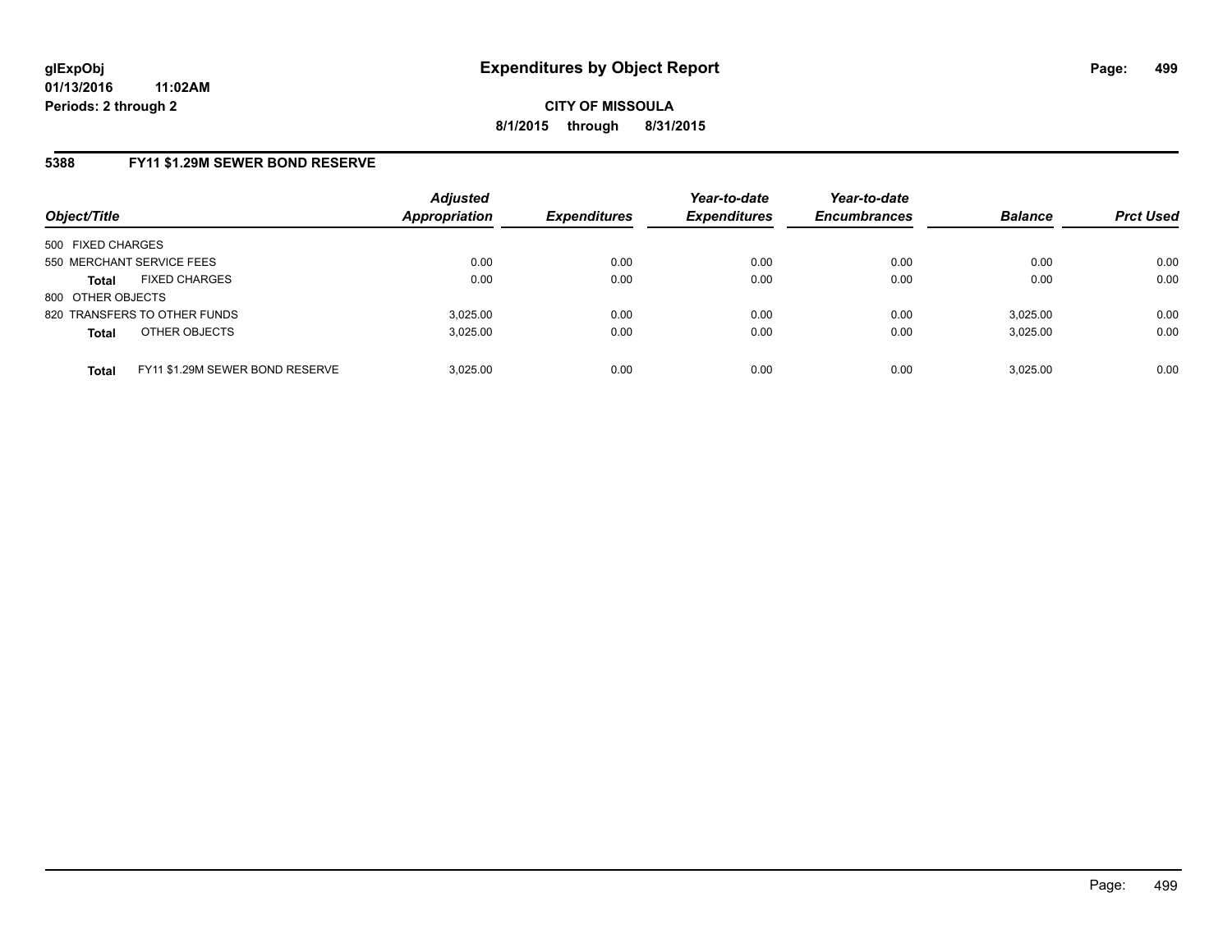### **5388 FY11 \$1.29M SEWER BOND RESERVE**

| Object/Title                                    | <b>Adjusted</b><br><b>Appropriation</b> | <b>Expenditures</b> | Year-to-date<br><b>Expenditures</b> | Year-to-date<br><b>Encumbrances</b> | <b>Balance</b> | <b>Prct Used</b> |
|-------------------------------------------------|-----------------------------------------|---------------------|-------------------------------------|-------------------------------------|----------------|------------------|
| 500 FIXED CHARGES                               |                                         |                     |                                     |                                     |                |                  |
| 550 MERCHANT SERVICE FEES                       | 0.00                                    | 0.00                | 0.00                                | 0.00                                | 0.00           | 0.00             |
| <b>FIXED CHARGES</b><br><b>Total</b>            | 0.00                                    | 0.00                | 0.00                                | 0.00                                | 0.00           | 0.00             |
| 800 OTHER OBJECTS                               |                                         |                     |                                     |                                     |                |                  |
| 820 TRANSFERS TO OTHER FUNDS                    | 3.025.00                                | 0.00                | 0.00                                | 0.00                                | 3,025.00       | 0.00             |
| OTHER OBJECTS<br><b>Total</b>                   | 3,025.00                                | 0.00                | 0.00                                | 0.00                                | 3,025.00       | 0.00             |
| FY11 \$1.29M SEWER BOND RESERVE<br><b>Total</b> | 3.025.00                                | 0.00                | 0.00                                | 0.00                                | 3,025.00       | 0.00             |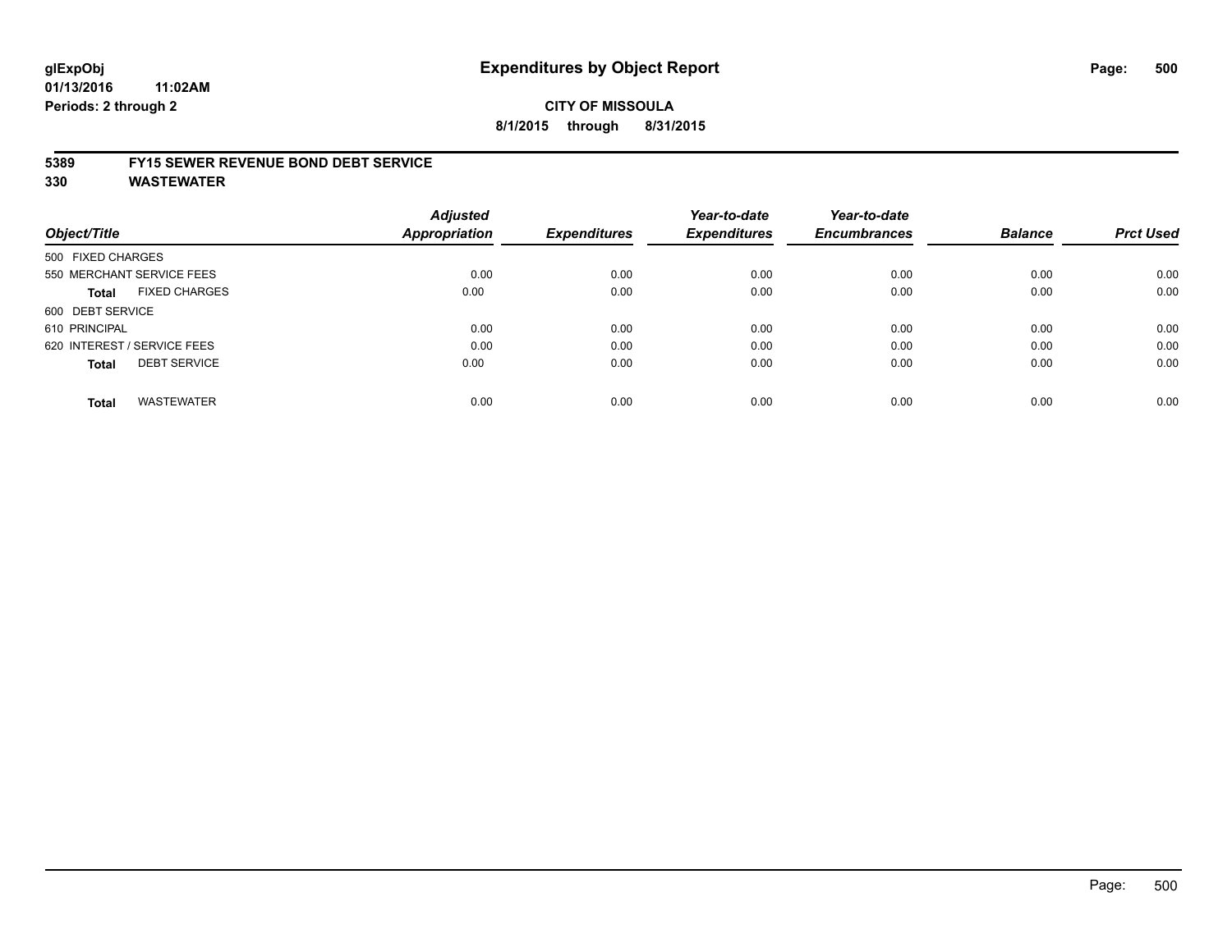### **CITY OF MISSOULA 8/1/2015 through 8/31/2015**

#### **5389 FY15 SEWER REVENUE BOND DEBT SERVICE**

| Object/Title                        | <b>Adjusted</b><br><b>Appropriation</b> | <b>Expenditures</b> | Year-to-date<br><b>Expenditures</b> | Year-to-date<br><b>Encumbrances</b> | <b>Balance</b> | <b>Prct Used</b> |
|-------------------------------------|-----------------------------------------|---------------------|-------------------------------------|-------------------------------------|----------------|------------------|
|                                     |                                         |                     |                                     |                                     |                |                  |
| 500 FIXED CHARGES                   |                                         |                     |                                     |                                     |                |                  |
| 550 MERCHANT SERVICE FEES           | 0.00                                    | 0.00                | 0.00                                | 0.00                                | 0.00           | 0.00             |
| <b>FIXED CHARGES</b><br>Total       | 0.00                                    | 0.00                | 0.00                                | 0.00                                | 0.00           | 0.00             |
| 600 DEBT SERVICE                    |                                         |                     |                                     |                                     |                |                  |
| 610 PRINCIPAL                       | 0.00                                    | 0.00                | 0.00                                | 0.00                                | 0.00           | 0.00             |
| 620 INTEREST / SERVICE FEES         | 0.00                                    | 0.00                | 0.00                                | 0.00                                | 0.00           | 0.00             |
| <b>DEBT SERVICE</b><br><b>Total</b> | 0.00                                    | 0.00                | 0.00                                | 0.00                                | 0.00           | 0.00             |
| <b>WASTEWATER</b><br><b>Total</b>   | 0.00                                    | 0.00                | 0.00                                | 0.00                                | 0.00           | 0.00             |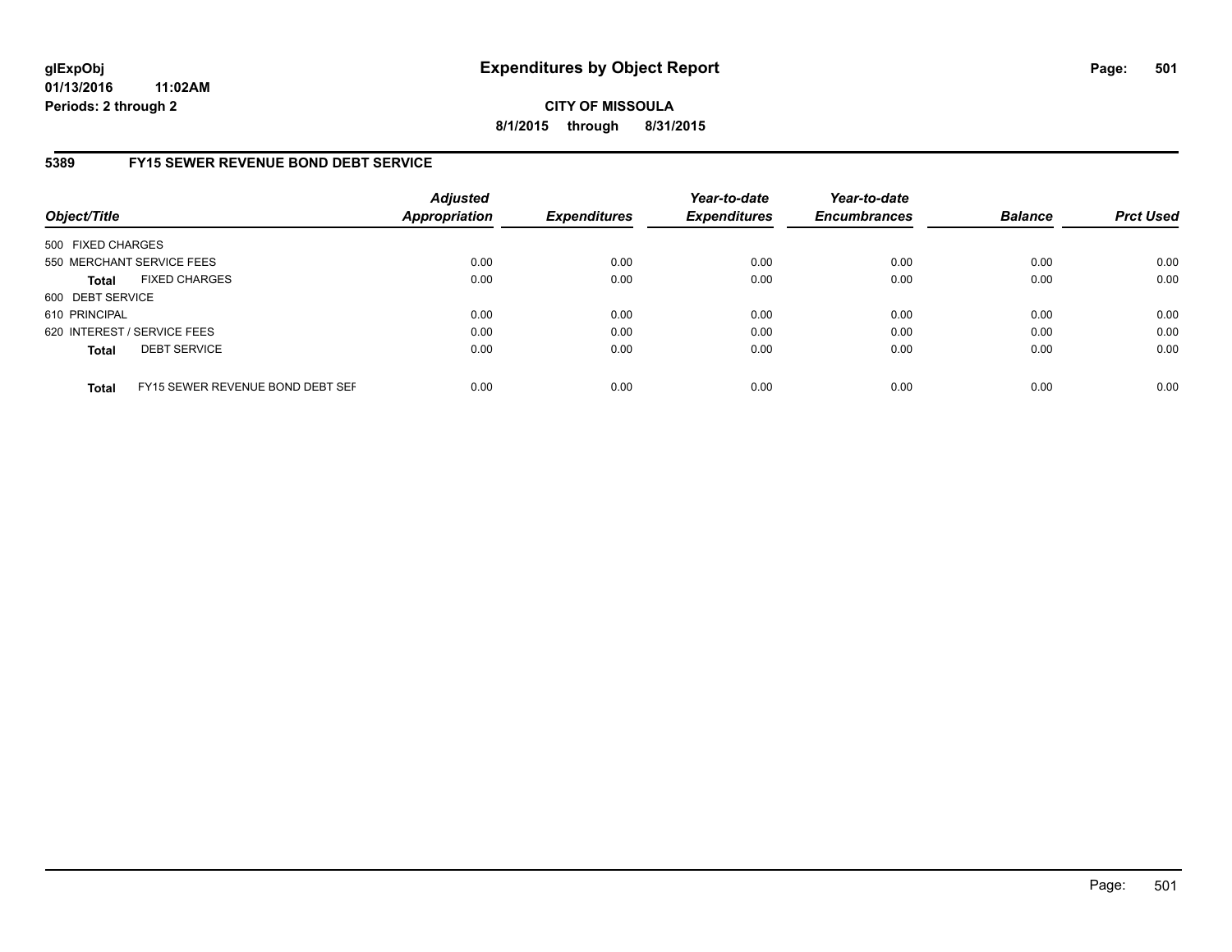# **CITY OF MISSOULA 8/1/2015 through 8/31/2015**

## **5389 FY15 SEWER REVENUE BOND DEBT SERVICE**

| Object/Title      |                                  | <b>Adjusted</b><br><b>Appropriation</b> | <b>Expenditures</b> | Year-to-date<br><b>Expenditures</b> | Year-to-date<br><b>Encumbrances</b> | <b>Balance</b> | <b>Prct Used</b> |
|-------------------|----------------------------------|-----------------------------------------|---------------------|-------------------------------------|-------------------------------------|----------------|------------------|
| 500 FIXED CHARGES |                                  |                                         |                     |                                     |                                     |                |                  |
|                   | 550 MERCHANT SERVICE FEES        | 0.00                                    | 0.00                | 0.00                                | 0.00                                | 0.00           | 0.00             |
| <b>Total</b>      | <b>FIXED CHARGES</b>             | 0.00                                    | 0.00                | 0.00                                | 0.00                                | 0.00           | 0.00             |
| 600 DEBT SERVICE  |                                  |                                         |                     |                                     |                                     |                |                  |
| 610 PRINCIPAL     |                                  | 0.00                                    | 0.00                | 0.00                                | 0.00                                | 0.00           | 0.00             |
|                   | 620 INTEREST / SERVICE FEES      | 0.00                                    | 0.00                | 0.00                                | 0.00                                | 0.00           | 0.00             |
| <b>Total</b>      | <b>DEBT SERVICE</b>              | 0.00                                    | 0.00                | 0.00                                | 0.00                                | 0.00           | 0.00             |
| <b>Total</b>      | FY15 SEWER REVENUE BOND DEBT SEF | 0.00                                    | 0.00                | 0.00                                | 0.00                                | 0.00           | 0.00             |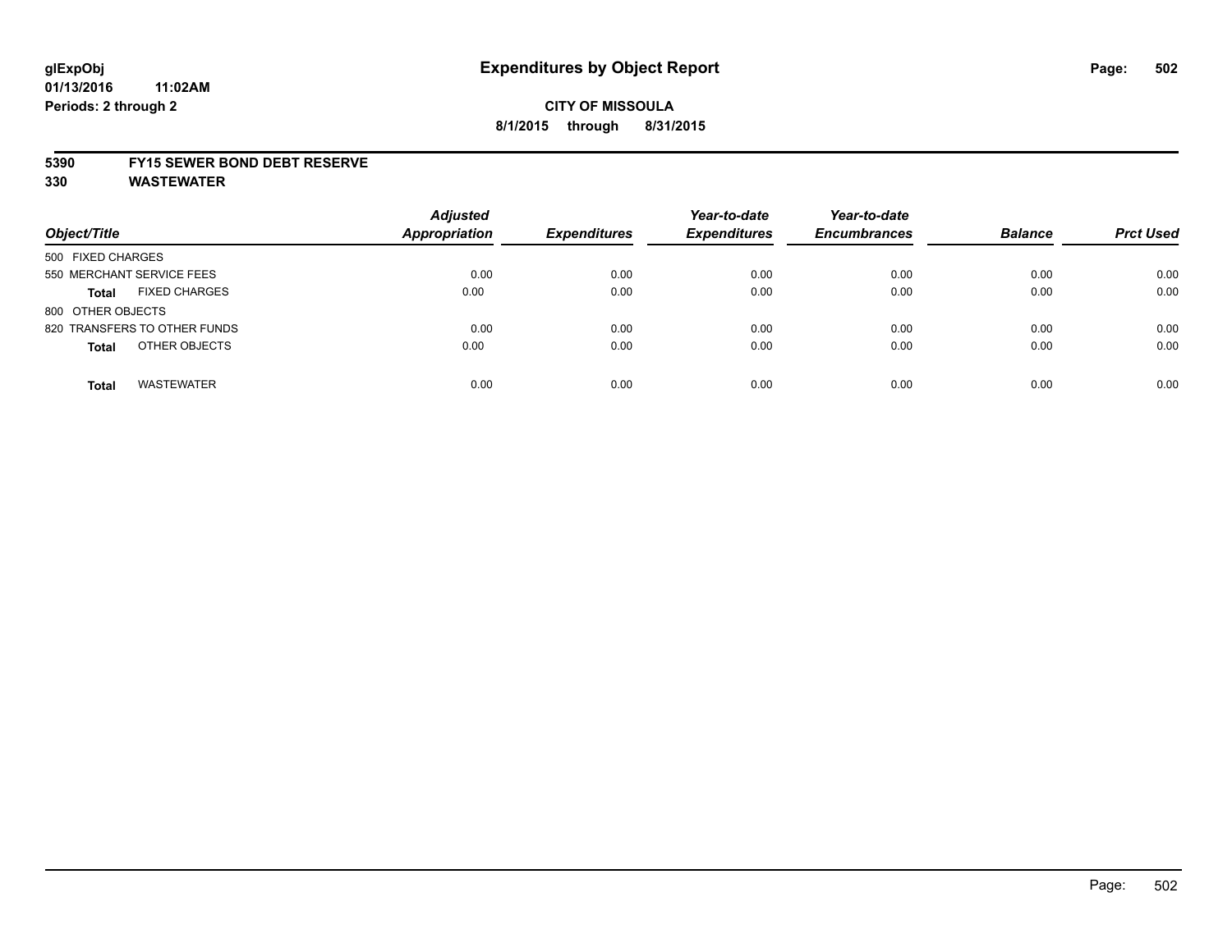## **CITY OF MISSOULA 8/1/2015 through 8/31/2015**

### **5390 FY15 SEWER BOND DEBT RESERVE**

| Object/Title                         | <b>Adjusted</b><br><b>Appropriation</b> | <b>Expenditures</b> | Year-to-date<br><b>Expenditures</b> | Year-to-date<br><b>Encumbrances</b> | <b>Balance</b> | <b>Prct Used</b> |
|--------------------------------------|-----------------------------------------|---------------------|-------------------------------------|-------------------------------------|----------------|------------------|
| 500 FIXED CHARGES                    |                                         |                     |                                     |                                     |                |                  |
| 550 MERCHANT SERVICE FEES            | 0.00                                    | 0.00                | 0.00                                | 0.00                                | 0.00           | 0.00             |
| <b>FIXED CHARGES</b><br><b>Total</b> | 0.00                                    | 0.00                | 0.00                                | 0.00                                | 0.00           | 0.00             |
| 800 OTHER OBJECTS                    |                                         |                     |                                     |                                     |                |                  |
| 820 TRANSFERS TO OTHER FUNDS         | 0.00                                    | 0.00                | 0.00                                | 0.00                                | 0.00           | 0.00             |
| OTHER OBJECTS<br><b>Total</b>        | 0.00                                    | 0.00                | 0.00                                | 0.00                                | 0.00           | 0.00             |
| <b>WASTEWATER</b><br><b>Total</b>    | 0.00                                    | 0.00                | 0.00                                | 0.00                                | 0.00           | 0.00             |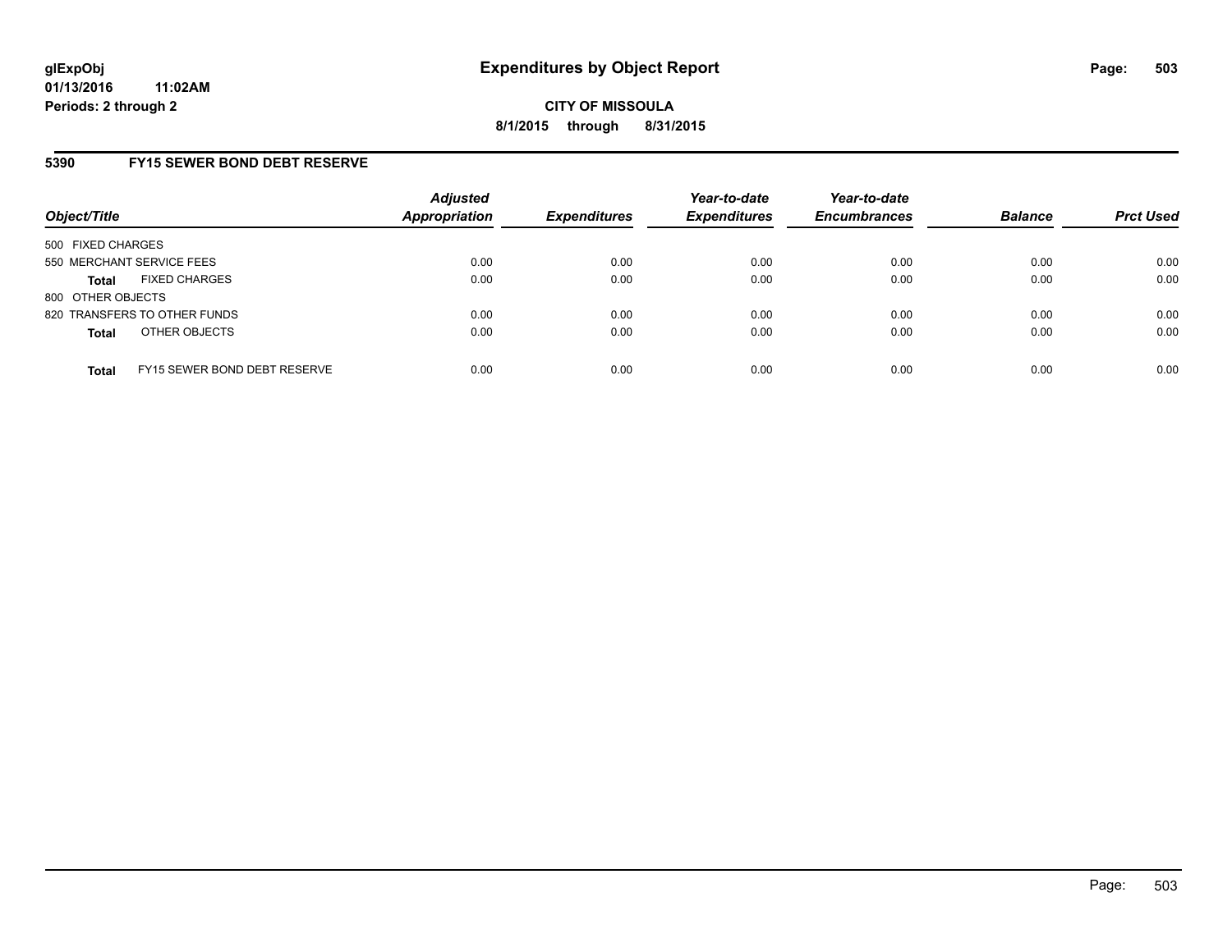## **5390 FY15 SEWER BOND DEBT RESERVE**

| Object/Title              |                              | <b>Adjusted</b><br>Appropriation | <b>Expenditures</b> | Year-to-date<br><b>Expenditures</b> | Year-to-date<br><b>Encumbrances</b> | <b>Balance</b> | <b>Prct Used</b> |
|---------------------------|------------------------------|----------------------------------|---------------------|-------------------------------------|-------------------------------------|----------------|------------------|
| 500 FIXED CHARGES         |                              |                                  |                     |                                     |                                     |                |                  |
| 550 MERCHANT SERVICE FEES |                              | 0.00                             | 0.00                | 0.00                                | 0.00                                | 0.00           | 0.00             |
| <b>Total</b>              | <b>FIXED CHARGES</b>         | 0.00                             | 0.00                | 0.00                                | 0.00                                | 0.00           | 0.00             |
| 800 OTHER OBJECTS         |                              |                                  |                     |                                     |                                     |                |                  |
|                           | 820 TRANSFERS TO OTHER FUNDS | 0.00                             | 0.00                | 0.00                                | 0.00                                | 0.00           | 0.00             |
| <b>Total</b>              | OTHER OBJECTS                | 0.00                             | 0.00                | 0.00                                | 0.00                                | 0.00           | 0.00             |
| <b>Total</b>              | FY15 SEWER BOND DEBT RESERVE | 0.00                             | 0.00                | 0.00                                | 0.00                                | 0.00           | 0.00             |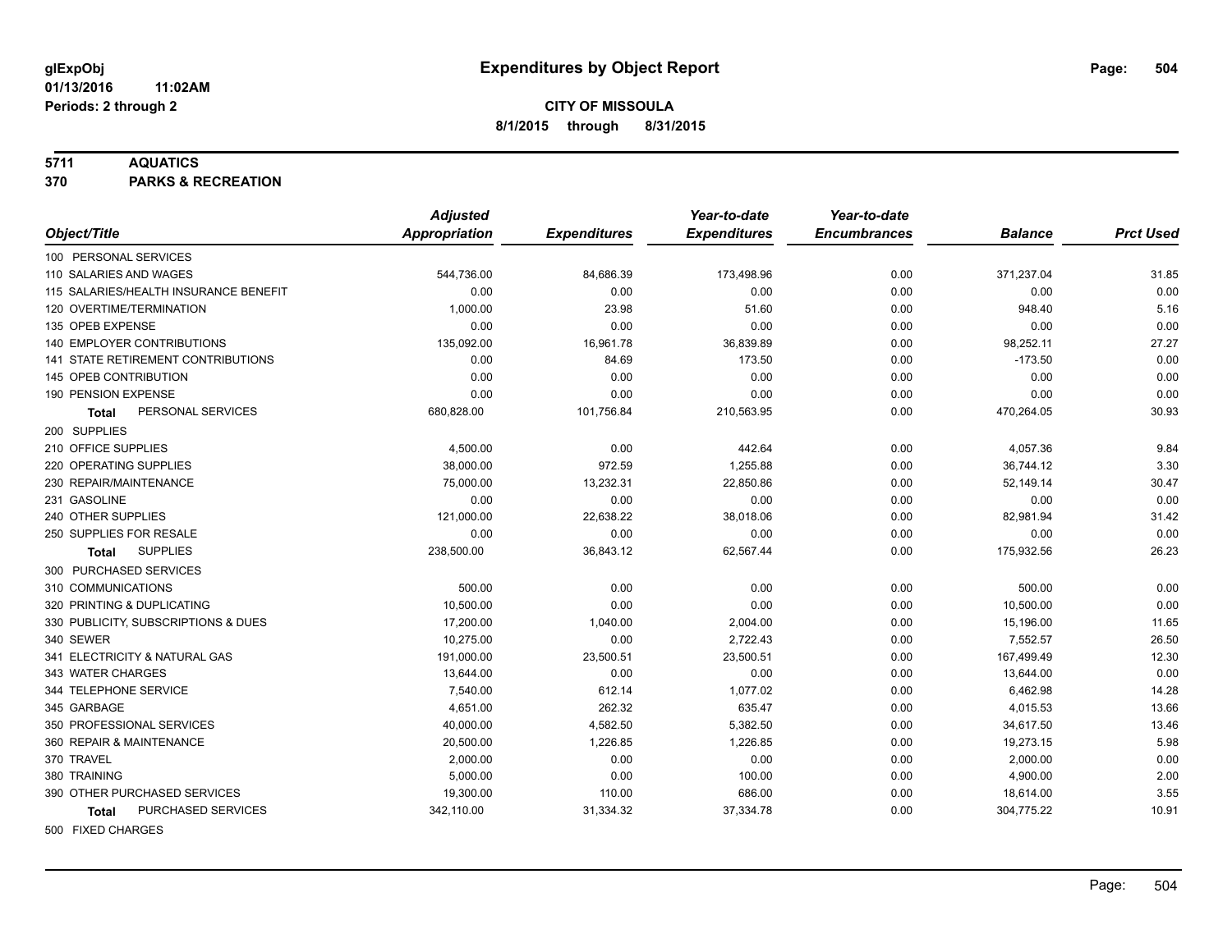#### **5711 AQUATICS**

**370 PARKS & RECREATION**

|                                           | <b>Adjusted</b>      |                     | Year-to-date        | Year-to-date        |                |                  |
|-------------------------------------------|----------------------|---------------------|---------------------|---------------------|----------------|------------------|
| Object/Title                              | <b>Appropriation</b> | <b>Expenditures</b> | <b>Expenditures</b> | <b>Encumbrances</b> | <b>Balance</b> | <b>Prct Used</b> |
| 100 PERSONAL SERVICES                     |                      |                     |                     |                     |                |                  |
| 110 SALARIES AND WAGES                    | 544,736.00           | 84,686.39           | 173,498.96          | 0.00                | 371,237.04     | 31.85            |
| 115 SALARIES/HEALTH INSURANCE BENEFIT     | 0.00                 | 0.00                | 0.00                | 0.00                | 0.00           | 0.00             |
| 120 OVERTIME/TERMINATION                  | 1,000.00             | 23.98               | 51.60               | 0.00                | 948.40         | 5.16             |
| 135 OPEB EXPENSE                          | 0.00                 | 0.00                | 0.00                | 0.00                | 0.00           | 0.00             |
| 140 EMPLOYER CONTRIBUTIONS                | 135,092.00           | 16,961.78           | 36,839.89           | 0.00                | 98,252.11      | 27.27            |
| <b>141 STATE RETIREMENT CONTRIBUTIONS</b> | 0.00                 | 84.69               | 173.50              | 0.00                | $-173.50$      | 0.00             |
| 145 OPEB CONTRIBUTION                     | 0.00                 | 0.00                | 0.00                | 0.00                | 0.00           | 0.00             |
| 190 PENSION EXPENSE                       | 0.00                 | 0.00                | 0.00                | 0.00                | 0.00           | 0.00             |
| PERSONAL SERVICES<br>Total                | 680,828.00           | 101,756.84          | 210,563.95          | 0.00                | 470,264.05     | 30.93            |
| 200 SUPPLIES                              |                      |                     |                     |                     |                |                  |
| 210 OFFICE SUPPLIES                       | 4,500.00             | 0.00                | 442.64              | 0.00                | 4,057.36       | 9.84             |
| 220 OPERATING SUPPLIES                    | 38,000.00            | 972.59              | 1,255.88            | 0.00                | 36,744.12      | 3.30             |
| 230 REPAIR/MAINTENANCE                    | 75,000.00            | 13,232.31           | 22,850.86           | 0.00                | 52,149.14      | 30.47            |
| 231 GASOLINE                              | 0.00                 | 0.00                | 0.00                | 0.00                | 0.00           | 0.00             |
| 240 OTHER SUPPLIES                        | 121,000.00           | 22,638.22           | 38,018.06           | 0.00                | 82,981.94      | 31.42            |
| 250 SUPPLIES FOR RESALE                   | 0.00                 | 0.00                | 0.00                | 0.00                | 0.00           | 0.00             |
| <b>SUPPLIES</b><br><b>Total</b>           | 238,500.00           | 36,843.12           | 62,567.44           | 0.00                | 175,932.56     | 26.23            |
| 300 PURCHASED SERVICES                    |                      |                     |                     |                     |                |                  |
| 310 COMMUNICATIONS                        | 500.00               | 0.00                | 0.00                | 0.00                | 500.00         | 0.00             |
| 320 PRINTING & DUPLICATING                | 10,500.00            | 0.00                | 0.00                | 0.00                | 10,500.00      | 0.00             |
| 330 PUBLICITY, SUBSCRIPTIONS & DUES       | 17.200.00            | 1,040.00            | 2,004.00            | 0.00                | 15,196.00      | 11.65            |
| 340 SEWER                                 | 10,275.00            | 0.00                | 2,722.43            | 0.00                | 7,552.57       | 26.50            |
| 341 ELECTRICITY & NATURAL GAS             | 191,000.00           | 23,500.51           | 23,500.51           | 0.00                | 167,499.49     | 12.30            |
| 343 WATER CHARGES                         | 13,644.00            | 0.00                | 0.00                | 0.00                | 13,644.00      | 0.00             |
| 344 TELEPHONE SERVICE                     | 7,540.00             | 612.14              | 1,077.02            | 0.00                | 6,462.98       | 14.28            |
| 345 GARBAGE                               | 4,651.00             | 262.32              | 635.47              | 0.00                | 4,015.53       | 13.66            |
| 350 PROFESSIONAL SERVICES                 | 40,000.00            | 4,582.50            | 5,382.50            | 0.00                | 34,617.50      | 13.46            |
| 360 REPAIR & MAINTENANCE                  | 20,500.00            | 1,226.85            | 1,226.85            | 0.00                | 19,273.15      | 5.98             |
| 370 TRAVEL                                | 2,000.00             | 0.00                | 0.00                | 0.00                | 2,000.00       | 0.00             |
| 380 TRAINING                              | 5,000.00             | 0.00                | 100.00              | 0.00                | 4,900.00       | 2.00             |
| 390 OTHER PURCHASED SERVICES              | 19,300.00            | 110.00              | 686.00              | 0.00                | 18,614.00      | 3.55             |
| PURCHASED SERVICES<br><b>Total</b>        | 342,110.00           | 31,334.32           | 37,334.78           | 0.00                | 304,775.22     | 10.91            |
| 500 FIXED CHARGES                         |                      |                     |                     |                     |                |                  |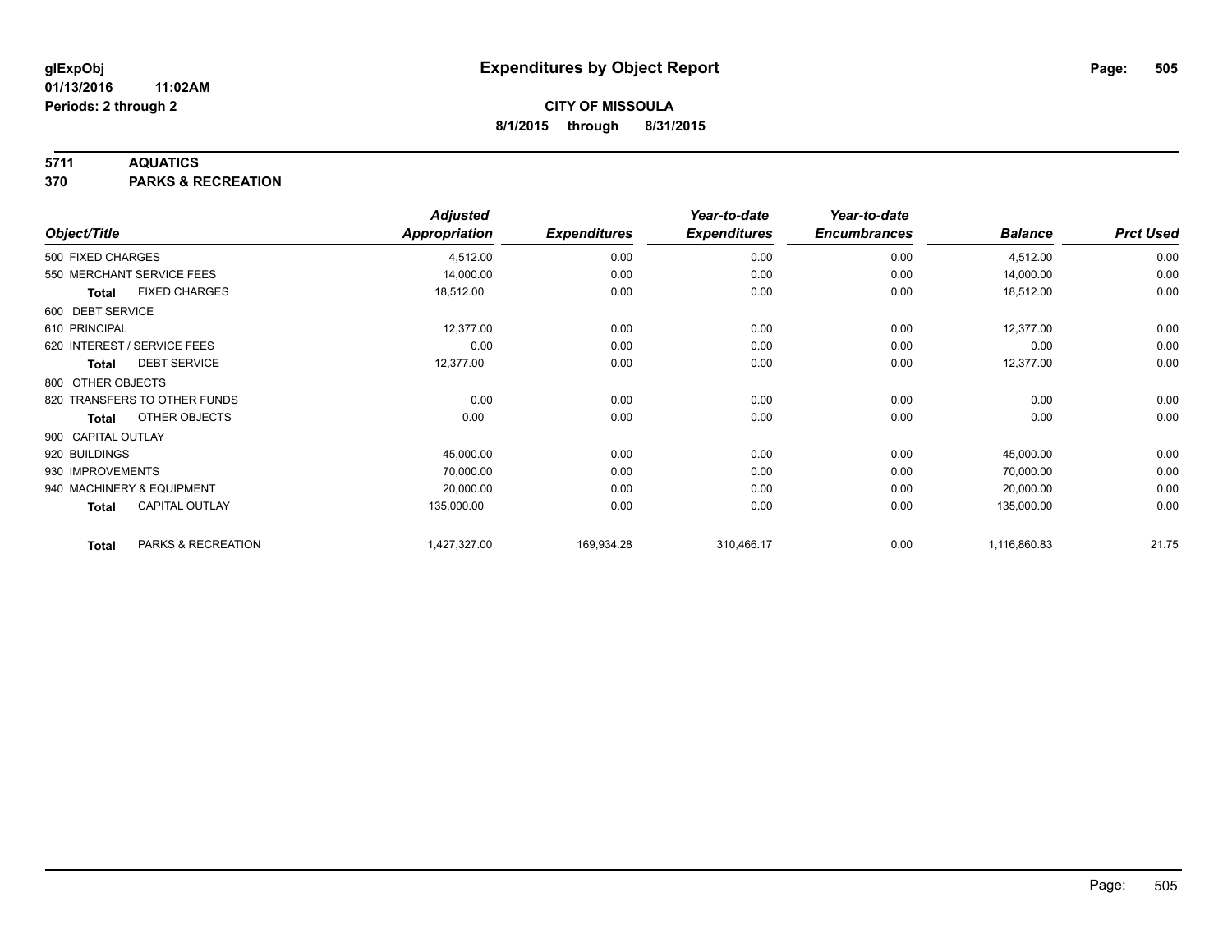### **5711 AQUATICS**

**370 PARKS & RECREATION**

|                    |                              | <b>Adjusted</b> |                     | Year-to-date        | Year-to-date        |                |                  |
|--------------------|------------------------------|-----------------|---------------------|---------------------|---------------------|----------------|------------------|
| Object/Title       |                              | Appropriation   | <b>Expenditures</b> | <b>Expenditures</b> | <b>Encumbrances</b> | <b>Balance</b> | <b>Prct Used</b> |
| 500 FIXED CHARGES  |                              | 4,512.00        | 0.00                | 0.00                | 0.00                | 4,512.00       | 0.00             |
|                    | 550 MERCHANT SERVICE FEES    | 14,000.00       | 0.00                | 0.00                | 0.00                | 14,000.00      | 0.00             |
| <b>Total</b>       | <b>FIXED CHARGES</b>         | 18,512.00       | 0.00                | 0.00                | 0.00                | 18,512.00      | 0.00             |
| 600 DEBT SERVICE   |                              |                 |                     |                     |                     |                |                  |
| 610 PRINCIPAL      |                              | 12,377.00       | 0.00                | 0.00                | 0.00                | 12,377.00      | 0.00             |
|                    | 620 INTEREST / SERVICE FEES  | 0.00            | 0.00                | 0.00                | 0.00                | 0.00           | 0.00             |
| Total              | <b>DEBT SERVICE</b>          | 12,377.00       | 0.00                | 0.00                | 0.00                | 12,377.00      | 0.00             |
| 800 OTHER OBJECTS  |                              |                 |                     |                     |                     |                |                  |
|                    | 820 TRANSFERS TO OTHER FUNDS | 0.00            | 0.00                | 0.00                | 0.00                | 0.00           | 0.00             |
| Total              | OTHER OBJECTS                | 0.00            | 0.00                | 0.00                | 0.00                | 0.00           | 0.00             |
| 900 CAPITAL OUTLAY |                              |                 |                     |                     |                     |                |                  |
| 920 BUILDINGS      |                              | 45,000.00       | 0.00                | 0.00                | 0.00                | 45,000.00      | 0.00             |
| 930 IMPROVEMENTS   |                              | 70,000.00       | 0.00                | 0.00                | 0.00                | 70,000.00      | 0.00             |
|                    | 940 MACHINERY & EQUIPMENT    | 20,000.00       | 0.00                | 0.00                | 0.00                | 20,000.00      | 0.00             |
| <b>Total</b>       | <b>CAPITAL OUTLAY</b>        | 135,000.00      | 0.00                | 0.00                | 0.00                | 135,000.00     | 0.00             |
| <b>Total</b>       | PARKS & RECREATION           | 1,427,327.00    | 169,934.28          | 310,466.17          | 0.00                | 1,116,860.83   | 21.75            |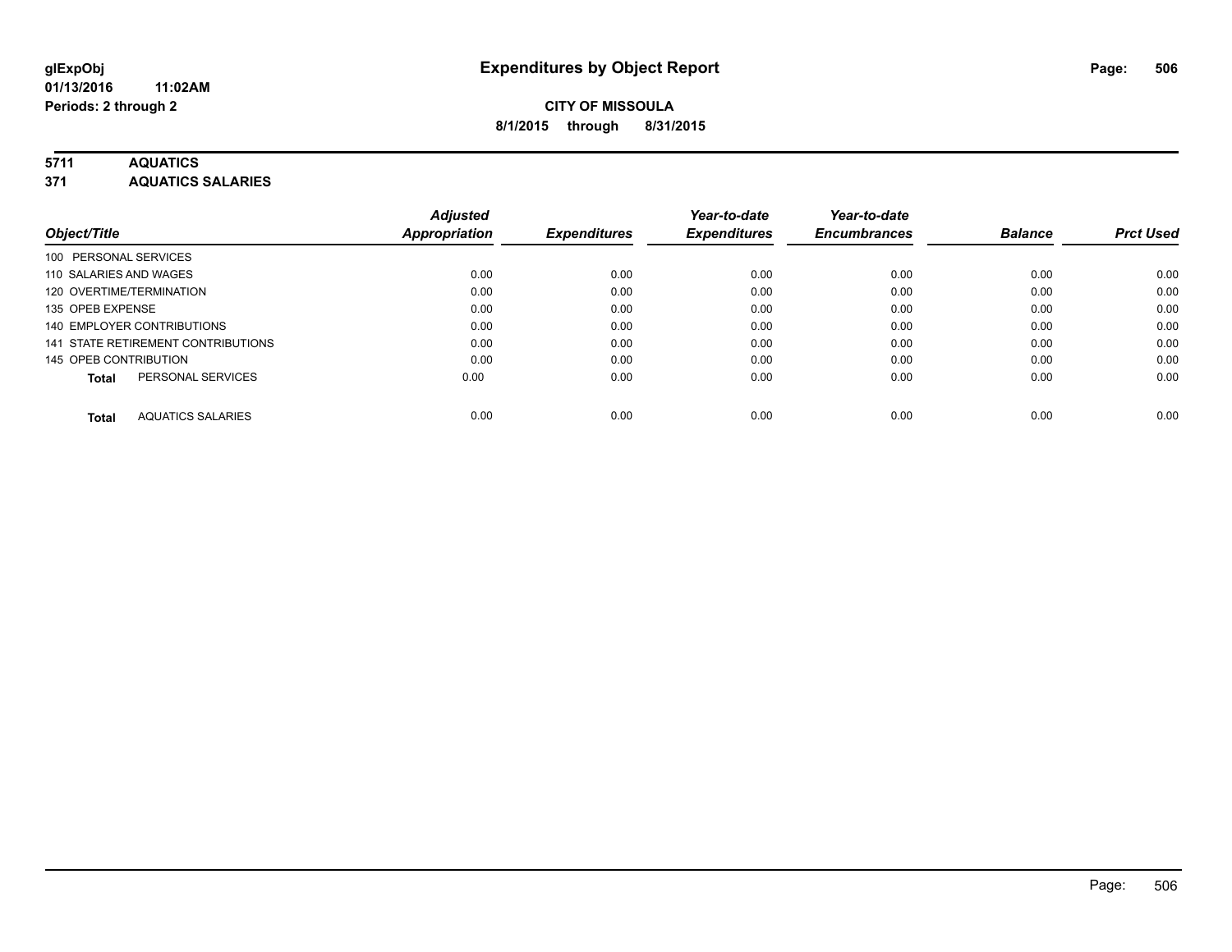### **5711 AQUATICS**

**371 AQUATICS SALARIES**

| Object/Title                             | <b>Adjusted</b><br>Appropriation | <b>Expenditures</b> | Year-to-date<br><b>Expenditures</b> | Year-to-date<br><b>Encumbrances</b> | <b>Balance</b> | <b>Prct Used</b> |
|------------------------------------------|----------------------------------|---------------------|-------------------------------------|-------------------------------------|----------------|------------------|
|                                          |                                  |                     |                                     |                                     |                |                  |
| 100 PERSONAL SERVICES                    |                                  |                     |                                     |                                     |                |                  |
| 110 SALARIES AND WAGES                   | 0.00                             | 0.00                | 0.00                                | 0.00                                | 0.00           | 0.00             |
| 120 OVERTIME/TERMINATION                 | 0.00                             | 0.00                | 0.00                                | 0.00                                | 0.00           | 0.00             |
| 135 OPEB EXPENSE                         | 0.00                             | 0.00                | 0.00                                | 0.00                                | 0.00           | 0.00             |
| 140 EMPLOYER CONTRIBUTIONS               | 0.00                             | 0.00                | 0.00                                | 0.00                                | 0.00           | 0.00             |
| 141 STATE RETIREMENT CONTRIBUTIONS       | 0.00                             | 0.00                | 0.00                                | 0.00                                | 0.00           | 0.00             |
| 145 OPEB CONTRIBUTION                    | 0.00                             | 0.00                | 0.00                                | 0.00                                | 0.00           | 0.00             |
| PERSONAL SERVICES<br><b>Total</b>        | 0.00                             | 0.00                | 0.00                                | 0.00                                | 0.00           | 0.00             |
| <b>AQUATICS SALARIES</b><br><b>Total</b> | 0.00                             | 0.00                | 0.00                                | 0.00                                | 0.00           | 0.00             |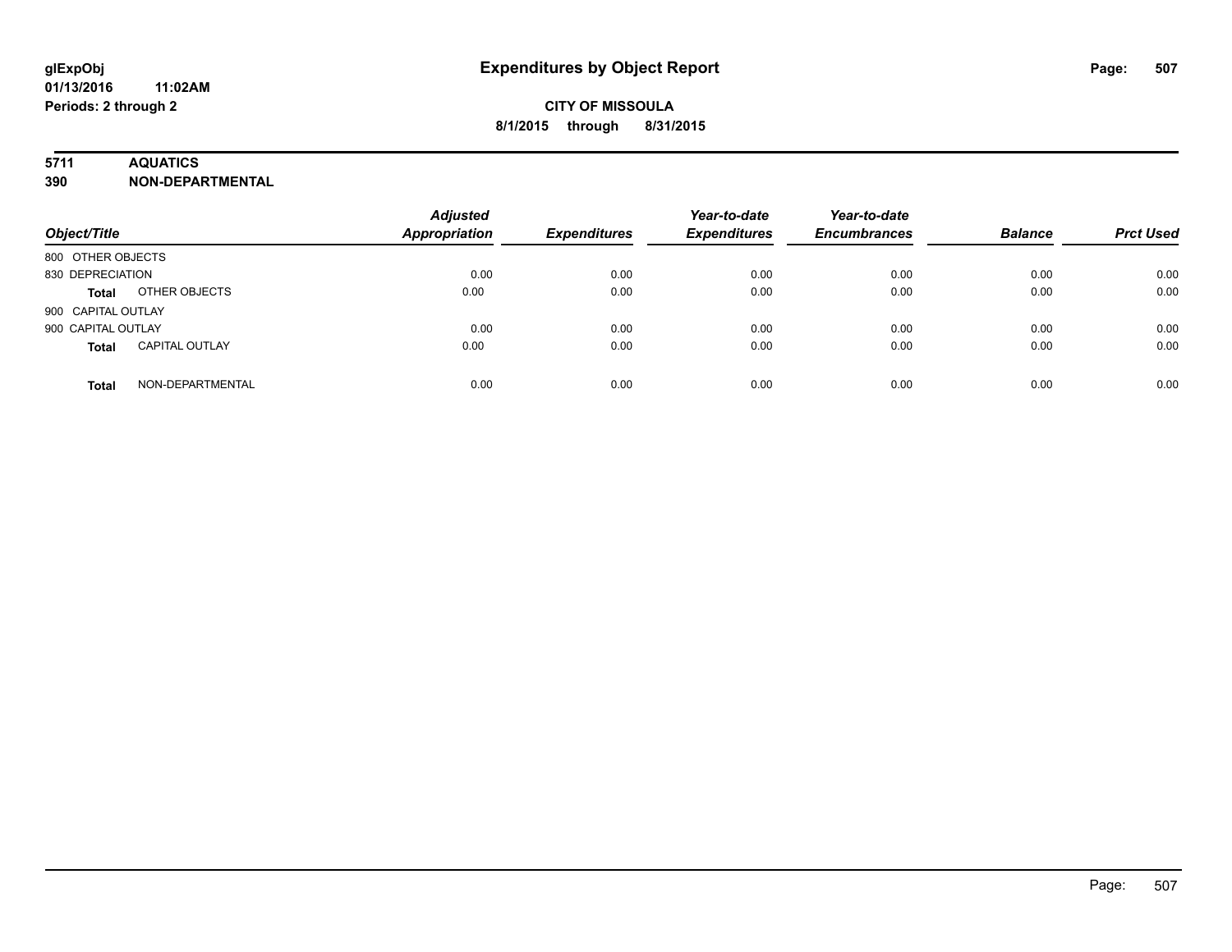### **5711 AQUATICS**

**390 NON-DEPARTMENTAL**

| Object/Title                          | <b>Adjusted</b><br>Appropriation | <b>Expenditures</b> | Year-to-date<br><b>Expenditures</b> | Year-to-date<br><b>Encumbrances</b> | <b>Balance</b> | <b>Prct Used</b> |
|---------------------------------------|----------------------------------|---------------------|-------------------------------------|-------------------------------------|----------------|------------------|
| 800 OTHER OBJECTS                     |                                  |                     |                                     |                                     |                |                  |
| 830 DEPRECIATION                      | 0.00                             | 0.00                | 0.00                                | 0.00                                | 0.00           | 0.00             |
| OTHER OBJECTS<br><b>Total</b>         | 0.00                             | 0.00                | 0.00                                | 0.00                                | 0.00           | 0.00             |
| 900 CAPITAL OUTLAY                    |                                  |                     |                                     |                                     |                |                  |
| 900 CAPITAL OUTLAY                    | 0.00                             | 0.00                | 0.00                                | 0.00                                | 0.00           | 0.00             |
| <b>CAPITAL OUTLAY</b><br><b>Total</b> | 0.00                             | 0.00                | 0.00                                | 0.00                                | 0.00           | 0.00             |
| NON-DEPARTMENTAL<br><b>Total</b>      | 0.00                             | 0.00                | 0.00                                | 0.00                                | 0.00           | 0.00             |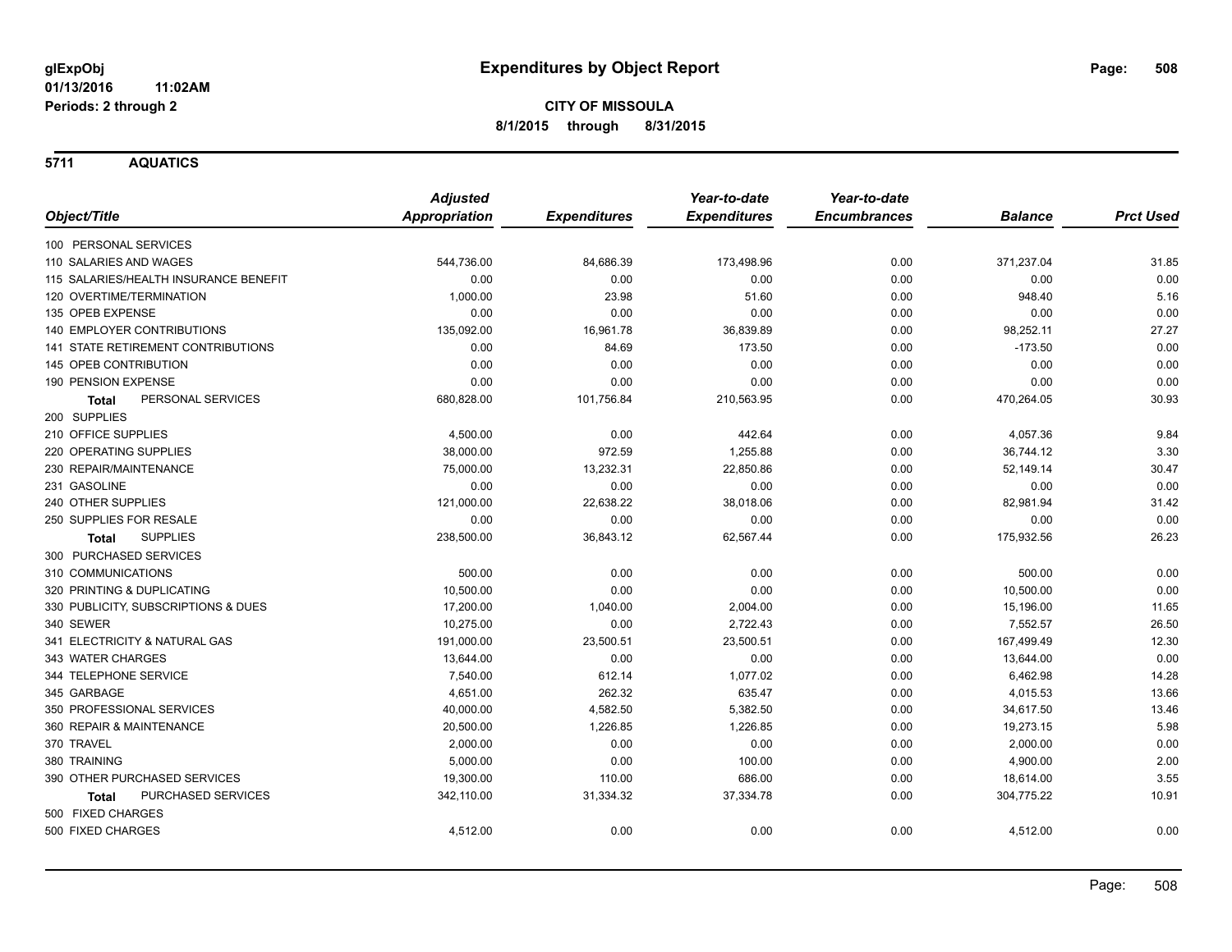**5711 AQUATICS**

|                                           | <b>Adjusted</b>      |                     | Year-to-date        | Year-to-date        |                |                  |
|-------------------------------------------|----------------------|---------------------|---------------------|---------------------|----------------|------------------|
| Object/Title                              | <b>Appropriation</b> | <b>Expenditures</b> | <b>Expenditures</b> | <b>Encumbrances</b> | <b>Balance</b> | <b>Prct Used</b> |
| 100 PERSONAL SERVICES                     |                      |                     |                     |                     |                |                  |
| 110 SALARIES AND WAGES                    | 544,736.00           | 84,686.39           | 173,498.96          | 0.00                | 371,237.04     | 31.85            |
| 115 SALARIES/HEALTH INSURANCE BENEFIT     | 0.00                 | 0.00                | 0.00                | 0.00                | 0.00           | 0.00             |
| 120 OVERTIME/TERMINATION                  | 1,000.00             | 23.98               | 51.60               | 0.00                | 948.40         | 5.16             |
| 135 OPEB EXPENSE                          | 0.00                 | 0.00                | 0.00                | 0.00                | 0.00           | 0.00             |
| <b>140 EMPLOYER CONTRIBUTIONS</b>         | 135,092.00           | 16,961.78           | 36,839.89           | 0.00                | 98,252.11      | 27.27            |
| <b>141 STATE RETIREMENT CONTRIBUTIONS</b> | 0.00                 | 84.69               | 173.50              | 0.00                | $-173.50$      | 0.00             |
| 145 OPEB CONTRIBUTION                     | 0.00                 | 0.00                | 0.00                | 0.00                | 0.00           | 0.00             |
| 190 PENSION EXPENSE                       | 0.00                 | 0.00                | 0.00                | 0.00                | 0.00           | 0.00             |
| PERSONAL SERVICES<br>Total                | 680,828.00           | 101,756.84          | 210,563.95          | 0.00                | 470,264.05     | 30.93            |
| 200 SUPPLIES                              |                      |                     |                     |                     |                |                  |
| 210 OFFICE SUPPLIES                       | 4,500.00             | 0.00                | 442.64              | 0.00                | 4,057.36       | 9.84             |
| 220 OPERATING SUPPLIES                    | 38,000.00            | 972.59              | 1,255.88            | 0.00                | 36,744.12      | 3.30             |
| 230 REPAIR/MAINTENANCE                    | 75,000.00            | 13,232.31           | 22,850.86           | 0.00                | 52,149.14      | 30.47            |
| 231 GASOLINE                              | 0.00                 | 0.00                | 0.00                | 0.00                | 0.00           | 0.00             |
| 240 OTHER SUPPLIES                        | 121,000.00           | 22,638.22           | 38,018.06           | 0.00                | 82,981.94      | 31.42            |
| 250 SUPPLIES FOR RESALE                   | 0.00                 | 0.00                | 0.00                | 0.00                | 0.00           | 0.00             |
| <b>SUPPLIES</b><br>Total                  | 238,500.00           | 36,843.12           | 62,567.44           | 0.00                | 175,932.56     | 26.23            |
| 300 PURCHASED SERVICES                    |                      |                     |                     |                     |                |                  |
| 310 COMMUNICATIONS                        | 500.00               | 0.00                | 0.00                | 0.00                | 500.00         | 0.00             |
| 320 PRINTING & DUPLICATING                | 10,500.00            | 0.00                | 0.00                | 0.00                | 10,500.00      | 0.00             |
| 330 PUBLICITY, SUBSCRIPTIONS & DUES       | 17,200.00            | 1,040.00            | 2,004.00            | 0.00                | 15,196.00      | 11.65            |
| 340 SEWER                                 | 10,275.00            | 0.00                | 2,722.43            | 0.00                | 7,552.57       | 26.50            |
| 341 ELECTRICITY & NATURAL GAS             | 191,000.00           | 23,500.51           | 23,500.51           | 0.00                | 167,499.49     | 12.30            |
| 343 WATER CHARGES                         | 13,644.00            | 0.00                | 0.00                | 0.00                | 13,644.00      | 0.00             |
| 344 TELEPHONE SERVICE                     | 7,540.00             | 612.14              | 1,077.02            | 0.00                | 6,462.98       | 14.28            |
| 345 GARBAGE                               | 4,651.00             | 262.32              | 635.47              | 0.00                | 4,015.53       | 13.66            |
| 350 PROFESSIONAL SERVICES                 | 40,000.00            | 4,582.50            | 5,382.50            | 0.00                | 34,617.50      | 13.46            |
| 360 REPAIR & MAINTENANCE                  | 20,500.00            | 1,226.85            | 1,226.85            | 0.00                | 19,273.15      | 5.98             |
| 370 TRAVEL                                | 2,000.00             | 0.00                | 0.00                | 0.00                | 2,000.00       | 0.00             |
| 380 TRAINING                              | 5,000.00             | 0.00                | 100.00              | 0.00                | 4,900.00       | 2.00             |
| 390 OTHER PURCHASED SERVICES              | 19,300.00            | 110.00              | 686.00              | 0.00                | 18,614.00      | 3.55             |
| PURCHASED SERVICES<br><b>Total</b>        | 342,110.00           | 31,334.32           | 37,334.78           | 0.00                | 304,775.22     | 10.91            |
| 500 FIXED CHARGES                         |                      |                     |                     |                     |                |                  |
| 500 FIXED CHARGES                         | 4,512.00             | 0.00                | 0.00                | 0.00                | 4,512.00       | 0.00             |
|                                           |                      |                     |                     |                     |                |                  |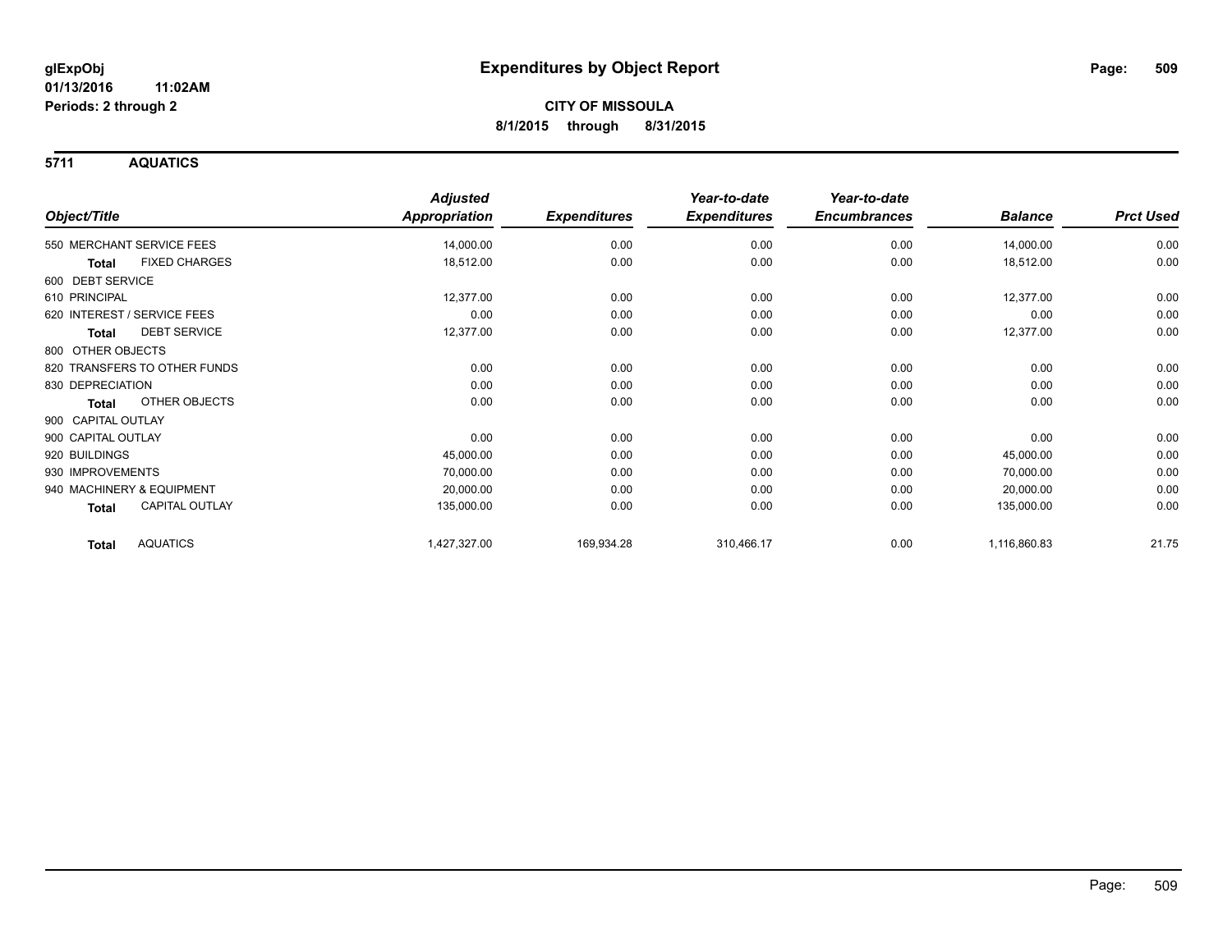**5711 AQUATICS**

|                                      | <b>Adjusted</b>      |                     | Year-to-date        | Year-to-date        |                |                  |
|--------------------------------------|----------------------|---------------------|---------------------|---------------------|----------------|------------------|
| Object/Title                         | <b>Appropriation</b> | <b>Expenditures</b> | <b>Expenditures</b> | <b>Encumbrances</b> | <b>Balance</b> | <b>Prct Used</b> |
| 550 MERCHANT SERVICE FEES            | 14,000.00            | 0.00                | 0.00                | 0.00                | 14,000.00      | 0.00             |
| <b>FIXED CHARGES</b><br><b>Total</b> | 18,512.00            | 0.00                | 0.00                | 0.00                | 18,512.00      | 0.00             |
| 600 DEBT SERVICE                     |                      |                     |                     |                     |                |                  |
| 610 PRINCIPAL                        | 12,377.00            | 0.00                | 0.00                | 0.00                | 12,377.00      | 0.00             |
| 620 INTEREST / SERVICE FEES          | 0.00                 | 0.00                | 0.00                | 0.00                | 0.00           | 0.00             |
| <b>DEBT SERVICE</b><br><b>Total</b>  | 12,377.00            | 0.00                | 0.00                | 0.00                | 12,377.00      | 0.00             |
| 800 OTHER OBJECTS                    |                      |                     |                     |                     |                |                  |
| 820 TRANSFERS TO OTHER FUNDS         | 0.00                 | 0.00                | 0.00                | 0.00                | 0.00           | 0.00             |
| 830 DEPRECIATION                     | 0.00                 | 0.00                | 0.00                | 0.00                | 0.00           | 0.00             |
| <b>OTHER OBJECTS</b><br><b>Total</b> | 0.00                 | 0.00                | 0.00                | 0.00                | 0.00           | 0.00             |
| 900 CAPITAL OUTLAY                   |                      |                     |                     |                     |                |                  |
| 900 CAPITAL OUTLAY                   | 0.00                 | 0.00                | 0.00                | 0.00                | 0.00           | 0.00             |
| 920 BUILDINGS                        | 45,000.00            | 0.00                | 0.00                | 0.00                | 45,000.00      | 0.00             |
| 930 IMPROVEMENTS                     | 70,000.00            | 0.00                | 0.00                | 0.00                | 70,000.00      | 0.00             |
| 940 MACHINERY & EQUIPMENT            | 20,000.00            | 0.00                | 0.00                | 0.00                | 20,000.00      | 0.00             |
| <b>CAPITAL OUTLAY</b><br>Total       | 135,000.00           | 0.00                | 0.00                | 0.00                | 135,000.00     | 0.00             |
| <b>AQUATICS</b><br><b>Total</b>      | 1,427,327.00         | 169,934.28          | 310,466.17          | 0.00                | 1,116,860.83   | 21.75            |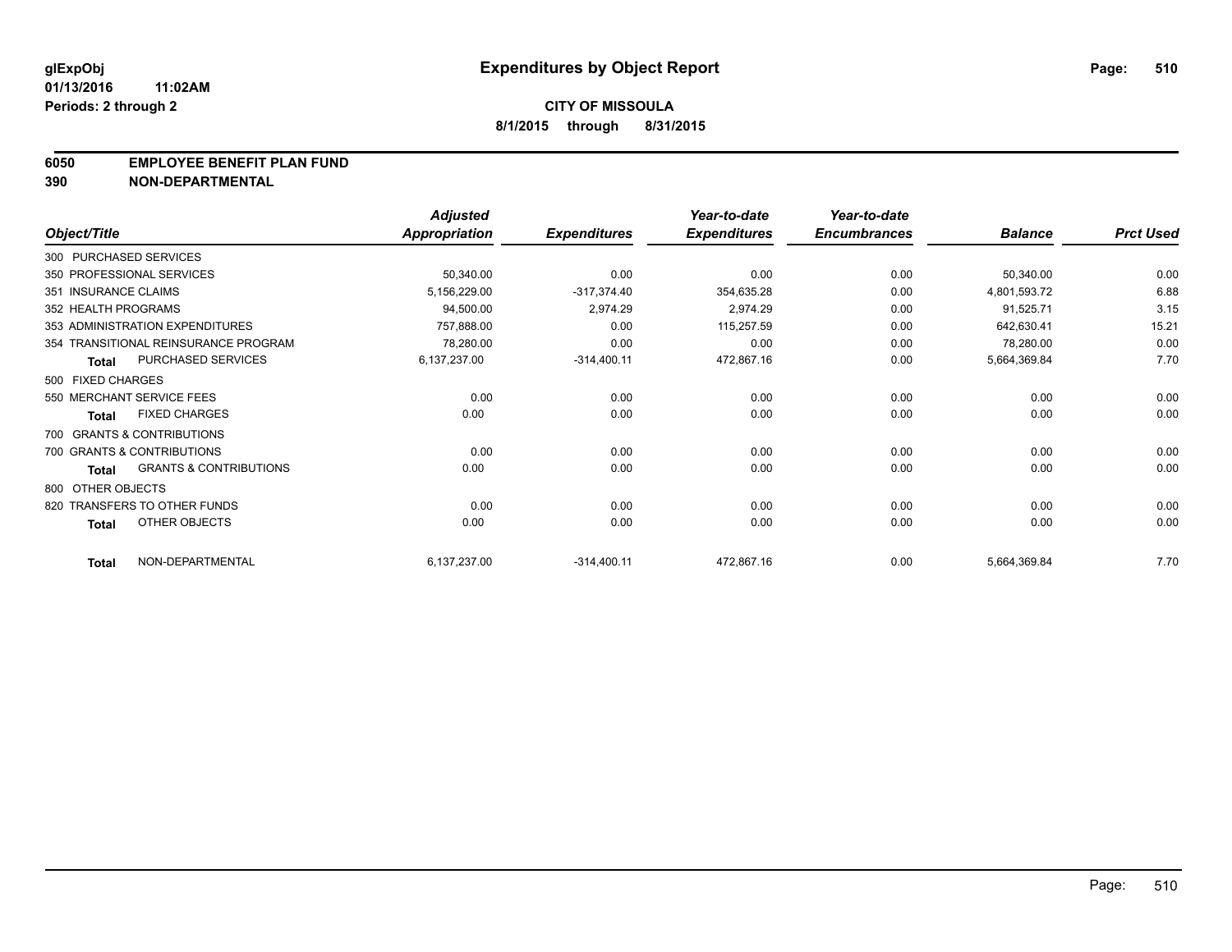#### **6050 EMPLOYEE BENEFIT PLAN FUND**

**390 NON-DEPARTMENTAL**

|                      |                                      | <b>Adjusted</b> |                     | Year-to-date        | Year-to-date        |                |                  |
|----------------------|--------------------------------------|-----------------|---------------------|---------------------|---------------------|----------------|------------------|
| Object/Title         |                                      | Appropriation   | <b>Expenditures</b> | <b>Expenditures</b> | <b>Encumbrances</b> | <b>Balance</b> | <b>Prct Used</b> |
|                      | 300 PURCHASED SERVICES               |                 |                     |                     |                     |                |                  |
|                      | 350 PROFESSIONAL SERVICES            | 50,340.00       | 0.00                | 0.00                | 0.00                | 50,340.00      | 0.00             |
| 351 INSURANCE CLAIMS |                                      | 5,156,229.00    | $-317,374.40$       | 354,635.28          | 0.00                | 4,801,593.72   | 6.88             |
| 352 HEALTH PROGRAMS  |                                      | 94,500.00       | 2,974.29            | 2,974.29            | 0.00                | 91,525.71      | 3.15             |
|                      | 353 ADMINISTRATION EXPENDITURES      | 757,888.00      | 0.00                | 115,257.59          | 0.00                | 642,630.41     | 15.21            |
|                      | 354 TRANSITIONAL REINSURANCE PROGRAM | 78,280.00       | 0.00                | 0.00                | 0.00                | 78,280.00      | 0.00             |
| <b>Total</b>         | <b>PURCHASED SERVICES</b>            | 6,137,237.00    | $-314,400.11$       | 472,867.16          | 0.00                | 5,664,369.84   | 7.70             |
| 500 FIXED CHARGES    |                                      |                 |                     |                     |                     |                |                  |
|                      | 550 MERCHANT SERVICE FEES            | 0.00            | 0.00                | 0.00                | 0.00                | 0.00           | 0.00             |
| <b>Total</b>         | <b>FIXED CHARGES</b>                 | 0.00            | 0.00                | 0.00                | 0.00                | 0.00           | 0.00             |
|                      | 700 GRANTS & CONTRIBUTIONS           |                 |                     |                     |                     |                |                  |
|                      | 700 GRANTS & CONTRIBUTIONS           | 0.00            | 0.00                | 0.00                | 0.00                | 0.00           | 0.00             |
| <b>Total</b>         | <b>GRANTS &amp; CONTRIBUTIONS</b>    | 0.00            | 0.00                | 0.00                | 0.00                | 0.00           | 0.00             |
| 800 OTHER OBJECTS    |                                      |                 |                     |                     |                     |                |                  |
|                      | 820 TRANSFERS TO OTHER FUNDS         | 0.00            | 0.00                | 0.00                | 0.00                | 0.00           | 0.00             |
| <b>Total</b>         | OTHER OBJECTS                        | 0.00            | 0.00                | 0.00                | 0.00                | 0.00           | 0.00             |
| <b>Total</b>         | NON-DEPARTMENTAL                     | 6,137,237.00    | $-314,400.11$       | 472,867.16          | 0.00                | 5,664,369.84   | 7.70             |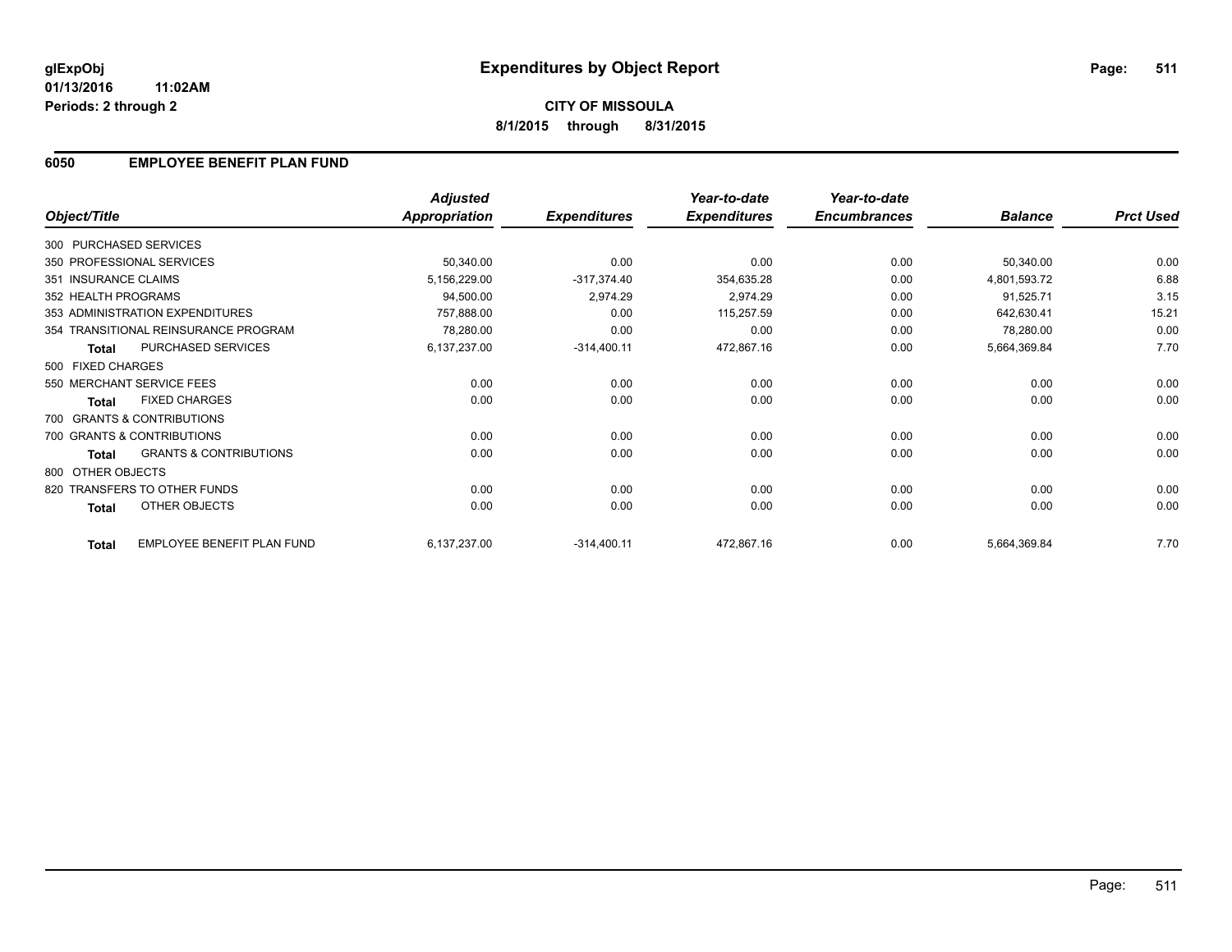## **6050 EMPLOYEE BENEFIT PLAN FUND**

|                      |                                      | <b>Adjusted</b> |                     | Year-to-date        | Year-to-date        |                |                  |
|----------------------|--------------------------------------|-----------------|---------------------|---------------------|---------------------|----------------|------------------|
| Object/Title         |                                      | Appropriation   | <b>Expenditures</b> | <b>Expenditures</b> | <b>Encumbrances</b> | <b>Balance</b> | <b>Prct Used</b> |
|                      | 300 PURCHASED SERVICES               |                 |                     |                     |                     |                |                  |
|                      | 350 PROFESSIONAL SERVICES            | 50,340.00       | 0.00                | 0.00                | 0.00                | 50,340.00      | 0.00             |
| 351 INSURANCE CLAIMS |                                      | 5,156,229.00    | $-317,374.40$       | 354,635.28          | 0.00                | 4,801,593.72   | 6.88             |
| 352 HEALTH PROGRAMS  |                                      | 94,500.00       | 2,974.29            | 2,974.29            | 0.00                | 91,525.71      | 3.15             |
|                      | 353 ADMINISTRATION EXPENDITURES      | 757,888.00      | 0.00                | 115,257.59          | 0.00                | 642,630.41     | 15.21            |
|                      | 354 TRANSITIONAL REINSURANCE PROGRAM | 78,280.00       | 0.00                | 0.00                | 0.00                | 78,280.00      | 0.00             |
| <b>Total</b>         | PURCHASED SERVICES                   | 6,137,237.00    | $-314,400.11$       | 472,867.16          | 0.00                | 5,664,369.84   | 7.70             |
| 500 FIXED CHARGES    |                                      |                 |                     |                     |                     |                |                  |
|                      | 550 MERCHANT SERVICE FEES            | 0.00            | 0.00                | 0.00                | 0.00                | 0.00           | 0.00             |
| <b>Total</b>         | <b>FIXED CHARGES</b>                 | 0.00            | 0.00                | 0.00                | 0.00                | 0.00           | 0.00             |
|                      | 700 GRANTS & CONTRIBUTIONS           |                 |                     |                     |                     |                |                  |
|                      | 700 GRANTS & CONTRIBUTIONS           | 0.00            | 0.00                | 0.00                | 0.00                | 0.00           | 0.00             |
| <b>Total</b>         | <b>GRANTS &amp; CONTRIBUTIONS</b>    | 0.00            | 0.00                | 0.00                | 0.00                | 0.00           | 0.00             |
| 800 OTHER OBJECTS    |                                      |                 |                     |                     |                     |                |                  |
|                      | 820 TRANSFERS TO OTHER FUNDS         | 0.00            | 0.00                | 0.00                | 0.00                | 0.00           | 0.00             |
| <b>Total</b>         | OTHER OBJECTS                        | 0.00            | 0.00                | 0.00                | 0.00                | 0.00           | 0.00             |
| <b>Total</b>         | EMPLOYEE BENEFIT PLAN FUND           | 6,137,237.00    | $-314,400.11$       | 472,867.16          | 0.00                | 5,664,369.84   | 7.70             |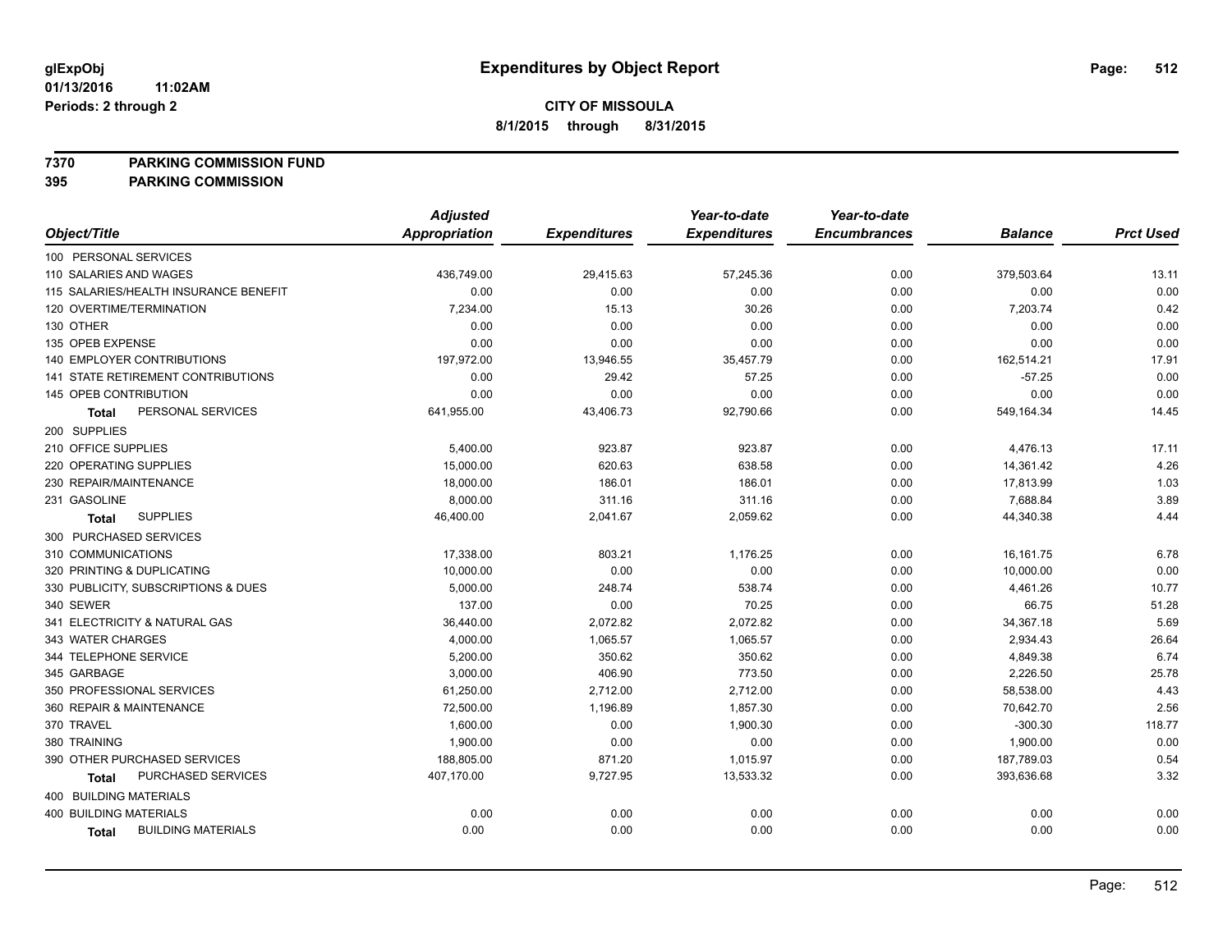**7370 PARKING COMMISSION FUND**

|                                       | <b>Adjusted</b> |                     | Year-to-date        | Year-to-date        |                |                  |
|---------------------------------------|-----------------|---------------------|---------------------|---------------------|----------------|------------------|
| Object/Title                          | Appropriation   | <b>Expenditures</b> | <b>Expenditures</b> | <b>Encumbrances</b> | <b>Balance</b> | <b>Prct Used</b> |
| 100 PERSONAL SERVICES                 |                 |                     |                     |                     |                |                  |
| 110 SALARIES AND WAGES                | 436,749.00      | 29,415.63           | 57,245.36           | 0.00                | 379,503.64     | 13.11            |
| 115 SALARIES/HEALTH INSURANCE BENEFIT | 0.00            | 0.00                | 0.00                | 0.00                | 0.00           | 0.00             |
| 120 OVERTIME/TERMINATION              | 7,234.00        | 15.13               | 30.26               | 0.00                | 7,203.74       | 0.42             |
| 130 OTHER                             | 0.00            | 0.00                | 0.00                | 0.00                | 0.00           | 0.00             |
| 135 OPEB EXPENSE                      | 0.00            | 0.00                | 0.00                | 0.00                | 0.00           | 0.00             |
| 140 EMPLOYER CONTRIBUTIONS            | 197,972.00      | 13,946.55           | 35,457.79           | 0.00                | 162,514.21     | 17.91            |
| 141 STATE RETIREMENT CONTRIBUTIONS    | 0.00            | 29.42               | 57.25               | 0.00                | $-57.25$       | 0.00             |
| 145 OPEB CONTRIBUTION                 | 0.00            | 0.00                | 0.00                | 0.00                | 0.00           | 0.00             |
| PERSONAL SERVICES<br>Total            | 641,955.00      | 43,406.73           | 92,790.66           | 0.00                | 549,164.34     | 14.45            |
| 200 SUPPLIES                          |                 |                     |                     |                     |                |                  |
| 210 OFFICE SUPPLIES                   | 5,400.00        | 923.87              | 923.87              | 0.00                | 4,476.13       | 17.11            |
| 220 OPERATING SUPPLIES                | 15,000.00       | 620.63              | 638.58              | 0.00                | 14,361.42      | 4.26             |
| 230 REPAIR/MAINTENANCE                | 18,000.00       | 186.01              | 186.01              | 0.00                | 17,813.99      | 1.03             |
| 231 GASOLINE                          | 8,000.00        | 311.16              | 311.16              | 0.00                | 7,688.84       | 3.89             |
| <b>SUPPLIES</b><br><b>Total</b>       | 46,400.00       | 2,041.67            | 2,059.62            | 0.00                | 44,340.38      | 4.44             |
| 300 PURCHASED SERVICES                |                 |                     |                     |                     |                |                  |
| 310 COMMUNICATIONS                    | 17,338.00       | 803.21              | 1,176.25            | 0.00                | 16, 161. 75    | 6.78             |
| 320 PRINTING & DUPLICATING            | 10,000.00       | 0.00                | 0.00                | 0.00                | 10,000.00      | 0.00             |
| 330 PUBLICITY, SUBSCRIPTIONS & DUES   | 5,000.00        | 248.74              | 538.74              | 0.00                | 4,461.26       | 10.77            |
| 340 SEWER                             | 137.00          | 0.00                | 70.25               | 0.00                | 66.75          | 51.28            |
| 341 ELECTRICITY & NATURAL GAS         | 36,440.00       | 2,072.82            | 2,072.82            | 0.00                | 34,367.18      | 5.69             |
| 343 WATER CHARGES                     | 4,000.00        | 1,065.57            | 1,065.57            | 0.00                | 2,934.43       | 26.64            |
| 344 TELEPHONE SERVICE                 | 5,200.00        | 350.62              | 350.62              | 0.00                | 4,849.38       | 6.74             |
| 345 GARBAGE                           | 3,000.00        | 406.90              | 773.50              | 0.00                | 2,226.50       | 25.78            |
| 350 PROFESSIONAL SERVICES             | 61,250.00       | 2,712.00            | 2,712.00            | 0.00                | 58,538.00      | 4.43             |
| 360 REPAIR & MAINTENANCE              | 72,500.00       | 1,196.89            | 1,857.30            | 0.00                | 70,642.70      | 2.56             |
| 370 TRAVEL                            | 1,600.00        | 0.00                | 1,900.30            | 0.00                | $-300.30$      | 118.77           |
| 380 TRAINING                          | 1,900.00        | 0.00                | 0.00                | 0.00                | 1,900.00       | 0.00             |
| 390 OTHER PURCHASED SERVICES          | 188,805.00      | 871.20              | 1,015.97            | 0.00                | 187,789.03     | 0.54             |
| PURCHASED SERVICES<br><b>Total</b>    | 407,170.00      | 9,727.95            | 13,533.32           | 0.00                | 393,636.68     | 3.32             |
| 400 BUILDING MATERIALS                |                 |                     |                     |                     |                |                  |
| <b>400 BUILDING MATERIALS</b>         | 0.00            | 0.00                | 0.00                | 0.00                | 0.00           | 0.00             |
| <b>BUILDING MATERIALS</b><br>Total    | 0.00            | 0.00                | 0.00                | 0.00                | 0.00           | 0.00             |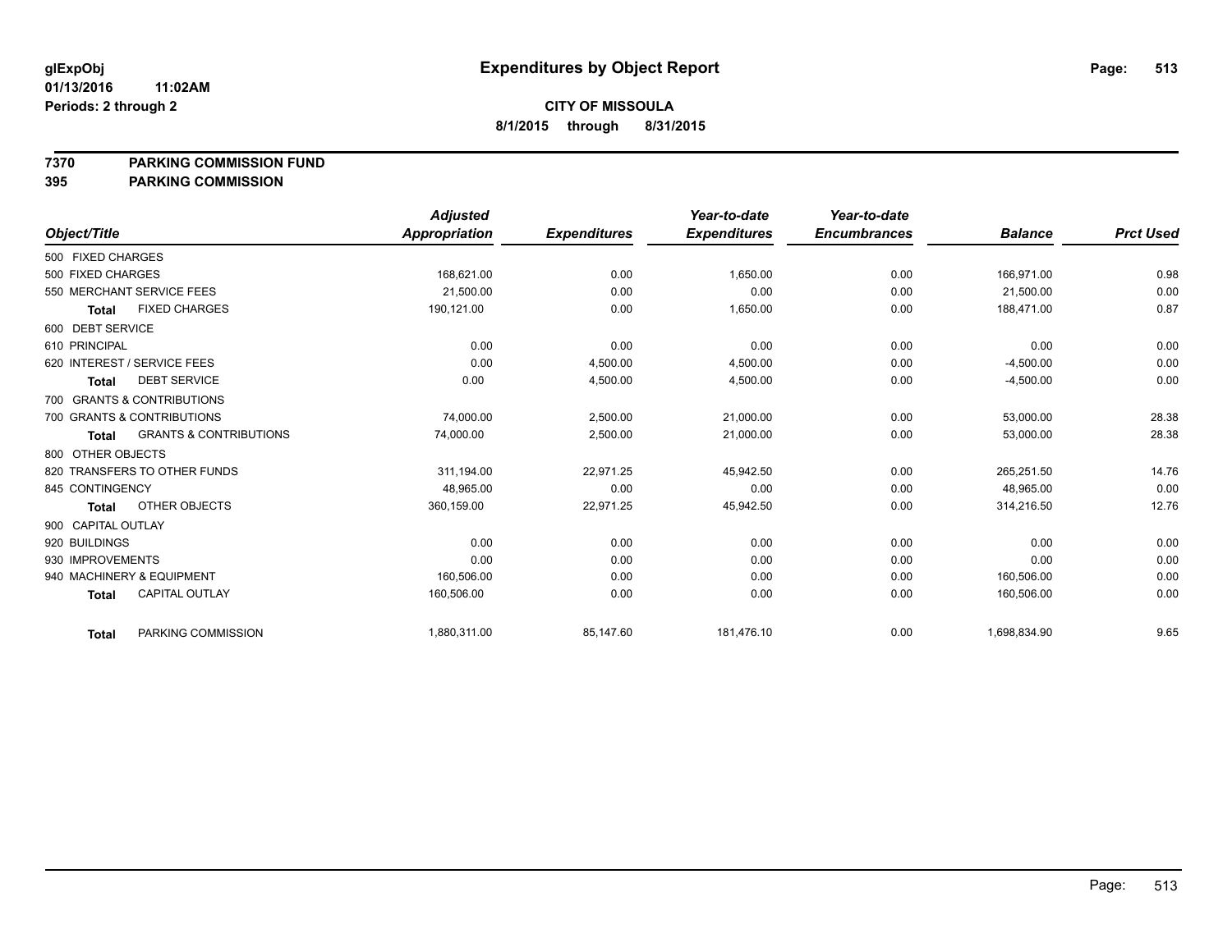#### **7370 PARKING COMMISSION FUND**

|                             |                                   | <b>Adjusted</b>      |                     | Year-to-date        | Year-to-date        |                |                  |
|-----------------------------|-----------------------------------|----------------------|---------------------|---------------------|---------------------|----------------|------------------|
| Object/Title                |                                   | <b>Appropriation</b> | <b>Expenditures</b> | <b>Expenditures</b> | <b>Encumbrances</b> | <b>Balance</b> | <b>Prct Used</b> |
| 500 FIXED CHARGES           |                                   |                      |                     |                     |                     |                |                  |
| 500 FIXED CHARGES           |                                   | 168,621.00           | 0.00                | 1,650.00            | 0.00                | 166,971.00     | 0.98             |
| 550 MERCHANT SERVICE FEES   |                                   | 21,500.00            | 0.00                | 0.00                | 0.00                | 21,500.00      | 0.00             |
| <b>Total</b>                | <b>FIXED CHARGES</b>              | 190,121.00           | 0.00                | 1,650.00            | 0.00                | 188,471.00     | 0.87             |
| 600 DEBT SERVICE            |                                   |                      |                     |                     |                     |                |                  |
| 610 PRINCIPAL               |                                   | 0.00                 | 0.00                | 0.00                | 0.00                | 0.00           | 0.00             |
| 620 INTEREST / SERVICE FEES |                                   | 0.00                 | 4,500.00            | 4,500.00            | 0.00                | $-4,500.00$    | 0.00             |
| <b>Total</b>                | <b>DEBT SERVICE</b>               | 0.00                 | 4,500.00            | 4,500.00            | 0.00                | $-4,500.00$    | 0.00             |
| 700 GRANTS & CONTRIBUTIONS  |                                   |                      |                     |                     |                     |                |                  |
| 700 GRANTS & CONTRIBUTIONS  |                                   | 74,000.00            | 2,500.00            | 21,000.00           | 0.00                | 53,000.00      | 28.38            |
| <b>Total</b>                | <b>GRANTS &amp; CONTRIBUTIONS</b> | 74,000.00            | 2,500.00            | 21,000.00           | 0.00                | 53,000.00      | 28.38            |
| 800 OTHER OBJECTS           |                                   |                      |                     |                     |                     |                |                  |
|                             | 820 TRANSFERS TO OTHER FUNDS      | 311,194.00           | 22,971.25           | 45,942.50           | 0.00                | 265,251.50     | 14.76            |
| 845 CONTINGENCY             |                                   | 48.965.00            | 0.00                | 0.00                | 0.00                | 48.965.00      | 0.00             |
| <b>Total</b>                | OTHER OBJECTS                     | 360,159.00           | 22,971.25           | 45,942.50           | 0.00                | 314,216.50     | 12.76            |
| 900 CAPITAL OUTLAY          |                                   |                      |                     |                     |                     |                |                  |
| 920 BUILDINGS               |                                   | 0.00                 | 0.00                | 0.00                | 0.00                | 0.00           | 0.00             |
| 930 IMPROVEMENTS            |                                   | 0.00                 | 0.00                | 0.00                | 0.00                | 0.00           | 0.00             |
| 940 MACHINERY & EQUIPMENT   |                                   | 160,506.00           | 0.00                | 0.00                | 0.00                | 160,506.00     | 0.00             |
| <b>Total</b>                | <b>CAPITAL OUTLAY</b>             | 160,506.00           | 0.00                | 0.00                | 0.00                | 160,506.00     | 0.00             |
| <b>Total</b>                | PARKING COMMISSION                | 1,880,311.00         | 85,147.60           | 181,476.10          | 0.00                | 1,698,834.90   | 9.65             |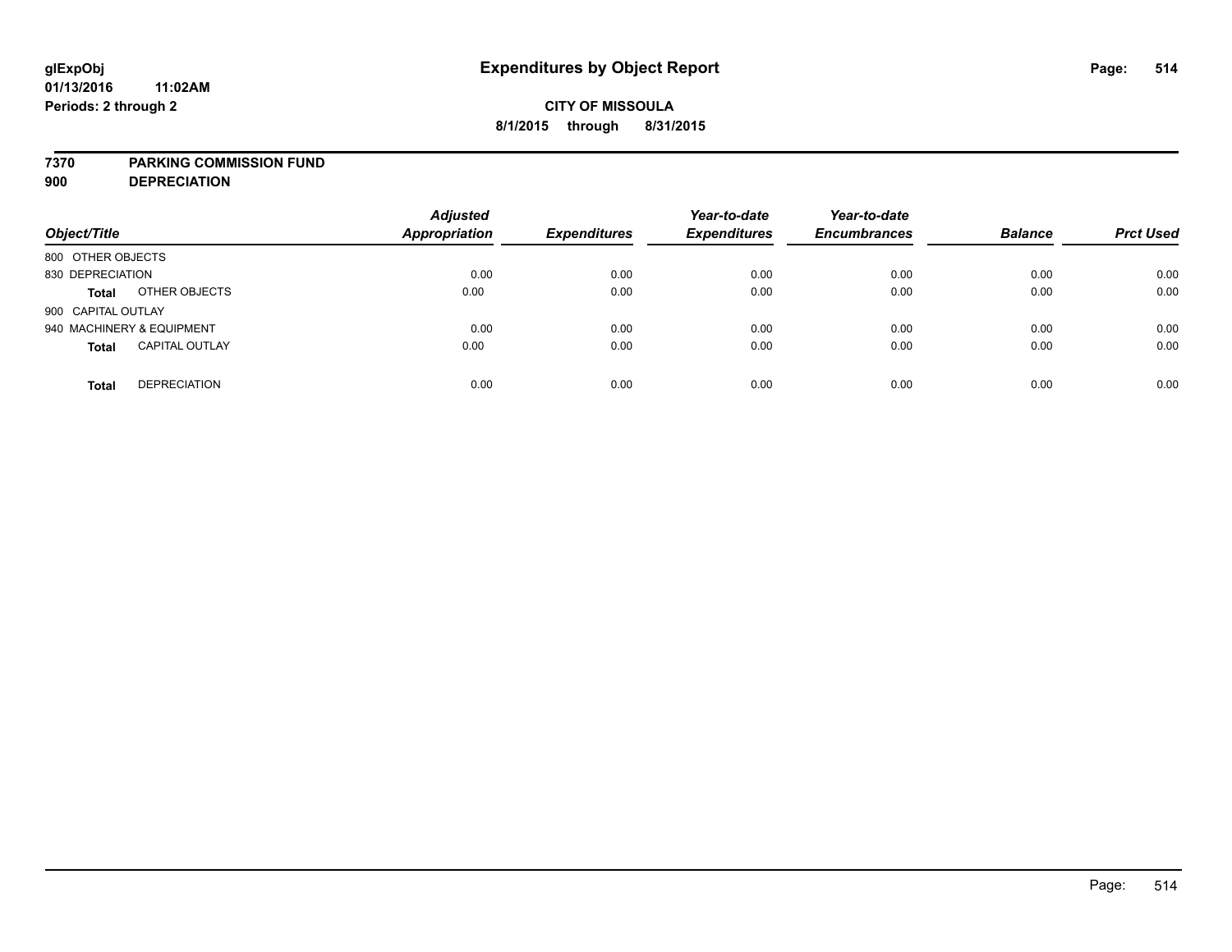#### **7370 PARKING COMMISSION FUND**

**900 DEPRECIATION**

| Object/Title                          | <b>Adjusted</b><br>Appropriation | <b>Expenditures</b> | Year-to-date<br><b>Expenditures</b> | Year-to-date<br><b>Encumbrances</b> | <b>Balance</b> | <b>Prct Used</b> |
|---------------------------------------|----------------------------------|---------------------|-------------------------------------|-------------------------------------|----------------|------------------|
| 800 OTHER OBJECTS                     |                                  |                     |                                     |                                     |                |                  |
| 830 DEPRECIATION                      | 0.00                             | 0.00                | 0.00                                | 0.00                                | 0.00           | 0.00             |
| OTHER OBJECTS<br><b>Total</b>         | 0.00                             | 0.00                | 0.00                                | 0.00                                | 0.00           | 0.00             |
| 900 CAPITAL OUTLAY                    |                                  |                     |                                     |                                     |                |                  |
| 940 MACHINERY & EQUIPMENT             | 0.00                             | 0.00                | 0.00                                | 0.00                                | 0.00           | 0.00             |
| <b>CAPITAL OUTLAY</b><br><b>Total</b> | 0.00                             | 0.00                | 0.00                                | 0.00                                | 0.00           | 0.00             |
| <b>DEPRECIATION</b><br><b>Total</b>   | 0.00                             | 0.00                | 0.00                                | 0.00                                | 0.00           | 0.00             |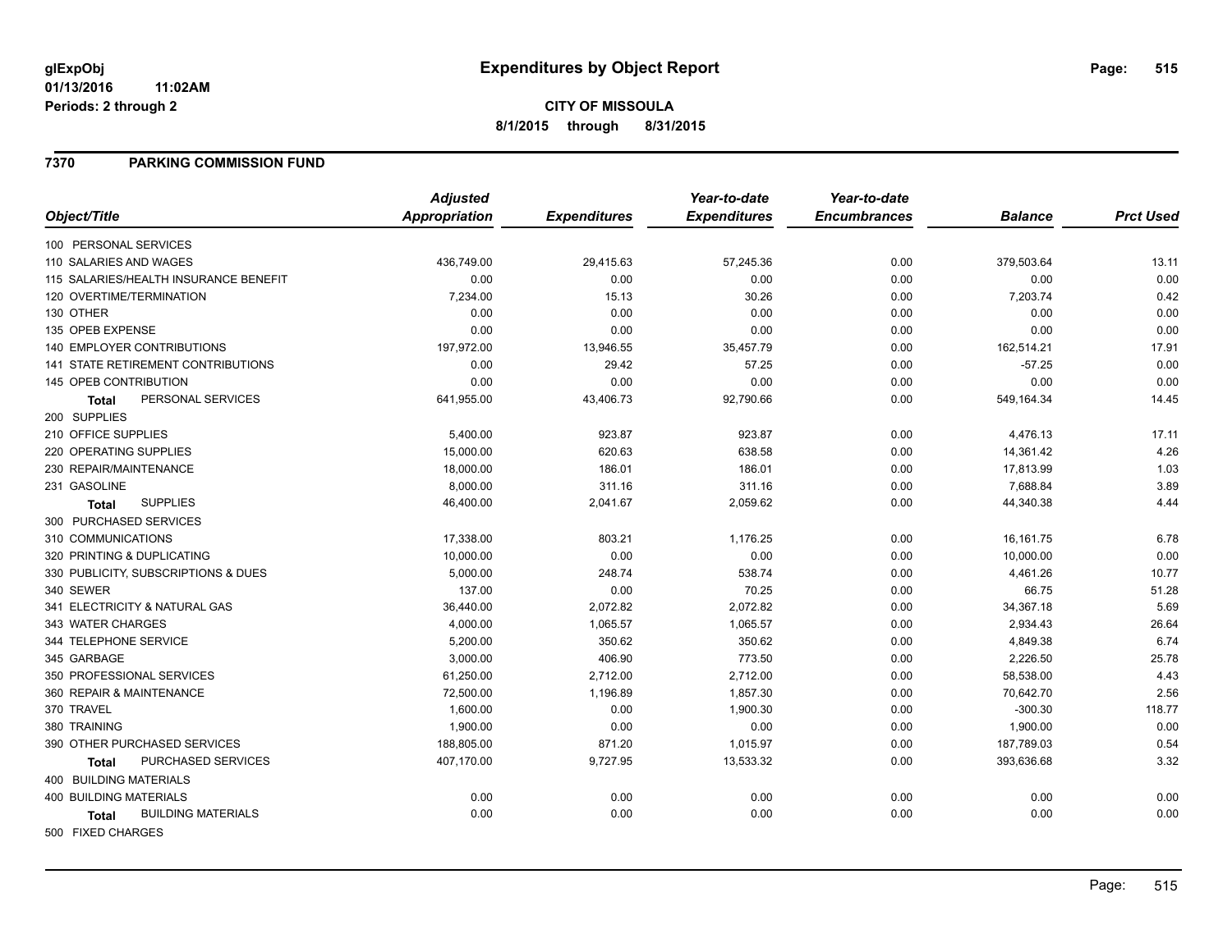# **CITY OF MISSOULA 8/1/2015 through 8/31/2015**

#### **7370 PARKING COMMISSION FUND**

|                                           | <b>Adjusted</b>      |                     | Year-to-date        | Year-to-date        |                |                  |
|-------------------------------------------|----------------------|---------------------|---------------------|---------------------|----------------|------------------|
| Object/Title                              | <b>Appropriation</b> | <b>Expenditures</b> | <b>Expenditures</b> | <b>Encumbrances</b> | <b>Balance</b> | <b>Prct Used</b> |
| 100 PERSONAL SERVICES                     |                      |                     |                     |                     |                |                  |
| 110 SALARIES AND WAGES                    | 436,749.00           | 29,415.63           | 57,245.36           | 0.00                | 379,503.64     | 13.11            |
| 115 SALARIES/HEALTH INSURANCE BENEFIT     | 0.00                 | 0.00                | 0.00                | 0.00                | 0.00           | 0.00             |
| 120 OVERTIME/TERMINATION                  | 7,234.00             | 15.13               | 30.26               | 0.00                | 7,203.74       | 0.42             |
| 130 OTHER                                 | 0.00                 | 0.00                | 0.00                | 0.00                | 0.00           | 0.00             |
| 135 OPEB EXPENSE                          | 0.00                 | 0.00                | 0.00                | 0.00                | 0.00           | 0.00             |
| <b>140 EMPLOYER CONTRIBUTIONS</b>         | 197,972.00           | 13,946.55           | 35,457.79           | 0.00                | 162,514.21     | 17.91            |
| <b>141 STATE RETIREMENT CONTRIBUTIONS</b> | 0.00                 | 29.42               | 57.25               | 0.00                | $-57.25$       | 0.00             |
| <b>145 OPEB CONTRIBUTION</b>              | 0.00                 | 0.00                | 0.00                | 0.00                | 0.00           | 0.00             |
| PERSONAL SERVICES<br><b>Total</b>         | 641,955.00           | 43,406.73           | 92,790.66           | 0.00                | 549,164.34     | 14.45            |
| 200 SUPPLIES                              |                      |                     |                     |                     |                |                  |
| 210 OFFICE SUPPLIES                       | 5,400.00             | 923.87              | 923.87              | 0.00                | 4,476.13       | 17.11            |
| 220 OPERATING SUPPLIES                    | 15,000.00            | 620.63              | 638.58              | 0.00                | 14,361.42      | 4.26             |
| 230 REPAIR/MAINTENANCE                    | 18,000.00            | 186.01              | 186.01              | 0.00                | 17,813.99      | 1.03             |
| 231 GASOLINE                              | 8,000.00             | 311.16              | 311.16              | 0.00                | 7,688.84       | 3.89             |
| <b>SUPPLIES</b><br><b>Total</b>           | 46,400.00            | 2,041.67            | 2,059.62            | 0.00                | 44,340.38      | 4.44             |
| 300 PURCHASED SERVICES                    |                      |                     |                     |                     |                |                  |
| 310 COMMUNICATIONS                        | 17,338.00            | 803.21              | 1,176.25            | 0.00                | 16,161.75      | 6.78             |
| 320 PRINTING & DUPLICATING                | 10,000.00            | 0.00                | 0.00                | 0.00                | 10,000.00      | 0.00             |
| 330 PUBLICITY, SUBSCRIPTIONS & DUES       | 5,000.00             | 248.74              | 538.74              | 0.00                | 4,461.26       | 10.77            |
| 340 SEWER                                 | 137.00               | 0.00                | 70.25               | 0.00                | 66.75          | 51.28            |
| 341 ELECTRICITY & NATURAL GAS             | 36,440.00            | 2,072.82            | 2,072.82            | 0.00                | 34,367.18      | 5.69             |
| 343 WATER CHARGES                         | 4,000.00             | 1,065.57            | 1,065.57            | 0.00                | 2,934.43       | 26.64            |
| 344 TELEPHONE SERVICE                     | 5,200.00             | 350.62              | 350.62              | 0.00                | 4,849.38       | 6.74             |
| 345 GARBAGE                               | 3,000.00             | 406.90              | 773.50              | 0.00                | 2,226.50       | 25.78            |
| 350 PROFESSIONAL SERVICES                 | 61,250.00            | 2,712.00            | 2,712.00            | 0.00                | 58,538.00      | 4.43             |
| 360 REPAIR & MAINTENANCE                  | 72,500.00            | 1,196.89            | 1,857.30            | 0.00                | 70,642.70      | 2.56             |
| 370 TRAVEL                                | 1,600.00             | 0.00                | 1,900.30            | 0.00                | $-300.30$      | 118.77           |
| 380 TRAINING                              | 1,900.00             | 0.00                | 0.00                | 0.00                | 1,900.00       | 0.00             |
| 390 OTHER PURCHASED SERVICES              | 188,805.00           | 871.20              | 1,015.97            | 0.00                | 187,789.03     | 0.54             |
| PURCHASED SERVICES<br><b>Total</b>        | 407,170.00           | 9,727.95            | 13,533.32           | 0.00                | 393,636.68     | 3.32             |
| 400 BUILDING MATERIALS                    |                      |                     |                     |                     |                |                  |
| <b>400 BUILDING MATERIALS</b>             | 0.00                 | 0.00                | 0.00                | 0.00                | 0.00           | 0.00             |
| <b>BUILDING MATERIALS</b><br><b>Total</b> | 0.00                 | 0.00                | 0.00                | 0.00                | 0.00           | 0.00             |
| 500 FIXED CHARGES                         |                      |                     |                     |                     |                |                  |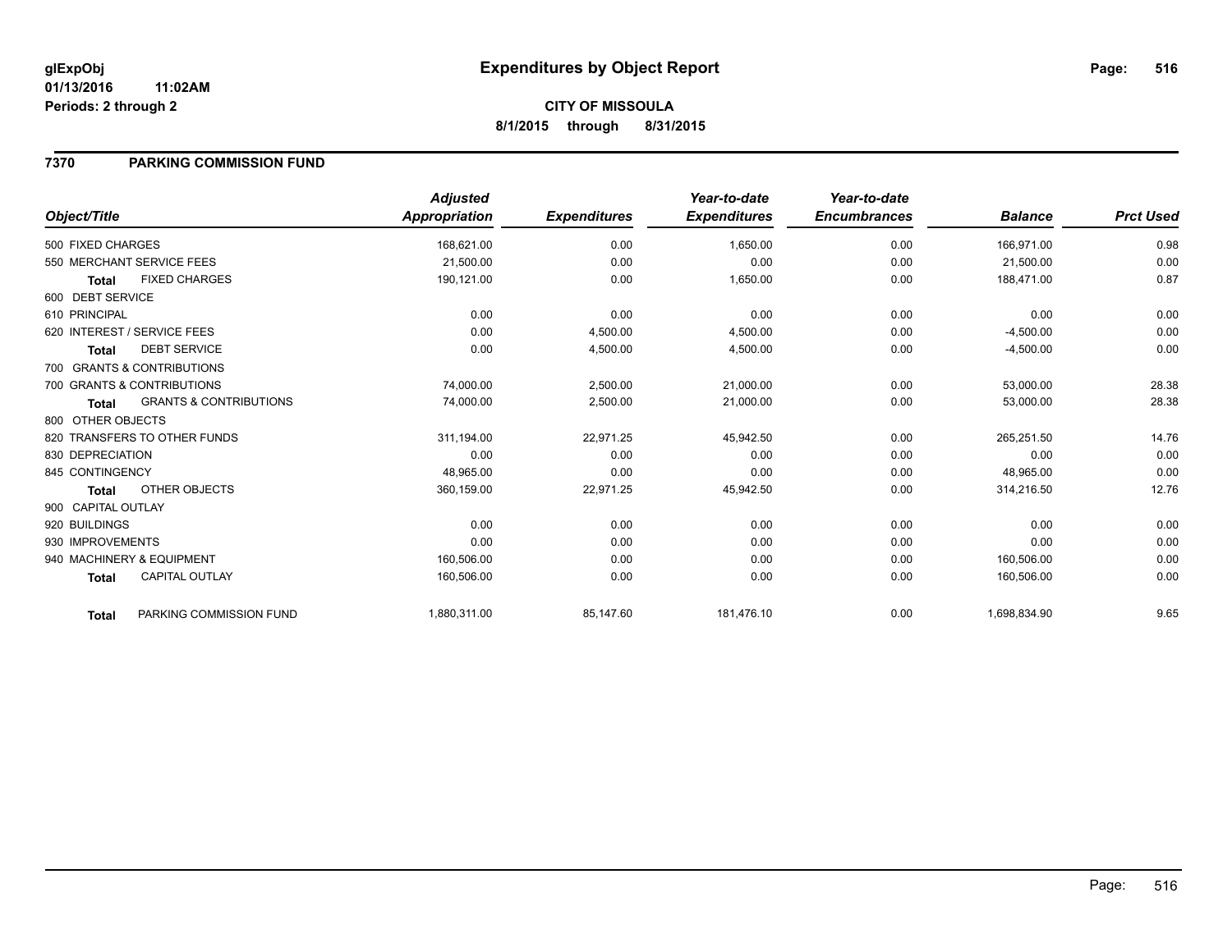**8/1/2015 through 8/31/2015**

### **7370 PARKING COMMISSION FUND**

|                    |                                   | <b>Adjusted</b> |                     | Year-to-date        | Year-to-date        |                |                  |
|--------------------|-----------------------------------|-----------------|---------------------|---------------------|---------------------|----------------|------------------|
| Object/Title       |                                   | Appropriation   | <b>Expenditures</b> | <b>Expenditures</b> | <b>Encumbrances</b> | <b>Balance</b> | <b>Prct Used</b> |
| 500 FIXED CHARGES  |                                   | 168,621.00      | 0.00                | 1,650.00            | 0.00                | 166,971.00     | 0.98             |
|                    | 550 MERCHANT SERVICE FEES         | 21,500.00       | 0.00                | 0.00                | 0.00                | 21,500.00      | 0.00             |
| <b>Total</b>       | <b>FIXED CHARGES</b>              | 190,121.00      | 0.00                | 1,650.00            | 0.00                | 188,471.00     | 0.87             |
| 600 DEBT SERVICE   |                                   |                 |                     |                     |                     |                |                  |
| 610 PRINCIPAL      |                                   | 0.00            | 0.00                | 0.00                | 0.00                | 0.00           | 0.00             |
|                    | 620 INTEREST / SERVICE FEES       | 0.00            | 4,500.00            | 4,500.00            | 0.00                | $-4,500.00$    | 0.00             |
| Total              | <b>DEBT SERVICE</b>               | 0.00            | 4,500.00            | 4,500.00            | 0.00                | $-4,500.00$    | 0.00             |
|                    | 700 GRANTS & CONTRIBUTIONS        |                 |                     |                     |                     |                |                  |
|                    | 700 GRANTS & CONTRIBUTIONS        | 74,000.00       | 2,500.00            | 21,000.00           | 0.00                | 53,000.00      | 28.38            |
| <b>Total</b>       | <b>GRANTS &amp; CONTRIBUTIONS</b> | 74,000.00       | 2,500.00            | 21,000.00           | 0.00                | 53,000.00      | 28.38            |
| 800 OTHER OBJECTS  |                                   |                 |                     |                     |                     |                |                  |
|                    | 820 TRANSFERS TO OTHER FUNDS      | 311,194.00      | 22,971.25           | 45,942.50           | 0.00                | 265,251.50     | 14.76            |
| 830 DEPRECIATION   |                                   | 0.00            | 0.00                | 0.00                | 0.00                | 0.00           | 0.00             |
| 845 CONTINGENCY    |                                   | 48,965.00       | 0.00                | 0.00                | 0.00                | 48,965.00      | 0.00             |
| <b>Total</b>       | OTHER OBJECTS                     | 360,159.00      | 22,971.25           | 45,942.50           | 0.00                | 314,216.50     | 12.76            |
| 900 CAPITAL OUTLAY |                                   |                 |                     |                     |                     |                |                  |
| 920 BUILDINGS      |                                   | 0.00            | 0.00                | 0.00                | 0.00                | 0.00           | 0.00             |
| 930 IMPROVEMENTS   |                                   | 0.00            | 0.00                | 0.00                | 0.00                | 0.00           | 0.00             |
|                    | 940 MACHINERY & EQUIPMENT         | 160,506.00      | 0.00                | 0.00                | 0.00                | 160,506.00     | 0.00             |
| <b>Total</b>       | <b>CAPITAL OUTLAY</b>             | 160,506.00      | 0.00                | 0.00                | 0.00                | 160,506.00     | 0.00             |
| <b>Total</b>       | PARKING COMMISSION FUND           | 1,880,311.00    | 85,147.60           | 181,476.10          | 0.00                | 1,698,834.90   | 9.65             |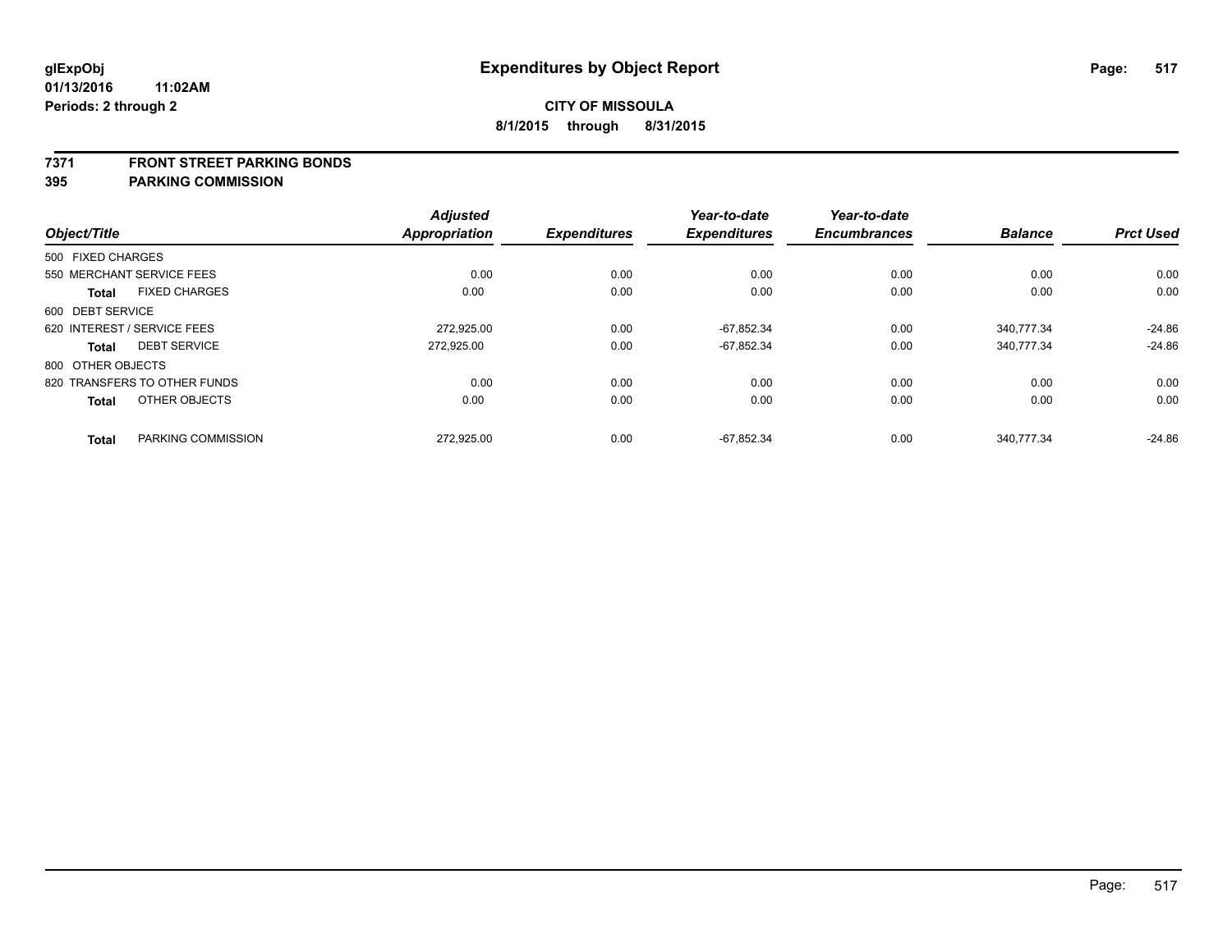#### **7371 FRONT STREET PARKING BONDS**

|                   |                              | <b>Adjusted</b> |                     | Year-to-date        | Year-to-date        |                |                  |
|-------------------|------------------------------|-----------------|---------------------|---------------------|---------------------|----------------|------------------|
| Object/Title      |                              | Appropriation   | <b>Expenditures</b> | <b>Expenditures</b> | <b>Encumbrances</b> | <b>Balance</b> | <b>Prct Used</b> |
| 500 FIXED CHARGES |                              |                 |                     |                     |                     |                |                  |
|                   | 550 MERCHANT SERVICE FEES    | 0.00            | 0.00                | 0.00                | 0.00                | 0.00           | 0.00             |
| <b>Total</b>      | <b>FIXED CHARGES</b>         | 0.00            | 0.00                | 0.00                | 0.00                | 0.00           | 0.00             |
| 600 DEBT SERVICE  |                              |                 |                     |                     |                     |                |                  |
|                   | 620 INTEREST / SERVICE FEES  | 272.925.00      | 0.00                | $-67.852.34$        | 0.00                | 340.777.34     | $-24.86$         |
| <b>Total</b>      | <b>DEBT SERVICE</b>          | 272.925.00      | 0.00                | $-67,852.34$        | 0.00                | 340,777.34     | $-24.86$         |
| 800 OTHER OBJECTS |                              |                 |                     |                     |                     |                |                  |
|                   | 820 TRANSFERS TO OTHER FUNDS | 0.00            | 0.00                | 0.00                | 0.00                | 0.00           | 0.00             |
| <b>Total</b>      | OTHER OBJECTS                | 0.00            | 0.00                | 0.00                | 0.00                | 0.00           | 0.00             |
| <b>Total</b>      | PARKING COMMISSION           | 272,925.00      | 0.00                | $-67,852.34$        | 0.00                | 340,777.34     | $-24.86$         |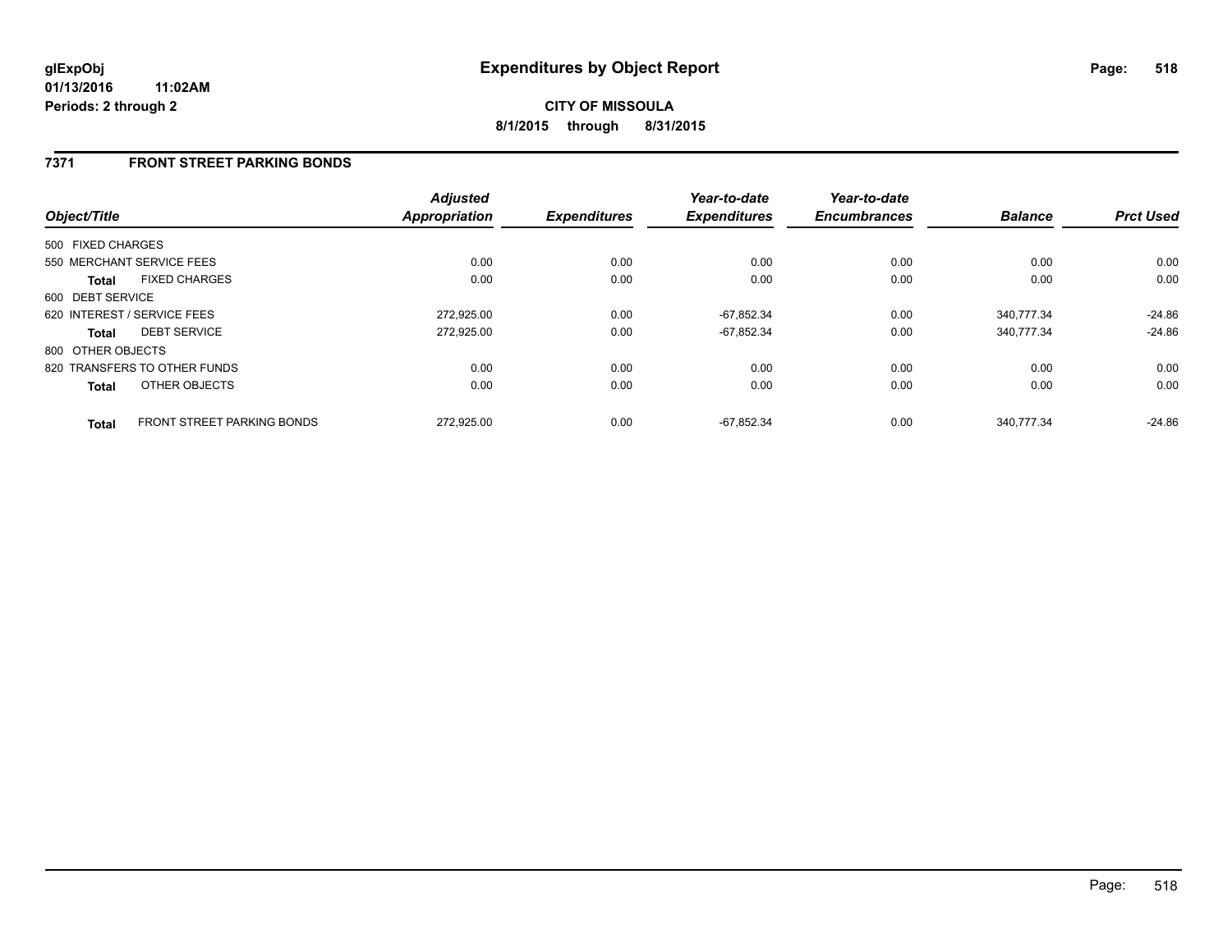### **7371 FRONT STREET PARKING BONDS**

| Object/Title      |                                   | <b>Adjusted</b><br><b>Appropriation</b> | <b>Expenditures</b> | Year-to-date<br><b>Expenditures</b> | Year-to-date<br><b>Encumbrances</b> | <b>Balance</b> | <b>Prct Used</b> |
|-------------------|-----------------------------------|-----------------------------------------|---------------------|-------------------------------------|-------------------------------------|----------------|------------------|
| 500 FIXED CHARGES |                                   |                                         |                     |                                     |                                     |                |                  |
|                   | 550 MERCHANT SERVICE FEES         | 0.00                                    | 0.00                | 0.00                                | 0.00                                | 0.00           | 0.00             |
| <b>Total</b>      | <b>FIXED CHARGES</b>              | 0.00                                    | 0.00                | 0.00                                | 0.00                                | 0.00           | 0.00             |
| 600 DEBT SERVICE  |                                   |                                         |                     |                                     |                                     |                |                  |
|                   | 620 INTEREST / SERVICE FEES       | 272,925.00                              | 0.00                | $-67,852.34$                        | 0.00                                | 340,777.34     | $-24.86$         |
| <b>Total</b>      | <b>DEBT SERVICE</b>               | 272,925.00                              | 0.00                | $-67,852.34$                        | 0.00                                | 340,777.34     | $-24.86$         |
| 800 OTHER OBJECTS |                                   |                                         |                     |                                     |                                     |                |                  |
|                   | 820 TRANSFERS TO OTHER FUNDS      | 0.00                                    | 0.00                | 0.00                                | 0.00                                | 0.00           | 0.00             |
| <b>Total</b>      | OTHER OBJECTS                     | 0.00                                    | 0.00                | 0.00                                | 0.00                                | 0.00           | 0.00             |
| <b>Total</b>      | <b>FRONT STREET PARKING BONDS</b> | 272.925.00                              | 0.00                | $-67.852.34$                        | 0.00                                | 340.777.34     | $-24.86$         |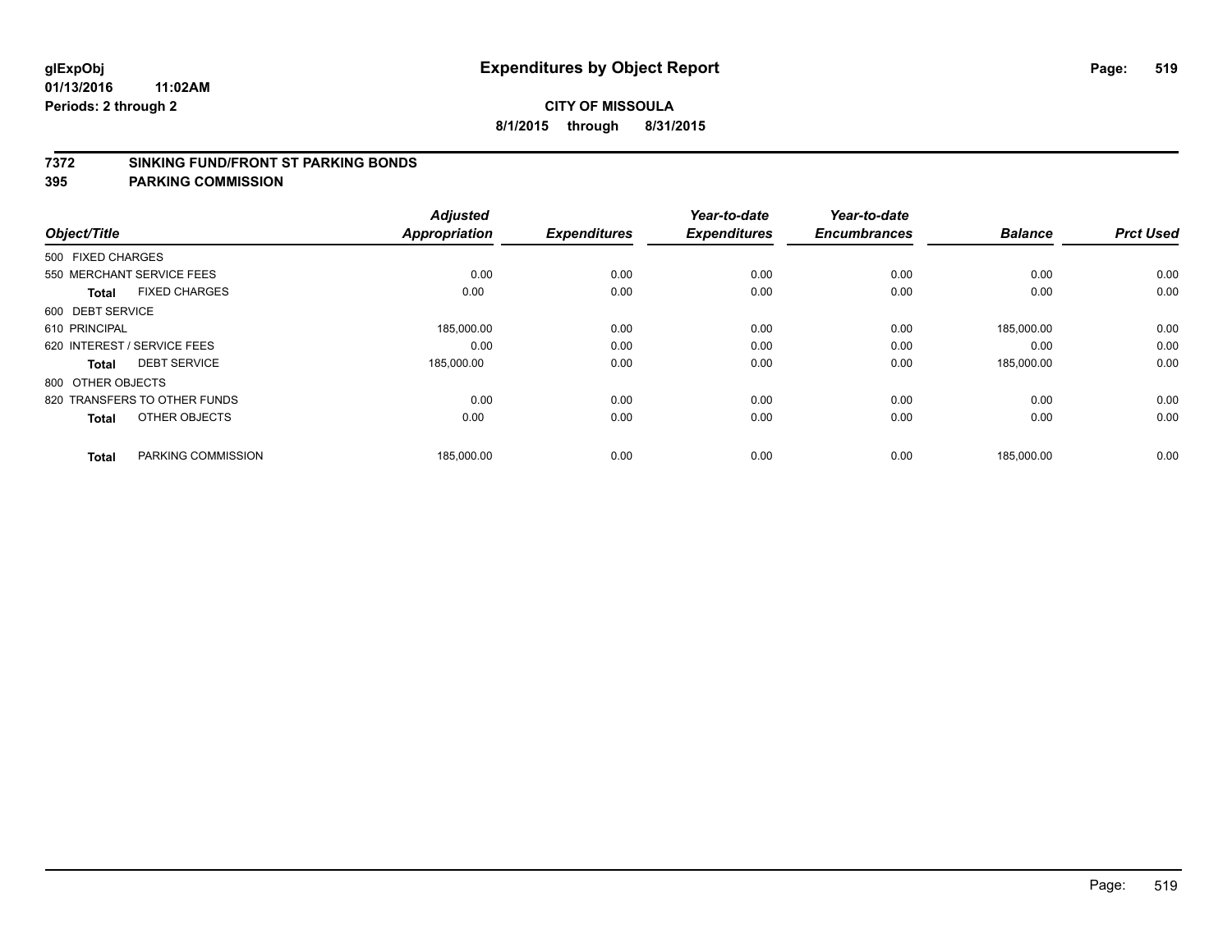#### **7372 SINKING FUND/FRONT ST PARKING BONDS**

| Object/Title                 |                      | <b>Adjusted</b><br><b>Appropriation</b> | <b>Expenditures</b> | Year-to-date<br><b>Expenditures</b> | Year-to-date<br><b>Encumbrances</b> | <b>Balance</b> | <b>Prct Used</b> |
|------------------------------|----------------------|-----------------------------------------|---------------------|-------------------------------------|-------------------------------------|----------------|------------------|
| 500 FIXED CHARGES            |                      |                                         |                     |                                     |                                     |                |                  |
| 550 MERCHANT SERVICE FEES    |                      | 0.00                                    | 0.00                | 0.00                                | 0.00                                | 0.00           | 0.00             |
| <b>Total</b>                 | <b>FIXED CHARGES</b> | 0.00                                    | 0.00                | 0.00                                | 0.00                                | 0.00           | 0.00             |
| 600 DEBT SERVICE             |                      |                                         |                     |                                     |                                     |                |                  |
| 610 PRINCIPAL                |                      | 185,000.00                              | 0.00                | 0.00                                | 0.00                                | 185,000.00     | 0.00             |
| 620 INTEREST / SERVICE FEES  |                      | 0.00                                    | 0.00                | 0.00                                | 0.00                                | 0.00           | 0.00             |
| <b>Total</b>                 | <b>DEBT SERVICE</b>  | 185,000.00                              | 0.00                | 0.00                                | 0.00                                | 185,000.00     | 0.00             |
| 800 OTHER OBJECTS            |                      |                                         |                     |                                     |                                     |                |                  |
| 820 TRANSFERS TO OTHER FUNDS |                      | 0.00                                    | 0.00                | 0.00                                | 0.00                                | 0.00           | 0.00             |
| <b>Total</b>                 | OTHER OBJECTS        | 0.00                                    | 0.00                | 0.00                                | 0.00                                | 0.00           | 0.00             |
|                              |                      |                                         |                     |                                     |                                     |                |                  |
| <b>Total</b>                 | PARKING COMMISSION   | 185,000.00                              | 0.00                | 0.00                                | 0.00                                | 185,000.00     | 0.00             |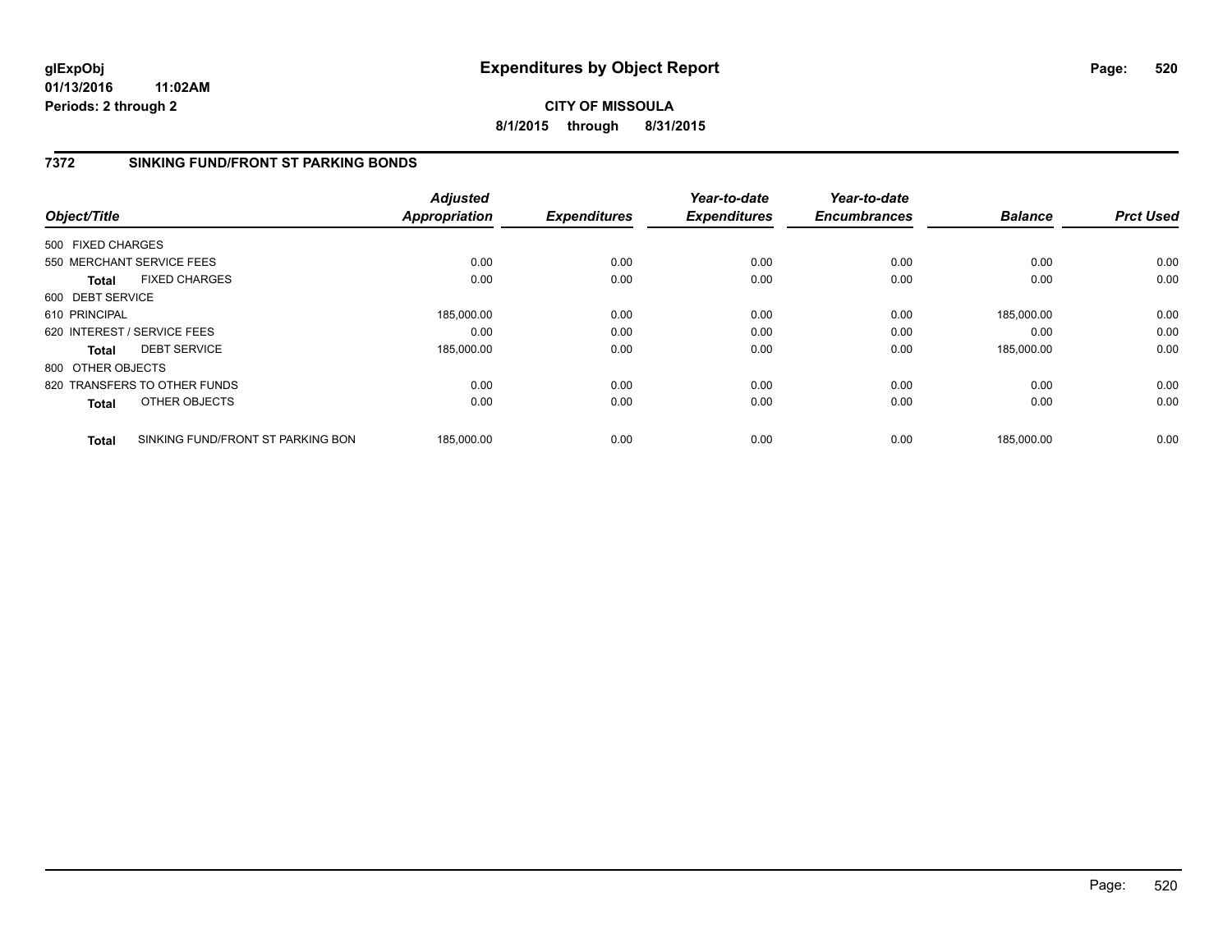## **CITY OF MISSOULA 8/1/2015 through 8/31/2015**

## **7372 SINKING FUND/FRONT ST PARKING BONDS**

| Object/Title                                      | <b>Adjusted</b><br>Appropriation | <b>Expenditures</b> | Year-to-date<br><b>Expenditures</b> | Year-to-date<br><b>Encumbrances</b> | <b>Balance</b> | <b>Prct Used</b> |
|---------------------------------------------------|----------------------------------|---------------------|-------------------------------------|-------------------------------------|----------------|------------------|
| 500 FIXED CHARGES                                 |                                  |                     |                                     |                                     |                |                  |
| 550 MERCHANT SERVICE FEES                         | 0.00                             | 0.00                | 0.00                                | 0.00                                | 0.00           | 0.00             |
| <b>FIXED CHARGES</b><br><b>Total</b>              | 0.00                             | 0.00                | 0.00                                | 0.00                                | 0.00           | 0.00             |
| 600 DEBT SERVICE                                  |                                  |                     |                                     |                                     |                |                  |
| 610 PRINCIPAL                                     | 185,000.00                       | 0.00                | 0.00                                | 0.00                                | 185,000.00     | 0.00             |
| 620 INTEREST / SERVICE FEES                       | 0.00                             | 0.00                | 0.00                                | 0.00                                | 0.00           | 0.00             |
| <b>DEBT SERVICE</b><br><b>Total</b>               | 185,000.00                       | 0.00                | 0.00                                | 0.00                                | 185.000.00     | 0.00             |
| 800 OTHER OBJECTS                                 |                                  |                     |                                     |                                     |                |                  |
| 820 TRANSFERS TO OTHER FUNDS                      | 0.00                             | 0.00                | 0.00                                | 0.00                                | 0.00           | 0.00             |
| OTHER OBJECTS<br><b>Total</b>                     | 0.00                             | 0.00                | 0.00                                | 0.00                                | 0.00           | 0.00             |
| SINKING FUND/FRONT ST PARKING BON<br><b>Total</b> | 185,000.00                       | 0.00                | 0.00                                | 0.00                                | 185,000.00     | 0.00             |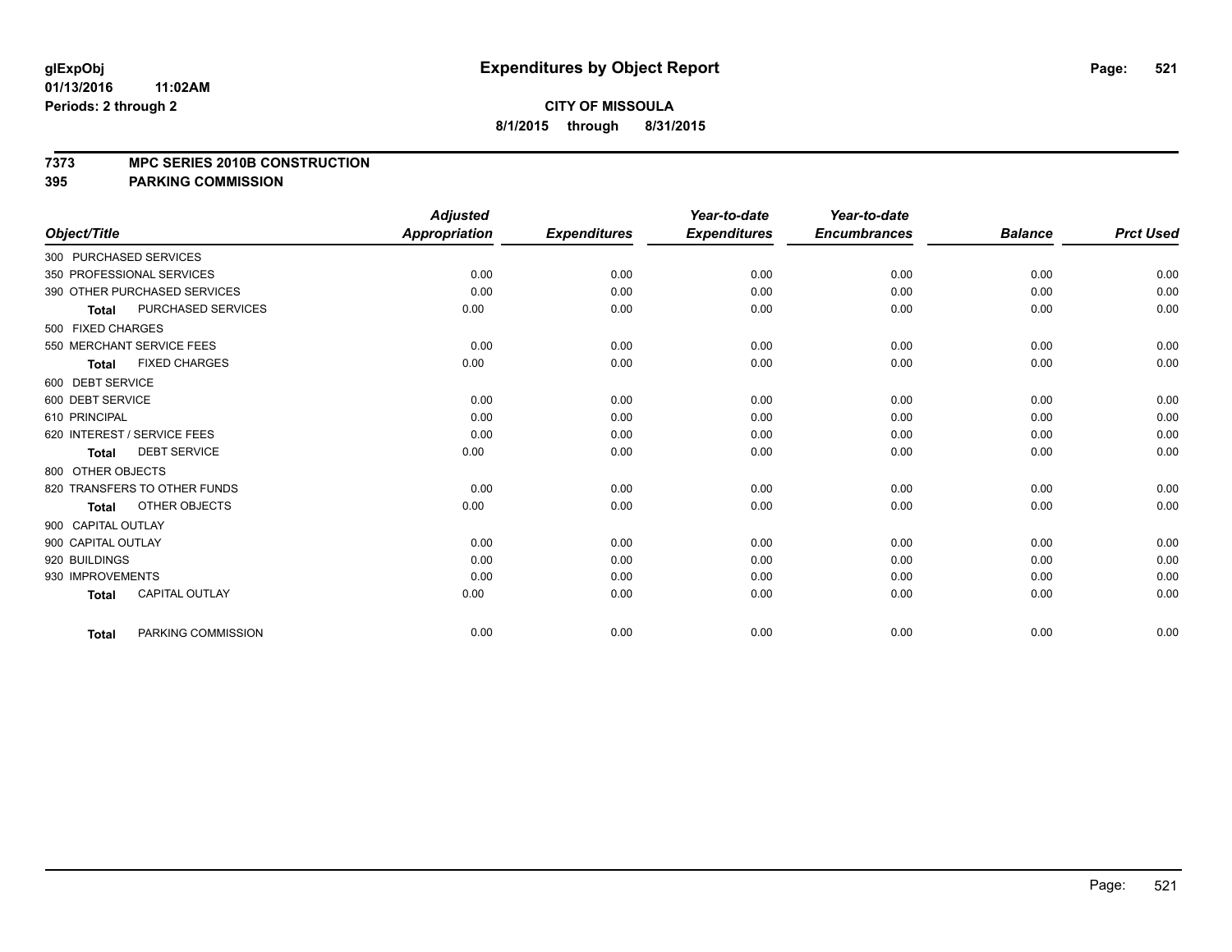#### **7373 MPC SERIES 2010B CONSTRUCTION**

|                              |                           | <b>Adjusted</b>      |                     | Year-to-date        | Year-to-date        |                |                  |
|------------------------------|---------------------------|----------------------|---------------------|---------------------|---------------------|----------------|------------------|
| Object/Title                 |                           | <b>Appropriation</b> | <b>Expenditures</b> | <b>Expenditures</b> | <b>Encumbrances</b> | <b>Balance</b> | <b>Prct Used</b> |
| 300 PURCHASED SERVICES       |                           |                      |                     |                     |                     |                |                  |
| 350 PROFESSIONAL SERVICES    |                           | 0.00                 | 0.00                | 0.00                | 0.00                | 0.00           | 0.00             |
| 390 OTHER PURCHASED SERVICES |                           | 0.00                 | 0.00                | 0.00                | 0.00                | 0.00           | 0.00             |
| <b>Total</b>                 | <b>PURCHASED SERVICES</b> | 0.00                 | 0.00                | 0.00                | 0.00                | 0.00           | 0.00             |
| 500 FIXED CHARGES            |                           |                      |                     |                     |                     |                |                  |
| 550 MERCHANT SERVICE FEES    |                           | 0.00                 | 0.00                | 0.00                | 0.00                | 0.00           | 0.00             |
| <b>Total</b>                 | <b>FIXED CHARGES</b>      | 0.00                 | 0.00                | 0.00                | 0.00                | 0.00           | 0.00             |
| 600 DEBT SERVICE             |                           |                      |                     |                     |                     |                |                  |
| 600 DEBT SERVICE             |                           | 0.00                 | 0.00                | 0.00                | 0.00                | 0.00           | 0.00             |
| 610 PRINCIPAL                |                           | 0.00                 | 0.00                | 0.00                | 0.00                | 0.00           | 0.00             |
| 620 INTEREST / SERVICE FEES  |                           | 0.00                 | 0.00                | 0.00                | 0.00                | 0.00           | 0.00             |
| <b>Total</b>                 | <b>DEBT SERVICE</b>       | 0.00                 | 0.00                | 0.00                | 0.00                | 0.00           | 0.00             |
| 800 OTHER OBJECTS            |                           |                      |                     |                     |                     |                |                  |
| 820 TRANSFERS TO OTHER FUNDS |                           | 0.00                 | 0.00                | 0.00                | 0.00                | 0.00           | 0.00             |
| <b>Total</b>                 | OTHER OBJECTS             | 0.00                 | 0.00                | 0.00                | 0.00                | 0.00           | 0.00             |
| 900 CAPITAL OUTLAY           |                           |                      |                     |                     |                     |                |                  |
| 900 CAPITAL OUTLAY           |                           | 0.00                 | 0.00                | 0.00                | 0.00                | 0.00           | 0.00             |
| 920 BUILDINGS                |                           | 0.00                 | 0.00                | 0.00                | 0.00                | 0.00           | 0.00             |
| 930 IMPROVEMENTS             |                           | 0.00                 | 0.00                | 0.00                | 0.00                | 0.00           | 0.00             |
| <b>Total</b>                 | <b>CAPITAL OUTLAY</b>     | 0.00                 | 0.00                | 0.00                | 0.00                | 0.00           | 0.00             |
| <b>Total</b>                 | PARKING COMMISSION        | 0.00                 | 0.00                | 0.00                | 0.00                | 0.00           | 0.00             |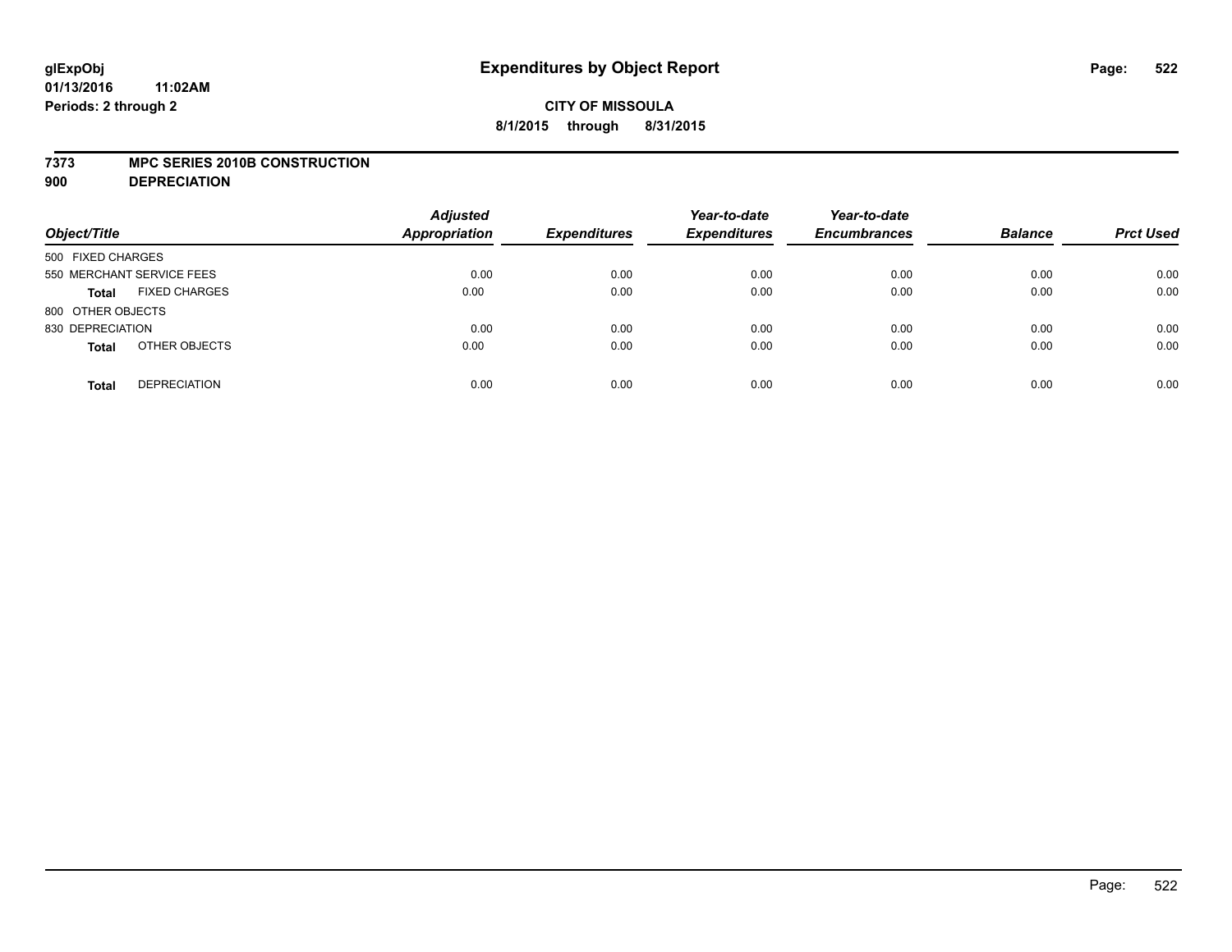#### **7373 MPC SERIES 2010B CONSTRUCTION**

**900 DEPRECIATION**

| Object/Title                         | <b>Adjusted</b><br>Appropriation | <b>Expenditures</b> | Year-to-date<br><b>Expenditures</b> | Year-to-date<br><b>Encumbrances</b> | <b>Balance</b> | <b>Prct Used</b> |
|--------------------------------------|----------------------------------|---------------------|-------------------------------------|-------------------------------------|----------------|------------------|
| 500 FIXED CHARGES                    |                                  |                     |                                     |                                     |                |                  |
| 550 MERCHANT SERVICE FEES            | 0.00                             | 0.00                | 0.00                                | 0.00                                | 0.00           | 0.00             |
| <b>FIXED CHARGES</b><br><b>Total</b> | 0.00                             | 0.00                | 0.00                                | 0.00                                | 0.00           | 0.00             |
| 800 OTHER OBJECTS                    |                                  |                     |                                     |                                     |                |                  |
| 830 DEPRECIATION                     | 0.00                             | 0.00                | 0.00                                | 0.00                                | 0.00           | 0.00             |
| OTHER OBJECTS<br><b>Total</b>        | 0.00                             | 0.00                | 0.00                                | 0.00                                | 0.00           | 0.00             |
| <b>DEPRECIATION</b><br><b>Total</b>  | 0.00                             | 0.00                | 0.00                                | 0.00                                | 0.00           | 0.00             |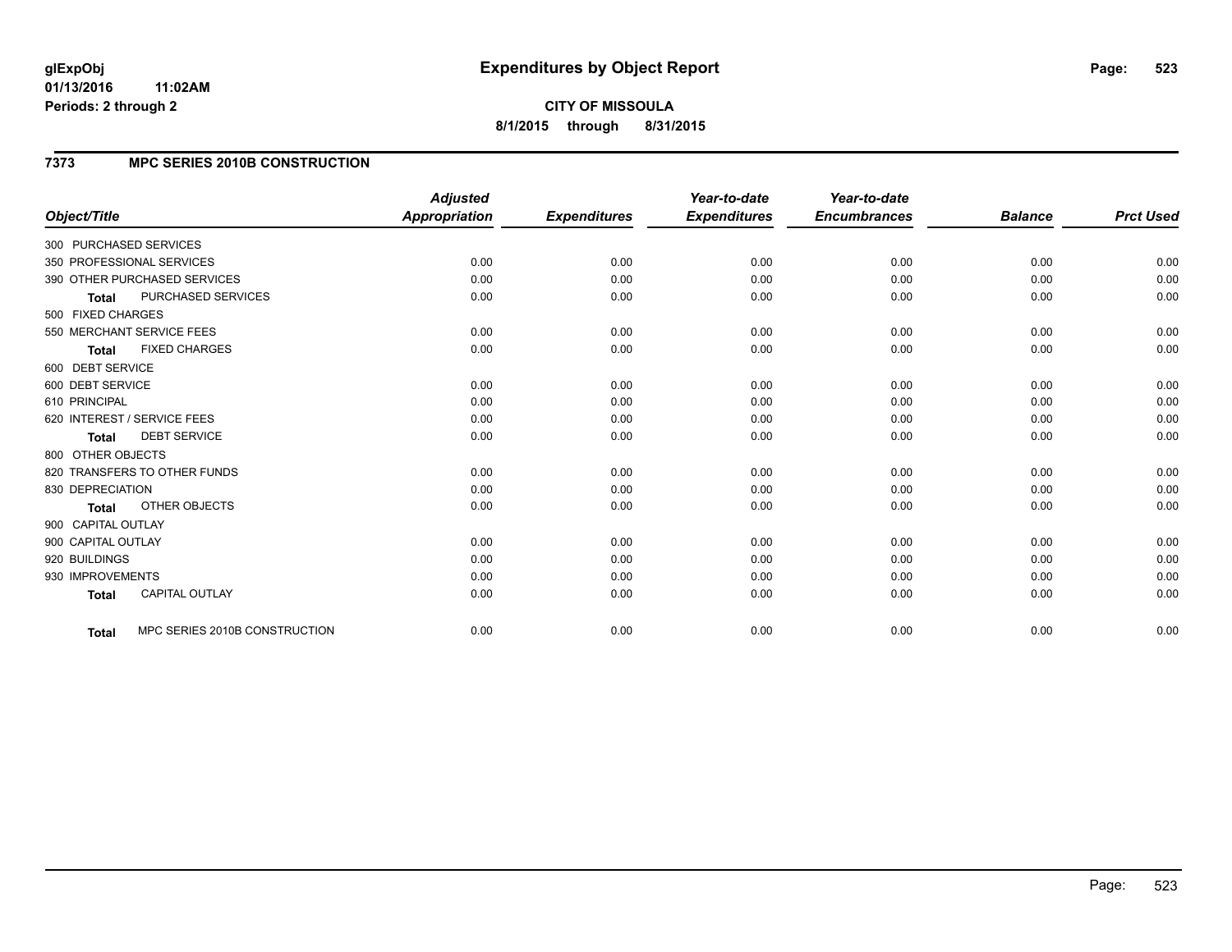**CITY OF MISSOULA 8/1/2015 through 8/31/2015**

## **7373 MPC SERIES 2010B CONSTRUCTION**

|                                      |                               | <b>Adjusted</b>      |                     | Year-to-date        | Year-to-date        |                |                  |
|--------------------------------------|-------------------------------|----------------------|---------------------|---------------------|---------------------|----------------|------------------|
| Object/Title                         |                               | <b>Appropriation</b> | <b>Expenditures</b> | <b>Expenditures</b> | <b>Encumbrances</b> | <b>Balance</b> | <b>Prct Used</b> |
| 300 PURCHASED SERVICES               |                               |                      |                     |                     |                     |                |                  |
| 350 PROFESSIONAL SERVICES            |                               | 0.00                 | 0.00                | 0.00                | 0.00                | 0.00           | 0.00             |
| 390 OTHER PURCHASED SERVICES         |                               | 0.00                 | 0.00                | 0.00                | 0.00                | 0.00           | 0.00             |
| PURCHASED SERVICES<br><b>Total</b>   |                               | 0.00                 | 0.00                | 0.00                | 0.00                | 0.00           | 0.00             |
| 500 FIXED CHARGES                    |                               |                      |                     |                     |                     |                |                  |
| 550 MERCHANT SERVICE FEES            |                               | 0.00                 | 0.00                | 0.00                | 0.00                | 0.00           | 0.00             |
| <b>FIXED CHARGES</b><br><b>Total</b> |                               | 0.00                 | 0.00                | 0.00                | 0.00                | 0.00           | 0.00             |
| 600 DEBT SERVICE                     |                               |                      |                     |                     |                     |                |                  |
| 600 DEBT SERVICE                     |                               | 0.00                 | 0.00                | 0.00                | 0.00                | 0.00           | 0.00             |
| 610 PRINCIPAL                        |                               | 0.00                 | 0.00                | 0.00                | 0.00                | 0.00           | 0.00             |
| 620 INTEREST / SERVICE FEES          |                               | 0.00                 | 0.00                | 0.00                | 0.00                | 0.00           | 0.00             |
| <b>DEBT SERVICE</b><br><b>Total</b>  |                               | 0.00                 | 0.00                | 0.00                | 0.00                | 0.00           | 0.00             |
| 800 OTHER OBJECTS                    |                               |                      |                     |                     |                     |                |                  |
| 820 TRANSFERS TO OTHER FUNDS         |                               | 0.00                 | 0.00                | 0.00                | 0.00                | 0.00           | 0.00             |
| 830 DEPRECIATION                     |                               | 0.00                 | 0.00                | 0.00                | 0.00                | 0.00           | 0.00             |
| OTHER OBJECTS<br><b>Total</b>        |                               | 0.00                 | 0.00                | 0.00                | 0.00                | 0.00           | 0.00             |
| 900 CAPITAL OUTLAY                   |                               |                      |                     |                     |                     |                |                  |
| 900 CAPITAL OUTLAY                   |                               | 0.00                 | 0.00                | 0.00                | 0.00                | 0.00           | 0.00             |
| 920 BUILDINGS                        |                               | 0.00                 | 0.00                | 0.00                | 0.00                | 0.00           | 0.00             |
| 930 IMPROVEMENTS                     |                               | 0.00                 | 0.00                | 0.00                | 0.00                | 0.00           | 0.00             |
| CAPITAL OUTLAY<br><b>Total</b>       |                               | 0.00                 | 0.00                | 0.00                | 0.00                | 0.00           | 0.00             |
|                                      |                               |                      |                     |                     |                     |                | 0.00             |
| Total                                | MPC SERIES 2010B CONSTRUCTION | 0.00                 | 0.00                | 0.00                | 0.00                | 0.00           |                  |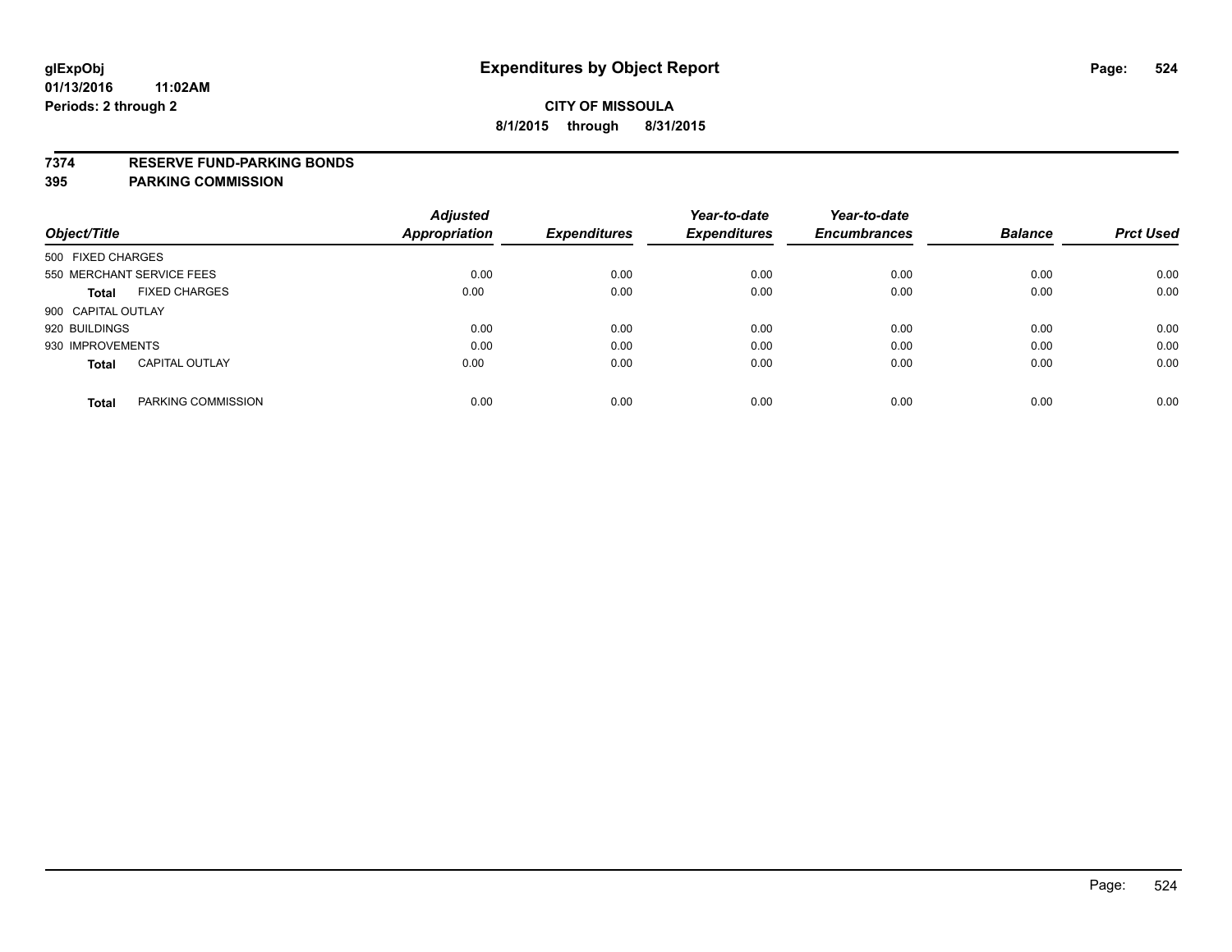#### **7374 RESERVE FUND-PARKING BONDS**

|                                       | <b>Adjusted</b>      |                     | Year-to-date        | Year-to-date        |                |                  |
|---------------------------------------|----------------------|---------------------|---------------------|---------------------|----------------|------------------|
| Object/Title                          | <b>Appropriation</b> | <b>Expenditures</b> | <b>Expenditures</b> | <b>Encumbrances</b> | <b>Balance</b> | <b>Prct Used</b> |
| 500 FIXED CHARGES                     |                      |                     |                     |                     |                |                  |
| 550 MERCHANT SERVICE FEES             | 0.00                 | 0.00                | 0.00                | 0.00                | 0.00           | 0.00             |
| <b>FIXED CHARGES</b><br><b>Total</b>  | 0.00                 | 0.00                | 0.00                | 0.00                | 0.00           | 0.00             |
| 900 CAPITAL OUTLAY                    |                      |                     |                     |                     |                |                  |
| 920 BUILDINGS                         | 0.00                 | 0.00                | 0.00                | 0.00                | 0.00           | 0.00             |
| 930 IMPROVEMENTS                      | 0.00                 | 0.00                | 0.00                | 0.00                | 0.00           | 0.00             |
| <b>CAPITAL OUTLAY</b><br><b>Total</b> | 0.00                 | 0.00                | 0.00                | 0.00                | 0.00           | 0.00             |
| PARKING COMMISSION<br><b>Total</b>    | 0.00                 | 0.00                | 0.00                | 0.00                | 0.00           | 0.00             |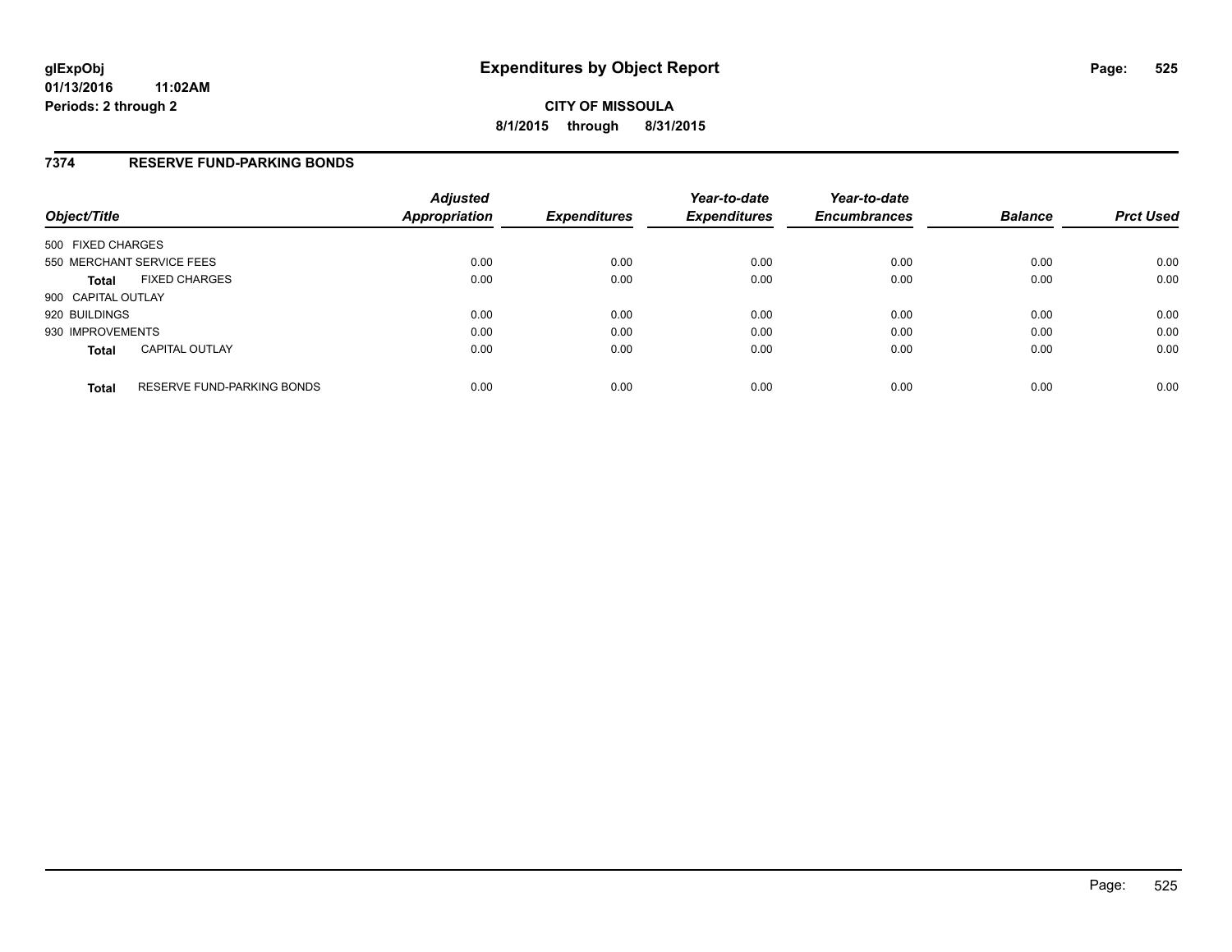### **7374 RESERVE FUND-PARKING BONDS**

| Object/Title       |                                   | <b>Adjusted</b><br><b>Appropriation</b> | <b>Expenditures</b> | Year-to-date<br><b>Expenditures</b> | Year-to-date<br><b>Encumbrances</b> | <b>Balance</b> | <b>Prct Used</b> |
|--------------------|-----------------------------------|-----------------------------------------|---------------------|-------------------------------------|-------------------------------------|----------------|------------------|
| 500 FIXED CHARGES  |                                   |                                         |                     |                                     |                                     |                |                  |
|                    | 550 MERCHANT SERVICE FEES         | 0.00                                    | 0.00                | 0.00                                | 0.00                                | 0.00           | 0.00             |
| <b>Total</b>       | <b>FIXED CHARGES</b>              | 0.00                                    | 0.00                | 0.00                                | 0.00                                | 0.00           | 0.00             |
| 900 CAPITAL OUTLAY |                                   |                                         |                     |                                     |                                     |                |                  |
| 920 BUILDINGS      |                                   | 0.00                                    | 0.00                | 0.00                                | 0.00                                | 0.00           | 0.00             |
| 930 IMPROVEMENTS   |                                   | 0.00                                    | 0.00                | 0.00                                | 0.00                                | 0.00           | 0.00             |
| <b>Total</b>       | <b>CAPITAL OUTLAY</b>             | 0.00                                    | 0.00                | 0.00                                | 0.00                                | 0.00           | 0.00             |
| <b>Total</b>       | <b>RESERVE FUND-PARKING BONDS</b> | 0.00                                    | 0.00                | 0.00                                | 0.00                                | 0.00           | 0.00             |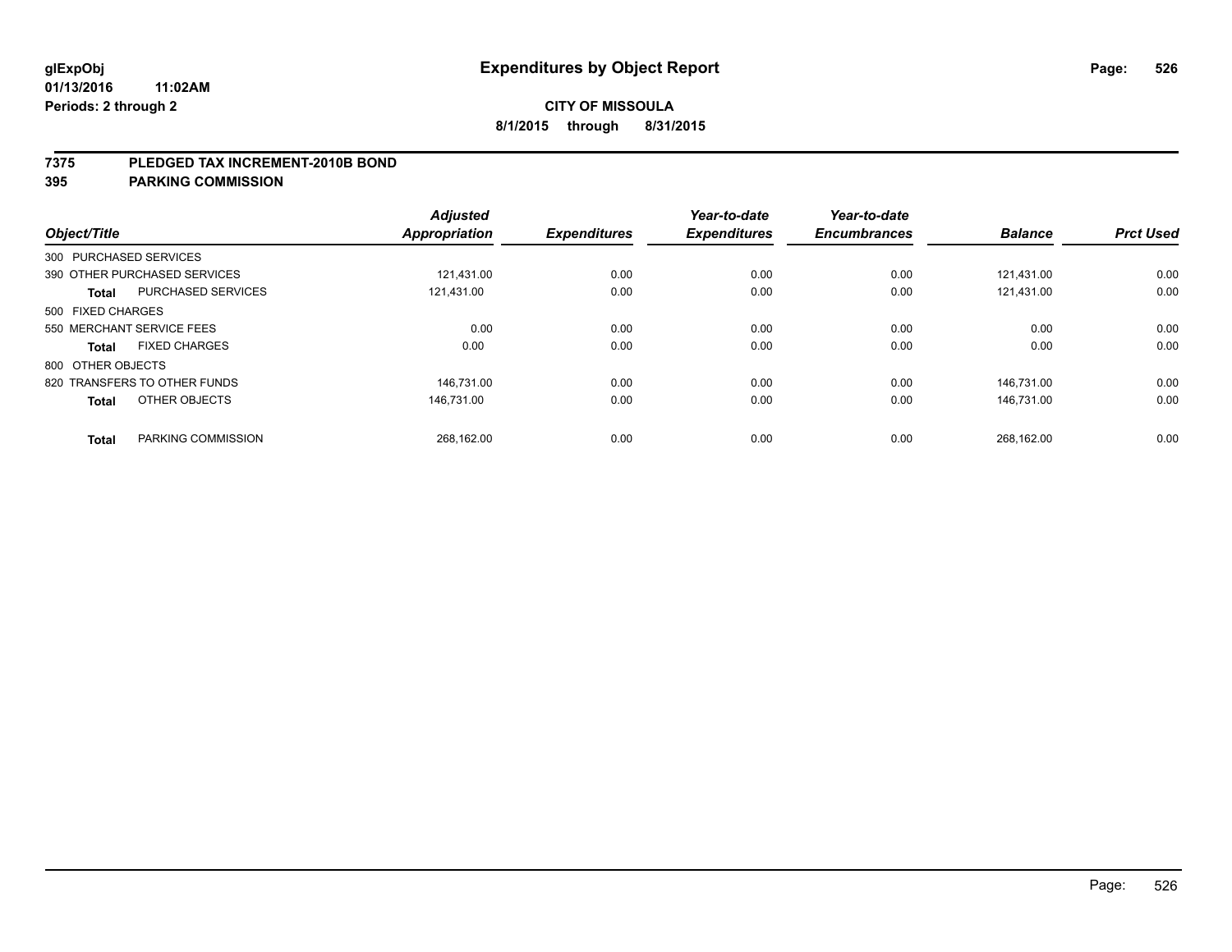#### **7375 PLEDGED TAX INCREMENT-2010B BOND**

| Object/Title      |                              | <b>Adjusted</b><br>Appropriation | <b>Expenditures</b> | Year-to-date<br><b>Expenditures</b> | Year-to-date<br><b>Encumbrances</b> | <b>Balance</b> | <b>Prct Used</b> |
|-------------------|------------------------------|----------------------------------|---------------------|-------------------------------------|-------------------------------------|----------------|------------------|
|                   | 300 PURCHASED SERVICES       |                                  |                     |                                     |                                     |                |                  |
|                   | 390 OTHER PURCHASED SERVICES | 121.431.00                       | 0.00                | 0.00                                | 0.00                                | 121.431.00     | 0.00             |
| <b>Total</b>      | <b>PURCHASED SERVICES</b>    | 121.431.00                       | 0.00                | 0.00                                | 0.00                                | 121.431.00     | 0.00             |
| 500 FIXED CHARGES |                              |                                  |                     |                                     |                                     |                |                  |
|                   | 550 MERCHANT SERVICE FEES    | 0.00                             | 0.00                | 0.00                                | 0.00                                | 0.00           | 0.00             |
| <b>Total</b>      | <b>FIXED CHARGES</b>         | 0.00                             | 0.00                | 0.00                                | 0.00                                | 0.00           | 0.00             |
| 800 OTHER OBJECTS |                              |                                  |                     |                                     |                                     |                |                  |
|                   | 820 TRANSFERS TO OTHER FUNDS | 146.731.00                       | 0.00                | 0.00                                | 0.00                                | 146.731.00     | 0.00             |
| <b>Total</b>      | OTHER OBJECTS                | 146.731.00                       | 0.00                | 0.00                                | 0.00                                | 146.731.00     | 0.00             |
|                   |                              |                                  |                     |                                     |                                     |                |                  |
| <b>Total</b>      | PARKING COMMISSION           | 268.162.00                       | 0.00                | 0.00                                | 0.00                                | 268.162.00     | 0.00             |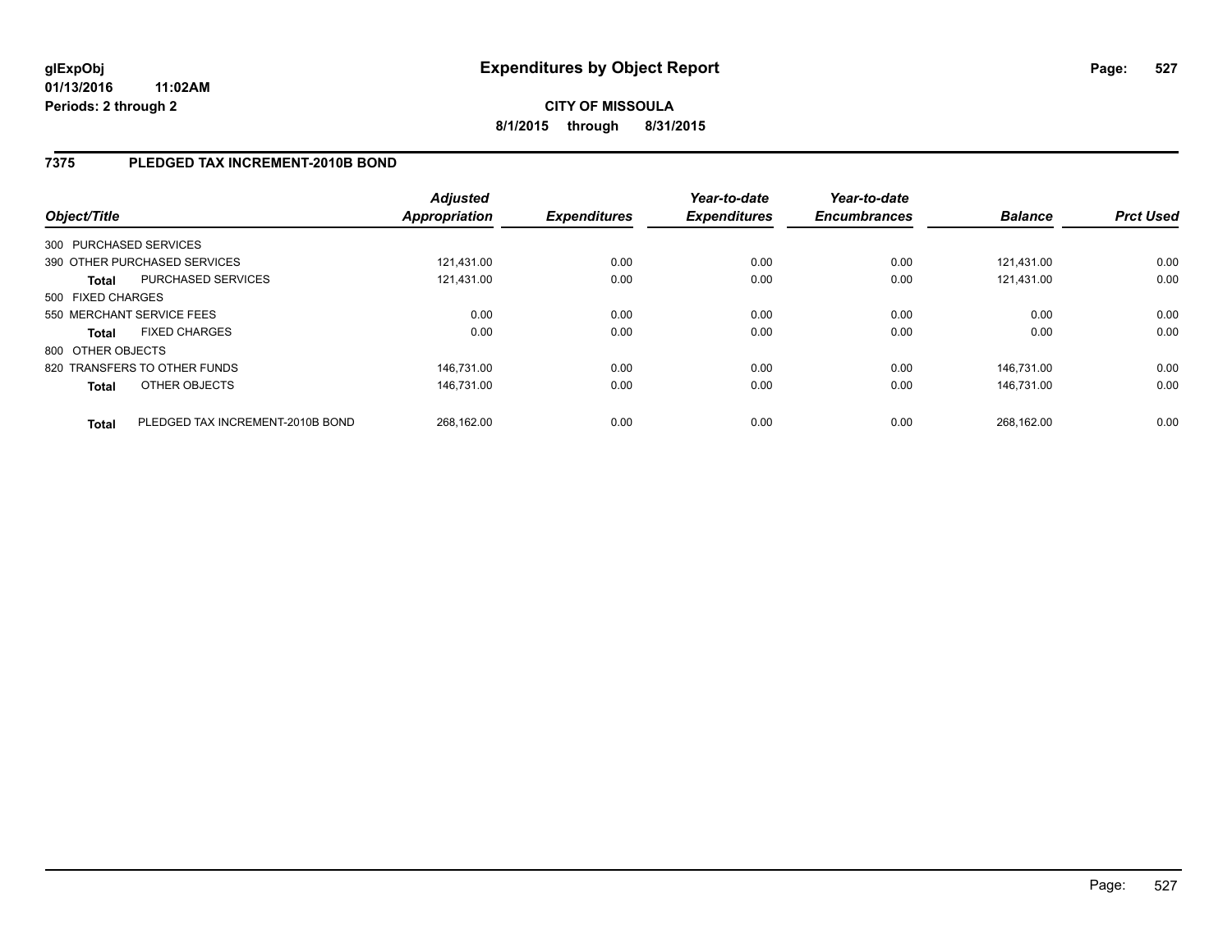# **7375 PLEDGED TAX INCREMENT-2010B BOND**

| Object/Title      |                                  | <b>Adjusted</b><br>Appropriation | <b>Expenditures</b> | Year-to-date<br><b>Expenditures</b> | Year-to-date<br><b>Encumbrances</b> | <b>Balance</b> | <b>Prct Used</b> |
|-------------------|----------------------------------|----------------------------------|---------------------|-------------------------------------|-------------------------------------|----------------|------------------|
|                   | 300 PURCHASED SERVICES           |                                  |                     |                                     |                                     |                |                  |
|                   | 390 OTHER PURCHASED SERVICES     | 121.431.00                       | 0.00                | 0.00                                | 0.00                                | 121.431.00     | 0.00             |
| <b>Total</b>      | PURCHASED SERVICES               | 121.431.00                       | 0.00                | 0.00                                | 0.00                                | 121.431.00     | 0.00             |
| 500 FIXED CHARGES |                                  |                                  |                     |                                     |                                     |                |                  |
|                   | 550 MERCHANT SERVICE FEES        | 0.00                             | 0.00                | 0.00                                | 0.00                                | 0.00           | 0.00             |
| <b>Total</b>      | <b>FIXED CHARGES</b>             | 0.00                             | 0.00                | 0.00                                | 0.00                                | 0.00           | 0.00             |
| 800 OTHER OBJECTS |                                  |                                  |                     |                                     |                                     |                |                  |
|                   | 820 TRANSFERS TO OTHER FUNDS     | 146.731.00                       | 0.00                | 0.00                                | 0.00                                | 146.731.00     | 0.00             |
| <b>Total</b>      | OTHER OBJECTS                    | 146.731.00                       | 0.00                | 0.00                                | 0.00                                | 146.731.00     | 0.00             |
| <b>Total</b>      | PLEDGED TAX INCREMENT-2010B BOND | 268.162.00                       | 0.00                | 0.00                                | 0.00                                | 268.162.00     | 0.00             |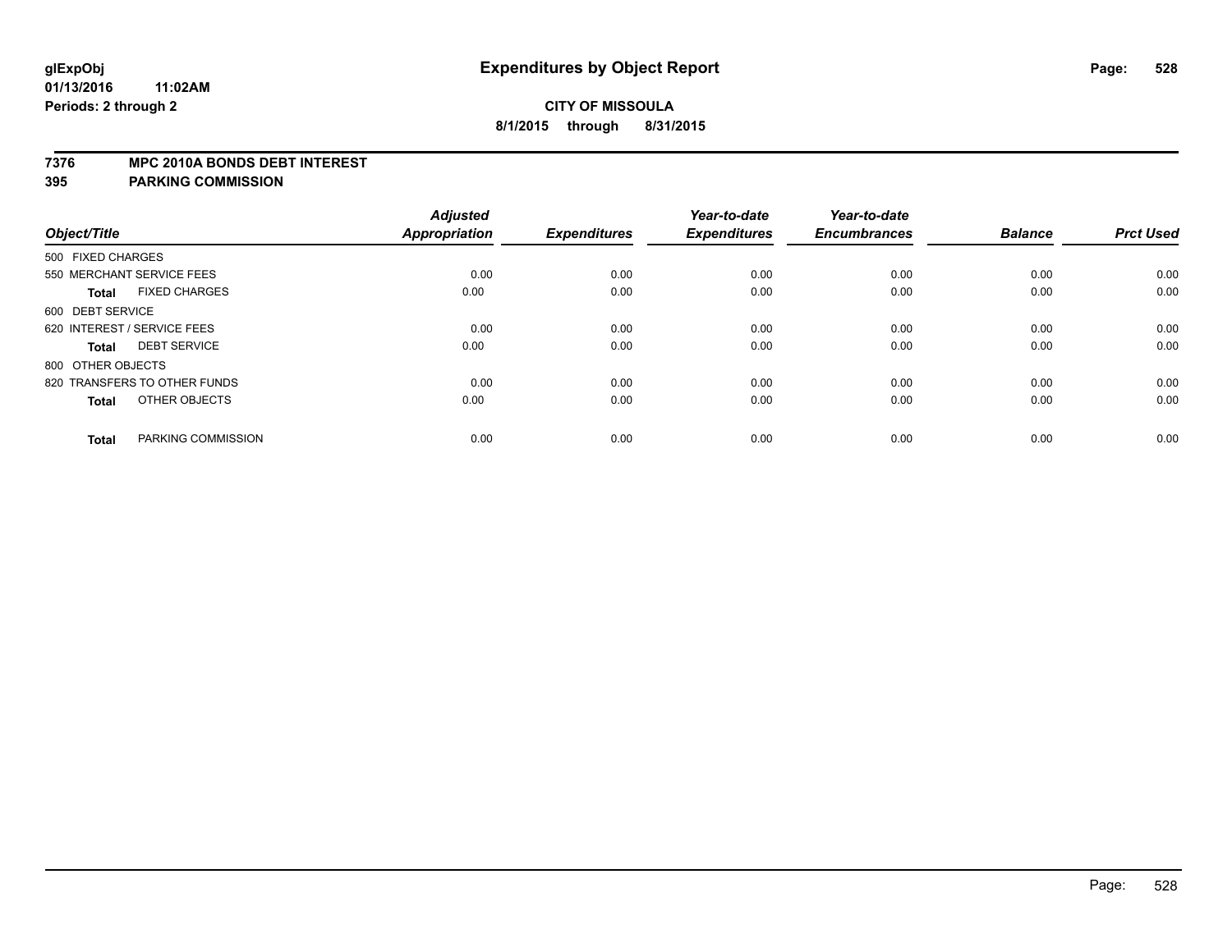#### **7376 MPC 2010A BONDS DEBT INTEREST**

|                   |                              | <b>Adjusted</b>      |                     | Year-to-date        | Year-to-date        |                |                  |
|-------------------|------------------------------|----------------------|---------------------|---------------------|---------------------|----------------|------------------|
| Object/Title      |                              | <b>Appropriation</b> | <b>Expenditures</b> | <b>Expenditures</b> | <b>Encumbrances</b> | <b>Balance</b> | <b>Prct Used</b> |
| 500 FIXED CHARGES |                              |                      |                     |                     |                     |                |                  |
|                   | 550 MERCHANT SERVICE FEES    | 0.00                 | 0.00                | 0.00                | 0.00                | 0.00           | 0.00             |
| <b>Total</b>      | <b>FIXED CHARGES</b>         | 0.00                 | 0.00                | 0.00                | 0.00                | 0.00           | 0.00             |
| 600 DEBT SERVICE  |                              |                      |                     |                     |                     |                |                  |
|                   | 620 INTEREST / SERVICE FEES  | 0.00                 | 0.00                | 0.00                | 0.00                | 0.00           | 0.00             |
| <b>Total</b>      | <b>DEBT SERVICE</b>          | 0.00                 | 0.00                | 0.00                | 0.00                | 0.00           | 0.00             |
| 800 OTHER OBJECTS |                              |                      |                     |                     |                     |                |                  |
|                   | 820 TRANSFERS TO OTHER FUNDS | 0.00                 | 0.00                | 0.00                | 0.00                | 0.00           | 0.00             |
| <b>Total</b>      | OTHER OBJECTS                | 0.00                 | 0.00                | 0.00                | 0.00                | 0.00           | 0.00             |
| <b>Total</b>      | PARKING COMMISSION           | 0.00                 | 0.00                | 0.00                | 0.00                | 0.00           | 0.00             |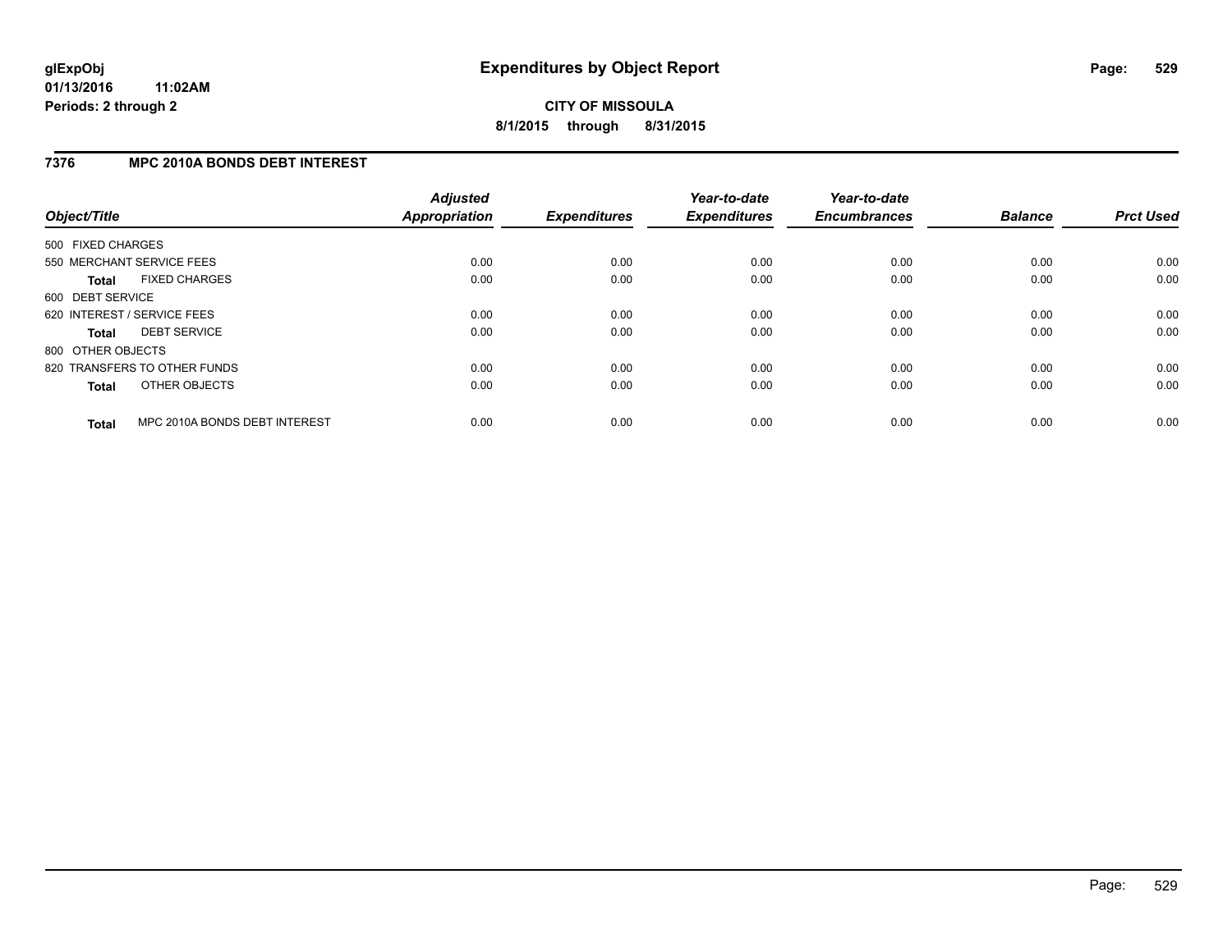## **7376 MPC 2010A BONDS DEBT INTEREST**

| Object/Title      |                               | <b>Adjusted</b><br>Appropriation | <b>Expenditures</b> | Year-to-date<br><b>Expenditures</b> | Year-to-date<br><b>Encumbrances</b> | <b>Balance</b> | <b>Prct Used</b> |
|-------------------|-------------------------------|----------------------------------|---------------------|-------------------------------------|-------------------------------------|----------------|------------------|
| 500 FIXED CHARGES |                               |                                  |                     |                                     |                                     |                |                  |
|                   | 550 MERCHANT SERVICE FEES     | 0.00                             | 0.00                | 0.00                                | 0.00                                | 0.00           | 0.00             |
| <b>Total</b>      | <b>FIXED CHARGES</b>          | 0.00                             | 0.00                | 0.00                                | 0.00                                | 0.00           | 0.00             |
| 600 DEBT SERVICE  |                               |                                  |                     |                                     |                                     |                |                  |
|                   | 620 INTEREST / SERVICE FEES   | 0.00                             | 0.00                | 0.00                                | 0.00                                | 0.00           | 0.00             |
| <b>Total</b>      | <b>DEBT SERVICE</b>           | 0.00                             | 0.00                | 0.00                                | 0.00                                | 0.00           | 0.00             |
| 800 OTHER OBJECTS |                               |                                  |                     |                                     |                                     |                |                  |
|                   | 820 TRANSFERS TO OTHER FUNDS  | 0.00                             | 0.00                | 0.00                                | 0.00                                | 0.00           | 0.00             |
| <b>Total</b>      | OTHER OBJECTS                 | 0.00                             | 0.00                | 0.00                                | 0.00                                | 0.00           | 0.00             |
| <b>Total</b>      | MPC 2010A BONDS DEBT INTEREST | 0.00                             | 0.00                | 0.00                                | 0.00                                | 0.00           | 0.00             |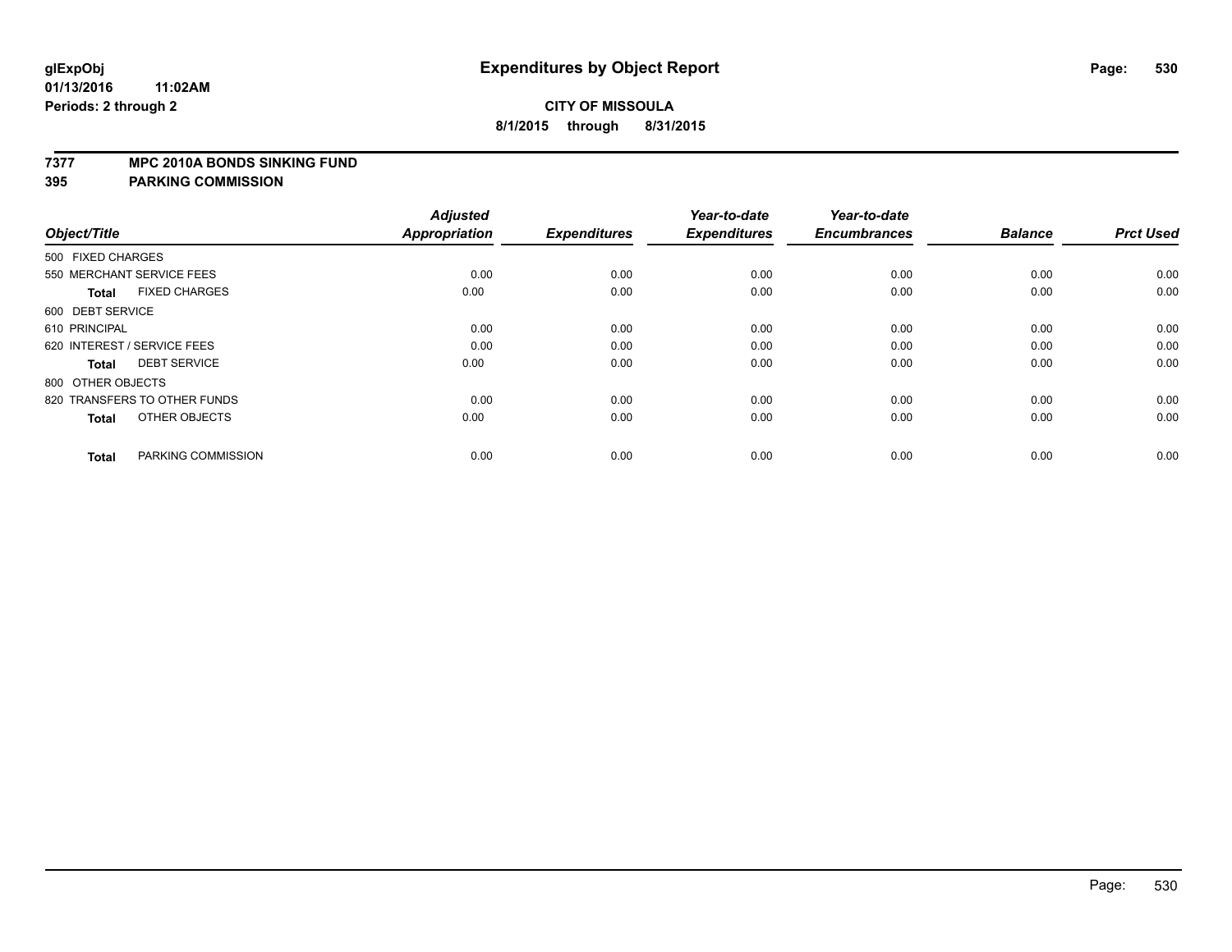#### **7377 MPC 2010A BONDS SINKING FUND**

| Object/Title                         | <b>Adjusted</b><br><b>Appropriation</b> | <b>Expenditures</b> | Year-to-date<br><b>Expenditures</b> | Year-to-date<br><b>Encumbrances</b> | <b>Balance</b> | <b>Prct Used</b> |
|--------------------------------------|-----------------------------------------|---------------------|-------------------------------------|-------------------------------------|----------------|------------------|
| 500 FIXED CHARGES                    |                                         |                     |                                     |                                     |                |                  |
| 550 MERCHANT SERVICE FEES            | 0.00                                    | 0.00                | 0.00                                | 0.00                                | 0.00           | 0.00             |
| <b>FIXED CHARGES</b><br><b>Total</b> | 0.00                                    | 0.00                | 0.00                                | 0.00                                | 0.00           | 0.00             |
| 600 DEBT SERVICE                     |                                         |                     |                                     |                                     |                |                  |
| 610 PRINCIPAL                        | 0.00                                    | 0.00                | 0.00                                | 0.00                                | 0.00           | 0.00             |
| 620 INTEREST / SERVICE FEES          | 0.00                                    | 0.00                | 0.00                                | 0.00                                | 0.00           | 0.00             |
| <b>DEBT SERVICE</b><br><b>Total</b>  | 0.00                                    | 0.00                | 0.00                                | 0.00                                | 0.00           | 0.00             |
| 800 OTHER OBJECTS                    |                                         |                     |                                     |                                     |                |                  |
| 820 TRANSFERS TO OTHER FUNDS         | 0.00                                    | 0.00                | 0.00                                | 0.00                                | 0.00           | 0.00             |
| OTHER OBJECTS<br><b>Total</b>        | 0.00                                    | 0.00                | 0.00                                | 0.00                                | 0.00           | 0.00             |
|                                      |                                         |                     |                                     |                                     |                |                  |
| PARKING COMMISSION<br><b>Total</b>   | 0.00                                    | 0.00                | 0.00                                | 0.00                                | 0.00           | 0.00             |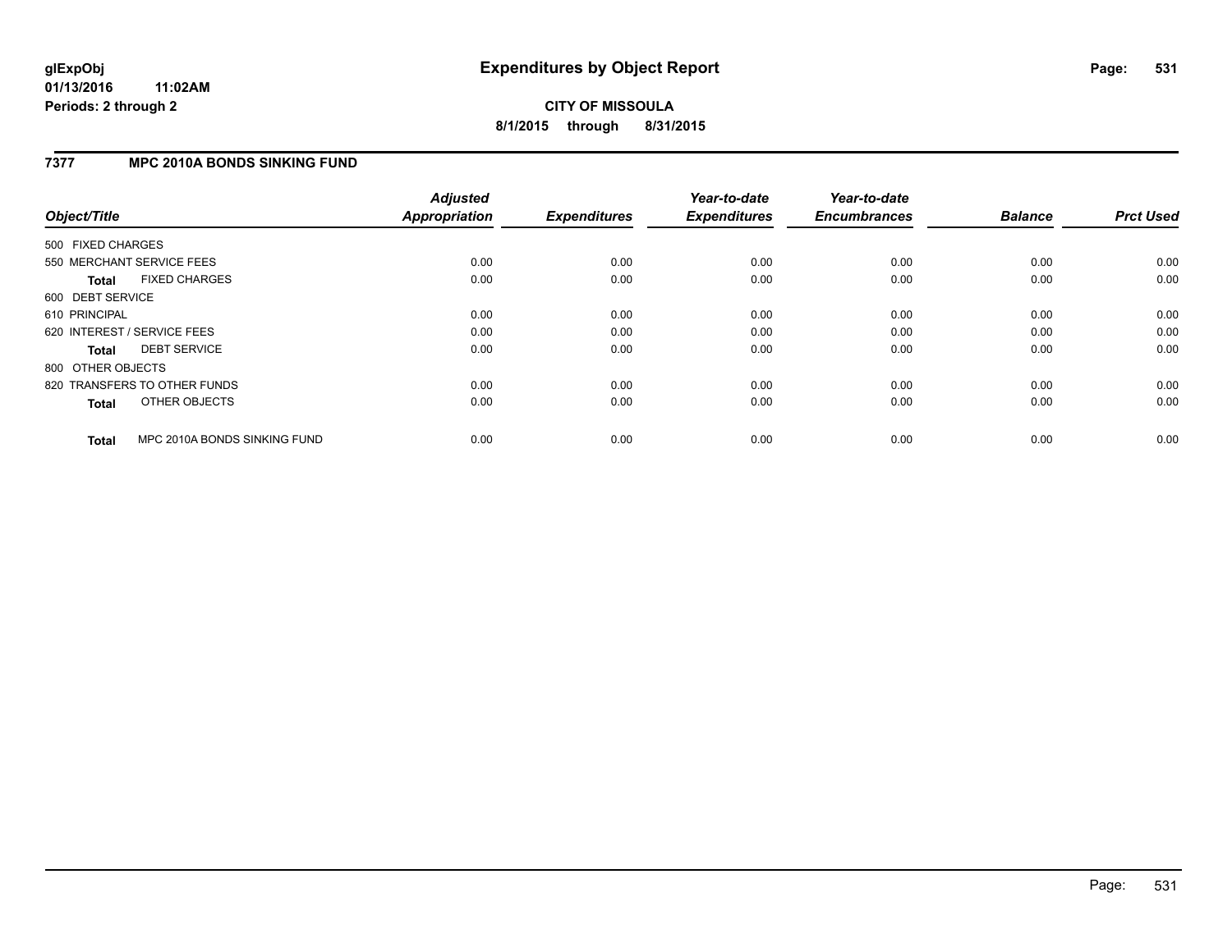# **CITY OF MISSOULA 8/1/2015 through 8/31/2015**

## **7377 MPC 2010A BONDS SINKING FUND**

| Object/Title      |                              | <b>Adjusted</b><br><b>Appropriation</b> | <b>Expenditures</b> | Year-to-date<br><b>Expenditures</b> | Year-to-date<br><b>Encumbrances</b> | <b>Balance</b> | <b>Prct Used</b> |
|-------------------|------------------------------|-----------------------------------------|---------------------|-------------------------------------|-------------------------------------|----------------|------------------|
| 500 FIXED CHARGES |                              |                                         |                     |                                     |                                     |                |                  |
|                   | 550 MERCHANT SERVICE FEES    | 0.00                                    | 0.00                | 0.00                                | 0.00                                | 0.00           | 0.00             |
| <b>Total</b>      | <b>FIXED CHARGES</b>         | 0.00                                    | 0.00                | 0.00                                | 0.00                                | 0.00           | 0.00             |
| 600 DEBT SERVICE  |                              |                                         |                     |                                     |                                     |                |                  |
| 610 PRINCIPAL     |                              | 0.00                                    | 0.00                | 0.00                                | 0.00                                | 0.00           | 0.00             |
|                   | 620 INTEREST / SERVICE FEES  | 0.00                                    | 0.00                | 0.00                                | 0.00                                | 0.00           | 0.00             |
| <b>Total</b>      | <b>DEBT SERVICE</b>          | 0.00                                    | 0.00                | 0.00                                | 0.00                                | 0.00           | 0.00             |
| 800 OTHER OBJECTS |                              |                                         |                     |                                     |                                     |                |                  |
|                   | 820 TRANSFERS TO OTHER FUNDS | 0.00                                    | 0.00                | 0.00                                | 0.00                                | 0.00           | 0.00             |
| <b>Total</b>      | OTHER OBJECTS                | 0.00                                    | 0.00                | 0.00                                | 0.00                                | 0.00           | 0.00             |
| <b>Total</b>      | MPC 2010A BONDS SINKING FUND | 0.00                                    | 0.00                | 0.00                                | 0.00                                | 0.00           | 0.00             |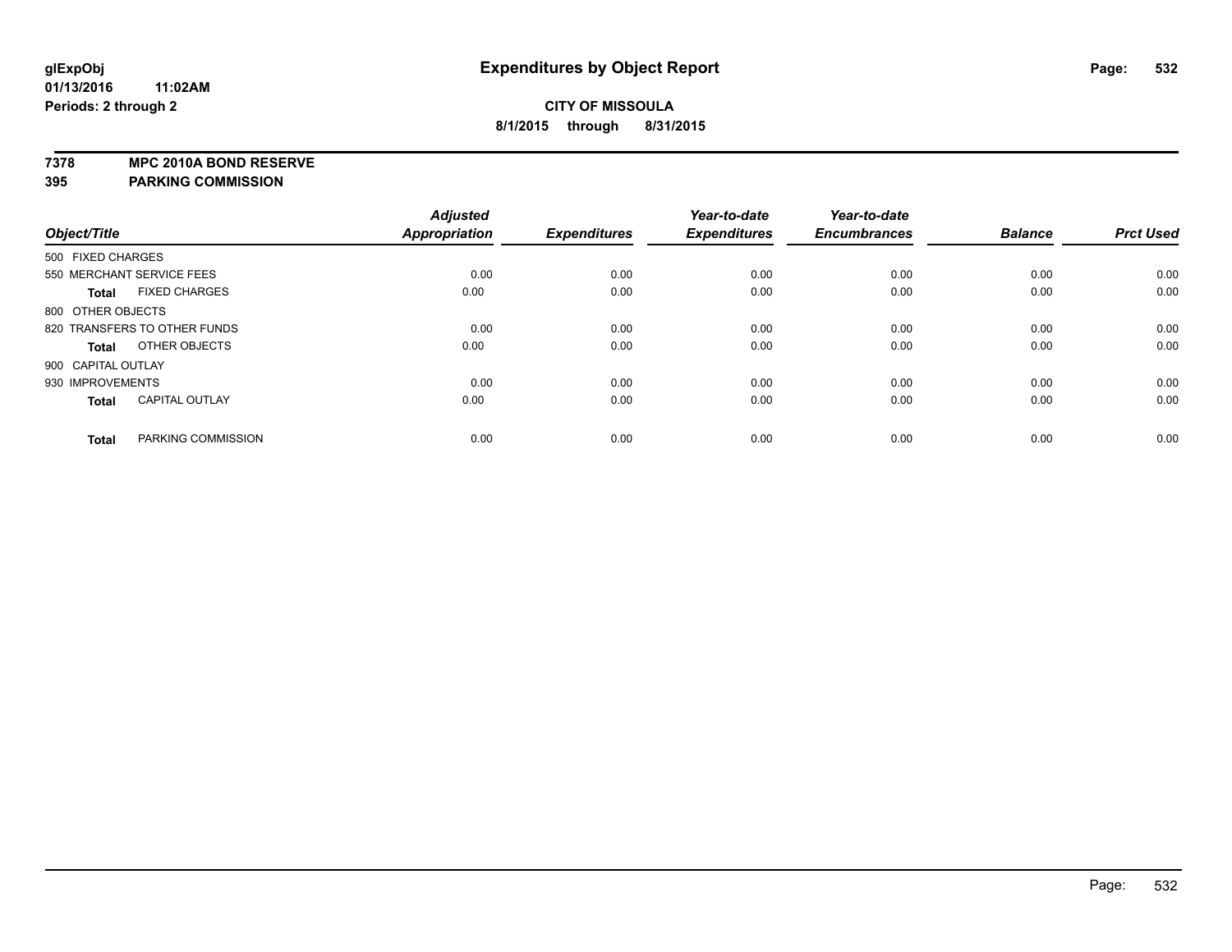**7378 MPC 2010A BOND RESERVE**

|                    |                              | <b>Adjusted</b> |                     | Year-to-date        | Year-to-date        |                |                  |
|--------------------|------------------------------|-----------------|---------------------|---------------------|---------------------|----------------|------------------|
| Object/Title       |                              | Appropriation   | <b>Expenditures</b> | <b>Expenditures</b> | <b>Encumbrances</b> | <b>Balance</b> | <b>Prct Used</b> |
| 500 FIXED CHARGES  |                              |                 |                     |                     |                     |                |                  |
|                    | 550 MERCHANT SERVICE FEES    | 0.00            | 0.00                | 0.00                | 0.00                | 0.00           | 0.00             |
| <b>Total</b>       | <b>FIXED CHARGES</b>         | 0.00            | 0.00                | 0.00                | 0.00                | 0.00           | 0.00             |
| 800 OTHER OBJECTS  |                              |                 |                     |                     |                     |                |                  |
|                    | 820 TRANSFERS TO OTHER FUNDS | 0.00            | 0.00                | 0.00                | 0.00                | 0.00           | 0.00             |
| <b>Total</b>       | OTHER OBJECTS                | 0.00            | 0.00                | 0.00                | 0.00                | 0.00           | 0.00             |
| 900 CAPITAL OUTLAY |                              |                 |                     |                     |                     |                |                  |
| 930 IMPROVEMENTS   |                              | 0.00            | 0.00                | 0.00                | 0.00                | 0.00           | 0.00             |
| <b>Total</b>       | <b>CAPITAL OUTLAY</b>        | 0.00            | 0.00                | 0.00                | 0.00                | 0.00           | 0.00             |
| <b>Total</b>       | PARKING COMMISSION           | 0.00            | 0.00                | 0.00                | 0.00                | 0.00           | 0.00             |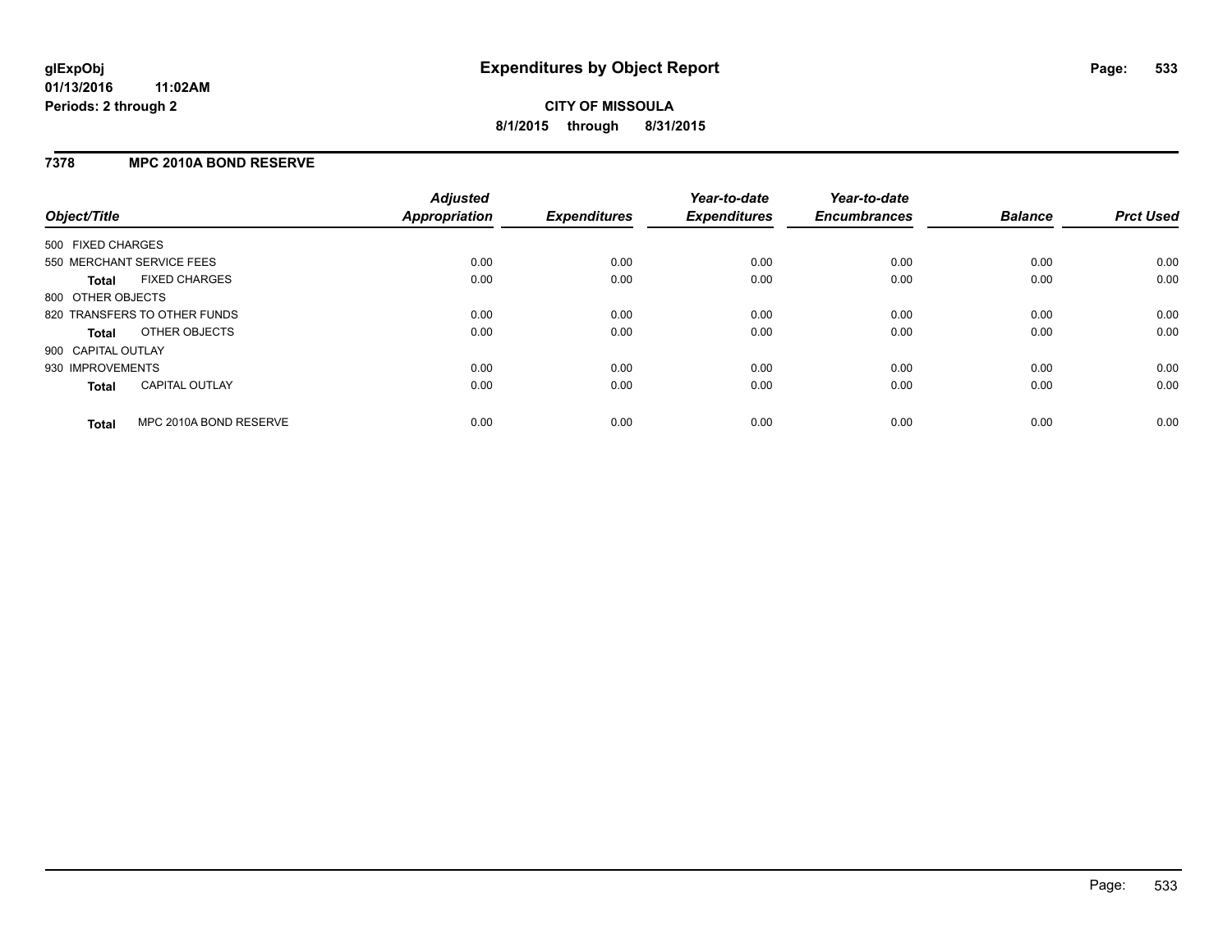## **7378 MPC 2010A BOND RESERVE**

| Object/Title              |                              | <b>Adjusted</b><br><b>Appropriation</b> | <b>Expenditures</b> | Year-to-date<br><b>Expenditures</b> | Year-to-date<br><b>Encumbrances</b> | <b>Balance</b> | <b>Prct Used</b> |
|---------------------------|------------------------------|-----------------------------------------|---------------------|-------------------------------------|-------------------------------------|----------------|------------------|
| 500 FIXED CHARGES         |                              |                                         |                     |                                     |                                     |                |                  |
| 550 MERCHANT SERVICE FEES |                              | 0.00                                    | 0.00                | 0.00                                | 0.00                                | 0.00           | 0.00             |
| Total                     | <b>FIXED CHARGES</b>         | 0.00                                    | 0.00                | 0.00                                | 0.00                                | 0.00           | 0.00             |
| 800 OTHER OBJECTS         |                              |                                         |                     |                                     |                                     |                |                  |
|                           | 820 TRANSFERS TO OTHER FUNDS | 0.00                                    | 0.00                | 0.00                                | 0.00                                | 0.00           | 0.00             |
| Total                     | OTHER OBJECTS                | 0.00                                    | 0.00                | 0.00                                | 0.00                                | 0.00           | 0.00             |
| 900 CAPITAL OUTLAY        |                              |                                         |                     |                                     |                                     |                |                  |
| 930 IMPROVEMENTS          |                              | 0.00                                    | 0.00                | 0.00                                | 0.00                                | 0.00           | 0.00             |
| Total                     | <b>CAPITAL OUTLAY</b>        | 0.00                                    | 0.00                | 0.00                                | 0.00                                | 0.00           | 0.00             |
| <b>Total</b>              | MPC 2010A BOND RESERVE       | 0.00                                    | 0.00                | 0.00                                | 0.00                                | 0.00           | 0.00             |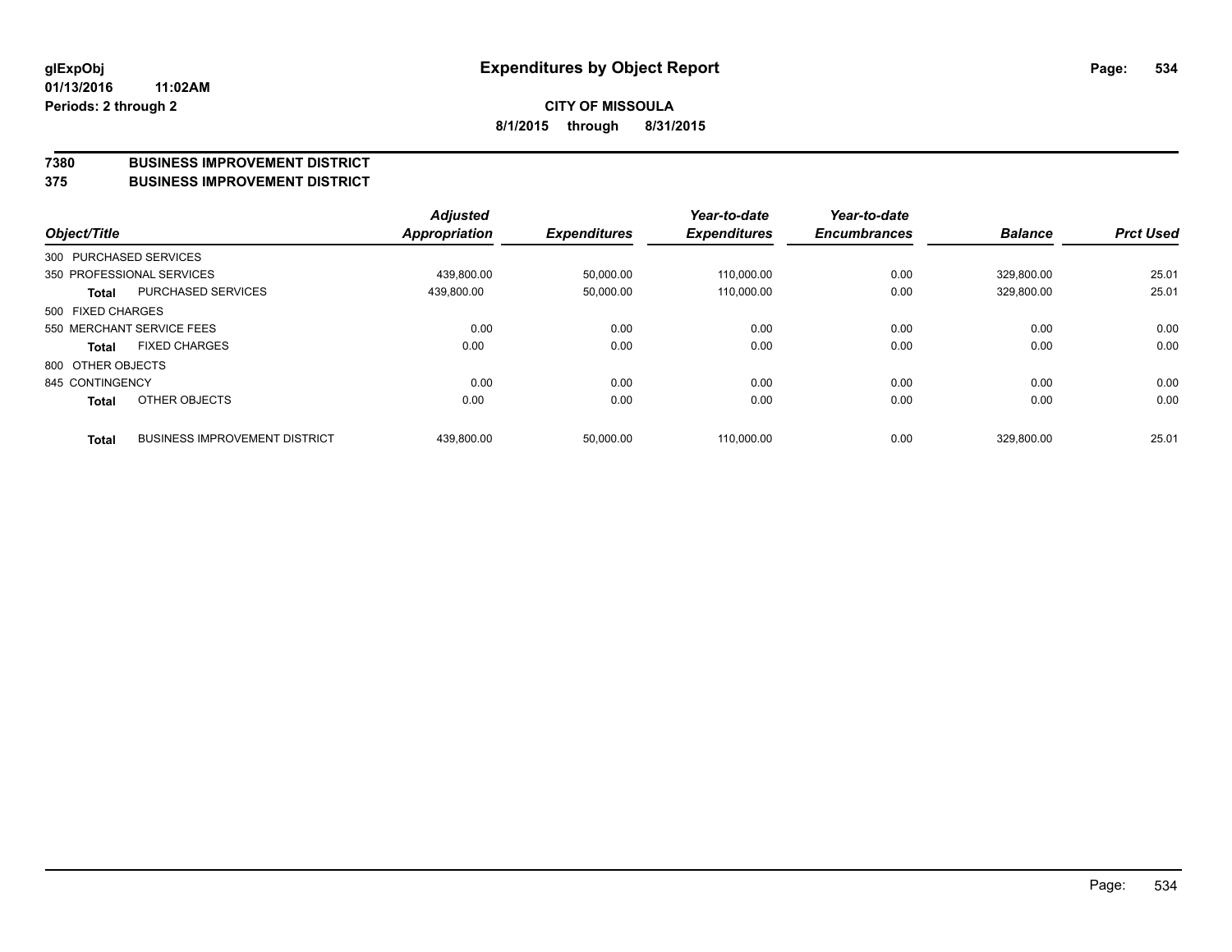#### **7380 BUSINESS IMPROVEMENT DISTRICT**

**375 BUSINESS IMPROVEMENT DISTRICT**

| Object/Title      |                                      | <b>Adjusted</b><br>Appropriation | <b>Expenditures</b> | Year-to-date<br><b>Expenditures</b> | Year-to-date<br><b>Encumbrances</b> | <b>Balance</b> | <b>Prct Used</b> |
|-------------------|--------------------------------------|----------------------------------|---------------------|-------------------------------------|-------------------------------------|----------------|------------------|
|                   | 300 PURCHASED SERVICES               |                                  |                     |                                     |                                     |                |                  |
|                   | 350 PROFESSIONAL SERVICES            | 439.800.00                       | 50,000.00           | 110,000.00                          | 0.00                                | 329.800.00     | 25.01            |
| <b>Total</b>      | PURCHASED SERVICES                   | 439,800.00                       | 50,000.00           | 110,000.00                          | 0.00                                | 329,800.00     | 25.01            |
| 500 FIXED CHARGES |                                      |                                  |                     |                                     |                                     |                |                  |
|                   | 550 MERCHANT SERVICE FEES            | 0.00                             | 0.00                | 0.00                                | 0.00                                | 0.00           | 0.00             |
| <b>Total</b>      | <b>FIXED CHARGES</b>                 | 0.00                             | 0.00                | 0.00                                | 0.00                                | 0.00           | 0.00             |
| 800 OTHER OBJECTS |                                      |                                  |                     |                                     |                                     |                |                  |
| 845 CONTINGENCY   |                                      | 0.00                             | 0.00                | 0.00                                | 0.00                                | 0.00           | 0.00             |
| <b>Total</b>      | OTHER OBJECTS                        | 0.00                             | 0.00                | 0.00                                | 0.00                                | 0.00           | 0.00             |
| <b>Total</b>      | <b>BUSINESS IMPROVEMENT DISTRICT</b> | 439,800.00                       | 50,000.00           | 110.000.00                          | 0.00                                | 329.800.00     | 25.01            |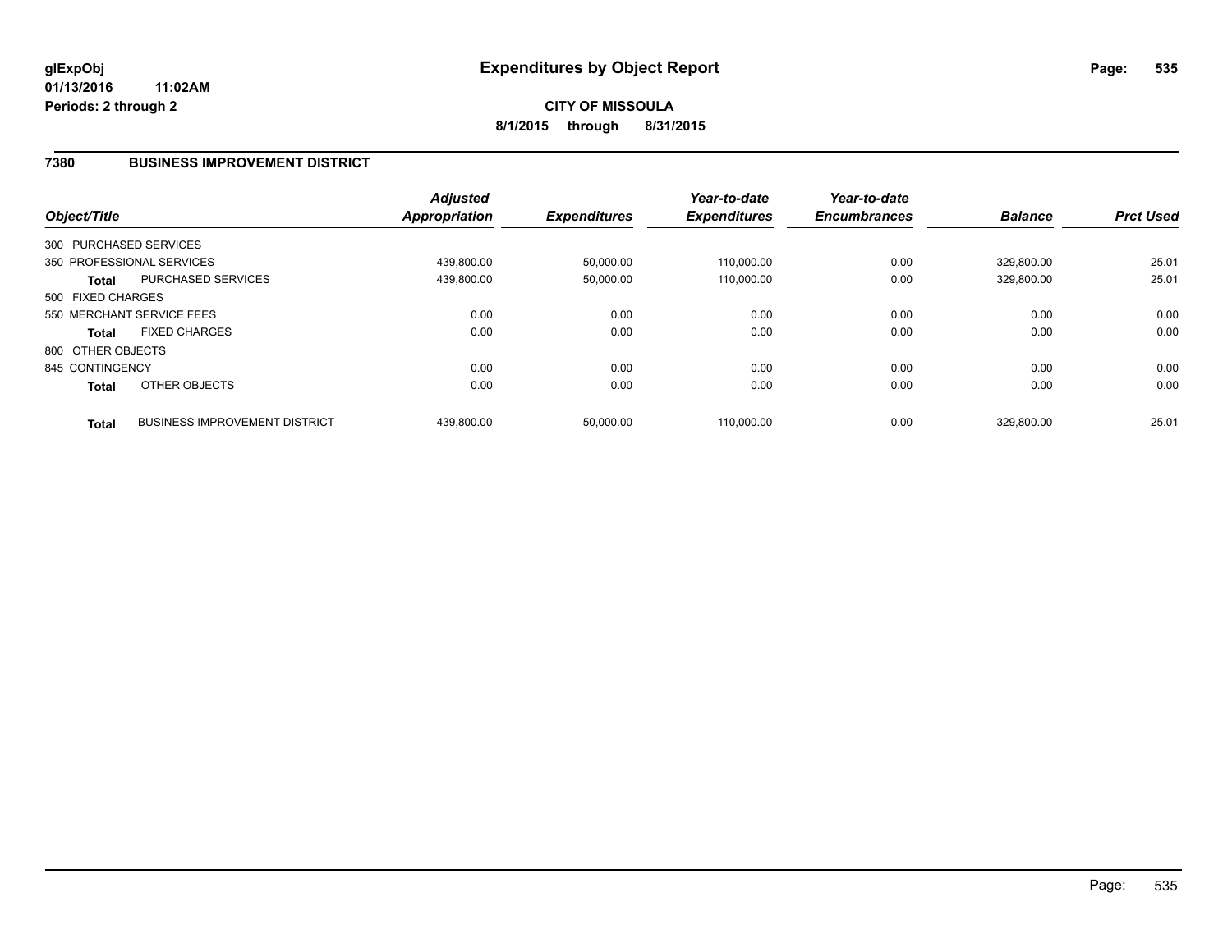### **7380 BUSINESS IMPROVEMENT DISTRICT**

| Object/Title      |                                      | <b>Adjusted</b><br>Appropriation | <b>Expenditures</b> | Year-to-date<br><b>Expenditures</b> | Year-to-date<br><b>Encumbrances</b> | <b>Balance</b> | <b>Prct Used</b> |
|-------------------|--------------------------------------|----------------------------------|---------------------|-------------------------------------|-------------------------------------|----------------|------------------|
|                   | 300 PURCHASED SERVICES               |                                  |                     |                                     |                                     |                |                  |
|                   | 350 PROFESSIONAL SERVICES            | 439.800.00                       | 50,000.00           | 110.000.00                          | 0.00                                | 329.800.00     | 25.01            |
| Total             | PURCHASED SERVICES                   | 439,800.00                       | 50,000.00           | 110,000.00                          | 0.00                                | 329,800.00     | 25.01            |
| 500 FIXED CHARGES |                                      |                                  |                     |                                     |                                     |                |                  |
|                   | 550 MERCHANT SERVICE FEES            | 0.00                             | 0.00                | 0.00                                | 0.00                                | 0.00           | 0.00             |
| <b>Total</b>      | <b>FIXED CHARGES</b>                 | 0.00                             | 0.00                | 0.00                                | 0.00                                | 0.00           | 0.00             |
| 800 OTHER OBJECTS |                                      |                                  |                     |                                     |                                     |                |                  |
| 845 CONTINGENCY   |                                      | 0.00                             | 0.00                | 0.00                                | 0.00                                | 0.00           | 0.00             |
| <b>Total</b>      | OTHER OBJECTS                        | 0.00                             | 0.00                | 0.00                                | 0.00                                | 0.00           | 0.00             |
| <b>Total</b>      | <b>BUSINESS IMPROVEMENT DISTRICT</b> | 439.800.00                       | 50,000.00           | 110.000.00                          | 0.00                                | 329.800.00     | 25.01            |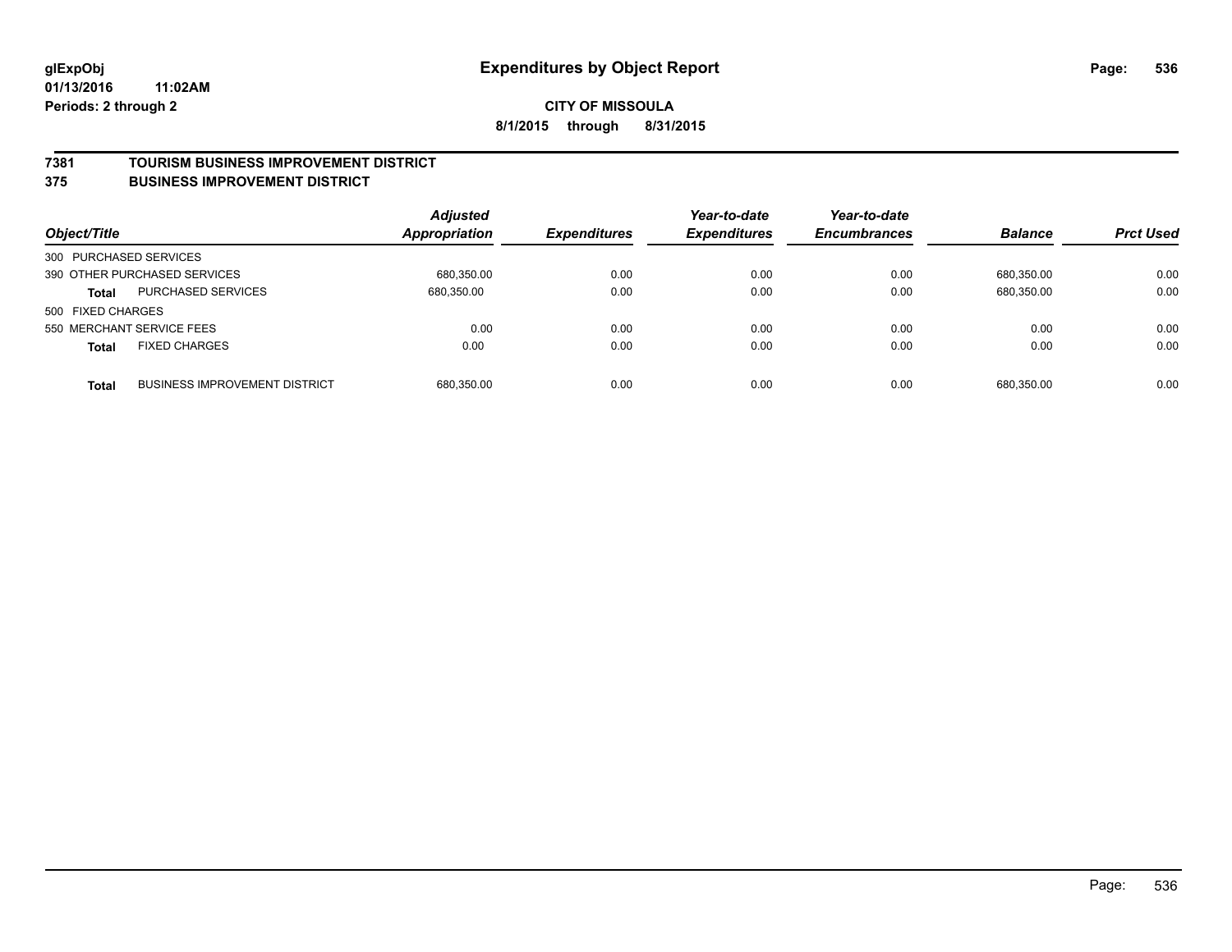#### **7381 TOURISM BUSINESS IMPROVEMENT DISTRICT**

#### **375 BUSINESS IMPROVEMENT DISTRICT**

| Object/Title           |                                      | <b>Adjusted</b><br><b>Appropriation</b> | <b>Expenditures</b> | Year-to-date<br><b>Expenditures</b> | Year-to-date<br><b>Encumbrances</b> | <b>Balance</b> | <b>Prct Used</b> |
|------------------------|--------------------------------------|-----------------------------------------|---------------------|-------------------------------------|-------------------------------------|----------------|------------------|
| 300 PURCHASED SERVICES |                                      |                                         |                     |                                     |                                     |                |                  |
|                        | 390 OTHER PURCHASED SERVICES         | 680.350.00                              | 0.00                | 0.00                                | 0.00                                | 680.350.00     | 0.00             |
| <b>Total</b>           | PURCHASED SERVICES                   | 680,350.00                              | 0.00                | 0.00                                | 0.00                                | 680,350.00     | 0.00             |
| 500 FIXED CHARGES      |                                      |                                         |                     |                                     |                                     |                |                  |
|                        | 550 MERCHANT SERVICE FEES            | 0.00                                    | 0.00                | 0.00                                | 0.00                                | 0.00           | 0.00             |
| <b>Total</b>           | <b>FIXED CHARGES</b>                 | 0.00                                    | 0.00                | 0.00                                | 0.00                                | 0.00           | 0.00             |
| <b>Total</b>           | <b>BUSINESS IMPROVEMENT DISTRICT</b> | 680,350.00                              | 0.00                | 0.00                                | 0.00                                | 680.350.00     | 0.00             |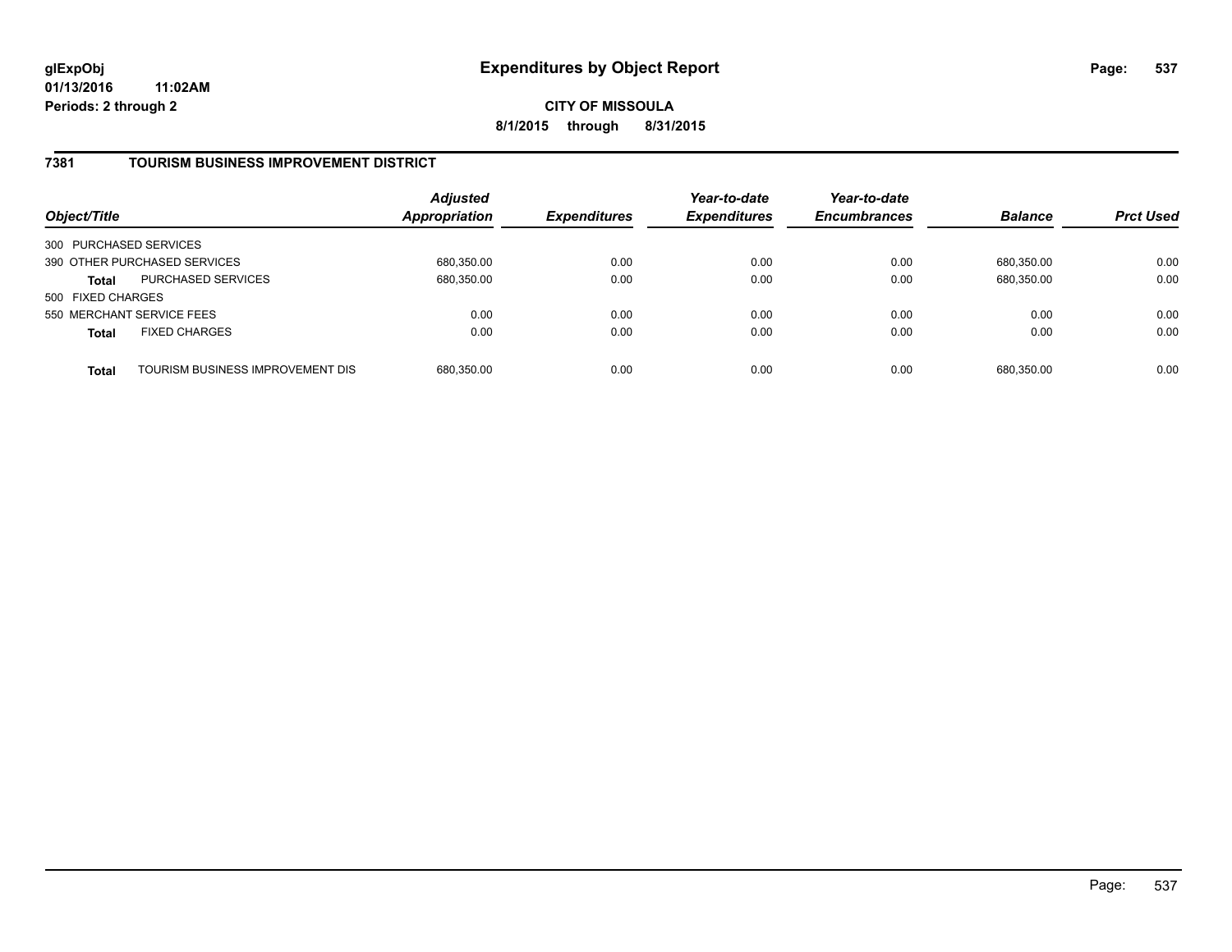**CITY OF MISSOULA 8/1/2015 through 8/31/2015**

## **7381 TOURISM BUSINESS IMPROVEMENT DISTRICT**

| Object/Title              |                                  | <b>Adjusted</b><br>Appropriation | <b>Expenditures</b> | Year-to-date<br><b>Expenditures</b> | Year-to-date<br><b>Encumbrances</b> | <b>Balance</b> | <b>Prct Used</b> |
|---------------------------|----------------------------------|----------------------------------|---------------------|-------------------------------------|-------------------------------------|----------------|------------------|
| 300 PURCHASED SERVICES    |                                  |                                  |                     |                                     |                                     |                |                  |
|                           | 390 OTHER PURCHASED SERVICES     | 680,350.00                       | 0.00                | 0.00                                | 0.00                                | 680.350.00     | 0.00             |
| <b>Total</b>              | <b>PURCHASED SERVICES</b>        | 680,350.00                       | 0.00                | 0.00                                | 0.00                                | 680,350.00     | 0.00             |
| 500 FIXED CHARGES         |                                  |                                  |                     |                                     |                                     |                |                  |
| 550 MERCHANT SERVICE FEES |                                  | 0.00                             | 0.00                | 0.00                                | 0.00                                | 0.00           | 0.00             |
| <b>Total</b>              | <b>FIXED CHARGES</b>             | 0.00                             | 0.00                | 0.00                                | 0.00                                | 0.00           | 0.00             |
| <b>Total</b>              | TOURISM BUSINESS IMPROVEMENT DIS | 680,350.00                       | 0.00                | 0.00                                | 0.00                                | 680,350.00     | 0.00             |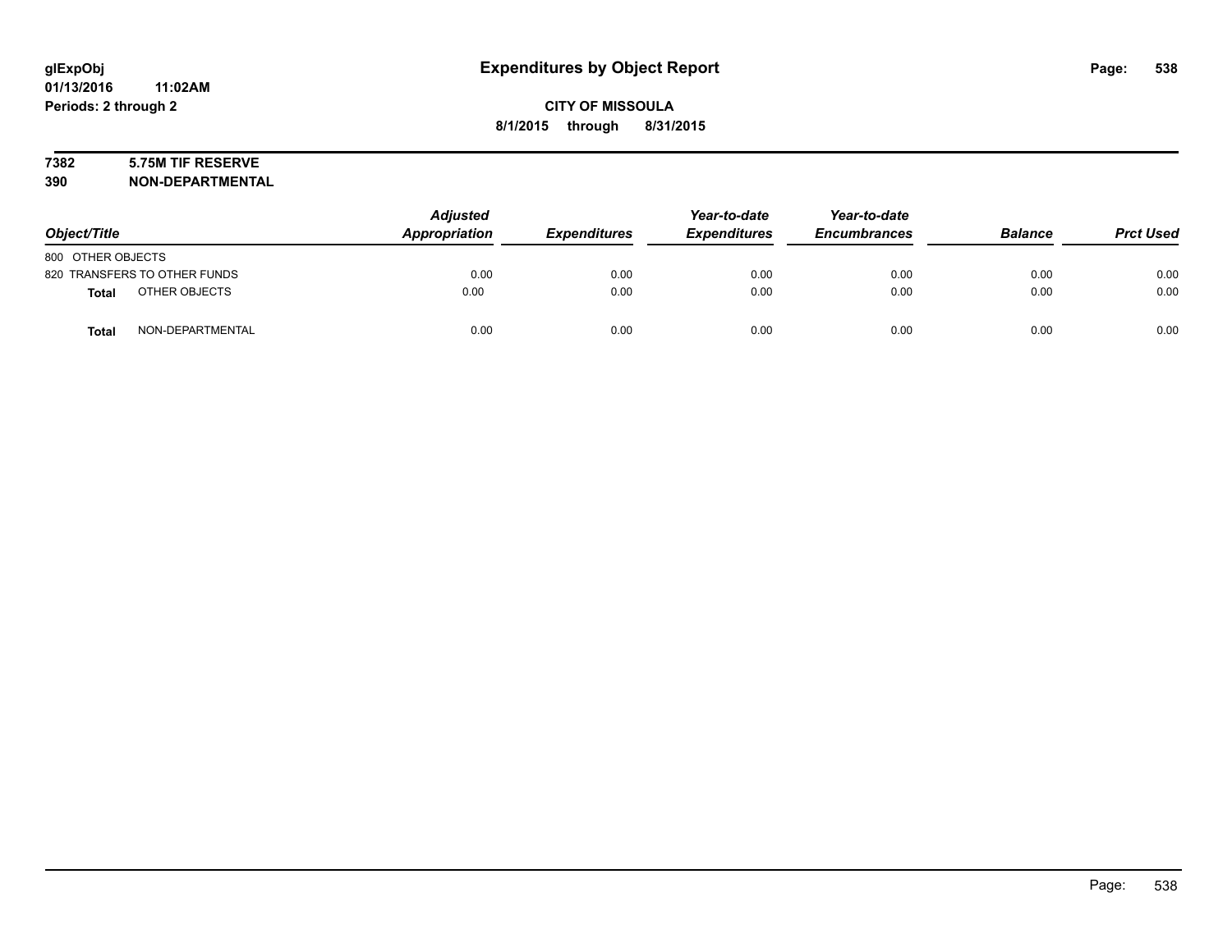# **7382 5.75M TIF RESERVE**

**390 NON-DEPARTMENTAL**

| Object/Title                 |                  | <b>Adjusted</b><br>Appropriation | <b>Expenditures</b> | Year-to-date<br><b>Expenditures</b> | Year-to-date<br><b>Encumbrances</b> | <b>Balance</b> | <b>Prct Used</b> |
|------------------------------|------------------|----------------------------------|---------------------|-------------------------------------|-------------------------------------|----------------|------------------|
| 800 OTHER OBJECTS            |                  |                                  |                     |                                     |                                     |                |                  |
| 820 TRANSFERS TO OTHER FUNDS |                  | 0.00                             | 0.00                | 0.00                                | 0.00                                | 0.00           | 0.00             |
| Total                        | OTHER OBJECTS    | 0.00                             | 0.00                | 0.00                                | 0.00                                | 0.00           | 0.00             |
| <b>Total</b>                 | NON-DEPARTMENTAL | 0.00                             | 0.00                | 0.00                                | 0.00                                | 0.00           | 0.00             |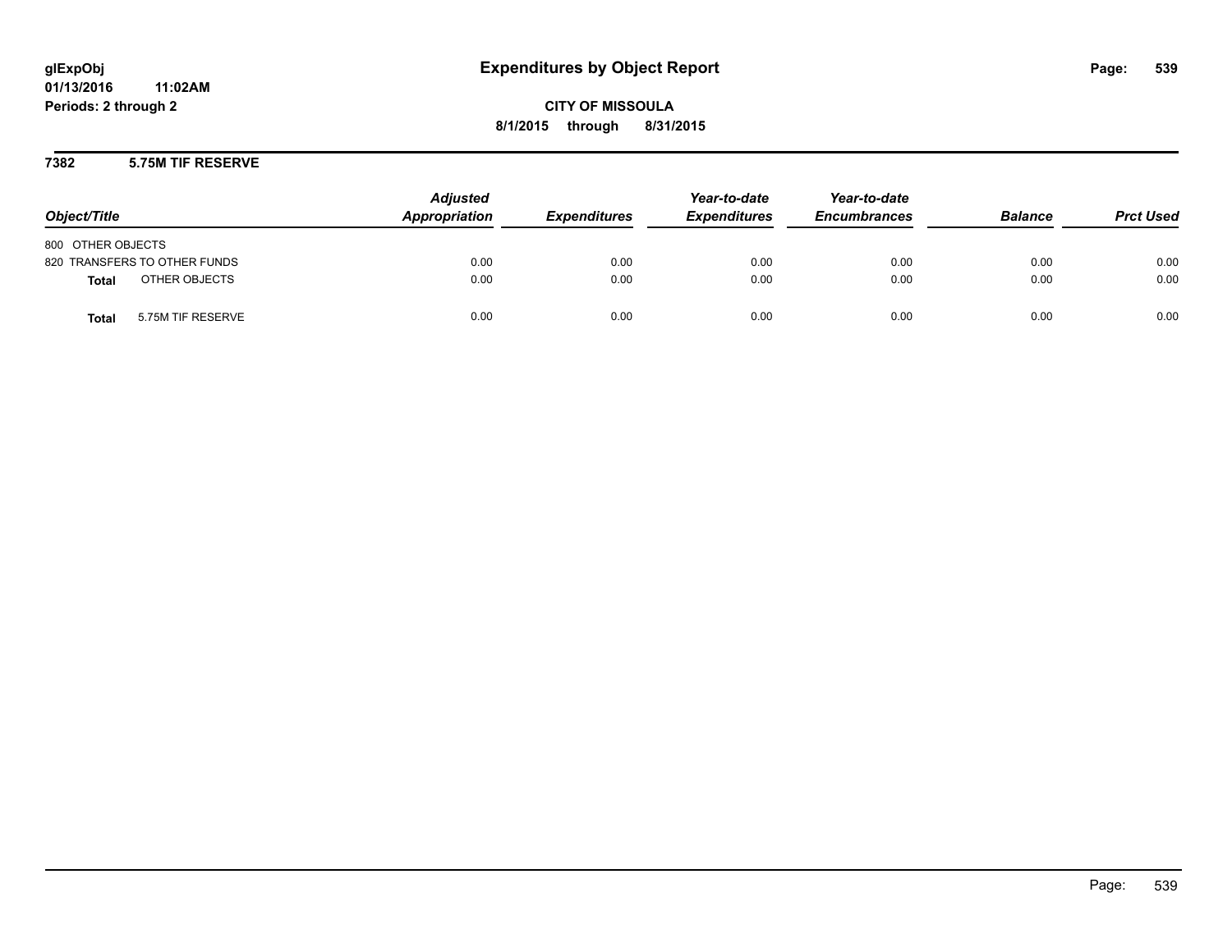**CITY OF MISSOULA 8/1/2015 through 8/31/2015**

### **7382 5.75M TIF RESERVE**

| Object/Title                      | <b>Adjusted</b><br>Appropriation | <b>Expenditures</b> | Year-to-date<br><b>Expenditures</b> | Year-to-date<br><b>Encumbrances</b> | <b>Balance</b> | <b>Prct Used</b> |
|-----------------------------------|----------------------------------|---------------------|-------------------------------------|-------------------------------------|----------------|------------------|
| 800 OTHER OBJECTS                 |                                  |                     |                                     |                                     |                |                  |
| 820 TRANSFERS TO OTHER FUNDS      | 0.00                             | 0.00                | 0.00                                | 0.00                                | 0.00           | 0.00             |
| OTHER OBJECTS<br><b>Total</b>     | 0.00                             | 0.00                | 0.00                                | 0.00                                | 0.00           | 0.00             |
| 5.75M TIF RESERVE<br><b>Total</b> | 0.00                             | 0.00                | 0.00                                | 0.00                                | 0.00           | 0.00             |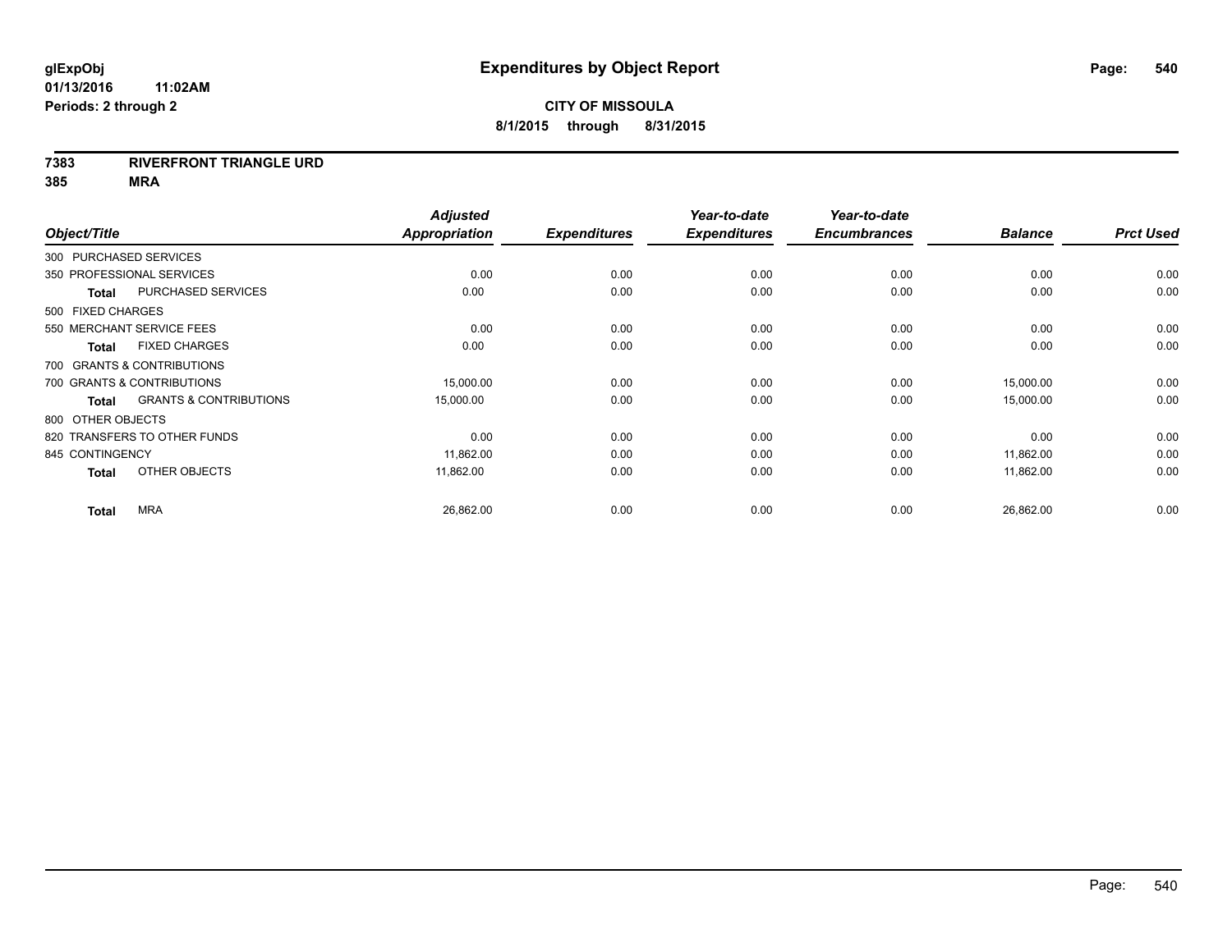#### **7383 RIVERFRONT TRIANGLE URD**

**385 MRA**

|                   |                                   | <b>Adjusted</b> |                     | Year-to-date        | Year-to-date        |                |                  |
|-------------------|-----------------------------------|-----------------|---------------------|---------------------|---------------------|----------------|------------------|
| Object/Title      |                                   | Appropriation   | <b>Expenditures</b> | <b>Expenditures</b> | <b>Encumbrances</b> | <b>Balance</b> | <b>Prct Used</b> |
|                   | 300 PURCHASED SERVICES            |                 |                     |                     |                     |                |                  |
|                   | 350 PROFESSIONAL SERVICES         | 0.00            | 0.00                | 0.00                | 0.00                | 0.00           | 0.00             |
| <b>Total</b>      | PURCHASED SERVICES                | 0.00            | 0.00                | 0.00                | 0.00                | 0.00           | 0.00             |
| 500 FIXED CHARGES |                                   |                 |                     |                     |                     |                |                  |
|                   | 550 MERCHANT SERVICE FEES         | 0.00            | 0.00                | 0.00                | 0.00                | 0.00           | 0.00             |
| <b>Total</b>      | <b>FIXED CHARGES</b>              | 0.00            | 0.00                | 0.00                | 0.00                | 0.00           | 0.00             |
|                   | 700 GRANTS & CONTRIBUTIONS        |                 |                     |                     |                     |                |                  |
|                   | 700 GRANTS & CONTRIBUTIONS        | 15,000.00       | 0.00                | 0.00                | 0.00                | 15,000.00      | 0.00             |
| <b>Total</b>      | <b>GRANTS &amp; CONTRIBUTIONS</b> | 15,000.00       | 0.00                | 0.00                | 0.00                | 15,000.00      | 0.00             |
| 800 OTHER OBJECTS |                                   |                 |                     |                     |                     |                |                  |
|                   | 820 TRANSFERS TO OTHER FUNDS      | 0.00            | 0.00                | 0.00                | 0.00                | 0.00           | 0.00             |
| 845 CONTINGENCY   |                                   | 11,862.00       | 0.00                | 0.00                | 0.00                | 11,862.00      | 0.00             |
| <b>Total</b>      | OTHER OBJECTS                     | 11.862.00       | 0.00                | 0.00                | 0.00                | 11,862.00      | 0.00             |
| <b>Total</b>      | <b>MRA</b>                        | 26,862.00       | 0.00                | 0.00                | 0.00                | 26,862.00      | 0.00             |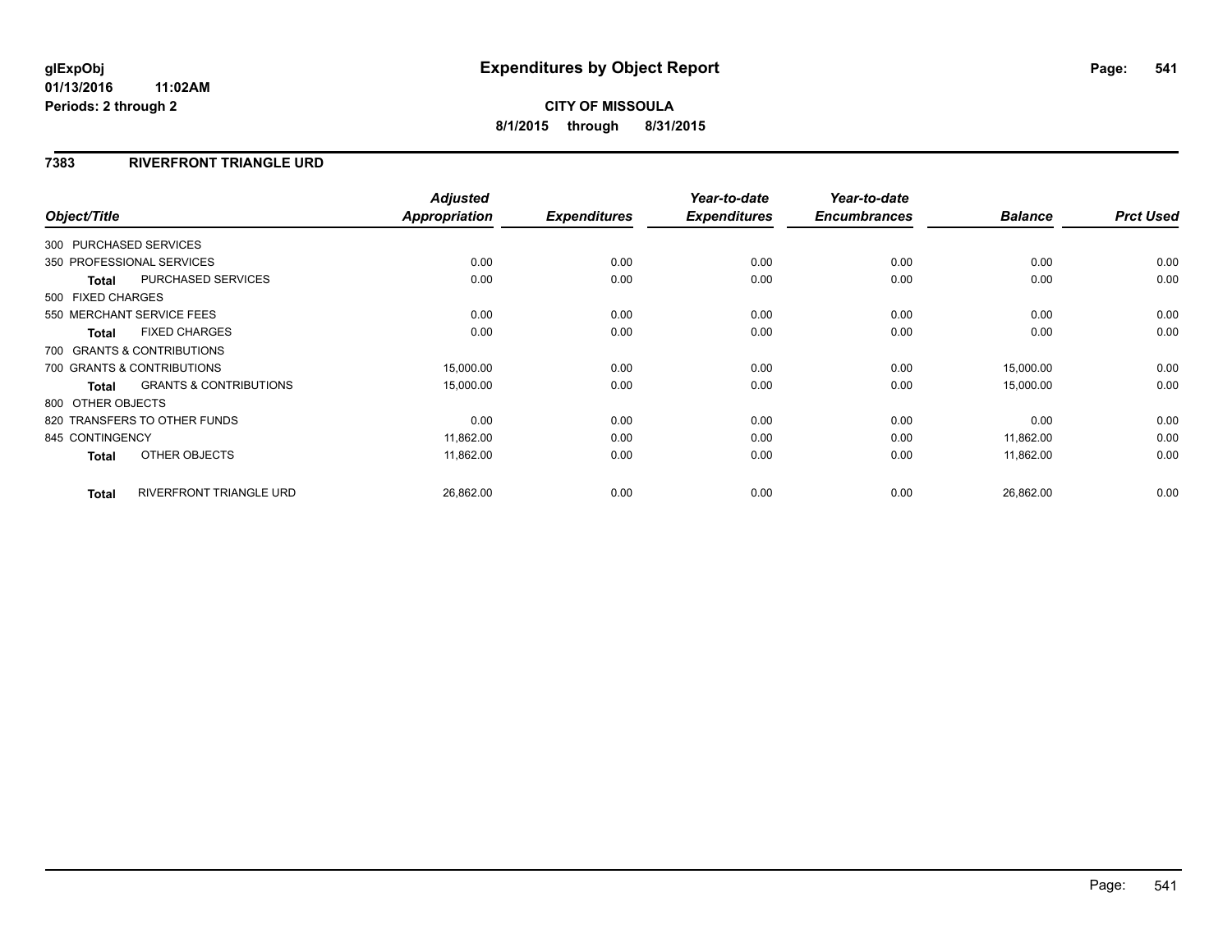### **7383 RIVERFRONT TRIANGLE URD**

| Object/Title           |                                   | <b>Adjusted</b><br><b>Appropriation</b> | <b>Expenditures</b> | Year-to-date<br><b>Expenditures</b> | Year-to-date<br><b>Encumbrances</b> | <b>Balance</b> | <b>Prct Used</b> |
|------------------------|-----------------------------------|-----------------------------------------|---------------------|-------------------------------------|-------------------------------------|----------------|------------------|
|                        |                                   |                                         |                     |                                     |                                     |                |                  |
| 300 PURCHASED SERVICES |                                   |                                         |                     |                                     |                                     |                |                  |
|                        | 350 PROFESSIONAL SERVICES         | 0.00                                    | 0.00                | 0.00                                | 0.00                                | 0.00           | 0.00             |
| <b>Total</b>           | <b>PURCHASED SERVICES</b>         | 0.00                                    | 0.00                | 0.00                                | 0.00                                | 0.00           | 0.00             |
| 500 FIXED CHARGES      |                                   |                                         |                     |                                     |                                     |                |                  |
|                        | 550 MERCHANT SERVICE FEES         | 0.00                                    | 0.00                | 0.00                                | 0.00                                | 0.00           | 0.00             |
| <b>Total</b>           | <b>FIXED CHARGES</b>              | 0.00                                    | 0.00                | 0.00                                | 0.00                                | 0.00           | 0.00             |
|                        | 700 GRANTS & CONTRIBUTIONS        |                                         |                     |                                     |                                     |                |                  |
|                        | 700 GRANTS & CONTRIBUTIONS        | 15,000.00                               | 0.00                | 0.00                                | 0.00                                | 15,000.00      | 0.00             |
| Total                  | <b>GRANTS &amp; CONTRIBUTIONS</b> | 15,000.00                               | 0.00                | 0.00                                | 0.00                                | 15,000.00      | 0.00             |
| 800 OTHER OBJECTS      |                                   |                                         |                     |                                     |                                     |                |                  |
|                        | 820 TRANSFERS TO OTHER FUNDS      | 0.00                                    | 0.00                | 0.00                                | 0.00                                | 0.00           | 0.00             |
| 845 CONTINGENCY        |                                   | 11,862.00                               | 0.00                | 0.00                                | 0.00                                | 11,862.00      | 0.00             |
| Total                  | OTHER OBJECTS                     | 11,862.00                               | 0.00                | 0.00                                | 0.00                                | 11,862.00      | 0.00             |
| <b>Total</b>           | <b>RIVERFRONT TRIANGLE URD</b>    | 26,862.00                               | 0.00                | 0.00                                | 0.00                                | 26,862.00      | 0.00             |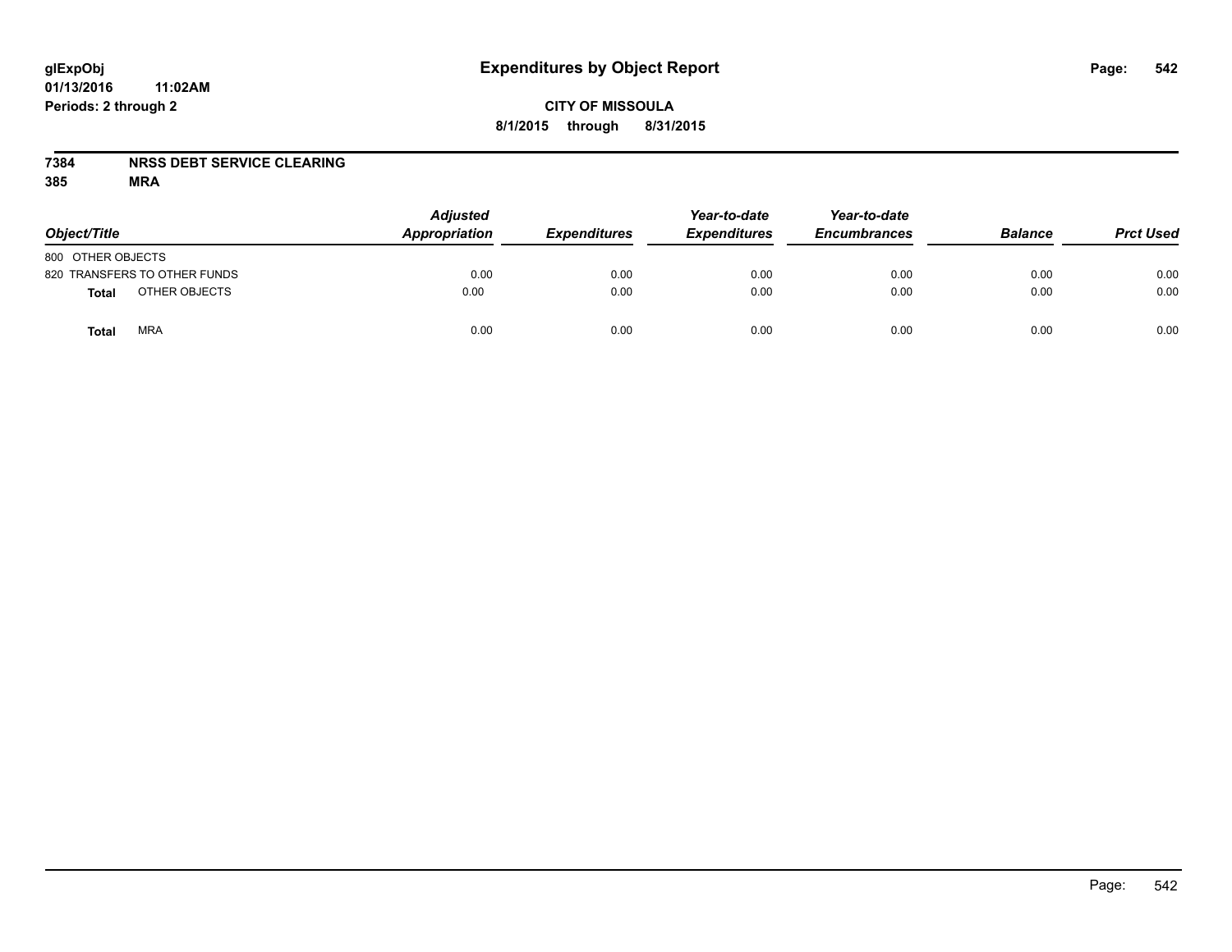## **CITY OF MISSOULA 8/1/2015 through 8/31/2015**

### **7384 NRSS DEBT SERVICE CLEARING**

| Object/Title                 | <b>Adjusted</b><br>Appropriation | <b>Expenditures</b> | Year-to-date<br><b>Expenditures</b> | Year-to-date<br><b>Encumbrances</b> | <b>Balance</b> | <b>Prct Used</b> |
|------------------------------|----------------------------------|---------------------|-------------------------------------|-------------------------------------|----------------|------------------|
| 800 OTHER OBJECTS            |                                  |                     |                                     |                                     |                |                  |
| 820 TRANSFERS TO OTHER FUNDS | 0.00                             | 0.00                | 0.00                                | 0.00                                | 0.00           | 0.00             |
| OTHER OBJECTS<br>Total       | 0.00                             | 0.00                | 0.00                                | 0.00                                | 0.00           | 0.00             |
| <b>MRA</b><br>Total          | 0.00                             | 0.00                | 0.00                                | 0.00                                | 0.00           | 0.00             |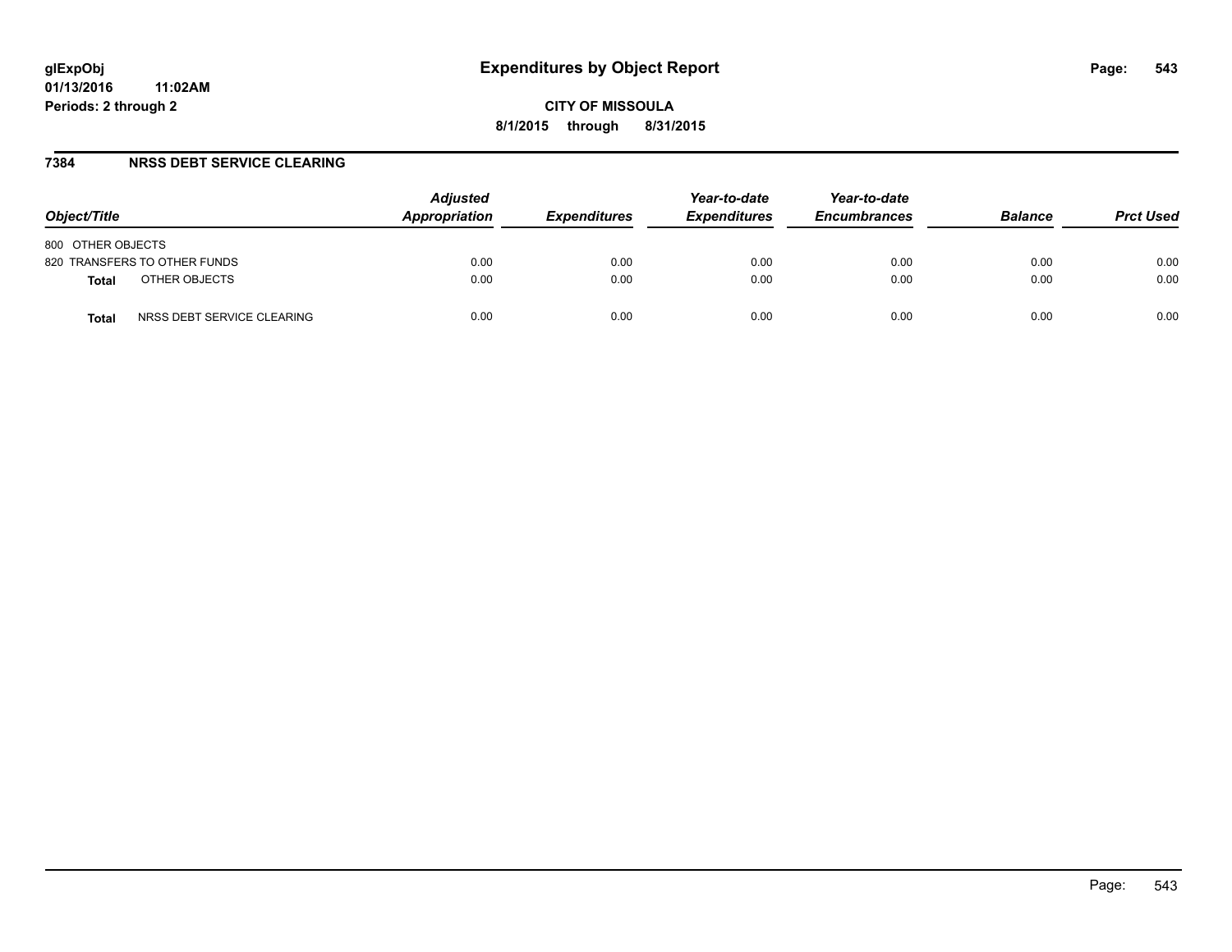### **7384 NRSS DEBT SERVICE CLEARING**

| Object/Title                               | <b>Adjusted</b><br>Appropriation | <b>Expenditures</b> | Year-to-date<br><b>Expenditures</b> | Year-to-date<br><b>Encumbrances</b> | <b>Balance</b> | <b>Prct Used</b> |
|--------------------------------------------|----------------------------------|---------------------|-------------------------------------|-------------------------------------|----------------|------------------|
| 800 OTHER OBJECTS                          |                                  |                     |                                     |                                     |                |                  |
| 820 TRANSFERS TO OTHER FUNDS               | 0.00                             | 0.00                | 0.00                                | 0.00                                | 0.00           | 0.00             |
| OTHER OBJECTS<br><b>Total</b>              | 0.00                             | 0.00                | 0.00                                | 0.00                                | 0.00           | 0.00             |
| NRSS DEBT SERVICE CLEARING<br><b>Total</b> | 0.00                             | 0.00                | 0.00                                | 0.00                                | 0.00           | 0.00             |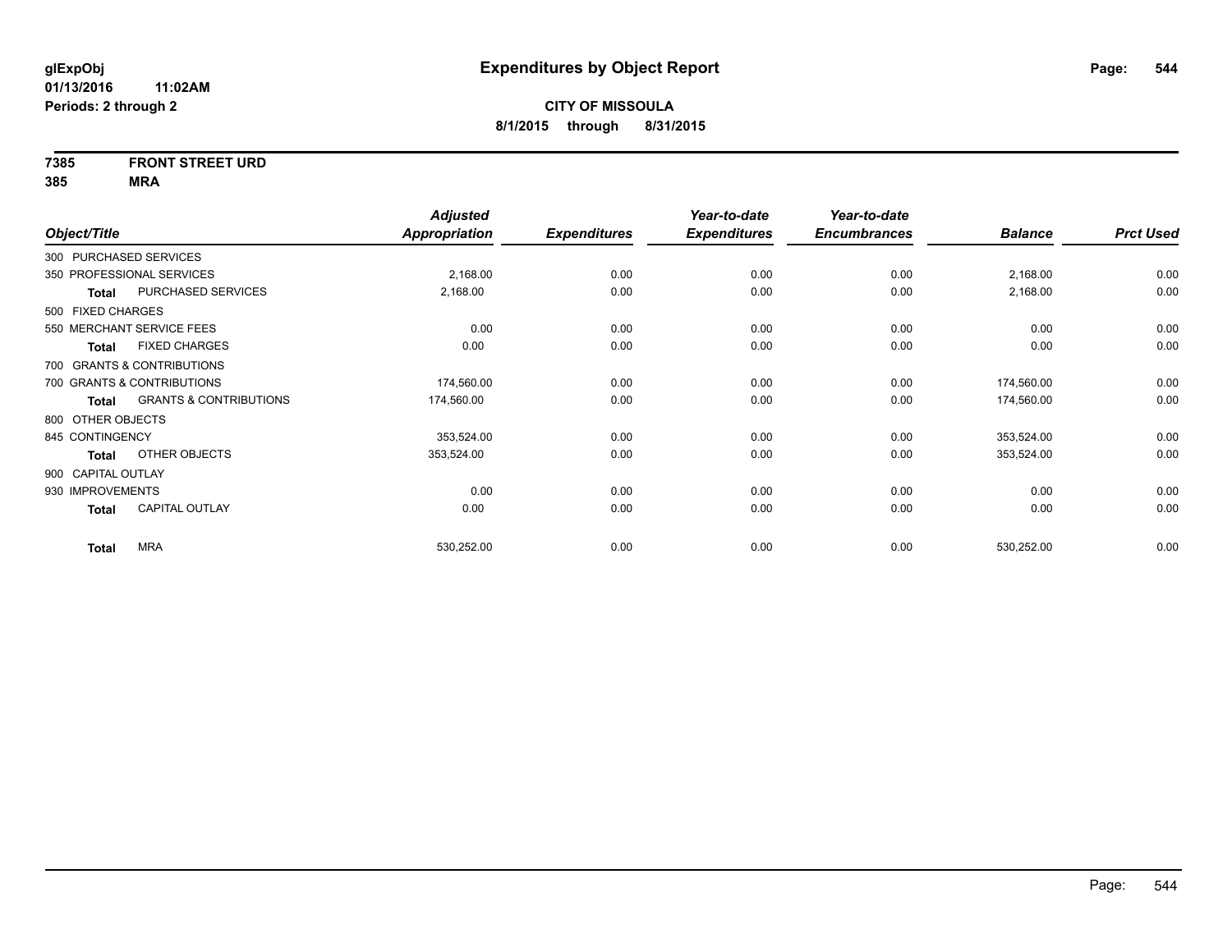# **7385 FRONT STREET URD**

|                                            | <b>Adjusted</b>      |                     | Year-to-date        | Year-to-date        |                |                  |
|--------------------------------------------|----------------------|---------------------|---------------------|---------------------|----------------|------------------|
| Object/Title                               | <b>Appropriation</b> | <b>Expenditures</b> | <b>Expenditures</b> | <b>Encumbrances</b> | <b>Balance</b> | <b>Prct Used</b> |
| 300 PURCHASED SERVICES                     |                      |                     |                     |                     |                |                  |
| 350 PROFESSIONAL SERVICES                  | 2,168.00             | 0.00                | 0.00                | 0.00                | 2,168.00       | 0.00             |
| PURCHASED SERVICES<br><b>Total</b>         | 2,168.00             | 0.00                | 0.00                | 0.00                | 2,168.00       | 0.00             |
| 500 FIXED CHARGES                          |                      |                     |                     |                     |                |                  |
| 550 MERCHANT SERVICE FEES                  | 0.00                 | 0.00                | 0.00                | 0.00                | 0.00           | 0.00             |
| <b>FIXED CHARGES</b><br><b>Total</b>       | 0.00                 | 0.00                | 0.00                | 0.00                | 0.00           | 0.00             |
| 700 GRANTS & CONTRIBUTIONS                 |                      |                     |                     |                     |                |                  |
| 700 GRANTS & CONTRIBUTIONS                 | 174,560.00           | 0.00                | 0.00                | 0.00                | 174,560.00     | 0.00             |
| <b>GRANTS &amp; CONTRIBUTIONS</b><br>Total | 174,560.00           | 0.00                | 0.00                | 0.00                | 174,560.00     | 0.00             |
| 800 OTHER OBJECTS                          |                      |                     |                     |                     |                |                  |
| 845 CONTINGENCY                            | 353,524.00           | 0.00                | 0.00                | 0.00                | 353,524.00     | 0.00             |
| OTHER OBJECTS<br>Total                     | 353,524.00           | 0.00                | 0.00                | 0.00                | 353,524.00     | 0.00             |
| 900 CAPITAL OUTLAY                         |                      |                     |                     |                     |                |                  |
| 930 IMPROVEMENTS                           | 0.00                 | 0.00                | 0.00                | 0.00                | 0.00           | 0.00             |
| <b>CAPITAL OUTLAY</b><br><b>Total</b>      | 0.00                 | 0.00                | 0.00                | 0.00                | 0.00           | 0.00             |
|                                            |                      |                     |                     |                     |                |                  |
| <b>MRA</b><br><b>Total</b>                 | 530,252.00           | 0.00                | 0.00                | 0.00                | 530,252.00     | 0.00             |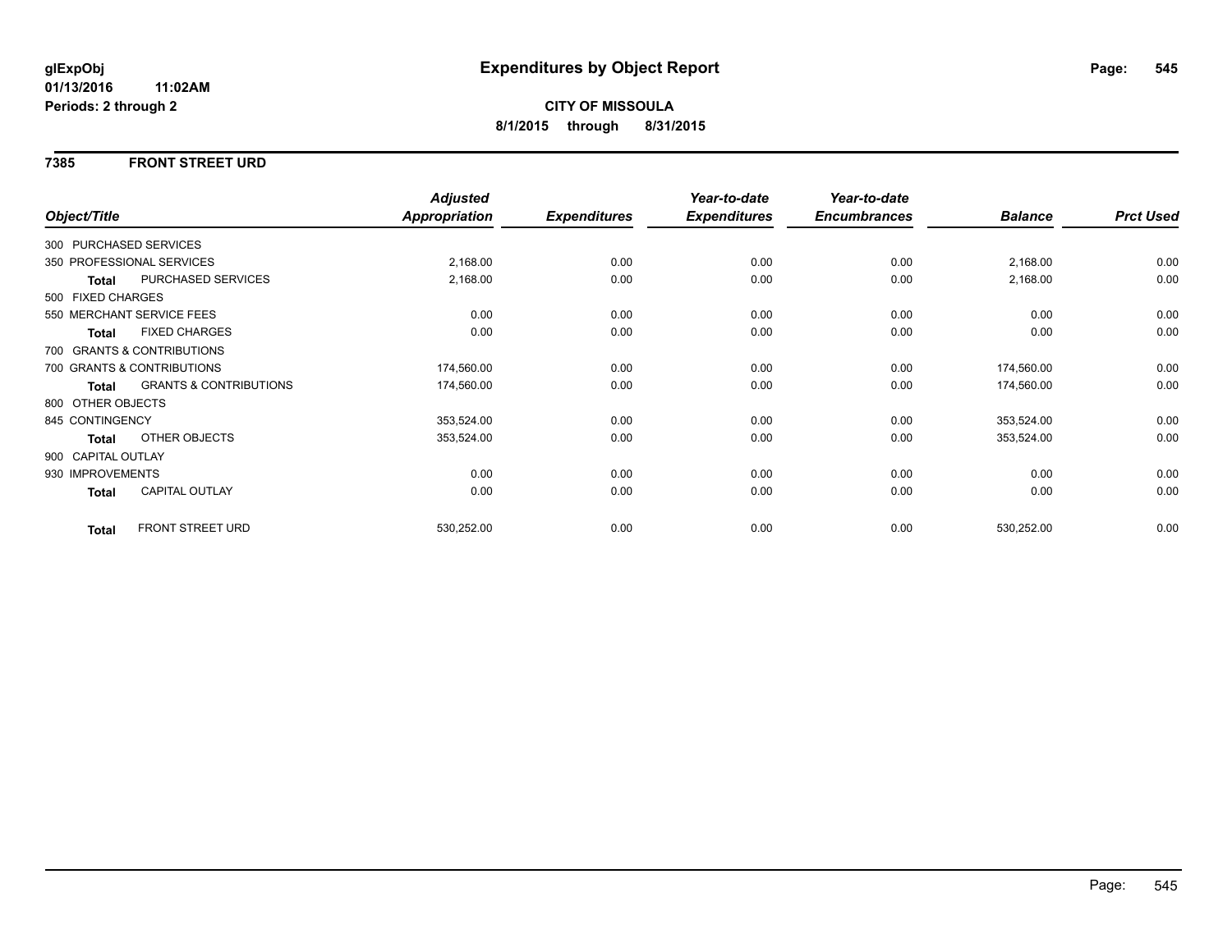### **7385 FRONT STREET URD**

|                    |                                   | <b>Adjusted</b> |                     | Year-to-date        | Year-to-date        |                |                  |
|--------------------|-----------------------------------|-----------------|---------------------|---------------------|---------------------|----------------|------------------|
| Object/Title       |                                   | Appropriation   | <b>Expenditures</b> | <b>Expenditures</b> | <b>Encumbrances</b> | <b>Balance</b> | <b>Prct Used</b> |
|                    | 300 PURCHASED SERVICES            |                 |                     |                     |                     |                |                  |
|                    | 350 PROFESSIONAL SERVICES         | 2,168.00        | 0.00                | 0.00                | 0.00                | 2,168.00       | 0.00             |
| Total              | PURCHASED SERVICES                | 2,168.00        | 0.00                | 0.00                | 0.00                | 2,168.00       | 0.00             |
| 500 FIXED CHARGES  |                                   |                 |                     |                     |                     |                |                  |
|                    | 550 MERCHANT SERVICE FEES         | 0.00            | 0.00                | 0.00                | 0.00                | 0.00           | 0.00             |
| <b>Total</b>       | <b>FIXED CHARGES</b>              | 0.00            | 0.00                | 0.00                | 0.00                | 0.00           | 0.00             |
|                    | 700 GRANTS & CONTRIBUTIONS        |                 |                     |                     |                     |                |                  |
|                    | 700 GRANTS & CONTRIBUTIONS        | 174,560.00      | 0.00                | 0.00                | 0.00                | 174,560.00     | 0.00             |
| Total              | <b>GRANTS &amp; CONTRIBUTIONS</b> | 174,560.00      | 0.00                | 0.00                | 0.00                | 174,560.00     | 0.00             |
| 800 OTHER OBJECTS  |                                   |                 |                     |                     |                     |                |                  |
| 845 CONTINGENCY    |                                   | 353,524.00      | 0.00                | 0.00                | 0.00                | 353,524.00     | 0.00             |
| Total              | OTHER OBJECTS                     | 353,524.00      | 0.00                | 0.00                | 0.00                | 353,524.00     | 0.00             |
| 900 CAPITAL OUTLAY |                                   |                 |                     |                     |                     |                |                  |
| 930 IMPROVEMENTS   |                                   | 0.00            | 0.00                | 0.00                | 0.00                | 0.00           | 0.00             |
| <b>Total</b>       | CAPITAL OUTLAY                    | 0.00            | 0.00                | 0.00                | 0.00                | 0.00           | 0.00             |
| <b>Total</b>       | <b>FRONT STREET URD</b>           | 530,252.00      | 0.00                | 0.00                | 0.00                | 530,252.00     | 0.00             |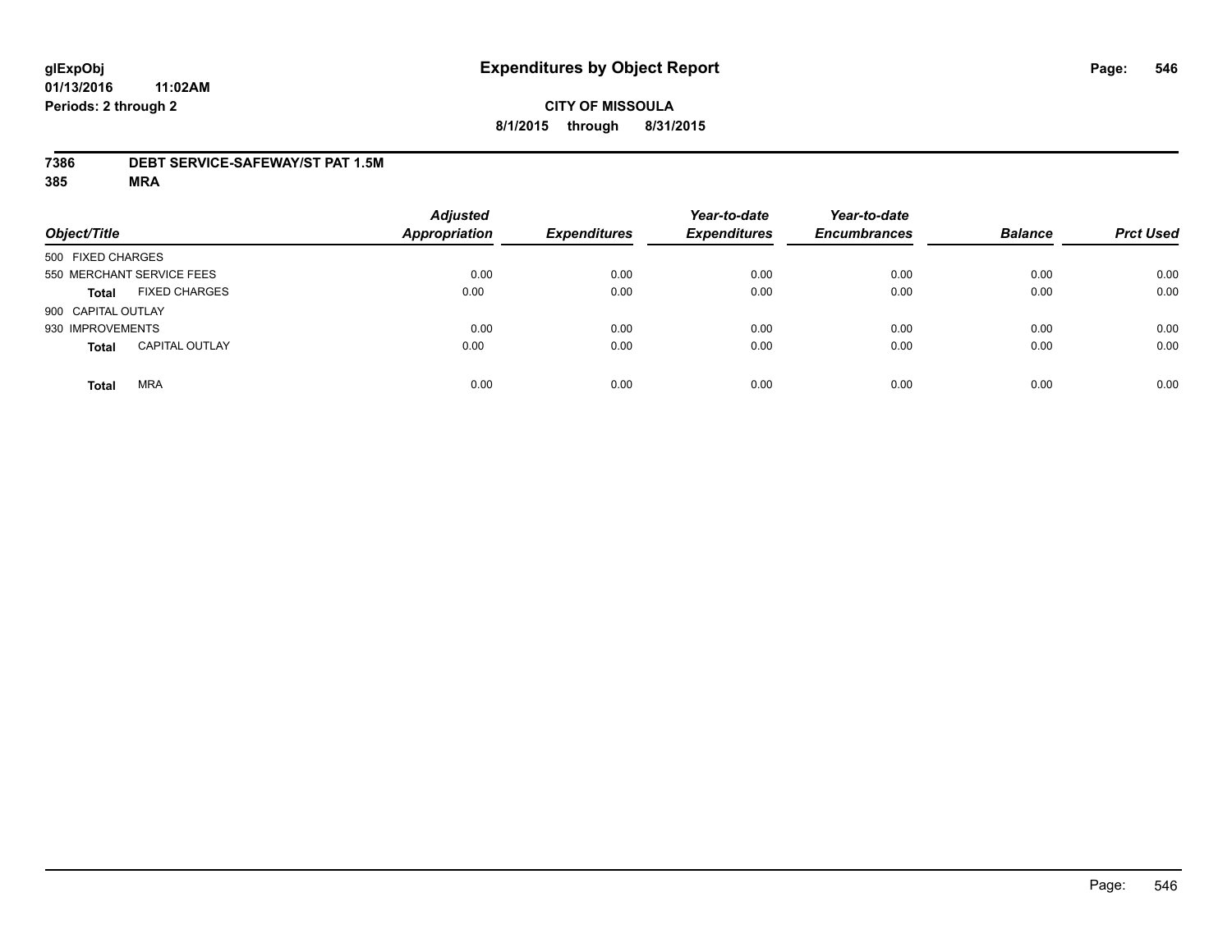### **7386 DEBT SERVICE-SAFEWAY/ST PAT 1.5M**

| Object/Title       |                           | <b>Adjusted</b><br><b>Appropriation</b> | <b>Expenditures</b> | Year-to-date<br><b>Expenditures</b> | Year-to-date<br><b>Encumbrances</b> | <b>Balance</b> | <b>Prct Used</b> |
|--------------------|---------------------------|-----------------------------------------|---------------------|-------------------------------------|-------------------------------------|----------------|------------------|
| 500 FIXED CHARGES  |                           |                                         |                     |                                     |                                     |                |                  |
|                    | 550 MERCHANT SERVICE FEES | 0.00                                    | 0.00                | 0.00                                | 0.00                                | 0.00           | 0.00             |
| <b>Total</b>       | <b>FIXED CHARGES</b>      | 0.00                                    | 0.00                | 0.00                                | 0.00                                | 0.00           | 0.00             |
| 900 CAPITAL OUTLAY |                           |                                         |                     |                                     |                                     |                |                  |
| 930 IMPROVEMENTS   |                           | 0.00                                    | 0.00                | 0.00                                | 0.00                                | 0.00           | 0.00             |
| <b>Total</b>       | <b>CAPITAL OUTLAY</b>     | 0.00                                    | 0.00                | 0.00                                | 0.00                                | 0.00           | 0.00             |
| <b>Total</b>       | <b>MRA</b>                | 0.00                                    | 0.00                | 0.00                                | 0.00                                | 0.00           | 0.00             |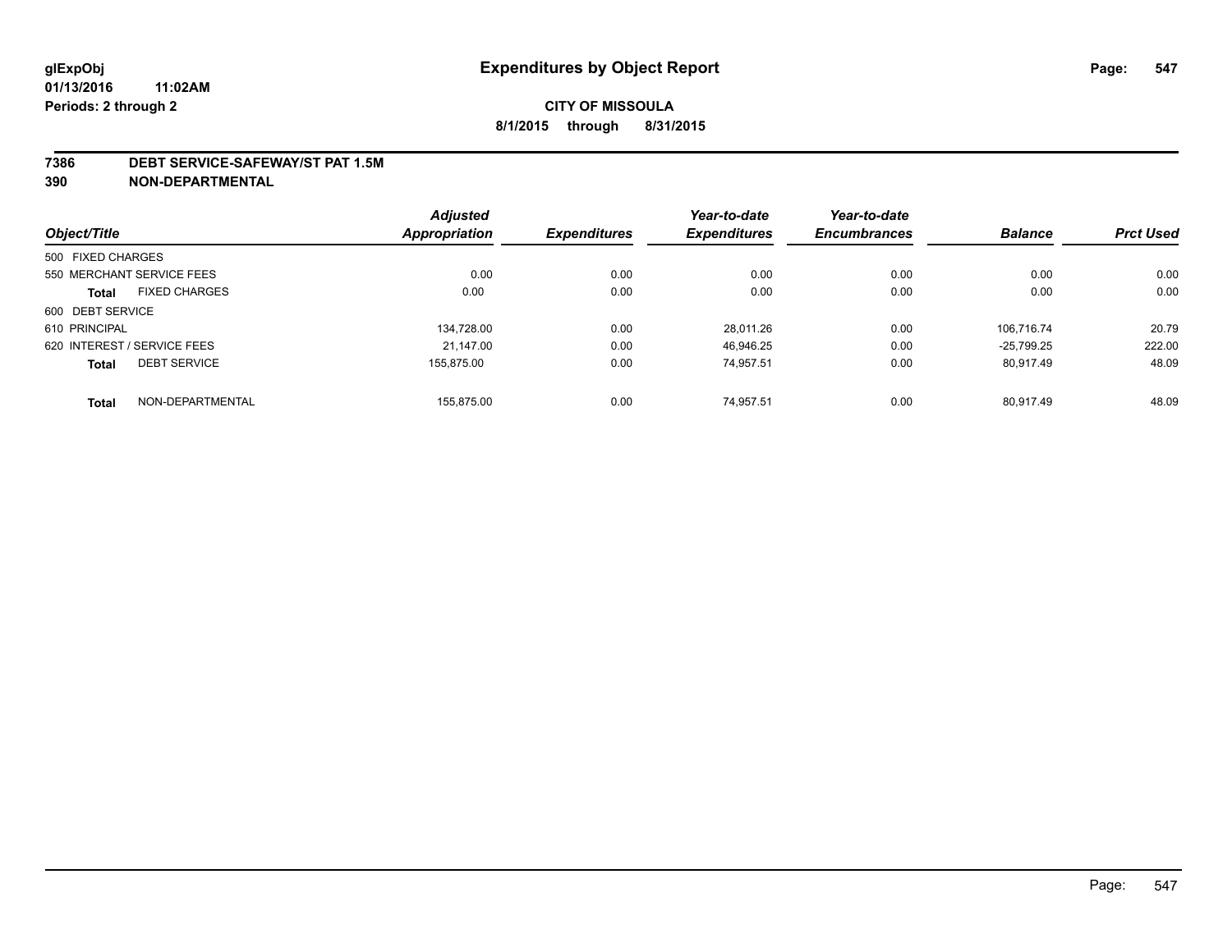#### **7386 DEBT SERVICE-SAFEWAY/ST PAT 1.5M**

**390 NON-DEPARTMENTAL**

|                                      | <b>Adjusted</b> |                     | Year-to-date        | Year-to-date        |                |                  |
|--------------------------------------|-----------------|---------------------|---------------------|---------------------|----------------|------------------|
| Object/Title                         | Appropriation   | <b>Expenditures</b> | <b>Expenditures</b> | <b>Encumbrances</b> | <b>Balance</b> | <b>Prct Used</b> |
| 500 FIXED CHARGES                    |                 |                     |                     |                     |                |                  |
| 550 MERCHANT SERVICE FEES            | 0.00            | 0.00                | 0.00                | 0.00                | 0.00           | 0.00             |
| <b>FIXED CHARGES</b><br><b>Total</b> | 0.00            | 0.00                | 0.00                | 0.00                | 0.00           | 0.00             |
| 600 DEBT SERVICE                     |                 |                     |                     |                     |                |                  |
| 610 PRINCIPAL                        | 134.728.00      | 0.00                | 28.011.26           | 0.00                | 106.716.74     | 20.79            |
| 620 INTEREST / SERVICE FEES          | 21.147.00       | 0.00                | 46.946.25           | 0.00                | $-25.799.25$   | 222.00           |
| <b>DEBT SERVICE</b><br><b>Total</b>  | 155.875.00      | 0.00                | 74.957.51           | 0.00                | 80.917.49      | 48.09            |
| NON-DEPARTMENTAL<br><b>Total</b>     | 155.875.00      | 0.00                | 74.957.51           | 0.00                | 80.917.49      | 48.09            |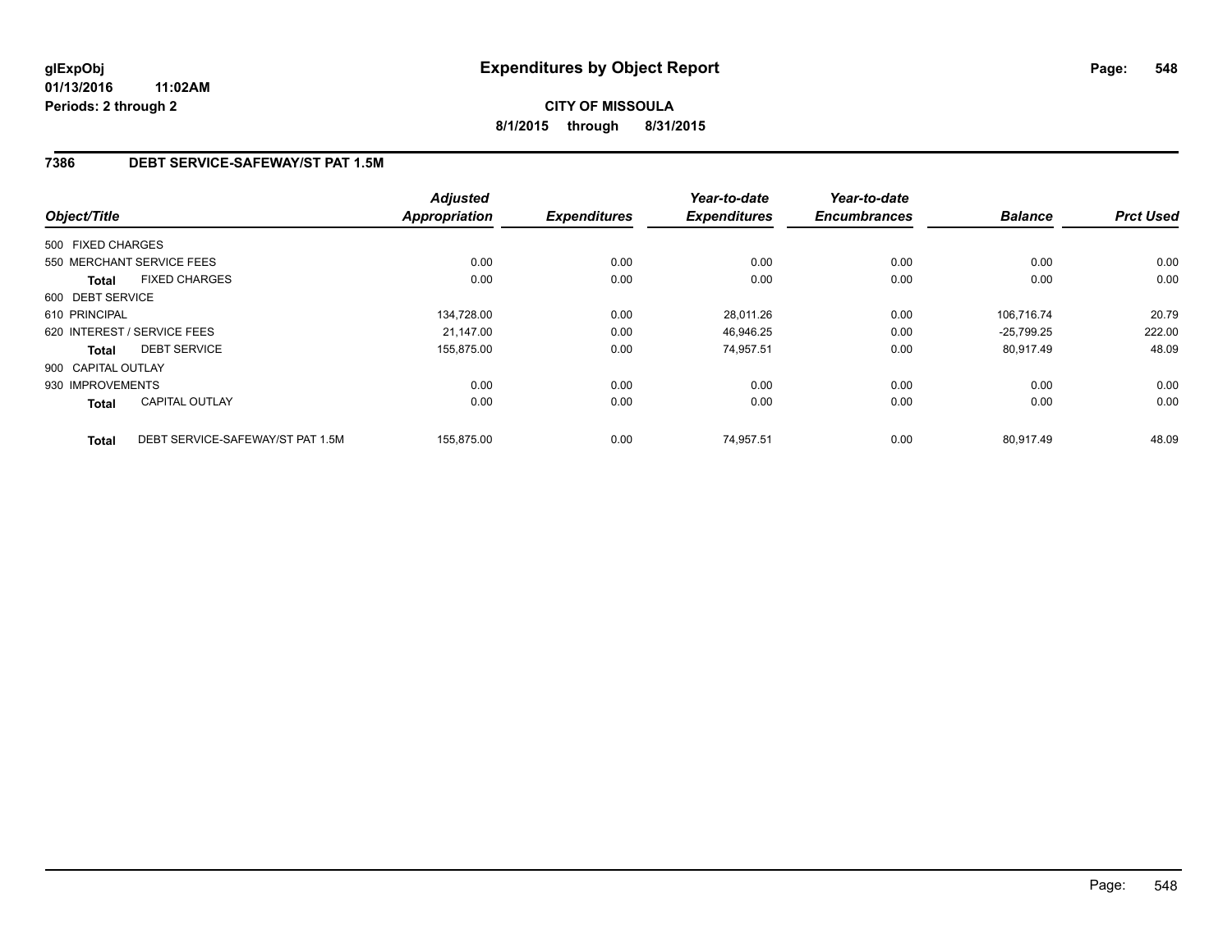## **7386 DEBT SERVICE-SAFEWAY/ST PAT 1.5M**

|                    |                                  | <b>Adjusted</b><br><b>Appropriation</b> |                     | Year-to-date        | Year-to-date<br><b>Encumbrances</b> | <b>Balance</b> | <b>Prct Used</b> |
|--------------------|----------------------------------|-----------------------------------------|---------------------|---------------------|-------------------------------------|----------------|------------------|
| Object/Title       |                                  |                                         | <b>Expenditures</b> | <b>Expenditures</b> |                                     |                |                  |
| 500 FIXED CHARGES  |                                  |                                         |                     |                     |                                     |                |                  |
|                    | 550 MERCHANT SERVICE FEES        | 0.00                                    | 0.00                | 0.00                | 0.00                                | 0.00           | 0.00             |
| Total              | <b>FIXED CHARGES</b>             | 0.00                                    | 0.00                | 0.00                | 0.00                                | 0.00           | 0.00             |
| 600 DEBT SERVICE   |                                  |                                         |                     |                     |                                     |                |                  |
| 610 PRINCIPAL      |                                  | 134,728.00                              | 0.00                | 28,011.26           | 0.00                                | 106.716.74     | 20.79            |
|                    | 620 INTEREST / SERVICE FEES      | 21.147.00                               | 0.00                | 46,946.25           | 0.00                                | $-25.799.25$   | 222.00           |
| Total              | <b>DEBT SERVICE</b>              | 155,875.00                              | 0.00                | 74.957.51           | 0.00                                | 80.917.49      | 48.09            |
| 900 CAPITAL OUTLAY |                                  |                                         |                     |                     |                                     |                |                  |
| 930 IMPROVEMENTS   |                                  | 0.00                                    | 0.00                | 0.00                | 0.00                                | 0.00           | 0.00             |
| Total              | <b>CAPITAL OUTLAY</b>            | 0.00                                    | 0.00                | 0.00                | 0.00                                | 0.00           | 0.00             |
| <b>Total</b>       | DEBT SERVICE-SAFEWAY/ST PAT 1.5M | 155,875.00                              | 0.00                | 74,957.51           | 0.00                                | 80.917.49      | 48.09            |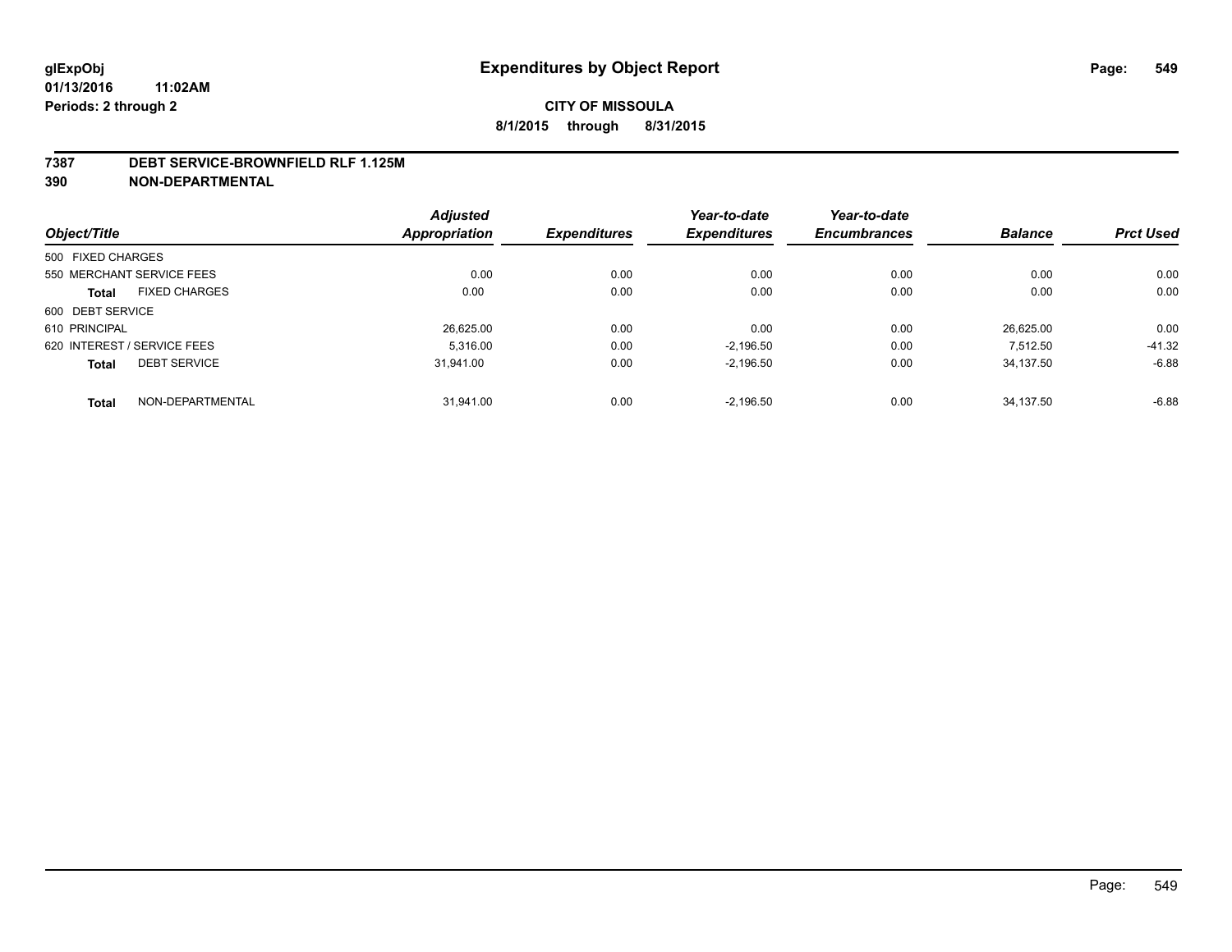#### **7387 DEBT SERVICE-BROWNFIELD RLF 1.125M**

**390 NON-DEPARTMENTAL**

|                             |                      | <b>Adjusted</b> |                     | Year-to-date        | Year-to-date        |                |                  |
|-----------------------------|----------------------|-----------------|---------------------|---------------------|---------------------|----------------|------------------|
| Object/Title                |                      | Appropriation   | <b>Expenditures</b> | <b>Expenditures</b> | <b>Encumbrances</b> | <b>Balance</b> | <b>Prct Used</b> |
| 500 FIXED CHARGES           |                      |                 |                     |                     |                     |                |                  |
| 550 MERCHANT SERVICE FEES   |                      | 0.00            | 0.00                | 0.00                | 0.00                | 0.00           | 0.00             |
| <b>Total</b>                | <b>FIXED CHARGES</b> | 0.00            | 0.00                | 0.00                | 0.00                | 0.00           | 0.00             |
| 600 DEBT SERVICE            |                      |                 |                     |                     |                     |                |                  |
| 610 PRINCIPAL               |                      | 26,625.00       | 0.00                | 0.00                | 0.00                | 26.625.00      | 0.00             |
| 620 INTEREST / SERVICE FEES |                      | 5.316.00        | 0.00                | $-2.196.50$         | 0.00                | 7.512.50       | $-41.32$         |
| <b>Total</b>                | <b>DEBT SERVICE</b>  | 31.941.00       | 0.00                | $-2,196.50$         | 0.00                | 34.137.50      | $-6.88$          |
| <b>Total</b>                | NON-DEPARTMENTAL     | 31.941.00       | 0.00                | $-2.196.50$         | 0.00                | 34.137.50      | $-6.88$          |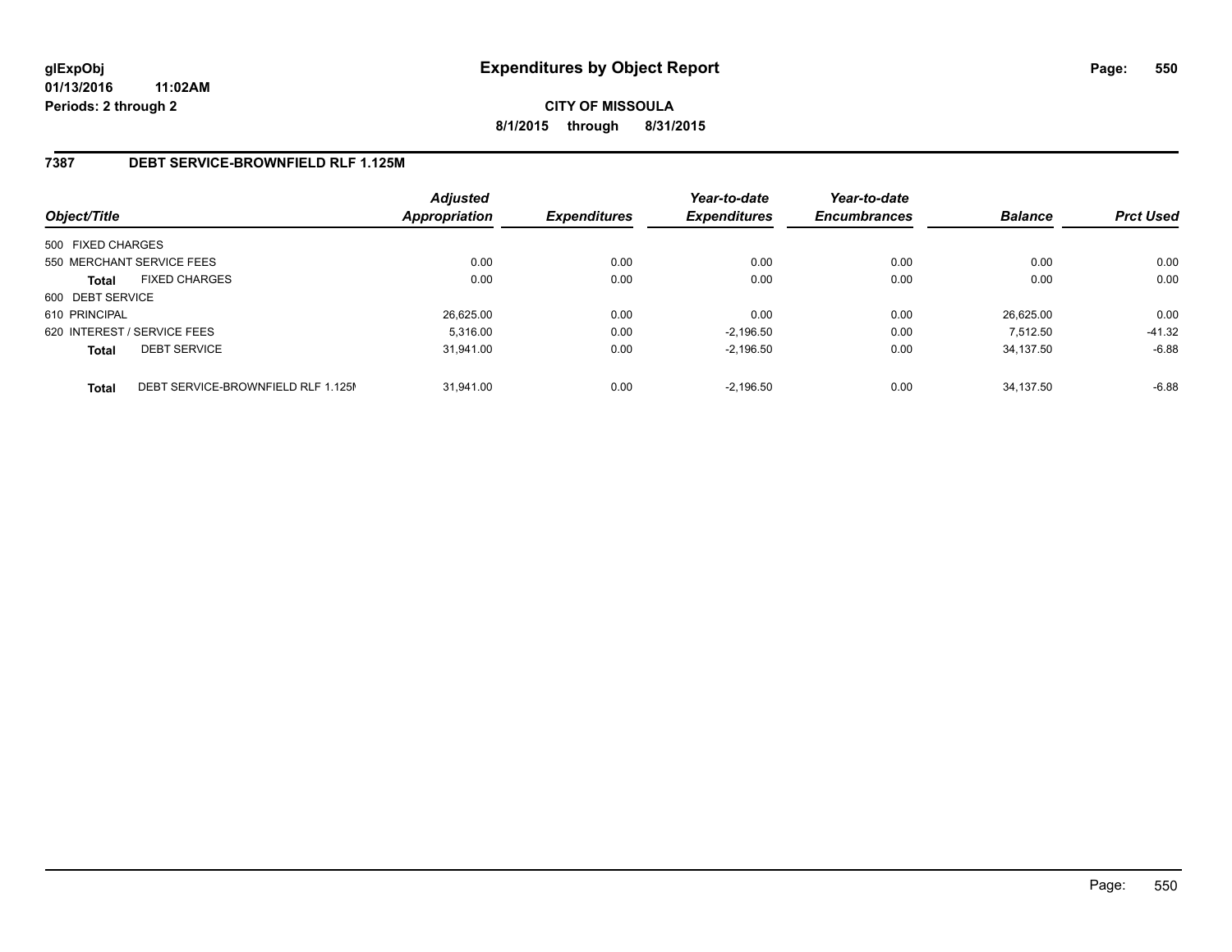# **CITY OF MISSOULA 8/1/2015 through 8/31/2015**

### **7387 DEBT SERVICE-BROWNFIELD RLF 1.125M**

| Object/Title      |                                    | <b>Adjusted</b><br>Appropriation | <b>Expenditures</b> | Year-to-date<br><b>Expenditures</b> | Year-to-date<br><b>Encumbrances</b> | <b>Balance</b> | <b>Prct Used</b> |
|-------------------|------------------------------------|----------------------------------|---------------------|-------------------------------------|-------------------------------------|----------------|------------------|
| 500 FIXED CHARGES |                                    |                                  |                     |                                     |                                     |                |                  |
|                   | 550 MERCHANT SERVICE FEES          | 0.00                             | 0.00                | 0.00                                | 0.00                                | 0.00           | 0.00             |
| <b>Total</b>      | <b>FIXED CHARGES</b>               | 0.00                             | 0.00                | 0.00                                | 0.00                                | 0.00           | 0.00             |
| 600 DEBT SERVICE  |                                    |                                  |                     |                                     |                                     |                |                  |
| 610 PRINCIPAL     |                                    | 26,625.00                        | 0.00                | 0.00                                | 0.00                                | 26.625.00      | 0.00             |
|                   | 620 INTEREST / SERVICE FEES        | 5.316.00                         | 0.00                | $-2.196.50$                         | 0.00                                | 7.512.50       | $-41.32$         |
| <b>Total</b>      | <b>DEBT SERVICE</b>                | 31.941.00                        | 0.00                | $-2.196.50$                         | 0.00                                | 34.137.50      | $-6.88$          |
| <b>Total</b>      | DEBT SERVICE-BROWNFIELD RLF 1.125M | 31.941.00                        | 0.00                | $-2.196.50$                         | 0.00                                | 34.137.50      | $-6.88$          |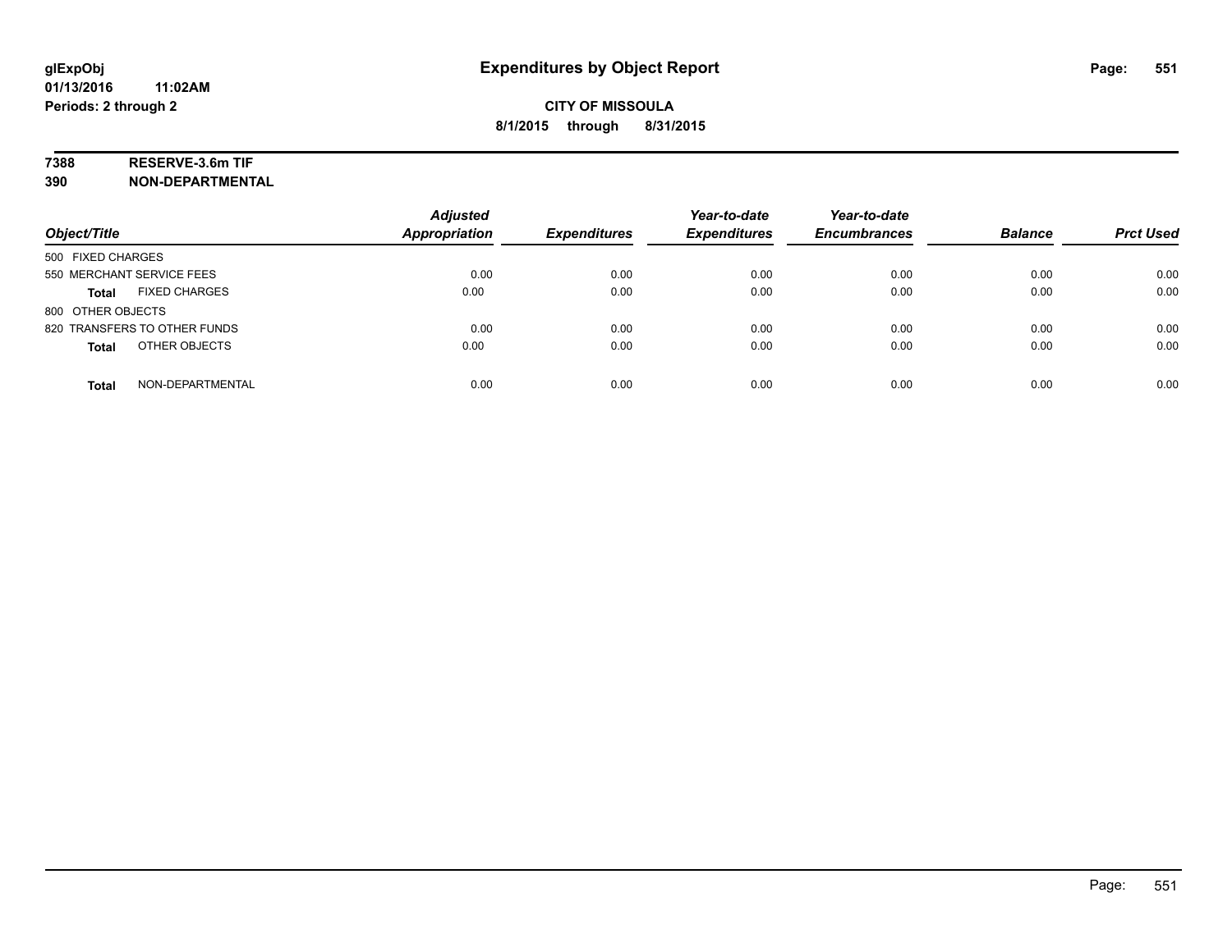## **7388 RESERVE-3.6m TIF**

**390 NON-DEPARTMENTAL**

| Object/Title                         | <b>Adjusted</b><br><b>Appropriation</b> | <b>Expenditures</b> | Year-to-date<br><b>Expenditures</b> | Year-to-date<br><b>Encumbrances</b> | <b>Balance</b> | <b>Prct Used</b> |
|--------------------------------------|-----------------------------------------|---------------------|-------------------------------------|-------------------------------------|----------------|------------------|
| 500 FIXED CHARGES                    |                                         |                     |                                     |                                     |                |                  |
| 550 MERCHANT SERVICE FEES            | 0.00                                    | 0.00                | 0.00                                | 0.00                                | 0.00           | 0.00             |
| <b>FIXED CHARGES</b><br><b>Total</b> | 0.00                                    | 0.00                | 0.00                                | 0.00                                | 0.00           | 0.00             |
| 800 OTHER OBJECTS                    |                                         |                     |                                     |                                     |                |                  |
| 820 TRANSFERS TO OTHER FUNDS         | 0.00                                    | 0.00                | 0.00                                | 0.00                                | 0.00           | 0.00             |
| OTHER OBJECTS<br><b>Total</b>        | 0.00                                    | 0.00                | 0.00                                | 0.00                                | 0.00           | 0.00             |
| NON-DEPARTMENTAL<br><b>Total</b>     | 0.00                                    | 0.00                | 0.00                                | 0.00                                | 0.00           | 0.00             |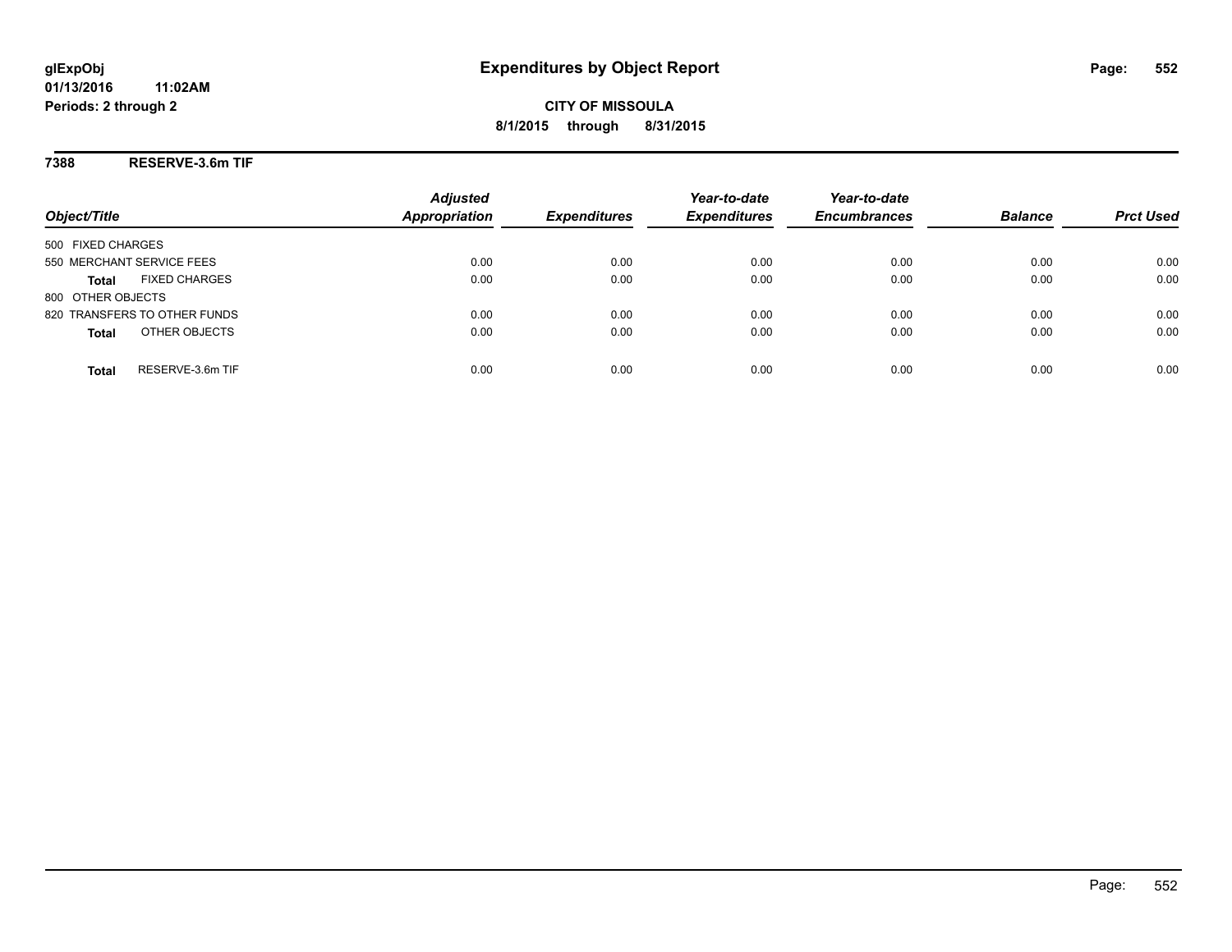**CITY OF MISSOULA 8/1/2015 through 8/31/2015**

**7388 RESERVE-3.6m TIF**

| Object/Title                         | <b>Adjusted</b><br><b>Appropriation</b> | <b>Expenditures</b> | Year-to-date<br><b>Expenditures</b> | Year-to-date<br><b>Encumbrances</b> | <b>Balance</b> | <b>Prct Used</b> |
|--------------------------------------|-----------------------------------------|---------------------|-------------------------------------|-------------------------------------|----------------|------------------|
| 500 FIXED CHARGES                    |                                         |                     |                                     |                                     |                |                  |
| 550 MERCHANT SERVICE FEES            | 0.00                                    | 0.00                | 0.00                                | 0.00                                | 0.00           | 0.00             |
| <b>FIXED CHARGES</b><br><b>Total</b> | 0.00                                    | 0.00                | 0.00                                | 0.00                                | 0.00           | 0.00             |
| 800 OTHER OBJECTS                    |                                         |                     |                                     |                                     |                |                  |
| 820 TRANSFERS TO OTHER FUNDS         | 0.00                                    | 0.00                | 0.00                                | 0.00                                | 0.00           | 0.00             |
| OTHER OBJECTS<br><b>Total</b>        | 0.00                                    | 0.00                | 0.00                                | 0.00                                | 0.00           | 0.00             |
| RESERVE-3.6m TIF<br>Total            | 0.00                                    | 0.00                | 0.00                                | 0.00                                | 0.00           | 0.00             |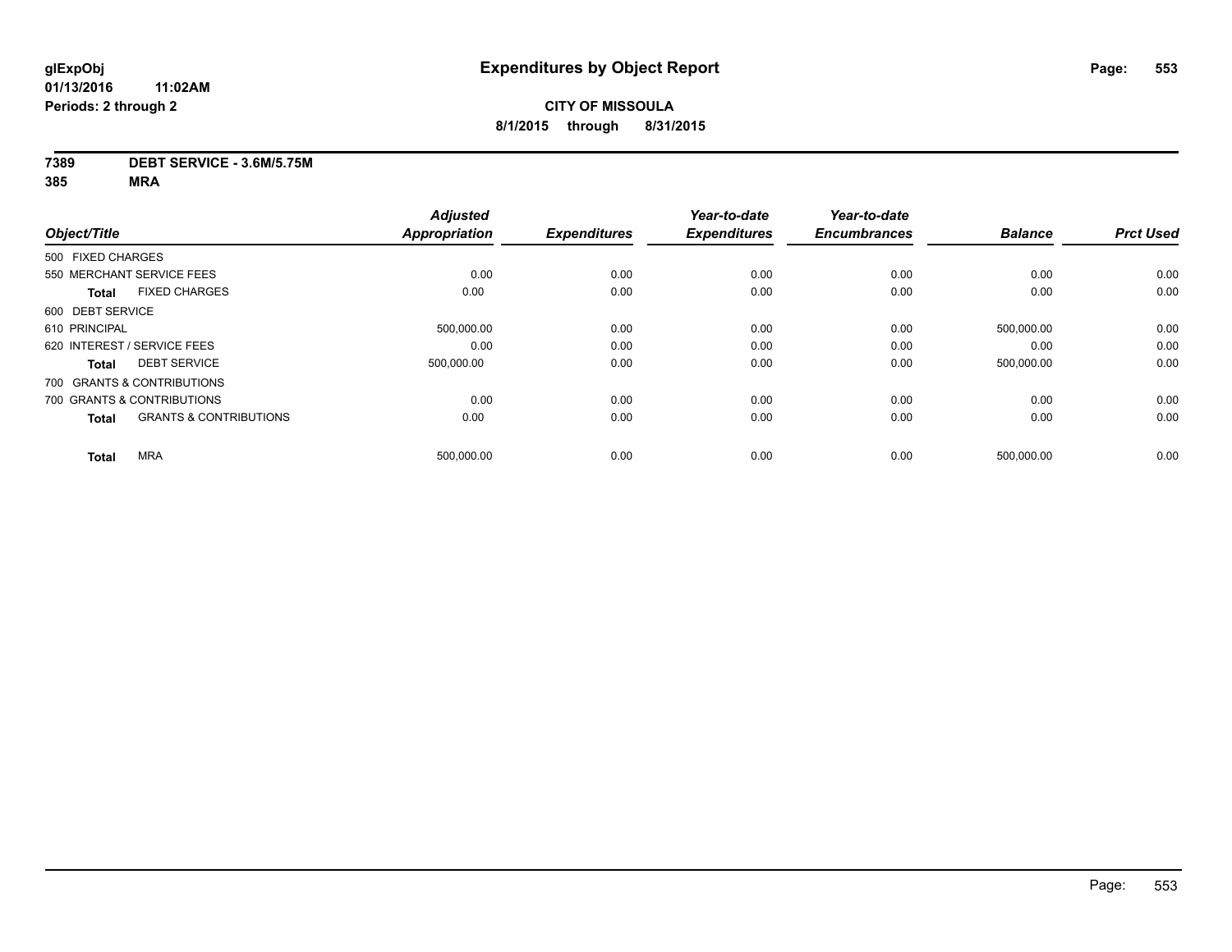#### **7389 DEBT SERVICE - 3.6M/5.75M**

|                   |                                   | <b>Adjusted</b>      |                     | Year-to-date        | Year-to-date        |                |                  |
|-------------------|-----------------------------------|----------------------|---------------------|---------------------|---------------------|----------------|------------------|
| Object/Title      |                                   | <b>Appropriation</b> | <b>Expenditures</b> | <b>Expenditures</b> | <b>Encumbrances</b> | <b>Balance</b> | <b>Prct Used</b> |
| 500 FIXED CHARGES |                                   |                      |                     |                     |                     |                |                  |
|                   | 550 MERCHANT SERVICE FEES         | 0.00                 | 0.00                | 0.00                | 0.00                | 0.00           | 0.00             |
| <b>Total</b>      | <b>FIXED CHARGES</b>              | 0.00                 | 0.00                | 0.00                | 0.00                | 0.00           | 0.00             |
| 600 DEBT SERVICE  |                                   |                      |                     |                     |                     |                |                  |
| 610 PRINCIPAL     |                                   | 500,000.00           | 0.00                | 0.00                | 0.00                | 500,000.00     | 0.00             |
|                   | 620 INTEREST / SERVICE FEES       | 0.00                 | 0.00                | 0.00                | 0.00                | 0.00           | 0.00             |
| <b>Total</b>      | <b>DEBT SERVICE</b>               | 500.000.00           | 0.00                | 0.00                | 0.00                | 500.000.00     | 0.00             |
|                   | 700 GRANTS & CONTRIBUTIONS        |                      |                     |                     |                     |                |                  |
|                   | 700 GRANTS & CONTRIBUTIONS        | 0.00                 | 0.00                | 0.00                | 0.00                | 0.00           | 0.00             |
| <b>Total</b>      | <b>GRANTS &amp; CONTRIBUTIONS</b> | 0.00                 | 0.00                | 0.00                | 0.00                | 0.00           | 0.00             |
| <b>Total</b>      | <b>MRA</b>                        | 500,000.00           | 0.00                | 0.00                | 0.00                | 500,000.00     | 0.00             |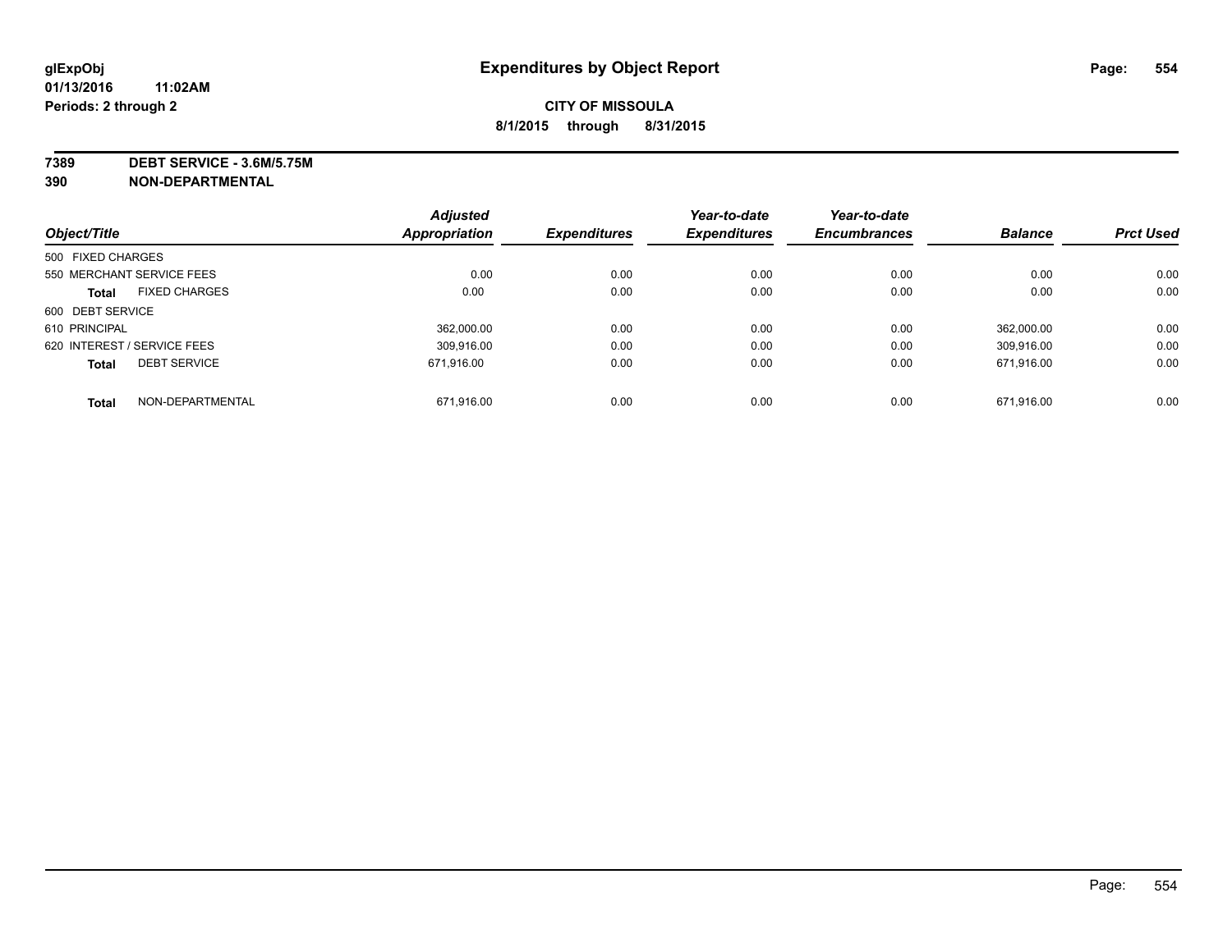**7389 DEBT SERVICE - 3.6M/5.75M**

**390 NON-DEPARTMENTAL**

|                   |                             | <b>Adjusted</b> |                     | Year-to-date        | Year-to-date        |                |                  |
|-------------------|-----------------------------|-----------------|---------------------|---------------------|---------------------|----------------|------------------|
| Object/Title      |                             | Appropriation   | <b>Expenditures</b> | <b>Expenditures</b> | <b>Encumbrances</b> | <b>Balance</b> | <b>Prct Used</b> |
| 500 FIXED CHARGES |                             |                 |                     |                     |                     |                |                  |
|                   | 550 MERCHANT SERVICE FEES   | 0.00            | 0.00                | 0.00                | 0.00                | 0.00           | 0.00             |
| <b>Total</b>      | <b>FIXED CHARGES</b>        | 0.00            | 0.00                | 0.00                | 0.00                | 0.00           | 0.00             |
| 600 DEBT SERVICE  |                             |                 |                     |                     |                     |                |                  |
| 610 PRINCIPAL     |                             | 362.000.00      | 0.00                | 0.00                | 0.00                | 362.000.00     | 0.00             |
|                   | 620 INTEREST / SERVICE FEES | 309.916.00      | 0.00                | 0.00                | 0.00                | 309.916.00     | 0.00             |
| <b>Total</b>      | <b>DEBT SERVICE</b>         | 671.916.00      | 0.00                | 0.00                | 0.00                | 671.916.00     | 0.00             |
| <b>Total</b>      | NON-DEPARTMENTAL            | 671,916.00      | 0.00                | 0.00                | 0.00                | 671,916.00     | 0.00             |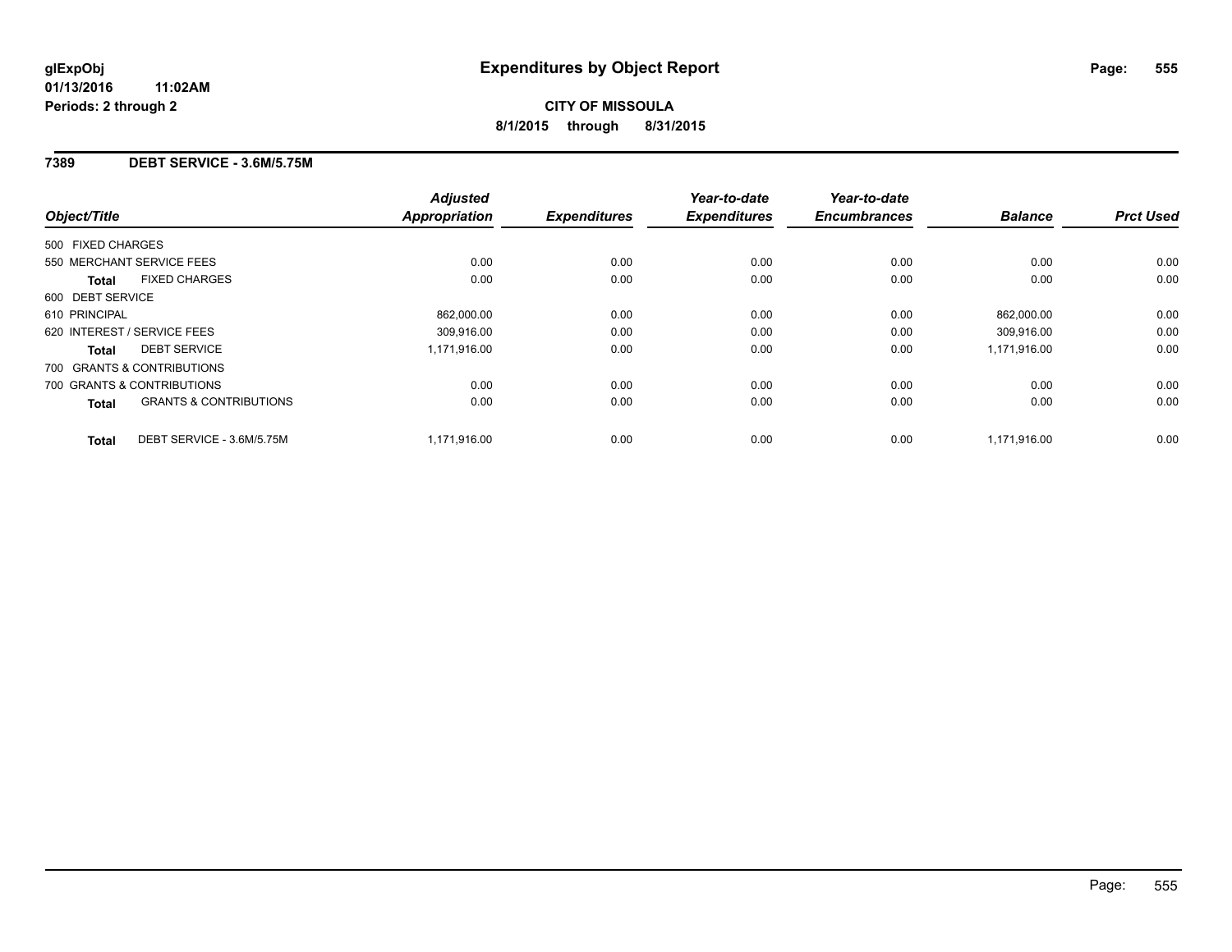### **7389 DEBT SERVICE - 3.6M/5.75M**

| Object/Title                                      | <b>Adjusted</b><br><b>Appropriation</b> | <b>Expenditures</b> | Year-to-date<br><b>Expenditures</b> | Year-to-date<br><b>Encumbrances</b> | <b>Balance</b> | <b>Prct Used</b> |
|---------------------------------------------------|-----------------------------------------|---------------------|-------------------------------------|-------------------------------------|----------------|------------------|
| 500 FIXED CHARGES                                 |                                         |                     |                                     |                                     |                |                  |
| 550 MERCHANT SERVICE FEES                         | 0.00                                    | 0.00                | 0.00                                | 0.00                                | 0.00           | 0.00             |
| <b>FIXED CHARGES</b><br><b>Total</b>              | 0.00                                    | 0.00                | 0.00                                | 0.00                                | 0.00           | 0.00             |
| 600 DEBT SERVICE                                  |                                         |                     |                                     |                                     |                |                  |
| 610 PRINCIPAL                                     | 862,000.00                              | 0.00                | 0.00                                | 0.00                                | 862,000.00     | 0.00             |
| 620 INTEREST / SERVICE FEES                       | 309.916.00                              | 0.00                | 0.00                                | 0.00                                | 309,916.00     | 0.00             |
| <b>DEBT SERVICE</b><br><b>Total</b>               | 1,171,916.00                            | 0.00                | 0.00                                | 0.00                                | 1,171,916.00   | 0.00             |
| 700 GRANTS & CONTRIBUTIONS                        |                                         |                     |                                     |                                     |                |                  |
| 700 GRANTS & CONTRIBUTIONS                        | 0.00                                    | 0.00                | 0.00                                | 0.00                                | 0.00           | 0.00             |
| <b>GRANTS &amp; CONTRIBUTIONS</b><br><b>Total</b> | 0.00                                    | 0.00                | 0.00                                | 0.00                                | 0.00           | 0.00             |
| DEBT SERVICE - 3.6M/5.75M<br><b>Total</b>         | 1,171,916.00                            | 0.00                | 0.00                                | 0.00                                | 1,171,916.00   | 0.00             |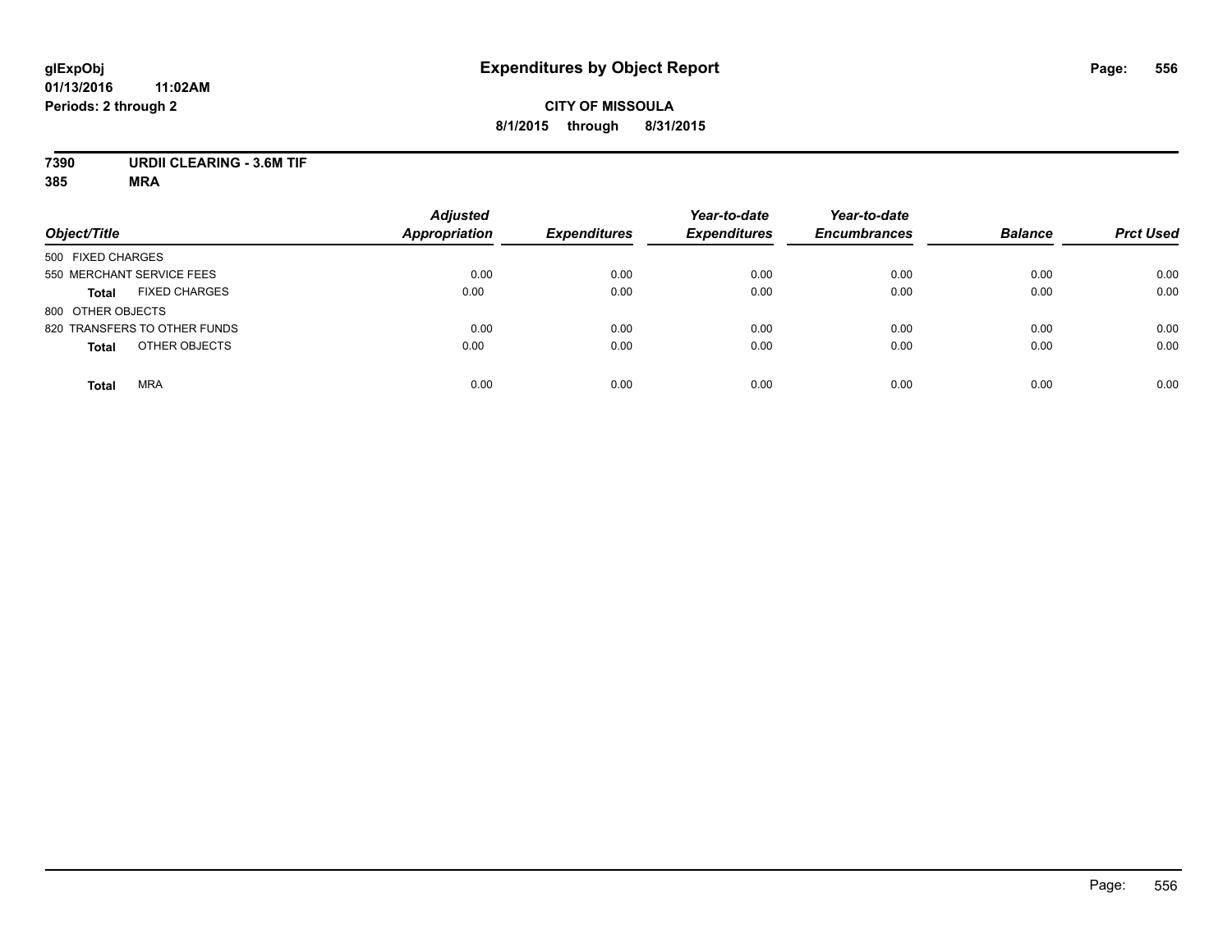## **CITY OF MISSOULA 8/1/2015 through 8/31/2015**

# **7390 URDII CLEARING - 3.6M TIF**

| Object/Title                         | <b>Adjusted</b><br><b>Appropriation</b> | <b>Expenditures</b> | Year-to-date<br><b>Expenditures</b> | Year-to-date<br><b>Encumbrances</b> | <b>Balance</b> | <b>Prct Used</b> |
|--------------------------------------|-----------------------------------------|---------------------|-------------------------------------|-------------------------------------|----------------|------------------|
| 500 FIXED CHARGES                    |                                         |                     |                                     |                                     |                |                  |
| 550 MERCHANT SERVICE FEES            | 0.00                                    | 0.00                | 0.00                                | 0.00                                | 0.00           | 0.00             |
| <b>FIXED CHARGES</b><br><b>Total</b> | 0.00                                    | 0.00                | 0.00                                | 0.00                                | 0.00           | 0.00             |
| 800 OTHER OBJECTS                    |                                         |                     |                                     |                                     |                |                  |
| 820 TRANSFERS TO OTHER FUNDS         | 0.00                                    | 0.00                | 0.00                                | 0.00                                | 0.00           | 0.00             |
| OTHER OBJECTS<br><b>Total</b>        | 0.00                                    | 0.00                | 0.00                                | 0.00                                | 0.00           | 0.00             |
| <b>MRA</b><br><b>Total</b>           | 0.00                                    | 0.00                | 0.00                                | 0.00                                | 0.00           | 0.00             |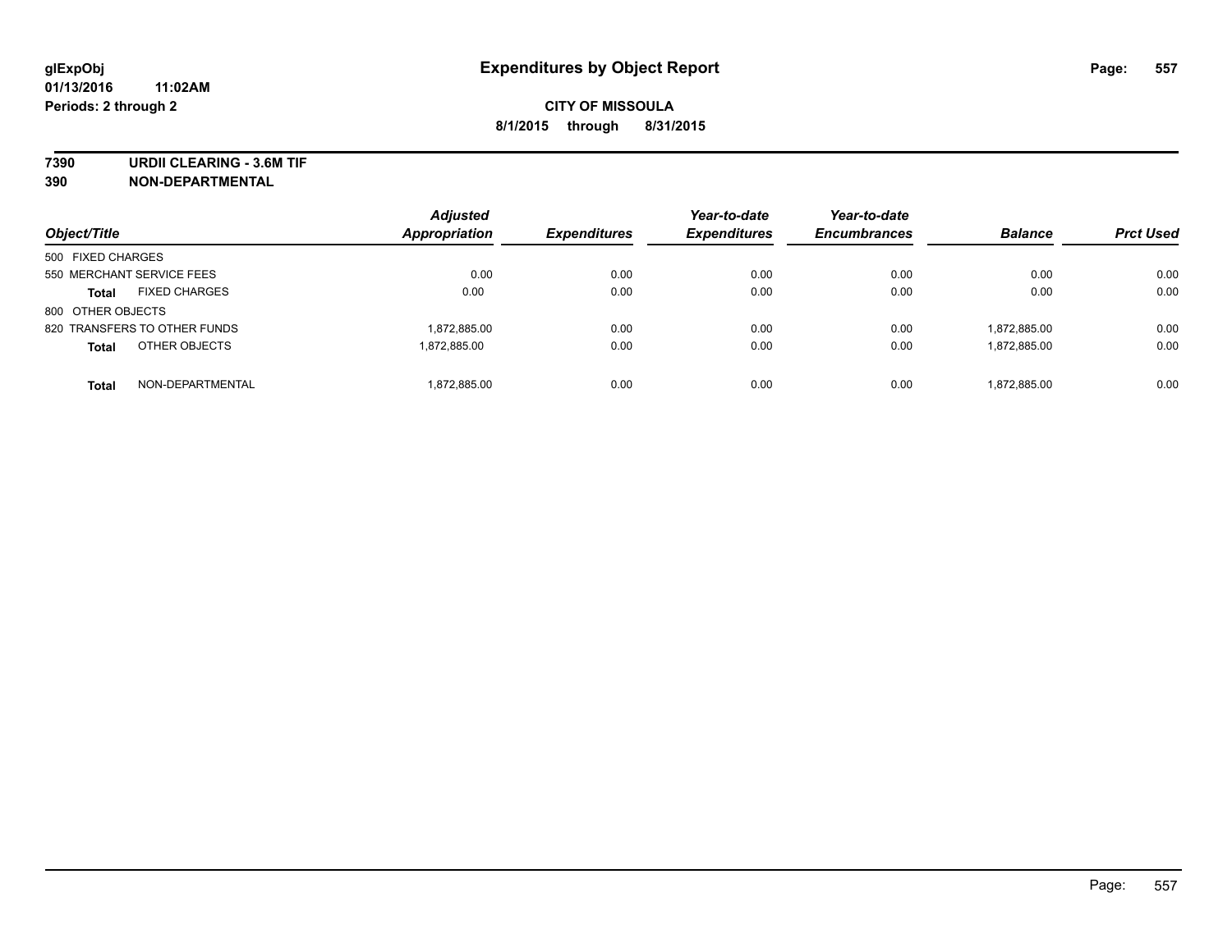**7390 URDII CLEARING - 3.6M TIF**

**390 NON-DEPARTMENTAL**

| Object/Title                         | <b>Adjusted</b><br>Appropriation | <b>Expenditures</b> | Year-to-date<br><b>Expenditures</b> | Year-to-date<br><b>Encumbrances</b> | <b>Balance</b> | <b>Prct Used</b> |
|--------------------------------------|----------------------------------|---------------------|-------------------------------------|-------------------------------------|----------------|------------------|
| 500 FIXED CHARGES                    |                                  |                     |                                     |                                     |                |                  |
| 550 MERCHANT SERVICE FEES            | 0.00                             | 0.00                | 0.00                                | 0.00                                | 0.00           | 0.00             |
| <b>FIXED CHARGES</b><br><b>Total</b> | 0.00                             | 0.00                | 0.00                                | 0.00                                | 0.00           | 0.00             |
| 800 OTHER OBJECTS                    |                                  |                     |                                     |                                     |                |                  |
| 820 TRANSFERS TO OTHER FUNDS         | 1,872,885.00                     | 0.00                | 0.00                                | 0.00                                | 1,872,885.00   | 0.00             |
| OTHER OBJECTS<br><b>Total</b>        | 1.872.885.00                     | 0.00                | 0.00                                | 0.00                                | 1,872,885.00   | 0.00             |
| NON-DEPARTMENTAL<br><b>Total</b>     | 1.872.885.00                     | 0.00                | 0.00                                | 0.00                                | 1.872.885.00   | 0.00             |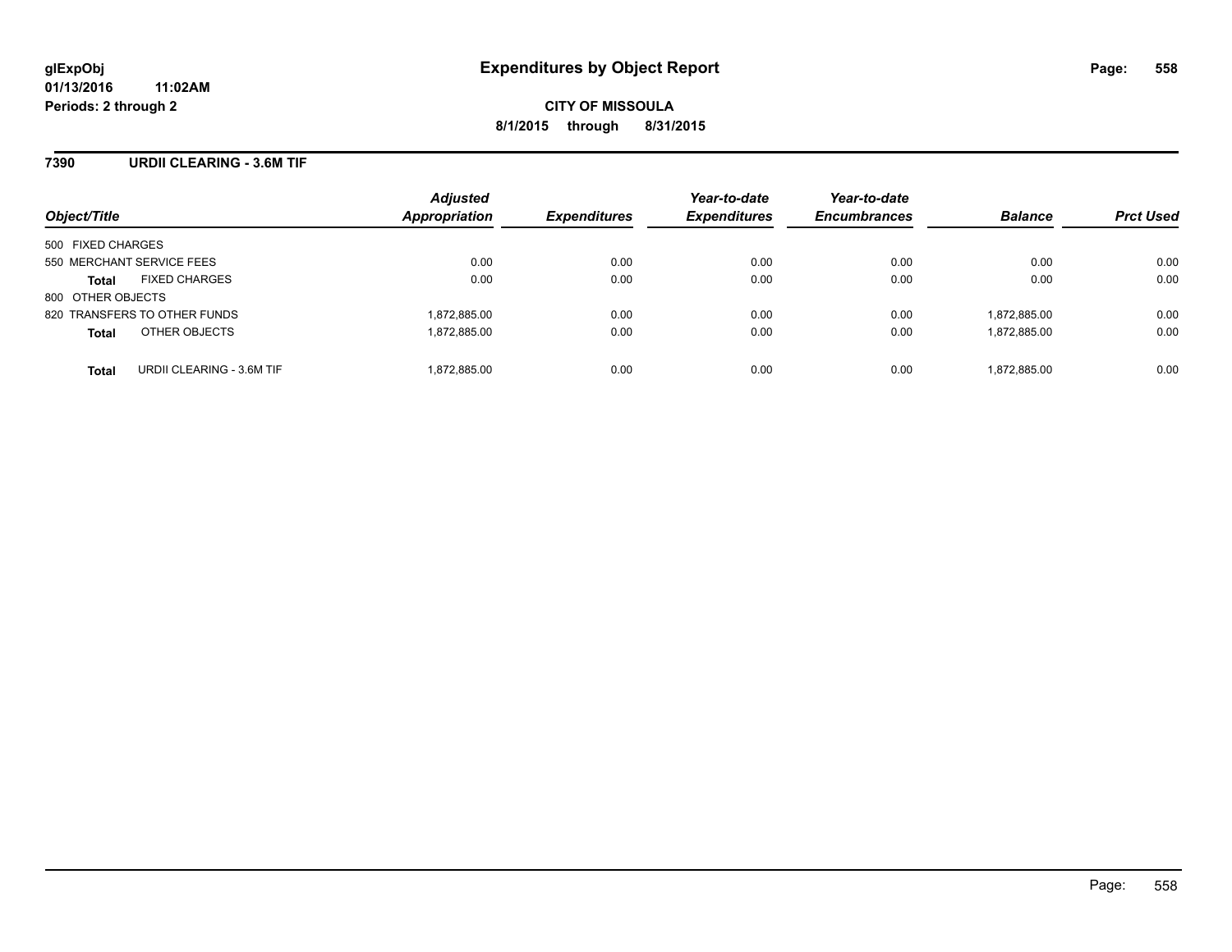### **7390 URDII CLEARING - 3.6M TIF**

| Object/Title                              | <b>Adjusted</b><br>Appropriation | <b>Expenditures</b> | Year-to-date<br><b>Expenditures</b> | Year-to-date<br><b>Encumbrances</b> | <b>Balance</b> | <b>Prct Used</b> |
|-------------------------------------------|----------------------------------|---------------------|-------------------------------------|-------------------------------------|----------------|------------------|
| 500 FIXED CHARGES                         |                                  |                     |                                     |                                     |                |                  |
| 550 MERCHANT SERVICE FEES                 | 0.00                             | 0.00                | 0.00                                | 0.00                                | 0.00           | 0.00             |
| <b>FIXED CHARGES</b><br><b>Total</b>      | 0.00                             | 0.00                | 0.00                                | 0.00                                | 0.00           | 0.00             |
| 800 OTHER OBJECTS                         |                                  |                     |                                     |                                     |                |                  |
| 820 TRANSFERS TO OTHER FUNDS              | 1,872,885.00                     | 0.00                | 0.00                                | 0.00                                | 1,872,885.00   | 0.00             |
| OTHER OBJECTS<br><b>Total</b>             | 1,872,885.00                     | 0.00                | 0.00                                | 0.00                                | 1,872,885.00   | 0.00             |
| URDII CLEARING - 3.6M TIF<br><b>Total</b> | 1,872,885.00                     | 0.00                | 0.00                                | 0.00                                | 1,872,885.00   | 0.00             |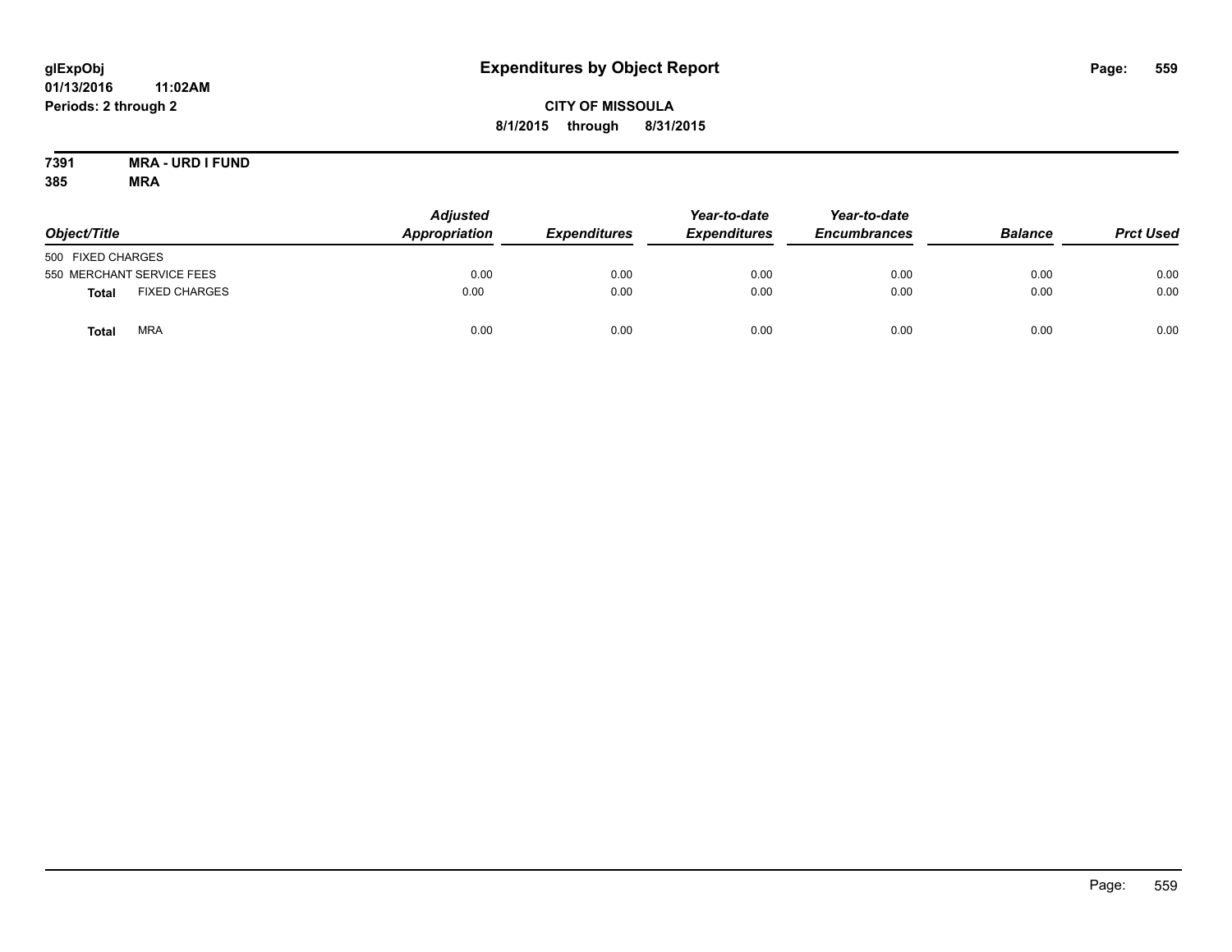## **CITY OF MISSOULA 8/1/2015 through 8/31/2015**

#### **7391 MRA - URD I FUND 385 MRA**

| Object/Title      |                           | <b>Adjusted</b><br>Appropriation | <b>Expenditures</b> | Year-to-date<br><b>Expenditures</b> | Year-to-date<br><b>Encumbrances</b> | <b>Balance</b> | <b>Prct Used</b> |
|-------------------|---------------------------|----------------------------------|---------------------|-------------------------------------|-------------------------------------|----------------|------------------|
| 500 FIXED CHARGES |                           |                                  |                     |                                     |                                     |                |                  |
|                   | 550 MERCHANT SERVICE FEES | 0.00                             | 0.00                | 0.00                                | 0.00                                | 0.00           | 0.00             |
| <b>Total</b>      | <b>FIXED CHARGES</b>      | 0.00                             | 0.00                | 0.00                                | 0.00                                | 0.00           | 0.00             |
| Total             | <b>MRA</b>                | 0.00                             | 0.00                | 0.00                                | 0.00                                | 0.00           | 0.00             |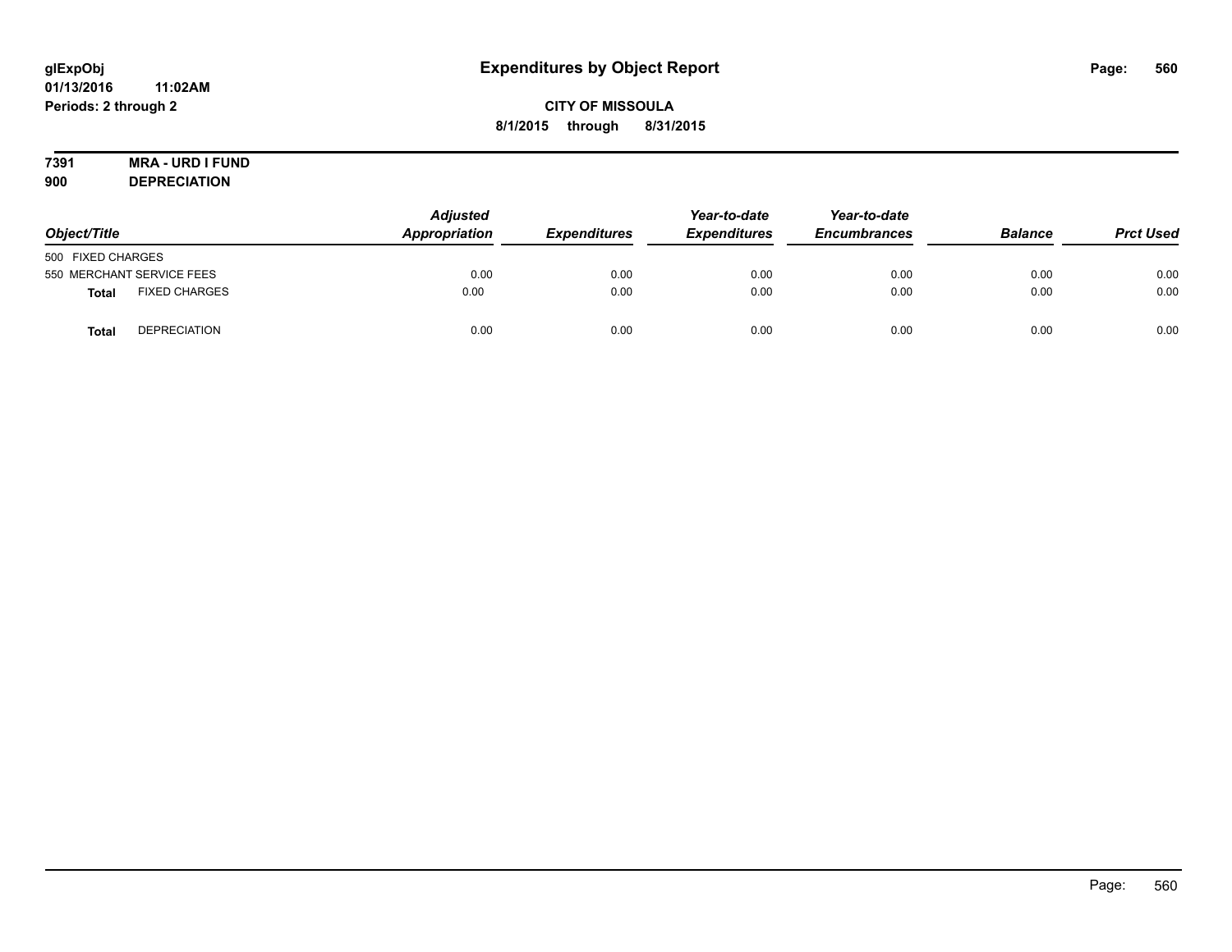## **CITY OF MISSOULA 8/1/2015 through 8/31/2015**

# **7391 MRA - URD I FUND**

**900 DEPRECIATION**

| Object/Title              |                      | <b>Adjusted</b><br>Appropriation | <b>Expenditures</b> | Year-to-date<br><b>Expenditures</b> | Year-to-date<br><b>Encumbrances</b> | <b>Balance</b> | <b>Prct Used</b> |
|---------------------------|----------------------|----------------------------------|---------------------|-------------------------------------|-------------------------------------|----------------|------------------|
| 500 FIXED CHARGES         |                      |                                  |                     |                                     |                                     |                |                  |
| 550 MERCHANT SERVICE FEES |                      | 0.00                             | 0.00                | 0.00                                | 0.00                                | 0.00           | 0.00             |
| <b>Total</b>              | <b>FIXED CHARGES</b> | 0.00                             | 0.00                | 0.00                                | 0.00                                | 0.00           | 0.00             |
| <b>Total</b>              | <b>DEPRECIATION</b>  | 0.00                             | 0.00                | 0.00                                | 0.00                                | 0.00           | 0.00             |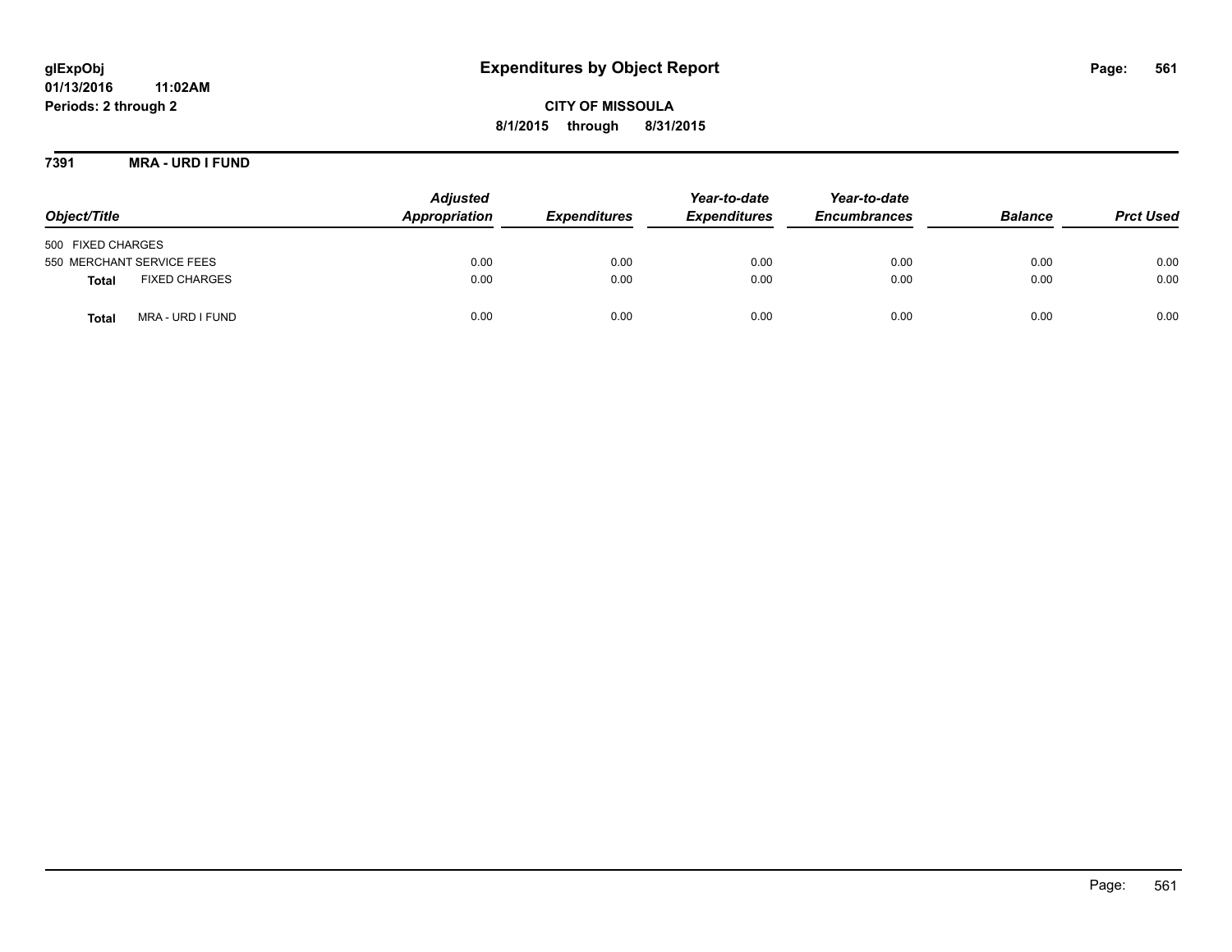# **glExpObj Expenditures by Object Report Page: 561**

**01/13/2016 11:02AM Periods: 2 through 2**

**7391 MRA - URD I FUND**

| Object/Title                     | <b>Adjusted</b><br>Appropriation | <b>Expenditures</b> | Year-to-date<br><b>Expenditures</b> | Year-to-date<br><b>Encumbrances</b> | <b>Balance</b> | <b>Prct Used</b> |
|----------------------------------|----------------------------------|---------------------|-------------------------------------|-------------------------------------|----------------|------------------|
| 500 FIXED CHARGES                |                                  |                     |                                     |                                     |                |                  |
| 550 MERCHANT SERVICE FEES        | 0.00                             | 0.00                | 0.00                                | 0.00                                | 0.00           | 0.00             |
| <b>FIXED CHARGES</b><br>Total    | 0.00                             | 0.00                | 0.00                                | 0.00                                | 0.00           | 0.00             |
| MRA - URD I FUND<br><b>Total</b> | 0.00                             | 0.00                | 0.00                                | 0.00                                | 0.00           | 0.00             |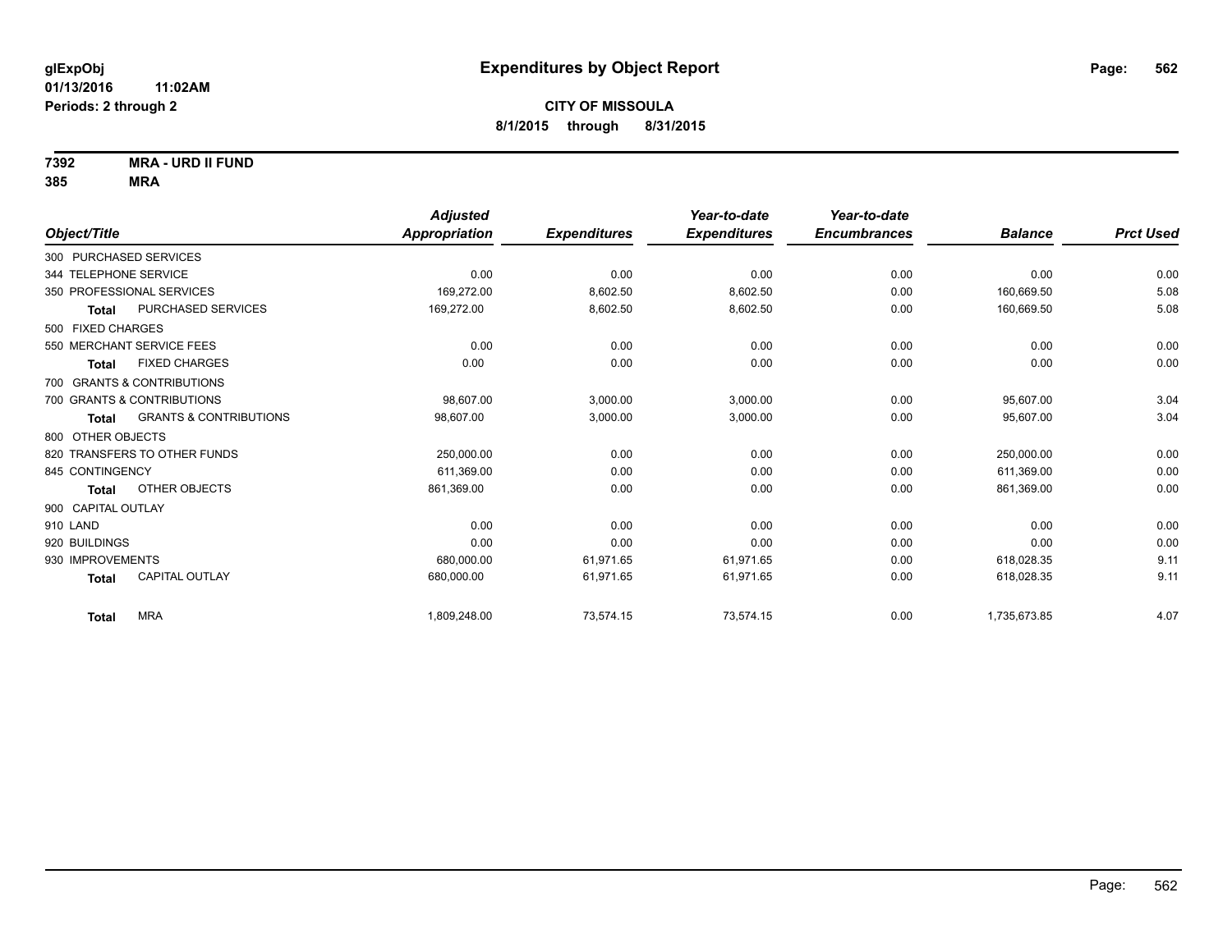**7392 MRA - URD II FUND**

|                                            | <b>Adjusted</b> |                     | Year-to-date        | Year-to-date        |                |                  |
|--------------------------------------------|-----------------|---------------------|---------------------|---------------------|----------------|------------------|
| Object/Title                               | Appropriation   | <b>Expenditures</b> | <b>Expenditures</b> | <b>Encumbrances</b> | <b>Balance</b> | <b>Prct Used</b> |
| 300 PURCHASED SERVICES                     |                 |                     |                     |                     |                |                  |
| 344 TELEPHONE SERVICE                      | 0.00            | 0.00                | 0.00                | 0.00                | 0.00           | 0.00             |
| 350 PROFESSIONAL SERVICES                  | 169,272.00      | 8,602.50            | 8,602.50            | 0.00                | 160,669.50     | 5.08             |
| PURCHASED SERVICES<br><b>Total</b>         | 169,272.00      | 8,602.50            | 8,602.50            | 0.00                | 160,669.50     | 5.08             |
| 500 FIXED CHARGES                          |                 |                     |                     |                     |                |                  |
| 550 MERCHANT SERVICE FEES                  | 0.00            | 0.00                | 0.00                | 0.00                | 0.00           | 0.00             |
| <b>FIXED CHARGES</b><br>Total              | 0.00            | 0.00                | 0.00                | 0.00                | 0.00           | 0.00             |
| 700 GRANTS & CONTRIBUTIONS                 |                 |                     |                     |                     |                |                  |
| 700 GRANTS & CONTRIBUTIONS                 | 98,607.00       | 3,000.00            | 3,000.00            | 0.00                | 95,607.00      | 3.04             |
| <b>GRANTS &amp; CONTRIBUTIONS</b><br>Total | 98,607.00       | 3,000.00            | 3,000.00            | 0.00                | 95,607.00      | 3.04             |
| 800 OTHER OBJECTS                          |                 |                     |                     |                     |                |                  |
| 820 TRANSFERS TO OTHER FUNDS               | 250,000.00      | 0.00                | 0.00                | 0.00                | 250,000.00     | 0.00             |
| 845 CONTINGENCY                            | 611,369.00      | 0.00                | 0.00                | 0.00                | 611,369.00     | 0.00             |
| OTHER OBJECTS<br>Total                     | 861,369.00      | 0.00                | 0.00                | 0.00                | 861,369.00     | 0.00             |
| 900 CAPITAL OUTLAY                         |                 |                     |                     |                     |                |                  |
| 910 LAND                                   | 0.00            | 0.00                | 0.00                | 0.00                | 0.00           | 0.00             |
| 920 BUILDINGS                              | 0.00            | 0.00                | 0.00                | 0.00                | 0.00           | 0.00             |
| 930 IMPROVEMENTS                           | 680,000.00      | 61,971.65           | 61,971.65           | 0.00                | 618,028.35     | 9.11             |
| <b>CAPITAL OUTLAY</b><br><b>Total</b>      | 680,000.00      | 61,971.65           | 61,971.65           | 0.00                | 618,028.35     | 9.11             |
| <b>MRA</b><br><b>Total</b>                 | 1,809,248.00    | 73,574.15           | 73,574.15           | 0.00                | 1,735,673.85   | 4.07             |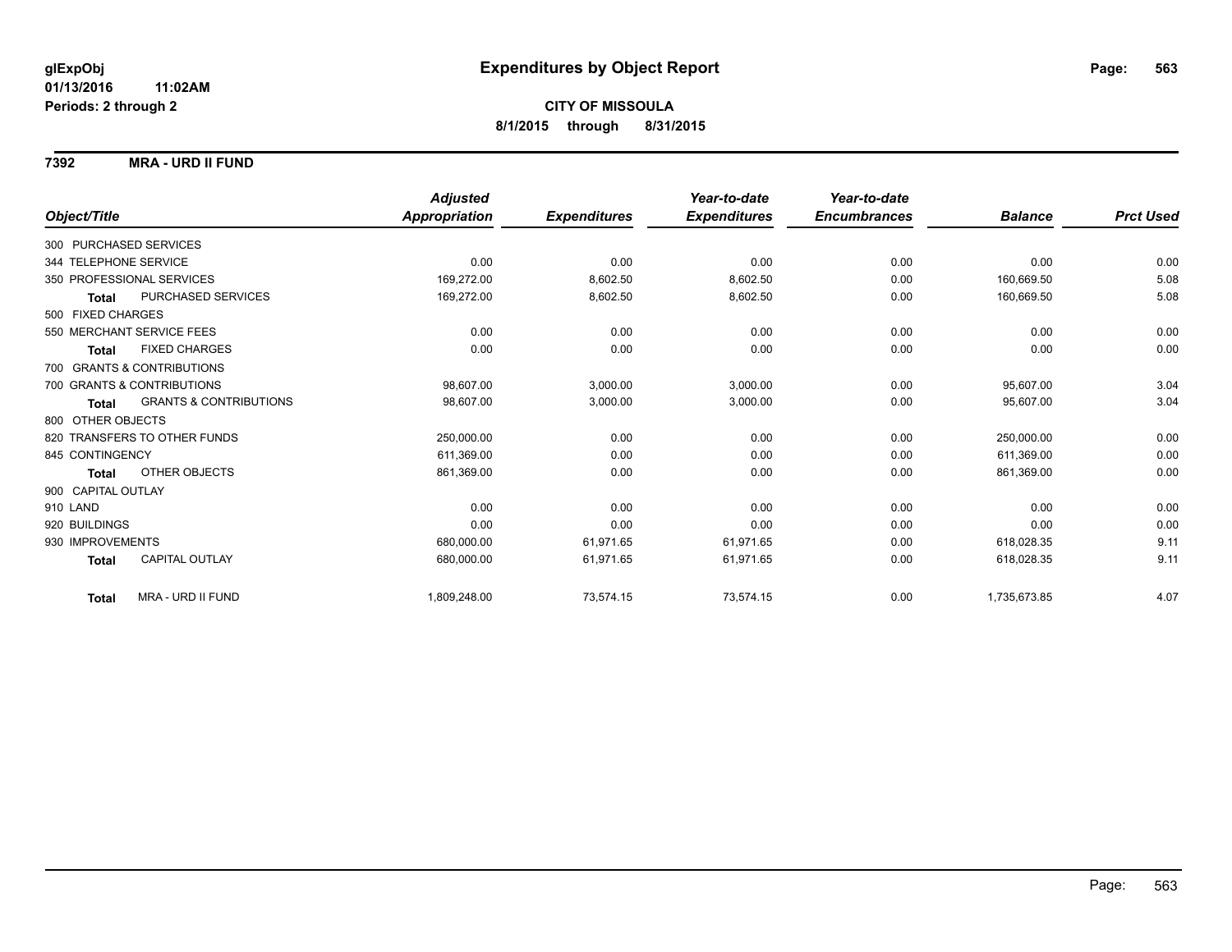### **7392 MRA - URD II FUND**

|                            |                                   | <b>Adjusted</b> |                     | Year-to-date        | Year-to-date        |                |                  |
|----------------------------|-----------------------------------|-----------------|---------------------|---------------------|---------------------|----------------|------------------|
| Object/Title               |                                   | Appropriation   | <b>Expenditures</b> | <b>Expenditures</b> | <b>Encumbrances</b> | <b>Balance</b> | <b>Prct Used</b> |
| 300 PURCHASED SERVICES     |                                   |                 |                     |                     |                     |                |                  |
| 344 TELEPHONE SERVICE      |                                   | 0.00            | 0.00                | 0.00                | 0.00                | 0.00           | 0.00             |
| 350 PROFESSIONAL SERVICES  |                                   | 169,272.00      | 8,602.50            | 8,602.50            | 0.00                | 160.669.50     | 5.08             |
| <b>Total</b>               | PURCHASED SERVICES                | 169,272.00      | 8,602.50            | 8,602.50            | 0.00                | 160,669.50     | 5.08             |
| 500 FIXED CHARGES          |                                   |                 |                     |                     |                     |                |                  |
| 550 MERCHANT SERVICE FEES  |                                   | 0.00            | 0.00                | 0.00                | 0.00                | 0.00           | 0.00             |
| <b>Total</b>               | <b>FIXED CHARGES</b>              | 0.00            | 0.00                | 0.00                | 0.00                | 0.00           | 0.00             |
| 700 GRANTS & CONTRIBUTIONS |                                   |                 |                     |                     |                     |                |                  |
| 700 GRANTS & CONTRIBUTIONS |                                   | 98,607.00       | 3,000.00            | 3,000.00            | 0.00                | 95,607.00      | 3.04             |
| <b>Total</b>               | <b>GRANTS &amp; CONTRIBUTIONS</b> | 98,607.00       | 3,000.00            | 3,000.00            | 0.00                | 95,607.00      | 3.04             |
| 800 OTHER OBJECTS          |                                   |                 |                     |                     |                     |                |                  |
|                            | 820 TRANSFERS TO OTHER FUNDS      | 250,000.00      | 0.00                | 0.00                | 0.00                | 250,000.00     | 0.00             |
| 845 CONTINGENCY            |                                   | 611,369.00      | 0.00                | 0.00                | 0.00                | 611.369.00     | 0.00             |
| Total                      | OTHER OBJECTS                     | 861,369.00      | 0.00                | 0.00                | 0.00                | 861,369.00     | 0.00             |
| 900 CAPITAL OUTLAY         |                                   |                 |                     |                     |                     |                |                  |
| 910 LAND                   |                                   | 0.00            | 0.00                | 0.00                | 0.00                | 0.00           | 0.00             |
| 920 BUILDINGS              |                                   | 0.00            | 0.00                | 0.00                | 0.00                | 0.00           | 0.00             |
| 930 IMPROVEMENTS           |                                   | 680,000.00      | 61,971.65           | 61,971.65           | 0.00                | 618,028.35     | 9.11             |
| <b>Total</b>               | CAPITAL OUTLAY                    | 680.000.00      | 61,971.65           | 61,971.65           | 0.00                | 618,028.35     | 9.11             |
| <b>Total</b>               | MRA - URD II FUND                 | 1,809,248.00    | 73,574.15           | 73,574.15           | 0.00                | 1,735,673.85   | 4.07             |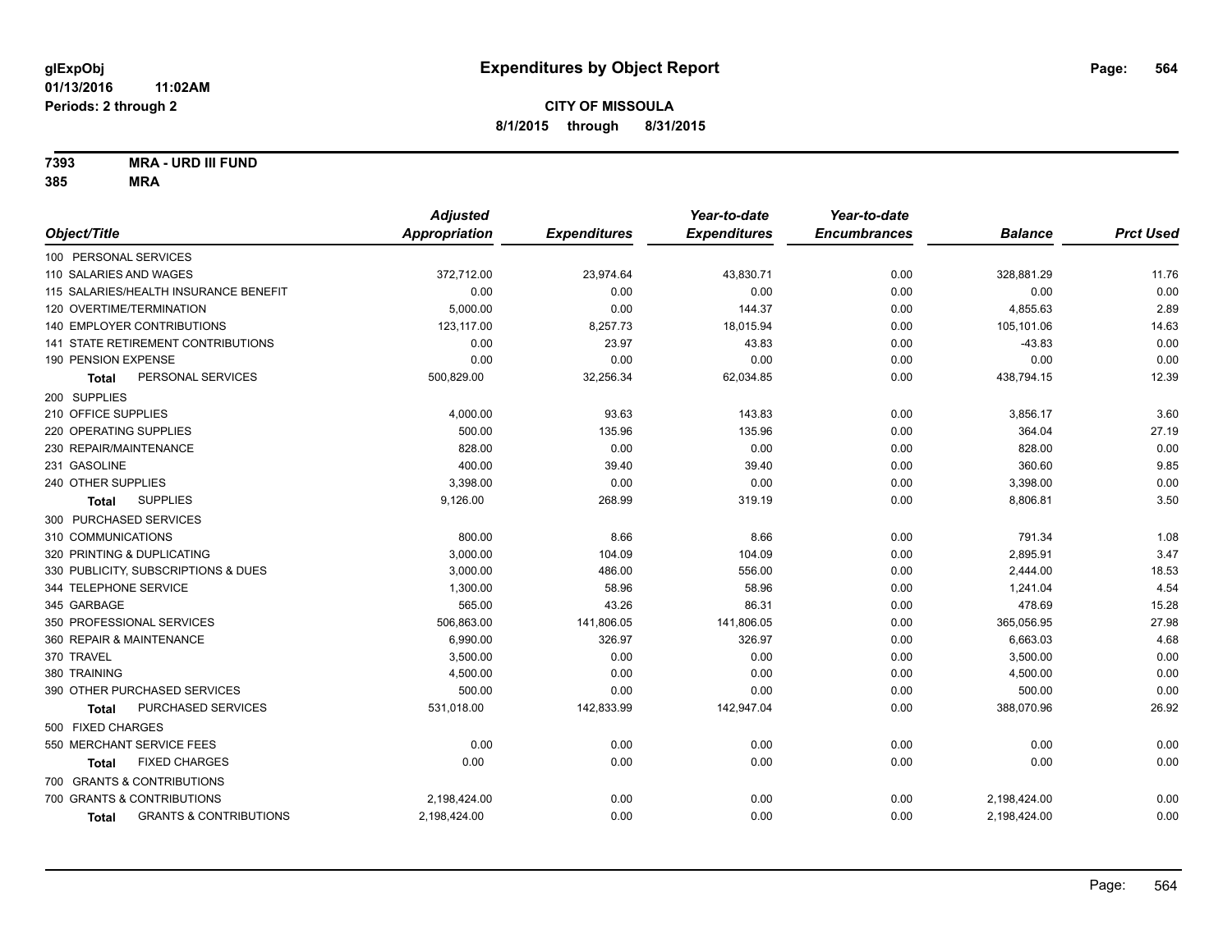**7393 MRA - URD III FUND**

| Appropriation<br><b>Expenditures</b><br>Object/Title<br><b>Expenditures</b><br><b>Encumbrances</b> | <b>Balance</b><br><b>Prct Used</b> |
|----------------------------------------------------------------------------------------------------|------------------------------------|
|                                                                                                    |                                    |
| 100 PERSONAL SERVICES                                                                              |                                    |
| 110 SALARIES AND WAGES<br>372,712.00<br>23,974.64<br>43,830.71<br>0.00                             | 11.76<br>328,881.29                |
| 115 SALARIES/HEALTH INSURANCE BENEFIT<br>0.00<br>0.00<br>0.00<br>0.00                              | 0.00<br>0.00                       |
| 120 OVERTIME/TERMINATION<br>5,000.00<br>0.00<br>144.37<br>0.00                                     | 2.89<br>4,855.63                   |
| 123,117.00<br>8,257.73<br><b>140 EMPLOYER CONTRIBUTIONS</b><br>18,015.94<br>0.00                   | 105,101.06<br>14.63                |
| 141 STATE RETIREMENT CONTRIBUTIONS<br>0.00<br>23.97<br>43.83<br>0.00                               | 0.00<br>$-43.83$                   |
| 0.00<br><b>190 PENSION EXPENSE</b><br>0.00<br>0.00<br>0.00                                         | 0.00<br>0.00                       |
| PERSONAL SERVICES<br>32,256.34<br>500,829.00<br>62,034.85<br>0.00<br><b>Total</b>                  | 12.39<br>438,794.15                |
| 200 SUPPLIES                                                                                       |                                    |
| 210 OFFICE SUPPLIES<br>4,000.00<br>93.63<br>143.83<br>0.00                                         | 3.60<br>3,856.17                   |
| 220 OPERATING SUPPLIES<br>500.00<br>135.96<br>135.96<br>0.00                                       | 364.04<br>27.19                    |
| 0.00<br>0.00<br>230 REPAIR/MAINTENANCE<br>828.00<br>0.00                                           | 0.00<br>828.00                     |
| 231 GASOLINE<br>400.00<br>39.40<br>39.40<br>0.00                                                   | 360.60<br>9.85                     |
| 240 OTHER SUPPLIES<br>3,398.00<br>0.00<br>0.00<br>0.00                                             | 0.00<br>3,398.00                   |
| <b>SUPPLIES</b><br>9,126.00<br>268.99<br>319.19<br>0.00<br><b>Total</b>                            | 3.50<br>8,806.81                   |
| 300 PURCHASED SERVICES                                                                             |                                    |
| 310 COMMUNICATIONS<br>800.00<br>8.66<br>8.66<br>0.00                                               | 791.34<br>1.08                     |
| 320 PRINTING & DUPLICATING<br>3,000.00<br>104.09<br>104.09<br>0.00                                 | 2,895.91<br>3.47                   |
| 330 PUBLICITY, SUBSCRIPTIONS & DUES<br>486.00<br>556.00<br>0.00<br>3,000.00                        | 18.53<br>2,444.00                  |
| 58.96<br>58.96<br>344 TELEPHONE SERVICE<br>1,300.00<br>0.00                                        | 4.54<br>1,241.04                   |
| 345 GARBAGE<br>565.00<br>43.26<br>86.31<br>0.00                                                    | 15.28<br>478.69                    |
| 350 PROFESSIONAL SERVICES<br>506,863.00<br>141,806.05<br>141,806.05<br>0.00                        | 27.98<br>365,056.95                |
| 360 REPAIR & MAINTENANCE<br>6,990.00<br>326.97<br>326.97<br>0.00                                   | 4.68<br>6,663.03                   |
| 370 TRAVEL<br>0.00<br>0.00<br>3,500.00<br>0.00                                                     | 0.00<br>3,500.00                   |
| 0.00<br>0.00<br>380 TRAINING<br>4,500.00<br>0.00                                                   | 0.00<br>4,500.00                   |
| 390 OTHER PURCHASED SERVICES<br>500.00<br>0.00<br>0.00<br>0.00                                     | 500.00<br>0.00                     |
| PURCHASED SERVICES<br>531,018.00<br>142,833.99<br>142,947.04<br>0.00<br><b>Total</b>               | 26.92<br>388,070.96                |
| 500 FIXED CHARGES                                                                                  |                                    |
| 550 MERCHANT SERVICE FEES<br>0.00<br>0.00<br>0.00<br>0.00                                          | 0.00<br>0.00                       |
| <b>FIXED CHARGES</b><br>0.00<br>0.00<br>0.00<br>0.00<br>Total                                      | 0.00<br>0.00                       |
| 700 GRANTS & CONTRIBUTIONS                                                                         |                                    |
| 700 GRANTS & CONTRIBUTIONS<br>2,198,424.00<br>0.00<br>0.00<br>0.00                                 | 2,198,424.00<br>0.00               |
| 0.00<br><b>GRANTS &amp; CONTRIBUTIONS</b><br>2,198,424.00<br>0.00<br>0.00<br><b>Total</b>          | 0.00<br>2,198,424.00               |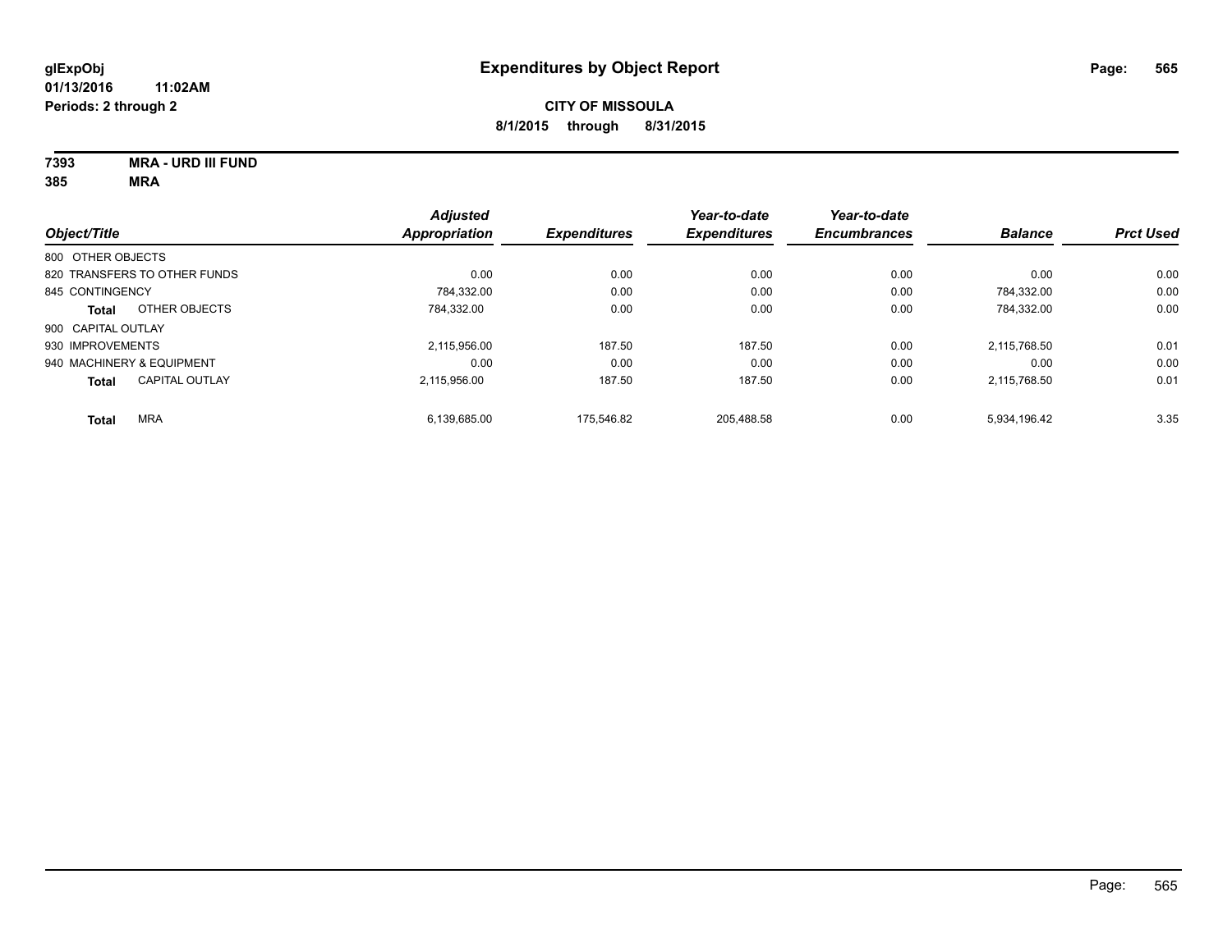**7393 MRA - URD III FUND 385 MRA**

|                           |                              | <b>Adjusted</b>      |                     | Year-to-date        | Year-to-date        |                |                  |
|---------------------------|------------------------------|----------------------|---------------------|---------------------|---------------------|----------------|------------------|
| Object/Title              |                              | <b>Appropriation</b> | <b>Expenditures</b> | <b>Expenditures</b> | <b>Encumbrances</b> | <b>Balance</b> | <b>Prct Used</b> |
| 800 OTHER OBJECTS         |                              |                      |                     |                     |                     |                |                  |
|                           | 820 TRANSFERS TO OTHER FUNDS | 0.00                 | 0.00                | 0.00                | 0.00                | 0.00           | 0.00             |
| 845 CONTINGENCY           |                              | 784,332.00           | 0.00                | 0.00                | 0.00                | 784.332.00     | 0.00             |
| <b>Total</b>              | OTHER OBJECTS                | 784.332.00           | 0.00                | 0.00                | 0.00                | 784.332.00     | 0.00             |
| 900 CAPITAL OUTLAY        |                              |                      |                     |                     |                     |                |                  |
| 930 IMPROVEMENTS          |                              | 2.115.956.00         | 187.50              | 187.50              | 0.00                | 2.115.768.50   | 0.01             |
| 940 MACHINERY & EQUIPMENT |                              | 0.00                 | 0.00                | 0.00                | 0.00                | 0.00           | 0.00             |
| <b>Total</b>              | <b>CAPITAL OUTLAY</b>        | 2.115.956.00         | 187.50              | 187.50              | 0.00                | 2.115.768.50   | 0.01             |
| <b>Total</b>              | <b>MRA</b>                   | 6.139.685.00         | 175.546.82          | 205.488.58          | 0.00                | 5.934.196.42   | 3.35             |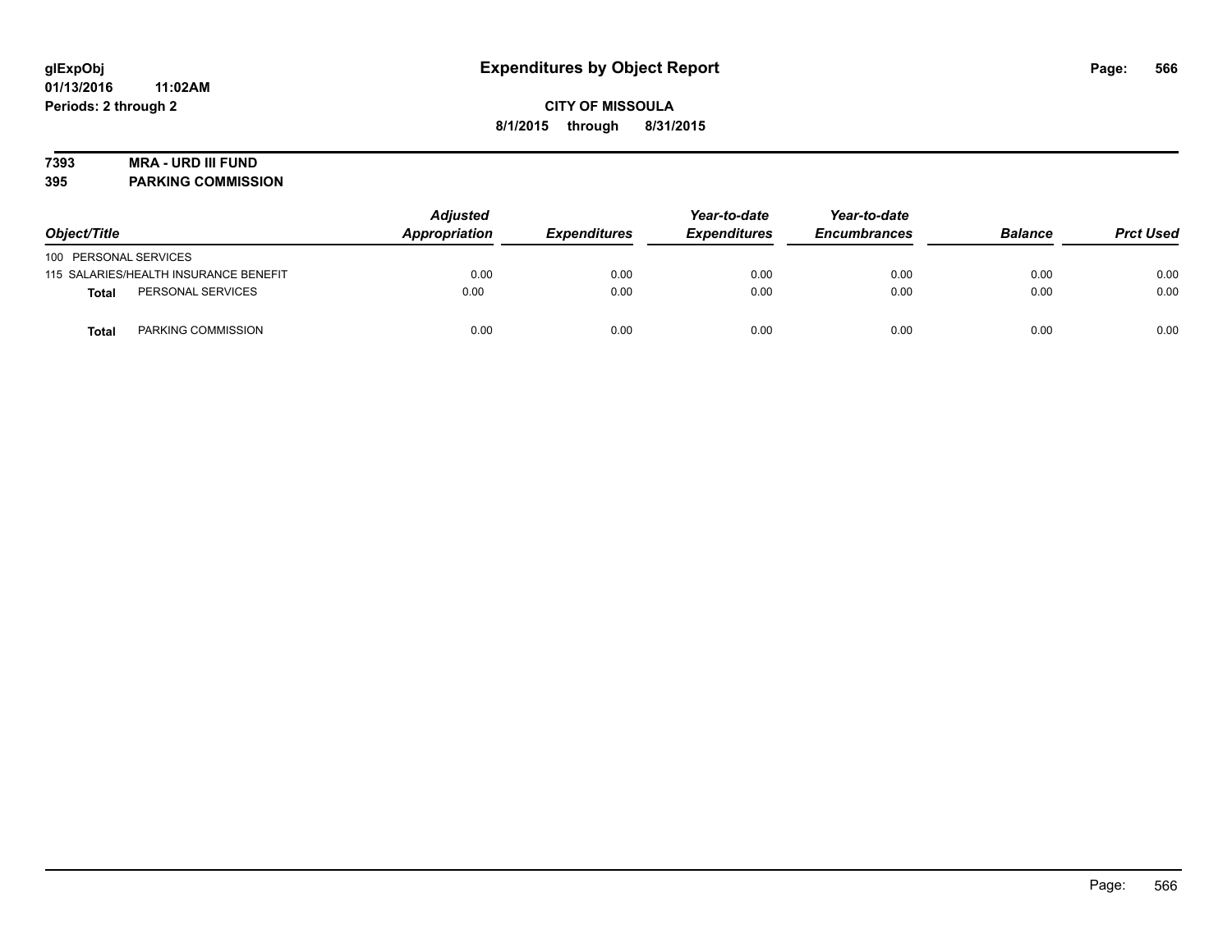# **7393 MRA - URD III FUND**

**395 PARKING COMMISSION**

| Object/Title          |                                       | <b>Adjusted</b><br>Appropriation | <b>Expenditures</b> | Year-to-date<br><b>Expenditures</b> | Year-to-date<br><b>Encumbrances</b> | <b>Balance</b> | <b>Prct Used</b> |
|-----------------------|---------------------------------------|----------------------------------|---------------------|-------------------------------------|-------------------------------------|----------------|------------------|
| 100 PERSONAL SERVICES |                                       |                                  |                     |                                     |                                     |                |                  |
|                       | 115 SALARIES/HEALTH INSURANCE BENEFIT | 0.00                             | 0.00                | 0.00                                | 0.00                                | 0.00           | 0.00             |
| Total                 | PERSONAL SERVICES                     | 0.00                             | 0.00                | 0.00                                | 0.00                                | 0.00           | 0.00             |
| Total                 | PARKING COMMISSION                    | 0.00                             | 0.00                | 0.00                                | 0.00                                | 0.00           | 0.00             |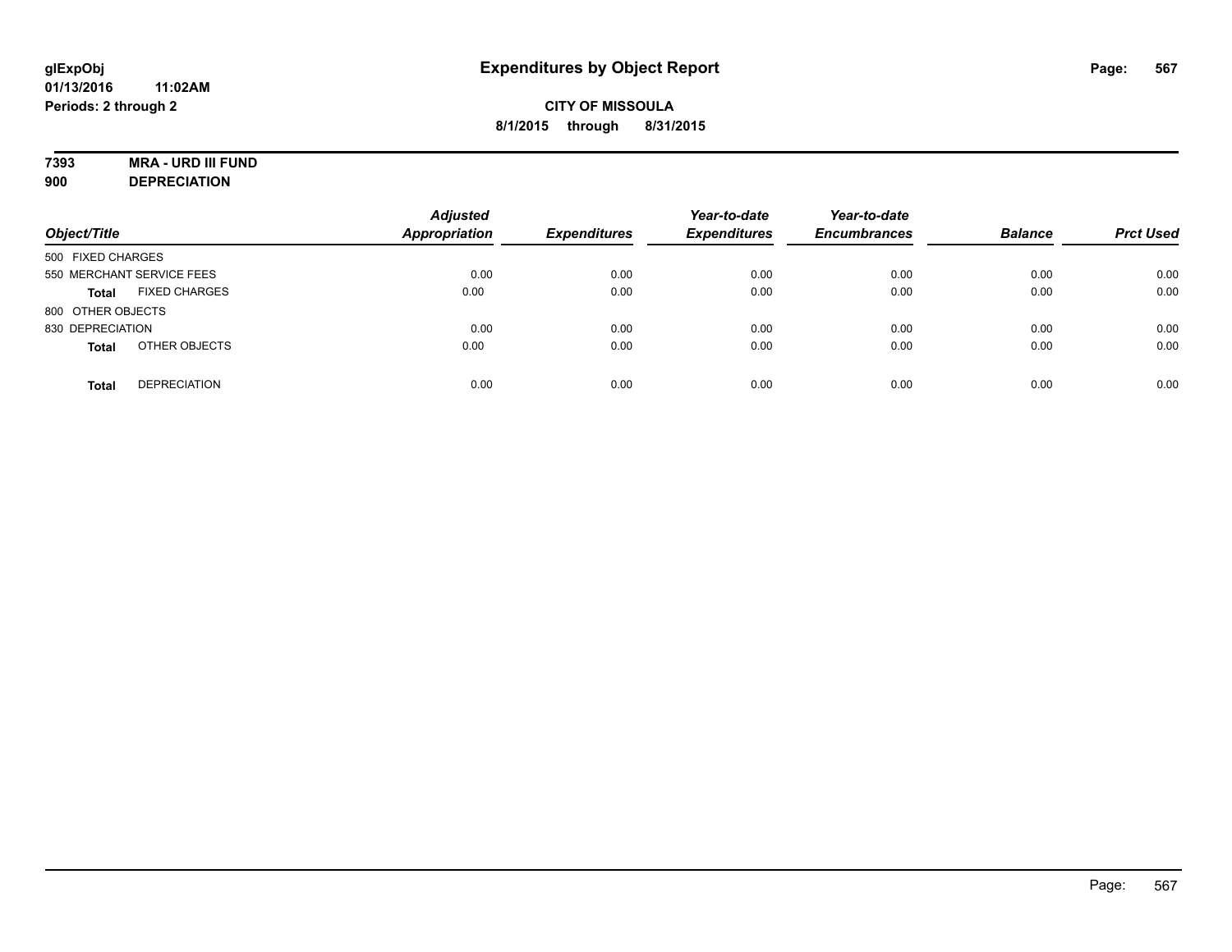# **7393 MRA - URD III FUND**

**900 DEPRECIATION**

| Object/Title                         | <b>Adjusted</b><br><b>Appropriation</b> | <b>Expenditures</b> | Year-to-date<br><b>Expenditures</b> | Year-to-date<br><b>Encumbrances</b> | <b>Balance</b> | <b>Prct Used</b> |
|--------------------------------------|-----------------------------------------|---------------------|-------------------------------------|-------------------------------------|----------------|------------------|
| 500 FIXED CHARGES                    |                                         |                     |                                     |                                     |                |                  |
| 550 MERCHANT SERVICE FEES            | 0.00                                    | 0.00                | 0.00                                | 0.00                                | 0.00           | 0.00             |
| <b>FIXED CHARGES</b><br><b>Total</b> | 0.00                                    | 0.00                | 0.00                                | 0.00                                | 0.00           | 0.00             |
| 800 OTHER OBJECTS                    |                                         |                     |                                     |                                     |                |                  |
| 830 DEPRECIATION                     | 0.00                                    | 0.00                | 0.00                                | 0.00                                | 0.00           | 0.00             |
| OTHER OBJECTS<br><b>Total</b>        | 0.00                                    | 0.00                | 0.00                                | 0.00                                | 0.00           | 0.00             |
| <b>DEPRECIATION</b><br><b>Total</b>  | 0.00                                    | 0.00                | 0.00                                | 0.00                                | 0.00           | 0.00             |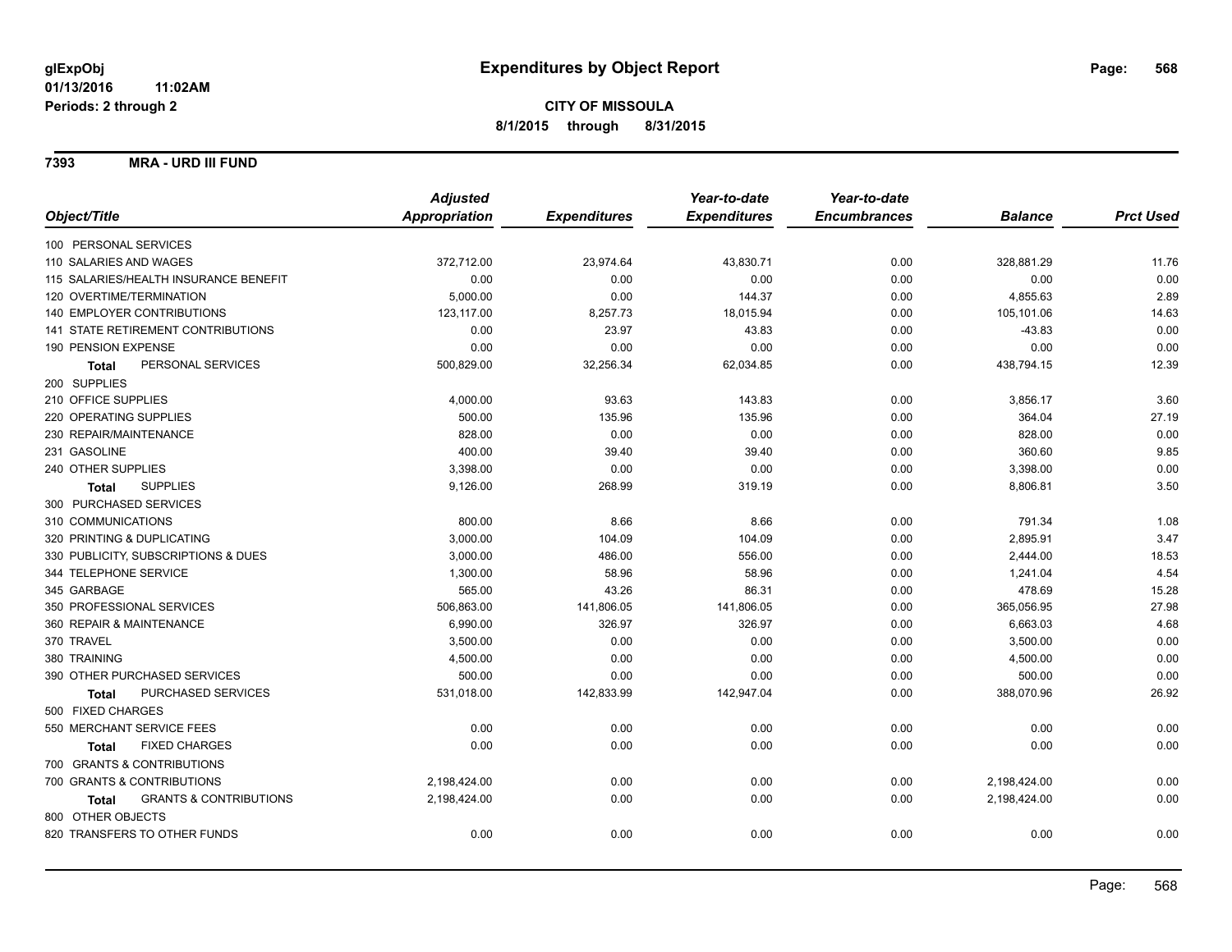**7393 MRA - URD III FUND**

|                                            | <b>Adjusted</b> |                     | Year-to-date        | Year-to-date        |                |                  |
|--------------------------------------------|-----------------|---------------------|---------------------|---------------------|----------------|------------------|
| Object/Title                               | Appropriation   | <b>Expenditures</b> | <b>Expenditures</b> | <b>Encumbrances</b> | <b>Balance</b> | <b>Prct Used</b> |
| 100 PERSONAL SERVICES                      |                 |                     |                     |                     |                |                  |
| 110 SALARIES AND WAGES                     | 372,712.00      | 23,974.64           | 43,830.71           | 0.00                | 328,881.29     | 11.76            |
| 115 SALARIES/HEALTH INSURANCE BENEFIT      | 0.00            | 0.00                | 0.00                | 0.00                | 0.00           | 0.00             |
| 120 OVERTIME/TERMINATION                   | 5,000.00        | 0.00                | 144.37              | 0.00                | 4,855.63       | 2.89             |
| 140 EMPLOYER CONTRIBUTIONS                 | 123,117.00      | 8,257.73            | 18,015.94           | 0.00                | 105,101.06     | 14.63            |
| <b>141 STATE RETIREMENT CONTRIBUTIONS</b>  | 0.00            | 23.97               | 43.83               | 0.00                | $-43.83$       | 0.00             |
| 190 PENSION EXPENSE                        | 0.00            | 0.00                | 0.00                | 0.00                | 0.00           | 0.00             |
| PERSONAL SERVICES<br><b>Total</b>          | 500,829.00      | 32,256.34           | 62,034.85           | 0.00                | 438,794.15     | 12.39            |
| 200 SUPPLIES                               |                 |                     |                     |                     |                |                  |
| 210 OFFICE SUPPLIES                        | 4,000.00        | 93.63               | 143.83              | 0.00                | 3,856.17       | 3.60             |
| 220 OPERATING SUPPLIES                     | 500.00          | 135.96              | 135.96              | 0.00                | 364.04         | 27.19            |
| 230 REPAIR/MAINTENANCE                     | 828.00          | 0.00                | 0.00                | 0.00                | 828.00         | 0.00             |
| 231 GASOLINE                               | 400.00          | 39.40               | 39.40               | 0.00                | 360.60         | 9.85             |
| 240 OTHER SUPPLIES                         | 3,398.00        | 0.00                | 0.00                | 0.00                | 3,398.00       | 0.00             |
| <b>SUPPLIES</b><br>Total                   | 9,126.00        | 268.99              | 319.19              | 0.00                | 8,806.81       | 3.50             |
| 300 PURCHASED SERVICES                     |                 |                     |                     |                     |                |                  |
| 310 COMMUNICATIONS                         | 800.00          | 8.66                | 8.66                | 0.00                | 791.34         | 1.08             |
| 320 PRINTING & DUPLICATING                 | 3,000.00        | 104.09              | 104.09              | 0.00                | 2,895.91       | 3.47             |
| 330 PUBLICITY, SUBSCRIPTIONS & DUES        | 3,000.00        | 486.00              | 556.00              | 0.00                | 2,444.00       | 18.53            |
| 344 TELEPHONE SERVICE                      | 1,300.00        | 58.96               | 58.96               | 0.00                | 1,241.04       | 4.54             |
| 345 GARBAGE                                | 565.00          | 43.26               | 86.31               | 0.00                | 478.69         | 15.28            |
| 350 PROFESSIONAL SERVICES                  | 506,863.00      | 141,806.05          | 141,806.05          | 0.00                | 365,056.95     | 27.98            |
| 360 REPAIR & MAINTENANCE                   | 6,990.00        | 326.97              | 326.97              | 0.00                | 6,663.03       | 4.68             |
| 370 TRAVEL                                 | 3,500.00        | 0.00                | 0.00                | 0.00                | 3,500.00       | 0.00             |
| 380 TRAINING                               | 4,500.00        | 0.00                | 0.00                | 0.00                | 4,500.00       | 0.00             |
| 390 OTHER PURCHASED SERVICES               | 500.00          | 0.00                | 0.00                | 0.00                | 500.00         | 0.00             |
| PURCHASED SERVICES<br><b>Total</b>         | 531,018.00      | 142,833.99          | 142,947.04          | 0.00                | 388,070.96     | 26.92            |
| 500 FIXED CHARGES                          |                 |                     |                     |                     |                |                  |
| 550 MERCHANT SERVICE FEES                  | 0.00            | 0.00                | 0.00                | 0.00                | 0.00           | 0.00             |
| <b>FIXED CHARGES</b><br><b>Total</b>       | 0.00            | 0.00                | 0.00                | 0.00                | 0.00           | 0.00             |
| 700 GRANTS & CONTRIBUTIONS                 |                 |                     |                     |                     |                |                  |
| 700 GRANTS & CONTRIBUTIONS                 | 2,198,424.00    | 0.00                | 0.00                | 0.00                | 2,198,424.00   | 0.00             |
| <b>GRANTS &amp; CONTRIBUTIONS</b><br>Total | 2,198,424.00    | 0.00                | 0.00                | 0.00                | 2,198,424.00   | 0.00             |
| 800 OTHER OBJECTS                          |                 |                     |                     |                     |                |                  |
| 820 TRANSFERS TO OTHER FUNDS               | 0.00            | 0.00                | 0.00                | 0.00                | 0.00           | 0.00             |
|                                            |                 |                     |                     |                     |                |                  |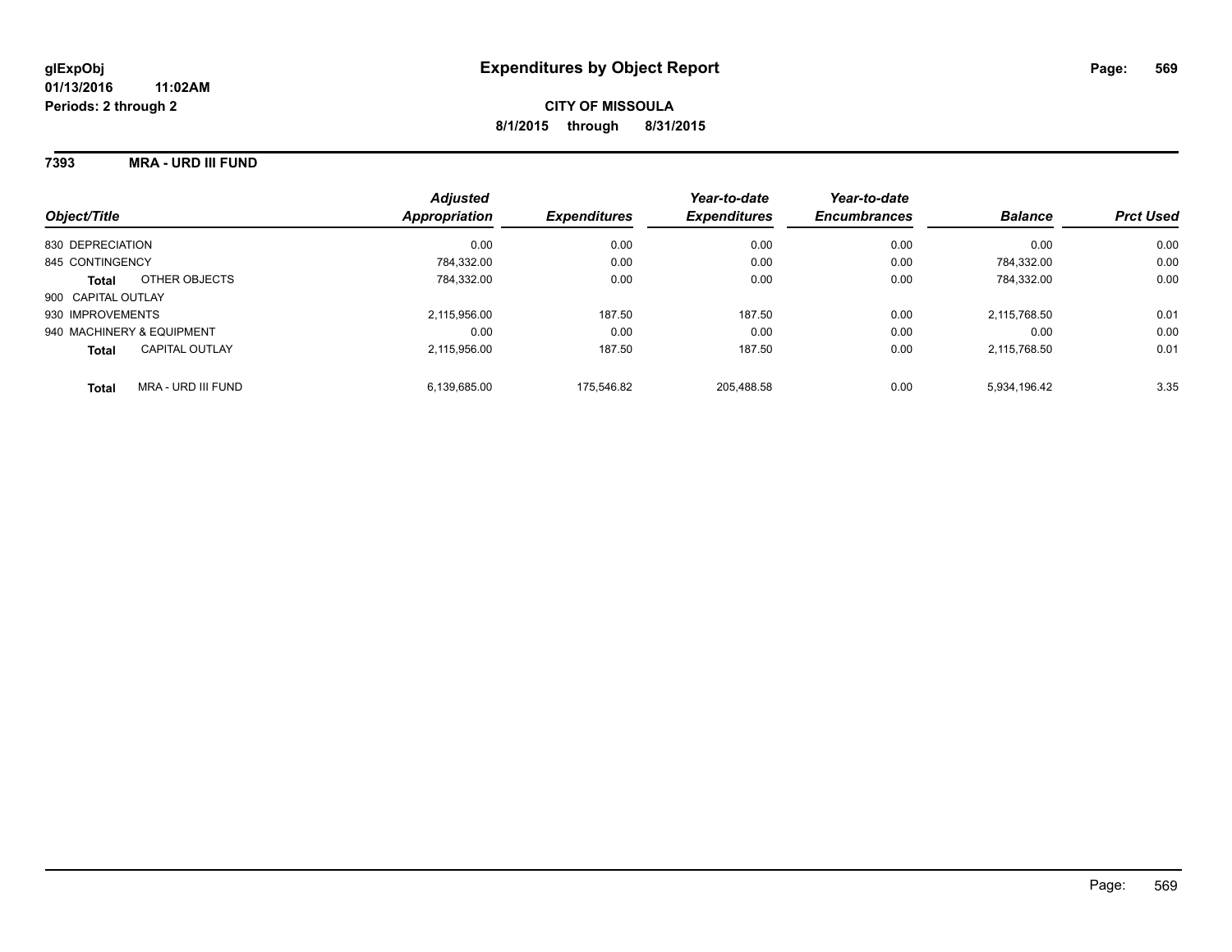### **7393 MRA - URD III FUND**

| Object/Title                       | <b>Adjusted</b><br>Appropriation | <b>Expenditures</b> | Year-to-date<br><b>Expenditures</b> | Year-to-date<br><b>Encumbrances</b> | <b>Balance</b> | <b>Prct Used</b> |
|------------------------------------|----------------------------------|---------------------|-------------------------------------|-------------------------------------|----------------|------------------|
| 830 DEPRECIATION                   | 0.00                             | 0.00                | 0.00                                | 0.00                                | 0.00           | 0.00             |
| 845 CONTINGENCY                    | 784.332.00                       | 0.00                | 0.00                                | 0.00                                | 784.332.00     | 0.00             |
| OTHER OBJECTS<br><b>Total</b>      | 784.332.00                       | 0.00                | 0.00                                | 0.00                                | 784.332.00     | 0.00             |
| 900 CAPITAL OUTLAY                 |                                  |                     |                                     |                                     |                |                  |
| 930 IMPROVEMENTS                   | 2.115.956.00                     | 187.50              | 187.50                              | 0.00                                | 2.115.768.50   | 0.01             |
| 940 MACHINERY & EQUIPMENT          | 0.00                             | 0.00                | 0.00                                | 0.00                                | 0.00           | 0.00             |
| CAPITAL OUTLAY<br><b>Total</b>     | 2.115.956.00                     | 187.50              | 187.50                              | 0.00                                | 2,115,768.50   | 0.01             |
| MRA - URD III FUND<br><b>Total</b> | 6.139.685.00                     | 175.546.82          | 205.488.58                          | 0.00                                | 5.934.196.42   | 3.35             |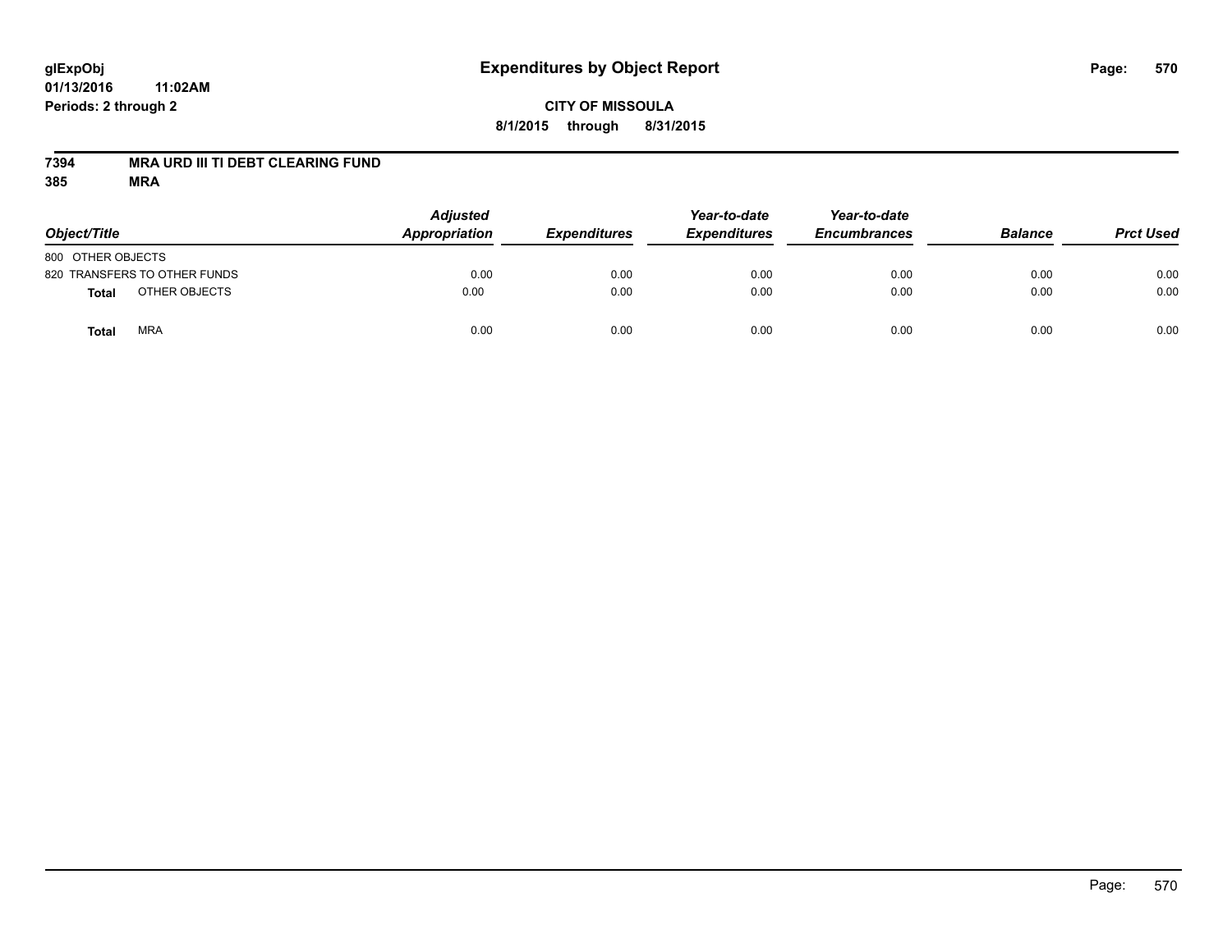## **CITY OF MISSOULA 8/1/2015 through 8/31/2015**

### **7394 MRA URD III TI DEBT CLEARING FUND**

| Object/Title                 | <b>Adjusted</b><br>Appropriation | <b>Expenditures</b> | Year-to-date<br><b>Expenditures</b> | Year-to-date<br><b>Encumbrances</b> | <b>Balance</b> | <b>Prct Used</b> |
|------------------------------|----------------------------------|---------------------|-------------------------------------|-------------------------------------|----------------|------------------|
| 800 OTHER OBJECTS            |                                  |                     |                                     |                                     |                |                  |
| 820 TRANSFERS TO OTHER FUNDS | 0.00                             | 0.00                | 0.00                                | 0.00                                | 0.00           | 0.00             |
| OTHER OBJECTS<br>Total       | 0.00                             | 0.00                | 0.00                                | 0.00                                | 0.00           | 0.00             |
| <b>MRA</b><br>Total          | 0.00                             | 0.00                | 0.00                                | 0.00                                | 0.00           | 0.00             |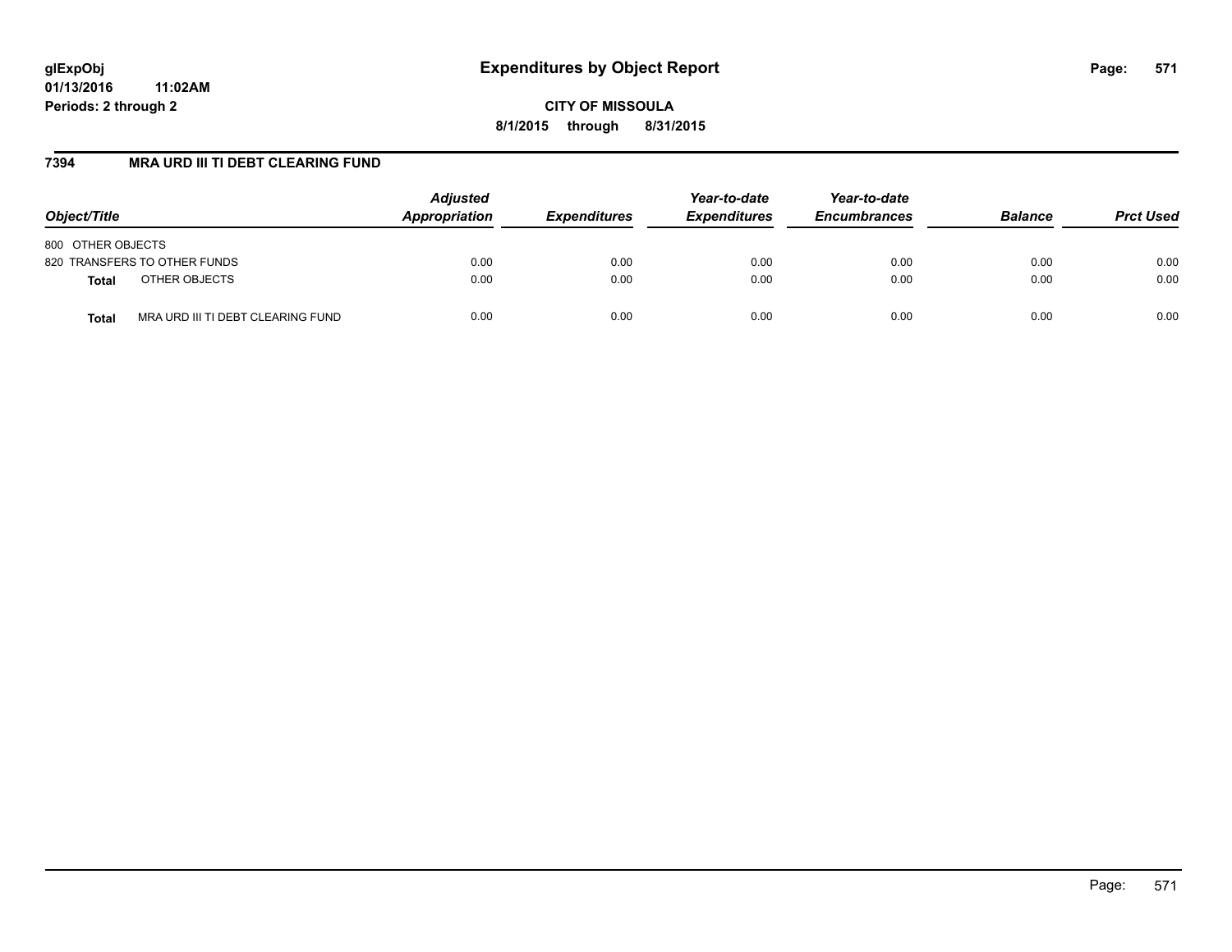**CITY OF MISSOULA 8/1/2015 through 8/31/2015**

### **7394 MRA URD III TI DEBT CLEARING FUND**

| Object/Title                                      | <b>Adjusted</b><br>Appropriation | <b>Expenditures</b> | Year-to-date<br><b>Expenditures</b> | Year-to-date<br><b>Encumbrances</b> | <b>Balance</b> | <b>Prct Used</b> |
|---------------------------------------------------|----------------------------------|---------------------|-------------------------------------|-------------------------------------|----------------|------------------|
| 800 OTHER OBJECTS                                 |                                  |                     |                                     |                                     |                |                  |
| 820 TRANSFERS TO OTHER FUNDS                      | 0.00                             | 0.00                | 0.00                                | 0.00                                | 0.00           | 0.00             |
| OTHER OBJECTS<br><b>Total</b>                     | 0.00                             | 0.00                | 0.00                                | 0.00                                | 0.00           | 0.00             |
| MRA URD III TI DEBT CLEARING FUND<br><b>Total</b> | 0.00                             | 0.00                | 0.00                                | 0.00                                | 0.00           | 0.00             |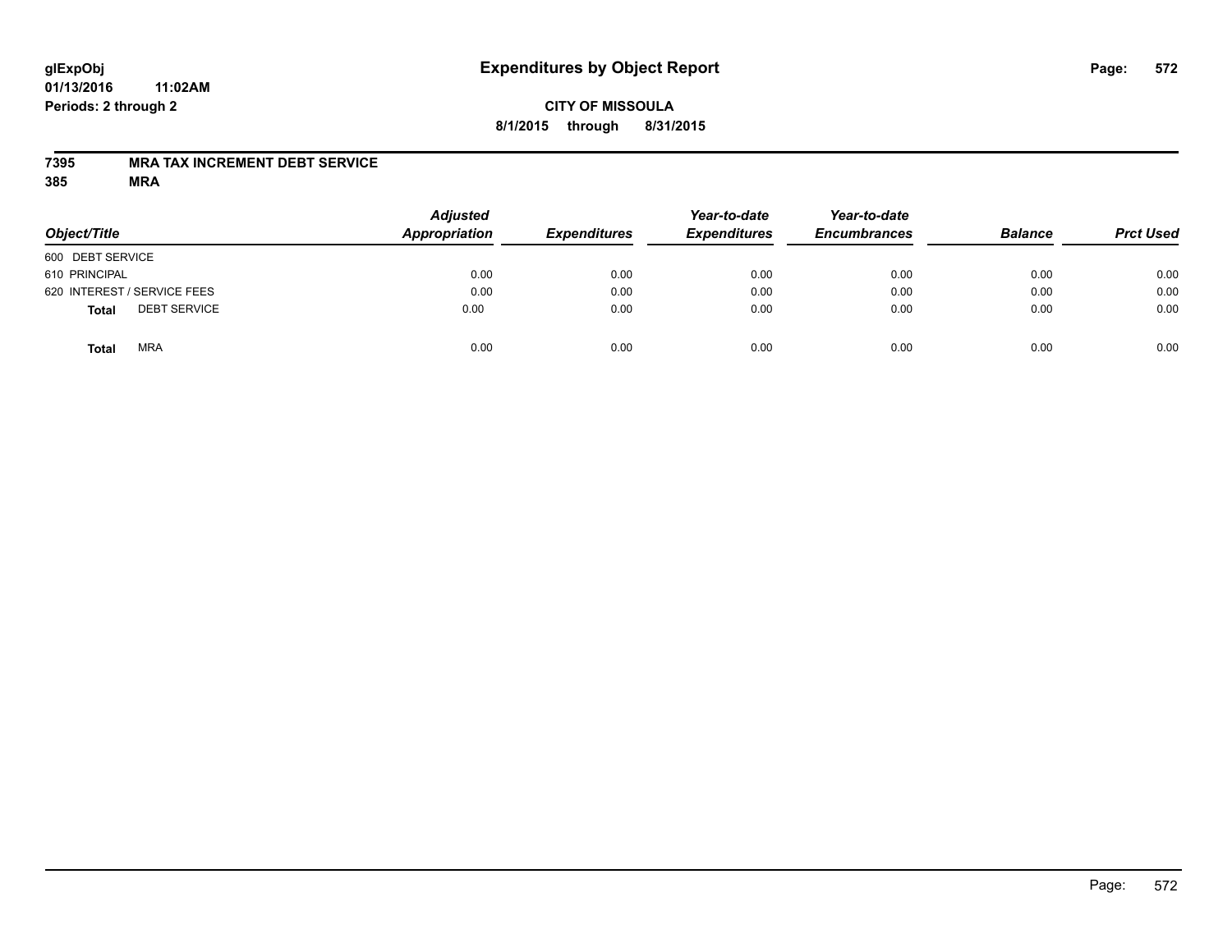## **CITY OF MISSOULA 8/1/2015 through 8/31/2015**

### **7395 MRA TAX INCREMENT DEBT SERVICE**

| Object/Title                        | <b>Adjusted</b><br><b>Appropriation</b> | <b>Expenditures</b> | Year-to-date<br><b>Expenditures</b> | Year-to-date<br><b>Encumbrances</b> | <b>Balance</b> | <b>Prct Used</b> |
|-------------------------------------|-----------------------------------------|---------------------|-------------------------------------|-------------------------------------|----------------|------------------|
| 600 DEBT SERVICE                    |                                         |                     |                                     |                                     |                |                  |
| 610 PRINCIPAL                       | 0.00                                    | 0.00                | 0.00                                | 0.00                                | 0.00           | 0.00             |
| 620 INTEREST / SERVICE FEES         | 0.00                                    | 0.00                | 0.00                                | 0.00                                | 0.00           | 0.00             |
| <b>DEBT SERVICE</b><br><b>Total</b> | 0.00                                    | 0.00                | 0.00                                | 0.00                                | 0.00           | 0.00             |
| <b>MRA</b><br><b>Total</b>          | 0.00                                    | 0.00                | 0.00                                | 0.00                                | 0.00           | 0.00             |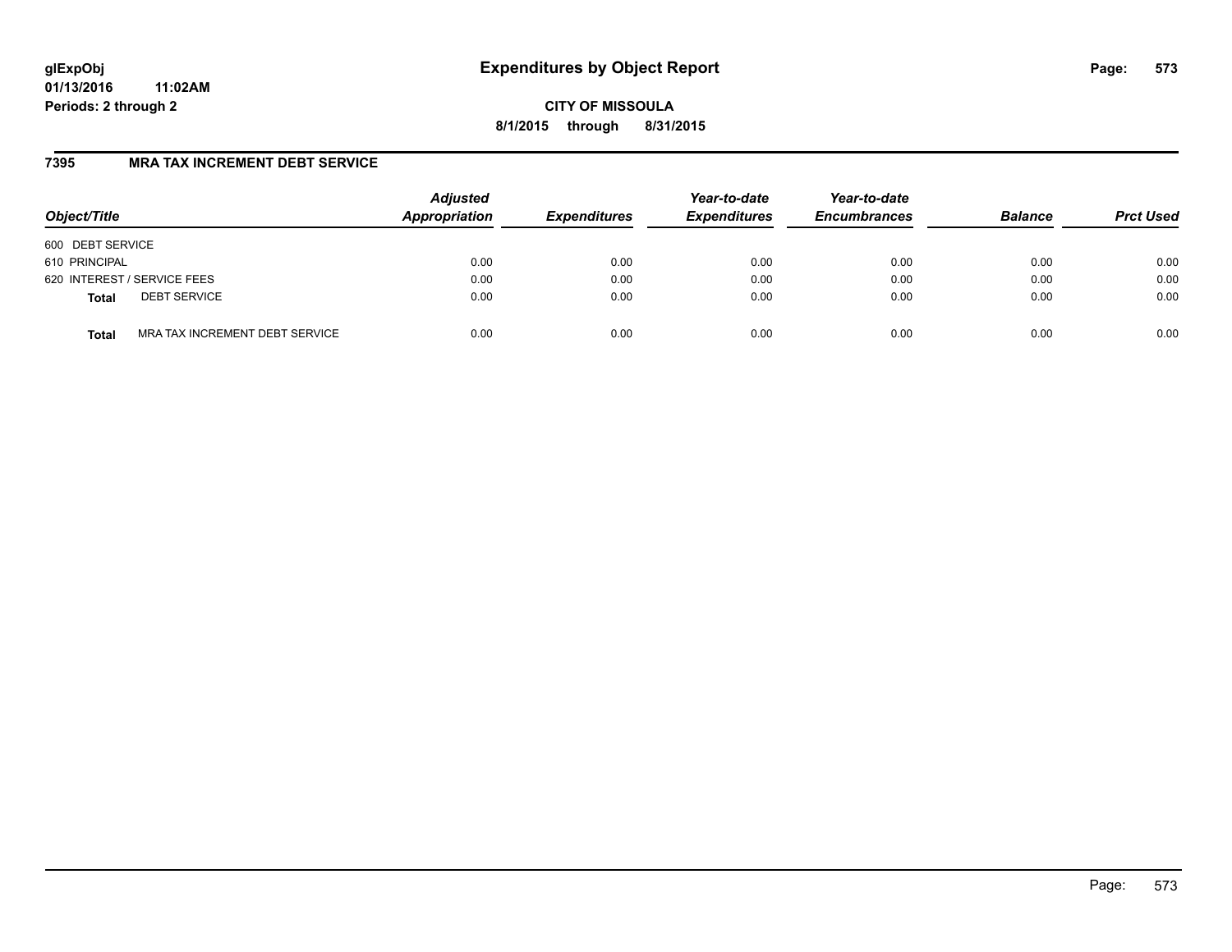**CITY OF MISSOULA 8/1/2015 through 8/31/2015**

### **7395 MRA TAX INCREMENT DEBT SERVICE**

| Object/Title                                   | <b>Adjusted</b><br>Appropriation | <b>Expenditures</b> | Year-to-date<br><b>Expenditures</b> | Year-to-date<br><b>Encumbrances</b> | <b>Balance</b> | <b>Prct Used</b> |
|------------------------------------------------|----------------------------------|---------------------|-------------------------------------|-------------------------------------|----------------|------------------|
| 600 DEBT SERVICE                               |                                  |                     |                                     |                                     |                |                  |
| 610 PRINCIPAL                                  | 0.00                             | 0.00                | 0.00                                | 0.00                                | 0.00           | 0.00             |
| 620 INTEREST / SERVICE FEES                    | 0.00                             | 0.00                | 0.00                                | 0.00                                | 0.00           | 0.00             |
| <b>DEBT SERVICE</b><br><b>Total</b>            | 0.00                             | 0.00                | 0.00                                | 0.00                                | 0.00           | 0.00             |
| MRA TAX INCREMENT DEBT SERVICE<br><b>Total</b> | 0.00                             | 0.00                | 0.00                                | 0.00                                | 0.00           | 0.00             |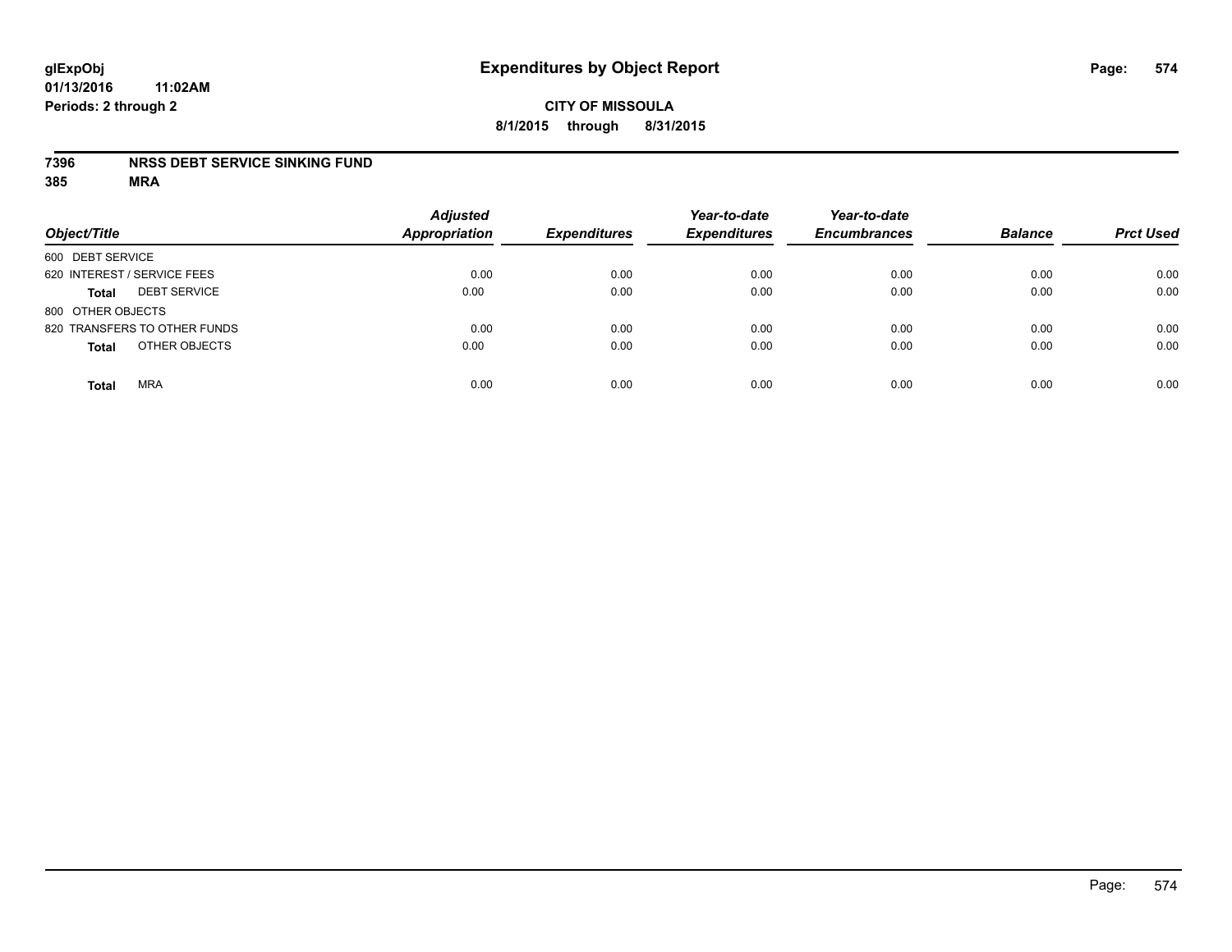#### **7396 NRSS DEBT SERVICE SINKING FUND**

| Object/Title                        | <b>Adjusted</b><br><b>Appropriation</b> | <b>Expenditures</b> | Year-to-date<br><b>Expenditures</b> | Year-to-date<br><b>Encumbrances</b> | <b>Balance</b> | <b>Prct Used</b> |
|-------------------------------------|-----------------------------------------|---------------------|-------------------------------------|-------------------------------------|----------------|------------------|
| 600 DEBT SERVICE                    |                                         |                     |                                     |                                     |                |                  |
| 620 INTEREST / SERVICE FEES         | 0.00                                    | 0.00                | 0.00                                | 0.00                                | 0.00           | 0.00             |
| <b>DEBT SERVICE</b><br><b>Total</b> | 0.00                                    | 0.00                | 0.00                                | 0.00                                | 0.00           | 0.00             |
| 800 OTHER OBJECTS                   |                                         |                     |                                     |                                     |                |                  |
| 820 TRANSFERS TO OTHER FUNDS        | 0.00                                    | 0.00                | 0.00                                | 0.00                                | 0.00           | 0.00             |
| OTHER OBJECTS<br><b>Total</b>       | 0.00                                    | 0.00                | 0.00                                | 0.00                                | 0.00           | 0.00             |
| <b>MRA</b><br><b>Total</b>          | 0.00                                    | 0.00                | 0.00                                | 0.00                                | 0.00           | 0.00             |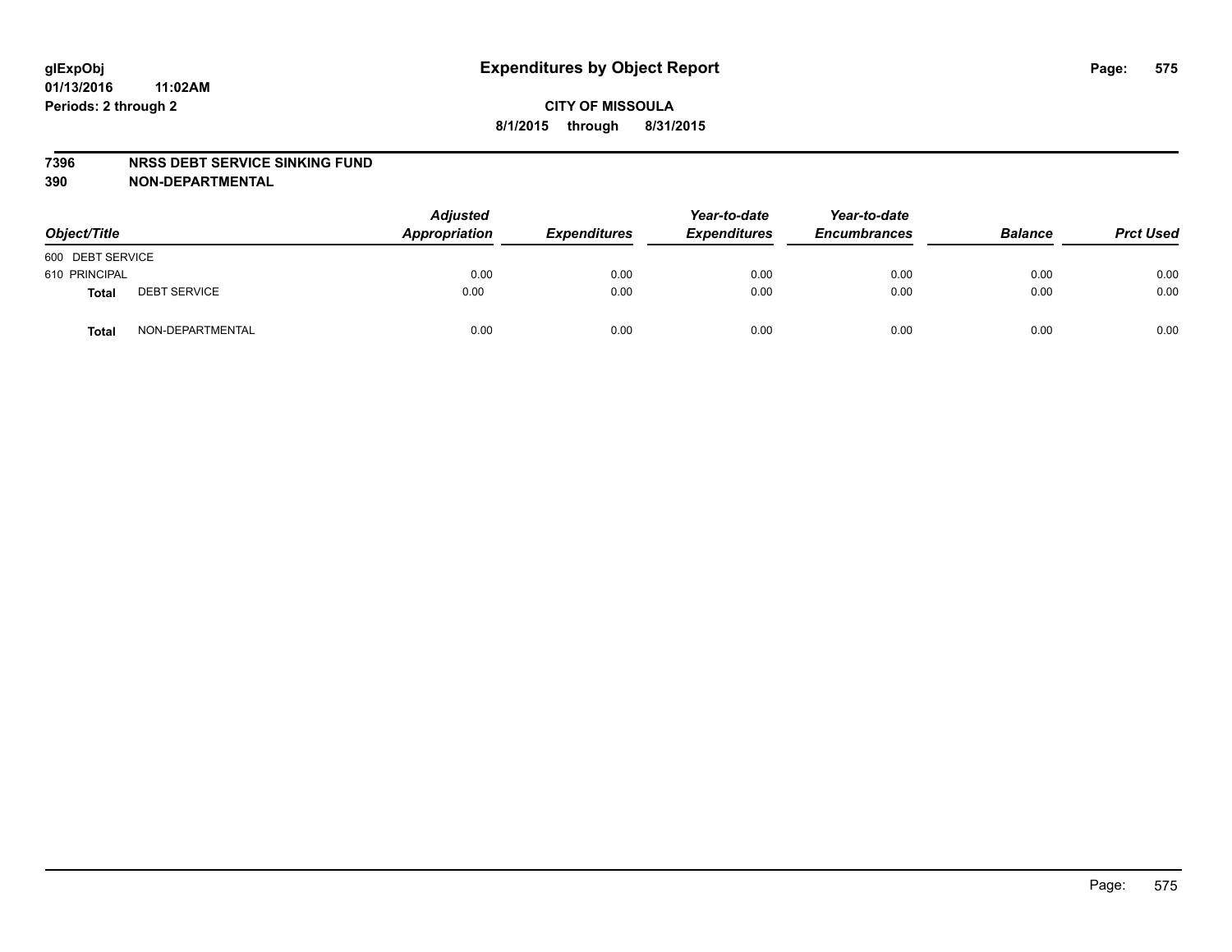#### **7396 NRSS DEBT SERVICE SINKING FUND**

**390 NON-DEPARTMENTAL**

| Object/Title     |                     | <b>Adjusted</b><br>Appropriation | <b>Expenditures</b> | Year-to-date<br><b>Expenditures</b> | Year-to-date<br><b>Encumbrances</b> | <b>Balance</b> | <b>Prct Used</b> |
|------------------|---------------------|----------------------------------|---------------------|-------------------------------------|-------------------------------------|----------------|------------------|
| 600 DEBT SERVICE |                     |                                  |                     |                                     |                                     |                |                  |
| 610 PRINCIPAL    |                     | 0.00                             | 0.00                | 0.00                                | 0.00                                | 0.00           | 0.00             |
| Total            | <b>DEBT SERVICE</b> | 0.00                             | 0.00                | 0.00                                | 0.00                                | 0.00           | 0.00             |
| Total            | NON-DEPARTMENTAL    | 0.00                             | 0.00                | 0.00                                | 0.00                                | 0.00           | 0.00             |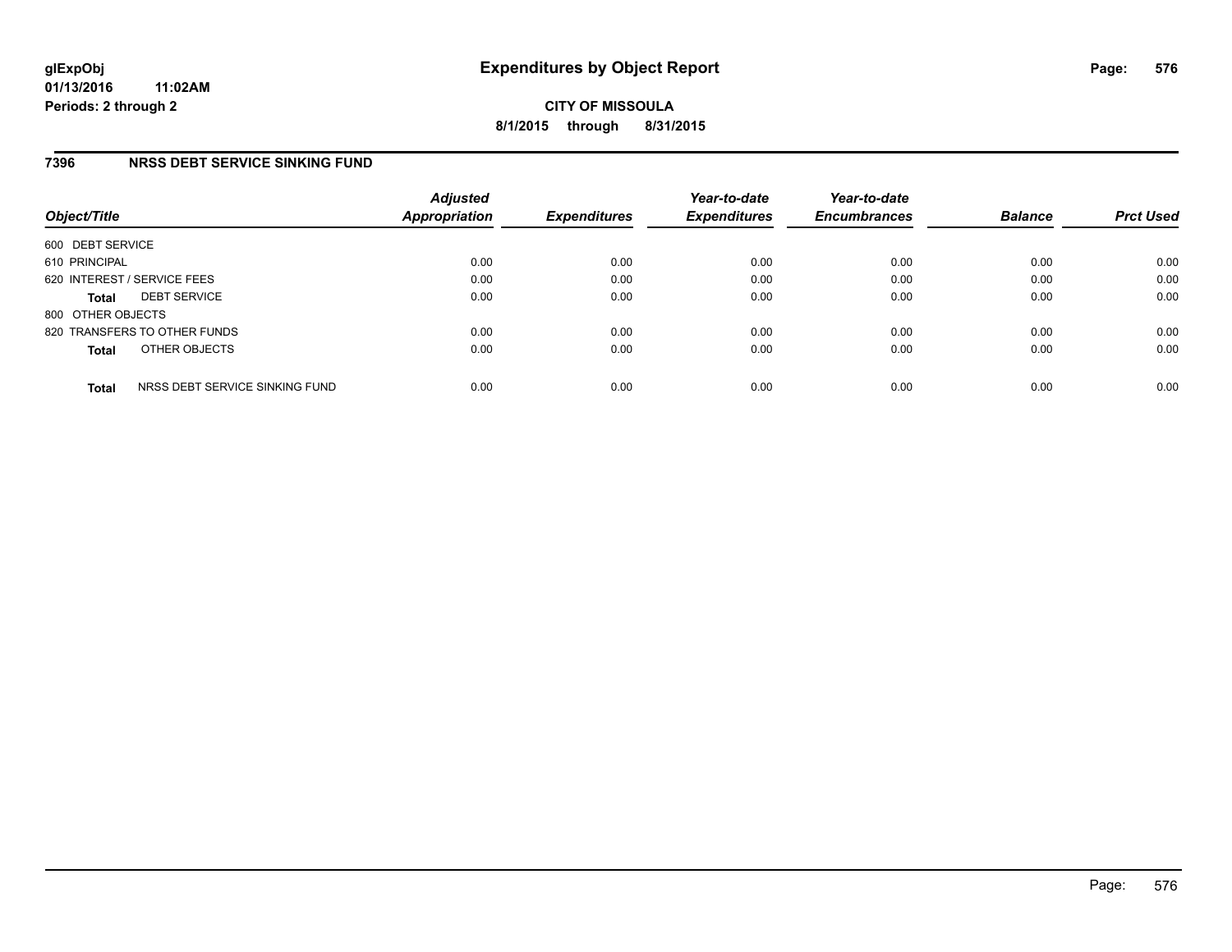**CITY OF MISSOULA 8/1/2015 through 8/31/2015**

### **7396 NRSS DEBT SERVICE SINKING FUND**

| Object/Title                |                                | <b>Adjusted</b><br><b>Appropriation</b> | <b>Expenditures</b> | Year-to-date<br><b>Expenditures</b> | Year-to-date<br><b>Encumbrances</b> | <b>Balance</b> | <b>Prct Used</b> |
|-----------------------------|--------------------------------|-----------------------------------------|---------------------|-------------------------------------|-------------------------------------|----------------|------------------|
| 600 DEBT SERVICE            |                                |                                         |                     |                                     |                                     |                |                  |
| 610 PRINCIPAL               |                                | 0.00                                    | 0.00                | 0.00                                | 0.00                                | 0.00           | 0.00             |
| 620 INTEREST / SERVICE FEES |                                | 0.00                                    | 0.00                | 0.00                                | 0.00                                | 0.00           | 0.00             |
| <b>Total</b>                | <b>DEBT SERVICE</b>            | 0.00                                    | 0.00                | 0.00                                | 0.00                                | 0.00           | 0.00             |
| 800 OTHER OBJECTS           |                                |                                         |                     |                                     |                                     |                |                  |
|                             | 820 TRANSFERS TO OTHER FUNDS   | 0.00                                    | 0.00                | 0.00                                | 0.00                                | 0.00           | 0.00             |
| <b>Total</b>                | OTHER OBJECTS                  | 0.00                                    | 0.00                | 0.00                                | 0.00                                | 0.00           | 0.00             |
| <b>Total</b>                | NRSS DEBT SERVICE SINKING FUND | 0.00                                    | 0.00                | 0.00                                | 0.00                                | 0.00           | 0.00             |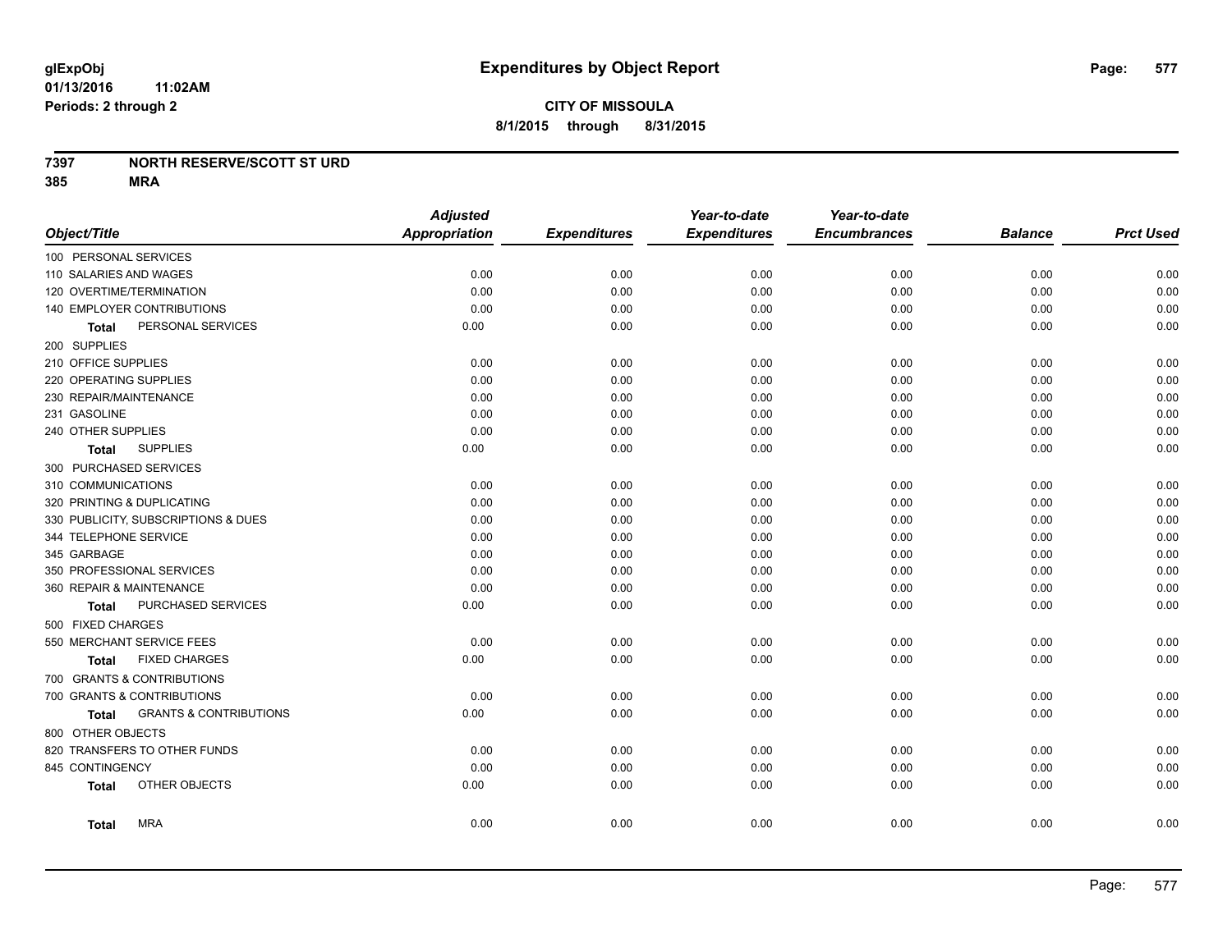#### **7397 NORTH RESERVE/SCOTT ST URD**

**385 MRA**

|                                            | <b>Adjusted</b>      |                     | Year-to-date        | Year-to-date        |                |                  |
|--------------------------------------------|----------------------|---------------------|---------------------|---------------------|----------------|------------------|
| Object/Title                               | <b>Appropriation</b> | <b>Expenditures</b> | <b>Expenditures</b> | <b>Encumbrances</b> | <b>Balance</b> | <b>Prct Used</b> |
| 100 PERSONAL SERVICES                      |                      |                     |                     |                     |                |                  |
| 110 SALARIES AND WAGES                     | 0.00                 | 0.00                | 0.00                | 0.00                | 0.00           | 0.00             |
| 120 OVERTIME/TERMINATION                   | 0.00                 | 0.00                | 0.00                | 0.00                | 0.00           | 0.00             |
| 140 EMPLOYER CONTRIBUTIONS                 | 0.00                 | 0.00                | 0.00                | 0.00                | 0.00           | 0.00             |
| PERSONAL SERVICES<br><b>Total</b>          | 0.00                 | 0.00                | 0.00                | 0.00                | 0.00           | 0.00             |
| 200 SUPPLIES                               |                      |                     |                     |                     |                |                  |
| 210 OFFICE SUPPLIES                        | 0.00                 | 0.00                | 0.00                | 0.00                | 0.00           | 0.00             |
| 220 OPERATING SUPPLIES                     | 0.00                 | 0.00                | 0.00                | 0.00                | 0.00           | 0.00             |
| 230 REPAIR/MAINTENANCE                     | 0.00                 | 0.00                | 0.00                | 0.00                | 0.00           | 0.00             |
| 231 GASOLINE                               | 0.00                 | 0.00                | 0.00                | 0.00                | 0.00           | 0.00             |
| 240 OTHER SUPPLIES                         | 0.00                 | 0.00                | 0.00                | 0.00                | 0.00           | 0.00             |
| <b>SUPPLIES</b><br>Total                   | 0.00                 | 0.00                | 0.00                | 0.00                | 0.00           | 0.00             |
| 300 PURCHASED SERVICES                     |                      |                     |                     |                     |                |                  |
| 310 COMMUNICATIONS                         | 0.00                 | 0.00                | 0.00                | 0.00                | 0.00           | 0.00             |
| 320 PRINTING & DUPLICATING                 | 0.00                 | 0.00                | 0.00                | 0.00                | 0.00           | 0.00             |
| 330 PUBLICITY, SUBSCRIPTIONS & DUES        | 0.00                 | 0.00                | 0.00                | 0.00                | 0.00           | 0.00             |
| 344 TELEPHONE SERVICE                      | 0.00                 | 0.00                | 0.00                | 0.00                | 0.00           | 0.00             |
| 345 GARBAGE                                | 0.00                 | 0.00                | 0.00                | 0.00                | 0.00           | 0.00             |
| 350 PROFESSIONAL SERVICES                  | 0.00                 | 0.00                | 0.00                | 0.00                | 0.00           | 0.00             |
| 360 REPAIR & MAINTENANCE                   | 0.00                 | 0.00                | 0.00                | 0.00                | 0.00           | 0.00             |
| PURCHASED SERVICES<br><b>Total</b>         | 0.00                 | 0.00                | 0.00                | 0.00                | 0.00           | 0.00             |
| 500 FIXED CHARGES                          |                      |                     |                     |                     |                |                  |
| 550 MERCHANT SERVICE FEES                  | 0.00                 | 0.00                | 0.00                | 0.00                | 0.00           | 0.00             |
| <b>FIXED CHARGES</b><br><b>Total</b>       | 0.00                 | 0.00                | 0.00                | 0.00                | 0.00           | 0.00             |
| 700 GRANTS & CONTRIBUTIONS                 |                      |                     |                     |                     |                |                  |
| 700 GRANTS & CONTRIBUTIONS                 | 0.00                 | 0.00                | 0.00                | 0.00                | 0.00           | 0.00             |
| <b>GRANTS &amp; CONTRIBUTIONS</b><br>Total | 0.00                 | 0.00                | 0.00                | 0.00                | 0.00           | 0.00             |
| 800 OTHER OBJECTS                          |                      |                     |                     |                     |                |                  |
| 820 TRANSFERS TO OTHER FUNDS               | 0.00                 | 0.00                | 0.00                | 0.00                | 0.00           | 0.00             |
| 845 CONTINGENCY                            | 0.00                 | 0.00                | 0.00                | 0.00                | 0.00           | 0.00             |
| OTHER OBJECTS<br><b>Total</b>              | 0.00                 | 0.00                | 0.00                | 0.00                | 0.00           | 0.00             |
| <b>MRA</b><br><b>Total</b>                 | 0.00                 | 0.00                | 0.00                | 0.00                | 0.00           | 0.00             |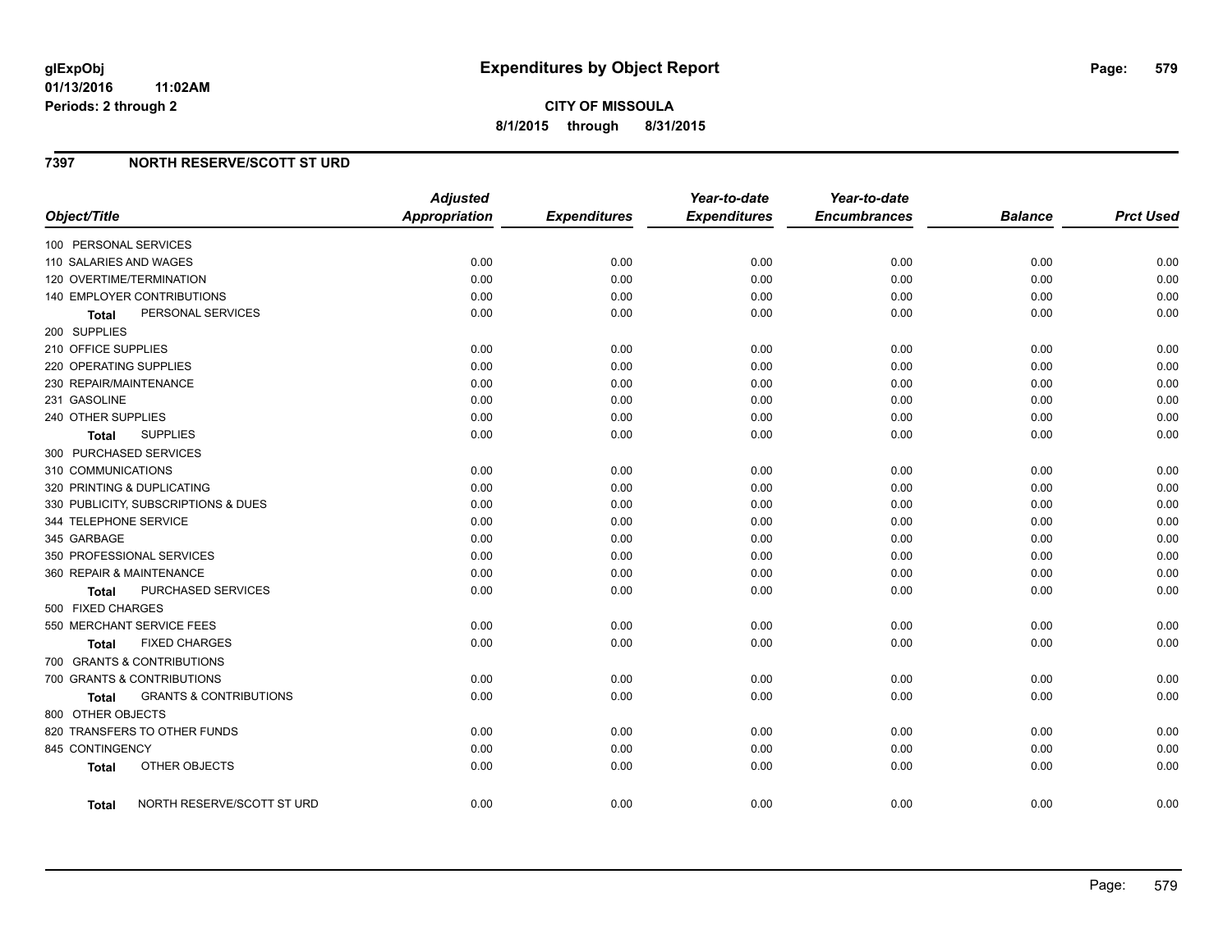**01/13/2016 11:02AM Periods: 2 through 2**

### **7397 NORTH RESERVE/SCOTT ST URD**

| Object/Title                         |                                   | <b>Adjusted</b><br><b>Appropriation</b> | <b>Expenditures</b> | Year-to-date<br><b>Expenditures</b> | Year-to-date<br><b>Encumbrances</b> | <b>Balance</b> | <b>Prct Used</b> |
|--------------------------------------|-----------------------------------|-----------------------------------------|---------------------|-------------------------------------|-------------------------------------|----------------|------------------|
| 100 PERSONAL SERVICES                |                                   |                                         |                     |                                     |                                     |                |                  |
| 110 SALARIES AND WAGES               |                                   | 0.00                                    | 0.00                | 0.00                                | 0.00                                | 0.00           | 0.00             |
| 120 OVERTIME/TERMINATION             |                                   | 0.00                                    | 0.00                | 0.00                                | 0.00                                | 0.00           | 0.00             |
| 140 EMPLOYER CONTRIBUTIONS           |                                   | 0.00                                    | 0.00                | 0.00                                | 0.00                                | 0.00           | 0.00             |
| PERSONAL SERVICES<br><b>Total</b>    |                                   | 0.00                                    | 0.00                | 0.00                                | 0.00                                | 0.00           | 0.00             |
| 200 SUPPLIES                         |                                   |                                         |                     |                                     |                                     |                |                  |
| 210 OFFICE SUPPLIES                  |                                   | 0.00                                    | 0.00                | 0.00                                | 0.00                                | 0.00           | 0.00             |
| 220 OPERATING SUPPLIES               |                                   | 0.00                                    | 0.00                | 0.00                                | 0.00                                | 0.00           | 0.00             |
| 230 REPAIR/MAINTENANCE               |                                   | 0.00                                    | 0.00                | 0.00                                | 0.00                                | 0.00           | 0.00             |
| 231 GASOLINE                         |                                   | 0.00                                    | 0.00                | 0.00                                | 0.00                                | 0.00           | 0.00             |
| 240 OTHER SUPPLIES                   |                                   | 0.00                                    | 0.00                | 0.00                                | 0.00                                | 0.00           | 0.00             |
| <b>SUPPLIES</b><br>Total             |                                   | 0.00                                    | 0.00                | 0.00                                | 0.00                                | 0.00           | 0.00             |
| 300 PURCHASED SERVICES               |                                   |                                         |                     |                                     |                                     |                |                  |
| 310 COMMUNICATIONS                   |                                   | 0.00                                    | 0.00                | 0.00                                | 0.00                                | 0.00           | 0.00             |
| 320 PRINTING & DUPLICATING           |                                   | 0.00                                    | 0.00                | 0.00                                | 0.00                                | 0.00           | 0.00             |
| 330 PUBLICITY, SUBSCRIPTIONS & DUES  |                                   | 0.00                                    | 0.00                | 0.00                                | 0.00                                | 0.00           | 0.00             |
| 344 TELEPHONE SERVICE                |                                   | 0.00                                    | 0.00                | 0.00                                | 0.00                                | 0.00           | 0.00             |
| 345 GARBAGE                          |                                   | 0.00                                    | 0.00                | 0.00                                | 0.00                                | 0.00           | 0.00             |
| 350 PROFESSIONAL SERVICES            |                                   | 0.00                                    | 0.00                | 0.00                                | 0.00                                | 0.00           | 0.00             |
| 360 REPAIR & MAINTENANCE             |                                   | 0.00                                    | 0.00                | 0.00                                | 0.00                                | 0.00           | 0.00             |
| Total                                | PURCHASED SERVICES                | 0.00                                    | 0.00                | 0.00                                | 0.00                                | 0.00           | 0.00             |
| 500 FIXED CHARGES                    |                                   |                                         |                     |                                     |                                     |                |                  |
| 550 MERCHANT SERVICE FEES            |                                   | 0.00                                    | 0.00                | 0.00                                | 0.00                                | 0.00           | 0.00             |
| <b>FIXED CHARGES</b><br><b>Total</b> |                                   | 0.00                                    | 0.00                | 0.00                                | 0.00                                | 0.00           | 0.00             |
| 700 GRANTS & CONTRIBUTIONS           |                                   |                                         |                     |                                     |                                     |                |                  |
| 700 GRANTS & CONTRIBUTIONS           |                                   | 0.00                                    | 0.00                | 0.00                                | 0.00                                | 0.00           | 0.00             |
| Total                                | <b>GRANTS &amp; CONTRIBUTIONS</b> | 0.00                                    | 0.00                | 0.00                                | 0.00                                | 0.00           | 0.00             |
| 800 OTHER OBJECTS                    |                                   |                                         |                     |                                     |                                     |                |                  |
| 820 TRANSFERS TO OTHER FUNDS         |                                   | 0.00                                    | 0.00                | 0.00                                | 0.00                                | 0.00           | 0.00             |
| 845 CONTINGENCY                      |                                   | 0.00                                    | 0.00                | 0.00                                | 0.00                                | 0.00           | 0.00             |
| OTHER OBJECTS<br><b>Total</b>        |                                   | 0.00                                    | 0.00                | 0.00                                | 0.00                                | 0.00           | 0.00             |
| Total                                | NORTH RESERVE/SCOTT ST URD        | 0.00                                    | 0.00                | 0.00                                | 0.00                                | 0.00           | 0.00             |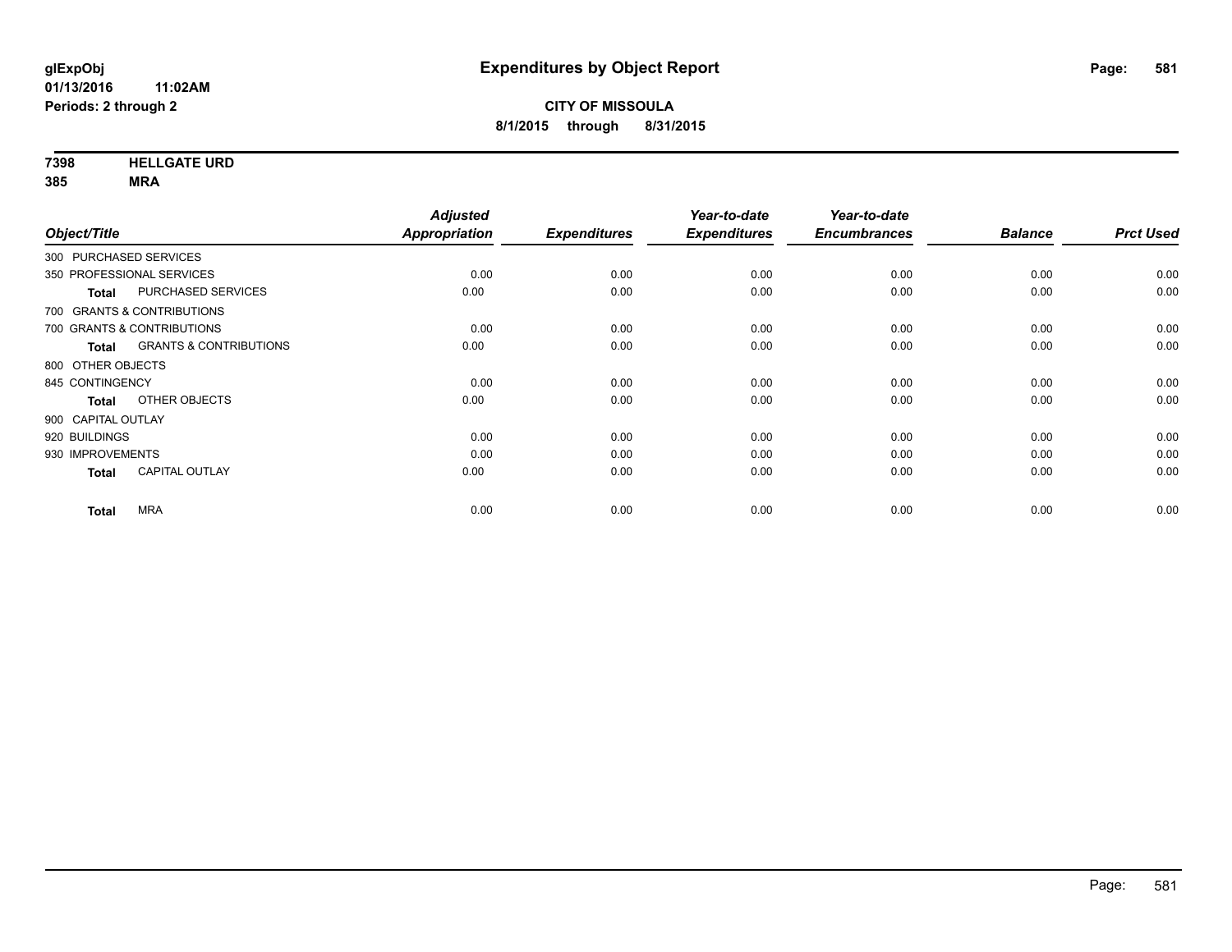**7398 HELLGATE URD**

**385 MRA**

|                            | <b>Adjusted</b>                                                                                   |                     | Year-to-date        | Year-to-date        |                |                  |
|----------------------------|---------------------------------------------------------------------------------------------------|---------------------|---------------------|---------------------|----------------|------------------|
|                            | Appropriation                                                                                     | <b>Expenditures</b> | <b>Expenditures</b> | <b>Encumbrances</b> | <b>Balance</b> | <b>Prct Used</b> |
|                            |                                                                                                   |                     |                     |                     |                |                  |
|                            | 0.00                                                                                              | 0.00                | 0.00                | 0.00                | 0.00           | 0.00             |
|                            | 0.00                                                                                              | 0.00                | 0.00                | 0.00                | 0.00           | 0.00             |
|                            |                                                                                                   |                     |                     |                     |                |                  |
|                            | 0.00                                                                                              | 0.00                | 0.00                | 0.00                | 0.00           | 0.00             |
|                            | 0.00                                                                                              | 0.00                | 0.00                | 0.00                | 0.00           | 0.00             |
|                            |                                                                                                   |                     |                     |                     |                |                  |
|                            | 0.00                                                                                              | 0.00                | 0.00                | 0.00                | 0.00           | 0.00             |
|                            | 0.00                                                                                              | 0.00                | 0.00                | 0.00                | 0.00           | 0.00             |
|                            |                                                                                                   |                     |                     |                     |                |                  |
|                            | 0.00                                                                                              | 0.00                | 0.00                | 0.00                | 0.00           | 0.00             |
|                            | 0.00                                                                                              | 0.00                | 0.00                | 0.00                | 0.00           | 0.00             |
|                            | 0.00                                                                                              | 0.00                | 0.00                | 0.00                | 0.00           | 0.00             |
|                            | 0.00                                                                                              | 0.00                | 0.00                | 0.00                | 0.00           | 0.00             |
| 700 GRANTS & CONTRIBUTIONS | PURCHASED SERVICES<br><b>GRANTS &amp; CONTRIBUTIONS</b><br>OTHER OBJECTS<br><b>CAPITAL OUTLAY</b> |                     |                     |                     |                |                  |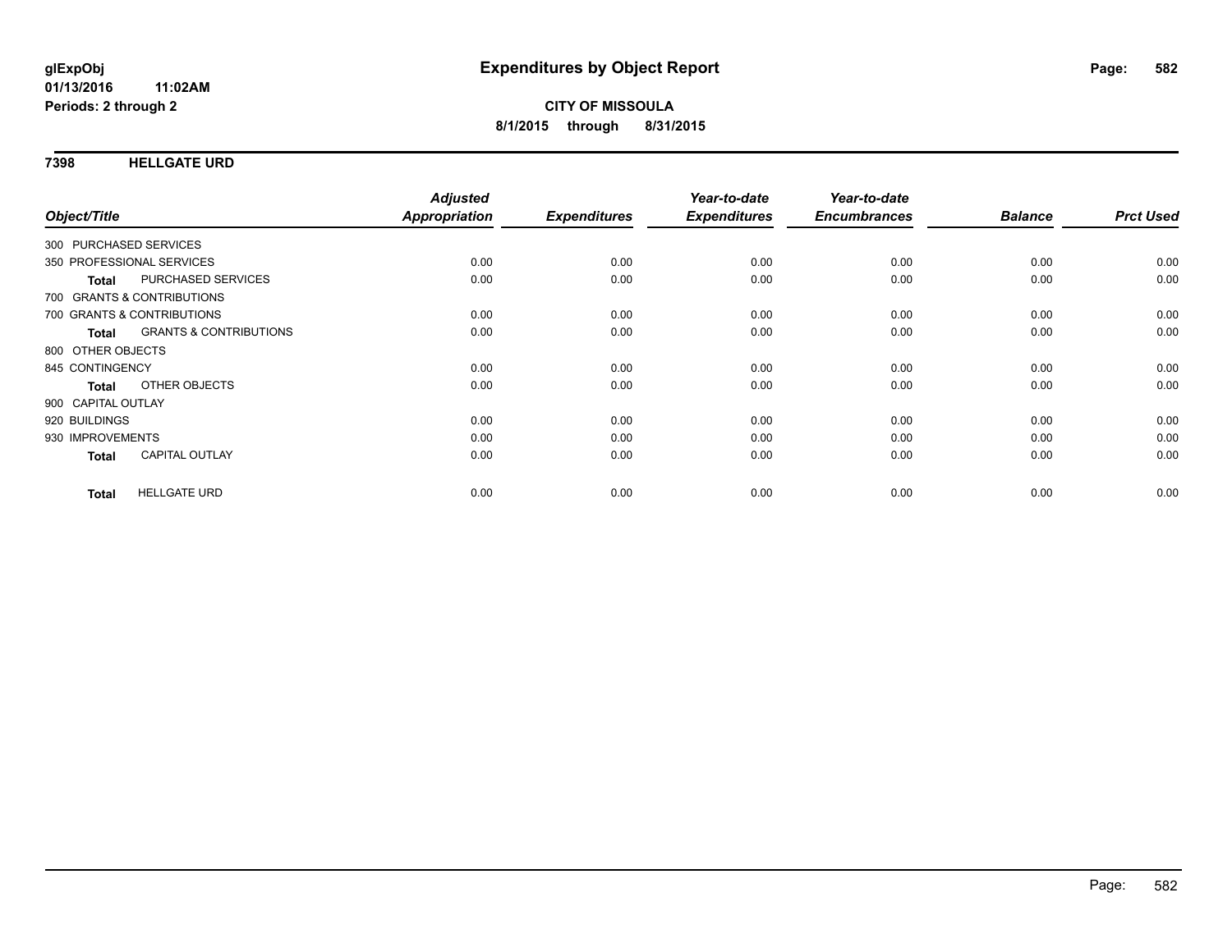#### **7398 HELLGATE URD**

| Object/Title                               | <b>Adjusted</b><br>Appropriation | <b>Expenditures</b> | Year-to-date<br><b>Expenditures</b> | Year-to-date<br><b>Encumbrances</b> | <b>Balance</b> | <b>Prct Used</b> |
|--------------------------------------------|----------------------------------|---------------------|-------------------------------------|-------------------------------------|----------------|------------------|
|                                            |                                  |                     |                                     |                                     |                |                  |
| 300 PURCHASED SERVICES                     |                                  |                     |                                     |                                     |                |                  |
| 350 PROFESSIONAL SERVICES                  | 0.00                             | 0.00                | 0.00                                | 0.00                                | 0.00           | 0.00             |
| PURCHASED SERVICES<br><b>Total</b>         | 0.00                             | 0.00                | 0.00                                | 0.00                                | 0.00           | 0.00             |
| 700 GRANTS & CONTRIBUTIONS                 |                                  |                     |                                     |                                     |                |                  |
| 700 GRANTS & CONTRIBUTIONS                 | 0.00                             | 0.00                | 0.00                                | 0.00                                | 0.00           | 0.00             |
| <b>GRANTS &amp; CONTRIBUTIONS</b><br>Total | 0.00                             | 0.00                | 0.00                                | 0.00                                | 0.00           | 0.00             |
| 800 OTHER OBJECTS                          |                                  |                     |                                     |                                     |                |                  |
| 845 CONTINGENCY                            | 0.00                             | 0.00                | 0.00                                | 0.00                                | 0.00           | 0.00             |
| OTHER OBJECTS<br><b>Total</b>              | 0.00                             | 0.00                | 0.00                                | 0.00                                | 0.00           | 0.00             |
| 900 CAPITAL OUTLAY                         |                                  |                     |                                     |                                     |                |                  |
| 920 BUILDINGS                              | 0.00                             | 0.00                | 0.00                                | 0.00                                | 0.00           | 0.00             |
| 930 IMPROVEMENTS                           | 0.00                             | 0.00                | 0.00                                | 0.00                                | 0.00           | 0.00             |
| <b>CAPITAL OUTLAY</b><br><b>Total</b>      | 0.00                             | 0.00                | 0.00                                | 0.00                                | 0.00           | 0.00             |
| <b>HELLGATE URD</b><br><b>Total</b>        | 0.00                             | 0.00                | 0.00                                | 0.00                                | 0.00           | 0.00             |
|                                            |                                  |                     |                                     |                                     |                |                  |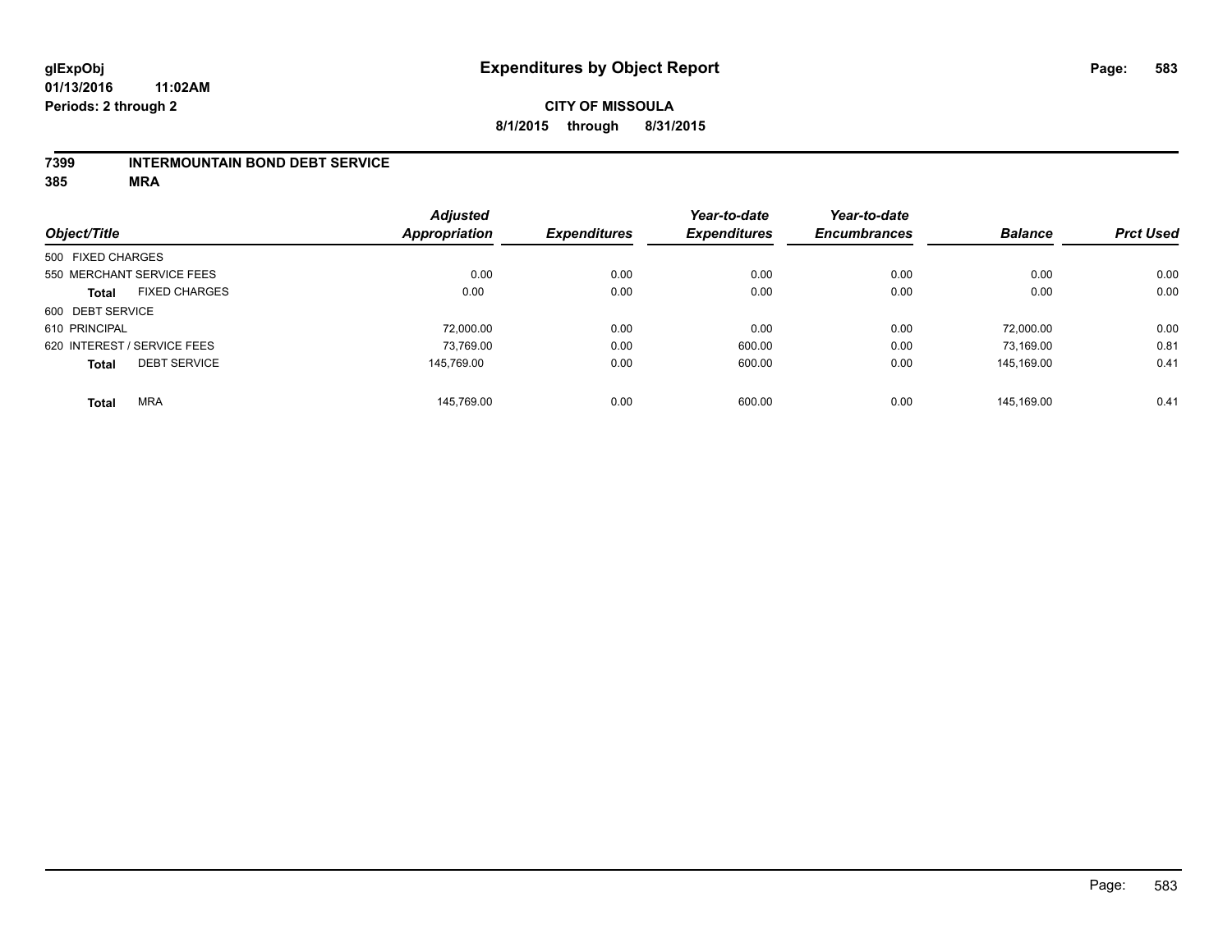#### **7399 INTERMOUNTAIN BOND DEBT SERVICE**

**385 MRA**

|                   |                             | <b>Adjusted</b> |                     | Year-to-date        | Year-to-date        |                |                  |
|-------------------|-----------------------------|-----------------|---------------------|---------------------|---------------------|----------------|------------------|
| Object/Title      |                             | Appropriation   | <b>Expenditures</b> | <b>Expenditures</b> | <b>Encumbrances</b> | <b>Balance</b> | <b>Prct Used</b> |
| 500 FIXED CHARGES |                             |                 |                     |                     |                     |                |                  |
|                   | 550 MERCHANT SERVICE FEES   | 0.00            | 0.00                | 0.00                | 0.00                | 0.00           | 0.00             |
| <b>Total</b>      | <b>FIXED CHARGES</b>        | 0.00            | 0.00                | 0.00                | 0.00                | 0.00           | 0.00             |
| 600 DEBT SERVICE  |                             |                 |                     |                     |                     |                |                  |
| 610 PRINCIPAL     |                             | 72.000.00       | 0.00                | 0.00                | 0.00                | 72.000.00      | 0.00             |
|                   | 620 INTEREST / SERVICE FEES | 73,769.00       | 0.00                | 600.00              | 0.00                | 73,169.00      | 0.81             |
| <b>Total</b>      | <b>DEBT SERVICE</b>         | 145.769.00      | 0.00                | 600.00              | 0.00                | 145.169.00     | 0.41             |
| <b>Total</b>      | <b>MRA</b>                  | 145.769.00      | 0.00                | 600.00              | 0.00                | 145.169.00     | 0.41             |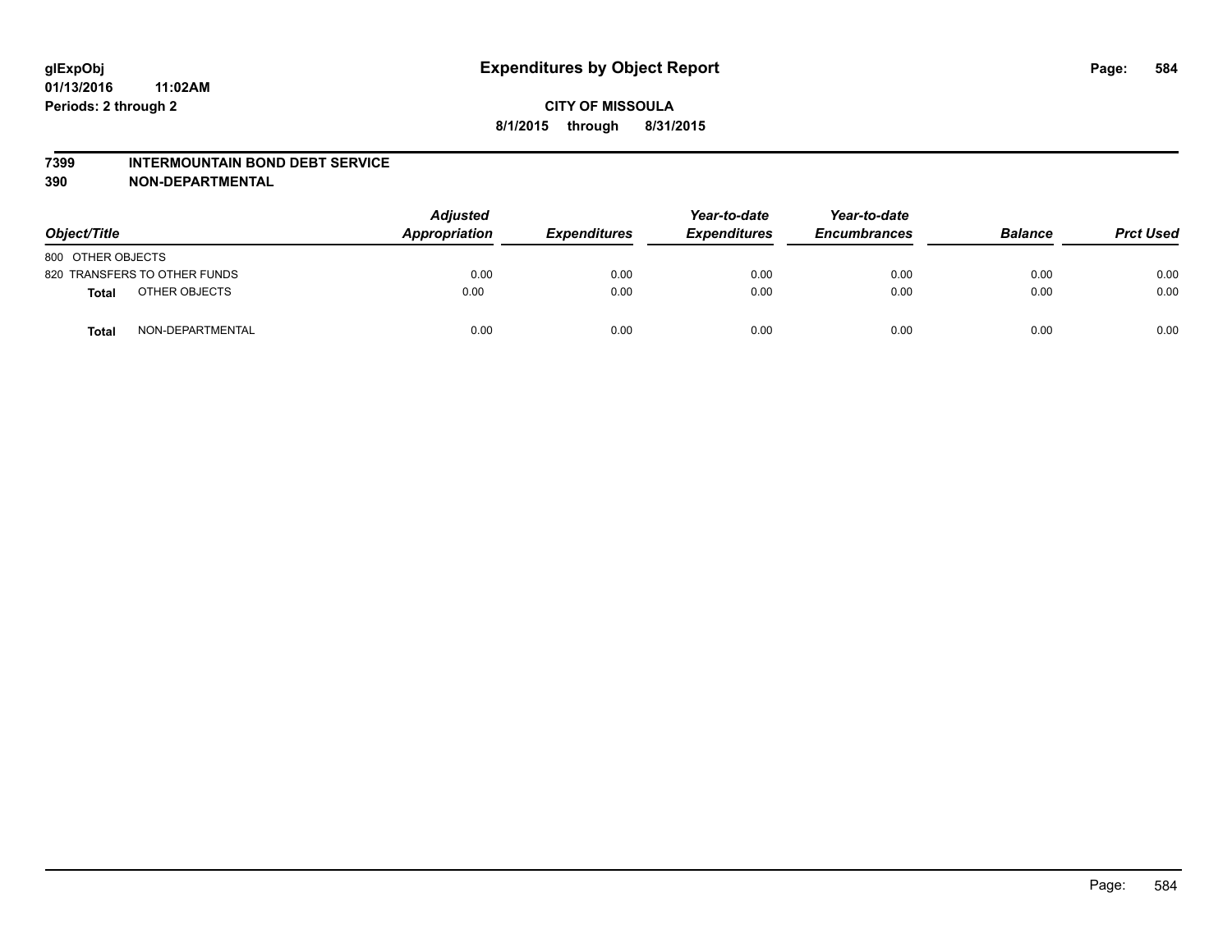#### **7399 INTERMOUNTAIN BOND DEBT SERVICE**

**390 NON-DEPARTMENTAL**

| Object/Title                     | <b>Adjusted</b><br>Appropriation | <b>Expenditures</b> | Year-to-date<br><b>Expenditures</b> | Year-to-date<br><b>Encumbrances</b> | <b>Balance</b> | <b>Prct Used</b> |
|----------------------------------|----------------------------------|---------------------|-------------------------------------|-------------------------------------|----------------|------------------|
| 800 OTHER OBJECTS                |                                  |                     |                                     |                                     |                |                  |
| 820 TRANSFERS TO OTHER FUNDS     | 0.00                             | 0.00                | 0.00                                | 0.00                                | 0.00           | 0.00             |
| OTHER OBJECTS<br><b>Total</b>    | 0.00                             | 0.00                | 0.00                                | 0.00                                | 0.00           | 0.00             |
| NON-DEPARTMENTAL<br><b>Total</b> | 0.00                             | 0.00                | 0.00                                | 0.00                                | 0.00           | 0.00             |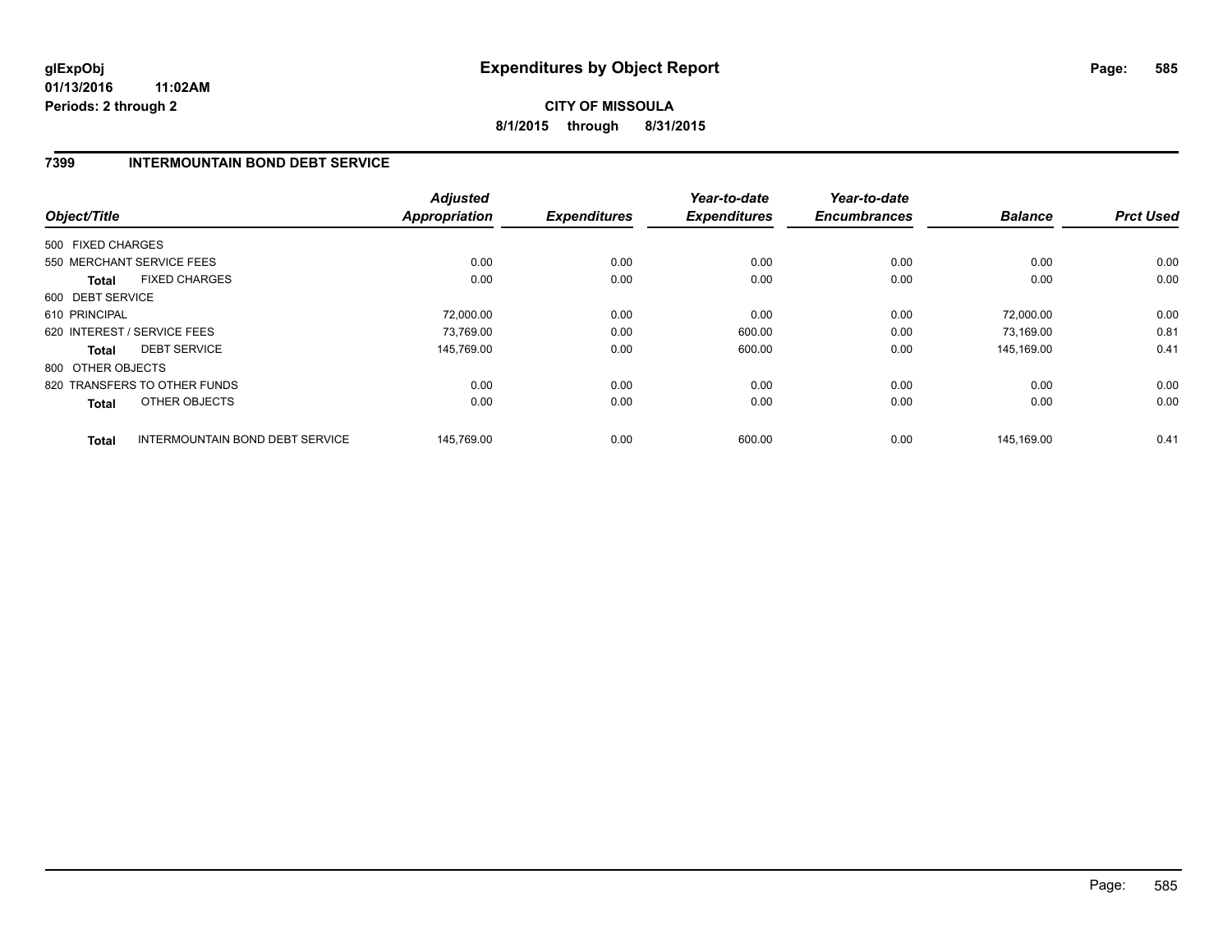**01/13/2016 11:02AM Periods: 2 through 2**

# **CITY OF MISSOULA 8/1/2015 through 8/31/2015**

### **7399 INTERMOUNTAIN BOND DEBT SERVICE**

| Object/Title                                           | <b>Adjusted</b><br><b>Appropriation</b> | <b>Expenditures</b> | Year-to-date<br><b>Expenditures</b> | Year-to-date<br><b>Encumbrances</b> | <b>Balance</b> | <b>Prct Used</b> |
|--------------------------------------------------------|-----------------------------------------|---------------------|-------------------------------------|-------------------------------------|----------------|------------------|
| 500 FIXED CHARGES                                      |                                         |                     |                                     |                                     |                |                  |
| 550 MERCHANT SERVICE FEES                              | 0.00                                    | 0.00                | 0.00                                | 0.00                                | 0.00           | 0.00             |
| <b>FIXED CHARGES</b><br><b>Total</b>                   | 0.00                                    | 0.00                | 0.00                                | 0.00                                | 0.00           | 0.00             |
| 600 DEBT SERVICE                                       |                                         |                     |                                     |                                     |                |                  |
| 610 PRINCIPAL                                          | 72,000.00                               | 0.00                | 0.00                                | 0.00                                | 72,000.00      | 0.00             |
| 620 INTEREST / SERVICE FEES                            | 73.769.00                               | 0.00                | 600.00                              | 0.00                                | 73,169.00      | 0.81             |
| <b>DEBT SERVICE</b><br><b>Total</b>                    | 145.769.00                              | 0.00                | 600.00                              | 0.00                                | 145.169.00     | 0.41             |
| 800 OTHER OBJECTS                                      |                                         |                     |                                     |                                     |                |                  |
| 820 TRANSFERS TO OTHER FUNDS                           | 0.00                                    | 0.00                | 0.00                                | 0.00                                | 0.00           | 0.00             |
| OTHER OBJECTS<br><b>Total</b>                          | 0.00                                    | 0.00                | 0.00                                | 0.00                                | 0.00           | 0.00             |
| <b>INTERMOUNTAIN BOND DEBT SERVICE</b><br><b>Total</b> | 145,769.00                              | 0.00                | 600.00                              | 0.00                                | 145,169.00     | 0.41             |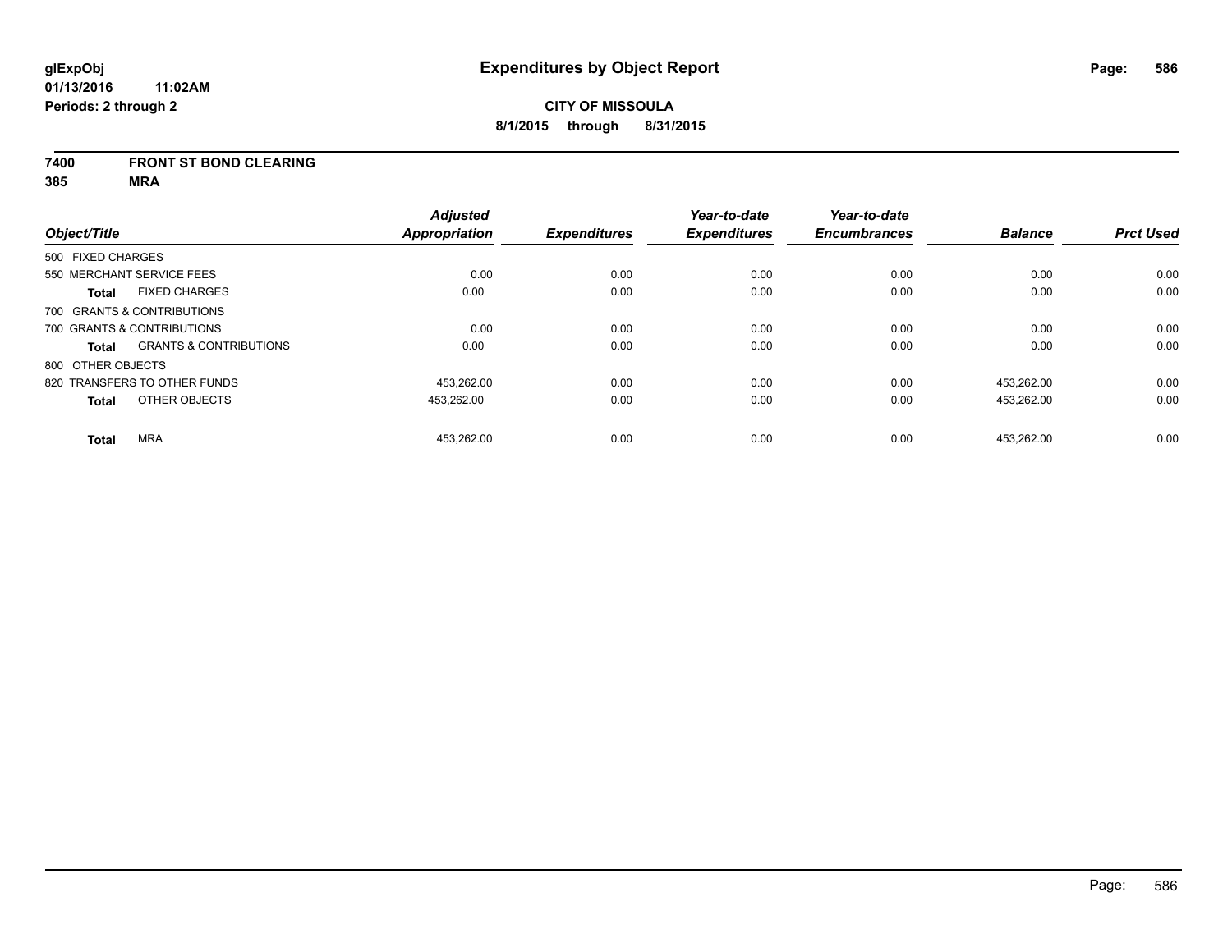#### **7400 FRONT ST BOND CLEARING**

**385 MRA**

|                   |                                   | <b>Adjusted</b> |                     | Year-to-date        | Year-to-date        |                |                  |
|-------------------|-----------------------------------|-----------------|---------------------|---------------------|---------------------|----------------|------------------|
| Object/Title      |                                   | Appropriation   | <b>Expenditures</b> | <b>Expenditures</b> | <b>Encumbrances</b> | <b>Balance</b> | <b>Prct Used</b> |
| 500 FIXED CHARGES |                                   |                 |                     |                     |                     |                |                  |
|                   | 550 MERCHANT SERVICE FEES         | 0.00            | 0.00                | 0.00                | 0.00                | 0.00           | 0.00             |
| <b>Total</b>      | <b>FIXED CHARGES</b>              | 0.00            | 0.00                | 0.00                | 0.00                | 0.00           | 0.00             |
|                   | 700 GRANTS & CONTRIBUTIONS        |                 |                     |                     |                     |                |                  |
|                   | 700 GRANTS & CONTRIBUTIONS        | 0.00            | 0.00                | 0.00                | 0.00                | 0.00           | 0.00             |
| Total             | <b>GRANTS &amp; CONTRIBUTIONS</b> | 0.00            | 0.00                | 0.00                | 0.00                | 0.00           | 0.00             |
| 800 OTHER OBJECTS |                                   |                 |                     |                     |                     |                |                  |
|                   | 820 TRANSFERS TO OTHER FUNDS      | 453.262.00      | 0.00                | 0.00                | 0.00                | 453.262.00     | 0.00             |
| <b>Total</b>      | OTHER OBJECTS                     | 453,262.00      | 0.00                | 0.00                | 0.00                | 453,262.00     | 0.00             |
| <b>Total</b>      | <b>MRA</b>                        | 453,262.00      | 0.00                | 0.00                | 0.00                | 453.262.00     | 0.00             |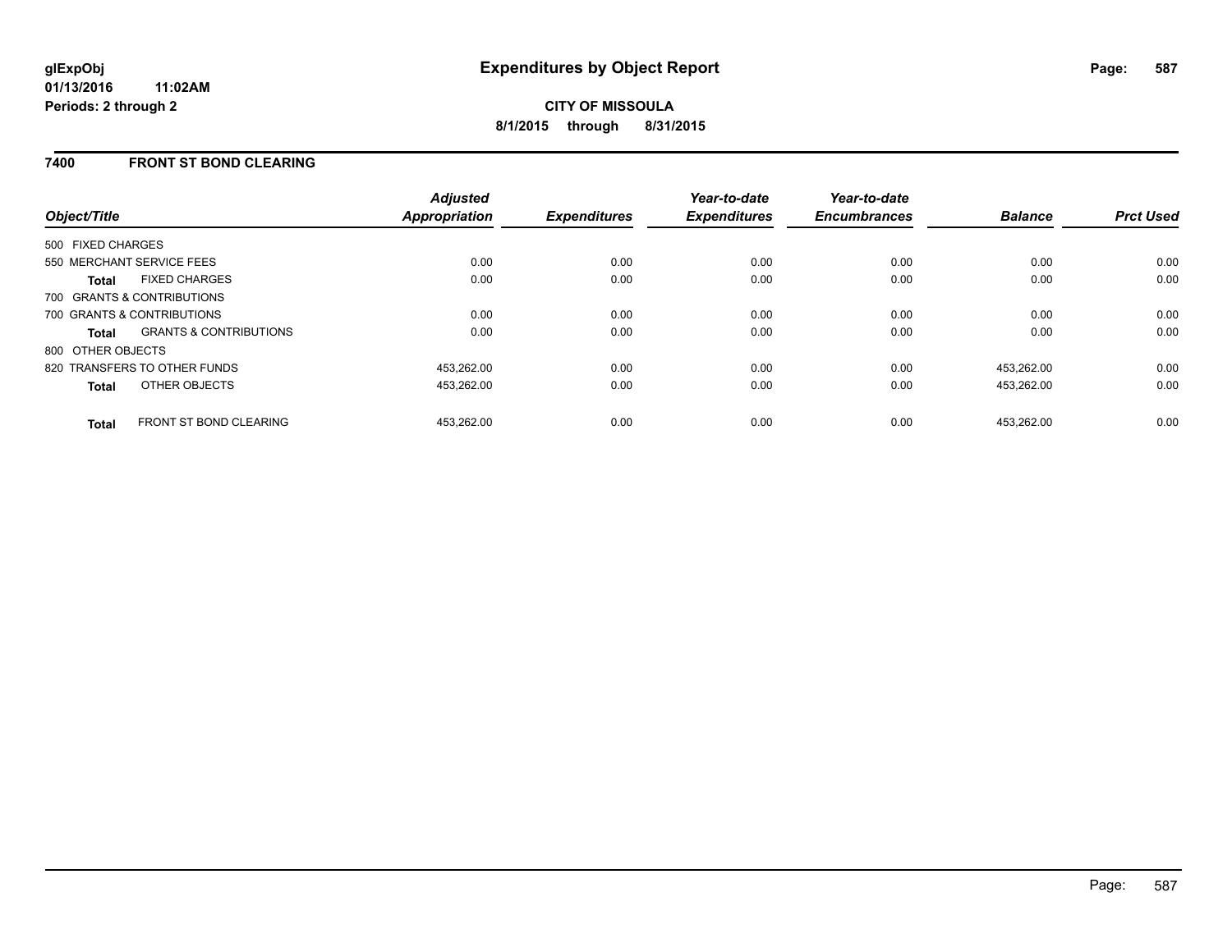### **7400 FRONT ST BOND CLEARING**

| Object/Title                                      | <b>Adjusted</b><br>Appropriation | <b>Expenditures</b> | Year-to-date<br><b>Expenditures</b> | Year-to-date<br><b>Encumbrances</b> | <b>Balance</b> | <b>Prct Used</b> |
|---------------------------------------------------|----------------------------------|---------------------|-------------------------------------|-------------------------------------|----------------|------------------|
| 500 FIXED CHARGES                                 |                                  |                     |                                     |                                     |                |                  |
| 550 MERCHANT SERVICE FEES                         | 0.00                             | 0.00                | 0.00                                | 0.00                                | 0.00           | 0.00             |
| <b>FIXED CHARGES</b><br><b>Total</b>              | 0.00                             | 0.00                | 0.00                                | 0.00                                | 0.00           | 0.00             |
| 700 GRANTS & CONTRIBUTIONS                        |                                  |                     |                                     |                                     |                |                  |
| 700 GRANTS & CONTRIBUTIONS                        | 0.00                             | 0.00                | 0.00                                | 0.00                                | 0.00           | 0.00             |
| <b>GRANTS &amp; CONTRIBUTIONS</b><br><b>Total</b> | 0.00                             | 0.00                | 0.00                                | 0.00                                | 0.00           | 0.00             |
| 800 OTHER OBJECTS                                 |                                  |                     |                                     |                                     |                |                  |
| 820 TRANSFERS TO OTHER FUNDS                      | 453.262.00                       | 0.00                | 0.00                                | 0.00                                | 453.262.00     | 0.00             |
| OTHER OBJECTS<br><b>Total</b>                     | 453.262.00                       | 0.00                | 0.00                                | 0.00                                | 453,262.00     | 0.00             |
| <b>FRONT ST BOND CLEARING</b><br><b>Total</b>     | 453.262.00                       | 0.00                | 0.00                                | 0.00                                | 453.262.00     | 0.00             |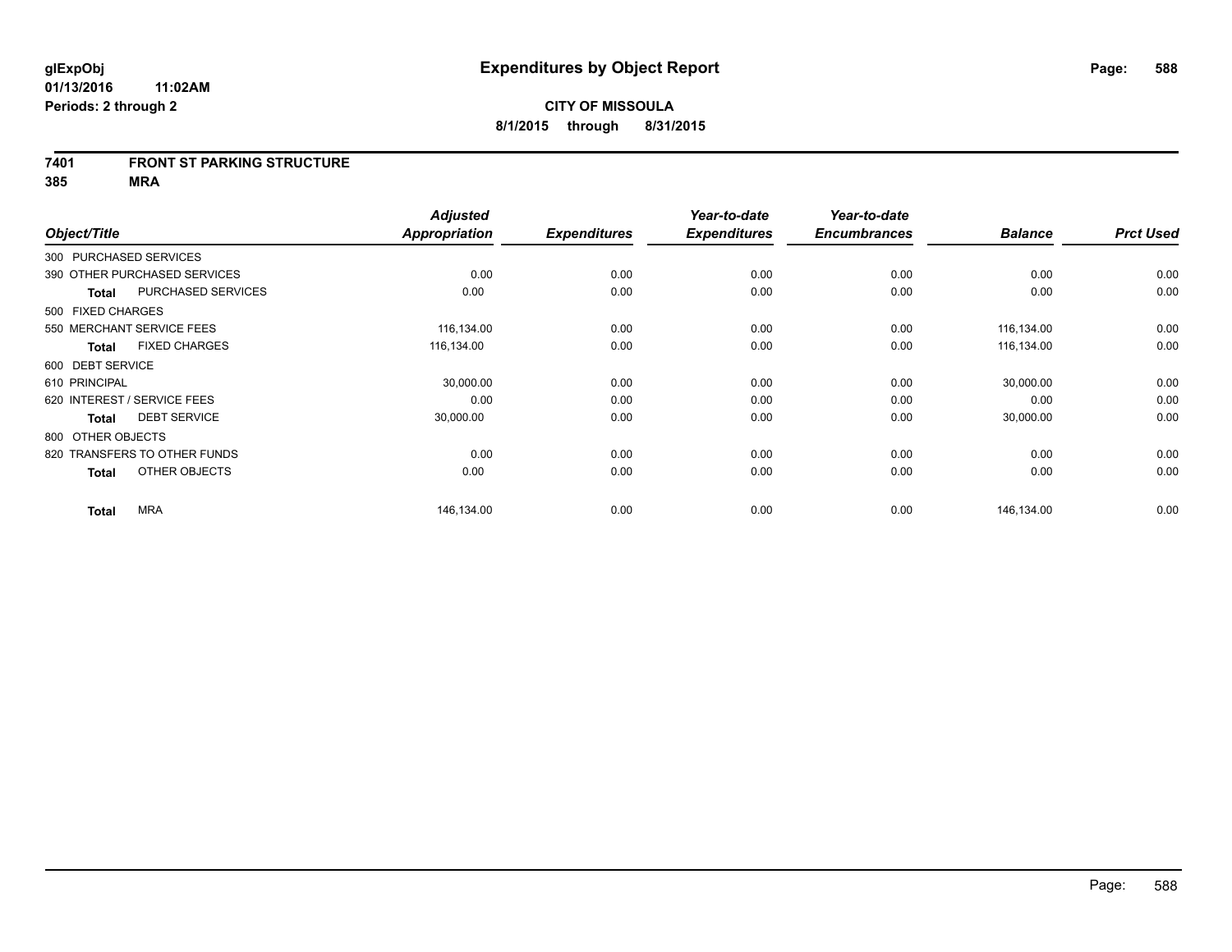#### **7401 FRONT ST PARKING STRUCTURE**

**385 MRA**

| Object/Title                |                              | <b>Adjusted</b><br><b>Appropriation</b> | <b>Expenditures</b> | Year-to-date<br><b>Expenditures</b> | Year-to-date<br><b>Encumbrances</b> | <b>Balance</b> | <b>Prct Used</b> |
|-----------------------------|------------------------------|-----------------------------------------|---------------------|-------------------------------------|-------------------------------------|----------------|------------------|
| 300 PURCHASED SERVICES      |                              |                                         |                     |                                     |                                     |                |                  |
|                             | 390 OTHER PURCHASED SERVICES | 0.00                                    | 0.00                | 0.00                                | 0.00                                | 0.00           | 0.00             |
| <b>Total</b>                | PURCHASED SERVICES           | 0.00                                    | 0.00                | 0.00                                | 0.00                                | 0.00           | 0.00             |
| 500 FIXED CHARGES           |                              |                                         |                     |                                     |                                     |                |                  |
| 550 MERCHANT SERVICE FEES   |                              | 116,134.00                              | 0.00                | 0.00                                | 0.00                                | 116,134.00     | 0.00             |
| <b>Total</b>                | <b>FIXED CHARGES</b>         | 116,134.00                              | 0.00                | 0.00                                | 0.00                                | 116,134.00     | 0.00             |
| 600 DEBT SERVICE            |                              |                                         |                     |                                     |                                     |                |                  |
| 610 PRINCIPAL               |                              | 30,000.00                               | 0.00                | 0.00                                | 0.00                                | 30,000.00      | 0.00             |
| 620 INTEREST / SERVICE FEES |                              | 0.00                                    | 0.00                | 0.00                                | 0.00                                | 0.00           | 0.00             |
| <b>Total</b>                | <b>DEBT SERVICE</b>          | 30,000.00                               | 0.00                | 0.00                                | 0.00                                | 30,000.00      | 0.00             |
| 800 OTHER OBJECTS           |                              |                                         |                     |                                     |                                     |                |                  |
|                             | 820 TRANSFERS TO OTHER FUNDS | 0.00                                    | 0.00                | 0.00                                | 0.00                                | 0.00           | 0.00             |
| <b>Total</b>                | OTHER OBJECTS                | 0.00                                    | 0.00                | 0.00                                | 0.00                                | 0.00           | 0.00             |
| <b>Total</b>                | <b>MRA</b>                   | 146,134.00                              | 0.00                | 0.00                                | 0.00                                | 146,134.00     | 0.00             |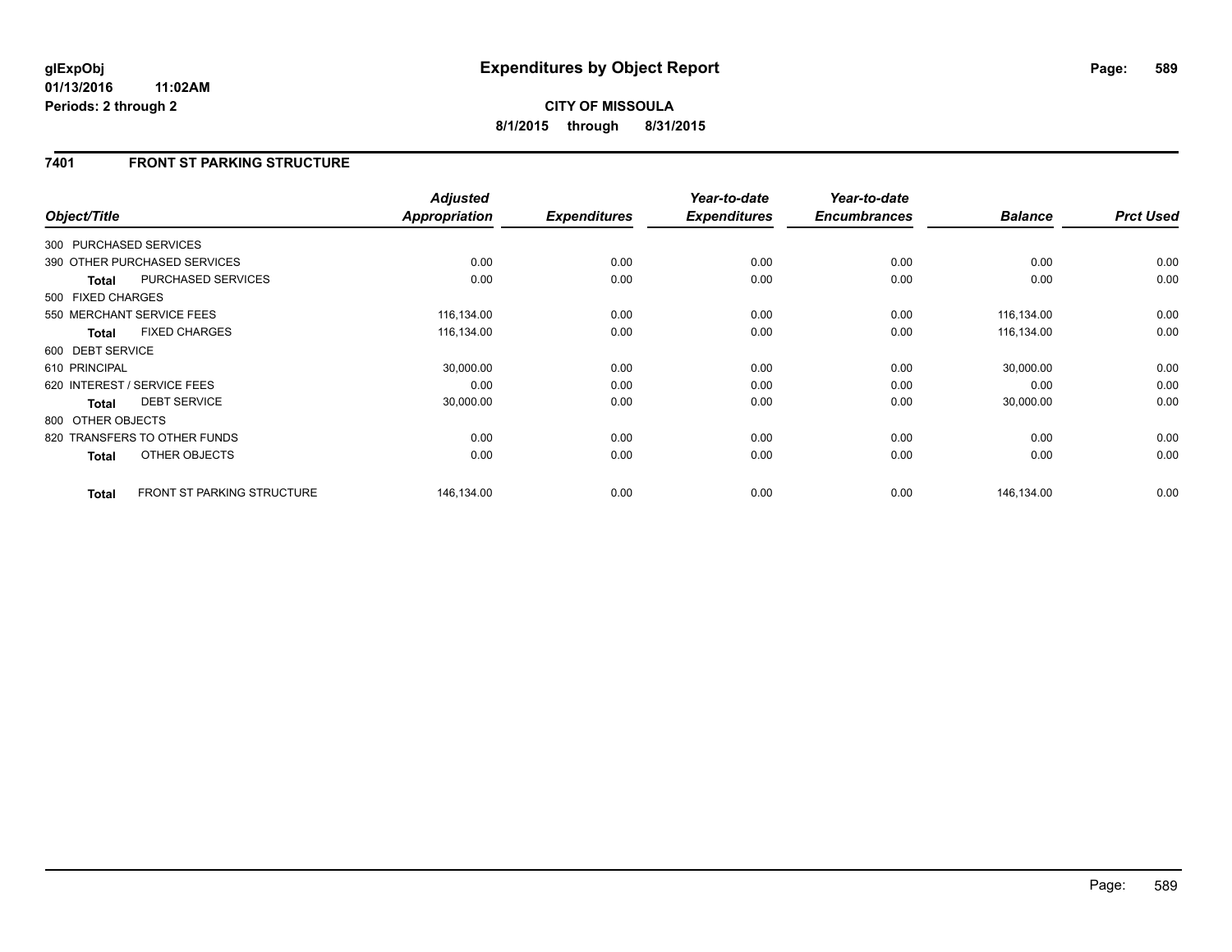### **7401 FRONT ST PARKING STRUCTURE**

|                        |                                   | <b>Adjusted</b><br><b>Appropriation</b> |                     | Year-to-date        | Year-to-date<br><b>Encumbrances</b> | <b>Balance</b> | <b>Prct Used</b> |
|------------------------|-----------------------------------|-----------------------------------------|---------------------|---------------------|-------------------------------------|----------------|------------------|
| Object/Title           |                                   |                                         | <b>Expenditures</b> | <b>Expenditures</b> |                                     |                |                  |
| 300 PURCHASED SERVICES |                                   |                                         |                     |                     |                                     |                |                  |
|                        | 390 OTHER PURCHASED SERVICES      | 0.00                                    | 0.00                | 0.00                | 0.00                                | 0.00           | 0.00             |
| <b>Total</b>           | PURCHASED SERVICES                | 0.00                                    | 0.00                | 0.00                | 0.00                                | 0.00           | 0.00             |
| 500 FIXED CHARGES      |                                   |                                         |                     |                     |                                     |                |                  |
|                        | 550 MERCHANT SERVICE FEES         | 116,134.00                              | 0.00                | 0.00                | 0.00                                | 116,134.00     | 0.00             |
| <b>Total</b>           | <b>FIXED CHARGES</b>              | 116,134.00                              | 0.00                | 0.00                | 0.00                                | 116,134.00     | 0.00             |
| 600 DEBT SERVICE       |                                   |                                         |                     |                     |                                     |                |                  |
| 610 PRINCIPAL          |                                   | 30,000.00                               | 0.00                | 0.00                | 0.00                                | 30,000.00      | 0.00             |
|                        | 620 INTEREST / SERVICE FEES       | 0.00                                    | 0.00                | 0.00                | 0.00                                | 0.00           | 0.00             |
| <b>Total</b>           | <b>DEBT SERVICE</b>               | 30,000.00                               | 0.00                | 0.00                | 0.00                                | 30,000.00      | 0.00             |
| 800 OTHER OBJECTS      |                                   |                                         |                     |                     |                                     |                |                  |
|                        | 820 TRANSFERS TO OTHER FUNDS      | 0.00                                    | 0.00                | 0.00                | 0.00                                | 0.00           | 0.00             |
| <b>Total</b>           | OTHER OBJECTS                     | 0.00                                    | 0.00                | 0.00                | 0.00                                | 0.00           | 0.00             |
| <b>Total</b>           | <b>FRONT ST PARKING STRUCTURE</b> | 146,134.00                              | 0.00                | 0.00                | 0.00                                | 146,134.00     | 0.00             |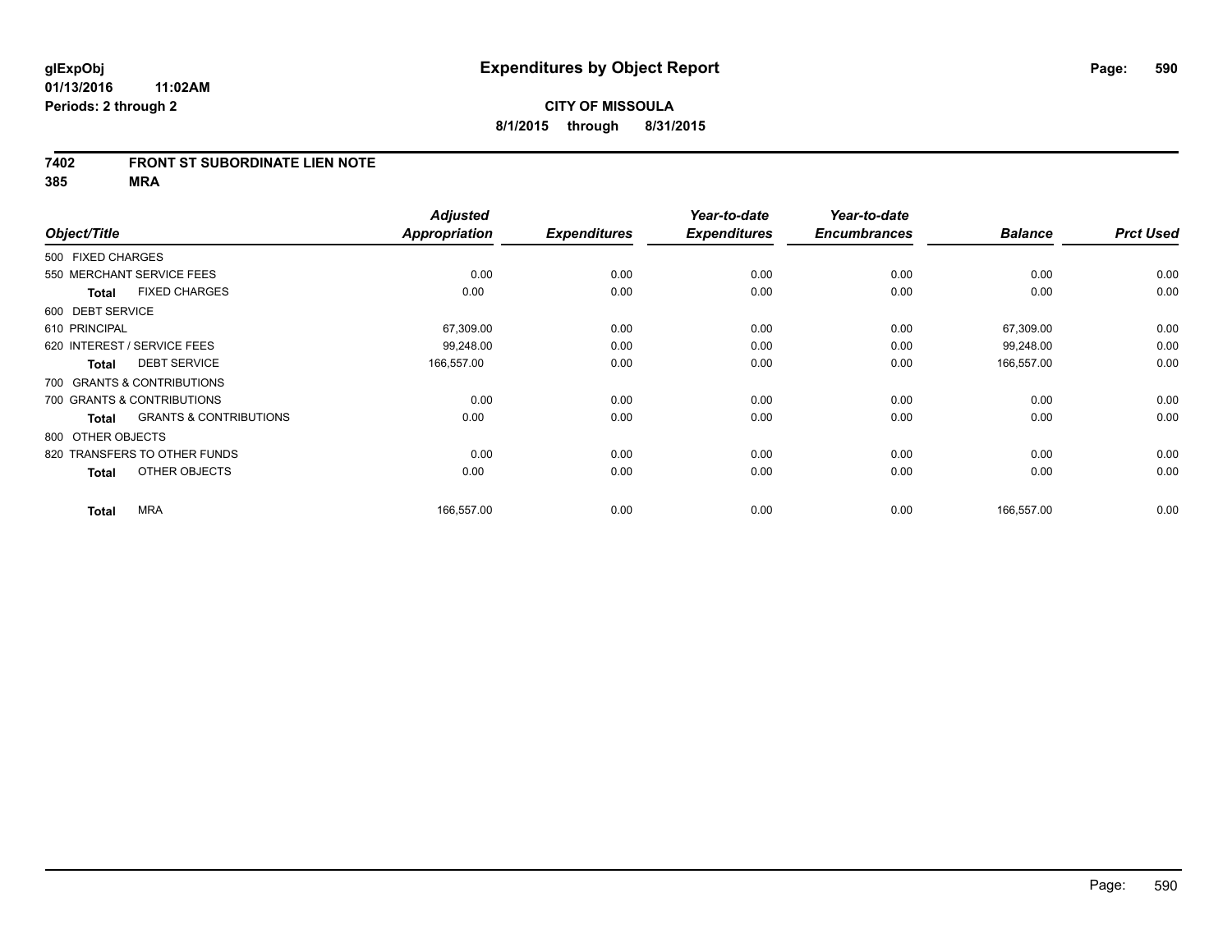#### **7402 FRONT ST SUBORDINATE LIEN NOTE**

**385 MRA**

| Object/Title      |                                   | <b>Adjusted</b><br>Appropriation | <b>Expenditures</b> | Year-to-date<br><b>Expenditures</b> | Year-to-date<br><b>Encumbrances</b> | <b>Balance</b> | <b>Prct Used</b> |
|-------------------|-----------------------------------|----------------------------------|---------------------|-------------------------------------|-------------------------------------|----------------|------------------|
|                   |                                   |                                  |                     |                                     |                                     |                |                  |
| 500 FIXED CHARGES |                                   |                                  |                     |                                     |                                     |                |                  |
|                   | 550 MERCHANT SERVICE FEES         | 0.00                             | 0.00                | 0.00                                | 0.00                                | 0.00           | 0.00             |
| <b>Total</b>      | <b>FIXED CHARGES</b>              | 0.00                             | 0.00                | 0.00                                | 0.00                                | 0.00           | 0.00             |
| 600 DEBT SERVICE  |                                   |                                  |                     |                                     |                                     |                |                  |
| 610 PRINCIPAL     |                                   | 67,309.00                        | 0.00                | 0.00                                | 0.00                                | 67,309.00      | 0.00             |
|                   | 620 INTEREST / SERVICE FEES       | 99,248.00                        | 0.00                | 0.00                                | 0.00                                | 99,248.00      | 0.00             |
| <b>Total</b>      | <b>DEBT SERVICE</b>               | 166,557.00                       | 0.00                | 0.00                                | 0.00                                | 166,557.00     | 0.00             |
|                   | 700 GRANTS & CONTRIBUTIONS        |                                  |                     |                                     |                                     |                |                  |
|                   | 700 GRANTS & CONTRIBUTIONS        | 0.00                             | 0.00                | 0.00                                | 0.00                                | 0.00           | 0.00             |
| <b>Total</b>      | <b>GRANTS &amp; CONTRIBUTIONS</b> | 0.00                             | 0.00                | 0.00                                | 0.00                                | 0.00           | 0.00             |
| 800 OTHER OBJECTS |                                   |                                  |                     |                                     |                                     |                |                  |
|                   | 820 TRANSFERS TO OTHER FUNDS      | 0.00                             | 0.00                | 0.00                                | 0.00                                | 0.00           | 0.00             |
| <b>Total</b>      | OTHER OBJECTS                     | 0.00                             | 0.00                | 0.00                                | 0.00                                | 0.00           | 0.00             |
| <b>Total</b>      | <b>MRA</b>                        | 166,557.00                       | 0.00                | 0.00                                | 0.00                                | 166,557.00     | 0.00             |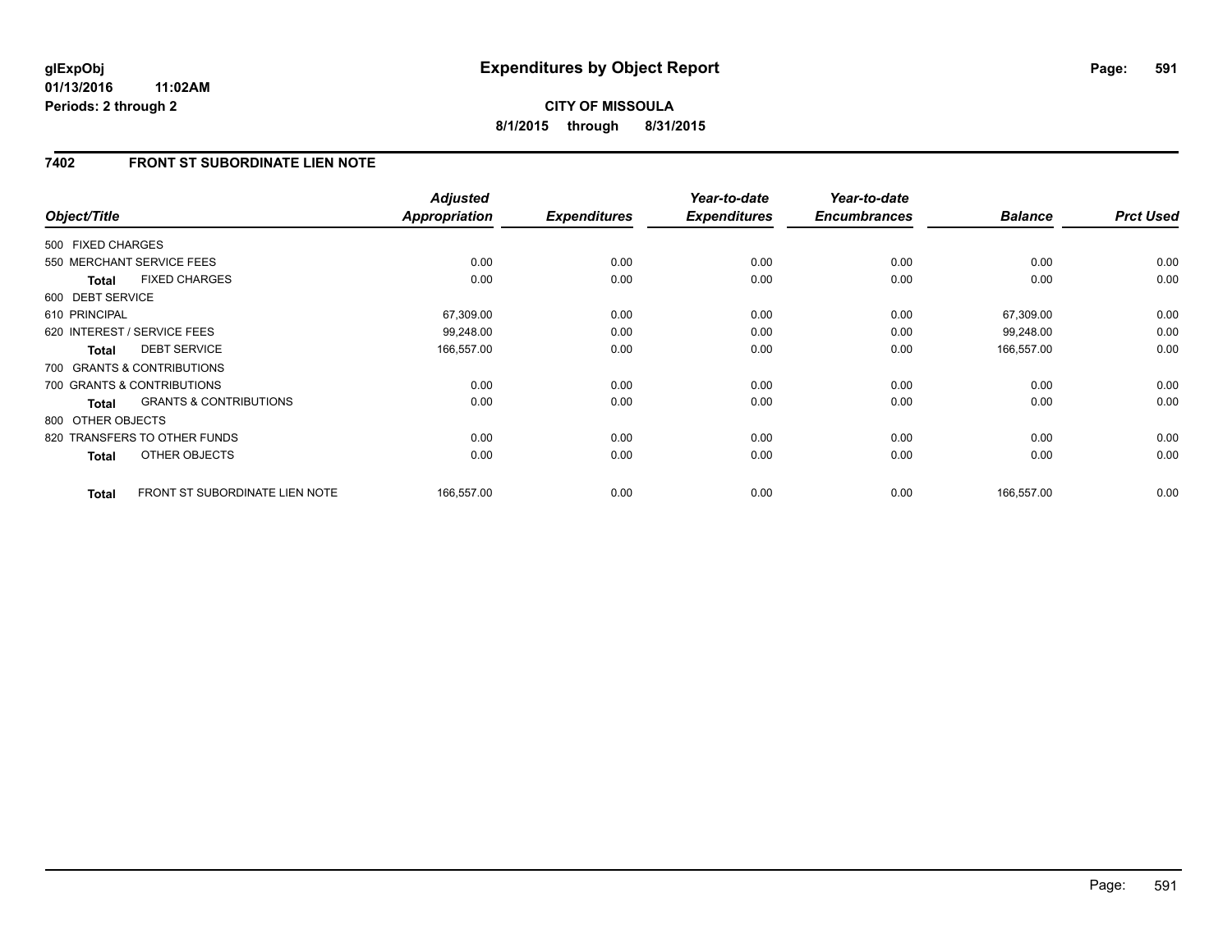**01/13/2016 11:02AM Periods: 2 through 2**

# **CITY OF MISSOULA 8/1/2015 through 8/31/2015**

### **7402 FRONT ST SUBORDINATE LIEN NOTE**

| Object/Title      |                                   | <b>Adjusted</b><br><b>Appropriation</b> | <b>Expenditures</b> | Year-to-date<br><b>Expenditures</b> | Year-to-date<br><b>Encumbrances</b> | <b>Balance</b> | <b>Prct Used</b> |
|-------------------|-----------------------------------|-----------------------------------------|---------------------|-------------------------------------|-------------------------------------|----------------|------------------|
| 500 FIXED CHARGES |                                   |                                         |                     |                                     |                                     |                |                  |
|                   | 550 MERCHANT SERVICE FEES         | 0.00                                    | 0.00                | 0.00                                | 0.00                                | 0.00           | 0.00             |
| <b>Total</b>      | <b>FIXED CHARGES</b>              | 0.00                                    | 0.00                | 0.00                                | 0.00                                | 0.00           | 0.00             |
| 600 DEBT SERVICE  |                                   |                                         |                     |                                     |                                     |                |                  |
| 610 PRINCIPAL     |                                   | 67,309.00                               | 0.00                | 0.00                                | 0.00                                | 67,309.00      | 0.00             |
|                   | 620 INTEREST / SERVICE FEES       | 99,248.00                               | 0.00                | 0.00                                | 0.00                                | 99,248.00      | 0.00             |
| <b>Total</b>      | <b>DEBT SERVICE</b>               | 166,557.00                              | 0.00                | 0.00                                | 0.00                                | 166,557.00     | 0.00             |
|                   | 700 GRANTS & CONTRIBUTIONS        |                                         |                     |                                     |                                     |                |                  |
|                   | 700 GRANTS & CONTRIBUTIONS        | 0.00                                    | 0.00                | 0.00                                | 0.00                                | 0.00           | 0.00             |
| Total             | <b>GRANTS &amp; CONTRIBUTIONS</b> | 0.00                                    | 0.00                | 0.00                                | 0.00                                | 0.00           | 0.00             |
| 800 OTHER OBJECTS |                                   |                                         |                     |                                     |                                     |                |                  |
|                   | 820 TRANSFERS TO OTHER FUNDS      | 0.00                                    | 0.00                | 0.00                                | 0.00                                | 0.00           | 0.00             |
| <b>Total</b>      | OTHER OBJECTS                     | 0.00                                    | 0.00                | 0.00                                | 0.00                                | 0.00           | 0.00             |
| <b>Total</b>      | FRONT ST SUBORDINATE LIEN NOTE    | 166,557.00                              | 0.00                | 0.00                                | 0.00                                | 166,557.00     | 0.00             |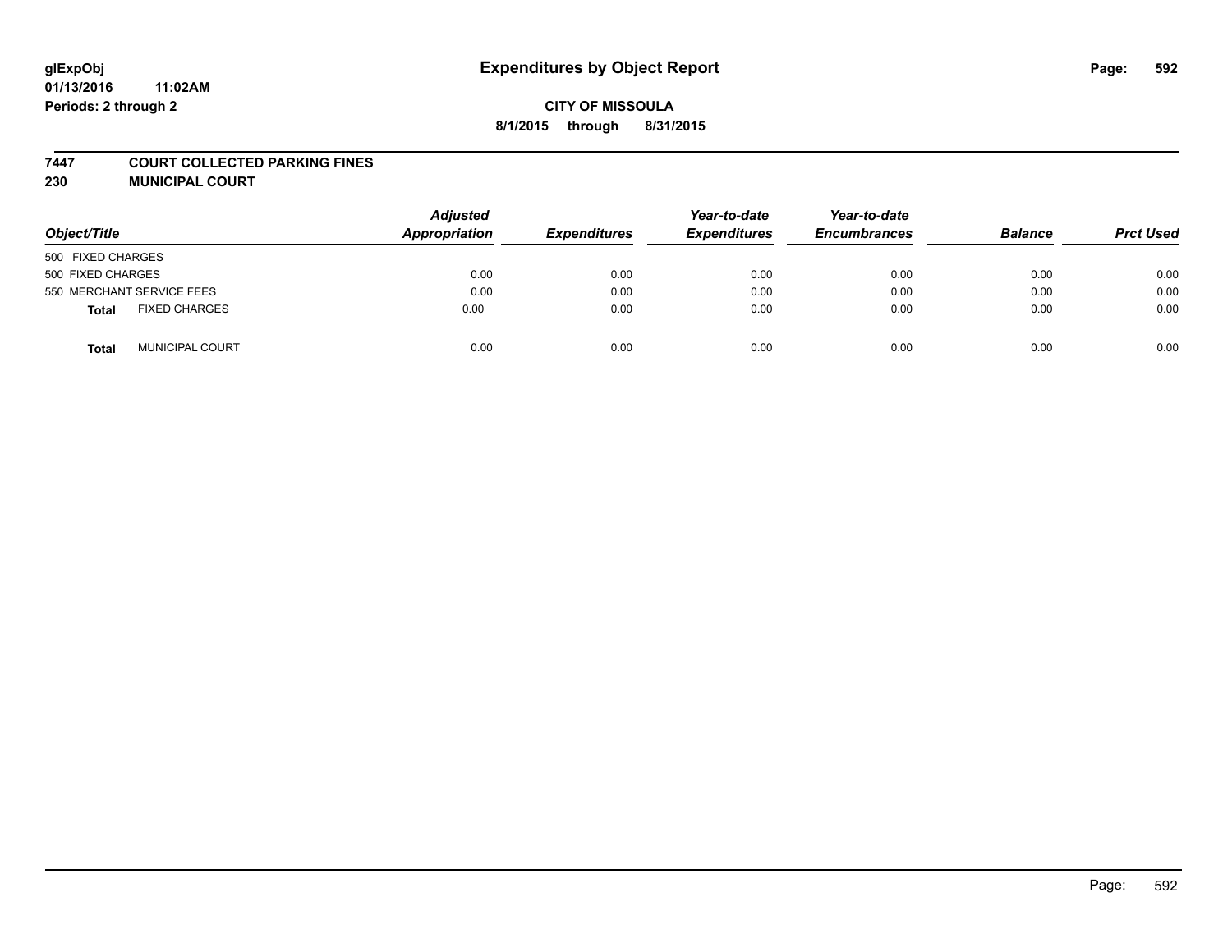#### **7447 COURT COLLECTED PARKING FINES**

**230 MUNICIPAL COURT**

| Object/Title                    | <b>Adjusted</b><br>Appropriation | <b>Expenditures</b> | Year-to-date<br><b>Expenditures</b> | Year-to-date<br><b>Encumbrances</b> | <b>Balance</b> | <b>Prct Used</b> |
|---------------------------------|----------------------------------|---------------------|-------------------------------------|-------------------------------------|----------------|------------------|
| 500 FIXED CHARGES               |                                  |                     |                                     |                                     |                |                  |
| 500 FIXED CHARGES               | 0.00                             | 0.00                | 0.00                                | 0.00                                | 0.00           | 0.00             |
| 550 MERCHANT SERVICE FEES       | 0.00                             | 0.00                | 0.00                                | 0.00                                | 0.00           | 0.00             |
| <b>FIXED CHARGES</b><br>Total   | 0.00                             | 0.00                | 0.00                                | 0.00                                | 0.00           | 0.00             |
| <b>MUNICIPAL COURT</b><br>Total | 0.00                             | 0.00                | 0.00                                | 0.00                                | 0.00           | 0.00             |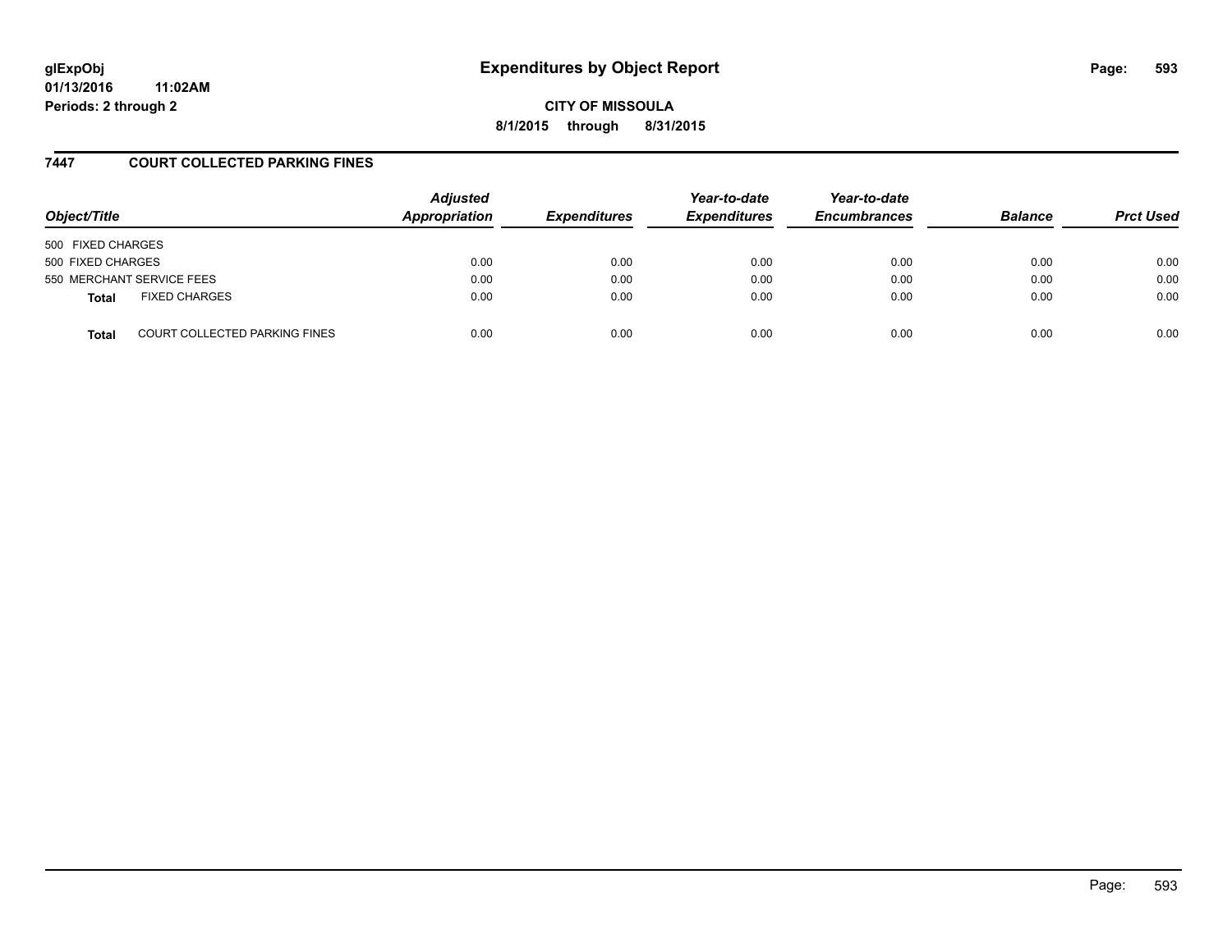# **glExpObj Expenditures by Object Report Page: 593**

**01/13/2016 11:02AM Periods: 2 through 2**

**CITY OF MISSOULA 8/1/2015 through 8/31/2015**

### **7447 COURT COLLECTED PARKING FINES**

| Object/Title      |                                      | <b>Adjusted</b><br>Appropriation | <b>Expenditures</b> | Year-to-date<br><b>Expenditures</b> | Year-to-date<br><b>Encumbrances</b> | <b>Balance</b> | <b>Prct Used</b> |
|-------------------|--------------------------------------|----------------------------------|---------------------|-------------------------------------|-------------------------------------|----------------|------------------|
| 500 FIXED CHARGES |                                      |                                  |                     |                                     |                                     |                |                  |
| 500 FIXED CHARGES |                                      | 0.00                             | 0.00                | 0.00                                | 0.00                                | 0.00           | 0.00             |
|                   | 550 MERCHANT SERVICE FEES            | 0.00                             | 0.00                | 0.00                                | 0.00                                | 0.00           | 0.00             |
| <b>Total</b>      | <b>FIXED CHARGES</b>                 | 0.00                             | 0.00                | 0.00                                | 0.00                                | 0.00           | 0.00             |
| <b>Total</b>      | <b>COURT COLLECTED PARKING FINES</b> | 0.00                             | 0.00                | 0.00                                | 0.00                                | 0.00           | 0.00             |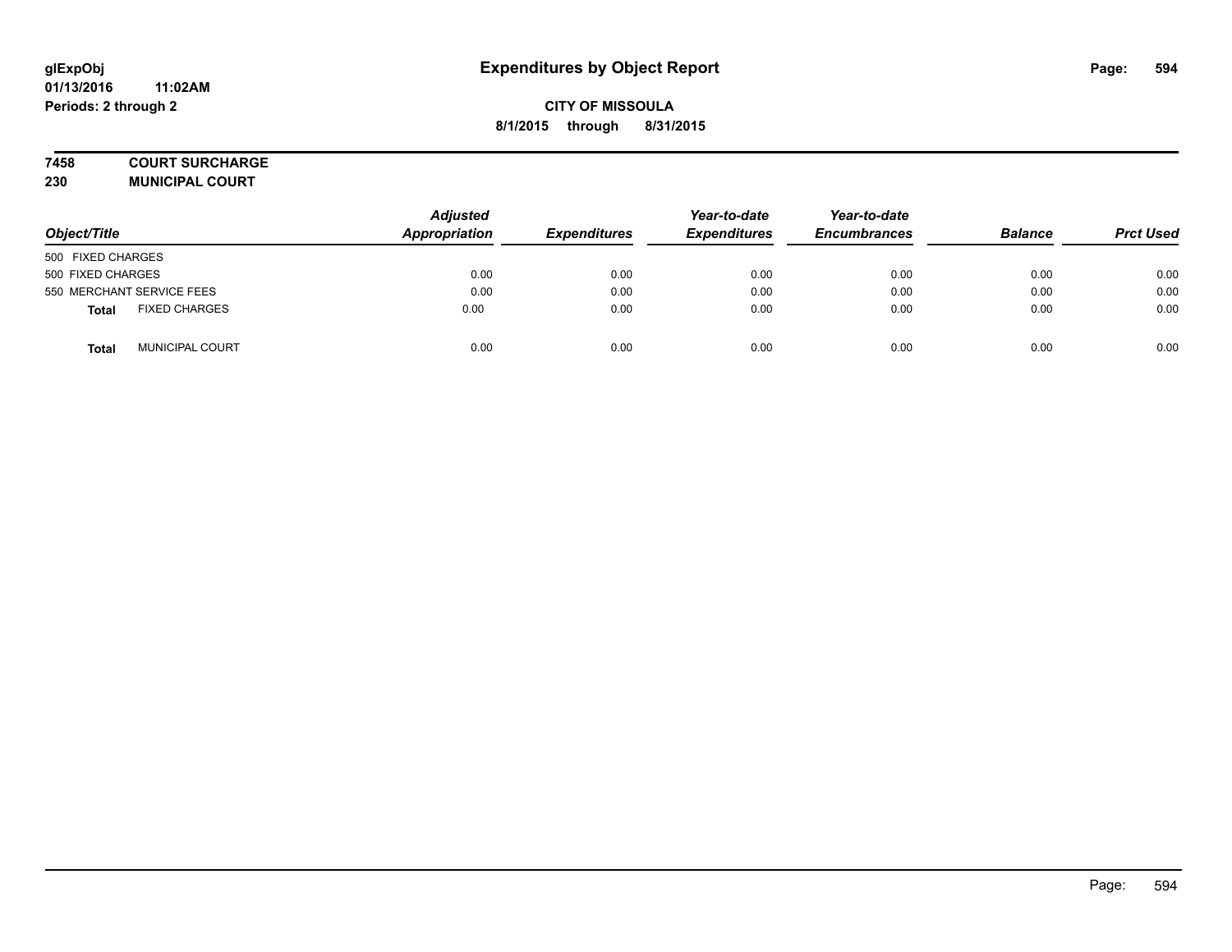#### **7458 COURT SURCHARGE**

**230 MUNICIPAL COURT**

| Object/Title                         | <b>Adjusted</b><br>Appropriation | <b>Expenditures</b> | Year-to-date<br><b>Expenditures</b> | Year-to-date<br><b>Encumbrances</b> | <b>Balance</b> | <b>Prct Used</b> |
|--------------------------------------|----------------------------------|---------------------|-------------------------------------|-------------------------------------|----------------|------------------|
| 500 FIXED CHARGES                    |                                  |                     |                                     |                                     |                |                  |
| 500 FIXED CHARGES                    | 0.00                             | 0.00                | 0.00                                | 0.00                                | 0.00           | 0.00             |
| 550 MERCHANT SERVICE FEES            | 0.00                             | 0.00                | 0.00                                | 0.00                                | 0.00           | 0.00             |
| <b>FIXED CHARGES</b><br><b>Total</b> | 0.00                             | 0.00                | 0.00                                | 0.00                                | 0.00           | 0.00             |
| <b>MUNICIPAL COURT</b><br>Total      | 0.00                             | 0.00                | 0.00                                | 0.00                                | 0.00           | 0.00             |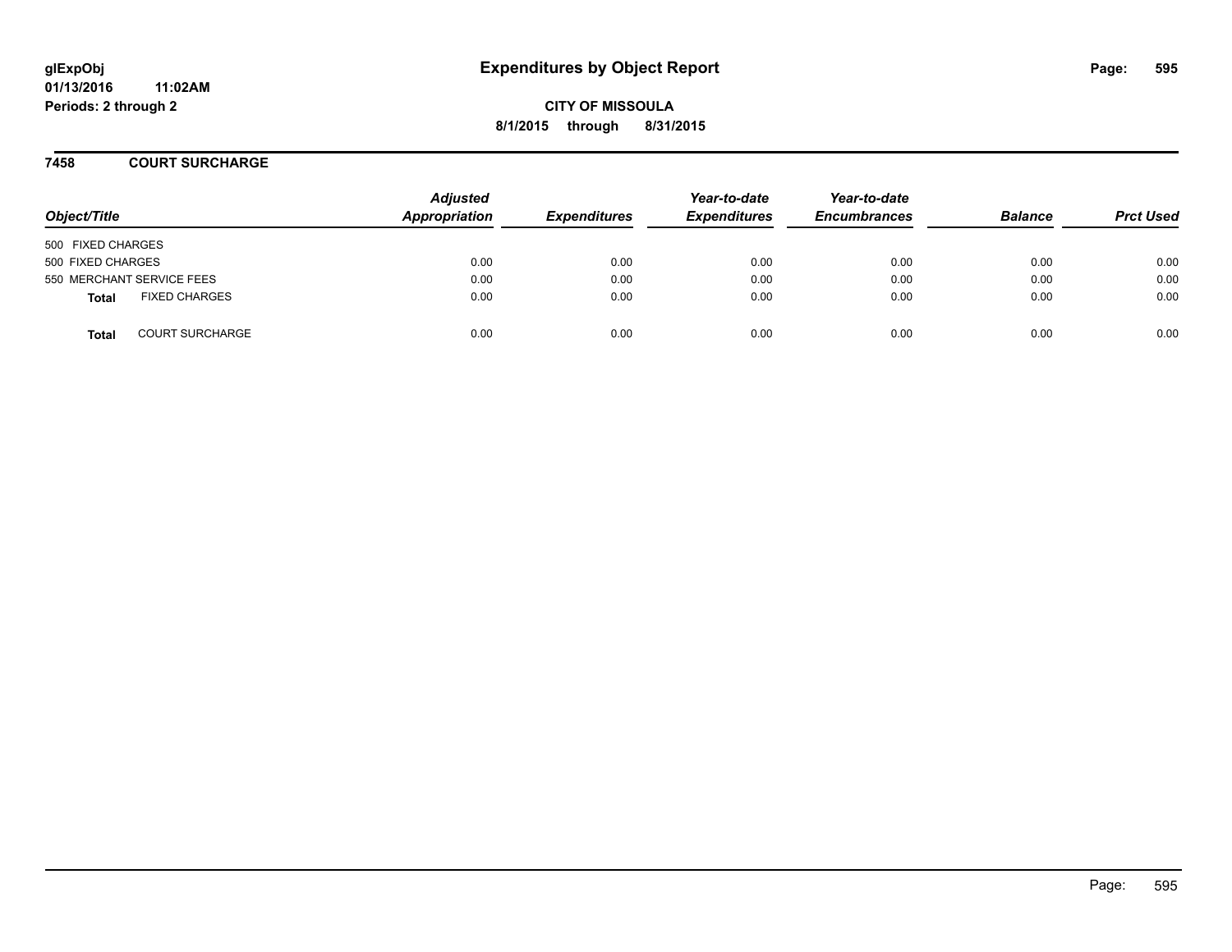**01/13/2016 11:02AM Periods: 2 through 2**

**CITY OF MISSOULA 8/1/2015 through 8/31/2015**

**7458 COURT SURCHARGE**

| Object/Title              |                        | <b>Adjusted</b><br>Appropriation | <b>Expenditures</b> | Year-to-date<br><b>Expenditures</b> | Year-to-date<br><b>Encumbrances</b> | <b>Balance</b> | <b>Prct Used</b> |
|---------------------------|------------------------|----------------------------------|---------------------|-------------------------------------|-------------------------------------|----------------|------------------|
| 500 FIXED CHARGES         |                        |                                  |                     |                                     |                                     |                |                  |
| 500 FIXED CHARGES         |                        | 0.00                             | 0.00                | 0.00                                | 0.00                                | 0.00           | 0.00             |
| 550 MERCHANT SERVICE FEES |                        | 0.00                             | 0.00                | 0.00                                | 0.00                                | 0.00           | 0.00             |
| <b>Total</b>              | <b>FIXED CHARGES</b>   | 0.00                             | 0.00                | 0.00                                | 0.00                                | 0.00           | 0.00             |
| <b>Total</b>              | <b>COURT SURCHARGE</b> | 0.00                             | 0.00                | 0.00                                | 0.00                                | 0.00           | 0.00             |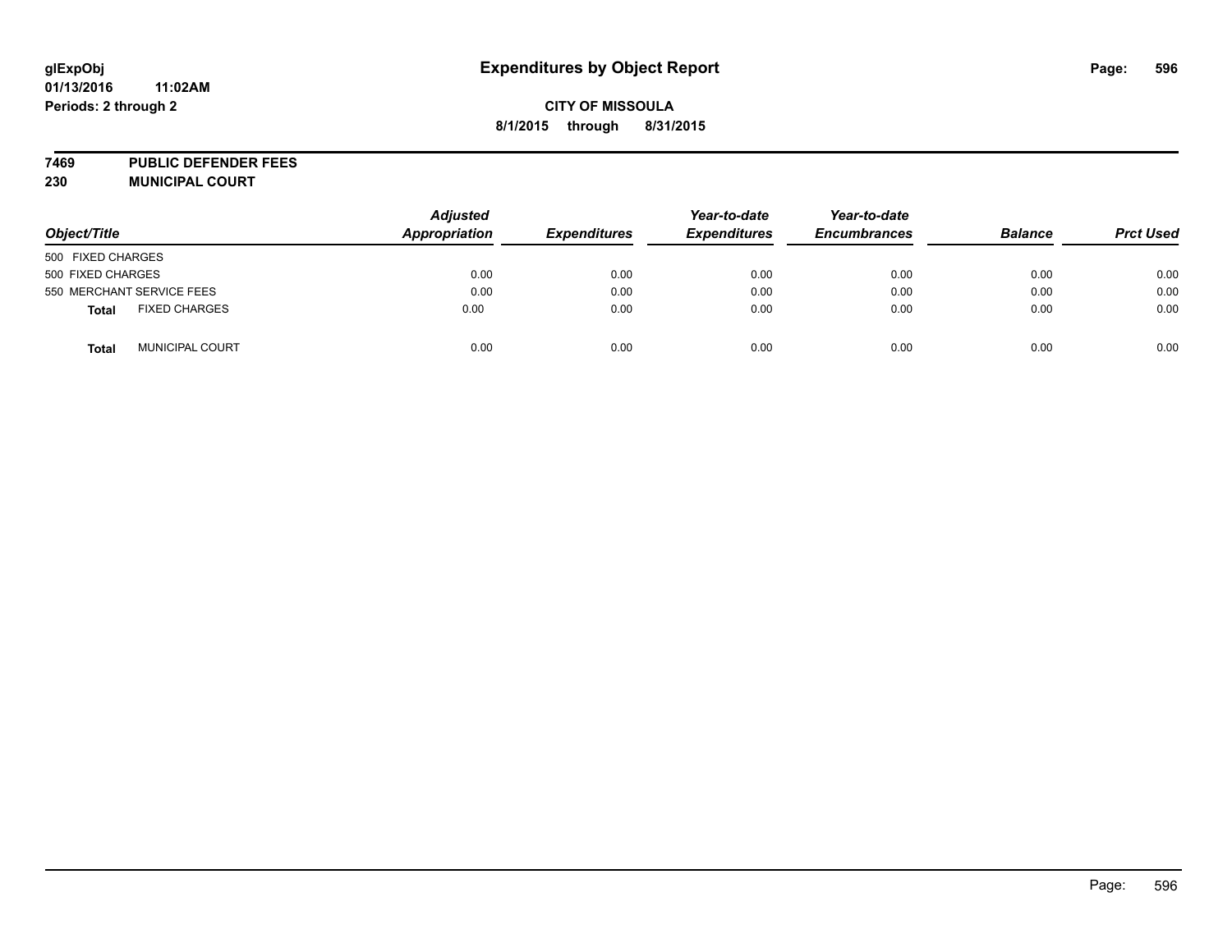# **glExpObj Expenditures by Object Report Page: 596**

### **CITY OF MISSOULA 8/1/2015 through 8/31/2015**

**7469 PUBLIC DEFENDER FEES 230 MUNICIPAL COURT**

| Object/Title                           | <b>Adjusted</b><br>Appropriation | <b>Expenditures</b> | Year-to-date<br><b>Expenditures</b> | Year-to-date<br><b>Encumbrances</b> | <b>Balance</b> | <b>Prct Used</b> |
|----------------------------------------|----------------------------------|---------------------|-------------------------------------|-------------------------------------|----------------|------------------|
| 500 FIXED CHARGES                      |                                  |                     |                                     |                                     |                |                  |
| 500 FIXED CHARGES                      | 0.00                             | 0.00                | 0.00                                | 0.00                                | 0.00           | 0.00             |
| 550 MERCHANT SERVICE FEES              | 0.00                             | 0.00                | 0.00                                | 0.00                                | 0.00           | 0.00             |
| <b>FIXED CHARGES</b><br><b>Total</b>   | 0.00                             | 0.00                | 0.00                                | 0.00                                | 0.00           | 0.00             |
| <b>MUNICIPAL COURT</b><br><b>Total</b> | 0.00                             | 0.00                | 0.00                                | 0.00                                | 0.00           | 0.00             |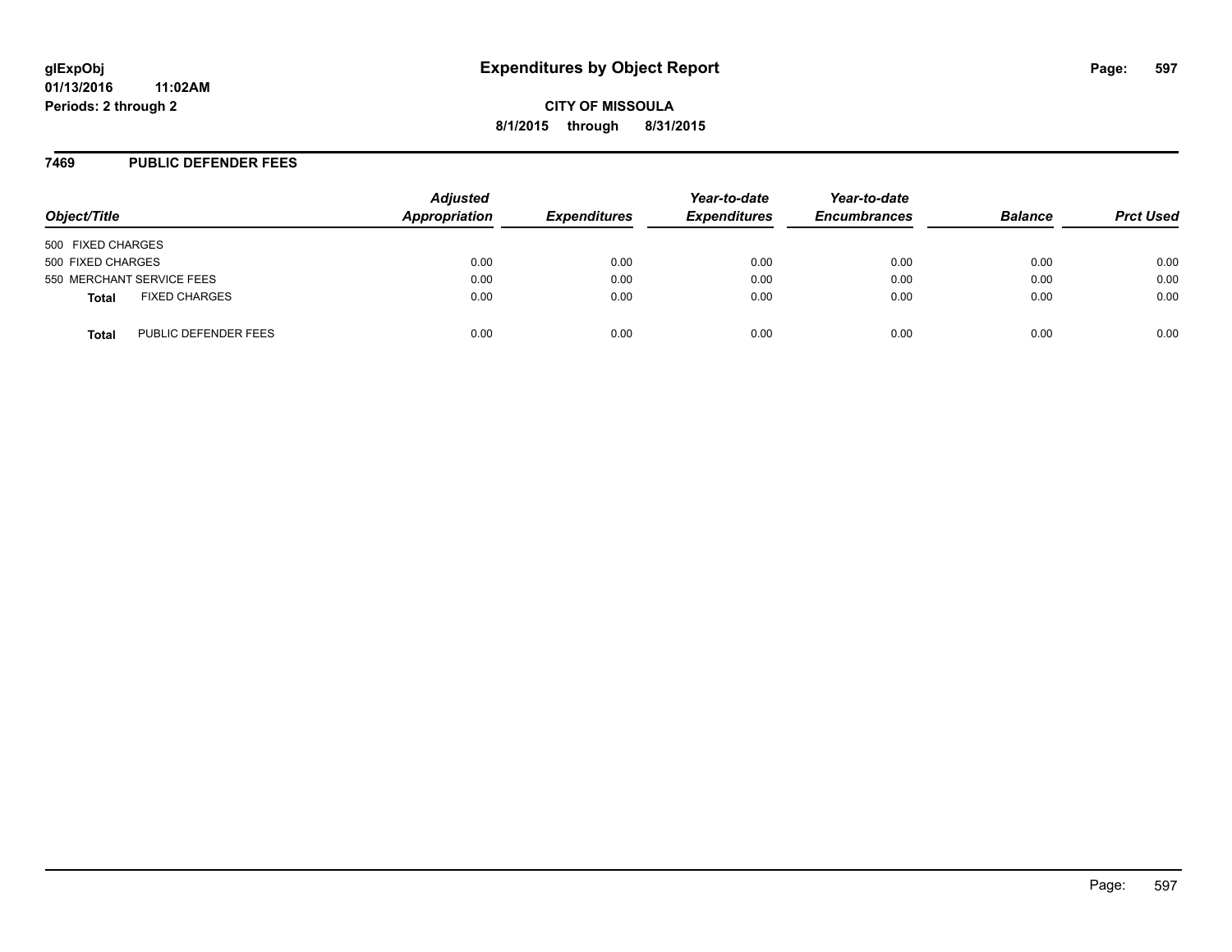#### **7469 PUBLIC DEFENDER FEES**

| Object/Title                         | <b>Adjusted</b><br>Appropriation | <b>Expenditures</b> | Year-to-date<br><b>Expenditures</b> | Year-to-date<br><b>Encumbrances</b> | <b>Balance</b> | <b>Prct Used</b> |
|--------------------------------------|----------------------------------|---------------------|-------------------------------------|-------------------------------------|----------------|------------------|
| 500 FIXED CHARGES                    |                                  |                     |                                     |                                     |                |                  |
| 500 FIXED CHARGES                    | 0.00                             | 0.00                | 0.00                                | 0.00                                | 0.00           | 0.00             |
| 550 MERCHANT SERVICE FEES            | 0.00                             | 0.00                | 0.00                                | 0.00                                | 0.00           | 0.00             |
| <b>FIXED CHARGES</b><br><b>Total</b> | 0.00                             | 0.00                | 0.00                                | 0.00                                | 0.00           | 0.00             |
| PUBLIC DEFENDER FEES<br>Total        | 0.00                             | 0.00                | 0.00                                | 0.00                                | 0.00           | 0.00             |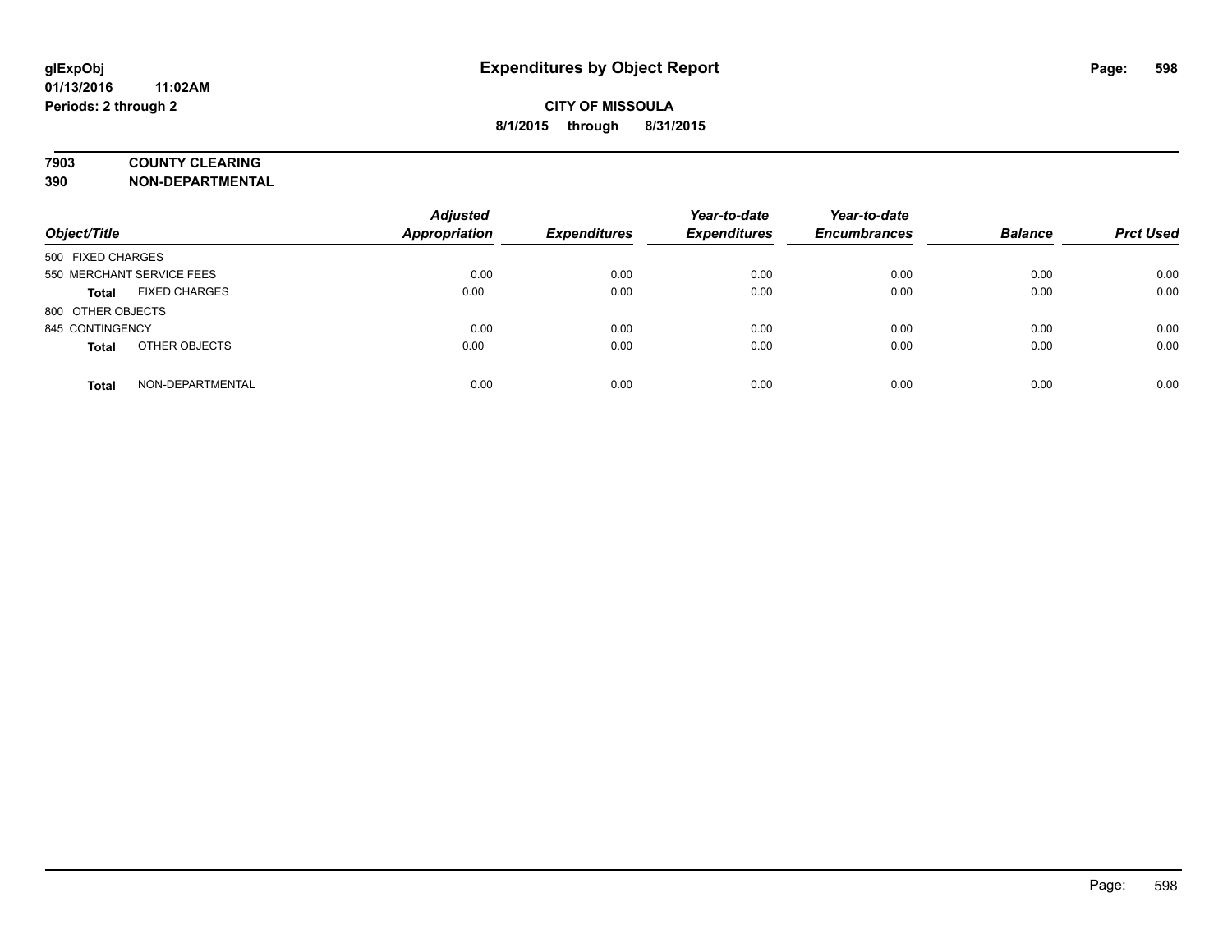### **7903 COUNTY CLEARING**

**390 NON-DEPARTMENTAL**

| Object/Title                         | <b>Adjusted</b><br><b>Appropriation</b> | <b>Expenditures</b> | Year-to-date<br><b>Expenditures</b> | Year-to-date<br><b>Encumbrances</b> | <b>Balance</b> | <b>Prct Used</b> |
|--------------------------------------|-----------------------------------------|---------------------|-------------------------------------|-------------------------------------|----------------|------------------|
| 500 FIXED CHARGES                    |                                         |                     |                                     |                                     |                |                  |
| 550 MERCHANT SERVICE FEES            | 0.00                                    | 0.00                | 0.00                                | 0.00                                | 0.00           | 0.00             |
| <b>FIXED CHARGES</b><br><b>Total</b> | 0.00                                    | 0.00                | 0.00                                | 0.00                                | 0.00           | 0.00             |
| 800 OTHER OBJECTS                    |                                         |                     |                                     |                                     |                |                  |
| 845 CONTINGENCY                      | 0.00                                    | 0.00                | 0.00                                | 0.00                                | 0.00           | 0.00             |
| OTHER OBJECTS<br><b>Total</b>        | 0.00                                    | 0.00                | 0.00                                | 0.00                                | 0.00           | 0.00             |
| NON-DEPARTMENTAL<br><b>Total</b>     | 0.00                                    | 0.00                | 0.00                                | 0.00                                | 0.00           | 0.00             |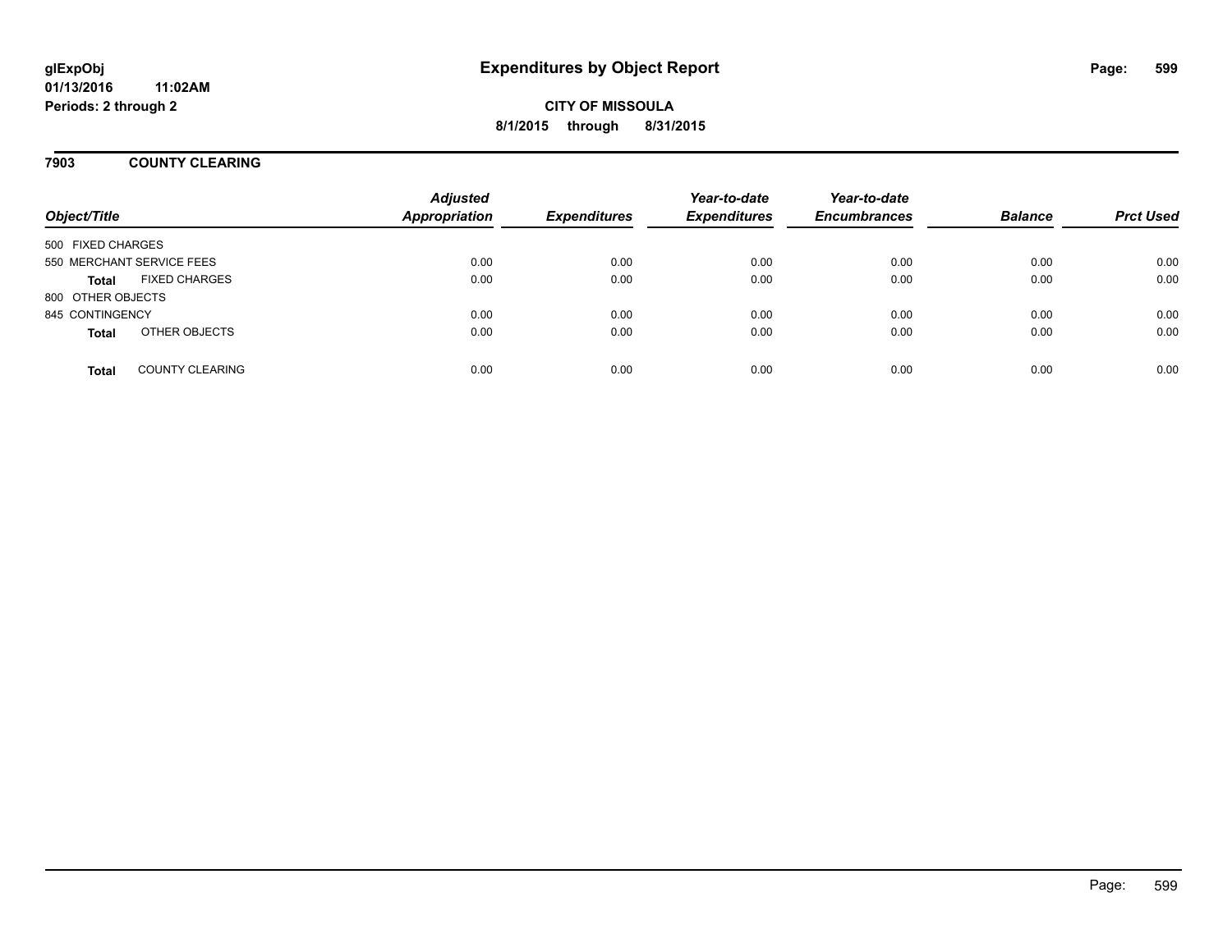### **7903 COUNTY CLEARING**

| Object/Title              |                        | <b>Adjusted</b><br><b>Appropriation</b> | <b>Expenditures</b> | Year-to-date<br><b>Expenditures</b> | Year-to-date<br><b>Encumbrances</b> | <b>Balance</b> | <b>Prct Used</b> |
|---------------------------|------------------------|-----------------------------------------|---------------------|-------------------------------------|-------------------------------------|----------------|------------------|
| 500 FIXED CHARGES         |                        |                                         |                     |                                     |                                     |                |                  |
| 550 MERCHANT SERVICE FEES |                        | 0.00                                    | 0.00                | 0.00                                | 0.00                                | 0.00           | 0.00             |
| <b>Total</b>              | <b>FIXED CHARGES</b>   | 0.00                                    | 0.00                | 0.00                                | 0.00                                | 0.00           | 0.00             |
| 800 OTHER OBJECTS         |                        |                                         |                     |                                     |                                     |                |                  |
| 845 CONTINGENCY           |                        | 0.00                                    | 0.00                | 0.00                                | 0.00                                | 0.00           | 0.00             |
| <b>Total</b>              | OTHER OBJECTS          | 0.00                                    | 0.00                | 0.00                                | 0.00                                | 0.00           | 0.00             |
| <b>Total</b>              | <b>COUNTY CLEARING</b> | 0.00                                    | 0.00                | 0.00                                | 0.00                                | 0.00           | 0.00             |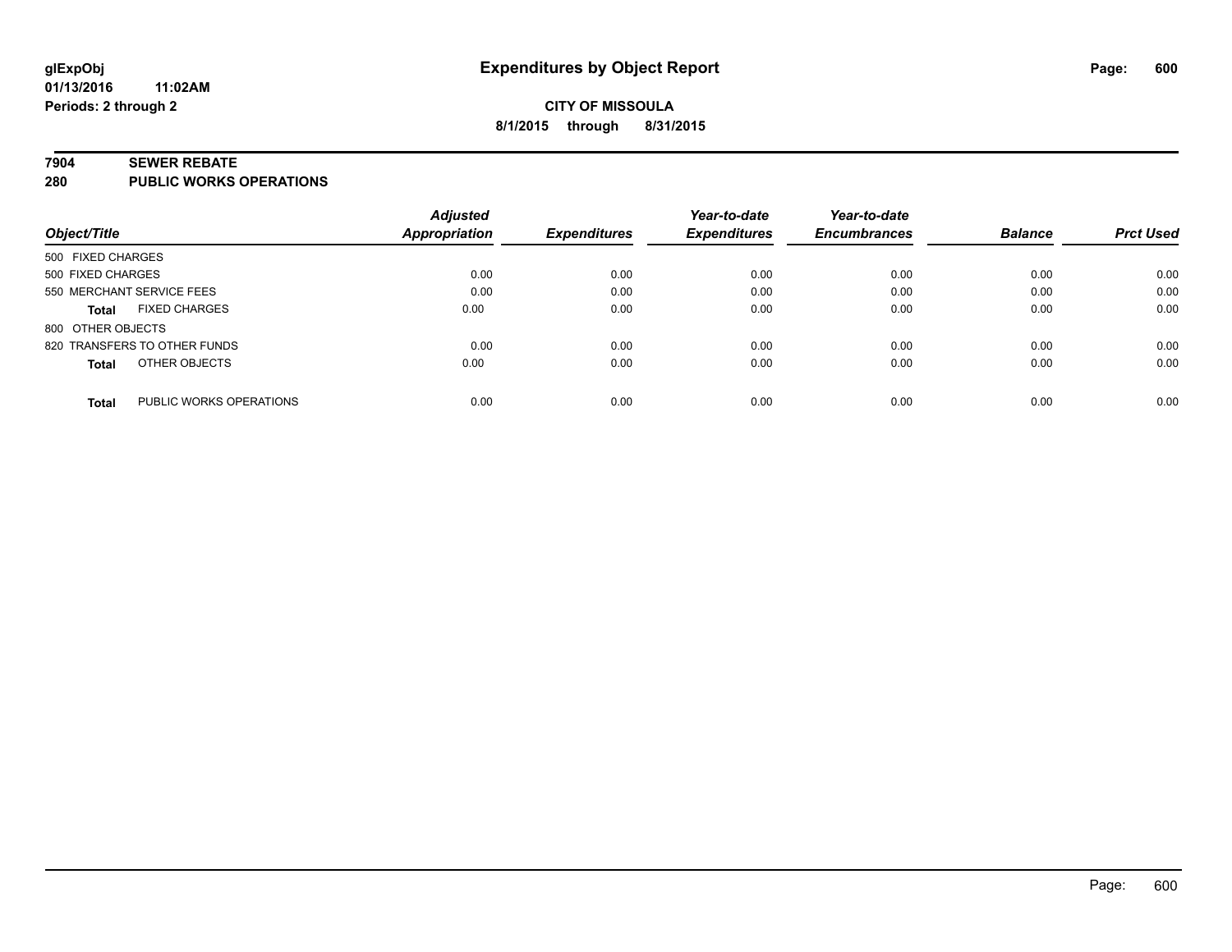#### **7904 SEWER REBATE**

**280 PUBLIC WORKS OPERATIONS**

|                                         | <b>Adjusted</b>      |                     | Year-to-date        | Year-to-date        |                |                  |
|-----------------------------------------|----------------------|---------------------|---------------------|---------------------|----------------|------------------|
| Object/Title                            | <b>Appropriation</b> | <b>Expenditures</b> | <b>Expenditures</b> | <b>Encumbrances</b> | <b>Balance</b> | <b>Prct Used</b> |
| 500 FIXED CHARGES                       |                      |                     |                     |                     |                |                  |
| 500 FIXED CHARGES                       | 0.00                 | 0.00                | 0.00                | 0.00                | 0.00           | 0.00             |
| 550 MERCHANT SERVICE FEES               | 0.00                 | 0.00                | 0.00                | 0.00                | 0.00           | 0.00             |
| <b>FIXED CHARGES</b><br><b>Total</b>    | 0.00                 | 0.00                | 0.00                | 0.00                | 0.00           | 0.00             |
| 800 OTHER OBJECTS                       |                      |                     |                     |                     |                |                  |
| 820 TRANSFERS TO OTHER FUNDS            | 0.00                 | 0.00                | 0.00                | 0.00                | 0.00           | 0.00             |
| OTHER OBJECTS<br><b>Total</b>           | 0.00                 | 0.00                | 0.00                | 0.00                | 0.00           | 0.00             |
| PUBLIC WORKS OPERATIONS<br><b>Total</b> | 0.00                 | 0.00                | 0.00                | 0.00                | 0.00           | 0.00             |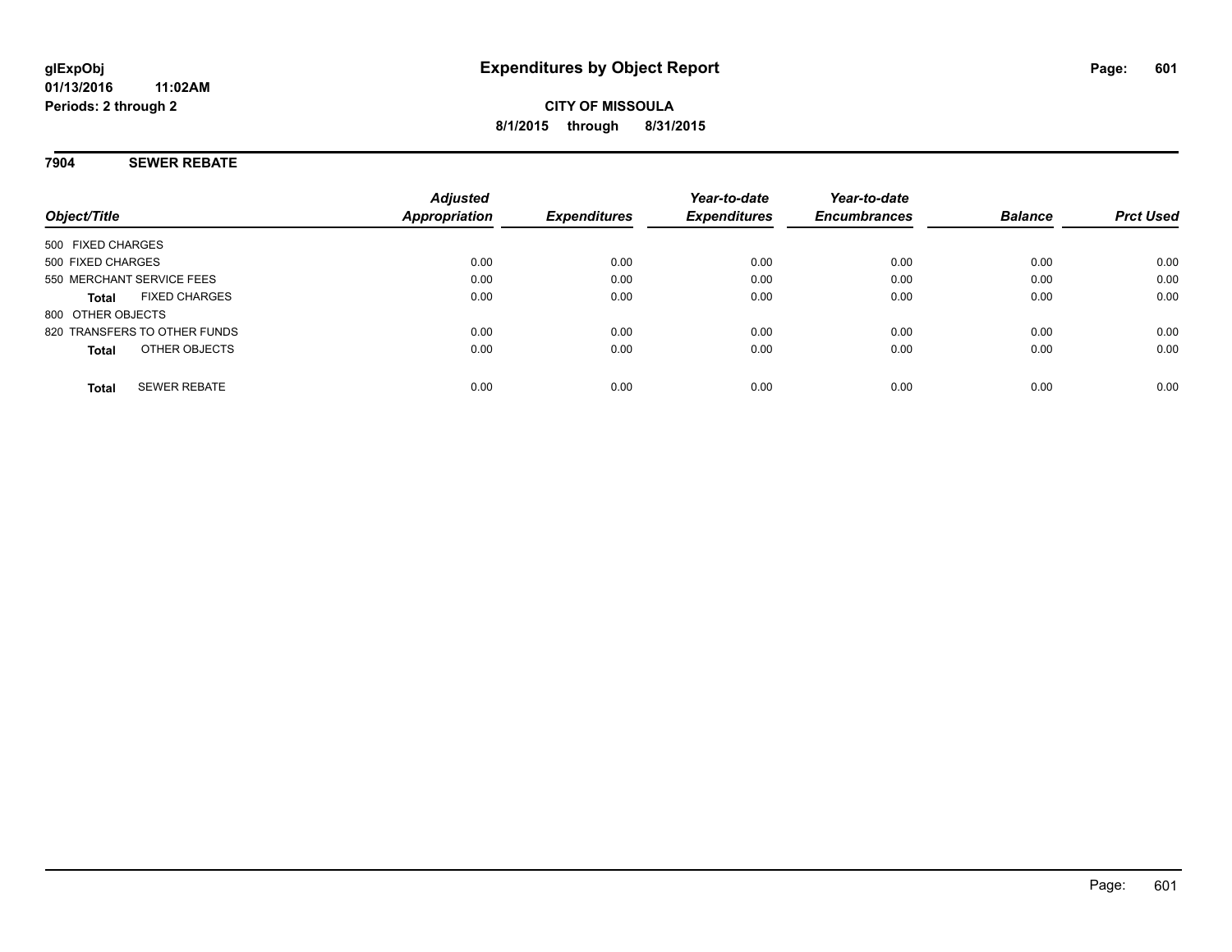### **7904 SEWER REBATE**

| Object/Title                         | <b>Adjusted</b><br>Appropriation | <b>Expenditures</b> | Year-to-date<br><b>Expenditures</b> | Year-to-date<br><b>Encumbrances</b> | <b>Balance</b> | <b>Prct Used</b> |
|--------------------------------------|----------------------------------|---------------------|-------------------------------------|-------------------------------------|----------------|------------------|
| 500 FIXED CHARGES                    |                                  |                     |                                     |                                     |                |                  |
| 500 FIXED CHARGES                    | 0.00                             | 0.00                | 0.00                                | 0.00                                | 0.00           | 0.00             |
| 550 MERCHANT SERVICE FEES            | 0.00                             | 0.00                | 0.00                                | 0.00                                | 0.00           | 0.00             |
| <b>FIXED CHARGES</b><br><b>Total</b> | 0.00                             | 0.00                | 0.00                                | 0.00                                | 0.00           | 0.00             |
| 800 OTHER OBJECTS                    |                                  |                     |                                     |                                     |                |                  |
| 820 TRANSFERS TO OTHER FUNDS         | 0.00                             | 0.00                | 0.00                                | 0.00                                | 0.00           | 0.00             |
| OTHER OBJECTS<br><b>Total</b>        | 0.00                             | 0.00                | 0.00                                | 0.00                                | 0.00           | 0.00             |
| <b>SEWER REBATE</b><br><b>Total</b>  | 0.00                             | 0.00                | 0.00                                | 0.00                                | 0.00           | 0.00             |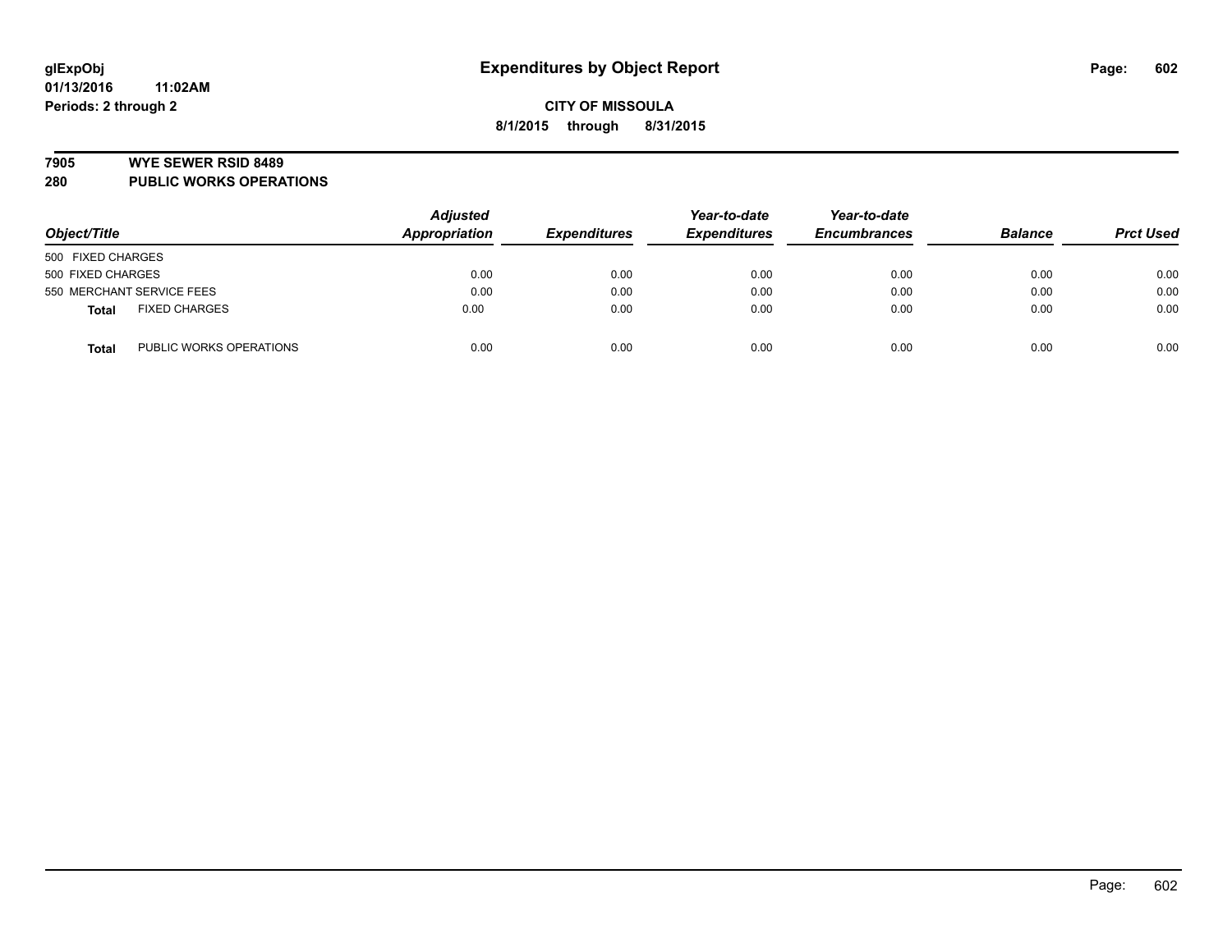#### **7905 WYE SEWER RSID 8489**

**280 PUBLIC WORKS OPERATIONS**

| Object/Title                            | <b>Adjusted</b><br>Appropriation | <b>Expenditures</b> | Year-to-date<br><b>Expenditures</b> | Year-to-date<br><b>Encumbrances</b> | <b>Balance</b> | <b>Prct Used</b> |
|-----------------------------------------|----------------------------------|---------------------|-------------------------------------|-------------------------------------|----------------|------------------|
| 500 FIXED CHARGES                       |                                  |                     |                                     |                                     |                |                  |
| 500 FIXED CHARGES                       | 0.00                             | 0.00                | 0.00                                | 0.00                                | 0.00           | 0.00             |
| 550 MERCHANT SERVICE FEES               | 0.00                             | 0.00                | 0.00                                | 0.00                                | 0.00           | 0.00             |
| <b>FIXED CHARGES</b><br><b>Total</b>    | 0.00                             | 0.00                | 0.00                                | 0.00                                | 0.00           | 0.00             |
| PUBLIC WORKS OPERATIONS<br><b>Total</b> | 0.00                             | 0.00                | 0.00                                | 0.00                                | 0.00           | 0.00             |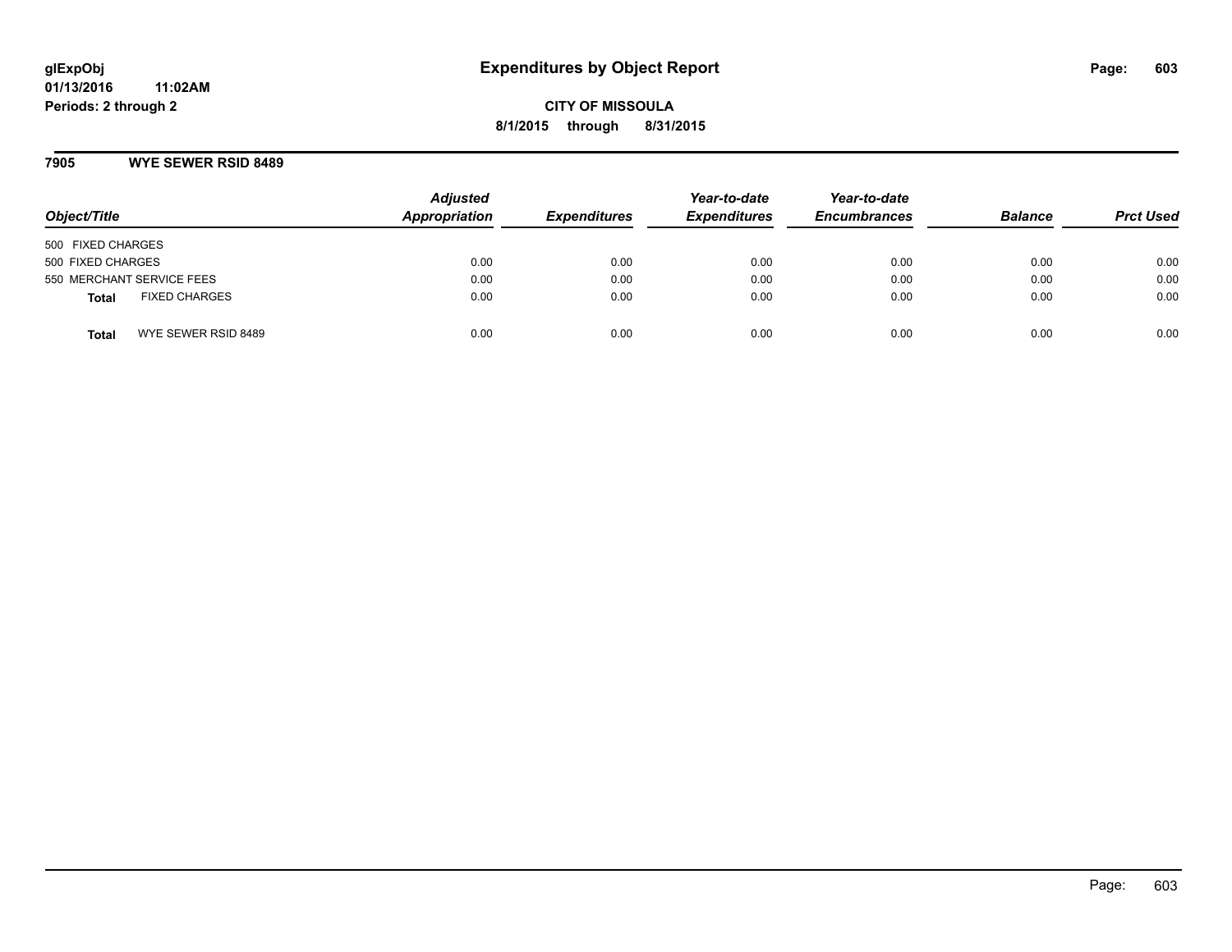#### **7905 WYE SEWER RSID 8489**

| Object/Title                         | <b>Adjusted</b><br>Appropriation | <b>Expenditures</b> | Year-to-date<br><b>Expenditures</b> | Year-to-date<br><b>Encumbrances</b> | <b>Balance</b> | <b>Prct Used</b> |
|--------------------------------------|----------------------------------|---------------------|-------------------------------------|-------------------------------------|----------------|------------------|
| 500 FIXED CHARGES                    |                                  |                     |                                     |                                     |                |                  |
| 500 FIXED CHARGES                    | 0.00                             | 0.00                | 0.00                                | 0.00                                | 0.00           | 0.00             |
| 550 MERCHANT SERVICE FEES            | 0.00                             | 0.00                | 0.00                                | 0.00                                | 0.00           | 0.00             |
| <b>FIXED CHARGES</b><br><b>Total</b> | 0.00                             | 0.00                | 0.00                                | 0.00                                | 0.00           | 0.00             |
| WYE SEWER RSID 8489<br>Total         | 0.00                             | 0.00                | 0.00                                | 0.00                                | 0.00           | 0.00             |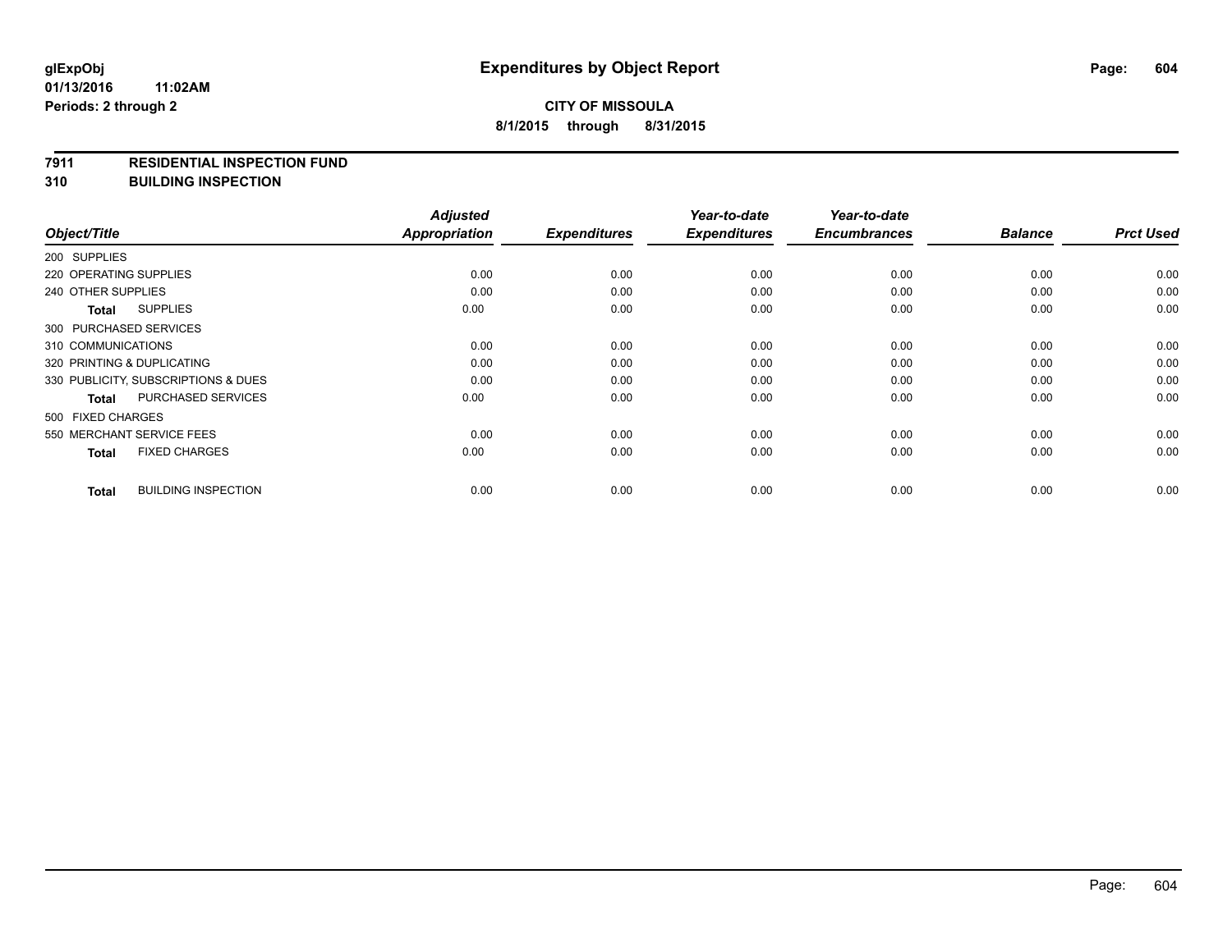#### **7911 RESIDENTIAL INSPECTION FUND**

**310 BUILDING INSPECTION**

|                                            | <b>Adjusted</b> |                     | Year-to-date        | Year-to-date        |                |                  |
|--------------------------------------------|-----------------|---------------------|---------------------|---------------------|----------------|------------------|
| Object/Title                               | Appropriation   | <b>Expenditures</b> | <b>Expenditures</b> | <b>Encumbrances</b> | <b>Balance</b> | <b>Prct Used</b> |
| 200 SUPPLIES                               |                 |                     |                     |                     |                |                  |
| 220 OPERATING SUPPLIES                     | 0.00            | 0.00                | 0.00                | 0.00                | 0.00           | 0.00             |
| 240 OTHER SUPPLIES                         | 0.00            | 0.00                | 0.00                | 0.00                | 0.00           | 0.00             |
| <b>SUPPLIES</b><br>Total                   | 0.00            | 0.00                | 0.00                | 0.00                | 0.00           | 0.00             |
| 300 PURCHASED SERVICES                     |                 |                     |                     |                     |                |                  |
| 310 COMMUNICATIONS                         | 0.00            | 0.00                | 0.00                | 0.00                | 0.00           | 0.00             |
| 320 PRINTING & DUPLICATING                 | 0.00            | 0.00                | 0.00                | 0.00                | 0.00           | 0.00             |
| 330 PUBLICITY, SUBSCRIPTIONS & DUES        | 0.00            | 0.00                | 0.00                | 0.00                | 0.00           | 0.00             |
| <b>PURCHASED SERVICES</b><br><b>Total</b>  | 0.00            | 0.00                | 0.00                | 0.00                | 0.00           | 0.00             |
| 500 FIXED CHARGES                          |                 |                     |                     |                     |                |                  |
| 550 MERCHANT SERVICE FEES                  | 0.00            | 0.00                | 0.00                | 0.00                | 0.00           | 0.00             |
| <b>FIXED CHARGES</b><br><b>Total</b>       | 0.00            | 0.00                | 0.00                | 0.00                | 0.00           | 0.00             |
| <b>BUILDING INSPECTION</b><br><b>Total</b> | 0.00            | 0.00                | 0.00                | 0.00                | 0.00           | 0.00             |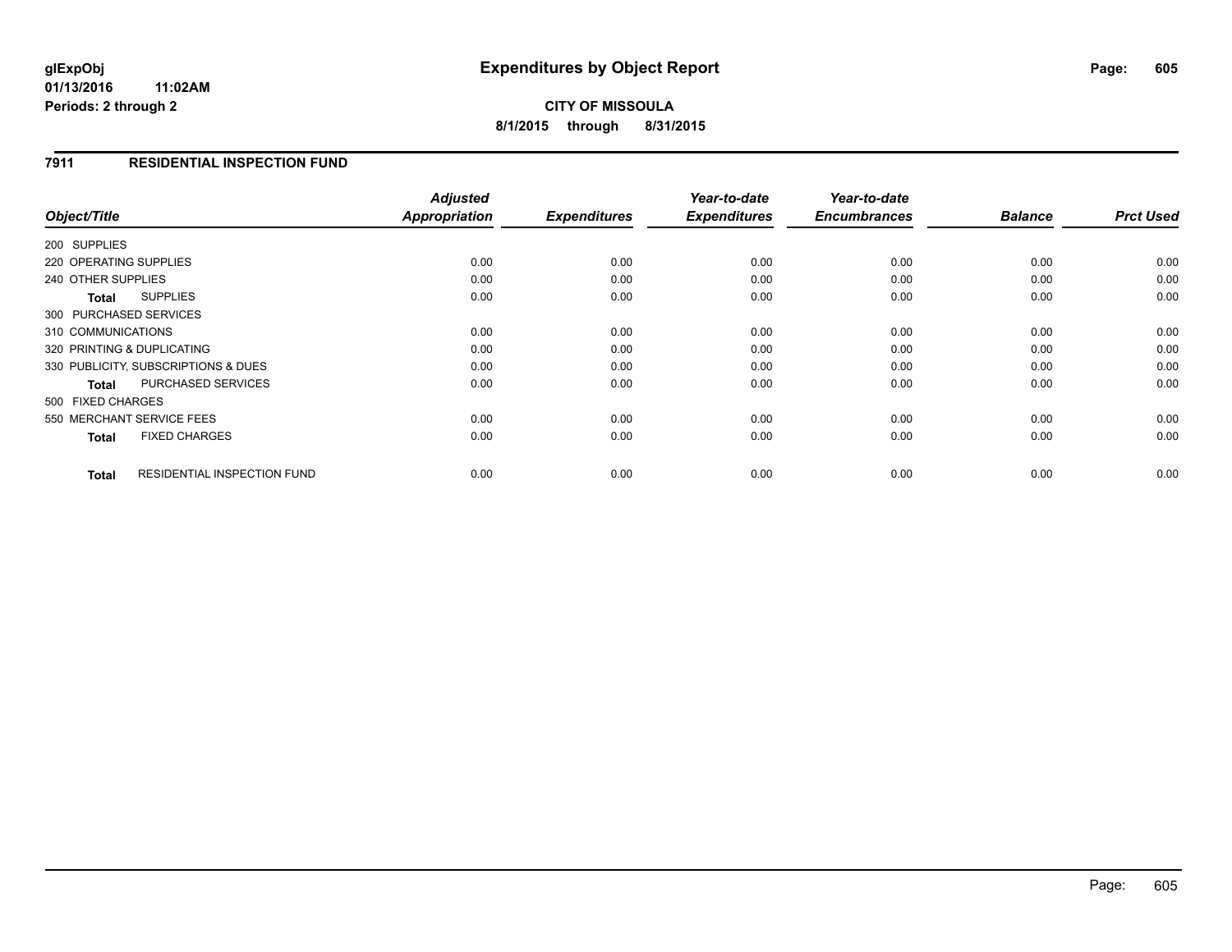**01/13/2016 11:02AM Periods: 2 through 2**

**CITY OF MISSOULA 8/1/2015 through 8/31/2015**

#### **7911 RESIDENTIAL INSPECTION FUND**

| Object/Title                                | <b>Adjusted</b><br><b>Appropriation</b> | <b>Expenditures</b> | Year-to-date<br><b>Expenditures</b> | Year-to-date<br><b>Encumbrances</b> | <b>Balance</b> | <b>Prct Used</b> |
|---------------------------------------------|-----------------------------------------|---------------------|-------------------------------------|-------------------------------------|----------------|------------------|
|                                             |                                         |                     |                                     |                                     |                |                  |
| 200 SUPPLIES                                |                                         |                     |                                     |                                     |                |                  |
| 220 OPERATING SUPPLIES                      | 0.00                                    | 0.00                | 0.00                                | 0.00                                | 0.00           | 0.00             |
| 240 OTHER SUPPLIES                          | 0.00                                    | 0.00                | 0.00                                | 0.00                                | 0.00           | 0.00             |
| <b>SUPPLIES</b><br><b>Total</b>             | 0.00                                    | 0.00                | 0.00                                | 0.00                                | 0.00           | 0.00             |
| 300 PURCHASED SERVICES                      |                                         |                     |                                     |                                     |                |                  |
| 310 COMMUNICATIONS                          | 0.00                                    | 0.00                | 0.00                                | 0.00                                | 0.00           | 0.00             |
| 320 PRINTING & DUPLICATING                  | 0.00                                    | 0.00                | 0.00                                | 0.00                                | 0.00           | 0.00             |
| 330 PUBLICITY, SUBSCRIPTIONS & DUES         | 0.00                                    | 0.00                | 0.00                                | 0.00                                | 0.00           | 0.00             |
| <b>PURCHASED SERVICES</b><br><b>Total</b>   | 0.00                                    | 0.00                | 0.00                                | 0.00                                | 0.00           | 0.00             |
| 500 FIXED CHARGES                           |                                         |                     |                                     |                                     |                |                  |
| 550 MERCHANT SERVICE FEES                   | 0.00                                    | 0.00                | 0.00                                | 0.00                                | 0.00           | 0.00             |
| <b>FIXED CHARGES</b><br><b>Total</b>        | 0.00                                    | 0.00                | 0.00                                | 0.00                                | 0.00           | 0.00             |
| <b>RESIDENTIAL INSPECTION FUND</b><br>Total | 0.00                                    | 0.00                | 0.00                                | 0.00                                | 0.00           | 0.00             |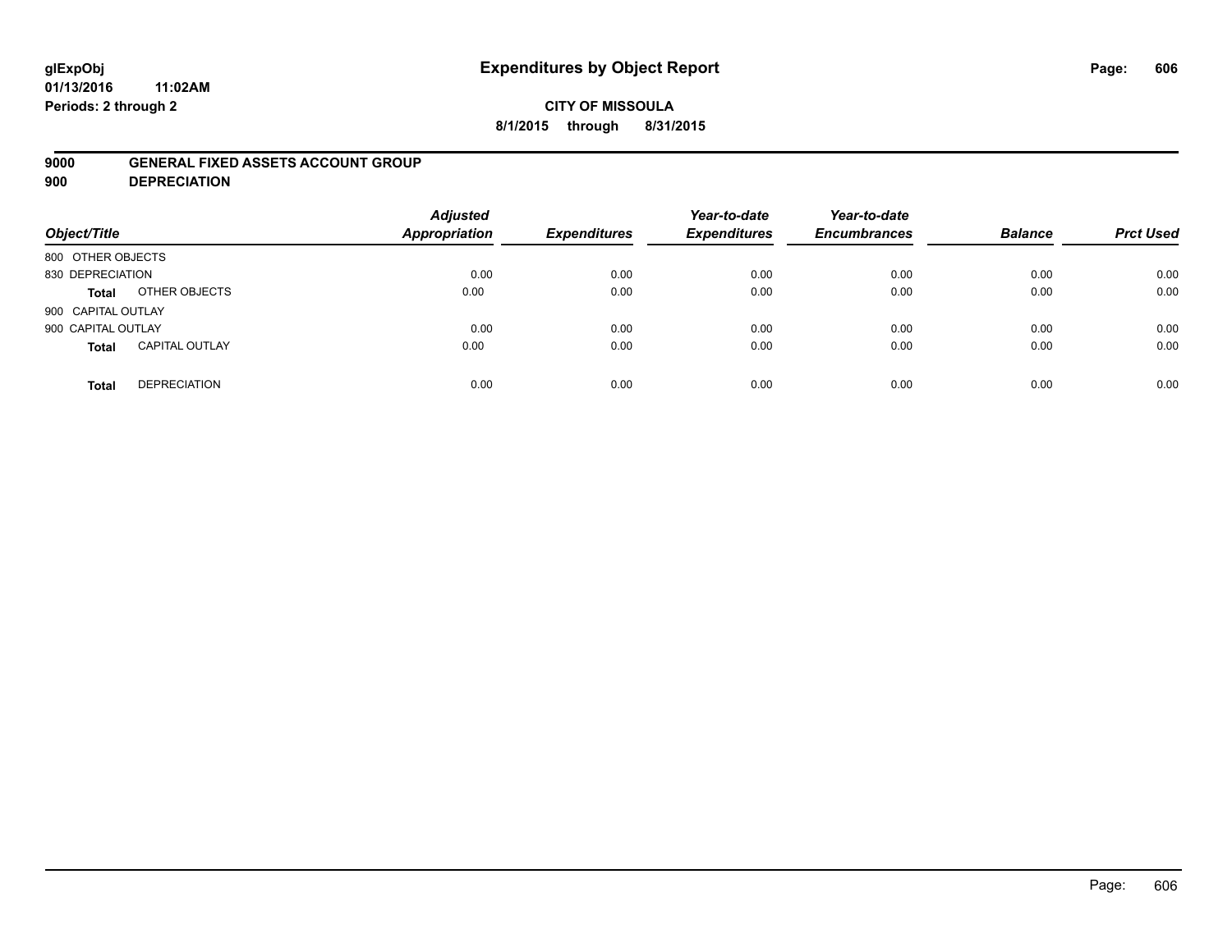# **glExpObj Expenditures by Object Report Page: 606**

**01/13/2016 11:02AM Periods: 2 through 2**

### **CITY OF MISSOULA 8/1/2015 through 8/31/2015**

#### **9000 GENERAL FIXED ASSETS ACCOUNT GROUP**

**900 DEPRECIATION**

| Object/Title                          | <b>Adjusted</b><br><b>Appropriation</b> | <b>Expenditures</b> | Year-to-date<br><b>Expenditures</b> | Year-to-date<br><b>Encumbrances</b> | <b>Balance</b> | <b>Prct Used</b> |
|---------------------------------------|-----------------------------------------|---------------------|-------------------------------------|-------------------------------------|----------------|------------------|
| 800 OTHER OBJECTS                     |                                         |                     |                                     |                                     |                |                  |
| 830 DEPRECIATION                      | 0.00                                    | 0.00                | 0.00                                | 0.00                                | 0.00           | 0.00             |
| OTHER OBJECTS<br><b>Total</b>         | 0.00                                    | 0.00                | 0.00                                | 0.00                                | 0.00           | 0.00             |
| 900 CAPITAL OUTLAY                    |                                         |                     |                                     |                                     |                |                  |
| 900 CAPITAL OUTLAY                    | 0.00                                    | 0.00                | 0.00                                | 0.00                                | 0.00           | 0.00             |
| <b>CAPITAL OUTLAY</b><br><b>Total</b> | 0.00                                    | 0.00                | 0.00                                | 0.00                                | 0.00           | 0.00             |
| <b>DEPRECIATION</b><br><b>Total</b>   | 0.00                                    | 0.00                | 0.00                                | 0.00                                | 0.00           | 0.00             |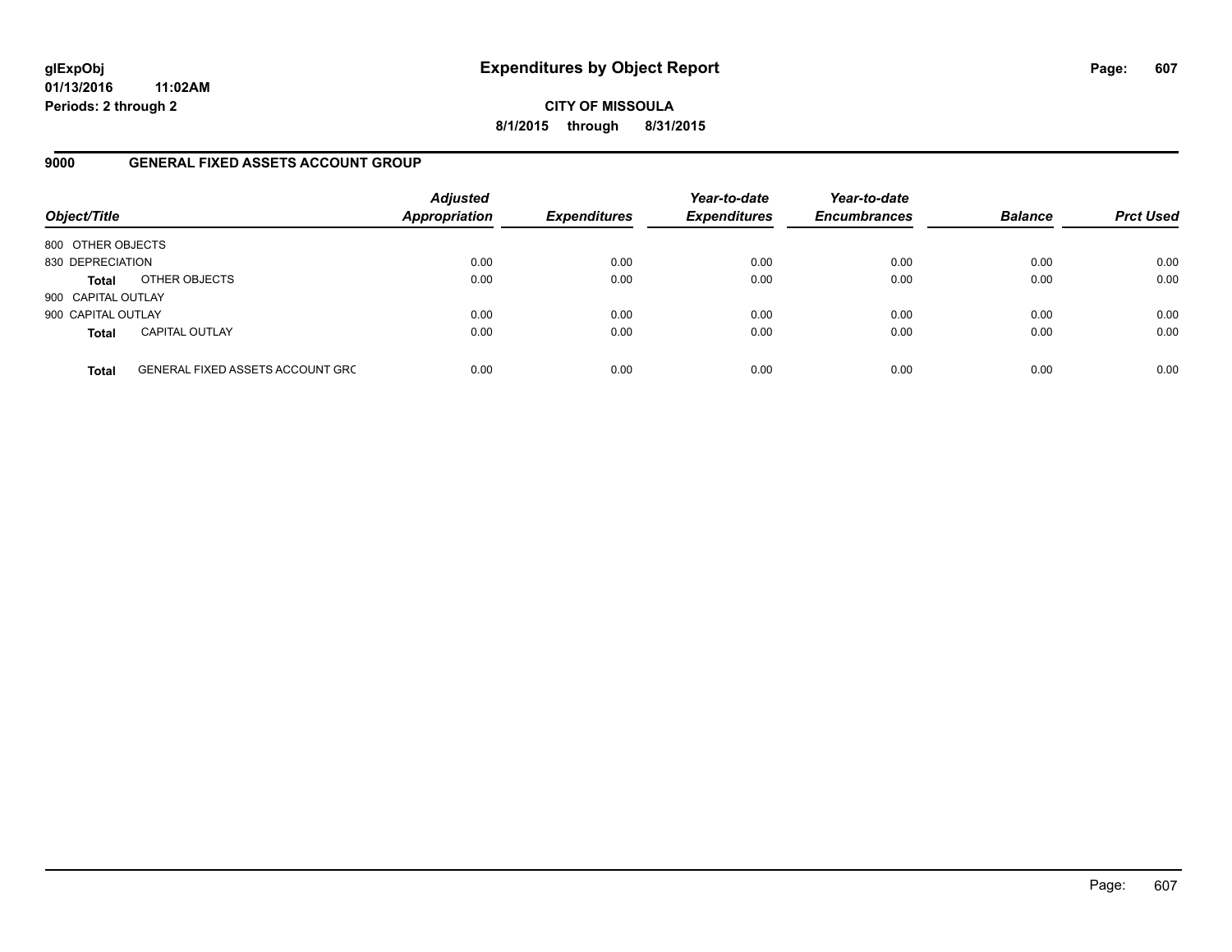**01/13/2016 11:02AM Periods: 2 through 2**

**CITY OF MISSOULA 8/1/2015 through 8/31/2015**

#### **9000 GENERAL FIXED ASSETS ACCOUNT GROUP**

| Object/Title       |                                         | <b>Adjusted</b><br><b>Appropriation</b> | <b>Expenditures</b> | Year-to-date<br><b>Expenditures</b> | Year-to-date<br><b>Encumbrances</b> | <b>Balance</b> | <b>Prct Used</b> |
|--------------------|-----------------------------------------|-----------------------------------------|---------------------|-------------------------------------|-------------------------------------|----------------|------------------|
| 800 OTHER OBJECTS  |                                         |                                         |                     |                                     |                                     |                |                  |
| 830 DEPRECIATION   |                                         | 0.00                                    | 0.00                | 0.00                                | 0.00                                | 0.00           | 0.00             |
| <b>Total</b>       | OTHER OBJECTS                           | 0.00                                    | 0.00                | 0.00                                | 0.00                                | 0.00           | 0.00             |
| 900 CAPITAL OUTLAY |                                         |                                         |                     |                                     |                                     |                |                  |
| 900 CAPITAL OUTLAY |                                         | 0.00                                    | 0.00                | 0.00                                | 0.00                                | 0.00           | 0.00             |
| <b>Total</b>       | <b>CAPITAL OUTLAY</b>                   | 0.00                                    | 0.00                | 0.00                                | 0.00                                | 0.00           | 0.00             |
| <b>Total</b>       | <b>GENERAL FIXED ASSETS ACCOUNT GRC</b> | 0.00                                    | 0.00                | 0.00                                | 0.00                                | 0.00           | 0.00             |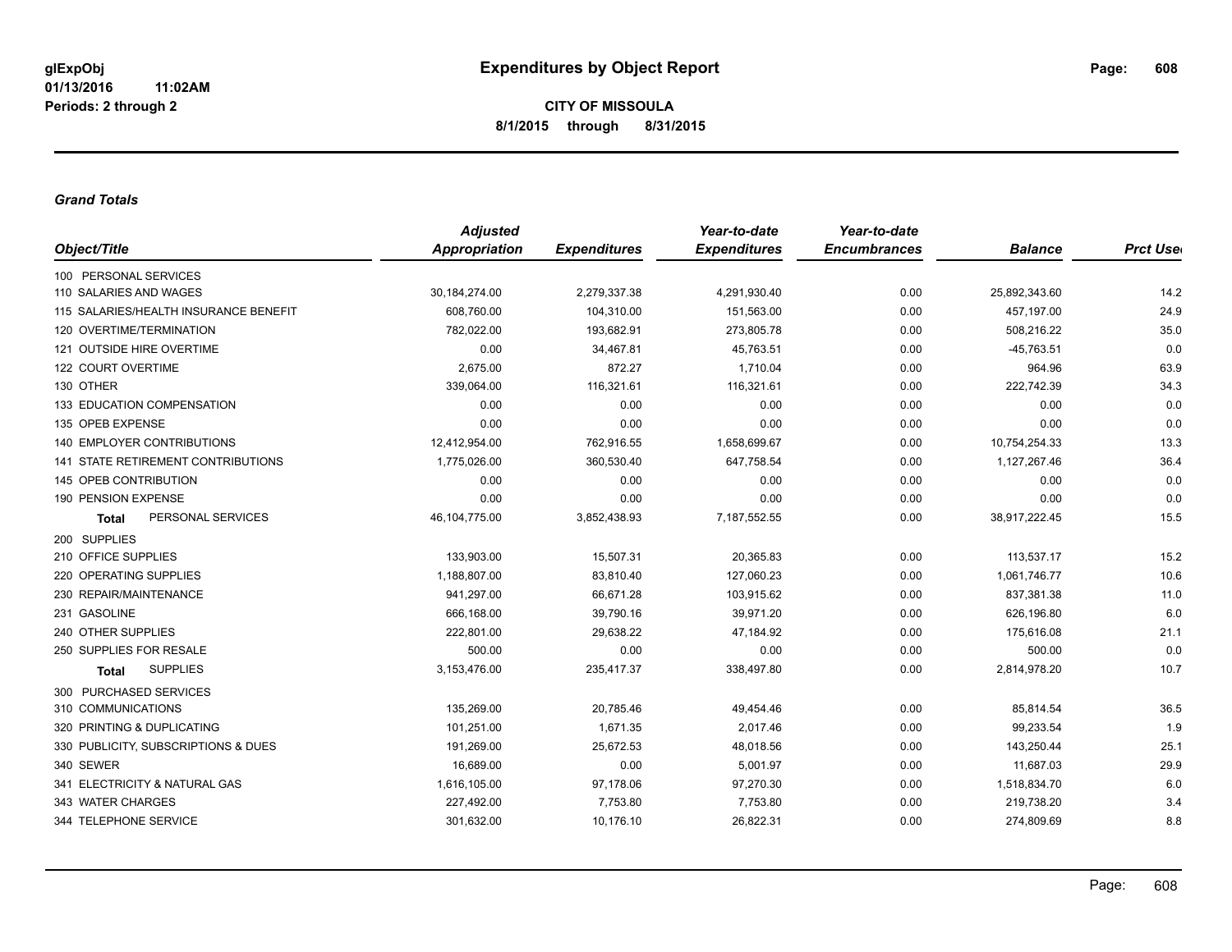#### *Grand Totals*

|                                           | <b>Adjusted</b> |                     | Year-to-date        | Year-to-date        |                |                  |
|-------------------------------------------|-----------------|---------------------|---------------------|---------------------|----------------|------------------|
| Object/Title                              | Appropriation   | <b>Expenditures</b> | <b>Expenditures</b> | <b>Encumbrances</b> | <b>Balance</b> | <b>Prct User</b> |
| 100 PERSONAL SERVICES                     |                 |                     |                     |                     |                |                  |
| 110 SALARIES AND WAGES                    | 30, 184, 274.00 | 2,279,337.38        | 4,291,930.40        | 0.00                | 25,892,343.60  | 14.2             |
| 115 SALARIES/HEALTH INSURANCE BENEFIT     | 608,760.00      | 104,310.00          | 151,563.00          | 0.00                | 457,197.00     | 24.9             |
| 120 OVERTIME/TERMINATION                  | 782,022.00      | 193,682.91          | 273,805.78          | 0.00                | 508,216.22     | 35.0             |
| 121 OUTSIDE HIRE OVERTIME                 | 0.00            | 34,467.81           | 45,763.51           | 0.00                | $-45,763.51$   | 0.0              |
| 122 COURT OVERTIME                        | 2,675.00        | 872.27              | 1,710.04            | 0.00                | 964.96         | 63.9             |
| 130 OTHER                                 | 339,064.00      | 116,321.61          | 116,321.61          | 0.00                | 222,742.39     | 34.3             |
| 133 EDUCATION COMPENSATION                | 0.00            | 0.00                | 0.00                | 0.00                | 0.00           | 0.0              |
| 135 OPEB EXPENSE                          | 0.00            | 0.00                | 0.00                | 0.00                | 0.00           | 0.0              |
| <b>140 EMPLOYER CONTRIBUTIONS</b>         | 12,412,954.00   | 762,916.55          | 1,658,699.67        | 0.00                | 10,754,254.33  | 13.3             |
| <b>141 STATE RETIREMENT CONTRIBUTIONS</b> | 1,775,026.00    | 360,530.40          | 647,758.54          | 0.00                | 1,127,267.46   | 36.4             |
| 145 OPEB CONTRIBUTION                     | 0.00            | 0.00                | 0.00                | 0.00                | 0.00           | 0.0              |
| 190 PENSION EXPENSE                       | 0.00            | 0.00                | 0.00                | 0.00                | 0.00           | 0.0              |
| PERSONAL SERVICES<br><b>Total</b>         | 46, 104, 775.00 | 3,852,438.93        | 7,187,552.55        | 0.00                | 38,917,222.45  | 15.5             |
| 200 SUPPLIES                              |                 |                     |                     |                     |                |                  |
| 210 OFFICE SUPPLIES                       | 133,903.00      | 15,507.31           | 20,365.83           | 0.00                | 113,537.17     | 15.2             |
| 220 OPERATING SUPPLIES                    | 1,188,807.00    | 83,810.40           | 127,060.23          | 0.00                | 1,061,746.77   | 10.6             |
| 230 REPAIR/MAINTENANCE                    | 941,297.00      | 66,671.28           | 103,915.62          | 0.00                | 837,381.38     | 11.0             |
| 231 GASOLINE                              | 666,168.00      | 39,790.16           | 39,971.20           | 0.00                | 626,196.80     | 6.0              |
| 240 OTHER SUPPLIES                        | 222,801.00      | 29,638.22           | 47,184.92           | 0.00                | 175,616.08     | 21.1             |
| 250 SUPPLIES FOR RESALE                   | 500.00          | 0.00                | 0.00                | 0.00                | 500.00         | 0.0              |
| <b>SUPPLIES</b><br>Total                  | 3,153,476.00    | 235,417.37          | 338,497.80          | 0.00                | 2,814,978.20   | 10.7             |
| 300 PURCHASED SERVICES                    |                 |                     |                     |                     |                |                  |
| 310 COMMUNICATIONS                        | 135,269.00      | 20,785.46           | 49,454.46           | 0.00                | 85,814.54      | 36.5             |
| 320 PRINTING & DUPLICATING                | 101.251.00      | 1,671.35            | 2.017.46            | 0.00                | 99,233.54      | 1.9              |
| 330 PUBLICITY, SUBSCRIPTIONS & DUES       | 191,269.00      | 25,672.53           | 48,018.56           | 0.00                | 143,250.44     | 25.1             |
| 340 SEWER                                 | 16,689.00       | 0.00                | 5,001.97            | 0.00                | 11,687.03      | 29.9             |
| 341 ELECTRICITY & NATURAL GAS             | 1,616,105.00    | 97,178.06           | 97,270.30           | 0.00                | 1,518,834.70   | 6.0              |
| 343 WATER CHARGES                         | 227,492.00      | 7,753.80            | 7,753.80            | 0.00                | 219,738.20     | 3.4              |
| 344 TELEPHONE SERVICE                     | 301,632.00      | 10,176.10           | 26,822.31           | 0.00                | 274,809.69     | 8.8              |
|                                           |                 |                     |                     |                     |                |                  |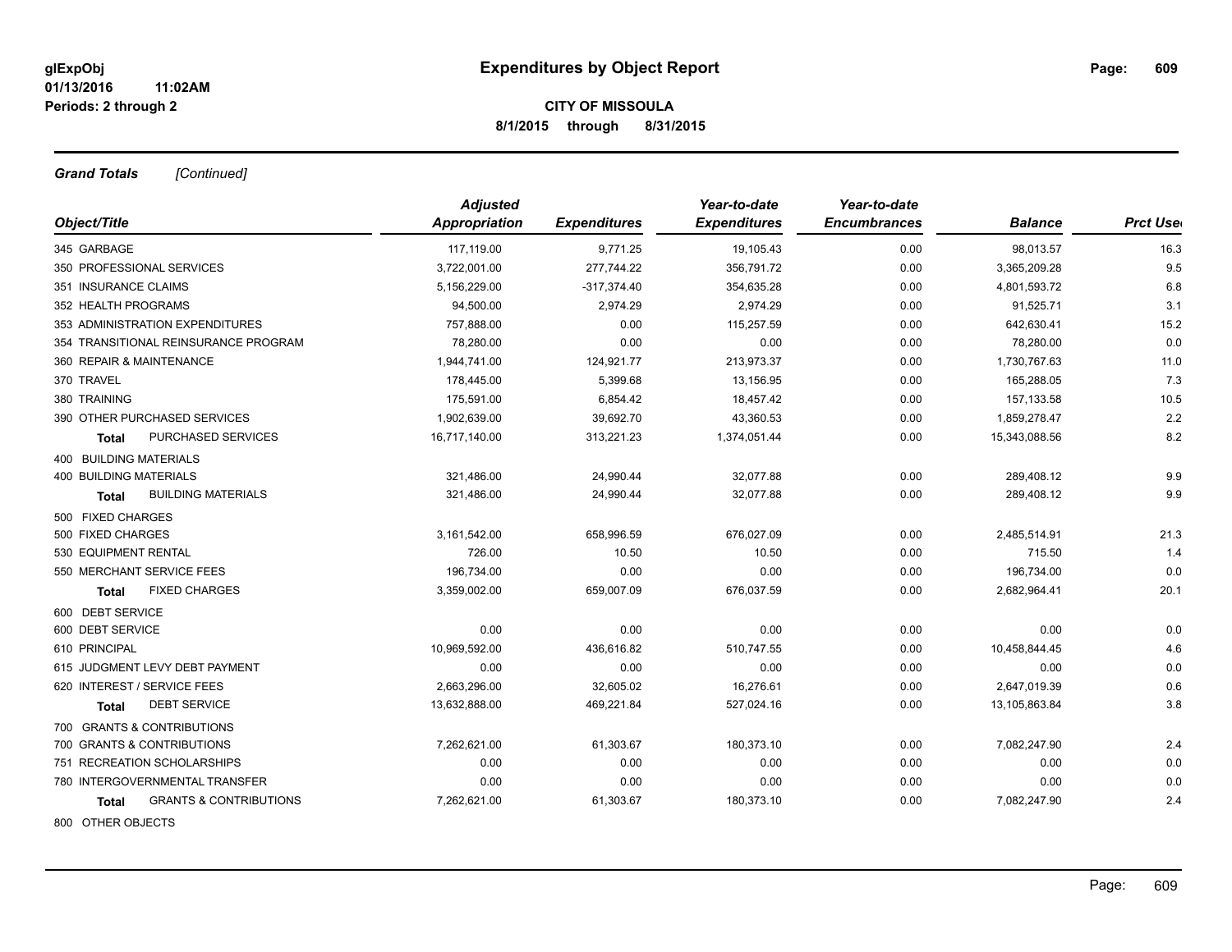*Grand Totals [Continued]*

|                                            | <b>Adjusted</b> |                     | Year-to-date        | Year-to-date        |                |                  |
|--------------------------------------------|-----------------|---------------------|---------------------|---------------------|----------------|------------------|
| Object/Title                               | Appropriation   | <b>Expenditures</b> | <b>Expenditures</b> | <b>Encumbrances</b> | <b>Balance</b> | <b>Prct Uset</b> |
| 345 GARBAGE                                | 117,119.00      | 9,771.25            | 19,105.43           | 0.00                | 98,013.57      | 16.3             |
| 350 PROFESSIONAL SERVICES                  | 3,722,001.00    | 277,744.22          | 356,791.72          | 0.00                | 3,365,209.28   | 9.5              |
| 351 INSURANCE CLAIMS                       | 5,156,229.00    | $-317,374.40$       | 354,635.28          | 0.00                | 4,801,593.72   | 6.8              |
| 352 HEALTH PROGRAMS                        | 94,500.00       | 2,974.29            | 2,974.29            | 0.00                | 91,525.71      | 3.1              |
| 353 ADMINISTRATION EXPENDITURES            | 757,888.00      | 0.00                | 115,257.59          | 0.00                | 642,630.41     | 15.2             |
| 354 TRANSITIONAL REINSURANCE PROGRAM       | 78,280.00       | 0.00                | 0.00                | 0.00                | 78,280.00      | 0.0              |
| 360 REPAIR & MAINTENANCE                   | 1.944.741.00    | 124,921.77          | 213,973.37          | 0.00                | 1,730,767.63   | 11.0             |
| 370 TRAVEL                                 | 178,445.00      | 5,399.68            | 13,156.95           | 0.00                | 165,288.05     | 7.3              |
| 380 TRAINING                               | 175,591.00      | 6,854.42            | 18,457.42           | 0.00                | 157,133.58     | 10.5             |
| 390 OTHER PURCHASED SERVICES               | 1,902,639.00    | 39,692.70           | 43,360.53           | 0.00                | 1,859,278.47   | 2.2              |
| PURCHASED SERVICES<br>Total                | 16,717,140.00   | 313,221.23          | 1,374,051.44        | 0.00                | 15,343,088.56  | 8.2              |
| 400 BUILDING MATERIALS                     |                 |                     |                     |                     |                |                  |
| <b>400 BUILDING MATERIALS</b>              | 321,486.00      | 24,990.44           | 32,077.88           | 0.00                | 289,408.12     | 9.9              |
| <b>BUILDING MATERIALS</b><br>Total         | 321,486.00      | 24,990.44           | 32,077.88           | 0.00                | 289,408.12     | 9.9              |
| 500 FIXED CHARGES                          |                 |                     |                     |                     |                |                  |
| 500 FIXED CHARGES                          | 3,161,542.00    | 658,996.59          | 676,027.09          | 0.00                | 2,485,514.91   | 21.3             |
| 530 EQUIPMENT RENTAL                       | 726.00          | 10.50               | 10.50               | 0.00                | 715.50         | 1.4              |
| 550 MERCHANT SERVICE FEES                  | 196,734.00      | 0.00                | 0.00                | 0.00                | 196,734.00     | 0.0              |
| <b>FIXED CHARGES</b><br>Total              | 3,359,002.00    | 659,007.09          | 676,037.59          | 0.00                | 2,682,964.41   | 20.1             |
| 600 DEBT SERVICE                           |                 |                     |                     |                     |                |                  |
| 600 DEBT SERVICE                           | 0.00            | 0.00                | 0.00                | 0.00                | 0.00           | 0.0              |
| 610 PRINCIPAL                              | 10,969,592.00   | 436,616.82          | 510,747.55          | 0.00                | 10,458,844.45  | 4.6              |
| 615 JUDGMENT LEVY DEBT PAYMENT             | 0.00            | 0.00                | 0.00                | 0.00                | 0.00           | 0.0              |
| 620 INTEREST / SERVICE FEES                | 2,663,296.00    | 32,605.02           | 16,276.61           | 0.00                | 2,647,019.39   | 0.6              |
| <b>DEBT SERVICE</b><br>Total               | 13,632,888.00   | 469,221.84          | 527,024.16          | 0.00                | 13,105,863.84  | 3.8              |
| 700 GRANTS & CONTRIBUTIONS                 |                 |                     |                     |                     |                |                  |
| 700 GRANTS & CONTRIBUTIONS                 | 7,262,621.00    | 61,303.67           | 180,373.10          | 0.00                | 7,082,247.90   | 2.4              |
| 751 RECREATION SCHOLARSHIPS                | 0.00            | 0.00                | 0.00                | 0.00                | 0.00           | 0.0              |
| 780 INTERGOVERNMENTAL TRANSFER             | 0.00            | 0.00                | 0.00                | 0.00                | 0.00           | 0.0              |
| <b>GRANTS &amp; CONTRIBUTIONS</b><br>Total | 7,262,621.00    | 61,303.67           | 180,373.10          | 0.00                | 7,082,247.90   | 2.4              |
| 800 OTHER OBJECTS                          |                 |                     |                     |                     |                |                  |